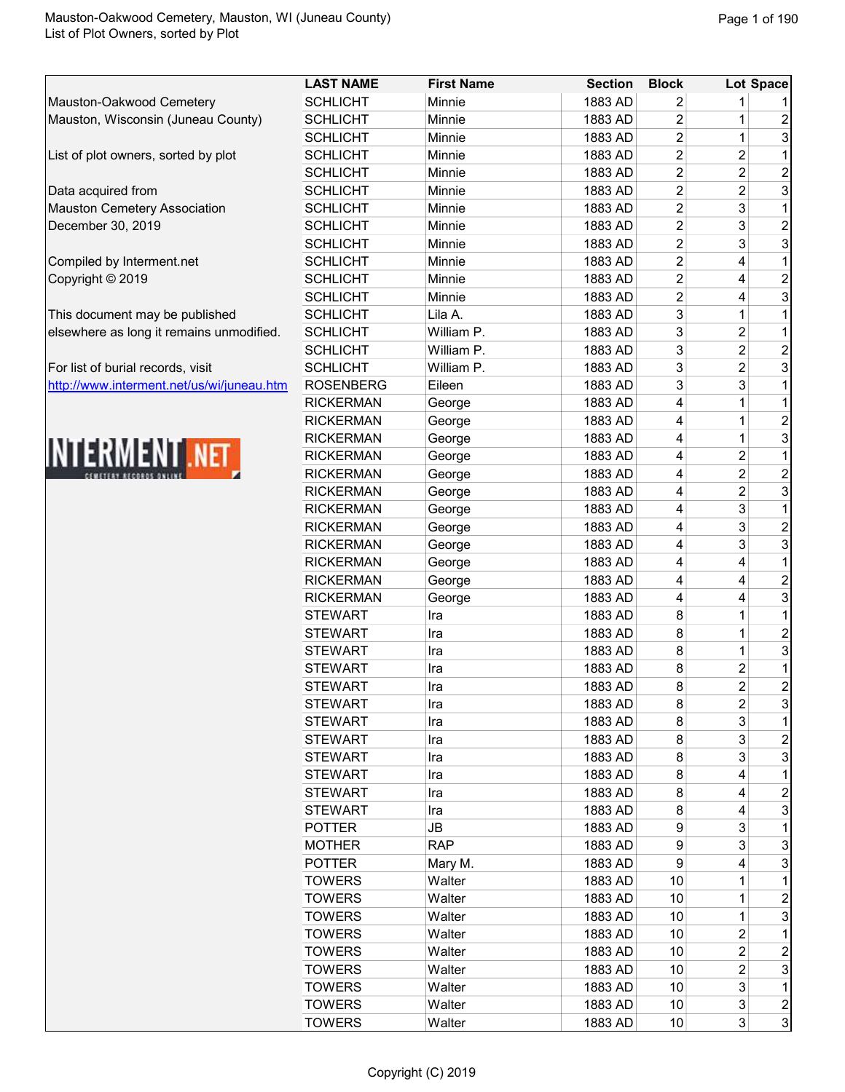|                                           | <b>LAST NAME</b> | <b>First Name</b> | <b>Section</b> | <b>Block</b>   |                | Lot Space               |
|-------------------------------------------|------------------|-------------------|----------------|----------------|----------------|-------------------------|
| Mauston-Oakwood Cemetery                  | <b>SCHLICHT</b>  | Minnie            | 1883 AD        | 2              |                |                         |
| Mauston, Wisconsin (Juneau County)        | <b>SCHLICHT</b>  | Minnie            | 1883 AD        | $\overline{2}$ | 1              | 2                       |
|                                           | <b>SCHLICHT</b>  | Minnie            | 1883 AD        | $\overline{2}$ | $\mathbf 1$    | $\overline{3}$          |
| List of plot owners, sorted by plot       | <b>SCHLICHT</b>  | Minnie            | 1883 AD        | $\overline{c}$ | $\overline{2}$ |                         |
|                                           | <b>SCHLICHT</b>  | Minnie            | 1883 AD        | $\overline{c}$ | $\overline{2}$ | $\overline{a}$          |
| Data acquired from                        | <b>SCHLICHT</b>  | Minnie            | 1883 AD        | $\overline{2}$ | $\overline{c}$ | $\overline{3}$          |
| Mauston Cemetery Association              | <b>SCHLICHT</b>  | Minnie            | 1883 AD        | $\overline{c}$ | 3              |                         |
| December 30, 2019                         | <b>SCHLICHT</b>  | Minnie            | 1883 AD        | $\overline{c}$ | 3              | 2                       |
|                                           | <b>SCHLICHT</b>  | Minnie            | 1883 AD        | $\overline{c}$ | 3              | 3                       |
| Compiled by Interment.net                 | <b>SCHLICHT</b>  | Minnie            | 1883 AD        | $\overline{2}$ | 4              | $\mathbf{1}$            |
| Copyright © 2019                          | <b>SCHLICHT</b>  | Minnie            | 1883 AD        | $\overline{c}$ | 4              | $\overline{\mathbf{c}}$ |
|                                           | <b>SCHLICHT</b>  | Minnie            | 1883 AD        | $\overline{c}$ | 4              | 3                       |
| This document may be published            | <b>SCHLICHT</b>  | Lila A.           | 1883 AD        | 3              | 1              | $\mathbf{1}$            |
| elsewhere as long it remains unmodified.  | <b>SCHLICHT</b>  | William P.        | 1883 AD        | 3              | $\overline{c}$ | $\mathbf{1}$            |
|                                           | <b>SCHLICHT</b>  | William P.        | 1883 AD        | 3              | $\overline{c}$ | $\overline{a}$          |
| For list of burial records, visit         | <b>SCHLICHT</b>  | William P.        | 1883 AD        | 3              | $\overline{2}$ | 3                       |
| http://www.interment.net/us/wi/juneau.htm | <b>ROSENBERG</b> | Eileen            | 1883 AD        | 3              | 3              | $\overline{1}$          |
|                                           | <b>RICKERMAN</b> | George            | 1883 AD        | 4              | 1              | $\mathbf{1}$            |
|                                           | <b>RICKERMAN</b> | George            | 1883 AD        | 4              |                | $\overline{a}$          |
|                                           | <b>RICKERMAN</b> | George            | 1883 AD        | 4              | $\mathbf 1$    | $\overline{3}$          |
| <b>INTERMENT .NET</b>                     | <b>RICKERMAN</b> | George            | 1883 AD        | 4              | $\overline{2}$ |                         |
|                                           | <b>RICKERMAN</b> | George            | 1883 AD        | 4              | $\overline{c}$ | $\overline{a}$          |
|                                           | <b>RICKERMAN</b> | George            | 1883 AD        | 4              | $\overline{2}$ | $\mathbf{3}$            |
|                                           | <b>RICKERMAN</b> | George            | 1883 AD        | 4              | 3              | $\mathbf{1}$            |
|                                           | <b>RICKERMAN</b> | George            | 1883 AD        | 4              | 3              | $\frac{2}{3}$           |
|                                           | <b>RICKERMAN</b> | George            | 1883 AD        | 4              | 3              |                         |
|                                           | <b>RICKERMAN</b> | George            | 1883 AD        | 4              | 4              | $\mathbf{1}$            |
|                                           | <b>RICKERMAN</b> | George            | 1883 AD        | 4              | 4              | $\overline{2}$          |
|                                           | <b>RICKERMAN</b> | George            | 1883 AD        | 4              | 4              | $\overline{3}$          |
|                                           | <b>STEWART</b>   | Ira               | 1883 AD        | 8              | 1              |                         |
|                                           | <b>STEWART</b>   | Ira               | 1883 AD        | 8              | $\mathbf 1$    | $\frac{2}{3}$           |
|                                           | <b>STEWART</b>   | Ira               | 1883 AD        | 8              | 1              |                         |
|                                           | <b>STEWART</b>   | Ira               | 1883 AD        | 8              | $\overline{c}$ | $\mathbf{1}$            |
|                                           | <b>STEWART</b>   | Ira               | 1883 AD        | 8              | $\overline{2}$ | $\overline{2}$          |
|                                           | <b>STEWART</b>   | Ira               | 1883 AD        | 8              | 2              | $\mathbf{3}$            |
|                                           | <b>STEWART</b>   | Ira               | 1883 AD        | 8              | 3              |                         |
|                                           | <b>STEWART</b>   | Ira               | 1883 AD        | 8              | 3 <sup>1</sup> | $\overline{c}$          |
|                                           | <b>STEWART</b>   | Ira               | 1883 AD        | 8              | 3              | $\mathbf{3}$            |
|                                           | <b>STEWART</b>   | Ira               | 1883 AD        | 8              | 4              | $\mathbf{1}$            |
|                                           | <b>STEWART</b>   | Ira               | 1883 AD        | 8              | 4              | $\overline{a}$          |
|                                           | <b>STEWART</b>   | Ira               | 1883 AD        | 8              | 4              | $\overline{3}$          |
|                                           | <b>POTTER</b>    | JB                | 1883 AD        | 9              | 3              |                         |
|                                           | <b>MOTHER</b>    | <b>RAP</b>        | 1883 AD        | 9              | 3              | $\overline{3}$          |
|                                           | <b>POTTER</b>    | Mary M.           | 1883 AD        | 9              | 4              | 3                       |
|                                           | <b>TOWERS</b>    | Walter            | 1883 AD        | 10             | 1              |                         |
|                                           | <b>TOWERS</b>    | Walter            | 1883 AD        | 10             | 1              | $\overline{\mathbf{c}}$ |
|                                           | <b>TOWERS</b>    | Walter            | 1883 AD        | 10             | $\mathbf 1$    | $\overline{3}$          |
|                                           | <b>TOWERS</b>    | Walter            | 1883 AD        | 10             | $\overline{c}$ | $\mathbf{1}$            |
|                                           | <b>TOWERS</b>    | Walter            | 1883 AD        | 10             | $\overline{2}$ | $\overline{a}$          |
|                                           | <b>TOWERS</b>    | Walter            | 1883 AD        | 10             | $\overline{2}$ | $\overline{3}$          |
|                                           | <b>TOWERS</b>    | Walter            | 1883 AD        | 10             | $\overline{3}$ | 1                       |
|                                           | <b>TOWERS</b>    | Walter            | 1883 AD        | 10             | $\mathbf{3}$   | $\frac{2}{3}$           |
|                                           | <b>TOWERS</b>    | Walter            | 1883 AD        | 10             | $\overline{3}$ |                         |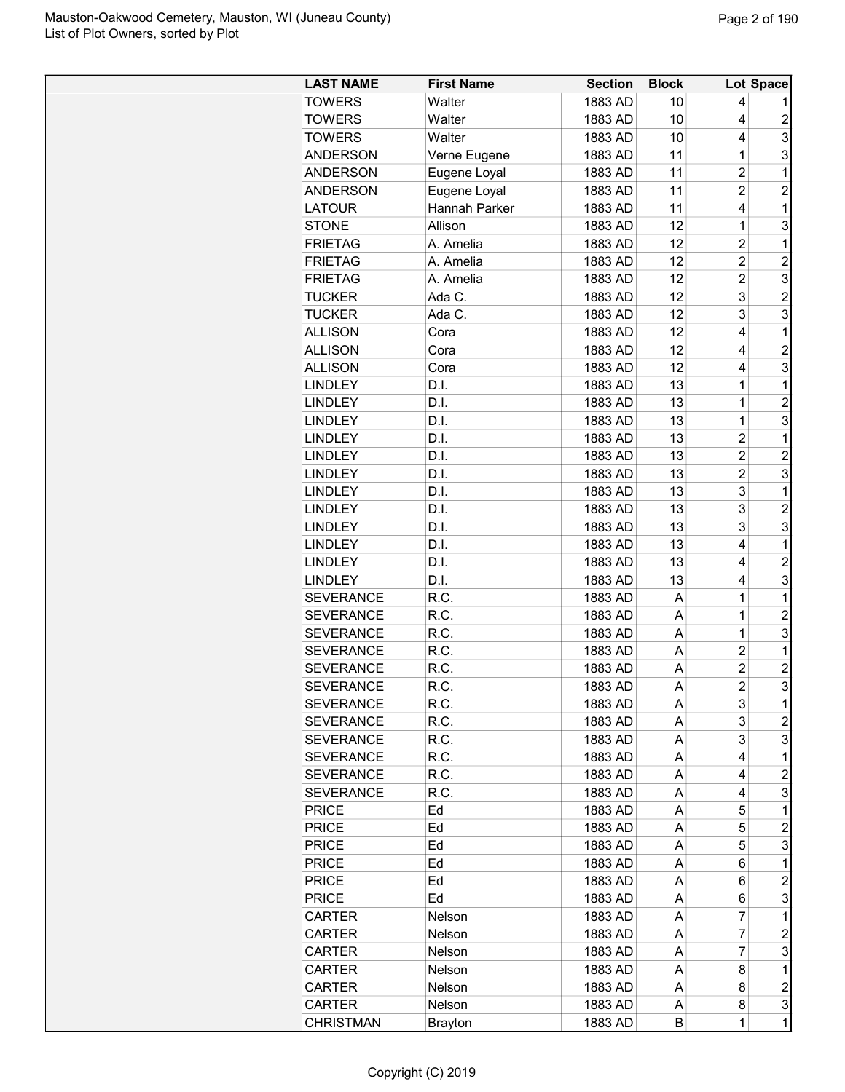| <b>LAST NAME</b> | <b>First Name</b> | <b>Section</b> | <b>Block</b> |                | Lot Space      |
|------------------|-------------------|----------------|--------------|----------------|----------------|
| <b>TOWERS</b>    | Walter            | 1883 AD        | 10           | 4              |                |
| <b>TOWERS</b>    | Walter            | 1883 AD        | 10           | 4              | $\overline{c}$ |
| <b>TOWERS</b>    | Walter            | 1883 AD        | 10           | 4              | 3              |
| <b>ANDERSON</b>  | Verne Eugene      | 1883 AD        | 11           | 1              | 3              |
| <b>ANDERSON</b>  | Eugene Loyal      | 1883 AD        | 11           | $\overline{c}$ | 1              |
| <b>ANDERSON</b>  | Eugene Loyal      | 1883 AD        | 11           | $\overline{2}$ | $\overline{c}$ |
| <b>LATOUR</b>    | Hannah Parker     | 1883 AD        | 11           | 4              | $\mathbf 1$    |
| <b>STONE</b>     | Allison           | 1883 AD        | 12           | $\mathbf{1}$   | 3              |
| <b>FRIETAG</b>   | A. Amelia         | 1883 AD        | 12           | $\overline{2}$ | $\mathbf 1$    |
| <b>FRIETAG</b>   | A. Amelia         | 1883 AD        | 12           | $\overline{c}$ | $\overline{c}$ |
| <b>FRIETAG</b>   | A. Amelia         | 1883 AD        | 12           | $\overline{c}$ | 3              |
| <b>TUCKER</b>    | Ada C.            | 1883 AD        | 12           | 3              | $\overline{c}$ |
| <b>TUCKER</b>    | Ada C.            | 1883 AD        | 12           | 3              | 3              |
| <b>ALLISON</b>   | Cora              | 1883 AD        | 12           | 4              | $\mathbf 1$    |
| <b>ALLISON</b>   | Cora              | 1883 AD        | 12           | 4              | $\overline{c}$ |
| <b>ALLISON</b>   | Cora              | 1883 AD        | 12           | 4              | 3              |
| <b>LINDLEY</b>   | D.I.              | 1883 AD        | 13           | $\mathbf 1$    | 1              |
| <b>LINDLEY</b>   | D.I.              | 1883 AD        | 13           | $\mathbf 1$    | $\overline{2}$ |
| <b>LINDLEY</b>   | D.I.              | 1883 AD        | 13           | $\mathbf 1$    | 3              |
| <b>LINDLEY</b>   | D.I.              | 1883 AD        | 13           | 2              | 1              |
| <b>LINDLEY</b>   | D.I.              | 1883 AD        | 13           | $\overline{c}$ | $\overline{c}$ |
| <b>LINDLEY</b>   | D.I.              | 1883 AD        | 13           | $\overline{c}$ | 3              |
| <b>LINDLEY</b>   | D.I.              | 1883 AD        | 13           | 3              | $\mathbf 1$    |
| <b>LINDLEY</b>   | D.I.              | 1883 AD        | 13           | 3              | $\overline{c}$ |
|                  |                   |                |              | 3              | 3              |
| <b>LINDLEY</b>   | D.I.              | 1883 AD        | 13           |                |                |
| <b>LINDLEY</b>   | D.I.              | 1883 AD        | 13           | 4              | 1              |
| <b>LINDLEY</b>   | D.I.              | 1883 AD        | 13           | 4              | $\overline{c}$ |
| <b>LINDLEY</b>   | D.I.              | 1883 AD        | 13           | 4              | 3              |
| <b>SEVERANCE</b> | R.C.              | 1883 AD        | A            | 1              | 1              |
| <b>SEVERANCE</b> | R.C.              | 1883 AD        | A            | 1              | $\overline{c}$ |
| <b>SEVERANCE</b> | R.C.              | 1883 AD        | A            | $\overline{1}$ | 3              |
| <b>SEVERANCE</b> | R.C.              | 1883 AD        | A            | 2              | 1              |
| <b>SEVERANCE</b> | R.C.              | 1883 AD        | Α            | $\overline{c}$ | $\overline{c}$ |
| <b>SEVERANCE</b> | R.C.              | 1883 AD        | А            | $\overline{2}$ | 3              |
| <b>SEVERANCE</b> | R.C.              | 1883 AD        | A            | 3              | 1              |
| <b>SEVERANCE</b> | R.C.              | 1883 AD        | A            | 3              | 2              |
| <b>SEVERANCE</b> | R.C.              | 1883 AD        | A            | 3              | 3              |
| <b>SEVERANCE</b> | R.C.              | 1883 AD        | A            | 4              | 1              |
| <b>SEVERANCE</b> | R.C.              | 1883 AD        | A            | 4              | 2              |
| <b>SEVERANCE</b> | R.C.              | 1883 AD        | A            | 4              | 3              |
| <b>PRICE</b>     | Ed                | 1883 AD        | A            | 5              | 1              |
| <b>PRICE</b>     | Ed                | 1883 AD        | A            | 5              | 2              |
| <b>PRICE</b>     | Ed                | 1883 AD        | A            | 5              | 3              |
| <b>PRICE</b>     | Ed                | 1883 AD        | A            | 6              | 1              |
| <b>PRICE</b>     | Ed                | 1883 AD        | A            | 6              | $\overline{c}$ |
| <b>PRICE</b>     | Ed                | 1883 AD        | Α            | 6              | 3              |
| <b>CARTER</b>    | Nelson            | 1883 AD        | A            | 7              | 1              |
| <b>CARTER</b>    | Nelson            | 1883 AD        | A            | 7              | 2              |
| <b>CARTER</b>    | Nelson            | 1883 AD        | A            | 7              | 3              |
| <b>CARTER</b>    | Nelson            | 1883 AD        | A            | 8              | 1              |
| <b>CARTER</b>    | Nelson            | 1883 AD        | A            | 8              | $\overline{c}$ |
| <b>CARTER</b>    | Nelson            | 1883 AD        | A            | 8              | 3              |
| <b>CHRISTMAN</b> | <b>Brayton</b>    | 1883 AD        | В            | $\mathbf 1$    | $\mathbf 1$    |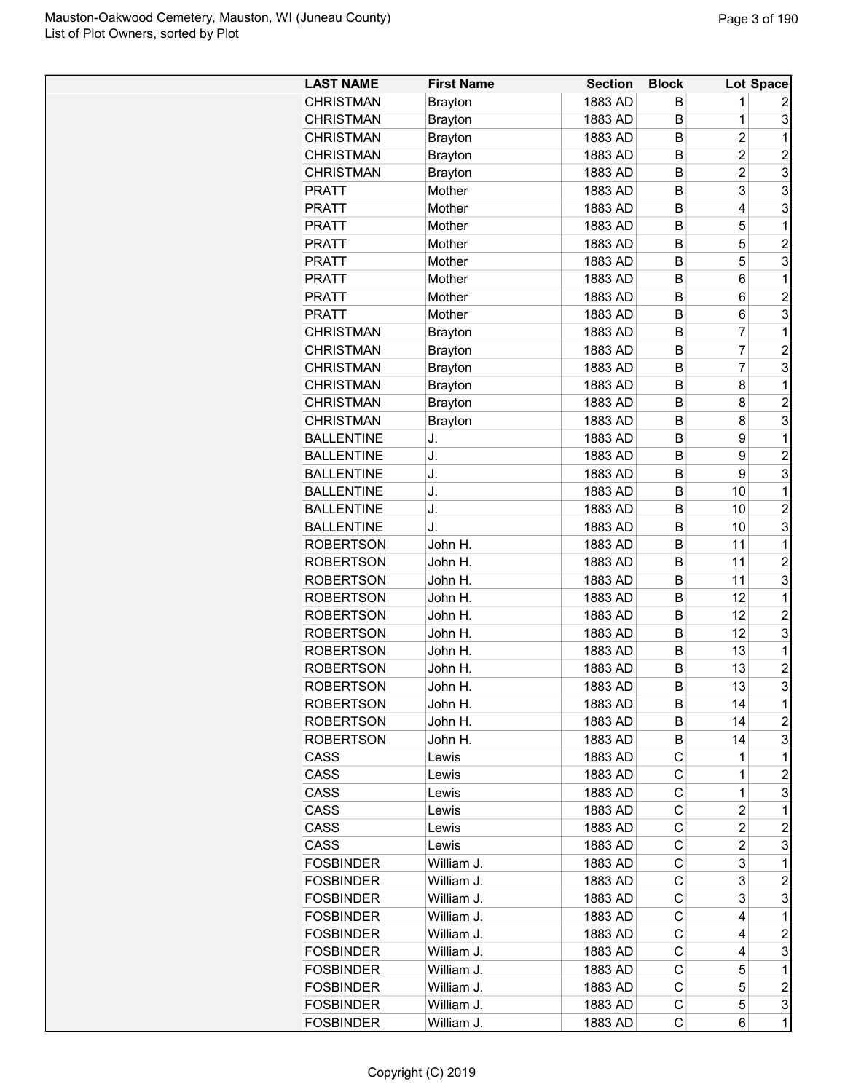| <b>LAST NAME</b>  | <b>First Name</b> | <b>Section</b>     | <b>Block</b> |                | Lot Space      |
|-------------------|-------------------|--------------------|--------------|----------------|----------------|
| <b>CHRISTMAN</b>  | <b>Brayton</b>    | 1883 AD            | В            | 1              | 2              |
| <b>CHRISTMAN</b>  | <b>Brayton</b>    | 1883 AD            | B            | 1              | 3              |
| <b>CHRISTMAN</b>  | <b>Brayton</b>    | 1883 AD            | B            | $\overline{c}$ | 1              |
| <b>CHRISTMAN</b>  | <b>Brayton</b>    | 1883 AD            | B            | 2              | $\overline{2}$ |
| <b>CHRISTMAN</b>  | <b>Brayton</b>    | 1883 AD            | в            | $\overline{c}$ | 3              |
| <b>PRATT</b>      | Mother            | 1883 AD            | B            | 3              | 3              |
| <b>PRATT</b>      | Mother            | 1883 AD            | B            | 4              | 3              |
| <b>PRATT</b>      | Mother            | 1883 AD            | B            | 5              | 1              |
| <b>PRATT</b>      | Mother            | 1883 AD            | B            | 5              | $\overline{2}$ |
| <b>PRATT</b>      | Mother            | 1883 AD            | B            | 5              | 3              |
| <b>PRATT</b>      | Mother            | 1883 AD            | B            | 6              | 1              |
| <b>PRATT</b>      | Mother            | 1883 AD            | B            | 6              | $\overline{2}$ |
| <b>PRATT</b>      | Mother            | 1883 AD            | B            | 6              | 3              |
| <b>CHRISTMAN</b>  |                   | 1883 AD            | B            | 7              | 1              |
| <b>CHRISTMAN</b>  | <b>Brayton</b>    |                    | B            | 7              | $\overline{2}$ |
|                   | <b>Brayton</b>    | 1883 AD<br>1883 AD |              | 7              | 3              |
| <b>CHRISTMAN</b>  | <b>Brayton</b>    |                    | B            |                |                |
| <b>CHRISTMAN</b>  | <b>Brayton</b>    | 1883 AD            | B            | 8              | 1              |
| <b>CHRISTMAN</b>  | <b>Brayton</b>    | 1883 AD            | B            | 8              | $\overline{c}$ |
| <b>CHRISTMAN</b>  | <b>Brayton</b>    | 1883 AD            | B            | 8              | 3              |
| <b>BALLENTINE</b> | J.                | 1883 AD            | B            | 9              | 1              |
| <b>BALLENTINE</b> | J.                | 1883 AD            | B            | 9              | $\overline{c}$ |
| <b>BALLENTINE</b> | J.                | 1883 AD            | B            | 9              | 3              |
| <b>BALLENTINE</b> | J.                | 1883 AD            | B            | 10             | 1              |
| <b>BALLENTINE</b> | J.                | 1883 AD            | B            | 10             | $\overline{2}$ |
| <b>BALLENTINE</b> | J.                | 1883 AD            | B            | 10             | 3              |
| <b>ROBERTSON</b>  | John H.           | 1883 AD            | в            | 11             | 1              |
| <b>ROBERTSON</b>  | John H.           | 1883 AD            | B            | 11             | $\overline{2}$ |
| <b>ROBERTSON</b>  | John H.           | 1883 AD            | B            | 11             | 3              |
| <b>ROBERTSON</b>  | John H.           | 1883 AD            | B            | 12             | 1              |
| <b>ROBERTSON</b>  | John H.           | 1883 AD            | В            | 12             | $\overline{c}$ |
| <b>ROBERTSON</b>  | John H.           | 1883 AD            | B            | 12             | 3              |
| <b>ROBERTSON</b>  | John H.           | 1883 AD            | B            | 13             | 1              |
| <b>ROBERTSON</b>  | John H.           | 1883 AD            | B            | 13             | $\overline{2}$ |
| <b>ROBERTSON</b>  | John H.           | 1883 AD            | B            | 13             | 3              |
| <b>ROBERTSON</b>  | John H.           | 1883 AD            | В            | 14             | 1              |
| <b>ROBERTSON</b>  | John H.           | 1883 AD            | В            | 14             | 2              |
| <b>ROBERTSON</b>  | John H.           | 1883 AD            | В            | 14             | 3              |
| CASS              | Lewis             | 1883 AD            | С            | 1              | 1              |
| CASS              | Lewis             | 1883 AD            | С            | 1              | 2              |
| CASS              | Lewis             | 1883 AD            | С            | 1              | 3              |
| CASS              | Lewis             | 1883 AD            | С            | 2              | 1              |
| CASS              | Lewis             | 1883 AD            | C            | 2              | 2              |
| CASS              | Lewis             | 1883 AD            | C            | 2              | 3              |
| <b>FOSBINDER</b>  | William J.        | 1883 AD            | C            | 3              | 1              |
| <b>FOSBINDER</b>  | William J.        | 1883 AD            | С            | 3              | $\overline{c}$ |
| <b>FOSBINDER</b>  | William J.        | 1883 AD            | С            | 3              | 3              |
| <b>FOSBINDER</b>  | William J.        | 1883 AD            | С            | 4              | 1              |
| <b>FOSBINDER</b>  | William J.        | 1883 AD            | С            | 4              | 2              |
| <b>FOSBINDER</b>  | William J.        | 1883 AD            | С            | 4              | 3              |
| <b>FOSBINDER</b>  | William J.        | 1883 AD            | C            | 5              | 1              |
| <b>FOSBINDER</b>  | William J.        | 1883 AD            | С            | 5              | $\overline{c}$ |
| <b>FOSBINDER</b>  | William J.        | 1883 AD            | С            | 5              | 3              |
| <b>FOSBINDER</b>  | William J.        | 1883 AD            | С            | 6              | 1              |
|                   |                   |                    |              |                |                |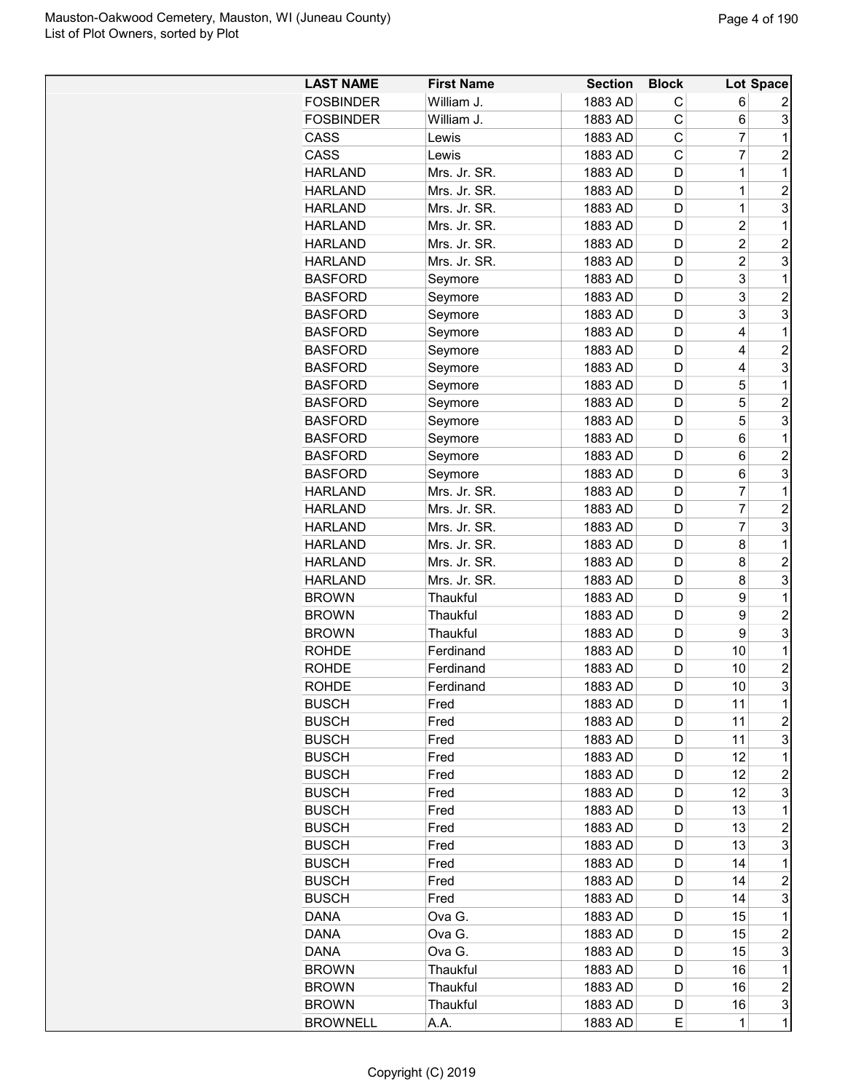| <b>LAST NAME</b>             | <b>First Name</b> | <b>Section</b> | <b>Block</b> |                | Lot Space               |
|------------------------------|-------------------|----------------|--------------|----------------|-------------------------|
| <b>FOSBINDER</b>             | William J.        | 1883 AD        | С            | 6              | 2                       |
| <b>FOSBINDER</b>             | William J.        | 1883 AD        | C            | 6              | 3                       |
| CASS                         | Lewis             | 1883 AD        | C            | $\overline{7}$ | 1                       |
| <b>CASS</b>                  | Lewis             | 1883 AD        | C            | 7              | 2                       |
| <b>HARLAND</b>               | Mrs. Jr. SR.      | 1883 AD        | D            | $\mathbf 1$    | 1                       |
| <b>HARLAND</b>               | Mrs. Jr. SR.      | 1883 AD        | D            | 1              | $\overline{c}$          |
| <b>HARLAND</b>               | Mrs. Jr. SR.      | 1883 AD        | D            | 1              | 3                       |
| <b>HARLAND</b>               | Mrs. Jr. SR.      | 1883 AD        | D            | $\overline{c}$ | 1                       |
| <b>HARLAND</b>               | Mrs. Jr. SR.      | 1883 AD        | D            | $\overline{2}$ | $\overline{c}$          |
| <b>HARLAND</b>               | Mrs. Jr. SR.      | 1883 AD        | D            | $\overline{c}$ | 3                       |
| <b>BASFORD</b>               | Seymore           | 1883 AD        | D            | 3              | 1                       |
| <b>BASFORD</b>               | Seymore           | 1883 AD        | D            | 3              | $\overline{c}$          |
| <b>BASFORD</b>               | Seymore           | 1883 AD        | D            | 3              | 3                       |
| <b>BASFORD</b>               | Seymore           | 1883 AD        | D            | 4              | 1                       |
| <b>BASFORD</b>               | Seymore           | 1883 AD        | D            | 4              | $\overline{c}$          |
| <b>BASFORD</b>               | Seymore           | 1883 AD        | D            | 4              | 3                       |
| <b>BASFORD</b>               | Seymore           | 1883 AD        | D            | 5              | 1                       |
| <b>BASFORD</b>               | Seymore           | 1883 AD        | D            | 5              | $\overline{c}$          |
| <b>BASFORD</b>               | Seymore           | 1883 AD        | D            | 5              | 3                       |
| <b>BASFORD</b>               | Seymore           | 1883 AD        | D            | 6              | 1                       |
| <b>BASFORD</b>               | Seymore           | 1883 AD        | D            | 6              | $\overline{c}$          |
| <b>BASFORD</b>               | Seymore           | 1883 AD        | D            | 6              | 3                       |
| <b>HARLAND</b>               | Mrs. Jr. SR.      | 1883 AD        | D            | 7              | 1                       |
| <b>HARLAND</b>               | Mrs. Jr. SR.      | 1883 AD        | D            | 7              | $\overline{c}$          |
| <b>HARLAND</b>               | Mrs. Jr. SR.      | 1883 AD        | D            | 7              | 3                       |
| <b>HARLAND</b>               | Mrs. Jr. SR.      | 1883 AD        | D            | 8              | 1                       |
| <b>HARLAND</b>               | Mrs. Jr. SR.      | 1883 AD        | D            | 8              | $\overline{c}$          |
| <b>HARLAND</b>               | Mrs. Jr. SR.      | 1883 AD        | D            | 8              | 3                       |
| <b>BROWN</b>                 | Thaukful          | 1883 AD        | D            | 9              | 1                       |
| <b>BROWN</b>                 | Thaukful          | 1883 AD        | D            | 9              | $\overline{c}$          |
| <b>BROWN</b>                 | Thaukful          | 1883 AD        | D            | 9              | 3                       |
| <b>ROHDE</b>                 | Ferdinand         | 1883 AD        | D            | 10             | 1                       |
| <b>ROHDE</b>                 | Ferdinand         | 1883 AD        | D            | 10             | $\overline{c}$          |
| ROHDE                        | Ferdinand         | 1883 AD        | D            | 10             | 3                       |
|                              | Fred              | 1883 AD        | D            | 11             | 1                       |
| <b>BUSCH</b><br><b>BUSCH</b> | Fred              | 1883 AD        | D            | 11             | 2                       |
| <b>BUSCH</b>                 | Fred              | 1883 AD        | D            | 11             | 3                       |
| <b>BUSCH</b>                 | Fred              | 1883 AD        | D            | 12             | 1                       |
| <b>BUSCH</b>                 | Fred              | 1883 AD        | D            | 12             | 2                       |
| <b>BUSCH</b>                 | Fred              | 1883 AD        | D            | 12             | 3                       |
| <b>BUSCH</b>                 | Fred              | 1883 AD        | D            | 13             | 1                       |
| <b>BUSCH</b>                 | Fred              | 1883 AD        | D            | 13             | $\overline{c}$          |
| <b>BUSCH</b>                 | Fred              | 1883 AD        | D            | 13             | 3                       |
| <b>BUSCH</b>                 |                   |                |              | 14             | 1                       |
|                              | Fred              | 1883 AD        | D            | 14             | $\overline{c}$          |
| <b>BUSCH</b>                 | Fred              | 1883 AD        | D            | 14             |                         |
| <b>BUSCH</b>                 | Fred              | 1883 AD        | D            |                | 3<br>1                  |
| DANA                         | Ova G.            | 1883 AD        | D            | 15             |                         |
| DANA                         | Ova G.            | 1883 AD        | D            | 15             | $\overline{c}$          |
| <b>DANA</b>                  | Ova G.            | 1883 AD        | D            | 15             | 3                       |
| <b>BROWN</b>                 | Thaukful          | 1883 AD        | D            | 16             | 1                       |
| <b>BROWN</b>                 | Thaukful          | 1883 AD        | D            | 16             | $\overline{\mathbf{c}}$ |
| <b>BROWN</b>                 | Thaukful          | 1883 AD        | D            | 16             | 3                       |
| <b>BROWNELL</b>              | A.A.              | 1883 AD        | E.           | $\mathbf 1$    | $\overline{1}$          |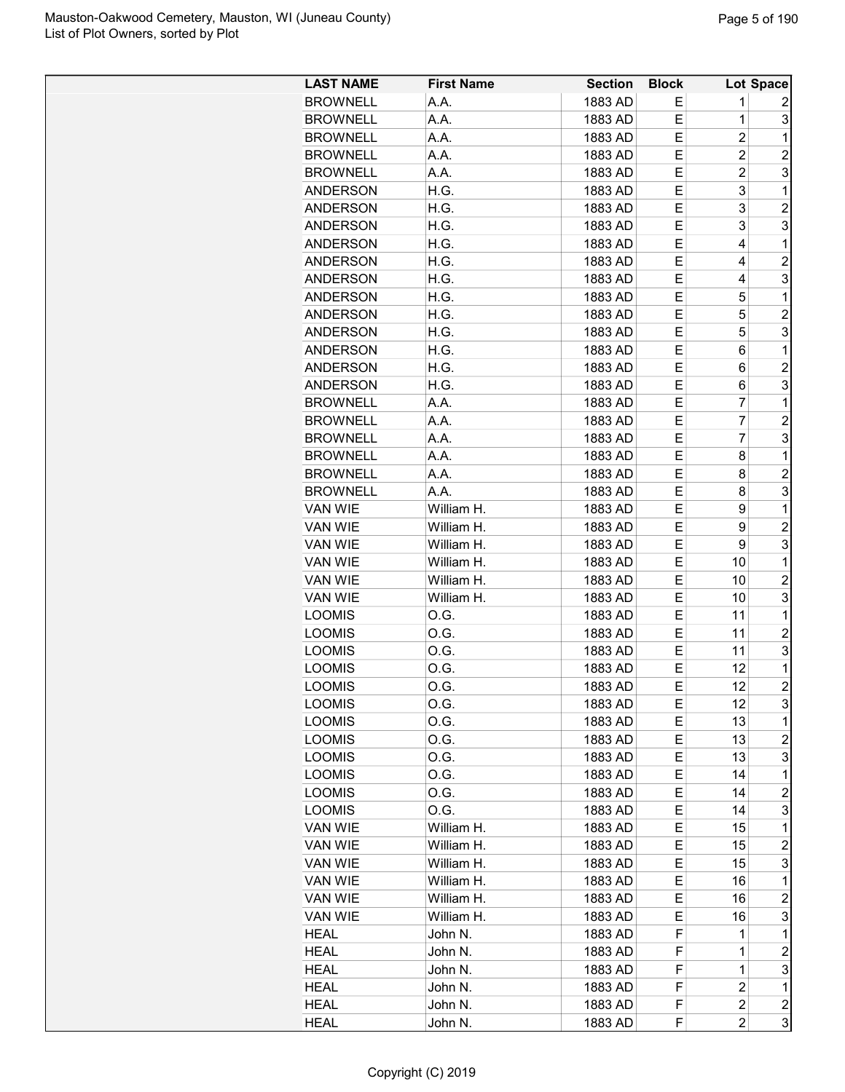| <b>LAST NAME</b> | <b>First Name</b> | <b>Section</b> | <b>Block</b> |                | Lot Space               |
|------------------|-------------------|----------------|--------------|----------------|-------------------------|
| <b>BROWNELL</b>  | A.A.              | 1883 AD        | Е            | 1              | 2                       |
| <b>BROWNELL</b>  | A.A.              | 1883 AD        | Е            | $\mathbf 1$    | 3                       |
| <b>BROWNELL</b>  | A.A.              | 1883 AD        | Е            | 2              | 1                       |
| <b>BROWNELL</b>  | A.A.              | 1883 AD        | Е            | $\overline{2}$ | $\overline{2}$          |
| <b>BROWNELL</b>  | A.A.              | 1883 AD        | Е            | 2              | 3                       |
| <b>ANDERSON</b>  | H.G.              | 1883 AD        | Е            | 3              | 1                       |
| <b>ANDERSON</b>  | H.G.              | 1883 AD        | E            | 3              | $\overline{c}$          |
| <b>ANDERSON</b>  | H.G.              | 1883 AD        | Е            | 3              | 3                       |
| <b>ANDERSON</b>  | H.G.              | 1883 AD        | Е            | 4              | 1                       |
| <b>ANDERSON</b>  | H.G.              | 1883 AD        | Е            | 4              | $\overline{2}$          |
| <b>ANDERSON</b>  | H.G.              | 1883 AD        | Е            | 4              | 3                       |
| <b>ANDERSON</b>  | H.G.              | 1883 AD        | Е            | 5              | 1                       |
| <b>ANDERSON</b>  | H.G.              | 1883 AD        | Е            | 5              | $\overline{2}$          |
| <b>ANDERSON</b>  | H.G.              | 1883 AD        | E            | 5              | 3                       |
| <b>ANDERSON</b>  |                   |                | Е            |                | 1                       |
|                  | H.G.<br>H.G.      | 1883 AD        | Е            | 6<br>6         | $\overline{c}$          |
| <b>ANDERSON</b>  |                   | 1883 AD        |              |                |                         |
| <b>ANDERSON</b>  | H.G.              | 1883 AD        | Е            | 6<br>7         | 3                       |
| <b>BROWNELL</b>  | A.A.              | 1883 AD        | Е            |                | 1                       |
| <b>BROWNELL</b>  | A.A.              | 1883 AD        | Е            | 7              | $\overline{c}$          |
| <b>BROWNELL</b>  | A.A.              | 1883 AD        | Е            | 7              | 3                       |
| <b>BROWNELL</b>  | A.A.              | 1883 AD        | E            | 8              | 1                       |
| <b>BROWNELL</b>  | A.A.              | 1883 AD        | E            | 8              | $\overline{2}$          |
| <b>BROWNELL</b>  | A.A.              | 1883 AD        | Е            | 8              | 3                       |
| <b>VAN WIE</b>   | William H.        | 1883 AD        | Е            | 9              | 1                       |
| VAN WIE          | William H.        | 1883 AD        | Е            | 9              | 2                       |
| VAN WIE          | William H.        | 1883 AD        | Е            | 9              | 3                       |
| <b>VAN WIE</b>   | William H.        | 1883 AD        | Е            | 10             | 1                       |
| VAN WIE          | William H.        | 1883 AD        | Е            | 10             | $\overline{2}$          |
| VAN WIE          | William H.        | 1883 AD        | Е            | 10             | 3                       |
| <b>LOOMIS</b>    | 0.G.              | 1883 AD        | Е            | 11             | 1                       |
| <b>LOOMIS</b>    | 0.G.              | 1883 AD        | Е            | 11             | $\overline{c}$          |
| <b>LOOMIS</b>    | O.G.              | 1883 AD        | Е            | 11             | 3                       |
| <b>LOOMIS</b>    | O.G.              | 1883 AD        | E            | 12             | 1                       |
| <b>LOOMIS</b>    | O.G.              | 1883 AD        | Е            | 12             | $\overline{2}$          |
| <b>LOOMIS</b>    | O.G.              | 1883 AD        | Е            | 12             | 3                       |
| <b>LOOMIS</b>    | O.G.              | 1883 AD        | Е            | 13             | 1                       |
| <b>LOOMIS</b>    | O.G.              | 1883 AD        | Е            | 13             | $\overline{c}$          |
| <b>LOOMIS</b>    | O.G.              | 1883 AD        | Е            | 13             | 3                       |
| <b>LOOMIS</b>    | O.G.              | 1883 AD        | Е            | 14             | 1                       |
| <b>LOOMIS</b>    | O.G.              | 1883 AD        | Е            | 14             | $\overline{c}$          |
| <b>LOOMIS</b>    | O.G.              | 1883 AD        | E.           | 14             | 3                       |
| VAN WIE          | William H.        | 1883 AD        | Е            | 15             | 1                       |
| VAN WIE          | William H.        | 1883 AD        | Е            | 15             | $\overline{c}$          |
| VAN WIE          | William H.        | 1883 AD        | Е            | 15             | 3                       |
| VAN WIE          | William H.        | 1883 AD        | Е            | 16             | 1                       |
| VAN WIE          | William H.        | 1883 AD        | Е            | 16             | 2                       |
| VAN WIE          | William H.        | 1883 AD        | Е            | 16             | 3                       |
| <b>HEAL</b>      | John N.           | 1883 AD        | F            | 1              | 1                       |
| <b>HEAL</b>      | John N.           | 1883 AD        | F            | 1              | $\overline{\mathbf{c}}$ |
| <b>HEAL</b>      | John N.           | 1883 AD        | F            | 1              | 3                       |
| HEAL             | John N.           | 1883 AD        | F            | $\overline{c}$ | 1                       |
| <b>HEAL</b>      | John N.           | 1883 AD        | F            | 2              | $\overline{c}$          |
| <b>HEAL</b>      | John N.           | 1883 AD        | F            | 2              | 3                       |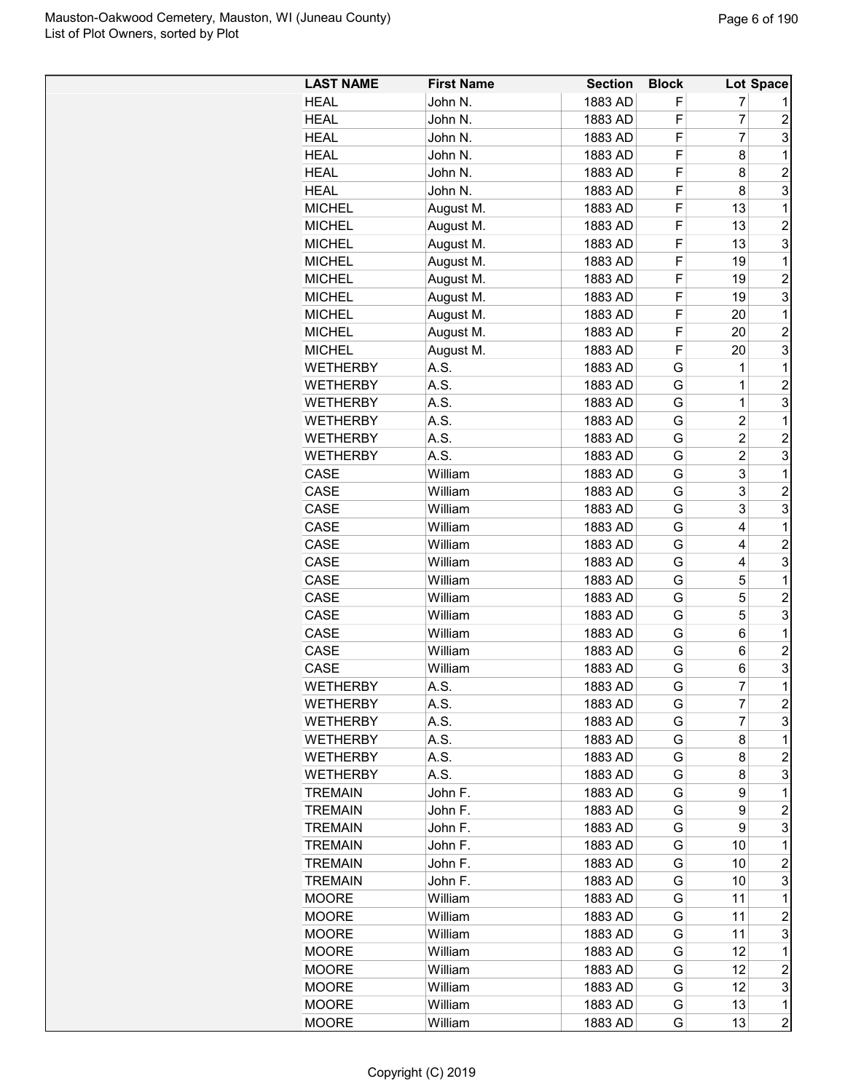| <b>LAST NAME</b> | <b>First Name</b> | <b>Section</b> | <b>Block</b> |                | Lot Space      |
|------------------|-------------------|----------------|--------------|----------------|----------------|
| <b>HEAL</b>      | John N.           | 1883 AD        | F            | 7              |                |
| HEAL             | John N.           | 1883 AD        | F            | 7              | $\overline{c}$ |
| <b>HEAL</b>      | John N.           | 1883 AD        | F            | $\overline{7}$ | 3              |
| <b>HEAL</b>      | John N.           | 1883 AD        | F            | 8              | 1              |
| <b>HEAL</b>      | John N.           | 1883 AD        | F            | 8              | $\overline{2}$ |
| <b>HEAL</b>      | John N.           | 1883 AD        | F            | 8              | 3              |
| <b>MICHEL</b>    | August M.         | 1883 AD        | F            | 13             | 1              |
| <b>MICHEL</b>    | August M.         | 1883 AD        | F            | 13             | $\overline{c}$ |
| <b>MICHEL</b>    | August M.         | 1883 AD        | F            | 13             | 3              |
| <b>MICHEL</b>    | August M.         | 1883 AD        | F            | 19             | 1              |
| <b>MICHEL</b>    | August M.         | 1883 AD        | F            | 19             | $\overline{2}$ |
| <b>MICHEL</b>    | August M.         | 1883 AD        | F            | 19             | 3              |
| <b>MICHEL</b>    | August M.         | 1883 AD        | F            | 20             | 1              |
| <b>MICHEL</b>    | August M.         | 1883 AD        | F            | 20             | $\overline{c}$ |
| <b>MICHEL</b>    | August M.         | 1883 AD        | F            | 20             | 3              |
| <b>WETHERBY</b>  | A.S.              | 1883 AD        | G            | 1              | 1              |
| <b>WETHERBY</b>  | A.S.              | 1883 AD        | G            | 1              | $\overline{c}$ |
| WETHERBY         | A.S.              | 1883 AD        | G            | $\overline{1}$ | 3              |
| <b>WETHERBY</b>  | A.S.              | 1883 AD        | G            | $\overline{c}$ | 1              |
| <b>WETHERBY</b>  | A.S.              | 1883 AD        | G            | $\overline{2}$ | $\overline{c}$ |
| <b>WETHERBY</b>  | A.S.              | 1883 AD        | G            | $\overline{2}$ | 3              |
|                  | William           |                |              |                |                |
| CASE             |                   | 1883 AD        | G            | 3              | 1              |
| CASE             | William           | 1883 AD        | G            | 3              | $\overline{c}$ |
| CASE             | William           | 1883 AD        | G            | 3              | 3              |
| CASE             | William           | 1883 AD        | G            | 4              | 1              |
| CASE             | William           | 1883 AD        | G            | 4              | $\overline{c}$ |
| CASE             | William           | 1883 AD        | G            | 4              | 3              |
| CASE             | William           | 1883 AD        | G            | 5              | 1              |
| CASE             | William           | 1883 AD        | G            | 5              | $\overline{c}$ |
| CASE             | William           | 1883 AD        | G            | 5              | 3              |
| CASE             | William           | 1883 AD        | G            | 6              | 1              |
| CASE             | William           | 1883 AD        | G            | 6              | $\overline{c}$ |
| CASE             | William           | 1883 AD        | G            | 6              | 3              |
| <b>WETHERBY</b>  | A.S.              | 1883 AD        | G            | 7              | $\mathbf{1}$   |
| <b>WETHERBY</b>  | A.S.              | 1883 AD        | G            | 7              | $\overline{c}$ |
| <b>WETHERBY</b>  | A.S.              | 1883 AD        | G            | 7              | 3              |
| <b>WETHERBY</b>  | A.S.              | 1883 AD        | G            | 8              | 1              |
| <b>WETHERBY</b>  | A.S.              | 1883 AD        | G            | 8              | $\overline{c}$ |
| <b>WETHERBY</b>  | A.S.              | 1883 AD        | G            | 8              | 3              |
| <b>TREMAIN</b>   | John F.           | 1883 AD        | G            | 9              | 1              |
| <b>TREMAIN</b>   | John F.           | 1883 AD        | G            | 9              | $\overline{c}$ |
| <b>TREMAIN</b>   | John F.           | 1883 AD        | G            | 9              | 3              |
| <b>TREMAIN</b>   | John F.           | 1883 AD        | G            | 10             | 1              |
| <b>TREMAIN</b>   | John F.           | 1883 AD        | G            | 10             | $\overline{c}$ |
| <b>TREMAIN</b>   | John F.           | 1883 AD        | G            | 10             | 3              |
| <b>MOORE</b>     | William           | 1883 AD        | G            | 11             | 1              |
| <b>MOORE</b>     | William           | 1883 AD        | G            | 11             | 2              |
| <b>MOORE</b>     | William           | 1883 AD        | G            | 11             | 3              |
| <b>MOORE</b>     | William           | 1883 AD        | G            | 12             | 1              |
| <b>MOORE</b>     | William           | 1883 AD        | G            | 12             | $\overline{c}$ |
| <b>MOORE</b>     | William           | 1883 AD        | G            | 12             | 3              |
| <b>MOORE</b>     | William           | 1883 AD        | G            | 13             | 1              |
| <b>MOORE</b>     | William           | 1883 AD        | G            | 13             | $\overline{c}$ |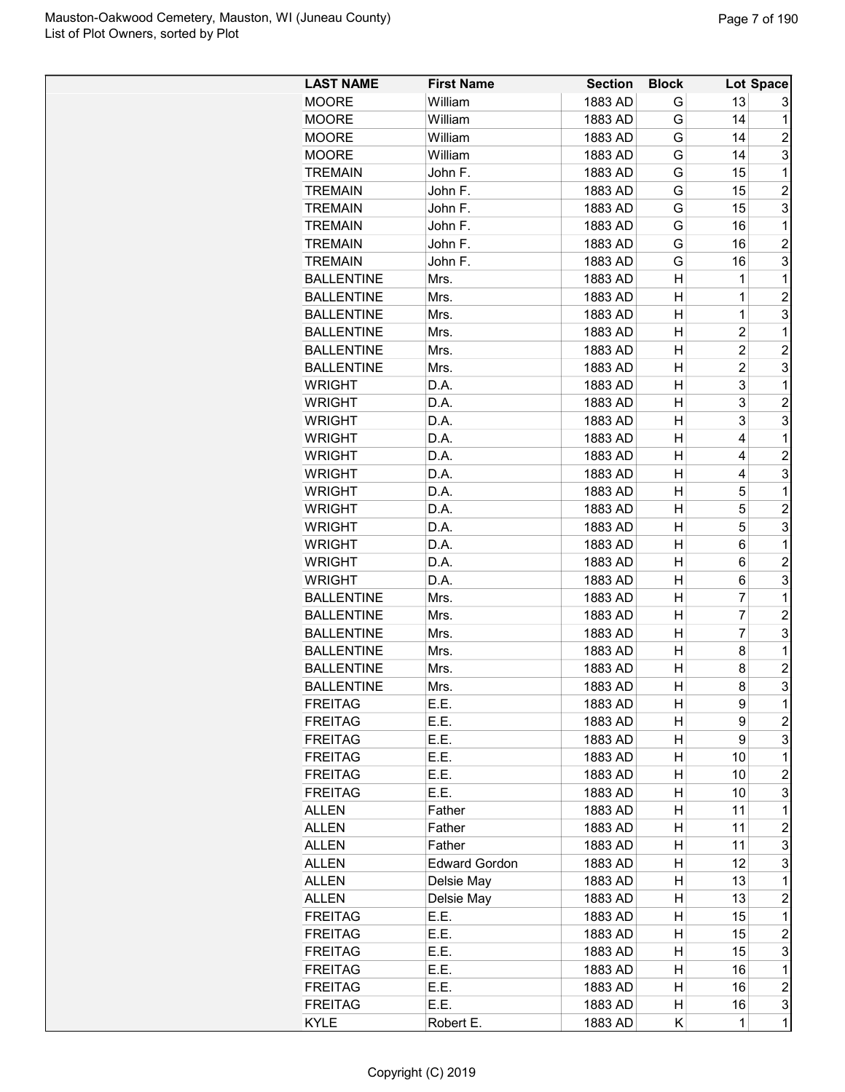| <b>LAST NAME</b>  | <b>First Name</b>    | <b>Section</b> | <b>Block</b> |                | Lot Space      |
|-------------------|----------------------|----------------|--------------|----------------|----------------|
| <b>MOORE</b>      | William              | 1883 AD        | G            | 13             | 3              |
| <b>MOORE</b>      | William              | 1883 AD        | G            | 14             | 1              |
| <b>MOORE</b>      | William              | 1883 AD        | G            | 14             | $\overline{c}$ |
| <b>MOORE</b>      | William              | 1883 AD        | G            | 14             | 3              |
| <b>TREMAIN</b>    | John F.              | 1883 AD        | G            | 15             | 1              |
| <b>TREMAIN</b>    | John F.              | 1883 AD        | G            | 15             | $\overline{2}$ |
| <b>TREMAIN</b>    | John F.              | 1883 AD        | G            | 15             | 3              |
| <b>TREMAIN</b>    | John F.              | 1883 AD        | G            | 16             | $\mathbf{1}$   |
| <b>TREMAIN</b>    | John F.              | 1883 AD        | G            | 16             | $\overline{2}$ |
| <b>TREMAIN</b>    | John F.              | 1883 AD        | G            | 16             | 3              |
| <b>BALLENTINE</b> | Mrs.                 | 1883 AD        | н            | 1              | 1              |
| <b>BALLENTINE</b> | Mrs.                 | 1883 AD        | н            | 1              | $\overline{c}$ |
| <b>BALLENTINE</b> | Mrs.                 | 1883 AD        | н            | 1              | 3              |
| <b>BALLENTINE</b> | Mrs.                 | 1883 AD        | н            | $\overline{2}$ | 1              |
| <b>BALLENTINE</b> | Mrs.                 | 1883 AD        | н            | $\overline{2}$ | $\overline{2}$ |
| <b>BALLENTINE</b> | Mrs.                 | 1883 AD        | н            | $\overline{2}$ | 3              |
| <b>WRIGHT</b>     | D.A.                 | 1883 AD        | н            | 3              | 1              |
| <b>WRIGHT</b>     | D.A.                 | 1883 AD        | н            | 3              | $\overline{2}$ |
| <b>WRIGHT</b>     | D.A.                 | 1883 AD        | н            | 3              | 3              |
| <b>WRIGHT</b>     | D.A.                 | 1883 AD        | н            | 4              | 1              |
| <b>WRIGHT</b>     | D.A.                 | 1883 AD        | н            | 4              | $\overline{c}$ |
| <b>WRIGHT</b>     | D.A.                 | 1883 AD        | Н            | 4              | 3              |
| <b>WRIGHT</b>     | D.A.                 | 1883 AD        | Н            | 5              | 1              |
| <b>WRIGHT</b>     | D.A.                 | 1883 AD        | Н            | 5              | $\overline{c}$ |
| <b>WRIGHT</b>     | D.A.                 | 1883 AD        | н            | 5              | 3              |
| <b>WRIGHT</b>     | D.A.                 | 1883 AD        | н            | 6              | 1              |
| <b>WRIGHT</b>     | D.A.                 | 1883 AD        | н            | 6              | $\overline{c}$ |
| <b>WRIGHT</b>     | D.A.                 | 1883 AD        | н            | 6              | 3              |
| <b>BALLENTINE</b> | Mrs.                 | 1883 AD        | н            | 7              | 1              |
| <b>BALLENTINE</b> | Mrs.                 | 1883 AD        | н            | 7              | $\overline{2}$ |
| <b>BALLENTINE</b> | Mrs.                 | 1883 AD        | н            | 7              | 3              |
| <b>BALLENTINE</b> | Mrs.                 | 1883 AD        | н            | 8              | 1              |
| <b>BALLENTINE</b> | Mrs.                 | 1883 AD        | Н            | 8              | 2              |
| <b>BALLENTINE</b> | Mrs.                 | 1883 AD        | н            | 8              | 3              |
| <b>FREITAG</b>    | E.E.                 | 1883 AD        | н            | 9              | 1              |
| <b>FREITAG</b>    | E.E.                 | 1883 AD        | н            | 9              | $\overline{c}$ |
| <b>FREITAG</b>    | E.E.                 | 1883 AD        | н            | 9              | 3              |
| <b>FREITAG</b>    | E.E.                 | 1883 AD        | н            | 10             | 1              |
| <b>FREITAG</b>    | E.E.                 | 1883 AD        | н            | 10             | 2              |
| <b>FREITAG</b>    | E.E.                 | 1883 AD        | н            | 10             | 3              |
| <b>ALLEN</b>      | Father               | 1883 AD        | н            | 11             | 1              |
| <b>ALLEN</b>      | Father               | 1883 AD        | н            | 11             | $\overline{c}$ |
| <b>ALLEN</b>      | Father               | 1883 AD        | н            | 11             | 3              |
| <b>ALLEN</b>      | <b>Edward Gordon</b> | 1883 AD        | н            | 12             | 3              |
| <b>ALLEN</b>      | Delsie May           | 1883 AD        | н            | 13             | 1              |
| <b>ALLEN</b>      | Delsie May           | 1883 AD        | н            | 13             | $\overline{c}$ |
| <b>FREITAG</b>    | E.E.                 | 1883 AD        | н            | 15             | 1              |
| <b>FREITAG</b>    | E.E.                 | 1883 AD        | н            | 15             | $\overline{c}$ |
| <b>FREITAG</b>    | E.E.                 | 1883 AD        | н            | 15             | 3              |
| <b>FREITAG</b>    | E.E.                 | 1883 AD        | н            | 16             | 1              |
| <b>FREITAG</b>    | E.E.                 | 1883 AD        | н            | 16             | $\overline{c}$ |
| <b>FREITAG</b>    | E.E.                 | 1883 AD        | н            | 16             | 3              |
| <b>KYLE</b>       | Robert E.            | 1883 AD        | Κ            | $\mathbf{1}$   | $\mathbf 1$    |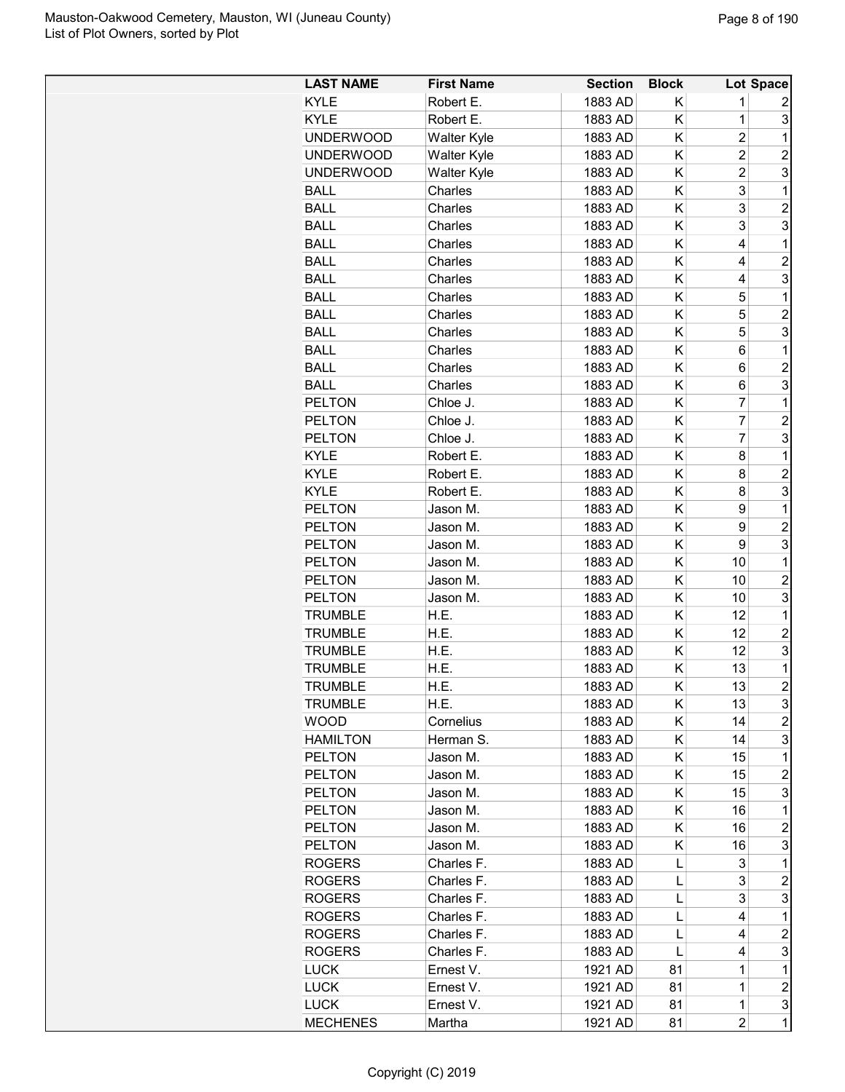| <b>LAST NAME</b> | <b>First Name</b>    | <b>Section</b> | <b>Block</b> |                         | Lot Space      |
|------------------|----------------------|----------------|--------------|-------------------------|----------------|
| <b>KYLE</b>      | Robert E.            | 1883 AD        | Κ            | 1                       | 2              |
| <b>KYLE</b>      | Robert E.            | 1883 AD        | Κ            | 1                       | 3              |
| <b>UNDERWOOD</b> | Walter Kyle          | 1883 AD        | Κ            | $\overline{\mathbf{c}}$ | 1              |
| <b>UNDERWOOD</b> | Walter Kyle          | 1883 AD        | Κ            | $\overline{\mathbf{c}}$ | $\overline{c}$ |
| <b>UNDERWOOD</b> | Walter Kyle          | 1883 AD        | Κ            | $\overline{2}$          | 3              |
| <b>BALL</b>      | Charles              | 1883 AD        | Κ            | 3                       | 1              |
| <b>BALL</b>      | Charles              | 1883 AD        | Κ            | 3                       | $\overline{2}$ |
| <b>BALL</b>      | Charles              | 1883 AD        | Κ            | 3                       | 3              |
| <b>BALL</b>      | Charles              | 1883 AD        | Κ            | 4                       | $\mathbf 1$    |
| <b>BALL</b>      | Charles              | 1883 AD        | Κ            | 4                       | 2              |
| <b>BALL</b>      | Charles              | 1883 AD        | Κ            | 4                       | 3              |
| <b>BALL</b>      | Charles              | 1883 AD        | Κ            | 5                       | $\mathbf 1$    |
| <b>BALL</b>      | Charles              | 1883 AD        | Κ            | 5                       | $\overline{c}$ |
| <b>BALL</b>      | Charles              | 1883 AD        | Κ            | 5                       | 3              |
| <b>BALL</b>      | Charles              | 1883 AD        | Κ            | 6                       | $\mathbf 1$    |
| <b>BALL</b>      | Charles              | 1883 AD        | Κ            | 6                       | $\overline{c}$ |
| <b>BALL</b>      | Charles              | 1883 AD        | Κ            | 6                       | 3              |
| <b>PELTON</b>    | Chloe J.             | 1883 AD        | Κ            | $\overline{7}$          | $\mathbf{1}$   |
| <b>PELTON</b>    |                      | 1883 AD        | Κ            | $\overline{7}$          | $\overline{c}$ |
| <b>PELTON</b>    | Chloe J.<br>Chloe J. |                | Κ            | $\overline{7}$          | 3              |
|                  |                      | 1883 AD        | Κ            |                         |                |
| <b>KYLE</b>      | Robert E.            | 1883 AD        |              | 8                       | 1              |
| <b>KYLE</b>      | Robert E.            | 1883 AD        | Κ            | 8                       | $\overline{c}$ |
| KYLE             | Robert E.            | 1883 AD        | Κ            | 8                       | 3              |
| <b>PELTON</b>    | Jason M.             | 1883 AD        | Κ            | 9                       | 1              |
| <b>PELTON</b>    | Jason M.             | 1883 AD        | Κ            | 9                       | 2              |
| <b>PELTON</b>    | Jason M.             | 1883 AD        | Κ            | 9                       | 3              |
| <b>PELTON</b>    | Jason M.             | 1883 AD        | Κ            | 10                      | $\mathbf 1$    |
| <b>PELTON</b>    | Jason M.             | 1883 AD        | Κ            | 10                      | $\overline{c}$ |
| <b>PELTON</b>    | Jason M.             | 1883 AD        | Κ            | 10                      | 3              |
| <b>TRUMBLE</b>   | H.E.                 | 1883 AD        | Κ            | 12                      | 1              |
| <b>TRUMBLE</b>   | H.E.                 | 1883 AD        | Κ            | 12                      | 2              |
| <b>TRUMBLE</b>   | H.E.                 | 1883 AD        | Κ            | 12                      | 3              |
| <b>TRUMBLE</b>   | H.E.                 | 1883 AD        | Κ            | 13                      | $\mathbf 1$    |
| <b>TRUMBLE</b>   | H.E.                 | 1883 AD        | Κ            | 13                      | $\overline{2}$ |
| <b>TRUMBLE</b>   | H.E.                 | 1883 AD        | Κ            | 13                      | 3              |
| <b>WOOD</b>      | Cornelius            | 1883 AD        | Κ            | 14                      | 2              |
| <b>HAMILTON</b>  | Herman S.            | 1883 AD        | Κ            | 14                      | 3              |
| <b>PELTON</b>    | Jason M.             | 1883 AD        | Κ            | 15                      | 1              |
| <b>PELTON</b>    | Jason M.             | 1883 AD        | Κ            | 15                      | 2              |
| <b>PELTON</b>    | Jason M.             | 1883 AD        | Κ            | 15                      | 3              |
| <b>PELTON</b>    | Jason M.             | 1883 AD        | Κ            | 16                      | $\mathbf 1$    |
| <b>PELTON</b>    | Jason M.             | 1883 AD        | Κ            | 16                      | 2              |
| <b>PELTON</b>    | Jason M.             | 1883 AD        | Κ            | 16                      | 3              |
| <b>ROGERS</b>    | Charles F.           | 1883 AD        | L            | 3                       | $\mathbf 1$    |
| <b>ROGERS</b>    | Charles F.           | 1883 AD        | L            | 3                       | 2              |
| <b>ROGERS</b>    | Charles F.           | 1883 AD        | L            | 3                       | 3              |
| <b>ROGERS</b>    | Charles F.           | 1883 AD        | L            | 4                       | 1              |
| <b>ROGERS</b>    | Charles F.           | 1883 AD        | L            | 4                       | 2              |
| <b>ROGERS</b>    | Charles F.           | 1883 AD        | L            | 4                       | 3              |
| <b>LUCK</b>      | Ernest V.            | 1921 AD        | 81           | 1                       | $\mathbf 1$    |
| <b>LUCK</b>      | Ernest V.            | 1921 AD        | 81           | 1                       | $\overline{c}$ |
| <b>LUCK</b>      | Ernest V.            | 1921 AD        | 81           | $\mathbf 1$             | 3              |
| <b>MECHENES</b>  | Martha               | 1921 AD        | 81           | $\overline{c}$          | $\mathbf 1$    |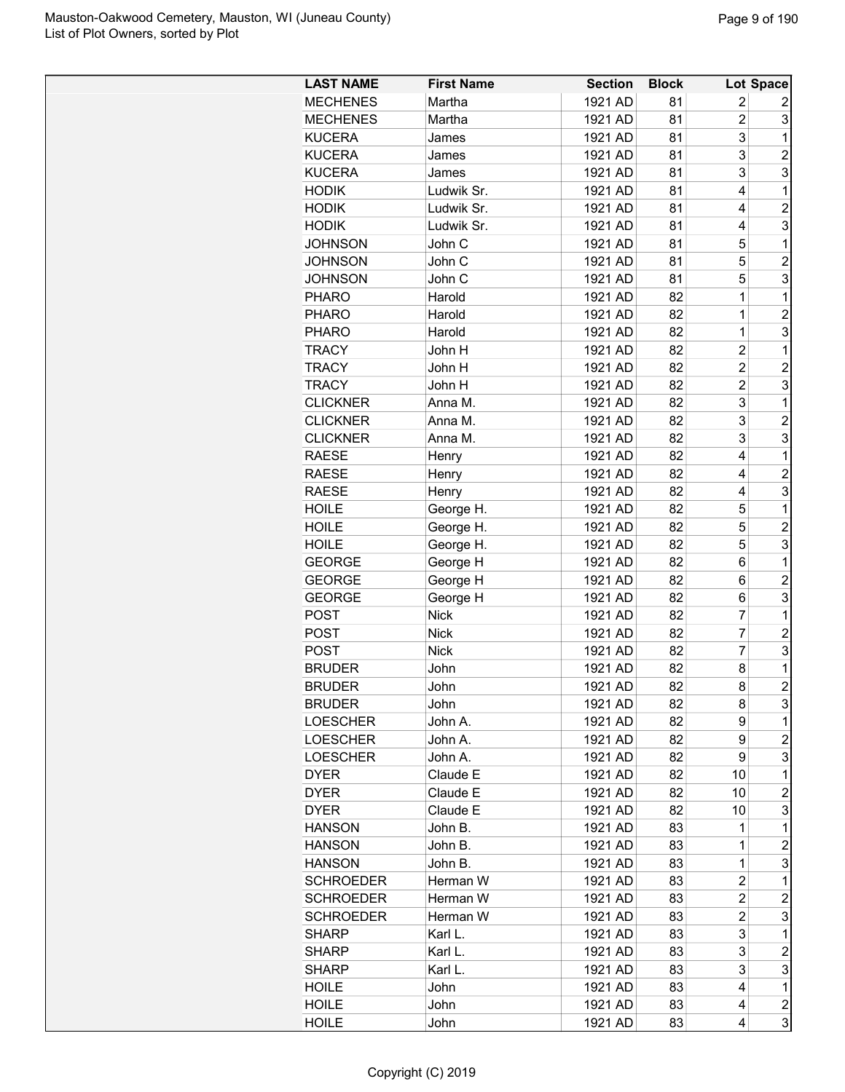| <b>LAST NAME</b>               | <b>First Name</b> | <b>Section</b>     | <b>Block</b> |                         | Lot Space               |
|--------------------------------|-------------------|--------------------|--------------|-------------------------|-------------------------|
| <b>MECHENES</b>                | Martha            | 1921 AD            | 81           | 2                       | 2                       |
| <b>MECHENES</b>                | Martha            | 1921 AD            | 81           | $\overline{2}$          | 3                       |
| <b>KUCERA</b>                  | James             | 1921 AD            | 81           | 3                       | 1                       |
| <b>KUCERA</b>                  | James             | 1921 AD            | 81           | 3                       | $\overline{2}$          |
| <b>KUCERA</b>                  | James             | 1921 AD            | 81           | 3                       | 3                       |
| <b>HODIK</b>                   | Ludwik Sr.        | 1921 AD            | 81           | 4                       | 1                       |
| <b>HODIK</b>                   | Ludwik Sr.        | 1921 AD            | 81           | 4                       | $\overline{c}$          |
| <b>HODIK</b>                   | Ludwik Sr.        | 1921 AD            | 81           | 4                       | 3                       |
| <b>JOHNSON</b>                 | John C            | 1921 AD            | 81           | 5                       | 1                       |
| <b>JOHNSON</b>                 | John C            | 1921 AD            | 81           | 5                       | $\overline{c}$          |
| <b>JOHNSON</b>                 | John C            | 1921 AD            | 81           | 5                       | 3                       |
| <b>PHARO</b>                   | Harold            | 1921 AD            | 82           | 1                       | 1                       |
| <b>PHARO</b>                   | Harold            | 1921 AD            | 82           | 1                       | $\overline{2}$          |
| <b>PHARO</b>                   | Harold            | 1921 AD            | 82           | 1                       | 3                       |
| <b>TRACY</b>                   | John H            | 1921 AD            | 82           | $\overline{2}$          | 1                       |
| <b>TRACY</b>                   | John H            | 1921 AD            | 82           | $\overline{2}$          | $\overline{2}$          |
| <b>TRACY</b>                   | John H            | 1921 AD            | 82           | $\overline{2}$          | 3                       |
| <b>CLICKNER</b>                | Anna M.           | 1921 AD            | 82           | 3                       | 1                       |
| <b>CLICKNER</b>                | Anna M.           | 1921 AD            | 82           | 3                       | $\overline{2}$          |
| <b>CLICKNER</b>                | Anna M.           | 1921 AD            | 82           | 3                       | 3                       |
| <b>RAESE</b>                   | Henry             | 1921 AD            | 82           | 4                       | 1                       |
| <b>RAESE</b>                   | Henry             | 1921 AD            | 82           | 4                       | $\overline{c}$          |
| <b>RAESE</b>                   | Henry             | 1921 AD            | 82           | 4                       | 3                       |
| <b>HOILE</b>                   |                   | 1921 AD            | 82           | 5                       | 1                       |
|                                | George H.         |                    | 82           | 5                       | $\overline{c}$          |
| <b>HOILE</b>                   | George H.         | 1921 AD            |              | 5                       | 3                       |
| <b>HOILE</b>                   | George H.         | 1921 AD            | 82           |                         |                         |
| <b>GEORGE</b><br><b>GEORGE</b> | George H          | 1921 AD<br>1921 AD | 82<br>82     | 6<br>6                  | 1<br>$\overline{c}$     |
| <b>GEORGE</b>                  | George H          | 1921 AD            | 82           |                         | 3                       |
|                                | George H          |                    |              | 6<br>7                  |                         |
| <b>POST</b>                    | <b>Nick</b>       | 1921 AD            | 82           |                         | 1                       |
| POST                           | <b>Nick</b>       | 1921 AD            | 82           | 7<br>$\overline{7}$     | $\overline{c}$          |
| <b>POST</b>                    | <b>Nick</b>       | 1921 AD            | 82           |                         | 3                       |
| <b>BRUDER</b>                  | John              | 1921 AD            | 82           | 8                       | 1<br>$\overline{2}$     |
| <b>BRUDER</b>                  | John              | 1921 AD            | 82           | 8                       |                         |
| <b>BRUDER</b>                  | John              | 1921 AD            | 82           | 8                       | 3                       |
| <b>LOESCHER</b>                | John A.           | 1921 AD            | 82           | 9                       | 1                       |
| <b>LOESCHER</b>                | John A.           | 1921 AD            | 82           | 9                       | $\overline{c}$          |
| <b>LOESCHER</b>                | John A.           | 1921 AD            | 82           | 9                       | 3                       |
| <b>DYER</b>                    | Claude E          | 1921 AD            | 82           | 10                      | 1                       |
| <b>DYER</b>                    | Claude E          | 1921 AD            | 82           | 10                      | 2                       |
| DYER                           | Claude E          | 1921 AD            | 82           | 10                      | 3                       |
| <b>HANSON</b>                  | John B.           | 1921 AD            | 83           | 1                       | 1                       |
| <b>HANSON</b>                  | John B.           | 1921 AD            | 83           | 1                       | $\overline{c}$          |
| <b>HANSON</b>                  | John B.           | 1921 AD            | 83           | 1                       | 3                       |
| <b>SCHROEDER</b>               | Herman W          | 1921 AD            | 83           | $\overline{c}$          | 1                       |
| <b>SCHROEDER</b>               | Herman W          | 1921 AD            | 83           | 2                       | $\overline{c}$          |
| <b>SCHROEDER</b>               | Herman W          | 1921 AD            | 83           | $\overline{\mathbf{c}}$ | 3                       |
| <b>SHARP</b>                   | Karl L.           | 1921 AD            | 83           | 3                       | 1                       |
| <b>SHARP</b>                   | Karl L.           | 1921 AD            | 83           | 3                       | $\overline{c}$          |
| <b>SHARP</b>                   | Karl L.           | 1921 AD            | 83           | 3                       | 3                       |
| <b>HOILE</b>                   | John              | 1921 AD            | 83           | 4                       | 1                       |
| <b>HOILE</b>                   | John              | 1921 AD            | 83           | 4                       | $\overline{\mathbf{c}}$ |
| <b>HOILE</b>                   | John              | 1921 AD            | 83           | 4                       | 3                       |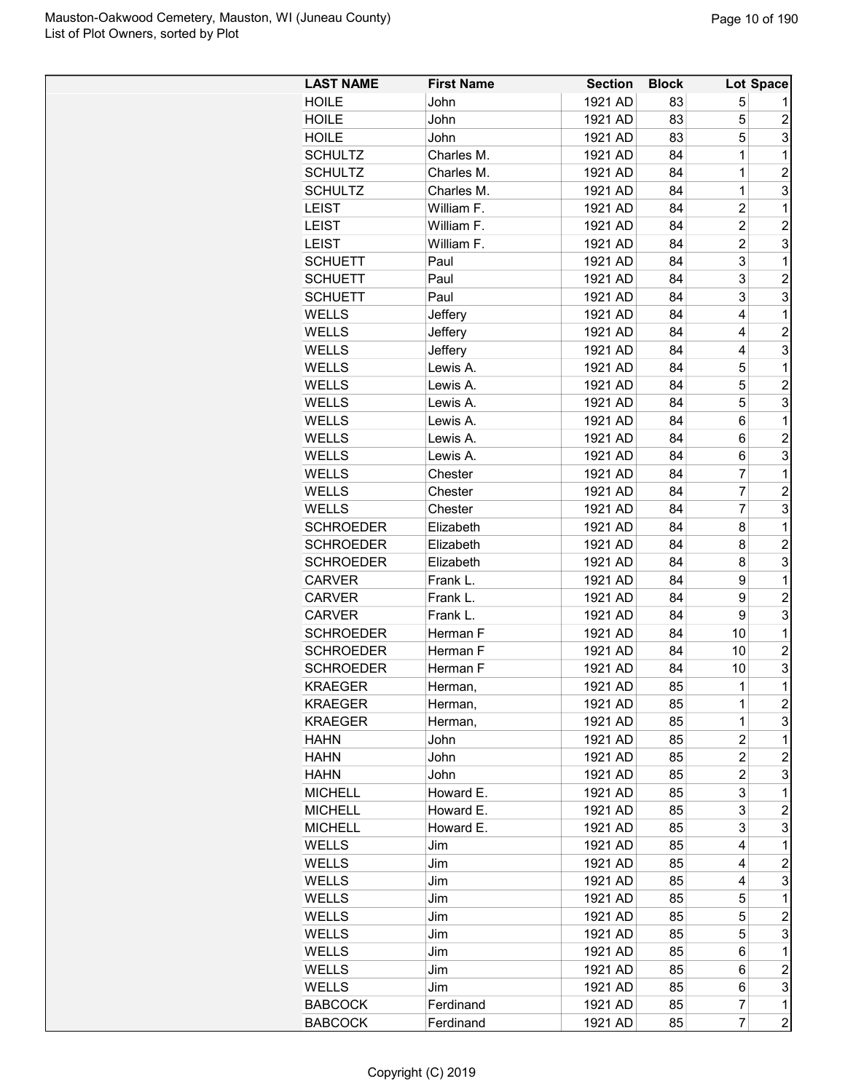| <b>HOILE</b><br>1921 AD<br>5<br>John<br>83<br>5<br>1921 AD<br>83<br>$\overline{c}$<br><b>HOILE</b><br>John<br>5<br>3<br>1921 AD<br><b>HOILE</b><br>John<br>83<br>$\mathbf 1$<br>1<br><b>SCHULTZ</b><br>Charles M.<br>1921 AD<br>84<br>$\overline{2}$<br>1<br><b>SCHULTZ</b><br>Charles M.<br>1921 AD<br>84<br>3<br><b>SCHULTZ</b><br>Charles M.<br>1<br>1921 AD<br>84<br>$\overline{c}$<br><b>LEIST</b><br>William F.<br>1921 AD<br>84<br>1<br>$\overline{c}$<br>$\overline{2}$<br>1921 AD<br><b>LEIST</b><br>William F.<br>84<br>3<br>$\overline{2}$<br>1921 AD<br>84<br><b>LEIST</b><br>William F.<br>3<br>84<br>1<br><b>SCHUETT</b><br>Paul<br>1921 AD<br>3<br><b>SCHUETT</b><br>84<br>$\overline{c}$<br>Paul<br>1921 AD<br>3<br>3<br><b>SCHUETT</b><br>Paul<br>1921 AD<br>84<br><b>WELLS</b><br>1<br>Jeffery<br>1921 AD<br>84<br>4<br><b>WELLS</b><br>Jeffery<br>1921 AD<br>84<br>$\overline{c}$<br>4<br>3<br><b>WELLS</b><br>1921 AD<br>Jeffery<br>84<br>4<br>5<br>$\mathbf 1$<br><b>WELLS</b><br>Lewis A.<br>1921 AD<br>84<br>5<br>$\overline{c}$<br><b>WELLS</b><br>Lewis A.<br>1921 AD<br>84<br>5<br>3<br><b>WELLS</b><br>Lewis A.<br>1921 AD<br>84<br>WELLS<br>Lewis A.<br>1921 AD<br>84<br>6<br>1<br><b>WELLS</b><br>1921 AD<br>$\overline{c}$<br>84<br>6<br>Lewis A.<br>3<br><b>WELLS</b><br>Lewis A.<br>1921 AD<br>84<br>6<br>$\overline{7}$<br>$\mathbf 1$<br><b>WELLS</b><br>1921 AD<br>84<br>Chester<br>$\overline{7}$<br>$\overline{c}$<br><b>WELLS</b><br>1921 AD<br>84<br>Chester<br>$\overline{7}$<br>3<br>84<br><b>WELLS</b><br>Chester<br>1921 AD<br>8<br><b>SCHROEDER</b><br>84<br>1<br>Elizabeth<br>1921 AD<br>2<br><b>SCHROEDER</b><br>Elizabeth<br>1921 AD<br>84<br>8<br>3<br><b>SCHROEDER</b><br>Elizabeth<br>1921 AD<br>84<br>8<br>9<br><b>CARVER</b><br>Frank L.<br>1921 AD<br>84<br>1<br>Frank L.<br>1921 AD<br>9<br>$\overline{c}$<br><b>CARVER</b><br>84<br>3<br>9<br><b>CARVER</b><br>Frank L.<br>1921 AD<br>84<br>10<br>$\mathbf 1$<br><b>SCHROEDER</b><br>Herman F<br>1921 AD<br>84<br>10<br>2<br><b>SCHROEDER</b><br>Herman F<br>1921 AD<br>84<br>3<br>84<br><b>SCHROEDER</b><br>Herman F<br>1921 AD<br>10<br>85<br>$\mathbf{1}$<br>1<br><b>KRAEGER</b><br>1921 AD<br>Herman,<br>$\overline{\mathbf{c}}$<br>KRAEGER<br>1921 AD<br>85<br>1<br>Herman,<br>3<br><b>KRAEGER</b><br>1921 AD<br>85<br>1<br>Herman,<br>2<br>85<br>1<br>HAHN<br>John<br>1921 AD<br>$\overline{c}$<br>$\overline{c}$<br>1921 AD<br>85<br><b>HAHN</b><br>John<br>$\overline{c}$<br>3<br><b>HAHN</b><br>1921 AD<br>85<br>John<br>3<br>85<br>1<br><b>MICHELL</b><br>Howard E.<br>1921 AD<br>3<br>2<br><b>MICHELL</b><br>Howard E.<br>1921 AD<br>85<br>3<br><b>MICHELL</b><br>Howard E.<br>1921 AD<br>3<br>85<br>1<br>WELLS<br>1921 AD<br>85<br>4<br>Jim<br>$\overline{c}$<br><b>WELLS</b><br>1921 AD<br>85<br>4<br>Jim<br>3<br><b>WELLS</b><br>1921 AD<br>85<br>4<br>Jim<br>1<br><b>WELLS</b><br>Jim<br>1921 AD<br>85<br>5<br>5<br>85<br>2<br>WELLS<br>Jim<br>1921 AD<br>5<br>3<br>WELLS<br>1921 AD<br>85<br>Jim<br>WELLS<br>1921 AD<br>85<br>1<br>Jim<br>6<br>$\overline{c}$<br><b>WELLS</b><br>1921 AD<br>85<br>6<br>Jim<br>3<br><b>WELLS</b><br>1921 AD<br>85<br>6<br>Jim<br>$\overline{7}$<br>Ferdinand<br>1921 AD<br>85<br>1<br><b>BABCOCK</b> | <b>LAST NAME</b> | <b>First Name</b> | <b>Section</b> | <b>Block</b> | Lot Space      |
|------------------------------------------------------------------------------------------------------------------------------------------------------------------------------------------------------------------------------------------------------------------------------------------------------------------------------------------------------------------------------------------------------------------------------------------------------------------------------------------------------------------------------------------------------------------------------------------------------------------------------------------------------------------------------------------------------------------------------------------------------------------------------------------------------------------------------------------------------------------------------------------------------------------------------------------------------------------------------------------------------------------------------------------------------------------------------------------------------------------------------------------------------------------------------------------------------------------------------------------------------------------------------------------------------------------------------------------------------------------------------------------------------------------------------------------------------------------------------------------------------------------------------------------------------------------------------------------------------------------------------------------------------------------------------------------------------------------------------------------------------------------------------------------------------------------------------------------------------------------------------------------------------------------------------------------------------------------------------------------------------------------------------------------------------------------------------------------------------------------------------------------------------------------------------------------------------------------------------------------------------------------------------------------------------------------------------------------------------------------------------------------------------------------------------------------------------------------------------------------------------------------------------------------------------------------------------------------------------------------------------------------------------------------------------------------------------------------------------------------------------------------------------------------------------------------------------------------------------------------------------------------------------------------------------------------------------------------------------------------------------------------------------------------------------------------------------------------------------------------------------------------------------------------------------------------------------------------------------------------------------------|------------------|-------------------|----------------|--------------|----------------|
|                                                                                                                                                                                                                                                                                                                                                                                                                                                                                                                                                                                                                                                                                                                                                                                                                                                                                                                                                                                                                                                                                                                                                                                                                                                                                                                                                                                                                                                                                                                                                                                                                                                                                                                                                                                                                                                                                                                                                                                                                                                                                                                                                                                                                                                                                                                                                                                                                                                                                                                                                                                                                                                                                                                                                                                                                                                                                                                                                                                                                                                                                                                                                                                                                                                            |                  |                   |                |              |                |
|                                                                                                                                                                                                                                                                                                                                                                                                                                                                                                                                                                                                                                                                                                                                                                                                                                                                                                                                                                                                                                                                                                                                                                                                                                                                                                                                                                                                                                                                                                                                                                                                                                                                                                                                                                                                                                                                                                                                                                                                                                                                                                                                                                                                                                                                                                                                                                                                                                                                                                                                                                                                                                                                                                                                                                                                                                                                                                                                                                                                                                                                                                                                                                                                                                                            |                  |                   |                |              |                |
|                                                                                                                                                                                                                                                                                                                                                                                                                                                                                                                                                                                                                                                                                                                                                                                                                                                                                                                                                                                                                                                                                                                                                                                                                                                                                                                                                                                                                                                                                                                                                                                                                                                                                                                                                                                                                                                                                                                                                                                                                                                                                                                                                                                                                                                                                                                                                                                                                                                                                                                                                                                                                                                                                                                                                                                                                                                                                                                                                                                                                                                                                                                                                                                                                                                            |                  |                   |                |              |                |
|                                                                                                                                                                                                                                                                                                                                                                                                                                                                                                                                                                                                                                                                                                                                                                                                                                                                                                                                                                                                                                                                                                                                                                                                                                                                                                                                                                                                                                                                                                                                                                                                                                                                                                                                                                                                                                                                                                                                                                                                                                                                                                                                                                                                                                                                                                                                                                                                                                                                                                                                                                                                                                                                                                                                                                                                                                                                                                                                                                                                                                                                                                                                                                                                                                                            |                  |                   |                |              |                |
|                                                                                                                                                                                                                                                                                                                                                                                                                                                                                                                                                                                                                                                                                                                                                                                                                                                                                                                                                                                                                                                                                                                                                                                                                                                                                                                                                                                                                                                                                                                                                                                                                                                                                                                                                                                                                                                                                                                                                                                                                                                                                                                                                                                                                                                                                                                                                                                                                                                                                                                                                                                                                                                                                                                                                                                                                                                                                                                                                                                                                                                                                                                                                                                                                                                            |                  |                   |                |              |                |
|                                                                                                                                                                                                                                                                                                                                                                                                                                                                                                                                                                                                                                                                                                                                                                                                                                                                                                                                                                                                                                                                                                                                                                                                                                                                                                                                                                                                                                                                                                                                                                                                                                                                                                                                                                                                                                                                                                                                                                                                                                                                                                                                                                                                                                                                                                                                                                                                                                                                                                                                                                                                                                                                                                                                                                                                                                                                                                                                                                                                                                                                                                                                                                                                                                                            |                  |                   |                |              |                |
|                                                                                                                                                                                                                                                                                                                                                                                                                                                                                                                                                                                                                                                                                                                                                                                                                                                                                                                                                                                                                                                                                                                                                                                                                                                                                                                                                                                                                                                                                                                                                                                                                                                                                                                                                                                                                                                                                                                                                                                                                                                                                                                                                                                                                                                                                                                                                                                                                                                                                                                                                                                                                                                                                                                                                                                                                                                                                                                                                                                                                                                                                                                                                                                                                                                            |                  |                   |                |              |                |
|                                                                                                                                                                                                                                                                                                                                                                                                                                                                                                                                                                                                                                                                                                                                                                                                                                                                                                                                                                                                                                                                                                                                                                                                                                                                                                                                                                                                                                                                                                                                                                                                                                                                                                                                                                                                                                                                                                                                                                                                                                                                                                                                                                                                                                                                                                                                                                                                                                                                                                                                                                                                                                                                                                                                                                                                                                                                                                                                                                                                                                                                                                                                                                                                                                                            |                  |                   |                |              |                |
|                                                                                                                                                                                                                                                                                                                                                                                                                                                                                                                                                                                                                                                                                                                                                                                                                                                                                                                                                                                                                                                                                                                                                                                                                                                                                                                                                                                                                                                                                                                                                                                                                                                                                                                                                                                                                                                                                                                                                                                                                                                                                                                                                                                                                                                                                                                                                                                                                                                                                                                                                                                                                                                                                                                                                                                                                                                                                                                                                                                                                                                                                                                                                                                                                                                            |                  |                   |                |              |                |
|                                                                                                                                                                                                                                                                                                                                                                                                                                                                                                                                                                                                                                                                                                                                                                                                                                                                                                                                                                                                                                                                                                                                                                                                                                                                                                                                                                                                                                                                                                                                                                                                                                                                                                                                                                                                                                                                                                                                                                                                                                                                                                                                                                                                                                                                                                                                                                                                                                                                                                                                                                                                                                                                                                                                                                                                                                                                                                                                                                                                                                                                                                                                                                                                                                                            |                  |                   |                |              |                |
|                                                                                                                                                                                                                                                                                                                                                                                                                                                                                                                                                                                                                                                                                                                                                                                                                                                                                                                                                                                                                                                                                                                                                                                                                                                                                                                                                                                                                                                                                                                                                                                                                                                                                                                                                                                                                                                                                                                                                                                                                                                                                                                                                                                                                                                                                                                                                                                                                                                                                                                                                                                                                                                                                                                                                                                                                                                                                                                                                                                                                                                                                                                                                                                                                                                            |                  |                   |                |              |                |
|                                                                                                                                                                                                                                                                                                                                                                                                                                                                                                                                                                                                                                                                                                                                                                                                                                                                                                                                                                                                                                                                                                                                                                                                                                                                                                                                                                                                                                                                                                                                                                                                                                                                                                                                                                                                                                                                                                                                                                                                                                                                                                                                                                                                                                                                                                                                                                                                                                                                                                                                                                                                                                                                                                                                                                                                                                                                                                                                                                                                                                                                                                                                                                                                                                                            |                  |                   |                |              |                |
|                                                                                                                                                                                                                                                                                                                                                                                                                                                                                                                                                                                                                                                                                                                                                                                                                                                                                                                                                                                                                                                                                                                                                                                                                                                                                                                                                                                                                                                                                                                                                                                                                                                                                                                                                                                                                                                                                                                                                                                                                                                                                                                                                                                                                                                                                                                                                                                                                                                                                                                                                                                                                                                                                                                                                                                                                                                                                                                                                                                                                                                                                                                                                                                                                                                            |                  |                   |                |              |                |
|                                                                                                                                                                                                                                                                                                                                                                                                                                                                                                                                                                                                                                                                                                                                                                                                                                                                                                                                                                                                                                                                                                                                                                                                                                                                                                                                                                                                                                                                                                                                                                                                                                                                                                                                                                                                                                                                                                                                                                                                                                                                                                                                                                                                                                                                                                                                                                                                                                                                                                                                                                                                                                                                                                                                                                                                                                                                                                                                                                                                                                                                                                                                                                                                                                                            |                  |                   |                |              |                |
|                                                                                                                                                                                                                                                                                                                                                                                                                                                                                                                                                                                                                                                                                                                                                                                                                                                                                                                                                                                                                                                                                                                                                                                                                                                                                                                                                                                                                                                                                                                                                                                                                                                                                                                                                                                                                                                                                                                                                                                                                                                                                                                                                                                                                                                                                                                                                                                                                                                                                                                                                                                                                                                                                                                                                                                                                                                                                                                                                                                                                                                                                                                                                                                                                                                            |                  |                   |                |              |                |
|                                                                                                                                                                                                                                                                                                                                                                                                                                                                                                                                                                                                                                                                                                                                                                                                                                                                                                                                                                                                                                                                                                                                                                                                                                                                                                                                                                                                                                                                                                                                                                                                                                                                                                                                                                                                                                                                                                                                                                                                                                                                                                                                                                                                                                                                                                                                                                                                                                                                                                                                                                                                                                                                                                                                                                                                                                                                                                                                                                                                                                                                                                                                                                                                                                                            |                  |                   |                |              |                |
|                                                                                                                                                                                                                                                                                                                                                                                                                                                                                                                                                                                                                                                                                                                                                                                                                                                                                                                                                                                                                                                                                                                                                                                                                                                                                                                                                                                                                                                                                                                                                                                                                                                                                                                                                                                                                                                                                                                                                                                                                                                                                                                                                                                                                                                                                                                                                                                                                                                                                                                                                                                                                                                                                                                                                                                                                                                                                                                                                                                                                                                                                                                                                                                                                                                            |                  |                   |                |              |                |
|                                                                                                                                                                                                                                                                                                                                                                                                                                                                                                                                                                                                                                                                                                                                                                                                                                                                                                                                                                                                                                                                                                                                                                                                                                                                                                                                                                                                                                                                                                                                                                                                                                                                                                                                                                                                                                                                                                                                                                                                                                                                                                                                                                                                                                                                                                                                                                                                                                                                                                                                                                                                                                                                                                                                                                                                                                                                                                                                                                                                                                                                                                                                                                                                                                                            |                  |                   |                |              |                |
|                                                                                                                                                                                                                                                                                                                                                                                                                                                                                                                                                                                                                                                                                                                                                                                                                                                                                                                                                                                                                                                                                                                                                                                                                                                                                                                                                                                                                                                                                                                                                                                                                                                                                                                                                                                                                                                                                                                                                                                                                                                                                                                                                                                                                                                                                                                                                                                                                                                                                                                                                                                                                                                                                                                                                                                                                                                                                                                                                                                                                                                                                                                                                                                                                                                            |                  |                   |                |              |                |
|                                                                                                                                                                                                                                                                                                                                                                                                                                                                                                                                                                                                                                                                                                                                                                                                                                                                                                                                                                                                                                                                                                                                                                                                                                                                                                                                                                                                                                                                                                                                                                                                                                                                                                                                                                                                                                                                                                                                                                                                                                                                                                                                                                                                                                                                                                                                                                                                                                                                                                                                                                                                                                                                                                                                                                                                                                                                                                                                                                                                                                                                                                                                                                                                                                                            |                  |                   |                |              |                |
|                                                                                                                                                                                                                                                                                                                                                                                                                                                                                                                                                                                                                                                                                                                                                                                                                                                                                                                                                                                                                                                                                                                                                                                                                                                                                                                                                                                                                                                                                                                                                                                                                                                                                                                                                                                                                                                                                                                                                                                                                                                                                                                                                                                                                                                                                                                                                                                                                                                                                                                                                                                                                                                                                                                                                                                                                                                                                                                                                                                                                                                                                                                                                                                                                                                            |                  |                   |                |              |                |
|                                                                                                                                                                                                                                                                                                                                                                                                                                                                                                                                                                                                                                                                                                                                                                                                                                                                                                                                                                                                                                                                                                                                                                                                                                                                                                                                                                                                                                                                                                                                                                                                                                                                                                                                                                                                                                                                                                                                                                                                                                                                                                                                                                                                                                                                                                                                                                                                                                                                                                                                                                                                                                                                                                                                                                                                                                                                                                                                                                                                                                                                                                                                                                                                                                                            |                  |                   |                |              |                |
|                                                                                                                                                                                                                                                                                                                                                                                                                                                                                                                                                                                                                                                                                                                                                                                                                                                                                                                                                                                                                                                                                                                                                                                                                                                                                                                                                                                                                                                                                                                                                                                                                                                                                                                                                                                                                                                                                                                                                                                                                                                                                                                                                                                                                                                                                                                                                                                                                                                                                                                                                                                                                                                                                                                                                                                                                                                                                                                                                                                                                                                                                                                                                                                                                                                            |                  |                   |                |              |                |
|                                                                                                                                                                                                                                                                                                                                                                                                                                                                                                                                                                                                                                                                                                                                                                                                                                                                                                                                                                                                                                                                                                                                                                                                                                                                                                                                                                                                                                                                                                                                                                                                                                                                                                                                                                                                                                                                                                                                                                                                                                                                                                                                                                                                                                                                                                                                                                                                                                                                                                                                                                                                                                                                                                                                                                                                                                                                                                                                                                                                                                                                                                                                                                                                                                                            |                  |                   |                |              |                |
|                                                                                                                                                                                                                                                                                                                                                                                                                                                                                                                                                                                                                                                                                                                                                                                                                                                                                                                                                                                                                                                                                                                                                                                                                                                                                                                                                                                                                                                                                                                                                                                                                                                                                                                                                                                                                                                                                                                                                                                                                                                                                                                                                                                                                                                                                                                                                                                                                                                                                                                                                                                                                                                                                                                                                                                                                                                                                                                                                                                                                                                                                                                                                                                                                                                            |                  |                   |                |              |                |
|                                                                                                                                                                                                                                                                                                                                                                                                                                                                                                                                                                                                                                                                                                                                                                                                                                                                                                                                                                                                                                                                                                                                                                                                                                                                                                                                                                                                                                                                                                                                                                                                                                                                                                                                                                                                                                                                                                                                                                                                                                                                                                                                                                                                                                                                                                                                                                                                                                                                                                                                                                                                                                                                                                                                                                                                                                                                                                                                                                                                                                                                                                                                                                                                                                                            |                  |                   |                |              |                |
|                                                                                                                                                                                                                                                                                                                                                                                                                                                                                                                                                                                                                                                                                                                                                                                                                                                                                                                                                                                                                                                                                                                                                                                                                                                                                                                                                                                                                                                                                                                                                                                                                                                                                                                                                                                                                                                                                                                                                                                                                                                                                                                                                                                                                                                                                                                                                                                                                                                                                                                                                                                                                                                                                                                                                                                                                                                                                                                                                                                                                                                                                                                                                                                                                                                            |                  |                   |                |              |                |
|                                                                                                                                                                                                                                                                                                                                                                                                                                                                                                                                                                                                                                                                                                                                                                                                                                                                                                                                                                                                                                                                                                                                                                                                                                                                                                                                                                                                                                                                                                                                                                                                                                                                                                                                                                                                                                                                                                                                                                                                                                                                                                                                                                                                                                                                                                                                                                                                                                                                                                                                                                                                                                                                                                                                                                                                                                                                                                                                                                                                                                                                                                                                                                                                                                                            |                  |                   |                |              |                |
|                                                                                                                                                                                                                                                                                                                                                                                                                                                                                                                                                                                                                                                                                                                                                                                                                                                                                                                                                                                                                                                                                                                                                                                                                                                                                                                                                                                                                                                                                                                                                                                                                                                                                                                                                                                                                                                                                                                                                                                                                                                                                                                                                                                                                                                                                                                                                                                                                                                                                                                                                                                                                                                                                                                                                                                                                                                                                                                                                                                                                                                                                                                                                                                                                                                            |                  |                   |                |              |                |
|                                                                                                                                                                                                                                                                                                                                                                                                                                                                                                                                                                                                                                                                                                                                                                                                                                                                                                                                                                                                                                                                                                                                                                                                                                                                                                                                                                                                                                                                                                                                                                                                                                                                                                                                                                                                                                                                                                                                                                                                                                                                                                                                                                                                                                                                                                                                                                                                                                                                                                                                                                                                                                                                                                                                                                                                                                                                                                                                                                                                                                                                                                                                                                                                                                                            |                  |                   |                |              |                |
|                                                                                                                                                                                                                                                                                                                                                                                                                                                                                                                                                                                                                                                                                                                                                                                                                                                                                                                                                                                                                                                                                                                                                                                                                                                                                                                                                                                                                                                                                                                                                                                                                                                                                                                                                                                                                                                                                                                                                                                                                                                                                                                                                                                                                                                                                                                                                                                                                                                                                                                                                                                                                                                                                                                                                                                                                                                                                                                                                                                                                                                                                                                                                                                                                                                            |                  |                   |                |              |                |
|                                                                                                                                                                                                                                                                                                                                                                                                                                                                                                                                                                                                                                                                                                                                                                                                                                                                                                                                                                                                                                                                                                                                                                                                                                                                                                                                                                                                                                                                                                                                                                                                                                                                                                                                                                                                                                                                                                                                                                                                                                                                                                                                                                                                                                                                                                                                                                                                                                                                                                                                                                                                                                                                                                                                                                                                                                                                                                                                                                                                                                                                                                                                                                                                                                                            |                  |                   |                |              |                |
|                                                                                                                                                                                                                                                                                                                                                                                                                                                                                                                                                                                                                                                                                                                                                                                                                                                                                                                                                                                                                                                                                                                                                                                                                                                                                                                                                                                                                                                                                                                                                                                                                                                                                                                                                                                                                                                                                                                                                                                                                                                                                                                                                                                                                                                                                                                                                                                                                                                                                                                                                                                                                                                                                                                                                                                                                                                                                                                                                                                                                                                                                                                                                                                                                                                            |                  |                   |                |              |                |
|                                                                                                                                                                                                                                                                                                                                                                                                                                                                                                                                                                                                                                                                                                                                                                                                                                                                                                                                                                                                                                                                                                                                                                                                                                                                                                                                                                                                                                                                                                                                                                                                                                                                                                                                                                                                                                                                                                                                                                                                                                                                                                                                                                                                                                                                                                                                                                                                                                                                                                                                                                                                                                                                                                                                                                                                                                                                                                                                                                                                                                                                                                                                                                                                                                                            |                  |                   |                |              |                |
|                                                                                                                                                                                                                                                                                                                                                                                                                                                                                                                                                                                                                                                                                                                                                                                                                                                                                                                                                                                                                                                                                                                                                                                                                                                                                                                                                                                                                                                                                                                                                                                                                                                                                                                                                                                                                                                                                                                                                                                                                                                                                                                                                                                                                                                                                                                                                                                                                                                                                                                                                                                                                                                                                                                                                                                                                                                                                                                                                                                                                                                                                                                                                                                                                                                            |                  |                   |                |              |                |
|                                                                                                                                                                                                                                                                                                                                                                                                                                                                                                                                                                                                                                                                                                                                                                                                                                                                                                                                                                                                                                                                                                                                                                                                                                                                                                                                                                                                                                                                                                                                                                                                                                                                                                                                                                                                                                                                                                                                                                                                                                                                                                                                                                                                                                                                                                                                                                                                                                                                                                                                                                                                                                                                                                                                                                                                                                                                                                                                                                                                                                                                                                                                                                                                                                                            |                  |                   |                |              |                |
|                                                                                                                                                                                                                                                                                                                                                                                                                                                                                                                                                                                                                                                                                                                                                                                                                                                                                                                                                                                                                                                                                                                                                                                                                                                                                                                                                                                                                                                                                                                                                                                                                                                                                                                                                                                                                                                                                                                                                                                                                                                                                                                                                                                                                                                                                                                                                                                                                                                                                                                                                                                                                                                                                                                                                                                                                                                                                                                                                                                                                                                                                                                                                                                                                                                            |                  |                   |                |              |                |
|                                                                                                                                                                                                                                                                                                                                                                                                                                                                                                                                                                                                                                                                                                                                                                                                                                                                                                                                                                                                                                                                                                                                                                                                                                                                                                                                                                                                                                                                                                                                                                                                                                                                                                                                                                                                                                                                                                                                                                                                                                                                                                                                                                                                                                                                                                                                                                                                                                                                                                                                                                                                                                                                                                                                                                                                                                                                                                                                                                                                                                                                                                                                                                                                                                                            |                  |                   |                |              |                |
|                                                                                                                                                                                                                                                                                                                                                                                                                                                                                                                                                                                                                                                                                                                                                                                                                                                                                                                                                                                                                                                                                                                                                                                                                                                                                                                                                                                                                                                                                                                                                                                                                                                                                                                                                                                                                                                                                                                                                                                                                                                                                                                                                                                                                                                                                                                                                                                                                                                                                                                                                                                                                                                                                                                                                                                                                                                                                                                                                                                                                                                                                                                                                                                                                                                            |                  |                   |                |              |                |
|                                                                                                                                                                                                                                                                                                                                                                                                                                                                                                                                                                                                                                                                                                                                                                                                                                                                                                                                                                                                                                                                                                                                                                                                                                                                                                                                                                                                                                                                                                                                                                                                                                                                                                                                                                                                                                                                                                                                                                                                                                                                                                                                                                                                                                                                                                                                                                                                                                                                                                                                                                                                                                                                                                                                                                                                                                                                                                                                                                                                                                                                                                                                                                                                                                                            |                  |                   |                |              |                |
|                                                                                                                                                                                                                                                                                                                                                                                                                                                                                                                                                                                                                                                                                                                                                                                                                                                                                                                                                                                                                                                                                                                                                                                                                                                                                                                                                                                                                                                                                                                                                                                                                                                                                                                                                                                                                                                                                                                                                                                                                                                                                                                                                                                                                                                                                                                                                                                                                                                                                                                                                                                                                                                                                                                                                                                                                                                                                                                                                                                                                                                                                                                                                                                                                                                            |                  |                   |                |              |                |
|                                                                                                                                                                                                                                                                                                                                                                                                                                                                                                                                                                                                                                                                                                                                                                                                                                                                                                                                                                                                                                                                                                                                                                                                                                                                                                                                                                                                                                                                                                                                                                                                                                                                                                                                                                                                                                                                                                                                                                                                                                                                                                                                                                                                                                                                                                                                                                                                                                                                                                                                                                                                                                                                                                                                                                                                                                                                                                                                                                                                                                                                                                                                                                                                                                                            |                  |                   |                |              |                |
|                                                                                                                                                                                                                                                                                                                                                                                                                                                                                                                                                                                                                                                                                                                                                                                                                                                                                                                                                                                                                                                                                                                                                                                                                                                                                                                                                                                                                                                                                                                                                                                                                                                                                                                                                                                                                                                                                                                                                                                                                                                                                                                                                                                                                                                                                                                                                                                                                                                                                                                                                                                                                                                                                                                                                                                                                                                                                                                                                                                                                                                                                                                                                                                                                                                            |                  |                   |                |              |                |
|                                                                                                                                                                                                                                                                                                                                                                                                                                                                                                                                                                                                                                                                                                                                                                                                                                                                                                                                                                                                                                                                                                                                                                                                                                                                                                                                                                                                                                                                                                                                                                                                                                                                                                                                                                                                                                                                                                                                                                                                                                                                                                                                                                                                                                                                                                                                                                                                                                                                                                                                                                                                                                                                                                                                                                                                                                                                                                                                                                                                                                                                                                                                                                                                                                                            |                  |                   |                |              |                |
|                                                                                                                                                                                                                                                                                                                                                                                                                                                                                                                                                                                                                                                                                                                                                                                                                                                                                                                                                                                                                                                                                                                                                                                                                                                                                                                                                                                                                                                                                                                                                                                                                                                                                                                                                                                                                                                                                                                                                                                                                                                                                                                                                                                                                                                                                                                                                                                                                                                                                                                                                                                                                                                                                                                                                                                                                                                                                                                                                                                                                                                                                                                                                                                                                                                            |                  |                   |                |              |                |
|                                                                                                                                                                                                                                                                                                                                                                                                                                                                                                                                                                                                                                                                                                                                                                                                                                                                                                                                                                                                                                                                                                                                                                                                                                                                                                                                                                                                                                                                                                                                                                                                                                                                                                                                                                                                                                                                                                                                                                                                                                                                                                                                                                                                                                                                                                                                                                                                                                                                                                                                                                                                                                                                                                                                                                                                                                                                                                                                                                                                                                                                                                                                                                                                                                                            |                  |                   |                |              |                |
|                                                                                                                                                                                                                                                                                                                                                                                                                                                                                                                                                                                                                                                                                                                                                                                                                                                                                                                                                                                                                                                                                                                                                                                                                                                                                                                                                                                                                                                                                                                                                                                                                                                                                                                                                                                                                                                                                                                                                                                                                                                                                                                                                                                                                                                                                                                                                                                                                                                                                                                                                                                                                                                                                                                                                                                                                                                                                                                                                                                                                                                                                                                                                                                                                                                            |                  |                   |                |              |                |
|                                                                                                                                                                                                                                                                                                                                                                                                                                                                                                                                                                                                                                                                                                                                                                                                                                                                                                                                                                                                                                                                                                                                                                                                                                                                                                                                                                                                                                                                                                                                                                                                                                                                                                                                                                                                                                                                                                                                                                                                                                                                                                                                                                                                                                                                                                                                                                                                                                                                                                                                                                                                                                                                                                                                                                                                                                                                                                                                                                                                                                                                                                                                                                                                                                                            |                  |                   |                |              |                |
|                                                                                                                                                                                                                                                                                                                                                                                                                                                                                                                                                                                                                                                                                                                                                                                                                                                                                                                                                                                                                                                                                                                                                                                                                                                                                                                                                                                                                                                                                                                                                                                                                                                                                                                                                                                                                                                                                                                                                                                                                                                                                                                                                                                                                                                                                                                                                                                                                                                                                                                                                                                                                                                                                                                                                                                                                                                                                                                                                                                                                                                                                                                                                                                                                                                            |                  |                   |                |              |                |
|                                                                                                                                                                                                                                                                                                                                                                                                                                                                                                                                                                                                                                                                                                                                                                                                                                                                                                                                                                                                                                                                                                                                                                                                                                                                                                                                                                                                                                                                                                                                                                                                                                                                                                                                                                                                                                                                                                                                                                                                                                                                                                                                                                                                                                                                                                                                                                                                                                                                                                                                                                                                                                                                                                                                                                                                                                                                                                                                                                                                                                                                                                                                                                                                                                                            |                  |                   |                |              |                |
|                                                                                                                                                                                                                                                                                                                                                                                                                                                                                                                                                                                                                                                                                                                                                                                                                                                                                                                                                                                                                                                                                                                                                                                                                                                                                                                                                                                                                                                                                                                                                                                                                                                                                                                                                                                                                                                                                                                                                                                                                                                                                                                                                                                                                                                                                                                                                                                                                                                                                                                                                                                                                                                                                                                                                                                                                                                                                                                                                                                                                                                                                                                                                                                                                                                            |                  |                   |                |              |                |
|                                                                                                                                                                                                                                                                                                                                                                                                                                                                                                                                                                                                                                                                                                                                                                                                                                                                                                                                                                                                                                                                                                                                                                                                                                                                                                                                                                                                                                                                                                                                                                                                                                                                                                                                                                                                                                                                                                                                                                                                                                                                                                                                                                                                                                                                                                                                                                                                                                                                                                                                                                                                                                                                                                                                                                                                                                                                                                                                                                                                                                                                                                                                                                                                                                                            |                  |                   |                |              |                |
|                                                                                                                                                                                                                                                                                                                                                                                                                                                                                                                                                                                                                                                                                                                                                                                                                                                                                                                                                                                                                                                                                                                                                                                                                                                                                                                                                                                                                                                                                                                                                                                                                                                                                                                                                                                                                                                                                                                                                                                                                                                                                                                                                                                                                                                                                                                                                                                                                                                                                                                                                                                                                                                                                                                                                                                                                                                                                                                                                                                                                                                                                                                                                                                                                                                            |                  |                   |                |              |                |
| $\overline{7}$<br><b>BABCOCK</b><br>Ferdinand<br>1921 AD<br>85                                                                                                                                                                                                                                                                                                                                                                                                                                                                                                                                                                                                                                                                                                                                                                                                                                                                                                                                                                                                                                                                                                                                                                                                                                                                                                                                                                                                                                                                                                                                                                                                                                                                                                                                                                                                                                                                                                                                                                                                                                                                                                                                                                                                                                                                                                                                                                                                                                                                                                                                                                                                                                                                                                                                                                                                                                                                                                                                                                                                                                                                                                                                                                                             |                  |                   |                |              | $\overline{2}$ |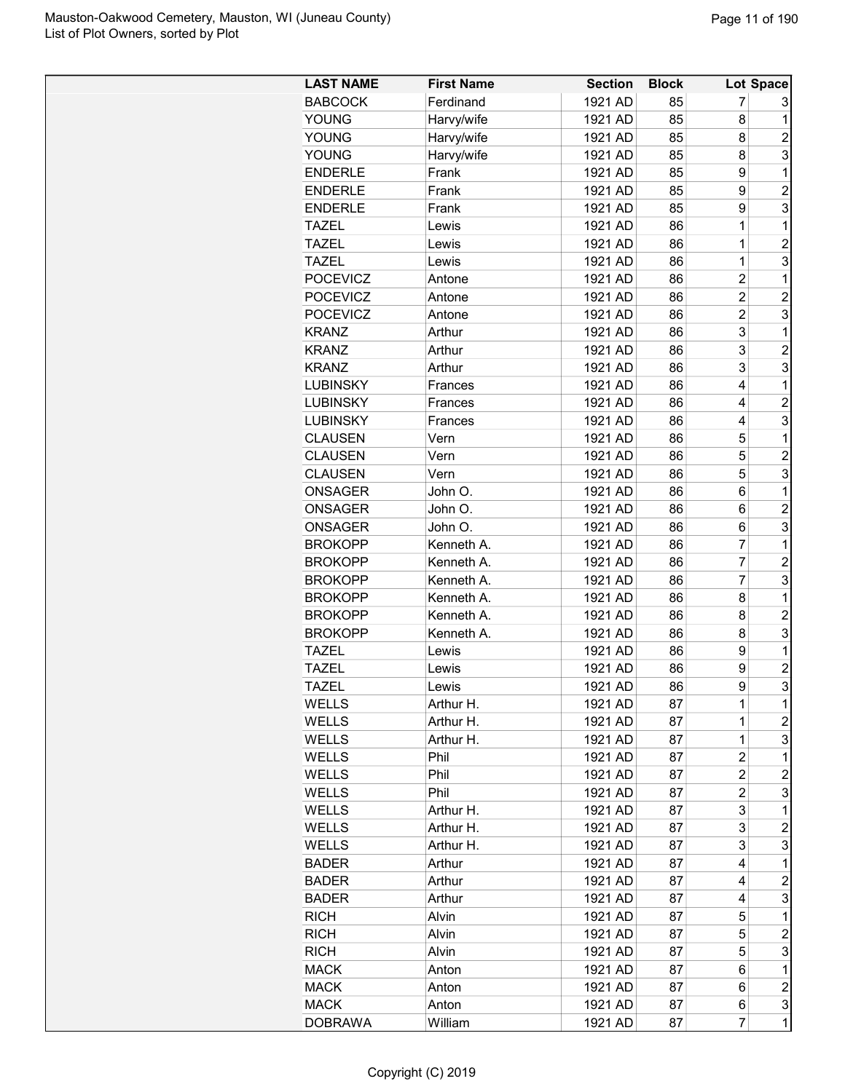| <b>LAST NAME</b> | <b>First Name</b> | <b>Section</b> | <b>Block</b> |                | Lot Space      |
|------------------|-------------------|----------------|--------------|----------------|----------------|
| <b>BABCOCK</b>   | Ferdinand         | 1921 AD        | 85           | 7              | 3              |
| YOUNG            | Harvy/wife        | 1921 AD        | 85           | 8              | 1              |
| <b>YOUNG</b>     | Harvy/wife        | 1921 AD        | 85           | 8              | $\overline{c}$ |
| <b>YOUNG</b>     | Harvy/wife        | 1921 AD        | 85           | 8              | 3              |
| <b>ENDERLE</b>   | Frank             | 1921 AD        | 85           | 9              | 1              |
| <b>ENDERLE</b>   | Frank             | 1921 AD        | 85           | 9              | $\overline{c}$ |
| <b>ENDERLE</b>   | Frank             | 1921 AD        | 85           | 9              | 3              |
| <b>TAZEL</b>     | Lewis             | 1921 AD        | 86           | $\overline{1}$ | 1              |
| <b>TAZEL</b>     | Lewis             | 1921 AD        | 86           | 1              | $\overline{2}$ |
| <b>TAZEL</b>     | Lewis             | 1921 AD        | 86           | $\overline{1}$ | 3              |
| <b>POCEVICZ</b>  | Antone            | 1921 AD        | 86           | $\overline{c}$ | 1              |
| <b>POCEVICZ</b>  | Antone            | 1921 AD        | 86           | $\overline{c}$ | $\overline{2}$ |
| <b>POCEVICZ</b>  | Antone            | 1921 AD        | 86           | $\overline{c}$ | 3              |
| <b>KRANZ</b>     | Arthur            | 1921 AD        | 86           | 3              | 1              |
| <b>KRANZ</b>     | Arthur            | 1921 AD        | 86           | 3              | $\overline{c}$ |
| <b>KRANZ</b>     | Arthur            | 1921 AD        | 86           | 3              | 3              |
| <b>LUBINSKY</b>  | Frances           | 1921 AD        | 86           | 4              | 1              |
| <b>LUBINSKY</b>  | Frances           | 1921 AD        | 86           | 4              | $\overline{2}$ |
| <b>LUBINSKY</b>  | Frances           | 1921 AD        | 86           | 4              | 3              |
| <b>CLAUSEN</b>   | Vern              | 1921 AD        | 86           | 5              | 1              |
| <b>CLAUSEN</b>   | Vern              | 1921 AD        | 86           | 5              | $\overline{c}$ |
| <b>CLAUSEN</b>   | Vern              | 1921 AD        | 86           | 5              | 3              |
| ONSAGER          | John O.           | 1921 AD        | 86           | 6              | 1              |
| <b>ONSAGER</b>   | John O.           | 1921 AD        | 86           | 6              | $\overline{c}$ |
| <b>ONSAGER</b>   | John O.           | 1921 AD        | 86           | 6              | 3              |
| <b>BROKOPP</b>   | Kenneth A.        | 1921 AD        | 86           | $\overline{7}$ | 1              |
| <b>BROKOPP</b>   | Kenneth A.        | 1921 AD        | 86           | 7              | $\overline{2}$ |
| <b>BROKOPP</b>   | Kenneth A.        | 1921 AD        | 86           | $\overline{7}$ | 3              |
| <b>BROKOPP</b>   | Kenneth A.        | 1921 AD        | 86           | 8              | 1              |
| <b>BROKOPP</b>   | Kenneth A.        | 1921 AD        | 86           | 8              | $\overline{c}$ |
| <b>BROKOPP</b>   | Kenneth A.        | 1921 AD        | 86           | 8              | 3              |
| <b>TAZEL</b>     | Lewis             | 1921 AD        | 86           | 9              | 1              |
| <b>TAZEL</b>     | Lewis             | 1921 AD        | 86           | 9              | $\overline{2}$ |
| <b>TAZEL</b>     | Lewis             | 1921 AD        | 86           | 9              | 3              |
| WELLS            | Arthur H.         | 1921 AD        | 87           | 1              | 1              |
| <b>WELLS</b>     | Arthur H.         | 1921 AD        | 87           | 1              | $\overline{c}$ |
| <b>WELLS</b>     | Arthur H.         | 1921 AD        | 87           | 1              | 3              |
| WELLS            | Phil              | 1921 AD        | 87           | $\overline{c}$ | 1              |
| WELLS            | Phil              | 1921 AD        | 87           | $\overline{c}$ | 2              |
| WELLS            | Phil              | 1921 AD        | 87           | 2              | 3              |
| WELLS            | Arthur H.         | 1921 AD        | 87           | 3              | 1              |
| <b>WELLS</b>     | Arthur H.         | 1921 AD        | 87           | 3              | $\overline{c}$ |
| WELLS            | Arthur H.         | 1921 AD        | 87           | 3              | 3              |
| <b>BADER</b>     | Arthur            | 1921 AD        | 87           | 4              | 1              |
| <b>BADER</b>     | Arthur            | 1921 AD        | 87           | 4              | $\overline{c}$ |
| <b>BADER</b>     | Arthur            | 1921 AD        | 87           | 4              | 3              |
| <b>RICH</b>      | Alvin             | 1921 AD        | 87           | 5              | 1              |
| <b>RICH</b>      | Alvin             | 1921 AD        | 87           | 5              | $\overline{c}$ |
| <b>RICH</b>      | Alvin             | 1921 AD        | 87           | 5              | 3              |
| <b>MACK</b>      | Anton             | 1921 AD        | 87           | 6              | 1              |
| <b>MACK</b>      | Anton             | 1921 AD        | 87           | 6              | $\overline{c}$ |
| <b>MACK</b>      | Anton             | 1921 AD        | 87           | 6              |                |
|                  |                   | 1921 AD        |              | $\overline{7}$ | 3<br>1         |
| <b>DOBRAWA</b>   | William           |                | 87           |                |                |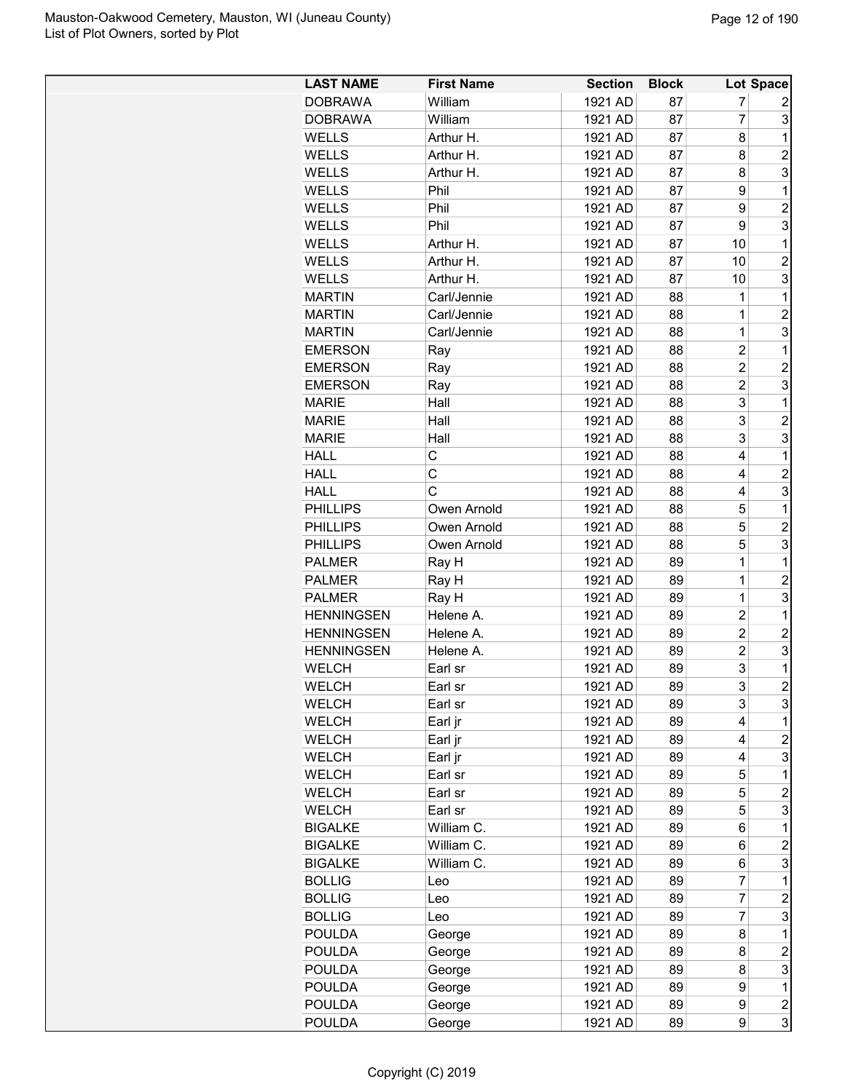| <b>LAST NAME</b>  | <b>First Name</b>          | <b>Section</b> | <b>Block</b> |                | Lot Space        |
|-------------------|----------------------------|----------------|--------------|----------------|------------------|
| <b>DOBRAWA</b>    | William                    | 1921 AD        | 87           | 7              | 2                |
| <b>DOBRAWA</b>    | William                    | 1921 AD        | 87           | 7              | 3                |
| <b>WELLS</b>      | Arthur H.                  | 1921 AD        | 87           | 8              | 1                |
| WELLS             | Arthur H.                  | 1921 AD        | 87           | 8              | $\overline{c}$   |
| WELLS             | Arthur H.                  | 1921 AD        | 87           | 8              | 3                |
| WELLS             | Phil                       | 1921 AD        | 87           | 9              | 1                |
| <b>WELLS</b>      | Phil                       | 1921 AD        | 87           | 9              | $\overline{c}$   |
| <b>WELLS</b>      | Phil                       | 1921 AD        | 87           | 9              | 3                |
| <b>WELLS</b>      | Arthur H.                  | 1921 AD        | 87           | 10             | 1                |
| <b>WELLS</b>      | Arthur H.                  | 1921 AD        | 87           | 10             | $\overline{c}$   |
| <b>WELLS</b>      | Arthur H.                  | 1921 AD        | 87           | 10             | 3                |
| <b>MARTIN</b>     | Carl/Jennie                | 1921 AD        | 88           | 1              | 1                |
| <b>MARTIN</b>     | Carl/Jennie                | 1921 AD        | 88           | 1              | $\overline{2}$   |
| <b>MARTIN</b>     | Carl/Jennie                | 1921 AD        | 88           | 1              | 3                |
| <b>EMERSON</b>    | Ray                        | 1921 AD        | 88           | 2              | 1                |
| <b>EMERSON</b>    | Ray                        | 1921 AD        | 88           | $\overline{2}$ | $\overline{c}$   |
| <b>EMERSON</b>    | Ray                        | 1921 AD        | 88           | $\overline{2}$ | 3                |
| <b>MARIE</b>      | Hall                       | 1921 AD        | 88           | 3              | 1                |
| <b>MARIE</b>      | Hall                       | 1921 AD        | 88           | 3              | $\overline{c}$   |
| <b>MARIE</b>      | Hall                       | 1921 AD        | 88           | 3              | 3                |
| <b>HALL</b>       | C                          | 1921 AD        | 88           | 4              | 1                |
| <b>HALL</b>       | C                          | 1921 AD        | 88           | 4              | $\overline{c}$   |
| <b>HALL</b>       | C                          | 1921 AD        | 88           | 4              | 3                |
| <b>PHILLIPS</b>   |                            | 1921 AD        |              | 5              | 1                |
|                   | Owen Arnold<br>Owen Arnold |                | 88<br>88     | 5              | $\overline{2}$   |
| <b>PHILLIPS</b>   |                            | 1921 AD        | 88           | 5              | 3                |
| <b>PHILLIPS</b>   | Owen Arnold                | 1921 AD        |              |                |                  |
| <b>PALMER</b>     | Ray H                      | 1921 AD        | 89           | 1              | 1                |
| <b>PALMER</b>     | Ray H                      | 1921 AD        | 89           | 1              | $\overline{2}$   |
| <b>PALMER</b>     | Ray H                      | 1921 AD        | 89           | 1              | 3                |
| <b>HENNINGSEN</b> | Helene A.                  | 1921 AD        | 89           | $\overline{c}$ | 1                |
| <b>HENNINGSEN</b> | Helene A.                  | 1921 AD        | 89           | $\overline{2}$ | $\overline{2}$   |
| <b>HENNINGSEN</b> | Helene A.                  | 1921 AD        | 89           | $\overline{2}$ | 3                |
| <b>WELCH</b>      | Earl sr                    | 1921 AD        | 89           | 3              | 1                |
| WELCH             | Earl sr                    | 1921 AD        | 89           | 3              | $\overline{c}$   |
| WELCH             | Earl sr                    | 1921 AD        | 89           | 3              | 3                |
| WELCH             | Earl jr                    | 1921 AD        | 89           | 4              | 1                |
| <b>WELCH</b>      | Earl jr                    | 1921 AD        | 89           | 4              | $\overline{c}$   |
| <b>WELCH</b>      | Earl jr                    | 1921 AD        | 89           | 4              | 3                |
| WELCH             | Earl sr                    | 1921 AD        | 89           | 5              | 1                |
| <b>WELCH</b>      | Earl sr                    | 1921 AD        | 89           | 5              | $\overline{2}$   |
| WELCH             | Earl sr                    | 1921 AD        | 89           | 5              | 3                |
| <b>BIGALKE</b>    | William C.                 | 1921 AD        | 89           | 6              | 1                |
| <b>BIGALKE</b>    | William C.                 | 1921 AD        | 89           | 6              | $\overline{c}$   |
| <b>BIGALKE</b>    | William C.                 | 1921 AD        | 89           | 6              | 3                |
| <b>BOLLIG</b>     | Leo                        | 1921 AD        | 89           | 7              | 1                |
| <b>BOLLIG</b>     | Leo                        | 1921 AD        | 89           | 7              | $\overline{c}$   |
| <b>BOLLIG</b>     | Leo                        | 1921 AD        | 89           | $\overline{7}$ | 3                |
| <b>POULDA</b>     | George                     | 1921 AD        | 89           | 8              | 1                |
| <b>POULDA</b>     | George                     | 1921 AD        | 89           | 8              | $\overline{c}$   |
| <b>POULDA</b>     | George                     | 1921 AD        | 89           | 8              | 3                |
| <b>POULDA</b>     | George                     | 1921 AD        | 89           | 9              | 1                |
| <b>POULDA</b>     | George                     | 1921 AD        | 89           | 9              | $\boldsymbol{2}$ |
| <b>POULDA</b>     | George                     | 1921 AD        | 89           | 9              | 3                |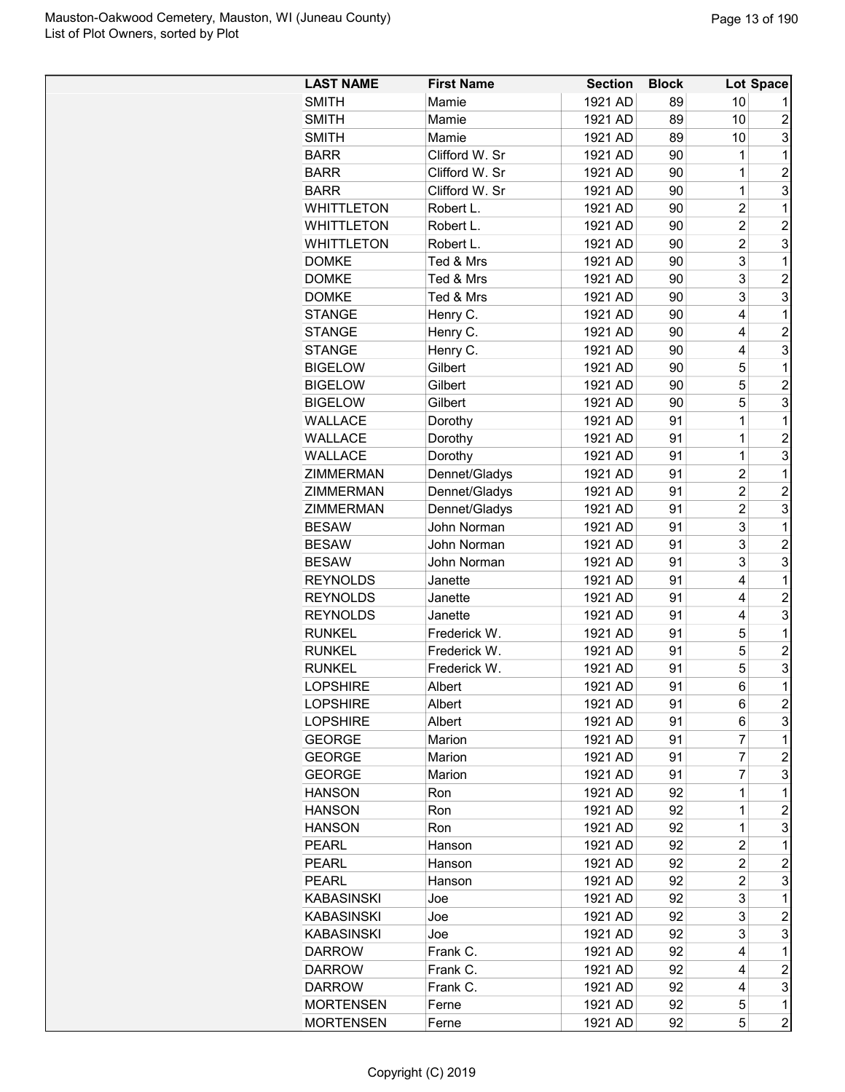| <b>LAST NAME</b>  | <b>First Name</b> | <b>Section</b> | <b>Block</b> |                | Lot Space      |
|-------------------|-------------------|----------------|--------------|----------------|----------------|
| <b>SMITH</b>      | Mamie             | 1921 AD        | 89           | 10             |                |
| <b>SMITH</b>      | Mamie             | 1921 AD        | 89           | 10             | $\overline{c}$ |
| <b>SMITH</b>      | Mamie             | 1921 AD        | 89           | 10             | 3              |
| <b>BARR</b>       | Clifford W. Sr    | 1921 AD        | 90           | 1              | 1              |
| <b>BARR</b>       | Clifford W. Sr    | 1921 AD        | 90           | 1              | $\overline{c}$ |
| <b>BARR</b>       | Clifford W. Sr    | 1921 AD        | 90           | 1              | 3              |
| <b>WHITTLETON</b> | Robert L.         | 1921 AD        | 90           | $\overline{c}$ | 1              |
| <b>WHITTLETON</b> | Robert L.         | 1921 AD        | 90           | $\overline{c}$ | $\overline{c}$ |
| <b>WHITTLETON</b> | Robert L.         | 1921 AD        | 90           | $\overline{2}$ | 3              |
| <b>DOMKE</b>      | Ted & Mrs         | 1921 AD        | 90           | 3              | 1              |
| <b>DOMKE</b>      | Ted & Mrs         | 1921 AD        | 90           | 3              | $\overline{2}$ |
| <b>DOMKE</b>      | Ted & Mrs         | 1921 AD        | 90           | 3              | 3              |
| <b>STANGE</b>     | Henry C.          | 1921 AD        | 90           | 4              | 1              |
| <b>STANGE</b>     | Henry C.          | 1921 AD        | 90           | 4              | $\overline{c}$ |
| <b>STANGE</b>     | Henry C.          | 1921 AD        | 90           | 4              | 3              |
| <b>BIGELOW</b>    | Gilbert           | 1921 AD        | 90           | 5              | 1              |
| <b>BIGELOW</b>    | Gilbert           | 1921 AD        | 90           | 5              | $\overline{c}$ |
| <b>BIGELOW</b>    | Gilbert           | 1921 AD        | 90           | 5              | 3              |
| WALLACE           | Dorothy           | 1921 AD        | 91           | $\overline{1}$ | 1              |
| WALLACE           | Dorothy           | 1921 AD        | 91           | 1              | $\overline{2}$ |
| <b>WALLACE</b>    | Dorothy           | 1921 AD        | 91           | $\overline{1}$ | 3              |
| ZIMMERMAN         | Dennet/Gladys     | 1921 AD        | 91           | $\overline{2}$ | 1              |
| <b>ZIMMERMAN</b>  | Dennet/Gladys     | 1921 AD        | 91           | $\overline{c}$ | $\overline{c}$ |
| ZIMMERMAN         | Dennet/Gladys     | 1921 AD        | 91           | $\overline{2}$ | 3              |
| <b>BESAW</b>      | John Norman       | 1921 AD        | 91           | 3              | 1              |
| <b>BESAW</b>      | John Norman       | 1921 AD        | 91           | 3              | $\overline{2}$ |
| <b>BESAW</b>      | John Norman       | 1921 AD        | 91           | 3              | 3              |
| <b>REYNOLDS</b>   | Janette           | 1921 AD        | 91           | 4              | 1              |
| <b>REYNOLDS</b>   | Janette           | 1921 AD        | 91           | 4              | $\overline{2}$ |
| <b>REYNOLDS</b>   | Janette           | 1921 AD        | 91           | 4              | 3              |
| <b>RUNKEL</b>     | Frederick W.      | 1921 AD        | 91           | 5              | 1              |
| <b>RUNKEL</b>     | Frederick W.      | 1921 AD        | 91           | 5              | $\overline{c}$ |
| <b>RUNKEL</b>     | Frederick W.      | 1921 AD        | 91           | 5              | 3              |
| <b>LOPSHIRE</b>   | Albert            | 1921 AD        | 91           | 6              | $\overline{1}$ |
| <b>LOPSHIRE</b>   | Albert            | 1921 AD        | 91           | 6              | $\overline{c}$ |
| <b>LOPSHIRE</b>   | Albert            | 1921 AD        | 91           | 6              | 3              |
| <b>GEORGE</b>     | Marion            | 1921 AD        | 91           | 7              | 1              |
| <b>GEORGE</b>     | Marion            | 1921 AD        | 91           | 7              | $\overline{c}$ |
| <b>GEORGE</b>     | Marion            | 1921 AD        | 91           | 7              | 3              |
| <b>HANSON</b>     | Ron               | 1921 AD        | 92           | 1              | 1              |
| <b>HANSON</b>     | Ron               | 1921 AD        | 92           | 1              | $\overline{c}$ |
| <b>HANSON</b>     | Ron               | 1921 AD        | 92           | 1              | 3              |
| <b>PEARL</b>      | Hanson            | 1921 AD        | 92           | $\overline{c}$ | 1              |
| <b>PEARL</b>      | Hanson            | 1921 AD        | 92           | $\overline{c}$ | $\overline{c}$ |
| <b>PEARL</b>      | Hanson            | 1921 AD        | 92           | $\overline{c}$ | 3              |
| <b>KABASINSKI</b> | Joe               | 1921 AD        | 92           | 3              | 1              |
| <b>KABASINSKI</b> | Joe               | 1921 AD        | 92           | 3              | 2              |
| <b>KABASINSKI</b> | Joe               | 1921 AD        | 92           | 3              | 3              |
| <b>DARROW</b>     | Frank C.          | 1921 AD        | 92           | 4              | 1              |
| <b>DARROW</b>     | Frank C.          | 1921 AD        | 92           | 4              | $\overline{c}$ |
| <b>DARROW</b>     | Frank C.          | 1921 AD        | 92           | 4              | 3              |
| <b>MORTENSEN</b>  | Ferne             | 1921 AD        | 92           | 5              | $\mathbf 1$    |
| <b>MORTENSEN</b>  | Ferne             | 1921 AD        | 92           | 5              | $\overline{c}$ |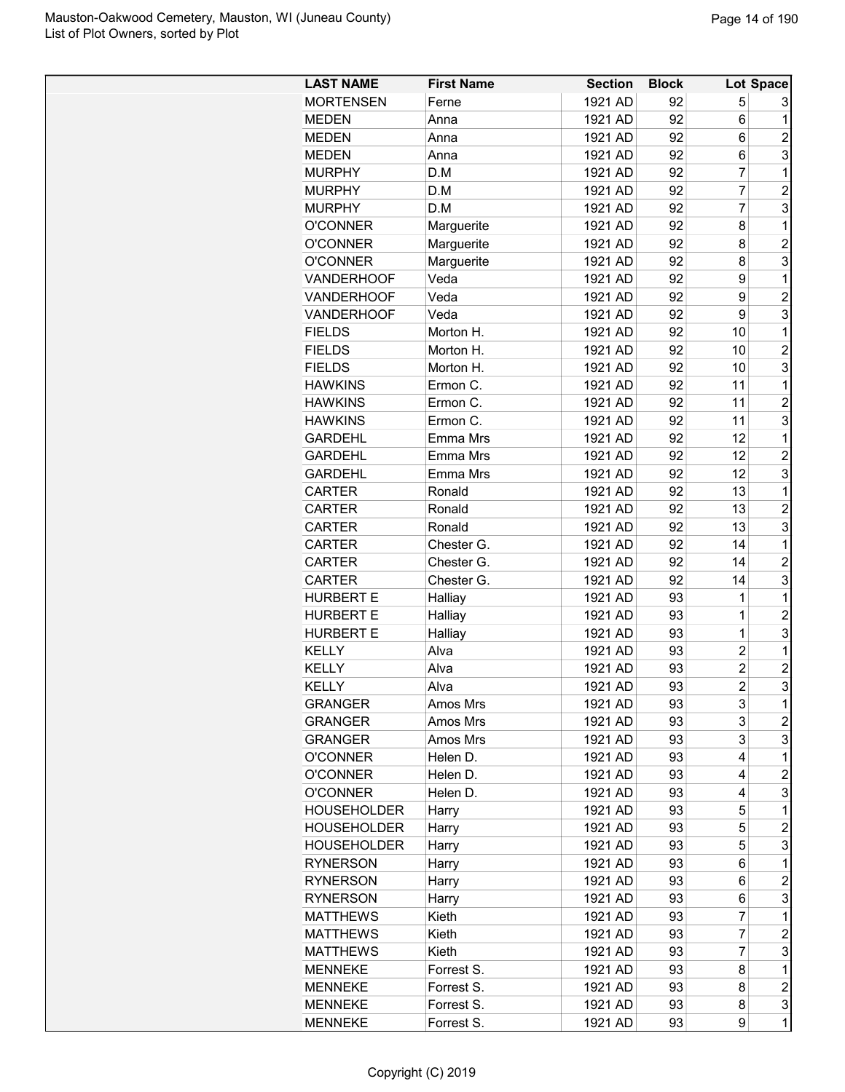| <b>LAST NAME</b>   | <b>First Name</b> | <b>Section</b> | <b>Block</b> |                | Lot Space               |
|--------------------|-------------------|----------------|--------------|----------------|-------------------------|
| <b>MORTENSEN</b>   | Ferne             | 1921 AD        | 92           | 5              | 3                       |
| <b>MEDEN</b>       | Anna              | 1921 AD        | 92           | 6              | 1                       |
| <b>MEDEN</b>       | Anna              | 1921 AD        | 92           | 6              | $\overline{2}$          |
| <b>MEDEN</b>       | Anna              | 1921 AD        | 92           | 6              | 3                       |
| <b>MURPHY</b>      | D.M               | 1921 AD        | 92           | 7              | 1                       |
| <b>MURPHY</b>      | D.M               | 1921 AD        | 92           | 7              | $\overline{c}$          |
| <b>MURPHY</b>      | D.M               | 1921 AD        | 92           | $\overline{7}$ | 3                       |
| <b>O'CONNER</b>    | Marguerite        | 1921 AD        | 92           | 8              | 1                       |
| <b>O'CONNER</b>    | Marguerite        | 1921 AD        | 92           | 8              | $\overline{2}$          |
| <b>O'CONNER</b>    | Marguerite        | 1921 AD        | 92           | 8              | 3                       |
| VANDERHOOF         | Veda              | 1921 AD        | 92           | 9              | 1                       |
| <b>VANDERHOOF</b>  | Veda              | 1921 AD        | 92           | 9              | $\overline{c}$          |
| <b>VANDERHOOF</b>  | Veda              | 1921 AD        | 92           | 9              | 3                       |
| <b>FIELDS</b>      | Morton H.         | 1921 AD        | 92           | 10             | 1                       |
| <b>FIELDS</b>      | Morton H.         | 1921 AD        | 92           | 10             | $\overline{c}$          |
| <b>FIELDS</b>      | Morton H.         | 1921 AD        | 92           | 10             | 3                       |
| <b>HAWKINS</b>     | Ermon C.          | 1921 AD        | 92           | 11             | 1                       |
| <b>HAWKINS</b>     | Ermon C.          | 1921 AD        |              | 11             | $\overline{2}$          |
|                    |                   |                | 92           |                |                         |
| <b>HAWKINS</b>     | Ermon C.          | 1921 AD        | 92           | 11             | 3                       |
| <b>GARDEHL</b>     | Emma Mrs          | 1921 AD        | 92           | 12             | 1                       |
| <b>GARDEHL</b>     | Emma Mrs          | 1921 AD        | 92           | 12             | $\overline{c}$          |
| <b>GARDEHL</b>     | Emma Mrs          | 1921 AD        | 92           | 12             | 3                       |
| <b>CARTER</b>      | Ronald            | 1921 AD        | 92           | 13             | 1                       |
| CARTER             | Ronald            | 1921 AD        | 92           | 13             | $\overline{c}$          |
| <b>CARTER</b>      | Ronald            | 1921 AD        | 92           | 13             | 3                       |
| CARTER             | Chester G.        | 1921 AD        | 92           | 14             | 1                       |
| <b>CARTER</b>      | Chester G.        | 1921 AD        | 92           | 14             | $\overline{2}$          |
| <b>CARTER</b>      | Chester G.        | 1921 AD        | 92           | 14             | 3                       |
| <b>HURBERT E</b>   | Halliay           | 1921 AD        | 93           | 1              | 1                       |
| <b>HURBERT E</b>   | Halliay           | 1921 AD        | 93           | $\overline{1}$ | $\overline{c}$          |
| <b>HURBERT E</b>   | Halliay           | 1921 AD        | 93           | $\overline{1}$ | 3                       |
| <b>KELLY</b>       | Alva              | 1921 AD        | 93           | $\overline{2}$ | 1                       |
| <b>KELLY</b>       | Alva              | 1921 AD        | 93           | $\overline{2}$ | $\overline{c}$          |
| KELLY              | Alva              | 1921 AD        | 93           | $\overline{2}$ | 3                       |
| GRANGER            | Amos Mrs          | 1921 AD        | 93           | 3              | 1                       |
| <b>GRANGER</b>     | Amos Mrs          | 1921 AD        | 93           | 3              | $\overline{c}$          |
| <b>GRANGER</b>     | Amos Mrs          | 1921 AD        | 93           | 3              | 3                       |
| <b>O'CONNER</b>    | Helen D.          | 1921 AD        | 93           | 4              | $\mathbf 1$             |
| <b>O'CONNER</b>    | Helen D.          | 1921 AD        | 93           | 4              | $\overline{c}$          |
| <b>O'CONNER</b>    | Helen D.          | 1921 AD        | 93           | 4              | 3                       |
| <b>HOUSEHOLDER</b> | Harry             | 1921 AD        | 93           | 5              | 1                       |
| <b>HOUSEHOLDER</b> | Harry             | 1921 AD        | 93           | 5              | $\overline{c}$          |
| <b>HOUSEHOLDER</b> | Harry             | 1921 AD        | 93           | 5              | 3                       |
| <b>RYNERSON</b>    | Harry             | 1921 AD        | 93           | 6              | 1                       |
| <b>RYNERSON</b>    | Harry             | 1921 AD        | 93           | 6              | $\overline{\mathbf{c}}$ |
| <b>RYNERSON</b>    | Harry             | 1921 AD        | 93           | 6              | 3                       |
| <b>MATTHEWS</b>    | Kieth             | 1921 AD        | 93           | 7              | 1                       |
| <b>MATTHEWS</b>    | Kieth             | 1921 AD        | 93           | 7              | $\overline{c}$          |
| <b>MATTHEWS</b>    | Kieth             | 1921 AD        | 93           | 7              | 3                       |
| <b>MENNEKE</b>     | Forrest S.        | 1921 AD        | 93           | 8              | 1                       |
| <b>MENNEKE</b>     | Forrest S.        | 1921 AD        | 93           | 8              | $\overline{c}$          |
| <b>MENNEKE</b>     | Forrest S.        | 1921 AD        | 93           | 8              | 3                       |
| <b>MENNEKE</b>     | Forrest S.        | 1921 AD        | 93           | 9              | 1                       |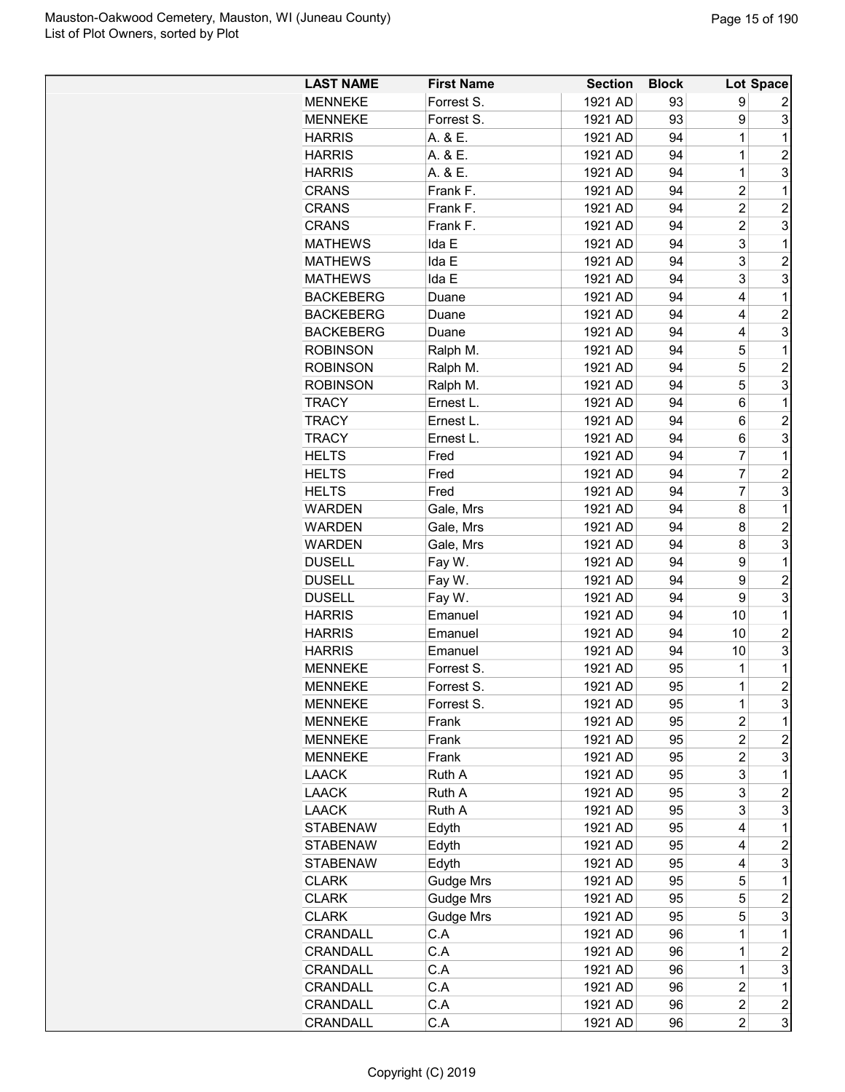| <b>LAST NAME</b> | <b>First Name</b> | <b>Section</b> | <b>Block</b> |                         | Lot Space               |
|------------------|-------------------|----------------|--------------|-------------------------|-------------------------|
| <b>MENNEKE</b>   | Forrest S.        | 1921 AD        | 93           | 9                       | 2                       |
| <b>MENNEKE</b>   | Forrest S.        | 1921 AD        | 93           | 9                       | 3                       |
| <b>HARRIS</b>    | A. & E.           | 1921 AD        | 94           | 1                       | 1                       |
| <b>HARRIS</b>    | A. & E.           | 1921 AD        | 94           | $\overline{1}$          | $\overline{2}$          |
| <b>HARRIS</b>    | A. & E.           | 1921 AD        | 94           | $\mathbf{1}$            | 3                       |
| <b>CRANS</b>     | Frank F.          | 1921 AD        | 94           | $\overline{2}$          | 1                       |
| <b>CRANS</b>     | Frank F.          | 1921 AD        | 94           | $\overline{2}$          | $\overline{c}$          |
| <b>CRANS</b>     | Frank F.          | 1921 AD        | 94           | $\overline{c}$          | 3                       |
| <b>MATHEWS</b>   | Ida E             | 1921 AD        | 94           | 3                       | 1                       |
| <b>MATHEWS</b>   | Ida E             | 1921 AD        | 94           | 3                       | $\overline{c}$          |
| <b>MATHEWS</b>   | Ida E             | 1921 AD        | 94           | 3                       | 3                       |
| <b>BACKEBERG</b> | Duane             | 1921 AD        | 94           | 4                       | 1                       |
| <b>BACKEBERG</b> | Duane             | 1921 AD        | 94           | 4                       | $\overline{c}$          |
| <b>BACKEBERG</b> | Duane             | 1921 AD        | 94           | 4                       | 3                       |
| <b>ROBINSON</b>  | Ralph M.          | 1921 AD        | 94           | 5                       | 1                       |
| <b>ROBINSON</b>  | Ralph M.          | 1921 AD        | 94           | 5                       | $\overline{c}$          |
| <b>ROBINSON</b>  | Ralph M.          | 1921 AD        | 94           | 5                       | 3                       |
| <b>TRACY</b>     | Ernest L.         | 1921 AD        | 94           | 6                       | 1                       |
| <b>TRACY</b>     | Ernest L.         | 1921 AD        | 94           | 6                       | $\overline{2}$          |
| <b>TRACY</b>     |                   | 1921 AD        | 94           |                         | 3                       |
|                  | Ernest L.<br>Fred |                |              | 6<br>7                  |                         |
| <b>HELTS</b>     |                   | 1921 AD        | 94           |                         | 1                       |
| <b>HELTS</b>     | Fred              | 1921 AD        | 94           | $\overline{7}$          | $\overline{c}$          |
| <b>HELTS</b>     | Fred              | 1921 AD        | 94           | 7                       | 3                       |
| WARDEN           | Gale, Mrs         | 1921 AD        | 94           | 8                       | 1                       |
| WARDEN           | Gale, Mrs         | 1921 AD        | 94           | 8                       | $\overline{c}$          |
| WARDEN           | Gale, Mrs         | 1921 AD        | 94           | 8                       | 3                       |
| <b>DUSELL</b>    | Fay W.            | 1921 AD        | 94           | 9                       | 1                       |
| <b>DUSELL</b>    | Fay W.            | 1921 AD        | 94           | 9                       | $\overline{c}$          |
| <b>DUSELL</b>    | Fay W.            | 1921 AD        | 94           | 9                       | 3                       |
| <b>HARRIS</b>    | Emanuel           | 1921 AD        | 94           | 10                      | 1                       |
| <b>HARRIS</b>    | Emanuel           | 1921 AD        | 94           | 10                      | $\overline{c}$          |
| <b>HARRIS</b>    | Emanuel           | 1921 AD        | 94           | 10                      | 3                       |
| <b>MENNEKE</b>   | Forrest S.        | 1921 AD        | 95           | $\mathbf{1}$            | 1                       |
| <b>MENNEKE</b>   | Forrest S         | 1921 AD        | 95           | $\mathbf 1$             | $\overline{2}$          |
| <b>MENNEKE</b>   | Forrest S.        | 1921 AD        | 95           | 1                       | 3                       |
| <b>MENNEKE</b>   | Frank             | 1921 AD        | 95           | 2                       | 1                       |
| <b>MENNEKE</b>   | Frank             | 1921 AD        | 95           | $\overline{c}$          | $\overline{c}$          |
| <b>MENNEKE</b>   | Frank             | 1921 AD        | 95           | $\overline{2}$          | 3                       |
| <b>LAACK</b>     | Ruth A            | 1921 AD        | 95           | 3                       | 1                       |
| <b>LAACK</b>     | Ruth A            | 1921 AD        | 95           | 3                       | $\overline{c}$          |
| <b>LAACK</b>     | Ruth A            | 1921 AD        | 95           | 3                       | 3                       |
| <b>STABENAW</b>  | Edyth             | 1921 AD        | 95           | 4                       | 1                       |
| <b>STABENAW</b>  | Edyth             | 1921 AD        | 95           | 4                       | $\overline{c}$          |
| <b>STABENAW</b>  | Edyth             | 1921 AD        | 95           | 4                       | 3                       |
| <b>CLARK</b>     | <b>Gudge Mrs</b>  | 1921 AD        | 95           | 5                       | 1                       |
| <b>CLARK</b>     | <b>Gudge Mrs</b>  | 1921 AD        | 95           | 5                       | $\overline{c}$          |
| <b>CLARK</b>     | <b>Gudge Mrs</b>  | 1921 AD        | 95           | 5                       | 3                       |
| CRANDALL         | C.A               | 1921 AD        | 96           | 1                       | 1                       |
| <b>CRANDALL</b>  | C.A               | 1921 AD        | 96           | 1                       | $\overline{c}$          |
| CRANDALL         | C.A               | 1921 AD        | 96           | 1                       | 3                       |
| CRANDALL         | C.A               | 1921 AD        | 96           | $\overline{c}$          | 1                       |
| CRANDALL         | C.A               | 1921 AD        | 96           | $\overline{c}$          | $\overline{\mathbf{c}}$ |
| CRANDALL         | C.A               | 1921 AD        | 96           | $\overline{\mathbf{c}}$ | 3                       |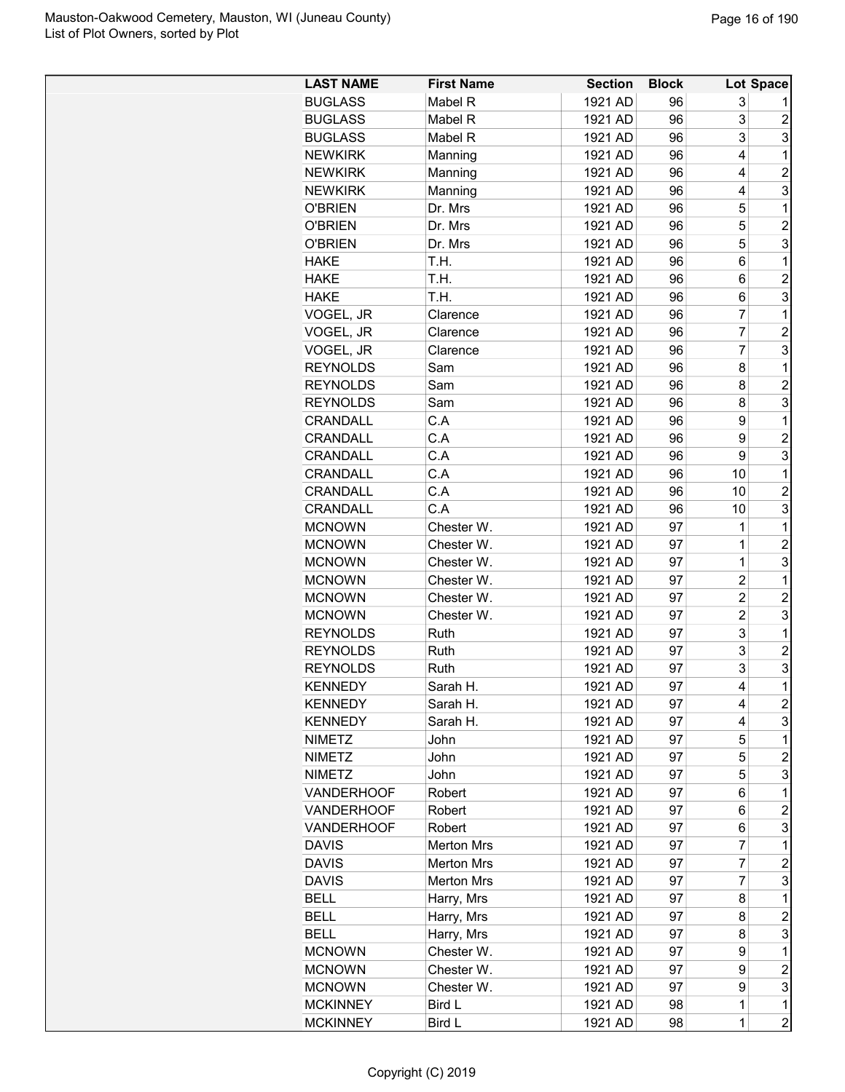| <b>LAST NAME</b>  | <b>First Name</b> | <b>Section</b> | <b>Block</b> |                | Lot Space               |
|-------------------|-------------------|----------------|--------------|----------------|-------------------------|
| <b>BUGLASS</b>    | Mabel R           | 1921 AD        | 96           | 3              |                         |
| <b>BUGLASS</b>    | Mabel R           | 1921 AD        | 96           | 3              | $\overline{c}$          |
| <b>BUGLASS</b>    | Mabel R           | 1921 AD        | 96           | 3              | 3                       |
| <b>NEWKIRK</b>    | Manning           | 1921 AD        | 96           | 4              | 1                       |
| <b>NEWKIRK</b>    | Manning           | 1921 AD        | 96           | 4              | $\overline{c}$          |
| <b>NEWKIRK</b>    | Manning           | 1921 AD        | 96           | 4              | 3                       |
| <b>O'BRIEN</b>    | Dr. Mrs           | 1921 AD        | 96           | 5              | 1                       |
| <b>O'BRIEN</b>    | Dr. Mrs           | 1921 AD        | 96           | 5              | $\overline{c}$          |
| <b>O'BRIEN</b>    | Dr. Mrs           | 1921 AD        | 96           | 5              | 3                       |
| <b>HAKE</b>       | T.H.              | 1921 AD        | 96           | 6              | 1                       |
| <b>HAKE</b>       | T.H.              | 1921 AD        | 96           | 6              | $\overline{c}$          |
| <b>HAKE</b>       | T.H.              | 1921 AD        | 96           | 6              | 3                       |
| VOGEL, JR         | Clarence          | 1921 AD        | 96           | 7              | 1                       |
| VOGEL, JR         | Clarence          | 1921 AD        | 96           | $\overline{7}$ | $\overline{c}$          |
| VOGEL, JR         | Clarence          | 1921 AD        | 96           | 7              | 3                       |
| <b>REYNOLDS</b>   | Sam               | 1921 AD        | 96           | 8              | 1                       |
| <b>REYNOLDS</b>   | Sam               | 1921 AD        | 96           | 8              | $\overline{c}$          |
| <b>REYNOLDS</b>   | Sam               | 1921 AD        | 96           | 8              | 3                       |
| CRANDALL          | C.A               | 1921 AD        | 96           | 9              | 1                       |
| CRANDALL          | C.A               | 1921 AD        | 96           | 9              | $\overline{2}$          |
| CRANDALL          | C.A               | 1921 AD        | 96           | 9              | 3                       |
| CRANDALL          | C.A               | 1921 AD        | 96           | 10             | 1                       |
|                   |                   |                |              |                | $\overline{2}$          |
| <b>CRANDALL</b>   | C.A<br>C.A        | 1921 AD        | 96           | 10             |                         |
| CRANDALL          |                   | 1921 AD        | 96           | 10             | 3                       |
| <b>MCNOWN</b>     | Chester W.        | 1921 AD        | 97           | 1              | 1                       |
| <b>MCNOWN</b>     | Chester W.        | 1921 AD        | 97           | $\mathbf 1$    | $\overline{2}$          |
| <b>MCNOWN</b>     | Chester W.        | 1921 AD        | 97           | 1              | 3                       |
| <b>MCNOWN</b>     | Chester W.        | 1921 AD        | 97           | $\overline{c}$ | 1                       |
| <b>MCNOWN</b>     | Chester W.        | 1921 AD        | 97           | $\overline{c}$ | $\overline{c}$          |
| <b>MCNOWN</b>     | Chester W.        | 1921 AD        | 97           | $\overline{c}$ | 3                       |
| <b>REYNOLDS</b>   | Ruth              | 1921 AD        | 97           | 3              | 1                       |
| <b>REYNOLDS</b>   | Ruth              | 1921 AD        | 97           | 3              | $\overline{2}$          |
| <b>REYNOLDS</b>   | Ruth              | 1921 AD        | 97           | 3              | 3                       |
| <b>KENNEDY</b>    | Sarah H.          | 1921 AD        | 97           | 4              | $\mathbf 1$             |
| <b>KENNEDY</b>    | Sarah H.          | 1921 AD        | 97           | 4              | $\overline{\mathbf{c}}$ |
| <b>KENNEDY</b>    | Sarah H.          | 1921 AD        | 97           | 4              | 3                       |
| <b>NIMETZ</b>     | John              | 1921 AD        | 97           | 5              | 1                       |
| <b>NIMETZ</b>     | John              | 1921 AD        | 97           | 5              | $\overline{c}$          |
| <b>NIMETZ</b>     | John              | 1921 AD        | 97           | 5              | 3                       |
| <b>VANDERHOOF</b> | Robert            | 1921 AD        | 97           | 6              | 1                       |
| <b>VANDERHOOF</b> | Robert            | 1921 AD        | 97           | 6              | $\overline{c}$          |
| <b>VANDERHOOF</b> | Robert            | 1921 AD        | 97           | 6              | 3                       |
| <b>DAVIS</b>      | <b>Merton Mrs</b> | 1921 AD        | 97           | 7              | 1                       |
| <b>DAVIS</b>      | <b>Merton Mrs</b> | 1921 AD        | 97           | 7              | $\boldsymbol{2}$        |
| <b>DAVIS</b>      | <b>Merton Mrs</b> | 1921 AD        | 97           | 7              | 3                       |
| <b>BELL</b>       | Harry, Mrs        | 1921 AD        | 97           | 8              | 1                       |
| <b>BELL</b>       | Harry, Mrs        | 1921 AD        | 97           | 8              | $\overline{c}$          |
| <b>BELL</b>       | Harry, Mrs        | 1921 AD        | 97           | 8              | 3                       |
| <b>MCNOWN</b>     | Chester W.        | 1921 AD        | 97           | 9              | 1                       |
| <b>MCNOWN</b>     | Chester W.        | 1921 AD        | 97           | 9              | $\overline{c}$          |
| <b>MCNOWN</b>     | Chester W.        | 1921 AD        | 97           | 9              | 3                       |
| <b>MCKINNEY</b>   | Bird L            | 1921 AD        | 98           | $\mathbf 1$    | $\mathbf{1}$            |
| <b>MCKINNEY</b>   | Bird L            | 1921 AD        | 98           | $\mathbf 1$    | $\overline{c}$          |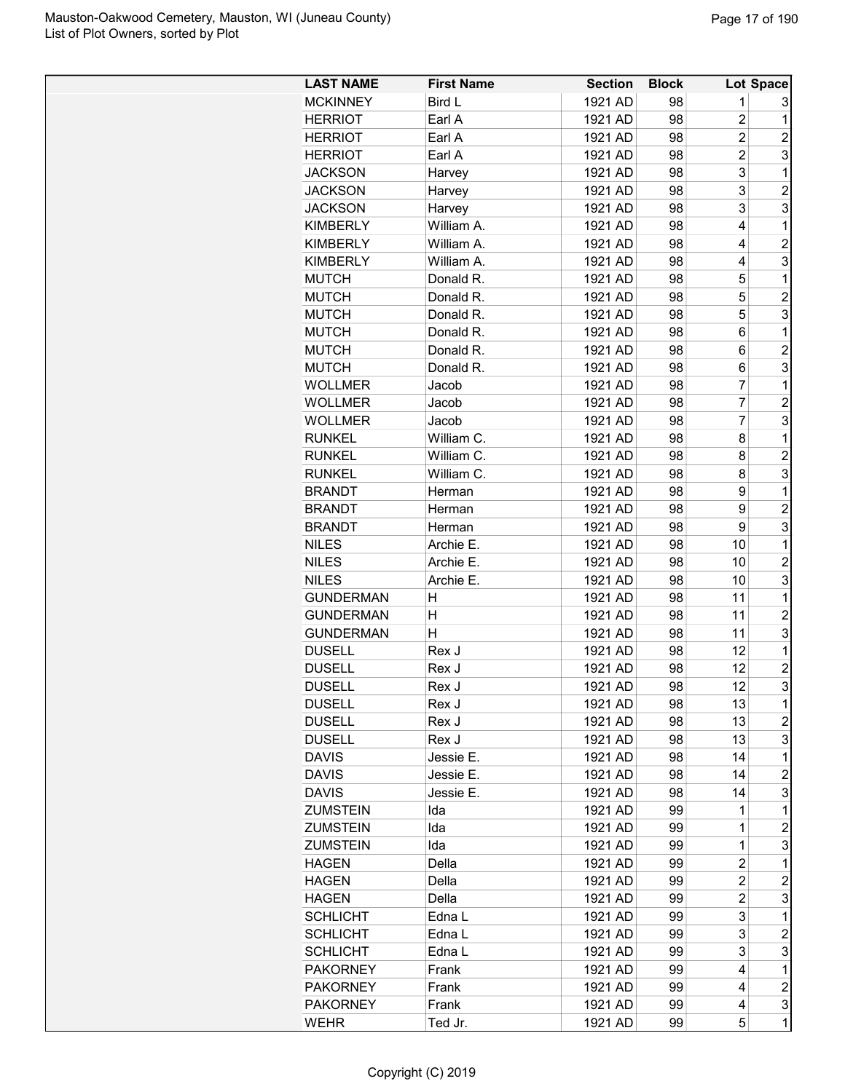| <b>LAST NAME</b>               | <b>First Name</b> | <b>Section</b>     | <b>Block</b> |                | Lot Space        |
|--------------------------------|-------------------|--------------------|--------------|----------------|------------------|
| <b>MCKINNEY</b>                | Bird L            | 1921 AD            | 98           | 1              | 3                |
| <b>HERRIOT</b>                 | Earl A            | 1921 AD            | 98           | $\overline{2}$ | 1                |
| <b>HERRIOT</b>                 | Earl A            | 1921 AD            | 98           | $\overline{2}$ | $\overline{2}$   |
| <b>HERRIOT</b>                 | Earl A            | 1921 AD            | 98           | $\overline{2}$ | 3                |
| <b>JACKSON</b>                 | Harvey            | 1921 AD            | 98           | 3              | 1                |
| <b>JACKSON</b>                 | Harvey            | 1921 AD            | 98           | 3              | $\overline{c}$   |
| <b>JACKSON</b>                 | Harvey            | 1921 AD            | 98           | 3              | 3                |
| <b>KIMBERLY</b>                | William A.        | 1921 AD            | 98           | 4              | 1                |
| <b>KIMBERLY</b>                | William A.        | 1921 AD            | 98           | 4              | $\overline{2}$   |
| <b>KIMBERLY</b>                | William A.        | 1921 AD            | 98           | 4              | 3                |
| <b>MUTCH</b>                   | Donald R.         | 1921 AD            | 98           | 5              | 1                |
| <b>MUTCH</b>                   | Donald R.         | 1921 AD            | 98           | 5              | $\overline{2}$   |
| <b>MUTCH</b>                   | Donald R.         | 1921 AD            | 98           | 5              | 3                |
| <b>MUTCH</b>                   | Donald R.         | 1921 AD            | 98           | 6              | 1                |
| <b>MUTCH</b>                   | Donald R.         | 1921 AD            | 98           | 6              | $\overline{2}$   |
|                                | Donald R.         |                    |              |                |                  |
| <b>MUTCH</b><br><b>WOLLMER</b> |                   | 1921 AD<br>1921 AD | 98           | 6<br>7         | 3<br>1           |
|                                | Jacob             | 1921 AD            | 98           | $\overline{7}$ | $\overline{2}$   |
| <b>WOLLMER</b>                 | Jacob             |                    | 98           | 7              |                  |
| <b>WOLLMER</b>                 | Jacob             | 1921 AD            | 98           |                | 3                |
| <b>RUNKEL</b>                  | William C.        | 1921 AD            | 98           | 8              | 1                |
| <b>RUNKEL</b>                  | William C.        | 1921 AD            | 98           | 8              | $\overline{c}$   |
| <b>RUNKEL</b>                  | William C.        | 1921 AD            | 98           | 8              | 3                |
| <b>BRANDT</b>                  | Herman            | 1921 AD            | 98           | 9              | 1                |
| <b>BRANDT</b>                  | Herman            | 1921 AD            | 98           | 9              | $\overline{c}$   |
| <b>BRANDT</b>                  | Herman            | 1921 AD            | 98           | 9              | 3                |
| <b>NILES</b>                   | Archie E.         | 1921 AD            | 98           | 10             | 1                |
| <b>NILES</b>                   | Archie E.         | 1921 AD            | 98           | 10             | $\overline{2}$   |
| <b>NILES</b>                   | Archie E.         | 1921 AD            | 98           | 10             | 3                |
| <b>GUNDERMAN</b>               | H                 | 1921 AD            | 98           | 11             | 1                |
| <b>GUNDERMAN</b>               | н                 | 1921 AD            | 98           | 11             | $\overline{c}$   |
| <b>GUNDERMAN</b>               | н                 | 1921 AD            | 98           | 11             | 3                |
| <b>DUSELL</b>                  | Rex J             | 1921 AD            | 98           | 12             | 1                |
| <b>DUSELL</b>                  | Rex J             | 1921 AD            | 98           | 12             | $\overline{2}$   |
| DUSELL                         | Rex J             | 1921 AD            | 98           | 12             | 3                |
| <b>DUSELL</b>                  | Rex J             | 1921 AD            | 98           | 13             | 1                |
| <b>DUSELL</b>                  | Rex J             | 1921 AD            | 98           | 13             | $\overline{c}$   |
| <b>DUSELL</b>                  | Rex J             | 1921 AD            | 98           | 13             | 3                |
| <b>DAVIS</b>                   | Jessie E.         | 1921 AD            | 98           | 14             | 1                |
| <b>DAVIS</b>                   | Jessie E.         | 1921 AD            | 98           | 14             | $\overline{c}$   |
| <b>DAVIS</b>                   | Jessie E.         | 1921 AD            | 98           | 14             | 3                |
| <b>ZUMSTEIN</b>                | Ida               | 1921 AD            | 99           | 1              | 1                |
| <b>ZUMSTEIN</b>                | Ida               | 1921 AD            | 99           | 1              | $\overline{c}$   |
| <b>ZUMSTEIN</b>                | Ida               | 1921 AD            | 99           | 1              | 3                |
| <b>HAGEN</b>                   | Della             | 1921 AD            | 99           | $\overline{c}$ | 1                |
| HAGEN                          | Della             | 1921 AD            | 99           | $\overline{2}$ | $\overline{c}$   |
| <b>HAGEN</b>                   | Della             | 1921 AD            | 99           | $\overline{c}$ | 3                |
| <b>SCHLICHT</b>                | Edna L            | 1921 AD            | 99           | 3              | 1                |
| <b>SCHLICHT</b>                | Edna L            | 1921 AD            | 99           | 3              | $\overline{c}$   |
| <b>SCHLICHT</b>                | Edna L            | 1921 AD            | 99           | 3              | 3                |
| <b>PAKORNEY</b>                | Frank             | 1921 AD            | 99           | 4              | 1                |
| <b>PAKORNEY</b>                | Frank             | 1921 AD            | 99           | 4              | $\boldsymbol{2}$ |
| <b>PAKORNEY</b>                | Frank             | 1921 AD            | 99           | 4              | 3                |
| <b>WEHR</b>                    | Ted Jr.           | 1921 AD            | 99           | 5              | $\mathbf 1$      |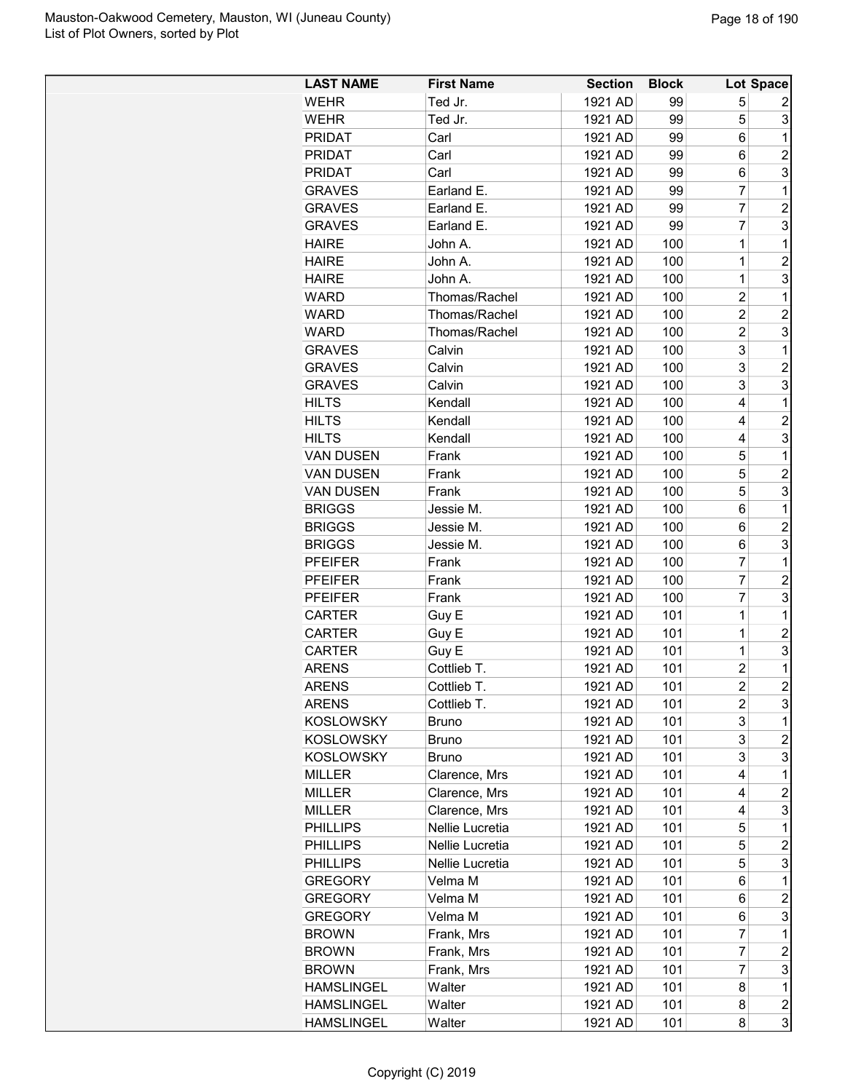| <b>LAST NAME</b>  | <b>First Name</b> | <b>Section</b> | <b>Block</b> |                | Lot Space               |
|-------------------|-------------------|----------------|--------------|----------------|-------------------------|
| <b>WEHR</b>       | Ted Jr.           | 1921 AD        | 99           | 5              | 2                       |
| <b>WEHR</b>       | Ted Jr.           | 1921 AD        | 99           | 5              | 3                       |
| <b>PRIDAT</b>     | Carl              | 1921 AD        | 99           | 6              | 1                       |
| <b>PRIDAT</b>     | Carl              | 1921 AD        | 99           | 6              | $\overline{2}$          |
| <b>PRIDAT</b>     | Carl              | 1921 AD        | 99           | 6              | 3                       |
| <b>GRAVES</b>     | Earland E.        | 1921 AD        | 99           | 7              | 1                       |
| <b>GRAVES</b>     | Earland E.        | 1921 AD        | 99           | $\overline{7}$ | $\overline{c}$          |
| <b>GRAVES</b>     | Earland E.        | 1921 AD        | 99           | 7              | 3                       |
| <b>HAIRE</b>      | John A.           | 1921 AD        | 100          | $\overline{1}$ | 1                       |
| <b>HAIRE</b>      | John A.           | 1921 AD        | 100          | $\overline{1}$ | $\overline{c}$          |
| <b>HAIRE</b>      | John A.           | 1921 AD        | 100          | $\overline{1}$ | 3                       |
| WARD              | Thomas/Rachel     | 1921 AD        | 100          | $\overline{c}$ | 1                       |
| <b>WARD</b>       | Thomas/Rachel     | 1921 AD        | 100          | $\overline{2}$ | $\overline{2}$          |
| <b>WARD</b>       | Thomas/Rachel     | 1921 AD        | 100          | $\overline{2}$ | 3                       |
| <b>GRAVES</b>     | Calvin            | 1921 AD        | 100          | 3              | 1                       |
| <b>GRAVES</b>     | Calvin            | 1921 AD        | 100          | 3              | $\overline{c}$          |
| <b>GRAVES</b>     | Calvin            | 1921 AD        | 100          | 3              | 3                       |
| <b>HILTS</b>      | Kendall           | 1921 AD        | 100          | 4              | 1                       |
|                   |                   |                |              |                |                         |
| <b>HILTS</b>      | Kendall           | 1921 AD        | 100          | 4              | $\overline{2}$          |
| <b>HILTS</b>      | Kendall           | 1921 AD        | 100          | 4              | 3                       |
| <b>VAN DUSEN</b>  | Frank             | 1921 AD        | 100          | 5              | 1                       |
| <b>VAN DUSEN</b>  | Frank             | 1921 AD        | 100          | 5              | $\overline{c}$          |
| <b>VAN DUSEN</b>  | Frank             | 1921 AD        | 100          | 5              | 3                       |
| <b>BRIGGS</b>     | Jessie M.         | 1921 AD        | 100          | 6              | 1                       |
| <b>BRIGGS</b>     | Jessie M.         | 1921 AD        | 100          | 6              | $\overline{c}$          |
| <b>BRIGGS</b>     | Jessie M.         | 1921 AD        | 100          | 6              | 3                       |
| <b>PFEIFER</b>    | Frank             | 1921 AD        | 100          | 7              | 1                       |
| <b>PFEIFER</b>    | Frank             | 1921 AD        | 100          | $\overline{7}$ | $\overline{c}$          |
| <b>PFEIFER</b>    | Frank             | 1921 AD        | 100          | 7              | 3                       |
| <b>CARTER</b>     | Guy E             | 1921 AD        | 101          | 1              | 1                       |
| <b>CARTER</b>     | Guy E             | 1921 AD        | 101          | $\overline{1}$ | $\overline{c}$          |
| <b>CARTER</b>     | Guy E             | 1921 AD        | 101          | $\overline{1}$ | 3                       |
| <b>ARENS</b>      | Cottlieb T.       | 1921 AD        | 101          | $\overline{2}$ | 1                       |
| <b>ARENS</b>      | Cottlieb T.       | 1921 AD        | 101          | $\overline{2}$ | $\overline{2}$          |
| <b>ARENS</b>      | Cottlieb T.       | 1921 AD        | 101          | 2              | 3                       |
| <b>KOSLOWSKY</b>  | <b>Bruno</b>      | 1921 AD        | 101          | 3              | 1                       |
| <b>KOSLOWSKY</b>  | <b>Bruno</b>      | 1921 AD        | 101          | 3              | $\boldsymbol{2}$        |
| <b>KOSLOWSKY</b>  | <b>Bruno</b>      | 1921 AD        | 101          | 3              | 3                       |
| <b>MILLER</b>     | Clarence, Mrs     | 1921 AD        | 101          | 4              | 1                       |
| <b>MILLER</b>     | Clarence, Mrs     | 1921 AD        | 101          | 4              | 2                       |
| <b>MILLER</b>     | Clarence, Mrs     | 1921 AD        | 101          | 4              | 3                       |
| <b>PHILLIPS</b>   | Nellie Lucretia   | 1921 AD        | 101          | 5              | 1                       |
| <b>PHILLIPS</b>   | Nellie Lucretia   | 1921 AD        | 101          | 5              | $\overline{c}$          |
| <b>PHILLIPS</b>   | Nellie Lucretia   | 1921 AD        | 101          | 5              | 3                       |
| <b>GREGORY</b>    | Velma M           | 1921 AD        | 101          | 6              | 1                       |
| <b>GREGORY</b>    | Velma M           | 1921 AD        | 101          | 6              | $\overline{\mathbf{c}}$ |
| <b>GREGORY</b>    | Velma M           | 1921 AD        | 101          | 6              | 3                       |
| <b>BROWN</b>      | Frank, Mrs        | 1921 AD        | 101          | $\overline{7}$ | 1                       |
| <b>BROWN</b>      | Frank, Mrs        | 1921 AD        | 101          | $\overline{7}$ | $\overline{c}$          |
| <b>BROWN</b>      | Frank, Mrs        | 1921 AD        | 101          | $\overline{7}$ | 3                       |
| <b>HAMSLINGEL</b> | Walter            | 1921 AD        | 101          | 8              | $\mathbf 1$             |
| <b>HAMSLINGEL</b> | Walter            | 1921 AD        | 101          | 8              | $\overline{\mathbf{c}}$ |
| <b>HAMSLINGEL</b> | Walter            | 1921 AD        | 101          | 8              | 3                       |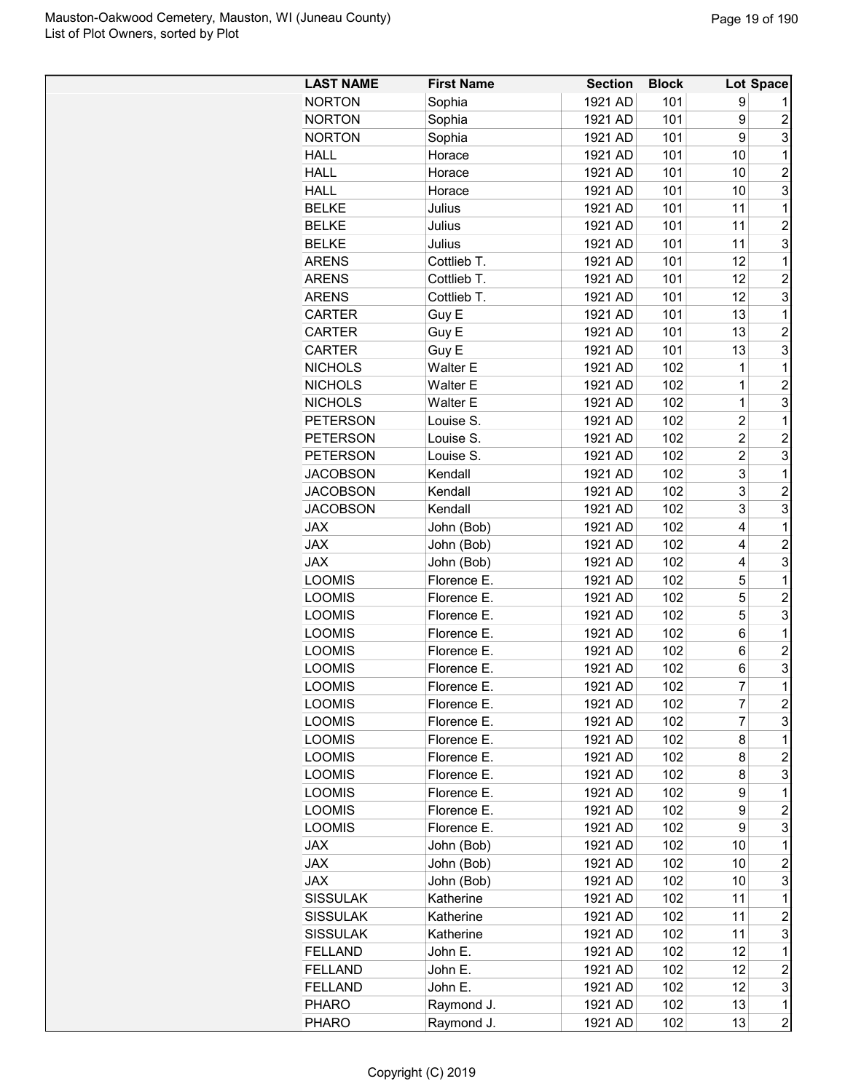| <b>LAST NAME</b> | <b>First Name</b> | <b>Section</b> | <b>Block</b> |                         | Lot Space               |
|------------------|-------------------|----------------|--------------|-------------------------|-------------------------|
| <b>NORTON</b>    | Sophia            | 1921 AD        | 101          | 9                       |                         |
| <b>NORTON</b>    | Sophia            | 1921 AD        | 101          | 9                       | $\overline{c}$          |
| <b>NORTON</b>    | Sophia            | 1921 AD        | 101          | 9                       | 3                       |
| <b>HALL</b>      | Horace            | 1921 AD        | 101          | 10                      | 1                       |
| <b>HALL</b>      | Horace            | 1921 AD        | 101          | 10                      | $\overline{c}$          |
| <b>HALL</b>      | Horace            | 1921 AD        | 101          | 10                      | 3                       |
| <b>BELKE</b>     | Julius            | 1921 AD        | 101          | 11                      | 1                       |
| <b>BELKE</b>     | Julius            | 1921 AD        | 101          | 11                      | $\overline{2}$          |
| <b>BELKE</b>     | Julius            | 1921 AD        | 101          | 11                      | 3                       |
| <b>ARENS</b>     | Cottlieb T.       | 1921 AD        | 101          | 12                      | 1                       |
| <b>ARENS</b>     | Cottlieb T.       | 1921 AD        | 101          | 12                      | $\overline{c}$          |
| <b>ARENS</b>     | Cottlieb T.       | 1921 AD        | 101          | 12                      | 3                       |
| <b>CARTER</b>    | Guy E             | 1921 AD        | 101          | 13                      | 1                       |
| <b>CARTER</b>    | Guy E             | 1921 AD        | 101          | 13                      | $\overline{c}$          |
| <b>CARTER</b>    | Guy E             | 1921 AD        | 101          | 13                      | 3                       |
| <b>NICHOLS</b>   | <b>Walter E</b>   | 1921 AD        | 102          | 1                       | 1                       |
| <b>NICHOLS</b>   | Walter E          | 1921 AD        | 102          | $\overline{1}$          | $\overline{2}$          |
| <b>NICHOLS</b>   | <b>Walter E</b>   | 1921 AD        | 102          | $\mathbf{1}$            | 3                       |
| <b>PETERSON</b>  | Louise S.         | 1921 AD        | 102          | $\overline{\mathbf{c}}$ | 1                       |
| <b>PETERSON</b>  | Louise S.         | 1921 AD        | 102          | $\overline{2}$          | $\overline{c}$          |
| <b>PETERSON</b>  | Louise S.         | 1921 AD        | 102          | $\overline{2}$          | 3                       |
| <b>JACOBSON</b>  | Kendall           | 1921 AD        | 102          | 3                       | 1                       |
| <b>JACOBSON</b>  | Kendall           | 1921 AD        | 102          | 3                       | $\overline{2}$          |
| <b>JACOBSON</b>  | Kendall           | 1921 AD        | 102          | 3                       | 3                       |
| <b>JAX</b>       | John (Bob)        | 1921 AD        | 102          | 4                       | 1                       |
| <b>JAX</b>       | John (Bob)        | 1921 AD        | 102          | 4                       | $\overline{2}$          |
| <b>JAX</b>       | John (Bob)        | 1921 AD        | 102          | 4                       | 3                       |
| <b>LOOMIS</b>    | Florence E.       | 1921 AD        | 102          | 5                       | 1                       |
| <b>LOOMIS</b>    | Florence E.       | 1921 AD        | 102          | 5                       | $\overline{c}$          |
| <b>LOOMIS</b>    | Florence E.       | 1921 AD        | 102          | 5                       | 3                       |
| <b>LOOMIS</b>    | Florence E.       | 1921 AD        | 102          | 6                       | 1                       |
| <b>LOOMIS</b>    | Florence E.       | 1921 AD        | 102          | 6                       | $\overline{2}$          |
| <b>LOOMIS</b>    | Florence E.       | 1921 AD        | 102          | 6                       | 3                       |
| <b>LOOMIS</b>    | Florence E        | 1921 AD        | 102          | 7                       | $\overline{1}$          |
| LOOMIS           | Florence E.       | 1921 AD        | 102          | 7                       | $\overline{\mathbf{c}}$ |
| <b>LOOMIS</b>    | Florence E.       | 1921 AD        | 102          | 7                       | 3                       |
| <b>LOOMIS</b>    | Florence E.       | 1921 AD        | 102          | 8                       | 1                       |
| <b>LOOMIS</b>    | Florence E.       | 1921 AD        | 102          | 8                       | $\overline{c}$          |
| <b>LOOMIS</b>    | Florence E.       | 1921 AD        | 102          | 8                       | 3                       |
| <b>LOOMIS</b>    | Florence E.       | 1921 AD        | 102          | 9                       | 1                       |
| <b>LOOMIS</b>    | Florence E.       | 1921 AD        | 102          | 9                       | $\overline{c}$          |
| <b>LOOMIS</b>    | Florence E.       | 1921 AD        | 102          | 9                       | 3                       |
| <b>JAX</b>       | John (Bob)        | 1921 AD        | 102          | 10                      | 1                       |
| <b>JAX</b>       | John (Bob)        | 1921 AD        | 102          | 10                      | $\boldsymbol{2}$        |
| <b>JAX</b>       | John (Bob)        | 1921 AD        | 102          | 10                      | 3                       |
| <b>SISSULAK</b>  | Katherine         | 1921 AD        | 102          | 11                      | 1                       |
| <b>SISSULAK</b>  | Katherine         | 1921 AD        | 102          | 11                      | $\overline{c}$          |
| <b>SISSULAK</b>  | Katherine         | 1921 AD        | 102          | 11                      | 3                       |
| <b>FELLAND</b>   | John E.           | 1921 AD        | 102          | 12                      | 1                       |
| <b>FELLAND</b>   | John E.           | 1921 AD        | 102          | 12                      | $\overline{c}$          |
| <b>FELLAND</b>   | John E.           | 1921 AD        | 102          | 12                      | 3                       |
| <b>PHARO</b>     | Raymond J.        | 1921 AD        | 102          | 13                      | 1                       |
| <b>PHARO</b>     | Raymond J.        | 1921 AD        | 102          | 13                      | $\overline{c}$          |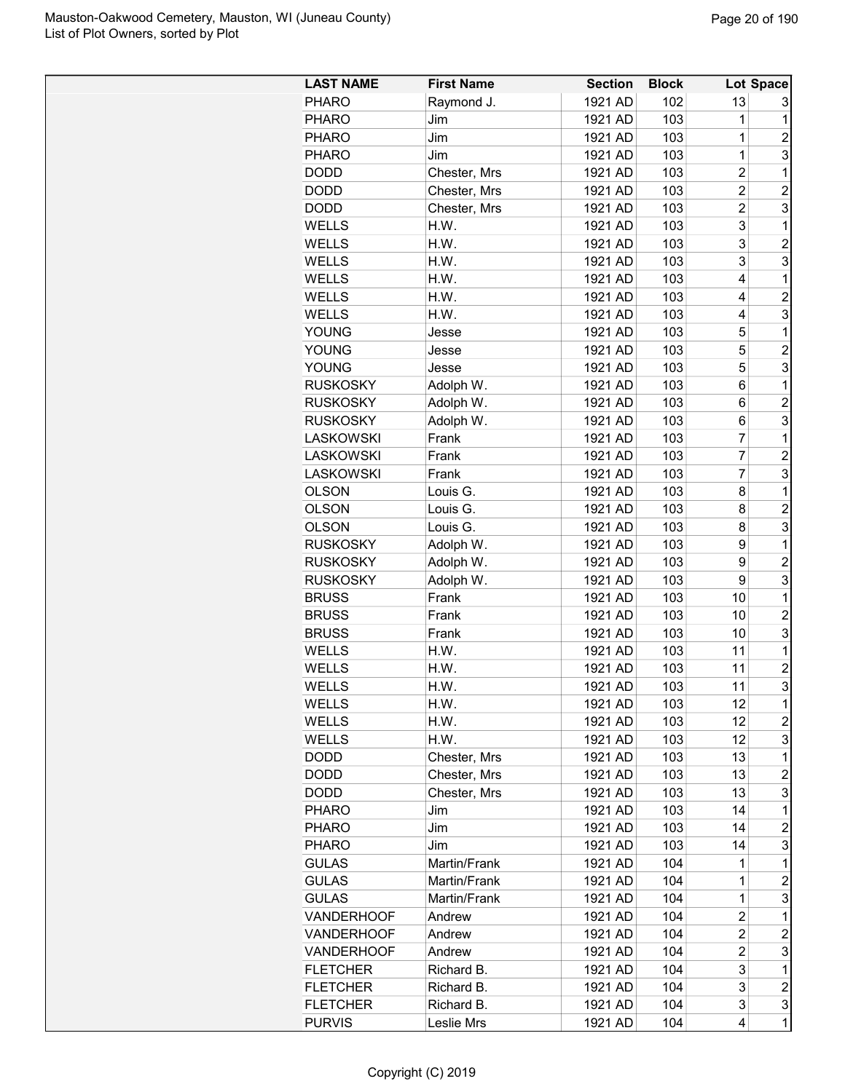| <b>LAST NAME</b>  | <b>First Name</b> | <b>Section</b> | <b>Block</b> |                         | Lot Space               |
|-------------------|-------------------|----------------|--------------|-------------------------|-------------------------|
| <b>PHARO</b>      | Raymond J.        | 1921 AD        | 102          | 13                      | 3                       |
| <b>PHARO</b>      | Jim               | 1921 AD        | 103          | 1                       | $\mathbf 1$             |
| <b>PHARO</b>      | Jim               | 1921 AD        | 103          | 1                       | $\overline{c}$          |
| <b>PHARO</b>      | Jim               | 1921 AD        | 103          | $\mathbf 1$             | 3                       |
| DODD              | Chester, Mrs      | 1921 AD        | 103          | $\overline{\mathbf{c}}$ | 1                       |
| <b>DODD</b>       | Chester, Mrs      | 1921 AD        | 103          | 2                       | $\overline{2}$          |
| <b>DODD</b>       | Chester, Mrs      | 1921 AD        | 103          | $\overline{c}$          | 3                       |
| <b>WELLS</b>      | H.W.              | 1921 AD        | 103          | 3                       | $\mathbf 1$             |
| <b>WELLS</b>      | H.W.              | 1921 AD        | 103          | 3                       | $\overline{2}$          |
| WELLS             | H.W.              | 1921 AD        | 103          | 3                       | 3                       |
| <b>WELLS</b>      | H.W.              | 1921 AD        | 103          | 4                       | 1                       |
| WELLS             | H.W.              | 1921 AD        | 103          | 4                       | $\overline{c}$          |
| WELLS             | H.W.              | 1921 AD        | 103          | 4                       | 3                       |
| <b>YOUNG</b>      | Jesse             | 1921 AD        | 103          | 5                       | 1                       |
| <b>YOUNG</b>      | Jesse             | 1921 AD        | 103          | 5                       | $\overline{2}$          |
| YOUNG             | Jesse             | 1921 AD        | 103          | 5                       | 3                       |
| <b>RUSKOSKY</b>   | Adolph W.         | 1921 AD        | 103          | 6                       | 1                       |
| <b>RUSKOSKY</b>   | Adolph W.         | 1921 AD        | 103          | 6                       | $\overline{c}$          |
| <b>RUSKOSKY</b>   | Adolph W.         | 1921 AD        | 103          | 6                       | 3                       |
| <b>LASKOWSKI</b>  | Frank             | 1921 AD        | 103          | $\overline{7}$          | $\mathbf{1}$            |
| <b>LASKOWSKI</b>  | Frank             | 1921 AD        | 103          | $\overline{7}$          | $\overline{c}$          |
| <b>LASKOWSKI</b>  | Frank             | 1921 AD        | 103          | $\overline{7}$          | 3                       |
| <b>OLSON</b>      | Louis G.          | 1921 AD        | 103          | 8                       | 1                       |
| <b>OLSON</b>      | Louis G.          | 1921 AD        | 103          | 8                       | $\overline{c}$          |
| <b>OLSON</b>      | Louis G.          | 1921 AD        | 103          | 8                       | 3                       |
| <b>RUSKOSKY</b>   | Adolph W.         | 1921 AD        | 103          | 9                       | $\mathbf{1}$            |
| <b>RUSKOSKY</b>   | Adolph W.         | 1921 AD        | 103          | 9                       | $\overline{c}$          |
| <b>RUSKOSKY</b>   | Adolph W.         | 1921 AD        | 103          | 9                       | 3                       |
| <b>BRUSS</b>      | Frank             | 1921 AD        | 103          | 10                      | 1                       |
| <b>BRUSS</b>      | Frank             | 1921 AD        | 103          | 10                      | $\overline{c}$          |
| <b>BRUSS</b>      | Frank             | 1921 AD        | 103          | 10                      | 3                       |
| WELLS             | H.W.              | 1921 AD        | 103          | 11                      | 1                       |
| <b>WELLS</b>      | H.W.              | 1921 AD        | 103          | 11                      | $\overline{2}$          |
| <b>WELLS</b>      | H.W.              | 1921 AD        | 103          | 11                      | 3                       |
| WELLS             | H.W.              | 1921 AD        | 103          | 12                      | $\mathbf 1$             |
| WELLS             | H.W.              | 1921 AD        | 103          | 12                      | $\overline{\mathbf{c}}$ |
| WELLS             | H.W.              | 1921 AD        | 103          | 12                      | 3                       |
| <b>DODD</b>       | Chester, Mrs      | 1921 AD        | 103          | 13                      | $\mathbf{1}$            |
| <b>DODD</b>       | Chester, Mrs      | 1921 AD        | 103          | 13                      | 2                       |
| <b>DODD</b>       | Chester, Mrs      | 1921 AD        | 103          | 13                      | 3                       |
| <b>PHARO</b>      | Jim               | 1921 AD        | 103          | 14                      | $\mathbf 1$             |
| <b>PHARO</b>      | Jim               | 1921 AD        | 103          | 14                      | $\overline{c}$          |
| <b>PHARO</b>      | Jim               | 1921 AD        | 103          | 14                      | 3                       |
| <b>GULAS</b>      | Martin/Frank      | 1921 AD        | 104          | 1                       | $\mathbf 1$             |
| <b>GULAS</b>      | Martin/Frank      | 1921 AD        | 104          | $\mathbf 1$             | $\overline{\mathbf{c}}$ |
| <b>GULAS</b>      | Martin/Frank      | 1921 AD        | 104          | 1                       | 3                       |
| <b>VANDERHOOF</b> | Andrew            | 1921 AD        | 104          | 2                       | 1                       |
| <b>VANDERHOOF</b> | Andrew            | 1921 AD        | 104          | $\overline{c}$          | $\overline{c}$          |
| <b>VANDERHOOF</b> | Andrew            | 1921 AD        | 104          | 2                       | 3                       |
| <b>FLETCHER</b>   | Richard B.        | 1921 AD        | 104          | 3                       | $\mathbf 1$             |
| <b>FLETCHER</b>   | Richard B.        | 1921 AD        | 104          | 3                       | $\overline{c}$          |
| <b>FLETCHER</b>   | Richard B.        | 1921 AD        | 104          | 3                       | 3                       |
| <b>PURVIS</b>     | Leslie Mrs        | 1921 AD        | 104          | 4                       | $\mathbf 1$             |
|                   |                   |                |              |                         |                         |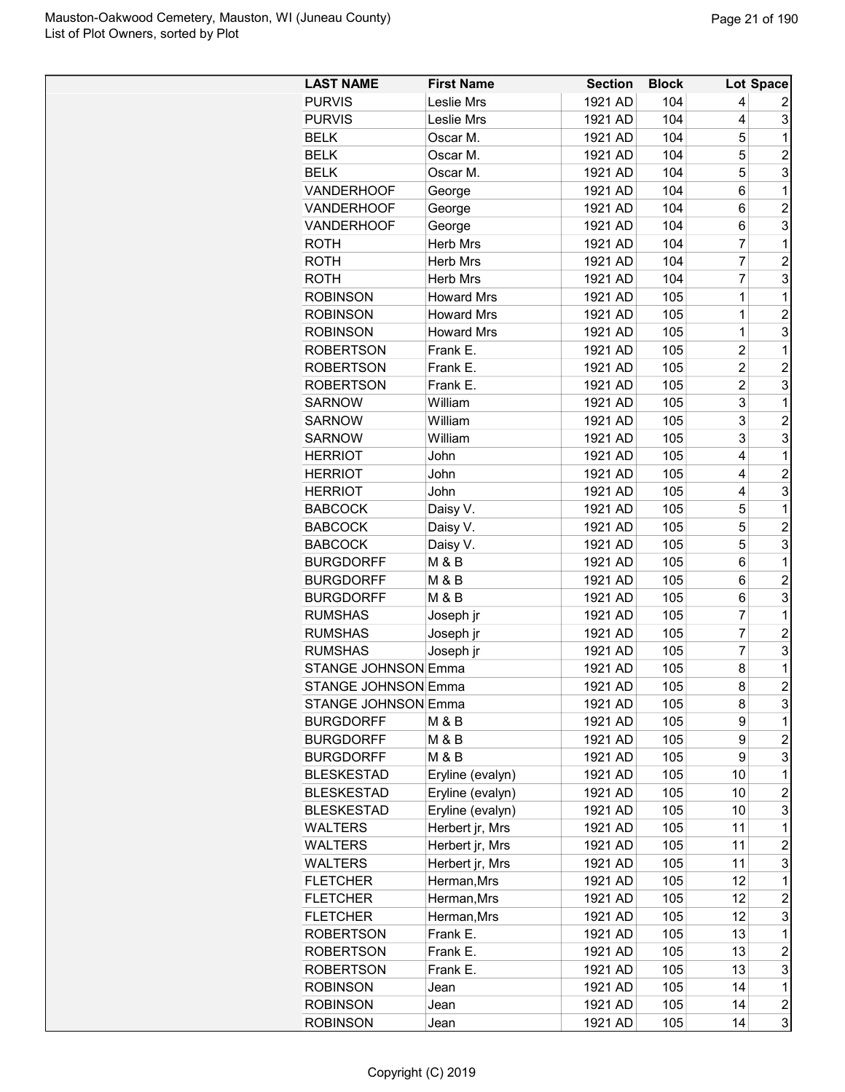| <b>LAST NAME</b>           | <b>First Name</b> | <b>Section</b> | <b>Block</b> |                | Lot Space               |
|----------------------------|-------------------|----------------|--------------|----------------|-------------------------|
| <b>PURVIS</b>              | Leslie Mrs        | 1921 AD        | 104          | 4              | 2                       |
| <b>PURVIS</b>              | Leslie Mrs        | 1921 AD        | 104          | 4              | 3                       |
| <b>BELK</b>                | Oscar M.          | 1921 AD        | 104          | 5              | 1                       |
| <b>BELK</b>                | Oscar M.          | 1921 AD        | 104          | 5              | $\overline{2}$          |
| <b>BELK</b>                | Oscar M.          | 1921 AD        | 104          | 5              | 3                       |
| <b>VANDERHOOF</b>          | George            | 1921 AD        | 104          | 6              | 1                       |
| <b>VANDERHOOF</b>          | George            | 1921 AD        | 104          | 6              | $\overline{c}$          |
| <b>VANDERHOOF</b>          | George            | 1921 AD        | 104          | 6              | 3                       |
| <b>ROTH</b>                | Herb Mrs          | 1921 AD        | 104          | 7              | 1                       |
| <b>ROTH</b>                | Herb Mrs          | 1921 AD        | 104          | $\overline{7}$ | $\overline{c}$          |
| <b>ROTH</b>                | <b>Herb Mrs</b>   | 1921 AD        | 104          | $\overline{7}$ | 3                       |
| <b>ROBINSON</b>            | <b>Howard Mrs</b> | 1921 AD        | 105          | 1              | 1                       |
| <b>ROBINSON</b>            | <b>Howard Mrs</b> | 1921 AD        | 105          | 1              | $\overline{c}$          |
| <b>ROBINSON</b>            | <b>Howard Mrs</b> | 1921 AD        | 105          | 1              | 3                       |
| <b>ROBERTSON</b>           | Frank E.          | 1921 AD        | 105          | $\overline{2}$ | 1                       |
| <b>ROBERTSON</b>           | Frank E.          | 1921 AD        | 105          | $\overline{2}$ | $\overline{2}$          |
| <b>ROBERTSON</b>           | Frank E.          | 1921 AD        | 105          | $\overline{2}$ | 3                       |
| <b>SARNOW</b>              | William           | 1921 AD        | 105          | 3              | 1                       |
| <b>SARNOW</b>              | William           | 1921 AD        | 105          | 3              | $\overline{c}$          |
| <b>SARNOW</b>              | William           | 1921 AD        | 105          | 3              | 3                       |
| <b>HERRIOT</b>             | John              | 1921 AD        | 105          | 4              | 1                       |
| <b>HERRIOT</b>             |                   | 1921 AD        | 105          | 4              | $\overline{c}$          |
|                            | John              |                |              |                |                         |
| <b>HERRIOT</b>             | John              | 1921 AD        | 105          | 4              | 3                       |
| <b>BABCOCK</b>             | Daisy V.          | 1921 AD        | 105          | 5              | 1                       |
| <b>BABCOCK</b>             | Daisy V.          | 1921 AD        | 105          | 5              | $\overline{c}$          |
| <b>BABCOCK</b>             | Daisy V.          | 1921 AD        | 105          | 5              | 3                       |
| <b>BURGDORFF</b>           | <b>M &amp; B</b>  | 1921 AD        | 105          | 6              | 1                       |
| <b>BURGDORFF</b>           | M & B             | 1921 AD        | 105          | 6              | $\overline{c}$          |
| <b>BURGDORFF</b>           | <b>M &amp; B</b>  | 1921 AD        | 105          | 6              | 3                       |
| <b>RUMSHAS</b>             | Joseph jr         | 1921 AD        | 105          | 7              | 1                       |
| <b>RUMSHAS</b>             | Joseph jr         | 1921 AD        | 105          | 7              | $\overline{c}$          |
| <b>RUMSHAS</b>             | Joseph jr         | 1921 AD        | 105          | $\overline{7}$ | 3                       |
| <b>STANGE JOHNSON Emma</b> |                   | 1921 AD        | 105          | 8              | 1                       |
| <b>STANGE JOHNSON Emma</b> |                   | 1921 AD        | 105          | 8              | $\overline{2}$          |
| <b>STANGE JOHNSON Emma</b> |                   | 1921 AD        | 105          | 8              | 3                       |
| <b>BURGDORFF</b>           | M & B             | 1921 AD        | 105          | 9              | 1                       |
| <b>BURGDORFF</b>           | M & B             | 1921 AD        | 105          | 9              | $\overline{c}$          |
| <b>BURGDORFF</b>           | M & B             | 1921 AD        | 105          | 9              | 3                       |
| <b>BLESKESTAD</b>          | Eryline (evalyn)  | 1921 AD        | 105          | 10             | 1                       |
| <b>BLESKESTAD</b>          | Eryline (evalyn)  | 1921 AD        | 105          | 10             | $\overline{c}$          |
| <b>BLESKESTAD</b>          | Eryline (evalyn)  | 1921 AD        | 105          | 10             | 3                       |
| <b>WALTERS</b>             | Herbert jr, Mrs   | 1921 AD        | 105          | 11             | 1                       |
| <b>WALTERS</b>             | Herbert jr, Mrs   | 1921 AD        | 105          | 11             | $\overline{c}$          |
| WALTERS                    | Herbert jr, Mrs   | 1921 AD        | 105          | 11             | 3                       |
| <b>FLETCHER</b>            | Herman, Mrs       | 1921 AD        | 105          | 12             | 1                       |
| <b>FLETCHER</b>            | Herman, Mrs       | 1921 AD        | 105          | 12             | $\overline{\mathbf{c}}$ |
| <b>FLETCHER</b>            | Herman, Mrs       | 1921 AD        | 105          | 12             | 3                       |
| <b>ROBERTSON</b>           | Frank E.          | 1921 AD        | 105          | 13             | 1                       |
| <b>ROBERTSON</b>           | Frank E.          | 1921 AD        | 105          | 13             | $\boldsymbol{2}$        |
| <b>ROBERTSON</b>           | Frank E.          | 1921 AD        | 105          | 13             | 3                       |
| <b>ROBINSON</b>            | Jean              | 1921 AD        | 105          | 14             | 1                       |
| <b>ROBINSON</b>            | Jean              | 1921 AD        | 105          | 14             | $\overline{\mathbf{c}}$ |
| <b>ROBINSON</b>            | Jean              | 1921 AD        | 105          | 14             | 3                       |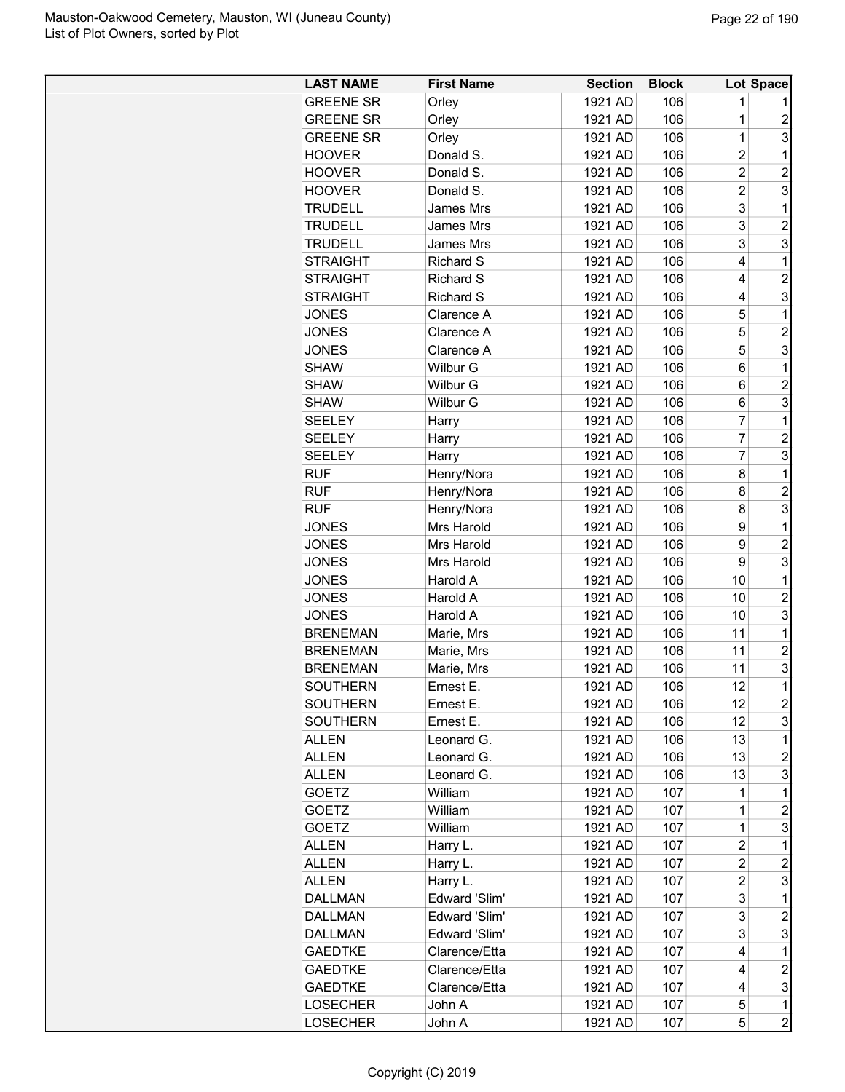| <b>LAST NAME</b> | <b>First Name</b> | <b>Section</b> | <b>Block</b> |                | Lot Space        |
|------------------|-------------------|----------------|--------------|----------------|------------------|
| <b>GREENE SR</b> | Orley             | 1921 AD        | 106          | 1              |                  |
| <b>GREENE SR</b> | Orley             | 1921 AD        | 106          | 1              | $\overline{c}$   |
| <b>GREENE SR</b> | Orley             | 1921 AD        | 106          | $\mathbf 1$    | 3                |
| <b>HOOVER</b>    | Donald S.         | 1921 AD        | 106          | $\overline{c}$ | 1                |
| <b>HOOVER</b>    | Donald S.         | 1921 AD        | 106          | $\overline{2}$ | $\overline{2}$   |
| <b>HOOVER</b>    | Donald S.         | 1921 AD        | 106          | $\overline{c}$ | 3                |
| <b>TRUDELL</b>   | James Mrs         | 1921 AD        | 106          | 3              | 1                |
| <b>TRUDELL</b>   | James Mrs         | 1921 AD        | 106          | 3              | $\overline{c}$   |
| <b>TRUDELL</b>   | James Mrs         | 1921 AD        | 106          | 3              | 3                |
| <b>STRAIGHT</b>  | <b>Richard S</b>  | 1921 AD        | 106          | 4              | 1                |
| <b>STRAIGHT</b>  | <b>Richard S</b>  | 1921 AD        | 106          | 4              | $\overline{c}$   |
| <b>STRAIGHT</b>  | Richard S         | 1921 AD        | 106          | 4              | 3                |
| <b>JONES</b>     | Clarence A        | 1921 AD        | 106          | 5              | 1                |
| <b>JONES</b>     | Clarence A        | 1921 AD        | 106          | 5              | $\overline{c}$   |
| <b>JONES</b>     | Clarence A        | 1921 AD        | 106          | 5              | 3                |
| SHAW             | Wilbur G          | 1921 AD        | 106          | 6              | 1                |
| SHAW             | Wilbur G          | 1921 AD        | 106          | 6              | $\overline{c}$   |
| SHAW             | Wilbur G          | 1921 AD        | 106          | 6              | 3                |
| SEELEY           |                   | 1921 AD        | 106          | 7              | 1                |
| <b>SEELEY</b>    | Harry             | 1921 AD        | 106          | 7              | $\overline{2}$   |
| <b>SEELEY</b>    | Harry             | 1921 AD        | 106          | 7              | 3                |
| <b>RUF</b>       | Harry             | 1921 AD        | 106          | 8              | 1                |
|                  | Henry/Nora        |                |              |                |                  |
| <b>RUF</b>       | Henry/Nora        | 1921 AD        | 106          | 8              | $\overline{c}$   |
| <b>RUF</b>       | Henry/Nora        | 1921 AD        | 106          | 8              | 3                |
| <b>JONES</b>     | Mrs Harold        | 1921 AD        | 106          | 9              | 1                |
| <b>JONES</b>     | Mrs Harold        | 1921 AD        | 106          | 9              | $\overline{c}$   |
| <b>JONES</b>     | Mrs Harold        | 1921 AD        | 106          | 9              | 3                |
| <b>JONES</b>     | Harold A          | 1921 AD        | 106          | 10             | 1                |
| <b>JONES</b>     | Harold A          | 1921 AD        | 106          | 10             | $\overline{c}$   |
| <b>JONES</b>     | Harold A          | 1921 AD        | 106          | 10             | 3                |
| <b>BRENEMAN</b>  | Marie, Mrs        | 1921 AD        | 106          | 11             | 1                |
| <b>BRENEMAN</b>  | Marie, Mrs        | 1921 AD        | 106          | 11             | $\overline{c}$   |
| <b>BRENEMAN</b>  | Marie, Mrs        | 1921 AD        | 106          | 11             | 3                |
| SOUTHERN         | <b>Ernest E</b>   | 1921 AD        | 106          | 12             | 1                |
| SOUTHERN         | Ernest E.         | 1921 AD        | 106          | 12             | $\boldsymbol{2}$ |
| <b>SOUTHERN</b>  | Ernest E.         | 1921 AD        | 106          | 12             | 3                |
| <b>ALLEN</b>     | Leonard G.        | 1921 AD        | 106          | 13             | 1                |
| <b>ALLEN</b>     | Leonard G.        | 1921 AD        | 106          | 13             | $\overline{c}$   |
| <b>ALLEN</b>     | Leonard G.        | 1921 AD        | 106          | 13             | 3                |
| <b>GOETZ</b>     | William           | 1921 AD        | 107          | 1              | 1                |
| <b>GOETZ</b>     | William           | 1921 AD        | 107          | 1              | $\overline{c}$   |
| GOETZ            | William           | 1921 AD        | 107          | 1              | 3                |
| <b>ALLEN</b>     | Harry L.          | 1921 AD        | 107          | 2              | 1                |
| ALLEN            | Harry L.          | 1921 AD        | 107          | $\overline{c}$ | $\overline{c}$   |
| ALLEN            | Harry L.          | 1921 AD        | 107          | $\overline{c}$ | 3                |
| <b>DALLMAN</b>   | Edward 'Slim'     | 1921 AD        | 107          | 3              | $\overline{1}$   |
| <b>DALLMAN</b>   | Edward 'Slim'     | 1921 AD        | 107          | 3              | $\overline{c}$   |
| <b>DALLMAN</b>   | Edward 'Slim'     | 1921 AD        | 107          | 3              | 3                |
| <b>GAEDTKE</b>   | Clarence/Etta     | 1921 AD        | 107          | 4              | 1                |
| <b>GAEDTKE</b>   | Clarence/Etta     | 1921 AD        | 107          | 4              | $\boldsymbol{2}$ |
| <b>GAEDTKE</b>   | Clarence/Etta     | 1921 AD        | 107          | 4              | 3                |
| <b>LOSECHER</b>  | John A            | 1921 AD        | 107          | 5              | 1                |
| LOSECHER         | John A            | 1921 AD        | 107          | 5              | $\overline{c}$   |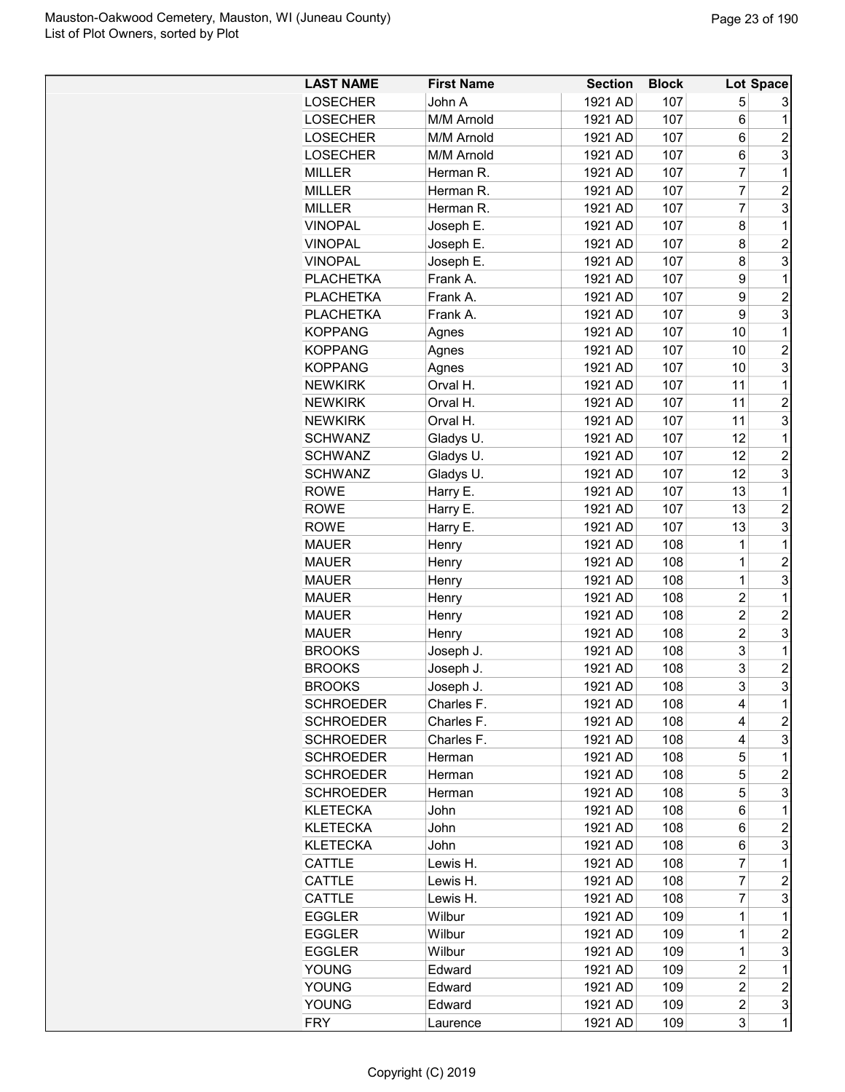| <b>LAST NAME</b> | <b>First Name</b> | <b>Section</b> | <b>Block</b> |                | Lot Space        |
|------------------|-------------------|----------------|--------------|----------------|------------------|
| <b>LOSECHER</b>  | John A            | 1921 AD        | 107          | 5              | 3                |
| <b>LOSECHER</b>  | M/M Arnold        | 1921 AD        | 107          | 6              | 1                |
| <b>LOSECHER</b>  | M/M Arnold        | 1921 AD        | 107          | 6              | $\overline{2}$   |
| <b>LOSECHER</b>  | M/M Arnold        | 1921 AD        | 107          | 6              | 3                |
| <b>MILLER</b>    | Herman R.         | 1921 AD        | 107          | 7              | 1                |
| <b>MILLER</b>    | Herman R.         | 1921 AD        | 107          | 7              | $\overline{c}$   |
| <b>MILLER</b>    | Herman R.         | 1921 AD        | 107          | $\overline{7}$ | 3                |
| <b>VINOPAL</b>   | Joseph E.         | 1921 AD        | 107          | 8              | 1                |
| <b>VINOPAL</b>   | Joseph E.         | 1921 AD        | 107          | 8              | $\overline{c}$   |
| <b>VINOPAL</b>   | Joseph E.         | 1921 AD        | 107          | 8              | 3                |
| <b>PLACHETKA</b> | Frank A.          | 1921 AD        | 107          | 9              | 1                |
| <b>PLACHETKA</b> | Frank A.          | 1921 AD        | 107          | 9              | $\overline{2}$   |
| <b>PLACHETKA</b> | Frank A.          | 1921 AD        | 107          | 9              | 3                |
| <b>KOPPANG</b>   | Agnes             | 1921 AD        | 107          | 10             | 1                |
| <b>KOPPANG</b>   | Agnes             | 1921 AD        | 107          | 10             | $\overline{2}$   |
| <b>KOPPANG</b>   | Agnes             | 1921 AD        | 107          | 10             | 3                |
| <b>NEWKIRK</b>   | Orval H.          | 1921 AD        | 107          | 11             | 1                |
| <b>NEWKIRK</b>   | Orval H.          | 1921 AD        | 107          | 11             | $\overline{2}$   |
| <b>NEWKIRK</b>   | Orval H.          | 1921 AD        | 107          | 11             | 3                |
| <b>SCHWANZ</b>   | Gladys U.         | 1921 AD        | 107          | 12             | 1                |
| <b>SCHWANZ</b>   | Gladys U.         | 1921 AD        | 107          | 12             | $\overline{2}$   |
| <b>SCHWANZ</b>   | Gladys U.         | 1921 AD        | 107          | 12             | 3                |
| <b>ROWE</b>      |                   | 1921 AD        | 107          | 13             | 1                |
| <b>ROWE</b>      | Harry E.          | 1921 AD        | 107          | 13             | $\overline{c}$   |
| <b>ROWE</b>      | Harry E.          | 1921 AD        | 107          | 13             | 3                |
|                  | Harry E.          |                |              |                |                  |
| <b>MAUER</b>     | Henry             | 1921 AD        | 108          | 1              | 1                |
| <b>MAUER</b>     | Henry             | 1921 AD        | 108          | 1              | $\overline{2}$   |
| <b>MAUER</b>     | Henry             | 1921 AD        | 108          | 1              | 3                |
| <b>MAUER</b>     | Henry             | 1921 AD        | 108          | $\overline{2}$ | 1                |
| <b>MAUER</b>     | Henry             | 1921 AD        | 108          | $\overline{2}$ | $\overline{2}$   |
| <b>MAUER</b>     | Henry             | 1921 AD        | 108          | $\overline{2}$ | 3                |
| <b>BROOKS</b>    | Joseph J.         | 1921 AD        | 108          | 3              | 1                |
| <b>BROOKS</b>    | Joseph J.         | 1921 AD        | 108          | 3              | $\overline{2}$   |
| <b>BROOKS</b>    | Joseph J.         | 1921 AD        | 108          | 3              | 3                |
| <b>SCHROEDER</b> | Charles F.        | 1921 AD        | 108          | 4              | 1                |
| <b>SCHROEDER</b> | Charles F.        | 1921 AD        | 108          | 4              | $\overline{c}$   |
| <b>SCHROEDER</b> | Charles F.        | 1921 AD        | 108          | 4              | 3                |
| <b>SCHROEDER</b> | Herman            | 1921 AD        | 108          | 5              | 1                |
| <b>SCHROEDER</b> | Herman            | 1921 AD        | 108          | 5              | $\overline{c}$   |
| <b>SCHROEDER</b> | Herman            | 1921 AD        | 108          | 5              | 3                |
| <b>KLETECKA</b>  | John              | 1921 AD        | 108          | 6              | 1                |
| <b>KLETECKA</b>  | John              | 1921 AD        | 108          | 6              | $\overline{c}$   |
| <b>KLETECKA</b>  | John              | 1921 AD        | 108          | 6              | 3                |
| CATTLE           | Lewis H.          | 1921 AD        | 108          | $\overline{7}$ | 1                |
| CATTLE           | Lewis H.          | 1921 AD        | 108          | $\overline{7}$ | $\overline{c}$   |
| CATTLE           | Lewis H.          | 1921 AD        | 108          | 7              | 3                |
| <b>EGGLER</b>    | Wilbur            | 1921 AD        | 109          | 1              | 1                |
| <b>EGGLER</b>    | Wilbur            | 1921 AD        | 109          | 1              | $\overline{c}$   |
| <b>EGGLER</b>    | Wilbur            | 1921 AD        | 109          | 1              | 3                |
| <b>YOUNG</b>     | Edward            | 1921 AD        | 109          | $\overline{c}$ | 1                |
| <b>YOUNG</b>     | Edward            | 1921 AD        | 109          | $\overline{c}$ | $\boldsymbol{2}$ |
| <b>YOUNG</b>     | Edward            | 1921 AD        | 109          | $\overline{c}$ | 3                |
| <b>FRY</b>       | Laurence          | 1921 AD        | 109          | 3              | 1                |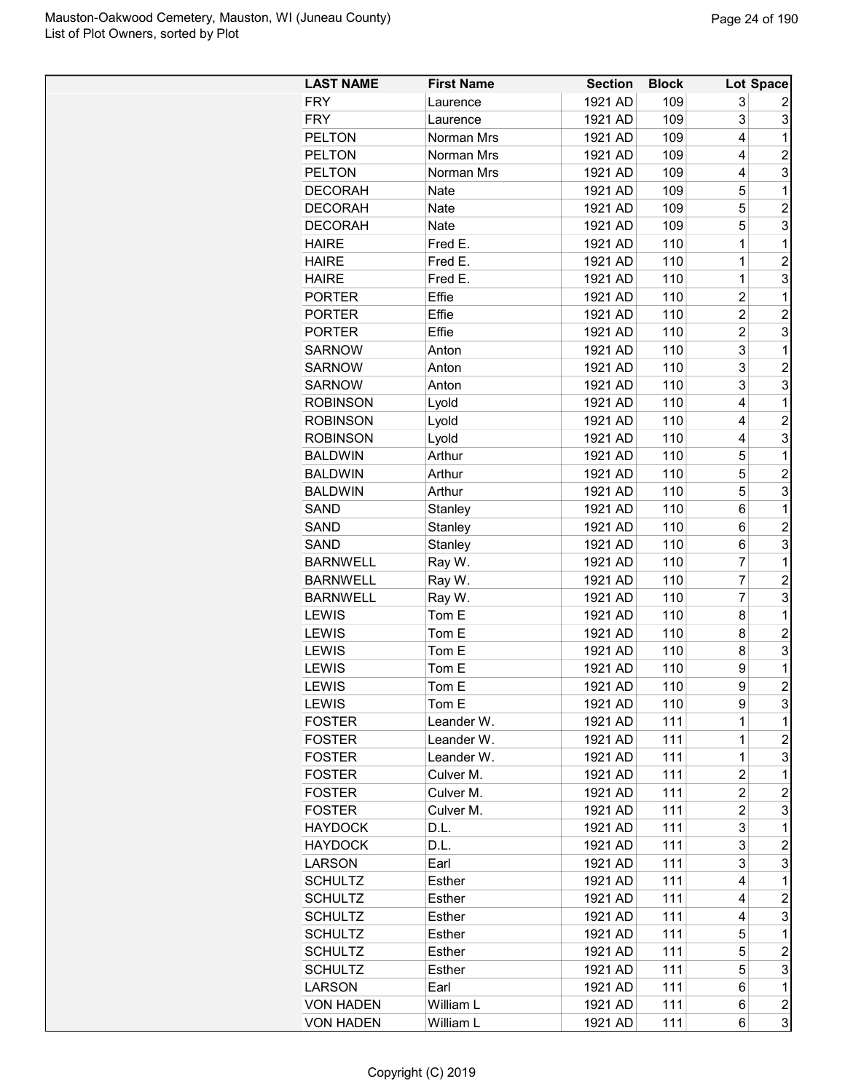| <b>LAST NAME</b> | <b>First Name</b> | <b>Section</b> | <b>Block</b> |                | Lot Space               |
|------------------|-------------------|----------------|--------------|----------------|-------------------------|
| <b>FRY</b>       | Laurence          | 1921 AD        | 109          | 3              | 2                       |
| <b>FRY</b>       | Laurence          | 1921 AD        | 109          | 3              | 3                       |
| <b>PELTON</b>    | Norman Mrs        | 1921 AD        | 109          | 4              | 1                       |
| <b>PELTON</b>    | Norman Mrs        | 1921 AD        | 109          | 4              | $\overline{c}$          |
| <b>PELTON</b>    | Norman Mrs        | 1921 AD        | 109          | 4              | 3                       |
| <b>DECORAH</b>   | Nate              | 1921 AD        | 109          | 5              | 1                       |
| <b>DECORAH</b>   | <b>Nate</b>       | 1921 AD        | 109          | 5              | $\overline{2}$          |
| <b>DECORAH</b>   | Nate              | 1921 AD        | 109          | 5              | 3                       |
| <b>HAIRE</b>     | Fred E.           | 1921 AD        | 110          | 1              | 1                       |
| <b>HAIRE</b>     | Fred E.           | 1921 AD        | 110          | 1              | 2                       |
| <b>HAIRE</b>     | Fred E.           | 1921 AD        | 110          | 1              | 3                       |
| <b>PORTER</b>    | Effie             | 1921 AD        | 110          | 2              | 1                       |
| <b>PORTER</b>    | Effie             | 1921 AD        | 110          | $\overline{c}$ | $\overline{c}$          |
| <b>PORTER</b>    | Effie             | 1921 AD        | 110          | 2              | 3                       |
| <b>SARNOW</b>    | Anton             | 1921 AD        | 110          | 3              | 1                       |
| <b>SARNOW</b>    | Anton             | 1921 AD        | 110          | 3              | $\overline{c}$          |
| <b>SARNOW</b>    |                   |                | 110          | 3              | 3                       |
|                  | Anton             | 1921 AD        |              | 4              | 1                       |
| <b>ROBINSON</b>  | Lyold             | 1921 AD        | 110          |                |                         |
| <b>ROBINSON</b>  | Lyold             | 1921 AD        | 110          | 4              | $\overline{c}$          |
| <b>ROBINSON</b>  | Lyold             | 1921 AD        | 110          | 4              | 3                       |
| <b>BALDWIN</b>   | Arthur            | 1921 AD        | 110          | 5              | 1                       |
| <b>BALDWIN</b>   | Arthur            | 1921 AD        | 110          | 5              | $\overline{c}$          |
| <b>BALDWIN</b>   | Arthur            | 1921 AD        | 110          | 5              | 3                       |
| SAND             | Stanley           | 1921 AD        | 110          | 6              | 1                       |
| SAND             | Stanley           | 1921 AD        | 110          | 6              | 2                       |
| SAND             | Stanley           | 1921 AD        | 110          | 6              | 3                       |
| <b>BARNWELL</b>  | Ray W.            | 1921 AD        | 110          | $\overline{7}$ | 1                       |
| <b>BARNWELL</b>  | Ray W.            | 1921 AD        | 110          | 7              | $\overline{c}$          |
| <b>BARNWELL</b>  | Ray W.            | 1921 AD        | 110          | $\overline{7}$ | 3                       |
| <b>LEWIS</b>     | Tom E             | 1921 AD        | 110          | 8              | 1                       |
| <b>LEWIS</b>     | Tom E             | 1921 AD        | 110          | 8              | 2                       |
| <b>LEWIS</b>     | Tom E             | 1921 AD        | 110          | 8              | 3                       |
| <b>LEWIS</b>     | Tom E             | 1921 AD        | 110          | 9              | 1                       |
| LEWIS            | Tom E             | 1921 AD        | 110          | 9              | $\overline{2}$          |
| <b>LEWIS</b>     | Tom E             | 1921 AD        | 110          | 9              | 3                       |
| <b>FOSTER</b>    | Leander W.        | 1921 AD        | 111          | 1              | 1                       |
| <b>FOSTER</b>    | Leander W.        | 1921 AD        | 111          | $\mathbf{1}$   | $\overline{c}$          |
| <b>FOSTER</b>    | Leander W.        | 1921 AD        | 111          | $\mathbf 1$    | 3                       |
| <b>FOSTER</b>    | Culver M.         | 1921 AD        | 111          | 2              | $\mathbf 1$             |
| <b>FOSTER</b>    | Culver M.         | 1921 AD        | 111          | $\overline{c}$ | $\overline{c}$          |
| <b>FOSTER</b>    | Culver M.         | 1921 AD        | 111          | 2              | 3                       |
| <b>HAYDOCK</b>   | D.L.              | 1921 AD        | 111          | 3              | $\mathbf 1$             |
| <b>HAYDOCK</b>   | D.L.              | 1921 AD        | 111          | 3              | $\overline{2}$          |
| <b>LARSON</b>    | Earl              | 1921 AD        | 111          | 3              | 3                       |
| <b>SCHULTZ</b>   | Esther            | 1921 AD        | 111          | 4              | $\mathbf 1$             |
| <b>SCHULTZ</b>   | Esther            | 1921 AD        | 111          | 4              | 2                       |
| <b>SCHULTZ</b>   | Esther            | 1921 AD        | 111          | 4              | 3                       |
| <b>SCHULTZ</b>   | Esther            | 1921 AD        | 111          | 5              | $\mathbf 1$             |
| <b>SCHULTZ</b>   | Esther            | 1921 AD        | 111          | 5              | $\overline{c}$          |
| <b>SCHULTZ</b>   | Esther            | 1921 AD        | 111          | 5              | 3                       |
| <b>LARSON</b>    | Earl              | 1921 AD        | 111          | 6              | $\mathbf 1$             |
| <b>VON HADEN</b> | William L         | 1921 AD        | 111          | 6              | $\overline{\mathbf{c}}$ |
| <b>VON HADEN</b> | William L         | 1921 AD        | 111          | 6              | 3                       |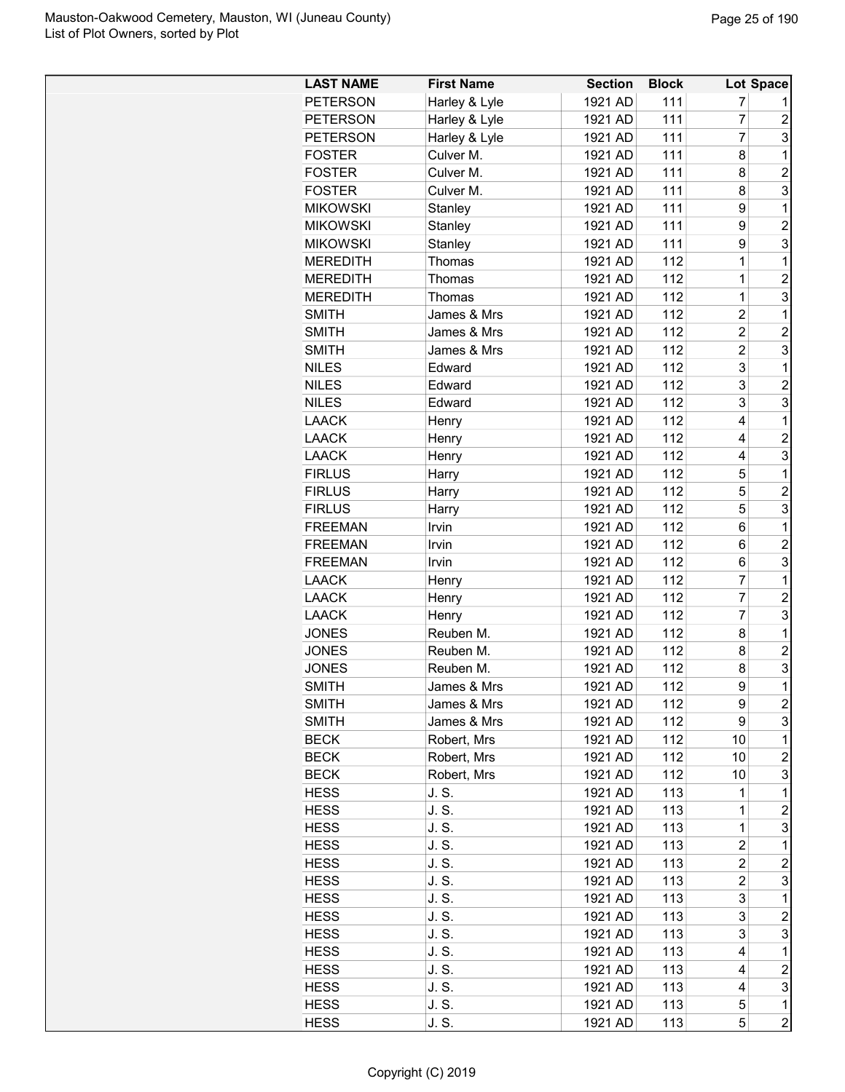| <b>LAST NAME</b> | <b>First Name</b> | <b>Section</b> | <b>Block</b> |                | <b>Lot Space</b> |
|------------------|-------------------|----------------|--------------|----------------|------------------|
| <b>PETERSON</b>  | Harley & Lyle     | 1921 AD        | 111          | 7              |                  |
| <b>PETERSON</b>  | Harley & Lyle     | 1921 AD        | 111          | $\overline{7}$ | $\overline{c}$   |
| <b>PETERSON</b>  | Harley & Lyle     | 1921 AD        | 111          | $\overline{7}$ | 3                |
| <b>FOSTER</b>    | Culver M.         | 1921 AD        | 111          | 8              | 1                |
| <b>FOSTER</b>    | Culver M.         | 1921 AD        | 111          | 8              | $\overline{2}$   |
| <b>FOSTER</b>    | Culver M.         | 1921 AD        | 111          | 8              | 3                |
| <b>MIKOWSKI</b>  | Stanley           | 1921 AD        | 111          | 9              | $\mathbf 1$      |
| <b>MIKOWSKI</b>  | Stanley           | 1921 AD        | 111          | 9              | $\overline{2}$   |
| <b>MIKOWSKI</b>  | Stanley           | 1921 AD        | 111          | 9              | 3                |
| <b>MEREDITH</b>  | Thomas            | 1921 AD        | 112          | 1              | 1                |
| <b>MEREDITH</b>  | Thomas            | 1921 AD        | 112          | 1              | $\overline{2}$   |
| <b>MEREDITH</b>  | Thomas            | 1921 AD        | 112          | 1              | 3                |
| <b>SMITH</b>     | James & Mrs       | 1921 AD        | 112          | $\overline{c}$ | 1                |
| <b>SMITH</b>     | James & Mrs       | 1921 AD        | 112          | 2              | $\overline{2}$   |
| <b>SMITH</b>     | James & Mrs       | 1921 AD        | 112          | $\overline{2}$ | 3                |
| <b>NILES</b>     | Edward            | 1921 AD        | 112          | 3              | 1                |
| <b>NILES</b>     | Edward            | 1921 AD        | 112          | 3              | $\overline{c}$   |
| <b>NILES</b>     | Edward            | 1921 AD        | 112          | 3              | 3                |
| <b>LAACK</b>     | Henry             | 1921 AD        | 112          | 4              | 1                |
| <b>LAACK</b>     | Henry             | 1921 AD        | 112          | 4              | $\overline{c}$   |
| <b>LAACK</b>     |                   | 1921 AD        | 112          | 4              | 3                |
| <b>FIRLUS</b>    | Henry             | 1921 AD        | 112          | 5              | 1                |
|                  | Harry             |                |              | 5              | $\overline{2}$   |
| <b>FIRLUS</b>    | Harry             | 1921 AD        | 112          | 5              | 3                |
| <b>FIRLUS</b>    | Harry             | 1921 AD        | 112          |                |                  |
| <b>FREEMAN</b>   | Irvin             | 1921 AD        | 112          | 6              | 1                |
| <b>FREEMAN</b>   | Irvin             | 1921 AD        | 112          | 6              | $\overline{c}$   |
| <b>FREEMAN</b>   | Irvin             | 1921 AD        | 112          | 6              | 3                |
| <b>LAACK</b>     | Henry             | 1921 AD        | 112          | 7              | 1                |
| <b>LAACK</b>     | Henry             | 1921 AD        | 112          | 7              | $\overline{c}$   |
| <b>LAACK</b>     | Henry             | 1921 AD        | 112          | $\overline{7}$ | 3                |
| <b>JONES</b>     | Reuben M.         | 1921 AD        | 112          | 8              | 1                |
| <b>JONES</b>     | Reuben M.         | 1921 AD        | 112          | 8              | $\overline{2}$   |
| <b>JONES</b>     | Reuben M.         | 1921 AD        | 112          | 8              | 3                |
| <b>SMITH</b>     | James & Mrs       | 1921 AD        | 112          | 9              | $\overline{1}$   |
| SMITH            | James & Mrs       | 1921 AD        | 112          | 9              | $\boldsymbol{2}$ |
| <b>SMITH</b>     | James & Mrs       | 1921 AD        | 112          | 9              | 3                |
| <b>BECK</b>      | Robert, Mrs       | 1921 AD        | 112          | 10             | 1                |
| <b>BECK</b>      | Robert, Mrs       | 1921 AD        | 112          | 10             | $\overline{c}$   |
| <b>BECK</b>      | Robert, Mrs       | 1921 AD        | 112          | 10             | 3                |
| <b>HESS</b>      | J. S.             | 1921 AD        | 113          | $\mathbf 1$    | 1                |
| <b>HESS</b>      | J. S.             | 1921 AD        | 113          | $\mathbf 1$    | $\overline{c}$   |
| <b>HESS</b>      | J. S.             | 1921 AD        | 113          | $\mathbf 1$    | 3                |
| <b>HESS</b>      | J. S.             | 1921 AD        | 113          | $\overline{2}$ | 1                |
| <b>HESS</b>      | J. S.             | 1921 AD        | 113          | $\overline{c}$ | $\overline{c}$   |
| <b>HESS</b>      | J. S.             | 1921 AD        | 113          | $\overline{c}$ | 3                |
| <b>HESS</b>      | J. S.             | 1921 AD        | 113          | 3              | 1                |
| <b>HESS</b>      | J. S.             | 1921 AD        | 113          | 3              | $\overline{c}$   |
| HESS             | J. S.             | 1921 AD        | 113          | 3              | 3                |
| <b>HESS</b>      | J. S.             | 1921 AD        | 113          | 4              | 1                |
| <b>HESS</b>      | J. S.             | 1921 AD        | 113          | 4              | $\overline{c}$   |
| <b>HESS</b>      | J. S.             | 1921 AD        | 113          | 4              | 3                |
| <b>HESS</b>      | J. S.             | 1921 AD        | 113          | 5              | $\mathbf 1$      |
| <b>HESS</b>      | J. S.             | 1921 AD        | 113          | 5              | $\overline{c}$   |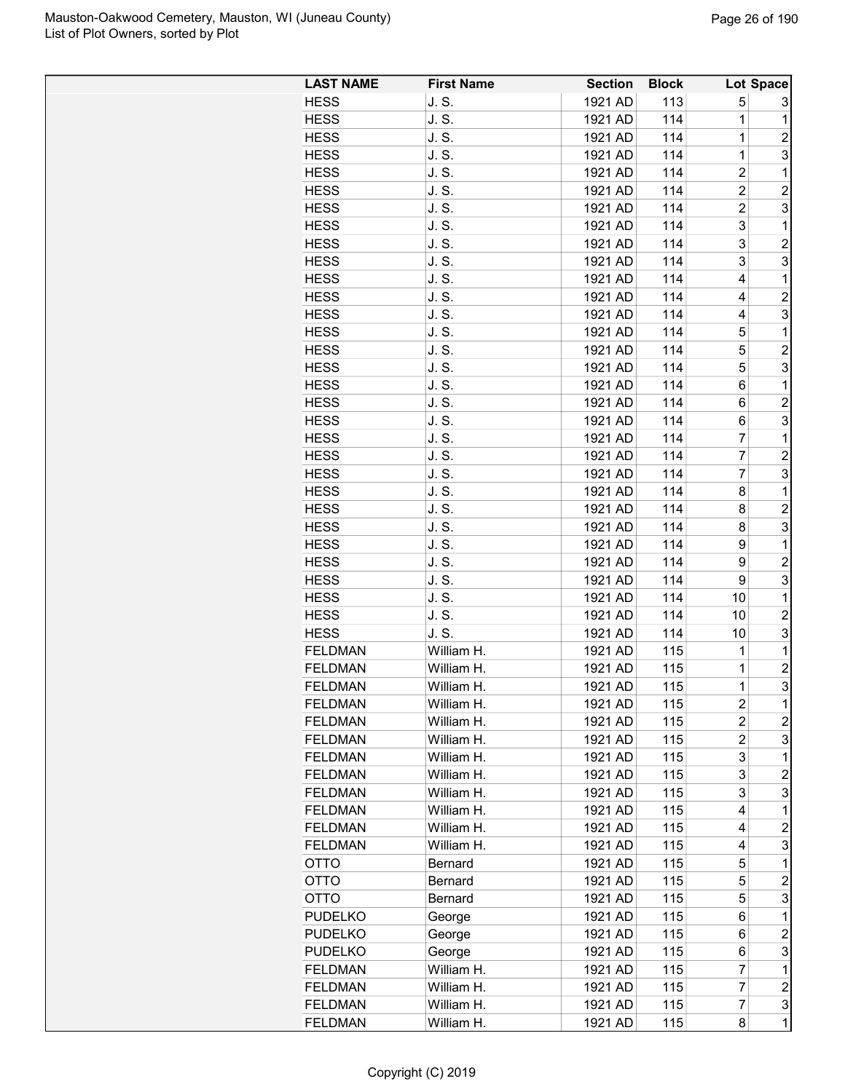| <b>LAST NAME</b> | <b>First Name</b> | <b>Section</b> | <b>Block</b> |                         | Lot Space               |
|------------------|-------------------|----------------|--------------|-------------------------|-------------------------|
| <b>HESS</b>      | J.S.              | 1921 AD        | 113          | 5                       | 3                       |
| <b>HESS</b>      | J.S.              | 1921 AD        | 114          | 1                       | $\mathbf 1$             |
| <b>HESS</b>      | J. S.             | 1921 AD        | 114          | 1                       | $\overline{c}$          |
| <b>HESS</b>      | J. S.             | 1921 AD        | 114          | 1                       | 3                       |
| <b>HESS</b>      | J. S.             | 1921 AD        | 114          | $\overline{\mathbf{c}}$ | 1                       |
| <b>HESS</b>      | J.S.              | 1921 AD        | 114          | $\overline{2}$          | $\overline{c}$          |
| <b>HESS</b>      | J. S.             | 1921 AD        | 114          | 2                       | 3                       |
| <b>HESS</b>      | J.S.              | 1921 AD        | 114          | 3                       | $\mathbf 1$             |
| <b>HESS</b>      | J. S.             | 1921 AD        | 114          | 3                       | $\overline{2}$          |
| <b>HESS</b>      | J. S.             | 1921 AD        | 114          | 3                       | 3                       |
| <b>HESS</b>      | J. S.             | 1921 AD        | 114          | 4                       | $\mathbf 1$             |
| <b>HESS</b>      | J. S.             | 1921 AD        | 114          | 4                       | $\overline{c}$          |
| <b>HESS</b>      | J. S.             | 1921 AD        | 114          | 4                       | 3                       |
| <b>HESS</b>      | J.S.              | 1921 AD        | 114          | 5                       | $\mathbf 1$             |
| <b>HESS</b>      | J.S.              | 1921 AD        | 114          | 5                       | $\overline{c}$          |
| <b>HESS</b>      | J. S.             | 1921 AD        | 114          | 5                       | 3                       |
| <b>HESS</b>      | J. S.             | 1921 AD        | 114          | 6                       | $\mathbf 1$             |
| <b>HESS</b>      | J. S.             | 1921 AD        | 114          | 6                       | $\overline{c}$          |
| <b>HESS</b>      | J. S.             | 1921 AD        | 114          | 6                       | 3                       |
| <b>HESS</b>      | J. S.             | 1921 AD        | 114          | 7                       | 1                       |
| <b>HESS</b>      | J. S.             | 1921 AD        | 114          | 7                       | $\overline{c}$          |
| <b>HESS</b>      | J.S.              | 1921 AD        | 114          | 7                       | 3                       |
| <b>HESS</b>      | J.S.              | 1921 AD        | 114          | 8                       | $\mathbf 1$             |
| <b>HESS</b>      | J. S.             | 1921 AD        | 114          | 8                       | $\overline{c}$          |
| <b>HESS</b>      | J. S.             | 1921 AD        | 114          | 8                       | 3                       |
| <b>HESS</b>      | J. S.             | 1921 AD        | 114          | 9                       | $\mathbf 1$             |
| <b>HESS</b>      | J. S.             | 1921 AD        | 114          | 9                       | $\overline{c}$          |
| <b>HESS</b>      | J.S.              | 1921 AD        | 114          | 9                       | 3                       |
| <b>HESS</b>      | J. S.             | 1921 AD        | 114          | 10                      | $\mathbf 1$             |
| <b>HESS</b>      | J. S.             | 1921 AD        | 114          | 10                      | $\overline{\mathbf{c}}$ |
| <b>HESS</b>      | J.S.              | 1921 AD        | 114          | 10                      | 3                       |
| <b>FELDMAN</b>   | William H.        | 1921 AD        | 115          | 1                       | $\mathbf 1$             |
| <b>FELDMAN</b>   | William H.        | 1921 AD        | 115          | 1                       | $\overline{c}$          |
| <b>FELDMAN</b>   | William H.        | 1921 AD        | 115          | $\mathbf 1$             | 3                       |
| <b>FELDMAN</b>   | William H.        | 1921 AD        | 115          | 2                       | $\mathbf 1$             |
| <b>FELDMAN</b>   | William H.        | 1921 AD        | 115          | 2                       | $\overline{\mathbf{c}}$ |
| <b>FELDMAN</b>   | William H.        | 1921 AD        | 115          | $\overline{c}$          | 3                       |
| <b>FELDMAN</b>   | William H.        | 1921 AD        | 115          | 3                       | $\mathbf 1$             |
| <b>FELDMAN</b>   | William H.        | 1921 AD        | 115          | 3                       | $\overline{c}$          |
| <b>FELDMAN</b>   | William H.        | 1921 AD        | 115          | 3                       | 3                       |
| <b>FELDMAN</b>   | William H.        | 1921 AD        | 115          | 4                       | $\mathbf 1$             |
| <b>FELDMAN</b>   | William H.        | 1921 AD        | 115          | 4                       | $\overline{c}$          |
| <b>FELDMAN</b>   | William H.        | 1921 AD        | 115          | 4                       | 3                       |
| OTTO             | Bernard           | 1921 AD        | 115          | 5                       | $\mathbf 1$             |
| OTTO             | Bernard           | 1921 AD        | 115          | 5                       | $\overline{c}$          |
| OTTO             | Bernard           | 1921 AD        | 115          | 5                       | 3                       |
| <b>PUDELKO</b>   | George            | 1921 AD        | 115          | 6                       | $\mathbf 1$             |
| <b>PUDELKO</b>   | George            | 1921 AD        | 115          | 6                       | 2                       |
| <b>PUDELKO</b>   | George            | 1921 AD        | 115          | 6                       | 3                       |
| <b>FELDMAN</b>   | William H.        | 1921 AD        | 115          | 7                       | $\mathbf 1$             |
| <b>FELDMAN</b>   | William H.        | 1921 AD        | 115          | 7                       | $\overline{\mathbf{c}}$ |
| <b>FELDMAN</b>   | William H.        | 1921 AD        | 115          | 7                       | 3                       |
| <b>FELDMAN</b>   | William H.        | 1921 AD        | 115          | 8                       | $\mathbf{1}$            |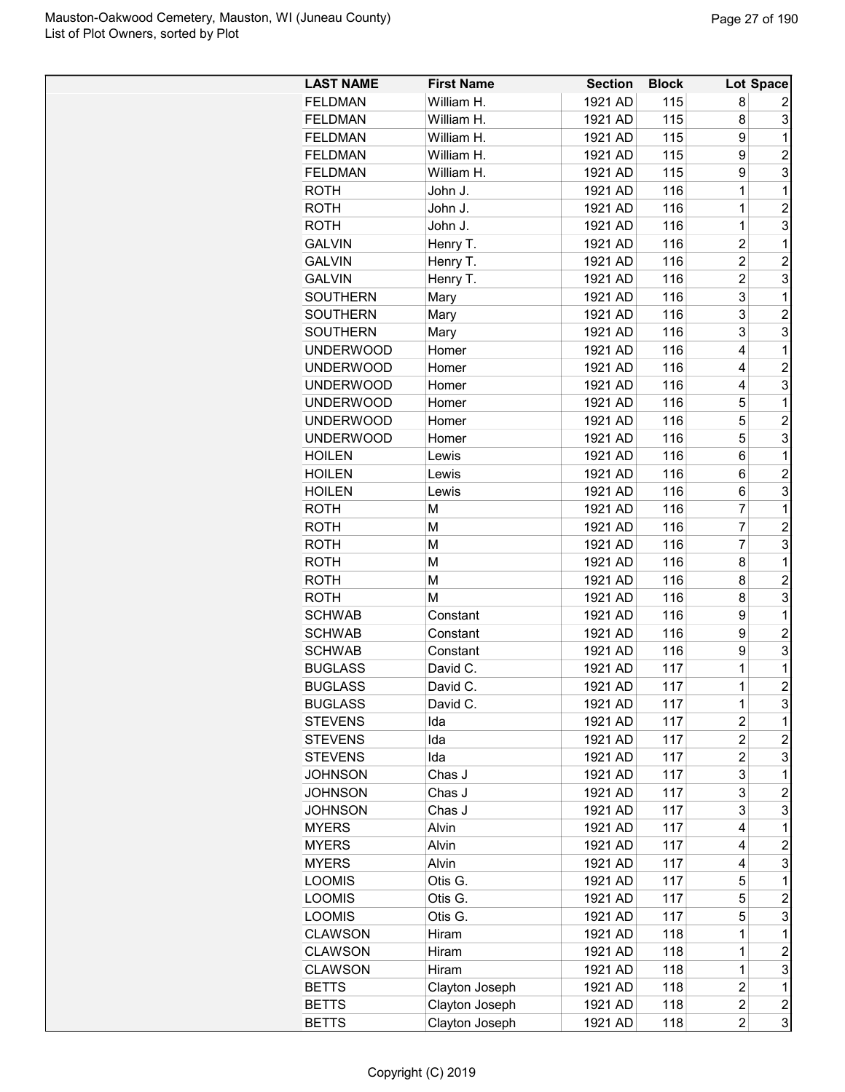| <b>FELDMAN</b><br>William H.<br>1921 AD<br>115<br>8<br>2<br>3<br><b>FELDMAN</b><br>1921 AD<br>115<br>8<br>William H.<br><b>FELDMAN</b><br>1921 AD<br>115<br>9<br>William H.<br>1<br>115<br>9<br>$\overline{2}$<br><b>FELDMAN</b><br>William H.<br>1921 AD<br>3<br>115<br><b>FELDMAN</b><br>William H.<br>1921 AD<br>9<br><b>ROTH</b><br>116<br>$\mathbf 1$<br>1<br>John J.<br>1921 AD<br>$\overline{c}$<br><b>ROTH</b><br>John J.<br>1921 AD<br>116<br>1<br>3<br>$\overline{1}$<br>1921 AD<br>116<br>ROTH<br>John J.<br>$\overline{2}$<br>1921 AD<br>116<br>1<br><b>GALVIN</b><br>Henry T.<br>$\overline{2}$<br>$\overline{c}$<br>Henry T.<br>116<br><b>GALVIN</b><br>1921 AD<br>3<br>Henry T.<br>116<br>$\overline{c}$<br><b>GALVIN</b><br>1921 AD<br>3<br>116<br><b>SOUTHERN</b><br>1921 AD<br>1<br>Mary<br>3<br>$\overline{2}$<br><b>SOUTHERN</b><br>1921 AD<br>116<br>Mary<br>3<br>3<br><b>SOUTHERN</b><br>Mary<br>1921 AD<br>116<br>$\mathbf 1$<br>1921 AD<br>116<br>4<br><b>UNDERWOOD</b><br>Homer<br>$\overline{2}$<br>116<br>4<br><b>UNDERWOOD</b><br>Homer<br>1921 AD<br>3<br>116<br>4<br><b>UNDERWOOD</b><br>1921 AD<br>Homer<br>116<br>5<br>1<br><b>UNDERWOOD</b><br>1921 AD<br>Homer<br>$\overline{c}$<br>116<br>5<br><b>UNDERWOOD</b><br>1921 AD<br>Homer<br>3<br><b>UNDERWOOD</b><br>1921 AD<br>116<br>5<br>Homer<br><b>HOILEN</b><br>116<br>6<br>1<br>Lewis<br>1921 AD<br>116<br>$\overline{c}$<br>1921 AD<br>6<br><b>HOILEN</b><br>Lewis<br>3<br>1921 AD<br>116<br>6<br><b>HOILEN</b><br>Lewis<br>7<br>$\mathbf 1$<br>M<br>116<br><b>ROTH</b><br>1921 AD<br>$\overline{7}$<br>M<br>116<br>$\overline{2}$<br><b>ROTH</b><br>1921 AD<br>$\overline{7}$<br>3<br>116<br><b>ROTH</b><br>М<br>1921 AD<br><b>ROTH</b><br>1921 AD<br>116<br>1<br>М<br>8<br>$\overline{c}$<br><b>ROTH</b><br>M<br>1921 AD<br>116<br>8<br>3<br>M<br>1921 AD<br>116<br>8<br><b>ROTH</b><br>116<br>9<br><b>SCHWAB</b><br>1921 AD<br>1<br>Constant<br>9<br>$\overline{2}$<br>116<br><b>SCHWAB</b><br>1921 AD<br>Constant<br>9<br>3<br><b>SCHWAB</b><br>116<br>Constant<br>1921 AD<br>$\mathbf{1}$<br><b>BUGLASS</b><br>David C.<br>1921 AD<br>117<br>1<br>$\overline{2}$<br>$\mathbf 1$<br>117<br><b>BUGLASS</b><br>David C.<br>1921 AD<br>3<br><b>BUGLASS</b><br>David C.<br>1921 AD<br>117<br>1<br>117<br><b>STEVENS</b><br>Ida<br>1921 AD<br>$\overline{c}$<br>1<br>$\overline{c}$<br>$\overline{c}$<br><b>STEVENS</b><br>Ida<br>1921 AD<br>117<br>$\overline{2}$<br>3<br>Ida<br>1921 AD<br>117<br><b>STEVENS</b><br>3<br><b>JOHNSON</b><br>Chas J<br>1921 AD<br>117<br>1<br>3<br>1921 AD<br><b>JOHNSON</b><br>Chas J<br>117<br>2<br>3<br><b>JOHNSON</b><br>Chas J<br>1921 AD<br>117<br>3<br><b>MYERS</b><br>Alvin<br>1921 AD<br>117<br>1<br>4<br><b>MYERS</b><br>Alvin<br>1921 AD<br>117<br>$\overline{c}$<br>4<br>3<br>1921 AD<br>117<br>4<br><b>MYERS</b><br>Alvin<br><b>LOOMIS</b><br>1921 AD<br>117<br>5<br>$\mathbf 1$<br>Otis G.<br><b>LOOMIS</b><br>Otis G.<br>1921 AD<br>117<br>5<br>$\overline{c}$<br>5<br>3<br><b>LOOMIS</b><br>Otis G.<br>1921 AD<br>117<br><b>CLAWSON</b><br>Hiram<br>1921 AD<br>118<br>$\mathbf 1$<br>1<br><b>CLAWSON</b><br>Hiram<br>1921 AD<br>118<br>$\overline{c}$<br>1<br><b>CLAWSON</b><br>Hiram<br>1921 AD<br>118<br>1<br>3<br>118<br><b>BETTS</b><br>Clayton Joseph<br>1921 AD<br>$\overline{2}$<br>1<br>Clayton Joseph<br>1921 AD<br>118<br>$\overline{c}$<br>$\overline{\mathbf{c}}$<br><b>BETTS</b><br>3<br>Clayton Joseph<br>1921 AD<br>118<br>$\overline{c}$<br><b>BETTS</b> | <b>LAST NAME</b> | <b>First Name</b> | <b>Section</b> | <b>Block</b> | <b>Lot Space</b> |
|---------------------------------------------------------------------------------------------------------------------------------------------------------------------------------------------------------------------------------------------------------------------------------------------------------------------------------------------------------------------------------------------------------------------------------------------------------------------------------------------------------------------------------------------------------------------------------------------------------------------------------------------------------------------------------------------------------------------------------------------------------------------------------------------------------------------------------------------------------------------------------------------------------------------------------------------------------------------------------------------------------------------------------------------------------------------------------------------------------------------------------------------------------------------------------------------------------------------------------------------------------------------------------------------------------------------------------------------------------------------------------------------------------------------------------------------------------------------------------------------------------------------------------------------------------------------------------------------------------------------------------------------------------------------------------------------------------------------------------------------------------------------------------------------------------------------------------------------------------------------------------------------------------------------------------------------------------------------------------------------------------------------------------------------------------------------------------------------------------------------------------------------------------------------------------------------------------------------------------------------------------------------------------------------------------------------------------------------------------------------------------------------------------------------------------------------------------------------------------------------------------------------------------------------------------------------------------------------------------------------------------------------------------------------------------------------------------------------------------------------------------------------------------------------------------------------------------------------------------------------------------------------------------------------------------------------------------------------------------------------------------------------------------------------------------------------------------------------------------------------------------------------------------------------------------------------------------------------------------------------------------------------------------------------------------------------------------------------------------------------------------------------------------------------------------------------------------------------------------------------------------------|------------------|-------------------|----------------|--------------|------------------|
|                                                                                                                                                                                                                                                                                                                                                                                                                                                                                                                                                                                                                                                                                                                                                                                                                                                                                                                                                                                                                                                                                                                                                                                                                                                                                                                                                                                                                                                                                                                                                                                                                                                                                                                                                                                                                                                                                                                                                                                                                                                                                                                                                                                                                                                                                                                                                                                                                                                                                                                                                                                                                                                                                                                                                                                                                                                                                                                                                                                                                                                                                                                                                                                                                                                                                                                                                                                                                                                                                                               |                  |                   |                |              |                  |
|                                                                                                                                                                                                                                                                                                                                                                                                                                                                                                                                                                                                                                                                                                                                                                                                                                                                                                                                                                                                                                                                                                                                                                                                                                                                                                                                                                                                                                                                                                                                                                                                                                                                                                                                                                                                                                                                                                                                                                                                                                                                                                                                                                                                                                                                                                                                                                                                                                                                                                                                                                                                                                                                                                                                                                                                                                                                                                                                                                                                                                                                                                                                                                                                                                                                                                                                                                                                                                                                                                               |                  |                   |                |              |                  |
|                                                                                                                                                                                                                                                                                                                                                                                                                                                                                                                                                                                                                                                                                                                                                                                                                                                                                                                                                                                                                                                                                                                                                                                                                                                                                                                                                                                                                                                                                                                                                                                                                                                                                                                                                                                                                                                                                                                                                                                                                                                                                                                                                                                                                                                                                                                                                                                                                                                                                                                                                                                                                                                                                                                                                                                                                                                                                                                                                                                                                                                                                                                                                                                                                                                                                                                                                                                                                                                                                                               |                  |                   |                |              |                  |
|                                                                                                                                                                                                                                                                                                                                                                                                                                                                                                                                                                                                                                                                                                                                                                                                                                                                                                                                                                                                                                                                                                                                                                                                                                                                                                                                                                                                                                                                                                                                                                                                                                                                                                                                                                                                                                                                                                                                                                                                                                                                                                                                                                                                                                                                                                                                                                                                                                                                                                                                                                                                                                                                                                                                                                                                                                                                                                                                                                                                                                                                                                                                                                                                                                                                                                                                                                                                                                                                                                               |                  |                   |                |              |                  |
|                                                                                                                                                                                                                                                                                                                                                                                                                                                                                                                                                                                                                                                                                                                                                                                                                                                                                                                                                                                                                                                                                                                                                                                                                                                                                                                                                                                                                                                                                                                                                                                                                                                                                                                                                                                                                                                                                                                                                                                                                                                                                                                                                                                                                                                                                                                                                                                                                                                                                                                                                                                                                                                                                                                                                                                                                                                                                                                                                                                                                                                                                                                                                                                                                                                                                                                                                                                                                                                                                                               |                  |                   |                |              |                  |
|                                                                                                                                                                                                                                                                                                                                                                                                                                                                                                                                                                                                                                                                                                                                                                                                                                                                                                                                                                                                                                                                                                                                                                                                                                                                                                                                                                                                                                                                                                                                                                                                                                                                                                                                                                                                                                                                                                                                                                                                                                                                                                                                                                                                                                                                                                                                                                                                                                                                                                                                                                                                                                                                                                                                                                                                                                                                                                                                                                                                                                                                                                                                                                                                                                                                                                                                                                                                                                                                                                               |                  |                   |                |              |                  |
|                                                                                                                                                                                                                                                                                                                                                                                                                                                                                                                                                                                                                                                                                                                                                                                                                                                                                                                                                                                                                                                                                                                                                                                                                                                                                                                                                                                                                                                                                                                                                                                                                                                                                                                                                                                                                                                                                                                                                                                                                                                                                                                                                                                                                                                                                                                                                                                                                                                                                                                                                                                                                                                                                                                                                                                                                                                                                                                                                                                                                                                                                                                                                                                                                                                                                                                                                                                                                                                                                                               |                  |                   |                |              |                  |
|                                                                                                                                                                                                                                                                                                                                                                                                                                                                                                                                                                                                                                                                                                                                                                                                                                                                                                                                                                                                                                                                                                                                                                                                                                                                                                                                                                                                                                                                                                                                                                                                                                                                                                                                                                                                                                                                                                                                                                                                                                                                                                                                                                                                                                                                                                                                                                                                                                                                                                                                                                                                                                                                                                                                                                                                                                                                                                                                                                                                                                                                                                                                                                                                                                                                                                                                                                                                                                                                                                               |                  |                   |                |              |                  |
|                                                                                                                                                                                                                                                                                                                                                                                                                                                                                                                                                                                                                                                                                                                                                                                                                                                                                                                                                                                                                                                                                                                                                                                                                                                                                                                                                                                                                                                                                                                                                                                                                                                                                                                                                                                                                                                                                                                                                                                                                                                                                                                                                                                                                                                                                                                                                                                                                                                                                                                                                                                                                                                                                                                                                                                                                                                                                                                                                                                                                                                                                                                                                                                                                                                                                                                                                                                                                                                                                                               |                  |                   |                |              |                  |
|                                                                                                                                                                                                                                                                                                                                                                                                                                                                                                                                                                                                                                                                                                                                                                                                                                                                                                                                                                                                                                                                                                                                                                                                                                                                                                                                                                                                                                                                                                                                                                                                                                                                                                                                                                                                                                                                                                                                                                                                                                                                                                                                                                                                                                                                                                                                                                                                                                                                                                                                                                                                                                                                                                                                                                                                                                                                                                                                                                                                                                                                                                                                                                                                                                                                                                                                                                                                                                                                                                               |                  |                   |                |              |                  |
|                                                                                                                                                                                                                                                                                                                                                                                                                                                                                                                                                                                                                                                                                                                                                                                                                                                                                                                                                                                                                                                                                                                                                                                                                                                                                                                                                                                                                                                                                                                                                                                                                                                                                                                                                                                                                                                                                                                                                                                                                                                                                                                                                                                                                                                                                                                                                                                                                                                                                                                                                                                                                                                                                                                                                                                                                                                                                                                                                                                                                                                                                                                                                                                                                                                                                                                                                                                                                                                                                                               |                  |                   |                |              |                  |
|                                                                                                                                                                                                                                                                                                                                                                                                                                                                                                                                                                                                                                                                                                                                                                                                                                                                                                                                                                                                                                                                                                                                                                                                                                                                                                                                                                                                                                                                                                                                                                                                                                                                                                                                                                                                                                                                                                                                                                                                                                                                                                                                                                                                                                                                                                                                                                                                                                                                                                                                                                                                                                                                                                                                                                                                                                                                                                                                                                                                                                                                                                                                                                                                                                                                                                                                                                                                                                                                                                               |                  |                   |                |              |                  |
|                                                                                                                                                                                                                                                                                                                                                                                                                                                                                                                                                                                                                                                                                                                                                                                                                                                                                                                                                                                                                                                                                                                                                                                                                                                                                                                                                                                                                                                                                                                                                                                                                                                                                                                                                                                                                                                                                                                                                                                                                                                                                                                                                                                                                                                                                                                                                                                                                                                                                                                                                                                                                                                                                                                                                                                                                                                                                                                                                                                                                                                                                                                                                                                                                                                                                                                                                                                                                                                                                                               |                  |                   |                |              |                  |
|                                                                                                                                                                                                                                                                                                                                                                                                                                                                                                                                                                                                                                                                                                                                                                                                                                                                                                                                                                                                                                                                                                                                                                                                                                                                                                                                                                                                                                                                                                                                                                                                                                                                                                                                                                                                                                                                                                                                                                                                                                                                                                                                                                                                                                                                                                                                                                                                                                                                                                                                                                                                                                                                                                                                                                                                                                                                                                                                                                                                                                                                                                                                                                                                                                                                                                                                                                                                                                                                                                               |                  |                   |                |              |                  |
|                                                                                                                                                                                                                                                                                                                                                                                                                                                                                                                                                                                                                                                                                                                                                                                                                                                                                                                                                                                                                                                                                                                                                                                                                                                                                                                                                                                                                                                                                                                                                                                                                                                                                                                                                                                                                                                                                                                                                                                                                                                                                                                                                                                                                                                                                                                                                                                                                                                                                                                                                                                                                                                                                                                                                                                                                                                                                                                                                                                                                                                                                                                                                                                                                                                                                                                                                                                                                                                                                                               |                  |                   |                |              |                  |
|                                                                                                                                                                                                                                                                                                                                                                                                                                                                                                                                                                                                                                                                                                                                                                                                                                                                                                                                                                                                                                                                                                                                                                                                                                                                                                                                                                                                                                                                                                                                                                                                                                                                                                                                                                                                                                                                                                                                                                                                                                                                                                                                                                                                                                                                                                                                                                                                                                                                                                                                                                                                                                                                                                                                                                                                                                                                                                                                                                                                                                                                                                                                                                                                                                                                                                                                                                                                                                                                                                               |                  |                   |                |              |                  |
|                                                                                                                                                                                                                                                                                                                                                                                                                                                                                                                                                                                                                                                                                                                                                                                                                                                                                                                                                                                                                                                                                                                                                                                                                                                                                                                                                                                                                                                                                                                                                                                                                                                                                                                                                                                                                                                                                                                                                                                                                                                                                                                                                                                                                                                                                                                                                                                                                                                                                                                                                                                                                                                                                                                                                                                                                                                                                                                                                                                                                                                                                                                                                                                                                                                                                                                                                                                                                                                                                                               |                  |                   |                |              |                  |
|                                                                                                                                                                                                                                                                                                                                                                                                                                                                                                                                                                                                                                                                                                                                                                                                                                                                                                                                                                                                                                                                                                                                                                                                                                                                                                                                                                                                                                                                                                                                                                                                                                                                                                                                                                                                                                                                                                                                                                                                                                                                                                                                                                                                                                                                                                                                                                                                                                                                                                                                                                                                                                                                                                                                                                                                                                                                                                                                                                                                                                                                                                                                                                                                                                                                                                                                                                                                                                                                                                               |                  |                   |                |              |                  |
|                                                                                                                                                                                                                                                                                                                                                                                                                                                                                                                                                                                                                                                                                                                                                                                                                                                                                                                                                                                                                                                                                                                                                                                                                                                                                                                                                                                                                                                                                                                                                                                                                                                                                                                                                                                                                                                                                                                                                                                                                                                                                                                                                                                                                                                                                                                                                                                                                                                                                                                                                                                                                                                                                                                                                                                                                                                                                                                                                                                                                                                                                                                                                                                                                                                                                                                                                                                                                                                                                                               |                  |                   |                |              |                  |
|                                                                                                                                                                                                                                                                                                                                                                                                                                                                                                                                                                                                                                                                                                                                                                                                                                                                                                                                                                                                                                                                                                                                                                                                                                                                                                                                                                                                                                                                                                                                                                                                                                                                                                                                                                                                                                                                                                                                                                                                                                                                                                                                                                                                                                                                                                                                                                                                                                                                                                                                                                                                                                                                                                                                                                                                                                                                                                                                                                                                                                                                                                                                                                                                                                                                                                                                                                                                                                                                                                               |                  |                   |                |              |                  |
|                                                                                                                                                                                                                                                                                                                                                                                                                                                                                                                                                                                                                                                                                                                                                                                                                                                                                                                                                                                                                                                                                                                                                                                                                                                                                                                                                                                                                                                                                                                                                                                                                                                                                                                                                                                                                                                                                                                                                                                                                                                                                                                                                                                                                                                                                                                                                                                                                                                                                                                                                                                                                                                                                                                                                                                                                                                                                                                                                                                                                                                                                                                                                                                                                                                                                                                                                                                                                                                                                                               |                  |                   |                |              |                  |
|                                                                                                                                                                                                                                                                                                                                                                                                                                                                                                                                                                                                                                                                                                                                                                                                                                                                                                                                                                                                                                                                                                                                                                                                                                                                                                                                                                                                                                                                                                                                                                                                                                                                                                                                                                                                                                                                                                                                                                                                                                                                                                                                                                                                                                                                                                                                                                                                                                                                                                                                                                                                                                                                                                                                                                                                                                                                                                                                                                                                                                                                                                                                                                                                                                                                                                                                                                                                                                                                                                               |                  |                   |                |              |                  |
|                                                                                                                                                                                                                                                                                                                                                                                                                                                                                                                                                                                                                                                                                                                                                                                                                                                                                                                                                                                                                                                                                                                                                                                                                                                                                                                                                                                                                                                                                                                                                                                                                                                                                                                                                                                                                                                                                                                                                                                                                                                                                                                                                                                                                                                                                                                                                                                                                                                                                                                                                                                                                                                                                                                                                                                                                                                                                                                                                                                                                                                                                                                                                                                                                                                                                                                                                                                                                                                                                                               |                  |                   |                |              |                  |
|                                                                                                                                                                                                                                                                                                                                                                                                                                                                                                                                                                                                                                                                                                                                                                                                                                                                                                                                                                                                                                                                                                                                                                                                                                                                                                                                                                                                                                                                                                                                                                                                                                                                                                                                                                                                                                                                                                                                                                                                                                                                                                                                                                                                                                                                                                                                                                                                                                                                                                                                                                                                                                                                                                                                                                                                                                                                                                                                                                                                                                                                                                                                                                                                                                                                                                                                                                                                                                                                                                               |                  |                   |                |              |                  |
|                                                                                                                                                                                                                                                                                                                                                                                                                                                                                                                                                                                                                                                                                                                                                                                                                                                                                                                                                                                                                                                                                                                                                                                                                                                                                                                                                                                                                                                                                                                                                                                                                                                                                                                                                                                                                                                                                                                                                                                                                                                                                                                                                                                                                                                                                                                                                                                                                                                                                                                                                                                                                                                                                                                                                                                                                                                                                                                                                                                                                                                                                                                                                                                                                                                                                                                                                                                                                                                                                                               |                  |                   |                |              |                  |
|                                                                                                                                                                                                                                                                                                                                                                                                                                                                                                                                                                                                                                                                                                                                                                                                                                                                                                                                                                                                                                                                                                                                                                                                                                                                                                                                                                                                                                                                                                                                                                                                                                                                                                                                                                                                                                                                                                                                                                                                                                                                                                                                                                                                                                                                                                                                                                                                                                                                                                                                                                                                                                                                                                                                                                                                                                                                                                                                                                                                                                                                                                                                                                                                                                                                                                                                                                                                                                                                                                               |                  |                   |                |              |                  |
|                                                                                                                                                                                                                                                                                                                                                                                                                                                                                                                                                                                                                                                                                                                                                                                                                                                                                                                                                                                                                                                                                                                                                                                                                                                                                                                                                                                                                                                                                                                                                                                                                                                                                                                                                                                                                                                                                                                                                                                                                                                                                                                                                                                                                                                                                                                                                                                                                                                                                                                                                                                                                                                                                                                                                                                                                                                                                                                                                                                                                                                                                                                                                                                                                                                                                                                                                                                                                                                                                                               |                  |                   |                |              |                  |
|                                                                                                                                                                                                                                                                                                                                                                                                                                                                                                                                                                                                                                                                                                                                                                                                                                                                                                                                                                                                                                                                                                                                                                                                                                                                                                                                                                                                                                                                                                                                                                                                                                                                                                                                                                                                                                                                                                                                                                                                                                                                                                                                                                                                                                                                                                                                                                                                                                                                                                                                                                                                                                                                                                                                                                                                                                                                                                                                                                                                                                                                                                                                                                                                                                                                                                                                                                                                                                                                                                               |                  |                   |                |              |                  |
|                                                                                                                                                                                                                                                                                                                                                                                                                                                                                                                                                                                                                                                                                                                                                                                                                                                                                                                                                                                                                                                                                                                                                                                                                                                                                                                                                                                                                                                                                                                                                                                                                                                                                                                                                                                                                                                                                                                                                                                                                                                                                                                                                                                                                                                                                                                                                                                                                                                                                                                                                                                                                                                                                                                                                                                                                                                                                                                                                                                                                                                                                                                                                                                                                                                                                                                                                                                                                                                                                                               |                  |                   |                |              |                  |
|                                                                                                                                                                                                                                                                                                                                                                                                                                                                                                                                                                                                                                                                                                                                                                                                                                                                                                                                                                                                                                                                                                                                                                                                                                                                                                                                                                                                                                                                                                                                                                                                                                                                                                                                                                                                                                                                                                                                                                                                                                                                                                                                                                                                                                                                                                                                                                                                                                                                                                                                                                                                                                                                                                                                                                                                                                                                                                                                                                                                                                                                                                                                                                                                                                                                                                                                                                                                                                                                                                               |                  |                   |                |              |                  |
|                                                                                                                                                                                                                                                                                                                                                                                                                                                                                                                                                                                                                                                                                                                                                                                                                                                                                                                                                                                                                                                                                                                                                                                                                                                                                                                                                                                                                                                                                                                                                                                                                                                                                                                                                                                                                                                                                                                                                                                                                                                                                                                                                                                                                                                                                                                                                                                                                                                                                                                                                                                                                                                                                                                                                                                                                                                                                                                                                                                                                                                                                                                                                                                                                                                                                                                                                                                                                                                                                                               |                  |                   |                |              |                  |
|                                                                                                                                                                                                                                                                                                                                                                                                                                                                                                                                                                                                                                                                                                                                                                                                                                                                                                                                                                                                                                                                                                                                                                                                                                                                                                                                                                                                                                                                                                                                                                                                                                                                                                                                                                                                                                                                                                                                                                                                                                                                                                                                                                                                                                                                                                                                                                                                                                                                                                                                                                                                                                                                                                                                                                                                                                                                                                                                                                                                                                                                                                                                                                                                                                                                                                                                                                                                                                                                                                               |                  |                   |                |              |                  |
|                                                                                                                                                                                                                                                                                                                                                                                                                                                                                                                                                                                                                                                                                                                                                                                                                                                                                                                                                                                                                                                                                                                                                                                                                                                                                                                                                                                                                                                                                                                                                                                                                                                                                                                                                                                                                                                                                                                                                                                                                                                                                                                                                                                                                                                                                                                                                                                                                                                                                                                                                                                                                                                                                                                                                                                                                                                                                                                                                                                                                                                                                                                                                                                                                                                                                                                                                                                                                                                                                                               |                  |                   |                |              |                  |
|                                                                                                                                                                                                                                                                                                                                                                                                                                                                                                                                                                                                                                                                                                                                                                                                                                                                                                                                                                                                                                                                                                                                                                                                                                                                                                                                                                                                                                                                                                                                                                                                                                                                                                                                                                                                                                                                                                                                                                                                                                                                                                                                                                                                                                                                                                                                                                                                                                                                                                                                                                                                                                                                                                                                                                                                                                                                                                                                                                                                                                                                                                                                                                                                                                                                                                                                                                                                                                                                                                               |                  |                   |                |              |                  |
|                                                                                                                                                                                                                                                                                                                                                                                                                                                                                                                                                                                                                                                                                                                                                                                                                                                                                                                                                                                                                                                                                                                                                                                                                                                                                                                                                                                                                                                                                                                                                                                                                                                                                                                                                                                                                                                                                                                                                                                                                                                                                                                                                                                                                                                                                                                                                                                                                                                                                                                                                                                                                                                                                                                                                                                                                                                                                                                                                                                                                                                                                                                                                                                                                                                                                                                                                                                                                                                                                                               |                  |                   |                |              |                  |
|                                                                                                                                                                                                                                                                                                                                                                                                                                                                                                                                                                                                                                                                                                                                                                                                                                                                                                                                                                                                                                                                                                                                                                                                                                                                                                                                                                                                                                                                                                                                                                                                                                                                                                                                                                                                                                                                                                                                                                                                                                                                                                                                                                                                                                                                                                                                                                                                                                                                                                                                                                                                                                                                                                                                                                                                                                                                                                                                                                                                                                                                                                                                                                                                                                                                                                                                                                                                                                                                                                               |                  |                   |                |              |                  |
|                                                                                                                                                                                                                                                                                                                                                                                                                                                                                                                                                                                                                                                                                                                                                                                                                                                                                                                                                                                                                                                                                                                                                                                                                                                                                                                                                                                                                                                                                                                                                                                                                                                                                                                                                                                                                                                                                                                                                                                                                                                                                                                                                                                                                                                                                                                                                                                                                                                                                                                                                                                                                                                                                                                                                                                                                                                                                                                                                                                                                                                                                                                                                                                                                                                                                                                                                                                                                                                                                                               |                  |                   |                |              |                  |
|                                                                                                                                                                                                                                                                                                                                                                                                                                                                                                                                                                                                                                                                                                                                                                                                                                                                                                                                                                                                                                                                                                                                                                                                                                                                                                                                                                                                                                                                                                                                                                                                                                                                                                                                                                                                                                                                                                                                                                                                                                                                                                                                                                                                                                                                                                                                                                                                                                                                                                                                                                                                                                                                                                                                                                                                                                                                                                                                                                                                                                                                                                                                                                                                                                                                                                                                                                                                                                                                                                               |                  |                   |                |              |                  |
|                                                                                                                                                                                                                                                                                                                                                                                                                                                                                                                                                                                                                                                                                                                                                                                                                                                                                                                                                                                                                                                                                                                                                                                                                                                                                                                                                                                                                                                                                                                                                                                                                                                                                                                                                                                                                                                                                                                                                                                                                                                                                                                                                                                                                                                                                                                                                                                                                                                                                                                                                                                                                                                                                                                                                                                                                                                                                                                                                                                                                                                                                                                                                                                                                                                                                                                                                                                                                                                                                                               |                  |                   |                |              |                  |
|                                                                                                                                                                                                                                                                                                                                                                                                                                                                                                                                                                                                                                                                                                                                                                                                                                                                                                                                                                                                                                                                                                                                                                                                                                                                                                                                                                                                                                                                                                                                                                                                                                                                                                                                                                                                                                                                                                                                                                                                                                                                                                                                                                                                                                                                                                                                                                                                                                                                                                                                                                                                                                                                                                                                                                                                                                                                                                                                                                                                                                                                                                                                                                                                                                                                                                                                                                                                                                                                                                               |                  |                   |                |              |                  |
|                                                                                                                                                                                                                                                                                                                                                                                                                                                                                                                                                                                                                                                                                                                                                                                                                                                                                                                                                                                                                                                                                                                                                                                                                                                                                                                                                                                                                                                                                                                                                                                                                                                                                                                                                                                                                                                                                                                                                                                                                                                                                                                                                                                                                                                                                                                                                                                                                                                                                                                                                                                                                                                                                                                                                                                                                                                                                                                                                                                                                                                                                                                                                                                                                                                                                                                                                                                                                                                                                                               |                  |                   |                |              |                  |
|                                                                                                                                                                                                                                                                                                                                                                                                                                                                                                                                                                                                                                                                                                                                                                                                                                                                                                                                                                                                                                                                                                                                                                                                                                                                                                                                                                                                                                                                                                                                                                                                                                                                                                                                                                                                                                                                                                                                                                                                                                                                                                                                                                                                                                                                                                                                                                                                                                                                                                                                                                                                                                                                                                                                                                                                                                                                                                                                                                                                                                                                                                                                                                                                                                                                                                                                                                                                                                                                                                               |                  |                   |                |              |                  |
|                                                                                                                                                                                                                                                                                                                                                                                                                                                                                                                                                                                                                                                                                                                                                                                                                                                                                                                                                                                                                                                                                                                                                                                                                                                                                                                                                                                                                                                                                                                                                                                                                                                                                                                                                                                                                                                                                                                                                                                                                                                                                                                                                                                                                                                                                                                                                                                                                                                                                                                                                                                                                                                                                                                                                                                                                                                                                                                                                                                                                                                                                                                                                                                                                                                                                                                                                                                                                                                                                                               |                  |                   |                |              |                  |
|                                                                                                                                                                                                                                                                                                                                                                                                                                                                                                                                                                                                                                                                                                                                                                                                                                                                                                                                                                                                                                                                                                                                                                                                                                                                                                                                                                                                                                                                                                                                                                                                                                                                                                                                                                                                                                                                                                                                                                                                                                                                                                                                                                                                                                                                                                                                                                                                                                                                                                                                                                                                                                                                                                                                                                                                                                                                                                                                                                                                                                                                                                                                                                                                                                                                                                                                                                                                                                                                                                               |                  |                   |                |              |                  |
|                                                                                                                                                                                                                                                                                                                                                                                                                                                                                                                                                                                                                                                                                                                                                                                                                                                                                                                                                                                                                                                                                                                                                                                                                                                                                                                                                                                                                                                                                                                                                                                                                                                                                                                                                                                                                                                                                                                                                                                                                                                                                                                                                                                                                                                                                                                                                                                                                                                                                                                                                                                                                                                                                                                                                                                                                                                                                                                                                                                                                                                                                                                                                                                                                                                                                                                                                                                                                                                                                                               |                  |                   |                |              |                  |
|                                                                                                                                                                                                                                                                                                                                                                                                                                                                                                                                                                                                                                                                                                                                                                                                                                                                                                                                                                                                                                                                                                                                                                                                                                                                                                                                                                                                                                                                                                                                                                                                                                                                                                                                                                                                                                                                                                                                                                                                                                                                                                                                                                                                                                                                                                                                                                                                                                                                                                                                                                                                                                                                                                                                                                                                                                                                                                                                                                                                                                                                                                                                                                                                                                                                                                                                                                                                                                                                                                               |                  |                   |                |              |                  |
|                                                                                                                                                                                                                                                                                                                                                                                                                                                                                                                                                                                                                                                                                                                                                                                                                                                                                                                                                                                                                                                                                                                                                                                                                                                                                                                                                                                                                                                                                                                                                                                                                                                                                                                                                                                                                                                                                                                                                                                                                                                                                                                                                                                                                                                                                                                                                                                                                                                                                                                                                                                                                                                                                                                                                                                                                                                                                                                                                                                                                                                                                                                                                                                                                                                                                                                                                                                                                                                                                                               |                  |                   |                |              |                  |
|                                                                                                                                                                                                                                                                                                                                                                                                                                                                                                                                                                                                                                                                                                                                                                                                                                                                                                                                                                                                                                                                                                                                                                                                                                                                                                                                                                                                                                                                                                                                                                                                                                                                                                                                                                                                                                                                                                                                                                                                                                                                                                                                                                                                                                                                                                                                                                                                                                                                                                                                                                                                                                                                                                                                                                                                                                                                                                                                                                                                                                                                                                                                                                                                                                                                                                                                                                                                                                                                                                               |                  |                   |                |              |                  |
|                                                                                                                                                                                                                                                                                                                                                                                                                                                                                                                                                                                                                                                                                                                                                                                                                                                                                                                                                                                                                                                                                                                                                                                                                                                                                                                                                                                                                                                                                                                                                                                                                                                                                                                                                                                                                                                                                                                                                                                                                                                                                                                                                                                                                                                                                                                                                                                                                                                                                                                                                                                                                                                                                                                                                                                                                                                                                                                                                                                                                                                                                                                                                                                                                                                                                                                                                                                                                                                                                                               |                  |                   |                |              |                  |
|                                                                                                                                                                                                                                                                                                                                                                                                                                                                                                                                                                                                                                                                                                                                                                                                                                                                                                                                                                                                                                                                                                                                                                                                                                                                                                                                                                                                                                                                                                                                                                                                                                                                                                                                                                                                                                                                                                                                                                                                                                                                                                                                                                                                                                                                                                                                                                                                                                                                                                                                                                                                                                                                                                                                                                                                                                                                                                                                                                                                                                                                                                                                                                                                                                                                                                                                                                                                                                                                                                               |                  |                   |                |              |                  |
|                                                                                                                                                                                                                                                                                                                                                                                                                                                                                                                                                                                                                                                                                                                                                                                                                                                                                                                                                                                                                                                                                                                                                                                                                                                                                                                                                                                                                                                                                                                                                                                                                                                                                                                                                                                                                                                                                                                                                                                                                                                                                                                                                                                                                                                                                                                                                                                                                                                                                                                                                                                                                                                                                                                                                                                                                                                                                                                                                                                                                                                                                                                                                                                                                                                                                                                                                                                                                                                                                                               |                  |                   |                |              |                  |
|                                                                                                                                                                                                                                                                                                                                                                                                                                                                                                                                                                                                                                                                                                                                                                                                                                                                                                                                                                                                                                                                                                                                                                                                                                                                                                                                                                                                                                                                                                                                                                                                                                                                                                                                                                                                                                                                                                                                                                                                                                                                                                                                                                                                                                                                                                                                                                                                                                                                                                                                                                                                                                                                                                                                                                                                                                                                                                                                                                                                                                                                                                                                                                                                                                                                                                                                                                                                                                                                                                               |                  |                   |                |              |                  |
|                                                                                                                                                                                                                                                                                                                                                                                                                                                                                                                                                                                                                                                                                                                                                                                                                                                                                                                                                                                                                                                                                                                                                                                                                                                                                                                                                                                                                                                                                                                                                                                                                                                                                                                                                                                                                                                                                                                                                                                                                                                                                                                                                                                                                                                                                                                                                                                                                                                                                                                                                                                                                                                                                                                                                                                                                                                                                                                                                                                                                                                                                                                                                                                                                                                                                                                                                                                                                                                                                                               |                  |                   |                |              |                  |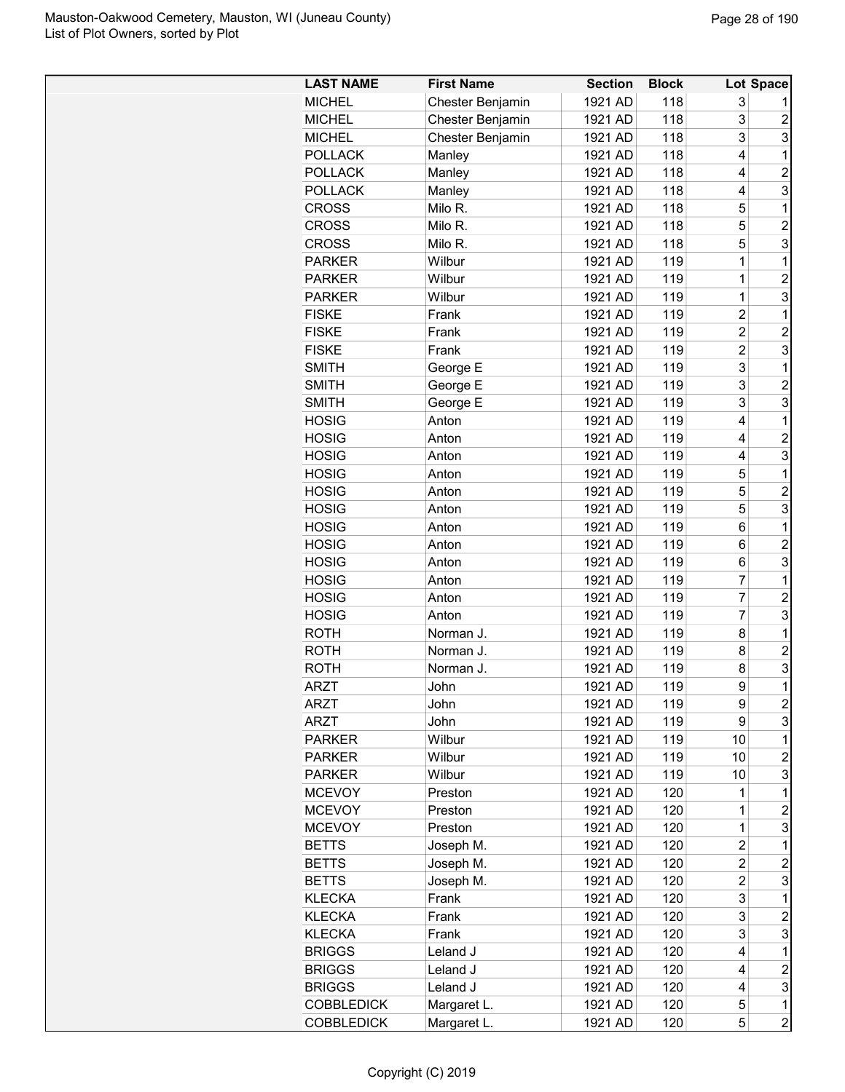| 1921 AD<br>118<br>3<br><b>MICHEL</b><br>Chester Benjamin<br>3<br><b>MICHEL</b><br>Chester Benjamin<br>1921 AD<br>118<br>2<br>3<br>3<br>118<br><b>MICHEL</b><br>Chester Benjamin<br>1921 AD<br><b>POLLACK</b><br>1921 AD<br>118<br>4<br>1<br>Manley<br>$\overline{c}$<br><b>POLLACK</b><br>Manley<br>1921 AD<br>118<br>4<br>3<br><b>POLLACK</b><br>1921 AD<br>118<br>4<br>Manley<br>118<br>5<br><b>CROSS</b><br>Milo R.<br>1921 AD<br>1<br>5<br>$\overline{c}$<br>1921 AD<br>118<br><b>CROSS</b><br>Milo R.<br>5<br>3<br><b>CROSS</b><br>118<br>Milo R.<br>1921 AD<br>119<br>1<br><b>PARKER</b><br>Wilbur<br>1921 AD<br>1<br>$\overline{c}$<br><b>PARKER</b><br>Wilbur<br>1921 AD<br>119<br>1<br>3<br>Wilbur<br>119<br><b>PARKER</b><br>1921 AD<br>1<br>119<br><b>FISKE</b><br>1921 AD<br>2<br>1<br>Frank<br>$\overline{2}$<br>$\overline{2}$<br>1921 AD<br>119<br><b>FISKE</b><br>Frank<br>$\overline{2}$<br>3<br>1921 AD<br>119<br><b>FISKE</b><br>Frank<br>3<br>George E<br>119<br>1<br><b>SMITH</b><br>1921 AD<br>3<br>George E<br>119<br>$\overline{2}$<br><b>SMITH</b><br>1921 AD<br>3<br>3<br><b>SMITH</b><br>119<br>George E<br>1921 AD<br><b>HOSIG</b><br>1921 AD<br>119<br>4<br>1<br>Anton<br>119<br>$\overline{c}$<br><b>HOSIG</b><br>1921 AD<br>4<br>Anton<br>3<br><b>HOSIG</b><br>1921 AD<br>119<br>4<br>Anton<br>5<br>$\mathbf 1$<br><b>HOSIG</b><br>1921 AD<br>119<br>Anton<br>5<br><b>HOSIG</b><br>1921 AD<br>119<br>$\overline{c}$<br>Anton<br>5<br>3<br>119<br><b>HOSIG</b><br>1921 AD<br>Anton<br>1921 AD<br>119<br>1<br><b>HOSIG</b><br>6<br>Anton<br>$\overline{c}$<br><b>HOSIG</b><br>1921 AD<br>119<br>Anton<br>6<br>119<br>3<br><b>HOSIG</b><br>1921 AD<br>6<br>Anton<br>7<br>1921 AD<br>119<br>1<br><b>HOSIG</b><br>Anton<br>7<br>$\overline{c}$<br><b>HOSIG</b><br>1921 AD<br>119<br>Anton<br>$\overline{7}$<br>3<br><b>HOSIG</b><br>1921 AD<br>119<br>Anton<br>1<br><b>ROTH</b><br>1921 AD<br>119<br>8<br>Norman J.<br>$\overline{c}$<br>119<br>8<br><b>ROTH</b><br>Norman J.<br>1921 AD<br>3<br><b>ROTH</b><br>1921 AD<br>119<br>8<br>Norman J.<br>9<br>1<br><b>ARZT</b><br>1921 AD<br>119<br>John<br>$\overline{c}$<br>119<br>ARZT<br>John<br>1921 AD<br>9<br>3<br>119<br>9<br>ARZT<br>1921 AD<br>John<br>119<br>10<br><b>PARKER</b><br>Wilbur<br>1921 AD<br>1<br>119<br>10<br><b>PARKER</b><br>Wilbur<br>1921 AD<br>2<br>3<br>1921 AD<br>119<br><b>PARKER</b><br>Wilbur<br>10<br><b>MCEVOY</b><br>1921 AD<br>120<br>1<br>1<br>Preston<br><b>MCEVOY</b><br>1921 AD<br>120<br>$\overline{c}$<br>Preston<br>1<br>3<br>1921 AD<br>120<br>$\mathbf 1$<br><b>MCEVOY</b><br>Preston<br>$\overline{c}$<br>1921 AD<br>120<br>1<br><b>BETTS</b><br>Joseph M.<br>Joseph M.<br>1921 AD<br>2<br>$\overline{c}$<br><b>BETTS</b><br>120<br>Joseph M.<br>2<br>3<br><b>BETTS</b><br>1921 AD<br>120<br>3<br><b>KLECKA</b><br>Frank<br>1921 AD<br>120<br>1<br>3<br><b>KLECKA</b><br>1921 AD<br>120<br>2<br>Frank<br>3<br><b>KLECKA</b><br>Frank<br>1921 AD<br>120<br>3<br>1921 AD<br>120<br>1<br><b>BRIGGS</b><br>Leland J<br>4<br>$\overline{c}$<br>Leland J<br>4<br><b>BRIGGS</b><br>1921 AD<br>120<br>3<br><b>BRIGGS</b><br>Leland J<br>1921 AD<br>120<br>4<br><b>COBBLEDICK</b><br>Margaret L.<br>1921 AD<br>5<br>1<br>120 | <b>LAST NAME</b>  | <b>First Name</b> | <b>Section</b> | <b>Block</b> |   | Lot Space      |
|------------------------------------------------------------------------------------------------------------------------------------------------------------------------------------------------------------------------------------------------------------------------------------------------------------------------------------------------------------------------------------------------------------------------------------------------------------------------------------------------------------------------------------------------------------------------------------------------------------------------------------------------------------------------------------------------------------------------------------------------------------------------------------------------------------------------------------------------------------------------------------------------------------------------------------------------------------------------------------------------------------------------------------------------------------------------------------------------------------------------------------------------------------------------------------------------------------------------------------------------------------------------------------------------------------------------------------------------------------------------------------------------------------------------------------------------------------------------------------------------------------------------------------------------------------------------------------------------------------------------------------------------------------------------------------------------------------------------------------------------------------------------------------------------------------------------------------------------------------------------------------------------------------------------------------------------------------------------------------------------------------------------------------------------------------------------------------------------------------------------------------------------------------------------------------------------------------------------------------------------------------------------------------------------------------------------------------------------------------------------------------------------------------------------------------------------------------------------------------------------------------------------------------------------------------------------------------------------------------------------------------------------------------------------------------------------------------------------------------------------------------------------------------------------------------------------------------------------------------------------------------------------------------------------------------------------------------------------------------------------------------------------------------------------------------------------------------------------------------------------------------------------------------------------------------------------------------------------------------------|-------------------|-------------------|----------------|--------------|---|----------------|
|                                                                                                                                                                                                                                                                                                                                                                                                                                                                                                                                                                                                                                                                                                                                                                                                                                                                                                                                                                                                                                                                                                                                                                                                                                                                                                                                                                                                                                                                                                                                                                                                                                                                                                                                                                                                                                                                                                                                                                                                                                                                                                                                                                                                                                                                                                                                                                                                                                                                                                                                                                                                                                                                                                                                                                                                                                                                                                                                                                                                                                                                                                                                                                                                                                          |                   |                   |                |              |   |                |
|                                                                                                                                                                                                                                                                                                                                                                                                                                                                                                                                                                                                                                                                                                                                                                                                                                                                                                                                                                                                                                                                                                                                                                                                                                                                                                                                                                                                                                                                                                                                                                                                                                                                                                                                                                                                                                                                                                                                                                                                                                                                                                                                                                                                                                                                                                                                                                                                                                                                                                                                                                                                                                                                                                                                                                                                                                                                                                                                                                                                                                                                                                                                                                                                                                          |                   |                   |                |              |   |                |
|                                                                                                                                                                                                                                                                                                                                                                                                                                                                                                                                                                                                                                                                                                                                                                                                                                                                                                                                                                                                                                                                                                                                                                                                                                                                                                                                                                                                                                                                                                                                                                                                                                                                                                                                                                                                                                                                                                                                                                                                                                                                                                                                                                                                                                                                                                                                                                                                                                                                                                                                                                                                                                                                                                                                                                                                                                                                                                                                                                                                                                                                                                                                                                                                                                          |                   |                   |                |              |   |                |
|                                                                                                                                                                                                                                                                                                                                                                                                                                                                                                                                                                                                                                                                                                                                                                                                                                                                                                                                                                                                                                                                                                                                                                                                                                                                                                                                                                                                                                                                                                                                                                                                                                                                                                                                                                                                                                                                                                                                                                                                                                                                                                                                                                                                                                                                                                                                                                                                                                                                                                                                                                                                                                                                                                                                                                                                                                                                                                                                                                                                                                                                                                                                                                                                                                          |                   |                   |                |              |   |                |
|                                                                                                                                                                                                                                                                                                                                                                                                                                                                                                                                                                                                                                                                                                                                                                                                                                                                                                                                                                                                                                                                                                                                                                                                                                                                                                                                                                                                                                                                                                                                                                                                                                                                                                                                                                                                                                                                                                                                                                                                                                                                                                                                                                                                                                                                                                                                                                                                                                                                                                                                                                                                                                                                                                                                                                                                                                                                                                                                                                                                                                                                                                                                                                                                                                          |                   |                   |                |              |   |                |
|                                                                                                                                                                                                                                                                                                                                                                                                                                                                                                                                                                                                                                                                                                                                                                                                                                                                                                                                                                                                                                                                                                                                                                                                                                                                                                                                                                                                                                                                                                                                                                                                                                                                                                                                                                                                                                                                                                                                                                                                                                                                                                                                                                                                                                                                                                                                                                                                                                                                                                                                                                                                                                                                                                                                                                                                                                                                                                                                                                                                                                                                                                                                                                                                                                          |                   |                   |                |              |   |                |
|                                                                                                                                                                                                                                                                                                                                                                                                                                                                                                                                                                                                                                                                                                                                                                                                                                                                                                                                                                                                                                                                                                                                                                                                                                                                                                                                                                                                                                                                                                                                                                                                                                                                                                                                                                                                                                                                                                                                                                                                                                                                                                                                                                                                                                                                                                                                                                                                                                                                                                                                                                                                                                                                                                                                                                                                                                                                                                                                                                                                                                                                                                                                                                                                                                          |                   |                   |                |              |   |                |
|                                                                                                                                                                                                                                                                                                                                                                                                                                                                                                                                                                                                                                                                                                                                                                                                                                                                                                                                                                                                                                                                                                                                                                                                                                                                                                                                                                                                                                                                                                                                                                                                                                                                                                                                                                                                                                                                                                                                                                                                                                                                                                                                                                                                                                                                                                                                                                                                                                                                                                                                                                                                                                                                                                                                                                                                                                                                                                                                                                                                                                                                                                                                                                                                                                          |                   |                   |                |              |   |                |
|                                                                                                                                                                                                                                                                                                                                                                                                                                                                                                                                                                                                                                                                                                                                                                                                                                                                                                                                                                                                                                                                                                                                                                                                                                                                                                                                                                                                                                                                                                                                                                                                                                                                                                                                                                                                                                                                                                                                                                                                                                                                                                                                                                                                                                                                                                                                                                                                                                                                                                                                                                                                                                                                                                                                                                                                                                                                                                                                                                                                                                                                                                                                                                                                                                          |                   |                   |                |              |   |                |
|                                                                                                                                                                                                                                                                                                                                                                                                                                                                                                                                                                                                                                                                                                                                                                                                                                                                                                                                                                                                                                                                                                                                                                                                                                                                                                                                                                                                                                                                                                                                                                                                                                                                                                                                                                                                                                                                                                                                                                                                                                                                                                                                                                                                                                                                                                                                                                                                                                                                                                                                                                                                                                                                                                                                                                                                                                                                                                                                                                                                                                                                                                                                                                                                                                          |                   |                   |                |              |   |                |
|                                                                                                                                                                                                                                                                                                                                                                                                                                                                                                                                                                                                                                                                                                                                                                                                                                                                                                                                                                                                                                                                                                                                                                                                                                                                                                                                                                                                                                                                                                                                                                                                                                                                                                                                                                                                                                                                                                                                                                                                                                                                                                                                                                                                                                                                                                                                                                                                                                                                                                                                                                                                                                                                                                                                                                                                                                                                                                                                                                                                                                                                                                                                                                                                                                          |                   |                   |                |              |   |                |
|                                                                                                                                                                                                                                                                                                                                                                                                                                                                                                                                                                                                                                                                                                                                                                                                                                                                                                                                                                                                                                                                                                                                                                                                                                                                                                                                                                                                                                                                                                                                                                                                                                                                                                                                                                                                                                                                                                                                                                                                                                                                                                                                                                                                                                                                                                                                                                                                                                                                                                                                                                                                                                                                                                                                                                                                                                                                                                                                                                                                                                                                                                                                                                                                                                          |                   |                   |                |              |   |                |
|                                                                                                                                                                                                                                                                                                                                                                                                                                                                                                                                                                                                                                                                                                                                                                                                                                                                                                                                                                                                                                                                                                                                                                                                                                                                                                                                                                                                                                                                                                                                                                                                                                                                                                                                                                                                                                                                                                                                                                                                                                                                                                                                                                                                                                                                                                                                                                                                                                                                                                                                                                                                                                                                                                                                                                                                                                                                                                                                                                                                                                                                                                                                                                                                                                          |                   |                   |                |              |   |                |
|                                                                                                                                                                                                                                                                                                                                                                                                                                                                                                                                                                                                                                                                                                                                                                                                                                                                                                                                                                                                                                                                                                                                                                                                                                                                                                                                                                                                                                                                                                                                                                                                                                                                                                                                                                                                                                                                                                                                                                                                                                                                                                                                                                                                                                                                                                                                                                                                                                                                                                                                                                                                                                                                                                                                                                                                                                                                                                                                                                                                                                                                                                                                                                                                                                          |                   |                   |                |              |   |                |
|                                                                                                                                                                                                                                                                                                                                                                                                                                                                                                                                                                                                                                                                                                                                                                                                                                                                                                                                                                                                                                                                                                                                                                                                                                                                                                                                                                                                                                                                                                                                                                                                                                                                                                                                                                                                                                                                                                                                                                                                                                                                                                                                                                                                                                                                                                                                                                                                                                                                                                                                                                                                                                                                                                                                                                                                                                                                                                                                                                                                                                                                                                                                                                                                                                          |                   |                   |                |              |   |                |
|                                                                                                                                                                                                                                                                                                                                                                                                                                                                                                                                                                                                                                                                                                                                                                                                                                                                                                                                                                                                                                                                                                                                                                                                                                                                                                                                                                                                                                                                                                                                                                                                                                                                                                                                                                                                                                                                                                                                                                                                                                                                                                                                                                                                                                                                                                                                                                                                                                                                                                                                                                                                                                                                                                                                                                                                                                                                                                                                                                                                                                                                                                                                                                                                                                          |                   |                   |                |              |   |                |
|                                                                                                                                                                                                                                                                                                                                                                                                                                                                                                                                                                                                                                                                                                                                                                                                                                                                                                                                                                                                                                                                                                                                                                                                                                                                                                                                                                                                                                                                                                                                                                                                                                                                                                                                                                                                                                                                                                                                                                                                                                                                                                                                                                                                                                                                                                                                                                                                                                                                                                                                                                                                                                                                                                                                                                                                                                                                                                                                                                                                                                                                                                                                                                                                                                          |                   |                   |                |              |   |                |
|                                                                                                                                                                                                                                                                                                                                                                                                                                                                                                                                                                                                                                                                                                                                                                                                                                                                                                                                                                                                                                                                                                                                                                                                                                                                                                                                                                                                                                                                                                                                                                                                                                                                                                                                                                                                                                                                                                                                                                                                                                                                                                                                                                                                                                                                                                                                                                                                                                                                                                                                                                                                                                                                                                                                                                                                                                                                                                                                                                                                                                                                                                                                                                                                                                          |                   |                   |                |              |   |                |
|                                                                                                                                                                                                                                                                                                                                                                                                                                                                                                                                                                                                                                                                                                                                                                                                                                                                                                                                                                                                                                                                                                                                                                                                                                                                                                                                                                                                                                                                                                                                                                                                                                                                                                                                                                                                                                                                                                                                                                                                                                                                                                                                                                                                                                                                                                                                                                                                                                                                                                                                                                                                                                                                                                                                                                                                                                                                                                                                                                                                                                                                                                                                                                                                                                          |                   |                   |                |              |   |                |
|                                                                                                                                                                                                                                                                                                                                                                                                                                                                                                                                                                                                                                                                                                                                                                                                                                                                                                                                                                                                                                                                                                                                                                                                                                                                                                                                                                                                                                                                                                                                                                                                                                                                                                                                                                                                                                                                                                                                                                                                                                                                                                                                                                                                                                                                                                                                                                                                                                                                                                                                                                                                                                                                                                                                                                                                                                                                                                                                                                                                                                                                                                                                                                                                                                          |                   |                   |                |              |   |                |
|                                                                                                                                                                                                                                                                                                                                                                                                                                                                                                                                                                                                                                                                                                                                                                                                                                                                                                                                                                                                                                                                                                                                                                                                                                                                                                                                                                                                                                                                                                                                                                                                                                                                                                                                                                                                                                                                                                                                                                                                                                                                                                                                                                                                                                                                                                                                                                                                                                                                                                                                                                                                                                                                                                                                                                                                                                                                                                                                                                                                                                                                                                                                                                                                                                          |                   |                   |                |              |   |                |
|                                                                                                                                                                                                                                                                                                                                                                                                                                                                                                                                                                                                                                                                                                                                                                                                                                                                                                                                                                                                                                                                                                                                                                                                                                                                                                                                                                                                                                                                                                                                                                                                                                                                                                                                                                                                                                                                                                                                                                                                                                                                                                                                                                                                                                                                                                                                                                                                                                                                                                                                                                                                                                                                                                                                                                                                                                                                                                                                                                                                                                                                                                                                                                                                                                          |                   |                   |                |              |   |                |
|                                                                                                                                                                                                                                                                                                                                                                                                                                                                                                                                                                                                                                                                                                                                                                                                                                                                                                                                                                                                                                                                                                                                                                                                                                                                                                                                                                                                                                                                                                                                                                                                                                                                                                                                                                                                                                                                                                                                                                                                                                                                                                                                                                                                                                                                                                                                                                                                                                                                                                                                                                                                                                                                                                                                                                                                                                                                                                                                                                                                                                                                                                                                                                                                                                          |                   |                   |                |              |   |                |
|                                                                                                                                                                                                                                                                                                                                                                                                                                                                                                                                                                                                                                                                                                                                                                                                                                                                                                                                                                                                                                                                                                                                                                                                                                                                                                                                                                                                                                                                                                                                                                                                                                                                                                                                                                                                                                                                                                                                                                                                                                                                                                                                                                                                                                                                                                                                                                                                                                                                                                                                                                                                                                                                                                                                                                                                                                                                                                                                                                                                                                                                                                                                                                                                                                          |                   |                   |                |              |   |                |
|                                                                                                                                                                                                                                                                                                                                                                                                                                                                                                                                                                                                                                                                                                                                                                                                                                                                                                                                                                                                                                                                                                                                                                                                                                                                                                                                                                                                                                                                                                                                                                                                                                                                                                                                                                                                                                                                                                                                                                                                                                                                                                                                                                                                                                                                                                                                                                                                                                                                                                                                                                                                                                                                                                                                                                                                                                                                                                                                                                                                                                                                                                                                                                                                                                          |                   |                   |                |              |   |                |
|                                                                                                                                                                                                                                                                                                                                                                                                                                                                                                                                                                                                                                                                                                                                                                                                                                                                                                                                                                                                                                                                                                                                                                                                                                                                                                                                                                                                                                                                                                                                                                                                                                                                                                                                                                                                                                                                                                                                                                                                                                                                                                                                                                                                                                                                                                                                                                                                                                                                                                                                                                                                                                                                                                                                                                                                                                                                                                                                                                                                                                                                                                                                                                                                                                          |                   |                   |                |              |   |                |
|                                                                                                                                                                                                                                                                                                                                                                                                                                                                                                                                                                                                                                                                                                                                                                                                                                                                                                                                                                                                                                                                                                                                                                                                                                                                                                                                                                                                                                                                                                                                                                                                                                                                                                                                                                                                                                                                                                                                                                                                                                                                                                                                                                                                                                                                                                                                                                                                                                                                                                                                                                                                                                                                                                                                                                                                                                                                                                                                                                                                                                                                                                                                                                                                                                          |                   |                   |                |              |   |                |
|                                                                                                                                                                                                                                                                                                                                                                                                                                                                                                                                                                                                                                                                                                                                                                                                                                                                                                                                                                                                                                                                                                                                                                                                                                                                                                                                                                                                                                                                                                                                                                                                                                                                                                                                                                                                                                                                                                                                                                                                                                                                                                                                                                                                                                                                                                                                                                                                                                                                                                                                                                                                                                                                                                                                                                                                                                                                                                                                                                                                                                                                                                                                                                                                                                          |                   |                   |                |              |   |                |
|                                                                                                                                                                                                                                                                                                                                                                                                                                                                                                                                                                                                                                                                                                                                                                                                                                                                                                                                                                                                                                                                                                                                                                                                                                                                                                                                                                                                                                                                                                                                                                                                                                                                                                                                                                                                                                                                                                                                                                                                                                                                                                                                                                                                                                                                                                                                                                                                                                                                                                                                                                                                                                                                                                                                                                                                                                                                                                                                                                                                                                                                                                                                                                                                                                          |                   |                   |                |              |   |                |
|                                                                                                                                                                                                                                                                                                                                                                                                                                                                                                                                                                                                                                                                                                                                                                                                                                                                                                                                                                                                                                                                                                                                                                                                                                                                                                                                                                                                                                                                                                                                                                                                                                                                                                                                                                                                                                                                                                                                                                                                                                                                                                                                                                                                                                                                                                                                                                                                                                                                                                                                                                                                                                                                                                                                                                                                                                                                                                                                                                                                                                                                                                                                                                                                                                          |                   |                   |                |              |   |                |
|                                                                                                                                                                                                                                                                                                                                                                                                                                                                                                                                                                                                                                                                                                                                                                                                                                                                                                                                                                                                                                                                                                                                                                                                                                                                                                                                                                                                                                                                                                                                                                                                                                                                                                                                                                                                                                                                                                                                                                                                                                                                                                                                                                                                                                                                                                                                                                                                                                                                                                                                                                                                                                                                                                                                                                                                                                                                                                                                                                                                                                                                                                                                                                                                                                          |                   |                   |                |              |   |                |
|                                                                                                                                                                                                                                                                                                                                                                                                                                                                                                                                                                                                                                                                                                                                                                                                                                                                                                                                                                                                                                                                                                                                                                                                                                                                                                                                                                                                                                                                                                                                                                                                                                                                                                                                                                                                                                                                                                                                                                                                                                                                                                                                                                                                                                                                                                                                                                                                                                                                                                                                                                                                                                                                                                                                                                                                                                                                                                                                                                                                                                                                                                                                                                                                                                          |                   |                   |                |              |   |                |
|                                                                                                                                                                                                                                                                                                                                                                                                                                                                                                                                                                                                                                                                                                                                                                                                                                                                                                                                                                                                                                                                                                                                                                                                                                                                                                                                                                                                                                                                                                                                                                                                                                                                                                                                                                                                                                                                                                                                                                                                                                                                                                                                                                                                                                                                                                                                                                                                                                                                                                                                                                                                                                                                                                                                                                                                                                                                                                                                                                                                                                                                                                                                                                                                                                          |                   |                   |                |              |   |                |
|                                                                                                                                                                                                                                                                                                                                                                                                                                                                                                                                                                                                                                                                                                                                                                                                                                                                                                                                                                                                                                                                                                                                                                                                                                                                                                                                                                                                                                                                                                                                                                                                                                                                                                                                                                                                                                                                                                                                                                                                                                                                                                                                                                                                                                                                                                                                                                                                                                                                                                                                                                                                                                                                                                                                                                                                                                                                                                                                                                                                                                                                                                                                                                                                                                          |                   |                   |                |              |   |                |
|                                                                                                                                                                                                                                                                                                                                                                                                                                                                                                                                                                                                                                                                                                                                                                                                                                                                                                                                                                                                                                                                                                                                                                                                                                                                                                                                                                                                                                                                                                                                                                                                                                                                                                                                                                                                                                                                                                                                                                                                                                                                                                                                                                                                                                                                                                                                                                                                                                                                                                                                                                                                                                                                                                                                                                                                                                                                                                                                                                                                                                                                                                                                                                                                                                          |                   |                   |                |              |   |                |
|                                                                                                                                                                                                                                                                                                                                                                                                                                                                                                                                                                                                                                                                                                                                                                                                                                                                                                                                                                                                                                                                                                                                                                                                                                                                                                                                                                                                                                                                                                                                                                                                                                                                                                                                                                                                                                                                                                                                                                                                                                                                                                                                                                                                                                                                                                                                                                                                                                                                                                                                                                                                                                                                                                                                                                                                                                                                                                                                                                                                                                                                                                                                                                                                                                          |                   |                   |                |              |   |                |
|                                                                                                                                                                                                                                                                                                                                                                                                                                                                                                                                                                                                                                                                                                                                                                                                                                                                                                                                                                                                                                                                                                                                                                                                                                                                                                                                                                                                                                                                                                                                                                                                                                                                                                                                                                                                                                                                                                                                                                                                                                                                                                                                                                                                                                                                                                                                                                                                                                                                                                                                                                                                                                                                                                                                                                                                                                                                                                                                                                                                                                                                                                                                                                                                                                          |                   |                   |                |              |   |                |
|                                                                                                                                                                                                                                                                                                                                                                                                                                                                                                                                                                                                                                                                                                                                                                                                                                                                                                                                                                                                                                                                                                                                                                                                                                                                                                                                                                                                                                                                                                                                                                                                                                                                                                                                                                                                                                                                                                                                                                                                                                                                                                                                                                                                                                                                                                                                                                                                                                                                                                                                                                                                                                                                                                                                                                                                                                                                                                                                                                                                                                                                                                                                                                                                                                          |                   |                   |                |              |   |                |
|                                                                                                                                                                                                                                                                                                                                                                                                                                                                                                                                                                                                                                                                                                                                                                                                                                                                                                                                                                                                                                                                                                                                                                                                                                                                                                                                                                                                                                                                                                                                                                                                                                                                                                                                                                                                                                                                                                                                                                                                                                                                                                                                                                                                                                                                                                                                                                                                                                                                                                                                                                                                                                                                                                                                                                                                                                                                                                                                                                                                                                                                                                                                                                                                                                          |                   |                   |                |              |   |                |
|                                                                                                                                                                                                                                                                                                                                                                                                                                                                                                                                                                                                                                                                                                                                                                                                                                                                                                                                                                                                                                                                                                                                                                                                                                                                                                                                                                                                                                                                                                                                                                                                                                                                                                                                                                                                                                                                                                                                                                                                                                                                                                                                                                                                                                                                                                                                                                                                                                                                                                                                                                                                                                                                                                                                                                                                                                                                                                                                                                                                                                                                                                                                                                                                                                          |                   |                   |                |              |   |                |
|                                                                                                                                                                                                                                                                                                                                                                                                                                                                                                                                                                                                                                                                                                                                                                                                                                                                                                                                                                                                                                                                                                                                                                                                                                                                                                                                                                                                                                                                                                                                                                                                                                                                                                                                                                                                                                                                                                                                                                                                                                                                                                                                                                                                                                                                                                                                                                                                                                                                                                                                                                                                                                                                                                                                                                                                                                                                                                                                                                                                                                                                                                                                                                                                                                          |                   |                   |                |              |   |                |
|                                                                                                                                                                                                                                                                                                                                                                                                                                                                                                                                                                                                                                                                                                                                                                                                                                                                                                                                                                                                                                                                                                                                                                                                                                                                                                                                                                                                                                                                                                                                                                                                                                                                                                                                                                                                                                                                                                                                                                                                                                                                                                                                                                                                                                                                                                                                                                                                                                                                                                                                                                                                                                                                                                                                                                                                                                                                                                                                                                                                                                                                                                                                                                                                                                          |                   |                   |                |              |   |                |
|                                                                                                                                                                                                                                                                                                                                                                                                                                                                                                                                                                                                                                                                                                                                                                                                                                                                                                                                                                                                                                                                                                                                                                                                                                                                                                                                                                                                                                                                                                                                                                                                                                                                                                                                                                                                                                                                                                                                                                                                                                                                                                                                                                                                                                                                                                                                                                                                                                                                                                                                                                                                                                                                                                                                                                                                                                                                                                                                                                                                                                                                                                                                                                                                                                          |                   |                   |                |              |   |                |
|                                                                                                                                                                                                                                                                                                                                                                                                                                                                                                                                                                                                                                                                                                                                                                                                                                                                                                                                                                                                                                                                                                                                                                                                                                                                                                                                                                                                                                                                                                                                                                                                                                                                                                                                                                                                                                                                                                                                                                                                                                                                                                                                                                                                                                                                                                                                                                                                                                                                                                                                                                                                                                                                                                                                                                                                                                                                                                                                                                                                                                                                                                                                                                                                                                          |                   |                   |                |              |   |                |
|                                                                                                                                                                                                                                                                                                                                                                                                                                                                                                                                                                                                                                                                                                                                                                                                                                                                                                                                                                                                                                                                                                                                                                                                                                                                                                                                                                                                                                                                                                                                                                                                                                                                                                                                                                                                                                                                                                                                                                                                                                                                                                                                                                                                                                                                                                                                                                                                                                                                                                                                                                                                                                                                                                                                                                                                                                                                                                                                                                                                                                                                                                                                                                                                                                          |                   |                   |                |              |   |                |
|                                                                                                                                                                                                                                                                                                                                                                                                                                                                                                                                                                                                                                                                                                                                                                                                                                                                                                                                                                                                                                                                                                                                                                                                                                                                                                                                                                                                                                                                                                                                                                                                                                                                                                                                                                                                                                                                                                                                                                                                                                                                                                                                                                                                                                                                                                                                                                                                                                                                                                                                                                                                                                                                                                                                                                                                                                                                                                                                                                                                                                                                                                                                                                                                                                          |                   |                   |                |              |   |                |
|                                                                                                                                                                                                                                                                                                                                                                                                                                                                                                                                                                                                                                                                                                                                                                                                                                                                                                                                                                                                                                                                                                                                                                                                                                                                                                                                                                                                                                                                                                                                                                                                                                                                                                                                                                                                                                                                                                                                                                                                                                                                                                                                                                                                                                                                                                                                                                                                                                                                                                                                                                                                                                                                                                                                                                                                                                                                                                                                                                                                                                                                                                                                                                                                                                          |                   |                   |                |              |   |                |
|                                                                                                                                                                                                                                                                                                                                                                                                                                                                                                                                                                                                                                                                                                                                                                                                                                                                                                                                                                                                                                                                                                                                                                                                                                                                                                                                                                                                                                                                                                                                                                                                                                                                                                                                                                                                                                                                                                                                                                                                                                                                                                                                                                                                                                                                                                                                                                                                                                                                                                                                                                                                                                                                                                                                                                                                                                                                                                                                                                                                                                                                                                                                                                                                                                          |                   |                   |                |              |   |                |
|                                                                                                                                                                                                                                                                                                                                                                                                                                                                                                                                                                                                                                                                                                                                                                                                                                                                                                                                                                                                                                                                                                                                                                                                                                                                                                                                                                                                                                                                                                                                                                                                                                                                                                                                                                                                                                                                                                                                                                                                                                                                                                                                                                                                                                                                                                                                                                                                                                                                                                                                                                                                                                                                                                                                                                                                                                                                                                                                                                                                                                                                                                                                                                                                                                          |                   |                   |                |              |   |                |
|                                                                                                                                                                                                                                                                                                                                                                                                                                                                                                                                                                                                                                                                                                                                                                                                                                                                                                                                                                                                                                                                                                                                                                                                                                                                                                                                                                                                                                                                                                                                                                                                                                                                                                                                                                                                                                                                                                                                                                                                                                                                                                                                                                                                                                                                                                                                                                                                                                                                                                                                                                                                                                                                                                                                                                                                                                                                                                                                                                                                                                                                                                                                                                                                                                          |                   |                   |                |              |   |                |
|                                                                                                                                                                                                                                                                                                                                                                                                                                                                                                                                                                                                                                                                                                                                                                                                                                                                                                                                                                                                                                                                                                                                                                                                                                                                                                                                                                                                                                                                                                                                                                                                                                                                                                                                                                                                                                                                                                                                                                                                                                                                                                                                                                                                                                                                                                                                                                                                                                                                                                                                                                                                                                                                                                                                                                                                                                                                                                                                                                                                                                                                                                                                                                                                                                          |                   |                   |                |              |   |                |
|                                                                                                                                                                                                                                                                                                                                                                                                                                                                                                                                                                                                                                                                                                                                                                                                                                                                                                                                                                                                                                                                                                                                                                                                                                                                                                                                                                                                                                                                                                                                                                                                                                                                                                                                                                                                                                                                                                                                                                                                                                                                                                                                                                                                                                                                                                                                                                                                                                                                                                                                                                                                                                                                                                                                                                                                                                                                                                                                                                                                                                                                                                                                                                                                                                          |                   |                   |                |              |   |                |
|                                                                                                                                                                                                                                                                                                                                                                                                                                                                                                                                                                                                                                                                                                                                                                                                                                                                                                                                                                                                                                                                                                                                                                                                                                                                                                                                                                                                                                                                                                                                                                                                                                                                                                                                                                                                                                                                                                                                                                                                                                                                                                                                                                                                                                                                                                                                                                                                                                                                                                                                                                                                                                                                                                                                                                                                                                                                                                                                                                                                                                                                                                                                                                                                                                          |                   |                   |                |              |   |                |
|                                                                                                                                                                                                                                                                                                                                                                                                                                                                                                                                                                                                                                                                                                                                                                                                                                                                                                                                                                                                                                                                                                                                                                                                                                                                                                                                                                                                                                                                                                                                                                                                                                                                                                                                                                                                                                                                                                                                                                                                                                                                                                                                                                                                                                                                                                                                                                                                                                                                                                                                                                                                                                                                                                                                                                                                                                                                                                                                                                                                                                                                                                                                                                                                                                          | <b>COBBLEDICK</b> | Margaret L.       | 1921 AD        | 120          | 5 | $\overline{2}$ |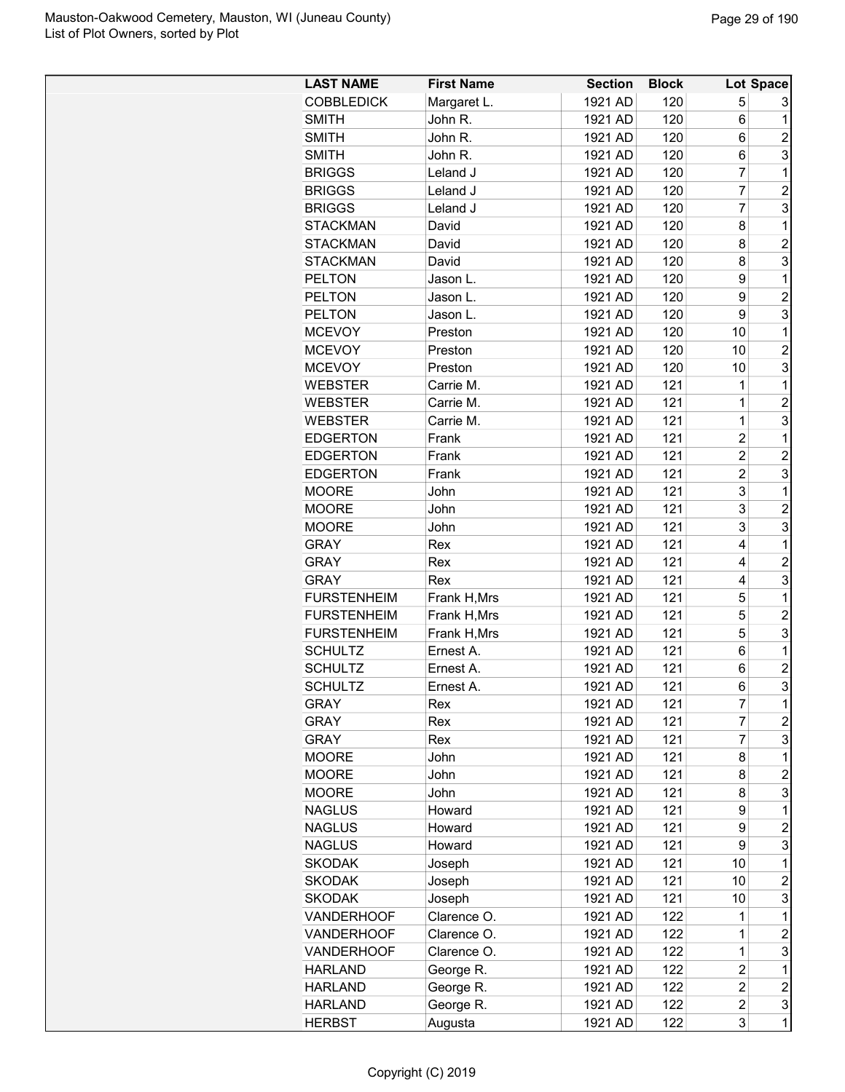| <b>LAST NAME</b>   | <b>First Name</b> | <b>Section</b> | <b>Block</b> |                | Lot Space        |
|--------------------|-------------------|----------------|--------------|----------------|------------------|
| <b>COBBLEDICK</b>  | Margaret L.       | 1921 AD        | 120          | 5              | 3                |
| <b>SMITH</b>       | John R.           | 1921 AD        | 120          | 6              | 1                |
| <b>SMITH</b>       | John R.           | 1921 AD        | 120          | 6              | $\overline{c}$   |
| <b>SMITH</b>       | John R.           | 1921 AD        | 120          | 6              | 3                |
| <b>BRIGGS</b>      | Leland J          | 1921 AD        | 120          | 7              | 1                |
| <b>BRIGGS</b>      | Leland J          | 1921 AD        | 120          | 7              | $\overline{2}$   |
| <b>BRIGGS</b>      | Leland J          | 1921 AD        | 120          | $\overline{7}$ | 3                |
| <b>STACKMAN</b>    | David             | 1921 AD        | 120          | 8              | 1                |
| <b>STACKMAN</b>    | David             | 1921 AD        | 120          | 8              | $\overline{2}$   |
| <b>STACKMAN</b>    | David             | 1921 AD        | 120          | 8              | 3                |
| <b>PELTON</b>      | Jason L.          | 1921 AD        | 120          | 9              | 1                |
| <b>PELTON</b>      | Jason L.          | 1921 AD        | 120          | 9              | $\overline{2}$   |
| <b>PELTON</b>      | Jason L.          | 1921 AD        | 120          | 9              | 3                |
| <b>MCEVOY</b>      | Preston           | 1921 AD        | 120          | 10             | 1                |
| <b>MCEVOY</b>      | Preston           | 1921 AD        | 120          | 10             | $\overline{2}$   |
| <b>MCEVOY</b>      | Preston           | 1921 AD        | 120          | 10             | 3                |
| WEBSTER            | Carrie M.         | 1921 AD        | 121          | 1              | 1                |
|                    | Carrie M.         | 1921 AD        | 121          | $\overline{1}$ | $\overline{2}$   |
| WEBSTER            |                   |                |              | $\overline{1}$ |                  |
| <b>WEBSTER</b>     | Carrie M.         | 1921 AD        | 121          |                | 3                |
| <b>EDGERTON</b>    | Frank             | 1921 AD        | 121          | $\overline{2}$ | 1                |
| <b>EDGERTON</b>    | Frank             | 1921 AD        | 121          | $\overline{2}$ | $\overline{c}$   |
| <b>EDGERTON</b>    | Frank             | 1921 AD        | 121          | $\overline{2}$ | 3                |
| <b>MOORE</b>       | John              | 1921 AD        | 121          | 3              | 1                |
| <b>MOORE</b>       | John              | 1921 AD        | 121          | 3              | $\overline{2}$   |
| <b>MOORE</b>       | John              | 1921 AD        | 121          | 3              | 3                |
| <b>GRAY</b>        | Rex               | 1921 AD        | 121          | 4              | 1                |
| <b>GRAY</b>        | Rex               | 1921 AD        | 121          | 4              | $\overline{2}$   |
| <b>GRAY</b>        | Rex               | 1921 AD        | 121          | 4              | 3                |
| <b>FURSTENHEIM</b> | Frank H, Mrs      | 1921 AD        | 121          | 5              | 1                |
| <b>FURSTENHEIM</b> | Frank H, Mrs      | 1921 AD        | 121          | 5              | $\overline{c}$   |
| <b>FURSTENHEIM</b> | Frank H, Mrs      | 1921 AD        | 121          | 5              | 3                |
| <b>SCHULTZ</b>     | Ernest A.         | 1921 AD        | 121          | 6              | 1                |
| <b>SCHULTZ</b>     | Ernest A.         | 1921 AD        | 121          | 6              | $\overline{2}$   |
| <b>SCHULTZ</b>     | Ernest A.         | 1921 AD        | 121          | 6              | 3                |
| <b>GRAY</b>        | Rex               | 1921 AD        | 121          | 7              | 1                |
| <b>GRAY</b>        | Rex               | 1921 AD        | 121          | 7              | $\overline{c}$   |
| <b>GRAY</b>        | Rex               | 1921 AD        | 121          | $\overline{7}$ | 3                |
| <b>MOORE</b>       | John              | 1921 AD        | 121          | 8              | $\mathbf 1$      |
| <b>MOORE</b>       | John              | 1921 AD        | 121          | 8              | $\overline{2}$   |
| <b>MOORE</b>       | John              | 1921 AD        | 121          | 8              | 3                |
| <b>NAGLUS</b>      | Howard            | 1921 AD        | 121          | 9              | 1                |
| <b>NAGLUS</b>      | Howard            | 1921 AD        | 121          | 9              | $\overline{2}$   |
| <b>NAGLUS</b>      | Howard            | 1921 AD        | 121          | 9              | 3                |
| <b>SKODAK</b>      | Joseph            | 1921 AD        | 121          | 10             | 1                |
| <b>SKODAK</b>      | Joseph            | 1921 AD        | 121          | 10             | $\boldsymbol{2}$ |
| <b>SKODAK</b>      | Joseph            | 1921 AD        | 121          | 10             | 3                |
| <b>VANDERHOOF</b>  | Clarence O.       | 1921 AD        | 122          | 1              | 1                |
| <b>VANDERHOOF</b>  | Clarence O.       | 1921 AD        | 122          | $\mathbf 1$    | $\overline{c}$   |
| VANDERHOOF         | Clarence O.       | 1921 AD        | 122          | 1              | 3                |
| <b>HARLAND</b>     | George R.         | 1921 AD        | 122          | $\overline{c}$ | 1                |
| <b>HARLAND</b>     | George R.         | 1921 AD        | 122          | $\overline{2}$ | $\overline{c}$   |
| <b>HARLAND</b>     | George R.         | 1921 AD        | 122          | $\overline{c}$ | 3                |
| <b>HERBST</b>      | Augusta           | 1921 AD        | 122          | 3              | $\mathbf 1$      |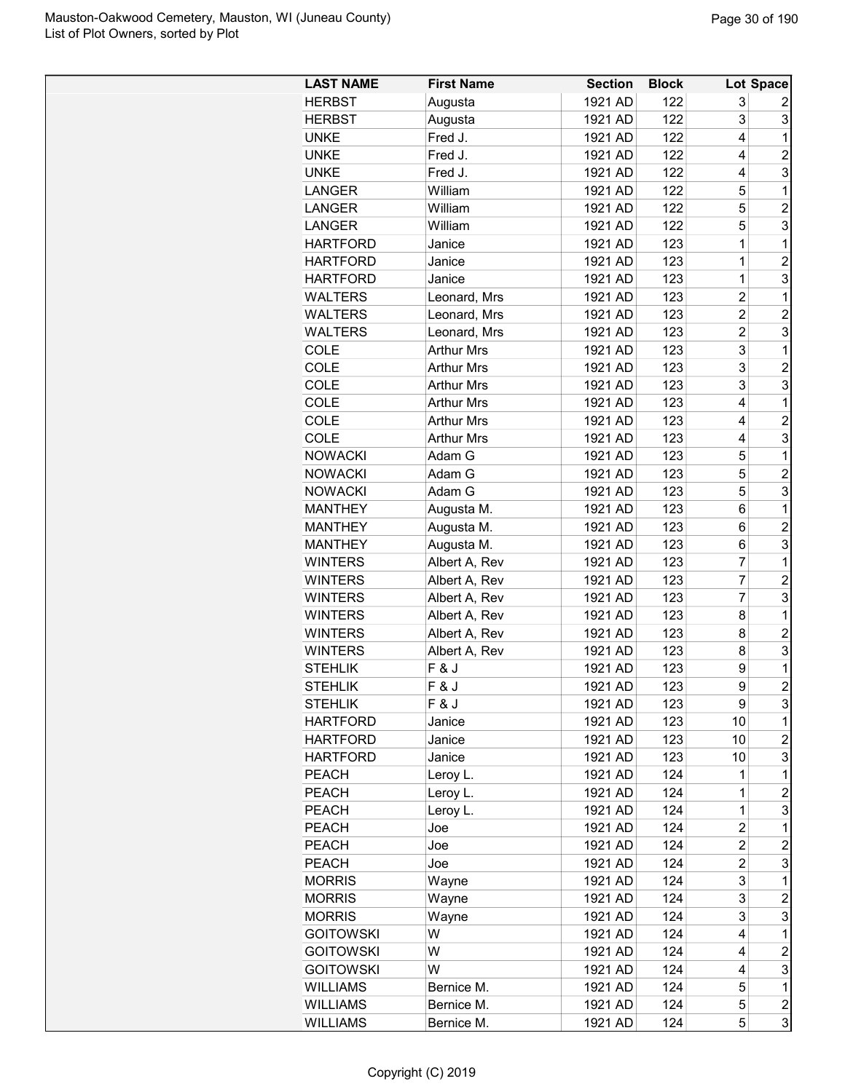| <b>LAST NAME</b> | <b>First Name</b> | <b>Section</b> | <b>Block</b> |                | Lot Space               |
|------------------|-------------------|----------------|--------------|----------------|-------------------------|
| <b>HERBST</b>    | Augusta           | 1921 AD        | 122          | 3              | 2                       |
| <b>HERBST</b>    | Augusta           | 1921 AD        | 122          | 3              | 3                       |
| <b>UNKE</b>      | Fred J.           | 1921 AD        | 122          | 4              | 1                       |
| <b>UNKE</b>      | Fred J.           | 1921 AD        | 122          | 4              | $\overline{2}$          |
| <b>UNKE</b>      | Fred J.           | 1921 AD        | 122          | 4              | 3                       |
| <b>LANGER</b>    | William           | 1921 AD        | 122          | 5              | 1                       |
| <b>LANGER</b>    | William           | 1921 AD        | 122          | 5              | $\overline{c}$          |
| <b>LANGER</b>    | William           | 1921 AD        | 122          | 5              | 3                       |
| <b>HARTFORD</b>  | Janice            | 1921 AD        | 123          | 1              | $\mathbf 1$             |
| <b>HARTFORD</b>  | Janice            | 1921 AD        | 123          | $\mathbf 1$    | $\overline{c}$          |
| HARTFORD         | Janice            | 1921 AD        | 123          | $\mathbf 1$    | 3                       |
| <b>WALTERS</b>   | Leonard, Mrs      | 1921 AD        | 123          | $\overline{2}$ | 1                       |
| <b>WALTERS</b>   | Leonard, Mrs      | 1921 AD        | 123          | 2              | $\overline{c}$          |
| <b>WALTERS</b>   | Leonard, Mrs      | 1921 AD        | 123          | $\overline{2}$ | 3                       |
| COLE             | <b>Arthur Mrs</b> | 1921 AD        | 123          | 3              | 1                       |
| COLE             | <b>Arthur Mrs</b> | 1921 AD        | 123          | 3              | $\overline{c}$          |
| COLE             | Arthur Mrs        | 1921 AD        | 123          | 3              | 3                       |
| <b>COLE</b>      | <b>Arthur Mrs</b> | 1921 AD        | 123          | 4              | 1                       |
| <b>COLE</b>      | <b>Arthur Mrs</b> | 1921 AD        | 123          | 4              | $\overline{2}$          |
| COLE             | <b>Arthur Mrs</b> | 1921 AD        | 123          | 4              | 3                       |
| <b>NOWACKI</b>   | Adam G            | 1921 AD        | 123          | 5              | 1                       |
| <b>NOWACKI</b>   | Adam G            | 1921 AD        | 123          | 5              | $\overline{c}$          |
| <b>NOWACKI</b>   |                   | 1921 AD        | 123          | 5              | 3                       |
|                  | Adam G            | 1921 AD        |              | 6              | 1                       |
| <b>MANTHEY</b>   | Augusta M.        |                | 123          | 6              | $\overline{2}$          |
| <b>MANTHEY</b>   | Augusta M.        | 1921 AD        | 123          |                | 3                       |
| <b>MANTHEY</b>   | Augusta M.        | 1921 AD        | 123          | 6              |                         |
| <b>WINTERS</b>   | Albert A, Rev     | 1921 AD        | 123          | 7              | 1                       |
| <b>WINTERS</b>   | Albert A, Rev     | 1921 AD        | 123          | 7              | $\overline{c}$          |
| <b>WINTERS</b>   | Albert A, Rev     | 1921 AD        | 123          | 7              | 3                       |
| <b>WINTERS</b>   | Albert A, Rev     | 1921 AD        | 123          | 8              | 1                       |
| <b>WINTERS</b>   | Albert A, Rev     | 1921 AD        | 123          | 8              | $\overline{c}$          |
| <b>WINTERS</b>   | Albert A, Rev     | 1921 AD        | 123          | 8              | 3                       |
| <b>STEHLIK</b>   | F & J             | 1921 AD        | 123          | 9              | 1<br>$\overline{2}$     |
| STEHLIK          | F&J               | 1921 AD        | 123          | 9              |                         |
| <b>STEHLIK</b>   | F&J               | 1921 AD        | 123          | 9              | 3                       |
| <b>HARTFORD</b>  | Janice            | 1921 AD        | 123          | 10             | 1                       |
| <b>HARTFORD</b>  | Janice            | 1921 AD        | 123          | 10             | $\overline{2}$          |
| <b>HARTFORD</b>  | Janice            | 1921 AD        | 123          | 10             | 3                       |
| <b>PEACH</b>     | Leroy L.          | 1921 AD        | 124          | 1              | 1                       |
| <b>PEACH</b>     | Leroy L.          | 1921 AD        | 124          | 1              | $\overline{c}$          |
| <b>PEACH</b>     | Leroy L.          | 1921 AD        | 124          | 1              | 3                       |
| PEACH            | Joe               | 1921 AD        | 124          | 2              | 1                       |
| <b>PEACH</b>     | Joe               | 1921 AD        | 124          | 2              | $\overline{c}$          |
| <b>PEACH</b>     | Joe               | 1921 AD        | 124          | $\overline{2}$ | 3                       |
| <b>MORRIS</b>    | Wayne             | 1921 AD        | 124          | 3              | 1                       |
| <b>MORRIS</b>    | Wayne             | 1921 AD        | 124          | 3              | 2                       |
| MORRIS           | Wayne             | 1921 AD        | 124          | 3              | 3                       |
| <b>GOITOWSKI</b> | W                 | 1921 AD        | 124          | 4              | 1                       |
| <b>GOITOWSKI</b> | W                 | 1921 AD        | 124          | 4              | $\overline{c}$          |
| <b>GOITOWSKI</b> | W                 | 1921 AD        | 124          | 4              | 3                       |
| <b>WILLIAMS</b>  | Bernice M.        | 1921 AD        | 124          | 5              | 1                       |
| <b>WILLIAMS</b>  | Bernice M.        | 1921 AD        | 124          | 5              | $\overline{\mathbf{c}}$ |
| <b>WILLIAMS</b>  | Bernice M.        | 1921 AD        | 124          | 5              | 3                       |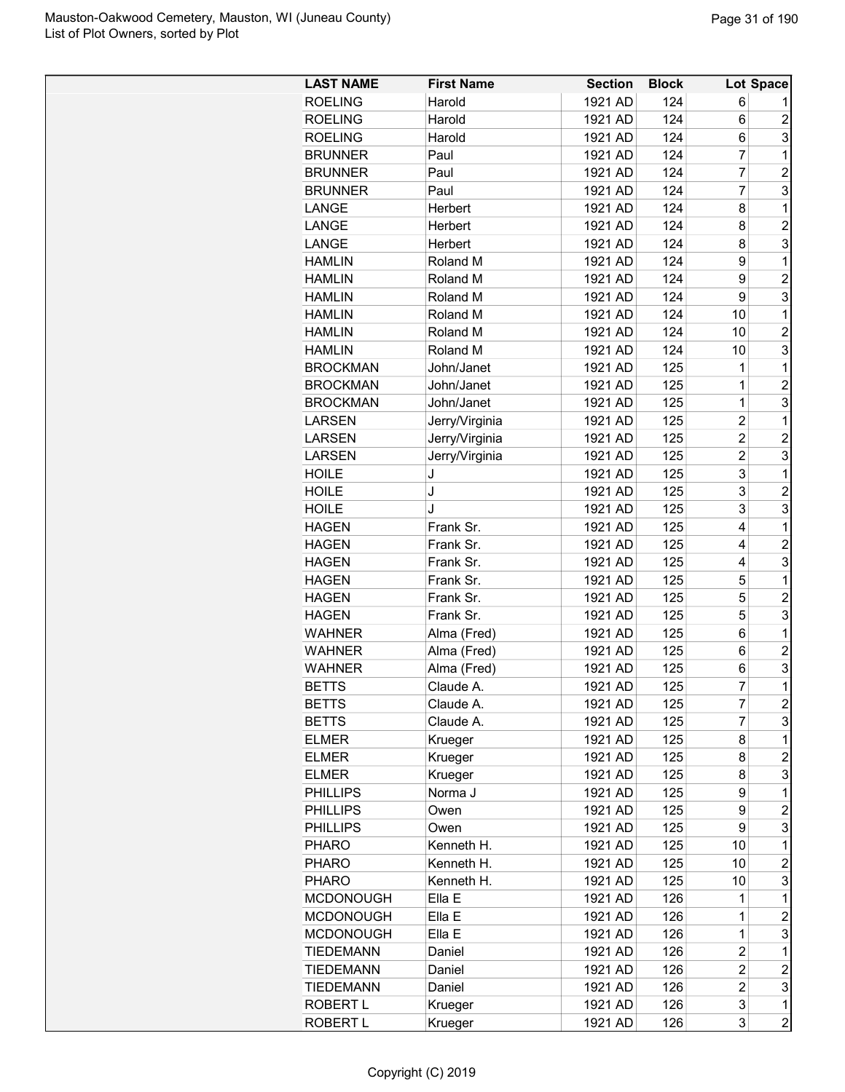| <b>LAST NAME</b> | <b>First Name</b> | <b>Section</b> | <b>Block</b> |                | Lot Space      |
|------------------|-------------------|----------------|--------------|----------------|----------------|
| <b>ROELING</b>   | Harold            | 1921 AD        | 124          | 6              |                |
| <b>ROELING</b>   | Harold            | 1921 AD        | 124          | 6              | $\overline{c}$ |
| <b>ROELING</b>   | Harold            | 1921 AD        | 124          | 6              | 3              |
| <b>BRUNNER</b>   | Paul              | 1921 AD        | 124          | $\overline{7}$ | 1              |
| <b>BRUNNER</b>   | Paul              | 1921 AD        | 124          | $\overline{7}$ | $\overline{c}$ |
| <b>BRUNNER</b>   | Paul              | 1921 AD        | 124          | 7              | 3              |
| LANGE            | Herbert           | 1921 AD        | 124          | 8              | 1              |
| LANGE            | Herbert           | 1921 AD        | 124          | 8              | $\overline{c}$ |
| LANGE            | Herbert           | 1921 AD        | 124          | 8              | 3              |
| <b>HAMLIN</b>    | Roland M          | 1921 AD        | 124          | 9              | 1              |
| <b>HAMLIN</b>    | Roland M          | 1921 AD        | 124          | 9              | $\overline{c}$ |
| <b>HAMLIN</b>    | Roland M          | 1921 AD        | 124          | 9              | 3              |
| <b>HAMLIN</b>    | Roland M          | 1921 AD        | 124          | 10             | 1              |
| <b>HAMLIN</b>    | Roland M          | 1921 AD        | 124          | 10             | $\overline{c}$ |
| <b>HAMLIN</b>    | Roland M          | 1921 AD        | 124          | 10             | 3              |
| <b>BROCKMAN</b>  | John/Janet        | 1921 AD        | 125          | 1              | 1              |
| <b>BROCKMAN</b>  | John/Janet        | 1921 AD        | 125          | $\overline{1}$ | $\overline{c}$ |
| <b>BROCKMAN</b>  | John/Janet        | 1921 AD        | 125          | $\mathbf{1}$   | 3              |
| <b>LARSEN</b>    | Jerry/Virginia    | 1921 AD        | 125          | $\overline{c}$ | 1              |
| <b>LARSEN</b>    | Jerry/Virginia    | 1921 AD        | 125          | $\overline{c}$ | $\overline{c}$ |
| <b>LARSEN</b>    | Jerry/Virginia    | 1921 AD        | 125          | $\overline{c}$ | 3              |
| <b>HOILE</b>     | J                 | 1921 AD        | 125          | 3              | 1              |
| <b>HOILE</b>     | J                 | 1921 AD        | 125          | 3              | $\overline{2}$ |
| <b>HOILE</b>     | J                 | 1921 AD        | 125          | 3              | 3              |
| <b>HAGEN</b>     | Frank Sr.         | 1921 AD        | 125          | 4              | 1              |
| <b>HAGEN</b>     | Frank Sr.         | 1921 AD        | 125          | 4              | $\overline{2}$ |
| <b>HAGEN</b>     | Frank Sr.         | 1921 AD        | 125          | 4              | 3              |
| <b>HAGEN</b>     | Frank Sr.         | 1921 AD        | 125          | 5              | 1              |
| <b>HAGEN</b>     | Frank Sr.         | 1921 AD        | 125          | 5              | $\overline{c}$ |
| <b>HAGEN</b>     | Frank Sr.         | 1921 AD        | 125          | 5              | 3              |
| <b>WAHNER</b>    | Alma (Fred)       | 1921 AD        | 125          | 6              | 1              |
| <b>WAHNER</b>    | Alma (Fred)       | 1921 AD        | 125          | 6              | $\overline{2}$ |
| <b>WAHNER</b>    | Alma (Fred)       | 1921 AD        | 125          | 6              | 3              |
| <b>BETTS</b>     | Claude A.         | 1921 AD        | 125          | $\overline{7}$ | $\mathbf 1$    |
| <b>BETTS</b>     | Claude A.         | 1921 AD        | 125          | 7              | $\overline{c}$ |
| <b>BETTS</b>     | Claude A.         | 1921 AD        | 125          | 7              | 3              |
| <b>ELMER</b>     | Krueger           | 1921 AD        | 125          | 8              | 1              |
| <b>ELMER</b>     | Krueger           | 1921 AD        | 125          | 8              | $\overline{c}$ |
| <b>ELMER</b>     | Krueger           | 1921 AD        | 125          | 8              | 3              |
| PHILLIPS         | Norma J           | 1921 AD        | 125          | 9              | 1              |
| PHILLIPS         | Owen              | 1921 AD        | 125          | 9              | $\overline{c}$ |
| <b>PHILLIPS</b>  | Owen              | 1921 AD        | 125          | 9              | 3              |
| <b>PHARO</b>     | Kenneth H.        | 1921 AD        | 125          | 10             | 1              |
| <b>PHARO</b>     | Kenneth H.        | 1921 AD        | 125          | 10             | $\overline{c}$ |
| <b>PHARO</b>     | Kenneth H.        | 1921 AD        | 125          | 10             | 3              |
| <b>MCDONOUGH</b> | Ella E            | 1921 AD        | 126          | 1              | 1              |
| <b>MCDONOUGH</b> | Ella E            | 1921 AD        | 126          | 1              | $\overline{c}$ |
| <b>MCDONOUGH</b> | Ella E            | 1921 AD        | 126          | $\mathbf 1$    | 3              |
| <b>TIEDEMANN</b> | Daniel            | 1921 AD        | 126          | 2              | 1              |
| TIEDEMANN        | Daniel            | 1921 AD        | 126          | $\overline{c}$ | $\overline{c}$ |
| TIEDEMANN        | Daniel            | 1921 AD        | 126          | $\overline{2}$ | 3              |
| ROBERT L         | Krueger           | 1921 AD        | 126          | 3              | 1              |
| ROBERT L         | Krueger           | 1921 AD        | 126          | 3              | $\overline{2}$ |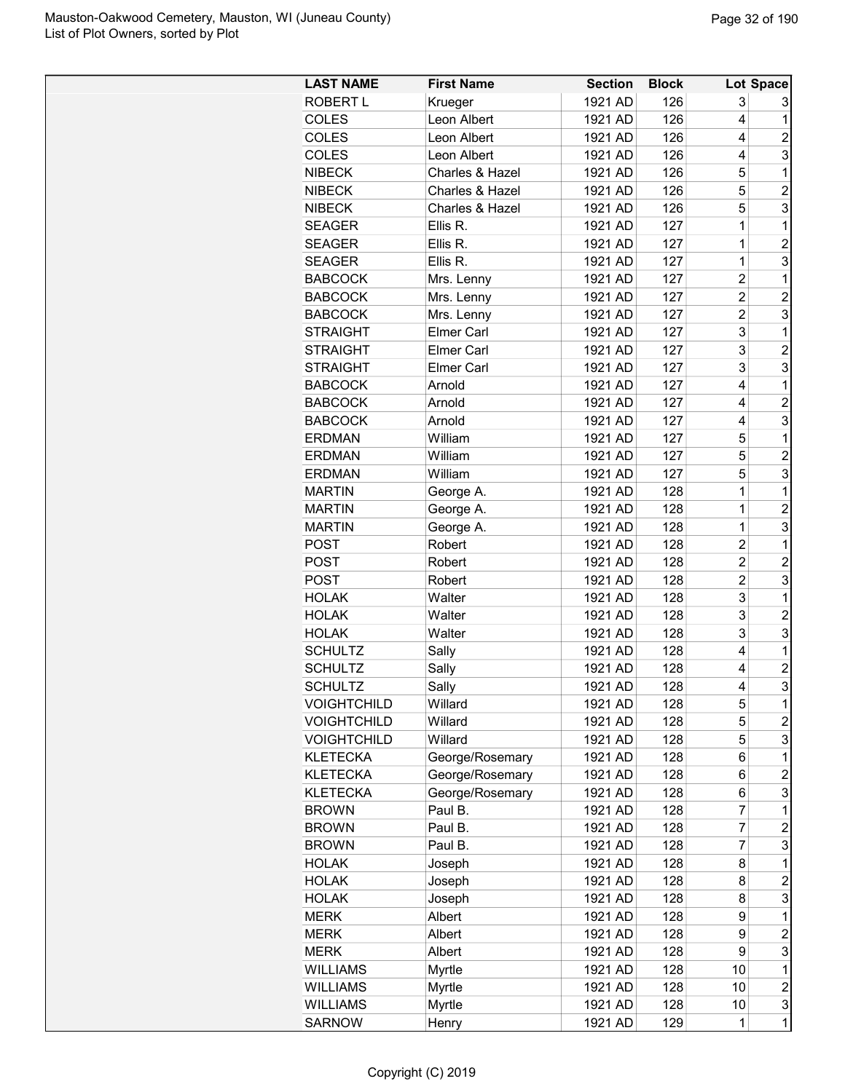| <b>LAST NAME</b>   | <b>First Name</b> | <b>Section</b> | <b>Block</b> |                         | Lot Space               |
|--------------------|-------------------|----------------|--------------|-------------------------|-------------------------|
| ROBERT L           | Krueger           | 1921 AD        | 126          | 3                       | 3                       |
| <b>COLES</b>       | Leon Albert       | 1921 AD        | 126          | 4                       | 1                       |
| <b>COLES</b>       | Leon Albert       | 1921 AD        | 126          | 4                       | 2                       |
| <b>COLES</b>       | Leon Albert       | 1921 AD        | 126          | 4                       | 3                       |
| <b>NIBECK</b>      | Charles & Hazel   | 1921 AD        | 126          | 5                       | 1                       |
| <b>NIBECK</b>      | Charles & Hazel   | 1921 AD        | 126          | 5                       | $\overline{c}$          |
| <b>NIBECK</b>      | Charles & Hazel   | 1921 AD        | 126          | 5                       | 3                       |
| <b>SEAGER</b>      | Ellis R.          | 1921 AD        | 127          | 1                       | 1                       |
| <b>SEAGER</b>      | Ellis R.          | 1921 AD        | 127          | 1                       | $\overline{c}$          |
| <b>SEAGER</b>      | Ellis R.          | 1921 AD        | 127          | $\overline{1}$          | 3                       |
| <b>BABCOCK</b>     | Mrs. Lenny        | 1921 AD        | 127          | $\overline{\mathbf{c}}$ | 1                       |
| <b>BABCOCK</b>     | Mrs. Lenny        | 1921 AD        | 127          | $\overline{c}$          | $\overline{\mathbf{c}}$ |
| <b>BABCOCK</b>     | Mrs. Lenny        | 1921 AD        | 127          | $\overline{c}$          | 3                       |
| <b>STRAIGHT</b>    | <b>Elmer Carl</b> | 1921 AD        | 127          | 3                       | 1                       |
| <b>STRAIGHT</b>    | <b>Elmer Carl</b> | 1921 AD        | 127          | 3                       | $\overline{2}$          |
|                    |                   | 1921 AD        |              | 3                       | 3                       |
| <b>STRAIGHT</b>    | <b>Elmer Carl</b> |                | 127          | 4                       |                         |
| <b>BABCOCK</b>     | Arnold            | 1921 AD        | 127          |                         | 1                       |
| <b>BABCOCK</b>     | Arnold            | 1921 AD        | 127          | 4                       | $\overline{2}$          |
| <b>BABCOCK</b>     | Arnold            | 1921 AD        | 127          | 4                       | 3                       |
| <b>ERDMAN</b>      | William           | 1921 AD        | 127          | 5                       | 1                       |
| <b>ERDMAN</b>      | William           | 1921 AD        | 127          | 5                       | $\overline{c}$          |
| <b>ERDMAN</b>      | William           | 1921 AD        | 127          | 5                       | 3                       |
| <b>MARTIN</b>      | George A.         | 1921 AD        | 128          | 1                       | 1                       |
| <b>MARTIN</b>      | George A.         | 1921 AD        | 128          | 1                       | 2                       |
| <b>MARTIN</b>      | George A.         | 1921 AD        | 128          | $\mathbf 1$             | 3                       |
| <b>POST</b>        | Robert            | 1921 AD        | 128          | $\overline{c}$          | $\mathbf 1$             |
| <b>POST</b>        | Robert            | 1921 AD        | 128          | $\overline{c}$          | $\overline{c}$          |
| <b>POST</b>        | Robert            | 1921 AD        | 128          | $\overline{c}$          | 3                       |
| <b>HOLAK</b>       | Walter            | 1921 AD        | 128          | 3                       | 1                       |
| <b>HOLAK</b>       | Walter            | 1921 AD        | 128          | 3                       | $\overline{c}$          |
| <b>HOLAK</b>       | Walter            | 1921 AD        | 128          | 3                       | 3                       |
| <b>SCHULTZ</b>     | Sally             | 1921 AD        | 128          | 4                       | 1                       |
| <b>SCHULTZ</b>     | Sally             | 1921 AD        | 128          | 4                       | $\overline{c}$          |
| <b>SCHULTZ</b>     | Sally             | 1921 AD        | 128          | 4                       | $\overline{\mathbf{3}}$ |
| <b>VOIGHTCHILD</b> | Willard           | 1921 AD        | 128          | 5                       | 1                       |
| <b>VOIGHTCHILD</b> | Willard           | 1921 AD        | 128          | 5                       | 2                       |
| <b>VOIGHTCHILD</b> | Willard           | 1921 AD        | 128          | 5                       | 3                       |
| <b>KLETECKA</b>    | George/Rosemary   | 1921 AD        | 128          | 6                       | 1                       |
| <b>KLETECKA</b>    | George/Rosemary   | 1921 AD        | 128          | 6                       | 2                       |
| <b>KLETECKA</b>    | George/Rosemary   | 1921 AD        | 128          | 6                       | 3                       |
| <b>BROWN</b>       | Paul B.           | 1921 AD        | 128          | 7                       | 1                       |
| <b>BROWN</b>       | Paul B.           | 1921 AD        | 128          | 7                       | 2                       |
| <b>BROWN</b>       | Paul B.           | 1921 AD        | 128          | 7                       | 3                       |
| <b>HOLAK</b>       | Joseph            | 1921 AD        | 128          | 8                       | 1                       |
| <b>HOLAK</b>       | Joseph            | 1921 AD        | 128          | 8                       | $\overline{c}$          |
| <b>HOLAK</b>       | Joseph            | 1921 AD        | 128          | 8                       | 3                       |
| <b>MERK</b>        | Albert            | 1921 AD        | 128          | 9                       | 1                       |
| <b>MERK</b>        | Albert            | 1921 AD        | 128          | 9                       | 2                       |
| <b>MERK</b>        | Albert            | 1921 AD        | 128          | 9                       | 3                       |
| <b>WILLIAMS</b>    | Myrtle            | 1921 AD        | 128          | 10                      | 1                       |
| <b>WILLIAMS</b>    | <b>Myrtle</b>     | 1921 AD        | 128          | 10                      | $\overline{c}$          |
| <b>WILLIAMS</b>    | <b>Myrtle</b>     | 1921 AD        | 128          | 10                      | 3                       |
| <b>SARNOW</b>      | Henry             | 1921 AD        | 129          | $\mathbf{1}$            | $\mathbf 1$             |
|                    |                   |                |              |                         |                         |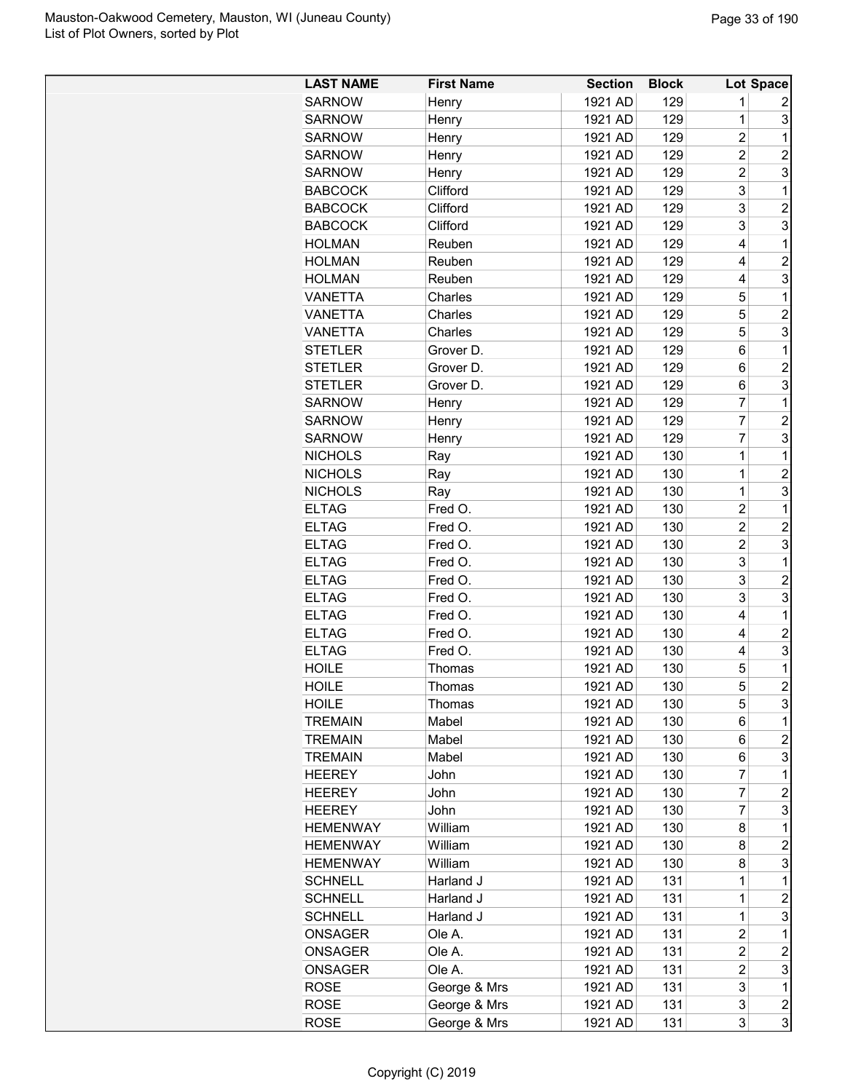| <b>LAST NAME</b> | <b>First Name</b> | <b>Section</b> | <b>Block</b> |                | Lot Space        |
|------------------|-------------------|----------------|--------------|----------------|------------------|
| <b>SARNOW</b>    | Henry             | 1921 AD        | 129          | 1              | 2                |
| <b>SARNOW</b>    | Henry             | 1921 AD        | 129          | $\overline{1}$ | 3                |
| <b>SARNOW</b>    | Henry             | 1921 AD        | 129          | $\overline{2}$ | 1                |
| <b>SARNOW</b>    | Henry             | 1921 AD        | 129          | $\overline{2}$ | $\overline{2}$   |
| <b>SARNOW</b>    | Henry             | 1921 AD        | 129          | $\overline{2}$ | 3                |
| <b>BABCOCK</b>   | Clifford          | 1921 AD        | 129          | 3              | 1                |
| <b>BABCOCK</b>   | Clifford          | 1921 AD        | 129          | 3              | $\overline{c}$   |
| <b>BABCOCK</b>   | Clifford          | 1921 AD        | 129          | 3              | 3                |
| <b>HOLMAN</b>    | Reuben            | 1921 AD        | 129          | 4              | 1                |
| <b>HOLMAN</b>    | Reuben            | 1921 AD        | 129          | 4              | $\overline{2}$   |
| <b>HOLMAN</b>    | Reuben            | 1921 AD        | 129          | 4              | 3                |
| <b>VANETTA</b>   | Charles           | 1921 AD        | 129          | 5              | 1                |
| <b>VANETTA</b>   | Charles           | 1921 AD        | 129          | 5              | $\overline{2}$   |
| <b>VANETTA</b>   | Charles           | 1921 AD        | 129          | 5              | 3                |
| <b>STETLER</b>   | Grover D.         | 1921 AD        | 129          | 6              | 1                |
| <b>STETLER</b>   | Grover D.         | 1921 AD        | 129          | 6              | $\overline{c}$   |
| <b>STETLER</b>   | Grover D.         | 1921 AD        | 129          | 6              | 3                |
| <b>SARNOW</b>    | Henry             | 1921 AD        | 129          | $\overline{7}$ | 1                |
| <b>SARNOW</b>    | Henry             | 1921 AD        | 129          | 7              | $\overline{2}$   |
| <b>SARNOW</b>    | Henry             | 1921 AD        | 129          | 7              | 3                |
| <b>NICHOLS</b>   | Ray               | 1921 AD        | 130          | $\overline{1}$ | 1                |
| <b>NICHOLS</b>   |                   | 1921 AD        | 130          | $\overline{1}$ | $\overline{c}$   |
|                  | Ray               |                |              | $\mathbf 1$    |                  |
| <b>NICHOLS</b>   | Ray               | 1921 AD        | 130          |                | 3                |
| <b>ELTAG</b>     | Fred O.           | 1921 AD        | 130          | $\overline{2}$ | 1                |
| <b>ELTAG</b>     | Fred O.           | 1921 AD        | 130          | $\overline{2}$ | $\overline{2}$   |
| <b>ELTAG</b>     | Fred O.           | 1921 AD        | 130          | $\overline{c}$ | 3                |
| <b>ELTAG</b>     | Fred O.           | 1921 AD        | 130          | 3              | 1                |
| <b>ELTAG</b>     | Fred O.           | 1921 AD        | 130          | 3              | $\overline{c}$   |
| <b>ELTAG</b>     | Fred O.           | 1921 AD        | 130          | 3              | 3                |
| <b>ELTAG</b>     | Fred O.           | 1921 AD        | 130          | 4              | 1                |
| <b>ELTAG</b>     | Fred O.           | 1921 AD        | 130          | 4              | $\overline{c}$   |
| <b>ELTAG</b>     | Fred O.           | 1921 AD        | 130          | 4              | 3                |
| <b>HOILE</b>     | Thomas            | 1921 AD        | 130          | 5              | 1                |
| <b>HOILE</b>     | Thomas            | 1921 AD        | 130          | 5              | $\overline{2}$   |
| <b>HOILE</b>     | Thomas            | 1921 AD        | 130          | 5              | 3                |
| <b>TREMAIN</b>   | Mabel             | 1921 AD        | 130          | 6              | 1                |
| <b>TREMAIN</b>   | Mabel             | 1921 AD        | 130          | 6              | $\overline{c}$   |
| <b>TREMAIN</b>   | Mabel             | 1921 AD        | 130          | 6              | 3                |
| <b>HEEREY</b>    | John              | 1921 AD        | 130          | $\overline{7}$ | 1                |
| <b>HEEREY</b>    | John              | 1921 AD        | 130          | 7              | $\overline{c}$   |
| <b>HEEREY</b>    | John              | 1921 AD        | 130          | $\overline{7}$ | 3                |
| <b>HEMENWAY</b>  | William           | 1921 AD        | 130          | 8              | 1                |
| <b>HEMENWAY</b>  | William           | 1921 AD        | 130          | 8              | $\overline{c}$   |
| <b>HEMENWAY</b>  | William           | 1921 AD        | 130          | 8              | 3                |
| <b>SCHNELL</b>   | Harland J         | 1921 AD        | 131          | 1              | 1                |
| <b>SCHNELL</b>   | Harland J         | 1921 AD        | 131          | $\mathbf{1}$   | $\overline{c}$   |
| <b>SCHNELL</b>   | Harland J         | 1921 AD        | 131          | $\mathbf 1$    | 3                |
| <b>ONSAGER</b>   | Ole A.            | 1921 AD        | 131          | $\overline{c}$ | 1                |
| ONSAGER          | Ole A.            | 1921 AD        | 131          | $\overline{c}$ | $\overline{c}$   |
| ONSAGER          | Ole A.            | 1921 AD        | 131          | $\overline{c}$ | 3                |
| ROSE             | George & Mrs      | 1921 AD        | 131          | 3              | 1                |
| ROSE             | George & Mrs      | 1921 AD        | 131          | 3              | $\boldsymbol{2}$ |
| <b>ROSE</b>      | George & Mrs      | 1921 AD        | 131          | 3              | 3                |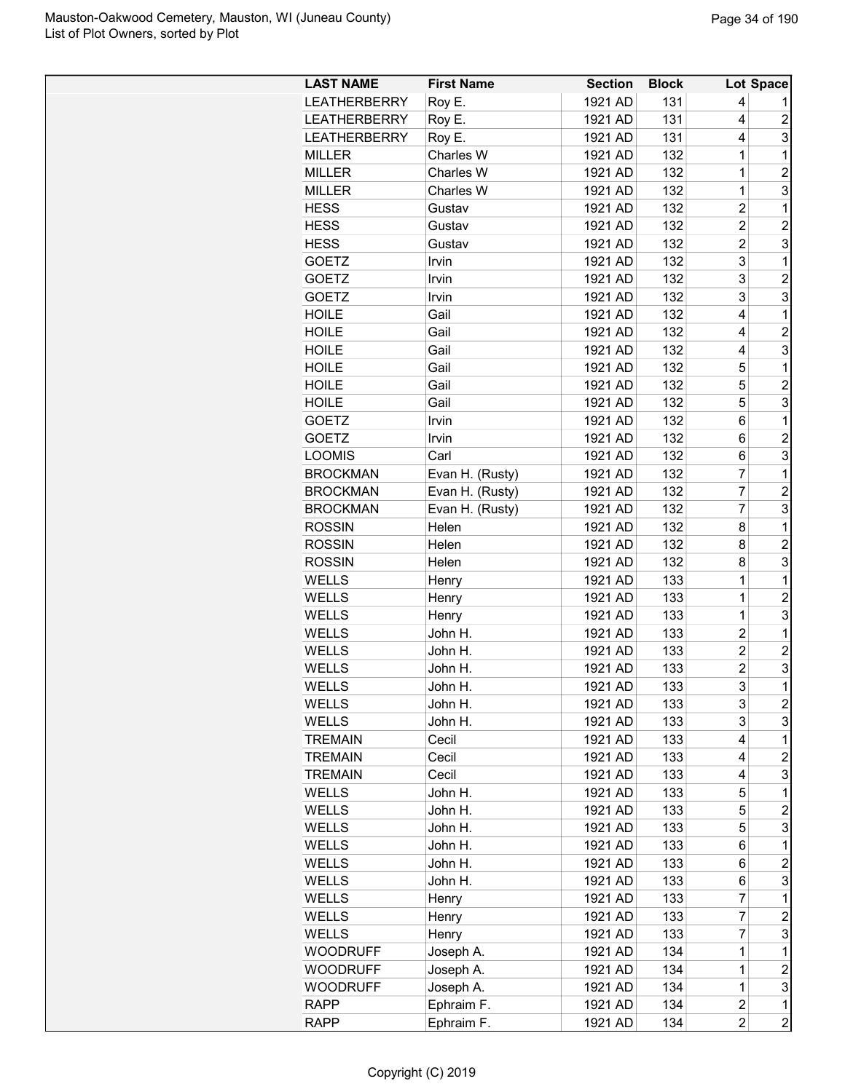| <b>LAST NAME</b>    | <b>First Name</b> | <b>Section</b> | <b>Block</b> |                | Lot Space      |
|---------------------|-------------------|----------------|--------------|----------------|----------------|
| <b>LEATHERBERRY</b> | Roy E.            | 1921 AD        | 131          | 4              |                |
| <b>LEATHERBERRY</b> | Roy E.            | 1921 AD        | 131          | 4              | 2              |
| <b>LEATHERBERRY</b> | Roy E.            | 1921 AD        | 131          | 4              | 3              |
| <b>MILLER</b>       | Charles W         | 1921 AD        | 132          | 1              | 1              |
| <b>MILLER</b>       | Charles W         | 1921 AD        | 132          | 1              | $\overline{c}$ |
| <b>MILLER</b>       | Charles W         | 1921 AD        | 132          | $\mathbf 1$    | 3              |
| <b>HESS</b>         | Gustav            | 1921 AD        | 132          | $\overline{c}$ | $\mathbf 1$    |
| <b>HESS</b>         | Gustav            | 1921 AD        | 132          | $\overline{2}$ | $\overline{c}$ |
| <b>HESS</b>         | Gustav            | 1921 AD        | 132          | $\overline{c}$ | 3              |
| <b>GOETZ</b>        | Irvin             | 1921 AD        | 132          | 3              | 1              |
| <b>GOETZ</b>        | Irvin             | 1921 AD        | 132          | 3              | 2              |
| <b>GOETZ</b>        | Irvin             | 1921 AD        | 132          | 3              | 3              |
| <b>HOILE</b>        | Gail              | 1921 AD        | 132          | 4              | 1              |
| <b>HOILE</b>        | Gail              | 1921 AD        | 132          | 4              | $\overline{c}$ |
| <b>HOILE</b>        | Gail              | 1921 AD        | 132          | 4              | 3              |
| <b>HOILE</b>        | Gail              | 1921 AD        | 132          | 5              | 1              |
| <b>HOILE</b>        | Gail              | 1921 AD        | 132          | 5              | $\overline{2}$ |
| <b>HOILE</b>        | Gail              | 1921 AD        | 132          | 5              | 3              |
| <b>GOETZ</b>        | Irvin             | 1921 AD        | 132          | 6              | $\mathbf 1$    |
| <b>GOETZ</b>        | Irvin             | 1921 AD        | 132          | 6              | $\overline{c}$ |
| <b>LOOMIS</b>       | Carl              | 1921 AD        | 132          | 6              | 3              |
| <b>BROCKMAN</b>     | Evan H. (Rusty)   | 1921 AD        | 132          | $\overline{7}$ | 1              |
| <b>BROCKMAN</b>     | Evan H. (Rusty)   | 1921 AD        | 132          | $\overline{7}$ | $\overline{c}$ |
| <b>BROCKMAN</b>     | Evan H. (Rusty)   | 1921 AD        | 132          | $\overline{7}$ | 3              |
| <b>ROSSIN</b>       | Helen             | 1921 AD        | 132          | 8              | 1              |
| <b>ROSSIN</b>       | Helen             | 1921 AD        | 132          | 8              | 2              |
| <b>ROSSIN</b>       | Helen             | 1921 AD        | 132          | 8              | 3              |
| <b>WELLS</b>        | Henry             | 1921 AD        | 133          | 1              | 1              |
| <b>WELLS</b>        | Henry             | 1921 AD        | 133          | 1              | $\overline{c}$ |
| WELLS               | Henry             | 1921 AD        | 133          | 1              | 3              |
| <b>WELLS</b>        | John H.           | 1921 AD        | 133          | $\overline{c}$ | 1              |
| <b>WELLS</b>        | John H.           | 1921 AD        | 133          | $\overline{c}$ | 2              |
| <b>WELLS</b>        | John H.           | 1921 AD        | 133          | 2              | 3              |
| WELLS               | John H.           | 1921 AD        | 133          | 3              | 1              |
| WELLS               | John H.           | 1921 AD        | 133          | 3              | $\overline{c}$ |
| WELLS               | John H.           | 1921 AD        | 133          | 3              | 3              |
| <b>TREMAIN</b>      | Cecil             | 1921 AD        | 133          | 4              | 1              |
| <b>TREMAIN</b>      | Cecil             | 1921 AD        | 133          | 4              | 2              |
| <b>TREMAIN</b>      | Cecil             | 1921 AD        | 133          | 4              | 3              |
| <b>WELLS</b>        | John H.           | 1921 AD        | 133          | 5              | 1              |
| <b>WELLS</b>        | John H.           | 1921 AD        | 133          | 5              | $\overline{c}$ |
| WELLS               | John H.           | 1921 AD        | 133          | 5              | 3              |
| WELLS               | John H.           | 1921 AD        | 133          | 6              | 1              |
| <b>WELLS</b>        | John H.           | 1921 AD        | 133          | 6              | $\overline{c}$ |
| WELLS               | John H.           | 1921 AD        | 133          | 6              | 3              |
| WELLS               | Henry             | 1921 AD        | 133          | 7              | 1              |
| WELLS               | Henry             | 1921 AD        | 133          | 7              | $\overline{c}$ |
| <b>WELLS</b>        | Henry             | 1921 AD        | 133          | 7              | 3              |
| <b>WOODRUFF</b>     | Joseph A.         | 1921 AD        | 134          | 1              | 1              |
| <b>WOODRUFF</b>     | Joseph A.         | 1921 AD        | 134          | 1              | $\overline{c}$ |
| <b>WOODRUFF</b>     | Joseph A.         | 1921 AD        | 134          | $\mathbf 1$    | 3              |
| <b>RAPP</b>         | Ephraim F.        | 1921 AD        | 134          | 2              | 1              |
| <b>RAPP</b>         | Ephraim F.        | 1921 AD        | 134          | $\overline{2}$ | $\overline{2}$ |
|                     |                   |                |              |                |                |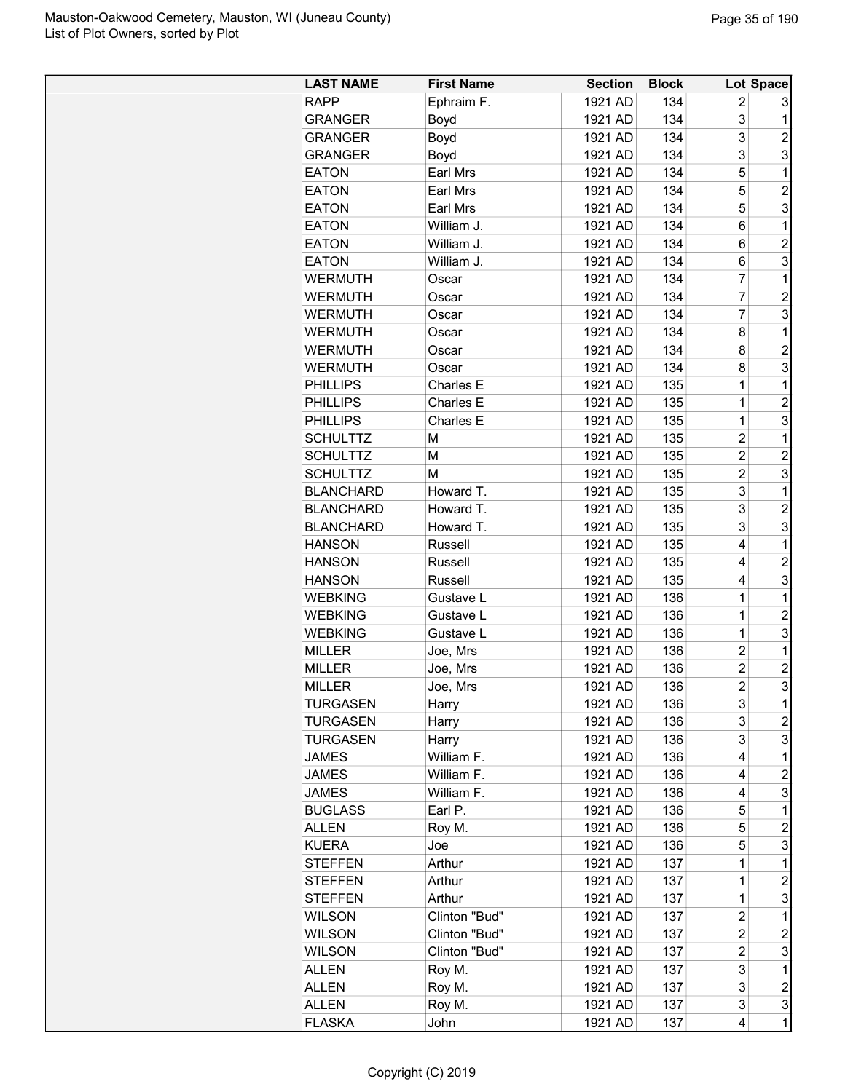| <b>LAST NAME</b> | <b>First Name</b> | <b>Section</b> | <b>Block</b> |                | Lot Space               |
|------------------|-------------------|----------------|--------------|----------------|-------------------------|
| <b>RAPP</b>      | Ephraim F.        | 1921 AD        | 134          | $\overline{c}$ | 3                       |
| <b>GRANGER</b>   | Boyd              | 1921 AD        | 134          | 3              | 1                       |
| <b>GRANGER</b>   | Boyd              | 1921 AD        | 134          | 3              | $\overline{2}$          |
| <b>GRANGER</b>   | Boyd              | 1921 AD        | 134          | 3              | 3                       |
| <b>EATON</b>     | Earl Mrs          | 1921 AD        | 134          | 5              | 1                       |
| <b>EATON</b>     | Earl Mrs          | 1921 AD        | 134          | 5              | $\overline{c}$          |
| <b>EATON</b>     | Earl Mrs          | 1921 AD        | 134          | 5              | 3                       |
| <b>EATON</b>     | William J.        | 1921 AD        | 134          | 6              | 1                       |
| <b>EATON</b>     | William J.        | 1921 AD        | 134          | 6              | $\overline{c}$          |
| <b>EATON</b>     | William J.        | 1921 AD        | 134          | 6              | 3                       |
| <b>WERMUTH</b>   | Oscar             | 1921 AD        | 134          | $\overline{7}$ | 1                       |
| <b>WERMUTH</b>   | Oscar             | 1921 AD        | 134          | $\overline{7}$ | $\overline{c}$          |
| <b>WERMUTH</b>   | Oscar             | 1921 AD        | 134          | $\overline{7}$ | 3                       |
| <b>WERMUTH</b>   | Oscar             | 1921 AD        | 134          | 8              | 1                       |
| <b>WERMUTH</b>   | Oscar             | 1921 AD        | 134          | 8              | $\overline{c}$          |
| <b>WERMUTH</b>   | Oscar             | 1921 AD        | 134          | 8              | 3                       |
| <b>PHILLIPS</b>  | Charles E         | 1921 AD        | 135          | 1              | 1                       |
| <b>PHILLIPS</b>  | Charles E         | 1921 AD        | 135          | $\mathbf 1$    | $\overline{c}$          |
| <b>PHILLIPS</b>  | Charles E         | 1921 AD        | 135          | $\mathbf 1$    | 3                       |
| <b>SCHULTTZ</b>  | M                 | 1921 AD        | 135          | $\overline{c}$ | 1                       |
| <b>SCHULTTZ</b>  | М                 | 1921 AD        | 135          | $\overline{2}$ | $\overline{c}$          |
| <b>SCHULTTZ</b>  | M                 | 1921 AD        | 135          | $\overline{c}$ | 3                       |
| <b>BLANCHARD</b> | Howard T.         | 1921 AD        | 135          | 3              | $\mathbf{1}$            |
| <b>BLANCHARD</b> | Howard T.         | 1921 AD        | 135          | 3              | $\overline{c}$          |
| <b>BLANCHARD</b> | Howard T.         | 1921 AD        | 135          | 3              | 3                       |
| <b>HANSON</b>    | Russell           | 1921 AD        | 135          | 4              | $\mathbf 1$             |
| <b>HANSON</b>    | Russell           | 1921 AD        | 135          | 4              | $\overline{c}$          |
| <b>HANSON</b>    | Russell           | 1921 AD        | 135          | 4              | 3                       |
| <b>WEBKING</b>   | Gustave L         | 1921 AD        | 136          | 1              | 1                       |
| <b>WEBKING</b>   | Gustave L         | 1921 AD        | 136          | 1              | $\overline{c}$          |
| <b>WEBKING</b>   | Gustave L         | 1921 AD        | 136          | 1              | 3                       |
| <b>MILLER</b>    | Joe, Mrs          | 1921 AD        | 136          | $\overline{c}$ | 1                       |
| <b>MILLER</b>    | Joe, Mrs          | 1921 AD        | 136          | $\overline{c}$ | $\overline{c}$          |
| <b>MILLER</b>    | Joe, Mrs          | 1921 AD        | 136          | $\overline{2}$ | 3                       |
| <b>TURGASEN</b>  | Harry             | 1921 AD        | 136          | 3              | 1                       |
| <b>TURGASEN</b>  | Harry             | 1921 AD        | 136          | 3              | 2                       |
| <b>TURGASEN</b>  | Harry             | 1921 AD        | 136          | 3              | 3                       |
| <b>JAMES</b>     | William F.        | 1921 AD        | 136          | 4              | 1                       |
| <b>JAMES</b>     | William F.        | 1921 AD        | 136          | 4              | $\overline{\mathbf{c}}$ |
| <b>JAMES</b>     | William F.        | 1921 AD        | 136          | 4              | 3                       |
| <b>BUGLASS</b>   | Earl P.           | 1921 AD        | 136          | 5              | 1                       |
| <b>ALLEN</b>     | Roy M.            | 1921 AD        | 136          | 5              | $\overline{c}$          |
| <b>KUERA</b>     | Joe               | 1921 AD        | 136          | 5              | 3                       |
| <b>STEFFEN</b>   | Arthur            | 1921 AD        | 137          | 1              | $\mathbf 1$             |
| <b>STEFFEN</b>   | Arthur            | 1921 AD        | 137          | $\mathbf 1$    | $\overline{c}$          |
| <b>STEFFEN</b>   | Arthur            | 1921 AD        | 137          | $\mathbf 1$    | 3                       |
| <b>WILSON</b>    | Clinton "Bud"     | 1921 AD        | 137          | $\overline{c}$ | 1                       |
| <b>WILSON</b>    | Clinton "Bud"     | 1921 AD        | 137          | $\overline{c}$ | $\overline{c}$          |
| <b>WILSON</b>    | Clinton "Bud"     | 1921 AD        | 137          | $\overline{c}$ | 3                       |
| <b>ALLEN</b>     | Roy M.            | 1921 AD        | 137          | 3              | 1                       |
| <b>ALLEN</b>     | Roy M.            | 1921 AD        | 137          | 3              | $\overline{\mathbf{c}}$ |
| <b>ALLEN</b>     | Roy M.            | 1921 AD        | 137          | 3              | 3                       |
| <b>FLASKA</b>    | John              | 1921 AD        | 137          | 4              | $\overline{1}$          |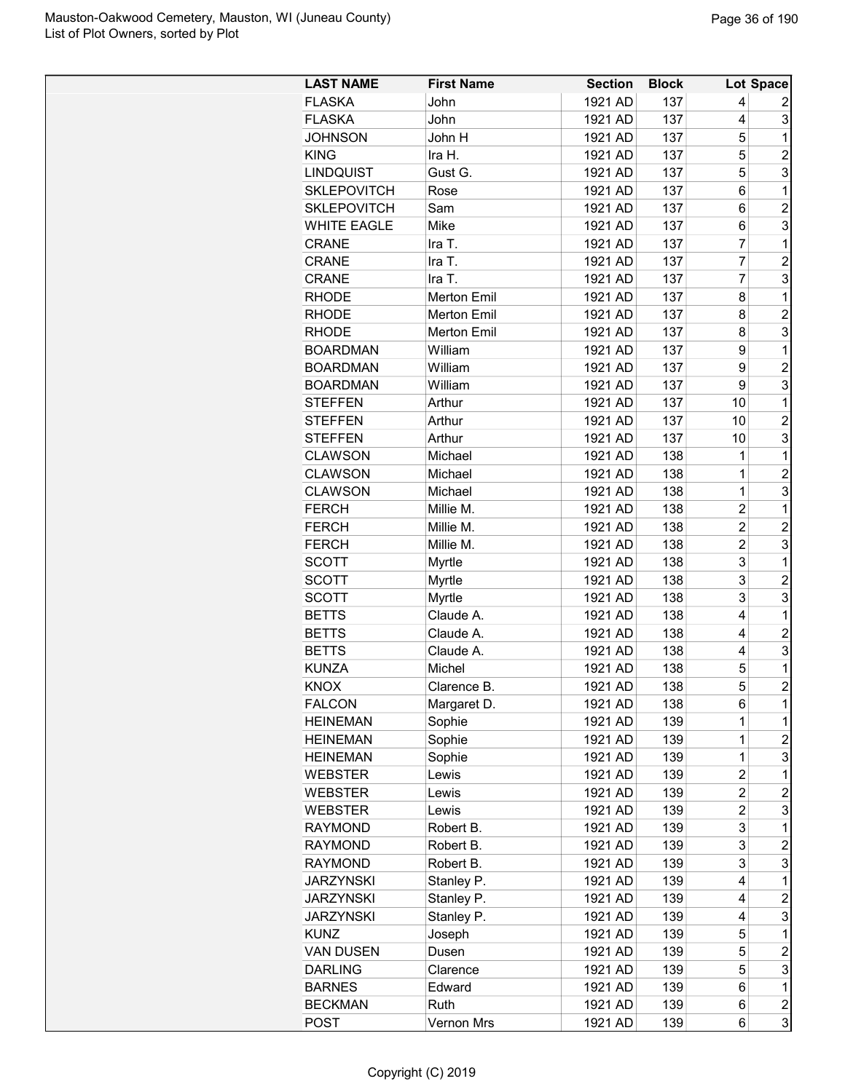| <b>LAST NAME</b>   | <b>First Name</b>  | <b>Section</b> | <b>Block</b> |                | Lot Space               |
|--------------------|--------------------|----------------|--------------|----------------|-------------------------|
| <b>FLASKA</b>      | John               | 1921 AD        | 137          | 4              | 2                       |
| <b>FLASKA</b>      | John               | 1921 AD        | 137          | 4              | 3                       |
| <b>JOHNSON</b>     | John H             | 1921 AD        | 137          | 5              | 1                       |
| <b>KING</b>        | Ira H.             | 1921 AD        | 137          | 5              | $\overline{c}$          |
| <b>LINDQUIST</b>   | Gust G.            | 1921 AD        | 137          | 5              | 3                       |
| <b>SKLEPOVITCH</b> | Rose               | 1921 AD        | 137          | 6              | 1                       |
| <b>SKLEPOVITCH</b> | Sam                | 1921 AD        | 137          | 6              | $\overline{c}$          |
| <b>WHITE EAGLE</b> | Mike               | 1921 AD        | 137          | 6              | 3                       |
| <b>CRANE</b>       | Ira T.             | 1921 AD        | 137          | 7              | 1                       |
| <b>CRANE</b>       | Ira T.             | 1921 AD        | 137          | 7              | $\overline{2}$          |
| <b>CRANE</b>       | Ira T.             | 1921 AD        | 137          | 7              | 3                       |
| <b>RHODE</b>       | <b>Merton Emil</b> | 1921 AD        | 137          | 8              | 1                       |
| <b>RHODE</b>       | <b>Merton Emil</b> | 1921 AD        | 137          | 8              | $\overline{c}$          |
| <b>RHODE</b>       | <b>Merton Emil</b> | 1921 AD        | 137          | 8              | 3                       |
| <b>BOARDMAN</b>    | William            | 1921 AD        | 137          | 9              | 1                       |
| <b>BOARDMAN</b>    | William            | 1921 AD        | 137          | 9              | $\overline{2}$          |
| <b>BOARDMAN</b>    | William            | 1921 AD        | 137          | 9              | 3                       |
| <b>STEFFEN</b>     | Arthur             | 1921 AD        | 137          | 10             | 1                       |
| <b>STEFFEN</b>     | Arthur             | 1921 AD        | 137          | 10             | $\overline{2}$          |
| <b>STEFFEN</b>     | Arthur             | 1921 AD        | 137          | 10             | 3                       |
| <b>CLAWSON</b>     | Michael            | 1921 AD        | 138          | 1              | 1                       |
| <b>CLAWSON</b>     |                    | 1921 AD        | 138          | $\mathbf{1}$   | $\overline{2}$          |
|                    | Michael            |                |              | $\mathbf{1}$   |                         |
| <b>CLAWSON</b>     | Michael            | 1921 AD        | 138          | $\overline{2}$ | 3                       |
| <b>FERCH</b>       | Millie M.          | 1921 AD        | 138          | $\overline{2}$ | 1                       |
| <b>FERCH</b>       | Millie M.          | 1921 AD        | 138          | $\overline{c}$ | $\overline{2}$<br>3     |
| <b>FERCH</b>       | Millie M.          | 1921 AD        | 138          |                |                         |
| <b>SCOTT</b>       | Myrtle             | 1921 AD        | 138          | 3              | 1                       |
| <b>SCOTT</b>       | <b>Myrtle</b>      | 1921 AD        | 138          | 3              | $\overline{c}$          |
| <b>SCOTT</b>       | <b>Myrtle</b>      | 1921 AD        | 138          | 3              | 3                       |
| <b>BETTS</b>       | Claude A.          | 1921 AD        | 138          | 4              | 1                       |
| <b>BETTS</b>       | Claude A.          | 1921 AD        | 138          | 4              | $\overline{2}$          |
| <b>BETTS</b>       | Claude A.          | 1921 AD        | 138          | 4              | 3                       |
| <b>KUNZA</b>       | Michel             | 1921 AD        | 138          | 5              | 1                       |
| <b>KNOX</b>        | Clarence B.        | 1921 AD        | 138          | 5              | $\overline{2}$          |
| <b>FALCON</b>      | Margaret D.        | 1921 AD        | 138          | 6              | 1                       |
| <b>HEINEMAN</b>    | Sophie             | 1921 AD        | 139          | 1              | 1                       |
| <b>HEINEMAN</b>    | Sophie             | 1921 AD        | 139          | $\mathbf 1$    | $\overline{c}$          |
| <b>HEINEMAN</b>    | Sophie             | 1921 AD        | 139          | 1              | 3                       |
| <b>WEBSTER</b>     | Lewis              | 1921 AD        | 139          | 2              | 1                       |
| <b>WEBSTER</b>     | Lewis              | 1921 AD        | 139          | 2              | $\overline{c}$          |
| <b>WEBSTER</b>     | Lewis              | 1921 AD        | 139          | 2              | 3                       |
| <b>RAYMOND</b>     | Robert B.          | 1921 AD        | 139          | 3              | 1                       |
| <b>RAYMOND</b>     | Robert B.          | 1921 AD        | 139          | 3              | $\overline{c}$          |
| <b>RAYMOND</b>     | Robert B.          | 1921 AD        | 139          | 3              | 3                       |
| <b>JARZYNSKI</b>   | Stanley P.         | 1921 AD        | 139          | 4              | 1                       |
| <b>JARZYNSKI</b>   | Stanley P.         | 1921 AD        | 139          | 4              | $\overline{c}$          |
| <b>JARZYNSKI</b>   | Stanley P.         | 1921 AD        | 139          | 4              | 3                       |
| <b>KUNZ</b>        | Joseph             | 1921 AD        | 139          | 5              | 1                       |
| <b>VAN DUSEN</b>   | Dusen              | 1921 AD        | 139          | 5              | $\overline{c}$          |
| <b>DARLING</b>     | Clarence           | 1921 AD        | 139          | 5              | 3                       |
| <b>BARNES</b>      | Edward             | 1921 AD        | 139          | 6              | 1                       |
| <b>BECKMAN</b>     | Ruth               | 1921 AD        | 139          | 6              | $\overline{\mathbf{c}}$ |
| <b>POST</b>        | Vernon Mrs         | 1921 AD        | 139          | 6              | 3                       |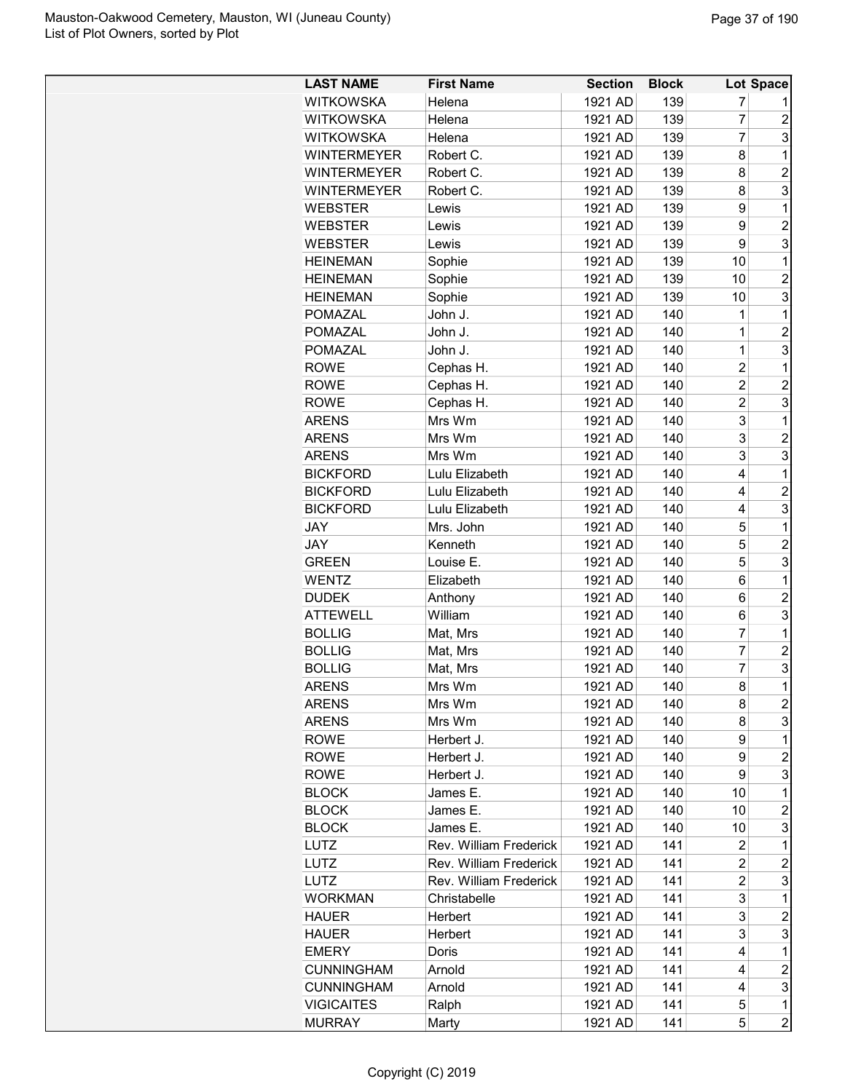| <b>WITKOWSKA</b><br>1921 AD<br>139<br>7<br>Helena<br>7<br><b>WITKOWSKA</b><br>1921 AD<br>139<br>Helena<br>$\overline{7}$<br><b>WITKOWSKA</b><br>1921 AD<br>139<br>Helena<br><b>WINTERMEYER</b><br>Robert C.<br>1921 AD<br>139<br>8<br><b>WINTERMEYER</b><br>Robert C.<br>139<br>8<br>1921 AD<br><b>WINTERMEYER</b><br>Robert C.<br>1921 AD<br>139<br>8<br>1921 AD<br><b>WEBSTER</b><br>139<br>9<br>Lewis<br><b>WEBSTER</b><br>1921 AD<br>139<br>9<br>Lewis<br>9<br>1921 AD<br>139<br><b>WEBSTER</b><br>Lewis<br>1921 AD<br>139<br>10<br><b>HEINEMAN</b><br>Sophie | $\overline{c}$<br>3<br>1<br>$\overline{2}$<br>3<br>1<br>$\overline{c}$<br>3<br>1<br>$\overline{2}$<br>3<br>1<br>$\overline{c}$<br>3<br>1<br>$\overline{c}$ |
|-------------------------------------------------------------------------------------------------------------------------------------------------------------------------------------------------------------------------------------------------------------------------------------------------------------------------------------------------------------------------------------------------------------------------------------------------------------------------------------------------------------------------------------------------------------------|------------------------------------------------------------------------------------------------------------------------------------------------------------|
|                                                                                                                                                                                                                                                                                                                                                                                                                                                                                                                                                                   |                                                                                                                                                            |
|                                                                                                                                                                                                                                                                                                                                                                                                                                                                                                                                                                   |                                                                                                                                                            |
|                                                                                                                                                                                                                                                                                                                                                                                                                                                                                                                                                                   |                                                                                                                                                            |
|                                                                                                                                                                                                                                                                                                                                                                                                                                                                                                                                                                   |                                                                                                                                                            |
|                                                                                                                                                                                                                                                                                                                                                                                                                                                                                                                                                                   |                                                                                                                                                            |
|                                                                                                                                                                                                                                                                                                                                                                                                                                                                                                                                                                   |                                                                                                                                                            |
|                                                                                                                                                                                                                                                                                                                                                                                                                                                                                                                                                                   |                                                                                                                                                            |
|                                                                                                                                                                                                                                                                                                                                                                                                                                                                                                                                                                   |                                                                                                                                                            |
|                                                                                                                                                                                                                                                                                                                                                                                                                                                                                                                                                                   |                                                                                                                                                            |
|                                                                                                                                                                                                                                                                                                                                                                                                                                                                                                                                                                   |                                                                                                                                                            |
| <b>HEINEMAN</b><br>Sophie<br>1921 AD<br>139<br>10                                                                                                                                                                                                                                                                                                                                                                                                                                                                                                                 |                                                                                                                                                            |
| 139<br><b>HEINEMAN</b><br>Sophie<br>1921 AD<br>10                                                                                                                                                                                                                                                                                                                                                                                                                                                                                                                 |                                                                                                                                                            |
| John J.<br>1921 AD<br>140<br>$\mathbf 1$<br>POMAZAL                                                                                                                                                                                                                                                                                                                                                                                                                                                                                                               |                                                                                                                                                            |
| 140<br><b>POMAZAL</b><br>John J.<br>1921 AD<br>1                                                                                                                                                                                                                                                                                                                                                                                                                                                                                                                  |                                                                                                                                                            |
| $\overline{1}$<br>1921 AD<br>140<br><b>POMAZAL</b><br>John J.                                                                                                                                                                                                                                                                                                                                                                                                                                                                                                     |                                                                                                                                                            |
| $\overline{2}$<br>Cephas H.<br>1921 AD<br>140<br><b>ROWE</b>                                                                                                                                                                                                                                                                                                                                                                                                                                                                                                      |                                                                                                                                                            |
| $\overline{2}$<br>Cephas H.<br>140<br><b>ROWE</b><br>1921 AD                                                                                                                                                                                                                                                                                                                                                                                                                                                                                                      |                                                                                                                                                            |
| $\overline{2}$<br><b>ROWE</b><br>Cephas H.<br>1921 AD<br>140                                                                                                                                                                                                                                                                                                                                                                                                                                                                                                      | 3                                                                                                                                                          |
| 3<br><b>ARENS</b><br>Mrs Wm<br>1921 AD<br>140                                                                                                                                                                                                                                                                                                                                                                                                                                                                                                                     | 1                                                                                                                                                          |
| 3<br><b>ARENS</b><br>1921 AD<br>140<br>Mrs Wm                                                                                                                                                                                                                                                                                                                                                                                                                                                                                                                     | $\overline{2}$                                                                                                                                             |
| 3<br><b>ARENS</b><br>Mrs Wm<br>1921 AD<br>140                                                                                                                                                                                                                                                                                                                                                                                                                                                                                                                     | 3                                                                                                                                                          |
| 140<br><b>BICKFORD</b><br>Lulu Elizabeth<br>1921 AD<br>4                                                                                                                                                                                                                                                                                                                                                                                                                                                                                                          | 1                                                                                                                                                          |
| <b>BICKFORD</b><br>Lulu Elizabeth<br>1921 AD<br>140<br>4                                                                                                                                                                                                                                                                                                                                                                                                                                                                                                          | $\overline{c}$                                                                                                                                             |
| <b>BICKFORD</b><br>Lulu Elizabeth<br>1921 AD<br>140<br>4                                                                                                                                                                                                                                                                                                                                                                                                                                                                                                          | 3                                                                                                                                                          |
| Mrs. John<br>140<br>5<br>JAY<br>1921 AD                                                                                                                                                                                                                                                                                                                                                                                                                                                                                                                           | 1                                                                                                                                                          |
| Kenneth<br>140<br>5<br>JAY<br>1921 AD                                                                                                                                                                                                                                                                                                                                                                                                                                                                                                                             | $\overline{2}$                                                                                                                                             |
| <b>GREEN</b><br>Louise E.<br>1921 AD<br>140<br>5                                                                                                                                                                                                                                                                                                                                                                                                                                                                                                                  | 3                                                                                                                                                          |
| <b>WENTZ</b><br>Elizabeth<br>1921 AD<br>140<br>6                                                                                                                                                                                                                                                                                                                                                                                                                                                                                                                  | 1                                                                                                                                                          |
| 1921 AD<br>140<br>6<br><b>DUDEK</b><br>Anthony                                                                                                                                                                                                                                                                                                                                                                                                                                                                                                                    | $\overline{2}$                                                                                                                                             |
| <b>ATTEWELL</b><br>William<br>1921 AD<br>140<br>6                                                                                                                                                                                                                                                                                                                                                                                                                                                                                                                 | 3                                                                                                                                                          |
| 7<br>1921 AD<br>140<br><b>BOLLIG</b><br>Mat, Mrs                                                                                                                                                                                                                                                                                                                                                                                                                                                                                                                  | 1                                                                                                                                                          |
| $\overline{7}$<br><b>BOLLIG</b><br>140<br>Mat, Mrs<br>1921 AD                                                                                                                                                                                                                                                                                                                                                                                                                                                                                                     | $\overline{c}$                                                                                                                                             |
| $\overline{7}$<br><b>BOLLIG</b><br>140<br>Mat, Mrs<br>1921 AD                                                                                                                                                                                                                                                                                                                                                                                                                                                                                                     | 3                                                                                                                                                          |
| 1921 AD<br>140<br>8<br>ARENS<br>Mrs Wm                                                                                                                                                                                                                                                                                                                                                                                                                                                                                                                            | $\overline{1}$                                                                                                                                             |
| Mrs Wm<br>1921 AD<br>140<br><b>ARENS</b><br>8                                                                                                                                                                                                                                                                                                                                                                                                                                                                                                                     | $\overline{c}$                                                                                                                                             |
| 140<br><b>ARENS</b><br>Mrs Wm<br>1921 AD<br>8                                                                                                                                                                                                                                                                                                                                                                                                                                                                                                                     | 3                                                                                                                                                          |
| 9<br><b>ROWE</b><br>Herbert J.<br>1921 AD<br>140                                                                                                                                                                                                                                                                                                                                                                                                                                                                                                                  | 1                                                                                                                                                          |
| <b>ROWE</b><br>Herbert J.<br>1921 AD<br>140<br>9                                                                                                                                                                                                                                                                                                                                                                                                                                                                                                                  | $\overline{c}$                                                                                                                                             |
| 140<br>ROWE<br>Herbert J.<br>1921 AD<br>9                                                                                                                                                                                                                                                                                                                                                                                                                                                                                                                         | 3                                                                                                                                                          |
| <b>BLOCK</b><br>James E.<br>1921 AD<br>140<br>10                                                                                                                                                                                                                                                                                                                                                                                                                                                                                                                  | 1                                                                                                                                                          |
| <b>BLOCK</b><br>James E.<br>1921 AD<br>140<br>10                                                                                                                                                                                                                                                                                                                                                                                                                                                                                                                  | $\overline{c}$                                                                                                                                             |
| <b>BLOCK</b><br>James E.<br>1921 AD<br>140<br>10                                                                                                                                                                                                                                                                                                                                                                                                                                                                                                                  | 3                                                                                                                                                          |
| Rev. William Frederick<br>1921 AD<br>141<br>$\overline{2}$<br><b>LUTZ</b>                                                                                                                                                                                                                                                                                                                                                                                                                                                                                         | 1                                                                                                                                                          |
| $\overline{c}$<br>Rev. William Frederick<br>LUTZ<br>1921 AD<br>141                                                                                                                                                                                                                                                                                                                                                                                                                                                                                                | $\overline{\mathbf{c}}$                                                                                                                                    |
| $\overline{2}$<br>141<br><b>LUTZ</b><br>Rev. William Frederick<br>1921 AD                                                                                                                                                                                                                                                                                                                                                                                                                                                                                         | 3                                                                                                                                                          |
| 3<br>141<br><b>WORKMAN</b><br>Christabelle<br>1921 AD                                                                                                                                                                                                                                                                                                                                                                                                                                                                                                             | 1                                                                                                                                                          |
| 3<br>1921 AD<br>141<br><b>HAUER</b><br>Herbert                                                                                                                                                                                                                                                                                                                                                                                                                                                                                                                    | 2                                                                                                                                                          |
| 1921 AD<br>3<br><b>HAUER</b><br>Herbert<br>141                                                                                                                                                                                                                                                                                                                                                                                                                                                                                                                    | 3                                                                                                                                                          |
| 141<br><b>EMERY</b><br>Doris<br>1921 AD<br>4                                                                                                                                                                                                                                                                                                                                                                                                                                                                                                                      | 1                                                                                                                                                          |
| 1921 AD<br>141<br><b>CUNNINGHAM</b><br>Arnold<br>4                                                                                                                                                                                                                                                                                                                                                                                                                                                                                                                | $\boldsymbol{2}$                                                                                                                                           |
| 141<br><b>CUNNINGHAM</b><br>Arnold<br>1921 AD<br>4                                                                                                                                                                                                                                                                                                                                                                                                                                                                                                                | 3                                                                                                                                                          |
| 1921 AD<br>141<br><b>VIGICAITES</b><br>5<br>Ralph                                                                                                                                                                                                                                                                                                                                                                                                                                                                                                                 | $\mathbf 1$                                                                                                                                                |
| 1921 AD<br>141<br>5<br><b>MURRAY</b><br>Marty                                                                                                                                                                                                                                                                                                                                                                                                                                                                                                                     | $\overline{c}$                                                                                                                                             |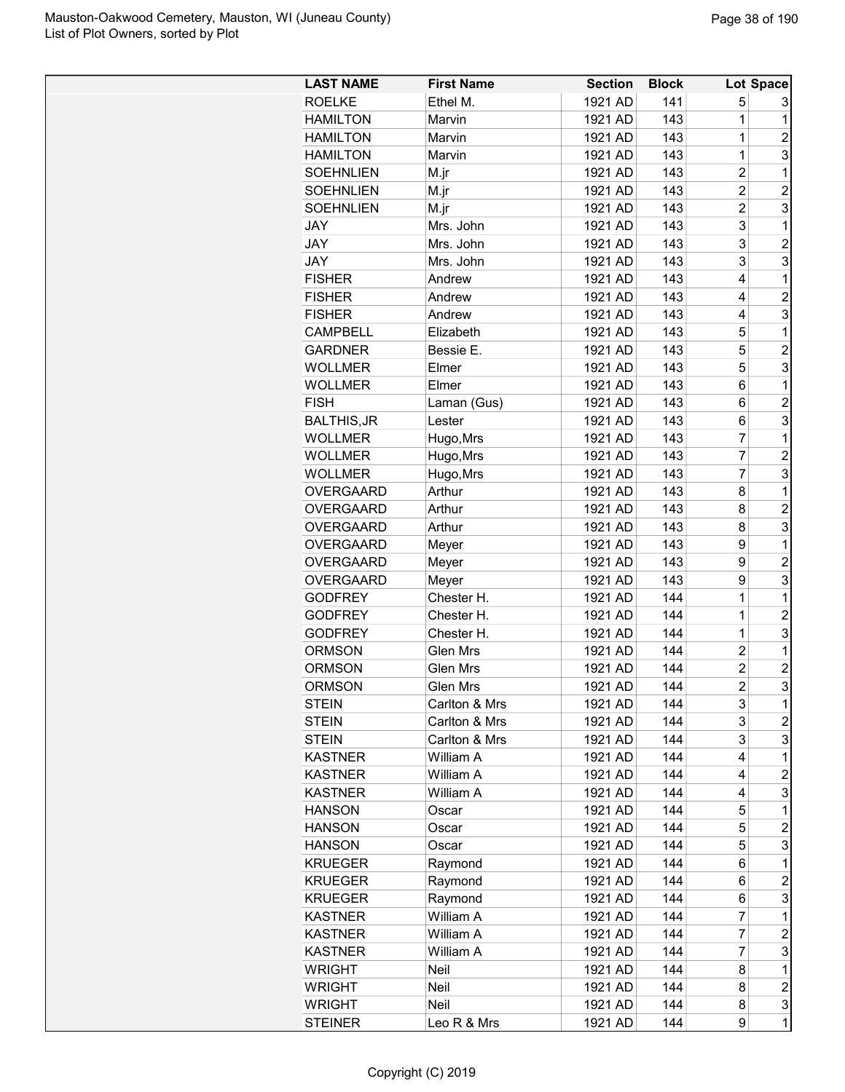| <b>LAST NAME</b>               | <b>First Name</b> | <b>Section</b>     | <b>Block</b> |                                  | Lot Space               |
|--------------------------------|-------------------|--------------------|--------------|----------------------------------|-------------------------|
| <b>ROELKE</b>                  | Ethel M.          | 1921 AD            | 141          | 5                                | 3                       |
| <b>HAMILTON</b>                | Marvin            | 1921 AD            | 143          | 1                                | 1                       |
| <b>HAMILTON</b>                | Marvin            | 1921 AD            | 143          | $\mathbf 1$                      | $\overline{c}$          |
| <b>HAMILTON</b>                | Marvin            | 1921 AD            | 143          | $\mathbf 1$                      | 3                       |
| <b>SOEHNLIEN</b>               | M.jr              | 1921 AD            | 143          | $\overline{c}$                   | 1                       |
| <b>SOEHNLIEN</b>               | M.jr              | 1921 AD            | 143          | $\overline{2}$                   | $\overline{2}$          |
| <b>SOEHNLIEN</b>               | M.jr              | 1921 AD            | 143          | $\overline{c}$                   | 3                       |
| <b>JAY</b>                     | Mrs. John         | 1921 AD            | 143          | 3                                | 1                       |
| <b>JAY</b>                     | Mrs. John         | 1921 AD            | 143          | 3                                | $\overline{2}$          |
| <b>JAY</b>                     | Mrs. John         | 1921 AD            | 143          | 3                                | 3                       |
| <b>FISHER</b>                  | Andrew            | 1921 AD            | 143          | 4                                | 1                       |
| <b>FISHER</b>                  | Andrew            | 1921 AD            | 143          | 4                                | $\overline{2}$          |
| <b>FISHER</b>                  | Andrew            | 1921 AD            | 143          | 4                                | 3                       |
| <b>CAMPBELL</b>                | Elizabeth         | 1921 AD            | 143          | 5                                | 1                       |
| <b>GARDNER</b>                 | Bessie E.         | 1921 AD            | 143          | 5                                | $\overline{2}$          |
| <b>WOLLMER</b>                 | Elmer             | 1921 AD            | 143          | 5                                | 3                       |
| <b>WOLLMER</b>                 | Elmer             | 1921 AD            | 143          | 6                                | 1                       |
| <b>FISH</b>                    | Laman (Gus)       | 1921 AD            | 143          | 6                                | $\overline{2}$          |
| <b>BALTHIS, JR</b>             | Lester            | 1921 AD            | 143          | 6                                | 3                       |
| <b>WOLLMER</b>                 | Hugo, Mrs         | 1921 AD            | 143          | 7                                | 1                       |
| <b>WOLLMER</b>                 | Hugo, Mrs         | 1921 AD            | 143          | $\overline{7}$                   | $\overline{c}$          |
| <b>WOLLMER</b>                 | Hugo, Mrs         | 1921 AD            | 143          | 7                                | 3                       |
| <b>OVERGAARD</b>               | Arthur            | 1921 AD            | 143          | 8                                | 1                       |
| <b>OVERGAARD</b>               | Arthur            | 1921 AD            | 143          | 8                                | $\overline{2}$          |
|                                |                   |                    | 143          | 8                                | 3                       |
| <b>OVERGAARD</b>               | Arthur            | 1921 AD            | 143          |                                  | 1                       |
| <b>OVERGAARD</b>               | Meyer             | 1921 AD            |              | 9                                | $\overline{2}$          |
| <b>OVERGAARD</b>               | Meyer             | 1921 AD            | 143          | 9                                |                         |
| <b>OVERGAARD</b>               | Meyer             | 1921 AD            | 143          | 9                                | 3                       |
| <b>GODFREY</b>                 | Chester H.        | 1921 AD            | 144          | 1<br>$\mathbf 1$                 | 1                       |
| <b>GODFREY</b>                 | Chester H.        | 1921 AD            | 144          |                                  | $\overline{c}$          |
| <b>GODFREY</b>                 | Chester H.        | 1921 AD            | 144          | $\mathbf 1$                      | 3                       |
| <b>ORMSON</b>                  | Glen Mrs          | 1921 AD            | 144<br>144   | $\overline{c}$<br>$\overline{c}$ | 1                       |
| <b>ORMSON</b><br><b>ORMSON</b> | <b>Glen Mrs</b>   | 1921 AD<br>1921 AD |              | $\overline{2}$                   | $\overline{c}$<br>3     |
|                                | <b>Glen Mrs</b>   |                    | 144          |                                  |                         |
| <b>STEIN</b>                   | Carlton & Mrs     | 1921 AD            | 144          | 3                                | 1                       |
| <b>STEIN</b>                   | Carlton & Mrs     | 1921 AD            | 144          | 3                                | $\overline{c}$          |
| <b>STEIN</b>                   | Carlton & Mrs     | 1921 AD            | 144          | 3                                | 3                       |
| <b>KASTNER</b>                 | William A         | 1921 AD            | 144          | 4                                | 1                       |
| <b>KASTNER</b>                 | William A         | 1921 AD            | 144          | 4                                | $\overline{c}$          |
| <b>KASTNER</b>                 | William A         | 1921 AD            | 144          | 4                                | 3                       |
| <b>HANSON</b>                  | Oscar             | 1921 AD            | 144          | 5                                | 1                       |
| <b>HANSON</b>                  | Oscar             | 1921 AD            | 144          | 5                                | $\overline{c}$          |
| <b>HANSON</b>                  | Oscar             | 1921 AD            | 144          | 5                                | 3                       |
| <b>KRUEGER</b>                 | Raymond           | 1921 AD            | 144          | 6                                | 1                       |
| <b>KRUEGER</b>                 | Raymond           | 1921 AD            | 144          | 6                                | $\overline{\mathbf{c}}$ |
| <b>KRUEGER</b>                 | Raymond           | 1921 AD            | 144          | 6                                | 3                       |
| KASTNER                        | William A         | 1921 AD            | 144          | 7                                | 1                       |
| <b>KASTNER</b>                 | William A         | 1921 AD            | 144          | 7                                | $\overline{c}$          |
| <b>KASTNER</b>                 | William A         | 1921 AD            | 144          | 7                                | 3                       |
| <b>WRIGHT</b>                  | Neil              | 1921 AD            | 144          | 8                                | 1                       |
| WRIGHT                         | Neil              | 1921 AD            | 144          | 8                                | $\overline{c}$          |
| <b>WRIGHT</b>                  | Neil              | 1921 AD            | 144          | 8                                | 3                       |
| <b>STEINER</b>                 | Leo R & Mrs       | 1921 AD            | 144          | 9                                | 1                       |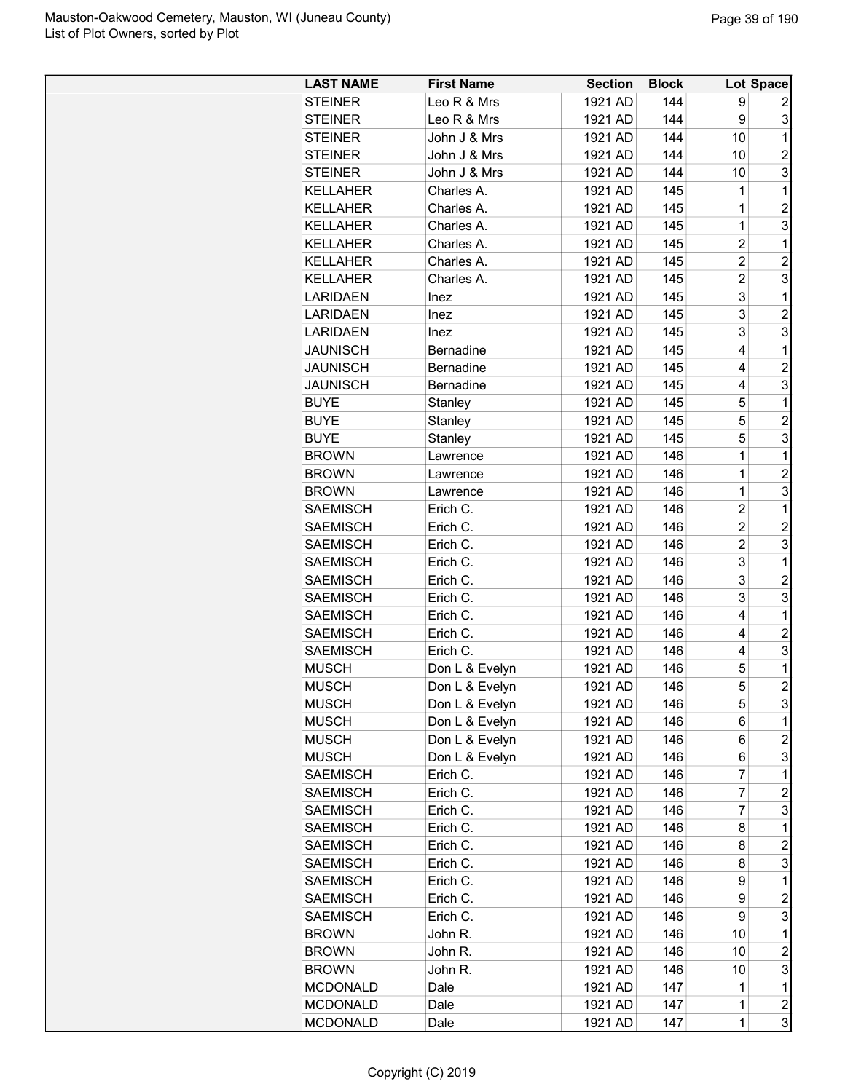| <b>LAST NAME</b> | <b>First Name</b> | <b>Section</b> | <b>Block</b> |                | Lot Space               |
|------------------|-------------------|----------------|--------------|----------------|-------------------------|
| <b>STEINER</b>   | Leo R & Mrs       | 1921 AD        | 144          | 9              | 2                       |
| <b>STEINER</b>   | Leo R & Mrs       | 1921 AD        | 144          | 9              | 3                       |
| <b>STEINER</b>   | John J & Mrs      | 1921 AD        | 144          | 10             | 1                       |
| <b>STEINER</b>   | John J & Mrs      | 1921 AD        | 144          | 10             | $\overline{2}$          |
| <b>STEINER</b>   | John J & Mrs      | 1921 AD        | 144          | 10             | 3                       |
| <b>KELLAHER</b>  | Charles A.        | 1921 AD        | 145          | 1              | 1                       |
| <b>KELLAHER</b>  | Charles A.        | 1921 AD        | 145          | 1              | $\overline{c}$          |
| <b>KELLAHER</b>  | Charles A.        | 1921 AD        | 145          | $\mathbf 1$    | 3                       |
| <b>KELLAHER</b>  | Charles A.        | 1921 AD        | 145          | $\overline{2}$ | 1                       |
| <b>KELLAHER</b>  | Charles A.        | 1921 AD        | 145          | $\overline{2}$ | $\overline{c}$          |
| <b>KELLAHER</b>  | Charles A.        | 1921 AD        | 145          | $\overline{c}$ | 3                       |
| <b>LARIDAEN</b>  | Inez              | 1921 AD        | 145          | 3              | 1                       |
| <b>LARIDAEN</b>  | Inez              | 1921 AD        | 145          | 3              | $\overline{2}$          |
| <b>LARIDAEN</b>  | Inez              | 1921 AD        | 145          | 3              | 3                       |
| <b>JAUNISCH</b>  | Bernadine         | 1921 AD        | 145          | 4              | 1                       |
| <b>JAUNISCH</b>  | <b>Bernadine</b>  | 1921 AD        | 145          | 4              | $\overline{c}$          |
| <b>JAUNISCH</b>  | <b>Bernadine</b>  | 1921 AD        | 145          | 4              | 3                       |
| <b>BUYE</b>      | Stanley           | 1921 AD        | 145          | 5              | 1                       |
| <b>BUYE</b>      |                   |                |              | 5              | $\overline{2}$          |
|                  | Stanley           | 1921 AD        | 145          |                |                         |
| <b>BUYE</b>      | Stanley           | 1921 AD        | 145          | 5              | 3                       |
| <b>BROWN</b>     | Lawrence          | 1921 AD        | 146          | 1              | 1                       |
| <b>BROWN</b>     | Lawrence          | 1921 AD        | 146          | $\overline{1}$ | $\overline{2}$          |
| <b>BROWN</b>     | Lawrence          | 1921 AD        | 146          | $\mathbf 1$    | 3                       |
| <b>SAEMISCH</b>  | Erich C.          | 1921 AD        | 146          | $\overline{2}$ | 1                       |
| <b>SAEMISCH</b>  | Erich C.          | 1921 AD        | 146          | $\overline{c}$ | $\overline{c}$          |
| <b>SAEMISCH</b>  | Erich C.          | 1921 AD        | 146          | $\overline{c}$ | 3                       |
| <b>SAEMISCH</b>  | Erich C.          | 1921 AD        | 146          | 3              | 1                       |
| <b>SAEMISCH</b>  | Erich C.          | 1921 AD        | 146          | 3              | $\overline{c}$          |
| <b>SAEMISCH</b>  | Erich C.          | 1921 AD        | 146          | 3              | 3                       |
| <b>SAEMISCH</b>  | Erich C.          | 1921 AD        | 146          | 4              | 1                       |
| <b>SAEMISCH</b>  | Erich C.          | 1921 AD        | 146          | 4              | $\overline{c}$          |
| <b>SAEMISCH</b>  | Erich C.          | 1921 AD        | 146          | 4              | 3                       |
| <b>MUSCH</b>     | Don L & Evelyn    | 1921 AD        | 146          | 5              | 1                       |
| <b>MUSCH</b>     | Don L & Evelyn    | 1921 AD        | 146          | 5              | $\overline{2}$          |
| <b>MUSCH</b>     | Don L & Evelyn    | 1921 AD        | 146          | 5              | 3                       |
| <b>MUSCH</b>     | Don L & Evelyn    | 1921 AD        | 146          | 6              | 1                       |
| <b>MUSCH</b>     | Don L & Evelyn    | 1921 AD        | 146          | 6              | $\overline{c}$          |
| <b>MUSCH</b>     | Don L & Evelyn    | 1921 AD        | 146          | 6              | 3                       |
| <b>SAEMISCH</b>  | Erich C.          | 1921 AD        | 146          | 7              | 1                       |
| <b>SAEMISCH</b>  | Erich C.          | 1921 AD        | 146          | 7              | $\boldsymbol{2}$        |
| <b>SAEMISCH</b>  | Erich C.          | 1921 AD        | 146          | 7              | 3                       |
| <b>SAEMISCH</b>  | Erich C.          | 1921 AD        | 146          | 8              | 1                       |
| <b>SAEMISCH</b>  | Erich C.          | 1921 AD        | 146          | 8              | $\overline{c}$          |
| <b>SAEMISCH</b>  | Erich C.          | 1921 AD        | 146          | 8              | 3                       |
| <b>SAEMISCH</b>  | Erich C.          | 1921 AD        | 146          | 9              | 1                       |
| <b>SAEMISCH</b>  | Erich C.          | 1921 AD        | 146          | 9              | $\overline{c}$          |
| <b>SAEMISCH</b>  | Erich C.          | 1921 AD        | 146          | 9              | 3                       |
| <b>BROWN</b>     | John R.           | 1921 AD        | 146          | 10             | 1                       |
| <b>BROWN</b>     | John R.           | 1921 AD        | 146          | 10             | $\overline{\mathbf{c}}$ |
| <b>BROWN</b>     | John R.           | 1921 AD        | 146          | 10             | 3                       |
| <b>MCDONALD</b>  | Dale              | 1921 AD        | 147          | 1              | 1                       |
| <b>MCDONALD</b>  | Dale              | 1921 AD        | 147          | $\mathbf 1$    | $\boldsymbol{2}$        |
| <b>MCDONALD</b>  | Dale              | 1921 AD        | 147          | $\mathbf 1$    | 3                       |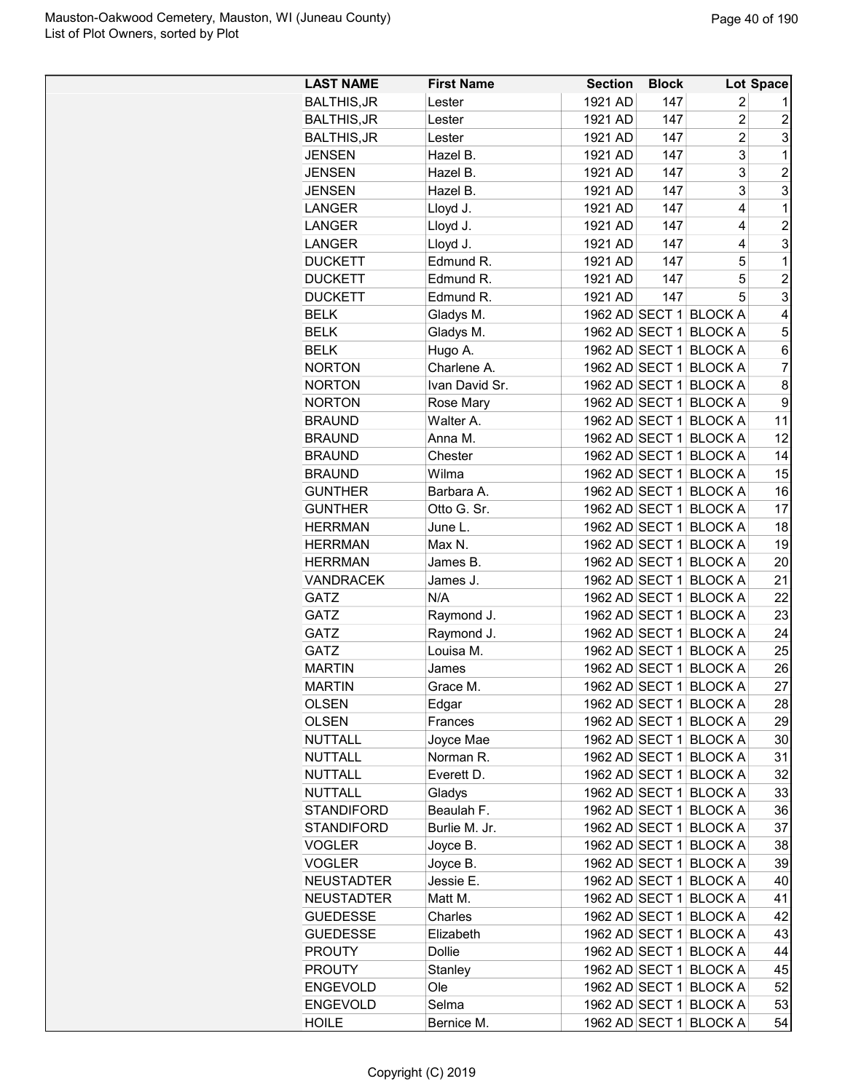| 1921 AD<br><b>BALTHIS, JR</b><br>147<br>2<br>Lester<br>1<br>$\overline{2}$<br><b>BALTHIS, JR</b><br>1921 AD<br>147<br>$\overline{c}$<br>Lester<br>3<br>$\overline{2}$<br>147<br><b>BALTHIS, JR</b><br>1921 AD<br>Lester<br>3<br>147<br>1<br><b>JENSEN</b><br>1921 AD<br>Hazel B.<br>3<br>$\overline{c}$<br><b>JENSEN</b><br>Hazel B.<br>1921 AD<br>147<br>3<br>3<br><b>JENSEN</b><br>Hazel B.<br>1921 AD<br>147<br><b>LANGER</b><br>Lloyd J.<br>1921 AD<br>147<br>4<br>1<br>$\overline{2}$<br><b>LANGER</b><br>Lloyd J.<br>1921 AD<br>147<br>4<br>3<br>Lloyd J.<br>1921 AD<br>147<br>4<br>LANGER<br>Edmund R.<br>147<br>1<br><b>DUCKETT</b><br>1921 AD<br>5<br>5<br>147<br>$\overline{c}$<br><b>DUCKETT</b><br>Edmund R.<br>1921 AD<br>3<br>5<br><b>DUCKETT</b><br>Edmund R.<br>1921 AD<br>147<br><b>BELK</b><br>1962 AD SECT 1 BLOCK A<br>4<br>Gladys M.<br>5<br><b>BELK</b><br>Gladys M.<br>1962 AD SECT 1 BLOCK A<br><b>BELK</b><br>Hugo A.<br>1962 AD SECT 1 BLOCK A<br>6<br>1962 AD SECT 1 BLOCK A<br>Charlene A.<br>$\overline{7}$<br><b>NORTON</b><br>Ivan David Sr.<br>1962 AD SECT 1 BLOCK A<br>8<br><b>NORTON</b><br>1962 AD SECT 1 BLOCK A<br>9<br><b>NORTON</b><br>Rose Mary<br>Walter A.<br>1962 AD SECT 1 BLOCK A<br><b>BRAUND</b><br>11<br><b>BRAUND</b><br>Anna M.<br>1962 AD SECT 1 BLOCK A<br>12<br>Chester<br>1962 AD SECT 1<br><b>BLOCK A</b><br>14<br><b>BRAUND</b><br>15<br>Wilma<br>1962 AD SECT 1 BLOCK A<br><b>BRAUND</b><br>1962 AD SECT 1 BLOCK A<br>Barbara A.<br>16<br><b>GUNTHER</b><br>1962 AD SECT 1 BLOCK A<br>17<br><b>GUNTHER</b><br>Otto G. Sr.<br>1962 AD SECT 1 BLOCK A<br>18<br><b>HERRMAN</b><br>June L.<br>1962 AD SECT 1 BLOCK A<br>19<br>Max N.<br><b>HERRMAN</b><br><b>HERRMAN</b><br>1962 AD SECT 1 BLOCK A<br>20<br>James B.<br><b>VANDRACEK</b><br>1962 AD SECT 1 BLOCK A<br>21<br>James J.<br>GATZ<br>N/A<br>1962 AD SECT 1 BLOCK A<br>22<br>1962 AD SECT 1 BLOCK A<br>GATZ<br>Raymond J.<br>23<br>Raymond J.<br>1962 AD SECT 1 BLOCK A<br>24<br>GATZ<br>GATZ<br>Louisa M.<br>1962 AD SECT 1 BLOCK A<br>25<br>1962 AD SECT 1 BLOCK A<br><b>MARTIN</b><br>26<br>James<br>27<br>1962 AD SECT 1 BLOCK A<br><b>MARTIN</b><br>Grace M.<br>28<br><b>OLSEN</b><br>1962 AD SECT 1 BLOCK A<br>Edgar<br>1962 AD SECT 1 BLOCK A<br><b>OLSEN</b><br>Frances<br>29<br>1962 AD SECT 1 BLOCK A<br><b>NUTTALL</b><br>30<br>Joyce Mae<br>1962 AD SECT 1 BLOCK A<br>31<br><b>NUTTALL</b><br>Norman R.<br><b>NUTTALL</b><br>Everett D.<br>1962 AD SECT 1 BLOCK A<br>32<br><b>NUTTALL</b><br>1962 AD SECT 1 BLOCK A<br>33<br>Gladys<br><b>STANDIFORD</b><br>1962 AD SECT 1 BLOCK A<br>Beaulah F.<br>36<br><b>STANDIFORD</b><br>Burlie M. Jr.<br>1962 AD SECT 1<br><b>BLOCK A</b><br>37<br><b>VOGLER</b><br>1962 AD SECT 1 BLOCK A<br>38<br>Joyce B.<br>1962 AD SECT 1 BLOCK A<br>39<br><b>VOGLER</b><br>Joyce B.<br>Jessie E.<br>1962 AD SECT 1 BLOCK A<br>40<br><b>NEUSTADTER</b><br>Matt M.<br>41<br><b>NEUSTADTER</b><br>1962 AD SECT 1 BLOCK A<br>Charles<br>42<br><b>GUEDESSE</b><br>1962 AD SECT 1 BLOCK A<br>Elizabeth<br>1962 AD SECT 1 BLOCK A<br>43<br><b>GUEDESSE</b><br>Dollie<br>1962 AD SECT 1 BLOCK A<br>44<br><b>PROUTY</b><br>Stanley<br>1962 AD SECT 1 BLOCK A<br>45<br><b>PROUTY</b><br>Ole<br>1962 AD SECT 1 BLOCK A<br>52<br><b>ENGEVOLD</b> | <b>LAST NAME</b> | <b>First Name</b> | <b>Section</b> | <b>Block</b> | Lot Space |
|-----------------------------------------------------------------------------------------------------------------------------------------------------------------------------------------------------------------------------------------------------------------------------------------------------------------------------------------------------------------------------------------------------------------------------------------------------------------------------------------------------------------------------------------------------------------------------------------------------------------------------------------------------------------------------------------------------------------------------------------------------------------------------------------------------------------------------------------------------------------------------------------------------------------------------------------------------------------------------------------------------------------------------------------------------------------------------------------------------------------------------------------------------------------------------------------------------------------------------------------------------------------------------------------------------------------------------------------------------------------------------------------------------------------------------------------------------------------------------------------------------------------------------------------------------------------------------------------------------------------------------------------------------------------------------------------------------------------------------------------------------------------------------------------------------------------------------------------------------------------------------------------------------------------------------------------------------------------------------------------------------------------------------------------------------------------------------------------------------------------------------------------------------------------------------------------------------------------------------------------------------------------------------------------------------------------------------------------------------------------------------------------------------------------------------------------------------------------------------------------------------------------------------------------------------------------------------------------------------------------------------------------------------------------------------------------------------------------------------------------------------------------------------------------------------------------------------------------------------------------------------------------------------------------------------------------------------------------------------------------------------------------------------------------------------------------------------------------------------------------------------------------------------------------------------------------------------------------------------------------------------------------------------------------------|------------------|-------------------|----------------|--------------|-----------|
|                                                                                                                                                                                                                                                                                                                                                                                                                                                                                                                                                                                                                                                                                                                                                                                                                                                                                                                                                                                                                                                                                                                                                                                                                                                                                                                                                                                                                                                                                                                                                                                                                                                                                                                                                                                                                                                                                                                                                                                                                                                                                                                                                                                                                                                                                                                                                                                                                                                                                                                                                                                                                                                                                                                                                                                                                                                                                                                                                                                                                                                                                                                                                                                                                                                                                               |                  |                   |                |              |           |
|                                                                                                                                                                                                                                                                                                                                                                                                                                                                                                                                                                                                                                                                                                                                                                                                                                                                                                                                                                                                                                                                                                                                                                                                                                                                                                                                                                                                                                                                                                                                                                                                                                                                                                                                                                                                                                                                                                                                                                                                                                                                                                                                                                                                                                                                                                                                                                                                                                                                                                                                                                                                                                                                                                                                                                                                                                                                                                                                                                                                                                                                                                                                                                                                                                                                                               |                  |                   |                |              |           |
|                                                                                                                                                                                                                                                                                                                                                                                                                                                                                                                                                                                                                                                                                                                                                                                                                                                                                                                                                                                                                                                                                                                                                                                                                                                                                                                                                                                                                                                                                                                                                                                                                                                                                                                                                                                                                                                                                                                                                                                                                                                                                                                                                                                                                                                                                                                                                                                                                                                                                                                                                                                                                                                                                                                                                                                                                                                                                                                                                                                                                                                                                                                                                                                                                                                                                               |                  |                   |                |              |           |
|                                                                                                                                                                                                                                                                                                                                                                                                                                                                                                                                                                                                                                                                                                                                                                                                                                                                                                                                                                                                                                                                                                                                                                                                                                                                                                                                                                                                                                                                                                                                                                                                                                                                                                                                                                                                                                                                                                                                                                                                                                                                                                                                                                                                                                                                                                                                                                                                                                                                                                                                                                                                                                                                                                                                                                                                                                                                                                                                                                                                                                                                                                                                                                                                                                                                                               |                  |                   |                |              |           |
|                                                                                                                                                                                                                                                                                                                                                                                                                                                                                                                                                                                                                                                                                                                                                                                                                                                                                                                                                                                                                                                                                                                                                                                                                                                                                                                                                                                                                                                                                                                                                                                                                                                                                                                                                                                                                                                                                                                                                                                                                                                                                                                                                                                                                                                                                                                                                                                                                                                                                                                                                                                                                                                                                                                                                                                                                                                                                                                                                                                                                                                                                                                                                                                                                                                                                               |                  |                   |                |              |           |
|                                                                                                                                                                                                                                                                                                                                                                                                                                                                                                                                                                                                                                                                                                                                                                                                                                                                                                                                                                                                                                                                                                                                                                                                                                                                                                                                                                                                                                                                                                                                                                                                                                                                                                                                                                                                                                                                                                                                                                                                                                                                                                                                                                                                                                                                                                                                                                                                                                                                                                                                                                                                                                                                                                                                                                                                                                                                                                                                                                                                                                                                                                                                                                                                                                                                                               |                  |                   |                |              |           |
|                                                                                                                                                                                                                                                                                                                                                                                                                                                                                                                                                                                                                                                                                                                                                                                                                                                                                                                                                                                                                                                                                                                                                                                                                                                                                                                                                                                                                                                                                                                                                                                                                                                                                                                                                                                                                                                                                                                                                                                                                                                                                                                                                                                                                                                                                                                                                                                                                                                                                                                                                                                                                                                                                                                                                                                                                                                                                                                                                                                                                                                                                                                                                                                                                                                                                               |                  |                   |                |              |           |
|                                                                                                                                                                                                                                                                                                                                                                                                                                                                                                                                                                                                                                                                                                                                                                                                                                                                                                                                                                                                                                                                                                                                                                                                                                                                                                                                                                                                                                                                                                                                                                                                                                                                                                                                                                                                                                                                                                                                                                                                                                                                                                                                                                                                                                                                                                                                                                                                                                                                                                                                                                                                                                                                                                                                                                                                                                                                                                                                                                                                                                                                                                                                                                                                                                                                                               |                  |                   |                |              |           |
|                                                                                                                                                                                                                                                                                                                                                                                                                                                                                                                                                                                                                                                                                                                                                                                                                                                                                                                                                                                                                                                                                                                                                                                                                                                                                                                                                                                                                                                                                                                                                                                                                                                                                                                                                                                                                                                                                                                                                                                                                                                                                                                                                                                                                                                                                                                                                                                                                                                                                                                                                                                                                                                                                                                                                                                                                                                                                                                                                                                                                                                                                                                                                                                                                                                                                               |                  |                   |                |              |           |
|                                                                                                                                                                                                                                                                                                                                                                                                                                                                                                                                                                                                                                                                                                                                                                                                                                                                                                                                                                                                                                                                                                                                                                                                                                                                                                                                                                                                                                                                                                                                                                                                                                                                                                                                                                                                                                                                                                                                                                                                                                                                                                                                                                                                                                                                                                                                                                                                                                                                                                                                                                                                                                                                                                                                                                                                                                                                                                                                                                                                                                                                                                                                                                                                                                                                                               |                  |                   |                |              |           |
|                                                                                                                                                                                                                                                                                                                                                                                                                                                                                                                                                                                                                                                                                                                                                                                                                                                                                                                                                                                                                                                                                                                                                                                                                                                                                                                                                                                                                                                                                                                                                                                                                                                                                                                                                                                                                                                                                                                                                                                                                                                                                                                                                                                                                                                                                                                                                                                                                                                                                                                                                                                                                                                                                                                                                                                                                                                                                                                                                                                                                                                                                                                                                                                                                                                                                               |                  |                   |                |              |           |
|                                                                                                                                                                                                                                                                                                                                                                                                                                                                                                                                                                                                                                                                                                                                                                                                                                                                                                                                                                                                                                                                                                                                                                                                                                                                                                                                                                                                                                                                                                                                                                                                                                                                                                                                                                                                                                                                                                                                                                                                                                                                                                                                                                                                                                                                                                                                                                                                                                                                                                                                                                                                                                                                                                                                                                                                                                                                                                                                                                                                                                                                                                                                                                                                                                                                                               |                  |                   |                |              |           |
|                                                                                                                                                                                                                                                                                                                                                                                                                                                                                                                                                                                                                                                                                                                                                                                                                                                                                                                                                                                                                                                                                                                                                                                                                                                                                                                                                                                                                                                                                                                                                                                                                                                                                                                                                                                                                                                                                                                                                                                                                                                                                                                                                                                                                                                                                                                                                                                                                                                                                                                                                                                                                                                                                                                                                                                                                                                                                                                                                                                                                                                                                                                                                                                                                                                                                               |                  |                   |                |              |           |
|                                                                                                                                                                                                                                                                                                                                                                                                                                                                                                                                                                                                                                                                                                                                                                                                                                                                                                                                                                                                                                                                                                                                                                                                                                                                                                                                                                                                                                                                                                                                                                                                                                                                                                                                                                                                                                                                                                                                                                                                                                                                                                                                                                                                                                                                                                                                                                                                                                                                                                                                                                                                                                                                                                                                                                                                                                                                                                                                                                                                                                                                                                                                                                                                                                                                                               |                  |                   |                |              |           |
|                                                                                                                                                                                                                                                                                                                                                                                                                                                                                                                                                                                                                                                                                                                                                                                                                                                                                                                                                                                                                                                                                                                                                                                                                                                                                                                                                                                                                                                                                                                                                                                                                                                                                                                                                                                                                                                                                                                                                                                                                                                                                                                                                                                                                                                                                                                                                                                                                                                                                                                                                                                                                                                                                                                                                                                                                                                                                                                                                                                                                                                                                                                                                                                                                                                                                               |                  |                   |                |              |           |
|                                                                                                                                                                                                                                                                                                                                                                                                                                                                                                                                                                                                                                                                                                                                                                                                                                                                                                                                                                                                                                                                                                                                                                                                                                                                                                                                                                                                                                                                                                                                                                                                                                                                                                                                                                                                                                                                                                                                                                                                                                                                                                                                                                                                                                                                                                                                                                                                                                                                                                                                                                                                                                                                                                                                                                                                                                                                                                                                                                                                                                                                                                                                                                                                                                                                                               |                  |                   |                |              |           |
|                                                                                                                                                                                                                                                                                                                                                                                                                                                                                                                                                                                                                                                                                                                                                                                                                                                                                                                                                                                                                                                                                                                                                                                                                                                                                                                                                                                                                                                                                                                                                                                                                                                                                                                                                                                                                                                                                                                                                                                                                                                                                                                                                                                                                                                                                                                                                                                                                                                                                                                                                                                                                                                                                                                                                                                                                                                                                                                                                                                                                                                                                                                                                                                                                                                                                               |                  |                   |                |              |           |
|                                                                                                                                                                                                                                                                                                                                                                                                                                                                                                                                                                                                                                                                                                                                                                                                                                                                                                                                                                                                                                                                                                                                                                                                                                                                                                                                                                                                                                                                                                                                                                                                                                                                                                                                                                                                                                                                                                                                                                                                                                                                                                                                                                                                                                                                                                                                                                                                                                                                                                                                                                                                                                                                                                                                                                                                                                                                                                                                                                                                                                                                                                                                                                                                                                                                                               |                  |                   |                |              |           |
|                                                                                                                                                                                                                                                                                                                                                                                                                                                                                                                                                                                                                                                                                                                                                                                                                                                                                                                                                                                                                                                                                                                                                                                                                                                                                                                                                                                                                                                                                                                                                                                                                                                                                                                                                                                                                                                                                                                                                                                                                                                                                                                                                                                                                                                                                                                                                                                                                                                                                                                                                                                                                                                                                                                                                                                                                                                                                                                                                                                                                                                                                                                                                                                                                                                                                               |                  |                   |                |              |           |
|                                                                                                                                                                                                                                                                                                                                                                                                                                                                                                                                                                                                                                                                                                                                                                                                                                                                                                                                                                                                                                                                                                                                                                                                                                                                                                                                                                                                                                                                                                                                                                                                                                                                                                                                                                                                                                                                                                                                                                                                                                                                                                                                                                                                                                                                                                                                                                                                                                                                                                                                                                                                                                                                                                                                                                                                                                                                                                                                                                                                                                                                                                                                                                                                                                                                                               |                  |                   |                |              |           |
|                                                                                                                                                                                                                                                                                                                                                                                                                                                                                                                                                                                                                                                                                                                                                                                                                                                                                                                                                                                                                                                                                                                                                                                                                                                                                                                                                                                                                                                                                                                                                                                                                                                                                                                                                                                                                                                                                                                                                                                                                                                                                                                                                                                                                                                                                                                                                                                                                                                                                                                                                                                                                                                                                                                                                                                                                                                                                                                                                                                                                                                                                                                                                                                                                                                                                               |                  |                   |                |              |           |
|                                                                                                                                                                                                                                                                                                                                                                                                                                                                                                                                                                                                                                                                                                                                                                                                                                                                                                                                                                                                                                                                                                                                                                                                                                                                                                                                                                                                                                                                                                                                                                                                                                                                                                                                                                                                                                                                                                                                                                                                                                                                                                                                                                                                                                                                                                                                                                                                                                                                                                                                                                                                                                                                                                                                                                                                                                                                                                                                                                                                                                                                                                                                                                                                                                                                                               |                  |                   |                |              |           |
|                                                                                                                                                                                                                                                                                                                                                                                                                                                                                                                                                                                                                                                                                                                                                                                                                                                                                                                                                                                                                                                                                                                                                                                                                                                                                                                                                                                                                                                                                                                                                                                                                                                                                                                                                                                                                                                                                                                                                                                                                                                                                                                                                                                                                                                                                                                                                                                                                                                                                                                                                                                                                                                                                                                                                                                                                                                                                                                                                                                                                                                                                                                                                                                                                                                                                               |                  |                   |                |              |           |
|                                                                                                                                                                                                                                                                                                                                                                                                                                                                                                                                                                                                                                                                                                                                                                                                                                                                                                                                                                                                                                                                                                                                                                                                                                                                                                                                                                                                                                                                                                                                                                                                                                                                                                                                                                                                                                                                                                                                                                                                                                                                                                                                                                                                                                                                                                                                                                                                                                                                                                                                                                                                                                                                                                                                                                                                                                                                                                                                                                                                                                                                                                                                                                                                                                                                                               |                  |                   |                |              |           |
|                                                                                                                                                                                                                                                                                                                                                                                                                                                                                                                                                                                                                                                                                                                                                                                                                                                                                                                                                                                                                                                                                                                                                                                                                                                                                                                                                                                                                                                                                                                                                                                                                                                                                                                                                                                                                                                                                                                                                                                                                                                                                                                                                                                                                                                                                                                                                                                                                                                                                                                                                                                                                                                                                                                                                                                                                                                                                                                                                                                                                                                                                                                                                                                                                                                                                               |                  |                   |                |              |           |
|                                                                                                                                                                                                                                                                                                                                                                                                                                                                                                                                                                                                                                                                                                                                                                                                                                                                                                                                                                                                                                                                                                                                                                                                                                                                                                                                                                                                                                                                                                                                                                                                                                                                                                                                                                                                                                                                                                                                                                                                                                                                                                                                                                                                                                                                                                                                                                                                                                                                                                                                                                                                                                                                                                                                                                                                                                                                                                                                                                                                                                                                                                                                                                                                                                                                                               |                  |                   |                |              |           |
|                                                                                                                                                                                                                                                                                                                                                                                                                                                                                                                                                                                                                                                                                                                                                                                                                                                                                                                                                                                                                                                                                                                                                                                                                                                                                                                                                                                                                                                                                                                                                                                                                                                                                                                                                                                                                                                                                                                                                                                                                                                                                                                                                                                                                                                                                                                                                                                                                                                                                                                                                                                                                                                                                                                                                                                                                                                                                                                                                                                                                                                                                                                                                                                                                                                                                               |                  |                   |                |              |           |
|                                                                                                                                                                                                                                                                                                                                                                                                                                                                                                                                                                                                                                                                                                                                                                                                                                                                                                                                                                                                                                                                                                                                                                                                                                                                                                                                                                                                                                                                                                                                                                                                                                                                                                                                                                                                                                                                                                                                                                                                                                                                                                                                                                                                                                                                                                                                                                                                                                                                                                                                                                                                                                                                                                                                                                                                                                                                                                                                                                                                                                                                                                                                                                                                                                                                                               |                  |                   |                |              |           |
|                                                                                                                                                                                                                                                                                                                                                                                                                                                                                                                                                                                                                                                                                                                                                                                                                                                                                                                                                                                                                                                                                                                                                                                                                                                                                                                                                                                                                                                                                                                                                                                                                                                                                                                                                                                                                                                                                                                                                                                                                                                                                                                                                                                                                                                                                                                                                                                                                                                                                                                                                                                                                                                                                                                                                                                                                                                                                                                                                                                                                                                                                                                                                                                                                                                                                               |                  |                   |                |              |           |
|                                                                                                                                                                                                                                                                                                                                                                                                                                                                                                                                                                                                                                                                                                                                                                                                                                                                                                                                                                                                                                                                                                                                                                                                                                                                                                                                                                                                                                                                                                                                                                                                                                                                                                                                                                                                                                                                                                                                                                                                                                                                                                                                                                                                                                                                                                                                                                                                                                                                                                                                                                                                                                                                                                                                                                                                                                                                                                                                                                                                                                                                                                                                                                                                                                                                                               |                  |                   |                |              |           |
|                                                                                                                                                                                                                                                                                                                                                                                                                                                                                                                                                                                                                                                                                                                                                                                                                                                                                                                                                                                                                                                                                                                                                                                                                                                                                                                                                                                                                                                                                                                                                                                                                                                                                                                                                                                                                                                                                                                                                                                                                                                                                                                                                                                                                                                                                                                                                                                                                                                                                                                                                                                                                                                                                                                                                                                                                                                                                                                                                                                                                                                                                                                                                                                                                                                                                               |                  |                   |                |              |           |
|                                                                                                                                                                                                                                                                                                                                                                                                                                                                                                                                                                                                                                                                                                                                                                                                                                                                                                                                                                                                                                                                                                                                                                                                                                                                                                                                                                                                                                                                                                                                                                                                                                                                                                                                                                                                                                                                                                                                                                                                                                                                                                                                                                                                                                                                                                                                                                                                                                                                                                                                                                                                                                                                                                                                                                                                                                                                                                                                                                                                                                                                                                                                                                                                                                                                                               |                  |                   |                |              |           |
|                                                                                                                                                                                                                                                                                                                                                                                                                                                                                                                                                                                                                                                                                                                                                                                                                                                                                                                                                                                                                                                                                                                                                                                                                                                                                                                                                                                                                                                                                                                                                                                                                                                                                                                                                                                                                                                                                                                                                                                                                                                                                                                                                                                                                                                                                                                                                                                                                                                                                                                                                                                                                                                                                                                                                                                                                                                                                                                                                                                                                                                                                                                                                                                                                                                                                               |                  |                   |                |              |           |
|                                                                                                                                                                                                                                                                                                                                                                                                                                                                                                                                                                                                                                                                                                                                                                                                                                                                                                                                                                                                                                                                                                                                                                                                                                                                                                                                                                                                                                                                                                                                                                                                                                                                                                                                                                                                                                                                                                                                                                                                                                                                                                                                                                                                                                                                                                                                                                                                                                                                                                                                                                                                                                                                                                                                                                                                                                                                                                                                                                                                                                                                                                                                                                                                                                                                                               |                  |                   |                |              |           |
|                                                                                                                                                                                                                                                                                                                                                                                                                                                                                                                                                                                                                                                                                                                                                                                                                                                                                                                                                                                                                                                                                                                                                                                                                                                                                                                                                                                                                                                                                                                                                                                                                                                                                                                                                                                                                                                                                                                                                                                                                                                                                                                                                                                                                                                                                                                                                                                                                                                                                                                                                                                                                                                                                                                                                                                                                                                                                                                                                                                                                                                                                                                                                                                                                                                                                               |                  |                   |                |              |           |
|                                                                                                                                                                                                                                                                                                                                                                                                                                                                                                                                                                                                                                                                                                                                                                                                                                                                                                                                                                                                                                                                                                                                                                                                                                                                                                                                                                                                                                                                                                                                                                                                                                                                                                                                                                                                                                                                                                                                                                                                                                                                                                                                                                                                                                                                                                                                                                                                                                                                                                                                                                                                                                                                                                                                                                                                                                                                                                                                                                                                                                                                                                                                                                                                                                                                                               |                  |                   |                |              |           |
|                                                                                                                                                                                                                                                                                                                                                                                                                                                                                                                                                                                                                                                                                                                                                                                                                                                                                                                                                                                                                                                                                                                                                                                                                                                                                                                                                                                                                                                                                                                                                                                                                                                                                                                                                                                                                                                                                                                                                                                                                                                                                                                                                                                                                                                                                                                                                                                                                                                                                                                                                                                                                                                                                                                                                                                                                                                                                                                                                                                                                                                                                                                                                                                                                                                                                               |                  |                   |                |              |           |
|                                                                                                                                                                                                                                                                                                                                                                                                                                                                                                                                                                                                                                                                                                                                                                                                                                                                                                                                                                                                                                                                                                                                                                                                                                                                                                                                                                                                                                                                                                                                                                                                                                                                                                                                                                                                                                                                                                                                                                                                                                                                                                                                                                                                                                                                                                                                                                                                                                                                                                                                                                                                                                                                                                                                                                                                                                                                                                                                                                                                                                                                                                                                                                                                                                                                                               |                  |                   |                |              |           |
|                                                                                                                                                                                                                                                                                                                                                                                                                                                                                                                                                                                                                                                                                                                                                                                                                                                                                                                                                                                                                                                                                                                                                                                                                                                                                                                                                                                                                                                                                                                                                                                                                                                                                                                                                                                                                                                                                                                                                                                                                                                                                                                                                                                                                                                                                                                                                                                                                                                                                                                                                                                                                                                                                                                                                                                                                                                                                                                                                                                                                                                                                                                                                                                                                                                                                               |                  |                   |                |              |           |
|                                                                                                                                                                                                                                                                                                                                                                                                                                                                                                                                                                                                                                                                                                                                                                                                                                                                                                                                                                                                                                                                                                                                                                                                                                                                                                                                                                                                                                                                                                                                                                                                                                                                                                                                                                                                                                                                                                                                                                                                                                                                                                                                                                                                                                                                                                                                                                                                                                                                                                                                                                                                                                                                                                                                                                                                                                                                                                                                                                                                                                                                                                                                                                                                                                                                                               |                  |                   |                |              |           |
|                                                                                                                                                                                                                                                                                                                                                                                                                                                                                                                                                                                                                                                                                                                                                                                                                                                                                                                                                                                                                                                                                                                                                                                                                                                                                                                                                                                                                                                                                                                                                                                                                                                                                                                                                                                                                                                                                                                                                                                                                                                                                                                                                                                                                                                                                                                                                                                                                                                                                                                                                                                                                                                                                                                                                                                                                                                                                                                                                                                                                                                                                                                                                                                                                                                                                               |                  |                   |                |              |           |
|                                                                                                                                                                                                                                                                                                                                                                                                                                                                                                                                                                                                                                                                                                                                                                                                                                                                                                                                                                                                                                                                                                                                                                                                                                                                                                                                                                                                                                                                                                                                                                                                                                                                                                                                                                                                                                                                                                                                                                                                                                                                                                                                                                                                                                                                                                                                                                                                                                                                                                                                                                                                                                                                                                                                                                                                                                                                                                                                                                                                                                                                                                                                                                                                                                                                                               |                  |                   |                |              |           |
|                                                                                                                                                                                                                                                                                                                                                                                                                                                                                                                                                                                                                                                                                                                                                                                                                                                                                                                                                                                                                                                                                                                                                                                                                                                                                                                                                                                                                                                                                                                                                                                                                                                                                                                                                                                                                                                                                                                                                                                                                                                                                                                                                                                                                                                                                                                                                                                                                                                                                                                                                                                                                                                                                                                                                                                                                                                                                                                                                                                                                                                                                                                                                                                                                                                                                               |                  |                   |                |              |           |
|                                                                                                                                                                                                                                                                                                                                                                                                                                                                                                                                                                                                                                                                                                                                                                                                                                                                                                                                                                                                                                                                                                                                                                                                                                                                                                                                                                                                                                                                                                                                                                                                                                                                                                                                                                                                                                                                                                                                                                                                                                                                                                                                                                                                                                                                                                                                                                                                                                                                                                                                                                                                                                                                                                                                                                                                                                                                                                                                                                                                                                                                                                                                                                                                                                                                                               |                  |                   |                |              |           |
|                                                                                                                                                                                                                                                                                                                                                                                                                                                                                                                                                                                                                                                                                                                                                                                                                                                                                                                                                                                                                                                                                                                                                                                                                                                                                                                                                                                                                                                                                                                                                                                                                                                                                                                                                                                                                                                                                                                                                                                                                                                                                                                                                                                                                                                                                                                                                                                                                                                                                                                                                                                                                                                                                                                                                                                                                                                                                                                                                                                                                                                                                                                                                                                                                                                                                               |                  |                   |                |              |           |
|                                                                                                                                                                                                                                                                                                                                                                                                                                                                                                                                                                                                                                                                                                                                                                                                                                                                                                                                                                                                                                                                                                                                                                                                                                                                                                                                                                                                                                                                                                                                                                                                                                                                                                                                                                                                                                                                                                                                                                                                                                                                                                                                                                                                                                                                                                                                                                                                                                                                                                                                                                                                                                                                                                                                                                                                                                                                                                                                                                                                                                                                                                                                                                                                                                                                                               |                  |                   |                |              |           |
|                                                                                                                                                                                                                                                                                                                                                                                                                                                                                                                                                                                                                                                                                                                                                                                                                                                                                                                                                                                                                                                                                                                                                                                                                                                                                                                                                                                                                                                                                                                                                                                                                                                                                                                                                                                                                                                                                                                                                                                                                                                                                                                                                                                                                                                                                                                                                                                                                                                                                                                                                                                                                                                                                                                                                                                                                                                                                                                                                                                                                                                                                                                                                                                                                                                                                               |                  |                   |                |              |           |
|                                                                                                                                                                                                                                                                                                                                                                                                                                                                                                                                                                                                                                                                                                                                                                                                                                                                                                                                                                                                                                                                                                                                                                                                                                                                                                                                                                                                                                                                                                                                                                                                                                                                                                                                                                                                                                                                                                                                                                                                                                                                                                                                                                                                                                                                                                                                                                                                                                                                                                                                                                                                                                                                                                                                                                                                                                                                                                                                                                                                                                                                                                                                                                                                                                                                                               |                  |                   |                |              |           |
|                                                                                                                                                                                                                                                                                                                                                                                                                                                                                                                                                                                                                                                                                                                                                                                                                                                                                                                                                                                                                                                                                                                                                                                                                                                                                                                                                                                                                                                                                                                                                                                                                                                                                                                                                                                                                                                                                                                                                                                                                                                                                                                                                                                                                                                                                                                                                                                                                                                                                                                                                                                                                                                                                                                                                                                                                                                                                                                                                                                                                                                                                                                                                                                                                                                                                               |                  |                   |                |              |           |
|                                                                                                                                                                                                                                                                                                                                                                                                                                                                                                                                                                                                                                                                                                                                                                                                                                                                                                                                                                                                                                                                                                                                                                                                                                                                                                                                                                                                                                                                                                                                                                                                                                                                                                                                                                                                                                                                                                                                                                                                                                                                                                                                                                                                                                                                                                                                                                                                                                                                                                                                                                                                                                                                                                                                                                                                                                                                                                                                                                                                                                                                                                                                                                                                                                                                                               |                  |                   |                |              |           |
|                                                                                                                                                                                                                                                                                                                                                                                                                                                                                                                                                                                                                                                                                                                                                                                                                                                                                                                                                                                                                                                                                                                                                                                                                                                                                                                                                                                                                                                                                                                                                                                                                                                                                                                                                                                                                                                                                                                                                                                                                                                                                                                                                                                                                                                                                                                                                                                                                                                                                                                                                                                                                                                                                                                                                                                                                                                                                                                                                                                                                                                                                                                                                                                                                                                                                               |                  |                   |                |              |           |
| Selma<br>1962 AD SECT 1 BLOCK A<br>53<br><b>ENGEVOLD</b>                                                                                                                                                                                                                                                                                                                                                                                                                                                                                                                                                                                                                                                                                                                                                                                                                                                                                                                                                                                                                                                                                                                                                                                                                                                                                                                                                                                                                                                                                                                                                                                                                                                                                                                                                                                                                                                                                                                                                                                                                                                                                                                                                                                                                                                                                                                                                                                                                                                                                                                                                                                                                                                                                                                                                                                                                                                                                                                                                                                                                                                                                                                                                                                                                                      |                  |                   |                |              |           |
| Bernice M.<br>1962 AD SECT 1 BLOCK A<br>54<br><b>HOILE</b>                                                                                                                                                                                                                                                                                                                                                                                                                                                                                                                                                                                                                                                                                                                                                                                                                                                                                                                                                                                                                                                                                                                                                                                                                                                                                                                                                                                                                                                                                                                                                                                                                                                                                                                                                                                                                                                                                                                                                                                                                                                                                                                                                                                                                                                                                                                                                                                                                                                                                                                                                                                                                                                                                                                                                                                                                                                                                                                                                                                                                                                                                                                                                                                                                                    |                  |                   |                |              |           |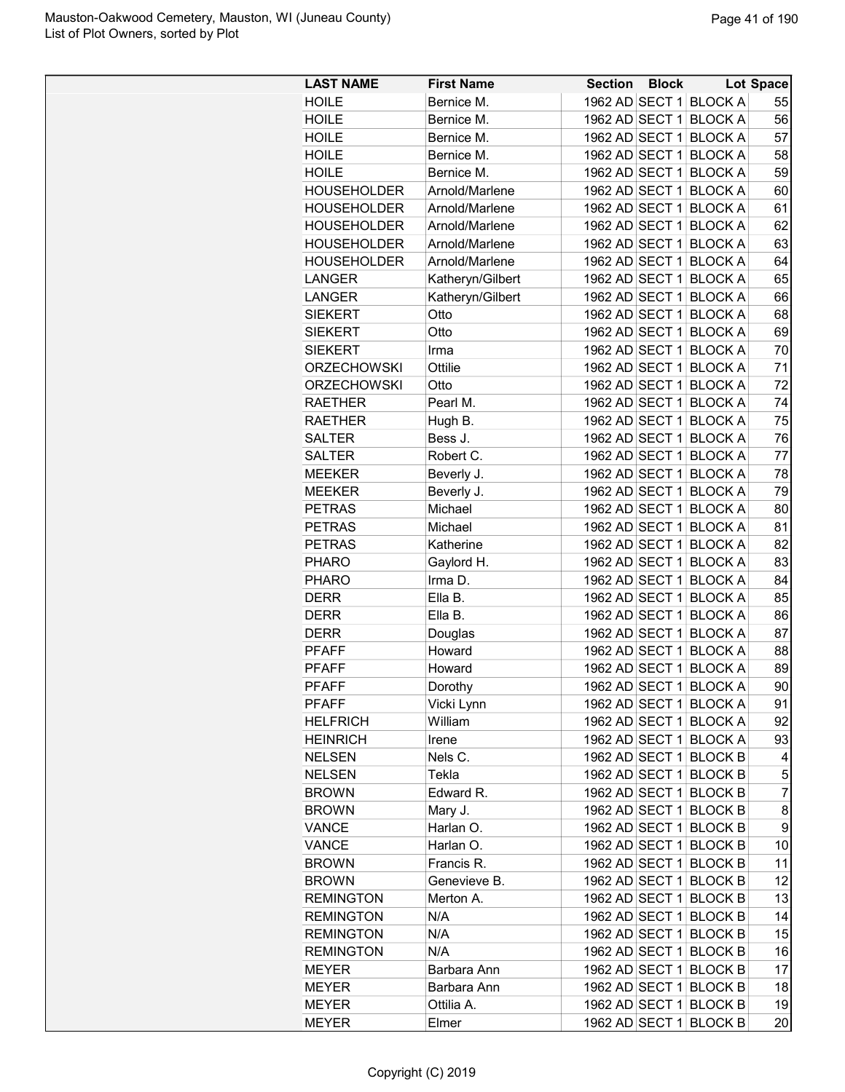| <b>LAST NAME</b>   | <b>First Name</b> | <b>Section Block</b> |                                                  | Lot Space      |
|--------------------|-------------------|----------------------|--------------------------------------------------|----------------|
| <b>HOILE</b>       | Bernice M.        |                      | 1962 AD SECT 1 BLOCK A                           | 55             |
| <b>HOILE</b>       | Bernice M.        |                      | 1962 AD SECT 1 BLOCK A                           | 56             |
| <b>HOILE</b>       | Bernice M.        | 1962 AD SECT 1       | <b>BLOCK A</b>                                   | 57             |
| HOILE              | Bernice M.        | 1962 AD SECT 1       | <b>BLOCK A</b>                                   | 58             |
| <b>HOILE</b>       | Bernice M.        | 1962 AD SECT 1       | <b>BLOCK A</b>                                   | 59             |
| <b>HOUSEHOLDER</b> | Arnold/Marlene    | 1962 AD SECT 1       | <b>BLOCK A</b>                                   | 60             |
| <b>HOUSEHOLDER</b> | Arnold/Marlene    | 1962 AD SECT 1       | <b>BLOCK A</b>                                   | 61             |
| <b>HOUSEHOLDER</b> | Arnold/Marlene    |                      | 1962 AD SECT 1 BLOCK A                           | 62             |
| <b>HOUSEHOLDER</b> | Arnold/Marlene    |                      | 1962 AD SECT 1 BLOCK A                           | 63             |
| <b>HOUSEHOLDER</b> | Arnold/Marlene    | 1962 AD SECT 1       | <b>BLOCK A</b>                                   | 64             |
| LANGER             | Katheryn/Gilbert  | 1962 AD SECT 1       | <b>BLOCK A</b>                                   | 65             |
| LANGER             | Katheryn/Gilbert  | 1962 AD SECT 1       | <b>BLOCK A</b>                                   | 66             |
| <b>SIEKERT</b>     | Otto              | 1962 AD SECT 1       | <b>BLOCK A</b>                                   | 68             |
| <b>SIEKERT</b>     | Otto              | 1962 AD SECT 1       | <b>BLOCK A</b>                                   | 69             |
| <b>SIEKERT</b>     | Irma              |                      | 1962 AD SECT 1 BLOCK A                           | 70             |
| <b>ORZECHOWSKI</b> | Ottilie           |                      | 1962 AD SECT 1 BLOCK A                           | 71             |
| <b>ORZECHOWSKI</b> | Otto              |                      | 1962 AD SECT 1 BLOCK A                           | 72             |
| RAETHER            | Pearl M.          | 1962 AD SECT 1       | <b>BLOCK A</b>                                   | 74             |
| <b>RAETHER</b>     | Hugh B.           |                      | 1962 AD SECT 1 BLOCK A                           | 75             |
| <b>SALTER</b>      | Bess J.           | 1962 AD SECT 1       | <b>BLOCK A</b>                                   | 76             |
| <b>SALTER</b>      | Robert C.         | 1962 AD SECT 1       | <b>BLOCK A</b>                                   | 77             |
| <b>MEEKER</b>      | Beverly J.        |                      | 1962 AD SECT 1 BLOCK A                           | 78             |
| <b>MEEKER</b>      | Beverly J.        |                      | 1962 AD SECT 1 BLOCK A                           | 79             |
| <b>PETRAS</b>      | Michael           |                      | 1962 AD SECT 1 BLOCK A                           | 80             |
| <b>PETRAS</b>      | Michael           | 1962 AD SECT 1       | <b>BLOCK A</b>                                   | 81             |
| <b>PETRAS</b>      | Katherine         | 1962 AD SECT 1       | <b>BLOCK A</b>                                   | 82             |
| <b>PHARO</b>       |                   | 1962 AD SECT 1       | <b>BLOCK A</b>                                   |                |
| <b>PHARO</b>       | Gaylord H.        | 1962 AD SECT 1       |                                                  | 83             |
|                    | Irma D.           |                      | <b>BLOCK A</b>                                   | 84             |
| <b>DERR</b>        | Ella B.           |                      | 1962 AD SECT 1 BLOCK A<br>1962 AD SECT 1 BLOCK A | 85             |
| <b>DERR</b>        | Ella B.           |                      |                                                  | 86             |
| <b>DERR</b>        | Douglas           | 1962 AD SECT 1       | <b>BLOCK A</b>                                   | 87             |
| <b>PFAFF</b>       | Howard            | 1962 AD SECT 1       | <b>BLOCK A</b>                                   | 88             |
| <b>PFAFF</b>       | Howard            |                      | 1962 AD SECT 1 BLOCK A                           | 89             |
| <b>PFAFF</b>       | Dorothy           |                      | 1962 AD SECT 1 BLOCK A                           | 90             |
| <b>PFAFF</b>       | Vicki Lynn        |                      | 1962 AD SECT 1 BLOCK A                           | 91             |
| <b>HELFRICH</b>    | William           |                      | 1962 AD SECT 1 BLOCK A                           | 92             |
| <b>HEINRICH</b>    | Irene             |                      | 1962 AD SECT 1 BLOCK A                           | 93             |
| <b>NELSEN</b>      | Nels C.           |                      | 1962 AD SECT 1 BLOCK B                           | 4              |
| <b>NELSEN</b>      | Tekla             |                      | 1962 AD SECT 1 BLOCK B                           | 5              |
| <b>BROWN</b>       | Edward R.         |                      | 1962 AD SECT 1 BLOCK B                           | $\overline{7}$ |
| <b>BROWN</b>       | Mary J.           |                      | 1962 AD SECT 1 BLOCK B                           | 8              |
| <b>VANCE</b>       | Harlan O.         |                      | 1962 AD SECT 1 BLOCK B                           | 9              |
| VANCE              | Harlan O.         |                      | 1962 AD SECT 1 BLOCK B                           | 10             |
| <b>BROWN</b>       | Francis R.        |                      | 1962 AD SECT 1 BLOCK B                           | 11             |
| <b>BROWN</b>       | Genevieve B.      |                      | 1962 AD SECT 1 BLOCK B                           | 12             |
| <b>REMINGTON</b>   | Merton A.         |                      | 1962 AD SECT 1 BLOCK B                           | 13             |
| <b>REMINGTON</b>   | N/A               |                      | 1962 AD SECT 1 BLOCK B                           | 14             |
| <b>REMINGTON</b>   | N/A               |                      | 1962 AD SECT 1 BLOCK B                           | 15             |
| <b>REMINGTON</b>   | N/A               |                      | 1962 AD SECT 1 BLOCK B                           | 16             |
| <b>MEYER</b>       | Barbara Ann       |                      | 1962 AD SECT 1 BLOCK B                           | 17             |
| <b>MEYER</b>       | Barbara Ann       |                      | 1962 AD SECT 1 BLOCK B                           | 18             |
| <b>MEYER</b>       | Ottilia A.        |                      | 1962 AD SECT 1 BLOCK B                           | 19             |
| <b>MEYER</b>       | Elmer             |                      | 1962 AD SECT 1 BLOCK B                           | 20             |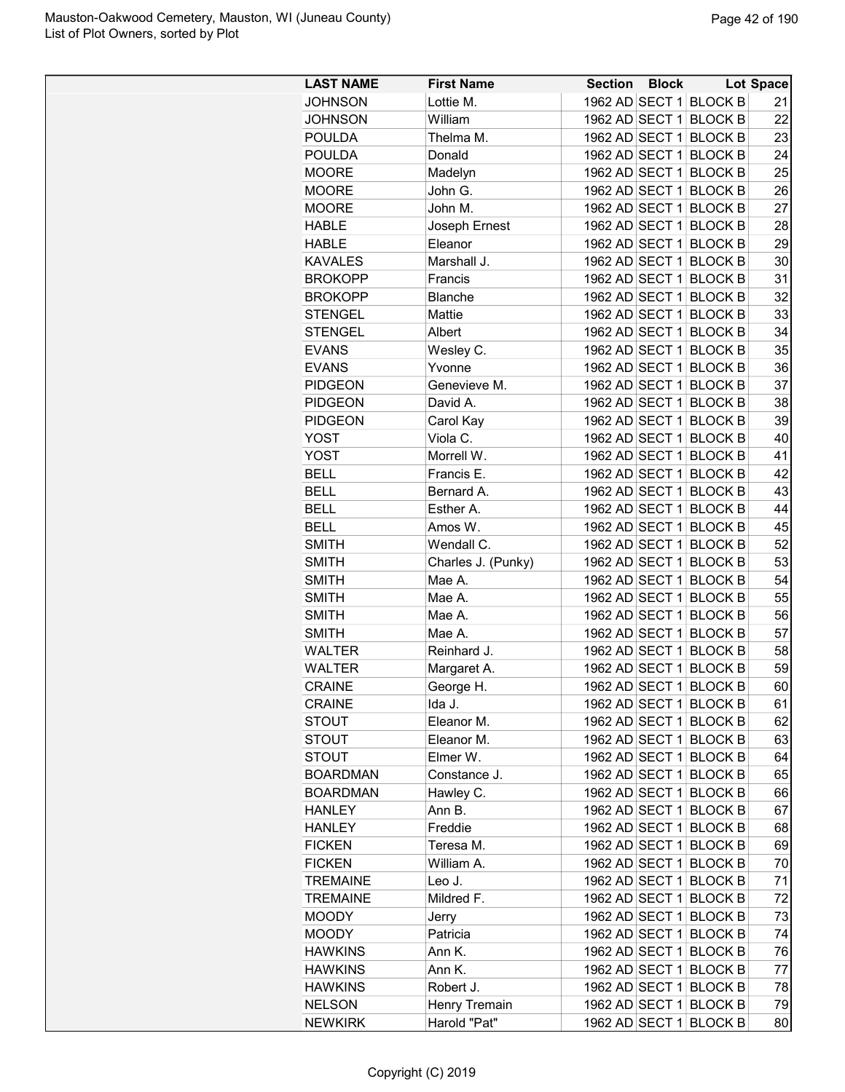| <b>LAST NAME</b> | <b>First Name</b>  | Section        | <b>Block</b> |                        | <b>Lot Space</b> |
|------------------|--------------------|----------------|--------------|------------------------|------------------|
| <b>JOHNSON</b>   | Lottie M.          |                |              | 1962 AD SECT 1 BLOCK B | 21               |
| <b>JOHNSON</b>   | William            |                |              | 1962 AD SECT 1 BLOCK B | 22               |
| <b>POULDA</b>    | Thelma M.          |                |              | 1962 AD SECT 1 BLOCK B | 23               |
| <b>POULDA</b>    | Donald             |                |              | 1962 AD SECT 1 BLOCK B | 24               |
| <b>MOORE</b>     | Madelyn            |                |              | 1962 AD SECT 1 BLOCK B | 25               |
| <b>MOORE</b>     | John G.            | 1962 AD SECT 1 |              | <b>BLOCK B</b>         | 26               |
| <b>MOORE</b>     | John M.            | 1962 AD SECT 1 |              | <b>BLOCK B</b>         | 27               |
| <b>HABLE</b>     | Joseph Ernest      |                |              | 1962 AD SECT 1 BLOCK B | 28               |
| <b>HABLE</b>     | Eleanor            |                |              | 1962 AD SECT 1 BLOCK B | 29               |
| <b>KAVALES</b>   | Marshall J.        |                |              | 1962 AD SECT 1 BLOCK B | 30               |
| <b>BROKOPP</b>   | Francis            | 1962 AD SECT 1 |              | <b>BLOCK B</b>         | 31               |
| <b>BROKOPP</b>   | Blanche            |                |              | 1962 AD SECT 1 BLOCK B | 32               |
| <b>STENGEL</b>   | Mattie             |                |              | 1962 AD SECT 1 BLOCK B | 33               |
| <b>STENGEL</b>   | Albert             |                |              | 1962 AD SECT 1 BLOCK B | 34               |
| <b>EVANS</b>     | Wesley C.          |                |              | 1962 AD SECT 1 BLOCK B | 35               |
| <b>EVANS</b>     | Yvonne             |                |              | 1962 AD SECT 1 BLOCK B | 36               |
| <b>PIDGEON</b>   | Genevieve M.       |                |              | 1962 AD SECT 1 BLOCK B | 37               |
| <b>PIDGEON</b>   | David A.           |                |              | 1962 AD SECT 1 BLOCK B | 38               |
| <b>PIDGEON</b>   | Carol Kay          |                |              | 1962 AD SECT 1 BLOCK B | 39               |
| <b>YOST</b>      | Viola C.           | 1962 AD SECT 1 |              | <b>BLOCK B</b>         | 40               |
| <b>YOST</b>      | Morrell W.         |                |              | 1962 AD SECT 1 BLOCK B | 41               |
| <b>BELL</b>      | Francis E.         |                |              | 1962 AD SECT 1 BLOCK B | 42               |
| <b>BELL</b>      | Bernard A.         |                |              | 1962 AD SECT 1 BLOCK B | 43               |
| <b>BELL</b>      | Esther A.          |                |              | 1962 AD SECT 1 BLOCK B | 44               |
| <b>BELL</b>      | Amos W.            | 1962 AD SECT 1 |              | <b>BLOCK B</b>         | 45               |
| <b>SMITH</b>     | Wendall C.         |                |              | 1962 AD SECT 1 BLOCK B | 52               |
| <b>SMITH</b>     | Charles J. (Punky) |                |              | 1962 AD SECT 1 BLOCK B | 53               |
| <b>SMITH</b>     | Mae A.             |                |              | 1962 AD SECT 1 BLOCK B | 54               |
| <b>SMITH</b>     | Mae A.             |                |              | 1962 AD SECT 1 BLOCK B | 55               |
| <b>SMITH</b>     | Mae A.             |                |              | 1962 AD SECT 1 BLOCK B | 56               |
| <b>SMITH</b>     | Mae A.             |                |              | 1962 AD SECT 1 BLOCK B | 57               |
| <b>WALTER</b>    | Reinhard J.        |                |              | 1962 AD SECT 1 BLOCK B | 58               |
| <b>WALTER</b>    | Margaret A.        |                |              | 1962 AD SECT 1 BLOCK B | 59               |
| <b>CRAINE</b>    | George H.          |                |              | 1962 AD SECT 1 BLOCK B | 60               |
| <b>CRAINE</b>    | lda J.             |                |              | 1962 AD SECT 1 BLOCK B | 61               |
| <b>STOUT</b>     | Eleanor M.         |                |              | 1962 AD SECT 1 BLOCK B | 62               |
| <b>STOUT</b>     | Eleanor M.         |                |              | 1962 AD SECT 1 BLOCK B | 63               |
| <b>STOUT</b>     | Elmer W.           |                |              | 1962 AD SECT 1 BLOCK B | 64               |
| <b>BOARDMAN</b>  | Constance J.       |                |              | 1962 AD SECT 1 BLOCK B | 65               |
| <b>BOARDMAN</b>  | Hawley C.          |                |              | 1962 AD SECT 1 BLOCK B | 66               |
| <b>HANLEY</b>    | Ann B.             |                |              | 1962 AD SECT 1 BLOCK B | 67               |
| <b>HANLEY</b>    | Freddie            |                |              | 1962 AD SECT 1 BLOCK B | 68               |
| <b>FICKEN</b>    | Teresa M.          |                |              | 1962 AD SECT 1 BLOCK B | 69               |
| <b>FICKEN</b>    | William A.         |                |              | 1962 AD SECT 1 BLOCK B | 70               |
| <b>TREMAINE</b>  | Leo J.             |                |              | 1962 AD SECT 1 BLOCK B | 71               |
| <b>TREMAINE</b>  | Mildred F.         |                |              | 1962 AD SECT 1 BLOCK B | 72               |
| <b>MOODY</b>     | Jerry              |                |              | 1962 AD SECT 1 BLOCK B | 73               |
| <b>MOODY</b>     | Patricia           |                |              | 1962 AD SECT 1 BLOCK B | 74               |
| <b>HAWKINS</b>   | Ann K.             |                |              | 1962 AD SECT 1 BLOCK B | 76               |
| <b>HAWKINS</b>   | Ann K.             |                |              | 1962 AD SECT 1 BLOCK B | 77               |
| <b>HAWKINS</b>   | Robert J.          |                |              | 1962 AD SECT 1 BLOCK B | 78               |
| <b>NELSON</b>    | Henry Tremain      |                |              | 1962 AD SECT 1 BLOCK B | 79               |
| <b>NEWKIRK</b>   | Harold "Pat"       |                |              | 1962 AD SECT 1 BLOCK B | 80               |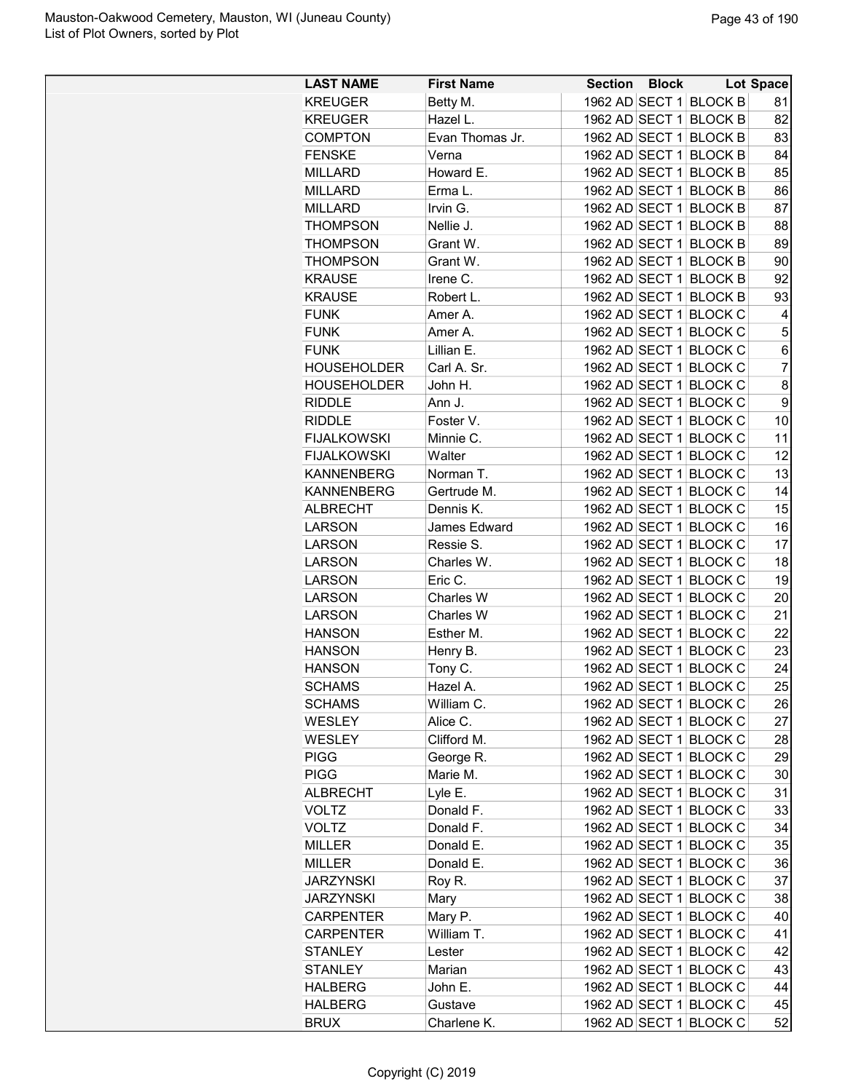| 1962 AD SECT 1 BLOCK B<br><b>KREUGER</b><br>Betty M.<br>81<br>Hazel L.<br>1962 AD SECT 1 BLOCK B<br>82<br><b>KREUGER</b><br>1962 AD SECT 1 BLOCK B<br>83<br><b>COMPTON</b><br>Evan Thomas Jr.<br>1962 AD SECT 1 BLOCK B<br><b>FENSKE</b><br>Verna<br>84<br>1962 AD SECT 1 BLOCK B<br>85<br><b>MILLARD</b><br>Howard E.<br><b>MILLARD</b><br>Erma L.<br>1962 AD SECT 1 BLOCK B<br>86<br>1962 AD SECT 1 BLOCK B<br>87<br><b>MILLARD</b><br>Irvin G.<br>Nellie J.<br>1962 AD SECT 1 BLOCK B<br>88<br><b>THOMPSON</b><br>89<br><b>THOMPSON</b><br>Grant W.<br>1962 AD SECT 1 BLOCK B<br>1962 AD SECT 1 BLOCK B<br>90<br><b>THOMPSON</b><br>Grant W.<br>1962 AD SECT 1 BLOCK B<br>92<br><b>KRAUSE</b><br>Irene C.<br><b>KRAUSE</b><br>1962 AD SECT 1 BLOCK B<br>93<br>Robert L.<br><b>FUNK</b><br>1962 AD SECT 1 BLOCK C<br>Amer A.<br>4<br>$\mathbf 5$<br><b>FUNK</b><br>1962 AD SECT 1 BLOCK C<br>Amer A.<br>1962 AD SECT 1 BLOCK C<br><b>FUNK</b><br>Lillian E.<br>6<br>$\overline{7}$<br>1962 AD SECT 1 BLOCK C<br><b>HOUSEHOLDER</b><br>Carl A. Sr.<br>John H.<br>8<br>HOUSEHOLDER<br>1962 AD SECT 1 BLOCK C<br>9<br><b>RIDDLE</b><br>Ann J.<br>1962 AD SECT 1 BLOCK C<br><b>RIDDLE</b><br>Foster V.<br>1962 AD SECT 1 BLOCK C<br>10<br><b>FIJALKOWSKI</b><br>Minnie C.<br>1962 AD SECT 1 BLOCK C<br>11<br><b>FIJALKOWSKI</b><br>Walter<br>1962 AD SECT 1 BLOCK C<br>12<br>13<br>Norman T.<br>1962 AD SECT 1 BLOCK C<br><b>KANNENBERG</b><br>14<br>Gertrude M.<br>1962 AD SECT 1 BLOCK C<br><b>KANNENBERG</b><br>Dennis K.<br>1962 AD SECT 1 BLOCK C<br>15<br><b>ALBRECHT</b><br>16<br>James Edward<br>1962 AD SECT 1 BLOCK C<br>LARSON<br>Ressie S.<br>1962 AD SECT 1 BLOCK C<br>17<br><b>LARSON</b><br><b>LARSON</b><br>Charles W.<br>1962 AD SECT 1 BLOCK C<br>18<br>Eric C.<br>1962 AD SECT 1 BLOCK C<br>19<br><b>LARSON</b><br>1962 AD SECT 1 BLOCK C<br><b>LARSON</b><br><b>Charles W</b><br>20<br>1962 AD SECT 1 BLOCK C<br>21<br><b>LARSON</b><br>Charles W<br>Esther M.<br>1962 AD SECT 1 BLOCK C<br>22<br><b>HANSON</b><br>1962 AD SECT 1 BLOCK C<br>23<br><b>HANSON</b><br>Henry B.<br>1962 AD SECT 1 BLOCK C<br><b>HANSON</b><br>24<br>Tony C.<br>25<br>1962 AD SECT 1 BLOCK C<br><b>SCHAMS</b><br>Hazel A<br>1962 AD SECT 1 BLOCK C<br>26<br><b>SCHAMS</b><br>William C.<br>1962 AD SECT 1 BLOCK C<br>WESLEY<br>Alice C.<br>27<br>Clifford M.<br>1962 AD SECT 1 BLOCK C<br>28<br>WESLEY<br>29<br><b>PIGG</b><br>George R.<br>1962 AD SECT 1 BLOCK C<br>Marie M.<br><b>PIGG</b><br>1962 AD SECT 1 BLOCK C<br>30<br>1962 AD SECT 1 BLOCK C<br>31<br><b>ALBRECHT</b><br>Lyle E.<br><b>VOLTZ</b><br>1962 AD SECT 1 BLOCK C<br>33<br>Donald F.<br><b>VOLTZ</b><br>Donald F.<br>1962 AD SECT 1 BLOCK C<br>34<br>1962 AD SECT 1 BLOCK C<br>35<br><b>MILLER</b><br>Donald E.<br>Donald E.<br>1962 AD SECT 1 BLOCK C<br>36<br><b>MILLER</b><br>1962 AD SECT 1 BLOCK C<br>37<br><b>JARZYNSKI</b><br>Roy R.<br>38<br><b>JARZYNSKI</b><br>1962 AD SECT 1 BLOCK C<br>Mary<br>Mary P.<br>1962 AD SECT 1 BLOCK C<br><b>CARPENTER</b><br>40<br>William T.<br>1962 AD SECT 1 BLOCK C<br>41<br><b>CARPENTER</b><br>1962 AD SECT 1 BLOCK C<br>42<br><b>STANLEY</b><br>Lester<br>1962 AD SECT 1 BLOCK C<br>43<br><b>STANLEY</b><br>Marian<br>1962 AD SECT 1 BLOCK C<br>44<br><b>HALBERG</b><br>John E.<br>1962 AD SECT 1 BLOCK C<br>45<br><b>HALBERG</b><br>Gustave | <b>LAST NAME</b> | <b>First Name</b> | <b>Section Block</b> |  | <b>Lot Space</b> |
|--------------------------------------------------------------------------------------------------------------------------------------------------------------------------------------------------------------------------------------------------------------------------------------------------------------------------------------------------------------------------------------------------------------------------------------------------------------------------------------------------------------------------------------------------------------------------------------------------------------------------------------------------------------------------------------------------------------------------------------------------------------------------------------------------------------------------------------------------------------------------------------------------------------------------------------------------------------------------------------------------------------------------------------------------------------------------------------------------------------------------------------------------------------------------------------------------------------------------------------------------------------------------------------------------------------------------------------------------------------------------------------------------------------------------------------------------------------------------------------------------------------------------------------------------------------------------------------------------------------------------------------------------------------------------------------------------------------------------------------------------------------------------------------------------------------------------------------------------------------------------------------------------------------------------------------------------------------------------------------------------------------------------------------------------------------------------------------------------------------------------------------------------------------------------------------------------------------------------------------------------------------------------------------------------------------------------------------------------------------------------------------------------------------------------------------------------------------------------------------------------------------------------------------------------------------------------------------------------------------------------------------------------------------------------------------------------------------------------------------------------------------------------------------------------------------------------------------------------------------------------------------------------------------------------------------------------------------------------------------------------------------------------------------------------------------------------------------------------------------------------------------------------------------------------------------------------------------------------------------------------------------------------------------------------------------------------------------------------------------|------------------|-------------------|----------------------|--|------------------|
|                                                                                                                                                                                                                                                                                                                                                                                                                                                                                                                                                                                                                                                                                                                                                                                                                                                                                                                                                                                                                                                                                                                                                                                                                                                                                                                                                                                                                                                                                                                                                                                                                                                                                                                                                                                                                                                                                                                                                                                                                                                                                                                                                                                                                                                                                                                                                                                                                                                                                                                                                                                                                                                                                                                                                                                                                                                                                                                                                                                                                                                                                                                                                                                                                                                                                                                                                              |                  |                   |                      |  |                  |
|                                                                                                                                                                                                                                                                                                                                                                                                                                                                                                                                                                                                                                                                                                                                                                                                                                                                                                                                                                                                                                                                                                                                                                                                                                                                                                                                                                                                                                                                                                                                                                                                                                                                                                                                                                                                                                                                                                                                                                                                                                                                                                                                                                                                                                                                                                                                                                                                                                                                                                                                                                                                                                                                                                                                                                                                                                                                                                                                                                                                                                                                                                                                                                                                                                                                                                                                                              |                  |                   |                      |  |                  |
|                                                                                                                                                                                                                                                                                                                                                                                                                                                                                                                                                                                                                                                                                                                                                                                                                                                                                                                                                                                                                                                                                                                                                                                                                                                                                                                                                                                                                                                                                                                                                                                                                                                                                                                                                                                                                                                                                                                                                                                                                                                                                                                                                                                                                                                                                                                                                                                                                                                                                                                                                                                                                                                                                                                                                                                                                                                                                                                                                                                                                                                                                                                                                                                                                                                                                                                                                              |                  |                   |                      |  |                  |
|                                                                                                                                                                                                                                                                                                                                                                                                                                                                                                                                                                                                                                                                                                                                                                                                                                                                                                                                                                                                                                                                                                                                                                                                                                                                                                                                                                                                                                                                                                                                                                                                                                                                                                                                                                                                                                                                                                                                                                                                                                                                                                                                                                                                                                                                                                                                                                                                                                                                                                                                                                                                                                                                                                                                                                                                                                                                                                                                                                                                                                                                                                                                                                                                                                                                                                                                                              |                  |                   |                      |  |                  |
|                                                                                                                                                                                                                                                                                                                                                                                                                                                                                                                                                                                                                                                                                                                                                                                                                                                                                                                                                                                                                                                                                                                                                                                                                                                                                                                                                                                                                                                                                                                                                                                                                                                                                                                                                                                                                                                                                                                                                                                                                                                                                                                                                                                                                                                                                                                                                                                                                                                                                                                                                                                                                                                                                                                                                                                                                                                                                                                                                                                                                                                                                                                                                                                                                                                                                                                                                              |                  |                   |                      |  |                  |
|                                                                                                                                                                                                                                                                                                                                                                                                                                                                                                                                                                                                                                                                                                                                                                                                                                                                                                                                                                                                                                                                                                                                                                                                                                                                                                                                                                                                                                                                                                                                                                                                                                                                                                                                                                                                                                                                                                                                                                                                                                                                                                                                                                                                                                                                                                                                                                                                                                                                                                                                                                                                                                                                                                                                                                                                                                                                                                                                                                                                                                                                                                                                                                                                                                                                                                                                                              |                  |                   |                      |  |                  |
|                                                                                                                                                                                                                                                                                                                                                                                                                                                                                                                                                                                                                                                                                                                                                                                                                                                                                                                                                                                                                                                                                                                                                                                                                                                                                                                                                                                                                                                                                                                                                                                                                                                                                                                                                                                                                                                                                                                                                                                                                                                                                                                                                                                                                                                                                                                                                                                                                                                                                                                                                                                                                                                                                                                                                                                                                                                                                                                                                                                                                                                                                                                                                                                                                                                                                                                                                              |                  |                   |                      |  |                  |
|                                                                                                                                                                                                                                                                                                                                                                                                                                                                                                                                                                                                                                                                                                                                                                                                                                                                                                                                                                                                                                                                                                                                                                                                                                                                                                                                                                                                                                                                                                                                                                                                                                                                                                                                                                                                                                                                                                                                                                                                                                                                                                                                                                                                                                                                                                                                                                                                                                                                                                                                                                                                                                                                                                                                                                                                                                                                                                                                                                                                                                                                                                                                                                                                                                                                                                                                                              |                  |                   |                      |  |                  |
|                                                                                                                                                                                                                                                                                                                                                                                                                                                                                                                                                                                                                                                                                                                                                                                                                                                                                                                                                                                                                                                                                                                                                                                                                                                                                                                                                                                                                                                                                                                                                                                                                                                                                                                                                                                                                                                                                                                                                                                                                                                                                                                                                                                                                                                                                                                                                                                                                                                                                                                                                                                                                                                                                                                                                                                                                                                                                                                                                                                                                                                                                                                                                                                                                                                                                                                                                              |                  |                   |                      |  |                  |
|                                                                                                                                                                                                                                                                                                                                                                                                                                                                                                                                                                                                                                                                                                                                                                                                                                                                                                                                                                                                                                                                                                                                                                                                                                                                                                                                                                                                                                                                                                                                                                                                                                                                                                                                                                                                                                                                                                                                                                                                                                                                                                                                                                                                                                                                                                                                                                                                                                                                                                                                                                                                                                                                                                                                                                                                                                                                                                                                                                                                                                                                                                                                                                                                                                                                                                                                                              |                  |                   |                      |  |                  |
|                                                                                                                                                                                                                                                                                                                                                                                                                                                                                                                                                                                                                                                                                                                                                                                                                                                                                                                                                                                                                                                                                                                                                                                                                                                                                                                                                                                                                                                                                                                                                                                                                                                                                                                                                                                                                                                                                                                                                                                                                                                                                                                                                                                                                                                                                                                                                                                                                                                                                                                                                                                                                                                                                                                                                                                                                                                                                                                                                                                                                                                                                                                                                                                                                                                                                                                                                              |                  |                   |                      |  |                  |
|                                                                                                                                                                                                                                                                                                                                                                                                                                                                                                                                                                                                                                                                                                                                                                                                                                                                                                                                                                                                                                                                                                                                                                                                                                                                                                                                                                                                                                                                                                                                                                                                                                                                                                                                                                                                                                                                                                                                                                                                                                                                                                                                                                                                                                                                                                                                                                                                                                                                                                                                                                                                                                                                                                                                                                                                                                                                                                                                                                                                                                                                                                                                                                                                                                                                                                                                                              |                  |                   |                      |  |                  |
|                                                                                                                                                                                                                                                                                                                                                                                                                                                                                                                                                                                                                                                                                                                                                                                                                                                                                                                                                                                                                                                                                                                                                                                                                                                                                                                                                                                                                                                                                                                                                                                                                                                                                                                                                                                                                                                                                                                                                                                                                                                                                                                                                                                                                                                                                                                                                                                                                                                                                                                                                                                                                                                                                                                                                                                                                                                                                                                                                                                                                                                                                                                                                                                                                                                                                                                                                              |                  |                   |                      |  |                  |
|                                                                                                                                                                                                                                                                                                                                                                                                                                                                                                                                                                                                                                                                                                                                                                                                                                                                                                                                                                                                                                                                                                                                                                                                                                                                                                                                                                                                                                                                                                                                                                                                                                                                                                                                                                                                                                                                                                                                                                                                                                                                                                                                                                                                                                                                                                                                                                                                                                                                                                                                                                                                                                                                                                                                                                                                                                                                                                                                                                                                                                                                                                                                                                                                                                                                                                                                                              |                  |                   |                      |  |                  |
|                                                                                                                                                                                                                                                                                                                                                                                                                                                                                                                                                                                                                                                                                                                                                                                                                                                                                                                                                                                                                                                                                                                                                                                                                                                                                                                                                                                                                                                                                                                                                                                                                                                                                                                                                                                                                                                                                                                                                                                                                                                                                                                                                                                                                                                                                                                                                                                                                                                                                                                                                                                                                                                                                                                                                                                                                                                                                                                                                                                                                                                                                                                                                                                                                                                                                                                                                              |                  |                   |                      |  |                  |
|                                                                                                                                                                                                                                                                                                                                                                                                                                                                                                                                                                                                                                                                                                                                                                                                                                                                                                                                                                                                                                                                                                                                                                                                                                                                                                                                                                                                                                                                                                                                                                                                                                                                                                                                                                                                                                                                                                                                                                                                                                                                                                                                                                                                                                                                                                                                                                                                                                                                                                                                                                                                                                                                                                                                                                                                                                                                                                                                                                                                                                                                                                                                                                                                                                                                                                                                                              |                  |                   |                      |  |                  |
|                                                                                                                                                                                                                                                                                                                                                                                                                                                                                                                                                                                                                                                                                                                                                                                                                                                                                                                                                                                                                                                                                                                                                                                                                                                                                                                                                                                                                                                                                                                                                                                                                                                                                                                                                                                                                                                                                                                                                                                                                                                                                                                                                                                                                                                                                                                                                                                                                                                                                                                                                                                                                                                                                                                                                                                                                                                                                                                                                                                                                                                                                                                                                                                                                                                                                                                                                              |                  |                   |                      |  |                  |
|                                                                                                                                                                                                                                                                                                                                                                                                                                                                                                                                                                                                                                                                                                                                                                                                                                                                                                                                                                                                                                                                                                                                                                                                                                                                                                                                                                                                                                                                                                                                                                                                                                                                                                                                                                                                                                                                                                                                                                                                                                                                                                                                                                                                                                                                                                                                                                                                                                                                                                                                                                                                                                                                                                                                                                                                                                                                                                                                                                                                                                                                                                                                                                                                                                                                                                                                                              |                  |                   |                      |  |                  |
|                                                                                                                                                                                                                                                                                                                                                                                                                                                                                                                                                                                                                                                                                                                                                                                                                                                                                                                                                                                                                                                                                                                                                                                                                                                                                                                                                                                                                                                                                                                                                                                                                                                                                                                                                                                                                                                                                                                                                                                                                                                                                                                                                                                                                                                                                                                                                                                                                                                                                                                                                                                                                                                                                                                                                                                                                                                                                                                                                                                                                                                                                                                                                                                                                                                                                                                                                              |                  |                   |                      |  |                  |
|                                                                                                                                                                                                                                                                                                                                                                                                                                                                                                                                                                                                                                                                                                                                                                                                                                                                                                                                                                                                                                                                                                                                                                                                                                                                                                                                                                                                                                                                                                                                                                                                                                                                                                                                                                                                                                                                                                                                                                                                                                                                                                                                                                                                                                                                                                                                                                                                                                                                                                                                                                                                                                                                                                                                                                                                                                                                                                                                                                                                                                                                                                                                                                                                                                                                                                                                                              |                  |                   |                      |  |                  |
|                                                                                                                                                                                                                                                                                                                                                                                                                                                                                                                                                                                                                                                                                                                                                                                                                                                                                                                                                                                                                                                                                                                                                                                                                                                                                                                                                                                                                                                                                                                                                                                                                                                                                                                                                                                                                                                                                                                                                                                                                                                                                                                                                                                                                                                                                                                                                                                                                                                                                                                                                                                                                                                                                                                                                                                                                                                                                                                                                                                                                                                                                                                                                                                                                                                                                                                                                              |                  |                   |                      |  |                  |
|                                                                                                                                                                                                                                                                                                                                                                                                                                                                                                                                                                                                                                                                                                                                                                                                                                                                                                                                                                                                                                                                                                                                                                                                                                                                                                                                                                                                                                                                                                                                                                                                                                                                                                                                                                                                                                                                                                                                                                                                                                                                                                                                                                                                                                                                                                                                                                                                                                                                                                                                                                                                                                                                                                                                                                                                                                                                                                                                                                                                                                                                                                                                                                                                                                                                                                                                                              |                  |                   |                      |  |                  |
|                                                                                                                                                                                                                                                                                                                                                                                                                                                                                                                                                                                                                                                                                                                                                                                                                                                                                                                                                                                                                                                                                                                                                                                                                                                                                                                                                                                                                                                                                                                                                                                                                                                                                                                                                                                                                                                                                                                                                                                                                                                                                                                                                                                                                                                                                                                                                                                                                                                                                                                                                                                                                                                                                                                                                                                                                                                                                                                                                                                                                                                                                                                                                                                                                                                                                                                                                              |                  |                   |                      |  |                  |
|                                                                                                                                                                                                                                                                                                                                                                                                                                                                                                                                                                                                                                                                                                                                                                                                                                                                                                                                                                                                                                                                                                                                                                                                                                                                                                                                                                                                                                                                                                                                                                                                                                                                                                                                                                                                                                                                                                                                                                                                                                                                                                                                                                                                                                                                                                                                                                                                                                                                                                                                                                                                                                                                                                                                                                                                                                                                                                                                                                                                                                                                                                                                                                                                                                                                                                                                                              |                  |                   |                      |  |                  |
|                                                                                                                                                                                                                                                                                                                                                                                                                                                                                                                                                                                                                                                                                                                                                                                                                                                                                                                                                                                                                                                                                                                                                                                                                                                                                                                                                                                                                                                                                                                                                                                                                                                                                                                                                                                                                                                                                                                                                                                                                                                                                                                                                                                                                                                                                                                                                                                                                                                                                                                                                                                                                                                                                                                                                                                                                                                                                                                                                                                                                                                                                                                                                                                                                                                                                                                                                              |                  |                   |                      |  |                  |
|                                                                                                                                                                                                                                                                                                                                                                                                                                                                                                                                                                                                                                                                                                                                                                                                                                                                                                                                                                                                                                                                                                                                                                                                                                                                                                                                                                                                                                                                                                                                                                                                                                                                                                                                                                                                                                                                                                                                                                                                                                                                                                                                                                                                                                                                                                                                                                                                                                                                                                                                                                                                                                                                                                                                                                                                                                                                                                                                                                                                                                                                                                                                                                                                                                                                                                                                                              |                  |                   |                      |  |                  |
|                                                                                                                                                                                                                                                                                                                                                                                                                                                                                                                                                                                                                                                                                                                                                                                                                                                                                                                                                                                                                                                                                                                                                                                                                                                                                                                                                                                                                                                                                                                                                                                                                                                                                                                                                                                                                                                                                                                                                                                                                                                                                                                                                                                                                                                                                                                                                                                                                                                                                                                                                                                                                                                                                                                                                                                                                                                                                                                                                                                                                                                                                                                                                                                                                                                                                                                                                              |                  |                   |                      |  |                  |
|                                                                                                                                                                                                                                                                                                                                                                                                                                                                                                                                                                                                                                                                                                                                                                                                                                                                                                                                                                                                                                                                                                                                                                                                                                                                                                                                                                                                                                                                                                                                                                                                                                                                                                                                                                                                                                                                                                                                                                                                                                                                                                                                                                                                                                                                                                                                                                                                                                                                                                                                                                                                                                                                                                                                                                                                                                                                                                                                                                                                                                                                                                                                                                                                                                                                                                                                                              |                  |                   |                      |  |                  |
|                                                                                                                                                                                                                                                                                                                                                                                                                                                                                                                                                                                                                                                                                                                                                                                                                                                                                                                                                                                                                                                                                                                                                                                                                                                                                                                                                                                                                                                                                                                                                                                                                                                                                                                                                                                                                                                                                                                                                                                                                                                                                                                                                                                                                                                                                                                                                                                                                                                                                                                                                                                                                                                                                                                                                                                                                                                                                                                                                                                                                                                                                                                                                                                                                                                                                                                                                              |                  |                   |                      |  |                  |
|                                                                                                                                                                                                                                                                                                                                                                                                                                                                                                                                                                                                                                                                                                                                                                                                                                                                                                                                                                                                                                                                                                                                                                                                                                                                                                                                                                                                                                                                                                                                                                                                                                                                                                                                                                                                                                                                                                                                                                                                                                                                                                                                                                                                                                                                                                                                                                                                                                                                                                                                                                                                                                                                                                                                                                                                                                                                                                                                                                                                                                                                                                                                                                                                                                                                                                                                                              |                  |                   |                      |  |                  |
|                                                                                                                                                                                                                                                                                                                                                                                                                                                                                                                                                                                                                                                                                                                                                                                                                                                                                                                                                                                                                                                                                                                                                                                                                                                                                                                                                                                                                                                                                                                                                                                                                                                                                                                                                                                                                                                                                                                                                                                                                                                                                                                                                                                                                                                                                                                                                                                                                                                                                                                                                                                                                                                                                                                                                                                                                                                                                                                                                                                                                                                                                                                                                                                                                                                                                                                                                              |                  |                   |                      |  |                  |
|                                                                                                                                                                                                                                                                                                                                                                                                                                                                                                                                                                                                                                                                                                                                                                                                                                                                                                                                                                                                                                                                                                                                                                                                                                                                                                                                                                                                                                                                                                                                                                                                                                                                                                                                                                                                                                                                                                                                                                                                                                                                                                                                                                                                                                                                                                                                                                                                                                                                                                                                                                                                                                                                                                                                                                                                                                                                                                                                                                                                                                                                                                                                                                                                                                                                                                                                                              |                  |                   |                      |  |                  |
|                                                                                                                                                                                                                                                                                                                                                                                                                                                                                                                                                                                                                                                                                                                                                                                                                                                                                                                                                                                                                                                                                                                                                                                                                                                                                                                                                                                                                                                                                                                                                                                                                                                                                                                                                                                                                                                                                                                                                                                                                                                                                                                                                                                                                                                                                                                                                                                                                                                                                                                                                                                                                                                                                                                                                                                                                                                                                                                                                                                                                                                                                                                                                                                                                                                                                                                                                              |                  |                   |                      |  |                  |
|                                                                                                                                                                                                                                                                                                                                                                                                                                                                                                                                                                                                                                                                                                                                                                                                                                                                                                                                                                                                                                                                                                                                                                                                                                                                                                                                                                                                                                                                                                                                                                                                                                                                                                                                                                                                                                                                                                                                                                                                                                                                                                                                                                                                                                                                                                                                                                                                                                                                                                                                                                                                                                                                                                                                                                                                                                                                                                                                                                                                                                                                                                                                                                                                                                                                                                                                                              |                  |                   |                      |  |                  |
|                                                                                                                                                                                                                                                                                                                                                                                                                                                                                                                                                                                                                                                                                                                                                                                                                                                                                                                                                                                                                                                                                                                                                                                                                                                                                                                                                                                                                                                                                                                                                                                                                                                                                                                                                                                                                                                                                                                                                                                                                                                                                                                                                                                                                                                                                                                                                                                                                                                                                                                                                                                                                                                                                                                                                                                                                                                                                                                                                                                                                                                                                                                                                                                                                                                                                                                                                              |                  |                   |                      |  |                  |
|                                                                                                                                                                                                                                                                                                                                                                                                                                                                                                                                                                                                                                                                                                                                                                                                                                                                                                                                                                                                                                                                                                                                                                                                                                                                                                                                                                                                                                                                                                                                                                                                                                                                                                                                                                                                                                                                                                                                                                                                                                                                                                                                                                                                                                                                                                                                                                                                                                                                                                                                                                                                                                                                                                                                                                                                                                                                                                                                                                                                                                                                                                                                                                                                                                                                                                                                                              |                  |                   |                      |  |                  |
|                                                                                                                                                                                                                                                                                                                                                                                                                                                                                                                                                                                                                                                                                                                                                                                                                                                                                                                                                                                                                                                                                                                                                                                                                                                                                                                                                                                                                                                                                                                                                                                                                                                                                                                                                                                                                                                                                                                                                                                                                                                                                                                                                                                                                                                                                                                                                                                                                                                                                                                                                                                                                                                                                                                                                                                                                                                                                                                                                                                                                                                                                                                                                                                                                                                                                                                                                              |                  |                   |                      |  |                  |
|                                                                                                                                                                                                                                                                                                                                                                                                                                                                                                                                                                                                                                                                                                                                                                                                                                                                                                                                                                                                                                                                                                                                                                                                                                                                                                                                                                                                                                                                                                                                                                                                                                                                                                                                                                                                                                                                                                                                                                                                                                                                                                                                                                                                                                                                                                                                                                                                                                                                                                                                                                                                                                                                                                                                                                                                                                                                                                                                                                                                                                                                                                                                                                                                                                                                                                                                                              |                  |                   |                      |  |                  |
|                                                                                                                                                                                                                                                                                                                                                                                                                                                                                                                                                                                                                                                                                                                                                                                                                                                                                                                                                                                                                                                                                                                                                                                                                                                                                                                                                                                                                                                                                                                                                                                                                                                                                                                                                                                                                                                                                                                                                                                                                                                                                                                                                                                                                                                                                                                                                                                                                                                                                                                                                                                                                                                                                                                                                                                                                                                                                                                                                                                                                                                                                                                                                                                                                                                                                                                                                              |                  |                   |                      |  |                  |
|                                                                                                                                                                                                                                                                                                                                                                                                                                                                                                                                                                                                                                                                                                                                                                                                                                                                                                                                                                                                                                                                                                                                                                                                                                                                                                                                                                                                                                                                                                                                                                                                                                                                                                                                                                                                                                                                                                                                                                                                                                                                                                                                                                                                                                                                                                                                                                                                                                                                                                                                                                                                                                                                                                                                                                                                                                                                                                                                                                                                                                                                                                                                                                                                                                                                                                                                                              |                  |                   |                      |  |                  |
|                                                                                                                                                                                                                                                                                                                                                                                                                                                                                                                                                                                                                                                                                                                                                                                                                                                                                                                                                                                                                                                                                                                                                                                                                                                                                                                                                                                                                                                                                                                                                                                                                                                                                                                                                                                                                                                                                                                                                                                                                                                                                                                                                                                                                                                                                                                                                                                                                                                                                                                                                                                                                                                                                                                                                                                                                                                                                                                                                                                                                                                                                                                                                                                                                                                                                                                                                              |                  |                   |                      |  |                  |
|                                                                                                                                                                                                                                                                                                                                                                                                                                                                                                                                                                                                                                                                                                                                                                                                                                                                                                                                                                                                                                                                                                                                                                                                                                                                                                                                                                                                                                                                                                                                                                                                                                                                                                                                                                                                                                                                                                                                                                                                                                                                                                                                                                                                                                                                                                                                                                                                                                                                                                                                                                                                                                                                                                                                                                                                                                                                                                                                                                                                                                                                                                                                                                                                                                                                                                                                                              |                  |                   |                      |  |                  |
|                                                                                                                                                                                                                                                                                                                                                                                                                                                                                                                                                                                                                                                                                                                                                                                                                                                                                                                                                                                                                                                                                                                                                                                                                                                                                                                                                                                                                                                                                                                                                                                                                                                                                                                                                                                                                                                                                                                                                                                                                                                                                                                                                                                                                                                                                                                                                                                                                                                                                                                                                                                                                                                                                                                                                                                                                                                                                                                                                                                                                                                                                                                                                                                                                                                                                                                                                              |                  |                   |                      |  |                  |
|                                                                                                                                                                                                                                                                                                                                                                                                                                                                                                                                                                                                                                                                                                                                                                                                                                                                                                                                                                                                                                                                                                                                                                                                                                                                                                                                                                                                                                                                                                                                                                                                                                                                                                                                                                                                                                                                                                                                                                                                                                                                                                                                                                                                                                                                                                                                                                                                                                                                                                                                                                                                                                                                                                                                                                                                                                                                                                                                                                                                                                                                                                                                                                                                                                                                                                                                                              |                  |                   |                      |  |                  |
|                                                                                                                                                                                                                                                                                                                                                                                                                                                                                                                                                                                                                                                                                                                                                                                                                                                                                                                                                                                                                                                                                                                                                                                                                                                                                                                                                                                                                                                                                                                                                                                                                                                                                                                                                                                                                                                                                                                                                                                                                                                                                                                                                                                                                                                                                                                                                                                                                                                                                                                                                                                                                                                                                                                                                                                                                                                                                                                                                                                                                                                                                                                                                                                                                                                                                                                                                              |                  |                   |                      |  |                  |
|                                                                                                                                                                                                                                                                                                                                                                                                                                                                                                                                                                                                                                                                                                                                                                                                                                                                                                                                                                                                                                                                                                                                                                                                                                                                                                                                                                                                                                                                                                                                                                                                                                                                                                                                                                                                                                                                                                                                                                                                                                                                                                                                                                                                                                                                                                                                                                                                                                                                                                                                                                                                                                                                                                                                                                                                                                                                                                                                                                                                                                                                                                                                                                                                                                                                                                                                                              |                  |                   |                      |  |                  |
|                                                                                                                                                                                                                                                                                                                                                                                                                                                                                                                                                                                                                                                                                                                                                                                                                                                                                                                                                                                                                                                                                                                                                                                                                                                                                                                                                                                                                                                                                                                                                                                                                                                                                                                                                                                                                                                                                                                                                                                                                                                                                                                                                                                                                                                                                                                                                                                                                                                                                                                                                                                                                                                                                                                                                                                                                                                                                                                                                                                                                                                                                                                                                                                                                                                                                                                                                              |                  |                   |                      |  |                  |
|                                                                                                                                                                                                                                                                                                                                                                                                                                                                                                                                                                                                                                                                                                                                                                                                                                                                                                                                                                                                                                                                                                                                                                                                                                                                                                                                                                                                                                                                                                                                                                                                                                                                                                                                                                                                                                                                                                                                                                                                                                                                                                                                                                                                                                                                                                                                                                                                                                                                                                                                                                                                                                                                                                                                                                                                                                                                                                                                                                                                                                                                                                                                                                                                                                                                                                                                                              |                  |                   |                      |  |                  |
|                                                                                                                                                                                                                                                                                                                                                                                                                                                                                                                                                                                                                                                                                                                                                                                                                                                                                                                                                                                                                                                                                                                                                                                                                                                                                                                                                                                                                                                                                                                                                                                                                                                                                                                                                                                                                                                                                                                                                                                                                                                                                                                                                                                                                                                                                                                                                                                                                                                                                                                                                                                                                                                                                                                                                                                                                                                                                                                                                                                                                                                                                                                                                                                                                                                                                                                                                              |                  |                   |                      |  |                  |
|                                                                                                                                                                                                                                                                                                                                                                                                                                                                                                                                                                                                                                                                                                                                                                                                                                                                                                                                                                                                                                                                                                                                                                                                                                                                                                                                                                                                                                                                                                                                                                                                                                                                                                                                                                                                                                                                                                                                                                                                                                                                                                                                                                                                                                                                                                                                                                                                                                                                                                                                                                                                                                                                                                                                                                                                                                                                                                                                                                                                                                                                                                                                                                                                                                                                                                                                                              |                  |                   |                      |  |                  |
|                                                                                                                                                                                                                                                                                                                                                                                                                                                                                                                                                                                                                                                                                                                                                                                                                                                                                                                                                                                                                                                                                                                                                                                                                                                                                                                                                                                                                                                                                                                                                                                                                                                                                                                                                                                                                                                                                                                                                                                                                                                                                                                                                                                                                                                                                                                                                                                                                                                                                                                                                                                                                                                                                                                                                                                                                                                                                                                                                                                                                                                                                                                                                                                                                                                                                                                                                              |                  |                   |                      |  |                  |
|                                                                                                                                                                                                                                                                                                                                                                                                                                                                                                                                                                                                                                                                                                                                                                                                                                                                                                                                                                                                                                                                                                                                                                                                                                                                                                                                                                                                                                                                                                                                                                                                                                                                                                                                                                                                                                                                                                                                                                                                                                                                                                                                                                                                                                                                                                                                                                                                                                                                                                                                                                                                                                                                                                                                                                                                                                                                                                                                                                                                                                                                                                                                                                                                                                                                                                                                                              |                  |                   |                      |  |                  |
|                                                                                                                                                                                                                                                                                                                                                                                                                                                                                                                                                                                                                                                                                                                                                                                                                                                                                                                                                                                                                                                                                                                                                                                                                                                                                                                                                                                                                                                                                                                                                                                                                                                                                                                                                                                                                                                                                                                                                                                                                                                                                                                                                                                                                                                                                                                                                                                                                                                                                                                                                                                                                                                                                                                                                                                                                                                                                                                                                                                                                                                                                                                                                                                                                                                                                                                                                              |                  |                   |                      |  |                  |
| 1962 AD SECT 1 BLOCK C                                                                                                                                                                                                                                                                                                                                                                                                                                                                                                                                                                                                                                                                                                                                                                                                                                                                                                                                                                                                                                                                                                                                                                                                                                                                                                                                                                                                                                                                                                                                                                                                                                                                                                                                                                                                                                                                                                                                                                                                                                                                                                                                                                                                                                                                                                                                                                                                                                                                                                                                                                                                                                                                                                                                                                                                                                                                                                                                                                                                                                                                                                                                                                                                                                                                                                                                       | <b>BRUX</b>      | Charlene K.       |                      |  | 52               |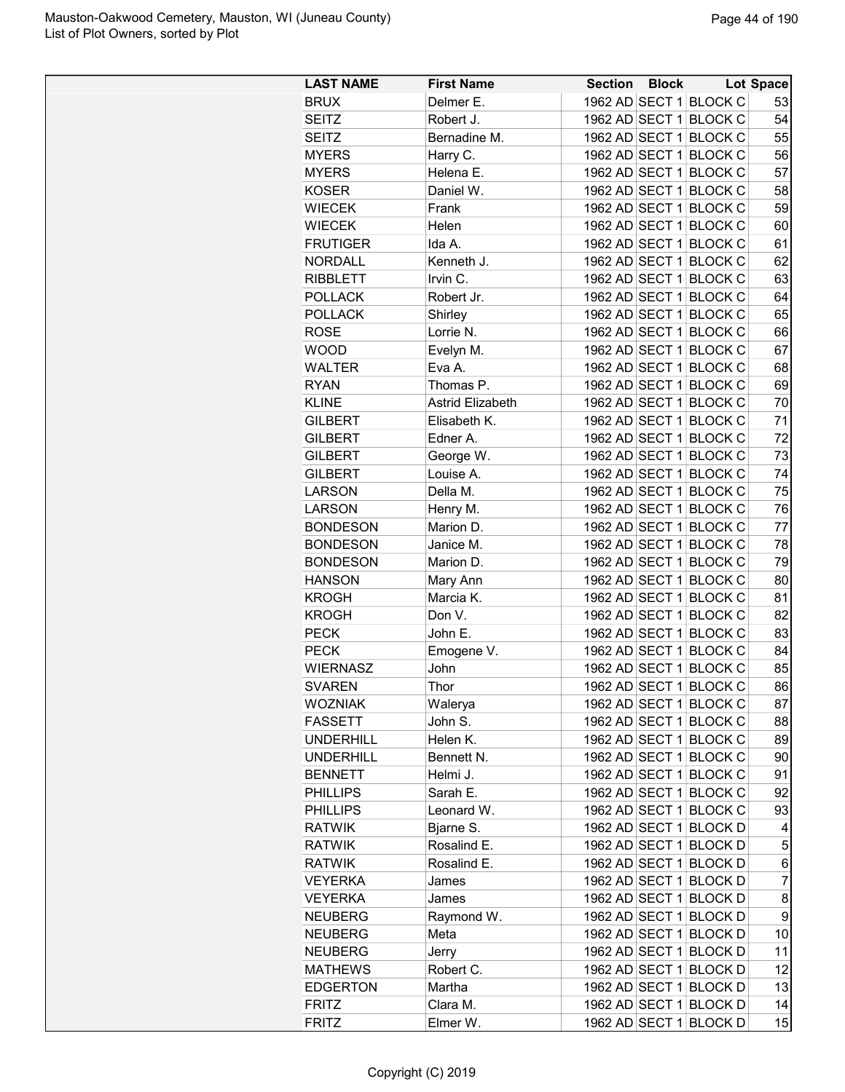| <b>LAST NAME</b>                | <b>First Name</b>       | <b>Section Block</b> |                        | Lot Space           |
|---------------------------------|-------------------------|----------------------|------------------------|---------------------|
| <b>BRUX</b>                     | Delmer E.               |                      | 1962 AD SECT 1 BLOCK C | 53                  |
| <b>SEITZ</b>                    | Robert J.               |                      | 1962 AD SECT 1 BLOCK C | 54                  |
| SEITZ                           | Bernadine M.            |                      | 1962 AD SECT 1 BLOCK C | 55                  |
| <b>MYERS</b>                    | Harry C.                |                      | 1962 AD SECT 1 BLOCK C | 56                  |
| <b>MYERS</b>                    | Helena E.               |                      | 1962 AD SECT 1 BLOCK C | 57                  |
| <b>KOSER</b>                    | Daniel W.               |                      | 1962 AD SECT 1 BLOCK C | 58                  |
| <b>WIECEK</b>                   | Frank                   |                      | 1962 AD SECT 1 BLOCK C | 59                  |
| <b>WIECEK</b>                   | Helen                   |                      | 1962 AD SECT 1 BLOCK C | 60                  |
| <b>FRUTIGER</b>                 | Ida A.                  |                      | 1962 AD SECT 1 BLOCK C | 61                  |
| <b>NORDALL</b>                  | Kenneth J.              |                      | 1962 AD SECT 1 BLOCK C | 62                  |
| <b>RIBBLETT</b>                 | Irvin C.                |                      | 1962 AD SECT 1 BLOCK C | 63                  |
| <b>POLLACK</b>                  | Robert Jr.              |                      | 1962 AD SECT 1 BLOCK C | 64                  |
| <b>POLLACK</b>                  | Shirley                 |                      | 1962 AD SECT 1 BLOCK C | 65                  |
| <b>ROSE</b>                     | Lorrie N.               |                      | 1962 AD SECT 1 BLOCK C | 66                  |
| <b>WOOD</b>                     | Evelyn M.               |                      | 1962 AD SECT 1 BLOCK C | 67                  |
| <b>WALTER</b>                   | Eva A.                  |                      | 1962 AD SECT 1 BLOCK C | 68                  |
| <b>RYAN</b>                     | Thomas P.               |                      | 1962 AD SECT 1 BLOCK C | 69                  |
| <b>KLINE</b>                    | <b>Astrid Elizabeth</b> |                      | 1962 AD SECT 1 BLOCK C | 70                  |
| <b>GILBERT</b>                  | Elisabeth K.            |                      | 1962 AD SECT 1 BLOCK C | 71                  |
| <b>GILBERT</b>                  | Edner A.                |                      | 1962 AD SECT 1 BLOCK C | 72                  |
| <b>GILBERT</b>                  | George W.               |                      | 1962 AD SECT 1 BLOCK C | 73                  |
| <b>GILBERT</b>                  | Louise A.               |                      | 1962 AD SECT 1 BLOCK C | 74                  |
| <b>LARSON</b>                   | Della M.                |                      | 1962 AD SECT 1 BLOCK C | 75                  |
| <b>LARSON</b>                   | Henry M.                |                      | 1962 AD SECT 1 BLOCK C | 76                  |
| <b>BONDESON</b>                 | Marion D.               |                      | 1962 AD SECT 1 BLOCK C | 77                  |
| <b>BONDESON</b>                 | Janice M.               |                      | 1962 AD SECT 1 BLOCK C | 78                  |
| <b>BONDESON</b>                 | Marion D.               |                      | 1962 AD SECT 1 BLOCK C | 79                  |
| <b>HANSON</b>                   | Mary Ann                |                      | 1962 AD SECT 1 BLOCK C | 80                  |
| <b>KROGH</b>                    | Marcia K.               |                      | 1962 AD SECT 1 BLOCK C | 81                  |
| <b>KROGH</b>                    | Don V.                  |                      | 1962 AD SECT 1 BLOCK C | 82                  |
| <b>PECK</b>                     | John E.                 |                      | 1962 AD SECT 1 BLOCK C | 83                  |
| <b>PECK</b>                     | Emogene V.              |                      | 1962 AD SECT 1 BLOCK C | 84                  |
| <b>WIERNASZ</b>                 | John                    |                      | 1962 AD SECT 1 BLOCK C | 85                  |
| <b>SVAREN</b>                   | Thor                    |                      | 1962 AD SECT 1 BLOCK C | 86                  |
| <b>WOZNIAK</b>                  | Walerya                 |                      | 1962 AD SECT 1 BLOCK C | 87                  |
| <b>FASSETT</b>                  | John S.                 |                      | 1962 AD SECT 1 BLOCK C | 88                  |
| <b>UNDERHILL</b>                | Helen K.                |                      | 1962 AD SECT 1 BLOCK C | 89                  |
| <b>UNDERHILL</b>                | Bennett N.              |                      | 1962 AD SECT 1 BLOCK C | 90                  |
| <b>BENNETT</b>                  | Helmi J.                |                      | 1962 AD SECT 1 BLOCK C | 91                  |
| <b>PHILLIPS</b>                 | Sarah E.                |                      | 1962 AD SECT 1 BLOCK C | 92                  |
| <b>PHILLIPS</b>                 | Leonard W.              |                      | 1962 AD SECT 1 BLOCK C | 93                  |
| <b>RATWIK</b>                   | Bjarne S.               |                      | 1962 AD SECT 1 BLOCK D | 4                   |
| <b>RATWIK</b>                   | Rosalind E.             |                      | 1962 AD SECT 1 BLOCK D | $\mathbf 5$         |
|                                 | Rosalind E.             |                      | 1962 AD SECT 1 BLOCK D |                     |
| <b>RATWIK</b><br><b>VEYERKA</b> | James                   |                      | 1962 AD SECT 1 BLOCK D | 6<br>$\overline{7}$ |
|                                 |                         |                      |                        |                     |
| <b>VEYERKA</b>                  | James                   |                      | 1962 AD SECT 1 BLOCK D | 8                   |
| <b>NEUBERG</b>                  | Raymond W.              |                      | 1962 AD SECT 1 BLOCK D | 9                   |
| <b>NEUBERG</b>                  | Meta                    |                      | 1962 AD SECT 1 BLOCK D | 10                  |
| <b>NEUBERG</b>                  | Jerry                   |                      | 1962 AD SECT 1 BLOCK D | 11                  |
| <b>MATHEWS</b>                  | Robert C.               |                      | 1962 AD SECT 1 BLOCK D | 12                  |
| <b>EDGERTON</b>                 | Martha                  |                      | 1962 AD SECT 1 BLOCK D | 13                  |
| <b>FRITZ</b>                    | Clara M.                |                      | 1962 AD SECT 1 BLOCK D | 14                  |
| <b>FRITZ</b>                    | Elmer W.                |                      | 1962 AD SECT 1 BLOCK D | 15                  |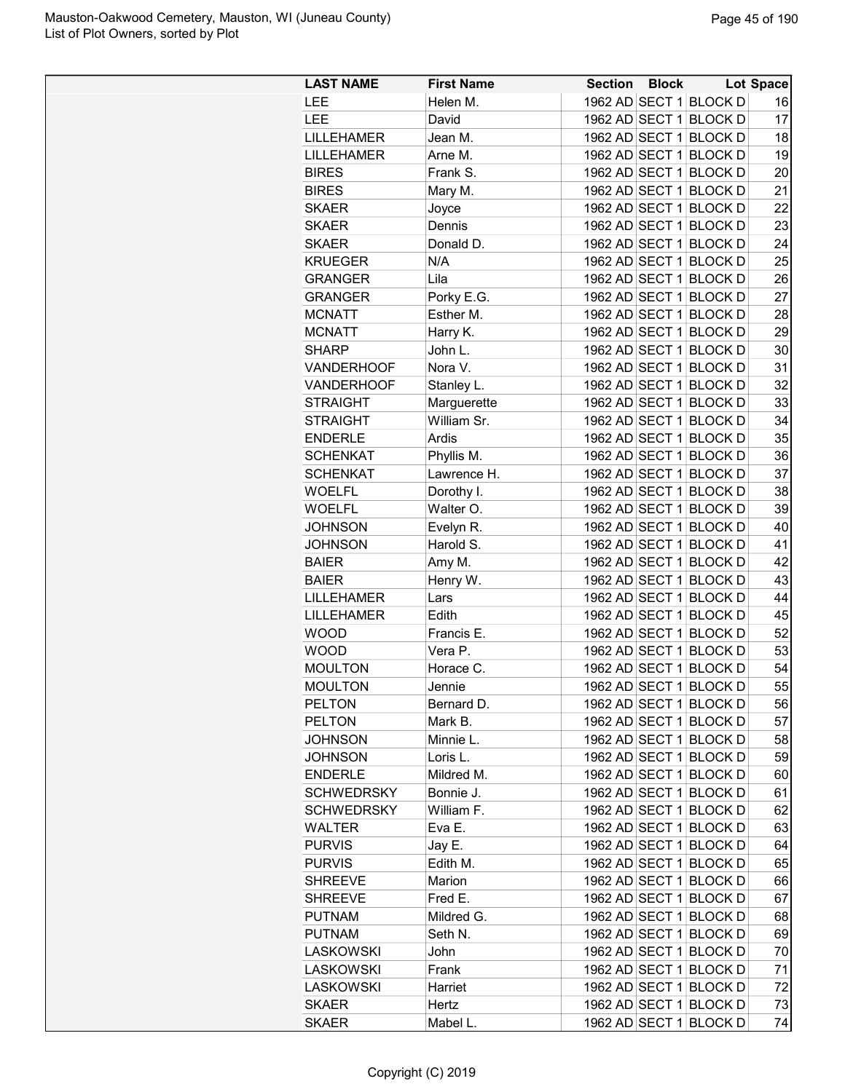| 1962 AD SECT 1 BLOCK D<br>Helen M.<br><b>LEE</b><br>16<br>1962 AD SECT 1 BLOCK D<br>17<br>LEE<br>David<br>1962 AD SECT 1 BLOCK D<br>18<br>LILLEHAMER<br>Jean M.<br>1962 AD SECT 1 BLOCK D<br><b>LILLEHAMER</b><br>19<br>Arne M.<br><b>BIRES</b><br>Frank S.<br>1962 AD SECT 1 BLOCK D<br>20<br><b>BIRES</b><br>Mary M.<br>1962 AD SECT 1 BLOCK D<br>21<br>1962 AD SECT 1 BLOCK D<br>22<br><b>SKAER</b><br>Joyce<br>1962 AD SECT 1 BLOCK D<br><b>SKAER</b><br>Dennis<br>23<br>1962 AD SECT 1 BLOCK D<br>24<br><b>SKAER</b><br>Donald D.<br>1962 AD SECT 1 BLOCK D<br>25<br><b>KRUEGER</b><br>N/A<br>1962 AD SECT 1 BLOCK D<br><b>GRANGER</b><br>Lila<br>26<br>Porky E.G.<br>1962 AD SECT 1 BLOCK D<br>27<br><b>GRANGER</b><br>Esther M.<br>1962 AD SECT 1 BLOCK D<br>28<br><b>MCNATT</b><br>1962 AD SECT 1 BLOCK D<br>29<br><b>MCNATT</b><br>Harry K.<br>1962 AD SECT 1 BLOCK D<br>30<br><b>SHARP</b><br>John L.<br>1962 AD SECT 1 BLOCK D<br>31<br>Nora V.<br><b>VANDERHOOF</b><br>32<br>1962 AD SECT 1 BLOCK D<br><b>VANDERHOOF</b><br>Stanley L.<br>1962 AD SECT 1 BLOCK D<br>33<br><b>STRAIGHT</b><br>Marguerette<br>1962 AD SECT 1 BLOCK D<br><b>STRAIGHT</b><br>William Sr.<br>34<br>35<br><b>ENDERLE</b><br>Ardis<br>1962 AD SECT 1 BLOCK D<br>1962 AD SECT 1 BLOCK D<br><b>SCHENKAT</b><br>Phyllis M.<br>36<br>1962 AD SECT 1 BLOCK D<br><b>SCHENKAT</b><br>Lawrence H.<br>37<br>1962 AD SECT 1 BLOCK D<br>38<br><b>WOELFL</b><br>Dorothy I.<br>Walter O.<br>1962 AD SECT 1 BLOCK D<br>39<br><b>WOELFL</b><br>1962 AD SECT 1 BLOCK D<br>40<br>JOHNSON<br>Evelyn R.<br>Harold S.<br>1962 AD SECT 1 BLOCK D<br>41<br>JOHNSON<br>42<br>1962 AD SECT 1 BLOCK D<br><b>BAIER</b><br>Amy M.<br>1962 AD SECT 1 BLOCK D<br>Henry W.<br>43<br><b>BAIER</b><br>1962 AD SECT 1 BLOCK D<br>44<br>LILLEHAMER<br>Lars<br>1962 AD SECT 1 BLOCK D<br>45<br><b>LILLEHAMER</b><br>Edith<br><b>WOOD</b><br>1962 AD SECT 1 BLOCK D<br>52<br>Francis E.<br>1962 AD SECT 1 BLOCK D<br>53<br><b>WOOD</b><br>Vera P.<br>1962 AD SECT 1 BLOCK D<br><b>MOULTON</b><br>54<br>Horace C.<br>55<br>1962 AD SECT 1 BLOCK D<br><b>MOULTON</b><br>Jennie<br>1962 AD SECT 1 BLOCK D<br>56<br><b>PELTON</b><br>Bernard D.<br>1962 AD SECT 1 BLOCK D<br><b>PELTON</b><br>57<br>Mark B.<br>1962 AD SECT 1 BLOCK D<br>Minnie L.<br>58<br><b>JOHNSON</b><br>59<br>JOHNSON<br>1962 AD SECT 1 BLOCK D<br>Loris L.<br>1962 AD SECT 1 BLOCK D<br><b>ENDERLE</b><br>Mildred M.<br>60<br>1962 AD SECT 1 BLOCK D<br><b>SCHWEDRSKY</b><br>Bonnie J.<br>61<br>William F.<br>1962 AD SECT 1 BLOCK D<br><b>SCHWEDRSKY</b><br>62<br>Eva E.<br>1962 AD SECT 1 BLOCK D<br>63<br><b>WALTER</b><br>1962 AD SECT 1 BLOCK D<br><b>PURVIS</b><br>64<br>Jay E.<br>1962 AD SECT 1 BLOCK D<br><b>PURVIS</b><br>Edith M.<br>65<br>1962 AD SECT 1 BLOCK D<br><b>SHREEVE</b><br>Marion<br>66<br>1962 AD SECT 1 BLOCK D<br>Fred E.<br>67<br><b>SHREEVE</b><br><b>PUTNAM</b><br>Mildred G.<br>1962 AD SECT 1 BLOCK D<br>68<br>1962 AD SECT 1 BLOCK D<br><b>PUTNAM</b><br>Seth N.<br>69<br>1962 AD SECT 1 BLOCK D<br><b>LASKOWSKI</b><br>John<br>70<br>1962 AD SECT 1 BLOCK D<br>Frank<br>71<br>LASKOWSKI<br>1962 AD SECT 1 BLOCK D<br>72<br><b>LASKOWSKI</b><br>Harriet<br>1962 AD SECT 1 BLOCK D<br><b>SKAER</b><br>73<br>Hertz | <b>LAST NAME</b> | <b>First Name</b> | <b>Section</b> | <b>Block</b> | Lot Space |
|----------------------------------------------------------------------------------------------------------------------------------------------------------------------------------------------------------------------------------------------------------------------------------------------------------------------------------------------------------------------------------------------------------------------------------------------------------------------------------------------------------------------------------------------------------------------------------------------------------------------------------------------------------------------------------------------------------------------------------------------------------------------------------------------------------------------------------------------------------------------------------------------------------------------------------------------------------------------------------------------------------------------------------------------------------------------------------------------------------------------------------------------------------------------------------------------------------------------------------------------------------------------------------------------------------------------------------------------------------------------------------------------------------------------------------------------------------------------------------------------------------------------------------------------------------------------------------------------------------------------------------------------------------------------------------------------------------------------------------------------------------------------------------------------------------------------------------------------------------------------------------------------------------------------------------------------------------------------------------------------------------------------------------------------------------------------------------------------------------------------------------------------------------------------------------------------------------------------------------------------------------------------------------------------------------------------------------------------------------------------------------------------------------------------------------------------------------------------------------------------------------------------------------------------------------------------------------------------------------------------------------------------------------------------------------------------------------------------------------------------------------------------------------------------------------------------------------------------------------------------------------------------------------------------------------------------------------------------------------------------------------------------------------------------------------------------------------------------------------------------------------------------------------------------------------------------------------------------------------------------------------------------|------------------|-------------------|----------------|--------------|-----------|
|                                                                                                                                                                                                                                                                                                                                                                                                                                                                                                                                                                                                                                                                                                                                                                                                                                                                                                                                                                                                                                                                                                                                                                                                                                                                                                                                                                                                                                                                                                                                                                                                                                                                                                                                                                                                                                                                                                                                                                                                                                                                                                                                                                                                                                                                                                                                                                                                                                                                                                                                                                                                                                                                                                                                                                                                                                                                                                                                                                                                                                                                                                                                                                                                                                                                      |                  |                   |                |              |           |
|                                                                                                                                                                                                                                                                                                                                                                                                                                                                                                                                                                                                                                                                                                                                                                                                                                                                                                                                                                                                                                                                                                                                                                                                                                                                                                                                                                                                                                                                                                                                                                                                                                                                                                                                                                                                                                                                                                                                                                                                                                                                                                                                                                                                                                                                                                                                                                                                                                                                                                                                                                                                                                                                                                                                                                                                                                                                                                                                                                                                                                                                                                                                                                                                                                                                      |                  |                   |                |              |           |
|                                                                                                                                                                                                                                                                                                                                                                                                                                                                                                                                                                                                                                                                                                                                                                                                                                                                                                                                                                                                                                                                                                                                                                                                                                                                                                                                                                                                                                                                                                                                                                                                                                                                                                                                                                                                                                                                                                                                                                                                                                                                                                                                                                                                                                                                                                                                                                                                                                                                                                                                                                                                                                                                                                                                                                                                                                                                                                                                                                                                                                                                                                                                                                                                                                                                      |                  |                   |                |              |           |
|                                                                                                                                                                                                                                                                                                                                                                                                                                                                                                                                                                                                                                                                                                                                                                                                                                                                                                                                                                                                                                                                                                                                                                                                                                                                                                                                                                                                                                                                                                                                                                                                                                                                                                                                                                                                                                                                                                                                                                                                                                                                                                                                                                                                                                                                                                                                                                                                                                                                                                                                                                                                                                                                                                                                                                                                                                                                                                                                                                                                                                                                                                                                                                                                                                                                      |                  |                   |                |              |           |
|                                                                                                                                                                                                                                                                                                                                                                                                                                                                                                                                                                                                                                                                                                                                                                                                                                                                                                                                                                                                                                                                                                                                                                                                                                                                                                                                                                                                                                                                                                                                                                                                                                                                                                                                                                                                                                                                                                                                                                                                                                                                                                                                                                                                                                                                                                                                                                                                                                                                                                                                                                                                                                                                                                                                                                                                                                                                                                                                                                                                                                                                                                                                                                                                                                                                      |                  |                   |                |              |           |
|                                                                                                                                                                                                                                                                                                                                                                                                                                                                                                                                                                                                                                                                                                                                                                                                                                                                                                                                                                                                                                                                                                                                                                                                                                                                                                                                                                                                                                                                                                                                                                                                                                                                                                                                                                                                                                                                                                                                                                                                                                                                                                                                                                                                                                                                                                                                                                                                                                                                                                                                                                                                                                                                                                                                                                                                                                                                                                                                                                                                                                                                                                                                                                                                                                                                      |                  |                   |                |              |           |
|                                                                                                                                                                                                                                                                                                                                                                                                                                                                                                                                                                                                                                                                                                                                                                                                                                                                                                                                                                                                                                                                                                                                                                                                                                                                                                                                                                                                                                                                                                                                                                                                                                                                                                                                                                                                                                                                                                                                                                                                                                                                                                                                                                                                                                                                                                                                                                                                                                                                                                                                                                                                                                                                                                                                                                                                                                                                                                                                                                                                                                                                                                                                                                                                                                                                      |                  |                   |                |              |           |
|                                                                                                                                                                                                                                                                                                                                                                                                                                                                                                                                                                                                                                                                                                                                                                                                                                                                                                                                                                                                                                                                                                                                                                                                                                                                                                                                                                                                                                                                                                                                                                                                                                                                                                                                                                                                                                                                                                                                                                                                                                                                                                                                                                                                                                                                                                                                                                                                                                                                                                                                                                                                                                                                                                                                                                                                                                                                                                                                                                                                                                                                                                                                                                                                                                                                      |                  |                   |                |              |           |
|                                                                                                                                                                                                                                                                                                                                                                                                                                                                                                                                                                                                                                                                                                                                                                                                                                                                                                                                                                                                                                                                                                                                                                                                                                                                                                                                                                                                                                                                                                                                                                                                                                                                                                                                                                                                                                                                                                                                                                                                                                                                                                                                                                                                                                                                                                                                                                                                                                                                                                                                                                                                                                                                                                                                                                                                                                                                                                                                                                                                                                                                                                                                                                                                                                                                      |                  |                   |                |              |           |
|                                                                                                                                                                                                                                                                                                                                                                                                                                                                                                                                                                                                                                                                                                                                                                                                                                                                                                                                                                                                                                                                                                                                                                                                                                                                                                                                                                                                                                                                                                                                                                                                                                                                                                                                                                                                                                                                                                                                                                                                                                                                                                                                                                                                                                                                                                                                                                                                                                                                                                                                                                                                                                                                                                                                                                                                                                                                                                                                                                                                                                                                                                                                                                                                                                                                      |                  |                   |                |              |           |
|                                                                                                                                                                                                                                                                                                                                                                                                                                                                                                                                                                                                                                                                                                                                                                                                                                                                                                                                                                                                                                                                                                                                                                                                                                                                                                                                                                                                                                                                                                                                                                                                                                                                                                                                                                                                                                                                                                                                                                                                                                                                                                                                                                                                                                                                                                                                                                                                                                                                                                                                                                                                                                                                                                                                                                                                                                                                                                                                                                                                                                                                                                                                                                                                                                                                      |                  |                   |                |              |           |
|                                                                                                                                                                                                                                                                                                                                                                                                                                                                                                                                                                                                                                                                                                                                                                                                                                                                                                                                                                                                                                                                                                                                                                                                                                                                                                                                                                                                                                                                                                                                                                                                                                                                                                                                                                                                                                                                                                                                                                                                                                                                                                                                                                                                                                                                                                                                                                                                                                                                                                                                                                                                                                                                                                                                                                                                                                                                                                                                                                                                                                                                                                                                                                                                                                                                      |                  |                   |                |              |           |
|                                                                                                                                                                                                                                                                                                                                                                                                                                                                                                                                                                                                                                                                                                                                                                                                                                                                                                                                                                                                                                                                                                                                                                                                                                                                                                                                                                                                                                                                                                                                                                                                                                                                                                                                                                                                                                                                                                                                                                                                                                                                                                                                                                                                                                                                                                                                                                                                                                                                                                                                                                                                                                                                                                                                                                                                                                                                                                                                                                                                                                                                                                                                                                                                                                                                      |                  |                   |                |              |           |
|                                                                                                                                                                                                                                                                                                                                                                                                                                                                                                                                                                                                                                                                                                                                                                                                                                                                                                                                                                                                                                                                                                                                                                                                                                                                                                                                                                                                                                                                                                                                                                                                                                                                                                                                                                                                                                                                                                                                                                                                                                                                                                                                                                                                                                                                                                                                                                                                                                                                                                                                                                                                                                                                                                                                                                                                                                                                                                                                                                                                                                                                                                                                                                                                                                                                      |                  |                   |                |              |           |
|                                                                                                                                                                                                                                                                                                                                                                                                                                                                                                                                                                                                                                                                                                                                                                                                                                                                                                                                                                                                                                                                                                                                                                                                                                                                                                                                                                                                                                                                                                                                                                                                                                                                                                                                                                                                                                                                                                                                                                                                                                                                                                                                                                                                                                                                                                                                                                                                                                                                                                                                                                                                                                                                                                                                                                                                                                                                                                                                                                                                                                                                                                                                                                                                                                                                      |                  |                   |                |              |           |
|                                                                                                                                                                                                                                                                                                                                                                                                                                                                                                                                                                                                                                                                                                                                                                                                                                                                                                                                                                                                                                                                                                                                                                                                                                                                                                                                                                                                                                                                                                                                                                                                                                                                                                                                                                                                                                                                                                                                                                                                                                                                                                                                                                                                                                                                                                                                                                                                                                                                                                                                                                                                                                                                                                                                                                                                                                                                                                                                                                                                                                                                                                                                                                                                                                                                      |                  |                   |                |              |           |
|                                                                                                                                                                                                                                                                                                                                                                                                                                                                                                                                                                                                                                                                                                                                                                                                                                                                                                                                                                                                                                                                                                                                                                                                                                                                                                                                                                                                                                                                                                                                                                                                                                                                                                                                                                                                                                                                                                                                                                                                                                                                                                                                                                                                                                                                                                                                                                                                                                                                                                                                                                                                                                                                                                                                                                                                                                                                                                                                                                                                                                                                                                                                                                                                                                                                      |                  |                   |                |              |           |
|                                                                                                                                                                                                                                                                                                                                                                                                                                                                                                                                                                                                                                                                                                                                                                                                                                                                                                                                                                                                                                                                                                                                                                                                                                                                                                                                                                                                                                                                                                                                                                                                                                                                                                                                                                                                                                                                                                                                                                                                                                                                                                                                                                                                                                                                                                                                                                                                                                                                                                                                                                                                                                                                                                                                                                                                                                                                                                                                                                                                                                                                                                                                                                                                                                                                      |                  |                   |                |              |           |
|                                                                                                                                                                                                                                                                                                                                                                                                                                                                                                                                                                                                                                                                                                                                                                                                                                                                                                                                                                                                                                                                                                                                                                                                                                                                                                                                                                                                                                                                                                                                                                                                                                                                                                                                                                                                                                                                                                                                                                                                                                                                                                                                                                                                                                                                                                                                                                                                                                                                                                                                                                                                                                                                                                                                                                                                                                                                                                                                                                                                                                                                                                                                                                                                                                                                      |                  |                   |                |              |           |
|                                                                                                                                                                                                                                                                                                                                                                                                                                                                                                                                                                                                                                                                                                                                                                                                                                                                                                                                                                                                                                                                                                                                                                                                                                                                                                                                                                                                                                                                                                                                                                                                                                                                                                                                                                                                                                                                                                                                                                                                                                                                                                                                                                                                                                                                                                                                                                                                                                                                                                                                                                                                                                                                                                                                                                                                                                                                                                                                                                                                                                                                                                                                                                                                                                                                      |                  |                   |                |              |           |
|                                                                                                                                                                                                                                                                                                                                                                                                                                                                                                                                                                                                                                                                                                                                                                                                                                                                                                                                                                                                                                                                                                                                                                                                                                                                                                                                                                                                                                                                                                                                                                                                                                                                                                                                                                                                                                                                                                                                                                                                                                                                                                                                                                                                                                                                                                                                                                                                                                                                                                                                                                                                                                                                                                                                                                                                                                                                                                                                                                                                                                                                                                                                                                                                                                                                      |                  |                   |                |              |           |
|                                                                                                                                                                                                                                                                                                                                                                                                                                                                                                                                                                                                                                                                                                                                                                                                                                                                                                                                                                                                                                                                                                                                                                                                                                                                                                                                                                                                                                                                                                                                                                                                                                                                                                                                                                                                                                                                                                                                                                                                                                                                                                                                                                                                                                                                                                                                                                                                                                                                                                                                                                                                                                                                                                                                                                                                                                                                                                                                                                                                                                                                                                                                                                                                                                                                      |                  |                   |                |              |           |
|                                                                                                                                                                                                                                                                                                                                                                                                                                                                                                                                                                                                                                                                                                                                                                                                                                                                                                                                                                                                                                                                                                                                                                                                                                                                                                                                                                                                                                                                                                                                                                                                                                                                                                                                                                                                                                                                                                                                                                                                                                                                                                                                                                                                                                                                                                                                                                                                                                                                                                                                                                                                                                                                                                                                                                                                                                                                                                                                                                                                                                                                                                                                                                                                                                                                      |                  |                   |                |              |           |
|                                                                                                                                                                                                                                                                                                                                                                                                                                                                                                                                                                                                                                                                                                                                                                                                                                                                                                                                                                                                                                                                                                                                                                                                                                                                                                                                                                                                                                                                                                                                                                                                                                                                                                                                                                                                                                                                                                                                                                                                                                                                                                                                                                                                                                                                                                                                                                                                                                                                                                                                                                                                                                                                                                                                                                                                                                                                                                                                                                                                                                                                                                                                                                                                                                                                      |                  |                   |                |              |           |
|                                                                                                                                                                                                                                                                                                                                                                                                                                                                                                                                                                                                                                                                                                                                                                                                                                                                                                                                                                                                                                                                                                                                                                                                                                                                                                                                                                                                                                                                                                                                                                                                                                                                                                                                                                                                                                                                                                                                                                                                                                                                                                                                                                                                                                                                                                                                                                                                                                                                                                                                                                                                                                                                                                                                                                                                                                                                                                                                                                                                                                                                                                                                                                                                                                                                      |                  |                   |                |              |           |
|                                                                                                                                                                                                                                                                                                                                                                                                                                                                                                                                                                                                                                                                                                                                                                                                                                                                                                                                                                                                                                                                                                                                                                                                                                                                                                                                                                                                                                                                                                                                                                                                                                                                                                                                                                                                                                                                                                                                                                                                                                                                                                                                                                                                                                                                                                                                                                                                                                                                                                                                                                                                                                                                                                                                                                                                                                                                                                                                                                                                                                                                                                                                                                                                                                                                      |                  |                   |                |              |           |
|                                                                                                                                                                                                                                                                                                                                                                                                                                                                                                                                                                                                                                                                                                                                                                                                                                                                                                                                                                                                                                                                                                                                                                                                                                                                                                                                                                                                                                                                                                                                                                                                                                                                                                                                                                                                                                                                                                                                                                                                                                                                                                                                                                                                                                                                                                                                                                                                                                                                                                                                                                                                                                                                                                                                                                                                                                                                                                                                                                                                                                                                                                                                                                                                                                                                      |                  |                   |                |              |           |
|                                                                                                                                                                                                                                                                                                                                                                                                                                                                                                                                                                                                                                                                                                                                                                                                                                                                                                                                                                                                                                                                                                                                                                                                                                                                                                                                                                                                                                                                                                                                                                                                                                                                                                                                                                                                                                                                                                                                                                                                                                                                                                                                                                                                                                                                                                                                                                                                                                                                                                                                                                                                                                                                                                                                                                                                                                                                                                                                                                                                                                                                                                                                                                                                                                                                      |                  |                   |                |              |           |
|                                                                                                                                                                                                                                                                                                                                                                                                                                                                                                                                                                                                                                                                                                                                                                                                                                                                                                                                                                                                                                                                                                                                                                                                                                                                                                                                                                                                                                                                                                                                                                                                                                                                                                                                                                                                                                                                                                                                                                                                                                                                                                                                                                                                                                                                                                                                                                                                                                                                                                                                                                                                                                                                                                                                                                                                                                                                                                                                                                                                                                                                                                                                                                                                                                                                      |                  |                   |                |              |           |
|                                                                                                                                                                                                                                                                                                                                                                                                                                                                                                                                                                                                                                                                                                                                                                                                                                                                                                                                                                                                                                                                                                                                                                                                                                                                                                                                                                                                                                                                                                                                                                                                                                                                                                                                                                                                                                                                                                                                                                                                                                                                                                                                                                                                                                                                                                                                                                                                                                                                                                                                                                                                                                                                                                                                                                                                                                                                                                                                                                                                                                                                                                                                                                                                                                                                      |                  |                   |                |              |           |
|                                                                                                                                                                                                                                                                                                                                                                                                                                                                                                                                                                                                                                                                                                                                                                                                                                                                                                                                                                                                                                                                                                                                                                                                                                                                                                                                                                                                                                                                                                                                                                                                                                                                                                                                                                                                                                                                                                                                                                                                                                                                                                                                                                                                                                                                                                                                                                                                                                                                                                                                                                                                                                                                                                                                                                                                                                                                                                                                                                                                                                                                                                                                                                                                                                                                      |                  |                   |                |              |           |
|                                                                                                                                                                                                                                                                                                                                                                                                                                                                                                                                                                                                                                                                                                                                                                                                                                                                                                                                                                                                                                                                                                                                                                                                                                                                                                                                                                                                                                                                                                                                                                                                                                                                                                                                                                                                                                                                                                                                                                                                                                                                                                                                                                                                                                                                                                                                                                                                                                                                                                                                                                                                                                                                                                                                                                                                                                                                                                                                                                                                                                                                                                                                                                                                                                                                      |                  |                   |                |              |           |
|                                                                                                                                                                                                                                                                                                                                                                                                                                                                                                                                                                                                                                                                                                                                                                                                                                                                                                                                                                                                                                                                                                                                                                                                                                                                                                                                                                                                                                                                                                                                                                                                                                                                                                                                                                                                                                                                                                                                                                                                                                                                                                                                                                                                                                                                                                                                                                                                                                                                                                                                                                                                                                                                                                                                                                                                                                                                                                                                                                                                                                                                                                                                                                                                                                                                      |                  |                   |                |              |           |
|                                                                                                                                                                                                                                                                                                                                                                                                                                                                                                                                                                                                                                                                                                                                                                                                                                                                                                                                                                                                                                                                                                                                                                                                                                                                                                                                                                                                                                                                                                                                                                                                                                                                                                                                                                                                                                                                                                                                                                                                                                                                                                                                                                                                                                                                                                                                                                                                                                                                                                                                                                                                                                                                                                                                                                                                                                                                                                                                                                                                                                                                                                                                                                                                                                                                      |                  |                   |                |              |           |
|                                                                                                                                                                                                                                                                                                                                                                                                                                                                                                                                                                                                                                                                                                                                                                                                                                                                                                                                                                                                                                                                                                                                                                                                                                                                                                                                                                                                                                                                                                                                                                                                                                                                                                                                                                                                                                                                                                                                                                                                                                                                                                                                                                                                                                                                                                                                                                                                                                                                                                                                                                                                                                                                                                                                                                                                                                                                                                                                                                                                                                                                                                                                                                                                                                                                      |                  |                   |                |              |           |
|                                                                                                                                                                                                                                                                                                                                                                                                                                                                                                                                                                                                                                                                                                                                                                                                                                                                                                                                                                                                                                                                                                                                                                                                                                                                                                                                                                                                                                                                                                                                                                                                                                                                                                                                                                                                                                                                                                                                                                                                                                                                                                                                                                                                                                                                                                                                                                                                                                                                                                                                                                                                                                                                                                                                                                                                                                                                                                                                                                                                                                                                                                                                                                                                                                                                      |                  |                   |                |              |           |
|                                                                                                                                                                                                                                                                                                                                                                                                                                                                                                                                                                                                                                                                                                                                                                                                                                                                                                                                                                                                                                                                                                                                                                                                                                                                                                                                                                                                                                                                                                                                                                                                                                                                                                                                                                                                                                                                                                                                                                                                                                                                                                                                                                                                                                                                                                                                                                                                                                                                                                                                                                                                                                                                                                                                                                                                                                                                                                                                                                                                                                                                                                                                                                                                                                                                      |                  |                   |                |              |           |
|                                                                                                                                                                                                                                                                                                                                                                                                                                                                                                                                                                                                                                                                                                                                                                                                                                                                                                                                                                                                                                                                                                                                                                                                                                                                                                                                                                                                                                                                                                                                                                                                                                                                                                                                                                                                                                                                                                                                                                                                                                                                                                                                                                                                                                                                                                                                                                                                                                                                                                                                                                                                                                                                                                                                                                                                                                                                                                                                                                                                                                                                                                                                                                                                                                                                      |                  |                   |                |              |           |
|                                                                                                                                                                                                                                                                                                                                                                                                                                                                                                                                                                                                                                                                                                                                                                                                                                                                                                                                                                                                                                                                                                                                                                                                                                                                                                                                                                                                                                                                                                                                                                                                                                                                                                                                                                                                                                                                                                                                                                                                                                                                                                                                                                                                                                                                                                                                                                                                                                                                                                                                                                                                                                                                                                                                                                                                                                                                                                                                                                                                                                                                                                                                                                                                                                                                      |                  |                   |                |              |           |
|                                                                                                                                                                                                                                                                                                                                                                                                                                                                                                                                                                                                                                                                                                                                                                                                                                                                                                                                                                                                                                                                                                                                                                                                                                                                                                                                                                                                                                                                                                                                                                                                                                                                                                                                                                                                                                                                                                                                                                                                                                                                                                                                                                                                                                                                                                                                                                                                                                                                                                                                                                                                                                                                                                                                                                                                                                                                                                                                                                                                                                                                                                                                                                                                                                                                      |                  |                   |                |              |           |
|                                                                                                                                                                                                                                                                                                                                                                                                                                                                                                                                                                                                                                                                                                                                                                                                                                                                                                                                                                                                                                                                                                                                                                                                                                                                                                                                                                                                                                                                                                                                                                                                                                                                                                                                                                                                                                                                                                                                                                                                                                                                                                                                                                                                                                                                                                                                                                                                                                                                                                                                                                                                                                                                                                                                                                                                                                                                                                                                                                                                                                                                                                                                                                                                                                                                      |                  |                   |                |              |           |
|                                                                                                                                                                                                                                                                                                                                                                                                                                                                                                                                                                                                                                                                                                                                                                                                                                                                                                                                                                                                                                                                                                                                                                                                                                                                                                                                                                                                                                                                                                                                                                                                                                                                                                                                                                                                                                                                                                                                                                                                                                                                                                                                                                                                                                                                                                                                                                                                                                                                                                                                                                                                                                                                                                                                                                                                                                                                                                                                                                                                                                                                                                                                                                                                                                                                      |                  |                   |                |              |           |
|                                                                                                                                                                                                                                                                                                                                                                                                                                                                                                                                                                                                                                                                                                                                                                                                                                                                                                                                                                                                                                                                                                                                                                                                                                                                                                                                                                                                                                                                                                                                                                                                                                                                                                                                                                                                                                                                                                                                                                                                                                                                                                                                                                                                                                                                                                                                                                                                                                                                                                                                                                                                                                                                                                                                                                                                                                                                                                                                                                                                                                                                                                                                                                                                                                                                      |                  |                   |                |              |           |
|                                                                                                                                                                                                                                                                                                                                                                                                                                                                                                                                                                                                                                                                                                                                                                                                                                                                                                                                                                                                                                                                                                                                                                                                                                                                                                                                                                                                                                                                                                                                                                                                                                                                                                                                                                                                                                                                                                                                                                                                                                                                                                                                                                                                                                                                                                                                                                                                                                                                                                                                                                                                                                                                                                                                                                                                                                                                                                                                                                                                                                                                                                                                                                                                                                                                      |                  |                   |                |              |           |
|                                                                                                                                                                                                                                                                                                                                                                                                                                                                                                                                                                                                                                                                                                                                                                                                                                                                                                                                                                                                                                                                                                                                                                                                                                                                                                                                                                                                                                                                                                                                                                                                                                                                                                                                                                                                                                                                                                                                                                                                                                                                                                                                                                                                                                                                                                                                                                                                                                                                                                                                                                                                                                                                                                                                                                                                                                                                                                                                                                                                                                                                                                                                                                                                                                                                      |                  |                   |                |              |           |
|                                                                                                                                                                                                                                                                                                                                                                                                                                                                                                                                                                                                                                                                                                                                                                                                                                                                                                                                                                                                                                                                                                                                                                                                                                                                                                                                                                                                                                                                                                                                                                                                                                                                                                                                                                                                                                                                                                                                                                                                                                                                                                                                                                                                                                                                                                                                                                                                                                                                                                                                                                                                                                                                                                                                                                                                                                                                                                                                                                                                                                                                                                                                                                                                                                                                      |                  |                   |                |              |           |
|                                                                                                                                                                                                                                                                                                                                                                                                                                                                                                                                                                                                                                                                                                                                                                                                                                                                                                                                                                                                                                                                                                                                                                                                                                                                                                                                                                                                                                                                                                                                                                                                                                                                                                                                                                                                                                                                                                                                                                                                                                                                                                                                                                                                                                                                                                                                                                                                                                                                                                                                                                                                                                                                                                                                                                                                                                                                                                                                                                                                                                                                                                                                                                                                                                                                      |                  |                   |                |              |           |
|                                                                                                                                                                                                                                                                                                                                                                                                                                                                                                                                                                                                                                                                                                                                                                                                                                                                                                                                                                                                                                                                                                                                                                                                                                                                                                                                                                                                                                                                                                                                                                                                                                                                                                                                                                                                                                                                                                                                                                                                                                                                                                                                                                                                                                                                                                                                                                                                                                                                                                                                                                                                                                                                                                                                                                                                                                                                                                                                                                                                                                                                                                                                                                                                                                                                      |                  |                   |                |              |           |
|                                                                                                                                                                                                                                                                                                                                                                                                                                                                                                                                                                                                                                                                                                                                                                                                                                                                                                                                                                                                                                                                                                                                                                                                                                                                                                                                                                                                                                                                                                                                                                                                                                                                                                                                                                                                                                                                                                                                                                                                                                                                                                                                                                                                                                                                                                                                                                                                                                                                                                                                                                                                                                                                                                                                                                                                                                                                                                                                                                                                                                                                                                                                                                                                                                                                      |                  |                   |                |              |           |
|                                                                                                                                                                                                                                                                                                                                                                                                                                                                                                                                                                                                                                                                                                                                                                                                                                                                                                                                                                                                                                                                                                                                                                                                                                                                                                                                                                                                                                                                                                                                                                                                                                                                                                                                                                                                                                                                                                                                                                                                                                                                                                                                                                                                                                                                                                                                                                                                                                                                                                                                                                                                                                                                                                                                                                                                                                                                                                                                                                                                                                                                                                                                                                                                                                                                      |                  |                   |                |              |           |
|                                                                                                                                                                                                                                                                                                                                                                                                                                                                                                                                                                                                                                                                                                                                                                                                                                                                                                                                                                                                                                                                                                                                                                                                                                                                                                                                                                                                                                                                                                                                                                                                                                                                                                                                                                                                                                                                                                                                                                                                                                                                                                                                                                                                                                                                                                                                                                                                                                                                                                                                                                                                                                                                                                                                                                                                                                                                                                                                                                                                                                                                                                                                                                                                                                                                      |                  |                   |                |              |           |
|                                                                                                                                                                                                                                                                                                                                                                                                                                                                                                                                                                                                                                                                                                                                                                                                                                                                                                                                                                                                                                                                                                                                                                                                                                                                                                                                                                                                                                                                                                                                                                                                                                                                                                                                                                                                                                                                                                                                                                                                                                                                                                                                                                                                                                                                                                                                                                                                                                                                                                                                                                                                                                                                                                                                                                                                                                                                                                                                                                                                                                                                                                                                                                                                                                                                      |                  |                   |                |              |           |
| 1962 AD SECT 1 BLOCK D                                                                                                                                                                                                                                                                                                                                                                                                                                                                                                                                                                                                                                                                                                                                                                                                                                                                                                                                                                                                                                                                                                                                                                                                                                                                                                                                                                                                                                                                                                                                                                                                                                                                                                                                                                                                                                                                                                                                                                                                                                                                                                                                                                                                                                                                                                                                                                                                                                                                                                                                                                                                                                                                                                                                                                                                                                                                                                                                                                                                                                                                                                                                                                                                                                               | SKAER            | Mabel L.          |                |              | 74        |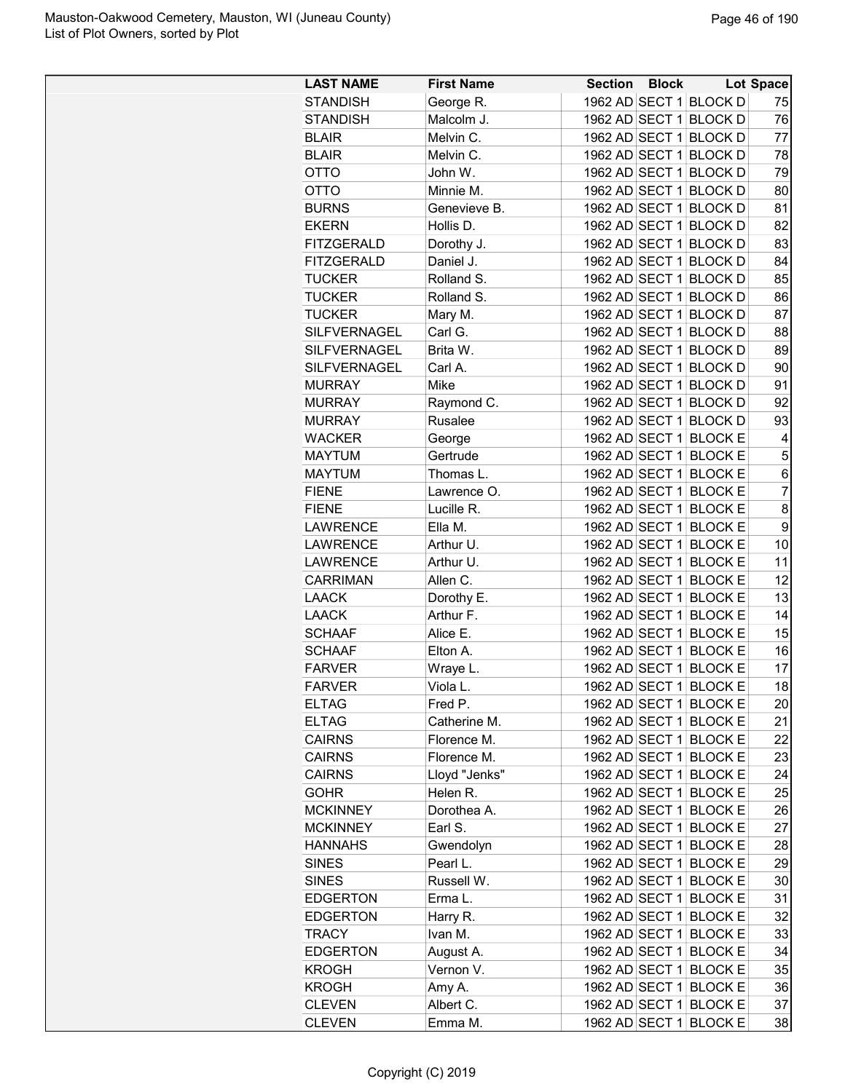| <b>LAST NAME</b>    | <b>First Name</b> | <b>Section Block</b> |                        | Lot Space      |
|---------------------|-------------------|----------------------|------------------------|----------------|
| <b>STANDISH</b>     | George R.         |                      | 1962 AD SECT 1 BLOCK D | 75             |
| <b>STANDISH</b>     | Malcolm J.        |                      | 1962 AD SECT 1 BLOCK D | 76             |
| <b>BLAIR</b>        | Melvin C.         |                      | 1962 AD SECT 1 BLOCK D | 77             |
| <b>BLAIR</b>        | Melvin C.         |                      | 1962 AD SECT 1 BLOCK D | 78             |
| <b>OTTO</b>         | John W.           |                      | 1962 AD SECT 1 BLOCK D | 79             |
| <b>OTTO</b>         | Minnie M.         |                      | 1962 AD SECT 1 BLOCK D | 80             |
| <b>BURNS</b>        | Genevieve B.      |                      | 1962 AD SECT 1 BLOCK D | 81             |
| <b>EKERN</b>        | Hollis D.         |                      | 1962 AD SECT 1 BLOCK D | 82             |
| <b>FITZGERALD</b>   | Dorothy J.        |                      | 1962 AD SECT 1 BLOCK D | 83             |
| <b>FITZGERALD</b>   | Daniel J.         |                      | 1962 AD SECT 1 BLOCK D | 84             |
| <b>TUCKER</b>       | Rolland S.        |                      | 1962 AD SECT 1 BLOCK D | 85             |
| <b>TUCKER</b>       | Rolland S.        |                      | 1962 AD SECT 1 BLOCK D | 86             |
| <b>TUCKER</b>       | Mary M.           |                      | 1962 AD SECT 1 BLOCK D | 87             |
| SILFVERNAGEL        | Carl G.           |                      | 1962 AD SECT 1 BLOCK D | 88             |
| SILFVERNAGEL        | Brita W.          |                      | 1962 AD SECT 1 BLOCK D | 89             |
| <b>SILFVERNAGEL</b> | Carl A.           |                      | 1962 AD SECT 1 BLOCK D | 90             |
| <b>MURRAY</b>       | Mike              |                      | 1962 AD SECT 1 BLOCK D | 91             |
| <b>MURRAY</b>       | Raymond C.        |                      | 1962 AD SECT 1 BLOCK D | 92             |
| <b>MURRAY</b>       | Rusalee           |                      | 1962 AD SECT 1 BLOCK D | 93             |
| <b>WACKER</b>       | George            |                      | 1962 AD SECT 1 BLOCK E | 4              |
| <b>MAYTUM</b>       | Gertrude          |                      | 1962 AD SECT 1 BLOCK E | 5              |
| <b>MAYTUM</b>       | Thomas L.         |                      | 1962 AD SECT 1 BLOCK E | 6              |
| <b>FIENE</b>        | Lawrence O.       |                      | 1962 AD SECT 1 BLOCK E | $\overline{7}$ |
| <b>FIENE</b>        | Lucille R.        |                      | 1962 AD SECT 1 BLOCK E | 8              |
| <b>LAWRENCE</b>     | Ella M.           |                      | 1962 AD SECT 1 BLOCK E | 9              |
| <b>LAWRENCE</b>     | Arthur U.         |                      | 1962 AD SECT 1 BLOCK E | 10             |
| <b>LAWRENCE</b>     | Arthur U.         | 1962 AD SECT 1       | <b>BLOCK E</b>         | 11             |
| <b>CARRIMAN</b>     | Allen C.          |                      | 1962 AD SECT 1 BLOCK E | 12             |
| <b>LAACK</b>        | Dorothy E.        |                      | 1962 AD SECT 1 BLOCK E | 13             |
| <b>LAACK</b>        | Arthur F.         |                      | 1962 AD SECT 1 BLOCK E | 14             |
| <b>SCHAAF</b>       | Alice E.          |                      | 1962 AD SECT 1 BLOCK E | 15             |
| <b>SCHAAF</b>       | Elton A.          |                      | 1962 AD SECT 1 BLOCK E | 16             |
| <b>FARVER</b>       | Wraye L.          |                      | 1962 AD SECT 1 BLOCK E | 17             |
| <b>FARVER</b>       | Viola L           |                      | 1962 AD SECT 1 BLOCK E | 18             |
| <b>ELTAG</b>        | Fred P.           |                      | 1962 AD SECT 1 BLOCK E | 20             |
| <b>ELTAG</b>        | Catherine M.      |                      | 1962 AD SECT 1 BLOCK E | 21             |
| <b>CAIRNS</b>       | Florence M.       |                      | 1962 AD SECT 1 BLOCK E | 22             |
| <b>CAIRNS</b>       | Florence M.       |                      | 1962 AD SECT 1 BLOCK E | 23             |
| <b>CAIRNS</b>       | Lloyd "Jenks"     |                      | 1962 AD SECT 1 BLOCK E | 24             |
| <b>GOHR</b>         | Helen R.          |                      | 1962 AD SECT 1 BLOCK E | 25             |
| <b>MCKINNEY</b>     | Dorothea A.       |                      | 1962 AD SECT 1 BLOCK E | 26             |
| <b>MCKINNEY</b>     | Earl S.           |                      | 1962 AD SECT 1 BLOCK E | 27             |
| <b>HANNAHS</b>      | Gwendolyn         |                      | 1962 AD SECT 1 BLOCK E | 28             |
| <b>SINES</b>        | Pearl L.          |                      | 1962 AD SECT 1 BLOCK E | 29             |
| <b>SINES</b>        | Russell W.        |                      | 1962 AD SECT 1 BLOCK E | 30             |
| <b>EDGERTON</b>     | Erma L.           |                      | 1962 AD SECT 1 BLOCK E | 31             |
| <b>EDGERTON</b>     | Harry R.          |                      | 1962 AD SECT 1 BLOCK E | 32             |
| <b>TRACY</b>        | Ivan M.           |                      | 1962 AD SECT 1 BLOCK E | 33             |
| <b>EDGERTON</b>     | August A.         |                      | 1962 AD SECT 1 BLOCK E | 34             |
| <b>KROGH</b>        | Vernon V.         |                      | 1962 AD SECT 1 BLOCK E | 35             |
| <b>KROGH</b>        | Amy A.            |                      | 1962 AD SECT 1 BLOCK E | 36             |
| <b>CLEVEN</b>       | Albert C.         |                      | 1962 AD SECT 1 BLOCK E | 37             |
| <b>CLEVEN</b>       | Emma M.           |                      | 1962 AD SECT 1 BLOCK E | 38             |
|                     |                   |                      |                        |                |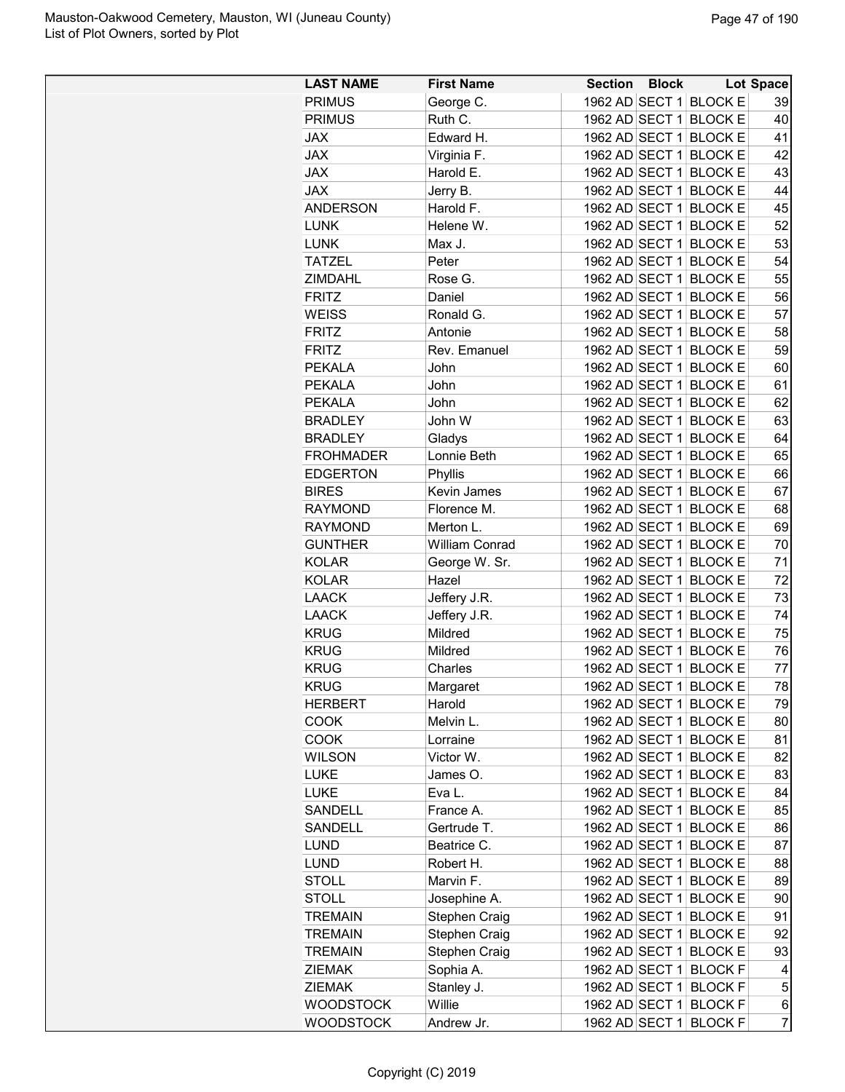| <b>LAST NAME</b> | <b>First Name</b>     | <b>Section</b> | <b>Block</b> |                                                  | <b>Lot Space</b> |
|------------------|-----------------------|----------------|--------------|--------------------------------------------------|------------------|
| <b>PRIMUS</b>    | George C.             |                |              | 1962 AD SECT 1 BLOCK E                           | 39               |
| <b>PRIMUS</b>    | Ruth C.               |                |              | 1962 AD SECT 1 BLOCK E                           | 40               |
| <b>JAX</b>       | Edward H.             |                |              | 1962 AD SECT 1 BLOCK E                           | 41               |
| <b>JAX</b>       | Virginia F.           |                |              | 1962 AD SECT 1 BLOCK E                           | 42               |
| <b>JAX</b>       | Harold E.             | 1962 AD SECT 1 |              | <b>BLOCK E</b>                                   | 43               |
| <b>JAX</b>       | Jerry B.              |                |              | 1962 AD SECT 1 BLOCK E                           | 44               |
| <b>ANDERSON</b>  | Harold F.             |                |              | 1962 AD SECT 1 BLOCK E                           | 45               |
| <b>LUNK</b>      | Helene W.             |                |              | 1962 AD SECT 1 BLOCK E                           | 52               |
| <b>LUNK</b>      | Max J.                | 1962 AD SECT 1 |              | <b>BLOCK E</b>                                   | 53               |
| <b>TATZEL</b>    | Peter                 | 1962 AD SECT 1 |              | <b>BLOCK E</b>                                   | 54               |
| <b>ZIMDAHL</b>   | Rose G.               |                |              | 1962 AD SECT 1 BLOCK E                           | 55               |
| <b>FRITZ</b>     | Daniel                |                |              | 1962 AD SECT 1 BLOCK E                           | 56               |
| <b>WEISS</b>     | Ronald G.             |                |              | 1962 AD SECT 1 BLOCK E                           | 57               |
| <b>FRITZ</b>     | Antonie               |                |              | 1962 AD SECT 1 BLOCK E                           | 58               |
| <b>FRITZ</b>     | Rev. Emanuel          |                |              | 1962 AD SECT 1 BLOCK E                           | 59               |
| <b>PEKALA</b>    | John                  | 1962 AD SECT 1 |              | <b>BLOCK E</b>                                   | 60               |
| <b>PEKALA</b>    | John                  | 1962 AD SECT 1 |              | <b>BLOCK E</b>                                   | 61               |
| <b>PEKALA</b>    | John                  |                |              | 1962 AD SECT 1 BLOCK E                           | 62               |
| <b>BRADLEY</b>   | John W                | 1962 AD SECT 1 |              | <b>BLOCK E</b>                                   | 63               |
| <b>BRADLEY</b>   | Gladys                |                |              | 1962 AD SECT 1 BLOCK E                           | 64               |
| <b>FROHMADER</b> | Lonnie Beth           |                |              | 1962 AD SECT 1 BLOCK E                           | 65               |
| <b>EDGERTON</b>  | Phyllis               |                |              | 1962 AD SECT 1 BLOCK E                           | 66               |
| <b>BIRES</b>     | Kevin James           | 1962 AD SECT 1 |              | <b>BLOCK E</b>                                   | 67               |
| <b>RAYMOND</b>   | Florence M.           | 1962 AD SECT 1 |              | <b>BLOCK E</b>                                   | 68               |
| <b>RAYMOND</b>   | Merton L.             |                |              | 1962 AD SECT 1 BLOCK E                           | 69               |
| <b>GUNTHER</b>   | <b>William Conrad</b> | 1962 AD SECT 1 |              | <b>BLOCK E</b>                                   | 70               |
| <b>KOLAR</b>     | George W. Sr.         |                |              | 1962 AD SECT 1 BLOCK E                           | 71               |
| <b>KOLAR</b>     | Hazel                 |                |              | 1962 AD SECT 1 BLOCK E                           | 72               |
| <b>LAACK</b>     | Jeffery J.R.          |                |              | 1962 AD SECT 1 BLOCK E                           | 73               |
| <b>LAACK</b>     | Jeffery J.R.          | 1962 AD SECT 1 |              | <b>BLOCK E</b>                                   | 74               |
| <b>KRUG</b>      | Mildred               |                |              | 1962 AD SECT 1 BLOCK E                           | 75               |
| <b>KRUG</b>      | Mildred               |                |              | 1962 AD SECT 1 BLOCK E                           | 76               |
| <b>KRUG</b>      | Charles               |                |              | 1962 AD SECT 1 BLOCK E                           | 77               |
| <b>KRUG</b>      | Margaret              |                |              | 1962 AD SECT 1 BLOCK E                           | 78               |
| <b>HERBERT</b>   | Harold                |                |              | 1962 AD SECT 1 BLOCK E                           | 79               |
| <b>COOK</b>      | Melvin L.             |                |              | 1962 AD SECT 1 BLOCK E                           | 80               |
| <b>COOK</b>      | Lorraine              |                |              | 1962 AD SECT 1 BLOCK E                           | 81               |
| <b>WILSON</b>    | Victor W.             |                |              | 1962 AD SECT 1 BLOCK E                           | 82               |
| <b>LUKE</b>      | James O.              |                |              | 1962 AD SECT 1 BLOCK E                           | 83               |
| <b>LUKE</b>      | Eva L.                |                |              | 1962 AD SECT 1 BLOCK E                           | 84               |
| SANDELL          | France A.             |                |              | 1962 AD SECT 1 BLOCK E                           | 85               |
| SANDELL          | Gertrude T.           |                |              | 1962 AD SECT 1 BLOCK E                           | 86               |
| <b>LUND</b>      | Beatrice C.           |                |              | 1962 AD SECT 1 BLOCK E                           | 87               |
| <b>LUND</b>      | Robert H.             |                |              | 1962 AD SECT 1 BLOCK E                           | 88               |
| <b>STOLL</b>     | Marvin F.             |                |              | 1962 AD SECT 1 BLOCK E                           | 89               |
|                  |                       |                |              | 1962 AD SECT 1 BLOCK E                           |                  |
| <b>STOLL</b>     | Josephine A.          |                |              | 1962 AD SECT 1 BLOCK E                           | 90<br>91         |
| <b>TREMAIN</b>   | Stephen Craig         |                |              |                                                  |                  |
| <b>TREMAIN</b>   | Stephen Craig         |                |              | 1962 AD SECT 1 BLOCK E<br>1962 AD SECT 1 BLOCK E | 92               |
| <b>TREMAIN</b>   | Stephen Craig         |                |              |                                                  | 93               |
| <b>ZIEMAK</b>    | Sophia A.             |                |              | 1962 AD SECT 1 BLOCK F                           | 4                |
| <b>ZIEMAK</b>    | Stanley J.            |                |              | 1962 AD SECT 1 BLOCK F                           | 5                |
| <b>WOODSTOCK</b> | Willie                | 1962 AD SECT 1 |              | <b>BLOCKF</b>                                    | 6                |
| <b>WOODSTOCK</b> | Andrew Jr.            |                |              | 1962 AD SECT 1 BLOCK F                           | $\overline{7}$   |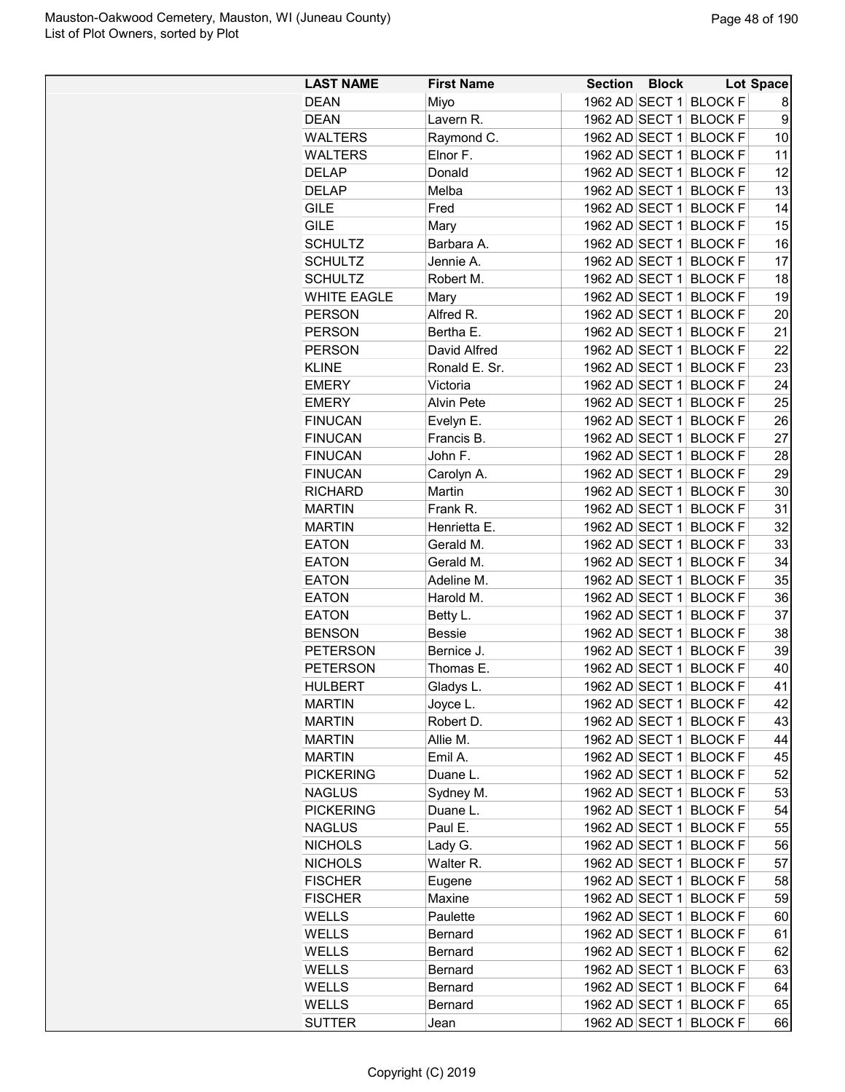| <b>LAST NAME</b>   | <b>First Name</b> | <b>Section Block</b>   | Lot Space      |    |
|--------------------|-------------------|------------------------|----------------|----|
| <b>DEAN</b>        | Miyo              | 1962 AD SECT 1 BLOCK F |                | 8  |
| <b>DEAN</b>        | Lavern R.         | 1962 AD SECT 1         | <b>BLOCK F</b> | 9  |
| WALTERS            | Raymond C.        | 1962 AD SECT 1 BLOCK F |                | 10 |
| <b>WALTERS</b>     | Elnor F.          | 1962 AD SECT 1 BLOCK F |                | 11 |
| <b>DELAP</b>       | Donald            | 1962 AD SECT 1         | <b>BLOCK F</b> | 12 |
| <b>DELAP</b>       | Melba             | 1962 AD SECT 1         | <b>BLOCK F</b> | 13 |
| <b>GILE</b>        | Fred              | 1962 AD SECT 1 BLOCK F |                | 14 |
| <b>GILE</b>        | Mary              | 1962 AD SECT 1 BLOCK F |                | 15 |
| <b>SCHULTZ</b>     | Barbara A.        | 1962 AD SECT 1 BLOCK F |                | 16 |
| <b>SCHULTZ</b>     | Jennie A.         | 1962 AD SECT 1         | <b>BLOCK F</b> | 17 |
| <b>SCHULTZ</b>     | Robert M.         | 1962 AD SECT 1 BLOCK F |                | 18 |
| <b>WHITE EAGLE</b> | Mary              | 1962 AD SECT 1         | <b>BLOCK F</b> | 19 |
| <b>PERSON</b>      | Alfred R.         | 1962 AD SECT 1 BLOCK F |                | 20 |
| <b>PERSON</b>      | Bertha E.         | 1962 AD SECT 1 BLOCK F |                | 21 |
| <b>PERSON</b>      | David Alfred      | 1962 AD SECT 1 BLOCK F |                | 22 |
| <b>KLINE</b>       | Ronald E. Sr.     | 1962 AD SECT 1 BLOCK F |                | 23 |
| <b>EMERY</b>       | Victoria          | 1962 AD SECT 1         | <b>BLOCK F</b> | 24 |
| <b>EMERY</b>       | <b>Alvin Pete</b> | 1962 AD SECT 1         | <b>BLOCK F</b> | 25 |
| <b>FINUCAN</b>     | Evelyn E.         | 1962 AD SECT 1         | <b>BLOCK F</b> | 26 |
| <b>FINUCAN</b>     | Francis B.        | 1962 AD SECT 1         | <b>BLOCK F</b> | 27 |
| <b>FINUCAN</b>     |                   | 1962 AD SECT 1         |                | 28 |
|                    | John F.           | 1962 AD SECT 1 BLOCK F | <b>BLOCK F</b> | 29 |
| <b>FINUCAN</b>     | Carolyn A.        |                        |                |    |
| <b>RICHARD</b>     | Martin            | 1962 AD SECT 1         | <b>BLOCK F</b> | 30 |
| <b>MARTIN</b>      | Frank R.          | 1962 AD SECT 1         | <b>BLOCK F</b> | 31 |
| <b>MARTIN</b>      | Henrietta E.      | 1962 AD SECT 1         | <b>BLOCK F</b> | 32 |
| <b>EATON</b>       | Gerald M.         | 1962 AD SECT 1         | <b>BLOCK F</b> | 33 |
| <b>EATON</b>       | Gerald M.         | 1962 AD SECT 1         | <b>BLOCK F</b> | 34 |
| <b>EATON</b>       | Adeline M.        | 1962 AD SECT 1 BLOCK F |                | 35 |
| <b>EATON</b>       | Harold M.         | 1962 AD SECT 1 BLOCK F |                | 36 |
| <b>EATON</b>       | Betty L.          | 1962 AD SECT 1         | <b>BLOCK F</b> | 37 |
| <b>BENSON</b>      | <b>Bessie</b>     | 1962 AD SECT 1         | <b>BLOCK F</b> | 38 |
| <b>PETERSON</b>    | Bernice J.        | 1962 AD SECT 1         | <b>BLOCK F</b> | 39 |
| <b>PETERSON</b>    | Thomas E.         | 1962 AD SECT 1 BLOCK F |                | 40 |
| <b>HULBERT</b>     | Gladys L.         | 1962 AD SECT 1 BLOCK F |                | 41 |
| <b>MARTIN</b>      | Joyce L.          | 1962 AD SECT 1 BLOCK F |                | 42 |
| <b>MARTIN</b>      | Robert D.         | 1962 AD SECT 1 BLOCK F |                | 43 |
| <b>MARTIN</b>      | Allie M.          | 1962 AD SECT 1 BLOCK F |                | 44 |
| <b>MARTIN</b>      | Emil A.           | 1962 AD SECT 1         | <b>BLOCK F</b> | 45 |
| <b>PICKERING</b>   | Duane L.          | 1962 AD SECT 1         | <b>BLOCK F</b> | 52 |
| <b>NAGLUS</b>      | Sydney M.         | 1962 AD SECT 1 BLOCK F |                | 53 |
| <b>PICKERING</b>   | Duane L.          | 1962 AD SECT 1         | <b>BLOCK F</b> | 54 |
| <b>NAGLUS</b>      | Paul E.           | 1962 AD SECT 1 BLOCK F |                | 55 |
| <b>NICHOLS</b>     | Lady G.           | 1962 AD SECT 1 BLOCK F |                | 56 |
| <b>NICHOLS</b>     | Walter R.         | 1962 AD SECT 1 BLOCK F |                | 57 |
| <b>FISCHER</b>     | Eugene            | 1962 AD SECT 1         | <b>BLOCK F</b> | 58 |
| <b>FISCHER</b>     | Maxine            | 1962 AD SECT 1         | <b>BLOCK F</b> | 59 |
| WELLS              | Paulette          | 1962 AD SECT 1 BLOCK F |                | 60 |
| <b>WELLS</b>       | Bernard           | 1962 AD SECT 1         | <b>BLOCK F</b> | 61 |
| <b>WELLS</b>       | Bernard           | 1962 AD SECT 1 BLOCK F |                | 62 |
| <b>WELLS</b>       | <b>Bernard</b>    | 1962 AD SECT 1 BLOCK F |                | 63 |
| <b>WELLS</b>       | <b>Bernard</b>    | 1962 AD SECT 1 BLOCK F |                | 64 |
| <b>WELLS</b>       | Bernard           | 1962 AD SECT 1         | <b>BLOCK F</b> | 65 |
| <b>SUTTER</b>      | Jean              | 1962 AD SECT 1 BLOCK F |                | 66 |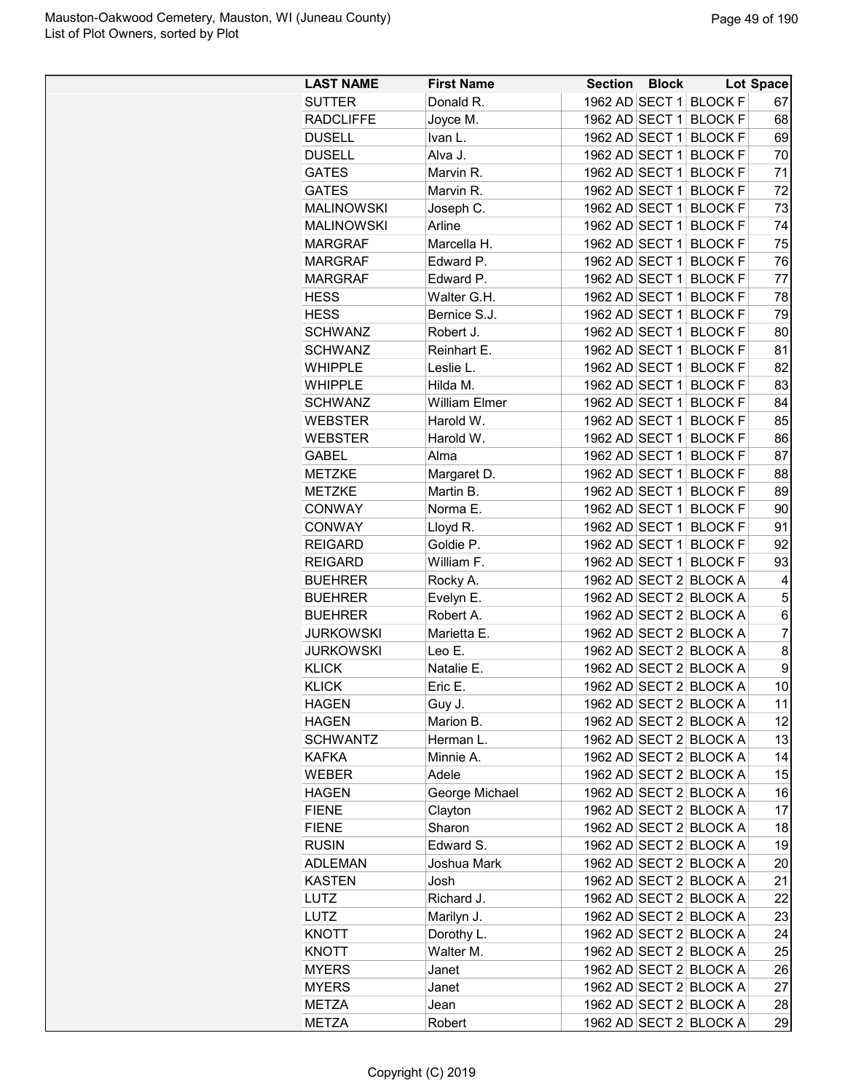| <b>LAST NAME</b>  | <b>First Name</b>     | <b>Section Block</b>   |                                  | <b>Lot Space</b> |
|-------------------|-----------------------|------------------------|----------------------------------|------------------|
| <b>SUTTER</b>     | Donald R.             | 1962 AD SECT 1 BLOCK F |                                  | 67               |
| <b>RADCLIFFE</b>  | Joyce M.              | 1962 AD SECT 1         | <b>BLOCK F</b>                   | 68               |
| <b>DUSELL</b>     | Ivan L.               | 1962 AD SECT 1         | <b>BLOCK F</b>                   | 69               |
| <b>DUSELL</b>     | Alva J.               | 1962 AD SECT 1 BLOCK F |                                  | 70               |
| <b>GATES</b>      | Marvin R.             | 1962 AD SECT 1         | <b>BLOCK F</b>                   | 71               |
| <b>GATES</b>      | Marvin R.             | 1962 AD SECT 1         | <b>BLOCK F</b>                   | 72               |
| <b>MALINOWSKI</b> | Joseph C.             | 1962 AD SECT 1 BLOCK F |                                  | 73               |
| <b>MALINOWSKI</b> | Arline                | 1962 AD SECT 1 BLOCK F |                                  | 74               |
| <b>MARGRAF</b>    | Marcella H.           | 1962 AD SECT 1         | <b>BLOCK F</b>                   | 75               |
| <b>MARGRAF</b>    | Edward P.             | 1962 AD SECT 1         | <b>BLOCK F</b>                   | 76               |
| <b>MARGRAF</b>    | Edward P.             | 1962 AD SECT 1 BLOCK F |                                  | 77               |
| <b>HESS</b>       | Walter G.H.           | 1962 AD SECT 1         | <b>BLOCK F</b>                   | 78               |
| <b>HESS</b>       | Bernice S.J.          | 1962 AD SECT 1 BLOCK F |                                  | 79               |
| <b>SCHWANZ</b>    | Robert J.             | 1962 AD SECT 1 BLOCK F |                                  | 80               |
| <b>SCHWANZ</b>    | Reinhart E.           | 1962 AD SECT 1 BLOCK F |                                  | 81               |
| <b>WHIPPLE</b>    | Leslie L.             | 1962 AD SECT 1         | <b>BLOCK F</b>                   | 82               |
| <b>WHIPPLE</b>    | Hilda M.              | 1962 AD SECT 1         | <b>BLOCK F</b>                   | 83               |
| <b>SCHWANZ</b>    | <b>William Elmer</b>  | 1962 AD SECT 1         | <b>BLOCK F</b>                   | 84               |
| <b>WEBSTER</b>    | Harold W.             | 1962 AD SECT 1         | <b>BLOCK F</b>                   | 85               |
| <b>WEBSTER</b>    | Harold W.             | 1962 AD SECT 1         | <b>BLOCK F</b>                   | 86               |
| <b>GABEL</b>      | Alma                  | 1962 AD SECT 1         | <b>BLOCK F</b>                   | 87               |
| <b>METZKE</b>     | Margaret D.           | 1962 AD SECT 1 BLOCK F |                                  | 88               |
| <b>METZKE</b>     | Martin B.             | 1962 AD SECT 1         | <b>BLOCK F</b>                   | 89               |
|                   |                       | 1962 AD SECT 1         |                                  |                  |
| <b>CONWAY</b>     | Norma E.              | 1962 AD SECT 1         | <b>BLOCK F</b>                   | 90               |
| <b>CONWAY</b>     | Lloyd R.<br>Goldie P. | 1962 AD SECT 1         | <b>BLOCK F</b><br><b>BLOCK F</b> | 91<br>92         |
| <b>REIGARD</b>    |                       |                        |                                  |                  |
| <b>REIGARD</b>    | William F.            | 1962 AD SECT 1         | <b>BLOCK F</b>                   | 93               |
| <b>BUEHRER</b>    | Rocky A.              | 1962 AD SECT 2 BLOCK A |                                  | 4                |
| <b>BUEHRER</b>    | Evelyn E.             | 1962 AD SECT 2 BLOCK A |                                  | 5                |
| <b>BUEHRER</b>    | Robert A.             | 1962 AD SECT 2 BLOCK A |                                  | 6                |
| <b>JURKOWSKI</b>  | Marietta E.           | 1962 AD SECT 2 BLOCK A |                                  | $\overline{7}$   |
| <b>JURKOWSKI</b>  | Leo E.                | 1962 AD SECT 2 BLOCK A |                                  | 8                |
| <b>KLICK</b>      | Natalie E.            | 1962 AD SECT 2 BLOCK A |                                  | 9                |
| <b>KLICK</b>      | Eric E.               | 1962 AD SECT 2 BLOCK A |                                  | 10               |
| HAGEN             | Guy J.                | 1962 AD SECT 2 BLOCK A |                                  | 11               |
| HAGEN             | Marion B.             | 1962 AD SECT 2 BLOCK A |                                  | 12               |
| <b>SCHWANTZ</b>   | Herman L.             | 1962 AD SECT 2 BLOCK A |                                  | 13               |
| <b>KAFKA</b>      | Minnie A.             | 1962 AD SECT 2 BLOCK A |                                  | 14               |
| <b>WEBER</b>      | Adele                 | 1962 AD SECT 2 BLOCK A |                                  | 15               |
| <b>HAGEN</b>      | George Michael        | 1962 AD SECT 2 BLOCK A |                                  | 16               |
| <b>FIENE</b>      | Clayton               | 1962 AD SECT 2 BLOCK A |                                  | 17               |
| <b>FIENE</b>      | Sharon                | 1962 AD SECT 2 BLOCK A |                                  | 18               |
| <b>RUSIN</b>      | Edward S.             | 1962 AD SECT 2 BLOCK A |                                  | 19               |
| <b>ADLEMAN</b>    | Joshua Mark           | 1962 AD SECT 2 BLOCK A |                                  | 20               |
| <b>KASTEN</b>     | Josh                  | 1962 AD SECT 2 BLOCK A |                                  | 21               |
| LUTZ              | Richard J.            | 1962 AD SECT 2 BLOCK A |                                  | 22               |
| LUTZ              | Marilyn J.            | 1962 AD SECT 2 BLOCK A |                                  | 23               |
| <b>KNOTT</b>      | Dorothy L.            | 1962 AD SECT 2 BLOCK A |                                  | 24               |
| <b>KNOTT</b>      | Walter M.             | 1962 AD SECT 2 BLOCK A |                                  | 25               |
| <b>MYERS</b>      | Janet                 | 1962 AD SECT 2 BLOCK A |                                  | 26               |
| <b>MYERS</b>      | Janet                 | 1962 AD SECT 2 BLOCK A |                                  | 27               |
| <b>METZA</b>      | Jean                  | 1962 AD SECT 2 BLOCK A |                                  | 28               |
| <b>METZA</b>      | Robert                | 1962 AD SECT 2 BLOCK A |                                  | 29               |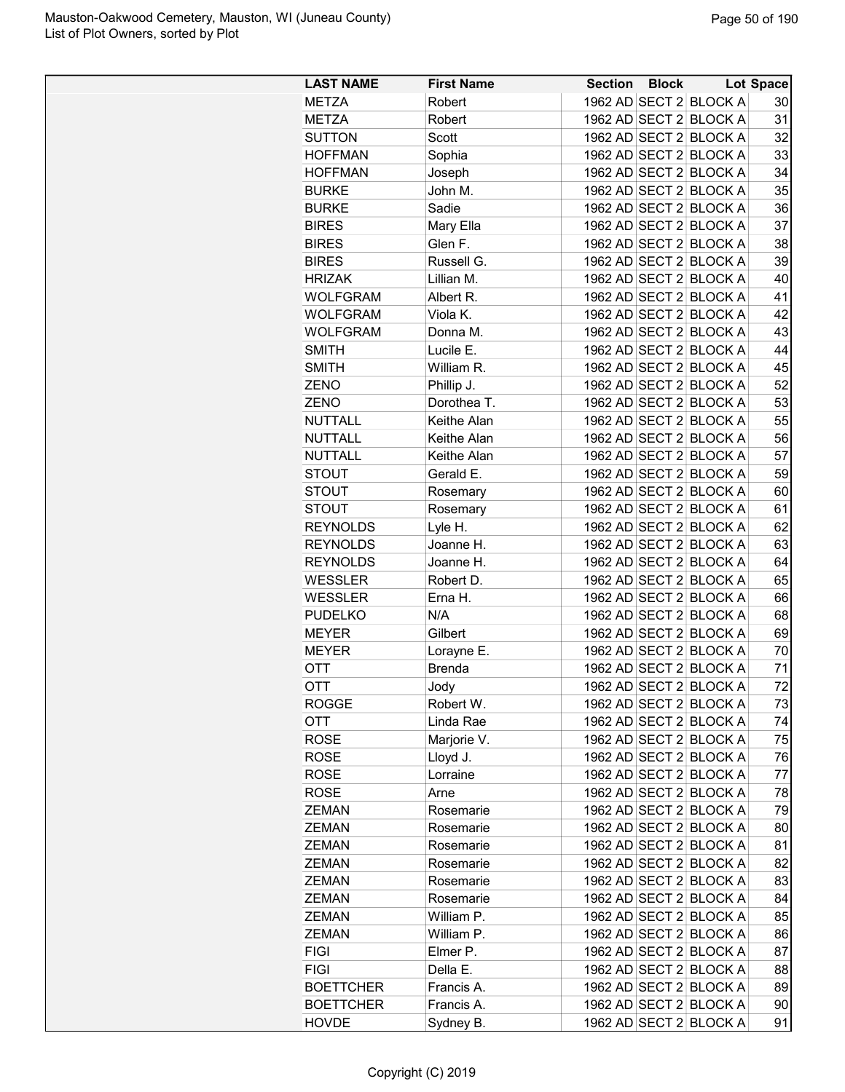| <b>LAST NAME</b> | <b>First Name</b> | <b>Section Block</b> |                        | <b>Lot Space</b> |
|------------------|-------------------|----------------------|------------------------|------------------|
| <b>METZA</b>     | Robert            |                      | 1962 AD SECT 2 BLOCK A | 30               |
| <b>METZA</b>     | Robert            |                      | 1962 AD SECT 2 BLOCK A | 31               |
| <b>SUTTON</b>    | Scott             |                      | 1962 AD SECT 2 BLOCK A | 32               |
| <b>HOFFMAN</b>   | Sophia            |                      | 1962 AD SECT 2 BLOCK A | 33               |
| <b>HOFFMAN</b>   | Joseph            |                      | 1962 AD SECT 2 BLOCK A | 34               |
| <b>BURKE</b>     | John M.           |                      | 1962 AD SECT 2 BLOCK A | 35               |
| <b>BURKE</b>     | Sadie             |                      | 1962 AD SECT 2 BLOCK A | 36               |
| <b>BIRES</b>     | Mary Ella         |                      | 1962 AD SECT 2 BLOCK A | 37               |
| <b>BIRES</b>     | Glen F.           |                      | 1962 AD SECT 2 BLOCK A | 38               |
| <b>BIRES</b>     | Russell G.        |                      | 1962 AD SECT 2 BLOCK A | 39               |
| <b>HRIZAK</b>    | Lillian M.        |                      | 1962 AD SECT 2 BLOCK A | 40               |
| <b>WOLFGRAM</b>  | Albert R.         |                      | 1962 AD SECT 2 BLOCK A | 41               |
| <b>WOLFGRAM</b>  | Viola K.          |                      | 1962 AD SECT 2 BLOCK A | 42               |
| <b>WOLFGRAM</b>  | Donna M.          |                      | 1962 AD SECT 2 BLOCK A | 43               |
| <b>SMITH</b>     | Lucile E.         |                      | 1962 AD SECT 2 BLOCK A | 44               |
| <b>SMITH</b>     | William R.        |                      | 1962 AD SECT 2 BLOCK A | 45               |
|                  |                   |                      | 1962 AD SECT 2 BLOCK A | 52               |
| ZENO             | Phillip J.        |                      |                        | 53               |
| ZENO             | Dorothea T.       |                      | 1962 AD SECT 2 BLOCK A |                  |
| <b>NUTTALL</b>   | Keithe Alan       |                      | 1962 AD SECT 2 BLOCK A | 55               |
| <b>NUTTALL</b>   | Keithe Alan       |                      | 1962 AD SECT 2 BLOCK A | 56               |
| <b>NUTTALL</b>   | Keithe Alan       |                      | 1962 AD SECT 2 BLOCK A | 57               |
| <b>STOUT</b>     | Gerald E.         |                      | 1962 AD SECT 2 BLOCK A | 59               |
| <b>STOUT</b>     | Rosemary          |                      | 1962 AD SECT 2 BLOCK A | 60               |
| <b>STOUT</b>     | Rosemary          |                      | 1962 AD SECT 2 BLOCK A | 61               |
| <b>REYNOLDS</b>  | Lyle H.           |                      | 1962 AD SECT 2 BLOCK A | 62               |
| <b>REYNOLDS</b>  | Joanne H.         |                      | 1962 AD SECT 2 BLOCK A | 63               |
| <b>REYNOLDS</b>  | Joanne H.         |                      | 1962 AD SECT 2 BLOCK A | 64               |
| <b>WESSLER</b>   | Robert D.         |                      | 1962 AD SECT 2 BLOCK A | 65               |
| <b>WESSLER</b>   | Erna H.           |                      | 1962 AD SECT 2 BLOCK A | 66               |
| <b>PUDELKO</b>   | N/A               |                      | 1962 AD SECT 2 BLOCK A | 68               |
| <b>MEYER</b>     | Gilbert           |                      | 1962 AD SECT 2 BLOCK A | 69               |
| <b>MEYER</b>     | Lorayne E.        |                      | 1962 AD SECT 2 BLOCK A | 70               |
| <b>OTT</b>       | <b>Brenda</b>     |                      | 1962 AD SECT 2 BLOCK A | 71               |
| OTT              | Jody              |                      | 1962 AD SECT 2 BLOCK A | 72               |
| <b>ROGGE</b>     | Robert W.         |                      | 1962 AD SECT 2 BLOCK A | 73               |
| OTT              | Linda Rae         |                      | 1962 AD SECT 2 BLOCK A | 74               |
| <b>ROSE</b>      | Marjorie V.       |                      | 1962 AD SECT 2 BLOCK A | 75               |
| <b>ROSE</b>      | Lloyd J.          |                      | 1962 AD SECT 2 BLOCK A | 76               |
| <b>ROSE</b>      | Lorraine          |                      | 1962 AD SECT 2 BLOCK A | 77               |
| <b>ROSE</b>      | Arne              |                      | 1962 AD SECT 2 BLOCK A | 78               |
| <b>ZEMAN</b>     | Rosemarie         |                      | 1962 AD SECT 2 BLOCK A | 79               |
| <b>ZEMAN</b>     | Rosemarie         |                      | 1962 AD SECT 2 BLOCK A | 80               |
| <b>ZEMAN</b>     | Rosemarie         |                      | 1962 AD SECT 2 BLOCK A | 81               |
| <b>ZEMAN</b>     | Rosemarie         |                      | 1962 AD SECT 2 BLOCK A | 82               |
| <b>ZEMAN</b>     | Rosemarie         |                      | 1962 AD SECT 2 BLOCK A | 83               |
| <b>ZEMAN</b>     | Rosemarie         |                      | 1962 AD SECT 2 BLOCK A | 84               |
| <b>ZEMAN</b>     | William P.        |                      | 1962 AD SECT 2 BLOCK A | 85               |
| <b>ZEMAN</b>     | William P.        |                      | 1962 AD SECT 2 BLOCK A | 86               |
| <b>FIGI</b>      | Elmer P.          |                      | 1962 AD SECT 2 BLOCK A | 87               |
| <b>FIGI</b>      | Della E.          |                      | 1962 AD SECT 2 BLOCK A | 88               |
| <b>BOETTCHER</b> | Francis A.        |                      | 1962 AD SECT 2 BLOCK A | 89               |
| <b>BOETTCHER</b> | Francis A.        |                      | 1962 AD SECT 2 BLOCK A | 90               |
| <b>HOVDE</b>     | Sydney B.         |                      | 1962 AD SECT 2 BLOCK A | 91               |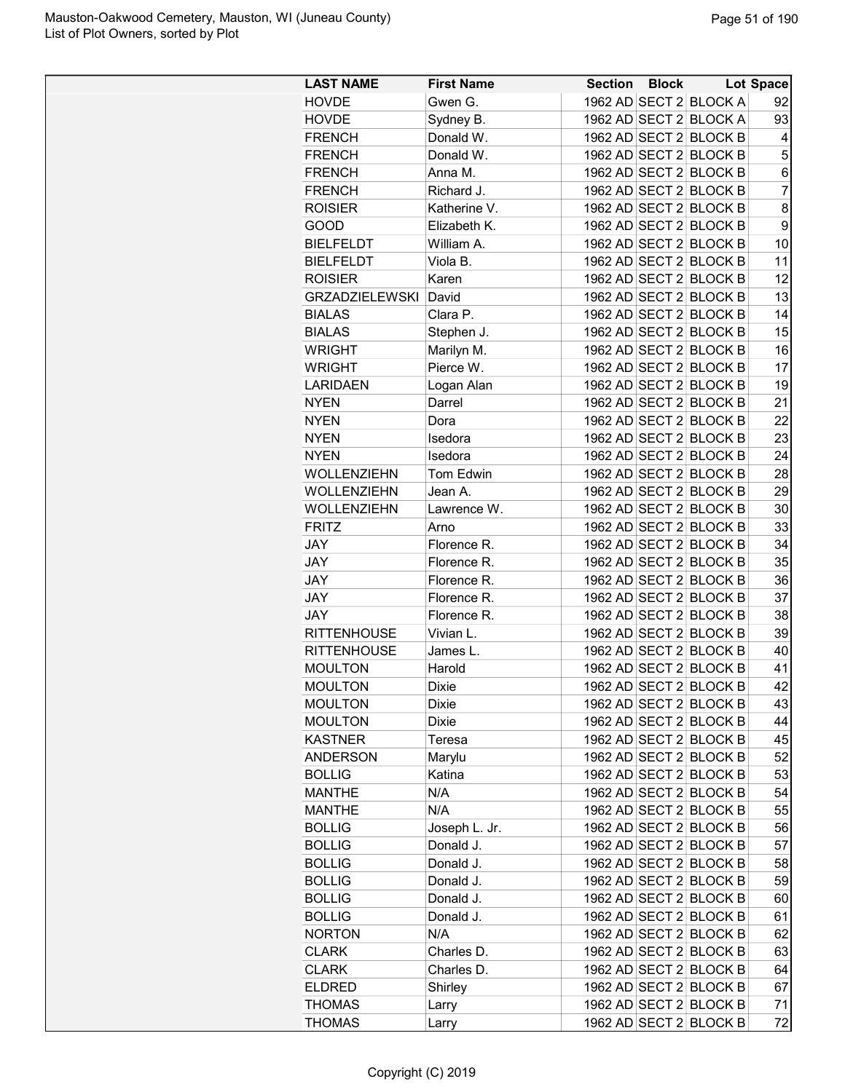| <b>LAST NAME</b>      | <b>First Name</b> | <b>Section Block</b><br><b>Lot Space</b> |
|-----------------------|-------------------|------------------------------------------|
| <b>HOVDE</b>          | Gwen G.           | 1962 AD SECT 2 BLOCK A<br>92             |
| <b>HOVDE</b>          | Sydney B.         | 1962 AD SECT 2 BLOCK A<br>93             |
| <b>FRENCH</b>         | Donald W.         | 1962 AD SECT 2 BLOCK B<br>4              |
| <b>FRENCH</b>         | Donald W.         | 1962 AD SECT 2 BLOCK B<br>5              |
| <b>FRENCH</b>         | Anna M.           | 1962 AD SECT 2 BLOCK B<br>6              |
| <b>FRENCH</b>         | Richard J.        | $\overline{7}$<br>1962 AD SECT 2 BLOCK B |
| <b>ROISIER</b>        | Katherine V.      | 1962 AD SECT 2 BLOCK B<br>8              |
| GOOD                  | Elizabeth K.      | 1962 AD SECT 2 BLOCK B<br>9              |
| <b>BIELFELDT</b>      | William A.        | 1962 AD SECT 2 BLOCK B<br>10             |
| <b>BIELFELDT</b>      | Viola B.          | 1962 AD SECT 2 BLOCK B<br>11             |
| <b>ROISIER</b>        | Karen             | 1962 AD SECT 2 BLOCK B<br>12             |
| <b>GRZADZIELEWSKI</b> | David             | 1962 AD SECT 2 BLOCK B<br>13             |
| <b>BIALAS</b>         | Clara P.          | 1962 AD SECT 2 BLOCK B<br>14             |
| <b>BIALAS</b>         | Stephen J.        | 1962 AD SECT 2 BLOCK B<br>15             |
| <b>WRIGHT</b>         | Marilyn M.        | 1962 AD SECT 2 BLOCK B<br>16             |
| <b>WRIGHT</b>         | Pierce W.         | 17<br>1962 AD SECT 2 BLOCK B             |
| <b>LARIDAEN</b>       | Logan Alan        | 1962 AD SECT 2 BLOCK B<br>19             |
| <b>NYEN</b>           | Darrel            | 1962 AD SECT 2 BLOCK B<br>21             |
| <b>NYEN</b>           | Dora              | 1962 AD SECT 2 BLOCK B<br>22             |
| <b>NYEN</b>           | Isedora           | 1962 AD SECT 2 BLOCK B<br>23             |
| <b>NYEN</b>           | Isedora           | 1962 AD SECT 2 BLOCK B<br>24             |
| WOLLENZIEHN           | <b>Tom Edwin</b>  | 1962 AD SECT 2 BLOCK B<br>28             |
| WOLLENZIEHN           | Jean A.           | 1962 AD SECT 2 BLOCK B<br>29             |
| WOLLENZIEHN           | Lawrence W.       | 1962 AD SECT 2 BLOCK B<br>30             |
| <b>FRITZ</b>          | Arno              | 1962 AD SECT 2 BLOCK B<br>33             |
| <b>JAY</b>            | Florence R.       | 1962 AD SECT 2 BLOCK B<br>34             |
| <b>JAY</b>            | Florence R.       | 1962 AD SECT 2 BLOCK B<br>35             |
| <b>JAY</b>            | Florence R.       | 1962 AD SECT 2 BLOCK B<br>36             |
| JAY                   | Florence R.       | 1962 AD SECT 2 BLOCK B<br>37             |
| <b>JAY</b>            | Florence R.       | 38<br>1962 AD SECT 2 BLOCK B             |
| <b>RITTENHOUSE</b>    | Vivian L.         | 39<br>1962 AD SECT 2 BLOCK B             |
| <b>RITTENHOUSE</b>    | James L.          | 1962 AD SECT 2 BLOCK B<br>40             |
| <b>MOULTON</b>        | Harold            | 1962 AD SECT 2 BLOCK B<br>41             |
| <b>MOULTON</b>        | Dixie             | 42<br>1962 AD SECT 2 BLOCK B             |
| <b>MOULTON</b>        | Dixie             | 43<br>1962 AD SECT 2 BLOCK B             |
| <b>MOULTON</b>        | Dixie             | 1962 AD SECT 2 BLOCK B<br>44             |
| <b>KASTNER</b>        | Teresa            | 1962 AD SECT 2 BLOCK B<br>45             |
| <b>ANDERSON</b>       | Marylu            | 52<br>1962 AD SECT 2 BLOCK B             |
| <b>BOLLIG</b>         | Katina            | 1962 AD SECT 2 BLOCK B<br>53             |
| <b>MANTHE</b>         | N/A               | 1962 AD SECT 2 BLOCK B<br>54             |
| <b>MANTHE</b>         | N/A               | 1962 AD SECT 2 BLOCK B<br>55             |
| <b>BOLLIG</b>         | Joseph L. Jr.     | 1962 AD SECT 2 BLOCK B<br>56             |
| <b>BOLLIG</b>         | Donald J.         | 1962 AD SECT 2 BLOCK B<br>57             |
| <b>BOLLIG</b>         | Donald J.         | 1962 AD SECT 2 BLOCK B<br>58             |
| <b>BOLLIG</b>         | Donald J.         | 59<br>1962 AD SECT 2 BLOCK B             |
| <b>BOLLIG</b>         | Donald J.         | 1962 AD SECT 2 BLOCK B<br>60             |
| <b>BOLLIG</b>         | Donald J.         | 1962 AD SECT 2 BLOCK B<br>61             |
| <b>NORTON</b>         | N/A               | 1962 AD SECT 2 BLOCK B<br>62             |
| <b>CLARK</b>          | Charles D.        | 1962 AD SECT 2 BLOCK B<br>63             |
| <b>CLARK</b>          | Charles D.        | 1962 AD SECT 2 BLOCK B<br>64             |
| <b>ELDRED</b>         | Shirley           | 1962 AD SECT 2 BLOCK B<br>67             |
| <b>THOMAS</b>         | Larry             | 1962 AD SECT 2 BLOCK B<br>71             |
| <b>THOMAS</b>         | Larry             | 72<br>1962 AD SECT 2 BLOCK B             |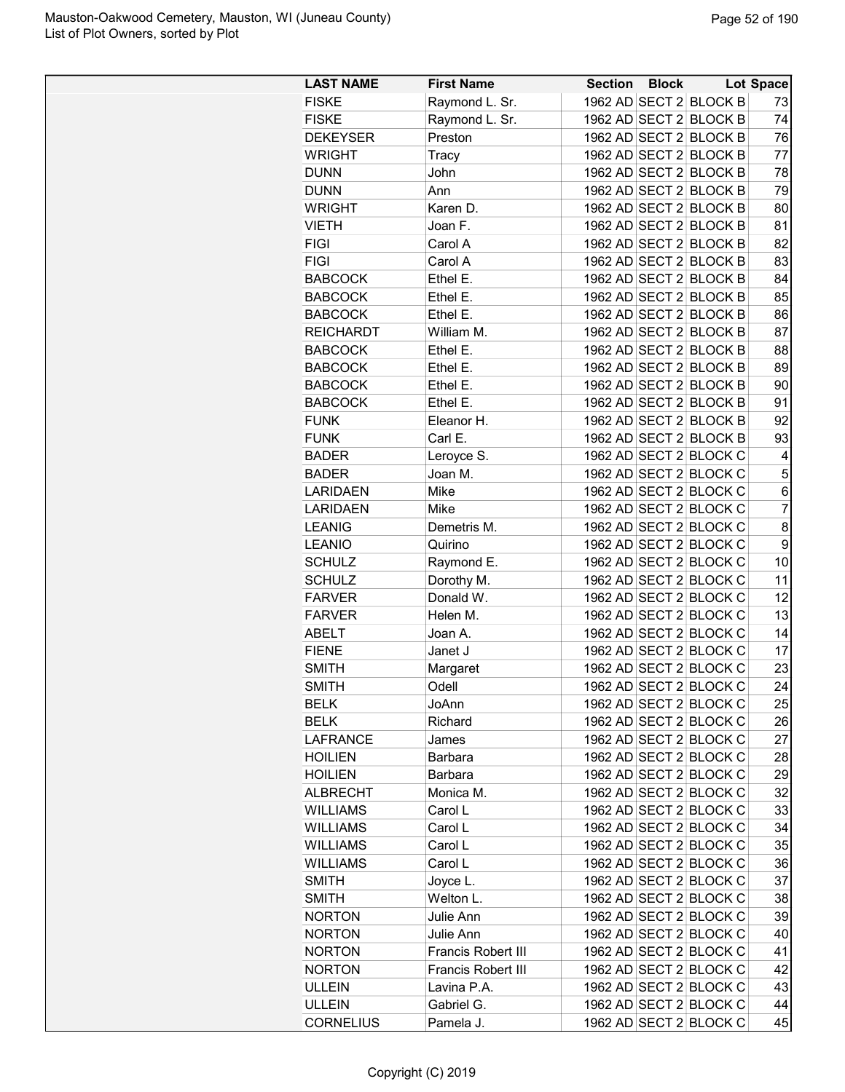| <b>LAST NAME</b> | <b>First Name</b>         | Section Block |                        | Lot Space      |
|------------------|---------------------------|---------------|------------------------|----------------|
| <b>FISKE</b>     | Raymond L. Sr.            |               | 1962 AD SECT 2 BLOCK B | 73             |
| <b>FISKE</b>     | Raymond L. Sr.            |               | 1962 AD SECT 2 BLOCK B | 74             |
| <b>DEKEYSER</b>  | Preston                   |               | 1962 AD SECT 2 BLOCK B | 76             |
| <b>WRIGHT</b>    | Tracy                     |               | 1962 AD SECT 2 BLOCK B | 77             |
| <b>DUNN</b>      | John                      |               | 1962 AD SECT 2 BLOCK B | 78             |
| <b>DUNN</b>      | Ann                       |               | 1962 AD SECT 2 BLOCK B | 79             |
| <b>WRIGHT</b>    | Karen D.                  |               | 1962 AD SECT 2 BLOCK B | 80             |
| <b>VIETH</b>     | Joan F.                   |               | 1962 AD SECT 2 BLOCK B | 81             |
| <b>FIGI</b>      | Carol A                   |               | 1962 AD SECT 2 BLOCK B | 82             |
| <b>FIGI</b>      | Carol A                   |               | 1962 AD SECT 2 BLOCK B | 83             |
| <b>BABCOCK</b>   | Ethel E.                  |               | 1962 AD SECT 2 BLOCK B | 84             |
| <b>BABCOCK</b>   | Ethel E.                  |               | 1962 AD SECT 2 BLOCK B | 85             |
| <b>BABCOCK</b>   | Ethel E.                  |               | 1962 AD SECT 2 BLOCK B | 86             |
| <b>REICHARDT</b> | William M.                |               | 1962 AD SECT 2 BLOCK B | 87             |
| <b>BABCOCK</b>   | Ethel E.                  |               | 1962 AD SECT 2 BLOCK B | 88             |
| <b>BABCOCK</b>   | Ethel E.                  |               | 1962 AD SECT 2 BLOCK B | 89             |
| <b>BABCOCK</b>   | Ethel E.                  |               | 1962 AD SECT 2 BLOCK B | 90             |
| <b>BABCOCK</b>   | Ethel E.                  |               | 1962 AD SECT 2 BLOCK B | 91             |
| <b>FUNK</b>      | Eleanor H.                |               | 1962 AD SECT 2 BLOCK B | 92             |
| <b>FUNK</b>      | Carl E.                   |               | 1962 AD SECT 2 BLOCK B | 93             |
| <b>BADER</b>     | Leroyce S.                |               | 1962 AD SECT 2 BLOCK C | 4              |
| <b>BADER</b>     | Joan M.                   |               | 1962 AD SECT 2 BLOCK C | 5              |
| <b>LARIDAEN</b>  | Mike                      |               | 1962 AD SECT 2 BLOCK C | 6              |
| <b>LARIDAEN</b>  | Mike                      |               | 1962 AD SECT 2 BLOCK C | $\overline{7}$ |
| <b>LEANIG</b>    | Demetris M.               |               | 1962 AD SECT 2 BLOCK C | 8              |
| <b>LEANIO</b>    | Quirino                   |               | 1962 AD SECT 2 BLOCK C | 9              |
| <b>SCHULZ</b>    | Raymond E.                |               | 1962 AD SECT 2 BLOCK C | 10             |
| <b>SCHULZ</b>    | Dorothy M.                |               | 1962 AD SECT 2 BLOCK C | 11             |
| <b>FARVER</b>    | Donald W.                 |               | 1962 AD SECT 2 BLOCK C | 12             |
| <b>FARVER</b>    | Helen M.                  |               | 1962 AD SECT 2 BLOCK C | 13             |
| ABELT            | Joan A.                   |               | 1962 AD SECT 2 BLOCK C | 14             |
| <b>FIENE</b>     | Janet J                   |               | 1962 AD SECT 2 BLOCK C | 17             |
| <b>SMITH</b>     | Margaret                  |               | 1962 AD SECT 2 BLOCK C | 23             |
| <b>SMITH</b>     | Odell                     |               | 1962 AD SECT 2 BLOCK C | 24             |
| <b>BELK</b>      | JoAnn                     |               | 1962 AD SECT 2 BLOCK C | 25             |
| <b>BELK</b>      | Richard                   |               | 1962 AD SECT 2 BLOCK C | 26             |
| LAFRANCE         | James                     |               | 1962 AD SECT 2 BLOCK C | 27             |
| <b>HOILIEN</b>   | <b>Barbara</b>            |               | 1962 AD SECT 2 BLOCK C | 28             |
| <b>HOILIEN</b>   | <b>Barbara</b>            |               | 1962 AD SECT 2 BLOCK C | 29             |
| <b>ALBRECHT</b>  | Monica M.                 |               | 1962 AD SECT 2 BLOCK C | 32             |
| <b>WILLIAMS</b>  | Carol L                   |               | 1962 AD SECT 2 BLOCK C | 33             |
| <b>WILLIAMS</b>  | Carol L                   |               | 1962 AD SECT 2 BLOCK C | 34             |
| <b>WILLIAMS</b>  | Carol L                   |               | 1962 AD SECT 2 BLOCK C | 35             |
| <b>WILLIAMS</b>  | Carol L                   |               | 1962 AD SECT 2 BLOCK C | 36             |
| <b>SMITH</b>     | Joyce L.                  |               | 1962 AD SECT 2 BLOCK C | 37             |
| <b>SMITH</b>     | Welton L.                 |               | 1962 AD SECT 2 BLOCK C | 38             |
| <b>NORTON</b>    | Julie Ann                 |               | 1962 AD SECT 2 BLOCK C | 39             |
| <b>NORTON</b>    | Julie Ann                 |               | 1962 AD SECT 2 BLOCK C | 40             |
| <b>NORTON</b>    | Francis Robert III        |               | 1962 AD SECT 2 BLOCK C | 41             |
|                  | <b>Francis Robert III</b> |               | 1962 AD SECT 2 BLOCK C | 42             |
| <b>NORTON</b>    |                           |               | 1962 AD SECT 2 BLOCK C | 43             |
| <b>ULLEIN</b>    | Lavina P.A.               |               |                        |                |
| ULLEIN           | Gabriel G.                |               | 1962 AD SECT 2 BLOCK C | 44             |
| <b>CORNELIUS</b> | Pamela J.                 |               | 1962 AD SECT 2 BLOCK C | 45             |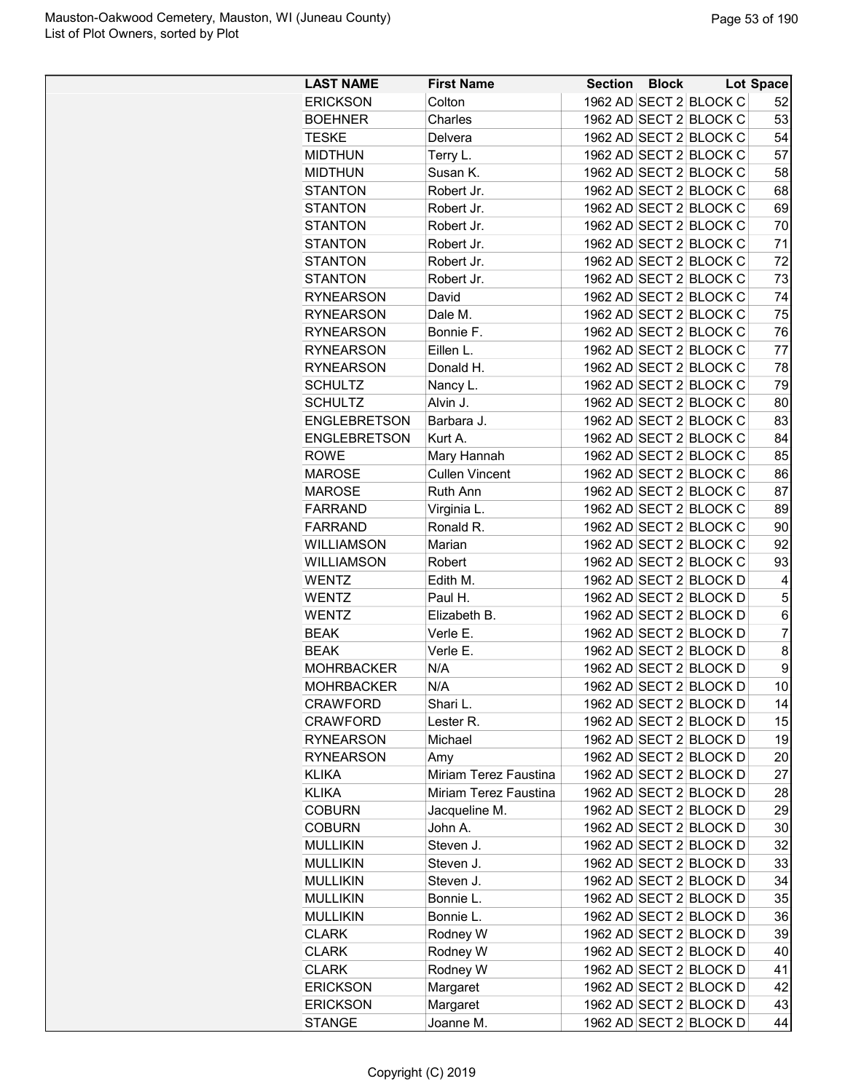| <b>LAST NAME</b>                     | <b>First Name</b>     |  | Section Block Lot Space |                |
|--------------------------------------|-----------------------|--|-------------------------|----------------|
| <b>ERICKSON</b>                      | Colton                |  | 1962 AD SECT 2 BLOCK C  | 52             |
| <b>BOEHNER</b>                       | Charles               |  | 1962 AD SECT 2 BLOCK C  | 53             |
| <b>TESKE</b>                         | Delvera               |  | 1962 AD SECT 2 BLOCK C  | 54             |
| <b>MIDTHUN</b>                       | Terry L.              |  | 1962 AD SECT 2 BLOCK C  | 57             |
| <b>MIDTHUN</b>                       | Susan K.              |  | 1962 AD SECT 2 BLOCK C  | 58             |
| <b>STANTON</b>                       | Robert Jr.            |  | 1962 AD SECT 2 BLOCK C  | 68             |
| <b>STANTON</b>                       | Robert Jr.            |  | 1962 AD SECT 2 BLOCK C  | 69             |
| <b>STANTON</b>                       | Robert Jr.            |  | 1962 AD SECT 2 BLOCK C  | 70             |
| <b>STANTON</b>                       | Robert Jr.            |  | 1962 AD SECT 2 BLOCK C  | 71             |
| <b>STANTON</b>                       | Robert Jr.            |  | 1962 AD SECT 2 BLOCK C  | 72             |
| <b>STANTON</b>                       | Robert Jr.            |  | 1962 AD SECT 2 BLOCK C  | 73             |
| <b>RYNEARSON</b>                     | David                 |  | 1962 AD SECT 2 BLOCK C  | 74             |
| <b>RYNEARSON</b>                     | Dale M.               |  | 1962 AD SECT 2 BLOCK C  | 75             |
| <b>RYNEARSON</b>                     | Bonnie F.             |  | 1962 AD SECT 2 BLOCK C  | 76             |
| <b>RYNEARSON</b>                     | Eillen L.             |  | 1962 AD SECT 2 BLOCK C  | 77             |
| <b>RYNEARSON</b>                     | Donald H.             |  | 1962 AD SECT 2 BLOCK C  | 78             |
| <b>SCHULTZ</b>                       | Nancy L.              |  | 1962 AD SECT 2 BLOCK C  | 79             |
| <b>SCHULTZ</b>                       | Alvin J.              |  | 1962 AD SECT 2 BLOCK C  | 80             |
| <b>ENGLEBRETSON</b>                  | Barbara J.            |  | 1962 AD SECT 2 BLOCK C  | 83             |
| <b>ENGLEBRETSON</b>                  | Kurt A.               |  | 1962 AD SECT 2 BLOCK C  | 84             |
| <b>ROWE</b>                          | Mary Hannah           |  | 1962 AD SECT 2 BLOCK C  | 85             |
| <b>MAROSE</b>                        | <b>Cullen Vincent</b> |  | 1962 AD SECT 2 BLOCK C  | 86             |
| <b>MAROSE</b>                        | Ruth Ann              |  | 1962 AD SECT 2 BLOCK C  | 87             |
| <b>FARRAND</b>                       | Virginia L.           |  | 1962 AD SECT 2 BLOCK C  | 89             |
| FARRAND                              | Ronald R.             |  | 1962 AD SECT 2 BLOCK C  | 90             |
| <b>WILLIAMSON</b>                    | Marian                |  | 1962 AD SECT 2 BLOCK C  | 92             |
| <b>WILLIAMSON</b>                    | Robert                |  | 1962 AD SECT 2 BLOCK C  | 93             |
| <b>WENTZ</b>                         | Edith M.              |  | 1962 AD SECT 2 BLOCK D  | 4              |
| <b>WENTZ</b>                         | Paul H.               |  | 1962 AD SECT 2 BLOCK D  | 5              |
| <b>WENTZ</b>                         | Elizabeth B.          |  | 1962 AD SECT 2 BLOCK D  | 6              |
| <b>BEAK</b>                          | Verle E.              |  | 1962 AD SECT 2 BLOCK D  | $\overline{7}$ |
| <b>BEAK</b>                          | Verle E.              |  | 1962 AD SECT 2 BLOCK D  | 8              |
| <b>MOHRBACKER</b>                    | N/A                   |  | 1962 AD SECT 2 BLOCK D  | 9              |
| <b>MOHRBACKER</b>                    | N/A                   |  | 1962 AD SECT 2 BLOCK D  | 10             |
|                                      | Shari L.              |  | 1962 AD SECT 2 BLOCK D  | 14             |
| CRAWFORD<br><b>CRAWFORD</b>          |                       |  | 1962 AD SECT 2 BLOCK D  |                |
|                                      | Lester R.<br>Michael  |  |                         | 15<br>19       |
| <b>RYNEARSON</b><br><b>RYNEARSON</b> |                       |  | 1962 AD SECT 2 BLOCK D  |                |
|                                      | Amy                   |  | 1962 AD SECT 2 BLOCK D  | 20             |
| KLIKA<br><b>KLIKA</b>                | Miriam Terez Faustina |  | 1962 AD SECT 2 BLOCK D  | 27             |
|                                      | Miriam Terez Faustina |  | 1962 AD SECT 2 BLOCK D  | 28             |
| <b>COBURN</b>                        | Jacqueline M.         |  | 1962 AD SECT 2 BLOCK D  | 29             |
| <b>COBURN</b>                        | John A.               |  | 1962 AD SECT 2 BLOCK D  | 30             |
| <b>MULLIKIN</b>                      | Steven J.             |  | 1962 AD SECT 2 BLOCK D  | 32             |
| <b>MULLIKIN</b>                      | Steven J.             |  | 1962 AD SECT 2 BLOCK D  | 33             |
| <b>MULLIKIN</b>                      | Steven J.             |  | 1962 AD SECT 2 BLOCK D  | 34             |
| <b>MULLIKIN</b>                      | Bonnie L.             |  | 1962 AD SECT 2 BLOCK D  | 35             |
| <b>MULLIKIN</b>                      | Bonnie L.             |  | 1962 AD SECT 2 BLOCK D  | 36             |
| <b>CLARK</b>                         | Rodney W              |  | 1962 AD SECT 2 BLOCK D  | 39             |
| <b>CLARK</b>                         | Rodney W              |  | 1962 AD SECT 2 BLOCK D  | 40             |
| <b>CLARK</b>                         | Rodney W              |  | 1962 AD SECT 2 BLOCK D  | 41             |
| <b>ERICKSON</b>                      | Margaret              |  | 1962 AD SECT 2 BLOCK D  | 42             |
| <b>ERICKSON</b>                      | Margaret              |  | 1962 AD SECT 2 BLOCK D  | 43             |
| STANGE                               | Joanne M.             |  | 1962 AD SECT 2 BLOCK D  | 44             |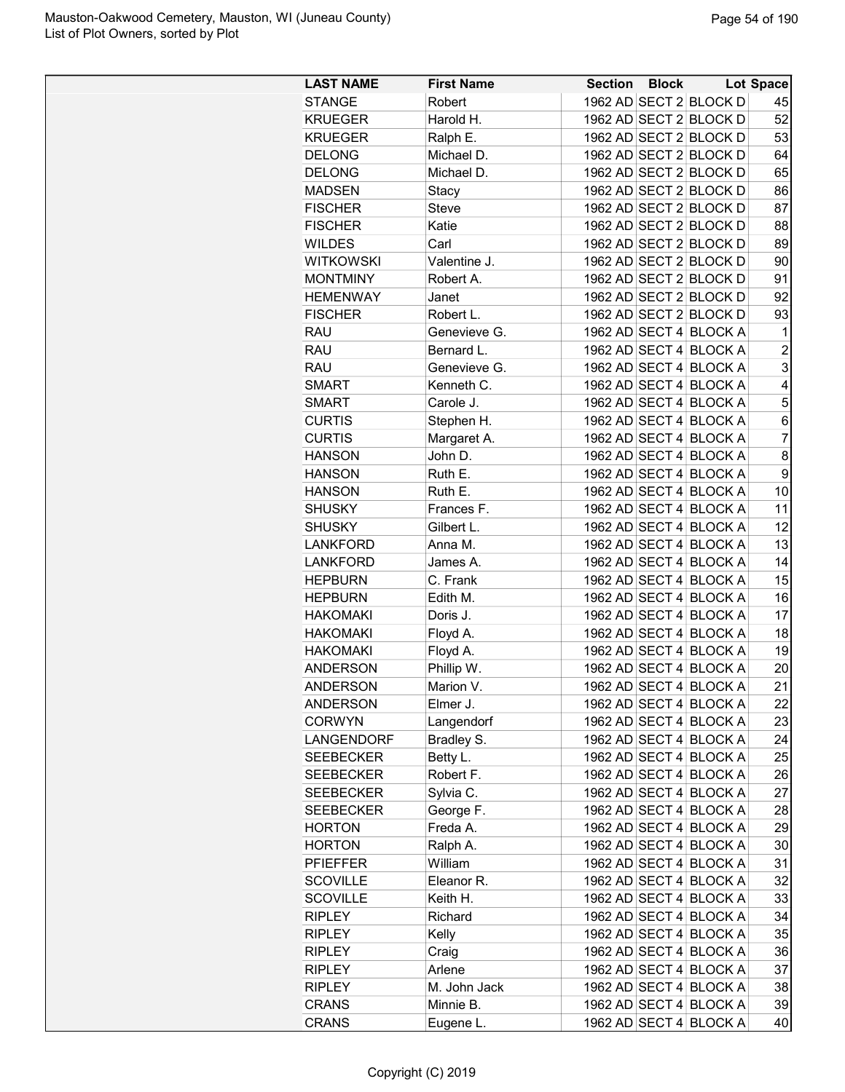| <b>LAST NAME</b> | <b>First Name</b>   |  | Section Block Lot Space                          |                |
|------------------|---------------------|--|--------------------------------------------------|----------------|
| <b>STANGE</b>    | Robert              |  | 1962 AD SECT 2 BLOCK D                           | 45             |
| <b>KRUEGER</b>   | Harold H.           |  | 1962 AD SECT 2 BLOCK D                           | 52             |
| <b>KRUEGER</b>   | Ralph E.            |  | 1962 AD SECT 2 BLOCK D                           | 53             |
| <b>DELONG</b>    | Michael D.          |  | 1962 AD SECT 2 BLOCK D                           | 64             |
| <b>DELONG</b>    | Michael D.          |  | 1962 AD SECT 2 BLOCK D                           | 65             |
| <b>MADSEN</b>    | Stacy               |  | 1962 AD SECT 2 BLOCK D                           | 86             |
| <b>FISCHER</b>   | Steve               |  | 1962 AD SECT 2 BLOCK D                           | 87             |
| <b>FISCHER</b>   | Katie               |  | 1962 AD SECT 2 BLOCK D                           | 88             |
| <b>WILDES</b>    | Carl                |  | 1962 AD SECT 2 BLOCK D                           | 89             |
| <b>WITKOWSKI</b> | Valentine J.        |  | 1962 AD SECT 2 BLOCK D                           | 90             |
| <b>MONTMINY</b>  | Robert A.           |  | 1962 AD SECT 2 BLOCK D                           | 91             |
| <b>HEMENWAY</b>  | Janet               |  | 1962 AD SECT 2 BLOCK D                           | 92             |
| <b>FISCHER</b>   | Robert L.           |  | 1962 AD SECT 2 BLOCK D                           | 93             |
| <b>RAU</b>       | Genevieve G.        |  | 1962 AD SECT 4 BLOCK A                           | $\mathbf 1$    |
| <b>RAU</b>       | Bernard L.          |  | 1962 AD SECT 4 BLOCK A                           | $\overline{2}$ |
| <b>RAU</b>       | Genevieve G.        |  | 1962 AD SECT 4 BLOCK A                           | 3              |
| <b>SMART</b>     | Kenneth C.          |  | 1962 AD SECT 4 BLOCK A                           | 4              |
| <b>SMART</b>     | Carole J.           |  | 1962 AD SECT 4 BLOCK A                           | 5              |
| <b>CURTIS</b>    | Stephen H.          |  | 1962 AD SECT 4 BLOCK A                           | 6              |
| <b>CURTIS</b>    | Margaret A.         |  | 1962 AD SECT 4 BLOCK A                           | $\overline{7}$ |
| <b>HANSON</b>    | John D.             |  | 1962 AD SECT 4 BLOCK A                           | 8              |
| <b>HANSON</b>    | Ruth E.             |  | 1962 AD SECT 4 BLOCK A                           | 9              |
| <b>HANSON</b>    | Ruth E.             |  | 1962 AD SECT 4 BLOCK A                           | 10             |
| <b>SHUSKY</b>    | Frances F.          |  | 1962 AD SECT 4 BLOCK A                           | 11             |
| <b>SHUSKY</b>    | Gilbert L.          |  | 1962 AD SECT 4 BLOCK A                           | 12             |
| <b>LANKFORD</b>  | Anna M.             |  | 1962 AD SECT 4 BLOCK A                           | 13             |
| <b>LANKFORD</b>  | James A.            |  | 1962 AD SECT 4 BLOCK A                           | 14             |
| <b>HEPBURN</b>   | C. Frank            |  | 1962 AD SECT 4 BLOCK A                           | 15             |
| <b>HEPBURN</b>   | Edith M.            |  | 1962 AD SECT 4 BLOCK A                           | 16             |
| <b>HAKOMAKI</b>  | Doris J.            |  | 1962 AD SECT 4 BLOCK A                           | 17             |
| <b>HAKOMAKI</b>  | Floyd A.            |  | 1962 AD SECT 4 BLOCK A                           | 18             |
| <b>HAKOMAKI</b>  | Floyd A.            |  | 1962 AD SECT 4 BLOCK A                           | 19             |
| <b>ANDERSON</b>  | Phillip W.          |  | 1962 AD SECT 4 BLOCK A                           | 20             |
| <b>ANDERSON</b>  | Marion V.           |  | 1962 AD SECT 4 BLOCK A                           | 21             |
| <b>ANDERSON</b>  | Elmer J.            |  | 1962 AD SECT 4 BLOCK A                           | 22             |
| <b>CORWYN</b>    | Langendorf          |  | 1962 AD SECT 4 BLOCK A                           | 23             |
| LANGENDORF       | Bradley S.          |  | 1962 AD SECT 4 BLOCK A                           | 24             |
| <b>SEEBECKER</b> | Betty L.            |  | 1962 AD SECT 4 BLOCK A                           | 25             |
| <b>SEEBECKER</b> | Robert F.           |  | 1962 AD SECT 4 BLOCK A                           | 26             |
| <b>SEEBECKER</b> | Sylvia C.           |  | 1962 AD SECT 4 BLOCK A                           | 27             |
| <b>SEEBECKER</b> | George F.           |  | 1962 AD SECT 4 BLOCK A                           | 28             |
| <b>HORTON</b>    | Freda A.            |  | 1962 AD SECT 4 BLOCK A                           | 29             |
| <b>HORTON</b>    |                     |  | 1962 AD SECT 4 BLOCK A                           | 30             |
|                  | Ralph A.<br>William |  |                                                  |                |
| <b>PFIEFFER</b>  | Eleanor R.          |  | 1962 AD SECT 4 BLOCK A<br>1962 AD SECT 4 BLOCK A | 31             |
| <b>SCOVILLE</b>  |                     |  |                                                  | 32             |
| <b>SCOVILLE</b>  | Keith H.            |  | 1962 AD SECT 4 BLOCK A                           | 33             |
| <b>RIPLEY</b>    | Richard             |  | 1962 AD SECT 4 BLOCK A                           | 34             |
| <b>RIPLEY</b>    | Kelly               |  | 1962 AD SECT 4 BLOCK A                           | 35             |
| <b>RIPLEY</b>    | Craig               |  | 1962 AD SECT 4 BLOCK A                           | 36             |
| <b>RIPLEY</b>    | Arlene              |  | 1962 AD SECT 4 BLOCK A                           | 37             |
| <b>RIPLEY</b>    | M. John Jack        |  | 1962 AD SECT 4 BLOCK A                           | 38             |
| <b>CRANS</b>     | Minnie B.           |  | 1962 AD SECT 4 BLOCK A                           | 39             |
| <b>CRANS</b>     | Eugene L.           |  | 1962 AD SECT 4 BLOCK A                           | 40             |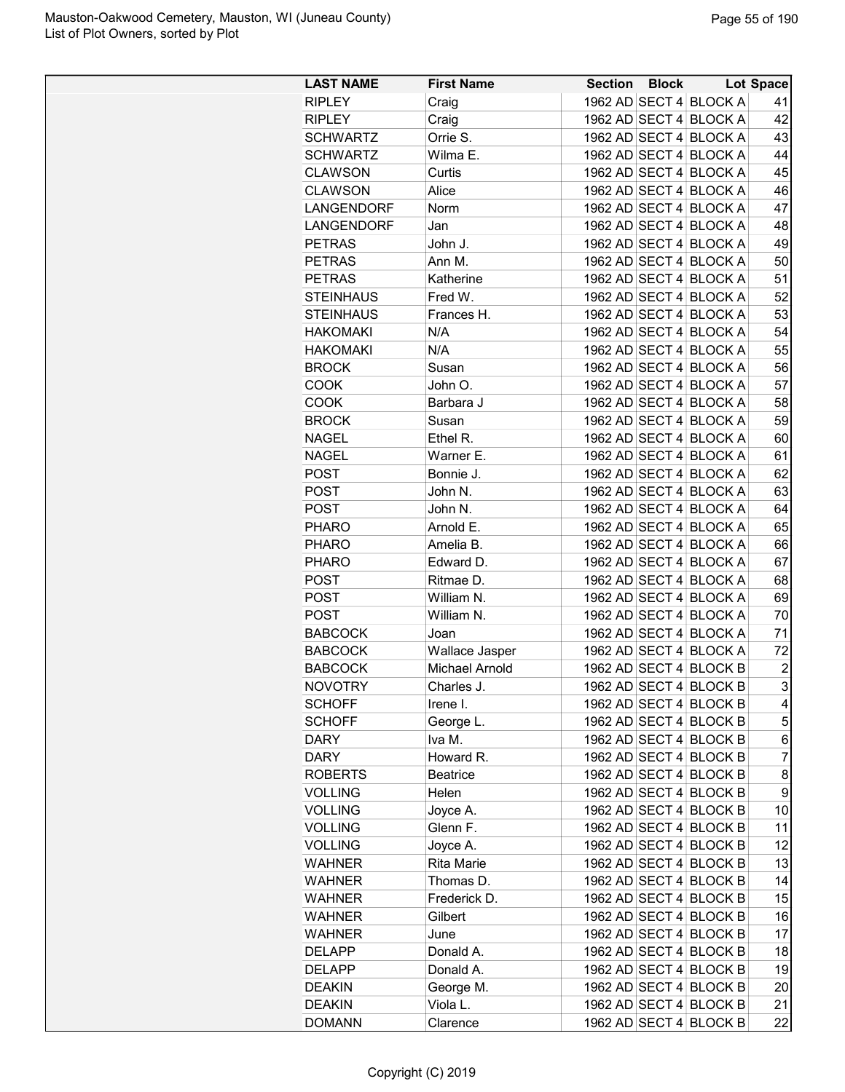| <b>LAST NAME</b> | <b>First Name</b> | <b>Section Block</b> |                        | <b>Lot Space</b> |
|------------------|-------------------|----------------------|------------------------|------------------|
| <b>RIPLEY</b>    | Craig             |                      | 1962 AD SECT 4 BLOCK A | 41               |
| <b>RIPLEY</b>    | Craig             |                      | 1962 AD SECT 4 BLOCK A | 42               |
| <b>SCHWARTZ</b>  | Orrie S.          |                      | 1962 AD SECT 4 BLOCK A | 43               |
| <b>SCHWARTZ</b>  | Wilma E.          |                      | 1962 AD SECT 4 BLOCK A | 44               |
| <b>CLAWSON</b>   | Curtis            |                      | 1962 AD SECT 4 BLOCK A | 45               |
| <b>CLAWSON</b>   | Alice             |                      | 1962 AD SECT 4 BLOCK A | 46               |
| LANGENDORF       | Norm              |                      | 1962 AD SECT 4 BLOCK A | 47               |
| LANGENDORF       | Jan               |                      | 1962 AD SECT 4 BLOCK A | 48               |
| <b>PETRAS</b>    | John J.           |                      | 1962 AD SECT 4 BLOCK A | 49               |
| <b>PETRAS</b>    | Ann M.            |                      | 1962 AD SECT 4 BLOCK A | 50               |
| <b>PETRAS</b>    | Katherine         |                      | 1962 AD SECT 4 BLOCK A | 51               |
| <b>STEINHAUS</b> | Fred W.           |                      | 1962 AD SECT 4 BLOCK A | 52               |
| <b>STEINHAUS</b> | Frances H.        |                      | 1962 AD SECT 4 BLOCK A | 53               |
| <b>HAKOMAKI</b>  | N/A               |                      | 1962 AD SECT 4 BLOCK A | 54               |
| <b>HAKOMAKI</b>  | N/A               |                      | 1962 AD SECT 4 BLOCK A | 55               |
| <b>BROCK</b>     | Susan             |                      | 1962 AD SECT 4 BLOCK A | 56               |
| <b>COOK</b>      | John O.           |                      | 1962 AD SECT 4 BLOCK A | 57               |
| COOK             | Barbara J         |                      | 1962 AD SECT 4 BLOCK A | 58               |
| <b>BROCK</b>     | Susan             |                      | 1962 AD SECT 4 BLOCK A | 59               |
| <b>NAGEL</b>     | Ethel R.          |                      | 1962 AD SECT 4 BLOCK A | 60               |
| <b>NAGEL</b>     | Warner E.         |                      | 1962 AD SECT 4 BLOCK A | 61               |
|                  | Bonnie J.         |                      | 1962 AD SECT 4 BLOCK A | 62               |
| <b>POST</b>      |                   |                      |                        |                  |
| <b>POST</b>      | John N.           |                      | 1962 AD SECT 4 BLOCK A | 63               |
| <b>POST</b>      | John N.           |                      | 1962 AD SECT 4 BLOCK A | 64               |
| <b>PHARO</b>     | Arnold E.         |                      | 1962 AD SECT 4 BLOCK A | 65               |
| <b>PHARO</b>     | Amelia B.         |                      | 1962 AD SECT 4 BLOCK A | 66               |
| <b>PHARO</b>     | Edward D.         |                      | 1962 AD SECT 4 BLOCK A | 67               |
| <b>POST</b>      | Ritmae D.         |                      | 1962 AD SECT 4 BLOCK A | 68               |
| <b>POST</b>      | William N.        |                      | 1962 AD SECT 4 BLOCK A | 69               |
| <b>POST</b>      | William N.        |                      | 1962 AD SECT 4 BLOCK A | 70               |
| <b>BABCOCK</b>   | Joan              |                      | 1962 AD SECT 4 BLOCK A | 71               |
| <b>BABCOCK</b>   | Wallace Jasper    |                      | 1962 AD SECT 4 BLOCK A | 72               |
| <b>BABCOCK</b>   | Michael Arnold    |                      | 1962 AD SECT 4 BLOCK B | $\overline{c}$   |
| <b>NOVOTRY</b>   | Charles J.        |                      | 1962 AD SECT 4 BLOCK B | 3                |
| <b>SCHOFF</b>    | Irene I.          |                      | 1962 AD SECT 4 BLOCK B | 4                |
| <b>SCHOFF</b>    | George L.         |                      | 1962 AD SECT 4 BLOCK B | 5                |
| <b>DARY</b>      | Iva M.            |                      | 1962 AD SECT 4 BLOCK B | 6                |
| <b>DARY</b>      | Howard R.         |                      | 1962 AD SECT 4 BLOCK B | $\overline{7}$   |
| <b>ROBERTS</b>   | <b>Beatrice</b>   |                      | 1962 AD SECT 4 BLOCK B | 8                |
| <b>VOLLING</b>   | Helen             |                      | 1962 AD SECT 4 BLOCK B | 9                |
| <b>VOLLING</b>   | Joyce A.          |                      | 1962 AD SECT 4 BLOCK B | 10               |
| <b>VOLLING</b>   | Glenn F.          |                      | 1962 AD SECT 4 BLOCK B | 11               |
| <b>VOLLING</b>   | Joyce A.          |                      | 1962 AD SECT 4 BLOCK B | 12               |
| <b>WAHNER</b>    | <b>Rita Marie</b> |                      | 1962 AD SECT 4 BLOCK B | 13               |
| <b>WAHNER</b>    | Thomas D.         |                      | 1962 AD SECT 4 BLOCK B | 14               |
| <b>WAHNER</b>    | Frederick D.      |                      | 1962 AD SECT 4 BLOCK B | 15               |
| <b>WAHNER</b>    | Gilbert           |                      | 1962 AD SECT 4 BLOCK B | 16               |
| <b>WAHNER</b>    | June              |                      | 1962 AD SECT 4 BLOCK B | 17               |
| <b>DELAPP</b>    | Donald A.         |                      | 1962 AD SECT 4 BLOCK B | 18               |
| <b>DELAPP</b>    | Donald A.         |                      | 1962 AD SECT 4 BLOCK B | 19               |
| <b>DEAKIN</b>    | George M.         |                      | 1962 AD SECT 4 BLOCK B | 20               |
| <b>DEAKIN</b>    | Viola L.          |                      | 1962 AD SECT 4 BLOCK B | 21               |
| <b>DOMANN</b>    | Clarence          |                      | 1962 AD SECT 4 BLOCK B | 22               |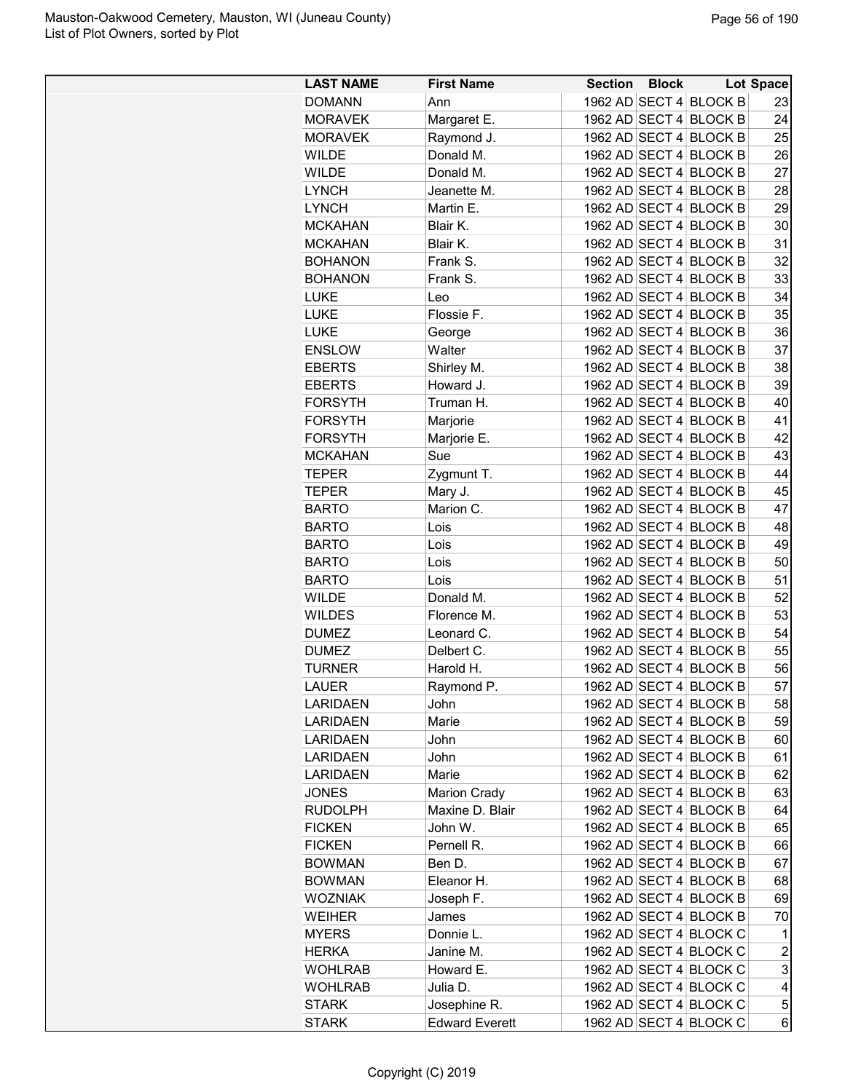| 1962 AD SECT 4 BLOCK B<br><b>DOMANN</b><br>Ann<br>23<br>1962 AD SECT 4 BLOCK B<br><b>MORAVEK</b><br>Margaret E.<br>24<br>1962 AD SECT 4 BLOCK B<br>25<br><b>MORAVEK</b><br>Raymond J.<br><b>WILDE</b><br>Donald M.<br>1962 AD SECT 4 BLOCK B<br>26<br>27<br><b>WILDE</b><br>Donald M.<br>1962 AD SECT 4 BLOCK B<br>1962 AD SECT 4 BLOCK B<br>28<br><b>LYNCH</b><br>Jeanette M.<br>Martin E.<br>1962 AD SECT 4 BLOCK B<br>29<br><b>LYNCH</b><br>30<br><b>MCKAHAN</b><br>Blair K.<br>1962 AD SECT 4 BLOCK B<br>31<br><b>MCKAHAN</b><br>Blair K.<br>1962 AD SECT 4 BLOCK B<br>1962 AD SECT 4 BLOCK B<br>32<br><b>BOHANON</b><br>Frank S.<br>1962 AD SECT 4 BLOCK B<br>33<br><b>BOHANON</b><br>Frank S.<br><b>LUKE</b><br>1962 AD SECT 4 BLOCK B<br>34<br>Leo<br>35<br>Flossie F.<br>1962 AD SECT 4 BLOCK B<br><b>LUKE</b><br>1962 AD SECT 4 BLOCK B<br>36<br><b>LUKE</b><br>George<br>37<br>1962 AD SECT 4 BLOCK B<br><b>ENSLOW</b><br>Walter<br>1962 AD SECT 4 BLOCK B<br>38<br><b>EBERTS</b><br>Shirley M.<br>1962 AD SECT 4 BLOCK B<br>39<br><b>EBERTS</b><br>Howard J.<br><b>FORSYTH</b><br>1962 AD SECT 4 BLOCK B<br>40<br>Truman H.<br>41<br><b>FORSYTH</b><br>1962 AD SECT 4 BLOCK B<br>Marjorie<br>42<br><b>FORSYTH</b><br>1962 AD SECT 4 BLOCK B<br>Marjorie E.<br>1962 AD SECT 4 BLOCK B<br>Sue<br>43<br><b>MCKAHAN</b><br>44<br>1962 AD SECT 4 BLOCK B<br>Zygmunt T.<br><b>TEPER</b><br>Mary J.<br>1962 AD SECT 4 BLOCK B<br>45<br><b>TEPER</b><br>Marion C.<br>1962 AD SECT 4 BLOCK B<br>47<br><b>BARTO</b><br><b>BARTO</b><br>1962 AD SECT 4 BLOCK B<br>48<br>Lois<br>49<br>1962 AD SECT 4 BLOCK B<br><b>BARTO</b><br>Lois<br>1962 AD SECT 4 BLOCK B<br>50<br><b>BARTO</b><br>Lois<br>1962 AD SECT 4 BLOCK B<br>51<br><b>BARTO</b><br>Lois<br>52<br>1962 AD SECT 4 BLOCK B<br><b>WILDE</b><br>Donald M.<br>53<br><b>WILDES</b><br>Florence M.<br>1962 AD SECT 4 BLOCK B<br>1962 AD SECT 4 BLOCK B<br><b>DUMEZ</b><br>Leonard C.<br>54<br><b>DUMEZ</b><br>Delbert C.<br>1962 AD SECT 4 BLOCK B<br>55<br><b>TURNER</b><br>Harold H.<br>1962 AD SECT 4 BLOCK B<br>56<br>57<br>1962 AD SECT 4 BLOCK B<br>LAUER<br>Raymond P.<br>58<br>1962 AD SECT 4 BLOCK B<br><b>LARIDAEN</b><br>John<br>1962 AD SECT 4 BLOCK B<br>59<br><b>LARIDAEN</b><br>Marie<br><b>LARIDAEN</b><br>John<br>1962 AD SECT 4 BLOCK B<br>60<br>John<br>1962 AD SECT 4 BLOCK B<br>61<br>LARIDAEN<br>1962 AD SECT 4 BLOCK B<br>62<br><b>LARIDAEN</b><br>Marie<br><b>JONES</b><br>1962 AD SECT 4 BLOCK B<br>63<br><b>Marion Crady</b><br>Maxine D. Blair<br>1962 AD SECT 4 BLOCK B<br>64<br><b>RUDOLPH</b><br><b>FICKEN</b><br>1962 AD SECT 4 BLOCK B<br>65<br>John W.<br>Pernell R.<br>1962 AD SECT 4 BLOCK B<br>66<br><b>FICKEN</b><br><b>BOWMAN</b><br>Ben D.<br>1962 AD SECT 4 BLOCK B<br>67<br><b>BOWMAN</b><br>Eleanor H.<br>1962 AD SECT 4 BLOCK B<br>68<br>1962 AD SECT 4 BLOCK B<br><b>WOZNIAK</b><br>Joseph F.<br>69<br>1962 AD SECT 4 BLOCK B<br>70<br><b>WEIHER</b><br>James<br>Donnie L.<br>1962 AD SECT 4 BLOCK C<br>$\mathbf 1$<br><b>MYERS</b><br>$\boldsymbol{2}$<br>1962 AD SECT 4 BLOCK C<br><b>HERKA</b><br>Janine M.<br>3<br>1962 AD SECT 4 BLOCK C<br><b>WOHLRAB</b><br>Howard E.<br>Julia D.<br>1962 AD SECT 4 BLOCK C<br>4<br><b>WOHLRAB</b><br><b>STARK</b><br>1962 AD SECT 4 BLOCK C<br>5<br>Josephine R.<br>1962 AD SECT 4 BLOCK C | <b>LAST NAME</b> | <b>First Name</b>     | <b>Section Block</b> | <b>Lot Space</b> |
|-------------------------------------------------------------------------------------------------------------------------------------------------------------------------------------------------------------------------------------------------------------------------------------------------------------------------------------------------------------------------------------------------------------------------------------------------------------------------------------------------------------------------------------------------------------------------------------------------------------------------------------------------------------------------------------------------------------------------------------------------------------------------------------------------------------------------------------------------------------------------------------------------------------------------------------------------------------------------------------------------------------------------------------------------------------------------------------------------------------------------------------------------------------------------------------------------------------------------------------------------------------------------------------------------------------------------------------------------------------------------------------------------------------------------------------------------------------------------------------------------------------------------------------------------------------------------------------------------------------------------------------------------------------------------------------------------------------------------------------------------------------------------------------------------------------------------------------------------------------------------------------------------------------------------------------------------------------------------------------------------------------------------------------------------------------------------------------------------------------------------------------------------------------------------------------------------------------------------------------------------------------------------------------------------------------------------------------------------------------------------------------------------------------------------------------------------------------------------------------------------------------------------------------------------------------------------------------------------------------------------------------------------------------------------------------------------------------------------------------------------------------------------------------------------------------------------------------------------------------------------------------------------------------------------------------------------------------------------------------------------------------------------------------------------------------------------------------------------------------------------------------------------------------------------------------------------------------------------------------------------------------------------------------------------------------------------------------|------------------|-----------------------|----------------------|------------------|
|                                                                                                                                                                                                                                                                                                                                                                                                                                                                                                                                                                                                                                                                                                                                                                                                                                                                                                                                                                                                                                                                                                                                                                                                                                                                                                                                                                                                                                                                                                                                                                                                                                                                                                                                                                                                                                                                                                                                                                                                                                                                                                                                                                                                                                                                                                                                                                                                                                                                                                                                                                                                                                                                                                                                                                                                                                                                                                                                                                                                                                                                                                                                                                                                                                                                                                                                     |                  |                       |                      |                  |
|                                                                                                                                                                                                                                                                                                                                                                                                                                                                                                                                                                                                                                                                                                                                                                                                                                                                                                                                                                                                                                                                                                                                                                                                                                                                                                                                                                                                                                                                                                                                                                                                                                                                                                                                                                                                                                                                                                                                                                                                                                                                                                                                                                                                                                                                                                                                                                                                                                                                                                                                                                                                                                                                                                                                                                                                                                                                                                                                                                                                                                                                                                                                                                                                                                                                                                                                     |                  |                       |                      |                  |
|                                                                                                                                                                                                                                                                                                                                                                                                                                                                                                                                                                                                                                                                                                                                                                                                                                                                                                                                                                                                                                                                                                                                                                                                                                                                                                                                                                                                                                                                                                                                                                                                                                                                                                                                                                                                                                                                                                                                                                                                                                                                                                                                                                                                                                                                                                                                                                                                                                                                                                                                                                                                                                                                                                                                                                                                                                                                                                                                                                                                                                                                                                                                                                                                                                                                                                                                     |                  |                       |                      |                  |
|                                                                                                                                                                                                                                                                                                                                                                                                                                                                                                                                                                                                                                                                                                                                                                                                                                                                                                                                                                                                                                                                                                                                                                                                                                                                                                                                                                                                                                                                                                                                                                                                                                                                                                                                                                                                                                                                                                                                                                                                                                                                                                                                                                                                                                                                                                                                                                                                                                                                                                                                                                                                                                                                                                                                                                                                                                                                                                                                                                                                                                                                                                                                                                                                                                                                                                                                     |                  |                       |                      |                  |
|                                                                                                                                                                                                                                                                                                                                                                                                                                                                                                                                                                                                                                                                                                                                                                                                                                                                                                                                                                                                                                                                                                                                                                                                                                                                                                                                                                                                                                                                                                                                                                                                                                                                                                                                                                                                                                                                                                                                                                                                                                                                                                                                                                                                                                                                                                                                                                                                                                                                                                                                                                                                                                                                                                                                                                                                                                                                                                                                                                                                                                                                                                                                                                                                                                                                                                                                     |                  |                       |                      |                  |
|                                                                                                                                                                                                                                                                                                                                                                                                                                                                                                                                                                                                                                                                                                                                                                                                                                                                                                                                                                                                                                                                                                                                                                                                                                                                                                                                                                                                                                                                                                                                                                                                                                                                                                                                                                                                                                                                                                                                                                                                                                                                                                                                                                                                                                                                                                                                                                                                                                                                                                                                                                                                                                                                                                                                                                                                                                                                                                                                                                                                                                                                                                                                                                                                                                                                                                                                     |                  |                       |                      |                  |
|                                                                                                                                                                                                                                                                                                                                                                                                                                                                                                                                                                                                                                                                                                                                                                                                                                                                                                                                                                                                                                                                                                                                                                                                                                                                                                                                                                                                                                                                                                                                                                                                                                                                                                                                                                                                                                                                                                                                                                                                                                                                                                                                                                                                                                                                                                                                                                                                                                                                                                                                                                                                                                                                                                                                                                                                                                                                                                                                                                                                                                                                                                                                                                                                                                                                                                                                     |                  |                       |                      |                  |
|                                                                                                                                                                                                                                                                                                                                                                                                                                                                                                                                                                                                                                                                                                                                                                                                                                                                                                                                                                                                                                                                                                                                                                                                                                                                                                                                                                                                                                                                                                                                                                                                                                                                                                                                                                                                                                                                                                                                                                                                                                                                                                                                                                                                                                                                                                                                                                                                                                                                                                                                                                                                                                                                                                                                                                                                                                                                                                                                                                                                                                                                                                                                                                                                                                                                                                                                     |                  |                       |                      |                  |
|                                                                                                                                                                                                                                                                                                                                                                                                                                                                                                                                                                                                                                                                                                                                                                                                                                                                                                                                                                                                                                                                                                                                                                                                                                                                                                                                                                                                                                                                                                                                                                                                                                                                                                                                                                                                                                                                                                                                                                                                                                                                                                                                                                                                                                                                                                                                                                                                                                                                                                                                                                                                                                                                                                                                                                                                                                                                                                                                                                                                                                                                                                                                                                                                                                                                                                                                     |                  |                       |                      |                  |
|                                                                                                                                                                                                                                                                                                                                                                                                                                                                                                                                                                                                                                                                                                                                                                                                                                                                                                                                                                                                                                                                                                                                                                                                                                                                                                                                                                                                                                                                                                                                                                                                                                                                                                                                                                                                                                                                                                                                                                                                                                                                                                                                                                                                                                                                                                                                                                                                                                                                                                                                                                                                                                                                                                                                                                                                                                                                                                                                                                                                                                                                                                                                                                                                                                                                                                                                     |                  |                       |                      |                  |
|                                                                                                                                                                                                                                                                                                                                                                                                                                                                                                                                                                                                                                                                                                                                                                                                                                                                                                                                                                                                                                                                                                                                                                                                                                                                                                                                                                                                                                                                                                                                                                                                                                                                                                                                                                                                                                                                                                                                                                                                                                                                                                                                                                                                                                                                                                                                                                                                                                                                                                                                                                                                                                                                                                                                                                                                                                                                                                                                                                                                                                                                                                                                                                                                                                                                                                                                     |                  |                       |                      |                  |
|                                                                                                                                                                                                                                                                                                                                                                                                                                                                                                                                                                                                                                                                                                                                                                                                                                                                                                                                                                                                                                                                                                                                                                                                                                                                                                                                                                                                                                                                                                                                                                                                                                                                                                                                                                                                                                                                                                                                                                                                                                                                                                                                                                                                                                                                                                                                                                                                                                                                                                                                                                                                                                                                                                                                                                                                                                                                                                                                                                                                                                                                                                                                                                                                                                                                                                                                     |                  |                       |                      |                  |
|                                                                                                                                                                                                                                                                                                                                                                                                                                                                                                                                                                                                                                                                                                                                                                                                                                                                                                                                                                                                                                                                                                                                                                                                                                                                                                                                                                                                                                                                                                                                                                                                                                                                                                                                                                                                                                                                                                                                                                                                                                                                                                                                                                                                                                                                                                                                                                                                                                                                                                                                                                                                                                                                                                                                                                                                                                                                                                                                                                                                                                                                                                                                                                                                                                                                                                                                     |                  |                       |                      |                  |
|                                                                                                                                                                                                                                                                                                                                                                                                                                                                                                                                                                                                                                                                                                                                                                                                                                                                                                                                                                                                                                                                                                                                                                                                                                                                                                                                                                                                                                                                                                                                                                                                                                                                                                                                                                                                                                                                                                                                                                                                                                                                                                                                                                                                                                                                                                                                                                                                                                                                                                                                                                                                                                                                                                                                                                                                                                                                                                                                                                                                                                                                                                                                                                                                                                                                                                                                     |                  |                       |                      |                  |
|                                                                                                                                                                                                                                                                                                                                                                                                                                                                                                                                                                                                                                                                                                                                                                                                                                                                                                                                                                                                                                                                                                                                                                                                                                                                                                                                                                                                                                                                                                                                                                                                                                                                                                                                                                                                                                                                                                                                                                                                                                                                                                                                                                                                                                                                                                                                                                                                                                                                                                                                                                                                                                                                                                                                                                                                                                                                                                                                                                                                                                                                                                                                                                                                                                                                                                                                     |                  |                       |                      |                  |
|                                                                                                                                                                                                                                                                                                                                                                                                                                                                                                                                                                                                                                                                                                                                                                                                                                                                                                                                                                                                                                                                                                                                                                                                                                                                                                                                                                                                                                                                                                                                                                                                                                                                                                                                                                                                                                                                                                                                                                                                                                                                                                                                                                                                                                                                                                                                                                                                                                                                                                                                                                                                                                                                                                                                                                                                                                                                                                                                                                                                                                                                                                                                                                                                                                                                                                                                     |                  |                       |                      |                  |
|                                                                                                                                                                                                                                                                                                                                                                                                                                                                                                                                                                                                                                                                                                                                                                                                                                                                                                                                                                                                                                                                                                                                                                                                                                                                                                                                                                                                                                                                                                                                                                                                                                                                                                                                                                                                                                                                                                                                                                                                                                                                                                                                                                                                                                                                                                                                                                                                                                                                                                                                                                                                                                                                                                                                                                                                                                                                                                                                                                                                                                                                                                                                                                                                                                                                                                                                     |                  |                       |                      |                  |
|                                                                                                                                                                                                                                                                                                                                                                                                                                                                                                                                                                                                                                                                                                                                                                                                                                                                                                                                                                                                                                                                                                                                                                                                                                                                                                                                                                                                                                                                                                                                                                                                                                                                                                                                                                                                                                                                                                                                                                                                                                                                                                                                                                                                                                                                                                                                                                                                                                                                                                                                                                                                                                                                                                                                                                                                                                                                                                                                                                                                                                                                                                                                                                                                                                                                                                                                     |                  |                       |                      |                  |
|                                                                                                                                                                                                                                                                                                                                                                                                                                                                                                                                                                                                                                                                                                                                                                                                                                                                                                                                                                                                                                                                                                                                                                                                                                                                                                                                                                                                                                                                                                                                                                                                                                                                                                                                                                                                                                                                                                                                                                                                                                                                                                                                                                                                                                                                                                                                                                                                                                                                                                                                                                                                                                                                                                                                                                                                                                                                                                                                                                                                                                                                                                                                                                                                                                                                                                                                     |                  |                       |                      |                  |
|                                                                                                                                                                                                                                                                                                                                                                                                                                                                                                                                                                                                                                                                                                                                                                                                                                                                                                                                                                                                                                                                                                                                                                                                                                                                                                                                                                                                                                                                                                                                                                                                                                                                                                                                                                                                                                                                                                                                                                                                                                                                                                                                                                                                                                                                                                                                                                                                                                                                                                                                                                                                                                                                                                                                                                                                                                                                                                                                                                                                                                                                                                                                                                                                                                                                                                                                     |                  |                       |                      |                  |
|                                                                                                                                                                                                                                                                                                                                                                                                                                                                                                                                                                                                                                                                                                                                                                                                                                                                                                                                                                                                                                                                                                                                                                                                                                                                                                                                                                                                                                                                                                                                                                                                                                                                                                                                                                                                                                                                                                                                                                                                                                                                                                                                                                                                                                                                                                                                                                                                                                                                                                                                                                                                                                                                                                                                                                                                                                                                                                                                                                                                                                                                                                                                                                                                                                                                                                                                     |                  |                       |                      |                  |
|                                                                                                                                                                                                                                                                                                                                                                                                                                                                                                                                                                                                                                                                                                                                                                                                                                                                                                                                                                                                                                                                                                                                                                                                                                                                                                                                                                                                                                                                                                                                                                                                                                                                                                                                                                                                                                                                                                                                                                                                                                                                                                                                                                                                                                                                                                                                                                                                                                                                                                                                                                                                                                                                                                                                                                                                                                                                                                                                                                                                                                                                                                                                                                                                                                                                                                                                     |                  |                       |                      |                  |
|                                                                                                                                                                                                                                                                                                                                                                                                                                                                                                                                                                                                                                                                                                                                                                                                                                                                                                                                                                                                                                                                                                                                                                                                                                                                                                                                                                                                                                                                                                                                                                                                                                                                                                                                                                                                                                                                                                                                                                                                                                                                                                                                                                                                                                                                                                                                                                                                                                                                                                                                                                                                                                                                                                                                                                                                                                                                                                                                                                                                                                                                                                                                                                                                                                                                                                                                     |                  |                       |                      |                  |
|                                                                                                                                                                                                                                                                                                                                                                                                                                                                                                                                                                                                                                                                                                                                                                                                                                                                                                                                                                                                                                                                                                                                                                                                                                                                                                                                                                                                                                                                                                                                                                                                                                                                                                                                                                                                                                                                                                                                                                                                                                                                                                                                                                                                                                                                                                                                                                                                                                                                                                                                                                                                                                                                                                                                                                                                                                                                                                                                                                                                                                                                                                                                                                                                                                                                                                                                     |                  |                       |                      |                  |
|                                                                                                                                                                                                                                                                                                                                                                                                                                                                                                                                                                                                                                                                                                                                                                                                                                                                                                                                                                                                                                                                                                                                                                                                                                                                                                                                                                                                                                                                                                                                                                                                                                                                                                                                                                                                                                                                                                                                                                                                                                                                                                                                                                                                                                                                                                                                                                                                                                                                                                                                                                                                                                                                                                                                                                                                                                                                                                                                                                                                                                                                                                                                                                                                                                                                                                                                     |                  |                       |                      |                  |
|                                                                                                                                                                                                                                                                                                                                                                                                                                                                                                                                                                                                                                                                                                                                                                                                                                                                                                                                                                                                                                                                                                                                                                                                                                                                                                                                                                                                                                                                                                                                                                                                                                                                                                                                                                                                                                                                                                                                                                                                                                                                                                                                                                                                                                                                                                                                                                                                                                                                                                                                                                                                                                                                                                                                                                                                                                                                                                                                                                                                                                                                                                                                                                                                                                                                                                                                     |                  |                       |                      |                  |
|                                                                                                                                                                                                                                                                                                                                                                                                                                                                                                                                                                                                                                                                                                                                                                                                                                                                                                                                                                                                                                                                                                                                                                                                                                                                                                                                                                                                                                                                                                                                                                                                                                                                                                                                                                                                                                                                                                                                                                                                                                                                                                                                                                                                                                                                                                                                                                                                                                                                                                                                                                                                                                                                                                                                                                                                                                                                                                                                                                                                                                                                                                                                                                                                                                                                                                                                     |                  |                       |                      |                  |
|                                                                                                                                                                                                                                                                                                                                                                                                                                                                                                                                                                                                                                                                                                                                                                                                                                                                                                                                                                                                                                                                                                                                                                                                                                                                                                                                                                                                                                                                                                                                                                                                                                                                                                                                                                                                                                                                                                                                                                                                                                                                                                                                                                                                                                                                                                                                                                                                                                                                                                                                                                                                                                                                                                                                                                                                                                                                                                                                                                                                                                                                                                                                                                                                                                                                                                                                     |                  |                       |                      |                  |
|                                                                                                                                                                                                                                                                                                                                                                                                                                                                                                                                                                                                                                                                                                                                                                                                                                                                                                                                                                                                                                                                                                                                                                                                                                                                                                                                                                                                                                                                                                                                                                                                                                                                                                                                                                                                                                                                                                                                                                                                                                                                                                                                                                                                                                                                                                                                                                                                                                                                                                                                                                                                                                                                                                                                                                                                                                                                                                                                                                                                                                                                                                                                                                                                                                                                                                                                     |                  |                       |                      |                  |
|                                                                                                                                                                                                                                                                                                                                                                                                                                                                                                                                                                                                                                                                                                                                                                                                                                                                                                                                                                                                                                                                                                                                                                                                                                                                                                                                                                                                                                                                                                                                                                                                                                                                                                                                                                                                                                                                                                                                                                                                                                                                                                                                                                                                                                                                                                                                                                                                                                                                                                                                                                                                                                                                                                                                                                                                                                                                                                                                                                                                                                                                                                                                                                                                                                                                                                                                     |                  |                       |                      |                  |
|                                                                                                                                                                                                                                                                                                                                                                                                                                                                                                                                                                                                                                                                                                                                                                                                                                                                                                                                                                                                                                                                                                                                                                                                                                                                                                                                                                                                                                                                                                                                                                                                                                                                                                                                                                                                                                                                                                                                                                                                                                                                                                                                                                                                                                                                                                                                                                                                                                                                                                                                                                                                                                                                                                                                                                                                                                                                                                                                                                                                                                                                                                                                                                                                                                                                                                                                     |                  |                       |                      |                  |
|                                                                                                                                                                                                                                                                                                                                                                                                                                                                                                                                                                                                                                                                                                                                                                                                                                                                                                                                                                                                                                                                                                                                                                                                                                                                                                                                                                                                                                                                                                                                                                                                                                                                                                                                                                                                                                                                                                                                                                                                                                                                                                                                                                                                                                                                                                                                                                                                                                                                                                                                                                                                                                                                                                                                                                                                                                                                                                                                                                                                                                                                                                                                                                                                                                                                                                                                     |                  |                       |                      |                  |
|                                                                                                                                                                                                                                                                                                                                                                                                                                                                                                                                                                                                                                                                                                                                                                                                                                                                                                                                                                                                                                                                                                                                                                                                                                                                                                                                                                                                                                                                                                                                                                                                                                                                                                                                                                                                                                                                                                                                                                                                                                                                                                                                                                                                                                                                                                                                                                                                                                                                                                                                                                                                                                                                                                                                                                                                                                                                                                                                                                                                                                                                                                                                                                                                                                                                                                                                     |                  |                       |                      |                  |
|                                                                                                                                                                                                                                                                                                                                                                                                                                                                                                                                                                                                                                                                                                                                                                                                                                                                                                                                                                                                                                                                                                                                                                                                                                                                                                                                                                                                                                                                                                                                                                                                                                                                                                                                                                                                                                                                                                                                                                                                                                                                                                                                                                                                                                                                                                                                                                                                                                                                                                                                                                                                                                                                                                                                                                                                                                                                                                                                                                                                                                                                                                                                                                                                                                                                                                                                     |                  |                       |                      |                  |
|                                                                                                                                                                                                                                                                                                                                                                                                                                                                                                                                                                                                                                                                                                                                                                                                                                                                                                                                                                                                                                                                                                                                                                                                                                                                                                                                                                                                                                                                                                                                                                                                                                                                                                                                                                                                                                                                                                                                                                                                                                                                                                                                                                                                                                                                                                                                                                                                                                                                                                                                                                                                                                                                                                                                                                                                                                                                                                                                                                                                                                                                                                                                                                                                                                                                                                                                     |                  |                       |                      |                  |
|                                                                                                                                                                                                                                                                                                                                                                                                                                                                                                                                                                                                                                                                                                                                                                                                                                                                                                                                                                                                                                                                                                                                                                                                                                                                                                                                                                                                                                                                                                                                                                                                                                                                                                                                                                                                                                                                                                                                                                                                                                                                                                                                                                                                                                                                                                                                                                                                                                                                                                                                                                                                                                                                                                                                                                                                                                                                                                                                                                                                                                                                                                                                                                                                                                                                                                                                     |                  |                       |                      |                  |
|                                                                                                                                                                                                                                                                                                                                                                                                                                                                                                                                                                                                                                                                                                                                                                                                                                                                                                                                                                                                                                                                                                                                                                                                                                                                                                                                                                                                                                                                                                                                                                                                                                                                                                                                                                                                                                                                                                                                                                                                                                                                                                                                                                                                                                                                                                                                                                                                                                                                                                                                                                                                                                                                                                                                                                                                                                                                                                                                                                                                                                                                                                                                                                                                                                                                                                                                     |                  |                       |                      |                  |
|                                                                                                                                                                                                                                                                                                                                                                                                                                                                                                                                                                                                                                                                                                                                                                                                                                                                                                                                                                                                                                                                                                                                                                                                                                                                                                                                                                                                                                                                                                                                                                                                                                                                                                                                                                                                                                                                                                                                                                                                                                                                                                                                                                                                                                                                                                                                                                                                                                                                                                                                                                                                                                                                                                                                                                                                                                                                                                                                                                                                                                                                                                                                                                                                                                                                                                                                     |                  |                       |                      |                  |
|                                                                                                                                                                                                                                                                                                                                                                                                                                                                                                                                                                                                                                                                                                                                                                                                                                                                                                                                                                                                                                                                                                                                                                                                                                                                                                                                                                                                                                                                                                                                                                                                                                                                                                                                                                                                                                                                                                                                                                                                                                                                                                                                                                                                                                                                                                                                                                                                                                                                                                                                                                                                                                                                                                                                                                                                                                                                                                                                                                                                                                                                                                                                                                                                                                                                                                                                     |                  |                       |                      |                  |
|                                                                                                                                                                                                                                                                                                                                                                                                                                                                                                                                                                                                                                                                                                                                                                                                                                                                                                                                                                                                                                                                                                                                                                                                                                                                                                                                                                                                                                                                                                                                                                                                                                                                                                                                                                                                                                                                                                                                                                                                                                                                                                                                                                                                                                                                                                                                                                                                                                                                                                                                                                                                                                                                                                                                                                                                                                                                                                                                                                                                                                                                                                                                                                                                                                                                                                                                     |                  |                       |                      |                  |
|                                                                                                                                                                                                                                                                                                                                                                                                                                                                                                                                                                                                                                                                                                                                                                                                                                                                                                                                                                                                                                                                                                                                                                                                                                                                                                                                                                                                                                                                                                                                                                                                                                                                                                                                                                                                                                                                                                                                                                                                                                                                                                                                                                                                                                                                                                                                                                                                                                                                                                                                                                                                                                                                                                                                                                                                                                                                                                                                                                                                                                                                                                                                                                                                                                                                                                                                     |                  |                       |                      |                  |
|                                                                                                                                                                                                                                                                                                                                                                                                                                                                                                                                                                                                                                                                                                                                                                                                                                                                                                                                                                                                                                                                                                                                                                                                                                                                                                                                                                                                                                                                                                                                                                                                                                                                                                                                                                                                                                                                                                                                                                                                                                                                                                                                                                                                                                                                                                                                                                                                                                                                                                                                                                                                                                                                                                                                                                                                                                                                                                                                                                                                                                                                                                                                                                                                                                                                                                                                     |                  |                       |                      |                  |
|                                                                                                                                                                                                                                                                                                                                                                                                                                                                                                                                                                                                                                                                                                                                                                                                                                                                                                                                                                                                                                                                                                                                                                                                                                                                                                                                                                                                                                                                                                                                                                                                                                                                                                                                                                                                                                                                                                                                                                                                                                                                                                                                                                                                                                                                                                                                                                                                                                                                                                                                                                                                                                                                                                                                                                                                                                                                                                                                                                                                                                                                                                                                                                                                                                                                                                                                     |                  |                       |                      |                  |
|                                                                                                                                                                                                                                                                                                                                                                                                                                                                                                                                                                                                                                                                                                                                                                                                                                                                                                                                                                                                                                                                                                                                                                                                                                                                                                                                                                                                                                                                                                                                                                                                                                                                                                                                                                                                                                                                                                                                                                                                                                                                                                                                                                                                                                                                                                                                                                                                                                                                                                                                                                                                                                                                                                                                                                                                                                                                                                                                                                                                                                                                                                                                                                                                                                                                                                                                     |                  |                       |                      |                  |
|                                                                                                                                                                                                                                                                                                                                                                                                                                                                                                                                                                                                                                                                                                                                                                                                                                                                                                                                                                                                                                                                                                                                                                                                                                                                                                                                                                                                                                                                                                                                                                                                                                                                                                                                                                                                                                                                                                                                                                                                                                                                                                                                                                                                                                                                                                                                                                                                                                                                                                                                                                                                                                                                                                                                                                                                                                                                                                                                                                                                                                                                                                                                                                                                                                                                                                                                     |                  |                       |                      |                  |
|                                                                                                                                                                                                                                                                                                                                                                                                                                                                                                                                                                                                                                                                                                                                                                                                                                                                                                                                                                                                                                                                                                                                                                                                                                                                                                                                                                                                                                                                                                                                                                                                                                                                                                                                                                                                                                                                                                                                                                                                                                                                                                                                                                                                                                                                                                                                                                                                                                                                                                                                                                                                                                                                                                                                                                                                                                                                                                                                                                                                                                                                                                                                                                                                                                                                                                                                     |                  |                       |                      |                  |
|                                                                                                                                                                                                                                                                                                                                                                                                                                                                                                                                                                                                                                                                                                                                                                                                                                                                                                                                                                                                                                                                                                                                                                                                                                                                                                                                                                                                                                                                                                                                                                                                                                                                                                                                                                                                                                                                                                                                                                                                                                                                                                                                                                                                                                                                                                                                                                                                                                                                                                                                                                                                                                                                                                                                                                                                                                                                                                                                                                                                                                                                                                                                                                                                                                                                                                                                     |                  |                       |                      |                  |
|                                                                                                                                                                                                                                                                                                                                                                                                                                                                                                                                                                                                                                                                                                                                                                                                                                                                                                                                                                                                                                                                                                                                                                                                                                                                                                                                                                                                                                                                                                                                                                                                                                                                                                                                                                                                                                                                                                                                                                                                                                                                                                                                                                                                                                                                                                                                                                                                                                                                                                                                                                                                                                                                                                                                                                                                                                                                                                                                                                                                                                                                                                                                                                                                                                                                                                                                     |                  |                       |                      |                  |
|                                                                                                                                                                                                                                                                                                                                                                                                                                                                                                                                                                                                                                                                                                                                                                                                                                                                                                                                                                                                                                                                                                                                                                                                                                                                                                                                                                                                                                                                                                                                                                                                                                                                                                                                                                                                                                                                                                                                                                                                                                                                                                                                                                                                                                                                                                                                                                                                                                                                                                                                                                                                                                                                                                                                                                                                                                                                                                                                                                                                                                                                                                                                                                                                                                                                                                                                     |                  |                       |                      |                  |
|                                                                                                                                                                                                                                                                                                                                                                                                                                                                                                                                                                                                                                                                                                                                                                                                                                                                                                                                                                                                                                                                                                                                                                                                                                                                                                                                                                                                                                                                                                                                                                                                                                                                                                                                                                                                                                                                                                                                                                                                                                                                                                                                                                                                                                                                                                                                                                                                                                                                                                                                                                                                                                                                                                                                                                                                                                                                                                                                                                                                                                                                                                                                                                                                                                                                                                                                     |                  |                       |                      |                  |
|                                                                                                                                                                                                                                                                                                                                                                                                                                                                                                                                                                                                                                                                                                                                                                                                                                                                                                                                                                                                                                                                                                                                                                                                                                                                                                                                                                                                                                                                                                                                                                                                                                                                                                                                                                                                                                                                                                                                                                                                                                                                                                                                                                                                                                                                                                                                                                                                                                                                                                                                                                                                                                                                                                                                                                                                                                                                                                                                                                                                                                                                                                                                                                                                                                                                                                                                     |                  |                       |                      |                  |
|                                                                                                                                                                                                                                                                                                                                                                                                                                                                                                                                                                                                                                                                                                                                                                                                                                                                                                                                                                                                                                                                                                                                                                                                                                                                                                                                                                                                                                                                                                                                                                                                                                                                                                                                                                                                                                                                                                                                                                                                                                                                                                                                                                                                                                                                                                                                                                                                                                                                                                                                                                                                                                                                                                                                                                                                                                                                                                                                                                                                                                                                                                                                                                                                                                                                                                                                     |                  |                       |                      |                  |
|                                                                                                                                                                                                                                                                                                                                                                                                                                                                                                                                                                                                                                                                                                                                                                                                                                                                                                                                                                                                                                                                                                                                                                                                                                                                                                                                                                                                                                                                                                                                                                                                                                                                                                                                                                                                                                                                                                                                                                                                                                                                                                                                                                                                                                                                                                                                                                                                                                                                                                                                                                                                                                                                                                                                                                                                                                                                                                                                                                                                                                                                                                                                                                                                                                                                                                                                     |                  |                       |                      |                  |
|                                                                                                                                                                                                                                                                                                                                                                                                                                                                                                                                                                                                                                                                                                                                                                                                                                                                                                                                                                                                                                                                                                                                                                                                                                                                                                                                                                                                                                                                                                                                                                                                                                                                                                                                                                                                                                                                                                                                                                                                                                                                                                                                                                                                                                                                                                                                                                                                                                                                                                                                                                                                                                                                                                                                                                                                                                                                                                                                                                                                                                                                                                                                                                                                                                                                                                                                     | <b>STARK</b>     | <b>Edward Everett</b> |                      | 6                |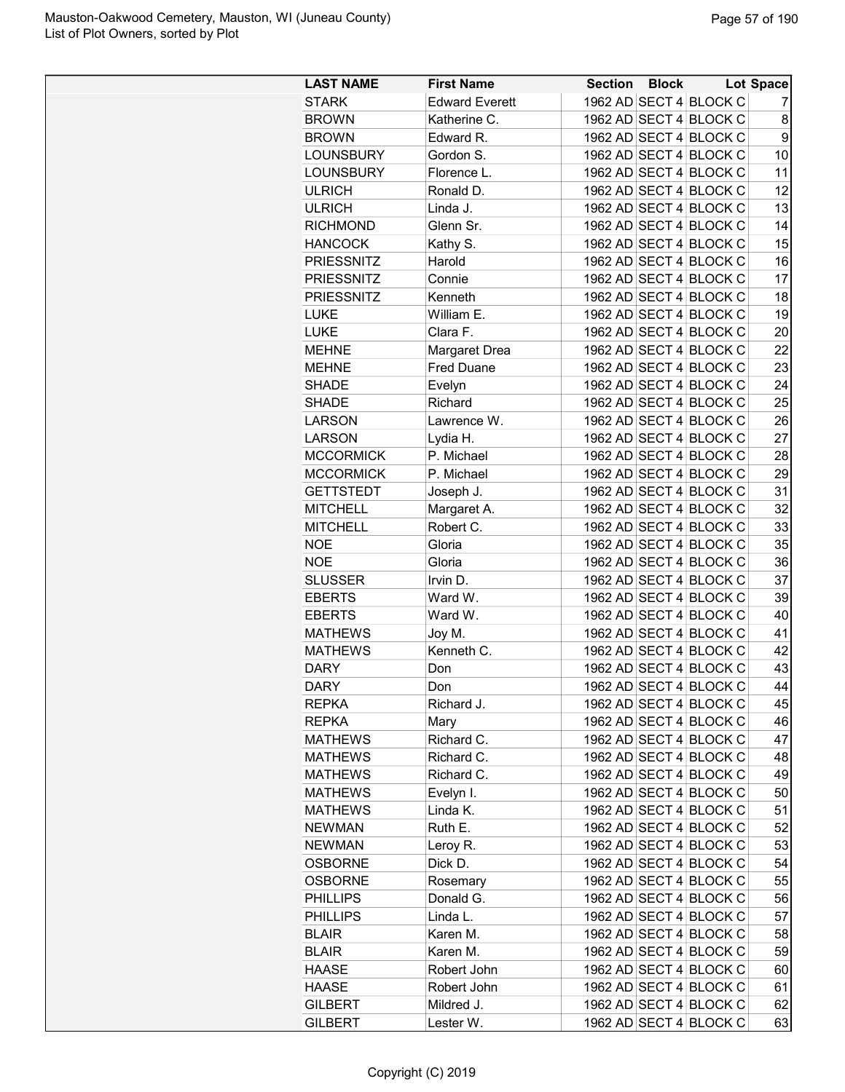| <b>LAST NAME</b>  | <b>First Name</b>     | <b>Section Block</b> |                        | Lot Space |
|-------------------|-----------------------|----------------------|------------------------|-----------|
| <b>STARK</b>      | <b>Edward Everett</b> |                      | 1962 AD SECT 4 BLOCK C | 7         |
| <b>BROWN</b>      | Katherine C.          |                      | 1962 AD SECT 4 BLOCK C | 8         |
| <b>BROWN</b>      | Edward R.             |                      | 1962 AD SECT 4 BLOCK C | 9         |
| <b>LOUNSBURY</b>  | Gordon S.             |                      | 1962 AD SECT 4 BLOCK C | 10        |
| <b>LOUNSBURY</b>  | Florence L.           |                      | 1962 AD SECT 4 BLOCK C | 11        |
| <b>ULRICH</b>     | Ronald D.             |                      | 1962 AD SECT 4 BLOCK C | 12        |
| <b>ULRICH</b>     | Linda J.              |                      | 1962 AD SECT 4 BLOCK C | 13        |
| <b>RICHMOND</b>   | Glenn Sr.             |                      | 1962 AD SECT 4 BLOCK C | 14        |
| <b>HANCOCK</b>    | Kathy S.              |                      | 1962 AD SECT 4 BLOCK C | 15        |
| <b>PRIESSNITZ</b> | Harold                |                      | 1962 AD SECT 4 BLOCK C | 16        |
| <b>PRIESSNITZ</b> | Connie                |                      | 1962 AD SECT 4 BLOCK C | 17        |
| <b>PRIESSNITZ</b> | Kenneth               |                      | 1962 AD SECT 4 BLOCK C | 18        |
| <b>LUKE</b>       | William E.            |                      | 1962 AD SECT 4 BLOCK C | 19        |
| <b>LUKE</b>       | Clara F.              |                      | 1962 AD SECT 4 BLOCK C | 20        |
| <b>MEHNE</b>      | Margaret Drea         |                      | 1962 AD SECT 4 BLOCK C | 22        |
| <b>MEHNE</b>      | <b>Fred Duane</b>     |                      | 1962 AD SECT 4 BLOCK C | 23        |
| <b>SHADE</b>      | Evelyn                |                      | 1962 AD SECT 4 BLOCK C | 24        |
| <b>SHADE</b>      | Richard               |                      | 1962 AD SECT 4 BLOCK C | 25        |
| <b>LARSON</b>     | Lawrence W.           |                      | 1962 AD SECT 4 BLOCK C | 26        |
| <b>LARSON</b>     | Lydia H.              |                      | 1962 AD SECT 4 BLOCK C | 27        |
| <b>MCCORMICK</b>  | P. Michael            |                      | 1962 AD SECT 4 BLOCK C | 28        |
| <b>MCCORMICK</b>  | P. Michael            |                      | 1962 AD SECT 4 BLOCK C | 29        |
| <b>GETTSTEDT</b>  | Joseph J.             |                      | 1962 AD SECT 4 BLOCK C | 31        |
| <b>MITCHELL</b>   | Margaret A.           |                      | 1962 AD SECT 4 BLOCK C | 32        |
| <b>MITCHELL</b>   | Robert C.             |                      | 1962 AD SECT 4 BLOCK C | 33        |
| <b>NOE</b>        | Gloria                |                      | 1962 AD SECT 4 BLOCK C | 35        |
| <b>NOE</b>        | Gloria                |                      | 1962 AD SECT 4 BLOCK C | 36        |
| <b>SLUSSER</b>    | Irvin D.              |                      | 1962 AD SECT 4 BLOCK C | 37        |
| <b>EBERTS</b>     | Ward W.               |                      | 1962 AD SECT 4 BLOCK C | 39        |
| <b>EBERTS</b>     | Ward W.               |                      | 1962 AD SECT 4 BLOCK C | 40        |
| <b>MATHEWS</b>    | Joy M.                |                      | 1962 AD SECT 4 BLOCK C | 41        |
| <b>MATHEWS</b>    | Kenneth C.            |                      | 1962 AD SECT 4 BLOCK C | 42        |
| <b>DARY</b>       | Don                   |                      | 1962 AD SECT 4 BLOCK C | 43        |
| <b>DARY</b>       | Don                   |                      | 1962 AD SECT 4 BLOCK C | 44        |
| <b>REPKA</b>      | Richard J.            |                      | 1962 AD SECT 4 BLOCK C | 45        |
| <b>REPKA</b>      | Mary                  |                      | 1962 AD SECT 4 BLOCK C | 46        |
| <b>MATHEWS</b>    | Richard C.            |                      | 1962 AD SECT 4 BLOCK C | 47        |
| <b>MATHEWS</b>    | Richard C.            |                      | 1962 AD SECT 4 BLOCK C | 48        |
| <b>MATHEWS</b>    | Richard C.            |                      | 1962 AD SECT 4 BLOCK C | 49        |
| <b>MATHEWS</b>    | Evelyn I.             |                      | 1962 AD SECT 4 BLOCK C | 50        |
| <b>MATHEWS</b>    | Linda K.              |                      | 1962 AD SECT 4 BLOCK C | 51        |
| <b>NEWMAN</b>     | Ruth E.               |                      | 1962 AD SECT 4 BLOCK C | 52        |
| <b>NEWMAN</b>     | Leroy R.              |                      | 1962 AD SECT 4 BLOCK C | 53        |
| <b>OSBORNE</b>    | Dick D.               |                      | 1962 AD SECT 4 BLOCK C | 54        |
| <b>OSBORNE</b>    | Rosemary              |                      | 1962 AD SECT 4 BLOCK C | 55        |
| <b>PHILLIPS</b>   | Donald G.             |                      | 1962 AD SECT 4 BLOCK C | 56        |
| <b>PHILLIPS</b>   | Linda L.              |                      | 1962 AD SECT 4 BLOCK C | 57        |
| <b>BLAIR</b>      | Karen M.              |                      | 1962 AD SECT 4 BLOCK C | 58        |
| <b>BLAIR</b>      | Karen M.              |                      | 1962 AD SECT 4 BLOCK C | 59        |
| <b>HAASE</b>      | Robert John           |                      | 1962 AD SECT 4 BLOCK C | 60        |
| <b>HAASE</b>      | Robert John           |                      | 1962 AD SECT 4 BLOCK C | 61        |
| <b>GILBERT</b>    | Mildred J.            |                      | 1962 AD SECT 4 BLOCK C | 62        |
| <b>GILBERT</b>    | Lester W.             |                      | 1962 AD SECT 4 BLOCK C | 63        |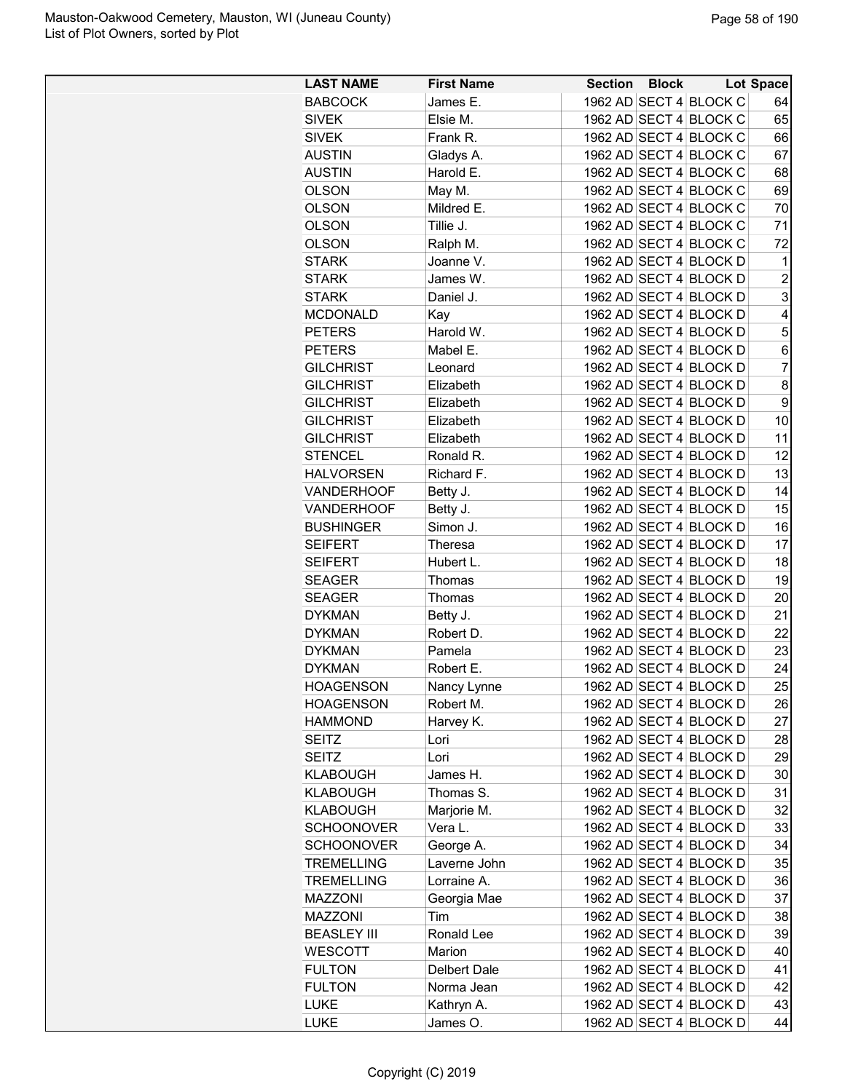| <b>LAST NAME</b>   | <b>First Name</b> | <b>Section Block</b> | <b>Lot Space</b>       |                |
|--------------------|-------------------|----------------------|------------------------|----------------|
| <b>BABCOCK</b>     | James E.          |                      | 1962 AD SECT 4 BLOCK C | 64             |
| <b>SIVEK</b>       | Elsie M.          |                      | 1962 AD SECT 4 BLOCK C | 65             |
| <b>SIVEK</b>       | Frank R.          |                      | 1962 AD SECT 4 BLOCK C | 66             |
| <b>AUSTIN</b>      | Gladys A.         |                      | 1962 AD SECT 4 BLOCK C | 67             |
| <b>AUSTIN</b>      | Harold E.         |                      | 1962 AD SECT 4 BLOCK C | 68             |
| <b>OLSON</b>       | May M.            |                      | 1962 AD SECT 4 BLOCK C | 69             |
| <b>OLSON</b>       | Mildred E.        |                      | 1962 AD SECT 4 BLOCK C | 70             |
| <b>OLSON</b>       | Tillie J.         |                      | 1962 AD SECT 4 BLOCK C | 71             |
| <b>OLSON</b>       | Ralph M.          |                      | 1962 AD SECT 4 BLOCK C | 72             |
| STARK              | Joanne V.         |                      | 1962 AD SECT 4 BLOCK D | 1              |
| <b>STARK</b>       | James W.          |                      | 1962 AD SECT 4 BLOCK D | $\overline{c}$ |
| <b>STARK</b>       | Daniel J.         |                      | 1962 AD SECT 4 BLOCK D | 3              |
| <b>MCDONALD</b>    | Kay               |                      | 1962 AD SECT 4 BLOCK D | $\overline{4}$ |
| <b>PETERS</b>      | Harold W.         |                      | 1962 AD SECT 4 BLOCK D | 5              |
| <b>PETERS</b>      | Mabel E.          |                      | 1962 AD SECT 4 BLOCK D | 6              |
| <b>GILCHRIST</b>   | Leonard           |                      | 1962 AD SECT 4 BLOCK D | $\overline{7}$ |
| <b>GILCHRIST</b>   | Elizabeth         |                      | 1962 AD SECT 4 BLOCK D | 8              |
| <b>GILCHRIST</b>   | Elizabeth         |                      | 1962 AD SECT 4 BLOCK D | 9              |
| <b>GILCHRIST</b>   | Elizabeth         |                      | 1962 AD SECT 4 BLOCK D | 10             |
| <b>GILCHRIST</b>   | Elizabeth         |                      | 1962 AD SECT 4 BLOCK D | 11             |
| <b>STENCEL</b>     | Ronald R.         |                      | 1962 AD SECT 4 BLOCK D | 12             |
| <b>HALVORSEN</b>   | Richard F.        |                      | 1962 AD SECT 4 BLOCK D | 13             |
|                    |                   |                      |                        |                |
| <b>VANDERHOOF</b>  | Betty J.          |                      | 1962 AD SECT 4 BLOCK D | 14             |
| <b>VANDERHOOF</b>  | Betty J.          |                      | 1962 AD SECT 4 BLOCK D | 15             |
| <b>BUSHINGER</b>   | Simon J.          |                      | 1962 AD SECT 4 BLOCK D | 16             |
| <b>SEIFERT</b>     | Theresa           |                      | 1962 AD SECT 4 BLOCK D | 17             |
| <b>SEIFERT</b>     | Hubert L.         |                      | 1962 AD SECT 4 BLOCK D | 18             |
| <b>SEAGER</b>      | Thomas            |                      | 1962 AD SECT 4 BLOCK D | 19             |
| <b>SEAGER</b>      | Thomas            |                      | 1962 AD SECT 4 BLOCK D | 20             |
| <b>DYKMAN</b>      | Betty J.          |                      | 1962 AD SECT 4 BLOCK D | 21             |
| <b>DYKMAN</b>      | Robert D.         |                      | 1962 AD SECT 4 BLOCK D | 22             |
| <b>DYKMAN</b>      | Pamela            |                      | 1962 AD SECT 4 BLOCK D | 23             |
| <b>DYKMAN</b>      | Robert E.         |                      | 1962 AD SECT 4 BLOCK D | 24             |
| <b>HOAGENSON</b>   | Nancy Lynne       |                      | 1962 AD SECT 4 BLOCK D | 25             |
| <b>HOAGENSON</b>   | Robert M.         |                      | 1962 AD SECT 4 BLOCK D | 26             |
| <b>HAMMOND</b>     | Harvey K.         |                      | 1962 AD SECT 4 BLOCK D | 27             |
| SEITZ              | Lori              |                      | 1962 AD SECT 4 BLOCK D | 28             |
| <b>SEITZ</b>       | Lori              |                      | 1962 AD SECT 4 BLOCK D | 29             |
| KLABOUGH           | James H.          |                      | 1962 AD SECT 4 BLOCK D | 30             |
| KLABOUGH           | Thomas S.         |                      | 1962 AD SECT 4 BLOCK D | 31             |
| <b>KLABOUGH</b>    | Marjorie M.       |                      | 1962 AD SECT 4 BLOCK D | 32             |
| <b>SCHOONOVER</b>  | Vera L.           |                      | 1962 AD SECT 4 BLOCK D | 33             |
| <b>SCHOONOVER</b>  | George A.         |                      | 1962 AD SECT 4 BLOCK D | 34             |
| <b>TREMELLING</b>  | Laverne John      |                      | 1962 AD SECT 4 BLOCK D | 35             |
| <b>TREMELLING</b>  | Lorraine A.       |                      | 1962 AD SECT 4 BLOCK D | 36             |
| <b>MAZZONI</b>     | Georgia Mae       |                      | 1962 AD SECT 4 BLOCK D | 37             |
| MAZZONI            | Tim               |                      | 1962 AD SECT 4 BLOCK D | 38             |
| <b>BEASLEY III</b> | Ronald Lee        |                      | 1962 AD SECT 4 BLOCK D | 39             |
| <b>WESCOTT</b>     | Marion            |                      | 1962 AD SECT 4 BLOCK D | 40             |
| <b>FULTON</b>      | Delbert Dale      |                      | 1962 AD SECT 4 BLOCK D | 41             |
| <b>FULTON</b>      | Norma Jean        |                      | 1962 AD SECT 4 BLOCK D | 42             |
| <b>LUKE</b>        | Kathryn A.        |                      | 1962 AD SECT 4 BLOCK D | 43             |
| <b>LUKE</b>        | James O.          |                      | 1962 AD SECT 4 BLOCK D | 44             |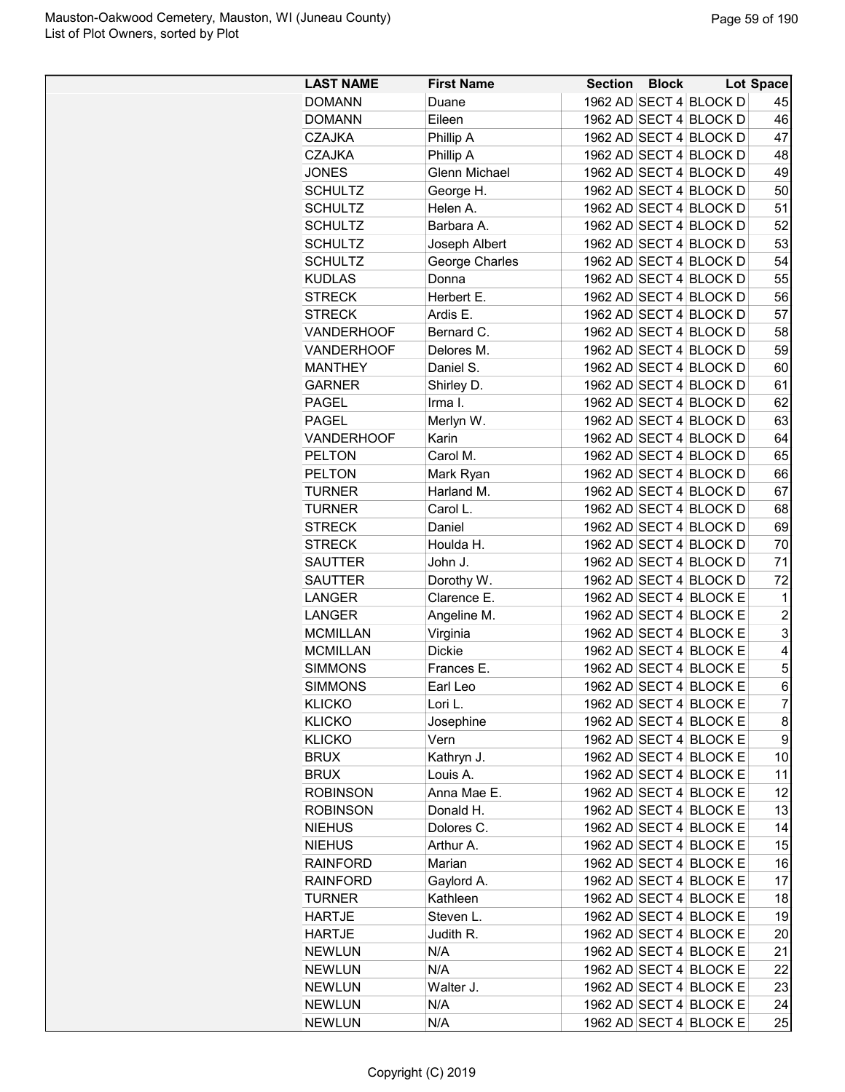| 1962 AD SECT 4 BLOCK D<br><b>DOMANN</b><br>45<br>Duane<br>1962 AD SECT 4 BLOCK D<br>46<br><b>DOMANN</b><br>Eileen<br>1962 AD SECT 4 BLOCK D<br>47<br><b>CZAJKA</b><br>Phillip A<br>1962 AD SECT 4 BLOCK D<br><b>CZAJKA</b><br>Phillip A<br>48<br>1962 AD SECT 4 BLOCK D<br><b>JONES</b><br><b>Glenn Michael</b><br>49<br><b>SCHULTZ</b><br>George H.<br>1962 AD SECT 4 BLOCK D<br>50<br>51<br><b>SCHULTZ</b><br>Helen A.<br>1962 AD SECT 4 BLOCK D<br>52<br><b>SCHULTZ</b><br>1962 AD SECT 4 BLOCK D<br>Barbara A.<br>1962 AD SECT 4 BLOCK D<br>53<br><b>SCHULTZ</b><br>Joseph Albert<br>George Charles<br>1962 AD SECT 4 BLOCK D<br>54<br><b>SCHULTZ</b><br>1962 AD SECT 4 BLOCK D<br>55<br><b>KUDLAS</b><br>Donna<br><b>STRECK</b><br>Herbert E.<br>1962 AD SECT 4 BLOCK D<br>56<br>57<br><b>STRECK</b><br>Ardis E.<br>1962 AD SECT 4 BLOCK D<br>58<br>1962 AD SECT 4 BLOCK D<br><b>VANDERHOOF</b><br>Bernard C.<br>VANDERHOOF<br>1962 AD SECT 4 BLOCK D<br>59<br>Delores M.<br>1962 AD SECT 4 BLOCK D<br>60<br>Daniel S.<br><b>MANTHEY</b><br>61<br><b>GARNER</b><br>Shirley D.<br>1962 AD SECT 4 BLOCK D<br>62<br>PAGEL<br>Irma I.<br>1962 AD SECT 4 BLOCK D<br><b>PAGEL</b><br>1962 AD SECT 4 BLOCK D<br>63<br>Merlyn W.<br><b>VANDERHOOF</b><br>Karin<br>1962 AD SECT 4 BLOCK D<br>64<br>65<br><b>PELTON</b><br>Carol M.<br>1962 AD SECT 4 BLOCK D<br>1962 AD SECT 4 BLOCK D<br><b>PELTON</b><br>66<br>Mark Ryan<br>67<br>Harland M.<br>1962 AD SECT 4 BLOCK D<br><b>TURNER</b><br>Carol L.<br>68<br><b>TURNER</b><br>1962 AD SECT 4 BLOCK D<br><b>STRECK</b><br>Daniel<br>1962 AD SECT 4 BLOCK D<br>69<br>1962 AD SECT 4 BLOCK D<br>70<br><b>STRECK</b><br>Houlda H.<br><b>SAUTTER</b><br>John J.<br>1962 AD SECT 4 BLOCK D<br>71<br>72<br>Dorothy W.<br>1962 AD SECT 4 BLOCK D<br><b>SAUTTER</b><br>1962 AD SECT 4 BLOCK E<br>LANGER<br>Clarence E.<br>1<br>$\overline{c}$<br><b>LANGER</b><br>Angeline M.<br>1962 AD SECT 4 BLOCK E<br>3<br>1962 AD SECT 4 BLOCK E<br><b>MCMILLAN</b><br>Virginia<br><b>MCMILLAN</b><br><b>Dickie</b><br>1962 AD SECT 4 BLOCK E<br>4<br>5<br><b>SIMMONS</b><br>1962 AD SECT 4 BLOCK E<br>Frances E.<br>6<br>1962 AD SECT 4 BLOCK E<br><b>SIMMONS</b><br>Earl Leo<br>$\overline{7}$<br>1962 AD SECT 4 BLOCK E<br><b>KLICKO</b><br>Lori L.<br>1962 AD SECT 4 BLOCK E<br>8<br><b>KLICKO</b><br>Josephine<br>9<br>1962 AD SECT 4 BLOCK E<br><b>KLICKO</b><br>Vern<br>1962 AD SECT 4 BLOCK E<br>10<br><b>BRUX</b><br>Kathryn J.<br>1962 AD SECT 4 BLOCK E<br><b>BRUX</b><br>Louis A.<br>11<br><b>ROBINSON</b><br>Anna Mae E.<br>1962 AD SECT 4 BLOCK E<br>12<br><b>ROBINSON</b><br>Donald H.<br>1962 AD SECT 4 BLOCK E<br>13<br><b>NIEHUS</b><br>Dolores C.<br>1962 AD SECT 4 BLOCK E<br>14<br>1962 AD SECT 4 BLOCK E<br>15<br><b>NIEHUS</b><br>Arthur A.<br>1962 AD SECT 4 BLOCK E<br>16<br><b>RAINFORD</b><br>Marian<br>Gaylord A.<br>1962 AD SECT 4 BLOCK E<br>17<br><b>RAINFORD</b><br>Kathleen<br>1962 AD SECT 4 BLOCK E<br>18<br><b>TURNER</b><br>Steven L.<br>1962 AD SECT 4 BLOCK E<br><b>HARTJE</b><br>19<br><b>HARTJE</b><br>Judith R.<br>1962 AD SECT 4 BLOCK E<br>20<br><b>NEWLUN</b><br>N/A<br>1962 AD SECT 4 BLOCK E<br>21<br><b>NEWLUN</b><br>N/A<br>1962 AD SECT 4 BLOCK E<br>22<br><b>NEWLUN</b><br>Walter J.<br>1962 AD SECT 4 BLOCK E<br>23<br><b>NEWLUN</b><br>N/A<br>1962 AD SECT 4 BLOCK E<br>24<br>1962 AD SECT 4 BLOCK E | <b>LAST NAME</b> | <b>First Name</b> | <b>Section Block</b> |  | <b>Lot Space</b> |
|--------------------------------------------------------------------------------------------------------------------------------------------------------------------------------------------------------------------------------------------------------------------------------------------------------------------------------------------------------------------------------------------------------------------------------------------------------------------------------------------------------------------------------------------------------------------------------------------------------------------------------------------------------------------------------------------------------------------------------------------------------------------------------------------------------------------------------------------------------------------------------------------------------------------------------------------------------------------------------------------------------------------------------------------------------------------------------------------------------------------------------------------------------------------------------------------------------------------------------------------------------------------------------------------------------------------------------------------------------------------------------------------------------------------------------------------------------------------------------------------------------------------------------------------------------------------------------------------------------------------------------------------------------------------------------------------------------------------------------------------------------------------------------------------------------------------------------------------------------------------------------------------------------------------------------------------------------------------------------------------------------------------------------------------------------------------------------------------------------------------------------------------------------------------------------------------------------------------------------------------------------------------------------------------------------------------------------------------------------------------------------------------------------------------------------------------------------------------------------------------------------------------------------------------------------------------------------------------------------------------------------------------------------------------------------------------------------------------------------------------------------------------------------------------------------------------------------------------------------------------------------------------------------------------------------------------------------------------------------------------------------------------------------------------------------------------------------------------------------------------------------------------------------------------------------------------------------------------------------------------------------------------------------------------------------------------------------------------------------------------------------------|------------------|-------------------|----------------------|--|------------------|
|                                                                                                                                                                                                                                                                                                                                                                                                                                                                                                                                                                                                                                                                                                                                                                                                                                                                                                                                                                                                                                                                                                                                                                                                                                                                                                                                                                                                                                                                                                                                                                                                                                                                                                                                                                                                                                                                                                                                                                                                                                                                                                                                                                                                                                                                                                                                                                                                                                                                                                                                                                                                                                                                                                                                                                                                                                                                                                                                                                                                                                                                                                                                                                                                                                                                                                                                                                                      |                  |                   |                      |  |                  |
|                                                                                                                                                                                                                                                                                                                                                                                                                                                                                                                                                                                                                                                                                                                                                                                                                                                                                                                                                                                                                                                                                                                                                                                                                                                                                                                                                                                                                                                                                                                                                                                                                                                                                                                                                                                                                                                                                                                                                                                                                                                                                                                                                                                                                                                                                                                                                                                                                                                                                                                                                                                                                                                                                                                                                                                                                                                                                                                                                                                                                                                                                                                                                                                                                                                                                                                                                                                      |                  |                   |                      |  |                  |
|                                                                                                                                                                                                                                                                                                                                                                                                                                                                                                                                                                                                                                                                                                                                                                                                                                                                                                                                                                                                                                                                                                                                                                                                                                                                                                                                                                                                                                                                                                                                                                                                                                                                                                                                                                                                                                                                                                                                                                                                                                                                                                                                                                                                                                                                                                                                                                                                                                                                                                                                                                                                                                                                                                                                                                                                                                                                                                                                                                                                                                                                                                                                                                                                                                                                                                                                                                                      |                  |                   |                      |  |                  |
|                                                                                                                                                                                                                                                                                                                                                                                                                                                                                                                                                                                                                                                                                                                                                                                                                                                                                                                                                                                                                                                                                                                                                                                                                                                                                                                                                                                                                                                                                                                                                                                                                                                                                                                                                                                                                                                                                                                                                                                                                                                                                                                                                                                                                                                                                                                                                                                                                                                                                                                                                                                                                                                                                                                                                                                                                                                                                                                                                                                                                                                                                                                                                                                                                                                                                                                                                                                      |                  |                   |                      |  |                  |
|                                                                                                                                                                                                                                                                                                                                                                                                                                                                                                                                                                                                                                                                                                                                                                                                                                                                                                                                                                                                                                                                                                                                                                                                                                                                                                                                                                                                                                                                                                                                                                                                                                                                                                                                                                                                                                                                                                                                                                                                                                                                                                                                                                                                                                                                                                                                                                                                                                                                                                                                                                                                                                                                                                                                                                                                                                                                                                                                                                                                                                                                                                                                                                                                                                                                                                                                                                                      |                  |                   |                      |  |                  |
|                                                                                                                                                                                                                                                                                                                                                                                                                                                                                                                                                                                                                                                                                                                                                                                                                                                                                                                                                                                                                                                                                                                                                                                                                                                                                                                                                                                                                                                                                                                                                                                                                                                                                                                                                                                                                                                                                                                                                                                                                                                                                                                                                                                                                                                                                                                                                                                                                                                                                                                                                                                                                                                                                                                                                                                                                                                                                                                                                                                                                                                                                                                                                                                                                                                                                                                                                                                      |                  |                   |                      |  |                  |
|                                                                                                                                                                                                                                                                                                                                                                                                                                                                                                                                                                                                                                                                                                                                                                                                                                                                                                                                                                                                                                                                                                                                                                                                                                                                                                                                                                                                                                                                                                                                                                                                                                                                                                                                                                                                                                                                                                                                                                                                                                                                                                                                                                                                                                                                                                                                                                                                                                                                                                                                                                                                                                                                                                                                                                                                                                                                                                                                                                                                                                                                                                                                                                                                                                                                                                                                                                                      |                  |                   |                      |  |                  |
|                                                                                                                                                                                                                                                                                                                                                                                                                                                                                                                                                                                                                                                                                                                                                                                                                                                                                                                                                                                                                                                                                                                                                                                                                                                                                                                                                                                                                                                                                                                                                                                                                                                                                                                                                                                                                                                                                                                                                                                                                                                                                                                                                                                                                                                                                                                                                                                                                                                                                                                                                                                                                                                                                                                                                                                                                                                                                                                                                                                                                                                                                                                                                                                                                                                                                                                                                                                      |                  |                   |                      |  |                  |
|                                                                                                                                                                                                                                                                                                                                                                                                                                                                                                                                                                                                                                                                                                                                                                                                                                                                                                                                                                                                                                                                                                                                                                                                                                                                                                                                                                                                                                                                                                                                                                                                                                                                                                                                                                                                                                                                                                                                                                                                                                                                                                                                                                                                                                                                                                                                                                                                                                                                                                                                                                                                                                                                                                                                                                                                                                                                                                                                                                                                                                                                                                                                                                                                                                                                                                                                                                                      |                  |                   |                      |  |                  |
|                                                                                                                                                                                                                                                                                                                                                                                                                                                                                                                                                                                                                                                                                                                                                                                                                                                                                                                                                                                                                                                                                                                                                                                                                                                                                                                                                                                                                                                                                                                                                                                                                                                                                                                                                                                                                                                                                                                                                                                                                                                                                                                                                                                                                                                                                                                                                                                                                                                                                                                                                                                                                                                                                                                                                                                                                                                                                                                                                                                                                                                                                                                                                                                                                                                                                                                                                                                      |                  |                   |                      |  |                  |
|                                                                                                                                                                                                                                                                                                                                                                                                                                                                                                                                                                                                                                                                                                                                                                                                                                                                                                                                                                                                                                                                                                                                                                                                                                                                                                                                                                                                                                                                                                                                                                                                                                                                                                                                                                                                                                                                                                                                                                                                                                                                                                                                                                                                                                                                                                                                                                                                                                                                                                                                                                                                                                                                                                                                                                                                                                                                                                                                                                                                                                                                                                                                                                                                                                                                                                                                                                                      |                  |                   |                      |  |                  |
|                                                                                                                                                                                                                                                                                                                                                                                                                                                                                                                                                                                                                                                                                                                                                                                                                                                                                                                                                                                                                                                                                                                                                                                                                                                                                                                                                                                                                                                                                                                                                                                                                                                                                                                                                                                                                                                                                                                                                                                                                                                                                                                                                                                                                                                                                                                                                                                                                                                                                                                                                                                                                                                                                                                                                                                                                                                                                                                                                                                                                                                                                                                                                                                                                                                                                                                                                                                      |                  |                   |                      |  |                  |
|                                                                                                                                                                                                                                                                                                                                                                                                                                                                                                                                                                                                                                                                                                                                                                                                                                                                                                                                                                                                                                                                                                                                                                                                                                                                                                                                                                                                                                                                                                                                                                                                                                                                                                                                                                                                                                                                                                                                                                                                                                                                                                                                                                                                                                                                                                                                                                                                                                                                                                                                                                                                                                                                                                                                                                                                                                                                                                                                                                                                                                                                                                                                                                                                                                                                                                                                                                                      |                  |                   |                      |  |                  |
|                                                                                                                                                                                                                                                                                                                                                                                                                                                                                                                                                                                                                                                                                                                                                                                                                                                                                                                                                                                                                                                                                                                                                                                                                                                                                                                                                                                                                                                                                                                                                                                                                                                                                                                                                                                                                                                                                                                                                                                                                                                                                                                                                                                                                                                                                                                                                                                                                                                                                                                                                                                                                                                                                                                                                                                                                                                                                                                                                                                                                                                                                                                                                                                                                                                                                                                                                                                      |                  |                   |                      |  |                  |
|                                                                                                                                                                                                                                                                                                                                                                                                                                                                                                                                                                                                                                                                                                                                                                                                                                                                                                                                                                                                                                                                                                                                                                                                                                                                                                                                                                                                                                                                                                                                                                                                                                                                                                                                                                                                                                                                                                                                                                                                                                                                                                                                                                                                                                                                                                                                                                                                                                                                                                                                                                                                                                                                                                                                                                                                                                                                                                                                                                                                                                                                                                                                                                                                                                                                                                                                                                                      |                  |                   |                      |  |                  |
|                                                                                                                                                                                                                                                                                                                                                                                                                                                                                                                                                                                                                                                                                                                                                                                                                                                                                                                                                                                                                                                                                                                                                                                                                                                                                                                                                                                                                                                                                                                                                                                                                                                                                                                                                                                                                                                                                                                                                                                                                                                                                                                                                                                                                                                                                                                                                                                                                                                                                                                                                                                                                                                                                                                                                                                                                                                                                                                                                                                                                                                                                                                                                                                                                                                                                                                                                                                      |                  |                   |                      |  |                  |
|                                                                                                                                                                                                                                                                                                                                                                                                                                                                                                                                                                                                                                                                                                                                                                                                                                                                                                                                                                                                                                                                                                                                                                                                                                                                                                                                                                                                                                                                                                                                                                                                                                                                                                                                                                                                                                                                                                                                                                                                                                                                                                                                                                                                                                                                                                                                                                                                                                                                                                                                                                                                                                                                                                                                                                                                                                                                                                                                                                                                                                                                                                                                                                                                                                                                                                                                                                                      |                  |                   |                      |  |                  |
|                                                                                                                                                                                                                                                                                                                                                                                                                                                                                                                                                                                                                                                                                                                                                                                                                                                                                                                                                                                                                                                                                                                                                                                                                                                                                                                                                                                                                                                                                                                                                                                                                                                                                                                                                                                                                                                                                                                                                                                                                                                                                                                                                                                                                                                                                                                                                                                                                                                                                                                                                                                                                                                                                                                                                                                                                                                                                                                                                                                                                                                                                                                                                                                                                                                                                                                                                                                      |                  |                   |                      |  |                  |
|                                                                                                                                                                                                                                                                                                                                                                                                                                                                                                                                                                                                                                                                                                                                                                                                                                                                                                                                                                                                                                                                                                                                                                                                                                                                                                                                                                                                                                                                                                                                                                                                                                                                                                                                                                                                                                                                                                                                                                                                                                                                                                                                                                                                                                                                                                                                                                                                                                                                                                                                                                                                                                                                                                                                                                                                                                                                                                                                                                                                                                                                                                                                                                                                                                                                                                                                                                                      |                  |                   |                      |  |                  |
|                                                                                                                                                                                                                                                                                                                                                                                                                                                                                                                                                                                                                                                                                                                                                                                                                                                                                                                                                                                                                                                                                                                                                                                                                                                                                                                                                                                                                                                                                                                                                                                                                                                                                                                                                                                                                                                                                                                                                                                                                                                                                                                                                                                                                                                                                                                                                                                                                                                                                                                                                                                                                                                                                                                                                                                                                                                                                                                                                                                                                                                                                                                                                                                                                                                                                                                                                                                      |                  |                   |                      |  |                  |
|                                                                                                                                                                                                                                                                                                                                                                                                                                                                                                                                                                                                                                                                                                                                                                                                                                                                                                                                                                                                                                                                                                                                                                                                                                                                                                                                                                                                                                                                                                                                                                                                                                                                                                                                                                                                                                                                                                                                                                                                                                                                                                                                                                                                                                                                                                                                                                                                                                                                                                                                                                                                                                                                                                                                                                                                                                                                                                                                                                                                                                                                                                                                                                                                                                                                                                                                                                                      |                  |                   |                      |  |                  |
|                                                                                                                                                                                                                                                                                                                                                                                                                                                                                                                                                                                                                                                                                                                                                                                                                                                                                                                                                                                                                                                                                                                                                                                                                                                                                                                                                                                                                                                                                                                                                                                                                                                                                                                                                                                                                                                                                                                                                                                                                                                                                                                                                                                                                                                                                                                                                                                                                                                                                                                                                                                                                                                                                                                                                                                                                                                                                                                                                                                                                                                                                                                                                                                                                                                                                                                                                                                      |                  |                   |                      |  |                  |
|                                                                                                                                                                                                                                                                                                                                                                                                                                                                                                                                                                                                                                                                                                                                                                                                                                                                                                                                                                                                                                                                                                                                                                                                                                                                                                                                                                                                                                                                                                                                                                                                                                                                                                                                                                                                                                                                                                                                                                                                                                                                                                                                                                                                                                                                                                                                                                                                                                                                                                                                                                                                                                                                                                                                                                                                                                                                                                                                                                                                                                                                                                                                                                                                                                                                                                                                                                                      |                  |                   |                      |  |                  |
|                                                                                                                                                                                                                                                                                                                                                                                                                                                                                                                                                                                                                                                                                                                                                                                                                                                                                                                                                                                                                                                                                                                                                                                                                                                                                                                                                                                                                                                                                                                                                                                                                                                                                                                                                                                                                                                                                                                                                                                                                                                                                                                                                                                                                                                                                                                                                                                                                                                                                                                                                                                                                                                                                                                                                                                                                                                                                                                                                                                                                                                                                                                                                                                                                                                                                                                                                                                      |                  |                   |                      |  |                  |
|                                                                                                                                                                                                                                                                                                                                                                                                                                                                                                                                                                                                                                                                                                                                                                                                                                                                                                                                                                                                                                                                                                                                                                                                                                                                                                                                                                                                                                                                                                                                                                                                                                                                                                                                                                                                                                                                                                                                                                                                                                                                                                                                                                                                                                                                                                                                                                                                                                                                                                                                                                                                                                                                                                                                                                                                                                                                                                                                                                                                                                                                                                                                                                                                                                                                                                                                                                                      |                  |                   |                      |  |                  |
|                                                                                                                                                                                                                                                                                                                                                                                                                                                                                                                                                                                                                                                                                                                                                                                                                                                                                                                                                                                                                                                                                                                                                                                                                                                                                                                                                                                                                                                                                                                                                                                                                                                                                                                                                                                                                                                                                                                                                                                                                                                                                                                                                                                                                                                                                                                                                                                                                                                                                                                                                                                                                                                                                                                                                                                                                                                                                                                                                                                                                                                                                                                                                                                                                                                                                                                                                                                      |                  |                   |                      |  |                  |
|                                                                                                                                                                                                                                                                                                                                                                                                                                                                                                                                                                                                                                                                                                                                                                                                                                                                                                                                                                                                                                                                                                                                                                                                                                                                                                                                                                                                                                                                                                                                                                                                                                                                                                                                                                                                                                                                                                                                                                                                                                                                                                                                                                                                                                                                                                                                                                                                                                                                                                                                                                                                                                                                                                                                                                                                                                                                                                                                                                                                                                                                                                                                                                                                                                                                                                                                                                                      |                  |                   |                      |  |                  |
|                                                                                                                                                                                                                                                                                                                                                                                                                                                                                                                                                                                                                                                                                                                                                                                                                                                                                                                                                                                                                                                                                                                                                                                                                                                                                                                                                                                                                                                                                                                                                                                                                                                                                                                                                                                                                                                                                                                                                                                                                                                                                                                                                                                                                                                                                                                                                                                                                                                                                                                                                                                                                                                                                                                                                                                                                                                                                                                                                                                                                                                                                                                                                                                                                                                                                                                                                                                      |                  |                   |                      |  |                  |
|                                                                                                                                                                                                                                                                                                                                                                                                                                                                                                                                                                                                                                                                                                                                                                                                                                                                                                                                                                                                                                                                                                                                                                                                                                                                                                                                                                                                                                                                                                                                                                                                                                                                                                                                                                                                                                                                                                                                                                                                                                                                                                                                                                                                                                                                                                                                                                                                                                                                                                                                                                                                                                                                                                                                                                                                                                                                                                                                                                                                                                                                                                                                                                                                                                                                                                                                                                                      |                  |                   |                      |  |                  |
|                                                                                                                                                                                                                                                                                                                                                                                                                                                                                                                                                                                                                                                                                                                                                                                                                                                                                                                                                                                                                                                                                                                                                                                                                                                                                                                                                                                                                                                                                                                                                                                                                                                                                                                                                                                                                                                                                                                                                                                                                                                                                                                                                                                                                                                                                                                                                                                                                                                                                                                                                                                                                                                                                                                                                                                                                                                                                                                                                                                                                                                                                                                                                                                                                                                                                                                                                                                      |                  |                   |                      |  |                  |
|                                                                                                                                                                                                                                                                                                                                                                                                                                                                                                                                                                                                                                                                                                                                                                                                                                                                                                                                                                                                                                                                                                                                                                                                                                                                                                                                                                                                                                                                                                                                                                                                                                                                                                                                                                                                                                                                                                                                                                                                                                                                                                                                                                                                                                                                                                                                                                                                                                                                                                                                                                                                                                                                                                                                                                                                                                                                                                                                                                                                                                                                                                                                                                                                                                                                                                                                                                                      |                  |                   |                      |  |                  |
|                                                                                                                                                                                                                                                                                                                                                                                                                                                                                                                                                                                                                                                                                                                                                                                                                                                                                                                                                                                                                                                                                                                                                                                                                                                                                                                                                                                                                                                                                                                                                                                                                                                                                                                                                                                                                                                                                                                                                                                                                                                                                                                                                                                                                                                                                                                                                                                                                                                                                                                                                                                                                                                                                                                                                                                                                                                                                                                                                                                                                                                                                                                                                                                                                                                                                                                                                                                      |                  |                   |                      |  |                  |
|                                                                                                                                                                                                                                                                                                                                                                                                                                                                                                                                                                                                                                                                                                                                                                                                                                                                                                                                                                                                                                                                                                                                                                                                                                                                                                                                                                                                                                                                                                                                                                                                                                                                                                                                                                                                                                                                                                                                                                                                                                                                                                                                                                                                                                                                                                                                                                                                                                                                                                                                                                                                                                                                                                                                                                                                                                                                                                                                                                                                                                                                                                                                                                                                                                                                                                                                                                                      |                  |                   |                      |  |                  |
|                                                                                                                                                                                                                                                                                                                                                                                                                                                                                                                                                                                                                                                                                                                                                                                                                                                                                                                                                                                                                                                                                                                                                                                                                                                                                                                                                                                                                                                                                                                                                                                                                                                                                                                                                                                                                                                                                                                                                                                                                                                                                                                                                                                                                                                                                                                                                                                                                                                                                                                                                                                                                                                                                                                                                                                                                                                                                                                                                                                                                                                                                                                                                                                                                                                                                                                                                                                      |                  |                   |                      |  |                  |
|                                                                                                                                                                                                                                                                                                                                                                                                                                                                                                                                                                                                                                                                                                                                                                                                                                                                                                                                                                                                                                                                                                                                                                                                                                                                                                                                                                                                                                                                                                                                                                                                                                                                                                                                                                                                                                                                                                                                                                                                                                                                                                                                                                                                                                                                                                                                                                                                                                                                                                                                                                                                                                                                                                                                                                                                                                                                                                                                                                                                                                                                                                                                                                                                                                                                                                                                                                                      |                  |                   |                      |  |                  |
|                                                                                                                                                                                                                                                                                                                                                                                                                                                                                                                                                                                                                                                                                                                                                                                                                                                                                                                                                                                                                                                                                                                                                                                                                                                                                                                                                                                                                                                                                                                                                                                                                                                                                                                                                                                                                                                                                                                                                                                                                                                                                                                                                                                                                                                                                                                                                                                                                                                                                                                                                                                                                                                                                                                                                                                                                                                                                                                                                                                                                                                                                                                                                                                                                                                                                                                                                                                      |                  |                   |                      |  |                  |
|                                                                                                                                                                                                                                                                                                                                                                                                                                                                                                                                                                                                                                                                                                                                                                                                                                                                                                                                                                                                                                                                                                                                                                                                                                                                                                                                                                                                                                                                                                                                                                                                                                                                                                                                                                                                                                                                                                                                                                                                                                                                                                                                                                                                                                                                                                                                                                                                                                                                                                                                                                                                                                                                                                                                                                                                                                                                                                                                                                                                                                                                                                                                                                                                                                                                                                                                                                                      |                  |                   |                      |  |                  |
|                                                                                                                                                                                                                                                                                                                                                                                                                                                                                                                                                                                                                                                                                                                                                                                                                                                                                                                                                                                                                                                                                                                                                                                                                                                                                                                                                                                                                                                                                                                                                                                                                                                                                                                                                                                                                                                                                                                                                                                                                                                                                                                                                                                                                                                                                                                                                                                                                                                                                                                                                                                                                                                                                                                                                                                                                                                                                                                                                                                                                                                                                                                                                                                                                                                                                                                                                                                      |                  |                   |                      |  |                  |
|                                                                                                                                                                                                                                                                                                                                                                                                                                                                                                                                                                                                                                                                                                                                                                                                                                                                                                                                                                                                                                                                                                                                                                                                                                                                                                                                                                                                                                                                                                                                                                                                                                                                                                                                                                                                                                                                                                                                                                                                                                                                                                                                                                                                                                                                                                                                                                                                                                                                                                                                                                                                                                                                                                                                                                                                                                                                                                                                                                                                                                                                                                                                                                                                                                                                                                                                                                                      |                  |                   |                      |  |                  |
|                                                                                                                                                                                                                                                                                                                                                                                                                                                                                                                                                                                                                                                                                                                                                                                                                                                                                                                                                                                                                                                                                                                                                                                                                                                                                                                                                                                                                                                                                                                                                                                                                                                                                                                                                                                                                                                                                                                                                                                                                                                                                                                                                                                                                                                                                                                                                                                                                                                                                                                                                                                                                                                                                                                                                                                                                                                                                                                                                                                                                                                                                                                                                                                                                                                                                                                                                                                      |                  |                   |                      |  |                  |
|                                                                                                                                                                                                                                                                                                                                                                                                                                                                                                                                                                                                                                                                                                                                                                                                                                                                                                                                                                                                                                                                                                                                                                                                                                                                                                                                                                                                                                                                                                                                                                                                                                                                                                                                                                                                                                                                                                                                                                                                                                                                                                                                                                                                                                                                                                                                                                                                                                                                                                                                                                                                                                                                                                                                                                                                                                                                                                                                                                                                                                                                                                                                                                                                                                                                                                                                                                                      |                  |                   |                      |  |                  |
|                                                                                                                                                                                                                                                                                                                                                                                                                                                                                                                                                                                                                                                                                                                                                                                                                                                                                                                                                                                                                                                                                                                                                                                                                                                                                                                                                                                                                                                                                                                                                                                                                                                                                                                                                                                                                                                                                                                                                                                                                                                                                                                                                                                                                                                                                                                                                                                                                                                                                                                                                                                                                                                                                                                                                                                                                                                                                                                                                                                                                                                                                                                                                                                                                                                                                                                                                                                      |                  |                   |                      |  |                  |
|                                                                                                                                                                                                                                                                                                                                                                                                                                                                                                                                                                                                                                                                                                                                                                                                                                                                                                                                                                                                                                                                                                                                                                                                                                                                                                                                                                                                                                                                                                                                                                                                                                                                                                                                                                                                                                                                                                                                                                                                                                                                                                                                                                                                                                                                                                                                                                                                                                                                                                                                                                                                                                                                                                                                                                                                                                                                                                                                                                                                                                                                                                                                                                                                                                                                                                                                                                                      |                  |                   |                      |  |                  |
|                                                                                                                                                                                                                                                                                                                                                                                                                                                                                                                                                                                                                                                                                                                                                                                                                                                                                                                                                                                                                                                                                                                                                                                                                                                                                                                                                                                                                                                                                                                                                                                                                                                                                                                                                                                                                                                                                                                                                                                                                                                                                                                                                                                                                                                                                                                                                                                                                                                                                                                                                                                                                                                                                                                                                                                                                                                                                                                                                                                                                                                                                                                                                                                                                                                                                                                                                                                      |                  |                   |                      |  |                  |
|                                                                                                                                                                                                                                                                                                                                                                                                                                                                                                                                                                                                                                                                                                                                                                                                                                                                                                                                                                                                                                                                                                                                                                                                                                                                                                                                                                                                                                                                                                                                                                                                                                                                                                                                                                                                                                                                                                                                                                                                                                                                                                                                                                                                                                                                                                                                                                                                                                                                                                                                                                                                                                                                                                                                                                                                                                                                                                                                                                                                                                                                                                                                                                                                                                                                                                                                                                                      |                  |                   |                      |  |                  |
|                                                                                                                                                                                                                                                                                                                                                                                                                                                                                                                                                                                                                                                                                                                                                                                                                                                                                                                                                                                                                                                                                                                                                                                                                                                                                                                                                                                                                                                                                                                                                                                                                                                                                                                                                                                                                                                                                                                                                                                                                                                                                                                                                                                                                                                                                                                                                                                                                                                                                                                                                                                                                                                                                                                                                                                                                                                                                                                                                                                                                                                                                                                                                                                                                                                                                                                                                                                      |                  |                   |                      |  |                  |
|                                                                                                                                                                                                                                                                                                                                                                                                                                                                                                                                                                                                                                                                                                                                                                                                                                                                                                                                                                                                                                                                                                                                                                                                                                                                                                                                                                                                                                                                                                                                                                                                                                                                                                                                                                                                                                                                                                                                                                                                                                                                                                                                                                                                                                                                                                                                                                                                                                                                                                                                                                                                                                                                                                                                                                                                                                                                                                                                                                                                                                                                                                                                                                                                                                                                                                                                                                                      |                  |                   |                      |  |                  |
|                                                                                                                                                                                                                                                                                                                                                                                                                                                                                                                                                                                                                                                                                                                                                                                                                                                                                                                                                                                                                                                                                                                                                                                                                                                                                                                                                                                                                                                                                                                                                                                                                                                                                                                                                                                                                                                                                                                                                                                                                                                                                                                                                                                                                                                                                                                                                                                                                                                                                                                                                                                                                                                                                                                                                                                                                                                                                                                                                                                                                                                                                                                                                                                                                                                                                                                                                                                      |                  |                   |                      |  |                  |
|                                                                                                                                                                                                                                                                                                                                                                                                                                                                                                                                                                                                                                                                                                                                                                                                                                                                                                                                                                                                                                                                                                                                                                                                                                                                                                                                                                                                                                                                                                                                                                                                                                                                                                                                                                                                                                                                                                                                                                                                                                                                                                                                                                                                                                                                                                                                                                                                                                                                                                                                                                                                                                                                                                                                                                                                                                                                                                                                                                                                                                                                                                                                                                                                                                                                                                                                                                                      |                  |                   |                      |  |                  |
|                                                                                                                                                                                                                                                                                                                                                                                                                                                                                                                                                                                                                                                                                                                                                                                                                                                                                                                                                                                                                                                                                                                                                                                                                                                                                                                                                                                                                                                                                                                                                                                                                                                                                                                                                                                                                                                                                                                                                                                                                                                                                                                                                                                                                                                                                                                                                                                                                                                                                                                                                                                                                                                                                                                                                                                                                                                                                                                                                                                                                                                                                                                                                                                                                                                                                                                                                                                      |                  |                   |                      |  |                  |
|                                                                                                                                                                                                                                                                                                                                                                                                                                                                                                                                                                                                                                                                                                                                                                                                                                                                                                                                                                                                                                                                                                                                                                                                                                                                                                                                                                                                                                                                                                                                                                                                                                                                                                                                                                                                                                                                                                                                                                                                                                                                                                                                                                                                                                                                                                                                                                                                                                                                                                                                                                                                                                                                                                                                                                                                                                                                                                                                                                                                                                                                                                                                                                                                                                                                                                                                                                                      |                  |                   |                      |  |                  |
|                                                                                                                                                                                                                                                                                                                                                                                                                                                                                                                                                                                                                                                                                                                                                                                                                                                                                                                                                                                                                                                                                                                                                                                                                                                                                                                                                                                                                                                                                                                                                                                                                                                                                                                                                                                                                                                                                                                                                                                                                                                                                                                                                                                                                                                                                                                                                                                                                                                                                                                                                                                                                                                                                                                                                                                                                                                                                                                                                                                                                                                                                                                                                                                                                                                                                                                                                                                      |                  |                   |                      |  |                  |
|                                                                                                                                                                                                                                                                                                                                                                                                                                                                                                                                                                                                                                                                                                                                                                                                                                                                                                                                                                                                                                                                                                                                                                                                                                                                                                                                                                                                                                                                                                                                                                                                                                                                                                                                                                                                                                                                                                                                                                                                                                                                                                                                                                                                                                                                                                                                                                                                                                                                                                                                                                                                                                                                                                                                                                                                                                                                                                                                                                                                                                                                                                                                                                                                                                                                                                                                                                                      |                  |                   |                      |  |                  |
|                                                                                                                                                                                                                                                                                                                                                                                                                                                                                                                                                                                                                                                                                                                                                                                                                                                                                                                                                                                                                                                                                                                                                                                                                                                                                                                                                                                                                                                                                                                                                                                                                                                                                                                                                                                                                                                                                                                                                                                                                                                                                                                                                                                                                                                                                                                                                                                                                                                                                                                                                                                                                                                                                                                                                                                                                                                                                                                                                                                                                                                                                                                                                                                                                                                                                                                                                                                      | <b>NEWLUN</b>    | N/A               |                      |  | 25               |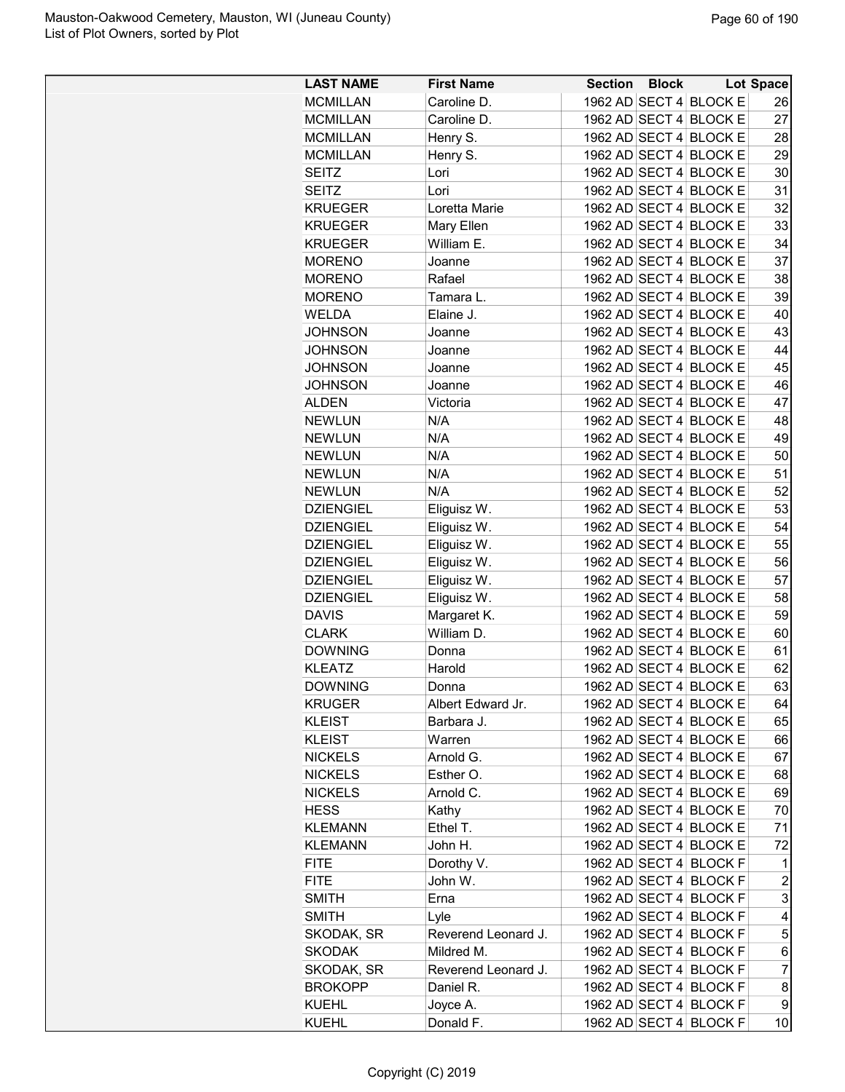| <b>LAST NAME</b> | <b>First Name</b>          | Section | <b>Block</b> |                        | <b>Lot Space</b>        |
|------------------|----------------------------|---------|--------------|------------------------|-------------------------|
| <b>MCMILLAN</b>  | Caroline D.                |         |              | 1962 AD SECT 4 BLOCK E | 26                      |
| <b>MCMILLAN</b>  | Caroline D.                |         |              | 1962 AD SECT 4 BLOCK E | 27                      |
| <b>MCMILLAN</b>  | Henry S.                   |         |              | 1962 AD SECT 4 BLOCK E | 28                      |
| <b>MCMILLAN</b>  | Henry S.                   |         |              | 1962 AD SECT 4 BLOCK E | 29                      |
| <b>SEITZ</b>     | Lori                       |         |              | 1962 AD SECT 4 BLOCK E | 30                      |
| <b>SEITZ</b>     | Lori                       |         |              | 1962 AD SECT 4 BLOCK E | 31                      |
| <b>KRUEGER</b>   | Loretta Marie              |         |              | 1962 AD SECT 4 BLOCK E | 32                      |
| <b>KRUEGER</b>   | Mary Ellen                 |         |              | 1962 AD SECT 4 BLOCK E | 33                      |
| <b>KRUEGER</b>   | William E.                 |         |              | 1962 AD SECT 4 BLOCK E | 34                      |
| <b>MORENO</b>    | Joanne                     |         |              | 1962 AD SECT 4 BLOCK E | 37                      |
| <b>MORENO</b>    | Rafael                     |         |              | 1962 AD SECT 4 BLOCK E | 38                      |
| <b>MORENO</b>    | Tamara L.                  |         |              | 1962 AD SECT 4 BLOCK E | 39                      |
| <b>WELDA</b>     | Elaine J.                  |         |              | 1962 AD SECT 4 BLOCK E | 40                      |
| JOHNSON          | Joanne                     |         |              | 1962 AD SECT 4 BLOCK E | 43                      |
| <b>JOHNSON</b>   | Joanne                     |         |              | 1962 AD SECT 4 BLOCK E | 44                      |
| <b>JOHNSON</b>   | Joanne                     |         |              | 1962 AD SECT 4 BLOCK E | 45                      |
| JOHNSON          | Joanne                     |         |              | 1962 AD SECT 4 BLOCK E | 46                      |
| <b>ALDEN</b>     | Victoria                   |         |              | 1962 AD SECT 4 BLOCK E | 47                      |
| <b>NEWLUN</b>    | N/A                        |         |              | 1962 AD SECT 4 BLOCK E | 48                      |
| <b>NEWLUN</b>    | N/A                        |         |              | 1962 AD SECT 4 BLOCK E | 49                      |
| <b>NEWLUN</b>    | N/A                        |         |              | 1962 AD SECT 4 BLOCK E | 50                      |
| <b>NEWLUN</b>    | N/A                        |         |              | 1962 AD SECT 4 BLOCK E | 51                      |
| <b>NEWLUN</b>    | N/A                        |         |              | 1962 AD SECT 4 BLOCK E | 52                      |
| <b>DZIENGIEL</b> | Eliguisz W.                |         |              | 1962 AD SECT 4 BLOCK E | 53                      |
| <b>DZIENGIEL</b> |                            |         |              | 1962 AD SECT 4 BLOCK E | 54                      |
| <b>DZIENGIEL</b> | Eliguisz W.<br>Eliguisz W. |         |              | 1962 AD SECT 4 BLOCK E | 55                      |
| <b>DZIENGIEL</b> |                            |         |              | 1962 AD SECT 4 BLOCK E | 56                      |
|                  | Eliguisz W.                |         |              | 1962 AD SECT 4 BLOCK E |                         |
| <b>DZIENGIEL</b> | Eliguisz W.                |         |              |                        | 57                      |
| <b>DZIENGIEL</b> | Eliguisz W.                |         |              | 1962 AD SECT 4 BLOCK E | 58                      |
| <b>DAVIS</b>     | Margaret K.                |         |              | 1962 AD SECT 4 BLOCK E | 59                      |
| <b>CLARK</b>     | William D.                 |         |              | 1962 AD SECT 4 BLOCK E | 60                      |
| <b>DOWNING</b>   | Donna                      |         |              | 1962 AD SECT 4 BLOCK E | 61                      |
| <b>KLEATZ</b>    | Harold                     |         |              | 1962 AD SECT 4 BLOCK E | 62                      |
| <b>DOWNING</b>   | Donna                      |         |              | 1962 AD SECT 4 BLOCK E | 63                      |
| <b>KRUGER</b>    | Albert Edward Jr.          |         |              | 1962 AD SECT 4 BLOCK E | 64                      |
| <b>KLEIST</b>    | Barbara J.                 |         |              | 1962 AD SECT 4 BLOCK E | 65                      |
| <b>KLEIST</b>    | Warren                     |         |              | 1962 AD SECT 4 BLOCK E | 66                      |
| <b>NICKELS</b>   | Arnold G.                  |         |              | 1962 AD SECT 4 BLOCK E | 67                      |
| <b>NICKELS</b>   | Esther O.                  |         |              | 1962 AD SECT 4 BLOCK E | 68                      |
| <b>NICKELS</b>   | Arnold C.                  |         |              | 1962 AD SECT 4 BLOCK E | 69                      |
| <b>HESS</b>      | Kathy                      |         |              | 1962 AD SECT 4 BLOCK E | 70                      |
| <b>KLEMANN</b>   | Ethel T.                   |         |              | 1962 AD SECT 4 BLOCK E | 71                      |
| <b>KLEMANN</b>   | John H.                    |         |              | 1962 AD SECT 4 BLOCK E | 72                      |
| <b>FITE</b>      | Dorothy V.                 |         |              | 1962 AD SECT 4 BLOCK F | 1                       |
| <b>FITE</b>      | John W.                    |         |              | 1962 AD SECT 4 BLOCK F | $\overline{\mathbf{c}}$ |
| SMITH            | Erna                       |         |              | 1962 AD SECT 4 BLOCK F | 3                       |
| SMITH            | Lyle                       |         |              | 1962 AD SECT 4 BLOCK F | 4                       |
| SKODAK, SR       | Reverend Leonard J.        |         |              | 1962 AD SECT 4 BLOCK F | 5                       |
| <b>SKODAK</b>    | Mildred M.                 |         |              | 1962 AD SECT 4 BLOCK F | 6                       |
| SKODAK, SR       | Reverend Leonard J.        |         |              | 1962 AD SECT 4 BLOCK F | $\overline{7}$          |
| <b>BROKOPP</b>   | Daniel R.                  |         |              | 1962 AD SECT 4 BLOCK F | 8                       |
| <b>KUEHL</b>     | Joyce A.                   |         |              | 1962 AD SECT 4 BLOCK F | 9                       |
| KUEHL            | Donald F.                  |         |              | 1962 AD SECT 4 BLOCK F | 10                      |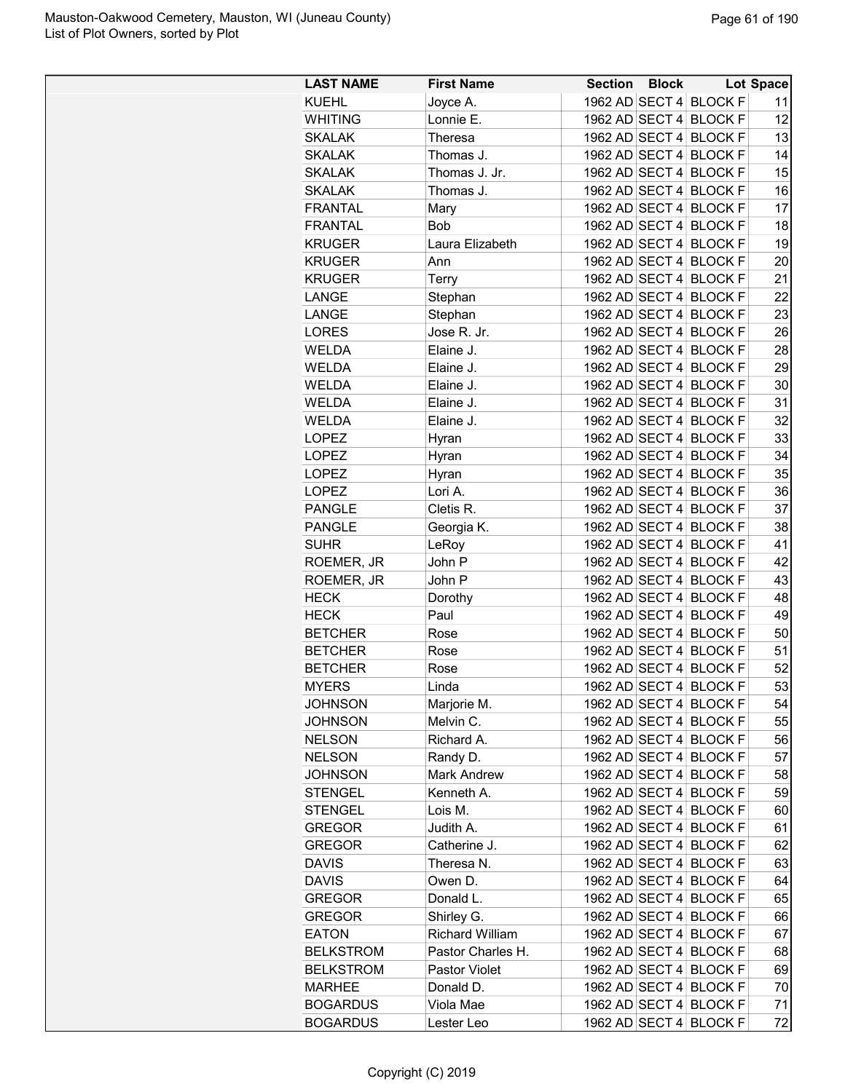| <b>LAST NAME</b> | <b>First Name</b>      | <b>Section</b> | <b>Block</b> |                        | Lot Space |
|------------------|------------------------|----------------|--------------|------------------------|-----------|
| <b>KUEHL</b>     | Joyce A.               |                |              | 1962 AD SECT 4 BLOCK F | 11        |
| <b>WHITING</b>   | Lonnie E.              |                |              | 1962 AD SECT 4 BLOCK F | 12        |
| <b>SKALAK</b>    | Theresa                |                |              | 1962 AD SECT 4 BLOCK F | 13        |
| <b>SKALAK</b>    | Thomas J.              |                |              | 1962 AD SECT 4 BLOCK F | 14        |
| <b>SKALAK</b>    | Thomas J. Jr.          | 1962 AD SECT 4 |              | <b>BLOCK F</b>         | 15        |
| <b>SKALAK</b>    | Thomas J.              |                |              | 1962 AD SECT 4 BLOCK F | 16        |
| <b>FRANTAL</b>   | Mary                   |                |              | 1962 AD SECT 4 BLOCK F | 17        |
| <b>FRANTAL</b>   | <b>Bob</b>             |                |              | 1962 AD SECT 4 BLOCK F | 18        |
| <b>KRUGER</b>    | Laura Elizabeth        |                |              | 1962 AD SECT 4 BLOCK F | 19        |
| <b>KRUGER</b>    | Ann                    |                |              | 1962 AD SECT 4 BLOCK F | 20        |
| <b>KRUGER</b>    | Terry                  |                |              | 1962 AD SECT 4 BLOCK F | 21        |
| LANGE            | Stephan                |                |              | 1962 AD SECT 4 BLOCK F | 22        |
| LANGE            | Stephan                |                |              | 1962 AD SECT 4 BLOCK F | 23        |
| <b>LORES</b>     | Jose R. Jr.            |                |              | 1962 AD SECT 4 BLOCK F | 26        |
| <b>WELDA</b>     | Elaine J.              |                |              | 1962 AD SECT 4 BLOCK F | 28        |
| <b>WELDA</b>     | Elaine J.              |                |              | 1962 AD SECT 4 BLOCK F | 29        |
| <b>WELDA</b>     | Elaine J.              |                |              | 1962 AD SECT 4 BLOCK F | 30        |
| WELDA            |                        |                |              | 1962 AD SECT 4 BLOCK F | 31        |
| <b>WELDA</b>     | Elaine J.              |                |              |                        |           |
|                  | Elaine J.              | 1962 AD SECT 4 |              | <b>BLOCK F</b>         | 32        |
| LOPEZ            | Hyran                  |                |              | 1962 AD SECT 4 BLOCK F | 33        |
| <b>LOPEZ</b>     | Hyran                  |                |              | 1962 AD SECT 4 BLOCK F | 34        |
| <b>LOPEZ</b>     | Hyran                  |                |              | 1962 AD SECT 4 BLOCK F | 35        |
| <b>LOPEZ</b>     | Lori A.                |                |              | 1962 AD SECT 4 BLOCK F | 36        |
| <b>PANGLE</b>    | Cletis R.              |                |              | 1962 AD SECT 4 BLOCK F | 37        |
| <b>PANGLE</b>    | Georgia K.             |                |              | 1962 AD SECT 4 BLOCK F | 38        |
| <b>SUHR</b>      | LeRoy                  |                |              | 1962 AD SECT 4 BLOCK F | 41        |
| ROEMER, JR       | John P                 |                |              | 1962 AD SECT 4 BLOCK F | 42        |
| ROEMER, JR       | John P                 |                |              | 1962 AD SECT 4 BLOCK F | 43        |
| <b>HECK</b>      | Dorothy                |                |              | 1962 AD SECT 4 BLOCK F | 48        |
| <b>HECK</b>      | Paul                   |                |              | 1962 AD SECT 4 BLOCK F | 49        |
| <b>BETCHER</b>   | Rose                   |                |              | 1962 AD SECT 4 BLOCK F | 50        |
| <b>BETCHER</b>   | Rose                   |                |              | 1962 AD SECT 4 BLOCK F | 51        |
| <b>BETCHER</b>   | Rose                   |                |              | 1962 AD SECT 4 BLOCK F | 52        |
| <b>MYERS</b>     | Linda                  |                |              | 1962 AD SECT 4 BLOCK F | 53        |
| <b>JOHNSON</b>   | Marjorie M.            |                |              | 1962 AD SECT 4 BLOCK F | 54        |
| <b>JOHNSON</b>   | Melvin C.              |                |              | 1962 AD SECT 4 BLOCK F | 55        |
| <b>NELSON</b>    | Richard A.             |                |              | 1962 AD SECT 4 BLOCK F | 56        |
| <b>NELSON</b>    | Randy D.               |                |              | 1962 AD SECT 4 BLOCK F | 57        |
| <b>JOHNSON</b>   | <b>Mark Andrew</b>     |                |              | 1962 AD SECT 4 BLOCK F | 58        |
| <b>STENGEL</b>   | Kenneth A.             |                |              | 1962 AD SECT 4 BLOCK F | 59        |
| <b>STENGEL</b>   | Lois M.                |                |              | 1962 AD SECT 4 BLOCK F | 60        |
| <b>GREGOR</b>    | Judith A.              |                |              | 1962 AD SECT 4 BLOCK F | 61        |
| <b>GREGOR</b>    | Catherine J.           |                |              | 1962 AD SECT 4 BLOCK F | 62        |
| <b>DAVIS</b>     | Theresa N.             |                |              | 1962 AD SECT 4 BLOCK F | 63        |
| <b>DAVIS</b>     | Owen D.                |                |              | 1962 AD SECT 4 BLOCK F | 64        |
| <b>GREGOR</b>    | Donald L.              |                |              | 1962 AD SECT 4 BLOCK F | 65        |
| <b>GREGOR</b>    | Shirley G.             |                |              | 1962 AD SECT 4 BLOCK F | 66        |
| <b>EATON</b>     | <b>Richard William</b> |                |              | 1962 AD SECT 4 BLOCK F | 67        |
| <b>BELKSTROM</b> | Pastor Charles H.      |                |              | 1962 AD SECT 4 BLOCK F | 68        |
| <b>BELKSTROM</b> | Pastor Violet          |                |              | 1962 AD SECT 4 BLOCK F | 69        |
| <b>MARHEE</b>    | Donald D.              |                |              | 1962 AD SECT 4 BLOCK F | 70        |
| <b>BOGARDUS</b>  | Viola Mae              |                |              | 1962 AD SECT 4 BLOCK F | 71        |
| <b>BOGARDUS</b>  | Lester Leo             |                |              | 1962 AD SECT 4 BLOCK F | 72        |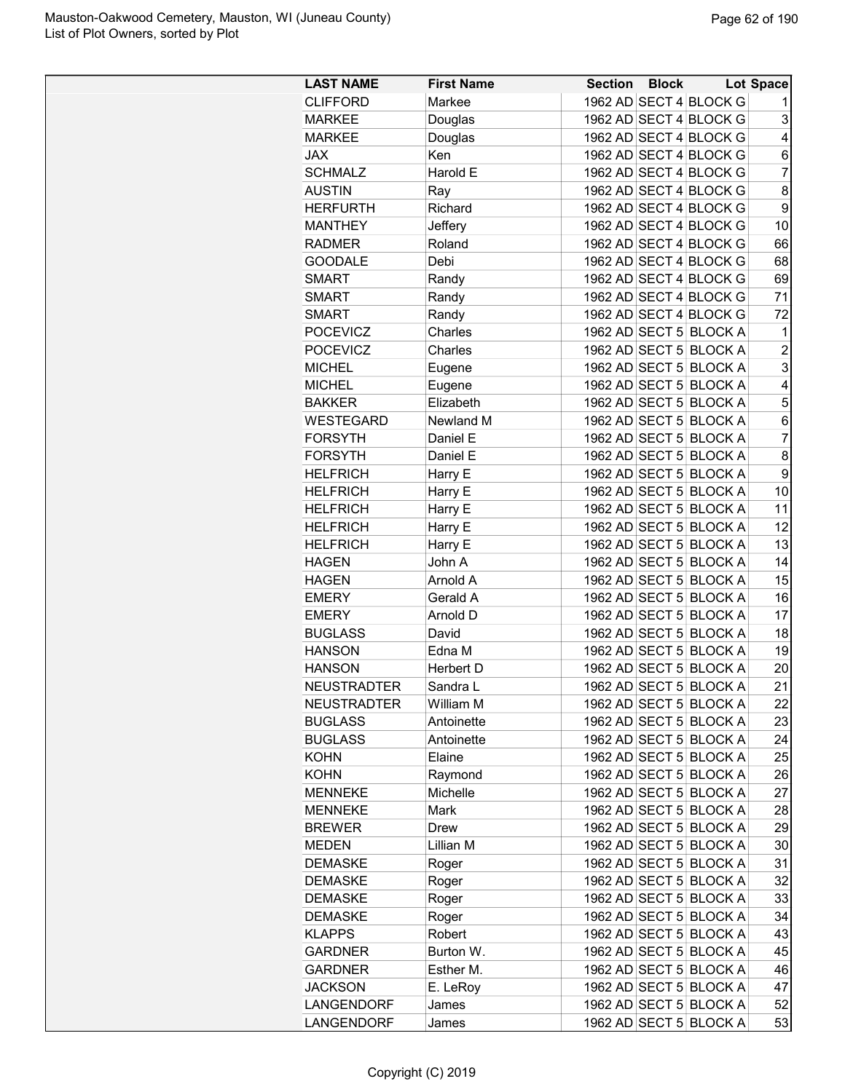| <b>LAST NAME</b>                | <b>First Name</b>   | <b>Section Block</b> |                        | Lot Space      |
|---------------------------------|---------------------|----------------------|------------------------|----------------|
| <b>CLIFFORD</b>                 | Markee              |                      | 1962 AD SECT 4 BLOCK G | 1              |
| <b>MARKEE</b>                   | Douglas             |                      | 1962 AD SECT 4 BLOCK G | 3              |
| <b>MARKEE</b>                   | Douglas             |                      | 1962 AD SECT 4 BLOCK G | 4              |
| <b>JAX</b>                      | Ken                 |                      | 1962 AD SECT 4 BLOCK G | 6              |
| <b>SCHMALZ</b>                  | Harold E            |                      | 1962 AD SECT 4 BLOCK G | 7              |
| <b>AUSTIN</b>                   | Ray                 |                      | 1962 AD SECT 4 BLOCK G | 8              |
| <b>HERFURTH</b>                 | Richard             |                      | 1962 AD SECT 4 BLOCK G | 9              |
| <b>MANTHEY</b>                  | Jeffery             |                      | 1962 AD SECT 4 BLOCK G | 10             |
| <b>RADMER</b>                   | Roland              |                      | 1962 AD SECT 4 BLOCK G | 66             |
| <b>GOODALE</b>                  | Debi                |                      | 1962 AD SECT 4 BLOCK G | 68             |
| <b>SMART</b>                    | Randy               |                      | 1962 AD SECT 4 BLOCK G | 69             |
| <b>SMART</b>                    | Randy               |                      | 1962 AD SECT 4 BLOCK G | 71             |
| <b>SMART</b>                    | Randy               |                      | 1962 AD SECT 4 BLOCK G | 72             |
| <b>POCEVICZ</b>                 | Charles             |                      | 1962 AD SECT 5 BLOCK A | 1              |
| <b>POCEVICZ</b>                 | Charles             |                      | 1962 AD SECT 5 BLOCK A | $\overline{c}$ |
| <b>MICHEL</b>                   | Eugene              |                      | 1962 AD SECT 5 BLOCK A | 3              |
| <b>MICHEL</b>                   | Eugene              |                      | 1962 AD SECT 5 BLOCK A | $\overline{4}$ |
| <b>BAKKER</b>                   | Elizabeth           |                      | 1962 AD SECT 5 BLOCK A | 5              |
| WESTEGARD                       | Newland M           |                      | 1962 AD SECT 5 BLOCK A | 6              |
| <b>FORSYTH</b>                  | Daniel E            |                      | 1962 AD SECT 5 BLOCK A | 7              |
| <b>FORSYTH</b>                  | Daniel E            |                      | 1962 AD SECT 5 BLOCK A | 8              |
| <b>HELFRICH</b>                 | Harry E             |                      | 1962 AD SECT 5 BLOCK A | 9              |
| <b>HELFRICH</b>                 | Harry E             |                      | 1962 AD SECT 5 BLOCK A | 10             |
| <b>HELFRICH</b>                 | Harry E             |                      | 1962 AD SECT 5 BLOCK A | 11             |
| <b>HELFRICH</b>                 | Harry E             |                      | 1962 AD SECT 5 BLOCK A | 12             |
| <b>HELFRICH</b>                 | Harry E             |                      | 1962 AD SECT 5 BLOCK A | 13             |
| <b>HAGEN</b>                    | John A              |                      | 1962 AD SECT 5 BLOCK A | 14             |
| <b>HAGEN</b>                    | Arnold A            |                      | 1962 AD SECT 5 BLOCK A | 15             |
| <b>EMERY</b>                    | Gerald A            |                      | 1962 AD SECT 5 BLOCK A | 16             |
| <b>EMERY</b>                    | Arnold D            |                      | 1962 AD SECT 5 BLOCK A | 17             |
| <b>BUGLASS</b>                  | David               |                      | 1962 AD SECT 5 BLOCK A | 18             |
| <b>HANSON</b>                   | Edna M              |                      | 1962 AD SECT 5 BLOCK A | 19             |
| <b>HANSON</b>                   | Herbert D           |                      | 1962 AD SECT 5 BLOCK A | 20             |
| <b>NEUSTRADTER</b>              | Sandra L            |                      | 1962 AD SECT 5 BLOCK A | 21             |
| <b>NEUSTRADTER</b>              | William M           |                      | 1962 AD SECT 5 BLOCK A | 22             |
| <b>BUGLASS</b>                  | Antoinette          |                      | 1962 AD SECT 5 BLOCK A | 23             |
| <b>BUGLASS</b>                  | Antoinette          |                      | 1962 AD SECT 5 BLOCK A | 24             |
| KOHN                            | Elaine              |                      | 1962 AD SECT 5 BLOCK A | 25             |
| KOHN                            |                     |                      | 1962 AD SECT 5 BLOCK A | 26             |
| <b>MENNEKE</b>                  | Raymond<br>Michelle |                      | 1962 AD SECT 5 BLOCK A | 27             |
|                                 | Mark                |                      | 1962 AD SECT 5 BLOCK A |                |
| <b>MENNEKE</b><br><b>BREWER</b> |                     |                      | 1962 AD SECT 5 BLOCK A | 28<br>29       |
|                                 | Drew                |                      | 1962 AD SECT 5 BLOCK A | 30             |
| <b>MEDEN</b><br><b>DEMASKE</b>  | Lillian M           |                      | 1962 AD SECT 5 BLOCK A |                |
|                                 | Roger               |                      |                        | 31             |
| <b>DEMASKE</b>                  | Roger               |                      | 1962 AD SECT 5 BLOCK A | 32             |
| <b>DEMASKE</b>                  | Roger               |                      | 1962 AD SECT 5 BLOCK A | 33             |
| DEMASKE                         | Roger               |                      | 1962 AD SECT 5 BLOCK A | 34             |
| <b>KLAPPS</b>                   | Robert              |                      | 1962 AD SECT 5 BLOCK A | 43             |
| <b>GARDNER</b>                  | Burton W.           |                      | 1962 AD SECT 5 BLOCK A | 45             |
| <b>GARDNER</b>                  | Esther M.           |                      | 1962 AD SECT 5 BLOCK A | 46             |
| <b>JACKSON</b>                  | E. LeRoy            |                      | 1962 AD SECT 5 BLOCK A | 47             |
| LANGENDORF                      | James               |                      | 1962 AD SECT 5 BLOCK A | 52             |
| LANGENDORF                      | James               |                      | 1962 AD SECT 5 BLOCK A | 53             |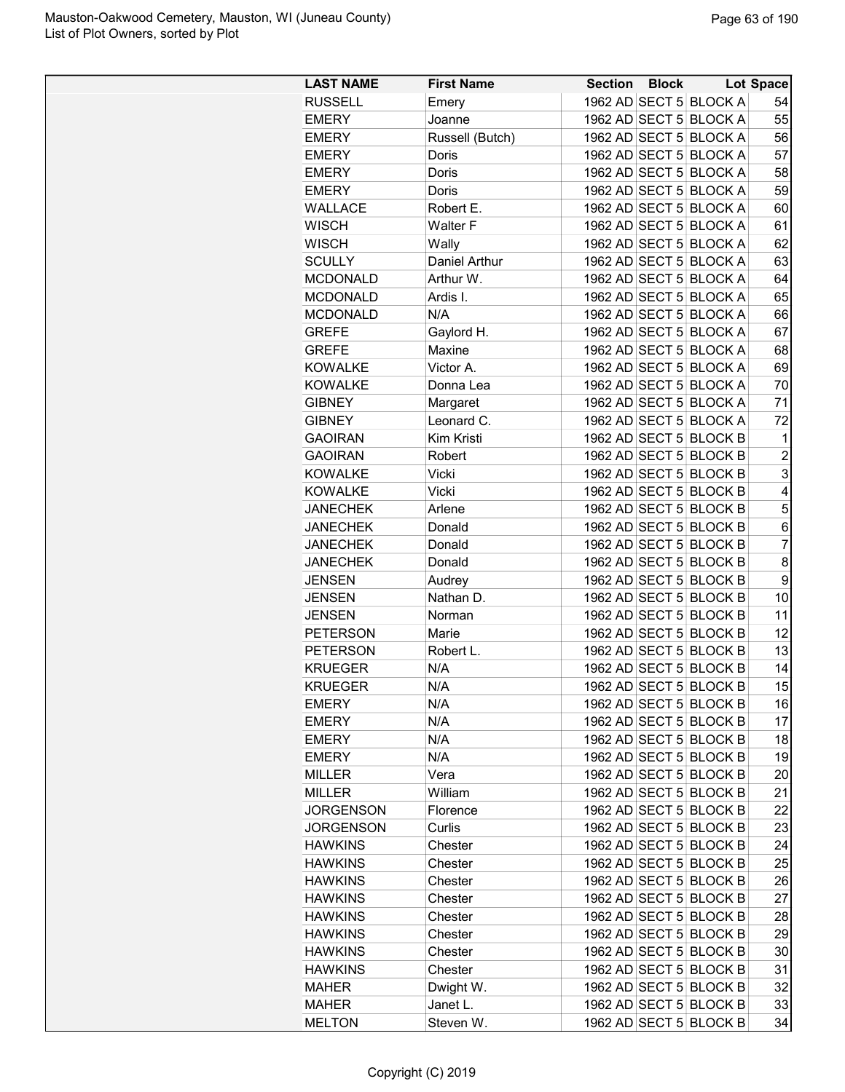| <b>LAST NAME</b>                     | <b>First Name</b>    | <b>Section Block</b> |                        | Lot Space      |
|--------------------------------------|----------------------|----------------------|------------------------|----------------|
| <b>RUSSELL</b>                       | Emery                |                      | 1962 AD SECT 5 BLOCK A | 54             |
| <b>EMERY</b>                         | Joanne               |                      | 1962 AD SECT 5 BLOCK A | 55             |
| <b>EMERY</b>                         | Russell (Butch)      |                      | 1962 AD SECT 5 BLOCK A | 56             |
| <b>EMERY</b>                         | Doris                |                      | 1962 AD SECT 5 BLOCK A | 57             |
| <b>EMERY</b>                         | Doris                |                      | 1962 AD SECT 5 BLOCK A | 58             |
| <b>EMERY</b>                         | Doris                |                      | 1962 AD SECT 5 BLOCK A | 59             |
| <b>WALLACE</b>                       | Robert E.            |                      | 1962 AD SECT 5 BLOCK A | 60             |
| <b>WISCH</b>                         | <b>Walter F</b>      |                      | 1962 AD SECT 5 BLOCK A | 61             |
| <b>WISCH</b>                         | Wally                |                      | 1962 AD SECT 5 BLOCK A | 62             |
| <b>SCULLY</b>                        | <b>Daniel Arthur</b> |                      | 1962 AD SECT 5 BLOCK A | 63             |
| <b>MCDONALD</b>                      | Arthur W.            |                      | 1962 AD SECT 5 BLOCK A | 64             |
| <b>MCDONALD</b>                      | Ardis I.             |                      | 1962 AD SECT 5 BLOCK A | 65             |
| <b>MCDONALD</b>                      | N/A                  |                      | 1962 AD SECT 5 BLOCK A | 66             |
| <b>GREFE</b>                         | Gaylord H.           |                      | 1962 AD SECT 5 BLOCK A | 67             |
| <b>GREFE</b>                         | Maxine               |                      | 1962 AD SECT 5 BLOCK A | 68             |
| <b>KOWALKE</b>                       | Victor A.            |                      | 1962 AD SECT 5 BLOCK A | 69             |
| <b>KOWALKE</b>                       | Donna Lea            |                      | 1962 AD SECT 5 BLOCK A | 70             |
| <b>GIBNEY</b>                        | Margaret             |                      | 1962 AD SECT 5 BLOCK A | 71             |
| <b>GIBNEY</b>                        | Leonard C.           |                      | 1962 AD SECT 5 BLOCK A | 72             |
| <b>GAOIRAN</b>                       | Kim Kristi           |                      | 1962 AD SECT 5 BLOCK B | 1              |
| <b>GAOIRAN</b>                       | Robert               |                      | 1962 AD SECT 5 BLOCK B | $\overline{2}$ |
| <b>KOWALKE</b>                       | Vicki                |                      | 1962 AD SECT 5 BLOCK B | 3              |
| <b>KOWALKE</b>                       | Vicki                |                      | 1962 AD SECT 5 BLOCK B | 4              |
| <b>JANECHEK</b>                      | Arlene               |                      | 1962 AD SECT 5 BLOCK B | 5              |
| <b>JANECHEK</b>                      | Donald               |                      | 1962 AD SECT 5 BLOCK B | 6              |
| <b>JANECHEK</b>                      | Donald               |                      | 1962 AD SECT 5 BLOCK B | $\overline{7}$ |
| <b>JANECHEK</b>                      | Donald               |                      | 1962 AD SECT 5 BLOCK B | 8              |
| <b>JENSEN</b>                        | Audrey               |                      | 1962 AD SECT 5 BLOCK B | 9              |
| <b>JENSEN</b>                        | Nathan D.            |                      | 1962 AD SECT 5 BLOCK B | 10             |
| <b>JENSEN</b>                        | Norman               |                      | 1962 AD SECT 5 BLOCK B | 11             |
| <b>PETERSON</b>                      | Marie                |                      | 1962 AD SECT 5 BLOCK B | 12             |
| <b>PETERSON</b>                      | Robert L.            |                      | 1962 AD SECT 5 BLOCK B | 13             |
| <b>KRUEGER</b>                       | N/A                  |                      | 1962 AD SECT 5 BLOCK B | 14             |
| <b>KRUEGER</b>                       | N/A                  |                      | 1962 AD SECT 5 BLOCK B | 15             |
|                                      | N/A                  |                      | 1962 AD SECT 5 BLOCK B | 16             |
| <b>EMERY</b><br><b>EMERY</b>         | N/A                  |                      | 1962 AD SECT 5 BLOCK B | 17             |
| <b>EMERY</b>                         | N/A                  |                      | 1962 AD SECT 5 BLOCK B | 18             |
| <b>EMERY</b>                         | N/A                  |                      | 1962 AD SECT 5 BLOCK B | 19             |
| <b>MILLER</b>                        | Vera                 |                      | 1962 AD SECT 5 BLOCK B | 20             |
| <b>MILLER</b>                        | William              |                      | 1962 AD SECT 5 BLOCK B | 21             |
|                                      |                      |                      | 1962 AD SECT 5 BLOCK B | 22             |
| <b>JORGENSON</b><br><b>JORGENSON</b> | Florence             |                      | 1962 AD SECT 5 BLOCK B | 23             |
|                                      | Curlis               |                      | 1962 AD SECT 5 BLOCK B | 24             |
| <b>HAWKINS</b>                       | Chester              |                      |                        |                |
| <b>HAWKINS</b>                       | Chester              |                      | 1962 AD SECT 5 BLOCK B | 25             |
| <b>HAWKINS</b>                       | Chester              |                      | 1962 AD SECT 5 BLOCK B | 26             |
| <b>HAWKINS</b>                       | Chester              |                      | 1962 AD SECT 5 BLOCK B | 27             |
| <b>HAWKINS</b>                       | Chester              |                      | 1962 AD SECT 5 BLOCK B | 28             |
| <b>HAWKINS</b>                       | Chester              |                      | 1962 AD SECT 5 BLOCK B | 29             |
| <b>HAWKINS</b>                       | Chester              |                      | 1962 AD SECT 5 BLOCK B | 30             |
| <b>HAWKINS</b>                       | Chester              |                      | 1962 AD SECT 5 BLOCK B | 31             |
| <b>MAHER</b>                         | Dwight W.            |                      | 1962 AD SECT 5 BLOCK B | 32             |
| <b>MAHER</b>                         | Janet L.             |                      | 1962 AD SECT 5 BLOCK B | 33             |
| <b>MELTON</b>                        | Steven W.            |                      | 1962 AD SECT 5 BLOCK B | 34             |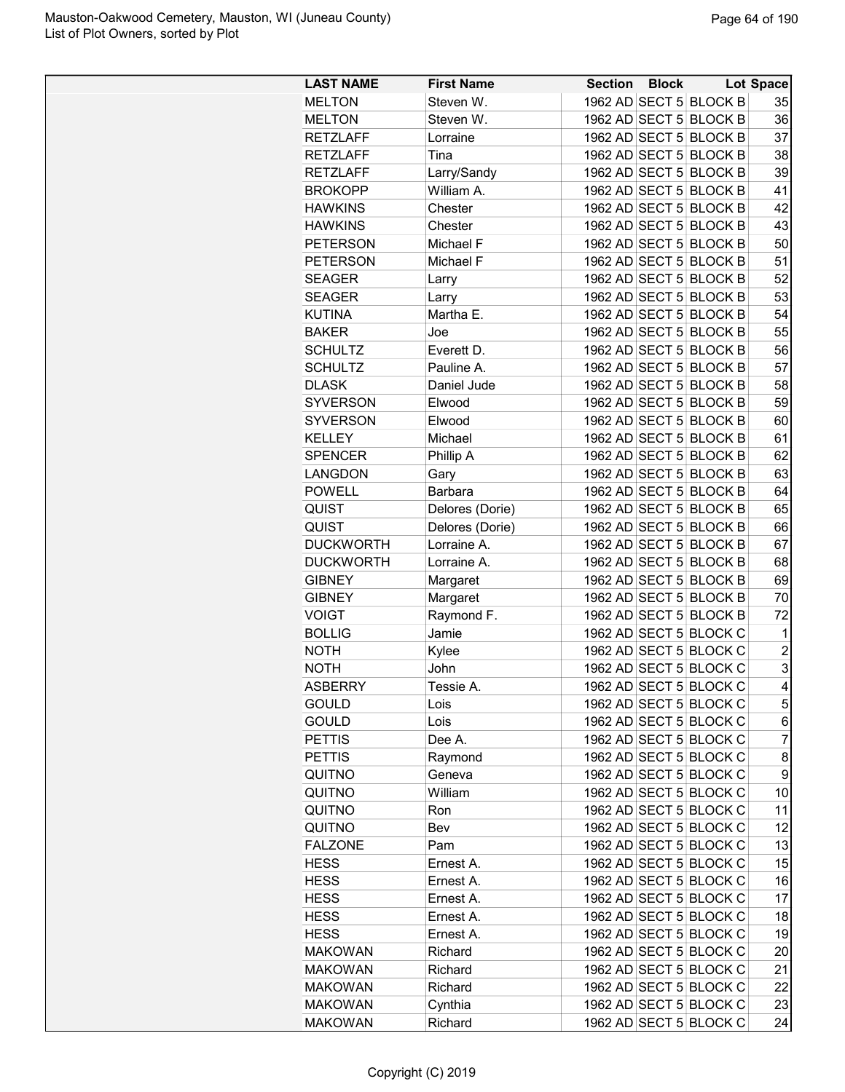| <b>LAST NAME</b>              | <b>First Name</b> | <b>Section Block</b> |                                                  | <b>Lot Space</b>    |
|-------------------------------|-------------------|----------------------|--------------------------------------------------|---------------------|
| <b>MELTON</b>                 | Steven W.         |                      | 1962 AD SECT 5 BLOCK B                           | 35                  |
| <b>MELTON</b>                 | Steven W.         |                      | 1962 AD SECT 5 BLOCK B                           | 36                  |
| <b>RETZLAFF</b>               | Lorraine          |                      | 1962 AD SECT 5 BLOCK B                           | 37                  |
| <b>RETZLAFF</b>               | Tina              |                      | 1962 AD SECT 5 BLOCK B                           | 38                  |
| <b>RETZLAFF</b>               | Larry/Sandy       |                      | 1962 AD SECT 5 BLOCK B                           | 39                  |
| <b>BROKOPP</b>                | William A.        |                      | 1962 AD SECT 5 BLOCK B                           | 41                  |
| <b>HAWKINS</b>                | Chester           |                      | 1962 AD SECT 5 BLOCK B                           | 42                  |
| <b>HAWKINS</b>                | Chester           |                      | 1962 AD SECT 5 BLOCK B                           | 43                  |
| <b>PETERSON</b>               | Michael F         |                      | 1962 AD SECT 5 BLOCK B                           | 50                  |
| <b>PETERSON</b>               | Michael F         |                      | 1962 AD SECT 5 BLOCK B                           | 51                  |
| <b>SEAGER</b>                 | Larry             |                      | 1962 AD SECT 5 BLOCK B                           | 52                  |
| <b>SEAGER</b>                 | Larry             |                      | 1962 AD SECT 5 BLOCK B                           | 53                  |
| <b>KUTINA</b>                 | Martha E.         |                      | 1962 AD SECT 5 BLOCK B                           | 54                  |
| <b>BAKER</b>                  | Joe               |                      | 1962 AD SECT 5 BLOCK B                           | 55                  |
| <b>SCHULTZ</b>                | Everett D.        |                      | 1962 AD SECT 5 BLOCK B                           | 56                  |
| <b>SCHULTZ</b>                | Pauline A.        |                      | 1962 AD SECT 5 BLOCK B                           | 57                  |
| <b>DLASK</b>                  | Daniel Jude       |                      | 1962 AD SECT 5 BLOCK B                           | 58                  |
| SYVERSON                      | Elwood            |                      | 1962 AD SECT 5 BLOCK B                           | 59                  |
| <b>SYVERSON</b>               | Elwood            |                      | 1962 AD SECT 5 BLOCK B                           | 60                  |
| <b>KELLEY</b>                 | Michael           |                      | 1962 AD SECT 5 BLOCK B                           | 61                  |
| <b>SPENCER</b>                | Phillip A         |                      | 1962 AD SECT 5 BLOCK B                           | 62                  |
| LANGDON                       | Gary              |                      | 1962 AD SECT 5 BLOCK B                           | 63                  |
| <b>POWELL</b>                 | Barbara           |                      | 1962 AD SECT 5 BLOCK B                           | 64                  |
| QUIST                         | Delores (Dorie)   |                      | 1962 AD SECT 5 BLOCK B                           | 65                  |
| <b>QUIST</b>                  | Delores (Dorie)   |                      | 1962 AD SECT 5 BLOCK B                           | 66                  |
| <b>DUCKWORTH</b>              | Lorraine A.       |                      | 1962 AD SECT 5 BLOCK B                           | 67                  |
| <b>DUCKWORTH</b>              | Lorraine A.       |                      | 1962 AD SECT 5 BLOCK B                           | 68                  |
| <b>GIBNEY</b>                 |                   |                      | 1962 AD SECT 5 BLOCK B                           | 69                  |
|                               | Margaret          |                      | 1962 AD SECT 5 BLOCK B                           | 70                  |
| <b>GIBNEY</b><br><b>VOIGT</b> | Margaret          |                      |                                                  | 72                  |
|                               | Raymond F.        |                      | 1962 AD SECT 5 BLOCK B<br>1962 AD SECT 5 BLOCK C |                     |
| <b>BOLLIG</b>                 | Jamie             |                      |                                                  | 1<br>$\overline{c}$ |
| <b>NOTH</b>                   | Kylee             |                      | 1962 AD SECT 5 BLOCK C                           |                     |
| <b>NOTH</b>                   | John              |                      | 1962 AD SECT 5 BLOCK C                           | 3                   |
| <b>ASBERRY</b>                | <b>Tessie A</b>   |                      | 1962 AD SECT 5 BLOCK C                           | 4                   |
| <b>GOULD</b>                  | Lois              |                      | 1962 AD SECT 5 BLOCK C                           | 5                   |
| <b>GOULD</b>                  | Lois              |                      | 1962 AD SECT 5 BLOCK C                           | 6                   |
| <b>PETTIS</b>                 | Dee A.            |                      | 1962 AD SECT 5 BLOCK C                           | $\overline{7}$      |
| <b>PETTIS</b>                 | Raymond           |                      | 1962 AD SECT 5 BLOCK C                           | 8                   |
| QUITNO                        | Geneva            |                      | 1962 AD SECT 5 BLOCK C                           | 9                   |
| QUITNO                        | William           |                      | 1962 AD SECT 5 BLOCK C                           | 10                  |
| QUITNO                        | Ron               |                      | 1962 AD SECT 5 BLOCK C                           | 11                  |
| QUITNO                        | Bev               |                      | 1962 AD SECT 5 BLOCK C                           | 12                  |
| <b>FALZONE</b>                | Pam               |                      | 1962 AD SECT 5 BLOCK C                           | 13                  |
| <b>HESS</b>                   | Ernest A.         |                      | 1962 AD SECT 5 BLOCK C                           | 15                  |
| <b>HESS</b>                   | Ernest A.         |                      | 1962 AD SECT 5 BLOCK C                           | 16                  |
| <b>HESS</b>                   | Ernest A.         |                      | 1962 AD SECT 5 BLOCK C                           | 17                  |
| <b>HESS</b>                   | Ernest A.         |                      | 1962 AD SECT 5 BLOCK C                           | 18                  |
| <b>HESS</b>                   | Ernest A.         |                      | 1962 AD SECT 5 BLOCK C                           | 19                  |
| <b>MAKOWAN</b>                | Richard           |                      | 1962 AD SECT 5 BLOCK C                           | 20                  |
| <b>MAKOWAN</b>                | Richard           |                      | 1962 AD SECT 5 BLOCK C                           | 21                  |
| <b>MAKOWAN</b>                | Richard           |                      | 1962 AD SECT 5 BLOCK C                           | 22                  |
| <b>MAKOWAN</b>                | Cynthia           |                      | 1962 AD SECT 5 BLOCK C                           | 23                  |
| <b>MAKOWAN</b>                | Richard           |                      | 1962 AD SECT 5 BLOCK C                           | 24                  |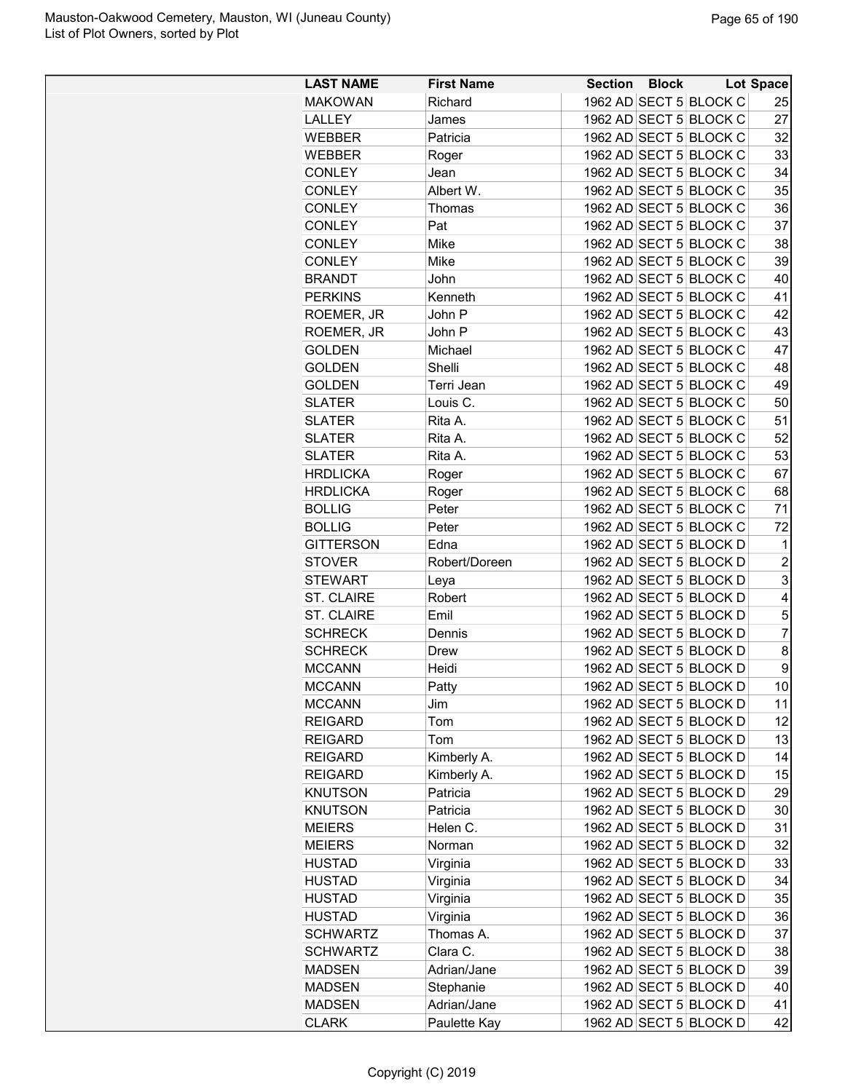| <b>LAST NAME</b>  | <b>First Name</b>        | <b>Section</b> | <b>Block</b> |                                                  | <b>Lot Space</b> |
|-------------------|--------------------------|----------------|--------------|--------------------------------------------------|------------------|
| <b>MAKOWAN</b>    | Richard                  |                |              | 1962 AD SECT 5 BLOCK C                           | 25               |
| LALLEY            | James                    |                |              | 1962 AD SECT 5 BLOCK C                           | 27               |
| <b>WEBBER</b>     | Patricia                 |                |              | 1962 AD SECT 5 BLOCK C                           | 32               |
| <b>WEBBER</b>     | Roger                    |                |              | 1962 AD SECT 5 BLOCK C                           | 33               |
| <b>CONLEY</b>     | Jean                     |                |              | 1962 AD SECT 5 BLOCK C                           | 34               |
| <b>CONLEY</b>     | Albert W.                |                |              | 1962 AD SECT 5 BLOCK C                           | 35               |
| <b>CONLEY</b>     | Thomas                   |                |              | 1962 AD SECT 5 BLOCK C                           | 36               |
| <b>CONLEY</b>     | Pat                      |                |              | 1962 AD SECT 5 BLOCK C                           | 37               |
| <b>CONLEY</b>     | Mike                     |                |              | 1962 AD SECT 5 BLOCK C                           | 38               |
| <b>CONLEY</b>     | Mike                     |                |              | 1962 AD SECT 5 BLOCK C                           | 39               |
| <b>BRANDT</b>     | John                     |                |              | 1962 AD SECT 5 BLOCK C                           | 40               |
| <b>PERKINS</b>    | Kenneth                  |                |              | 1962 AD SECT 5 BLOCK C                           | 41               |
| ROEMER, JR        | John P                   |                |              | 1962 AD SECT 5 BLOCK C                           | 42               |
| ROEMER, JR        | John P                   |                |              | 1962 AD SECT 5 BLOCK C                           | 43               |
| <b>GOLDEN</b>     | Michael                  |                |              | 1962 AD SECT 5 BLOCK C                           | 47               |
| <b>GOLDEN</b>     | Shelli                   |                |              | 1962 AD SECT 5 BLOCK C                           | 48               |
| GOLDEN            | Terri Jean               |                |              | 1962 AD SECT 5 BLOCK C                           | 49               |
| <b>SLATER</b>     | Louis C.                 |                |              | 1962 AD SECT 5 BLOCK C                           | 50               |
| <b>SLATER</b>     | Rita A.                  |                |              | 1962 AD SECT 5 BLOCK C                           | 51               |
| <b>SLATER</b>     | Rita A.                  |                |              | 1962 AD SECT 5 BLOCK C                           | 52               |
| <b>SLATER</b>     | Rita A.                  |                |              | 1962 AD SECT 5 BLOCK C                           | 53               |
| <b>HRDLICKA</b>   | Roger                    |                |              | 1962 AD SECT 5 BLOCK C                           | 67               |
| <b>HRDLICKA</b>   | Roger                    |                |              | 1962 AD SECT 5 BLOCK C                           | 68               |
| <b>BOLLIG</b>     | Peter                    |                |              | 1962 AD SECT 5 BLOCK C                           | 71               |
| <b>BOLLIG</b>     | Peter                    |                |              | 1962 AD SECT 5 BLOCK C                           | 72               |
| <b>GITTERSON</b>  | Edna                     |                |              | 1962 AD SECT 5 BLOCK D                           | 1                |
| <b>STOVER</b>     | Robert/Doreen            |                |              | 1962 AD SECT 5 BLOCK D                           | $\overline{c}$   |
| <b>STEWART</b>    | Leya                     |                |              | 1962 AD SECT 5 BLOCK D                           | 3                |
| <b>ST. CLAIRE</b> | Robert                   |                |              | 1962 AD SECT 5 BLOCK D                           | 4                |
| <b>ST. CLAIRE</b> | Emil                     |                |              | 1962 AD SECT 5 BLOCK D                           | 5                |
| <b>SCHRECK</b>    | Dennis                   |                |              | 1962 AD SECT 5 BLOCK D                           | $\overline{7}$   |
| <b>SCHRECK</b>    | <b>Drew</b>              |                |              | 1962 AD SECT 5 BLOCK D                           | 8                |
| <b>MCCANN</b>     | Heidi                    |                |              | 1962 AD SECT 5 BLOCK D                           | 9                |
| <b>MCCANN</b>     | Patty                    |                |              | 1962 AD SECT 5 BLOCK D                           | 10               |
| <b>MCCANN</b>     | Jim                      |                |              | 1962 AD SECT 5 BLOCK D                           | 11               |
| <b>REIGARD</b>    | Tom                      |                |              | 1962 AD SECT 5 BLOCK D                           | 12               |
| <b>REIGARD</b>    | Tom                      |                |              | 1962 AD SECT 5 BLOCK D                           | 13               |
| <b>REIGARD</b>    | Kimberly A.              |                |              | 1962 AD SECT 5 BLOCK D                           | 14               |
| <b>REIGARD</b>    | Kimberly A.              |                |              | 1962 AD SECT 5 BLOCK D                           | 15               |
| <b>KNUTSON</b>    | Patricia                 |                |              | 1962 AD SECT 5 BLOCK D                           | 29               |
| <b>KNUTSON</b>    | Patricia                 |                |              | 1962 AD SECT 5 BLOCK D                           | 30               |
| <b>MEIERS</b>     | Helen C.                 |                |              | 1962 AD SECT 5 BLOCK D                           | 31               |
| <b>MEIERS</b>     | Norman                   |                |              | 1962 AD SECT 5 BLOCK D                           | 32               |
| HUSTAD            | Virginia                 |                |              | 1962 AD SECT 5 BLOCK D                           | 33               |
| HUSTAD            |                          |                |              | 1962 AD SECT 5 BLOCK D                           | 34               |
| HUSTAD            | Virginia<br>Virginia     |                |              | 1962 AD SECT 5 BLOCK D                           | 35               |
|                   |                          |                |              | 1962 AD SECT 5 BLOCK D                           | 36               |
| HUSTAD            | Virginia<br>Thomas A.    |                |              | 1962 AD SECT 5 BLOCK D                           | 37               |
| <b>SCHWARTZ</b>   |                          |                |              | 1962 AD SECT 5 BLOCK D                           | 38               |
| <b>SCHWARTZ</b>   | Clara C.                 |                |              |                                                  |                  |
| MADSEN            | Adrian/Jane              |                |              | 1962 AD SECT 5 BLOCK D<br>1962 AD SECT 5 BLOCK D | 39<br>40         |
| <b>MADSEN</b>     | Stephanie<br>Adrian/Jane |                |              |                                                  | 41               |
| <b>MADSEN</b>     |                          |                |              | 1962 AD SECT 5 BLOCK D                           |                  |
| <b>CLARK</b>      | Paulette Kay             |                |              | 1962 AD SECT 5 BLOCK D                           | 42               |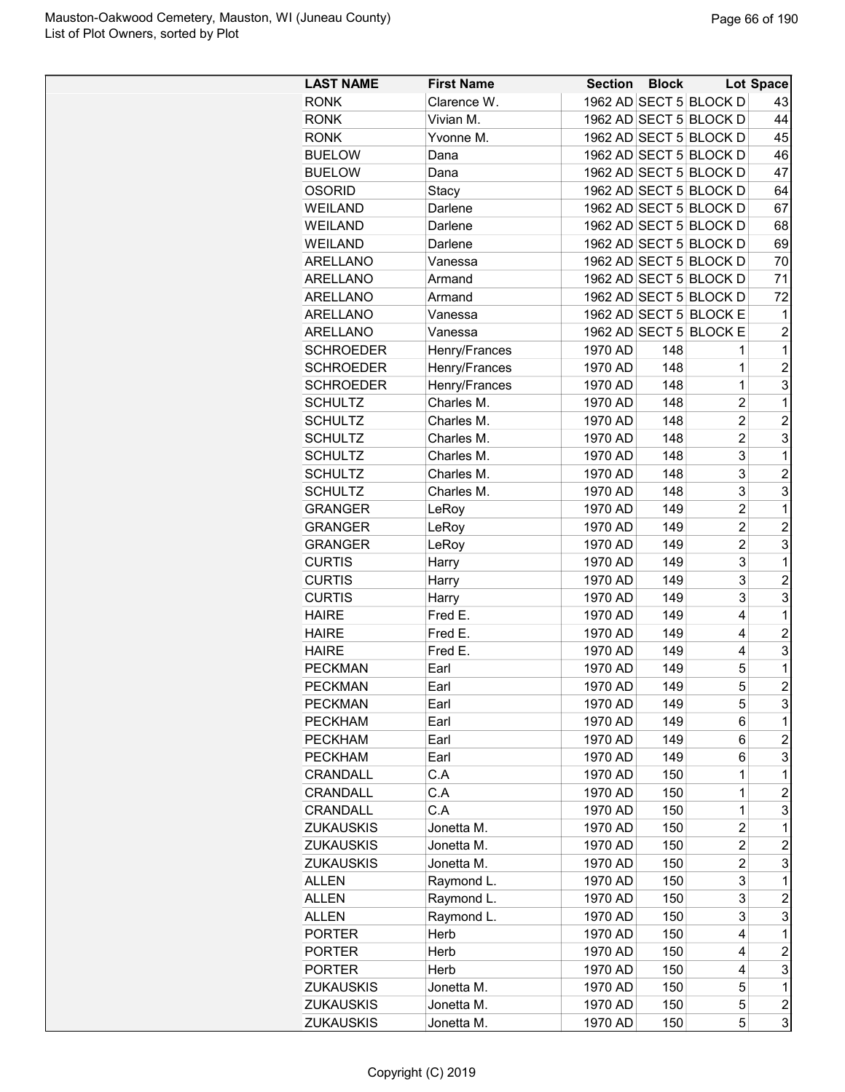| <b>LAST NAME</b>                 | <b>First Name</b> | <b>Section Block</b> |     |                                  | <b>Lot Space</b> |
|----------------------------------|-------------------|----------------------|-----|----------------------------------|------------------|
| <b>RONK</b>                      | Clarence W.       |                      |     | 1962 AD SECT 5 BLOCK D           | 43               |
| <b>RONK</b>                      | Vivian M.         |                      |     | 1962 AD SECT 5 BLOCK D           | 44               |
| <b>RONK</b>                      | Yvonne M.         |                      |     | 1962 AD SECT 5 BLOCK D           | 45               |
| <b>BUELOW</b>                    | Dana              |                      |     | 1962 AD SECT 5 BLOCK D           | 46               |
| <b>BUELOW</b>                    | Dana              |                      |     | 1962 AD SECT 5 BLOCK D           | 47               |
| <b>OSORID</b>                    | Stacy             |                      |     | 1962 AD SECT 5 BLOCK D           | 64               |
| <b>WEILAND</b>                   | Darlene           |                      |     | 1962 AD SECT 5 BLOCK D           | 67               |
| <b>WEILAND</b>                   | Darlene           |                      |     | 1962 AD SECT 5 BLOCK D           | 68               |
| <b>WEILAND</b>                   | Darlene           |                      |     | 1962 AD SECT 5 BLOCK D           | 69               |
| ARELLANO                         | Vanessa           |                      |     | 1962 AD SECT 5 BLOCK D           | 70               |
| ARELLANO                         | Armand            |                      |     | 1962 AD SECT 5 BLOCK D           | 71               |
| ARELLANO                         | Armand            |                      |     | 1962 AD SECT 5 BLOCK D           | 72               |
| <b>ARELLANO</b>                  | Vanessa           |                      |     | 1962 AD SECT 5 BLOCK E           | 1                |
| ARELLANO                         | Vanessa           |                      |     | 1962 AD SECT 5 BLOCK E           | $\overline{2}$   |
| <b>SCHROEDER</b>                 | Henry/Frances     | 1970 AD              | 148 | 1                                | 1                |
| <b>SCHROEDER</b>                 | Henry/Frances     | 1970 AD              | 148 | $\mathbf{1}$                     | $\overline{2}$   |
| <b>SCHROEDER</b>                 | Henry/Frances     | 1970 AD              | 148 | $\mathbf{1}$                     | 3                |
| <b>SCHULTZ</b>                   | Charles M.        | 1970 AD              | 148 | $\overline{c}$                   | 1                |
| <b>SCHULTZ</b>                   | Charles M.        | 1970 AD              | 148 | $\overline{2}$                   | $\overline{c}$   |
| <b>SCHULTZ</b>                   | Charles M.        | 1970 AD              | 148 | $\overline{c}$                   | 3                |
| <b>SCHULTZ</b>                   | Charles M.        | 1970 AD              | 148 | 3                                | 1                |
| <b>SCHULTZ</b>                   | Charles M.        | 1970 AD              | 148 | 3                                | $\overline{c}$   |
| <b>SCHULTZ</b>                   | Charles M.        | 1970 AD              | 148 | 3                                | 3                |
| <b>GRANGER</b>                   | LeRoy             | 1970 AD              | 149 | $\overline{c}$                   | 1                |
| <b>GRANGER</b>                   | LeRoy             | 1970 AD              | 149 | $\overline{2}$                   | $\overline{c}$   |
| <b>GRANGER</b>                   | LeRoy             | 1970 AD              | 149 | $\overline{2}$                   | 3                |
| <b>CURTIS</b>                    | Harry             | 1970 AD              | 149 | 3                                | 1                |
| <b>CURTIS</b>                    | Harry             | 1970 AD              | 149 | 3                                | $\overline{2}$   |
| <b>CURTIS</b>                    | Harry             | 1970 AD              | 149 | 3                                | 3                |
| <b>HAIRE</b>                     | Fred E.           | 1970 AD              | 149 | 4                                | 1                |
| <b>HAIRE</b>                     | Fred E.           | 1970 AD              | 149 | 4                                | $\overline{c}$   |
| <b>HAIRE</b>                     | Fred E.           | 1970 AD              | 149 | 4                                | 3                |
| <b>PECKMAN</b>                   | Earl              | 1970 AD              | 149 | 5                                | 1                |
| <b>PECKMAN</b>                   | Earl              | 1970 AD              | 149 | 5                                | $\overline{2}$   |
|                                  |                   |                      | 149 | 5                                | 3                |
| <b>PECKMAN</b><br><b>PECKHAM</b> | Earl<br>Earl      | 1970 AD<br>1970 AD   | 149 | 6                                | 1                |
| <b>PECKHAM</b>                   | Earl              | 1970 AD              | 149 | 6                                | $\overline{c}$   |
| <b>PECKHAM</b>                   | Earl              | 1970 AD              | 149 | 6                                | 3                |
| CRANDALL                         |                   |                      |     |                                  | 1                |
| CRANDALL                         | C.A<br>C.A        | 1970 AD<br>1970 AD   | 150 | 1<br>1                           | $\overline{c}$   |
| CRANDALL                         | C.A               |                      | 150 | 1                                |                  |
|                                  |                   | 1970 AD              | 150 |                                  | 3                |
| <b>ZUKAUSKIS</b>                 | Jonetta M.        | 1970 AD              | 150 | $\overline{2}$<br>$\overline{c}$ | 1                |
| ZUKAUSKIS                        | Jonetta M.        | 1970 AD              | 150 |                                  | 2                |
| <b>ZUKAUSKIS</b>                 | Jonetta M.        | 1970 AD              | 150 | $\overline{c}$                   | 3                |
| ALLEN                            | Raymond L.        | 1970 AD              | 150 | 3                                | 1                |
| ALLEN                            | Raymond L.        | 1970 AD              | 150 | 3                                | $\overline{c}$   |
| <b>ALLEN</b>                     | Raymond L.        | 1970 AD              | 150 | 3                                | 3                |
| <b>PORTER</b>                    | Herb              | 1970 AD              | 150 | 4                                | 1                |
| <b>PORTER</b>                    | Herb              | 1970 AD              | 150 | 4                                | $\overline{2}$   |
| <b>PORTER</b>                    | Herb              | 1970 AD              | 150 | 4                                | 3                |
| <b>ZUKAUSKIS</b>                 | Jonetta M.        | 1970 AD              | 150 | 5                                | 1                |
| <b>ZUKAUSKIS</b>                 | Jonetta M.        | 1970 AD              | 150 | 5                                | 2                |
| <b>ZUKAUSKIS</b>                 | Jonetta M.        | 1970 AD              | 150 | 5                                | 3                |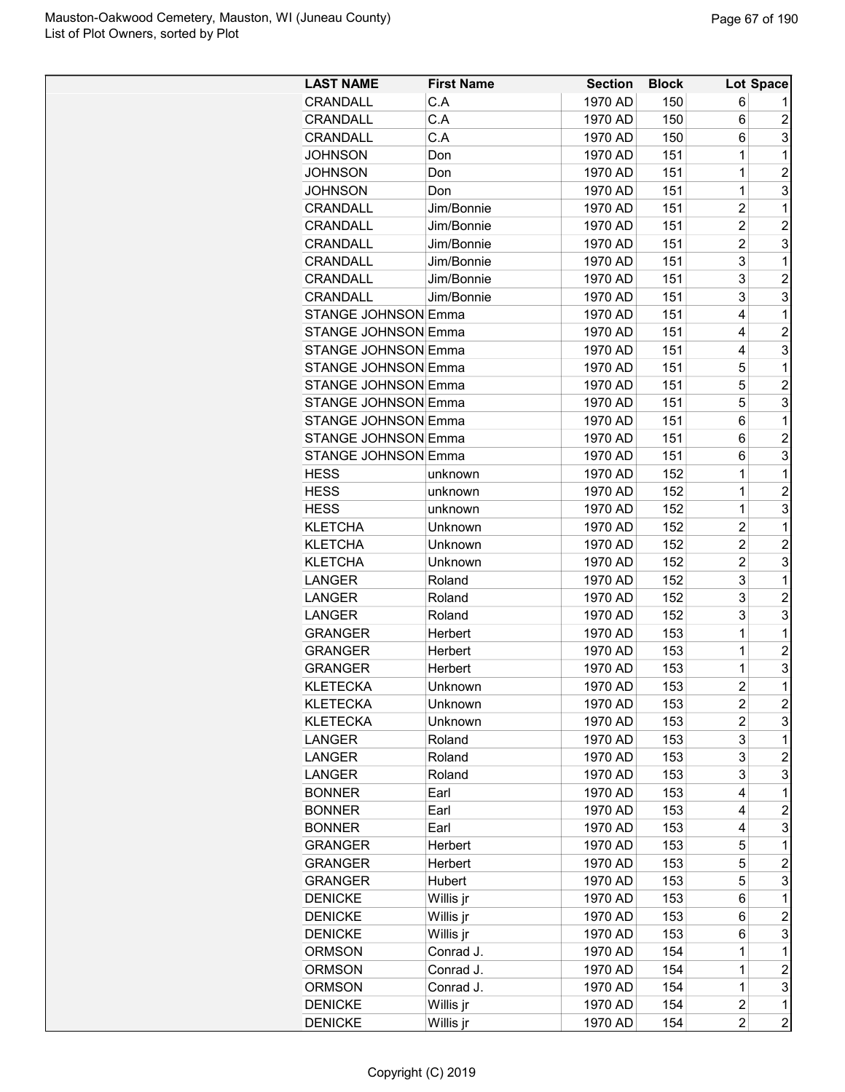| <b>LAST NAME</b>           | <b>First Name</b> | <b>Section</b> | <b>Block</b> |                | Lot Space               |
|----------------------------|-------------------|----------------|--------------|----------------|-------------------------|
| <b>CRANDALL</b>            | C.A               | 1970 AD        | 150          | 6              |                         |
| <b>CRANDALL</b>            | C.A               | 1970 AD        | 150          | 6              | $\overline{c}$          |
| CRANDALL                   | C.A               | 1970 AD        | 150          | 6              | 3                       |
| <b>JOHNSON</b>             | Don               | 1970 AD        | 151          | 1              | 1                       |
| <b>JOHNSON</b>             | Don               | 1970 AD        | 151          | $\mathbf 1$    | $\overline{2}$          |
| <b>JOHNSON</b>             | Don               | 1970 AD        | 151          | 1              | 3                       |
| CRANDALL                   | Jim/Bonnie        | 1970 AD        | 151          | $\overline{2}$ | 1                       |
| <b>CRANDALL</b>            | Jim/Bonnie        | 1970 AD        | 151          | $\overline{2}$ | $\overline{c}$          |
| CRANDALL                   | Jim/Bonnie        | 1970 AD        | 151          | $\overline{2}$ | 3                       |
| <b>CRANDALL</b>            | Jim/Bonnie        | 1970 AD        | 151          | 3              | 1                       |
| <b>CRANDALL</b>            | Jim/Bonnie        | 1970 AD        | 151          | 3              | $\overline{c}$          |
| <b>CRANDALL</b>            | Jim/Bonnie        | 1970 AD        | 151          | 3              | 3                       |
| STANGE JOHNSON Emma        |                   | 1970 AD        | 151          | 4              | 1                       |
| <b>STANGE JOHNSON Emma</b> |                   | 1970 AD        | 151          | 4              | $\overline{c}$          |
| <b>STANGE JOHNSON Emma</b> |                   | 1970 AD        | 151          | 4              | 3                       |
| <b>STANGE JOHNSON Emma</b> |                   | 1970 AD        | 151          | 5              | 1                       |
| <b>STANGE JOHNSON Emma</b> |                   | 1970 AD        | 151          | 5              | $\overline{c}$          |
| <b>STANGE JOHNSON Emma</b> |                   | 1970 AD        | 151          | 5              | 3                       |
|                            |                   |                |              |                |                         |
| <b>STANGE JOHNSON Emma</b> |                   | 1970 AD        | 151          | 6              | 1                       |
| <b>STANGE JOHNSON Emma</b> |                   | 1970 AD        | 151          | 6              | $\overline{c}$          |
| <b>STANGE JOHNSON Emma</b> |                   | 1970 AD        | 151          | 6              | 3                       |
| <b>HESS</b>                | unknown           | 1970 AD        | 152          | 1              | 1                       |
| <b>HESS</b>                | unknown           | 1970 AD        | 152          | $\mathbf 1$    | $\overline{c}$          |
| <b>HESS</b>                | unknown           | 1970 AD        | 152          | 1              | 3                       |
| <b>KLETCHA</b>             | Unknown           | 1970 AD        | 152          | $\overline{c}$ | 1                       |
| <b>KLETCHA</b>             | Unknown           | 1970 AD        | 152          | $\overline{c}$ | $\overline{2}$          |
| <b>KLETCHA</b>             | Unknown           | 1970 AD        | 152          | $\overline{2}$ | 3                       |
| <b>LANGER</b>              | Roland            | 1970 AD        | 152          | 3              | 1                       |
| <b>LANGER</b>              | Roland            | 1970 AD        | 152          | 3              | $\overline{c}$          |
| <b>LANGER</b>              | Roland            | 1970 AD        | 152          | 3              | 3                       |
| <b>GRANGER</b>             | Herbert           | 1970 AD        | 153          | 1              | 1                       |
| <b>GRANGER</b>             | Herbert           | 1970 AD        | 153          | $\mathbf 1$    | $\overline{c}$          |
| <b>GRANGER</b>             | Herbert           | 1970 AD        | 153          | $\mathbf 1$    | 3                       |
| <b>KLETECKA</b>            | Unknown           | 1970 AD        | 153          | $\overline{c}$ | $\mathbf 1$             |
| <b>KLETECKA</b>            | Unknown           | 1970 AD        | 153          | 2              | $\overline{c}$          |
| <b>KLETECKA</b>            | Unknown           | 1970 AD        | 153          | 2              | 3                       |
| LANGER                     | Roland            | 1970 AD        | 153          | 3              | 1                       |
| LANGER                     | Roland            | 1970 AD        | 153          | 3              | $\overline{c}$          |
| LANGER                     | Roland            | 1970 AD        | 153          | 3              | 3                       |
| <b>BONNER</b>              | Earl              | 1970 AD        | 153          | 4              | 1                       |
| <b>BONNER</b>              | Earl              | 1970 AD        | 153          | 4              | $\overline{c}$          |
| <b>BONNER</b>              | Earl              | 1970 AD        | 153          | 4              | 3                       |
| <b>GRANGER</b>             | Herbert           | 1970 AD        | 153          | 5              | 1                       |
| <b>GRANGER</b>             | Herbert           | 1970 AD        | 153          | 5              | $\overline{c}$          |
| <b>GRANGER</b>             | Hubert            | 1970 AD        | 153          | 5              | 3                       |
| <b>DENICKE</b>             | Willis jr         | 1970 AD        | 153          | 6              | 1                       |
| <b>DENICKE</b>             | Willis jr         | 1970 AD        | 153          | 6              | $\overline{c}$          |
| <b>DENICKE</b>             | Willis jr         | 1970 AD        | 153          | 6              | 3                       |
| <b>ORMSON</b>              | Conrad J.         | 1970 AD        | 154          | 1              | 1                       |
| <b>ORMSON</b>              | Conrad J.         | 1970 AD        | 154          | 1              | $\overline{\mathbf{c}}$ |
| <b>ORMSON</b>              | Conrad J.         | 1970 AD        | 154          | 1              | 3                       |
| <b>DENICKE</b>             | Willis jr         | 1970 AD        | 154          | $\overline{c}$ | 1                       |
| <b>DENICKE</b>             | Willis jr         | 1970 AD        | 154          | $\overline{c}$ | $\overline{2}$          |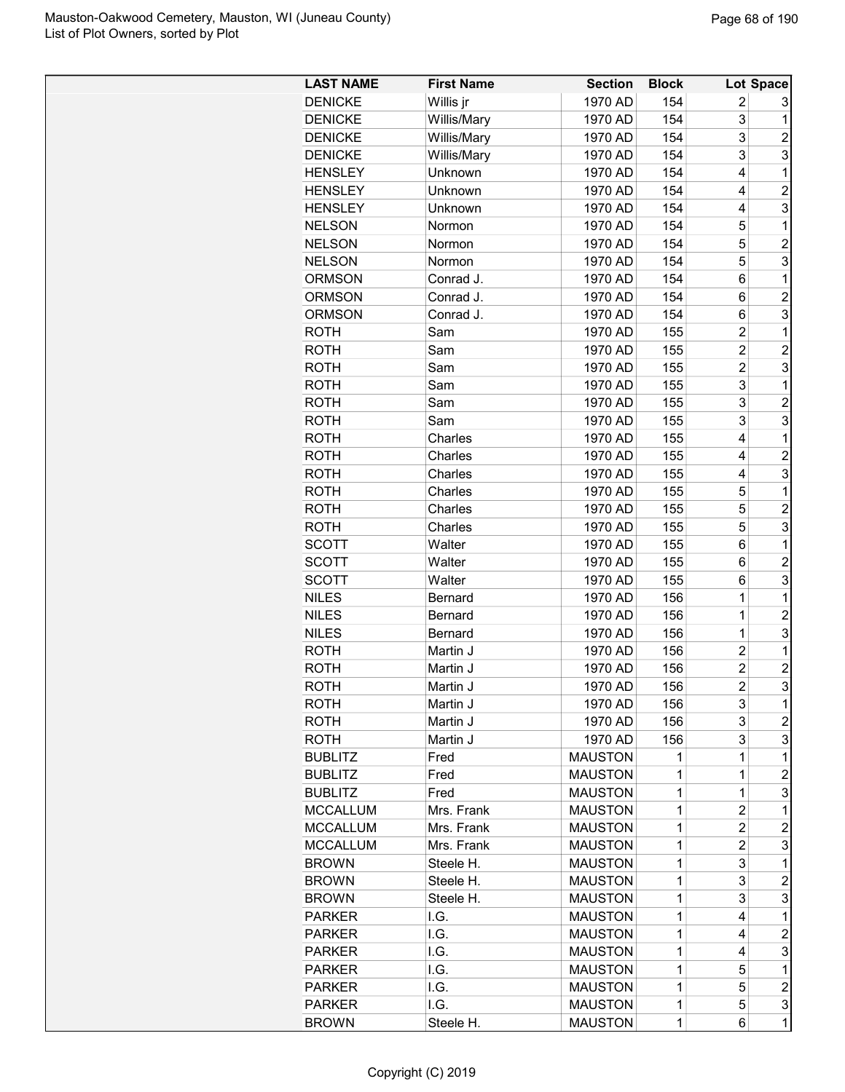| <b>LAST NAME</b> | <b>First Name</b> | <b>Section</b> | <b>Block</b> |                | Lot Space        |
|------------------|-------------------|----------------|--------------|----------------|------------------|
| <b>DENICKE</b>   | Willis jr         | 1970 AD        | 154          | 2              | 3                |
| <b>DENICKE</b>   | Willis/Mary       | 1970 AD        | 154          | 3              | 1                |
| <b>DENICKE</b>   | Willis/Mary       | 1970 AD        | 154          | 3              | $\overline{2}$   |
| <b>DENICKE</b>   | Willis/Mary       | 1970 AD        | 154          | 3              | 3                |
| <b>HENSLEY</b>   | Unknown           | 1970 AD        | 154          | 4              | 1                |
| <b>HENSLEY</b>   | Unknown           | 1970 AD        | 154          | 4              | $\overline{c}$   |
| <b>HENSLEY</b>   | Unknown           | 1970 AD        | 154          | 4              | 3                |
| <b>NELSON</b>    | Normon            | 1970 AD        | 154          | 5              | 1                |
| <b>NELSON</b>    | Normon            | 1970 AD        | 154          | 5              | $\overline{c}$   |
| <b>NELSON</b>    | Normon            | 1970 AD        | 154          | 5              | 3                |
| <b>ORMSON</b>    | Conrad J.         | 1970 AD        | 154          | 6              | 1                |
| <b>ORMSON</b>    | Conrad J.         | 1970 AD        | 154          | 6              | $\overline{c}$   |
| <b>ORMSON</b>    | Conrad J.         | 1970 AD        | 154          | 6              | 3                |
| <b>ROTH</b>      | Sam               | 1970 AD        | 155          | $\overline{c}$ | 1                |
| <b>ROTH</b>      | Sam               | 1970 AD        | 155          | $\overline{c}$ | $\overline{2}$   |
| <b>ROTH</b>      | Sam               | 1970 AD        | 155          | $\overline{c}$ | 3                |
| <b>ROTH</b>      | Sam               | 1970 AD        | 155          | 3              | 1                |
| <b>ROTH</b>      | Sam               | 1970 AD        | 155          | 3              | $\overline{2}$   |
| <b>ROTH</b>      | Sam               | 1970 AD        | 155          | 3              | 3                |
| <b>ROTH</b>      | Charles           | 1970 AD        | 155          | 4              | 1                |
| <b>ROTH</b>      | Charles           | 1970 AD        | 155          | 4              | $\overline{c}$   |
| <b>ROTH</b>      | Charles           | 1970 AD        | 155          | 4              | 3                |
|                  |                   | 1970 AD        | 155          | 5              | 1                |
| <b>ROTH</b>      | Charles           | 1970 AD        |              | 5              | $\overline{c}$   |
| <b>ROTH</b>      | Charles           |                | 155          | 5              | 3                |
| <b>ROTH</b>      | Charles           | 1970 AD        | 155          |                |                  |
| <b>SCOTT</b>     | Walter            | 1970 AD        | 155          | 6              | 1                |
| <b>SCOTT</b>     | Walter            | 1970 AD        | 155          | 6              | $\overline{c}$   |
| <b>SCOTT</b>     | Walter            | 1970 AD        | 155          | 6              | 3                |
| <b>NILES</b>     | <b>Bernard</b>    | 1970 AD        | 156          | 1              | 1                |
| <b>NILES</b>     | <b>Bernard</b>    | 1970 AD        | 156          | 1              | $\overline{2}$   |
| <b>NILES</b>     | <b>Bernard</b>    | 1970 AD        | 156          | $\overline{1}$ | 3                |
| <b>ROTH</b>      | Martin J          | 1970 AD        | 156          | $\overline{c}$ | 1                |
| <b>ROTH</b>      | Martin J          | 1970 AD        | 156          | $\overline{c}$ | $\overline{c}$   |
| <b>ROTH</b>      | Martin J          | 1970 AD        | 156          | $\overline{2}$ | 3                |
| ROTH             | Martin J          | 1970 AD        | 156          | 3              | 1                |
| <b>ROTH</b>      | Martin J          | 1970 AD        | 156          | 3              | $\overline{c}$   |
| <b>ROTH</b>      | Martin J          | 1970 AD        | 156          | 3              | 3                |
| <b>BUBLITZ</b>   | Fred              | <b>MAUSTON</b> | 1            | 1              | 1                |
| <b>BUBLITZ</b>   | Fred              | <b>MAUSTON</b> | 1            | 1              | 2                |
| <b>BUBLITZ</b>   | Fred              | <b>MAUSTON</b> | 1            | 1              | 3                |
| <b>MCCALLUM</b>  | Mrs. Frank        | <b>MAUSTON</b> | 1            | $\overline{c}$ | 1                |
| <b>MCCALLUM</b>  | Mrs. Frank        | <b>MAUSTON</b> | 1            | $\overline{c}$ | $\overline{c}$   |
| <b>MCCALLUM</b>  | Mrs. Frank        | <b>MAUSTON</b> | 1            | $\overline{c}$ | 3                |
| <b>BROWN</b>     | Steele H.         | <b>MAUSTON</b> | 1            | 3              | 1                |
| <b>BROWN</b>     | Steele H.         | <b>MAUSTON</b> | 1            | 3              | $\overline{c}$   |
| <b>BROWN</b>     | Steele H.         | <b>MAUSTON</b> | 1            | 3              | 3                |
| <b>PARKER</b>    | I.G.              | <b>MAUSTON</b> | 1            | 4              | 1                |
| <b>PARKER</b>    | I.G.              | <b>MAUSTON</b> | 1            | 4              | $\overline{c}$   |
| <b>PARKER</b>    | I.G.              | <b>MAUSTON</b> | 1            | 4              | 3                |
| <b>PARKER</b>    | I.G.              | <b>MAUSTON</b> | 1            | 5              | 1                |
| <b>PARKER</b>    | I.G.              | <b>MAUSTON</b> | 1            | 5              | $\boldsymbol{2}$ |
| <b>PARKER</b>    | I.G.              | <b>MAUSTON</b> | 1            | 5              | 3                |
| <b>BROWN</b>     | Steele H.         | <b>MAUSTON</b> | $\mathbf 1$  | 6              | $\mathbf 1$      |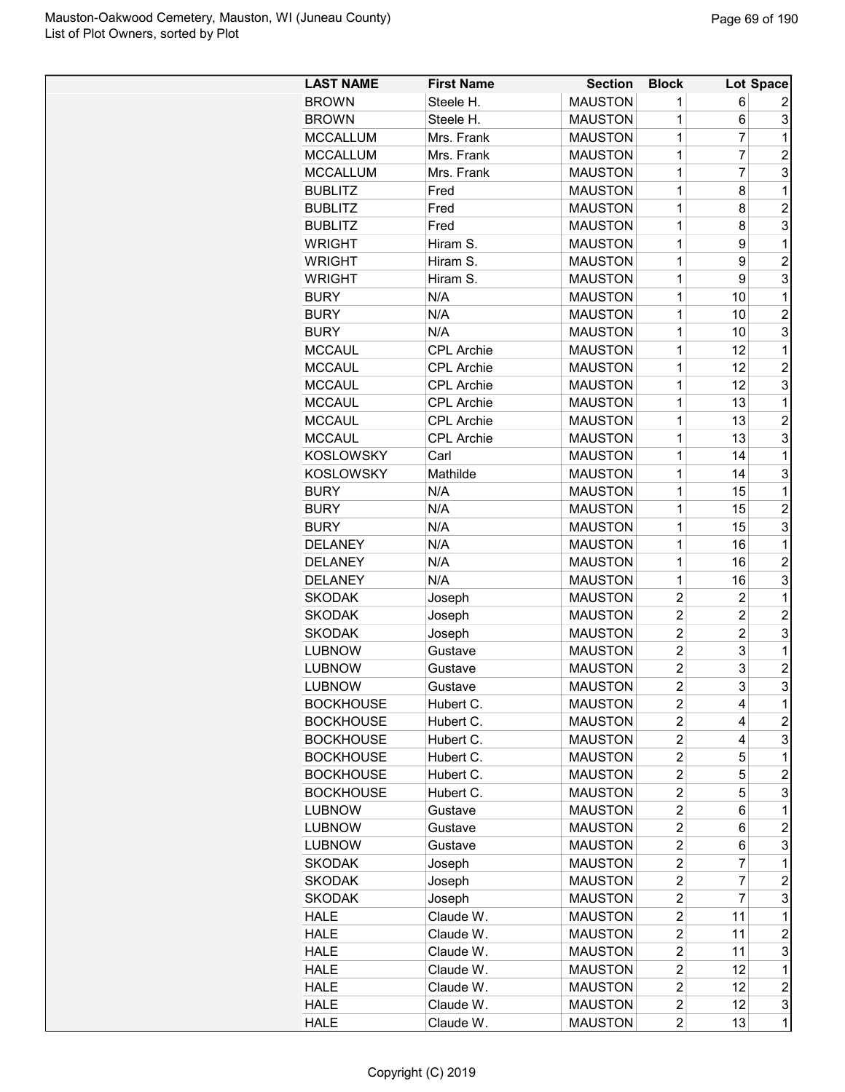| <b>LAST NAME</b> | <b>First Name</b> | <b>Section</b> | <b>Block</b>   |                | Lot Space      |
|------------------|-------------------|----------------|----------------|----------------|----------------|
| <b>BROWN</b>     | Steele H.         | <b>MAUSTON</b> | 1              | 6              | 2              |
| <b>BROWN</b>     | Steele H.         | <b>MAUSTON</b> | 1              | 6              | 3              |
| <b>MCCALLUM</b>  | Mrs. Frank        | <b>MAUSTON</b> | 1              | 7              | 1              |
| <b>MCCALLUM</b>  | Mrs. Frank        | <b>MAUSTON</b> | 1              | 7              | $\overline{2}$ |
| <b>MCCALLUM</b>  | Mrs. Frank        | <b>MAUSTON</b> | 1              | 7              | 3              |
| <b>BUBLITZ</b>   | Fred              | <b>MAUSTON</b> | 1              | 8              | 1              |
| <b>BUBLITZ</b>   | Fred              | <b>MAUSTON</b> | 1              | 8              | $\overline{2}$ |
| <b>BUBLITZ</b>   | Fred              | <b>MAUSTON</b> | 1              | 8              | 3              |
| <b>WRIGHT</b>    | Hiram S.          | <b>MAUSTON</b> | 1              | 9              | 1              |
| <b>WRIGHT</b>    | Hiram S.          | <b>MAUSTON</b> | 1              | 9              | $\overline{2}$ |
| <b>WRIGHT</b>    | Hiram S.          | <b>MAUSTON</b> | 1              | 9              | 3              |
| <b>BURY</b>      | N/A               | <b>MAUSTON</b> | 1              | 10             | 1              |
| <b>BURY</b>      | N/A               | <b>MAUSTON</b> | 1              | 10             | $\overline{2}$ |
| <b>BURY</b>      | N/A               | <b>MAUSTON</b> | 1              | 10             | 3              |
| <b>MCCAUL</b>    | <b>CPL Archie</b> | <b>MAUSTON</b> | 1              | 12             | 1              |
| <b>MCCAUL</b>    | <b>CPL Archie</b> | <b>MAUSTON</b> | 1              | 12             | $\overline{2}$ |
| <b>MCCAUL</b>    | CPL Archie        | <b>MAUSTON</b> | 1              | 12             | 3              |
| <b>MCCAUL</b>    | <b>CPL Archie</b> | <b>MAUSTON</b> | 1              | 13             | 1              |
| <b>MCCAUL</b>    | <b>CPL Archie</b> | <b>MAUSTON</b> | 1              | 13             | $\overline{c}$ |
| <b>MCCAUL</b>    | <b>CPL Archie</b> | <b>MAUSTON</b> | 1              | 13             | 3              |
| <b>KOSLOWSKY</b> | Carl              | <b>MAUSTON</b> | 1              | 14             | 1              |
| <b>KOSLOWSKY</b> | Mathilde          | <b>MAUSTON</b> | 1              | 14             | 3              |
|                  |                   |                |                |                |                |
| <b>BURY</b>      | N/A               | <b>MAUSTON</b> | 1              | 15             | 1              |
| <b>BURY</b>      | N/A               | <b>MAUSTON</b> | 1              | 15             | $\overline{c}$ |
| <b>BURY</b>      | N/A               | <b>MAUSTON</b> | 1              | 15             | 3              |
| <b>DELANEY</b>   | N/A               | <b>MAUSTON</b> | 1              | 16             | 1              |
| <b>DELANEY</b>   | N/A               | <b>MAUSTON</b> | 1              | 16             | $\overline{c}$ |
| <b>DELANEY</b>   | N/A               | <b>MAUSTON</b> | 1              | 16             | 3              |
| SKODAK           | Joseph            | <b>MAUSTON</b> | $\overline{c}$ | 2              | 1              |
| SKODAK           | Joseph            | <b>MAUSTON</b> | $\overline{2}$ | $\overline{2}$ | $\overline{2}$ |
| <b>SKODAK</b>    | Joseph            | <b>MAUSTON</b> | $\overline{2}$ | $\overline{c}$ | 3              |
| <b>LUBNOW</b>    | Gustave           | <b>MAUSTON</b> | $\overline{2}$ | 3              | 1              |
| <b>LUBNOW</b>    | Gustave           | <b>MAUSTON</b> | $\overline{2}$ | 3              | $\overline{2}$ |
| <b>LUBNOW</b>    | Gustave           | <b>MAUSTON</b> | $\overline{2}$ | 3              | 3              |
| <b>BOCKHOUSE</b> | Hubert C.         | <b>MAUSTON</b> | $\overline{c}$ | 4              | 1              |
| <b>BOCKHOUSE</b> | Hubert C.         | <b>MAUSTON</b> | $\overline{c}$ | 4              | $\overline{c}$ |
| <b>BOCKHOUSE</b> | Hubert C.         | <b>MAUSTON</b> | $\overline{c}$ | 4              | 3              |
| <b>BOCKHOUSE</b> | Hubert C.         | <b>MAUSTON</b> | $\overline{c}$ | 5              | 1              |
| <b>BOCKHOUSE</b> | Hubert C.         | <b>MAUSTON</b> | $\overline{2}$ | 5              | 2              |
| <b>BOCKHOUSE</b> | Hubert C.         | <b>MAUSTON</b> | $\overline{c}$ | 5              | 3              |
| LUBNOW           | Gustave           | <b>MAUSTON</b> | $\overline{2}$ | 6              | 1              |
| <b>LUBNOW</b>    | Gustave           | <b>MAUSTON</b> | $\overline{c}$ | 6              | $\overline{c}$ |
| <b>LUBNOW</b>    | Gustave           | <b>MAUSTON</b> | $\overline{2}$ | 6              | 3              |
| <b>SKODAK</b>    | Joseph            | <b>MAUSTON</b> | $\overline{c}$ | 7              | 1              |
| SKODAK           | Joseph            | <b>MAUSTON</b> | $\overline{c}$ | 7              | $\overline{c}$ |
| SKODAK           | Joseph            | <b>MAUSTON</b> | $\overline{c}$ | 7              | 3              |
| <b>HALE</b>      | Claude W.         | <b>MAUSTON</b> | $\overline{c}$ | 11             | 1              |
| <b>HALE</b>      | Claude W.         | <b>MAUSTON</b> | $\overline{2}$ | 11             | $\overline{c}$ |
| <b>HALE</b>      | Claude W.         | <b>MAUSTON</b> | $\overline{c}$ | 11             | 3              |
| <b>HALE</b>      | Claude W.         | <b>MAUSTON</b> | $\overline{c}$ | 12             | 1              |
| <b>HALE</b>      | Claude W.         | <b>MAUSTON</b> | $\overline{c}$ | 12             | $\overline{c}$ |
| <b>HALE</b>      | Claude W.         | <b>MAUSTON</b> | $\overline{c}$ | 12             | 3              |
| <b>HALE</b>      | Claude W.         | <b>MAUSTON</b> | $\overline{c}$ | 13             | 1              |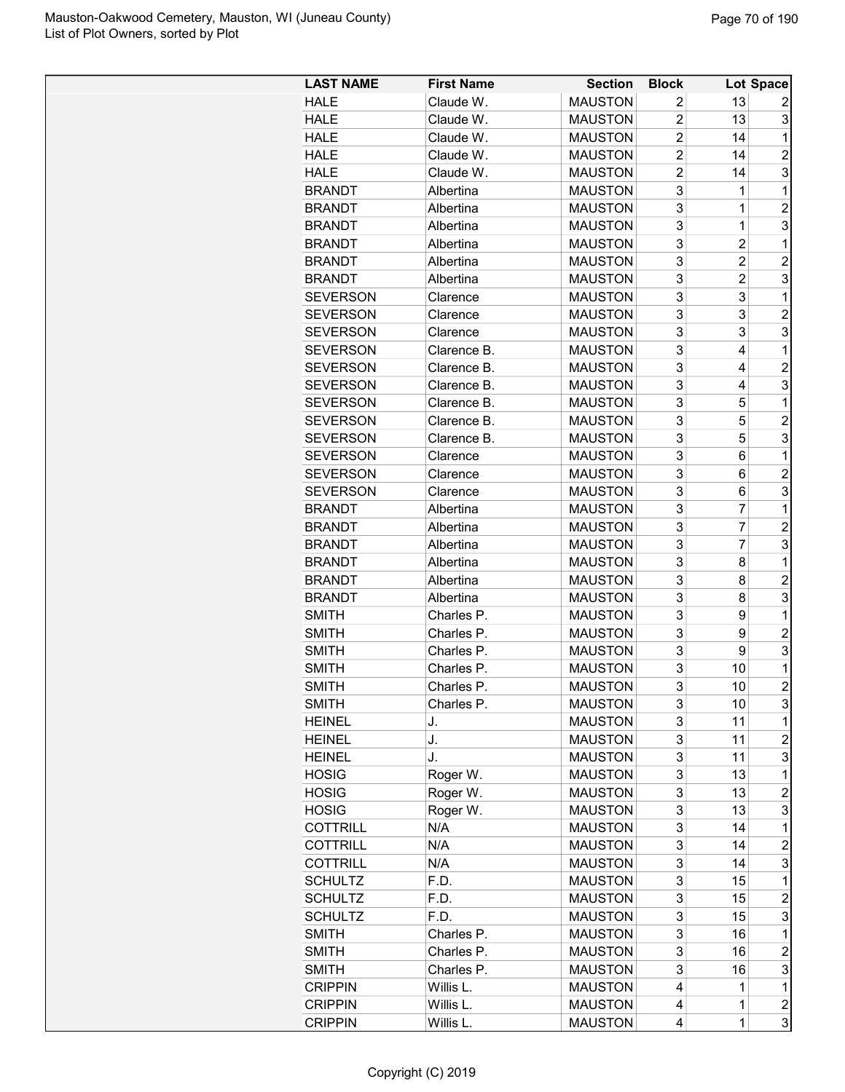| <b>LAST NAME</b> | <b>First Name</b> | <b>Section</b> | <b>Block</b>   |                | Lot Space      |
|------------------|-------------------|----------------|----------------|----------------|----------------|
| <b>HALE</b>      | Claude W.         | <b>MAUSTON</b> | 2              | 13             |                |
| <b>HALE</b>      | Claude W.         | <b>MAUSTON</b> | $\overline{2}$ | 13             | 3              |
| <b>HALE</b>      | Claude W.         | <b>MAUSTON</b> | $\overline{2}$ | 14             | $\mathbf 1$    |
| <b>HALE</b>      | Claude W.         | <b>MAUSTON</b> | $\overline{2}$ | 14             | $\overline{2}$ |
| <b>HALE</b>      | Claude W.         | <b>MAUSTON</b> | $\overline{2}$ | 14             | 3              |
| <b>BRANDT</b>    | Albertina         | <b>MAUSTON</b> | 3              | 1              | 1              |
| <b>BRANDT</b>    | Albertina         | <b>MAUSTON</b> | 3              | 1              | $\overline{2}$ |
| <b>BRANDT</b>    | Albertina         | <b>MAUSTON</b> | 3              | $\mathbf{1}$   | 3              |
| <b>BRANDT</b>    | Albertina         | <b>MAUSTON</b> | 3              | $\overline{c}$ | 1              |
| <b>BRANDT</b>    | Albertina         | <b>MAUSTON</b> | 3              | $\overline{c}$ | $\overline{2}$ |
| <b>BRANDT</b>    | Albertina         | <b>MAUSTON</b> | 3              | $\overline{c}$ | 3              |
| <b>SEVERSON</b>  | Clarence          | <b>MAUSTON</b> | 3              | 3              | $\mathbf{1}$   |
|                  |                   | <b>MAUSTON</b> | 3              | 3              | $\overline{2}$ |
| <b>SEVERSON</b>  | Clarence          |                | 3              |                |                |
| <b>SEVERSON</b>  | Clarence          | <b>MAUSTON</b> |                | 3              | 3              |
| <b>SEVERSON</b>  | Clarence B.       | <b>MAUSTON</b> | 3              | 4              | 1              |
| <b>SEVERSON</b>  | Clarence B.       | <b>MAUSTON</b> | 3              | 4              | $\overline{c}$ |
| <b>SEVERSON</b>  | Clarence B.       | <b>MAUSTON</b> | 3              | 4              | 3              |
| <b>SEVERSON</b>  | Clarence B.       | <b>MAUSTON</b> | 3              | 5              | $\mathbf{1}$   |
| <b>SEVERSON</b>  | Clarence B.       | <b>MAUSTON</b> | 3              | 5              | $\overline{c}$ |
| <b>SEVERSON</b>  | Clarence B.       | <b>MAUSTON</b> | 3              | 5              | 3              |
| <b>SEVERSON</b>  | Clarence          | <b>MAUSTON</b> | 3              | 6              | $\mathbf{1}$   |
| <b>SEVERSON</b>  | Clarence          | <b>MAUSTON</b> | 3              | 6              | $\overline{c}$ |
| <b>SEVERSON</b>  | Clarence          | <b>MAUSTON</b> | 3              | 6              | 3              |
| <b>BRANDT</b>    | Albertina         | <b>MAUSTON</b> | 3              | $\overline{7}$ | $\mathbf{1}$   |
| <b>BRANDT</b>    | Albertina         | <b>MAUSTON</b> | 3              | $\overline{7}$ | $\overline{c}$ |
| <b>BRANDT</b>    | Albertina         | <b>MAUSTON</b> | 3              | $\overline{7}$ | 3              |
| <b>BRANDT</b>    | Albertina         | <b>MAUSTON</b> | 3              | 8              | 1              |
| <b>BRANDT</b>    | Albertina         | <b>MAUSTON</b> | 3              | 8              | $\overline{c}$ |
| <b>BRANDT</b>    | Albertina         | <b>MAUSTON</b> | 3              | 8              | 3              |
| <b>SMITH</b>     | Charles P.        | <b>MAUSTON</b> | 3              | 9              | 1              |
| <b>SMITH</b>     | Charles P.        | <b>MAUSTON</b> | 3              | 9              | $\overline{c}$ |
| <b>SMITH</b>     | Charles P.        | <b>MAUSTON</b> | 3              | 9              | 3              |
| <b>SMITH</b>     | Charles P.        | <b>MAUSTON</b> | 3              | 10             | $\mathbf 1$    |
| <b>SMITH</b>     | Charles P.        | <b>MAUSTON</b> | 3              | 10             | $\mathfrak{p}$ |
| <b>SMITH</b>     | Charles P.        | <b>MAUSTON</b> | 3              | 10             | 3              |
| <b>HEINEL</b>    | J.                | <b>MAUSTON</b> | 3              | 11             | 1              |
| <b>HEINEL</b>    | J.                | <b>MAUSTON</b> | 3              | 11             | $\overline{c}$ |
| <b>HEINEL</b>    | J.                | <b>MAUSTON</b> | 3              | 11             | 3              |
| <b>HOSIG</b>     | Roger W.          | <b>MAUSTON</b> | 3              | 13             | 1              |
| <b>HOSIG</b>     | Roger W.          | <b>MAUSTON</b> | 3              | 13             | $\overline{c}$ |
| <b>HOSIG</b>     | Roger W.          | <b>MAUSTON</b> | 3              | 13             | 3              |
| <b>COTTRILL</b>  | N/A               | <b>MAUSTON</b> | 3              | 14             | $\mathbf 1$    |
| <b>COTTRILL</b>  | N/A               | <b>MAUSTON</b> | 3              | 14             | $\overline{c}$ |
| <b>COTTRILL</b>  | N/A               | <b>MAUSTON</b> | 3              | 14             | 3              |
| <b>SCHULTZ</b>   | F.D.              | <b>MAUSTON</b> | 3              | 15             | 1              |
| <b>SCHULTZ</b>   | F.D.              | <b>MAUSTON</b> | 3              | 15             | 2              |
| <b>SCHULTZ</b>   | F.D.              | <b>MAUSTON</b> | 3              | 15             | 3              |
| <b>SMITH</b>     | Charles P.        | <b>MAUSTON</b> | 3              | 16             | 1              |
| <b>SMITH</b>     | Charles P.        | <b>MAUSTON</b> | 3              | 16             | $\overline{c}$ |
| <b>SMITH</b>     | Charles P.        | <b>MAUSTON</b> | 3              | 16             | 3              |
|                  |                   | <b>MAUSTON</b> | 4              | 1              | $\mathbf 1$    |
| <b>CRIPPIN</b>   | Willis L.         |                |                |                |                |
| <b>CRIPPIN</b>   | Willis L.         | <b>MAUSTON</b> | 4              | $\mathbf 1$    | $\overline{c}$ |
| <b>CRIPPIN</b>   | Willis L.         | <b>MAUSTON</b> | 4              | $\mathbf{1}$   | 3              |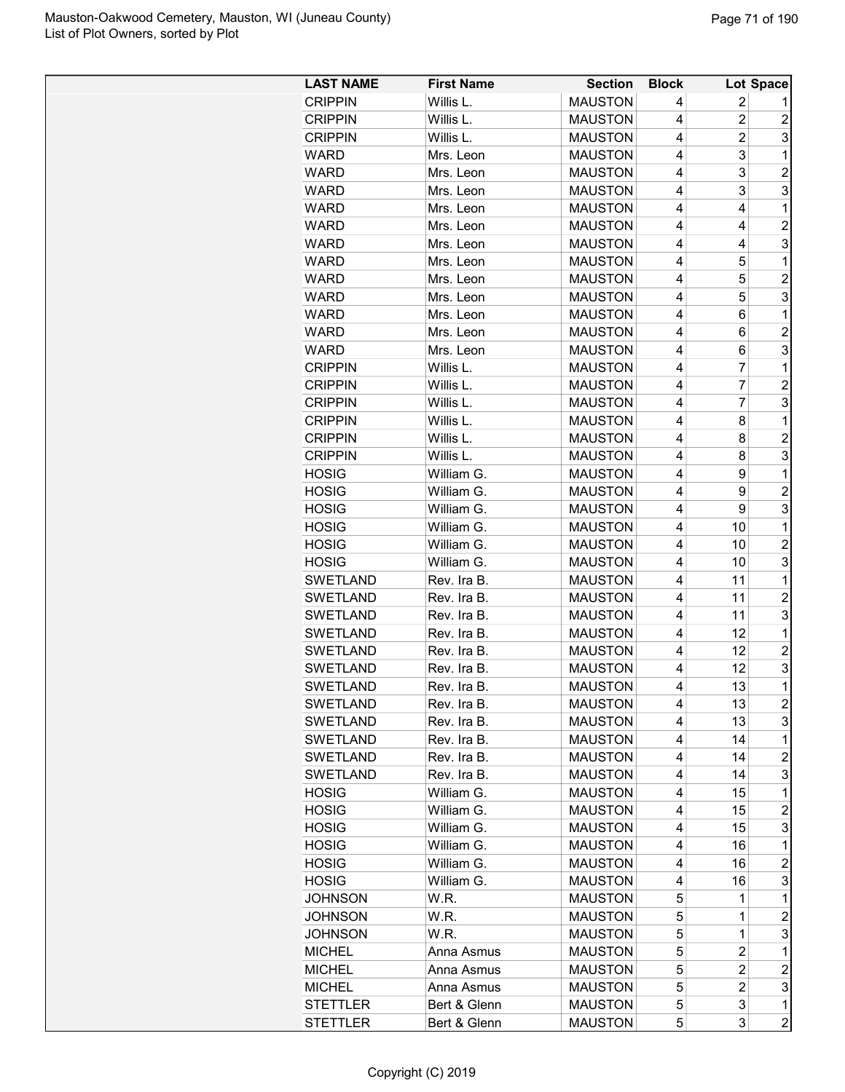| <b>LAST NAME</b> | <b>First Name</b> | <b>Section</b> | <b>Block</b>   |                | Lot Space        |
|------------------|-------------------|----------------|----------------|----------------|------------------|
| <b>CRIPPIN</b>   | Willis L.         | <b>MAUSTON</b> | 4              | 2              |                  |
| <b>CRIPPIN</b>   | Willis L.         | <b>MAUSTON</b> | 4              | $\overline{c}$ | $\overline{c}$   |
| <b>CRIPPIN</b>   | Willis L.         | <b>MAUSTON</b> | 4              | 2              | 3                |
| <b>WARD</b>      | Mrs. Leon         | <b>MAUSTON</b> | 4              | 3              | 1                |
| <b>WARD</b>      | Mrs. Leon         | <b>MAUSTON</b> | 4              | 3              | $\overline{2}$   |
| <b>WARD</b>      | Mrs. Leon         | <b>MAUSTON</b> | 4              | 3              | 3                |
| <b>WARD</b>      | Mrs. Leon         | <b>MAUSTON</b> | $\overline{4}$ | 4              | 1                |
| <b>WARD</b>      | Mrs. Leon         | <b>MAUSTON</b> | 4              | 4              | $\overline{c}$   |
| <b>WARD</b>      | Mrs. Leon         | <b>MAUSTON</b> | 4              | 4              | 3                |
| <b>WARD</b>      | Mrs. Leon         | <b>MAUSTON</b> | 4              | 5              | 1                |
| <b>WARD</b>      | Mrs. Leon         | <b>MAUSTON</b> | 4              | 5              | $\overline{c}$   |
| <b>WARD</b>      | Mrs. Leon         | <b>MAUSTON</b> | 4              | 5              | 3                |
| <b>WARD</b>      | Mrs. Leon         | <b>MAUSTON</b> | 4              | 6              | 1                |
| <b>WARD</b>      | Mrs. Leon         | <b>MAUSTON</b> | $\overline{4}$ | 6              | $\overline{2}$   |
| <b>WARD</b>      | Mrs. Leon         | <b>MAUSTON</b> | 4              | 6              | 3                |
| <b>CRIPPIN</b>   | Willis L.         | <b>MAUSTON</b> | 4              | 7              | 1                |
| <b>CRIPPIN</b>   | Willis L.         | <b>MAUSTON</b> | 4              | $\overline{7}$ | $\overline{c}$   |
| <b>CRIPPIN</b>   | Willis L.         | <b>MAUSTON</b> | $\overline{4}$ | 7              | 3                |
| <b>CRIPPIN</b>   | Willis L.         | <b>MAUSTON</b> | 4              | 8              | 1                |
| <b>CRIPPIN</b>   | Willis L.         | <b>MAUSTON</b> | 4              | 8              | $\overline{c}$   |
| <b>CRIPPIN</b>   | Willis L.         | <b>MAUSTON</b> | 4              | 8              | 3                |
| <b>HOSIG</b>     | William G.        | <b>MAUSTON</b> | 4              | 9              | 1                |
| <b>HOSIG</b>     | William G.        | <b>MAUSTON</b> | 4              | 9              | $\overline{2}$   |
| HOSIG            | William G.        | <b>MAUSTON</b> | $\overline{4}$ | 9              | 3                |
| HOSIG            | William G.        | <b>MAUSTON</b> | 4              | 10             | 1                |
| HOSIG            | William G.        | <b>MAUSTON</b> | 4              | 10             | $\overline{2}$   |
| HOSIG            | William G.        | <b>MAUSTON</b> | 4              | 10             | 3                |
| SWETLAND         | Rev. Ira B.       | <b>MAUSTON</b> | $\overline{4}$ | 11             | 1                |
| SWETLAND         | Rev. Ira B.       | <b>MAUSTON</b> | 4              | 11             | $\overline{c}$   |
| SWETLAND         | Rev. Ira B.       | <b>MAUSTON</b> | 4              | 11             | 3                |
| <b>SWETLAND</b>  | Rev. Ira B.       | <b>MAUSTON</b> | 4              | 12             | 1                |
| <b>SWETLAND</b>  | Rev. Ira B.       | <b>MAUSTON</b> | 4              | 12             | $\overline{2}$   |
| <b>SWETLAND</b>  | Rev. Ira B.       | <b>MAUSTON</b> | 4              | 12             | 3                |
| <b>SWETLAND</b>  | Rev. Ira B        | <b>MAUSTON</b> | 4              | 13             | $\overline{1}$   |
| <b>SWETLAND</b>  | Rev. Ira B.       | <b>MAUSTON</b> | 4              | 13             | $\overline{c}$   |
| <b>SWETLAND</b>  | Rev. Ira B.       | <b>MAUSTON</b> | 4              | 13             | 3                |
| <b>SWETLAND</b>  | Rev. Ira B.       | <b>MAUSTON</b> | 4              | 14             | 1                |
| SWETLAND         | Rev. Ira B.       | <b>MAUSTON</b> | 4              | 14             | $\overline{c}$   |
| SWETLAND         | Rev. Ira B.       | <b>MAUSTON</b> | 4              | 14             | 3                |
| <b>HOSIG</b>     | William G.        | <b>MAUSTON</b> | 4              | 15             | 1                |
| <b>HOSIG</b>     | William G.        | <b>MAUSTON</b> | 4              | 15             | $\overline{c}$   |
| HOSIG            | William G.        | <b>MAUSTON</b> | 4              | 15             | 3                |
| <b>HOSIG</b>     | William G.        | <b>MAUSTON</b> | 4              | 16             | 1                |
| <b>HOSIG</b>     | William G.        | <b>MAUSTON</b> | 4              | 16             | $\overline{c}$   |
| <b>HOSIG</b>     | William G.        | <b>MAUSTON</b> | 4              | 16             | 3                |
| JOHNSON          | W.R.              | <b>MAUSTON</b> | 5              | 1              | 1                |
| <b>JOHNSON</b>   | W.R.              | <b>MAUSTON</b> | 5              | 1              | $\boldsymbol{2}$ |
| <b>JOHNSON</b>   | W.R.              | <b>MAUSTON</b> | 5              | 1              | 3                |
| <b>MICHEL</b>    | Anna Asmus        | <b>MAUSTON</b> | 5              | 2              | 1                |
| <b>MICHEL</b>    | Anna Asmus        | <b>MAUSTON</b> | 5              | 2              | $\overline{2}$   |
| <b>MICHEL</b>    | Anna Asmus        | <b>MAUSTON</b> | 5              | $\overline{c}$ | 3                |
| STETTLER         | Bert & Glenn      | <b>MAUSTON</b> | 5              | 3              | 1                |
| <b>STETTLER</b>  | Bert & Glenn      | <b>MAUSTON</b> | 5              | 3              | $\overline{c}$   |
|                  |                   |                |                |                |                  |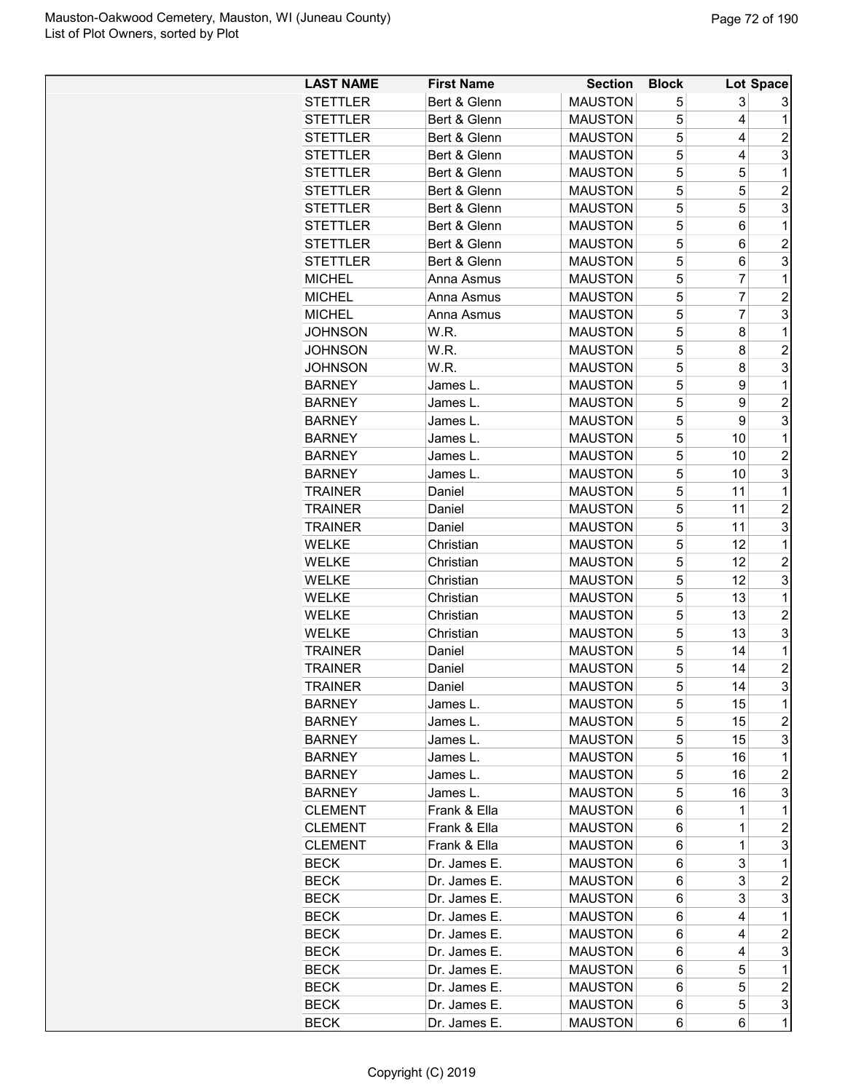| <b>LAST NAME</b> | <b>First Name</b> | <b>Section</b> | <b>Block</b> |                | Lot Space               |
|------------------|-------------------|----------------|--------------|----------------|-------------------------|
| <b>STETTLER</b>  | Bert & Glenn      | <b>MAUSTON</b> | 5            | 3              | 3                       |
| <b>STETTLER</b>  | Bert & Glenn      | <b>MAUSTON</b> | 5            | 4              | 1                       |
| <b>STETTLER</b>  | Bert & Glenn      | <b>MAUSTON</b> | 5            | 4              | $\overline{c}$          |
| <b>STETTLER</b>  | Bert & Glenn      | <b>MAUSTON</b> | 5            | 4              | 3                       |
| <b>STETTLER</b>  | Bert & Glenn      | <b>MAUSTON</b> | 5            | 5              | 1                       |
| <b>STETTLER</b>  | Bert & Glenn      | <b>MAUSTON</b> | 5            | 5              | $\overline{c}$          |
| <b>STETTLER</b>  | Bert & Glenn      | <b>MAUSTON</b> | 5            | 5              | 3                       |
| <b>STETTLER</b>  | Bert & Glenn      | <b>MAUSTON</b> | 5            | 6              | $\mathbf 1$             |
| <b>STETTLER</b>  | Bert & Glenn      | <b>MAUSTON</b> | 5            | 6              | $\overline{2}$          |
| <b>STETTLER</b>  | Bert & Glenn      | <b>MAUSTON</b> | 5            | 6              | 3                       |
| <b>MICHEL</b>    | Anna Asmus        | <b>MAUSTON</b> | 5            | $\overline{7}$ | 1                       |
| <b>MICHEL</b>    | Anna Asmus        | <b>MAUSTON</b> | 5            | $\overline{7}$ | $\overline{c}$          |
| <b>MICHEL</b>    | Anna Asmus        | <b>MAUSTON</b> | 5            | $\overline{7}$ | 3                       |
| <b>JOHNSON</b>   | W.R.              | <b>MAUSTON</b> | 5            | 8              | 1                       |
| <b>JOHNSON</b>   | W.R.              | <b>MAUSTON</b> | 5            | 8              | $\overline{c}$          |
| <b>JOHNSON</b>   | W.R.              | <b>MAUSTON</b> | 5            | 8              | 3                       |
| <b>BARNEY</b>    | James L.          | <b>MAUSTON</b> | 5            | 9              | 1                       |
| <b>BARNEY</b>    | James L.          | <b>MAUSTON</b> | 5            | 9              | $\overline{c}$          |
| <b>BARNEY</b>    | James L.          | <b>MAUSTON</b> | 5            | 9              | 3                       |
| <b>BARNEY</b>    | James L.          | <b>MAUSTON</b> | 5            | 10             | $\mathbf{1}$            |
| <b>BARNEY</b>    | James L.          | <b>MAUSTON</b> | 5            | 10             | $\overline{c}$          |
| <b>BARNEY</b>    | James L.          | <b>MAUSTON</b> | 5            | 10             | 3                       |
| <b>TRAINER</b>   | Daniel            | <b>MAUSTON</b> | 5            | 11             | 1                       |
| <b>TRAINER</b>   | Daniel            | <b>MAUSTON</b> | 5            | 11             | $\overline{c}$          |
| <b>TRAINER</b>   | Daniel            | <b>MAUSTON</b> | 5            | 11             | 3                       |
| <b>WELKE</b>     | Christian         | <b>MAUSTON</b> | 5            | 12             | $\mathbf 1$             |
| <b>WELKE</b>     | Christian         | <b>MAUSTON</b> | 5            | 12             | $\overline{c}$          |
| <b>WELKE</b>     | Christian         | <b>MAUSTON</b> | 5            | 12             | 3                       |
| <b>WELKE</b>     | Christian         | <b>MAUSTON</b> | 5            | 13             | 1                       |
| <b>WELKE</b>     | Christian         | <b>MAUSTON</b> | 5            | 13             | $\overline{c}$          |
| <b>WELKE</b>     | Christian         | <b>MAUSTON</b> | 5            | 13             | 3                       |
| <b>TRAINER</b>   | Daniel            | <b>MAUSTON</b> | 5            | 14             | 1                       |
| <b>TRAINER</b>   | Daniel            | <b>MAUSTON</b> | 5            | 14             | 2                       |
| <b>TRAINER</b>   | Daniel            | <b>MAUSTON</b> | 5            | 14             | 3                       |
| <b>BARNEY</b>    | James L.          | <b>MAUSTON</b> | 5            | 15             | 1                       |
| <b>BARNEY</b>    | James L.          | <b>MAUSTON</b> | 5            | 15             | $\overline{\mathbf{c}}$ |
| <b>BARNEY</b>    | James L.          | <b>MAUSTON</b> | 5            | 15             | 3                       |
| <b>BARNEY</b>    | James L.          | <b>MAUSTON</b> | 5            | 16             | 1                       |
| <b>BARNEY</b>    | James L.          | <b>MAUSTON</b> | 5            | 16             | 2                       |
| <b>BARNEY</b>    | James L.          | <b>MAUSTON</b> | 5            | 16             | 3                       |
| <b>CLEMENT</b>   | Frank & Ella      | <b>MAUSTON</b> | 6            | 1              | 1                       |
| <b>CLEMENT</b>   | Frank & Ella      | <b>MAUSTON</b> | 6            | 1              | $\overline{c}$          |
| <b>CLEMENT</b>   | Frank & Ella      | <b>MAUSTON</b> | 6            | 1              | 3                       |
| <b>BECK</b>      | Dr. James E.      | <b>MAUSTON</b> | 6            | 3              | 1                       |
| <b>BECK</b>      | Dr. James E.      | <b>MAUSTON</b> | 6            | 3              | $\overline{c}$          |
| <b>BECK</b>      | Dr. James E.      | <b>MAUSTON</b> | 6            | 3              | 3                       |
| <b>BECK</b>      | Dr. James E.      | MAUSTON        | 6            | 4              | 1                       |
| <b>BECK</b>      | Dr. James E.      | <b>MAUSTON</b> | 6            | 4              | 2                       |
| <b>BECK</b>      | Dr. James E.      | <b>MAUSTON</b> | 6            | 4              | 3                       |
| <b>BECK</b>      | Dr. James E.      | <b>MAUSTON</b> | 6            | 5              | 1                       |
| <b>BECK</b>      | Dr. James E.      | <b>MAUSTON</b> | 6            | 5              | $\overline{2}$          |
| <b>BECK</b>      | Dr. James E.      | <b>MAUSTON</b> | 6            | 5              | 3                       |
| <b>BECK</b>      | Dr. James E.      | <b>MAUSTON</b> | 6            | 6              | 1                       |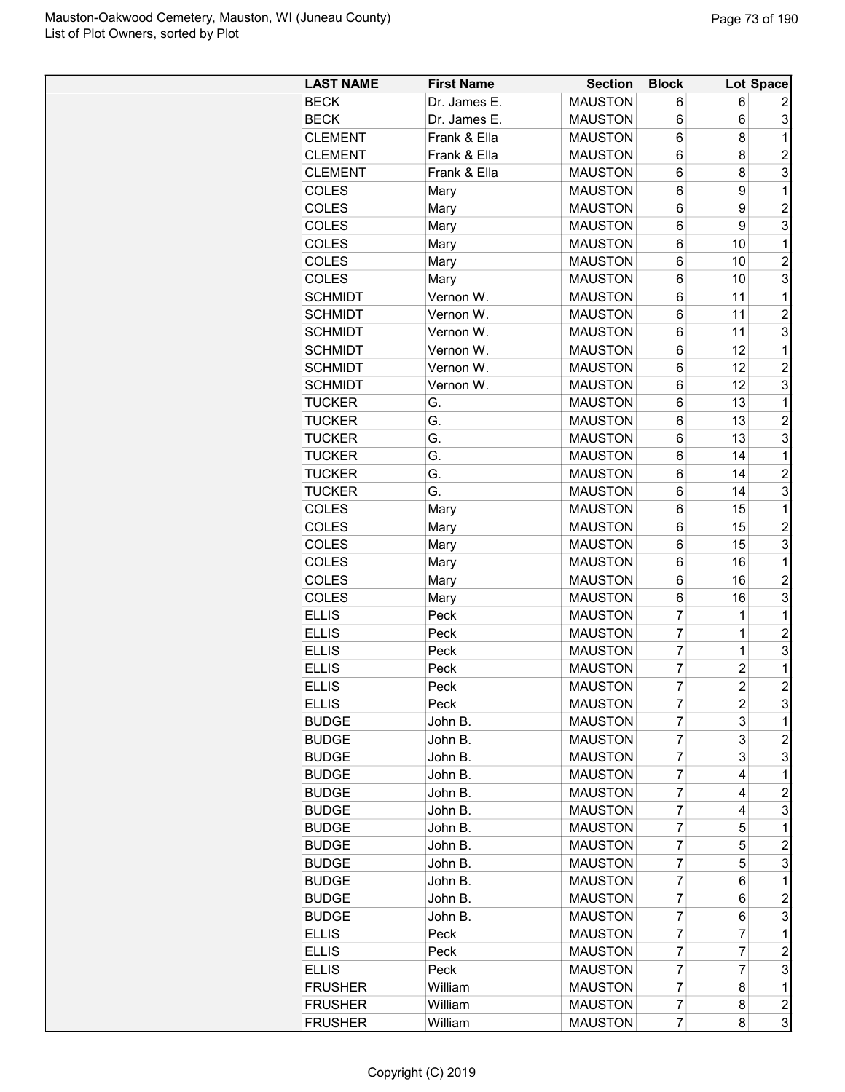| <b>LAST NAME</b> | <b>First Name</b> | <b>Section</b> | <b>Block</b>   |                | Lot Space               |
|------------------|-------------------|----------------|----------------|----------------|-------------------------|
| <b>BECK</b>      | Dr. James E.      | <b>MAUSTON</b> | 6              | 6              | 2                       |
| <b>BECK</b>      | Dr. James E.      | <b>MAUSTON</b> | 6              | 6              | 3                       |
| <b>CLEMENT</b>   | Frank & Ella      | <b>MAUSTON</b> | 6              | 8              | $\mathbf{1}$            |
| <b>CLEMENT</b>   | Frank & Ella      | <b>MAUSTON</b> | 6              | 8              | $\overline{c}$          |
| <b>CLEMENT</b>   | Frank & Ella      | <b>MAUSTON</b> | 6              | 8              | 3                       |
| <b>COLES</b>     | Mary              | <b>MAUSTON</b> | 6              | 9              | $\mathbf{1}$            |
| <b>COLES</b>     | Mary              | <b>MAUSTON</b> | 6              | 9              | $\overline{c}$          |
| COLES            | Mary              | <b>MAUSTON</b> | 6              | 9              | 3                       |
| <b>COLES</b>     | Mary              | <b>MAUSTON</b> | 6              | 10             | 1                       |
| COLES            | Mary              | <b>MAUSTON</b> | 6              | 10             | $\overline{c}$          |
| COLES            | Mary              | <b>MAUSTON</b> | 6              | 10             | 3                       |
| <b>SCHMIDT</b>   | Vernon W.         | <b>MAUSTON</b> | 6              | 11             | $\mathbf{1}$            |
| <b>SCHMIDT</b>   | Vernon W.         | <b>MAUSTON</b> | 6              | 11             | $\overline{c}$          |
| <b>SCHMIDT</b>   | Vernon W.         | <b>MAUSTON</b> | 6              | 11             | 3                       |
| <b>SCHMIDT</b>   | Vernon W.         | <b>MAUSTON</b> | 6              | 12             | $\mathbf{1}$            |
| <b>SCHMIDT</b>   | Vernon W.         | <b>MAUSTON</b> | 6              | 12             | $\overline{2}$          |
| <b>SCHMIDT</b>   | Vernon W.         | <b>MAUSTON</b> | 6              | 12             | 3                       |
| <b>TUCKER</b>    | G.                | <b>MAUSTON</b> | 6              | 13             | $\mathbf{1}$            |
| <b>TUCKER</b>    | G.                | <b>MAUSTON</b> | 6              | 13             | 2                       |
| <b>TUCKER</b>    | G.                | <b>MAUSTON</b> | 6              | 13             | 3                       |
| <b>TUCKER</b>    | G.                | <b>MAUSTON</b> | 6              | 14             | $\mathbf{1}$            |
| <b>TUCKER</b>    | G.                | <b>MAUSTON</b> | 6              | 14             | $\overline{\mathbf{c}}$ |
| <b>TUCKER</b>    | G.                | <b>MAUSTON</b> | 6              | 14             | 3                       |
| COLES            | Mary              | <b>MAUSTON</b> | 6              | 15             | $\mathbf{1}$            |
| COLES            | Mary              | <b>MAUSTON</b> | 6              | 15             | $\overline{2}$          |
| <b>COLES</b>     |                   | <b>MAUSTON</b> | 6              | 15             | 3                       |
| <b>COLES</b>     | Mary              | <b>MAUSTON</b> | 6              | 16             | $\mathbf{1}$            |
|                  | Mary              |                |                |                |                         |
| <b>COLES</b>     | Mary              | <b>MAUSTON</b> | 6              | 16             | $\overline{c}$<br>3     |
| COLES            | Mary              | <b>MAUSTON</b> | 6              | 16             |                         |
| <b>ELLIS</b>     | Peck              | <b>MAUSTON</b> | $\overline{7}$ | 1              | $\mathbf{1}$            |
| <b>ELLIS</b>     | Peck              | <b>MAUSTON</b> | 7              | 1              | $\overline{c}$          |
| <b>ELLIS</b>     | Peck              | <b>MAUSTON</b> | $\overline{7}$ | 1              | 3                       |
| <b>ELLIS</b>     | Peck              | <b>MAUSTON</b> | $\overline{7}$ | $\overline{c}$ | $\mathbf{1}$            |
| <b>ELLIS</b>     | Peck              | <b>MAUSTON</b> | $\overline{7}$ | $\overline{2}$ | $\overline{2}$          |
| <b>ELLIS</b>     | Peck              | <b>MAUSTON</b> | 7              | 2              | 3                       |
| <b>BUDGE</b>     | John B.           | <b>MAUSTON</b> | 7              | 3              | 1                       |
| <b>BUDGE</b>     | John B.           | <b>MAUSTON</b> | 7              | 3              | 2                       |
| <b>BUDGE</b>     | John B.           | <b>MAUSTON</b> | 7              | 3              | 3                       |
| <b>BUDGE</b>     | John B.           | <b>MAUSTON</b> | 7              | 4              | $\mathbf 1$             |
| <b>BUDGE</b>     | John B.           | <b>MAUSTON</b> | 7              | 4              | 2                       |
| <b>BUDGE</b>     | John B.           | <b>MAUSTON</b> | 7              | 4              | 3                       |
| <b>BUDGE</b>     | John B.           | <b>MAUSTON</b> | 7              | 5              | 1                       |
| <b>BUDGE</b>     | John B.           | <b>MAUSTON</b> | 7              | 5              | 2                       |
| <b>BUDGE</b>     | John B.           | <b>MAUSTON</b> | 7              | 5              | 3                       |
| <b>BUDGE</b>     | John B.           | <b>MAUSTON</b> | 7              | 6              | 1                       |
| <b>BUDGE</b>     | John B.           | <b>MAUSTON</b> | 7              | 6              | 2                       |
| <b>BUDGE</b>     | John B.           | <b>MAUSTON</b> | 7              | 6              | 3                       |
| <b>ELLIS</b>     | Peck              | <b>MAUSTON</b> | 7              | 7              | $\mathbf 1$             |
| <b>ELLIS</b>     | Peck              | <b>MAUSTON</b> | 7              | 7              | 2                       |
| <b>ELLIS</b>     | Peck              | <b>MAUSTON</b> | 7              | 7              | 3                       |
| <b>FRUSHER</b>   | William           | <b>MAUSTON</b> | 7              | 8              | 1                       |
| <b>FRUSHER</b>   | William           | <b>MAUSTON</b> | 7              | 8              | $\overline{\mathbf{c}}$ |
| <b>FRUSHER</b>   | William           | <b>MAUSTON</b> | 7              | 8              | $\overline{3}$          |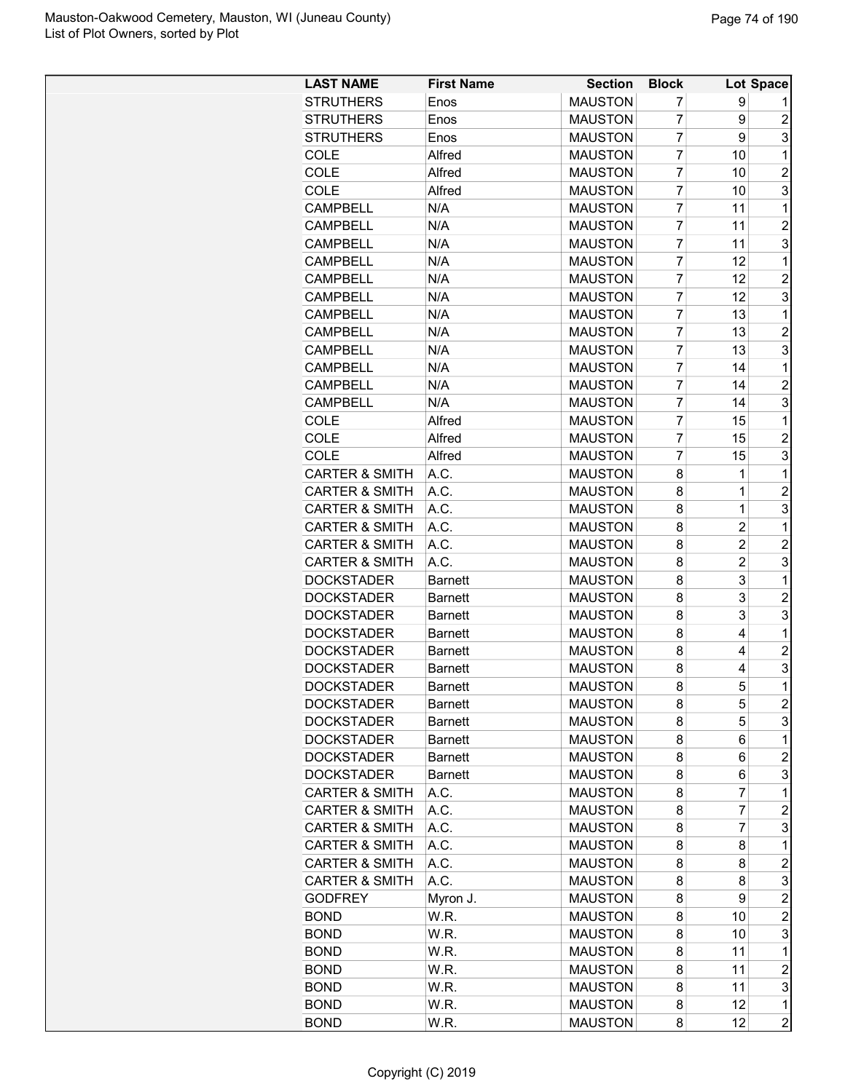| <b>LAST NAME</b>          | <b>First Name</b> | <b>Section</b> | <b>Block</b>   |                | Lot Space               |
|---------------------------|-------------------|----------------|----------------|----------------|-------------------------|
| <b>STRUTHERS</b>          | Enos              | <b>MAUSTON</b> | 7              | 9              |                         |
| <b>STRUTHERS</b>          | Enos              | <b>MAUSTON</b> | 7              | 9              | $\overline{c}$          |
| <b>STRUTHERS</b>          | Enos              | <b>MAUSTON</b> | $\overline{7}$ | 9              | 3                       |
| <b>COLE</b>               | Alfred            | <b>MAUSTON</b> | $\overline{7}$ | 10             | 1                       |
| COLE                      | Alfred            | <b>MAUSTON</b> | $\overline{7}$ | 10             | $\overline{2}$          |
| COLE                      | Alfred            | <b>MAUSTON</b> | 7              | 10             | 3                       |
| <b>CAMPBELL</b>           | N/A               | <b>MAUSTON</b> | $\overline{7}$ | 11             | 1                       |
| <b>CAMPBELL</b>           | N/A               | <b>MAUSTON</b> | $\overline{7}$ | 11             | $\overline{2}$          |
| <b>CAMPBELL</b>           | N/A               | <b>MAUSTON</b> | $\overline{7}$ | 11             | 3                       |
| <b>CAMPBELL</b>           | N/A               | <b>MAUSTON</b> | $\overline{7}$ | 12             | 1                       |
| <b>CAMPBELL</b>           | N/A               | <b>MAUSTON</b> | $\overline{7}$ | 12             | $\overline{c}$          |
| <b>CAMPBELL</b>           | N/A               | <b>MAUSTON</b> | $\overline{7}$ | 12             | 3                       |
| <b>CAMPBELL</b>           | N/A               | <b>MAUSTON</b> | 7              | 13             | 1                       |
| <b>CAMPBELL</b>           | N/A               | <b>MAUSTON</b> | $\overline{7}$ | 13             | $\overline{c}$          |
| <b>CAMPBELL</b>           | N/A               | <b>MAUSTON</b> | $\overline{7}$ | 13             | 3                       |
| <b>CAMPBELL</b>           | N/A               | <b>MAUSTON</b> | 7              | 14             | 1                       |
| <b>CAMPBELL</b>           | N/A               | <b>MAUSTON</b> | 7              | 14             | $\overline{c}$          |
| <b>CAMPBELL</b>           | N/A               | <b>MAUSTON</b> | 7              | 14             | 3                       |
| COLE                      | Alfred            | <b>MAUSTON</b> | $\overline{7}$ | 15             | 1                       |
| COLE                      | Alfred            | <b>MAUSTON</b> | 7              | 15             | $\overline{c}$          |
| COLE                      | Alfred            | <b>MAUSTON</b> | $\overline{7}$ | 15             | 3                       |
| <b>CARTER &amp; SMITH</b> | A.C.              | <b>MAUSTON</b> | 8              | 1              | 1                       |
| <b>CARTER &amp; SMITH</b> | A.C.              | <b>MAUSTON</b> | 8              | $\mathbf 1$    | $\overline{c}$          |
| <b>CARTER &amp; SMITH</b> | A.C.              | <b>MAUSTON</b> | 8              | $\mathbf 1$    | 3                       |
| <b>CARTER &amp; SMITH</b> | A.C.              | <b>MAUSTON</b> | 8              | $\overline{c}$ | 1                       |
| <b>CARTER &amp; SMITH</b> | A.C.              | <b>MAUSTON</b> | 8              | $\overline{c}$ | $\overline{2}$          |
| <b>CARTER &amp; SMITH</b> | A.C.              | <b>MAUSTON</b> | 8              | 2              | 3                       |
| <b>DOCKSTADER</b>         | <b>Barnett</b>    | <b>MAUSTON</b> | 8              | 3              | 1                       |
| <b>DOCKSTADER</b>         | <b>Barnett</b>    | <b>MAUSTON</b> | 8              | 3              | $\overline{c}$          |
| <b>DOCKSTADER</b>         | <b>Barnett</b>    | <b>MAUSTON</b> | 8              | 3              | 3                       |
| <b>DOCKSTADER</b>         | <b>Barnett</b>    | <b>MAUSTON</b> | 8              | 4              | 1                       |
| <b>DOCKSTADER</b>         | <b>Barnett</b>    | <b>MAUSTON</b> | 8              | 4              | $\overline{c}$          |
| <b>DOCKSTADER</b>         | <b>Barnett</b>    | <b>MAUSTON</b> | 8              | 4              | 3                       |
| <b>DOCKSTADER</b>         | <b>Barnett</b>    | <b>MAUSTON</b> | 8              | 5              | $\mathbf 1$             |
| <b>DOCKSTADER</b>         | <b>Barnett</b>    | <b>MAUSTON</b> | 8              | 5              | $\boldsymbol{2}$        |
| <b>DOCKSTADER</b>         | <b>Barnett</b>    | <b>MAUSTON</b> | 8              | 5              | 3                       |
| <b>DOCKSTADER</b>         | Barnett           | <b>MAUSTON</b> | 8              | 6              | 1                       |
| <b>DOCKSTADER</b>         | <b>Barnett</b>    | <b>MAUSTON</b> | 8              | 6              | $\overline{\mathbf{c}}$ |
| <b>DOCKSTADER</b>         | <b>Barnett</b>    | <b>MAUSTON</b> | 8              | 6              | 3                       |
| <b>CARTER &amp; SMITH</b> | A.C.              | <b>MAUSTON</b> | 8              | 7              | 1                       |
| <b>CARTER &amp; SMITH</b> | A.C.              | <b>MAUSTON</b> | 8              | 7              | $\overline{c}$          |
| <b>CARTER &amp; SMITH</b> | A.C.              | <b>MAUSTON</b> | 8              | 7              | 3                       |
| <b>CARTER &amp; SMITH</b> | A.C.              | <b>MAUSTON</b> | 8              | 8              | 1                       |
| <b>CARTER &amp; SMITH</b> | A.C.              | <b>MAUSTON</b> | 8              | 8              | $\boldsymbol{2}$        |
| <b>CARTER &amp; SMITH</b> | A.C.              | <b>MAUSTON</b> | 8              | 8              | 3                       |
| <b>GODFREY</b>            | Myron J.          | <b>MAUSTON</b> | 8              | 9              | $\overline{c}$          |
| <b>BOND</b>               | W.R.              | <b>MAUSTON</b> | 8              | 10             | 2                       |
| <b>BOND</b>               | W.R.              | <b>MAUSTON</b> | 8              | 10             | 3                       |
| <b>BOND</b>               | W.R.              | <b>MAUSTON</b> | 8              | 11             | 1                       |
| <b>BOND</b>               | W.R.              | <b>MAUSTON</b> | 8              | 11             | $\overline{c}$          |
| <b>BOND</b>               | W.R.              | <b>MAUSTON</b> | 8              | 11             | 3                       |
|                           |                   |                |                | 12             | 1                       |
| <b>BOND</b>               | W.R.              | <b>MAUSTON</b> | 8              | 12             | $\overline{c}$          |
| <b>BOND</b>               | W.R.              | <b>MAUSTON</b> | 8              |                |                         |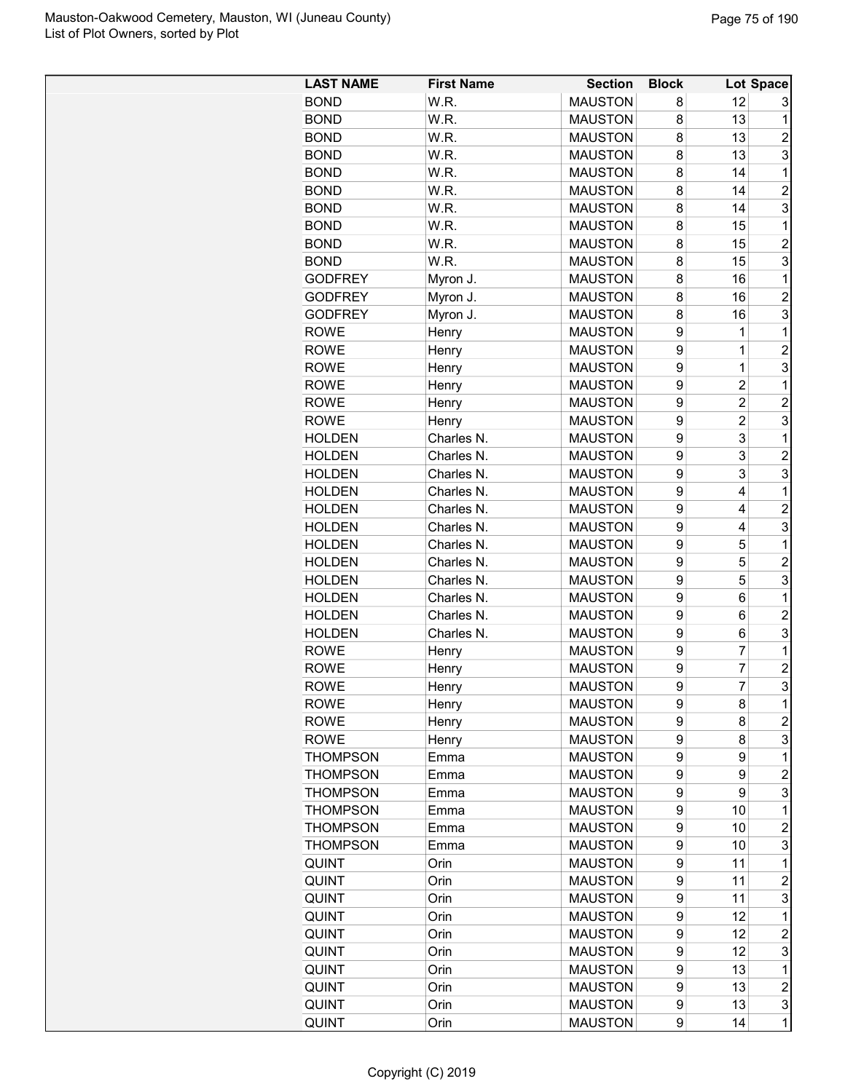| <b>LAST NAME</b> | <b>First Name</b> | <b>Section</b>                   | <b>Block</b> |                | Lot Space      |
|------------------|-------------------|----------------------------------|--------------|----------------|----------------|
| <b>BOND</b>      | W.R.              | <b>MAUSTON</b>                   | 8            | 12             | 3              |
| <b>BOND</b>      | W.R.              | <b>MAUSTON</b>                   | 8            | 13             | 1              |
| <b>BOND</b>      | W.R.              | <b>MAUSTON</b>                   | 8            | 13             | $\overline{2}$ |
| <b>BOND</b>      | W.R.              | <b>MAUSTON</b>                   | 8            | 13             | 3              |
| <b>BOND</b>      | W.R.              | <b>MAUSTON</b>                   | 8            | 14             | 1              |
| <b>BOND</b>      | W.R.              | <b>MAUSTON</b>                   | 8            | 14             | $\overline{c}$ |
| <b>BOND</b>      | W.R.              | <b>MAUSTON</b>                   | 8            | 14             | 3              |
| <b>BOND</b>      | W.R.              | <b>MAUSTON</b>                   | 8            | 15             | 1              |
| <b>BOND</b>      | W.R.              | <b>MAUSTON</b>                   | 8            | 15             | $\overline{2}$ |
| <b>BOND</b>      | W.R.              | <b>MAUSTON</b>                   | 8            | 15             | 3              |
| <b>GODFREY</b>   | Myron J.          | <b>MAUSTON</b>                   | 8            | 16             | 1              |
| <b>GODFREY</b>   | Myron J.          | <b>MAUSTON</b>                   | 8            | 16             | $\overline{c}$ |
| <b>GODFREY</b>   | Myron J.          | <b>MAUSTON</b>                   | 8            | 16             | 3              |
| <b>ROWE</b>      | Henry             | <b>MAUSTON</b>                   | 9            | 1              | 1              |
| <b>ROWE</b>      | Henry             | <b>MAUSTON</b>                   | 9            | 1              | $\overline{2}$ |
| <b>ROWE</b>      | Henry             | <b>MAUSTON</b>                   | 9            | 1              | 3              |
| <b>ROWE</b>      | Henry             | <b>MAUSTON</b>                   | 9            | $\overline{c}$ | 1              |
| <b>ROWE</b>      | Henry             | <b>MAUSTON</b>                   | 9            | $\overline{2}$ | $\overline{2}$ |
| <b>ROWE</b>      | Henry             | <b>MAUSTON</b>                   | 9            | $\overline{c}$ | 3              |
| <b>HOLDEN</b>    | Charles N.        | <b>MAUSTON</b>                   | 9            | 3              | 1              |
| <b>HOLDEN</b>    | Charles N.        | <b>MAUSTON</b>                   | 9            | 3              | $\overline{c}$ |
| <b>HOLDEN</b>    | Charles N.        | <b>MAUSTON</b>                   | 9            | 3              | 3              |
| <b>HOLDEN</b>    | Charles N.        | <b>MAUSTON</b>                   | 9            | 4              | 1              |
| <b>HOLDEN</b>    | Charles N.        | <b>MAUSTON</b>                   | 9            | 4              | $\overline{2}$ |
| <b>HOLDEN</b>    | Charles N.        | <b>MAUSTON</b>                   | 9            | 4              | 3              |
| <b>HOLDEN</b>    | Charles N.        | <b>MAUSTON</b>                   | 9            | 5              | 1              |
| <b>HOLDEN</b>    | Charles N.        | <b>MAUSTON</b>                   | 9            | 5              | $\overline{c}$ |
| <b>HOLDEN</b>    | Charles N.        | <b>MAUSTON</b>                   | 9            | 5              | 3              |
| <b>HOLDEN</b>    | Charles N.        | <b>MAUSTON</b>                   | 9            | 6              | 1              |
| <b>HOLDEN</b>    | Charles N.        | <b>MAUSTON</b>                   | 9            | 6              | $\overline{2}$ |
| <b>HOLDEN</b>    | Charles N.        | <b>MAUSTON</b>                   | 9            | 6              | 3              |
| <b>ROWE</b>      | Henry             | <b>MAUSTON</b>                   | 9            | 7              | 1              |
| <b>ROWE</b>      | Henry             | <b>MAUSTON</b>                   | 9            | $\overline{7}$ | $\overline{c}$ |
| <b>ROWE</b>      | Henry             | <b>MAUSTON</b>                   | q            | $\overline{7}$ | 3              |
| <b>ROWE</b>      | Henry             | <b>MAUSTON</b>                   | 9            | 8              | 1              |
| <b>ROWE</b>      | Henry             | <b>MAUSTON</b>                   | 9            | 8              | $\overline{c}$ |
| <b>ROWE</b>      | Henry             | <b>MAUSTON</b>                   | 9            | 8              | 3              |
| <b>THOMPSON</b>  | Emma              | <b>MAUSTON</b>                   | 9            | 9              | 1              |
| <b>THOMPSON</b>  | Emma              | <b>MAUSTON</b>                   | 9            | 9              | $\overline{c}$ |
| <b>THOMPSON</b>  | Emma              | <b>MAUSTON</b>                   | 9            | 9              | 3              |
| <b>THOMPSON</b>  | Emma              | <b>MAUSTON</b>                   | 9            | 10             | 1              |
| <b>THOMPSON</b>  | Emma              | <b>MAUSTON</b>                   | 9            | 10             | $\overline{c}$ |
| <b>THOMPSON</b>  | Emma              | <b>MAUSTON</b>                   | 9            | 10             | 3              |
| <b>QUINT</b>     | Orin              | <b>MAUSTON</b>                   | 9            | 11             | 1              |
| QUINT            | Orin              | <b>MAUSTON</b>                   | 9            | 11             | $\overline{c}$ |
| QUINT            | Orin              | <b>MAUSTON</b>                   | 9            | 11             | 3              |
| QUINT            | Orin              | <b>MAUSTON</b>                   | 9            | 12             | 1              |
| QUINT            | Orin              | <b>MAUSTON</b>                   | 9            | 12             | $\overline{c}$ |
| QUINT            | Orin              | <b>MAUSTON</b>                   | 9            | 12             | 3              |
| QUINT            | Orin              | <b>MAUSTON</b>                   | 9            | 13             | 1              |
| QUINT            | Orin              | <b>MAUSTON</b>                   | 9            | 13             | $\overline{c}$ |
|                  |                   |                                  | 9            | 13             |                |
| QUINT<br>QUINT   | Orin              | <b>MAUSTON</b><br><b>MAUSTON</b> | 9            | 14             | 3<br>1         |
|                  | Orin              |                                  |              |                |                |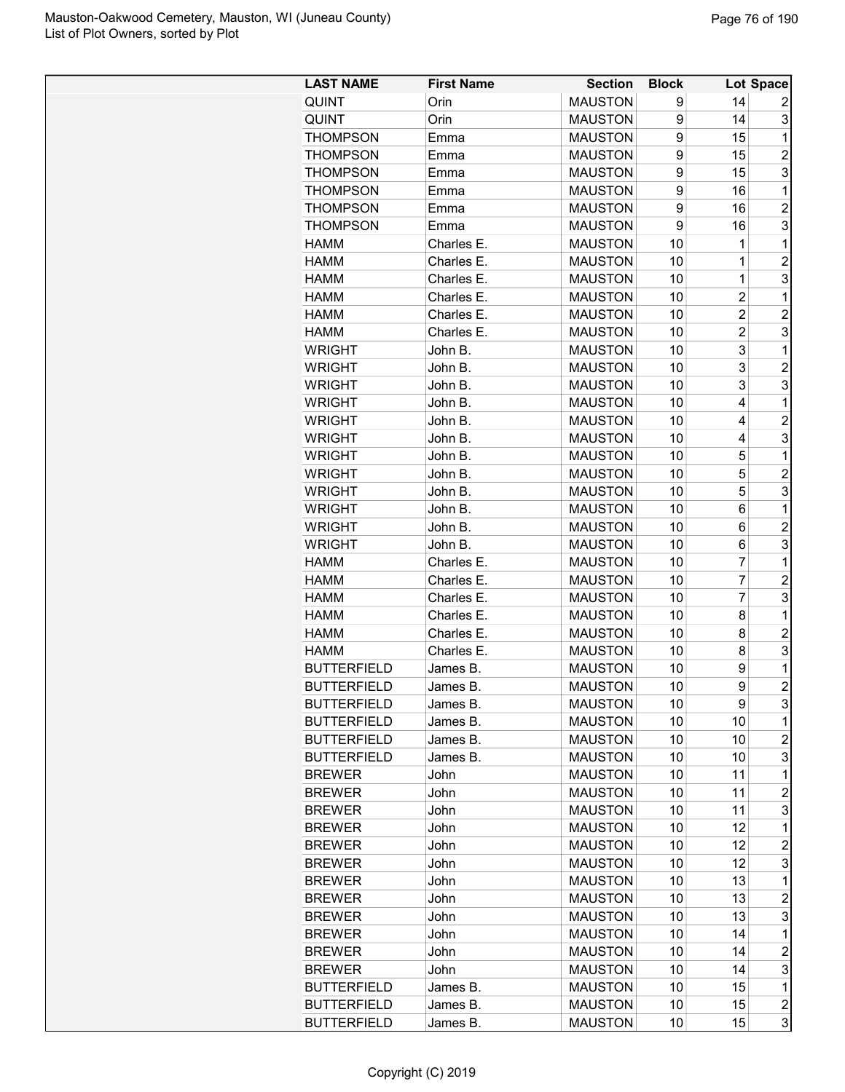| <b>LAST NAME</b>                         | <b>First Name</b>    | <b>Section</b>                   | <b>Block</b> |                | Lot Space               |
|------------------------------------------|----------------------|----------------------------------|--------------|----------------|-------------------------|
| <b>QUINT</b>                             | Orin                 | <b>MAUSTON</b>                   | 9            | 14             | 2                       |
| QUINT                                    | Orin                 | <b>MAUSTON</b>                   | 9            | 14             | 3                       |
| <b>THOMPSON</b>                          | Emma                 | <b>MAUSTON</b>                   | 9            | 15             | 1                       |
| <b>THOMPSON</b>                          | Emma                 | <b>MAUSTON</b>                   | 9            | 15             | $\overline{c}$          |
| <b>THOMPSON</b>                          | Emma                 | <b>MAUSTON</b>                   | 9            | 15             | 3                       |
| <b>THOMPSON</b>                          | Emma                 | <b>MAUSTON</b>                   | 9            | 16             | 1                       |
| <b>THOMPSON</b>                          | Emma                 | <b>MAUSTON</b>                   | 9            | 16             | $\overline{c}$          |
| <b>THOMPSON</b>                          | Emma                 | <b>MAUSTON</b>                   | 9            | 16             | 3                       |
| <b>HAMM</b>                              | Charles E.           | <b>MAUSTON</b>                   | 10           | 1              | $\mathbf 1$             |
| <b>HAMM</b>                              | Charles E.           | <b>MAUSTON</b>                   | 10           | 1              | $\overline{2}$          |
| <b>HAMM</b>                              | Charles E.           | <b>MAUSTON</b>                   | 10           | 1              | 3                       |
| <b>HAMM</b>                              | Charles E.           | <b>MAUSTON</b>                   | 10           | $\overline{c}$ | 1                       |
| <b>HAMM</b>                              | Charles E.           | <b>MAUSTON</b>                   | 10           | $\overline{c}$ | $\overline{c}$          |
| <b>HAMM</b>                              | Charles E.           | <b>MAUSTON</b>                   | 10           | $\overline{2}$ | 3                       |
| <b>WRIGHT</b>                            | John B.              | <b>MAUSTON</b>                   | 10           | 3              | 1                       |
| <b>WRIGHT</b>                            | John B.              | <b>MAUSTON</b>                   | 10           | 3              | $\overline{2}$          |
| <b>WRIGHT</b>                            | John B.              | <b>MAUSTON</b>                   | 10           | 3              | 3                       |
| <b>WRIGHT</b>                            | John B.              | <b>MAUSTON</b>                   | 10           | 4              | 1                       |
| <b>WRIGHT</b>                            | John B.              | <b>MAUSTON</b>                   | 10           | 4              | $\overline{c}$          |
| <b>WRIGHT</b>                            | John B.              | <b>MAUSTON</b>                   | 10           | 4              | 3                       |
| <b>WRIGHT</b>                            | John B.              | <b>MAUSTON</b>                   | 10           | 5              | 1                       |
| <b>WRIGHT</b>                            | John B.              | <b>MAUSTON</b>                   | 10           | 5              | $\overline{2}$          |
| <b>WRIGHT</b>                            | John B.              | <b>MAUSTON</b>                   | 10           | 5              | 3                       |
| <b>WRIGHT</b>                            | John B.              | <b>MAUSTON</b>                   | 10           | 6              | 1                       |
| <b>WRIGHT</b>                            | John B.              | <b>MAUSTON</b>                   | 10           | 6              | $\overline{2}$          |
| <b>WRIGHT</b>                            | John B.              | <b>MAUSTON</b>                   | 10           | 6              | 3                       |
| <b>HAMM</b>                              | Charles E.           | <b>MAUSTON</b>                   | 10           | $\overline{7}$ | 1                       |
| <b>HAMM</b>                              | Charles E.           | <b>MAUSTON</b>                   | 10           | 7              | $\overline{c}$          |
| <b>HAMM</b>                              | Charles E.           | <b>MAUSTON</b>                   | 10           | 7              | 3                       |
| <b>HAMM</b>                              | Charles E.           | <b>MAUSTON</b>                   | 10           | 8              | 1                       |
| <b>HAMM</b>                              | Charles E.           | <b>MAUSTON</b>                   | 10           | 8              | $\overline{2}$          |
| <b>HAMM</b>                              | Charles E.           | <b>MAUSTON</b>                   | 10           | 8              | 3                       |
| <b>BUTTERFIELD</b>                       | James B.             | <b>MAUSTON</b>                   | 10           | 9              | 1                       |
| <b>BUTTERFIELD</b>                       | James B.             | <b>MAUSTON</b>                   | 10           | 9              | $\overline{2}$          |
|                                          |                      |                                  |              | 9              | 3                       |
| <b>BUTTERFIELD</b>                       | James B.             | <b>MAUSTON</b>                   | 10           |                | 1                       |
| <b>BUTTERFIELD</b>                       | James B.             | <b>MAUSTON</b>                   | 10           | 10<br>10       |                         |
| <b>BUTTERFIELD</b><br><b>BUTTERFIELD</b> | James B.<br>James B. | <b>MAUSTON</b><br><b>MAUSTON</b> | 10           |                | $\boldsymbol{2}$<br>3   |
|                                          |                      |                                  | 10           | 10             | 1                       |
| <b>BREWER</b><br><b>BREWER</b>           | John                 | <b>MAUSTON</b><br><b>MAUSTON</b> | 10           | 11<br>11       | $\overline{c}$          |
|                                          | John                 |                                  | 10           |                |                         |
| <b>BREWER</b>                            | John                 | <b>MAUSTON</b>                   | 10           | 11             | 3                       |
| <b>BREWER</b>                            | John                 | <b>MAUSTON</b>                   | 10           | 12             | 1                       |
| <b>BREWER</b>                            | John                 | <b>MAUSTON</b>                   | 10           | 12             | $\overline{c}$          |
| <b>BREWER</b>                            | John                 | <b>MAUSTON</b>                   | 10           | 12             | 3                       |
| <b>BREWER</b>                            | John                 | <b>MAUSTON</b>                   | 10           | 13             | 1                       |
| <b>BREWER</b>                            | John                 | <b>MAUSTON</b>                   | 10           | 13             | $\overline{c}$          |
| <b>BREWER</b>                            | John                 | <b>MAUSTON</b>                   | 10           | 13             | 3                       |
| <b>BREWER</b>                            | John                 | <b>MAUSTON</b>                   | 10           | 14             | 1                       |
| <b>BREWER</b>                            | John                 | <b>MAUSTON</b>                   | 10           | 14             | $\overline{c}$          |
| <b>BREWER</b>                            | John                 | <b>MAUSTON</b>                   | 10           | 14             | 3                       |
| <b>BUTTERFIELD</b>                       | James B.             | <b>MAUSTON</b>                   | 10           | 15             | 1                       |
| <b>BUTTERFIELD</b>                       | James B.             | <b>MAUSTON</b>                   | 10           | 15             | $\overline{\mathbf{c}}$ |
| <b>BUTTERFIELD</b>                       | James B.             | <b>MAUSTON</b>                   | 10           | 15             | 3                       |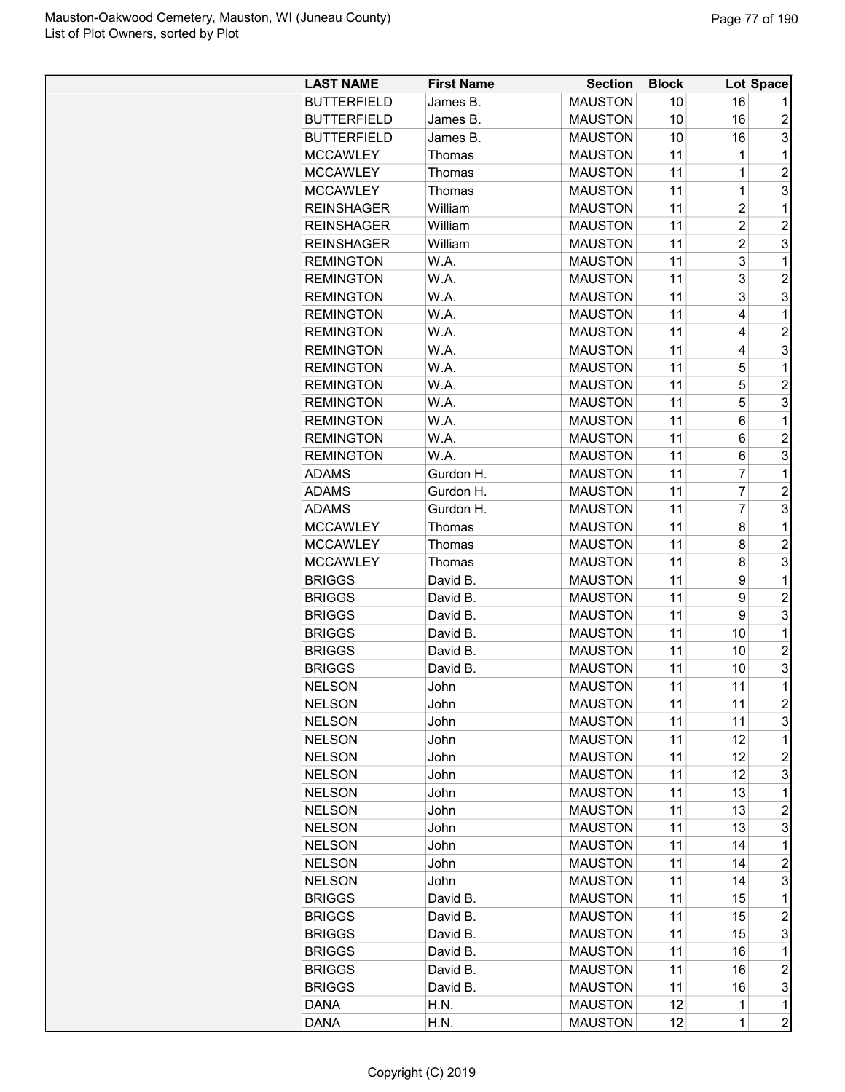| <b>LAST NAME</b>   | <b>First Name</b> | <b>Section</b> | <b>Block</b> |                | Lot Space               |
|--------------------|-------------------|----------------|--------------|----------------|-------------------------|
| <b>BUTTERFIELD</b> | James B.          | <b>MAUSTON</b> | 10           | 16             |                         |
| <b>BUTTERFIELD</b> | James B.          | <b>MAUSTON</b> | 10           | 16             | $\overline{c}$          |
| <b>BUTTERFIELD</b> | James B.          | <b>MAUSTON</b> | 10           | 16             | 3                       |
| <b>MCCAWLEY</b>    | Thomas            | <b>MAUSTON</b> | 11           | 1              | 1                       |
| <b>MCCAWLEY</b>    | Thomas            | <b>MAUSTON</b> | 11           | 1              | $\overline{c}$          |
| <b>MCCAWLEY</b>    | Thomas            | <b>MAUSTON</b> | 11           | $\mathbf 1$    | 3                       |
| <b>REINSHAGER</b>  | William           | <b>MAUSTON</b> | 11           | $\overline{2}$ | $\mathbf{1}$            |
| <b>REINSHAGER</b>  | William           | <b>MAUSTON</b> | 11           | $\overline{c}$ | $\overline{2}$          |
| <b>REINSHAGER</b>  | William           | <b>MAUSTON</b> | 11           | $\overline{2}$ | 3                       |
| <b>REMINGTON</b>   | W.A.              | <b>MAUSTON</b> | 11           | 3              | 1                       |
| <b>REMINGTON</b>   | W.A.              | <b>MAUSTON</b> | 11           | 3              | $\overline{c}$          |
| <b>REMINGTON</b>   | W.A.              | <b>MAUSTON</b> | 11           | 3              | 3                       |
| <b>REMINGTON</b>   | W.A.              | <b>MAUSTON</b> | 11           | 4              | 1                       |
| <b>REMINGTON</b>   | W.A.              | <b>MAUSTON</b> | 11           | 4              | $\overline{2}$          |
| <b>REMINGTON</b>   | W.A.              | <b>MAUSTON</b> | 11           | 4              | 3                       |
| <b>REMINGTON</b>   | W.A.              | <b>MAUSTON</b> | 11           | 5              | $\mathbf 1$             |
| <b>REMINGTON</b>   | W.A.              | <b>MAUSTON</b> | 11           | 5              | $\overline{c}$          |
| <b>REMINGTON</b>   | W.A.              | <b>MAUSTON</b> | 11           | 5              | 3                       |
| <b>REMINGTON</b>   | W.A.              | <b>MAUSTON</b> | 11           | 6              | 1                       |
| <b>REMINGTON</b>   | W.A.              | <b>MAUSTON</b> | 11           | 6              | $\overline{c}$          |
| <b>REMINGTON</b>   | W.A.              | <b>MAUSTON</b> | 11           | 6              | 3                       |
| <b>ADAMS</b>       | Gurdon H.         | <b>MAUSTON</b> | 11           | 7              | 1                       |
| <b>ADAMS</b>       | Gurdon H.         | <b>MAUSTON</b> | 11           | $\overline{7}$ | $\overline{2}$          |
| <b>ADAMS</b>       | Gurdon H.         | <b>MAUSTON</b> | 11           | $\overline{7}$ | 3                       |
| <b>MCCAWLEY</b>    | Thomas            | <b>MAUSTON</b> | 11           | 8              | $\mathbf{1}$            |
| <b>MCCAWLEY</b>    | Thomas            | <b>MAUSTON</b> | 11           | 8              | $\overline{2}$          |
| <b>MCCAWLEY</b>    | Thomas            | <b>MAUSTON</b> | 11           | 8              | 3                       |
| <b>BRIGGS</b>      | David B.          | <b>MAUSTON</b> | 11           | 9              | 1                       |
| <b>BRIGGS</b>      | David B.          | <b>MAUSTON</b> | 11           | 9              | $\overline{c}$          |
| <b>BRIGGS</b>      | David B.          | <b>MAUSTON</b> | 11           | 9              | 3                       |
| <b>BRIGGS</b>      | David B.          | <b>MAUSTON</b> | 11           | 10             | 1                       |
| <b>BRIGGS</b>      | David B.          | <b>MAUSTON</b> | 11           | 10             | $\overline{2}$          |
| <b>BRIGGS</b>      | David B.          | <b>MAUSTON</b> | 11           | 10             | 3                       |
| <b>NELSON</b>      |                   | <b>MAUSTON</b> | 11           | 11             | $\overline{1}$          |
|                    | John              |                |              |                | $\overline{c}$          |
| <b>NELSON</b>      | John              | <b>MAUSTON</b> | 11           | 11             |                         |
| <b>NELSON</b>      | John              | <b>MAUSTON</b> | 11           | 11<br>12       | 3<br>1                  |
| <b>NELSON</b>      | John              | <b>MAUSTON</b> | 11           |                | $\overline{c}$          |
| <b>NELSON</b>      | John              | <b>MAUSTON</b> | 11           | 12             |                         |
| <b>NELSON</b>      | John              | <b>MAUSTON</b> | 11           | 12             | 3                       |
| <b>NELSON</b>      | John              | <b>MAUSTON</b> | 11           | 13             | 1                       |
| <b>NELSON</b>      | John              | <b>MAUSTON</b> | 11           | 13             | $\overline{c}$          |
| <b>NELSON</b>      | John              | <b>MAUSTON</b> | 11           | 13             | 3                       |
| <b>NELSON</b>      | John              | <b>MAUSTON</b> | 11           | 14             | 1                       |
| <b>NELSON</b>      | John              | <b>MAUSTON</b> | 11           | 14             | $\overline{\mathbf{c}}$ |
| <b>NELSON</b>      | John              | <b>MAUSTON</b> | 11           | 14             | 3                       |
| <b>BRIGGS</b>      | David B.          | <b>MAUSTON</b> | 11           | 15             | 1                       |
| <b>BRIGGS</b>      | David B.          | <b>MAUSTON</b> | 11           | 15             | $\boldsymbol{2}$        |
| <b>BRIGGS</b>      | David B.          | <b>MAUSTON</b> | 11           | 15             | 3                       |
| <b>BRIGGS</b>      | David B.          | <b>MAUSTON</b> | 11           | 16             | 1                       |
| <b>BRIGGS</b>      | David B.          | <b>MAUSTON</b> | 11           | 16             | $\overline{c}$          |
| <b>BRIGGS</b>      | David B.          | <b>MAUSTON</b> | 11           | 16             | 3                       |
| <b>DANA</b>        | H.N.              | <b>MAUSTON</b> | 12           | $\mathbf 1$    | 1                       |
| <b>DANA</b>        | H.N.              | <b>MAUSTON</b> | 12           | $\mathbf 1$    | $\overline{c}$          |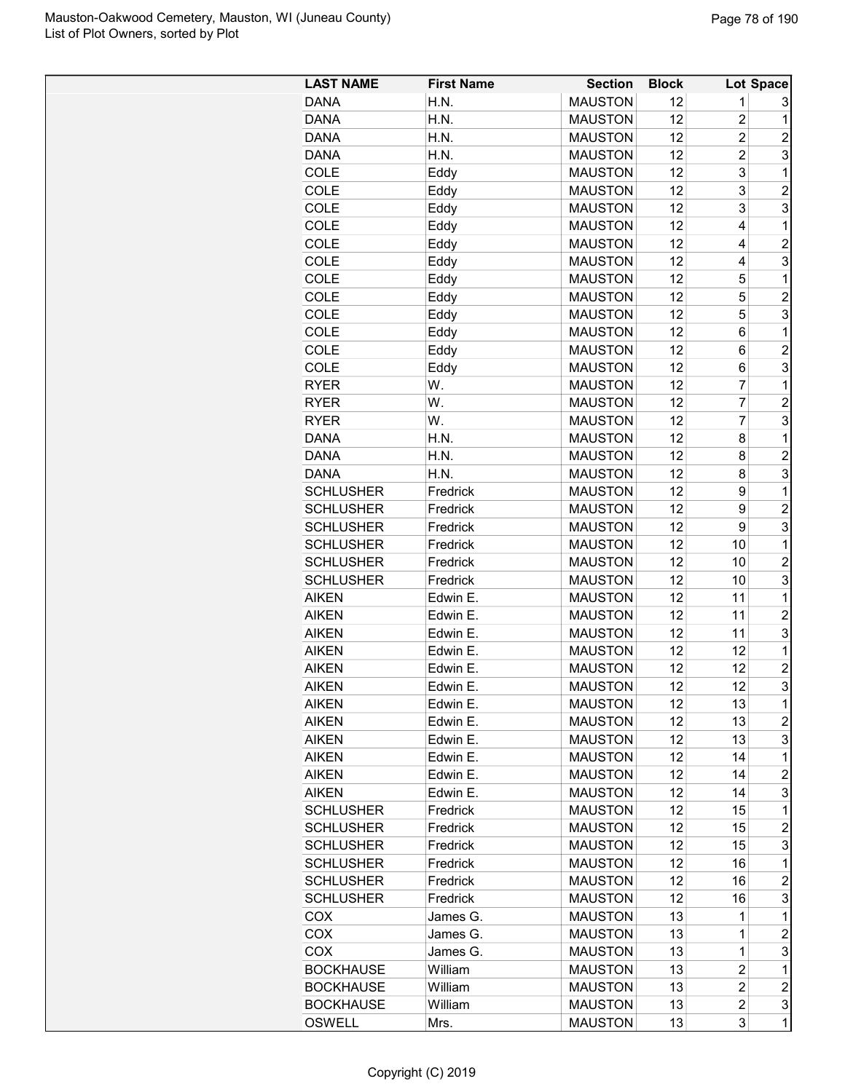| <b>LAST NAME</b> | <b>First Name</b> | <b>Section</b> | <b>Block</b> |                         | Lot Space               |
|------------------|-------------------|----------------|--------------|-------------------------|-------------------------|
| <b>DANA</b>      | H.N.              | <b>MAUSTON</b> | 12           | 1                       | 3                       |
| <b>DANA</b>      | H.N.              | <b>MAUSTON</b> | 12           | $\overline{c}$          | $\mathbf 1$             |
| <b>DANA</b>      | H.N.              | <b>MAUSTON</b> | 12           | $\overline{2}$          | $\overline{2}$          |
| <b>DANA</b>      | H.N.              | <b>MAUSTON</b> | 12           | $\overline{c}$          | 3                       |
| COLE             | Eddy              | <b>MAUSTON</b> | 12           | 3                       | $\mathbf{1}$            |
| COLE             | Eddy              | <b>MAUSTON</b> | 12           | 3                       | $\overline{c}$          |
| COLE             | Eddy              | <b>MAUSTON</b> | 12           | 3                       | 3                       |
| COLE             | Eddy              | <b>MAUSTON</b> | 12           | 4                       | $\mathbf 1$             |
| COLE             | Eddy              | <b>MAUSTON</b> | 12           | 4                       | $\overline{c}$          |
| COLE             | Eddy              | <b>MAUSTON</b> | 12           | 4                       | 3                       |
| COLE             | Eddy              | <b>MAUSTON</b> | 12           | 5                       | $\mathbf 1$             |
| <b>COLE</b>      | Eddy              | <b>MAUSTON</b> | 12           | 5                       | $\overline{c}$          |
| COLE             | Eddy              | <b>MAUSTON</b> | 12           | 5                       | 3                       |
| COLE             | Eddy              | <b>MAUSTON</b> | 12           | 6                       | 1                       |
| COLE             | Eddy              | <b>MAUSTON</b> | 12           | 6                       | $\overline{c}$          |
| COLE             | Eddy              | <b>MAUSTON</b> | 12           | 6                       | 3                       |
| <b>RYER</b>      | W.                | <b>MAUSTON</b> | 12           | $\overline{7}$          | $\mathbf 1$             |
| <b>RYER</b>      | W.                | <b>MAUSTON</b> | 12           | $\overline{7}$          | $\overline{c}$          |
| <b>RYER</b>      | W.                | <b>MAUSTON</b> | 12           | $\overline{7}$          | 3                       |
| <b>DANA</b>      | H.N.              | <b>MAUSTON</b> | 12           | 8                       | $\mathbf 1$             |
| <b>DANA</b>      | H.N.              | <b>MAUSTON</b> | 12           | 8                       | $\overline{2}$          |
| <b>DANA</b>      | H.N.              | <b>MAUSTON</b> | 12           | 8                       | 3                       |
| <b>SCHLUSHER</b> | Fredrick          | <b>MAUSTON</b> | 12           | 9                       | $\mathbf{1}$            |
| <b>SCHLUSHER</b> | Fredrick          | <b>MAUSTON</b> | 12           | 9                       | $\overline{\mathbf{c}}$ |
| <b>SCHLUSHER</b> | Fredrick          | <b>MAUSTON</b> | 12           | 9                       | 3                       |
| <b>SCHLUSHER</b> | Fredrick          | <b>MAUSTON</b> | 12           | 10                      | $\mathbf 1$             |
| <b>SCHLUSHER</b> | Fredrick          | <b>MAUSTON</b> | 12           | 10                      | $\overline{2}$          |
| <b>SCHLUSHER</b> | Fredrick          | <b>MAUSTON</b> | 12           | 10                      | 3                       |
| <b>AIKEN</b>     | Edwin E.          | <b>MAUSTON</b> | 12           | 11                      | 1                       |
| <b>AIKEN</b>     | Edwin E.          | <b>MAUSTON</b> | 12           | 11                      | $\overline{2}$          |
| <b>AIKEN</b>     | Edwin E.          | <b>MAUSTON</b> | 12           | 11                      | 3                       |
| <b>AIKEN</b>     | Edwin E.          | <b>MAUSTON</b> | 12           | 12                      | $\mathbf 1$             |
| <b>AIKEN</b>     | Edwin E.          | <b>MAUSTON</b> | 12           | 12                      | $\overline{c}$          |
| AIKEN            | Edwin E.          | <b>MAUSTON</b> | 12           | 12                      | 3                       |
| <b>AIKEN</b>     | Edwin E.          | <b>MAUSTON</b> | 12           | 13                      | $\mathbf 1$             |
| <b>AIKEN</b>     | Edwin E.          | <b>MAUSTON</b> | 12           | 13                      | $\overline{c}$          |
| <b>AIKEN</b>     | Edwin E.          | <b>MAUSTON</b> | 12           | 13                      | 3                       |
| <b>AIKEN</b>     | Edwin E.          | <b>MAUSTON</b> | 12           | 14                      | 1                       |
| <b>AIKEN</b>     | Edwin E.          | <b>MAUSTON</b> | 12           | 14                      | $\overline{c}$          |
| <b>AIKEN</b>     | Edwin E.          | <b>MAUSTON</b> | 12           | 14                      | 3                       |
| <b>SCHLUSHER</b> | Fredrick          | <b>MAUSTON</b> | 12           | 15                      | $\mathbf 1$             |
| <b>SCHLUSHER</b> | Fredrick          | <b>MAUSTON</b> | 12           | 15                      | $\overline{c}$          |
| <b>SCHLUSHER</b> | Fredrick          | <b>MAUSTON</b> | 12           | 15                      | 3                       |
| <b>SCHLUSHER</b> | Fredrick          | <b>MAUSTON</b> | 12           | 16                      | $\mathbf{1}$            |
| <b>SCHLUSHER</b> | Fredrick          | <b>MAUSTON</b> | 12           | 16                      | $\overline{c}$          |
| <b>SCHLUSHER</b> | Fredrick          | <b>MAUSTON</b> | 12           | 16                      | 3                       |
| <b>COX</b>       | James G.          | <b>MAUSTON</b> | 13           | 1                       | 1                       |
| <b>COX</b>       | James G.          | <b>MAUSTON</b> | 13           | 1                       | $\boldsymbol{2}$        |
| <b>COX</b>       | James G.          | <b>MAUSTON</b> | 13           | 1                       | 3                       |
| <b>BOCKHAUSE</b> | William           | <b>MAUSTON</b> | 13           | 2                       | 1                       |
| <b>BOCKHAUSE</b> | William           | <b>MAUSTON</b> | 13           | $\overline{\mathbf{c}}$ | $\overline{\mathbf{c}}$ |
| <b>BOCKHAUSE</b> | William           | <b>MAUSTON</b> | 13           | $\overline{c}$          | 3                       |
| <b>OSWELL</b>    | Mrs.              | <b>MAUSTON</b> | 13           | 3                       | $\mathbf{1}$            |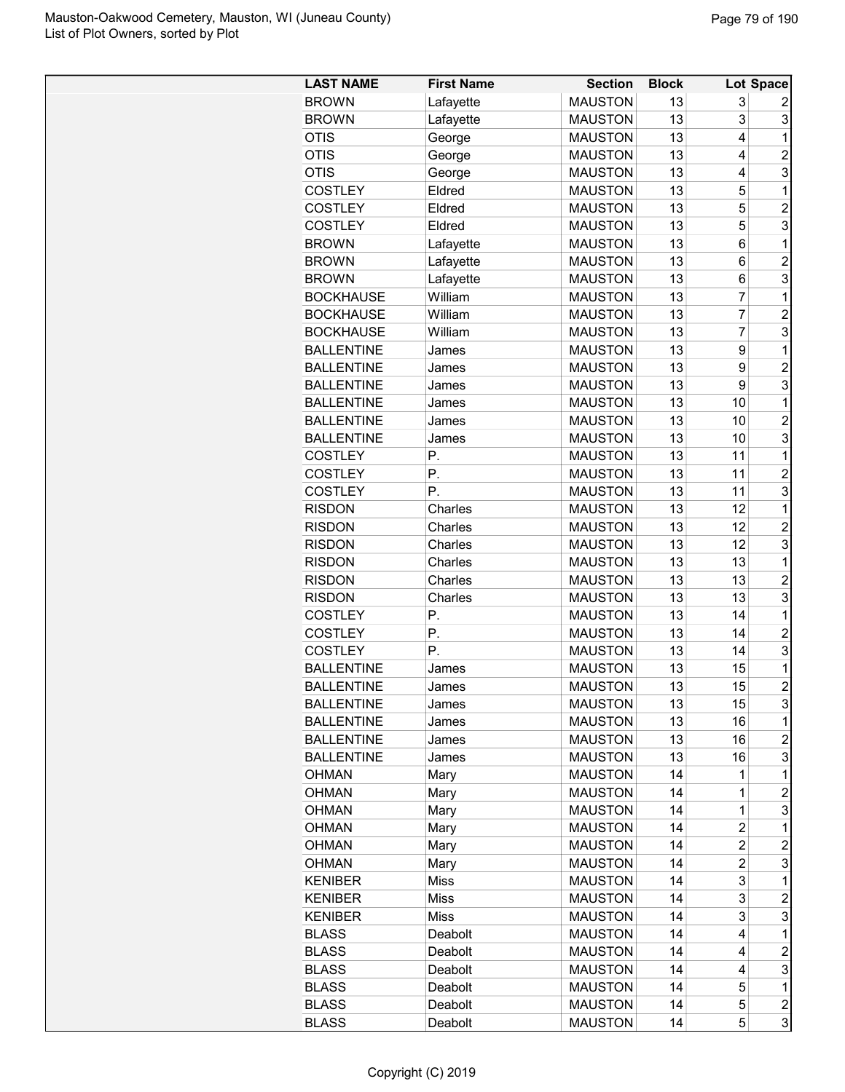| <b>LAST NAME</b>  | <b>First Name</b> | <b>Section</b> | <b>Block</b> |                         | Lot Space               |
|-------------------|-------------------|----------------|--------------|-------------------------|-------------------------|
| <b>BROWN</b>      | Lafayette         | <b>MAUSTON</b> | 13           | 3                       | 2                       |
| <b>BROWN</b>      | Lafayette         | <b>MAUSTON</b> | 13           | 3                       | 3                       |
| <b>OTIS</b>       | George            | <b>MAUSTON</b> | 13           | 4                       | 1                       |
| <b>OTIS</b>       | George            | <b>MAUSTON</b> | 13           | 4                       | $\overline{2}$          |
| <b>OTIS</b>       | George            | <b>MAUSTON</b> | 13           | 4                       | 3                       |
| <b>COSTLEY</b>    | Eldred            | <b>MAUSTON</b> | 13           | 5                       | 1                       |
| <b>COSTLEY</b>    | Eldred            | <b>MAUSTON</b> | 13           | 5                       | $\overline{c}$          |
| <b>COSTLEY</b>    | Eldred            | <b>MAUSTON</b> | 13           | 5                       | 3                       |
| <b>BROWN</b>      | Lafayette         | <b>MAUSTON</b> | 13           | 6                       | $\mathbf 1$             |
| <b>BROWN</b>      | Lafayette         | <b>MAUSTON</b> | 13           | 6                       | $\overline{c}$          |
| <b>BROWN</b>      | Lafayette         | <b>MAUSTON</b> | 13           | 6                       | 3                       |
| <b>BOCKHAUSE</b>  | William           | <b>MAUSTON</b> | 13           | $\overline{7}$          | 1                       |
| <b>BOCKHAUSE</b>  | William           | <b>MAUSTON</b> | 13           | $\overline{7}$          | $\overline{c}$          |
| <b>BOCKHAUSE</b>  | William           | <b>MAUSTON</b> | 13           | $\overline{7}$          | 3                       |
| <b>BALLENTINE</b> | James             | <b>MAUSTON</b> | 13           | 9                       | 1                       |
| <b>BALLENTINE</b> | James             | <b>MAUSTON</b> | 13           | 9                       | $\overline{c}$          |
| <b>BALLENTINE</b> | James             | <b>MAUSTON</b> | 13           | 9                       | 3                       |
| <b>BALLENTINE</b> | James             | <b>MAUSTON</b> | 13           | 10                      | 1                       |
| <b>BALLENTINE</b> | James             | <b>MAUSTON</b> | 13           | 10                      | $\overline{2}$          |
| <b>BALLENTINE</b> | James             | <b>MAUSTON</b> | 13           | 10                      | 3                       |
| <b>COSTLEY</b>    | Ρ.                | <b>MAUSTON</b> | 13           | 11                      | 1                       |
| <b>COSTLEY</b>    | Ρ.                | <b>MAUSTON</b> | 13           | 11                      | $\overline{2}$          |
| <b>COSTLEY</b>    | Ρ.                | <b>MAUSTON</b> | 13           | 11                      | 3                       |
| <b>RISDON</b>     | Charles           | <b>MAUSTON</b> | 13           | 12                      | 1                       |
| <b>RISDON</b>     | Charles           | <b>MAUSTON</b> | 13           | 12                      | $\overline{c}$          |
| <b>RISDON</b>     | Charles           | <b>MAUSTON</b> | 13           | 12                      | 3                       |
| <b>RISDON</b>     | Charles           | <b>MAUSTON</b> | 13           | 13                      | 1                       |
|                   |                   |                | 13           | 13                      |                         |
| <b>RISDON</b>     | Charles           | <b>MAUSTON</b> | 13           |                         | $\overline{c}$<br>3     |
| <b>RISDON</b>     | Charles           | <b>MAUSTON</b> |              | 13                      |                         |
| <b>COSTLEY</b>    | Ρ.                | <b>MAUSTON</b> | 13           | 14                      | 1                       |
| <b>COSTLEY</b>    | Р.                | <b>MAUSTON</b> | 13           | 14                      | $\overline{c}$          |
| <b>COSTLEY</b>    | Р.                | <b>MAUSTON</b> | 13           | 14                      | 3                       |
| <b>BALLENTINE</b> | James             | <b>MAUSTON</b> | 13           | 15                      | 1<br>$\overline{2}$     |
| <b>BALLENTINE</b> | James             | <b>MAUSTON</b> | 13           | 15                      |                         |
| <b>BALLENTINE</b> | James             | <b>MAUSTON</b> | 13           | 15                      | 3                       |
| <b>BALLENTINE</b> | James             | <b>MAUSTON</b> | 13           | 16                      | 1                       |
| <b>BALLENTINE</b> | James             | <b>MAUSTON</b> | 13           | 16                      | $\overline{c}$          |
| <b>BALLENTINE</b> | James             | <b>MAUSTON</b> | 13           | 16                      | 3                       |
| OHMAN             | Mary              | <b>MAUSTON</b> | 14           | 1                       | 1                       |
| <b>OHMAN</b>      | Mary              | <b>MAUSTON</b> | 14           | 1                       | $\boldsymbol{2}$        |
| <b>OHMAN</b>      | Mary              | <b>MAUSTON</b> | 14           | 1                       | 3                       |
| <b>OHMAN</b>      | Mary              | <b>MAUSTON</b> | 14           | $\overline{c}$          | 1                       |
| <b>OHMAN</b>      | Mary              | <b>MAUSTON</b> | 14           | $\overline{\mathbf{c}}$ | $\overline{c}$          |
| <b>OHMAN</b>      | Mary              | <b>MAUSTON</b> | 14           | $\overline{c}$          | 3                       |
| <b>KENIBER</b>    | Miss              | <b>MAUSTON</b> | 14           | 3                       | $\mathbf 1$             |
| <b>KENIBER</b>    | Miss              | <b>MAUSTON</b> | 14           | 3                       | $\overline{c}$          |
| <b>KENIBER</b>    | Miss              | <b>MAUSTON</b> | 14           | 3                       | 3                       |
| <b>BLASS</b>      | Deabolt           | <b>MAUSTON</b> | 14           | 4                       | 1                       |
| <b>BLASS</b>      | Deabolt           | <b>MAUSTON</b> | 14           | 4                       | $\overline{\mathbf{c}}$ |
| <b>BLASS</b>      | Deabolt           | <b>MAUSTON</b> | 14           | 4                       | 3                       |
| <b>BLASS</b>      | Deabolt           | <b>MAUSTON</b> | 14           | 5                       | 1                       |
| <b>BLASS</b>      | Deabolt           | <b>MAUSTON</b> | 14           | 5                       | $\overline{\mathbf{c}}$ |
| <b>BLASS</b>      | Deabolt           | <b>MAUSTON</b> | 14           | 5                       | 3                       |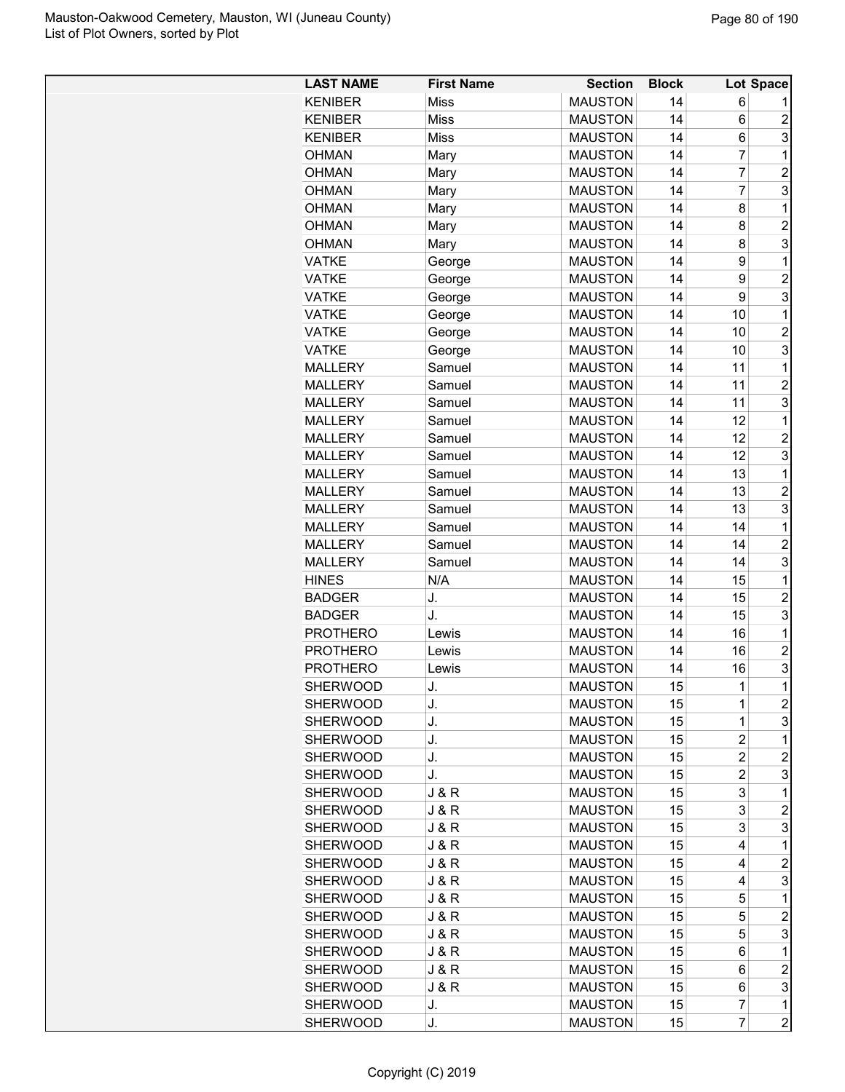| <b>LAST NAME</b> | <b>First Name</b> | <b>Section</b> | <b>Block</b> |                | Lot Space      |
|------------------|-------------------|----------------|--------------|----------------|----------------|
| <b>KENIBER</b>   | <b>Miss</b>       | <b>MAUSTON</b> | 14           | 6              |                |
| <b>KENIBER</b>   | <b>Miss</b>       | <b>MAUSTON</b> | 14           | 6              | $\overline{c}$ |
| <b>KENIBER</b>   | <b>Miss</b>       | <b>MAUSTON</b> | 14           | 6              | 3              |
| <b>OHMAN</b>     | Mary              | <b>MAUSTON</b> | 14           | $\overline{7}$ | 1              |
| OHMAN            | Mary              | <b>MAUSTON</b> | 14           | $\overline{7}$ | $\overline{2}$ |
| <b>OHMAN</b>     | Mary              | <b>MAUSTON</b> | 14           | $\overline{7}$ | 3              |
| <b>OHMAN</b>     | Mary              | <b>MAUSTON</b> | 14           | 8              | 1              |
| <b>OHMAN</b>     | Mary              | <b>MAUSTON</b> | 14           | 8              | $\overline{c}$ |
| <b>OHMAN</b>     | Mary              | <b>MAUSTON</b> | 14           | 8              | 3              |
| <b>VATKE</b>     | George            | <b>MAUSTON</b> | 14           | 9              | 1              |
| VATKE            | George            | <b>MAUSTON</b> | 14           | 9              | $\overline{2}$ |
| <b>VATKE</b>     | George            | <b>MAUSTON</b> | 14           | 9              | 3              |
| <b>VATKE</b>     | George            | <b>MAUSTON</b> | 14           | 10             | 1              |
| <b>VATKE</b>     | George            | <b>MAUSTON</b> | 14           | 10             | $\overline{c}$ |
| <b>VATKE</b>     | George            | <b>MAUSTON</b> | 14           | 10             | 3              |
| <b>MALLERY</b>   | Samuel            | <b>MAUSTON</b> | 14           | 11             | 1              |
| <b>MALLERY</b>   | Samuel            | <b>MAUSTON</b> | 14           | 11             | $\overline{c}$ |
| <b>MALLERY</b>   | Samuel            | <b>MAUSTON</b> | 14           | 11             | 3              |
| <b>MALLERY</b>   | Samuel            | <b>MAUSTON</b> | 14           | 12             | 1              |
| <b>MALLERY</b>   | Samuel            | <b>MAUSTON</b> | 14           | 12             | $\overline{c}$ |
| <b>MALLERY</b>   | Samuel            | <b>MAUSTON</b> | 14           | 12             | 3              |
| <b>MALLERY</b>   | Samuel            | <b>MAUSTON</b> | 14           | 13             | 1              |
| <b>MALLERY</b>   | Samuel            | <b>MAUSTON</b> | 14           | 13             | $\overline{c}$ |
| <b>MALLERY</b>   | Samuel            | <b>MAUSTON</b> | 14           | 13             | 3              |
| <b>MALLERY</b>   | Samuel            | <b>MAUSTON</b> | 14           | 14             | 1              |
| MALLERY          | Samuel            | <b>MAUSTON</b> | 14           | 14             | $\overline{c}$ |
| <b>MALLERY</b>   | Samuel            | <b>MAUSTON</b> | 14           | 14             | 3              |
| <b>HINES</b>     | N/A               | <b>MAUSTON</b> | 14           | 15             | 1              |
| <b>BADGER</b>    | J.                | <b>MAUSTON</b> | 14           | 15             | $\overline{2}$ |
| <b>BADGER</b>    | J.                | <b>MAUSTON</b> | 14           | 15             | 3              |
| <b>PROTHERO</b>  | Lewis             | <b>MAUSTON</b> | 14           | 16             | 1              |
| <b>PROTHERO</b>  | Lewis             | <b>MAUSTON</b> | 14           | 16             | $\overline{c}$ |
| <b>PROTHERO</b>  | Lewis             | <b>MAUSTON</b> | 14           | 16             | 3              |
| <b>SHERWOOD</b>  | J.                | <b>MAUSTON</b> | 15           | $\mathbf{1}$   | $\overline{1}$ |
| <b>SHERWOOD</b>  | J.                | <b>MAUSTON</b> | 15           | 1              | $\overline{c}$ |
| <b>SHERWOOD</b>  | J.                | <b>MAUSTON</b> | 15           | $\mathbf 1$    | 3              |
| <b>SHERWOOD</b>  | J.                | <b>MAUSTON</b> | 15           | $\overline{c}$ | 1              |
| <b>SHERWOOD</b>  | J.                | <b>MAUSTON</b> | 15           | $\overline{2}$ | $\overline{c}$ |
| SHERWOOD         | J.                | <b>MAUSTON</b> | 15           | $\overline{c}$ | 3              |
| <b>SHERWOOD</b>  | J & R             | <b>MAUSTON</b> | 15           | 3              | 1              |
| <b>SHERWOOD</b>  |                   | <b>MAUSTON</b> |              | 3              | $\overline{c}$ |
| <b>SHERWOOD</b>  | J & R             | <b>MAUSTON</b> | 15           | 3              | 3              |
| <b>SHERWOOD</b>  | J & R             |                | 15<br>15     | 4              | 1              |
|                  | J & R             | <b>MAUSTON</b> |              |                |                |
| <b>SHERWOOD</b>  | <b>J&amp;R</b>    | <b>MAUSTON</b> | 15           | 4              | $\overline{2}$ |
| <b>SHERWOOD</b>  | J & R             | <b>MAUSTON</b> | 15           | 4              | 3              |
| SHERWOOD         | J & R             | <b>MAUSTON</b> | 15           | 5              | 1              |
| SHERWOOD         | J & R             | <b>MAUSTON</b> | 15           | 5              | 2              |
| <b>SHERWOOD</b>  | J & R             | <b>MAUSTON</b> | 15           | 5              | 3              |
| SHERWOOD         | J & R             | <b>MAUSTON</b> | 15           | 6              | 1              |
| SHERWOOD         | J & R             | <b>MAUSTON</b> | 15           | 6              | $\overline{c}$ |
| SHERWOOD         | J & R             | <b>MAUSTON</b> | 15           | 6              | 3              |
| <b>SHERWOOD</b>  | J.                | <b>MAUSTON</b> | 15           | $\overline{7}$ | $\mathbf 1$    |
| <b>SHERWOOD</b>  | J.                | <b>MAUSTON</b> | 15           | $\overline{7}$ | $\overline{c}$ |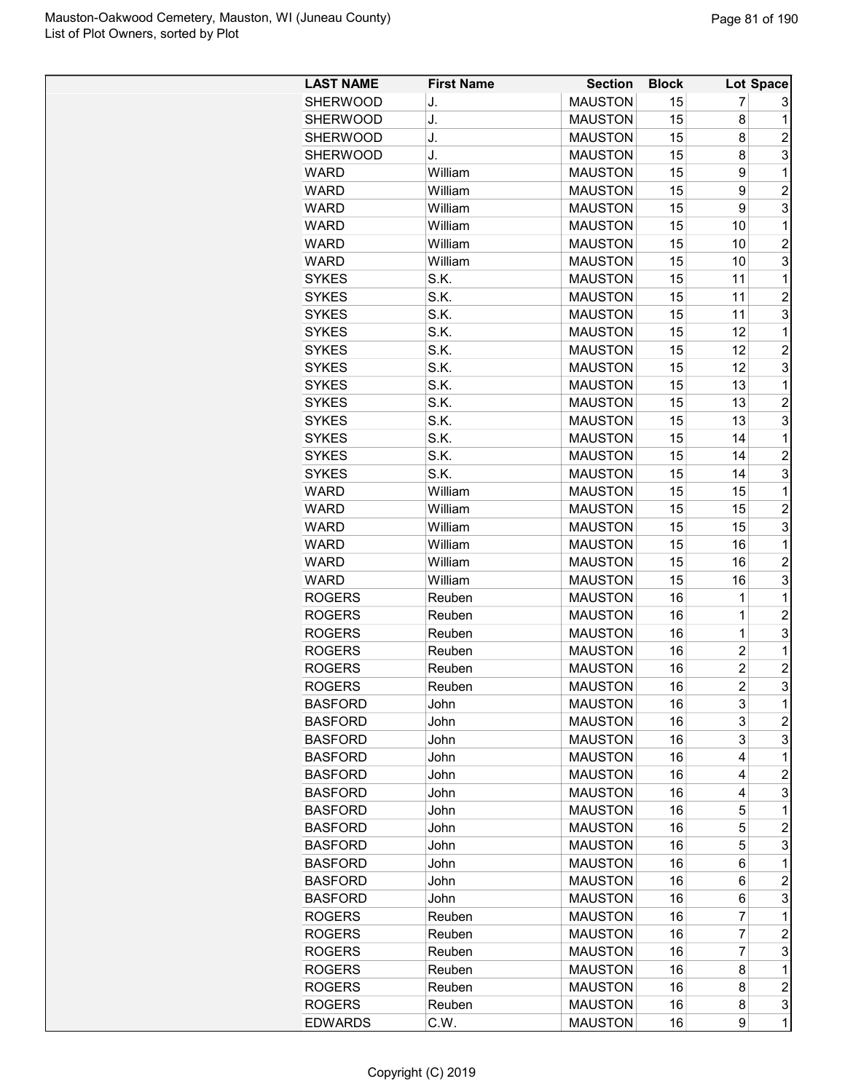| <b>LAST NAME</b> | <b>First Name</b> | <b>Section</b> | <b>Block</b> |                | Lot Space                 |
|------------------|-------------------|----------------|--------------|----------------|---------------------------|
| <b>SHERWOOD</b>  | J.                | <b>MAUSTON</b> | 15           | 7              | 3                         |
| <b>SHERWOOD</b>  | J.                | <b>MAUSTON</b> | 15           | 8              | 1                         |
| SHERWOOD         | J.                | <b>MAUSTON</b> | 15           | 8              | $\overline{2}$            |
| <b>SHERWOOD</b>  | J.                | <b>MAUSTON</b> | 15           | 8              | 3                         |
| <b>WARD</b>      | William           | <b>MAUSTON</b> | 15           | 9              | $\mathbf{1}$              |
| <b>WARD</b>      | William           | <b>MAUSTON</b> | 15           | 9              | $\overline{c}$            |
| <b>WARD</b>      | William           | <b>MAUSTON</b> | 15           | 9              | 3                         |
| <b>WARD</b>      | William           | <b>MAUSTON</b> | 15           | 10             | 1                         |
| <b>WARD</b>      | William           | <b>MAUSTON</b> | 15           | 10             | $\overline{c}$            |
| <b>WARD</b>      | William           | <b>MAUSTON</b> | 15           | 10             | 3                         |
| <b>SYKES</b>     | S.K.              | <b>MAUSTON</b> | 15           | 11             | 1                         |
| <b>SYKES</b>     | S.K.              | <b>MAUSTON</b> | 15           | 11             | $\overline{2}$            |
| <b>SYKES</b>     | S.K.              | <b>MAUSTON</b> | 15           | 11             | 3                         |
| <b>SYKES</b>     | S.K.              | <b>MAUSTON</b> | 15           | 12             | 1                         |
| <b>SYKES</b>     | S.K.              | <b>MAUSTON</b> | 15           | 12             | $\overline{2}$            |
|                  | S.K.              | <b>MAUSTON</b> | 15           | 12             | 3                         |
| <b>SYKES</b>     | S.K.              | <b>MAUSTON</b> | 15           | 13             | 1                         |
| <b>SYKES</b>     |                   |                |              |                |                           |
| <b>SYKES</b>     | S.K.              | <b>MAUSTON</b> | 15           | 13             | $\overline{2}$            |
| <b>SYKES</b>     | S.K.              | <b>MAUSTON</b> | 15           | 13             | 3                         |
| <b>SYKES</b>     | S.K.              | <b>MAUSTON</b> | 15           | 14             | 1                         |
| <b>SYKES</b>     | S.K.              | <b>MAUSTON</b> | 15           | 14             | $\overline{2}$            |
| <b>SYKES</b>     | S.K.              | <b>MAUSTON</b> | 15           | 14             | 3                         |
| <b>WARD</b>      | William           | <b>MAUSTON</b> | 15           | 15             | 1                         |
| <b>WARD</b>      | William           | <b>MAUSTON</b> | 15           | 15             | $\overline{c}$            |
| WARD             | William           | <b>MAUSTON</b> | 15           | 15             | 3                         |
| <b>WARD</b>      | William           | <b>MAUSTON</b> | 15           | 16             | 1                         |
| <b>WARD</b>      | William           | <b>MAUSTON</b> | 15           | 16             | $\overline{c}$            |
| <b>WARD</b>      | William           | <b>MAUSTON</b> | 15           | 16             | 3                         |
| <b>ROGERS</b>    | Reuben            | <b>MAUSTON</b> | 16           | 1              | 1                         |
| <b>ROGERS</b>    | Reuben            | <b>MAUSTON</b> | 16           | $\mathbf 1$    | $\overline{2}$            |
| <b>ROGERS</b>    | Reuben            | <b>MAUSTON</b> | 16           | $\mathbf 1$    | 3                         |
| <b>ROGERS</b>    | Reuben            | <b>MAUSTON</b> | 16           | $\overline{c}$ | 1                         |
| <b>ROGERS</b>    | Reuben            | <b>MAUSTON</b> | 16           | $\overline{c}$ | $\overline{\mathbf{c}}$   |
| <b>ROGERS</b>    | Reuben            | <b>MAUSTON</b> | 16           | $\overline{c}$ | 3                         |
| <b>BASFORD</b>   | John              | <b>MAUSTON</b> | 16           | 3              | 1                         |
| <b>BASFORD</b>   | John              | <b>MAUSTON</b> | 16           | 3              | $\overline{c}$            |
| <b>BASFORD</b>   | John              | <b>MAUSTON</b> | 16           | 3              | 3                         |
| <b>BASFORD</b>   | John              | <b>MAUSTON</b> | 16           | 4              | 1                         |
| <b>BASFORD</b>   | John              | <b>MAUSTON</b> | 16           | 4              | $\overline{c}$            |
| <b>BASFORD</b>   | John              | <b>MAUSTON</b> | 16           | 4              | $\ensuremath{\mathsf{3}}$ |
| <b>BASFORD</b>   | John              | <b>MAUSTON</b> | 16           | 5              | 1                         |
| <b>BASFORD</b>   | John              | <b>MAUSTON</b> | 16           | 5              | $\overline{c}$            |
| <b>BASFORD</b>   | John              | <b>MAUSTON</b> | 16           | 5              | 3                         |
| <b>BASFORD</b>   | John              | <b>MAUSTON</b> | 16           | 6              | 1                         |
| <b>BASFORD</b>   | John              | <b>MAUSTON</b> | 16           | 6              | $\overline{c}$            |
| <b>BASFORD</b>   | John              | <b>MAUSTON</b> | 16           | 6              | 3                         |
| <b>ROGERS</b>    | Reuben            | <b>MAUSTON</b> | 16           | 7              | 1                         |
| <b>ROGERS</b>    | Reuben            | <b>MAUSTON</b> | 16           | 7              | $\overline{c}$            |
| <b>ROGERS</b>    | Reuben            | <b>MAUSTON</b> | 16           | 7              | 3                         |
| <b>ROGERS</b>    | Reuben            | <b>MAUSTON</b> | 16           | 8              | 1                         |
| <b>ROGERS</b>    | Reuben            | <b>MAUSTON</b> | 16           | 8              | $\overline{c}$            |
| <b>ROGERS</b>    | Reuben            | <b>MAUSTON</b> | 16           | 8              | 3                         |
| <b>EDWARDS</b>   | C.W.              | <b>MAUSTON</b> | 16           | 9              | 1                         |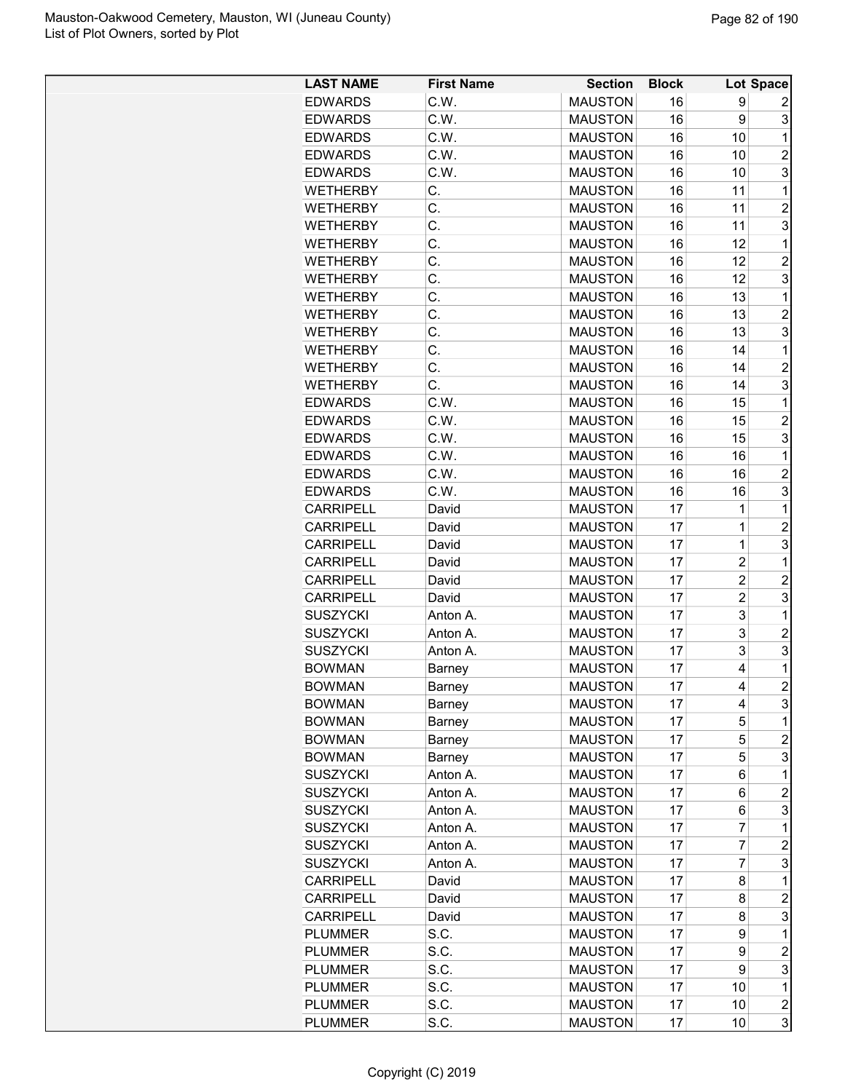| <b>LAST NAME</b> | <b>First Name</b> | <b>Section</b> | <b>Block</b> |                         | Lot Space           |
|------------------|-------------------|----------------|--------------|-------------------------|---------------------|
| <b>EDWARDS</b>   | C.W.              | <b>MAUSTON</b> | 16           | 9                       | 2                   |
| <b>EDWARDS</b>   | C.W.              | <b>MAUSTON</b> | 16           | 9                       | 3                   |
| <b>EDWARDS</b>   | C.W.              | <b>MAUSTON</b> | 16           | 10                      | 1                   |
| <b>EDWARDS</b>   | C.W.              | <b>MAUSTON</b> | 16           | 10                      | $\overline{c}$      |
| <b>EDWARDS</b>   | C.W.              | <b>MAUSTON</b> | 16           | 10                      | 3                   |
| <b>WETHERBY</b>  | C.                | <b>MAUSTON</b> | 16           | 11                      | 1                   |
| <b>WETHERBY</b>  | C.                | <b>MAUSTON</b> | 16           | 11                      | $\overline{c}$      |
| <b>WETHERBY</b>  | C.                | <b>MAUSTON</b> | 16           | 11                      | 3                   |
| <b>WETHERBY</b>  | C.                | <b>MAUSTON</b> | 16           | 12                      | $\mathbf 1$         |
| <b>WETHERBY</b>  | C.                | <b>MAUSTON</b> | 16           | 12                      | $\overline{2}$      |
| <b>WETHERBY</b>  | C.                | <b>MAUSTON</b> | 16           | 12                      | 3                   |
| <b>WETHERBY</b>  | C.                | <b>MAUSTON</b> | 16           | 13                      | 1                   |
| <b>WETHERBY</b>  | C.                | <b>MAUSTON</b> | 16           | 13                      | $\overline{c}$      |
| <b>WETHERBY</b>  | C.                | <b>MAUSTON</b> | 16           | 13                      | 3                   |
| <b>WETHERBY</b>  | C.                | <b>MAUSTON</b> | 16           | 14                      | 1                   |
| <b>WETHERBY</b>  | C.                | <b>MAUSTON</b> | 16           | 14                      | $\overline{2}$      |
| <b>WETHERBY</b>  | C.                | <b>MAUSTON</b> | 16           | 14                      | 3                   |
| <b>EDWARDS</b>   | C.W.              | <b>MAUSTON</b> | 16           | 15                      | 1                   |
| <b>EDWARDS</b>   | C.W.              | <b>MAUSTON</b> | 16           | 15                      | $\overline{c}$      |
| <b>EDWARDS</b>   | C.W.              | <b>MAUSTON</b> | 16           | 15                      | 3                   |
| <b>EDWARDS</b>   | C.W.              | <b>MAUSTON</b> | 16           | 16                      | 1                   |
| <b>EDWARDS</b>   | C.W.              | <b>MAUSTON</b> | 16           | 16                      | $\overline{2}$      |
|                  |                   |                |              |                         |                     |
| <b>EDWARDS</b>   | C.W.              | <b>MAUSTON</b> | 16           | 16                      | 3                   |
| <b>CARRIPELL</b> | David             | <b>MAUSTON</b> | 17           | 1<br>$\overline{1}$     | 1                   |
| <b>CARRIPELL</b> | David             | <b>MAUSTON</b> | 17           |                         | $\overline{2}$      |
| <b>CARRIPELL</b> | David             | <b>MAUSTON</b> | 17           | 1                       | 3                   |
| <b>CARRIPELL</b> | David             | <b>MAUSTON</b> | 17           | $\overline{2}$          | 1                   |
| <b>CARRIPELL</b> | David             | <b>MAUSTON</b> | 17           | $\overline{c}$          | $\overline{c}$      |
| <b>CARRIPELL</b> | David             | <b>MAUSTON</b> | 17           | $\overline{\mathbf{c}}$ | 3                   |
| <b>SUSZYCKI</b>  | Anton A.          | <b>MAUSTON</b> | 17           | 3                       | 1                   |
| <b>SUSZYCKI</b>  | Anton A.          | <b>MAUSTON</b> | 17           | 3                       | $\overline{2}$      |
| <b>SUSZYCKI</b>  | Anton A.          | <b>MAUSTON</b> | 17           | 3                       | 3                   |
| <b>BOWMAN</b>    | <b>Barney</b>     | <b>MAUSTON</b> | 17           | 4                       | 1<br>$\overline{2}$ |
| <b>BOWMAN</b>    | Barney            | <b>MAUSTON</b> | 17           | 4                       |                     |
| <b>BOWMAN</b>    | Barney            | <b>MAUSTON</b> | 17           | 4                       | 3                   |
| <b>BOWMAN</b>    | Barney            | <b>MAUSTON</b> | 17           | 5                       | 1                   |
| <b>BOWMAN</b>    | Barney            | <b>MAUSTON</b> | 17           | 5                       | $\overline{c}$      |
| <b>BOWMAN</b>    | Barney            | <b>MAUSTON</b> | 17           | 5                       | 3                   |
| <b>SUSZYCKI</b>  | Anton A.          | <b>MAUSTON</b> | 17           | 6                       | 1                   |
| <b>SUSZYCKI</b>  | Anton A.          | <b>MAUSTON</b> | 17           | 6                       | $\overline{c}$      |
| <b>SUSZYCKI</b>  | Anton A.          | <b>MAUSTON</b> | 17           | 6                       | 3                   |
| <b>SUSZYCKI</b>  | Anton A.          | <b>MAUSTON</b> | 17           | 7                       | 1                   |
| <b>SUSZYCKI</b>  | Anton A.          | <b>MAUSTON</b> | 17           | 7                       | $\overline{2}$      |
| <b>SUSZYCKI</b>  | Anton A.          | <b>MAUSTON</b> | 17           | 7                       | 3                   |
| <b>CARRIPELL</b> | David             | <b>MAUSTON</b> | 17           | 8                       | 1                   |
| <b>CARRIPELL</b> | David             | <b>MAUSTON</b> | 17           | 8                       | $\overline{c}$      |
| <b>CARRIPELL</b> | David             | <b>MAUSTON</b> | 17           | 8                       | 3                   |
| <b>PLUMMER</b>   | S.C.              | <b>MAUSTON</b> | 17           | 9                       | 1                   |
| <b>PLUMMER</b>   | S.C.              | <b>MAUSTON</b> | 17           | 9                       | $\overline{c}$      |
| <b>PLUMMER</b>   | S.C.              | <b>MAUSTON</b> | 17           | 9                       | 3                   |
| <b>PLUMMER</b>   | S.C.              | <b>MAUSTON</b> | 17           | 10                      | 1                   |
| <b>PLUMMER</b>   | S.C.              | <b>MAUSTON</b> | 17           | 10                      | $\overline{c}$      |
| <b>PLUMMER</b>   | S.C.              | <b>MAUSTON</b> | 17           | 10                      | 3                   |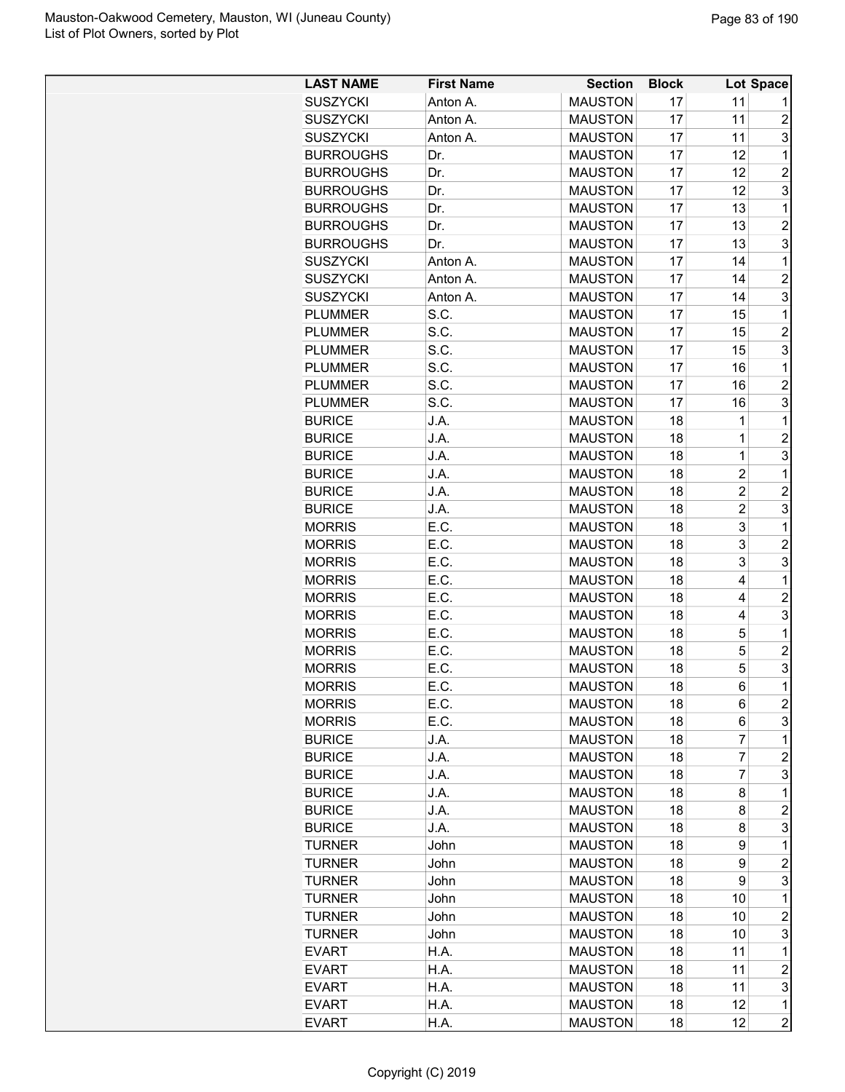| <b>LAST NAME</b> | <b>First Name</b> | <b>Section</b> | <b>Block</b> |                | Lot Space           |
|------------------|-------------------|----------------|--------------|----------------|---------------------|
| <b>SUSZYCKI</b>  | Anton A.          | <b>MAUSTON</b> | 17           | 11             |                     |
| <b>SUSZYCKI</b>  | Anton A.          | <b>MAUSTON</b> | 17           | 11             | $\overline{2}$      |
| <b>SUSZYCKI</b>  | Anton A.          | <b>MAUSTON</b> | 17           | 11             | 3                   |
| <b>BURROUGHS</b> | Dr.               | <b>MAUSTON</b> | 17           | 12             | 1                   |
| <b>BURROUGHS</b> | Dr.               | <b>MAUSTON</b> | 17           | 12             | $\overline{2}$      |
| <b>BURROUGHS</b> | Dr.               | <b>MAUSTON</b> | 17           | 12             | 3                   |
| <b>BURROUGHS</b> | Dr.               | <b>MAUSTON</b> | 17           | 13             | 1                   |
| <b>BURROUGHS</b> | Dr.               | <b>MAUSTON</b> | 17           | 13             | $\overline{2}$      |
| <b>BURROUGHS</b> | Dr.               | <b>MAUSTON</b> | 17           | 13             | 3                   |
| <b>SUSZYCKI</b>  | Anton A.          | <b>MAUSTON</b> | 17           | 14             | $\mathbf 1$         |
| <b>SUSZYCKI</b>  | Anton A.          | <b>MAUSTON</b> | 17           | 14             | $\overline{2}$      |
| <b>SUSZYCKI</b>  | Anton A.          | <b>MAUSTON</b> | 17           | 14             | 3                   |
| <b>PLUMMER</b>   | S.C.              | <b>MAUSTON</b> | 17           | 15             | 1                   |
| <b>PLUMMER</b>   | S.C.              | <b>MAUSTON</b> | 17           | 15             | $\overline{c}$      |
| <b>PLUMMER</b>   | S.C.              | <b>MAUSTON</b> | 17           | 15             | 3                   |
| <b>PLUMMER</b>   | S.C.              | <b>MAUSTON</b> | 17           | 16             | 1                   |
| <b>PLUMMER</b>   | S.C.              | <b>MAUSTON</b> | 17           | 16             | $\overline{c}$      |
| <b>PLUMMER</b>   | S.C.              | <b>MAUSTON</b> | 17           | 16             | 3                   |
| <b>BURICE</b>    | J.A.              | <b>MAUSTON</b> | 18           | 1              | 1                   |
| <b>BURICE</b>    | J.A.              | <b>MAUSTON</b> | 18           | 1              | $\overline{2}$      |
| <b>BURICE</b>    | J.A.              | <b>MAUSTON</b> | 18           | $\mathbf{1}$   | 3                   |
| <b>BURICE</b>    | J.A.              | <b>MAUSTON</b> | 18           | $\overline{2}$ | $\mathbf 1$         |
| <b>BURICE</b>    | J.A.              | <b>MAUSTON</b> | 18           | $\overline{2}$ | $\overline{2}$      |
| <b>BURICE</b>    | J.A.              | <b>MAUSTON</b> | 18           | $\overline{c}$ | 3                   |
| <b>MORRIS</b>    | E.C.              | <b>MAUSTON</b> | 18           | 3              | 1                   |
| <b>MORRIS</b>    | E.C.              | <b>MAUSTON</b> | 18           | 3              | $\overline{2}$      |
| <b>MORRIS</b>    | E.C.              | <b>MAUSTON</b> | 18           | 3              | 3                   |
|                  | E.C.              | <b>MAUSTON</b> | 18           | 4              | 1                   |
| <b>MORRIS</b>    | E.C.              |                |              |                | $\overline{c}$      |
| <b>MORRIS</b>    |                   | <b>MAUSTON</b> | 18           | 4              |                     |
| <b>MORRIS</b>    | E.C.              | <b>MAUSTON</b> | 18           | 4              | 3                   |
| <b>MORRIS</b>    | E.C.              | <b>MAUSTON</b> | 18           | 5              | 1                   |
| <b>MORRIS</b>    | E.C.              | <b>MAUSTON</b> | 18           | 5              | $\overline{2}$      |
| <b>MORRIS</b>    | E.C.              | <b>MAUSTON</b> | 18           | 5              | 3<br>$\overline{1}$ |
| <b>MORRIS</b>    | E.C.              | <b>MAUSTON</b> | 18           | 6              |                     |
| <b>MORRIS</b>    | E.C.              | <b>MAUSTON</b> | 18           | 6              | $\overline{c}$      |
| <b>MORRIS</b>    | E.C.              | <b>MAUSTON</b> | 18           | 6              | 3                   |
| <b>BURICE</b>    | J.A.              | <b>MAUSTON</b> | 18           | 7              | 1                   |
| <b>BURICE</b>    | J.A.              | <b>MAUSTON</b> | 18           | $\overline{7}$ | $\overline{c}$      |
| <b>BURICE</b>    | J.A.              | <b>MAUSTON</b> | 18           | 7              | 3                   |
| <b>BURICE</b>    | J.A.              | <b>MAUSTON</b> | 18           | 8              | 1                   |
| <b>BURICE</b>    | J.A.              | <b>MAUSTON</b> | 18           | 8              | $\overline{c}$      |
| <b>BURICE</b>    | J.A.              | <b>MAUSTON</b> | 18           | 8              | 3                   |
| <b>TURNER</b>    | John              | <b>MAUSTON</b> | 18           | 9              | 1                   |
| <b>TURNER</b>    | John              | <b>MAUSTON</b> | 18           | 9              | $\overline{c}$      |
| <b>TURNER</b>    | John              | <b>MAUSTON</b> | 18           | 9              | 3                   |
| <b>TURNER</b>    | John              | <b>MAUSTON</b> | 18           | 10             | 1                   |
| <b>TURNER</b>    | John              | <b>MAUSTON</b> | 18           | 10             | 2                   |
| <b>TURNER</b>    | John              | <b>MAUSTON</b> | 18           | 10             | 3                   |
| <b>EVART</b>     | H.A.              | <b>MAUSTON</b> | 18           | 11             | 1                   |
| <b>EVART</b>     | H.A.              | <b>MAUSTON</b> | 18           | 11             | $\overline{c}$      |
| <b>EVART</b>     | H.A.              | <b>MAUSTON</b> | 18           | 11             | 3                   |
| <b>EVART</b>     | H.A.              | <b>MAUSTON</b> | 18           | 12             | 1                   |
| <b>EVART</b>     | H.A.              | <b>MAUSTON</b> | 18           | 12             | $\overline{c}$      |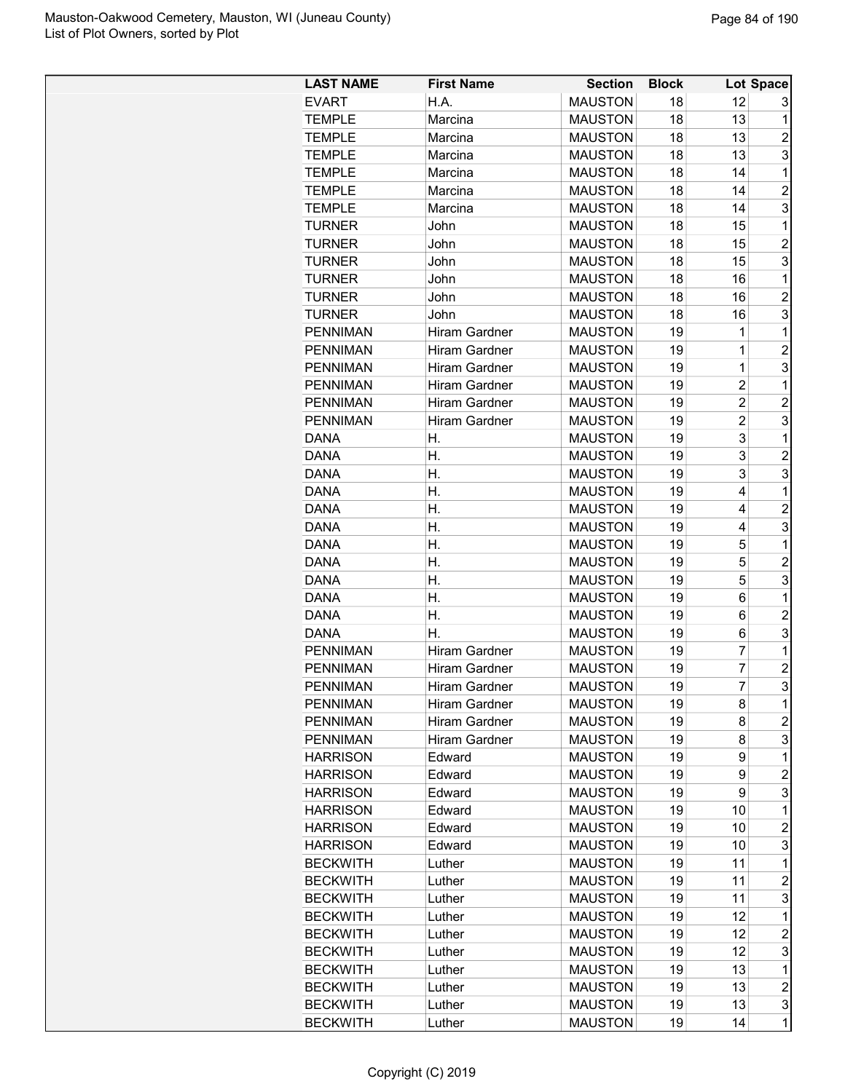| <b>LAST NAME</b>                   | <b>First Name</b>                     | <b>Section</b> | <b>Block</b> |                | Lot Space           |
|------------------------------------|---------------------------------------|----------------|--------------|----------------|---------------------|
| <b>EVART</b>                       | H.A.                                  | <b>MAUSTON</b> | 18           | 12             | 3                   |
| <b>TEMPLE</b>                      | Marcina                               | <b>MAUSTON</b> | 18           | 13             | 1                   |
| <b>TEMPLE</b>                      | Marcina                               | <b>MAUSTON</b> | 18           | 13             | $\overline{c}$      |
| <b>TEMPLE</b>                      | Marcina                               | <b>MAUSTON</b> | 18           | 13             | 3                   |
| <b>TEMPLE</b>                      | Marcina                               | <b>MAUSTON</b> | 18           | 14             | 1                   |
| <b>TEMPLE</b>                      | Marcina                               | <b>MAUSTON</b> | 18           | 14             | $\overline{2}$      |
| <b>TEMPLE</b>                      | Marcina                               | <b>MAUSTON</b> | 18           | 14             | 3                   |
| <b>TURNER</b>                      | John                                  | <b>MAUSTON</b> | 18           | 15             | 1                   |
| <b>TURNER</b>                      | John                                  | <b>MAUSTON</b> | 18           | 15             | $\overline{2}$      |
| <b>TURNER</b>                      | John                                  | <b>MAUSTON</b> | 18           | 15             | 3                   |
| <b>TURNER</b>                      | John                                  | <b>MAUSTON</b> | 18           | 16             | 1                   |
| <b>TURNER</b>                      | John                                  | <b>MAUSTON</b> | 18           | 16             | $\overline{2}$      |
| <b>TURNER</b>                      | John                                  | <b>MAUSTON</b> | 18           | 16             | 3                   |
| <b>PENNIMAN</b>                    | <b>Hiram Gardner</b>                  | <b>MAUSTON</b> | 19           | 1              | 1                   |
| <b>PENNIMAN</b>                    | <b>Hiram Gardner</b>                  | <b>MAUSTON</b> | 19           | $\mathbf 1$    | $\overline{2}$      |
| <b>PENNIMAN</b>                    | Hiram Gardner                         | <b>MAUSTON</b> | 19           | $\mathbf 1$    | 3                   |
| <b>PENNIMAN</b>                    | Hiram Gardner                         | <b>MAUSTON</b> | 19           | $\overline{2}$ | 1                   |
| <b>PENNIMAN</b>                    | Hiram Gardner                         | <b>MAUSTON</b> | 19           | $\overline{2}$ | $\overline{c}$      |
| <b>PENNIMAN</b>                    | Hiram Gardner                         | <b>MAUSTON</b> | 19           | $\overline{c}$ | 3                   |
| <b>DANA</b>                        | Η.                                    | <b>MAUSTON</b> | 19           | 3              | 1                   |
| <b>DANA</b>                        | Η.                                    | <b>MAUSTON</b> | 19           | 3              | $\overline{c}$      |
| <b>DANA</b>                        | Η.                                    | <b>MAUSTON</b> | 19           | 3              | 3                   |
| <b>DANA</b>                        | Η.                                    | <b>MAUSTON</b> | 19           | 4              | 1                   |
| <b>DANA</b>                        | Η.                                    | <b>MAUSTON</b> | 19           | 4              | $\overline{2}$      |
| <b>DANA</b>                        | Η.                                    | <b>MAUSTON</b> | 19           | 4              | 3                   |
| <b>DANA</b>                        | Η.                                    | <b>MAUSTON</b> | 19           | 5              | 1                   |
| <b>DANA</b>                        | Н.                                    | <b>MAUSTON</b> | 19           | 5              | $\overline{2}$      |
| <b>DANA</b>                        | Η.                                    | <b>MAUSTON</b> | 19           | 5              | 3                   |
| <b>DANA</b>                        | Η.                                    | <b>MAUSTON</b> | 19           | 6              | 1                   |
| <b>DANA</b>                        | Η.                                    | <b>MAUSTON</b> | 19           | 6              | $\overline{c}$      |
| <b>DANA</b>                        | Η.                                    | <b>MAUSTON</b> | 19           | 6              | 3                   |
| <b>PENNIMAN</b>                    | Hiram Gardner                         | <b>MAUSTON</b> | 19           | $\overline{7}$ | 1                   |
| <b>PENNIMAN</b>                    | Hiram Gardner                         | <b>MAUSTON</b> | 19           | $\overline{7}$ | $\overline{c}$      |
| <b>PENNIMAN</b>                    | Hiram Gardner                         | <b>MAUSTON</b> | 19           | $\overline{7}$ | 3                   |
| <b>PENNIMAN</b>                    |                                       | <b>MAUSTON</b> |              |                |                     |
| <b>PENNIMAN</b>                    | Hiram Gardner<br><b>Hiram Gardner</b> | <b>MAUSTON</b> | 19<br>19     | 8              | 1<br>$\overline{c}$ |
| <b>PENNIMAN</b>                    | Hiram Gardner                         | <b>MAUSTON</b> | 19           | 8<br>8         | 3                   |
| <b>HARRISON</b>                    | Edward                                | <b>MAUSTON</b> | 19           | 9              | 1                   |
| <b>HARRISON</b>                    |                                       | <b>MAUSTON</b> | 19           |                | $\overline{c}$      |
|                                    | Edward                                | <b>MAUSTON</b> |              | 9              | 3                   |
| <b>HARRISON</b><br><b>HARRISON</b> | Edward                                | <b>MAUSTON</b> | 19           | 9              | 1                   |
| <b>HARRISON</b>                    | Edward                                | <b>MAUSTON</b> | 19           | 10<br>10       | $\overline{2}$      |
|                                    | Edward                                | <b>MAUSTON</b> | 19<br>19     | 10             | 3                   |
| <b>HARRISON</b>                    | Edward                                |                |              |                |                     |
| <b>BECKWITH</b>                    | Luther                                | <b>MAUSTON</b> | 19           | 11             | 1                   |
| <b>BECKWITH</b>                    | Luther                                | <b>MAUSTON</b> | 19           | 11             | $\overline{c}$      |
| <b>BECKWITH</b>                    | Luther                                | <b>MAUSTON</b> | 19           | 11             | 3                   |
| <b>BECKWITH</b>                    | Luther                                | <b>MAUSTON</b> | 19           | 12             | 1                   |
| <b>BECKWITH</b>                    | Luther                                | <b>MAUSTON</b> | 19           | 12             | $\overline{c}$      |
| <b>BECKWITH</b>                    | Luther                                | <b>MAUSTON</b> | 19           | 12             | 3                   |
| <b>BECKWITH</b>                    | Luther                                | <b>MAUSTON</b> | 19           | 13             | 1                   |
| <b>BECKWITH</b>                    | Luther                                | <b>MAUSTON</b> | 19           | 13             | $\overline{2}$      |
| <b>BECKWITH</b>                    | Luther                                | <b>MAUSTON</b> | 19           | 13             | 3                   |
| <b>BECKWITH</b>                    | Luther                                | <b>MAUSTON</b> | 19           | 14             | $\mathbf{1}$        |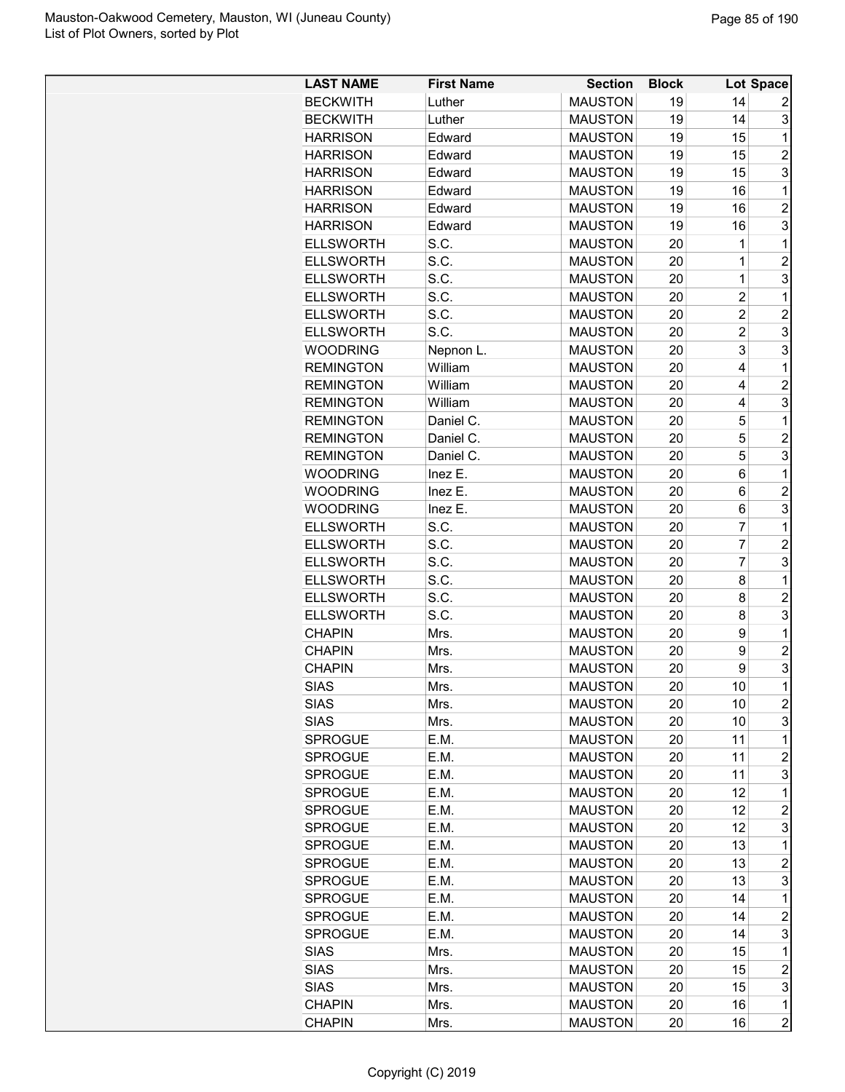| <b>LAST NAME</b> | <b>First Name</b> | <b>Section</b> | <b>Block</b> |                | Lot Space      |
|------------------|-------------------|----------------|--------------|----------------|----------------|
| <b>BECKWITH</b>  | Luther            | <b>MAUSTON</b> | 19           | 14             | 2              |
| <b>BECKWITH</b>  | Luther            | <b>MAUSTON</b> | 19           | 14             | 3              |
| <b>HARRISON</b>  | Edward            | <b>MAUSTON</b> | 19           | 15             | 1              |
| <b>HARRISON</b>  | Edward            | <b>MAUSTON</b> | 19           | 15             | $\overline{2}$ |
| <b>HARRISON</b>  | Edward            | <b>MAUSTON</b> | 19           | 15             | 3              |
| <b>HARRISON</b>  | Edward            | <b>MAUSTON</b> | 19           | 16             | 1              |
| <b>HARRISON</b>  | Edward            | <b>MAUSTON</b> | 19           | 16             | $\overline{2}$ |
| <b>HARRISON</b>  | Edward            | <b>MAUSTON</b> | 19           | 16             | 3              |
| <b>ELLSWORTH</b> | S.C.              | <b>MAUSTON</b> | 20           | 1              | 1              |
| <b>ELLSWORTH</b> | S.C.              | <b>MAUSTON</b> | 20           | $\mathbf 1$    | $\overline{2}$ |
| <b>ELLSWORTH</b> | S.C.              | <b>MAUSTON</b> | 20           | $\mathbf 1$    | 3              |
| <b>ELLSWORTH</b> | S.C.              | <b>MAUSTON</b> | 20           | $\overline{c}$ | 1              |
| <b>ELLSWORTH</b> | S.C.              | <b>MAUSTON</b> | 20           | $\overline{c}$ | $\overline{2}$ |
| <b>ELLSWORTH</b> | S.C.              | <b>MAUSTON</b> | 20           | $\overline{2}$ | 3              |
| <b>WOODRING</b>  | Nepnon L.         | <b>MAUSTON</b> | 20           | 3              | 3              |
| <b>REMINGTON</b> | William           | <b>MAUSTON</b> | 20           | 4              | 1              |
| <b>REMINGTON</b> | William           | <b>MAUSTON</b> | 20           | 4              | $\overline{2}$ |
| <b>REMINGTON</b> | William           | <b>MAUSTON</b> | 20           | 4              | 3              |
| <b>REMINGTON</b> | Daniel C.         | <b>MAUSTON</b> | 20           | 5              | 1              |
| <b>REMINGTON</b> | Daniel C.         | <b>MAUSTON</b> | 20           | 5              | $\overline{c}$ |
| <b>REMINGTON</b> | Daniel C.         | <b>MAUSTON</b> | 20           | 5              | 3              |
| <b>WOODRING</b>  | Inez E.           | <b>MAUSTON</b> | 20           | 6              | 1              |
| <b>WOODRING</b>  | Inez E.           | <b>MAUSTON</b> | 20           | 6              | $\overline{c}$ |
| <b>WOODRING</b>  | Inez E.           | <b>MAUSTON</b> | 20           | 6              | 3              |
| <b>ELLSWORTH</b> | S.C.              | <b>MAUSTON</b> | 20           | 7              | 1              |
| <b>ELLSWORTH</b> | S.C.              | <b>MAUSTON</b> | 20           | $\overline{7}$ | $\overline{2}$ |
| <b>ELLSWORTH</b> | S.C.              | <b>MAUSTON</b> | 20           | $\overline{7}$ | 3              |
| <b>ELLSWORTH</b> | S.C.              | <b>MAUSTON</b> | 20           | 8              | 1              |
| <b>ELLSWORTH</b> | S.C.              | <b>MAUSTON</b> | 20           | 8              | $\overline{c}$ |
| <b>ELLSWORTH</b> | S.C.              | <b>MAUSTON</b> | 20           | 8              | 3              |
| <b>CHAPIN</b>    | Mrs.              | <b>MAUSTON</b> | 20           | 9              | 1              |
| <b>CHAPIN</b>    | Mrs.              | <b>MAUSTON</b> | 20           | 9              | $\overline{2}$ |
| <b>CHAPIN</b>    | Mrs.              | <b>MAUSTON</b> | 20           | 9              | 3              |
| <b>SIAS</b>      | Mrs               | <b>MAUSTON</b> | 20           | 10             | $\overline{1}$ |
| <b>SIAS</b>      | Mrs.              | <b>MAUSTON</b> | 20           | 10             | $\overline{c}$ |
| <b>SIAS</b>      | Mrs.              | <b>MAUSTON</b> | 20           | 10             | 3              |
| SPROGUE          | E.M.              | <b>MAUSTON</b> | 20           | 11             | $\mathbf 1$    |
| <b>SPROGUE</b>   | E.M.              | <b>MAUSTON</b> | 20           | 11             | $\overline{c}$ |
| <b>SPROGUE</b>   | E.M.              | <b>MAUSTON</b> | 20           | 11             | 3              |
| <b>SPROGUE</b>   | E.M.              | <b>MAUSTON</b> | 20           | 12             | 1              |
| SPROGUE          | E.M.              | <b>MAUSTON</b> | 20           | 12             | $\overline{c}$ |
| <b>SPROGUE</b>   | E.M.              | <b>MAUSTON</b> | 20           | 12             | 3              |
| <b>SPROGUE</b>   | E.M.              | <b>MAUSTON</b> | 20           | 13             | $\mathbf 1$    |
| <b>SPROGUE</b>   | E.M.              | <b>MAUSTON</b> | 20           | 13             | $\overline{c}$ |
| <b>SPROGUE</b>   | E.M.              | <b>MAUSTON</b> | 20           | 13             | 3              |
| <b>SPROGUE</b>   | E.M.              | <b>MAUSTON</b> | 20           | 14             | 1              |
|                  |                   |                |              |                |                |
| <b>SPROGUE</b>   | E.M.              | <b>MAUSTON</b> | 20           | 14             | $\overline{c}$ |
| <b>SPROGUE</b>   | E.M.              | <b>MAUSTON</b> | 20           | 14             | 3              |
| <b>SIAS</b>      | Mrs.              | <b>MAUSTON</b> | 20           | 15             | 1              |
| <b>SIAS</b>      | Mrs.              | <b>MAUSTON</b> | 20           | 15             | $\overline{c}$ |
| <b>SIAS</b>      | Mrs.              | <b>MAUSTON</b> | 20           | 15             | 3              |
| <b>CHAPIN</b>    | Mrs.              | <b>MAUSTON</b> | 20           | 16             | 1              |
| <b>CHAPIN</b>    | Mrs.              | <b>MAUSTON</b> | 20           | 16             | $\overline{c}$ |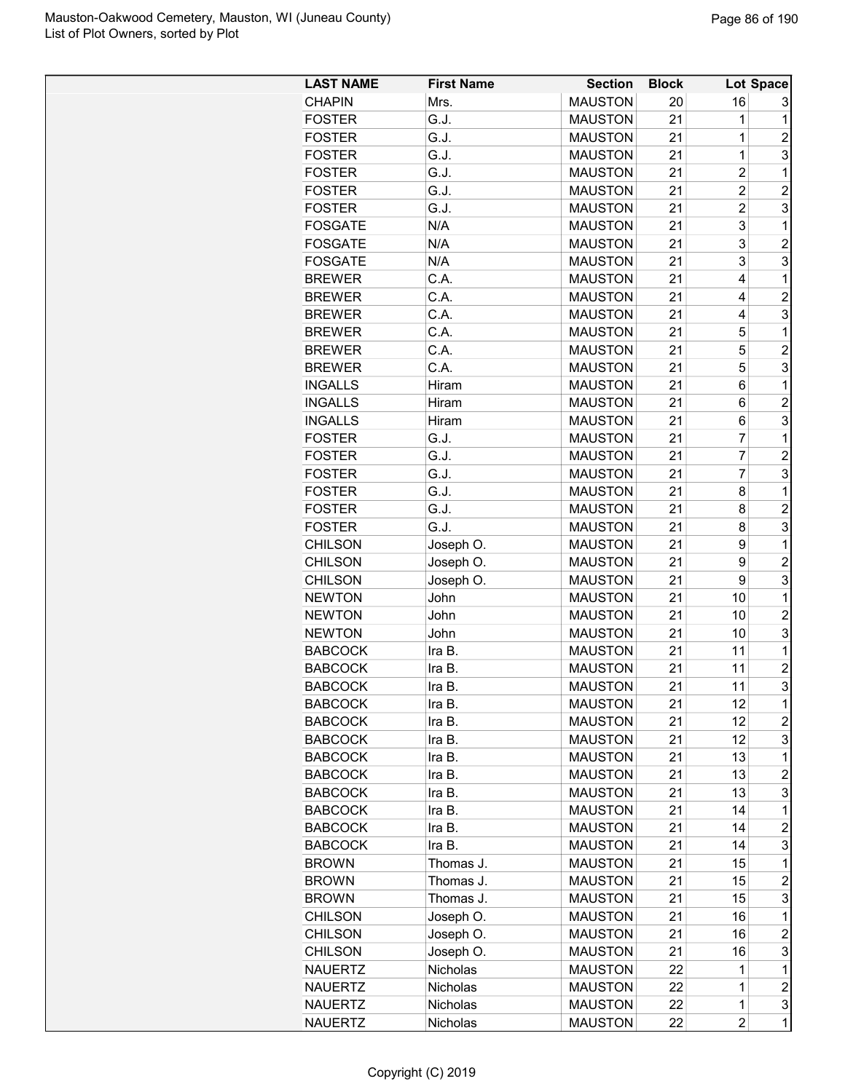| <b>LAST NAME</b> | <b>First Name</b> | <b>Section</b> | <b>Block</b> |                         | Lot Space               |
|------------------|-------------------|----------------|--------------|-------------------------|-------------------------|
| <b>CHAPIN</b>    | Mrs.              | <b>MAUSTON</b> | 20           | 16                      | 3                       |
| <b>FOSTER</b>    | G.J.              | <b>MAUSTON</b> | 21           | 1                       | $\mathbf 1$             |
| <b>FOSTER</b>    | G.J.              | <b>MAUSTON</b> | 21           | $\overline{1}$          | 2                       |
| <b>FOSTER</b>    | G.J.              | <b>MAUSTON</b> | 21           | $\mathbf 1$             | 3                       |
| <b>FOSTER</b>    | G.J.              | <b>MAUSTON</b> | 21           | $\overline{c}$          | $\mathbf{1}$            |
| <b>FOSTER</b>    | G.J.              | <b>MAUSTON</b> | 21           | $\overline{c}$          | $\overline{c}$          |
| <b>FOSTER</b>    | G.J.              | <b>MAUSTON</b> | 21           | $\overline{\mathbf{c}}$ | 3                       |
| <b>FOSGATE</b>   | N/A               | <b>MAUSTON</b> | 21           | 3                       | $\mathbf{1}$            |
| <b>FOSGATE</b>   | N/A               | <b>MAUSTON</b> | 21           | 3                       | $\overline{c}$          |
| <b>FOSGATE</b>   | N/A               | <b>MAUSTON</b> | 21           | 3                       | 3                       |
| <b>BREWER</b>    | C.A.              | <b>MAUSTON</b> | 21           | 4                       | $\mathbf{1}$            |
| <b>BREWER</b>    | C.A.              | <b>MAUSTON</b> | 21           | 4                       | $\overline{2}$          |
| <b>BREWER</b>    | C.A.              | <b>MAUSTON</b> | 21           | 4                       | 3                       |
| <b>BREWER</b>    | C.A.              | <b>MAUSTON</b> | 21           | 5                       | $\mathbf 1$             |
| <b>BREWER</b>    | C.A.              | <b>MAUSTON</b> | 21           | 5                       | $\overline{2}$          |
| <b>BREWER</b>    | C.A.              | <b>MAUSTON</b> | 21           | 5                       | 3                       |
| <b>INGALLS</b>   | Hiram             | <b>MAUSTON</b> | 21           | 6                       | 1                       |
| <b>INGALLS</b>   | Hiram             | <b>MAUSTON</b> | 21           | 6                       | $\overline{2}$          |
| <b>INGALLS</b>   | Hiram             | <b>MAUSTON</b> | 21           | 6                       | 3                       |
| <b>FOSTER</b>    | G.J.              | <b>MAUSTON</b> | 21           | $\overline{7}$          | $\mathbf 1$             |
| <b>FOSTER</b>    | G.J.              | <b>MAUSTON</b> | 21           | $\overline{7}$          | $\overline{2}$          |
| <b>FOSTER</b>    | G.J.              | <b>MAUSTON</b> | 21           | $\overline{7}$          | 3                       |
| <b>FOSTER</b>    | G.J.              | <b>MAUSTON</b> | 21           | 8                       | $\mathbf 1$             |
| <b>FOSTER</b>    | G.J.              | <b>MAUSTON</b> | 21           | 8                       | $\overline{c}$          |
| <b>FOSTER</b>    | G.J.              | <b>MAUSTON</b> | 21           | 8                       | 3                       |
|                  |                   |                |              |                         | $\mathbf 1$             |
| <b>CHILSON</b>   | Joseph O.         | <b>MAUSTON</b> | 21           | 9                       |                         |
| <b>CHILSON</b>   | Joseph O.         | <b>MAUSTON</b> | 21           | 9                       | $\overline{2}$          |
| <b>CHILSON</b>   | Joseph O.         | <b>MAUSTON</b> | 21           | 9                       | 3                       |
| <b>NEWTON</b>    | John              | <b>MAUSTON</b> | 21           | 10                      | $\mathbf 1$             |
| <b>NEWTON</b>    | John              | <b>MAUSTON</b> | 21           | 10                      | $\overline{c}$          |
| <b>NEWTON</b>    | John              | <b>MAUSTON</b> | 21           | 10                      | 3                       |
| <b>BABCOCK</b>   | Ira B.            | <b>MAUSTON</b> | 21           | 11                      | $\mathbf 1$             |
| <b>BABCOCK</b>   | Ira B.            | <b>MAUSTON</b> | 21           | 11                      | $\overline{c}$          |
| <b>BABCOCK</b>   | Ira B.            | <b>MAUSTON</b> | 21           | 11                      | $\overline{3}$          |
| <b>BABCOCK</b>   | Ira B.            | <b>MAUSTON</b> | 21           | 12                      | 1                       |
| <b>BABCOCK</b>   | Ira B.            | <b>MAUSTON</b> | 21           | 12                      | 2                       |
| <b>BABCOCK</b>   | Ira B.            | <b>MAUSTON</b> | 21           | 12                      | 3                       |
| <b>BABCOCK</b>   | Ira B.            | <b>MAUSTON</b> | 21           | 13                      | $\mathbf 1$             |
| <b>BABCOCK</b>   | Ira B.            | <b>MAUSTON</b> | 21           | 13                      | 2                       |
| <b>BABCOCK</b>   | Ira B.            | <b>MAUSTON</b> | 21           | 13                      | 3                       |
| <b>BABCOCK</b>   | Ira B.            | <b>MAUSTON</b> | 21           | 14                      | $\mathbf 1$             |
| <b>BABCOCK</b>   | Ira B.            | <b>MAUSTON</b> | 21           | 14                      | $\overline{\mathbf{c}}$ |
| <b>BABCOCK</b>   | Ira B.            | <b>MAUSTON</b> | 21           | 14                      | 3                       |
| <b>BROWN</b>     | Thomas J.         | <b>MAUSTON</b> | 21           | 15                      | $\mathbf 1$             |
| <b>BROWN</b>     | Thomas J.         | <b>MAUSTON</b> | 21           | 15                      | $\overline{c}$          |
| <b>BROWN</b>     | Thomas J.         | <b>MAUSTON</b> | 21           | 15                      | 3                       |
| <b>CHILSON</b>   | Joseph O.         | <b>MAUSTON</b> | 21           | 16                      | 1                       |
| <b>CHILSON</b>   | Joseph O.         | <b>MAUSTON</b> | 21           | 16                      | $\overline{\mathbf{c}}$ |
| <b>CHILSON</b>   | Joseph O.         | <b>MAUSTON</b> | 21           | 16                      | 3                       |
| <b>NAUERTZ</b>   | Nicholas          | <b>MAUSTON</b> | 22           | 1                       | 1                       |
| <b>NAUERTZ</b>   | Nicholas          | <b>MAUSTON</b> | 22           | 1                       | $\overline{\mathbf{c}}$ |
| <b>NAUERTZ</b>   | Nicholas          | <b>MAUSTON</b> | 22           | $\mathbf 1$             | 3                       |
| <b>NAUERTZ</b>   | Nicholas          | <b>MAUSTON</b> | 22           | $\overline{\mathbf{c}}$ | $\mathbf 1$             |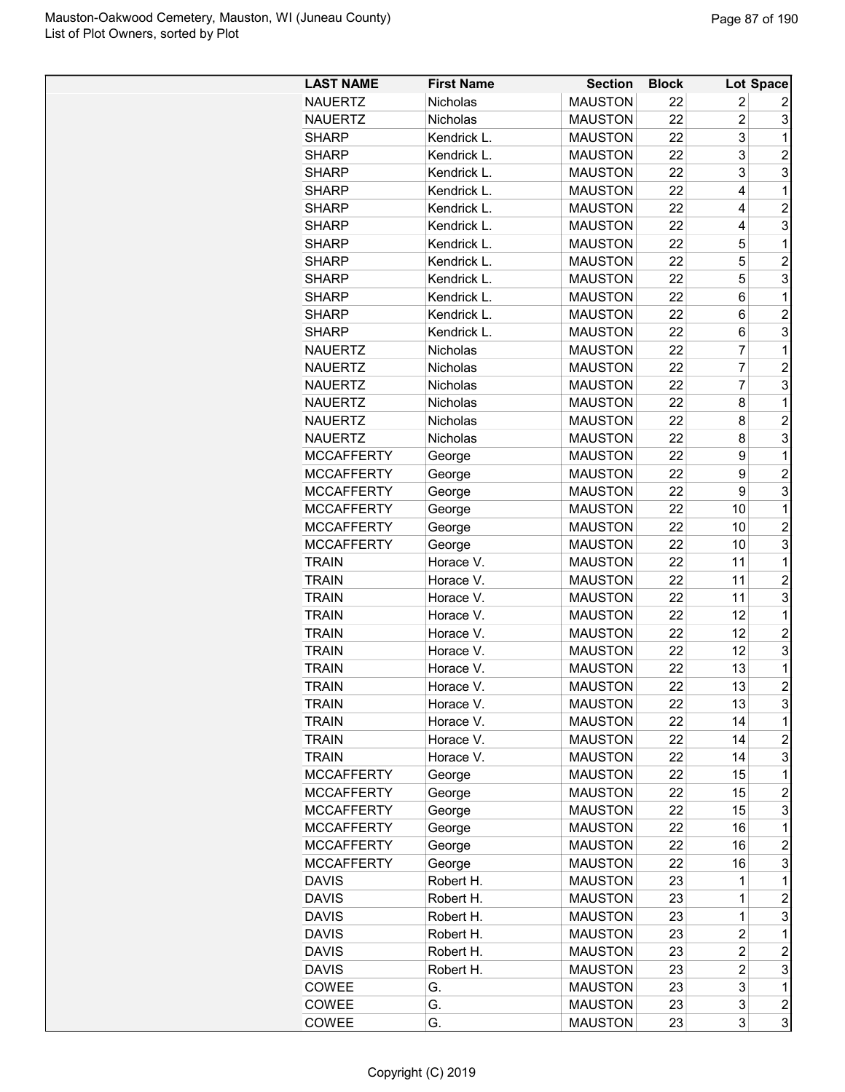| <b>LAST NAME</b>  | <b>First Name</b> | <b>Section</b> | <b>Block</b> |                | Lot Space               |
|-------------------|-------------------|----------------|--------------|----------------|-------------------------|
| <b>NAUERTZ</b>    | Nicholas          | <b>MAUSTON</b> | 22           | 2              | 2                       |
| <b>NAUERTZ</b>    | Nicholas          | <b>MAUSTON</b> | 22           | $\overline{2}$ | 3                       |
| <b>SHARP</b>      | Kendrick L.       | <b>MAUSTON</b> | 22           | 3              | 1                       |
| <b>SHARP</b>      | Kendrick L.       | <b>MAUSTON</b> | 22           | 3              | $\overline{c}$          |
| <b>SHARP</b>      | Kendrick L.       | <b>MAUSTON</b> | 22           | 3              | 3                       |
| <b>SHARP</b>      | Kendrick L.       | <b>MAUSTON</b> | 22           | 4              | 1                       |
| <b>SHARP</b>      | Kendrick L.       | <b>MAUSTON</b> | 22           | 4              | $\overline{c}$          |
| <b>SHARP</b>      | Kendrick L.       | <b>MAUSTON</b> | 22           | 4              | 3                       |
| <b>SHARP</b>      | Kendrick L.       | <b>MAUSTON</b> | 22           | 5              | 1                       |
| <b>SHARP</b>      | Kendrick L.       | <b>MAUSTON</b> | 22           | 5              | $\overline{c}$          |
| <b>SHARP</b>      | Kendrick L.       | <b>MAUSTON</b> | 22           | 5              | 3                       |
| <b>SHARP</b>      | Kendrick L.       | <b>MAUSTON</b> | 22           | 6              | 1                       |
| <b>SHARP</b>      | Kendrick L.       | <b>MAUSTON</b> | 22           | 6              | $\overline{2}$          |
| <b>SHARP</b>      | Kendrick L.       | <b>MAUSTON</b> | 22           | 6              | 3                       |
| <b>NAUERTZ</b>    | <b>Nicholas</b>   | <b>MAUSTON</b> | 22           | 7              | 1                       |
| <b>NAUERTZ</b>    | Nicholas          | <b>MAUSTON</b> | 22           | 7              | $\overline{c}$          |
| <b>NAUERTZ</b>    | Nicholas          | <b>MAUSTON</b> | 22           | $\overline{7}$ | 3                       |
| <b>NAUERTZ</b>    | Nicholas          | <b>MAUSTON</b> | 22           | 8              | 1                       |
| <b>NAUERTZ</b>    | Nicholas          | <b>MAUSTON</b> | 22           | 8              | $\overline{c}$          |
| <b>NAUERTZ</b>    | Nicholas          | <b>MAUSTON</b> | 22           | 8              | 3                       |
| <b>MCCAFFERTY</b> | George            | <b>MAUSTON</b> | 22           | 9              | 1                       |
| <b>MCCAFFERTY</b> | George            | <b>MAUSTON</b> | 22           | 9              | $\overline{c}$          |
| <b>MCCAFFERTY</b> | George            | <b>MAUSTON</b> | 22           | 9              | 3                       |
| <b>MCCAFFERTY</b> | George            | <b>MAUSTON</b> | 22           | 10             | 1                       |
| <b>MCCAFFERTY</b> | George            | <b>MAUSTON</b> | 22           | 10             | $\overline{2}$          |
| <b>MCCAFFERTY</b> | George            | <b>MAUSTON</b> | 22           | 10             | 3                       |
| <b>TRAIN</b>      | Horace V.         | <b>MAUSTON</b> | 22           | 11             | 1                       |
| <b>TRAIN</b>      | Horace V.         | <b>MAUSTON</b> | 22           | 11             | $\overline{c}$          |
| <b>TRAIN</b>      | Horace V.         | <b>MAUSTON</b> | 22           | 11             | 3                       |
| <b>TRAIN</b>      | Horace V.         | <b>MAUSTON</b> | 22           | 12             | 1                       |
| <b>TRAIN</b>      | Horace V.         | <b>MAUSTON</b> | 22           | 12             | $\overline{c}$          |
| <b>TRAIN</b>      | Horace V.         | <b>MAUSTON</b> | 22           | 12             | 3                       |
| <b>TRAIN</b>      | Horace V.         | <b>MAUSTON</b> | 22           | 13             | 1                       |
| <b>TRAIN</b>      | Horace V.         | <b>MAUSTON</b> | 22           | 13             | $\overline{2}$          |
| <b>TRAIN</b>      | Horace V.         | <b>MAUSTON</b> | 22           | 13             | 3                       |
| <b>TRAIN</b>      | Horace V.         | <b>MAUSTON</b> | 22           | 14             | 1                       |
| <b>TRAIN</b>      | Horace V.         | <b>MAUSTON</b> | 22           | 14             | $\overline{\mathbf{c}}$ |
| <b>TRAIN</b>      | Horace V.         | <b>MAUSTON</b> | 22           | 14             | 3                       |
| <b>MCCAFFERTY</b> | George            | <b>MAUSTON</b> | 22           | 15             | 1                       |
| <b>MCCAFFERTY</b> | George            | <b>MAUSTON</b> | 22           | 15             | 2                       |
| <b>MCCAFFERTY</b> | George            | <b>MAUSTON</b> | 22           | 15             | 3                       |
| <b>MCCAFFERTY</b> | George            | <b>MAUSTON</b> | 22           | 16             | 1                       |
| <b>MCCAFFERTY</b> | George            | <b>MAUSTON</b> | 22           | 16             | $\overline{c}$          |
| <b>MCCAFFERTY</b> | George            | <b>MAUSTON</b> | 22           | 16             | 3                       |
| <b>DAVIS</b>      | Robert H.         | <b>MAUSTON</b> | 23           | 1              | $\mathbf 1$             |
| <b>DAVIS</b>      | Robert H.         | <b>MAUSTON</b> | 23           | 1              | $\overline{c}$          |
| <b>DAVIS</b>      | Robert H.         | <b>MAUSTON</b> | 23           | $\mathbf{1}$   | 3                       |
| <b>DAVIS</b>      | Robert H.         | <b>MAUSTON</b> | 23           | $\overline{c}$ | 1                       |
| <b>DAVIS</b>      | Robert H.         | <b>MAUSTON</b> | 23           | $\overline{c}$ | $\overline{c}$          |
| <b>DAVIS</b>      | Robert H.         | <b>MAUSTON</b> | 23           | $\overline{c}$ | 3                       |
| COWEE             | G.                | <b>MAUSTON</b> | 23           | 3              | $\mathbf 1$             |
| COWEE             | G.                | <b>MAUSTON</b> | 23           | 3              | $\boldsymbol{2}$        |
| COWEE             | G.                | <b>MAUSTON</b> | 23           | 3              | 3                       |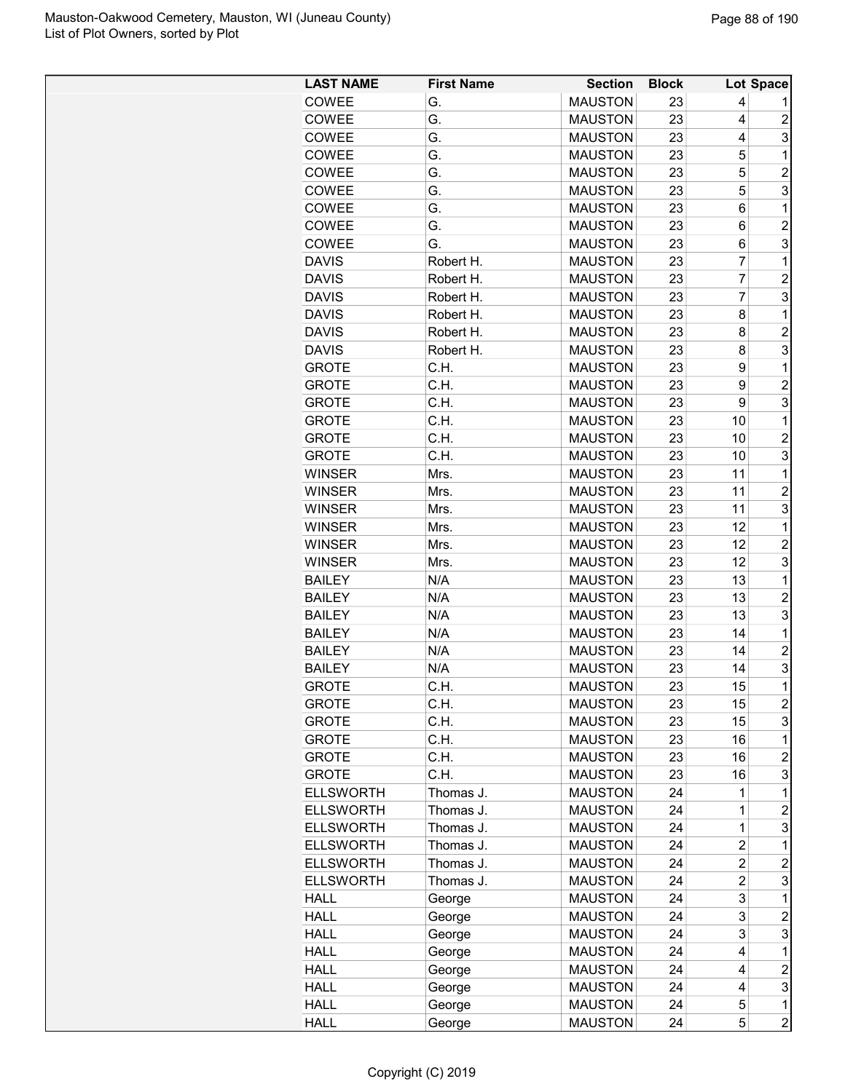| <b>LAST NAME</b> | <b>First Name</b>      | <b>Section</b> | <b>Block</b> |                | Lot Space               |
|------------------|------------------------|----------------|--------------|----------------|-------------------------|
| COWEE            | G.                     | <b>MAUSTON</b> | 23           | 4              |                         |
| COWEE            | G.                     | <b>MAUSTON</b> | 23           | 4              | $\overline{c}$          |
| COWEE            | G.                     | <b>MAUSTON</b> | 23           | 4              | 3                       |
| COWEE            | G.                     | <b>MAUSTON</b> | 23           | 5              | 1                       |
| COWEE            | G.                     | <b>MAUSTON</b> | 23           | 5              | $\overline{2}$          |
| COWEE            | G.                     | <b>MAUSTON</b> | 23           | 5              | 3                       |
| COWEE            | G.                     | <b>MAUSTON</b> | 23           | 6              | 1                       |
| COWEE            | G.                     | <b>MAUSTON</b> | 23           | 6              | $\overline{\mathbf{c}}$ |
| <b>COWEE</b>     | G.                     | <b>MAUSTON</b> | 23           | 6              | 3                       |
| <b>DAVIS</b>     | Robert H.              | <b>MAUSTON</b> | 23           | $\overline{7}$ | $\mathbf 1$             |
| <b>DAVIS</b>     | Robert H.              | <b>MAUSTON</b> | 23           | $\overline{7}$ | $\overline{c}$          |
| <b>DAVIS</b>     | Robert H.              | <b>MAUSTON</b> | 23           | 7              | 3                       |
| <b>DAVIS</b>     | Robert H.              | <b>MAUSTON</b> | 23           | 8              | 1                       |
| <b>DAVIS</b>     | Robert H.              | <b>MAUSTON</b> | 23           | 8              | $\overline{c}$          |
| <b>DAVIS</b>     | Robert H.              | <b>MAUSTON</b> | 23           | 8              | 3                       |
| <b>GROTE</b>     | C.H.                   | <b>MAUSTON</b> | 23           | 9              | 1                       |
| <b>GROTE</b>     | C.H.                   | <b>MAUSTON</b> | 23           | 9              | $\boldsymbol{2}$        |
| <b>GROTE</b>     | C.H.                   | <b>MAUSTON</b> | 23           | 9              | 3                       |
| <b>GROTE</b>     | C.H.                   | <b>MAUSTON</b> | 23           | 10             | 1                       |
| <b>GROTE</b>     | C.H.                   | <b>MAUSTON</b> | 23           | 10             | $\overline{2}$          |
| <b>GROTE</b>     | C.H.                   | <b>MAUSTON</b> | 23           | 10             | 3                       |
| <b>WINSER</b>    | Mrs.                   | <b>MAUSTON</b> | 23           | 11             | 1                       |
| <b>WINSER</b>    | Mrs.                   | <b>MAUSTON</b> | 23           | 11             | $\overline{c}$          |
| <b>WINSER</b>    | Mrs.                   | <b>MAUSTON</b> | 23           | 11             | 3                       |
| <b>WINSER</b>    | Mrs.                   | <b>MAUSTON</b> | 23           | 12             | 1                       |
| <b>WINSER</b>    | Mrs.                   | <b>MAUSTON</b> | 23           | 12             | $\overline{c}$          |
| <b>WINSER</b>    | Mrs.                   | <b>MAUSTON</b> | 23           | 12             | 3                       |
| <b>BAILEY</b>    | N/A                    | <b>MAUSTON</b> | 23           | 13             | 1                       |
| <b>BAILEY</b>    | N/A                    | <b>MAUSTON</b> | 23           | 13             | $\overline{2}$          |
| <b>BAILEY</b>    | N/A                    | <b>MAUSTON</b> | 23           | 13             | 3                       |
| <b>BAILEY</b>    | N/A                    | <b>MAUSTON</b> | 23           | 14             | 1                       |
| <b>BAILEY</b>    | N/A                    | <b>MAUSTON</b> | 23           | 14             | $\overline{c}$          |
| <b>BAILEY</b>    | N/A                    | <b>MAUSTON</b> | 23           | 14             | 3                       |
| <b>GROTE</b>     | C.H.                   | <b>MAUSTON</b> | 23           | 15             | $\overline{1}$          |
| <b>GROTE</b>     | C.H.                   | <b>MAUSTON</b> | 23           | 15             | $\overline{c}$          |
| <b>GROTE</b>     | C.H.                   | <b>MAUSTON</b> | 23           | 15             | 3                       |
| <b>GROTE</b>     | C.H.                   | <b>MAUSTON</b> | 23           | 16             | 1                       |
| <b>GROTE</b>     | C.H.                   | <b>MAUSTON</b> | 23           | 16             | $\overline{c}$          |
| <b>GROTE</b>     | C.H.                   | <b>MAUSTON</b> | 23           | 16             | 3                       |
| <b>ELLSWORTH</b> |                        | <b>MAUSTON</b> |              | 1              | 1                       |
| <b>ELLSWORTH</b> | Thomas J.              | <b>MAUSTON</b> | 24           | 1              | $\overline{c}$          |
| <b>ELLSWORTH</b> | Thomas J.              | <b>MAUSTON</b> | 24<br>24     | $\mathbf 1$    | 3                       |
| <b>ELLSWORTH</b> | Thomas J.<br>Thomas J. |                | 24           | 2              | 1                       |
|                  |                        | <b>MAUSTON</b> |              |                |                         |
| <b>ELLSWORTH</b> | Thomas J.              | <b>MAUSTON</b> | 24           | 2              | $\overline{c}$          |
| <b>ELLSWORTH</b> | Thomas J.              | <b>MAUSTON</b> | 24           | $\overline{c}$ | 3                       |
| <b>HALL</b>      | George                 | <b>MAUSTON</b> | 24           | 3              | $\mathbf 1$             |
| <b>HALL</b>      | George                 | <b>MAUSTON</b> | 24           | 3              | 2                       |
| <b>HALL</b>      | George                 | <b>MAUSTON</b> | 24           | 3              | 3                       |
| <b>HALL</b>      | George                 | <b>MAUSTON</b> | 24           | 4              | 1                       |
| <b>HALL</b>      | George                 | <b>MAUSTON</b> | 24           | 4              | $\overline{\mathbf{c}}$ |
| <b>HALL</b>      | George                 | <b>MAUSTON</b> | 24           | 4              | 3                       |
| <b>HALL</b>      | George                 | <b>MAUSTON</b> | 24           | 5              | 1                       |
| <b>HALL</b>      | George                 | <b>MAUSTON</b> | 24           | 5              | $\overline{c}$          |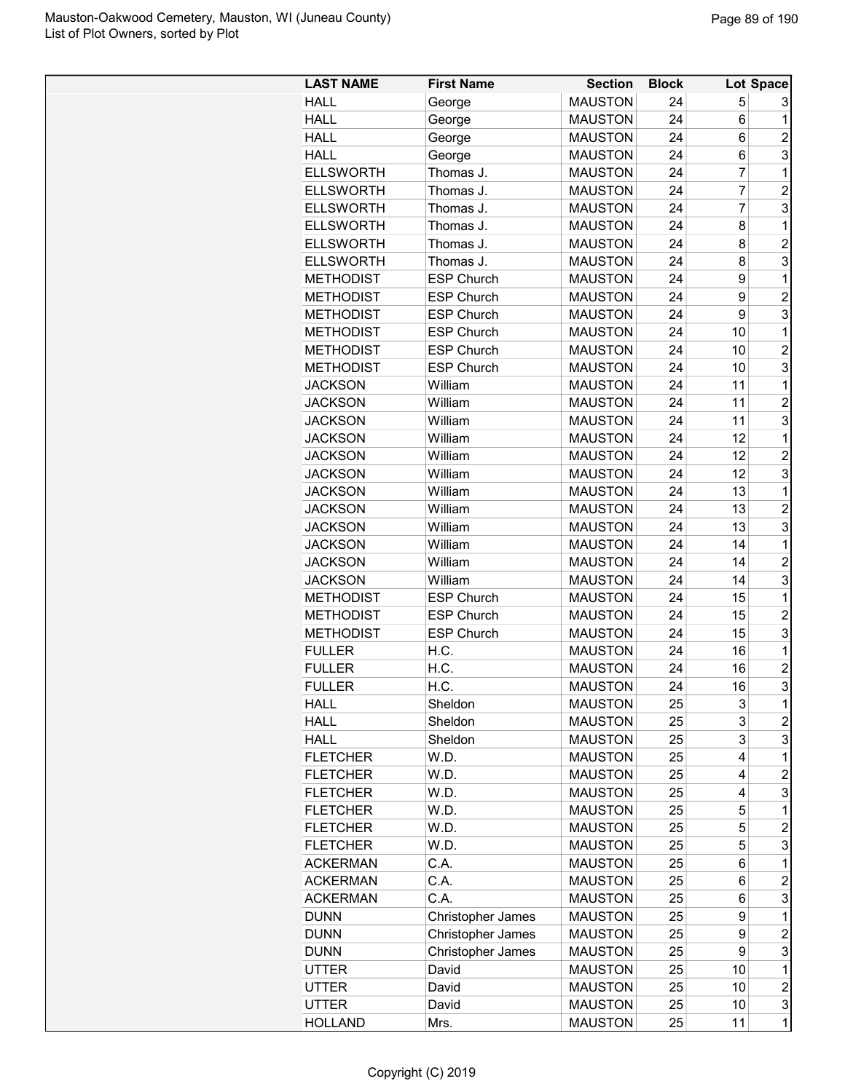| <b>LAST NAME</b> | <b>First Name</b> | <b>Section</b> | <b>Block</b> |                | Lot Space               |
|------------------|-------------------|----------------|--------------|----------------|-------------------------|
| <b>HALL</b>      | George            | <b>MAUSTON</b> | 24           | 5              | 3                       |
| <b>HALL</b>      | George            | <b>MAUSTON</b> | 24           | 6              | 1                       |
| <b>HALL</b>      | George            | <b>MAUSTON</b> | 24           | 6              | $\overline{c}$          |
| <b>HALL</b>      | George            | <b>MAUSTON</b> | 24           | 6              | 3                       |
| <b>ELLSWORTH</b> | Thomas J.         | <b>MAUSTON</b> | 24           | 7              | 1                       |
| <b>ELLSWORTH</b> | Thomas J.         | <b>MAUSTON</b> | 24           | 7              | $\overline{c}$          |
| <b>ELLSWORTH</b> | Thomas J.         | <b>MAUSTON</b> | 24           | $\overline{7}$ | 3                       |
| <b>ELLSWORTH</b> | Thomas J.         | <b>MAUSTON</b> | 24           | 8              | $\mathbf 1$             |
| <b>ELLSWORTH</b> | Thomas J.         | <b>MAUSTON</b> | 24           | 8              | $\overline{2}$          |
| <b>ELLSWORTH</b> | Thomas J.         | <b>MAUSTON</b> | 24           | 8              | 3                       |
| METHODIST        | <b>ESP Church</b> | <b>MAUSTON</b> | 24           | 9              | 1                       |
| METHODIST        | <b>ESP Church</b> | <b>MAUSTON</b> | 24           | 9              | $\overline{2}$          |
| <b>METHODIST</b> | <b>ESP Church</b> | <b>MAUSTON</b> | 24           | 9              | 3                       |
| <b>METHODIST</b> | <b>ESP Church</b> | <b>MAUSTON</b> | 24           | 10             | 1                       |
| <b>METHODIST</b> | <b>ESP Church</b> | <b>MAUSTON</b> | 24           | 10             | $\overline{2}$          |
| <b>METHODIST</b> | <b>ESP Church</b> | <b>MAUSTON</b> | 24           | 10             | 3                       |
| <b>JACKSON</b>   | William           | <b>MAUSTON</b> | 24           | 11             | 1                       |
| <b>JACKSON</b>   | William           | <b>MAUSTON</b> | 24           | 11             | $\overline{2}$          |
| <b>JACKSON</b>   | William           | <b>MAUSTON</b> | 24           | 11             | 3                       |
| <b>JACKSON</b>   | William           | <b>MAUSTON</b> | 24           | 12             | 1                       |
| <b>JACKSON</b>   | William           | <b>MAUSTON</b> | 24           | 12             | $\overline{c}$          |
| <b>JACKSON</b>   | William           | <b>MAUSTON</b> | 24           | 12             | 3                       |
| <b>JACKSON</b>   | William           | <b>MAUSTON</b> | 24           | 13             | 1                       |
| <b>JACKSON</b>   | William           | <b>MAUSTON</b> | 24           | 13             | $\overline{2}$          |
| JACKSON          | William           | <b>MAUSTON</b> | 24           | 13             | 3                       |
| <b>JACKSON</b>   | William           | <b>MAUSTON</b> | 24           | 14             | $\mathbf 1$             |
| <b>JACKSON</b>   | William           | <b>MAUSTON</b> | 24           | 14             | $\overline{c}$          |
| <b>JACKSON</b>   | William           | <b>MAUSTON</b> | 24           | 14             | 3                       |
| <b>METHODIST</b> | <b>ESP Church</b> | <b>MAUSTON</b> | 24           | 15             | 1                       |
| <b>METHODIST</b> | <b>ESP Church</b> | <b>MAUSTON</b> | 24           | 15             | $\overline{c}$          |
| <b>METHODIST</b> | <b>ESP Church</b> | <b>MAUSTON</b> | 24           | 15             | 3                       |
| <b>FULLER</b>    | H.C.              | <b>MAUSTON</b> | 24           | 16             | 1                       |
| <b>FULLER</b>    | H.C.              | <b>MAUSTON</b> | 24           | 16             | $\overline{2}$          |
| <b>FULLER</b>    | H.C.              | <b>MAUSTON</b> | 24           | 16             | 3                       |
| HALL             | Sheldon           | <b>MAUSTON</b> | 25           | 3              | 1                       |
| <b>HALL</b>      | Sheldon           | <b>MAUSTON</b> | 25           | 3              | $\overline{c}$          |
| <b>HALL</b>      | Sheldon           | <b>MAUSTON</b> | 25           | 3              | 3                       |
| <b>FLETCHER</b>  | W.D.              | <b>MAUSTON</b> | 25           | 4              | $\mathbf 1$             |
| <b>FLETCHER</b>  | W.D.              | <b>MAUSTON</b> | 25           | 4              | $\overline{2}$          |
| <b>FLETCHER</b>  | W.D.              | <b>MAUSTON</b> | 25           | 4              | 3                       |
| <b>FLETCHER</b>  | W.D.              | <b>MAUSTON</b> | 25           | 5              | 1                       |
| <b>FLETCHER</b>  | W.D.              | <b>MAUSTON</b> | 25           | 5              | $\overline{c}$          |
| <b>FLETCHER</b>  | W.D.              | <b>MAUSTON</b> | 25           | 5              | 3                       |
| <b>ACKERMAN</b>  | C.A.              | <b>MAUSTON</b> | 25           | 6              | 1                       |
| <b>ACKERMAN</b>  | C.A.              | <b>MAUSTON</b> | 25           | 6              | $\overline{\mathbf{c}}$ |
| <b>ACKERMAN</b>  | C.A.              | <b>MAUSTON</b> | 25           | 6              | 3                       |
| <b>DUNN</b>      | Christopher James | <b>MAUSTON</b> | 25           | 9              | 1                       |
| <b>DUNN</b>      | Christopher James | <b>MAUSTON</b> | 25           | 9              | $\overline{c}$          |
| <b>DUNN</b>      | Christopher James | <b>MAUSTON</b> | 25           | 9              | 3                       |
| UTTER            | David             | <b>MAUSTON</b> | 25           | 10             | 1                       |
| UTTER            | David             | <b>MAUSTON</b> | 25           | 10             | $\overline{c}$          |
| UTTER            | David             | <b>MAUSTON</b> | 25           | 10             | 3                       |
| <b>HOLLAND</b>   | Mrs.              | <b>MAUSTON</b> | 25           | 11             | $\mathbf 1$             |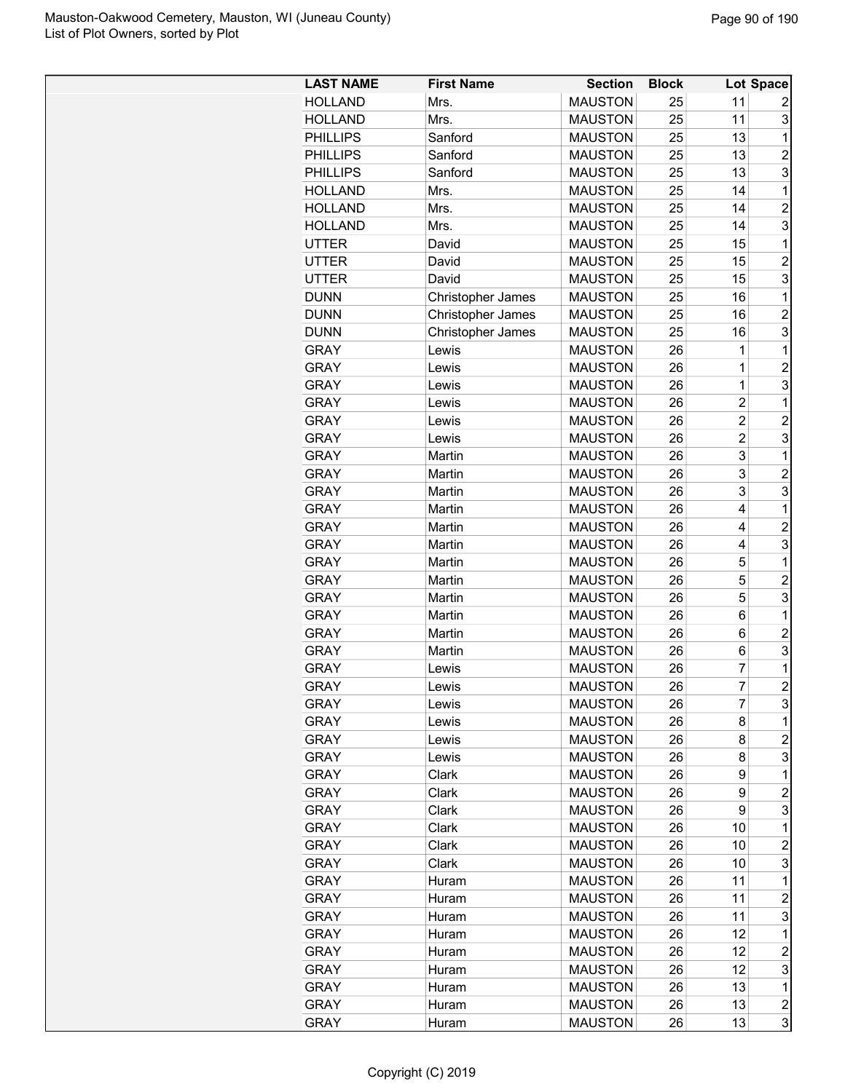| <b>LAST NAME</b> | <b>First Name</b> | <b>Section</b> | <b>Block</b> |                         | Lot Space               |
|------------------|-------------------|----------------|--------------|-------------------------|-------------------------|
| <b>HOLLAND</b>   | Mrs.              | <b>MAUSTON</b> | 25           | 11                      | 2                       |
| <b>HOLLAND</b>   | Mrs.              | <b>MAUSTON</b> | 25           | 11                      | 3                       |
| <b>PHILLIPS</b>  | Sanford           | <b>MAUSTON</b> | 25           | 13                      | 1                       |
| <b>PHILLIPS</b>  | Sanford           | <b>MAUSTON</b> | 25           | 13                      | $\overline{2}$          |
| <b>PHILLIPS</b>  | Sanford           | <b>MAUSTON</b> | 25           | 13                      | 3                       |
| <b>HOLLAND</b>   | Mrs.              | <b>MAUSTON</b> | 25           | 14                      | 1                       |
| <b>HOLLAND</b>   | Mrs.              | <b>MAUSTON</b> | 25           | 14                      | $\overline{c}$          |
| <b>HOLLAND</b>   | Mrs.              | <b>MAUSTON</b> | 25           | 14                      | 3                       |
| <b>UTTER</b>     | David             | <b>MAUSTON</b> | 25           | 15                      | 1                       |
| <b>UTTER</b>     | David             | <b>MAUSTON</b> | 25           | 15                      | $\overline{2}$          |
| UTTER            | David             | <b>MAUSTON</b> | 25           | 15                      | 3                       |
| <b>DUNN</b>      | Christopher James | <b>MAUSTON</b> | 25           | 16                      | 1                       |
| <b>DUNN</b>      | Christopher James | <b>MAUSTON</b> | 25           | 16                      | $\overline{c}$          |
| <b>DUNN</b>      | Christopher James | <b>MAUSTON</b> | 25           | 16                      | 3                       |
| <b>GRAY</b>      | Lewis             | <b>MAUSTON</b> | 26           | 1                       | 1                       |
| <b>GRAY</b>      |                   | <b>MAUSTON</b> | 26           | $\mathbf 1$             | $\overline{c}$          |
| <b>GRAY</b>      | Lewis             | <b>MAUSTON</b> | 26           | $\overline{1}$          | 3                       |
|                  | Lewis             |                |              | $\overline{2}$          | 1                       |
| <b>GRAY</b>      | Lewis             | <b>MAUSTON</b> | 26           |                         |                         |
| <b>GRAY</b>      | Lewis             | <b>MAUSTON</b> | 26           | $\overline{c}$          | $\overline{c}$          |
| <b>GRAY</b>      | Lewis             | <b>MAUSTON</b> | 26           | $\overline{c}$          | 3                       |
| <b>GRAY</b>      | Martin            | <b>MAUSTON</b> | 26           | 3                       | 1                       |
| <b>GRAY</b>      | Martin            | <b>MAUSTON</b> | 26           | 3                       | $\overline{2}$          |
| <b>GRAY</b>      | Martin            | <b>MAUSTON</b> | 26           | 3                       | 3                       |
| <b>GRAY</b>      | Martin            | <b>MAUSTON</b> | 26           | $\overline{\mathbf{4}}$ | 1                       |
| <b>GRAY</b>      | Martin            | <b>MAUSTON</b> | 26           | 4                       | $\overline{2}$          |
| <b>GRAY</b>      | Martin            | <b>MAUSTON</b> | 26           | 4                       | 3                       |
| <b>GRAY</b>      | Martin            | <b>MAUSTON</b> | 26           | 5                       | 1                       |
| <b>GRAY</b>      | Martin            | <b>MAUSTON</b> | 26           | 5                       | $\overline{c}$          |
| <b>GRAY</b>      | Martin            | <b>MAUSTON</b> | 26           | 5                       | 3                       |
| <b>GRAY</b>      | Martin            | <b>MAUSTON</b> | 26           | 6                       | 1                       |
| <b>GRAY</b>      | Martin            | <b>MAUSTON</b> | 26           | $6\phantom{1}6$         | $\overline{2}$          |
| <b>GRAY</b>      | Martin            | <b>MAUSTON</b> | 26           | 6                       | 3                       |
| <b>GRAY</b>      | Lewis             | <b>MAUSTON</b> | 26           | 7                       | 1                       |
| <b>GRAY</b>      | Lewis             | <b>MAUSTON</b> | 26           | 7                       | $\overline{2}$          |
| <b>GRAY</b>      | Lewis             | <b>MAUSTON</b> | 26           | 7                       | 3                       |
| <b>GRAY</b>      | Lewis             | <b>MAUSTON</b> | 26           | 8                       | 1                       |
| <b>GRAY</b>      | Lewis             | <b>MAUSTON</b> | 26           | 8                       | $\overline{c}$          |
| <b>GRAY</b>      | Lewis             | <b>MAUSTON</b> | 26           | 8                       | 3                       |
| <b>GRAY</b>      | Clark             | <b>MAUSTON</b> | 26           | 9                       | 1                       |
| <b>GRAY</b>      | Clark             | <b>MAUSTON</b> | 26           | 9                       | $\overline{c}$          |
| <b>GRAY</b>      | Clark             | <b>MAUSTON</b> | 26           | 9                       | 3                       |
| <b>GRAY</b>      | Clark             | <b>MAUSTON</b> | 26           | 10                      | 1                       |
| <b>GRAY</b>      | Clark             | <b>MAUSTON</b> | 26           | 10                      | $\overline{c}$          |
| <b>GRAY</b>      | Clark             | <b>MAUSTON</b> | 26           | 10                      | 3                       |
| <b>GRAY</b>      | Huram             | <b>MAUSTON</b> | 26           | 11                      | 1                       |
| <b>GRAY</b>      | Huram             | <b>MAUSTON</b> | 26           | 11                      | $\overline{c}$          |
| <b>GRAY</b>      | Huram             | <b>MAUSTON</b> | 26           | 11                      | 3                       |
| <b>GRAY</b>      | Huram             | <b>MAUSTON</b> | 26           | 12                      | 1                       |
| <b>GRAY</b>      | Huram             | <b>MAUSTON</b> | 26           | 12                      | $\overline{c}$          |
| GRAY             | Huram             | <b>MAUSTON</b> | 26           | 12                      | 3                       |
| <b>GRAY</b>      | Huram             | <b>MAUSTON</b> | 26           | 13                      | 1                       |
| <b>GRAY</b>      | Huram             | <b>MAUSTON</b> | 26           | 13                      | $\overline{\mathbf{c}}$ |
| <b>GRAY</b>      | Huram             | <b>MAUSTON</b> | 26           | 13                      | 3                       |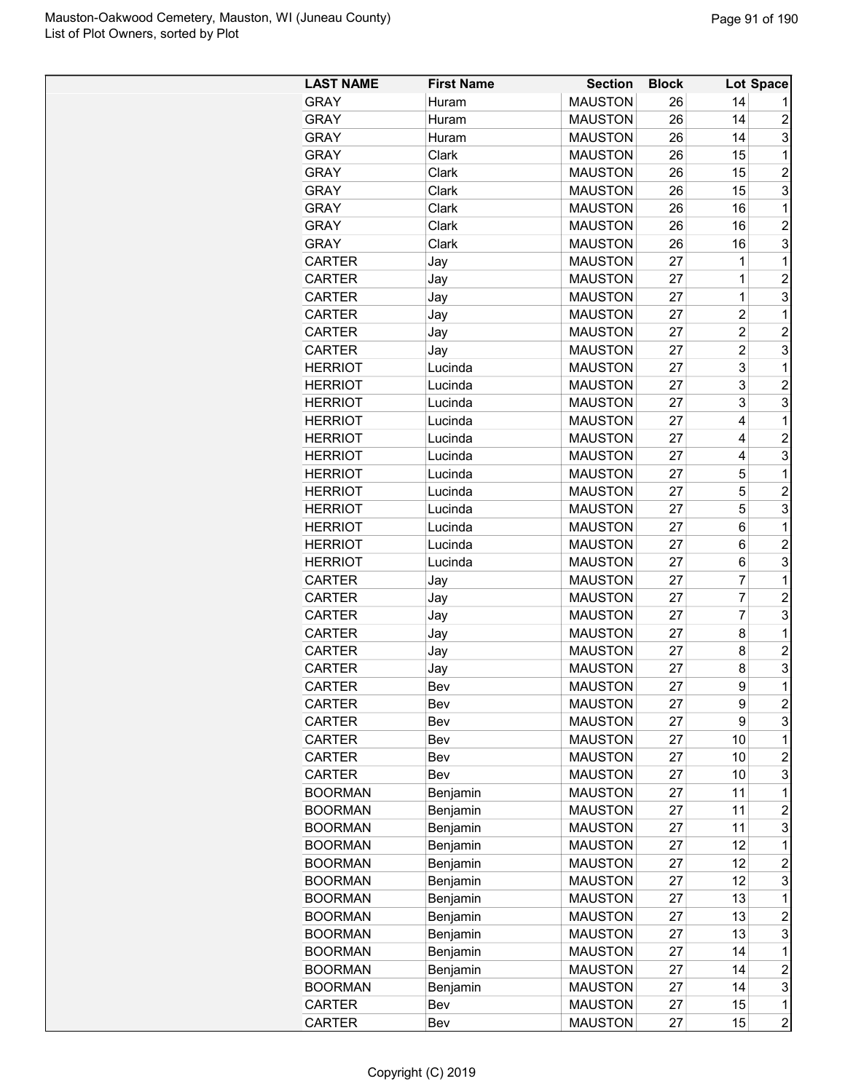| <b>LAST NAME</b> | <b>First Name</b> | <b>Section</b> | <b>Block</b> |                | Lot Space               |
|------------------|-------------------|----------------|--------------|----------------|-------------------------|
| <b>GRAY</b>      | Huram             | <b>MAUSTON</b> | 26           | 14             |                         |
| <b>GRAY</b>      | Huram             | <b>MAUSTON</b> | 26           | 14             | $\overline{c}$          |
| <b>GRAY</b>      | Huram             | <b>MAUSTON</b> | 26           | 14             | 3                       |
| <b>GRAY</b>      | Clark             | <b>MAUSTON</b> | 26           | 15             | $\mathbf 1$             |
| <b>GRAY</b>      | Clark             | <b>MAUSTON</b> | 26           | 15             | $\overline{2}$          |
| <b>GRAY</b>      | Clark             | <b>MAUSTON</b> | 26           | 15             | 3                       |
| <b>GRAY</b>      | Clark             | <b>MAUSTON</b> | 26           | 16             | $\mathbf 1$             |
| <b>GRAY</b>      | Clark             | <b>MAUSTON</b> | 26           | 16             | $\overline{2}$          |
| <b>GRAY</b>      | Clark             | <b>MAUSTON</b> | 26           | 16             | 3                       |
| <b>CARTER</b>    | Jay               | <b>MAUSTON</b> | 27           | 1              | 1                       |
| <b>CARTER</b>    | Jay               | <b>MAUSTON</b> | 27           | 1              | $\overline{2}$          |
| <b>CARTER</b>    | Jay               | <b>MAUSTON</b> | 27           | 1              | 3                       |
| <b>CARTER</b>    | Jay               | <b>MAUSTON</b> | 27           | $\overline{c}$ | 1                       |
| <b>CARTER</b>    | Jay               | <b>MAUSTON</b> | 27           | $\overline{2}$ | $\overline{2}$          |
| <b>CARTER</b>    | Jay               | <b>MAUSTON</b> | 27           | $\overline{c}$ | 3                       |
| <b>HERRIOT</b>   | Lucinda           | <b>MAUSTON</b> | 27           | 3              | $\mathbf 1$             |
| <b>HERRIOT</b>   | Lucinda           | <b>MAUSTON</b> | 27           | 3              | $\overline{c}$          |
| <b>HERRIOT</b>   | Lucinda           | <b>MAUSTON</b> | 27           | 3              | 3                       |
| <b>HERRIOT</b>   | Lucinda           | <b>MAUSTON</b> | 27           | 4              | 1                       |
| <b>HERRIOT</b>   | Lucinda           | <b>MAUSTON</b> | 27           | 4              | $\overline{c}$          |
| <b>HERRIOT</b>   | Lucinda           | <b>MAUSTON</b> | 27           | 4              | 3                       |
| <b>HERRIOT</b>   | Lucinda           | <b>MAUSTON</b> | 27           | 5              | $\mathbf{1}$            |
| <b>HERRIOT</b>   | Lucinda           | <b>MAUSTON</b> | 27           | 5              | $\overline{2}$          |
| <b>HERRIOT</b>   | Lucinda           | <b>MAUSTON</b> | 27           | 5              | 3                       |
| <b>HERRIOT</b>   | Lucinda           | <b>MAUSTON</b> | 27           | 6              | $\mathbf{1}$            |
| <b>HERRIOT</b>   | Lucinda           | <b>MAUSTON</b> | 27           | 6              | $\overline{c}$          |
| <b>HERRIOT</b>   | Lucinda           | <b>MAUSTON</b> | 27           | 6              | 3                       |
| <b>CARTER</b>    | Jay               | <b>MAUSTON</b> | 27           | $\overline{7}$ | 1                       |
| <b>CARTER</b>    | Jay               | <b>MAUSTON</b> | 27           | $\overline{7}$ | $\overline{c}$          |
| <b>CARTER</b>    | Jay               | <b>MAUSTON</b> | 27           | $\overline{7}$ | 3                       |
| <b>CARTER</b>    | Jay               | <b>MAUSTON</b> | 27           | 8              | 1                       |
| <b>CARTER</b>    | Jay               | <b>MAUSTON</b> | 27           | 8              | $\overline{2}$          |
| <b>CARTER</b>    | Jay               | <b>MAUSTON</b> | 27           | 8              | 3                       |
| <b>CARTER</b>    | Bev               | <b>MAUSTON</b> | 27           | 9              | $\mathbf{1}$            |
| <b>CARTER</b>    | Bev               | <b>MAUSTON</b> | 27           | 9              | $\overline{\mathbf{c}}$ |
|                  |                   | <b>MAUSTON</b> |              | 9              | 3                       |
| <b>CARTER</b>    | Bev               |                | 27           |                | $\mathbf 1$             |
| CARTER           | Bev               | <b>MAUSTON</b> | 27           | 10             | $\overline{c}$          |
| <b>CARTER</b>    | Bev               | <b>MAUSTON</b> | 27           | 10             |                         |
| <b>CARTER</b>    | Bev               | <b>MAUSTON</b> | 27           | 10             | 3                       |
| <b>BOORMAN</b>   | Benjamin          | <b>MAUSTON</b> | 27           | 11             | 1                       |
| <b>BOORMAN</b>   | Benjamin          | <b>MAUSTON</b> | 27           | 11             | $\overline{c}$          |
| <b>BOORMAN</b>   | Benjamin          | <b>MAUSTON</b> | 27           | 11             | 3                       |
| <b>BOORMAN</b>   | Benjamin          | <b>MAUSTON</b> | 27           | 12             | $\mathbf{1}$            |
| <b>BOORMAN</b>   | Benjamin          | <b>MAUSTON</b> | 27           | 12             | $\overline{c}$          |
| <b>BOORMAN</b>   | Benjamin          | <b>MAUSTON</b> | 27           | 12             | 3                       |
| <b>BOORMAN</b>   | Benjamin          | <b>MAUSTON</b> | 27           | 13             | 1                       |
| <b>BOORMAN</b>   | Benjamin          | <b>MAUSTON</b> | 27           | 13             | $\overline{c}$          |
| <b>BOORMAN</b>   | Benjamin          | <b>MAUSTON</b> | 27           | 13             | 3                       |
| <b>BOORMAN</b>   | Benjamin          | <b>MAUSTON</b> | 27           | 14             | 1                       |
| <b>BOORMAN</b>   | Benjamin          | <b>MAUSTON</b> | 27           | 14             | $\overline{c}$          |
| <b>BOORMAN</b>   | Benjamin          | <b>MAUSTON</b> | 27           | 14             | 3                       |
| <b>CARTER</b>    | Bev               | <b>MAUSTON</b> | 27           | 15             | 1                       |
| CARTER           | Bev               | <b>MAUSTON</b> | 27           | 15             | $\overline{c}$          |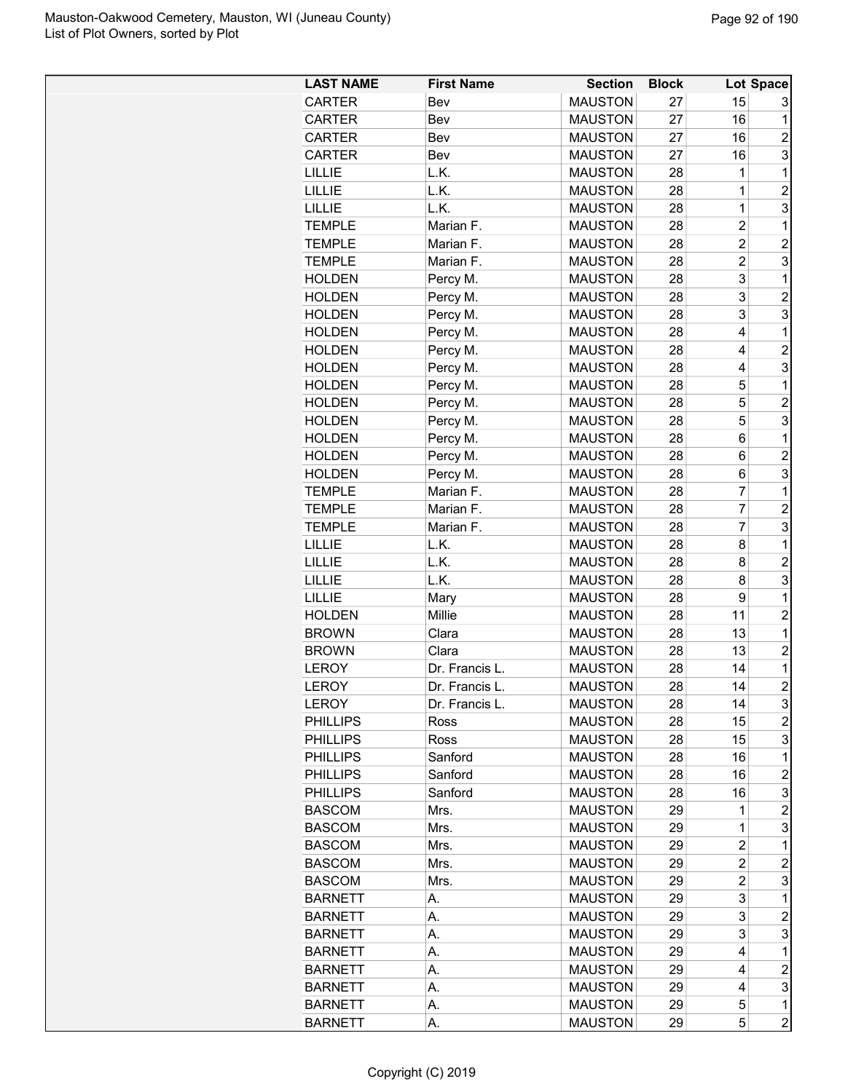| <b>LAST NAME</b>              | <b>First Name</b>       | <b>Section</b>                   | <b>Block</b> |                | <b>Lot Space</b>    |
|-------------------------------|-------------------------|----------------------------------|--------------|----------------|---------------------|
| <b>CARTER</b>                 | Bev                     | <b>MAUSTON</b>                   | 27           | 15             | 3                   |
| <b>CARTER</b>                 | Bev                     | <b>MAUSTON</b>                   | 27           | 16             | 1                   |
| CARTER                        | Bev                     | <b>MAUSTON</b>                   | 27           | 16             | $\overline{c}$      |
| CARTER                        | Bev                     | <b>MAUSTON</b>                   | 27           | 16             | 3                   |
| <b>LILLIE</b>                 | L.K.                    | <b>MAUSTON</b>                   | 28           | 1              | 1                   |
| <b>LILLIE</b>                 | L.K.                    | <b>MAUSTON</b>                   | 28           | 1              | $\overline{c}$      |
| <b>LILLIE</b>                 | L.K.                    | <b>MAUSTON</b>                   | 28           | 1              | 3                   |
| <b>TEMPLE</b>                 | Marian F.               | <b>MAUSTON</b>                   | 28           | $\overline{c}$ | 1                   |
| <b>TEMPLE</b>                 | Marian F.               | <b>MAUSTON</b>                   | 28           | $\overline{2}$ | $\overline{c}$      |
| <b>TEMPLE</b>                 | Marian F.               | <b>MAUSTON</b>                   | 28           | $\overline{c}$ | 3                   |
| <b>HOLDEN</b>                 | Percy M.                | <b>MAUSTON</b>                   | 28           | 3              | 1                   |
| <b>HOLDEN</b>                 | Percy M.                | <b>MAUSTON</b>                   | 28           | 3              | $\overline{c}$      |
| <b>HOLDEN</b>                 | Percy M.                | <b>MAUSTON</b>                   | 28           | 3              | 3                   |
| <b>HOLDEN</b>                 | Percy M.                | <b>MAUSTON</b>                   | 28           | 4              | $\mathbf 1$         |
| <b>HOLDEN</b>                 | Percy M.                | <b>MAUSTON</b>                   | 28           | 4              | $\overline{2}$      |
| <b>HOLDEN</b>                 | Percy M.                | <b>MAUSTON</b>                   | 28           | 4              | 3                   |
| <b>HOLDEN</b>                 | Percy M.                | <b>MAUSTON</b>                   | 28           | 5              | 1                   |
| <b>HOLDEN</b>                 | Percy M.                | <b>MAUSTON</b>                   | 28           | 5              | $\overline{2}$      |
| <b>HOLDEN</b>                 | Percy M.                | <b>MAUSTON</b>                   | 28           | 5              | 3                   |
| <b>HOLDEN</b>                 | Percy M.                | <b>MAUSTON</b>                   | 28           | 6              | 1                   |
| <b>HOLDEN</b>                 | Percy M.                | <b>MAUSTON</b>                   | 28           | 6              | $\overline{c}$      |
| <b>HOLDEN</b>                 | Percy M.                | <b>MAUSTON</b>                   | 28           | 6              | 3                   |
| <b>TEMPLE</b>                 | Marian F.               | <b>MAUSTON</b>                   | 28           | 7              | $\mathbf 1$         |
| <b>TEMPLE</b>                 | Marian F.               | <b>MAUSTON</b>                   | 28           | $\overline{7}$ | $\overline{c}$      |
| <b>TEMPLE</b>                 | Marian F.               | <b>MAUSTON</b>                   | 28           | 7              | 3                   |
| <b>LILLIE</b>                 | L.K.                    | <b>MAUSTON</b>                   | 28           | 8              | 1                   |
| LILLIE                        | L.K.                    | <b>MAUSTON</b>                   | 28           | 8              | $\overline{c}$      |
| LILLIE                        | L.K.                    | <b>MAUSTON</b>                   | 28           | 8              | 3                   |
|                               |                         |                                  |              | 9              | 1                   |
| <b>LILLIE</b>                 | Mary                    | <b>MAUSTON</b>                   | 28<br>28     | 11             | $\overline{2}$      |
| <b>HOLDEN</b><br><b>BROWN</b> | Millie<br>Clara         | <b>MAUSTON</b>                   |              |                |                     |
|                               |                         | <b>MAUSTON</b><br><b>MAUSTON</b> | 28           | 13<br>13       | 1<br>$\overline{2}$ |
| <b>BROWN</b><br><b>LEROY</b>  | Clara<br>Dr. Francis L. | <b>MAUSTON</b>                   | 28<br>28     | 14             | 1                   |
|                               |                         | <b>MAUSTON</b>                   | 28           |                | $\overline{2}$      |
| <b>LEROY</b>                  | Dr. Francis L           |                                  |              | 14             |                     |
| <b>LEROY</b>                  | Dr. Francis L.          | <b>MAUSTON</b>                   | 28           | 14             | 3                   |
| <b>PHILLIPS</b>               | <b>Ross</b>             | <b>MAUSTON</b>                   | 28           | 15             | $\overline{c}$      |
| <b>PHILLIPS</b>               | Ross                    | <b>MAUSTON</b>                   | 28           | 15             | 3                   |
| <b>PHILLIPS</b>               | Sanford                 | <b>MAUSTON</b>                   | 28           | 16             | 1                   |
| <b>PHILLIPS</b>               | Sanford                 | <b>MAUSTON</b>                   | 28           | 16             | $\overline{2}$      |
| <b>PHILLIPS</b>               | Sanford                 | <b>MAUSTON</b>                   | 28           | 16             | 3                   |
| <b>BASCOM</b>                 | Mrs.                    | <b>MAUSTON</b>                   | 29           | 1              | $\overline{c}$      |
| <b>BASCOM</b>                 | Mrs.                    | <b>MAUSTON</b>                   | 29           | 1              | 3                   |
| <b>BASCOM</b>                 | Mrs.                    | <b>MAUSTON</b>                   | 29           | $\overline{2}$ | 1                   |
| <b>BASCOM</b>                 | Mrs.                    | <b>MAUSTON</b>                   | 29           | $\overline{2}$ | $\overline{c}$      |
| <b>BASCOM</b>                 | Mrs.                    | <b>MAUSTON</b>                   | 29           | $\overline{c}$ | 3                   |
| <b>BARNETT</b>                | А.                      | <b>MAUSTON</b>                   | 29           | 3              | 1                   |
| <b>BARNETT</b>                | А.                      | <b>MAUSTON</b>                   | 29           | 3              | $\overline{c}$      |
| <b>BARNETT</b>                | А.                      | <b>MAUSTON</b>                   | 29           | 3              | 3                   |
| <b>BARNETT</b>                | А.                      | <b>MAUSTON</b>                   | 29           | 4              | 1                   |
| <b>BARNETT</b>                | Α.                      | <b>MAUSTON</b>                   | 29           | 4              | $\overline{c}$      |
| <b>BARNETT</b>                | А.                      | <b>MAUSTON</b>                   | 29           | 4              | 3                   |
| <b>BARNETT</b>                | А.                      | <b>MAUSTON</b>                   | 29           | 5              | $\mathbf 1$         |
| <b>BARNETT</b>                | А.                      | <b>MAUSTON</b>                   | 29           | 5              | $\overline{c}$      |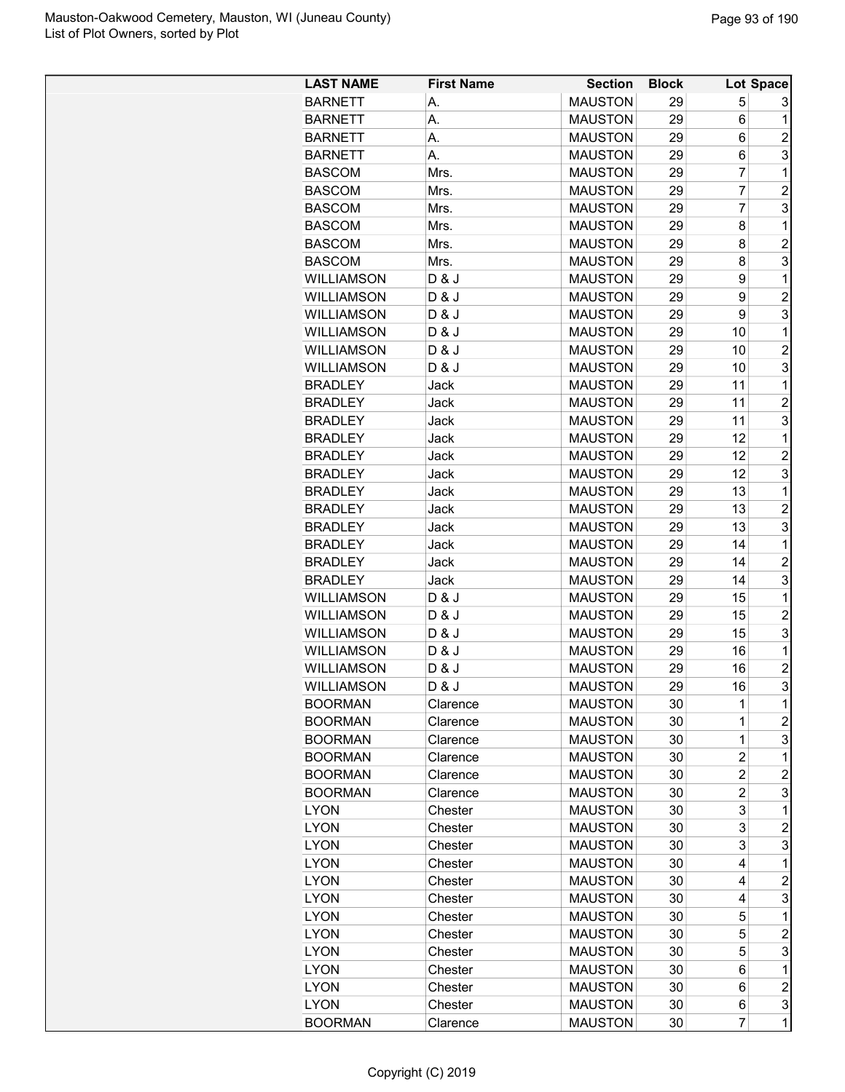| <b>LAST NAME</b>  | <b>First Name</b> | <b>Section</b> | <b>Block</b> |             | Lot Space               |
|-------------------|-------------------|----------------|--------------|-------------|-------------------------|
| <b>BARNETT</b>    | А.                | <b>MAUSTON</b> | 29           | 5           | 3                       |
| <b>BARNETT</b>    | А.                | <b>MAUSTON</b> | 29           | 6           | 1                       |
| <b>BARNETT</b>    | А.                | <b>MAUSTON</b> | 29           | 6           | $\overline{2}$          |
| <b>BARNETT</b>    | А.                | <b>MAUSTON</b> | 29           | 6           | 3                       |
| <b>BASCOM</b>     | Mrs.              | <b>MAUSTON</b> | 29           | 7           | 1                       |
| <b>BASCOM</b>     | Mrs.              | <b>MAUSTON</b> | 29           | 7           | $\overline{c}$          |
| <b>BASCOM</b>     | Mrs.              | <b>MAUSTON</b> | 29           | 7           | 3                       |
| <b>BASCOM</b>     | Mrs.              | <b>MAUSTON</b> | 29           | 8           | 1                       |
| <b>BASCOM</b>     | Mrs.              | <b>MAUSTON</b> | 29           | 8           | $\overline{2}$          |
| <b>BASCOM</b>     | Mrs.              | <b>MAUSTON</b> | 29           | 8           | 3                       |
| <b>WILLIAMSON</b> | D & J             | <b>MAUSTON</b> | 29           | 9           | 1                       |
| <b>WILLIAMSON</b> | D & J             | <b>MAUSTON</b> | 29           | 9           | $\overline{2}$          |
| <b>WILLIAMSON</b> | D & J             | <b>MAUSTON</b> | 29           | 9           | 3                       |
| <b>WILLIAMSON</b> | D & J             | <b>MAUSTON</b> | 29           | 10          | $\mathbf 1$             |
| <b>WILLIAMSON</b> | D & J             | <b>MAUSTON</b> | 29           | 10          | $\overline{2}$          |
| <b>WILLIAMSON</b> | D & J             | <b>MAUSTON</b> | 29           | 10          | 3                       |
| <b>BRADLEY</b>    | Jack              | <b>MAUSTON</b> | 29           | 11          | 1                       |
| <b>BRADLEY</b>    | Jack              | <b>MAUSTON</b> | 29           | 11          | $\overline{2}$          |
| <b>BRADLEY</b>    | Jack              | <b>MAUSTON</b> | 29           | 11          | 3                       |
| <b>BRADLEY</b>    | Jack              | <b>MAUSTON</b> | 29           | 12          | 1                       |
| <b>BRADLEY</b>    | Jack              | <b>MAUSTON</b> | 29           | 12          | $\overline{c}$          |
| <b>BRADLEY</b>    | Jack              | <b>MAUSTON</b> | 29           | 12          | 3                       |
| <b>BRADLEY</b>    | Jack              | <b>MAUSTON</b> | 29           | 13          | $\mathbf 1$             |
| <b>BRADLEY</b>    | Jack              | <b>MAUSTON</b> | 29           | 13          | $\overline{c}$          |
| <b>BRADLEY</b>    | Jack              | <b>MAUSTON</b> | 29           | 13          | 3                       |
| <b>BRADLEY</b>    | Jack              | <b>MAUSTON</b> | 29           | 14          | 1                       |
| <b>BRADLEY</b>    | Jack              | <b>MAUSTON</b> | 29           | 14          | $\overline{c}$          |
| <b>BRADLEY</b>    | Jack              | <b>MAUSTON</b> | 29           | 14          | 3                       |
| <b>WILLIAMSON</b> | D & J             | <b>MAUSTON</b> | 29           | 15          | 1                       |
| <b>WILLIAMSON</b> | D & J             | <b>MAUSTON</b> | 29           | 15          | $\overline{c}$          |
| <b>WILLIAMSON</b> | D & J             | <b>MAUSTON</b> | 29           | 15          | 3                       |
| WILLIAMSON        | D & J             | <b>MAUSTON</b> | 29           | 16          | 1                       |
| <b>WILLIAMSON</b> | D & J             | <b>MAUSTON</b> | 29           | 16          | $\overline{c}$          |
| <b>WILLIAMSON</b> | D & J             | <b>MAUSTON</b> | 29           | 16          | $\overline{\mathbf{3}}$ |
| <b>BOORMAN</b>    | Clarence          | <b>MAUSTON</b> | 30           | 1           | 1                       |
| <b>BOORMAN</b>    | Clarence          | <b>MAUSTON</b> | 30           | 1           | $\overline{c}$          |
| <b>BOORMAN</b>    | Clarence          | <b>MAUSTON</b> | 30           | $\mathbf 1$ | 3                       |
| <b>BOORMAN</b>    | Clarence          | <b>MAUSTON</b> | 30           | 2           | 1                       |
| <b>BOORMAN</b>    | Clarence          | <b>MAUSTON</b> | 30           | 2           | 2                       |
| <b>BOORMAN</b>    | Clarence          | <b>MAUSTON</b> | 30           | 2           | 3                       |
| <b>LYON</b>       | Chester           | <b>MAUSTON</b> | 30           | 3           | 1                       |
| <b>LYON</b>       | Chester           | <b>MAUSTON</b> | 30           | 3           | $\overline{2}$          |
| <b>LYON</b>       | Chester           | <b>MAUSTON</b> | 30           | 3           | 3                       |
| <b>LYON</b>       | Chester           | <b>MAUSTON</b> | 30           | 4           | 1                       |
| <b>LYON</b>       | Chester           | <b>MAUSTON</b> | 30           | 4           | $\overline{c}$          |
| <b>LYON</b>       | Chester           | <b>MAUSTON</b> | 30           | 4           | 3                       |
| <b>LYON</b>       | Chester           | <b>MAUSTON</b> | 30           | 5           | 1                       |
| <b>LYON</b>       | Chester           | <b>MAUSTON</b> | 30           | 5           | $\overline{c}$          |
| <b>LYON</b>       | Chester           | <b>MAUSTON</b> | 30           | 5           | 3                       |
| <b>LYON</b>       | Chester           | <b>MAUSTON</b> | 30           | 6           | 1                       |
| <b>LYON</b>       | Chester           | <b>MAUSTON</b> | 30           | 6           | $\overline{2}$          |
| <b>LYON</b>       | Chester           | <b>MAUSTON</b> | 30           | 6           | 3                       |
| <b>BOORMAN</b>    | Clarence          | <b>MAUSTON</b> | 30           | 7           | $\mathbf 1$             |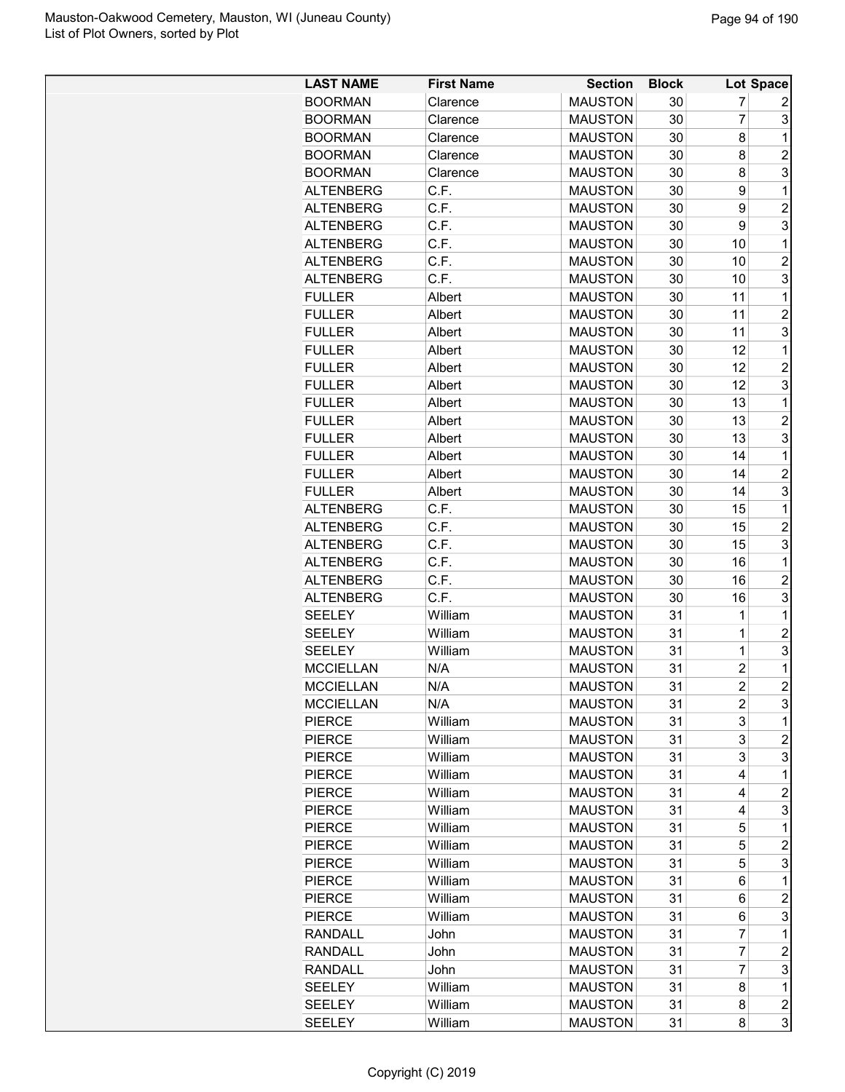| <b>LAST NAME</b> | <b>First Name</b> | <b>Section</b> | <b>Block</b> |                | Lot Space        |
|------------------|-------------------|----------------|--------------|----------------|------------------|
| <b>BOORMAN</b>   | Clarence          | <b>MAUSTON</b> | 30           | 7              | 2                |
| <b>BOORMAN</b>   | Clarence          | <b>MAUSTON</b> | 30           | $\overline{7}$ | 3                |
| <b>BOORMAN</b>   | Clarence          | <b>MAUSTON</b> | 30           | 8              | 1                |
| <b>BOORMAN</b>   | Clarence          | <b>MAUSTON</b> | 30           | 8              | $\overline{2}$   |
| <b>BOORMAN</b>   | Clarence          | <b>MAUSTON</b> | 30           | 8              | 3                |
| <b>ALTENBERG</b> | C.F.              | <b>MAUSTON</b> | 30           | 9              | 1                |
| <b>ALTENBERG</b> | C.F.              | <b>MAUSTON</b> | 30           | 9              | $\overline{c}$   |
| <b>ALTENBERG</b> | C.F.              | <b>MAUSTON</b> | 30           | 9              | 3                |
| <b>ALTENBERG</b> | C.F.              | <b>MAUSTON</b> | 30           | 10             | $\mathbf 1$      |
| <b>ALTENBERG</b> | C.F.              | <b>MAUSTON</b> | 30           | 10             | $\overline{2}$   |
| <b>ALTENBERG</b> | C.F.              | <b>MAUSTON</b> | 30           | 10             | 3                |
| <b>FULLER</b>    | Albert            | <b>MAUSTON</b> | 30           | 11             | 1                |
| <b>FULLER</b>    | Albert            | <b>MAUSTON</b> | 30           | 11             | $\overline{2}$   |
| <b>FULLER</b>    |                   | <b>MAUSTON</b> | 30           | 11             | 3                |
|                  | Albert            |                |              |                | 1                |
| <b>FULLER</b>    | Albert            | <b>MAUSTON</b> | 30           | 12             |                  |
| <b>FULLER</b>    | Albert            | <b>MAUSTON</b> | 30           | 12             | $\overline{2}$   |
| <b>FULLER</b>    | Albert            | <b>MAUSTON</b> | 30           | 12             | 3                |
| <b>FULLER</b>    | Albert            | <b>MAUSTON</b> | 30           | 13             | 1                |
| <b>FULLER</b>    | Albert            | <b>MAUSTON</b> | 30           | 13             | $\overline{2}$   |
| <b>FULLER</b>    | Albert            | <b>MAUSTON</b> | 30           | 13             | 3                |
| <b>FULLER</b>    | Albert            | <b>MAUSTON</b> | 30           | 14             | 1                |
| <b>FULLER</b>    | Albert            | <b>MAUSTON</b> | 30           | 14             | $\overline{2}$   |
| <b>FULLER</b>    | Albert            | <b>MAUSTON</b> | 30           | 14             | 3                |
| <b>ALTENBERG</b> | C.F.              | <b>MAUSTON</b> | 30           | 15             | 1                |
| <b>ALTENBERG</b> | C.F.              | <b>MAUSTON</b> | 30           | 15             | $\overline{2}$   |
| <b>ALTENBERG</b> | C.F.              | <b>MAUSTON</b> | 30           | 15             | 3                |
| <b>ALTENBERG</b> | C.F.              | <b>MAUSTON</b> | 30           | 16             | 1                |
| <b>ALTENBERG</b> | C.F.              | <b>MAUSTON</b> | 30           | 16             | $\overline{c}$   |
| <b>ALTENBERG</b> | C.F.              | <b>MAUSTON</b> | 30           | 16             | 3                |
| <b>SEELEY</b>    | William           | <b>MAUSTON</b> | 31           | 1              | 1                |
| <b>SEELEY</b>    | William           | <b>MAUSTON</b> | 31           | 1              | $\overline{c}$   |
| <b>SEELEY</b>    | William           | <b>MAUSTON</b> | 31           | 1              | 3                |
| <b>MCCIELLAN</b> | N/A               | <b>MAUSTON</b> | 31           | $\overline{c}$ | 1                |
| <b>MCCIELLAN</b> | N/A               | <b>MAUSTON</b> | 31           | $\overline{2}$ | $\overline{2}$   |
| <b>MCCIELLAN</b> | N/A               | <b>MAUSTON</b> | 31           | 2              | 3                |
| <b>PIERCE</b>    | William           | <b>MAUSTON</b> | 31           | 3              | 1                |
| <b>PIERCE</b>    | William           | <b>MAUSTON</b> | 31           | 3              | $\overline{c}$   |
| <b>PIERCE</b>    | William           | <b>MAUSTON</b> | 31           | 3              | 3                |
| <b>PIERCE</b>    | William           | <b>MAUSTON</b> | 31           | 4              | 1                |
| <b>PIERCE</b>    | William           | <b>MAUSTON</b> | 31           | 4              | $\overline{c}$   |
| <b>PIERCE</b>    | William           | <b>MAUSTON</b> | 31           | 4              | 3                |
| <b>PIERCE</b>    | William           | <b>MAUSTON</b> | 31           | 5              | 1                |
| <b>PIERCE</b>    | William           | <b>MAUSTON</b> | 31           | 5              | $\overline{c}$   |
| <b>PIERCE</b>    | William           | <b>MAUSTON</b> | 31           | 5              | 3                |
| <b>PIERCE</b>    | William           | <b>MAUSTON</b> | 31           | 6              | 1                |
| <b>PIERCE</b>    | William           | <b>MAUSTON</b> | 31           | 6              | $\overline{c}$   |
| <b>PIERCE</b>    | William           | <b>MAUSTON</b> | 31           | 6              | 3                |
| RANDALL          | John              | <b>MAUSTON</b> | 31           | 7              | 1                |
| <b>RANDALL</b>   | John              | <b>MAUSTON</b> | 31           | 7              | $\overline{c}$   |
| <b>RANDALL</b>   | John              | <b>MAUSTON</b> | 31           | 7              | 3                |
| <b>SEELEY</b>    | William           | <b>MAUSTON</b> | 31           | 8              | 1                |
| <b>SEELEY</b>    | William           | <b>MAUSTON</b> | 31           | 8              | $\boldsymbol{2}$ |
| <b>SEELEY</b>    | William           | <b>MAUSTON</b> | 31           | 8              | 3                |
|                  |                   |                |              |                |                  |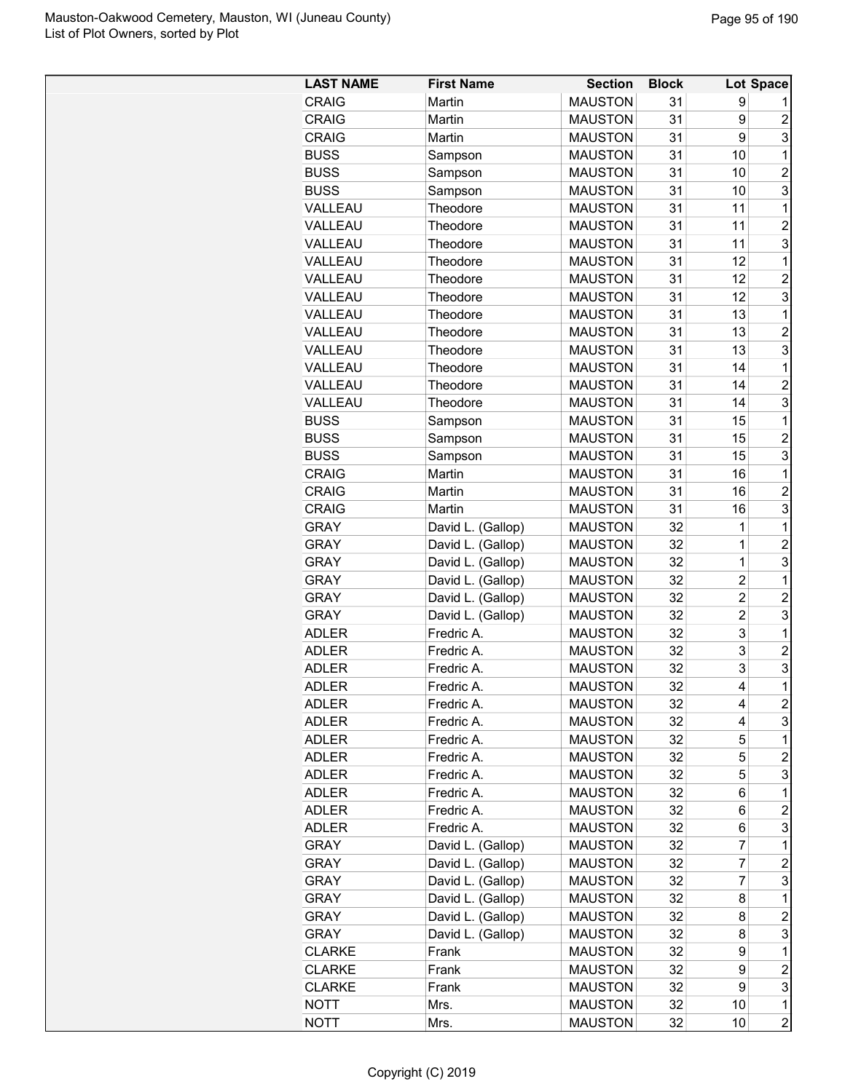| <b>MAUSTON</b><br>31<br>9<br><b>CRAIG</b><br>Martin<br><b>MAUSTON</b><br>$\overline{c}$<br><b>CRAIG</b><br>31<br>9<br>Martin<br>3<br>9<br><b>CRAIG</b><br>Martin<br><b>MAUSTON</b><br>31<br><b>BUSS</b><br><b>MAUSTON</b><br>31<br>10<br>$\mathbf{1}$<br>Sampson<br><b>MAUSTON</b><br>31<br>$\overline{c}$<br><b>BUSS</b><br>10<br>Sampson<br>3<br><b>MAUSTON</b><br>31<br><b>BUSS</b><br>10<br>Sampson<br>31<br>$\mathbf 1$<br>VALLEAU<br>Theodore<br><b>MAUSTON</b><br>11<br>$\overline{2}$<br>11<br>VALLEAU<br>Theodore<br><b>MAUSTON</b><br>31<br>3<br>11<br><b>MAUSTON</b><br>31<br>VALLEAU<br>Theodore<br>31<br>Theodore<br><b>MAUSTON</b><br>12<br>1<br>VALLEAU<br>$\overline{c}$<br>VALLEAU<br>Theodore<br><b>MAUSTON</b><br>31<br>12<br>3<br>VALLEAU<br>Theodore<br><b>MAUSTON</b><br>31<br>12<br>31<br>VALLEAU<br>Theodore<br><b>MAUSTON</b><br>13<br>1<br>$\overline{2}$<br>31<br>VALLEAU<br>Theodore<br><b>MAUSTON</b><br>13<br>3<br>13<br>VALLEAU<br>Theodore<br><b>MAUSTON</b><br>31<br>31<br>14<br>$\mathbf 1$<br>VALLEAU<br><b>MAUSTON</b><br>Theodore<br>14<br>$\overline{c}$<br>VALLEAU<br>Theodore<br><b>MAUSTON</b><br>31<br>3<br>Theodore<br><b>MAUSTON</b><br>31<br>14<br>VALLEAU<br><b>MAUSTON</b><br><b>BUSS</b><br>31<br>15<br>$\mathbf 1$<br>Sampson<br><b>MAUSTON</b><br>31<br>$\overline{c}$<br><b>BUSS</b><br>15<br>Sampson<br>3<br>31<br>15<br><b>BUSS</b><br><b>MAUSTON</b><br>Sampson<br>31<br>$\mathbf{1}$<br><b>CRAIG</b><br>Martin<br><b>MAUSTON</b><br>16<br>31<br>$\overline{c}$<br><b>CRAIG</b><br>Martin<br><b>MAUSTON</b><br>16<br>3<br><b>CRAIG</b><br>Martin<br><b>MAUSTON</b><br>31<br>16<br>$\mathbf{1}$<br>David L. (Gallop)<br><b>MAUSTON</b><br>32<br>1<br><b>GRAY</b><br>$\overline{c}$<br><b>GRAY</b><br>David L. (Gallop)<br><b>MAUSTON</b><br>32<br>$\mathbf 1$<br>3<br>David L. (Gallop)<br><b>MAUSTON</b><br>32<br><b>GRAY</b><br>1<br>David L. (Gallop)<br>32<br>$\overline{\mathbf{c}}$<br>$\mathbf 1$<br><b>GRAY</b><br><b>MAUSTON</b><br>$\overline{c}$<br>David L. (Gallop)<br>$\overline{\mathbf{c}}$<br>32<br><b>GRAY</b><br><b>MAUSTON</b><br>$\overline{2}$<br>3<br>32<br><b>GRAY</b><br>David L. (Gallop)<br><b>MAUSTON</b><br>3<br>Fredric A.<br>$\mathbf 1$<br><b>ADLER</b><br><b>MAUSTON</b><br>32<br>3<br>$\overline{c}$<br><b>MAUSTON</b><br>32<br><b>ADLER</b><br>Fredric A.<br>3<br>3<br><b>MAUSTON</b><br><b>ADLER</b><br>Fredric A.<br>32<br>$\mathbf{1}$<br>32<br>4<br><b>ADLER</b><br><b>MAUSTON</b><br>Fredric A<br>$\boldsymbol{2}$<br><b>MAUSTON</b><br>32<br><b>ADLER</b><br>Fredric A.<br>4<br>3<br><b>ADLER</b><br>Fredric A.<br><b>MAUSTON</b><br>32<br>4<br>32<br>5<br>Fredric A.<br><b>MAUSTON</b><br>1<br><b>ADLER</b><br>$\overline{c}$<br>Fredric A.<br>5<br><b>ADLER</b><br><b>MAUSTON</b><br>32<br>3<br>5<br><b>ADLER</b><br>Fredric A.<br><b>MAUSTON</b><br>32<br>Fredric A.<br><b>MAUSTON</b><br><b>ADLER</b><br>32<br>6<br>1<br><b>ADLER</b><br>Fredric A.<br><b>MAUSTON</b><br>32<br>$\overline{c}$<br>6<br>3<br>Fredric A.<br>32<br>6<br><b>ADLER</b><br><b>MAUSTON</b><br>$\overline{7}$<br>David L. (Gallop)<br>32<br>1<br><b>GRAY</b><br><b>MAUSTON</b><br>7<br>David L. (Gallop)<br>32<br>$\overline{c}$<br><b>GRAY</b><br><b>MAUSTON</b><br>$\overline{7}$<br>3<br>David L. (Gallop)<br><b>GRAY</b><br><b>MAUSTON</b><br>32<br>David L. (Gallop)<br><b>GRAY</b><br><b>MAUSTON</b><br>32<br>8<br>1<br>David L. (Gallop)<br>$\overline{c}$<br><b>GRAY</b><br><b>MAUSTON</b><br>32<br>8<br>3<br><b>GRAY</b><br>David L. (Gallop)<br><b>MAUSTON</b><br>32<br>8<br><b>MAUSTON</b><br>32<br>9<br>1<br><b>CLARKE</b><br>Frank<br>$\overline{2}$<br><b>CLARKE</b><br><b>MAUSTON</b><br>32<br>9<br>Frank<br>9<br>3<br><b>CLARKE</b><br>Frank<br><b>MAUSTON</b><br>32<br><b>MAUSTON</b><br>$\mathbf 1$<br><b>NOTT</b><br>Mrs.<br>32<br>10<br>$\overline{2}$<br><b>NOTT</b><br><b>MAUSTON</b><br>32<br>10<br>Mrs. | <b>LAST NAME</b> | <b>First Name</b> | <b>Section</b> | <b>Block</b> | Lot Space |
|----------------------------------------------------------------------------------------------------------------------------------------------------------------------------------------------------------------------------------------------------------------------------------------------------------------------------------------------------------------------------------------------------------------------------------------------------------------------------------------------------------------------------------------------------------------------------------------------------------------------------------------------------------------------------------------------------------------------------------------------------------------------------------------------------------------------------------------------------------------------------------------------------------------------------------------------------------------------------------------------------------------------------------------------------------------------------------------------------------------------------------------------------------------------------------------------------------------------------------------------------------------------------------------------------------------------------------------------------------------------------------------------------------------------------------------------------------------------------------------------------------------------------------------------------------------------------------------------------------------------------------------------------------------------------------------------------------------------------------------------------------------------------------------------------------------------------------------------------------------------------------------------------------------------------------------------------------------------------------------------------------------------------------------------------------------------------------------------------------------------------------------------------------------------------------------------------------------------------------------------------------------------------------------------------------------------------------------------------------------------------------------------------------------------------------------------------------------------------------------------------------------------------------------------------------------------------------------------------------------------------------------------------------------------------------------------------------------------------------------------------------------------------------------------------------------------------------------------------------------------------------------------------------------------------------------------------------------------------------------------------------------------------------------------------------------------------------------------------------------------------------------------------------------------------------------------------------------------------------------------------------------------------------------------------------------------------------------------------------------------------------------------------------------------------------------------------------------------------------------------------------------------------------------------------------------------------------------------------------------------------------------------------------------------------------------------------------------------------------------------------------------------------------------------------------------------------------------------------------------------------------------------------------|------------------|-------------------|----------------|--------------|-----------|
|                                                                                                                                                                                                                                                                                                                                                                                                                                                                                                                                                                                                                                                                                                                                                                                                                                                                                                                                                                                                                                                                                                                                                                                                                                                                                                                                                                                                                                                                                                                                                                                                                                                                                                                                                                                                                                                                                                                                                                                                                                                                                                                                                                                                                                                                                                                                                                                                                                                                                                                                                                                                                                                                                                                                                                                                                                                                                                                                                                                                                                                                                                                                                                                                                                                                                                                                                                                                                                                                                                                                                                                                                                                                                                                                                                                                                                                                                                          |                  |                   |                |              |           |
|                                                                                                                                                                                                                                                                                                                                                                                                                                                                                                                                                                                                                                                                                                                                                                                                                                                                                                                                                                                                                                                                                                                                                                                                                                                                                                                                                                                                                                                                                                                                                                                                                                                                                                                                                                                                                                                                                                                                                                                                                                                                                                                                                                                                                                                                                                                                                                                                                                                                                                                                                                                                                                                                                                                                                                                                                                                                                                                                                                                                                                                                                                                                                                                                                                                                                                                                                                                                                                                                                                                                                                                                                                                                                                                                                                                                                                                                                                          |                  |                   |                |              |           |
|                                                                                                                                                                                                                                                                                                                                                                                                                                                                                                                                                                                                                                                                                                                                                                                                                                                                                                                                                                                                                                                                                                                                                                                                                                                                                                                                                                                                                                                                                                                                                                                                                                                                                                                                                                                                                                                                                                                                                                                                                                                                                                                                                                                                                                                                                                                                                                                                                                                                                                                                                                                                                                                                                                                                                                                                                                                                                                                                                                                                                                                                                                                                                                                                                                                                                                                                                                                                                                                                                                                                                                                                                                                                                                                                                                                                                                                                                                          |                  |                   |                |              |           |
|                                                                                                                                                                                                                                                                                                                                                                                                                                                                                                                                                                                                                                                                                                                                                                                                                                                                                                                                                                                                                                                                                                                                                                                                                                                                                                                                                                                                                                                                                                                                                                                                                                                                                                                                                                                                                                                                                                                                                                                                                                                                                                                                                                                                                                                                                                                                                                                                                                                                                                                                                                                                                                                                                                                                                                                                                                                                                                                                                                                                                                                                                                                                                                                                                                                                                                                                                                                                                                                                                                                                                                                                                                                                                                                                                                                                                                                                                                          |                  |                   |                |              |           |
|                                                                                                                                                                                                                                                                                                                                                                                                                                                                                                                                                                                                                                                                                                                                                                                                                                                                                                                                                                                                                                                                                                                                                                                                                                                                                                                                                                                                                                                                                                                                                                                                                                                                                                                                                                                                                                                                                                                                                                                                                                                                                                                                                                                                                                                                                                                                                                                                                                                                                                                                                                                                                                                                                                                                                                                                                                                                                                                                                                                                                                                                                                                                                                                                                                                                                                                                                                                                                                                                                                                                                                                                                                                                                                                                                                                                                                                                                                          |                  |                   |                |              |           |
|                                                                                                                                                                                                                                                                                                                                                                                                                                                                                                                                                                                                                                                                                                                                                                                                                                                                                                                                                                                                                                                                                                                                                                                                                                                                                                                                                                                                                                                                                                                                                                                                                                                                                                                                                                                                                                                                                                                                                                                                                                                                                                                                                                                                                                                                                                                                                                                                                                                                                                                                                                                                                                                                                                                                                                                                                                                                                                                                                                                                                                                                                                                                                                                                                                                                                                                                                                                                                                                                                                                                                                                                                                                                                                                                                                                                                                                                                                          |                  |                   |                |              |           |
|                                                                                                                                                                                                                                                                                                                                                                                                                                                                                                                                                                                                                                                                                                                                                                                                                                                                                                                                                                                                                                                                                                                                                                                                                                                                                                                                                                                                                                                                                                                                                                                                                                                                                                                                                                                                                                                                                                                                                                                                                                                                                                                                                                                                                                                                                                                                                                                                                                                                                                                                                                                                                                                                                                                                                                                                                                                                                                                                                                                                                                                                                                                                                                                                                                                                                                                                                                                                                                                                                                                                                                                                                                                                                                                                                                                                                                                                                                          |                  |                   |                |              |           |
|                                                                                                                                                                                                                                                                                                                                                                                                                                                                                                                                                                                                                                                                                                                                                                                                                                                                                                                                                                                                                                                                                                                                                                                                                                                                                                                                                                                                                                                                                                                                                                                                                                                                                                                                                                                                                                                                                                                                                                                                                                                                                                                                                                                                                                                                                                                                                                                                                                                                                                                                                                                                                                                                                                                                                                                                                                                                                                                                                                                                                                                                                                                                                                                                                                                                                                                                                                                                                                                                                                                                                                                                                                                                                                                                                                                                                                                                                                          |                  |                   |                |              |           |
|                                                                                                                                                                                                                                                                                                                                                                                                                                                                                                                                                                                                                                                                                                                                                                                                                                                                                                                                                                                                                                                                                                                                                                                                                                                                                                                                                                                                                                                                                                                                                                                                                                                                                                                                                                                                                                                                                                                                                                                                                                                                                                                                                                                                                                                                                                                                                                                                                                                                                                                                                                                                                                                                                                                                                                                                                                                                                                                                                                                                                                                                                                                                                                                                                                                                                                                                                                                                                                                                                                                                                                                                                                                                                                                                                                                                                                                                                                          |                  |                   |                |              |           |
|                                                                                                                                                                                                                                                                                                                                                                                                                                                                                                                                                                                                                                                                                                                                                                                                                                                                                                                                                                                                                                                                                                                                                                                                                                                                                                                                                                                                                                                                                                                                                                                                                                                                                                                                                                                                                                                                                                                                                                                                                                                                                                                                                                                                                                                                                                                                                                                                                                                                                                                                                                                                                                                                                                                                                                                                                                                                                                                                                                                                                                                                                                                                                                                                                                                                                                                                                                                                                                                                                                                                                                                                                                                                                                                                                                                                                                                                                                          |                  |                   |                |              |           |
|                                                                                                                                                                                                                                                                                                                                                                                                                                                                                                                                                                                                                                                                                                                                                                                                                                                                                                                                                                                                                                                                                                                                                                                                                                                                                                                                                                                                                                                                                                                                                                                                                                                                                                                                                                                                                                                                                                                                                                                                                                                                                                                                                                                                                                                                                                                                                                                                                                                                                                                                                                                                                                                                                                                                                                                                                                                                                                                                                                                                                                                                                                                                                                                                                                                                                                                                                                                                                                                                                                                                                                                                                                                                                                                                                                                                                                                                                                          |                  |                   |                |              |           |
|                                                                                                                                                                                                                                                                                                                                                                                                                                                                                                                                                                                                                                                                                                                                                                                                                                                                                                                                                                                                                                                                                                                                                                                                                                                                                                                                                                                                                                                                                                                                                                                                                                                                                                                                                                                                                                                                                                                                                                                                                                                                                                                                                                                                                                                                                                                                                                                                                                                                                                                                                                                                                                                                                                                                                                                                                                                                                                                                                                                                                                                                                                                                                                                                                                                                                                                                                                                                                                                                                                                                                                                                                                                                                                                                                                                                                                                                                                          |                  |                   |                |              |           |
|                                                                                                                                                                                                                                                                                                                                                                                                                                                                                                                                                                                                                                                                                                                                                                                                                                                                                                                                                                                                                                                                                                                                                                                                                                                                                                                                                                                                                                                                                                                                                                                                                                                                                                                                                                                                                                                                                                                                                                                                                                                                                                                                                                                                                                                                                                                                                                                                                                                                                                                                                                                                                                                                                                                                                                                                                                                                                                                                                                                                                                                                                                                                                                                                                                                                                                                                                                                                                                                                                                                                                                                                                                                                                                                                                                                                                                                                                                          |                  |                   |                |              |           |
|                                                                                                                                                                                                                                                                                                                                                                                                                                                                                                                                                                                                                                                                                                                                                                                                                                                                                                                                                                                                                                                                                                                                                                                                                                                                                                                                                                                                                                                                                                                                                                                                                                                                                                                                                                                                                                                                                                                                                                                                                                                                                                                                                                                                                                                                                                                                                                                                                                                                                                                                                                                                                                                                                                                                                                                                                                                                                                                                                                                                                                                                                                                                                                                                                                                                                                                                                                                                                                                                                                                                                                                                                                                                                                                                                                                                                                                                                                          |                  |                   |                |              |           |
|                                                                                                                                                                                                                                                                                                                                                                                                                                                                                                                                                                                                                                                                                                                                                                                                                                                                                                                                                                                                                                                                                                                                                                                                                                                                                                                                                                                                                                                                                                                                                                                                                                                                                                                                                                                                                                                                                                                                                                                                                                                                                                                                                                                                                                                                                                                                                                                                                                                                                                                                                                                                                                                                                                                                                                                                                                                                                                                                                                                                                                                                                                                                                                                                                                                                                                                                                                                                                                                                                                                                                                                                                                                                                                                                                                                                                                                                                                          |                  |                   |                |              |           |
|                                                                                                                                                                                                                                                                                                                                                                                                                                                                                                                                                                                                                                                                                                                                                                                                                                                                                                                                                                                                                                                                                                                                                                                                                                                                                                                                                                                                                                                                                                                                                                                                                                                                                                                                                                                                                                                                                                                                                                                                                                                                                                                                                                                                                                                                                                                                                                                                                                                                                                                                                                                                                                                                                                                                                                                                                                                                                                                                                                                                                                                                                                                                                                                                                                                                                                                                                                                                                                                                                                                                                                                                                                                                                                                                                                                                                                                                                                          |                  |                   |                |              |           |
|                                                                                                                                                                                                                                                                                                                                                                                                                                                                                                                                                                                                                                                                                                                                                                                                                                                                                                                                                                                                                                                                                                                                                                                                                                                                                                                                                                                                                                                                                                                                                                                                                                                                                                                                                                                                                                                                                                                                                                                                                                                                                                                                                                                                                                                                                                                                                                                                                                                                                                                                                                                                                                                                                                                                                                                                                                                                                                                                                                                                                                                                                                                                                                                                                                                                                                                                                                                                                                                                                                                                                                                                                                                                                                                                                                                                                                                                                                          |                  |                   |                |              |           |
|                                                                                                                                                                                                                                                                                                                                                                                                                                                                                                                                                                                                                                                                                                                                                                                                                                                                                                                                                                                                                                                                                                                                                                                                                                                                                                                                                                                                                                                                                                                                                                                                                                                                                                                                                                                                                                                                                                                                                                                                                                                                                                                                                                                                                                                                                                                                                                                                                                                                                                                                                                                                                                                                                                                                                                                                                                                                                                                                                                                                                                                                                                                                                                                                                                                                                                                                                                                                                                                                                                                                                                                                                                                                                                                                                                                                                                                                                                          |                  |                   |                |              |           |
|                                                                                                                                                                                                                                                                                                                                                                                                                                                                                                                                                                                                                                                                                                                                                                                                                                                                                                                                                                                                                                                                                                                                                                                                                                                                                                                                                                                                                                                                                                                                                                                                                                                                                                                                                                                                                                                                                                                                                                                                                                                                                                                                                                                                                                                                                                                                                                                                                                                                                                                                                                                                                                                                                                                                                                                                                                                                                                                                                                                                                                                                                                                                                                                                                                                                                                                                                                                                                                                                                                                                                                                                                                                                                                                                                                                                                                                                                                          |                  |                   |                |              |           |
|                                                                                                                                                                                                                                                                                                                                                                                                                                                                                                                                                                                                                                                                                                                                                                                                                                                                                                                                                                                                                                                                                                                                                                                                                                                                                                                                                                                                                                                                                                                                                                                                                                                                                                                                                                                                                                                                                                                                                                                                                                                                                                                                                                                                                                                                                                                                                                                                                                                                                                                                                                                                                                                                                                                                                                                                                                                                                                                                                                                                                                                                                                                                                                                                                                                                                                                                                                                                                                                                                                                                                                                                                                                                                                                                                                                                                                                                                                          |                  |                   |                |              |           |
|                                                                                                                                                                                                                                                                                                                                                                                                                                                                                                                                                                                                                                                                                                                                                                                                                                                                                                                                                                                                                                                                                                                                                                                                                                                                                                                                                                                                                                                                                                                                                                                                                                                                                                                                                                                                                                                                                                                                                                                                                                                                                                                                                                                                                                                                                                                                                                                                                                                                                                                                                                                                                                                                                                                                                                                                                                                                                                                                                                                                                                                                                                                                                                                                                                                                                                                                                                                                                                                                                                                                                                                                                                                                                                                                                                                                                                                                                                          |                  |                   |                |              |           |
|                                                                                                                                                                                                                                                                                                                                                                                                                                                                                                                                                                                                                                                                                                                                                                                                                                                                                                                                                                                                                                                                                                                                                                                                                                                                                                                                                                                                                                                                                                                                                                                                                                                                                                                                                                                                                                                                                                                                                                                                                                                                                                                                                                                                                                                                                                                                                                                                                                                                                                                                                                                                                                                                                                                                                                                                                                                                                                                                                                                                                                                                                                                                                                                                                                                                                                                                                                                                                                                                                                                                                                                                                                                                                                                                                                                                                                                                                                          |                  |                   |                |              |           |
|                                                                                                                                                                                                                                                                                                                                                                                                                                                                                                                                                                                                                                                                                                                                                                                                                                                                                                                                                                                                                                                                                                                                                                                                                                                                                                                                                                                                                                                                                                                                                                                                                                                                                                                                                                                                                                                                                                                                                                                                                                                                                                                                                                                                                                                                                                                                                                                                                                                                                                                                                                                                                                                                                                                                                                                                                                                                                                                                                                                                                                                                                                                                                                                                                                                                                                                                                                                                                                                                                                                                                                                                                                                                                                                                                                                                                                                                                                          |                  |                   |                |              |           |
|                                                                                                                                                                                                                                                                                                                                                                                                                                                                                                                                                                                                                                                                                                                                                                                                                                                                                                                                                                                                                                                                                                                                                                                                                                                                                                                                                                                                                                                                                                                                                                                                                                                                                                                                                                                                                                                                                                                                                                                                                                                                                                                                                                                                                                                                                                                                                                                                                                                                                                                                                                                                                                                                                                                                                                                                                                                                                                                                                                                                                                                                                                                                                                                                                                                                                                                                                                                                                                                                                                                                                                                                                                                                                                                                                                                                                                                                                                          |                  |                   |                |              |           |
|                                                                                                                                                                                                                                                                                                                                                                                                                                                                                                                                                                                                                                                                                                                                                                                                                                                                                                                                                                                                                                                                                                                                                                                                                                                                                                                                                                                                                                                                                                                                                                                                                                                                                                                                                                                                                                                                                                                                                                                                                                                                                                                                                                                                                                                                                                                                                                                                                                                                                                                                                                                                                                                                                                                                                                                                                                                                                                                                                                                                                                                                                                                                                                                                                                                                                                                                                                                                                                                                                                                                                                                                                                                                                                                                                                                                                                                                                                          |                  |                   |                |              |           |
|                                                                                                                                                                                                                                                                                                                                                                                                                                                                                                                                                                                                                                                                                                                                                                                                                                                                                                                                                                                                                                                                                                                                                                                                                                                                                                                                                                                                                                                                                                                                                                                                                                                                                                                                                                                                                                                                                                                                                                                                                                                                                                                                                                                                                                                                                                                                                                                                                                                                                                                                                                                                                                                                                                                                                                                                                                                                                                                                                                                                                                                                                                                                                                                                                                                                                                                                                                                                                                                                                                                                                                                                                                                                                                                                                                                                                                                                                                          |                  |                   |                |              |           |
|                                                                                                                                                                                                                                                                                                                                                                                                                                                                                                                                                                                                                                                                                                                                                                                                                                                                                                                                                                                                                                                                                                                                                                                                                                                                                                                                                                                                                                                                                                                                                                                                                                                                                                                                                                                                                                                                                                                                                                                                                                                                                                                                                                                                                                                                                                                                                                                                                                                                                                                                                                                                                                                                                                                                                                                                                                                                                                                                                                                                                                                                                                                                                                                                                                                                                                                                                                                                                                                                                                                                                                                                                                                                                                                                                                                                                                                                                                          |                  |                   |                |              |           |
|                                                                                                                                                                                                                                                                                                                                                                                                                                                                                                                                                                                                                                                                                                                                                                                                                                                                                                                                                                                                                                                                                                                                                                                                                                                                                                                                                                                                                                                                                                                                                                                                                                                                                                                                                                                                                                                                                                                                                                                                                                                                                                                                                                                                                                                                                                                                                                                                                                                                                                                                                                                                                                                                                                                                                                                                                                                                                                                                                                                                                                                                                                                                                                                                                                                                                                                                                                                                                                                                                                                                                                                                                                                                                                                                                                                                                                                                                                          |                  |                   |                |              |           |
|                                                                                                                                                                                                                                                                                                                                                                                                                                                                                                                                                                                                                                                                                                                                                                                                                                                                                                                                                                                                                                                                                                                                                                                                                                                                                                                                                                                                                                                                                                                                                                                                                                                                                                                                                                                                                                                                                                                                                                                                                                                                                                                                                                                                                                                                                                                                                                                                                                                                                                                                                                                                                                                                                                                                                                                                                                                                                                                                                                                                                                                                                                                                                                                                                                                                                                                                                                                                                                                                                                                                                                                                                                                                                                                                                                                                                                                                                                          |                  |                   |                |              |           |
|                                                                                                                                                                                                                                                                                                                                                                                                                                                                                                                                                                                                                                                                                                                                                                                                                                                                                                                                                                                                                                                                                                                                                                                                                                                                                                                                                                                                                                                                                                                                                                                                                                                                                                                                                                                                                                                                                                                                                                                                                                                                                                                                                                                                                                                                                                                                                                                                                                                                                                                                                                                                                                                                                                                                                                                                                                                                                                                                                                                                                                                                                                                                                                                                                                                                                                                                                                                                                                                                                                                                                                                                                                                                                                                                                                                                                                                                                                          |                  |                   |                |              |           |
|                                                                                                                                                                                                                                                                                                                                                                                                                                                                                                                                                                                                                                                                                                                                                                                                                                                                                                                                                                                                                                                                                                                                                                                                                                                                                                                                                                                                                                                                                                                                                                                                                                                                                                                                                                                                                                                                                                                                                                                                                                                                                                                                                                                                                                                                                                                                                                                                                                                                                                                                                                                                                                                                                                                                                                                                                                                                                                                                                                                                                                                                                                                                                                                                                                                                                                                                                                                                                                                                                                                                                                                                                                                                                                                                                                                                                                                                                                          |                  |                   |                |              |           |
|                                                                                                                                                                                                                                                                                                                                                                                                                                                                                                                                                                                                                                                                                                                                                                                                                                                                                                                                                                                                                                                                                                                                                                                                                                                                                                                                                                                                                                                                                                                                                                                                                                                                                                                                                                                                                                                                                                                                                                                                                                                                                                                                                                                                                                                                                                                                                                                                                                                                                                                                                                                                                                                                                                                                                                                                                                                                                                                                                                                                                                                                                                                                                                                                                                                                                                                                                                                                                                                                                                                                                                                                                                                                                                                                                                                                                                                                                                          |                  |                   |                |              |           |
|                                                                                                                                                                                                                                                                                                                                                                                                                                                                                                                                                                                                                                                                                                                                                                                                                                                                                                                                                                                                                                                                                                                                                                                                                                                                                                                                                                                                                                                                                                                                                                                                                                                                                                                                                                                                                                                                                                                                                                                                                                                                                                                                                                                                                                                                                                                                                                                                                                                                                                                                                                                                                                                                                                                                                                                                                                                                                                                                                                                                                                                                                                                                                                                                                                                                                                                                                                                                                                                                                                                                                                                                                                                                                                                                                                                                                                                                                                          |                  |                   |                |              |           |
|                                                                                                                                                                                                                                                                                                                                                                                                                                                                                                                                                                                                                                                                                                                                                                                                                                                                                                                                                                                                                                                                                                                                                                                                                                                                                                                                                                                                                                                                                                                                                                                                                                                                                                                                                                                                                                                                                                                                                                                                                                                                                                                                                                                                                                                                                                                                                                                                                                                                                                                                                                                                                                                                                                                                                                                                                                                                                                                                                                                                                                                                                                                                                                                                                                                                                                                                                                                                                                                                                                                                                                                                                                                                                                                                                                                                                                                                                                          |                  |                   |                |              |           |
|                                                                                                                                                                                                                                                                                                                                                                                                                                                                                                                                                                                                                                                                                                                                                                                                                                                                                                                                                                                                                                                                                                                                                                                                                                                                                                                                                                                                                                                                                                                                                                                                                                                                                                                                                                                                                                                                                                                                                                                                                                                                                                                                                                                                                                                                                                                                                                                                                                                                                                                                                                                                                                                                                                                                                                                                                                                                                                                                                                                                                                                                                                                                                                                                                                                                                                                                                                                                                                                                                                                                                                                                                                                                                                                                                                                                                                                                                                          |                  |                   |                |              |           |
|                                                                                                                                                                                                                                                                                                                                                                                                                                                                                                                                                                                                                                                                                                                                                                                                                                                                                                                                                                                                                                                                                                                                                                                                                                                                                                                                                                                                                                                                                                                                                                                                                                                                                                                                                                                                                                                                                                                                                                                                                                                                                                                                                                                                                                                                                                                                                                                                                                                                                                                                                                                                                                                                                                                                                                                                                                                                                                                                                                                                                                                                                                                                                                                                                                                                                                                                                                                                                                                                                                                                                                                                                                                                                                                                                                                                                                                                                                          |                  |                   |                |              |           |
|                                                                                                                                                                                                                                                                                                                                                                                                                                                                                                                                                                                                                                                                                                                                                                                                                                                                                                                                                                                                                                                                                                                                                                                                                                                                                                                                                                                                                                                                                                                                                                                                                                                                                                                                                                                                                                                                                                                                                                                                                                                                                                                                                                                                                                                                                                                                                                                                                                                                                                                                                                                                                                                                                                                                                                                                                                                                                                                                                                                                                                                                                                                                                                                                                                                                                                                                                                                                                                                                                                                                                                                                                                                                                                                                                                                                                                                                                                          |                  |                   |                |              |           |
|                                                                                                                                                                                                                                                                                                                                                                                                                                                                                                                                                                                                                                                                                                                                                                                                                                                                                                                                                                                                                                                                                                                                                                                                                                                                                                                                                                                                                                                                                                                                                                                                                                                                                                                                                                                                                                                                                                                                                                                                                                                                                                                                                                                                                                                                                                                                                                                                                                                                                                                                                                                                                                                                                                                                                                                                                                                                                                                                                                                                                                                                                                                                                                                                                                                                                                                                                                                                                                                                                                                                                                                                                                                                                                                                                                                                                                                                                                          |                  |                   |                |              |           |
|                                                                                                                                                                                                                                                                                                                                                                                                                                                                                                                                                                                                                                                                                                                                                                                                                                                                                                                                                                                                                                                                                                                                                                                                                                                                                                                                                                                                                                                                                                                                                                                                                                                                                                                                                                                                                                                                                                                                                                                                                                                                                                                                                                                                                                                                                                                                                                                                                                                                                                                                                                                                                                                                                                                                                                                                                                                                                                                                                                                                                                                                                                                                                                                                                                                                                                                                                                                                                                                                                                                                                                                                                                                                                                                                                                                                                                                                                                          |                  |                   |                |              |           |
|                                                                                                                                                                                                                                                                                                                                                                                                                                                                                                                                                                                                                                                                                                                                                                                                                                                                                                                                                                                                                                                                                                                                                                                                                                                                                                                                                                                                                                                                                                                                                                                                                                                                                                                                                                                                                                                                                                                                                                                                                                                                                                                                                                                                                                                                                                                                                                                                                                                                                                                                                                                                                                                                                                                                                                                                                                                                                                                                                                                                                                                                                                                                                                                                                                                                                                                                                                                                                                                                                                                                                                                                                                                                                                                                                                                                                                                                                                          |                  |                   |                |              |           |
|                                                                                                                                                                                                                                                                                                                                                                                                                                                                                                                                                                                                                                                                                                                                                                                                                                                                                                                                                                                                                                                                                                                                                                                                                                                                                                                                                                                                                                                                                                                                                                                                                                                                                                                                                                                                                                                                                                                                                                                                                                                                                                                                                                                                                                                                                                                                                                                                                                                                                                                                                                                                                                                                                                                                                                                                                                                                                                                                                                                                                                                                                                                                                                                                                                                                                                                                                                                                                                                                                                                                                                                                                                                                                                                                                                                                                                                                                                          |                  |                   |                |              |           |
|                                                                                                                                                                                                                                                                                                                                                                                                                                                                                                                                                                                                                                                                                                                                                                                                                                                                                                                                                                                                                                                                                                                                                                                                                                                                                                                                                                                                                                                                                                                                                                                                                                                                                                                                                                                                                                                                                                                                                                                                                                                                                                                                                                                                                                                                                                                                                                                                                                                                                                                                                                                                                                                                                                                                                                                                                                                                                                                                                                                                                                                                                                                                                                                                                                                                                                                                                                                                                                                                                                                                                                                                                                                                                                                                                                                                                                                                                                          |                  |                   |                |              |           |
|                                                                                                                                                                                                                                                                                                                                                                                                                                                                                                                                                                                                                                                                                                                                                                                                                                                                                                                                                                                                                                                                                                                                                                                                                                                                                                                                                                                                                                                                                                                                                                                                                                                                                                                                                                                                                                                                                                                                                                                                                                                                                                                                                                                                                                                                                                                                                                                                                                                                                                                                                                                                                                                                                                                                                                                                                                                                                                                                                                                                                                                                                                                                                                                                                                                                                                                                                                                                                                                                                                                                                                                                                                                                                                                                                                                                                                                                                                          |                  |                   |                |              |           |
|                                                                                                                                                                                                                                                                                                                                                                                                                                                                                                                                                                                                                                                                                                                                                                                                                                                                                                                                                                                                                                                                                                                                                                                                                                                                                                                                                                                                                                                                                                                                                                                                                                                                                                                                                                                                                                                                                                                                                                                                                                                                                                                                                                                                                                                                                                                                                                                                                                                                                                                                                                                                                                                                                                                                                                                                                                                                                                                                                                                                                                                                                                                                                                                                                                                                                                                                                                                                                                                                                                                                                                                                                                                                                                                                                                                                                                                                                                          |                  |                   |                |              |           |
|                                                                                                                                                                                                                                                                                                                                                                                                                                                                                                                                                                                                                                                                                                                                                                                                                                                                                                                                                                                                                                                                                                                                                                                                                                                                                                                                                                                                                                                                                                                                                                                                                                                                                                                                                                                                                                                                                                                                                                                                                                                                                                                                                                                                                                                                                                                                                                                                                                                                                                                                                                                                                                                                                                                                                                                                                                                                                                                                                                                                                                                                                                                                                                                                                                                                                                                                                                                                                                                                                                                                                                                                                                                                                                                                                                                                                                                                                                          |                  |                   |                |              |           |
|                                                                                                                                                                                                                                                                                                                                                                                                                                                                                                                                                                                                                                                                                                                                                                                                                                                                                                                                                                                                                                                                                                                                                                                                                                                                                                                                                                                                                                                                                                                                                                                                                                                                                                                                                                                                                                                                                                                                                                                                                                                                                                                                                                                                                                                                                                                                                                                                                                                                                                                                                                                                                                                                                                                                                                                                                                                                                                                                                                                                                                                                                                                                                                                                                                                                                                                                                                                                                                                                                                                                                                                                                                                                                                                                                                                                                                                                                                          |                  |                   |                |              |           |
|                                                                                                                                                                                                                                                                                                                                                                                                                                                                                                                                                                                                                                                                                                                                                                                                                                                                                                                                                                                                                                                                                                                                                                                                                                                                                                                                                                                                                                                                                                                                                                                                                                                                                                                                                                                                                                                                                                                                                                                                                                                                                                                                                                                                                                                                                                                                                                                                                                                                                                                                                                                                                                                                                                                                                                                                                                                                                                                                                                                                                                                                                                                                                                                                                                                                                                                                                                                                                                                                                                                                                                                                                                                                                                                                                                                                                                                                                                          |                  |                   |                |              |           |
|                                                                                                                                                                                                                                                                                                                                                                                                                                                                                                                                                                                                                                                                                                                                                                                                                                                                                                                                                                                                                                                                                                                                                                                                                                                                                                                                                                                                                                                                                                                                                                                                                                                                                                                                                                                                                                                                                                                                                                                                                                                                                                                                                                                                                                                                                                                                                                                                                                                                                                                                                                                                                                                                                                                                                                                                                                                                                                                                                                                                                                                                                                                                                                                                                                                                                                                                                                                                                                                                                                                                                                                                                                                                                                                                                                                                                                                                                                          |                  |                   |                |              |           |
|                                                                                                                                                                                                                                                                                                                                                                                                                                                                                                                                                                                                                                                                                                                                                                                                                                                                                                                                                                                                                                                                                                                                                                                                                                                                                                                                                                                                                                                                                                                                                                                                                                                                                                                                                                                                                                                                                                                                                                                                                                                                                                                                                                                                                                                                                                                                                                                                                                                                                                                                                                                                                                                                                                                                                                                                                                                                                                                                                                                                                                                                                                                                                                                                                                                                                                                                                                                                                                                                                                                                                                                                                                                                                                                                                                                                                                                                                                          |                  |                   |                |              |           |
|                                                                                                                                                                                                                                                                                                                                                                                                                                                                                                                                                                                                                                                                                                                                                                                                                                                                                                                                                                                                                                                                                                                                                                                                                                                                                                                                                                                                                                                                                                                                                                                                                                                                                                                                                                                                                                                                                                                                                                                                                                                                                                                                                                                                                                                                                                                                                                                                                                                                                                                                                                                                                                                                                                                                                                                                                                                                                                                                                                                                                                                                                                                                                                                                                                                                                                                                                                                                                                                                                                                                                                                                                                                                                                                                                                                                                                                                                                          |                  |                   |                |              |           |
|                                                                                                                                                                                                                                                                                                                                                                                                                                                                                                                                                                                                                                                                                                                                                                                                                                                                                                                                                                                                                                                                                                                                                                                                                                                                                                                                                                                                                                                                                                                                                                                                                                                                                                                                                                                                                                                                                                                                                                                                                                                                                                                                                                                                                                                                                                                                                                                                                                                                                                                                                                                                                                                                                                                                                                                                                                                                                                                                                                                                                                                                                                                                                                                                                                                                                                                                                                                                                                                                                                                                                                                                                                                                                                                                                                                                                                                                                                          |                  |                   |                |              |           |
|                                                                                                                                                                                                                                                                                                                                                                                                                                                                                                                                                                                                                                                                                                                                                                                                                                                                                                                                                                                                                                                                                                                                                                                                                                                                                                                                                                                                                                                                                                                                                                                                                                                                                                                                                                                                                                                                                                                                                                                                                                                                                                                                                                                                                                                                                                                                                                                                                                                                                                                                                                                                                                                                                                                                                                                                                                                                                                                                                                                                                                                                                                                                                                                                                                                                                                                                                                                                                                                                                                                                                                                                                                                                                                                                                                                                                                                                                                          |                  |                   |                |              |           |
|                                                                                                                                                                                                                                                                                                                                                                                                                                                                                                                                                                                                                                                                                                                                                                                                                                                                                                                                                                                                                                                                                                                                                                                                                                                                                                                                                                                                                                                                                                                                                                                                                                                                                                                                                                                                                                                                                                                                                                                                                                                                                                                                                                                                                                                                                                                                                                                                                                                                                                                                                                                                                                                                                                                                                                                                                                                                                                                                                                                                                                                                                                                                                                                                                                                                                                                                                                                                                                                                                                                                                                                                                                                                                                                                                                                                                                                                                                          |                  |                   |                |              |           |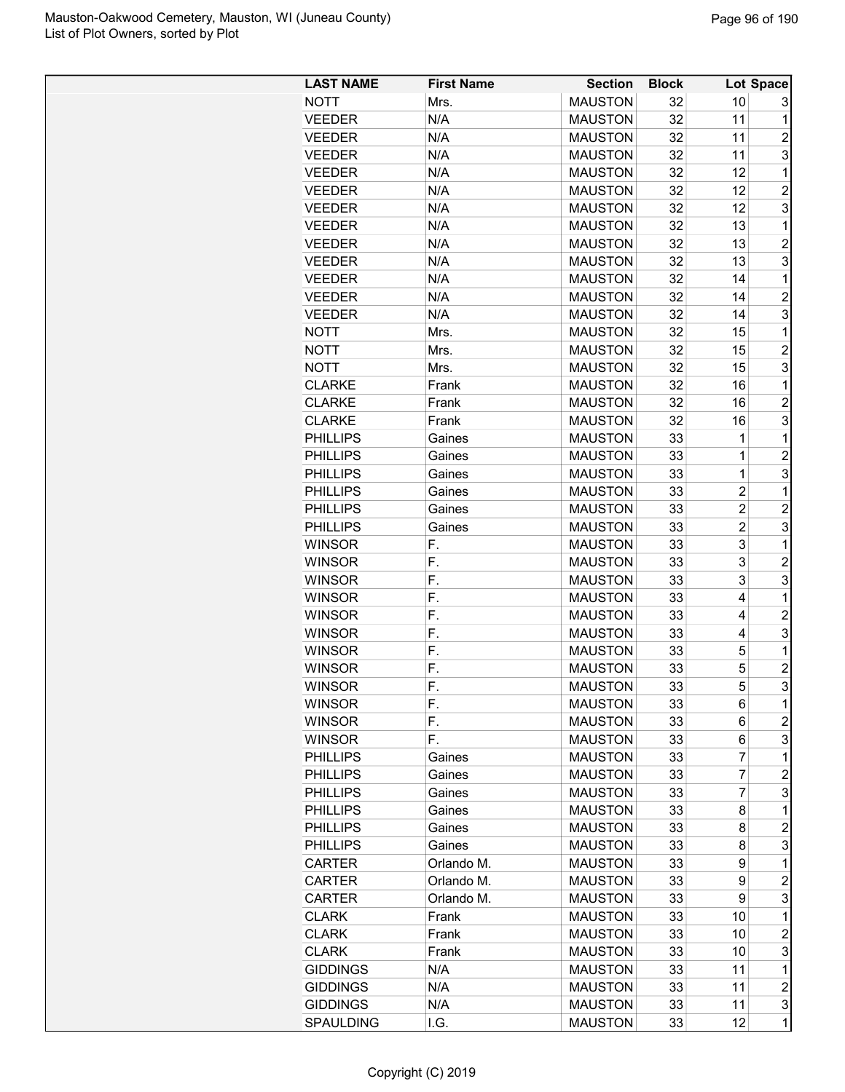| <b>LAST NAME</b> | <b>First Name</b> | <b>Section</b> | <b>Block</b> |                       | Lot Space      |
|------------------|-------------------|----------------|--------------|-----------------------|----------------|
| <b>NOTT</b>      | Mrs.              | <b>MAUSTON</b> | 32           | 10                    | 3              |
| <b>VEEDER</b>    | N/A               | <b>MAUSTON</b> | 32           | 11                    | 1              |
| <b>VEEDER</b>    | N/A               | <b>MAUSTON</b> | 32           | 11                    | 2              |
| <b>VEEDER</b>    | N/A               | <b>MAUSTON</b> | 32           | 11                    | 3              |
| <b>VEEDER</b>    | N/A               | <b>MAUSTON</b> | 32           | 12                    | $\mathbf 1$    |
| <b>VEEDER</b>    | N/A               | <b>MAUSTON</b> | 32           | 12                    | $\overline{c}$ |
| <b>VEEDER</b>    | N/A               | <b>MAUSTON</b> | 32           | 12                    | 3              |
| <b>VEEDER</b>    | N/A               | <b>MAUSTON</b> | 32           | 13                    | $\mathbf 1$    |
| <b>VEEDER</b>    | N/A               | <b>MAUSTON</b> | 32           | 13                    | $\overline{c}$ |
| <b>VEEDER</b>    | N/A               | <b>MAUSTON</b> | 32           | 13                    | 3              |
| <b>VEEDER</b>    | N/A               | <b>MAUSTON</b> | 32           | 14                    | $\mathbf 1$    |
| <b>VEEDER</b>    | N/A               | <b>MAUSTON</b> | 32           | 14                    | 2              |
| <b>VEEDER</b>    | N/A               | <b>MAUSTON</b> | 32           | 14                    | 3              |
| <b>NOTT</b>      | Mrs.              | <b>MAUSTON</b> | 32           | 15                    | 1              |
| <b>NOTT</b>      | Mrs.              | <b>MAUSTON</b> | 32           | 15                    | $\overline{2}$ |
| <b>NOTT</b>      | Mrs.              | <b>MAUSTON</b> | 32           | 15                    | 3              |
| <b>CLARKE</b>    | Frank             | <b>MAUSTON</b> | 32           | 16                    | 1              |
| <b>CLARKE</b>    | Frank             | <b>MAUSTON</b> | 32           | 16                    | $\overline{c}$ |
| <b>CLARKE</b>    | Frank             | <b>MAUSTON</b> | 32           | 16                    | 3              |
| <b>PHILLIPS</b>  | Gaines            | <b>MAUSTON</b> | 33           | 1                     | 1              |
| <b>PHILLIPS</b>  | Gaines            | <b>MAUSTON</b> | 33           | 1                     | $\overline{c}$ |
| <b>PHILLIPS</b>  | Gaines            | <b>MAUSTON</b> | 33           | $\mathbf 1$           | 3              |
| <b>PHILLIPS</b>  |                   | <b>MAUSTON</b> | 33           | $\overline{c}$        | $\mathbf 1$    |
|                  | Gaines<br>Gaines  | <b>MAUSTON</b> | 33           | $\overline{c}$        | $\overline{c}$ |
| <b>PHILLIPS</b>  |                   | <b>MAUSTON</b> | 33           |                       | 3              |
| <b>PHILLIPS</b>  | Gaines            |                |              | $\boldsymbol{2}$<br>3 | $\mathbf 1$    |
| <b>WINSOR</b>    | F.                | <b>MAUSTON</b> | 33           |                       |                |
| <b>WINSOR</b>    | F.                | <b>MAUSTON</b> | 33           | 3                     | $\overline{c}$ |
| <b>WINSOR</b>    | F.                | <b>MAUSTON</b> | 33           | 3                     | 3              |
| <b>WINSOR</b>    | F.                | <b>MAUSTON</b> | 33           | 4                     | $\mathbf 1$    |
| <b>WINSOR</b>    | F.                | <b>MAUSTON</b> | 33           | 4                     | $\overline{c}$ |
| <b>WINSOR</b>    | F.                | <b>MAUSTON</b> | 33           | 4                     | 3              |
| <b>WINSOR</b>    | F.                | <b>MAUSTON</b> | 33           | 5                     | $\mathbf 1$    |
| <b>WINSOR</b>    | F.                | <b>MAUSTON</b> | 33           | 5                     | $\overline{c}$ |
| <b>WINSOR</b>    | F.                | <b>MAUSTON</b> | 33           | 5                     | 3              |
| <b>WINSOR</b>    | F.                | <b>MAUSTON</b> | 33           | 6                     | 1              |
| <b>WINSOR</b>    | F.                | <b>MAUSTON</b> | 33           | 6                     | 2              |
| <b>WINSOR</b>    | F.                | <b>MAUSTON</b> | 33           | 6                     | 3              |
| <b>PHILLIPS</b>  | Gaines            | <b>MAUSTON</b> | 33           | $\overline{7}$        | 1              |
| <b>PHILLIPS</b>  | Gaines            | <b>MAUSTON</b> | 33           | $\overline{7}$        | 2              |
| <b>PHILLIPS</b>  | Gaines            | <b>MAUSTON</b> | 33           | 7                     | 3              |
| <b>PHILLIPS</b>  | Gaines            | <b>MAUSTON</b> | 33           | 8                     | 1              |
| <b>PHILLIPS</b>  | Gaines            | <b>MAUSTON</b> | 33           | 8                     | $\overline{c}$ |
| <b>PHILLIPS</b>  | Gaines            | <b>MAUSTON</b> | 33           | 8                     | 3              |
| <b>CARTER</b>    | Orlando M.        | <b>MAUSTON</b> | 33           | 9                     | $\mathbf 1$    |
| <b>CARTER</b>    | Orlando M.        | <b>MAUSTON</b> | 33           | 9                     | 2              |
| CARTER           | Orlando M.        | <b>MAUSTON</b> | 33           | 9                     | 3              |
| <b>CLARK</b>     | Frank             | <b>MAUSTON</b> | 33           | 10                    | 1              |
| <b>CLARK</b>     | Frank             | <b>MAUSTON</b> | 33           | 10                    | $\overline{c}$ |
| <b>CLARK</b>     | Frank             | <b>MAUSTON</b> | 33           | 10                    | 3              |
| <b>GIDDINGS</b>  | N/A               | <b>MAUSTON</b> | 33           | 11                    | 1              |
| <b>GIDDINGS</b>  | N/A               | <b>MAUSTON</b> | 33           | 11                    | $\overline{c}$ |
| <b>GIDDINGS</b>  | N/A               | <b>MAUSTON</b> | 33           | 11                    | 3              |
| SPAULDING        | I.G.              | <b>MAUSTON</b> | 33           | 12                    | $\mathbf{1}$   |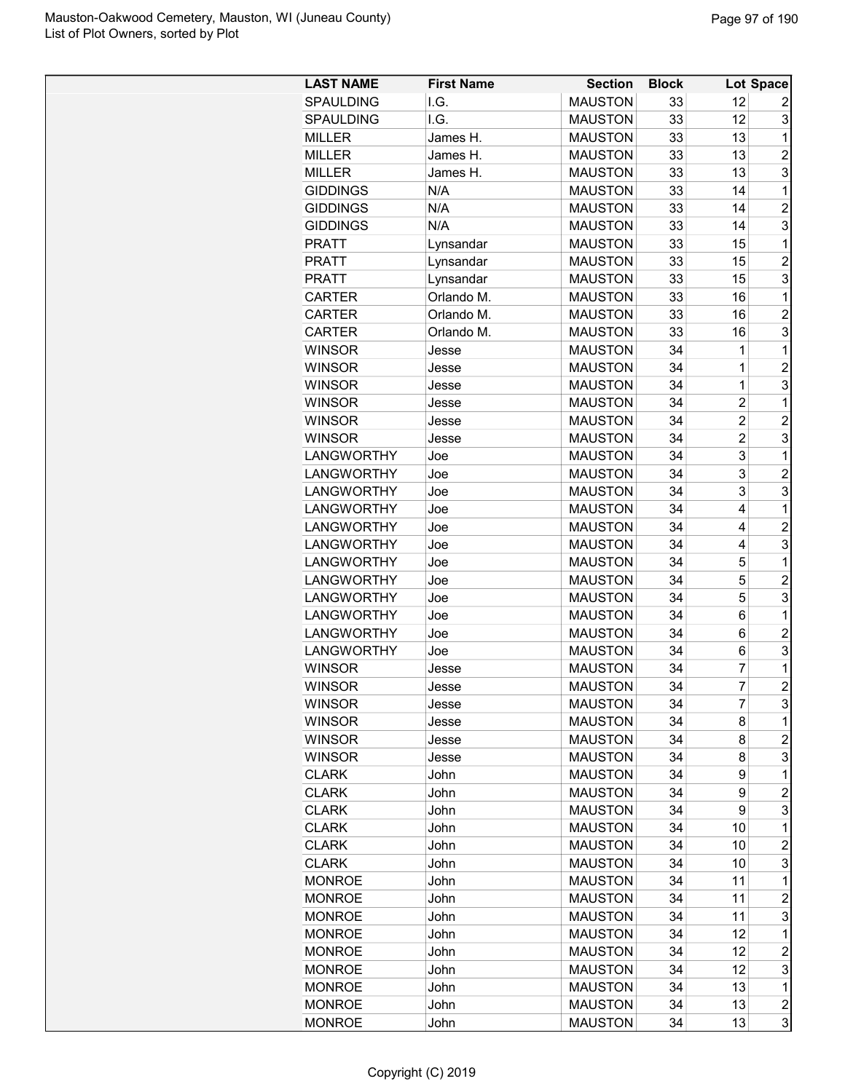| <b>LAST NAME</b>               | <b>First Name</b> | <b>Section</b>                   | <b>Block</b> |                | Lot Space                    |
|--------------------------------|-------------------|----------------------------------|--------------|----------------|------------------------------|
| <b>SPAULDING</b>               | I.G.              | <b>MAUSTON</b>                   | 33           | 12             | 2                            |
| SPAULDING                      | I.G.              | <b>MAUSTON</b>                   | 33           | 12             | 3                            |
| <b>MILLER</b>                  | James H.          | <b>MAUSTON</b>                   | 33           | 13             | 1                            |
| <b>MILLER</b>                  | James H.          | <b>MAUSTON</b>                   | 33           | 13             | $\overline{2}$               |
| <b>MILLER</b>                  | James H.          | <b>MAUSTON</b>                   | 33           | 13             | 3                            |
| <b>GIDDINGS</b>                | N/A               | <b>MAUSTON</b>                   | 33           | 14             | 1                            |
| <b>GIDDINGS</b>                | N/A               | <b>MAUSTON</b>                   | 33           | 14             | $\overline{2}$               |
| <b>GIDDINGS</b>                | N/A               | <b>MAUSTON</b>                   | 33           | 14             | 3                            |
| <b>PRATT</b>                   | Lynsandar         | <b>MAUSTON</b>                   | 33           | 15             | 1                            |
| <b>PRATT</b>                   | Lynsandar         | <b>MAUSTON</b>                   | 33           | 15             | $\overline{2}$               |
| <b>PRATT</b>                   | Lynsandar         | <b>MAUSTON</b>                   | 33           | 15             | 3                            |
| <b>CARTER</b>                  | Orlando M.        | <b>MAUSTON</b>                   | 33           | 16             | 1                            |
| <b>CARTER</b>                  | Orlando M.        | <b>MAUSTON</b>                   | 33           | 16             | $\overline{2}$               |
| <b>CARTER</b>                  | Orlando M.        | <b>MAUSTON</b>                   | 33           | 16             | 3                            |
| <b>WINSOR</b>                  | Jesse             | <b>MAUSTON</b>                   | 34           | 1              | 1                            |
| <b>WINSOR</b>                  | Jesse             | <b>MAUSTON</b>                   | 34           | 1              | $\overline{c}$               |
| <b>WINSOR</b>                  | Jesse             | <b>MAUSTON</b>                   | 34           | 1              | 3                            |
| <b>WINSOR</b>                  | Jesse             | <b>MAUSTON</b>                   | 34           | $\overline{2}$ | 1                            |
| <b>WINSOR</b>                  | Jesse             | <b>MAUSTON</b>                   | 34           | $\overline{2}$ | $\overline{c}$               |
| <b>WINSOR</b>                  | Jesse             | <b>MAUSTON</b>                   | 34           | $\overline{c}$ | 3                            |
| <b>LANGWORTHY</b>              | Joe               | <b>MAUSTON</b>                   | 34           | 3              | 1                            |
| <b>LANGWORTHY</b>              | Joe               | <b>MAUSTON</b>                   | 34           | 3              | $\overline{2}$               |
| <b>LANGWORTHY</b>              | Joe               | <b>MAUSTON</b>                   | 34           | 3              | 3                            |
| <b>LANGWORTHY</b>              | Joe               | <b>MAUSTON</b>                   | 34           | 4              | 1                            |
| <b>LANGWORTHY</b>              | Joe               | <b>MAUSTON</b>                   | 34           | 4              | $\overline{2}$               |
| <b>LANGWORTHY</b>              | Joe               | <b>MAUSTON</b>                   | 34           | 4              | 3                            |
| <b>LANGWORTHY</b>              | Joe               | <b>MAUSTON</b>                   | 34           | 5              | 1                            |
| <b>LANGWORTHY</b>              | Joe               | <b>MAUSTON</b>                   | 34           | 5              | $\overline{c}$               |
| <b>LANGWORTHY</b>              | Joe               | <b>MAUSTON</b>                   | 34           | 5              | 3                            |
| <b>LANGWORTHY</b>              | Joe               | <b>MAUSTON</b>                   | 34           | 6              | 1                            |
| <b>LANGWORTHY</b>              | Joe               | <b>MAUSTON</b>                   | 34           | 6              | $\overline{2}$               |
| <b>LANGWORTHY</b>              | Joe               | <b>MAUSTON</b>                   | 34           | 6              | 3                            |
| <b>WINSOR</b>                  | Jesse             | <b>MAUSTON</b>                   | 34           | 7              | 1                            |
| <b>WINSOR</b>                  | Jesse             | <b>MAUSTON</b>                   | 34           | $\overline{7}$ | $\overline{2}$               |
| <b>WINSOR</b>                  |                   | <b>MAUSTON</b>                   | 34           | 7              | 3                            |
| <b>WINSOR</b>                  | Jesse<br>Jesse    | <b>MAUSTON</b>                   | 34           | 8              | 1                            |
| <b>WINSOR</b>                  | Jesse             | <b>MAUSTON</b>                   | 34           | 8              | $\overline{c}$               |
| <b>WINSOR</b>                  | Jesse             | <b>MAUSTON</b>                   | 34           | 8              | 3                            |
| <b>CLARK</b>                   | John              | <b>MAUSTON</b>                   | 34           | 9              | 1                            |
| <b>CLARK</b>                   | John              | <b>MAUSTON</b>                   | 34           | 9              | $\overline{c}$               |
| <b>CLARK</b>                   | John              | <b>MAUSTON</b>                   | 34           | 9              | 3                            |
| <b>CLARK</b>                   | John              | <b>MAUSTON</b>                   | 34           | 10             | 1                            |
| <b>CLARK</b>                   | John              | <b>MAUSTON</b>                   | 34           | 10             | $\overline{c}$               |
| <b>CLARK</b>                   | John              | <b>MAUSTON</b>                   | 34           | 10             | 3                            |
| <b>MONROE</b>                  | John              | <b>MAUSTON</b>                   | 34           | 11             | 1                            |
|                                | John              |                                  | 34           | 11             |                              |
| <b>MONROE</b><br><b>MONROE</b> | John              | <b>MAUSTON</b><br><b>MAUSTON</b> | 34           | 11             | $\overline{c}$<br>3          |
| <b>MONROE</b>                  |                   | <b>MAUSTON</b>                   |              | 12             | 1                            |
|                                | John              |                                  | 34           |                |                              |
| <b>MONROE</b>                  | John              | <b>MAUSTON</b>                   | 34           | 12             | $\overline{c}$               |
| <b>MONROE</b>                  | John              | <b>MAUSTON</b>                   | 34           | 12             | 3                            |
| <b>MONROE</b>                  | John              | <b>MAUSTON</b>                   | 34           | 13             | $\mathbf 1$                  |
| <b>MONROE</b>                  | John              | <b>MAUSTON</b>                   | 34           | 13             | $\overline{\mathbf{c}}$<br>3 |
| <b>MONROE</b>                  | John              | <b>MAUSTON</b>                   | 34           | 13             |                              |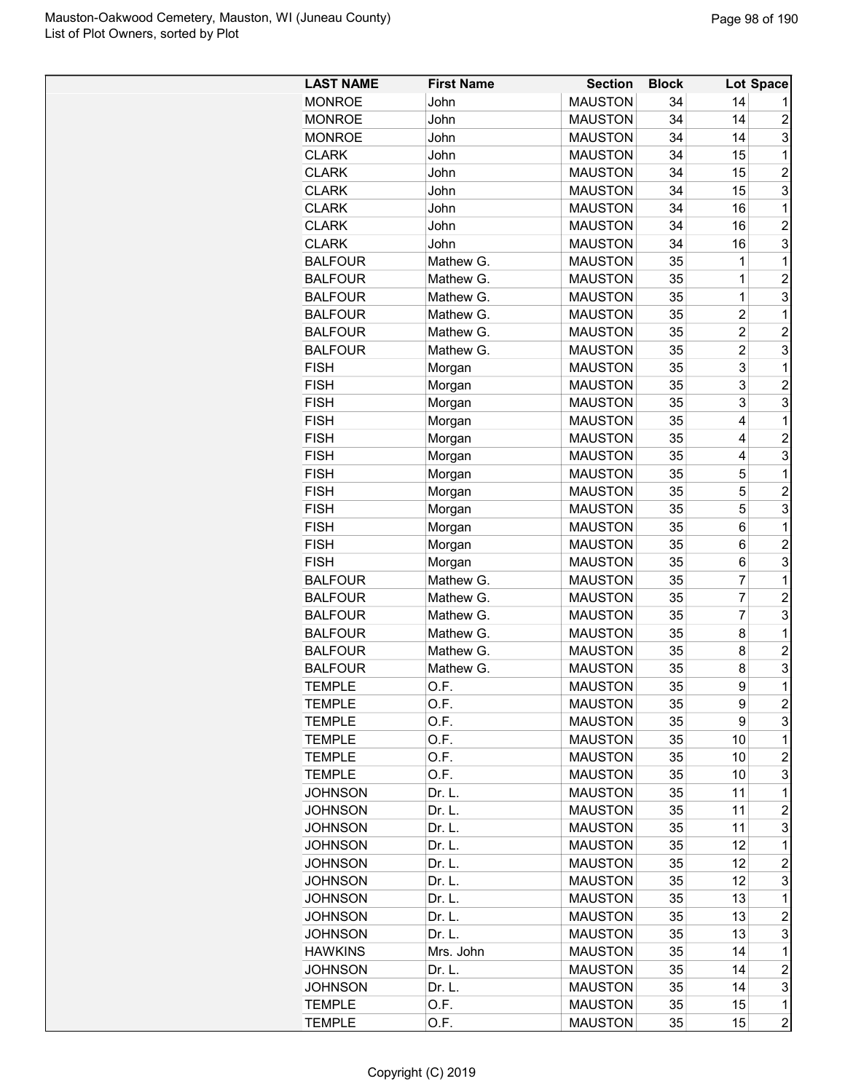| <b>LAST NAME</b> | <b>First Name</b> | <b>Section</b> | <b>Block</b> |                | Lot Space      |
|------------------|-------------------|----------------|--------------|----------------|----------------|
| <b>MONROE</b>    | John              | <b>MAUSTON</b> | 34           | 14             |                |
| <b>MONROE</b>    | John              | <b>MAUSTON</b> | 34           | 14             | $\overline{2}$ |
| <b>MONROE</b>    | John              | <b>MAUSTON</b> | 34           | 14             | 3              |
| <b>CLARK</b>     | John              | <b>MAUSTON</b> | 34           | 15             | 1              |
| <b>CLARK</b>     | John              | <b>MAUSTON</b> | 34           | 15             | $\overline{c}$ |
| <b>CLARK</b>     | John              | <b>MAUSTON</b> | 34           | 15             | 3              |
| <b>CLARK</b>     | John              | <b>MAUSTON</b> | 34           | 16             | 1              |
| <b>CLARK</b>     | John              | <b>MAUSTON</b> | 34           | 16             | $\overline{2}$ |
| <b>CLARK</b>     | John              | <b>MAUSTON</b> | 34           | 16             | 3              |
| <b>BALFOUR</b>   | Mathew G.         | <b>MAUSTON</b> | 35           | 1              | 1              |
| <b>BALFOUR</b>   | Mathew G.         | <b>MAUSTON</b> | 35           | 1              | $\overline{2}$ |
| <b>BALFOUR</b>   | Mathew G.         | <b>MAUSTON</b> | 35           | 1              | 3              |
| <b>BALFOUR</b>   | Mathew G.         | <b>MAUSTON</b> | 35           | $\overline{2}$ | 1              |
| <b>BALFOUR</b>   | Mathew G.         | <b>MAUSTON</b> | 35           | $\overline{2}$ | $\overline{2}$ |
| <b>BALFOUR</b>   | Mathew G.         | <b>MAUSTON</b> | 35           | $\overline{2}$ | 3              |
| <b>FISH</b>      | Morgan            | <b>MAUSTON</b> | 35           | 3              | 1              |
| <b>FISH</b>      | Morgan            | <b>MAUSTON</b> | 35           | 3              | $\overline{c}$ |
| <b>FISH</b>      | Morgan            | <b>MAUSTON</b> | 35           | 3              | 3              |
| <b>FISH</b>      | Morgan            | <b>MAUSTON</b> | 35           | 4              | 1              |
| <b>FISH</b>      | Morgan            | <b>MAUSTON</b> | 35           | 4              | $\overline{c}$ |
| <b>FISH</b>      | Morgan            | <b>MAUSTON</b> | 35           | 4              | 3              |
| <b>FISH</b>      | Morgan            | <b>MAUSTON</b> | 35           | 5              | 1              |
| <b>FISH</b>      | Morgan            | <b>MAUSTON</b> | 35           | 5              | $\overline{c}$ |
| <b>FISH</b>      | Morgan            | <b>MAUSTON</b> | 35           | 5              | 3              |
| <b>FISH</b>      | Morgan            | <b>MAUSTON</b> | 35           | 6              | 1              |
| <b>FISH</b>      | Morgan            | <b>MAUSTON</b> | 35           | 6              | $\overline{c}$ |
| <b>FISH</b>      | Morgan            | <b>MAUSTON</b> | 35           | 6              | 3              |
| <b>BALFOUR</b>   | Mathew G.         | <b>MAUSTON</b> | 35           | 7              | 1              |
| <b>BALFOUR</b>   | Mathew G.         | <b>MAUSTON</b> | 35           | 7              | $\overline{c}$ |
| <b>BALFOUR</b>   | Mathew G.         | <b>MAUSTON</b> | 35           | $\overline{7}$ | 3              |
| <b>BALFOUR</b>   | Mathew G.         | <b>MAUSTON</b> | 35           | 8              | 1              |
| <b>BALFOUR</b>   | Mathew G.         | <b>MAUSTON</b> | 35           | 8              | $\overline{2}$ |
| <b>BALFOUR</b>   | Mathew G.         | <b>MAUSTON</b> | 35           | 8              | 3              |
| <b>TEMPLE</b>    | O.F.              | <b>MAUSTON</b> | 35           | 9              | 1              |
| <b>TEMPLE</b>    | O.F.              | <b>MAUSTON</b> | 35           | 9              | $\overline{c}$ |
| <b>TEMPLE</b>    | O.F.              | <b>MAUSTON</b> | 35           | 9              | 3              |
| <b>TEMPLE</b>    | O.F.              | <b>MAUSTON</b> | 35           | 10             | $\mathbf 1$    |
| <b>TEMPLE</b>    | O.F.              | <b>MAUSTON</b> | 35           | 10             | $\overline{c}$ |
| <b>TEMPLE</b>    | O.F.              | <b>MAUSTON</b> | 35           | 10             | 3              |
| <b>JOHNSON</b>   | Dr. L.            | <b>MAUSTON</b> | 35           | 11             | 1              |
| <b>JOHNSON</b>   | Dr. L.            | <b>MAUSTON</b> | 35           | 11             | $\overline{c}$ |
| <b>JOHNSON</b>   | Dr. L.            | <b>MAUSTON</b> | 35           | 11             | 3              |
| JOHNSON          | Dr. L.            | <b>MAUSTON</b> | 35           | 12             | $\mathbf 1$    |
| <b>JOHNSON</b>   | Dr. L.            | <b>MAUSTON</b> | 35           | 12             | $\overline{c}$ |
| <b>JOHNSON</b>   | Dr. L.            | <b>MAUSTON</b> | 35           | 12             | 3              |
| <b>JOHNSON</b>   | Dr. L.            | <b>MAUSTON</b> | 35           | 13             | 1              |
| <b>JOHNSON</b>   | Dr. L.            | <b>MAUSTON</b> | 35           | 13             | $\overline{c}$ |
| JOHNSON          | Dr. L.            | <b>MAUSTON</b> | 35           | 13             | 3              |
| <b>HAWKINS</b>   | Mrs. John         | <b>MAUSTON</b> | 35           | 14             | 1              |
| JOHNSON          | Dr. L.            | <b>MAUSTON</b> | 35           | 14             | $\overline{c}$ |
| JOHNSON          | Dr. L.            | <b>MAUSTON</b> | 35           | 14             | 3              |
| <b>TEMPLE</b>    | O.F.              | <b>MAUSTON</b> | 35           | 15             | 1              |
| <b>TEMPLE</b>    | O.F.              | <b>MAUSTON</b> | 35           | 15             | $\overline{c}$ |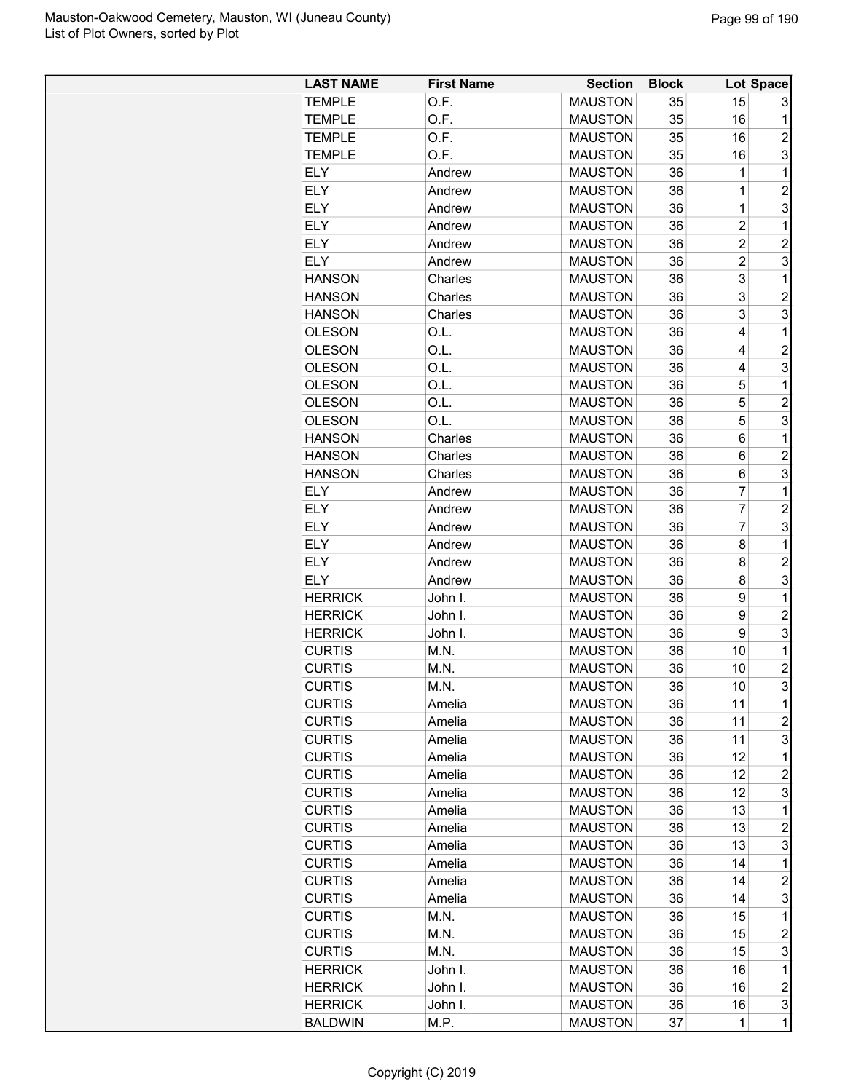| <b>LAST NAME</b> | <b>First Name</b> | <b>Section</b> | <b>Block</b> |                | Lot Space                 |
|------------------|-------------------|----------------|--------------|----------------|---------------------------|
| <b>TEMPLE</b>    | O.F.              | <b>MAUSTON</b> | 35           | 15             | 3                         |
| <b>TEMPLE</b>    | O.F.              | <b>MAUSTON</b> | 35           | 16             | 1                         |
| <b>TEMPLE</b>    | O.F.              | <b>MAUSTON</b> | 35           | 16             | $\overline{c}$            |
| <b>TEMPLE</b>    | O.F.              | <b>MAUSTON</b> | 35           | 16             | 3                         |
| <b>ELY</b>       | Andrew            | <b>MAUSTON</b> | 36           | 1              | 1                         |
| <b>ELY</b>       | Andrew            | <b>MAUSTON</b> | 36           | 1              | $\overline{c}$            |
| <b>ELY</b>       | Andrew            | <b>MAUSTON</b> | 36           | 1              | 3                         |
| <b>ELY</b>       | Andrew            | <b>MAUSTON</b> | 36           | $\overline{2}$ | 1                         |
| <b>ELY</b>       | Andrew            | <b>MAUSTON</b> | 36           | $\overline{c}$ | $\overline{c}$            |
| <b>ELY</b>       | Andrew            | <b>MAUSTON</b> | 36           | $\overline{2}$ | 3                         |
| <b>HANSON</b>    | Charles           | <b>MAUSTON</b> | 36           | 3              | $\mathbf{1}$              |
| <b>HANSON</b>    | Charles           | <b>MAUSTON</b> | 36           | 3              | 2                         |
| <b>HANSON</b>    | Charles           | <b>MAUSTON</b> | 36           | 3              | 3                         |
| <b>OLESON</b>    | O.L.              | <b>MAUSTON</b> | 36           | 4              | $\mathbf{1}$              |
| <b>OLESON</b>    | O.L.              | <b>MAUSTON</b> | 36           | 4              | $\overline{c}$            |
| <b>OLESON</b>    | O.L.              | <b>MAUSTON</b> | 36           | 4              | 3                         |
| <b>OLESON</b>    | O.L.              | <b>MAUSTON</b> | 36           | 5              | 1                         |
| <b>OLESON</b>    | O.L.              | <b>MAUSTON</b> | 36           | 5              | $\overline{c}$            |
| <b>OLESON</b>    | O.L.              | <b>MAUSTON</b> | 36           | 5              | 3                         |
| <b>HANSON</b>    | Charles           | <b>MAUSTON</b> | 36           | 6              | $\mathbf{1}$              |
| <b>HANSON</b>    | Charles           | <b>MAUSTON</b> | 36           | 6              | $\overline{c}$            |
| <b>HANSON</b>    | Charles           | <b>MAUSTON</b> | 36           | 6              | 3                         |
| <b>ELY</b>       | Andrew            | <b>MAUSTON</b> | 36           | $\overline{7}$ | 1                         |
| <b>ELY</b>       | Andrew            | <b>MAUSTON</b> | 36           | 7              | $\overline{\mathbf{c}}$   |
| <b>ELY</b>       | Andrew            | <b>MAUSTON</b> | 36           | 7              | 3                         |
| <b>ELY</b>       | Andrew            | <b>MAUSTON</b> | 36           | 8              | $\mathbf{1}$              |
| <b>ELY</b>       | Andrew            | <b>MAUSTON</b> | 36           | 8              | $\overline{c}$            |
| <b>ELY</b>       | Andrew            | <b>MAUSTON</b> | 36           | 8              | 3                         |
| <b>HERRICK</b>   | John I.           | <b>MAUSTON</b> | 36           | 9              | $\mathbf{1}$              |
| <b>HERRICK</b>   | John I.           | <b>MAUSTON</b> | 36           | 9              | $\overline{c}$            |
| <b>HERRICK</b>   | John I.           | <b>MAUSTON</b> | 36           | 9              | 3                         |
| <b>CURTIS</b>    | M.N.              | <b>MAUSTON</b> | 36           | 10             | 1                         |
| <b>CURTIS</b>    | M.N.              | <b>MAUSTON</b> | 36           | 10             | $\overline{c}$            |
| <b>CURTIS</b>    | M.N.              | <b>MAUSTON</b> | 36           | 10             | 3                         |
| <b>CURTIS</b>    | Amelia            | <b>MAUSTON</b> | 36           | 11             | $\mathbf 1$               |
| <b>CURTIS</b>    | Amelia            | <b>MAUSTON</b> | 36           | 11             | $\overline{c}$            |
| <b>CURTIS</b>    | Amelia            | <b>MAUSTON</b> | 36           | 11             | 3                         |
| <b>CURTIS</b>    | Amelia            | <b>MAUSTON</b> | 36           | 12             | 1                         |
| <b>CURTIS</b>    | Amelia            | <b>MAUSTON</b> | 36           | 12             | $\overline{\mathbf{c}}$   |
| <b>CURTIS</b>    | Amelia            | <b>MAUSTON</b> | 36           | 12             | 3                         |
| <b>CURTIS</b>    | Amelia            | <b>MAUSTON</b> | 36           | 13             | 1                         |
| <b>CURTIS</b>    | Amelia            | <b>MAUSTON</b> | 36           | 13             | $\overline{\mathbf{c}}$   |
| <b>CURTIS</b>    | Amelia            | <b>MAUSTON</b> | 36           | 13             | 3                         |
| <b>CURTIS</b>    | Amelia            | <b>MAUSTON</b> | 36           | 14             | $\mathbf{1}$              |
| <b>CURTIS</b>    | Amelia            | <b>MAUSTON</b> | 36           | 14             | $\overline{a}$            |
| <b>CURTIS</b>    | Amelia            | <b>MAUSTON</b> | 36           | 14             | 3                         |
| <b>CURTIS</b>    | M.N.              | <b>MAUSTON</b> | 36           | 15             | 1                         |
| <b>CURTIS</b>    | M.N.              | <b>MAUSTON</b> | 36           | 15             | 2                         |
| <b>CURTIS</b>    | M.N.              | <b>MAUSTON</b> | 36           | 15             | 3                         |
| <b>HERRICK</b>   | John I.           | <b>MAUSTON</b> | 36           | 16             | 1                         |
| <b>HERRICK</b>   | John I.           | <b>MAUSTON</b> | 36           | 16             | $\overline{\mathbf{c}}$   |
| <b>HERRICK</b>   | John I.           | <b>MAUSTON</b> | 36           | 16             | $\ensuremath{\mathsf{3}}$ |
| <b>BALDWIN</b>   | M.P.              | <b>MAUSTON</b> | 37           | 1              | $\mathbf 1$               |
|                  |                   |                |              |                |                           |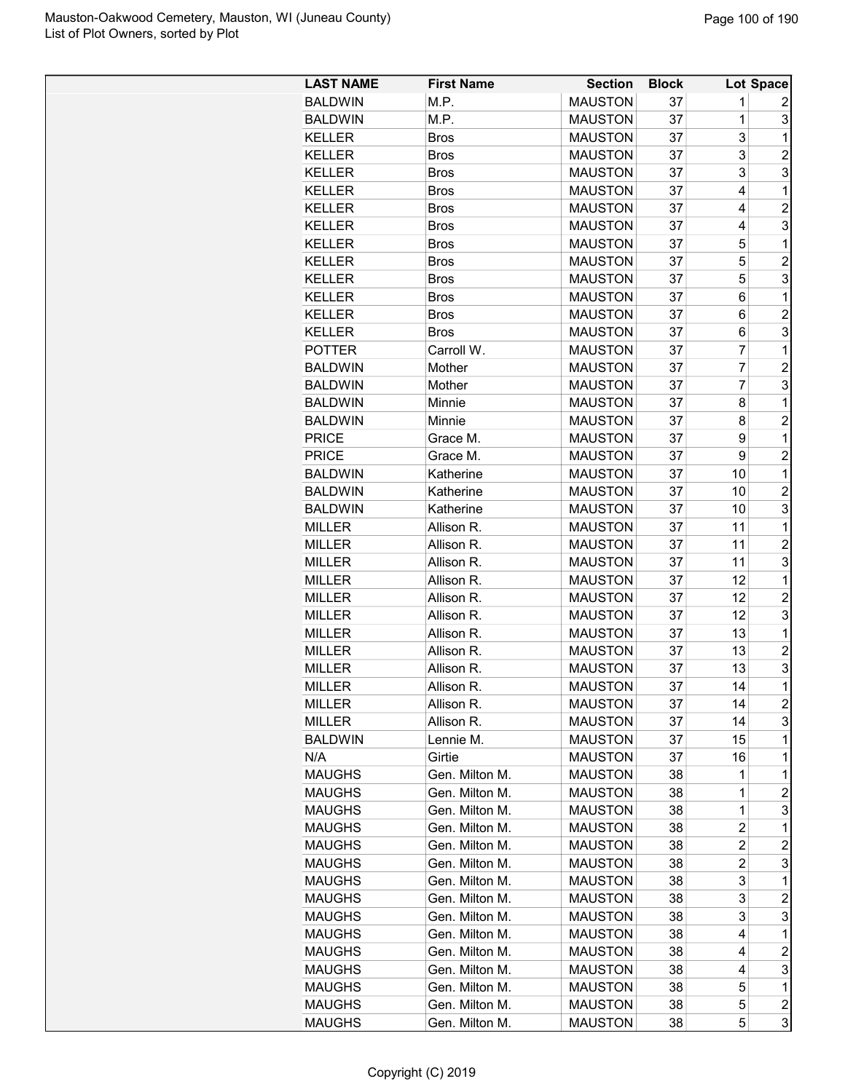| <b>LAST NAME</b> | <b>First Name</b> | <b>Section</b> | <b>Block</b> |                         | Lot Space               |
|------------------|-------------------|----------------|--------------|-------------------------|-------------------------|
| <b>BALDWIN</b>   | M.P.              | <b>MAUSTON</b> | 37           | 1                       | 2                       |
| <b>BALDWIN</b>   | M.P.              | <b>MAUSTON</b> | 37           | 1                       | 3                       |
| <b>KELLER</b>    | <b>Bros</b>       | <b>MAUSTON</b> | 37           | 3                       | 1                       |
| <b>KELLER</b>    | <b>Bros</b>       | <b>MAUSTON</b> | 37           | 3                       | $\overline{c}$          |
| <b>KELLER</b>    | <b>Bros</b>       | <b>MAUSTON</b> | 37           | 3                       | 3                       |
| <b>KELLER</b>    | <b>Bros</b>       | <b>MAUSTON</b> | 37           | 4                       | $\mathbf{1}$            |
| <b>KELLER</b>    | <b>Bros</b>       | <b>MAUSTON</b> | 37           | 4                       | $\overline{c}$          |
| <b>KELLER</b>    | <b>Bros</b>       | <b>MAUSTON</b> | 37           | 4                       | 3                       |
| <b>KELLER</b>    | Bros              | <b>MAUSTON</b> | 37           | 5                       | $\mathbf{1}$            |
| <b>KELLER</b>    | <b>Bros</b>       | <b>MAUSTON</b> | 37           | 5                       | $\overline{c}$          |
| <b>KELLER</b>    | <b>Bros</b>       | <b>MAUSTON</b> | 37           | 5                       | 3                       |
| <b>KELLER</b>    | <b>Bros</b>       | <b>MAUSTON</b> | 37           | 6                       | $\mathbf{1}$            |
| <b>KELLER</b>    | <b>Bros</b>       | <b>MAUSTON</b> | 37           | 6                       | $\overline{2}$          |
| <b>KELLER</b>    | <b>Bros</b>       | <b>MAUSTON</b> | 37           | 6                       | 3                       |
| <b>POTTER</b>    | Carroll W.        | <b>MAUSTON</b> | 37           | 7                       | $\mathbf{1}$            |
| <b>BALDWIN</b>   | Mother            | <b>MAUSTON</b> | 37           | 7                       | $\overline{c}$          |
| <b>BALDWIN</b>   | Mother            | <b>MAUSTON</b> | 37           | $\overline{7}$          | 3                       |
| <b>BALDWIN</b>   | Minnie            | <b>MAUSTON</b> | 37           | 8                       | 1                       |
| <b>BALDWIN</b>   | Minnie            | <b>MAUSTON</b> | 37           | 8                       | $\overline{c}$          |
| <b>PRICE</b>     | Grace M.          | <b>MAUSTON</b> | 37           | 9                       | $\mathbf{1}$            |
| <b>PRICE</b>     | Grace M.          | <b>MAUSTON</b> | 37           | 9                       | $\overline{c}$          |
| <b>BALDWIN</b>   | Katherine         | <b>MAUSTON</b> | 37           | 10                      | $\mathbf{1}$            |
| <b>BALDWIN</b>   | Katherine         | <b>MAUSTON</b> | 37           | 10                      | $\overline{\mathbf{c}}$ |
| <b>BALDWIN</b>   | Katherine         | <b>MAUSTON</b> | 37           | 10                      | 3                       |
| <b>MILLER</b>    | Allison R.        | <b>MAUSTON</b> | 37           | 11                      | $\mathbf 1$             |
| <b>MILLER</b>    | Allison R.        | <b>MAUSTON</b> | 37           | 11                      | $\overline{c}$          |
| <b>MILLER</b>    | Allison R.        | <b>MAUSTON</b> | 37           | 11                      | 3                       |
| <b>MILLER</b>    | Allison R.        | <b>MAUSTON</b> | 37           | 12                      | 1                       |
| <b>MILLER</b>    | Allison R.        | <b>MAUSTON</b> | 37           | 12                      | $\overline{c}$          |
| <b>MILLER</b>    | Allison R.        | <b>MAUSTON</b> | 37           | 12                      | 3                       |
| <b>MILLER</b>    | Allison R.        | <b>MAUSTON</b> | 37           | 13                      | $\mathbf{1}$            |
| MILLER           | Allison R.        | <b>MAUSTON</b> | 37           | 13                      | $\overline{\mathbf{c}}$ |
| <b>MILLER</b>    | Allison R.        | <b>MAUSTON</b> | 37           | 13                      | 3                       |
| <b>MILLER</b>    | Allison R.        | <b>MAUSTON</b> | 37           | 14                      | $\mathbf{1}$            |
| MILLER           | Allison R.        | <b>MAUSTON</b> | 37           | 14                      | 2                       |
| <b>MILLER</b>    | Allison R.        | <b>MAUSTON</b> | 37           | 14                      | 3                       |
| <b>BALDWIN</b>   | Lennie M.         | <b>MAUSTON</b> | 37           | 15                      | 1                       |
| N/A              | Girtie            | <b>MAUSTON</b> | 37           | 16                      | 1                       |
| <b>MAUGHS</b>    | Gen. Milton M.    | <b>MAUSTON</b> | 38           | 1                       | 1                       |
| <b>MAUGHS</b>    | Gen. Milton M.    | <b>MAUSTON</b> | 38           | 1                       | $\overline{\mathbf{c}}$ |
| <b>MAUGHS</b>    | Gen. Milton M.    | <b>MAUSTON</b> | 38           | 1                       | 3                       |
| <b>MAUGHS</b>    | Gen. Milton M.    | <b>MAUSTON</b> | 38           | 2                       | 1                       |
| <b>MAUGHS</b>    | Gen. Milton M.    | <b>MAUSTON</b> | 38           | 2                       | $\overline{c}$          |
| <b>MAUGHS</b>    | Gen. Milton M.    | <b>MAUSTON</b> | 38           | $\overline{\mathbf{c}}$ | 3                       |
| <b>MAUGHS</b>    | Gen. Milton M.    | <b>MAUSTON</b> | 38           | 3                       | 1                       |
| <b>MAUGHS</b>    | Gen. Milton M.    | <b>MAUSTON</b> | 38           | 3                       | 2                       |
| <b>MAUGHS</b>    | Gen. Milton M.    | <b>MAUSTON</b> | 38           | 3                       | 3                       |
| <b>MAUGHS</b>    | Gen. Milton M.    | <b>MAUSTON</b> | 38           | 4                       | 1                       |
| <b>MAUGHS</b>    | Gen. Milton M.    | <b>MAUSTON</b> | 38           | 4                       | 2                       |
| <b>MAUGHS</b>    | Gen. Milton M.    | <b>MAUSTON</b> | 38           | 4                       | 3                       |
| <b>MAUGHS</b>    | Gen. Milton M.    | <b>MAUSTON</b> | 38           | 5                       | 1                       |
| <b>MAUGHS</b>    | Gen. Milton M.    | <b>MAUSTON</b> | 38           | 5                       | 2                       |
| <b>MAUGHS</b>    | Gen. Milton M.    | <b>MAUSTON</b> | 38           | 5                       | 3                       |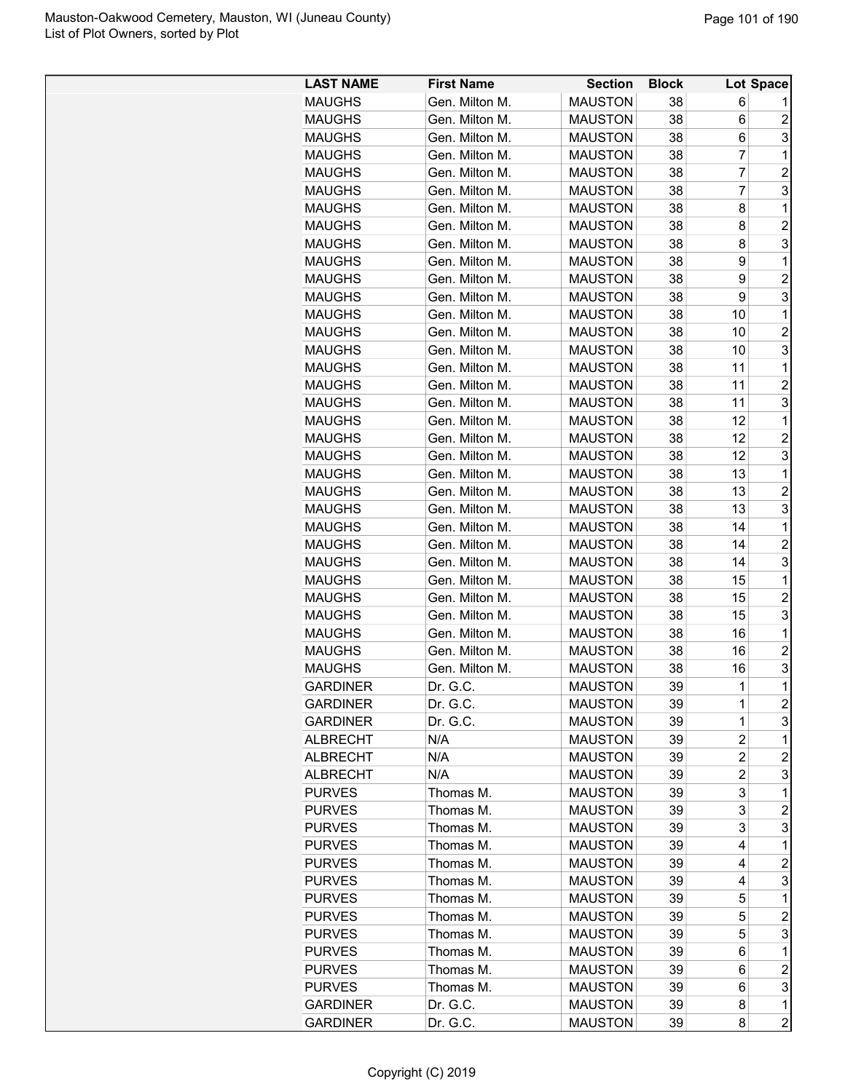| <b>LAST NAME</b> | <b>First Name</b> | <b>Section</b> | <b>Block</b> |                | Lot Space               |
|------------------|-------------------|----------------|--------------|----------------|-------------------------|
| <b>MAUGHS</b>    | Gen. Milton M.    | <b>MAUSTON</b> | 38           | 6              |                         |
| <b>MAUGHS</b>    | Gen. Milton M.    | <b>MAUSTON</b> | 38           | 6              | $\overline{c}$          |
| <b>MAUGHS</b>    | Gen. Milton M.    | <b>MAUSTON</b> | 38           | 6              | 3                       |
| <b>MAUGHS</b>    | Gen. Milton M.    | <b>MAUSTON</b> | 38           | $\overline{7}$ | 1                       |
| <b>MAUGHS</b>    | Gen. Milton M.    | <b>MAUSTON</b> | 38           | $\overline{7}$ | $\overline{c}$          |
| <b>MAUGHS</b>    | Gen. Milton M.    | <b>MAUSTON</b> | 38           | 7              | 3                       |
| <b>MAUGHS</b>    | Gen. Milton M.    | <b>MAUSTON</b> | 38           | 8              | 1                       |
| <b>MAUGHS</b>    | Gen. Milton M.    | <b>MAUSTON</b> | 38           | 8              | $\overline{2}$          |
| <b>MAUGHS</b>    | Gen. Milton M.    | <b>MAUSTON</b> | 38           | 8              | 3                       |
| <b>MAUGHS</b>    | Gen. Milton M.    | <b>MAUSTON</b> | 38           | 9              | 1                       |
| <b>MAUGHS</b>    | Gen. Milton M.    | <b>MAUSTON</b> | 38           | 9              | $\overline{c}$          |
| <b>MAUGHS</b>    | Gen. Milton M.    | <b>MAUSTON</b> | 38           | 9              | 3                       |
| <b>MAUGHS</b>    | Gen. Milton M.    | <b>MAUSTON</b> | 38           | 10             | 1                       |
| <b>MAUGHS</b>    | Gen. Milton M.    | <b>MAUSTON</b> | 38           | 10             | $\overline{2}$          |
| <b>MAUGHS</b>    | Gen. Milton M.    | <b>MAUSTON</b> | 38           | 10             | 3                       |
| <b>MAUGHS</b>    | Gen. Milton M.    | <b>MAUSTON</b> | 38           | 11             | 1                       |
| <b>MAUGHS</b>    | Gen. Milton M.    | <b>MAUSTON</b> | 38           | 11             | $\overline{2}$          |
| <b>MAUGHS</b>    | Gen. Milton M.    | <b>MAUSTON</b> | 38           | 11             | 3                       |
| <b>MAUGHS</b>    | Gen. Milton M.    | <b>MAUSTON</b> | 38           | 12             | $\mathbf{1}$            |
| <b>MAUGHS</b>    | Gen. Milton M.    | <b>MAUSTON</b> | 38           | 12             | $\overline{c}$          |
| <b>MAUGHS</b>    | Gen. Milton M.    | <b>MAUSTON</b> | 38           | 12             | 3                       |
| <b>MAUGHS</b>    | Gen. Milton M.    | <b>MAUSTON</b> | 38           | 13             | 1                       |
| <b>MAUGHS</b>    | Gen. Milton M.    | <b>MAUSTON</b> | 38           | 13             | $\overline{c}$          |
| <b>MAUGHS</b>    | Gen. Milton M.    | <b>MAUSTON</b> | 38           | 13             | 3                       |
| <b>MAUGHS</b>    | Gen. Milton M.    | <b>MAUSTON</b> | 38           | 14             | 1                       |
| <b>MAUGHS</b>    | Gen. Milton M.    | <b>MAUSTON</b> | 38           | 14             | $\overline{2}$          |
| <b>MAUGHS</b>    | Gen. Milton M.    | <b>MAUSTON</b> | 38           | 14             | 3                       |
| <b>MAUGHS</b>    | Gen. Milton M.    | <b>MAUSTON</b> | 38           | 15             | 1                       |
| <b>MAUGHS</b>    | Gen. Milton M.    | <b>MAUSTON</b> | 38           | 15             | $\overline{c}$          |
| <b>MAUGHS</b>    | Gen. Milton M.    | <b>MAUSTON</b> | 38           | 15             | 3                       |
| <b>MAUGHS</b>    | Gen. Milton M.    | <b>MAUSTON</b> | 38           | 16             | 1                       |
| <b>MAUGHS</b>    | Gen. Milton M.    | <b>MAUSTON</b> | 38           | 16             | $\overline{2}$          |
| <b>MAUGHS</b>    | Gen. Milton M.    | <b>MAUSTON</b> | 38           | 16             | 3                       |
| <b>GARDINER</b>  | Dr. G.C.          | <b>MAUSTON</b> | 39           | $\mathbf 1$    | $\mathbf{1}$            |
| <b>GARDINER</b>  | Dr. G.C.          | <b>MAUSTON</b> | 39           | 1              | $\overline{\mathbf{c}}$ |
| <b>GARDINER</b>  | Dr. G.C.          | <b>MAUSTON</b> | 39           | 1              | 3                       |
| <b>ALBRECHT</b>  | N/A               | <b>MAUSTON</b> | 39           | $\overline{c}$ | 1                       |
| ALBRECHT         | N/A               | <b>MAUSTON</b> | 39           | $\overline{c}$ | $\overline{c}$          |
| <b>ALBRECHT</b>  | N/A               | <b>MAUSTON</b> | 39           | $\overline{c}$ | 3                       |
| <b>PURVES</b>    | Thomas M.         | <b>MAUSTON</b> | 39           | 3              | 1                       |
| <b>PURVES</b>    | Thomas M.         | <b>MAUSTON</b> | 39           | 3              | $\overline{c}$          |
| <b>PURVES</b>    | Thomas M.         | <b>MAUSTON</b> | 39           | 3              | 3                       |
| <b>PURVES</b>    | Thomas M.         | <b>MAUSTON</b> | 39           | 4              | 1                       |
| <b>PURVES</b>    | Thomas M.         | <b>MAUSTON</b> |              | 4              | $\overline{c}$          |
| <b>PURVES</b>    | Thomas M.         | <b>MAUSTON</b> | 39           | 4              | 3                       |
| <b>PURVES</b>    | Thomas M.         | <b>MAUSTON</b> | 39<br>39     | 5              | 1                       |
|                  |                   |                |              |                |                         |
| <b>PURVES</b>    | Thomas M.         | <b>MAUSTON</b> | 39           | 5              | 2                       |
| <b>PURVES</b>    | Thomas M.         | <b>MAUSTON</b> | 39           | 5              | 3<br>1                  |
| <b>PURVES</b>    | Thomas M.         | <b>MAUSTON</b> | 39           | 6              |                         |
| <b>PURVES</b>    | Thomas M.         | <b>MAUSTON</b> | 39           | 6              | $\overline{\mathbf{c}}$ |
| <b>PURVES</b>    | Thomas M.         | <b>MAUSTON</b> | 39           | 6              | 3                       |
| <b>GARDINER</b>  | Dr. G.C.          | <b>MAUSTON</b> | 39           | 8              | 1                       |
| <b>GARDINER</b>  | Dr. G.C.          | <b>MAUSTON</b> | 39           | 8              | $\overline{c}$          |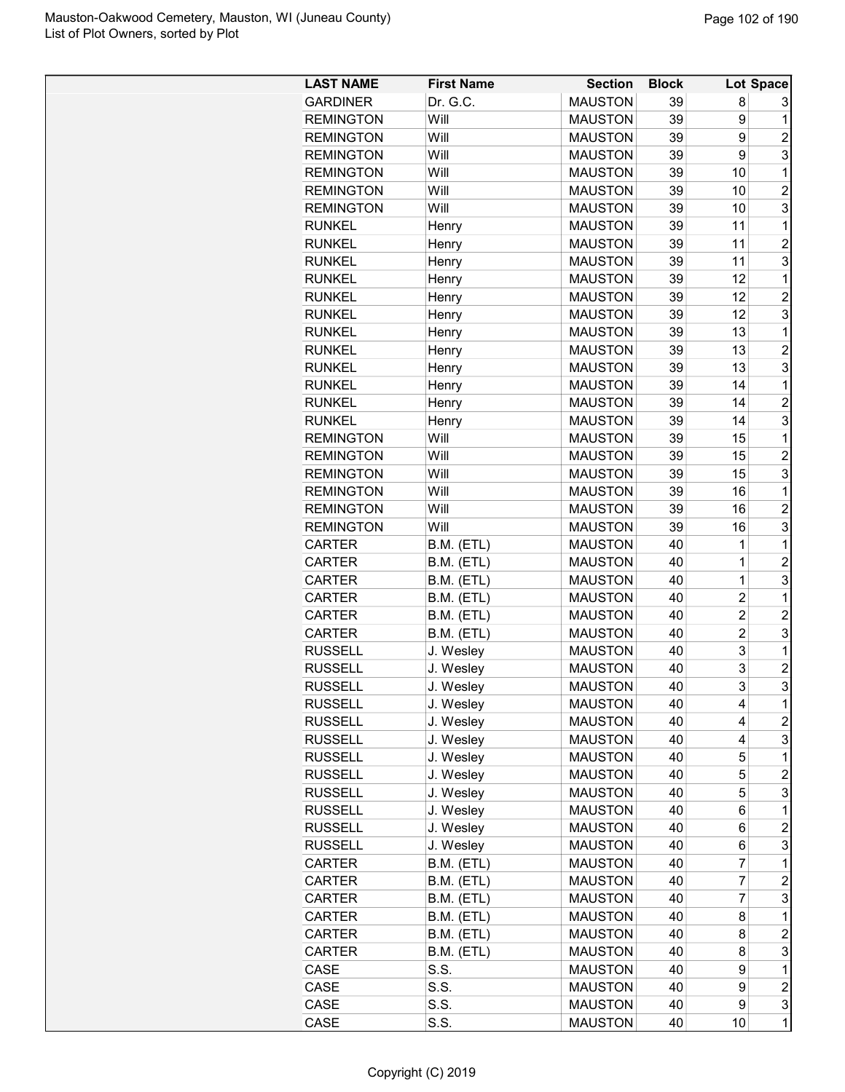| <b>LAST NAME</b> | <b>First Name</b> | <b>Section</b> | <b>Block</b> |                | Lot Space                 |
|------------------|-------------------|----------------|--------------|----------------|---------------------------|
| <b>GARDINER</b>  | Dr. G.C.          | <b>MAUSTON</b> | 39           | 8              | 3                         |
| <b>REMINGTON</b> | Will              | <b>MAUSTON</b> | 39           | 9              | 1                         |
| <b>REMINGTON</b> | Will              | <b>MAUSTON</b> | 39           | 9              | $\overline{2}$            |
| <b>REMINGTON</b> | Will              | <b>MAUSTON</b> | 39           | 9              | 3                         |
| <b>REMINGTON</b> | Will              | <b>MAUSTON</b> | 39           | 10             | 1                         |
| <b>REMINGTON</b> | Will              | <b>MAUSTON</b> | 39           | 10             | $\overline{2}$            |
| <b>REMINGTON</b> | Will              | <b>MAUSTON</b> | 39           | 10             | 3                         |
| <b>RUNKEL</b>    | Henry             | <b>MAUSTON</b> | 39           | 11             | 1                         |
| <b>RUNKEL</b>    | Henry             | <b>MAUSTON</b> | 39           | 11             | $\overline{c}$            |
| <b>RUNKEL</b>    | Henry             | <b>MAUSTON</b> | 39           | 11             | 3                         |
| <b>RUNKEL</b>    | Henry             | <b>MAUSTON</b> | 39           | 12             | 1                         |
| <b>RUNKEL</b>    | Henry             | <b>MAUSTON</b> | 39           | 12             | $\overline{2}$            |
| <b>RUNKEL</b>    | Henry             | <b>MAUSTON</b> | 39           | 12             | 3                         |
| <b>RUNKEL</b>    | Henry             | <b>MAUSTON</b> | 39           | 13             | 1                         |
| <b>RUNKEL</b>    | Henry             | <b>MAUSTON</b> | 39           | 13             | $\overline{c}$            |
| <b>RUNKEL</b>    | Henry             | <b>MAUSTON</b> | 39           | 13             | 3                         |
| <b>RUNKEL</b>    | Henry             | <b>MAUSTON</b> | 39           | 14             | 1                         |
| <b>RUNKEL</b>    | Henry             | <b>MAUSTON</b> | 39           | 14             | $\overline{c}$            |
| <b>RUNKEL</b>    | Henry             | <b>MAUSTON</b> | 39           | 14             | 3                         |
| <b>REMINGTON</b> | Will              | <b>MAUSTON</b> | 39           | 15             | 1                         |
| <b>REMINGTON</b> | Will              | <b>MAUSTON</b> | 39           | 15             | $\overline{2}$            |
| <b>REMINGTON</b> | Will              | <b>MAUSTON</b> | 39           | 15             | 3                         |
| <b>REMINGTON</b> | Will              | <b>MAUSTON</b> | 39           | 16             | 1                         |
| <b>REMINGTON</b> | Will              | <b>MAUSTON</b> | 39           | 16             | $\overline{c}$            |
| <b>REMINGTON</b> | Will              | <b>MAUSTON</b> | 39           | 16             | 3                         |
| <b>CARTER</b>    | B.M. (ETL)        | <b>MAUSTON</b> | 40           | 1              | 1                         |
| <b>CARTER</b>    | B.M. (ETL)        | <b>MAUSTON</b> | 40           | 1              | $\overline{c}$            |
| <b>CARTER</b>    | B.M. (ETL)        | <b>MAUSTON</b> | 40           | 1              | 3                         |
| CARTER           | B.M. (ETL)        | <b>MAUSTON</b> | 40           | $\overline{2}$ | 1                         |
| CARTER           | B.M. (ETL)        | <b>MAUSTON</b> | 40           | $\overline{2}$ | $\overline{2}$            |
| <b>CARTER</b>    | B.M. (ETL)        | <b>MAUSTON</b> | 40           | $\overline{2}$ | 3                         |
| <b>RUSSELL</b>   | J. Wesley         | <b>MAUSTON</b> | 40           | 3              | 1                         |
| <b>RUSSELL</b>   | J. Wesley         | <b>MAUSTON</b> | 40           | 3              | $\overline{c}$            |
| <b>RUSSELL</b>   | J. Wesley         | <b>MAUSTON</b> | 40           | 3              | 3                         |
| <b>RUSSELL</b>   | J. Wesley         | <b>MAUSTON</b> | 40           | 4              | 1                         |
| <b>RUSSELL</b>   | J. Wesley         | <b>MAUSTON</b> | 40           | 4              | $\overline{c}$            |
| <b>RUSSELL</b>   | J. Wesley         | <b>MAUSTON</b> | 40           | 4              | 3                         |
| <b>RUSSELL</b>   | J. Wesley         | <b>MAUSTON</b> | 40           | 5              | 1                         |
| <b>RUSSELL</b>   | J. Wesley         | <b>MAUSTON</b> | 40           | 5              | $\overline{\mathbf{c}}$   |
| <b>RUSSELL</b>   | J. Wesley         | <b>MAUSTON</b> | 40           | 5              | 3                         |
| <b>RUSSELL</b>   | J. Wesley         | <b>MAUSTON</b> | 40           | 6              | 1                         |
| <b>RUSSELL</b>   | J. Wesley         | <b>MAUSTON</b> | 40           | 6              | $\overline{c}$            |
| <b>RUSSELL</b>   | J. Wesley         | <b>MAUSTON</b> | 40           | 6              | $\ensuremath{\mathsf{3}}$ |
| <b>CARTER</b>    | B.M. (ETL)        | <b>MAUSTON</b> | 40           | 7              | $\mathbf 1$               |
| CARTER           | B.M. (ETL)        | <b>MAUSTON</b> | 40           | 7              | $\overline{c}$            |
| CARTER           | B.M. (ETL)        | <b>MAUSTON</b> | 40           | $\overline{7}$ | 3                         |
| CARTER           | B.M. (ETL)        | <b>MAUSTON</b> | 40           | 8              | 1                         |
| <b>CARTER</b>    | B.M. (ETL)        | <b>MAUSTON</b> | 40           | 8              | $\overline{c}$            |
| <b>CARTER</b>    | B.M. (ETL)        | <b>MAUSTON</b> | 40           | 8              | 3                         |
| CASE             | S.S.              | <b>MAUSTON</b> | 40           | 9              | 1                         |
| CASE             | S.S.              | <b>MAUSTON</b> | 40           | 9              | $\overline{c}$            |
| CASE             | S.S.              | <b>MAUSTON</b> | 40           | 9              | 3                         |
| CASE             | S.S.              | <b>MAUSTON</b> | 40           | 10             | $\mathbf 1$               |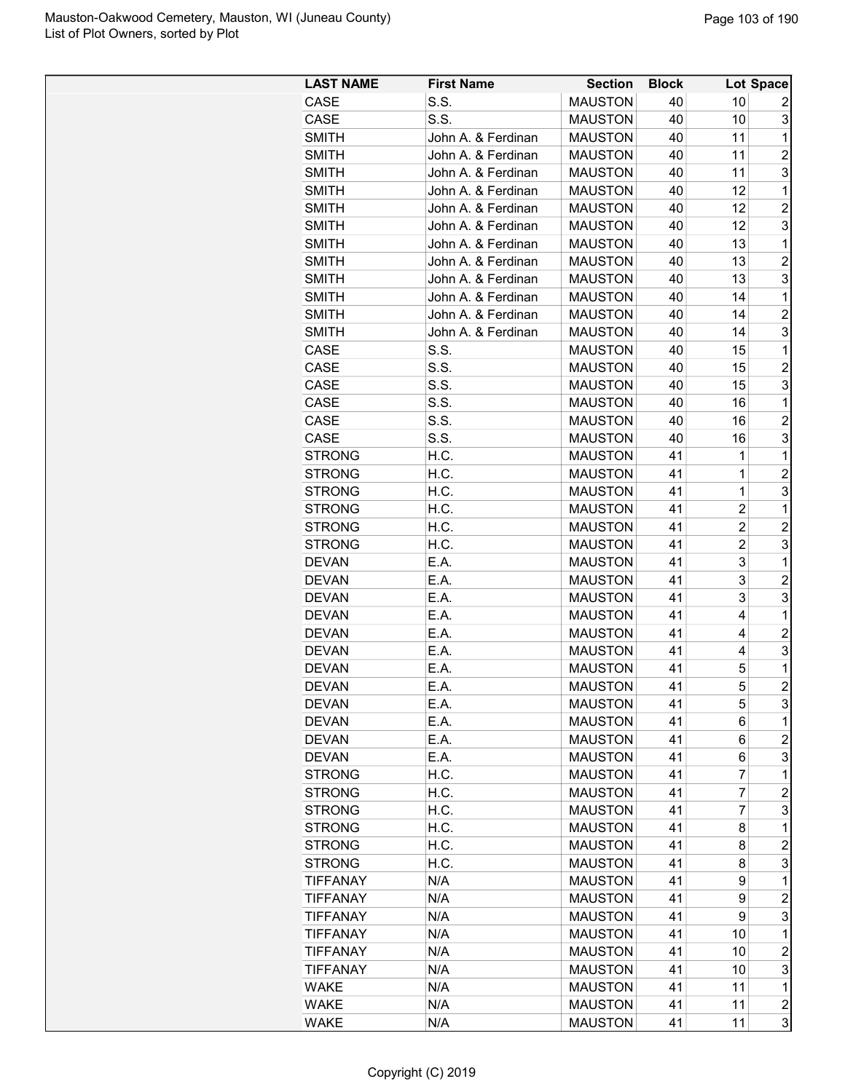| <b>LAST NAME</b> | <b>First Name</b>  | <b>Section</b> | <b>Block</b> |                | <b>Lot Space</b> |
|------------------|--------------------|----------------|--------------|----------------|------------------|
| <b>CASE</b>      | S.S.               | <b>MAUSTON</b> | 40           | 10             | 2                |
| CASE             | S.S.               | <b>MAUSTON</b> | 40           | 10             | 3                |
| <b>SMITH</b>     | John A. & Ferdinan | <b>MAUSTON</b> | 40           | 11             | $\mathbf 1$      |
| <b>SMITH</b>     | John A. & Ferdinan | <b>MAUSTON</b> | 40           | 11             | $\overline{2}$   |
| <b>SMITH</b>     | John A. & Ferdinan | <b>MAUSTON</b> | 40           | 11             | 3                |
| <b>SMITH</b>     | John A. & Ferdinan | <b>MAUSTON</b> | 40           | 12             | $\mathbf{1}$     |
| <b>SMITH</b>     | John A. & Ferdinan | <b>MAUSTON</b> | 40           | 12             | $\overline{c}$   |
| <b>SMITH</b>     | John A. & Ferdinan | <b>MAUSTON</b> | 40           | 12             | 3                |
| <b>SMITH</b>     | John A. & Ferdinan | <b>MAUSTON</b> | 40           | 13             | $\mathbf{1}$     |
| <b>SMITH</b>     | John A. & Ferdinan | <b>MAUSTON</b> | 40           | 13             | 2                |
| <b>SMITH</b>     | John A. & Ferdinan | <b>MAUSTON</b> | 40           | 13             | 3                |
| <b>SMITH</b>     | John A. & Ferdinan | <b>MAUSTON</b> | 40           | 14             | $\mathbf{1}$     |
| <b>SMITH</b>     | John A. & Ferdinan | <b>MAUSTON</b> | 40           | 14             | $\overline{2}$   |
| <b>SMITH</b>     | John A. & Ferdinan | <b>MAUSTON</b> | 40           | 14             | 3                |
| CASE             | S.S.               | <b>MAUSTON</b> | 40           | 15             | $\mathbf 1$      |
| CASE             | S.S.               | <b>MAUSTON</b> | 40           | 15             | $\overline{c}$   |
| CASE             | S.S.               | <b>MAUSTON</b> | 40           | 15             | 3                |
| CASE             | S.S.               | <b>MAUSTON</b> | 40           | 16             | $\mathbf{1}$     |
| CASE             | S.S.               | <b>MAUSTON</b> | 40           | 16             | $\overline{2}$   |
| CASE             | S.S.               | <b>MAUSTON</b> | 40           | 16             | 3                |
|                  | H.C.               | <b>MAUSTON</b> | 41           | 1              | $\mathbf{1}$     |
| <b>STRONG</b>    |                    |                | 41           | $\mathbf 1$    |                  |
| <b>STRONG</b>    | H.C.               | <b>MAUSTON</b> |              |                | $\overline{c}$   |
| <b>STRONG</b>    | H.C.               | <b>MAUSTON</b> | 41           | 1              | 3                |
| <b>STRONG</b>    | H.C.               | <b>MAUSTON</b> | 41           | 2              | 1                |
| <b>STRONG</b>    | H.C.               | <b>MAUSTON</b> | 41           | 2              | $\overline{c}$   |
| <b>STRONG</b>    | H.C.               | <b>MAUSTON</b> | 41           | $\overline{c}$ | 3                |
| <b>DEVAN</b>     | E.A.               | <b>MAUSTON</b> | 41           | 3              | $\mathbf{1}$     |
| <b>DEVAN</b>     | E.A.               | <b>MAUSTON</b> | 41           | 3              | $\overline{c}$   |
| <b>DEVAN</b>     | E.A.               | <b>MAUSTON</b> | 41           | 3              | 3                |
| <b>DEVAN</b>     | E.A.               | <b>MAUSTON</b> | 41           | 4              | $\mathbf 1$      |
| <b>DEVAN</b>     | E.A.               | <b>MAUSTON</b> | 41           | 4              | 2                |
| <b>DEVAN</b>     | E.A.               | <b>MAUSTON</b> | 41           | 4              | 3                |
| <b>DEVAN</b>     | E.A.               | <b>MAUSTON</b> | 41           | 5              | $\mathbf 1$      |
| <b>DEVAN</b>     | E.A.               | <b>MAUSTON</b> | 41           | 5              | $\overline{c}$   |
| <b>DEVAN</b>     | E.A.               | <b>MAUSTON</b> | 41           | 5              | $\overline{3}$   |
| <b>DEVAN</b>     | E.A.               | <b>MAUSTON</b> | 41           | 6              | $\mathbf 1$      |
| <b>DEVAN</b>     | E.A.               | <b>MAUSTON</b> | 41           | 6              | 2                |
| <b>DEVAN</b>     | E.A.               | <b>MAUSTON</b> | 41           | 6              | 3                |
| <b>STRONG</b>    | H.C.               | <b>MAUSTON</b> | 41           | 7              | 1                |
| <b>STRONG</b>    | H.C.               | <b>MAUSTON</b> | 41           | $\overline{7}$ | $\overline{c}$   |
| <b>STRONG</b>    | H.C.               | <b>MAUSTON</b> | 41           | 7              | 3                |
| <b>STRONG</b>    | H.C.               | <b>MAUSTON</b> | 41           | 8              | $\mathbf{1}$     |
| <b>STRONG</b>    | H.C.               | <b>MAUSTON</b> | 41           | 8              | 2                |
| <b>STRONG</b>    | H.C.               | <b>MAUSTON</b> | 41           | 8              | 3                |
| <b>TIFFANAY</b>  | N/A                | <b>MAUSTON</b> | 41           | 9              | 1                |
| <b>TIFFANAY</b>  | N/A                | <b>MAUSTON</b> | 41           | 9              | $\overline{c}$   |
| <b>TIFFANAY</b>  | N/A                | <b>MAUSTON</b> | 41           | 9              | 3                |
| <b>TIFFANAY</b>  | N/A                | <b>MAUSTON</b> | 41           | 10             | $\mathbf 1$      |
| <b>TIFFANAY</b>  | N/A                | <b>MAUSTON</b> | 41           | 10             | $\overline{c}$   |
| <b>TIFFANAY</b>  | N/A                | <b>MAUSTON</b> | 41           | 10             | 3                |
| <b>WAKE</b>      | N/A                | <b>MAUSTON</b> | 41           | 11             | $\mathbf 1$      |
| <b>WAKE</b>      | N/A                | <b>MAUSTON</b> | 41           | 11             | 2                |
| <b>WAKE</b>      | N/A                | <b>MAUSTON</b> | 41           | 11             | 3                |
|                  |                    |                |              |                |                  |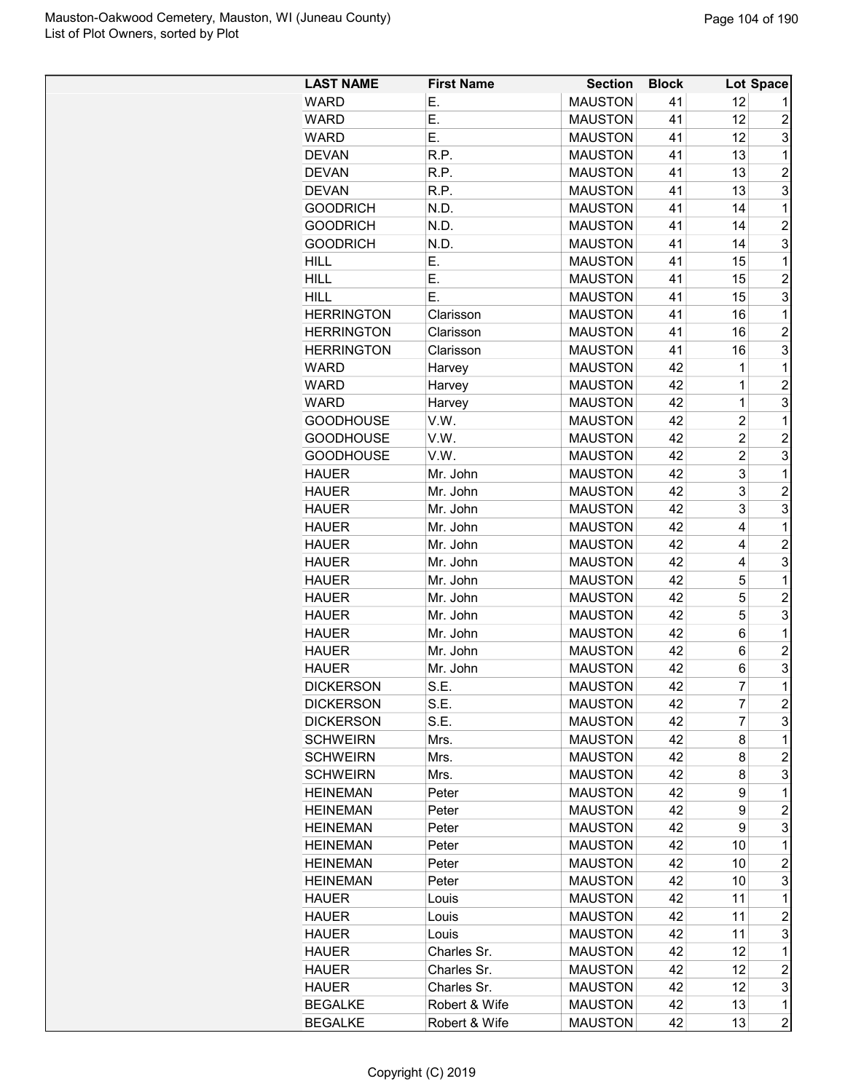| <b>LAST NAME</b>  | <b>First Name</b> | <b>Section</b> | <b>Block</b> |                | Lot Space        |
|-------------------|-------------------|----------------|--------------|----------------|------------------|
| <b>WARD</b>       | Ε.                | <b>MAUSTON</b> | 41           | 12             | 1                |
| <b>WARD</b>       | E.                | <b>MAUSTON</b> | 41           | 12             | 2                |
| <b>WARD</b>       | Ε.                | <b>MAUSTON</b> | 41           | 12             | 3                |
| <b>DEVAN</b>      | R.P.              | <b>MAUSTON</b> | 41           | 13             | 1                |
| <b>DEVAN</b>      | R.P.              | <b>MAUSTON</b> | 41           | 13             | $\overline{c}$   |
| <b>DEVAN</b>      | R.P.              | <b>MAUSTON</b> | 41           | 13             | 3                |
| <b>GOODRICH</b>   | N.D.              | <b>MAUSTON</b> | 41           | 14             | 1                |
| <b>GOODRICH</b>   | N.D.              | <b>MAUSTON</b> | 41           | 14             | $\overline{2}$   |
| <b>GOODRICH</b>   | N.D.              | <b>MAUSTON</b> | 41           | 14             | 3                |
| <b>HILL</b>       | Е.                | <b>MAUSTON</b> | 41           | 15             | 1                |
| <b>HILL</b>       | Ε.                | <b>MAUSTON</b> | 41           | 15             | $\overline{c}$   |
| <b>HILL</b>       | Ε.                | <b>MAUSTON</b> | 41           | 15             | 3                |
| <b>HERRINGTON</b> | Clarisson         | <b>MAUSTON</b> | 41           | 16             | 1                |
| <b>HERRINGTON</b> | Clarisson         | <b>MAUSTON</b> | 41           | 16             | $\overline{2}$   |
| <b>HERRINGTON</b> | Clarisson         | <b>MAUSTON</b> | 41           | 16             | 3                |
| <b>WARD</b>       | Harvey            | <b>MAUSTON</b> | 42           | 1              | 1                |
| WARD              | Harvey            | <b>MAUSTON</b> | 42           | $\mathbf{1}$   | $\overline{2}$   |
| <b>WARD</b>       | Harvey            | <b>MAUSTON</b> | 42           | 1              | 3                |
| <b>GOODHOUSE</b>  | V.W.              | <b>MAUSTON</b> | 42           | $\overline{c}$ | 1                |
| <b>GOODHOUSE</b>  | V.W.              | <b>MAUSTON</b> | 42           | $\overline{c}$ | $\overline{c}$   |
| <b>GOODHOUSE</b>  | V.W.              | <b>MAUSTON</b> | 42           | $\overline{c}$ | 3                |
| <b>HAUER</b>      | Mr. John          | <b>MAUSTON</b> | 42           | 3              | $\mathbf 1$      |
| <b>HAUER</b>      | Mr. John          | <b>MAUSTON</b> | 42           | 3              | $\overline{2}$   |
| <b>HAUER</b>      | Mr. John          | <b>MAUSTON</b> | 42           | 3              | 3                |
| <b>HAUER</b>      | Mr. John          | <b>MAUSTON</b> | 42           | 4              | 1                |
| <b>HAUER</b>      | Mr. John          | <b>MAUSTON</b> | 42           | 4              | $\overline{c}$   |
| <b>HAUER</b>      |                   | <b>MAUSTON</b> | 42           | 4              | 3                |
|                   | Mr. John          |                | 42           | 5              | 1                |
| <b>HAUER</b>      | Mr. John          | <b>MAUSTON</b> | 42           | 5              | $\overline{c}$   |
| <b>HAUER</b>      | Mr. John          | <b>MAUSTON</b> |              | 5              | 3                |
| <b>HAUER</b>      | Mr. John          | <b>MAUSTON</b> | 42           |                |                  |
| <b>HAUER</b>      | Mr. John          | <b>MAUSTON</b> | 42           | 6              | $\mathbf{1}$     |
| <b>HAUER</b>      | Mr. John          | <b>MAUSTON</b> | 42           | 6              | $\overline{2}$   |
| <b>HAUER</b>      | Mr. John          | <b>MAUSTON</b> | 42           | 6              | 3                |
| <b>DICKERSON</b>  | S.E.              | <b>MAUSTON</b> | 42           | $\overline{7}$ | $\mathbf 1$      |
| <b>DICKERSON</b>  | S.E.              | <b>MAUSTON</b> | 42           | 7              | $\overline{c}$   |
| <b>DICKERSON</b>  | S.E.              | <b>MAUSTON</b> | 42           | 7              | 3                |
| <b>SCHWEIRN</b>   | Mrs.              | <b>MAUSTON</b> | 42           | 8              | 1                |
| <b>SCHWEIRN</b>   | Mrs.              | <b>MAUSTON</b> | 42           | 8              | 2                |
| <b>SCHWEIRN</b>   | Mrs.              | <b>MAUSTON</b> | 42           | 8              | 3                |
| <b>HEINEMAN</b>   | Peter             | <b>MAUSTON</b> | 42           | 9              | 1                |
| <b>HEINEMAN</b>   | Peter             | <b>MAUSTON</b> | 42           | 9              | $\overline{c}$   |
| <b>HEINEMAN</b>   | Peter             | <b>MAUSTON</b> | 42           | 9              | 3                |
| <b>HEINEMAN</b>   | Peter             | <b>MAUSTON</b> | 42           | 10             | $\mathbf 1$      |
| <b>HEINEMAN</b>   | Peter             | <b>MAUSTON</b> | 42           | 10             | $\overline{c}$   |
| <b>HEINEMAN</b>   | Peter             | <b>MAUSTON</b> | 42           | 10             | 3                |
| <b>HAUER</b>      | Louis             | <b>MAUSTON</b> | 42           | 11             | 1                |
| <b>HAUER</b>      | Louis             | <b>MAUSTON</b> | 42           | 11             | $\overline{c}$   |
| <b>HAUER</b>      | Louis             | <b>MAUSTON</b> | 42           | 11             | 3                |
| <b>HAUER</b>      | Charles Sr.       | <b>MAUSTON</b> | 42           | 12             | 1                |
| <b>HAUER</b>      | Charles Sr.       | <b>MAUSTON</b> | 42           | 12             | $\boldsymbol{2}$ |
| <b>HAUER</b>      | Charles Sr.       | <b>MAUSTON</b> | 42           | 12             | 3                |
| <b>BEGALKE</b>    | Robert & Wife     | <b>MAUSTON</b> | 42           | 13             | 1                |
| <b>BEGALKE</b>    | Robert & Wife     | <b>MAUSTON</b> | 42           | 13             | $\overline{c}$   |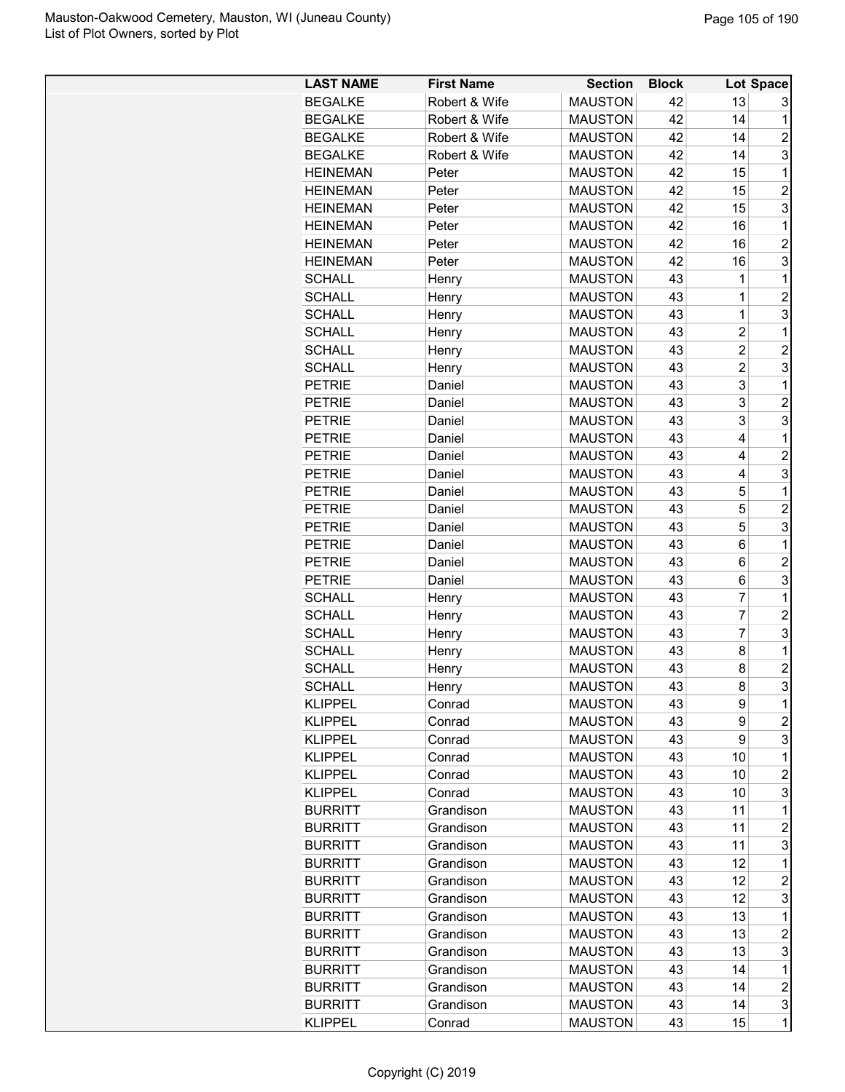| <b>LAST NAME</b> | <b>First Name</b> | <b>Section</b> | <b>Block</b> |                | Lot Space      |
|------------------|-------------------|----------------|--------------|----------------|----------------|
| <b>BEGALKE</b>   | Robert & Wife     | <b>MAUSTON</b> | 42           | 13             | 3              |
| <b>BEGALKE</b>   | Robert & Wife     | <b>MAUSTON</b> | 42           | 14             | 1              |
| <b>BEGALKE</b>   | Robert & Wife     | <b>MAUSTON</b> | 42           | 14             | $\overline{c}$ |
| <b>BEGALKE</b>   | Robert & Wife     | <b>MAUSTON</b> | 42           | 14             | 3              |
| <b>HEINEMAN</b>  | Peter             | <b>MAUSTON</b> | 42           | 15             | 1              |
| <b>HEINEMAN</b>  | Peter             | <b>MAUSTON</b> | 42           | 15             | $\overline{2}$ |
| <b>HEINEMAN</b>  | Peter             | <b>MAUSTON</b> | 42           | 15             | 3              |
| <b>HEINEMAN</b>  |                   | <b>MAUSTON</b> | 42           | 16             | 1              |
|                  | Peter             |                |              |                |                |
| <b>HEINEMAN</b>  | Peter             | <b>MAUSTON</b> | 42           | 16             | $\overline{2}$ |
| <b>HEINEMAN</b>  | Peter             | <b>MAUSTON</b> | 42           | 16             | 3              |
| <b>SCHALL</b>    | Henry             | <b>MAUSTON</b> | 43           | $\mathbf 1$    | 1              |
| <b>SCHALL</b>    | Henry             | <b>MAUSTON</b> | 43           | 1              | $\overline{c}$ |
| <b>SCHALL</b>    | Henry             | <b>MAUSTON</b> | 43           | $\mathbf 1$    | 3              |
| <b>SCHALL</b>    | Henry             | <b>MAUSTON</b> | 43           | $\overline{2}$ | 1              |
| <b>SCHALL</b>    | Henry             | <b>MAUSTON</b> | 43           | $\overline{c}$ | $\overline{c}$ |
| <b>SCHALL</b>    | Henry             | <b>MAUSTON</b> | 43           | $\overline{c}$ | 3              |
| <b>PETRIE</b>    | Daniel            | <b>MAUSTON</b> | 43           | 3              | 1              |
| <b>PETRIE</b>    | Daniel            | <b>MAUSTON</b> | 43           | 3              | $\overline{c}$ |
| <b>PETRIE</b>    | Daniel            | <b>MAUSTON</b> | 43           | 3              | 3              |
| <b>PETRIE</b>    | Daniel            | <b>MAUSTON</b> | 43           | 4              | 1              |
| <b>PETRIE</b>    | Daniel            | <b>MAUSTON</b> | 43           | 4              | $\overline{2}$ |
| <b>PETRIE</b>    | Daniel            | <b>MAUSTON</b> | 43           | 4              | 3              |
| <b>PETRIE</b>    | Daniel            | <b>MAUSTON</b> | 43           | 5              | 1              |
| <b>PETRIE</b>    | Daniel            | <b>MAUSTON</b> | 43           | 5              | $\overline{2}$ |
| <b>PETRIE</b>    | Daniel            | <b>MAUSTON</b> | 43           | 5              | 3              |
| <b>PETRIE</b>    | Daniel            | <b>MAUSTON</b> | 43           | 6              | 1              |
| <b>PETRIE</b>    | Daniel            | <b>MAUSTON</b> | 43           | 6              | $\overline{2}$ |
| <b>PETRIE</b>    | Daniel            | <b>MAUSTON</b> | 43           | 6              | 3              |
| <b>SCHALL</b>    | Henry             | <b>MAUSTON</b> | 43           | $\overline{7}$ | 1              |
| <b>SCHALL</b>    | Henry             | <b>MAUSTON</b> | 43           | $\overline{7}$ | $\overline{2}$ |
| <b>SCHALL</b>    | Henry             | <b>MAUSTON</b> | 43           | $\overline{7}$ | 3              |
| <b>SCHALL</b>    | Henry             | <b>MAUSTON</b> | 43           | 8              | 1              |
| <b>SCHALL</b>    | Henry             | <b>MAUSTON</b> | 43           | 8              | $\overline{c}$ |
| <b>SCHALL</b>    |                   | <b>MAUSTON</b> | 43           | 8              | 3              |
|                  | Henry             |                |              |                |                |
| <b>KLIPPEL</b>   | Conrad            | <b>MAUSTON</b> | 43           | 9              | 1              |
| <b>KLIPPEL</b>   | Conrad            | <b>MAUSTON</b> | 43           | 9              | $\overline{c}$ |
| <b>KLIPPEL</b>   | Conrad            | <b>MAUSTON</b> | 43           | 9              | 3              |
| <b>KLIPPEL</b>   | Conrad            | <b>MAUSTON</b> | 43           | 10             | 1              |
| <b>KLIPPEL</b>   | Conrad            | <b>MAUSTON</b> | 43           | 10             | $\overline{c}$ |
| <b>KLIPPEL</b>   | Conrad            | <b>MAUSTON</b> | 43           | 10             | 3              |
| <b>BURRITT</b>   | Grandison         | <b>MAUSTON</b> | 43           | 11             | 1              |
| <b>BURRITT</b>   | Grandison         | <b>MAUSTON</b> | 43           | 11             | $\overline{c}$ |
| <b>BURRITT</b>   | Grandison         | <b>MAUSTON</b> | 43           | 11             | 3              |
| <b>BURRITT</b>   | Grandison         | <b>MAUSTON</b> | 43           | 12             | 1              |
| <b>BURRITT</b>   | Grandison         | <b>MAUSTON</b> | 43           | 12             | 2              |
| <b>BURRITT</b>   | Grandison         | <b>MAUSTON</b> | 43           | 12             | 3              |
| <b>BURRITT</b>   | Grandison         | <b>MAUSTON</b> | 43           | 13             | 1              |
| <b>BURRITT</b>   | Grandison         | <b>MAUSTON</b> | 43           | 13             | $\overline{c}$ |
| <b>BURRITT</b>   | Grandison         | <b>MAUSTON</b> | 43           | 13             | 3              |
| <b>BURRITT</b>   | Grandison         | <b>MAUSTON</b> | 43           | 14             | $\mathbf 1$    |
| <b>BURRITT</b>   | Grandison         | <b>MAUSTON</b> | 43           | 14             | $\overline{c}$ |
| <b>BURRITT</b>   | Grandison         | <b>MAUSTON</b> | 43           | 14             | 3              |
| <b>KLIPPEL</b>   | Conrad            | <b>MAUSTON</b> | 43           | 15             | 1              |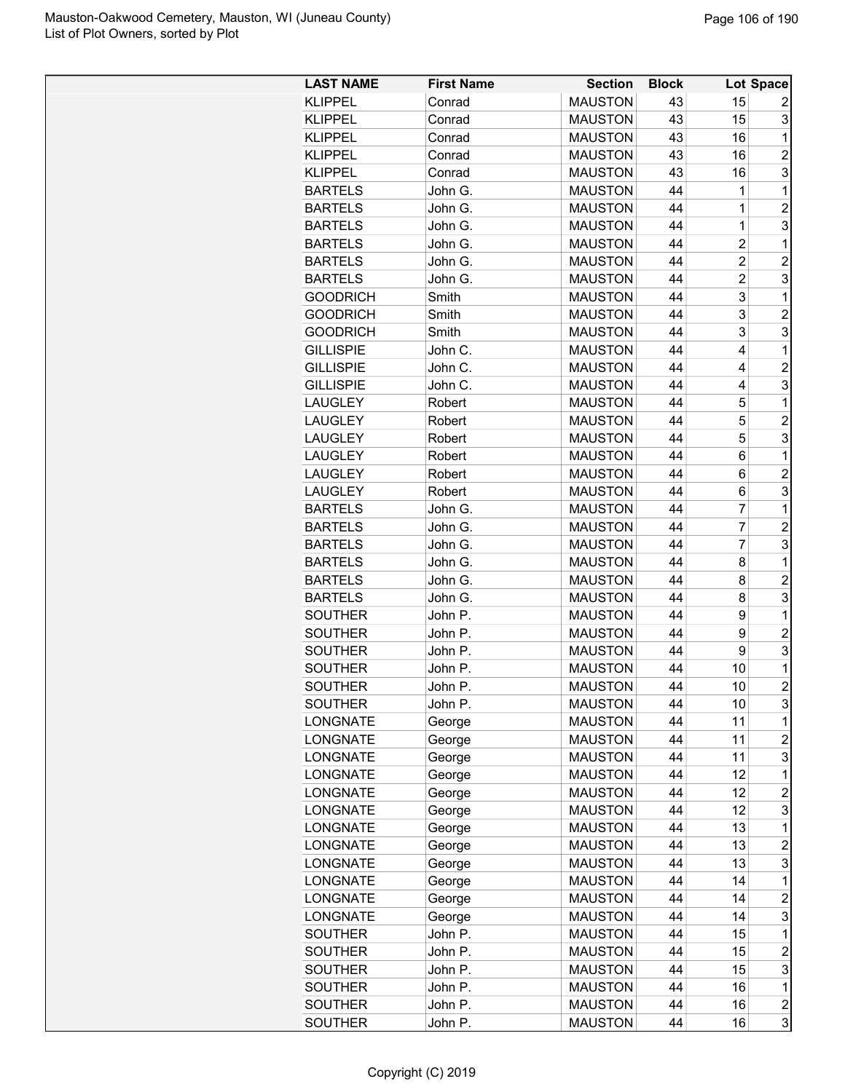| <b>LAST NAME</b> | <b>First Name</b>  | <b>Section</b>                   | <b>Block</b> |                         | <b>Lot Space</b>        |
|------------------|--------------------|----------------------------------|--------------|-------------------------|-------------------------|
| <b>KLIPPEL</b>   | Conrad             | <b>MAUSTON</b>                   | 43           | 15                      | 2                       |
| <b>KLIPPEL</b>   | Conrad             | <b>MAUSTON</b>                   | 43           | 15                      | 3                       |
| <b>KLIPPEL</b>   | Conrad             | <b>MAUSTON</b>                   | 43           | 16                      | 1                       |
| <b>KLIPPEL</b>   | Conrad             | <b>MAUSTON</b>                   | 43           | 16                      | $\overline{c}$          |
| <b>KLIPPEL</b>   | Conrad             | <b>MAUSTON</b>                   | 43           | 16                      | 3                       |
| <b>BARTELS</b>   | John G.            | <b>MAUSTON</b>                   | 44           | 1                       | 1                       |
| <b>BARTELS</b>   | John G.            | <b>MAUSTON</b>                   | 44           | 1                       | $\overline{2}$          |
| <b>BARTELS</b>   | John G.            | <b>MAUSTON</b>                   | 44           | $\mathbf 1$             | 3                       |
| <b>BARTELS</b>   | John G.            | <b>MAUSTON</b>                   | 44           | $\overline{2}$          | $\mathbf{1}$            |
| <b>BARTELS</b>   | John G.            | <b>MAUSTON</b>                   | 44           | $\overline{\mathbf{c}}$ | $\overline{c}$          |
| <b>BARTELS</b>   | John G.            | <b>MAUSTON</b>                   | 44           | $\overline{c}$          | 3                       |
| <b>GOODRICH</b>  | Smith              | <b>MAUSTON</b>                   | 44           | 3                       | 1                       |
| <b>GOODRICH</b>  | Smith              | <b>MAUSTON</b>                   | 44           | 3                       | $\overline{c}$          |
| <b>GOODRICH</b>  | Smith              | <b>MAUSTON</b>                   | 44           | 3                       | 3                       |
| <b>GILLISPIE</b> | John C.            | <b>MAUSTON</b>                   | 44           | 4                       | 1                       |
| <b>GILLISPIE</b> | John C.            | <b>MAUSTON</b>                   | 44           | 4                       | $\overline{2}$          |
| <b>GILLISPIE</b> | John C.            | <b>MAUSTON</b>                   | 44           | 4                       | 3                       |
| <b>LAUGLEY</b>   | Robert             | <b>MAUSTON</b>                   | 44           | 5                       | $\mathbf{1}$            |
| <b>LAUGLEY</b>   | Robert             | <b>MAUSTON</b>                   | 44           | 5                       | $\overline{c}$          |
| <b>LAUGLEY</b>   | Robert             | <b>MAUSTON</b>                   | 44           | 5                       | 3                       |
| <b>LAUGLEY</b>   | Robert             | <b>MAUSTON</b>                   | 44           | 6                       | $\mathbf 1$             |
| <b>LAUGLEY</b>   | Robert             | <b>MAUSTON</b>                   | 44           | 6                       | $\overline{c}$          |
|                  |                    |                                  | 44           | 6                       | 3                       |
| <b>LAUGLEY</b>   | Robert             | <b>MAUSTON</b><br><b>MAUSTON</b> | 44           | $\overline{7}$          | $\mathbf{1}$            |
| <b>BARTELS</b>   | John G.<br>John G. |                                  | 44           | $\overline{7}$          | $\overline{2}$          |
| <b>BARTELS</b>   |                    | <b>MAUSTON</b><br><b>MAUSTON</b> | 44           | $\overline{7}$          | 3                       |
| <b>BARTELS</b>   | John G.            |                                  |              |                         | $\mathbf{1}$            |
| <b>BARTELS</b>   | John G.            | <b>MAUSTON</b>                   | 44           | 8                       |                         |
| <b>BARTELS</b>   | John G.            | <b>MAUSTON</b>                   | 44           | 8                       | $\overline{c}$          |
| <b>BARTELS</b>   | John G.            | <b>MAUSTON</b>                   | 44           | 8                       | 3                       |
| <b>SOUTHER</b>   | John P.            | <b>MAUSTON</b>                   | 44           | 9                       | 1                       |
| <b>SOUTHER</b>   | John P.            | <b>MAUSTON</b>                   | 44           | 9                       | $\overline{2}$          |
| <b>SOUTHER</b>   | John P.            | <b>MAUSTON</b>                   | 44           | 9                       | 3                       |
| <b>SOUTHER</b>   | John P.            | <b>MAUSTON</b>                   | 44           | 10                      | $\mathbf 1$             |
| SOUTHER          | John P             | <b>MAUSTON</b>                   | 44           | 10                      | $\overline{2}$          |
| SOUTHER          | John P.            | <b>MAUSTON</b>                   | 44           | 10                      | 3                       |
| <b>LONGNATE</b>  | George             | <b>MAUSTON</b>                   | 44           | 11                      | 1                       |
| <b>LONGNATE</b>  | George             | <b>MAUSTON</b>                   | 44           | 11                      | $\overline{c}$          |
| <b>LONGNATE</b>  | George             | <b>MAUSTON</b>                   | 44           | 11                      | 3                       |
| <b>LONGNATE</b>  | George             | <b>MAUSTON</b>                   | 44           | 12                      | 1                       |
| <b>LONGNATE</b>  | George             | <b>MAUSTON</b>                   | 44           | 12                      | $\overline{c}$          |
| <b>LONGNATE</b>  | George             | <b>MAUSTON</b>                   | 44           | 12                      | 3                       |
| LONGNATE         | George             | <b>MAUSTON</b>                   | 44           | 13                      | 1                       |
| <b>LONGNATE</b>  | George             | <b>MAUSTON</b>                   | 44           | 13                      | $\overline{2}$          |
| <b>LONGNATE</b>  | George             | <b>MAUSTON</b>                   | 44           | 13                      | 3                       |
| <b>LONGNATE</b>  | George             | <b>MAUSTON</b>                   | 44           | 14                      | 1                       |
| <b>LONGNATE</b>  | George             | <b>MAUSTON</b>                   | 44           | 14                      | $\overline{c}$          |
| <b>LONGNATE</b>  | George             | <b>MAUSTON</b>                   | 44           | 14                      | 3                       |
| <b>SOUTHER</b>   | John P.            | <b>MAUSTON</b>                   | 44           | 15                      | 1                       |
| <b>SOUTHER</b>   | John P.            | <b>MAUSTON</b>                   | 44           | 15                      | $\overline{c}$          |
| SOUTHER          | John P.            | <b>MAUSTON</b>                   | 44           | 15                      | 3                       |
| <b>SOUTHER</b>   | John P.            | <b>MAUSTON</b>                   | 44           | 16                      | $\mathbf 1$             |
| <b>SOUTHER</b>   | John P.            | <b>MAUSTON</b>                   | 44           | 16                      | $\overline{\mathbf{c}}$ |
| <b>SOUTHER</b>   | John P.            | <b>MAUSTON</b>                   | 44           | 16                      | 3                       |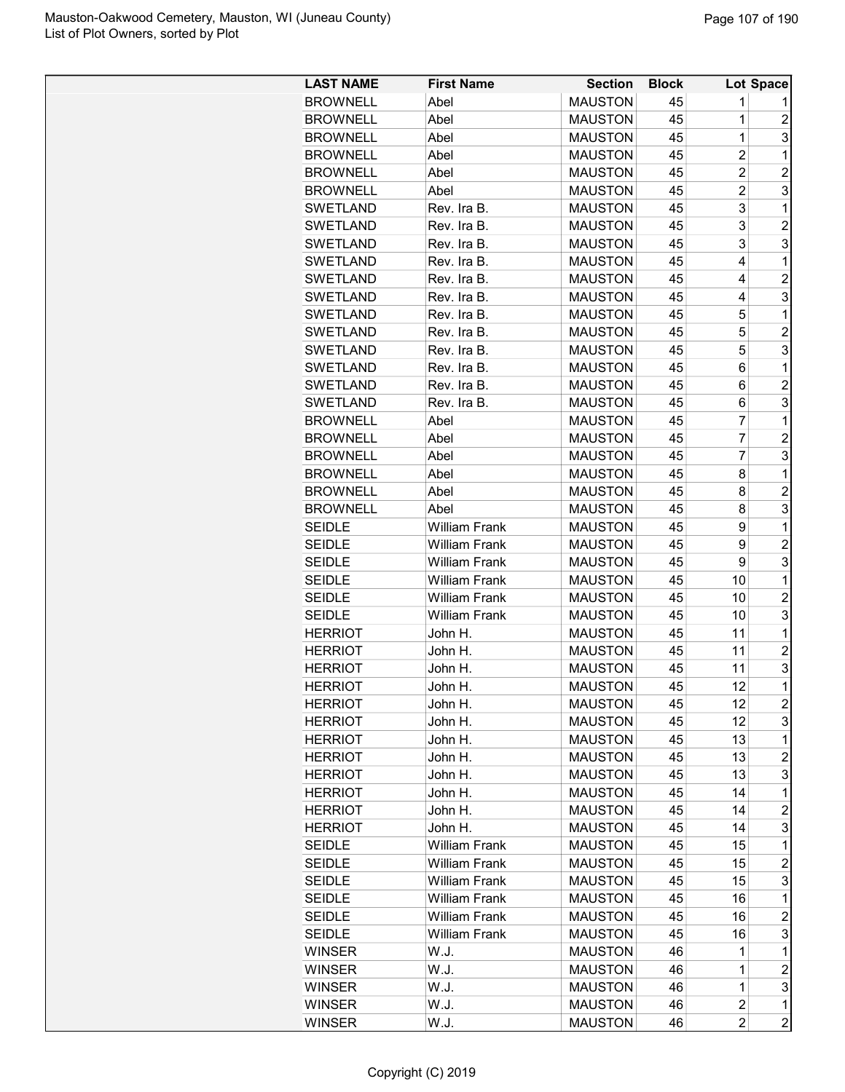| <b>LAST NAME</b> | <b>First Name</b>    | <b>Section</b> | <b>Block</b> |                | Lot Space               |
|------------------|----------------------|----------------|--------------|----------------|-------------------------|
| <b>BROWNELL</b>  | Abel                 | <b>MAUSTON</b> | 45           | 1              |                         |
| <b>BROWNELL</b>  | Abel                 | <b>MAUSTON</b> | 45           | 1              | $\overline{c}$          |
| <b>BROWNELL</b>  | Abel                 | <b>MAUSTON</b> | 45           | $\overline{1}$ | 3                       |
| <b>BROWNELL</b>  | Abel                 | <b>MAUSTON</b> | 45           | $\overline{c}$ | 1                       |
| <b>BROWNELL</b>  | Abel                 | <b>MAUSTON</b> | 45           | $\overline{c}$ | $\overline{2}$          |
| <b>BROWNELL</b>  | Abel                 | <b>MAUSTON</b> | 45           | $\overline{2}$ | 3                       |
| <b>SWETLAND</b>  | Rev. Ira B.          | <b>MAUSTON</b> | 45           | 3              | 1                       |
| <b>SWETLAND</b>  | Rev. Ira B.          | <b>MAUSTON</b> | 45           | 3              | $\overline{2}$          |
| <b>SWETLAND</b>  | Rev. Ira B.          | <b>MAUSTON</b> | 45           | 3              | 3                       |
| <b>SWETLAND</b>  | Rev. Ira B.          | <b>MAUSTON</b> | 45           | 4              | 1                       |
| SWETLAND         | Rev. Ira B.          | <b>MAUSTON</b> | 45           | 4              | $\overline{c}$          |
| <b>SWETLAND</b>  | Rev. Ira B.          | <b>MAUSTON</b> | 45           | 4              | 3                       |
| <b>SWETLAND</b>  | Rev. Ira B.          | <b>MAUSTON</b> | 45           | 5              | 1                       |
| <b>SWETLAND</b>  | Rev. Ira B.          | <b>MAUSTON</b> | 45           | 5              | $\overline{2}$          |
| <b>SWETLAND</b>  | Rev. Ira B.          | <b>MAUSTON</b> | 45           | 5              | 3                       |
| <b>SWETLAND</b>  | Rev. Ira B.          | <b>MAUSTON</b> | 45           | 6              | 1                       |
| SWETLAND         | Rev. Ira B.          | <b>MAUSTON</b> | 45           | 6              | $\overline{2}$          |
| SWETLAND         | Rev. Ira B.          | <b>MAUSTON</b> | 45           | 6              | 3                       |
| <b>BROWNELL</b>  | Abel                 | <b>MAUSTON</b> | 45           | 7              | 1                       |
| <b>BROWNELL</b>  | Abel                 | <b>MAUSTON</b> | 45           | 7              | $\overline{c}$          |
| <b>BROWNELL</b>  | Abel                 | <b>MAUSTON</b> | 45           | $\overline{7}$ | 3                       |
| <b>BROWNELL</b>  | Abel                 | <b>MAUSTON</b> | 45           | 8              | 1                       |
| <b>BROWNELL</b>  | Abel                 | <b>MAUSTON</b> | 45           | 8              | $\overline{c}$          |
| <b>BROWNELL</b>  | Abel                 | <b>MAUSTON</b> | 45           | 8              | 3                       |
| <b>SEIDLE</b>    | <b>William Frank</b> | <b>MAUSTON</b> | 45           | 9              | 1                       |
| <b>SEIDLE</b>    | <b>William Frank</b> | <b>MAUSTON</b> | 45           | 9              | $\overline{2}$          |
| <b>SEIDLE</b>    | <b>William Frank</b> | <b>MAUSTON</b> | 45           | 9              | 3                       |
| <b>SEIDLE</b>    | <b>William Frank</b> | <b>MAUSTON</b> | 45           | 10             | 1                       |
| <b>SEIDLE</b>    | <b>William Frank</b> | <b>MAUSTON</b> | 45           | 10             | $\overline{c}$          |
| <b>SEIDLE</b>    | <b>William Frank</b> | <b>MAUSTON</b> | 45           | 10             | 3                       |
| <b>HERRIOT</b>   | John H.              | <b>MAUSTON</b> | 45           | 11             | 1                       |
| <b>HERRIOT</b>   | John H.              | <b>MAUSTON</b> | 45           | 11             | $\overline{2}$          |
| <b>HERRIOT</b>   | John H.              | <b>MAUSTON</b> | 45           | 11             | 3                       |
| <b>HERRIOT</b>   | John H.              | <b>MAUSTON</b> | 45           | 12             | $\overline{1}$          |
| <b>HERRIOT</b>   | John H.              | <b>MAUSTON</b> | 45           | 12             | $\overline{\mathbf{c}}$ |
| <b>HERRIOT</b>   | John H.              | <b>MAUSTON</b> | 45           | 12             | 3                       |
| <b>HERRIOT</b>   | John H.              | <b>MAUSTON</b> | 45           | 13             | 1                       |
| <b>HERRIOT</b>   | John H.              | <b>MAUSTON</b> | 45           | 13             | $\overline{c}$          |
| <b>HERRIOT</b>   | John H.              | <b>MAUSTON</b> | 45           | 13             | 3                       |
| HERRIOT          | John H.              | <b>MAUSTON</b> | 45           | 14             | 1                       |
| <b>HERRIOT</b>   | John H.              | <b>MAUSTON</b> | 45           | 14             | $\overline{c}$          |
| <b>HERRIOT</b>   | John H.              | <b>MAUSTON</b> | 45           | 14             | 3                       |
| <b>SEIDLE</b>    | <b>William Frank</b> | <b>MAUSTON</b> | 45           | 15             | 1                       |
| <b>SEIDLE</b>    | <b>William Frank</b> | <b>MAUSTON</b> | 45           | 15             | $\boldsymbol{2}$        |
| <b>SEIDLE</b>    | <b>William Frank</b> | <b>MAUSTON</b> | 45           | 15             | 3                       |
| SEIDLE           | <b>William Frank</b> | <b>MAUSTON</b> | 45           | 16             | 1                       |
| <b>SEIDLE</b>    | <b>William Frank</b> | <b>MAUSTON</b> | 45           | 16             | $\overline{c}$          |
| <b>SEIDLE</b>    | <b>William Frank</b> | <b>MAUSTON</b> | 45           | 16             | 3                       |
| <b>WINSER</b>    | W.J.                 | <b>MAUSTON</b> | 46           | 1              | 1                       |
| <b>WINSER</b>    | W.J.                 | <b>MAUSTON</b> | 46           | 1              | $\overline{c}$          |
| WINSER           | W.J.                 | <b>MAUSTON</b> | 46           | 1              | 3                       |
| <b>WINSER</b>    | W.J.                 | <b>MAUSTON</b> | 46           | $\overline{c}$ | 1                       |
| <b>WINSER</b>    | W.J.                 | <b>MAUSTON</b> | 46           | $\overline{c}$ | $\overline{c}$          |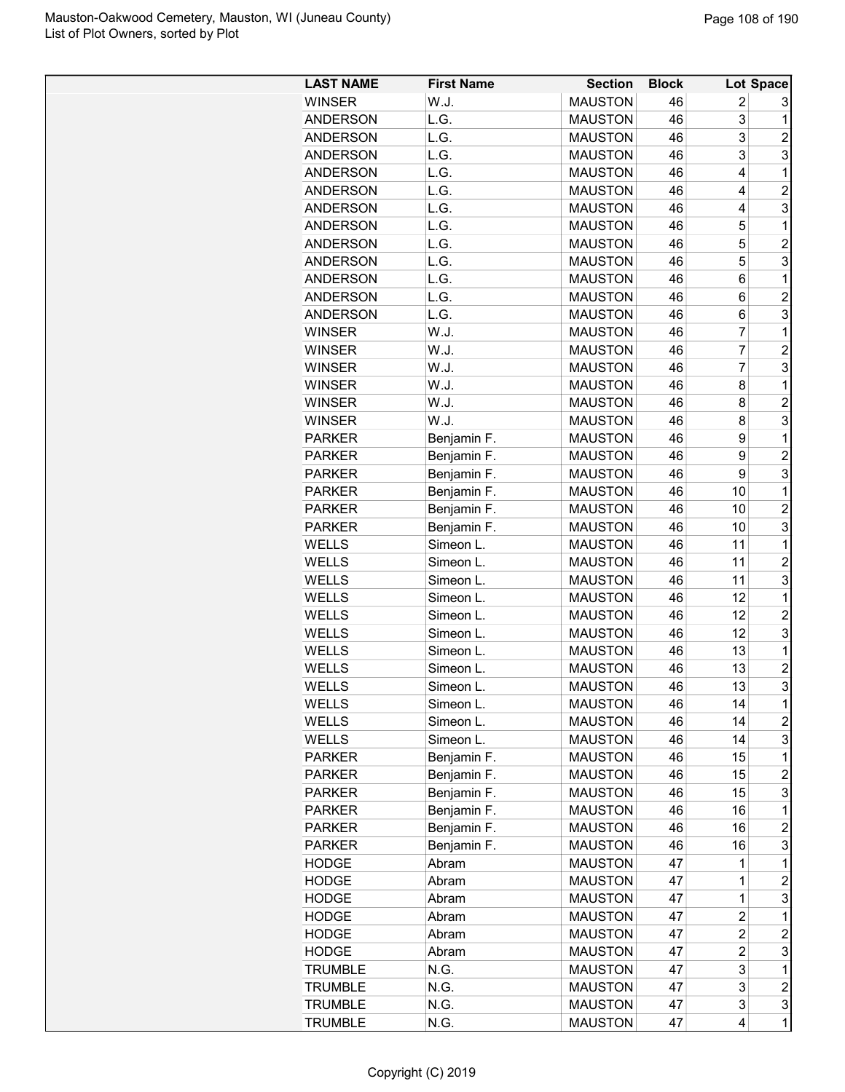| <b>LAST NAME</b> | <b>First Name</b> | <b>Section</b> | <b>Block</b> |                | Lot Space               |
|------------------|-------------------|----------------|--------------|----------------|-------------------------|
| <b>WINSER</b>    | W.J.              | <b>MAUSTON</b> | 46           | $\overline{2}$ | 3                       |
| <b>ANDERSON</b>  | L.G.              | <b>MAUSTON</b> | 46           | 3              | 1                       |
| <b>ANDERSON</b>  | L.G.              | <b>MAUSTON</b> | 46           | 3              | $\overline{2}$          |
| <b>ANDERSON</b>  | L.G.              | <b>MAUSTON</b> | 46           | 3              | 3                       |
| <b>ANDERSON</b>  | L.G.              | <b>MAUSTON</b> | 46           | 4              | 1                       |
| <b>ANDERSON</b>  | L.G.              | <b>MAUSTON</b> | 46           | 4              | $\overline{2}$          |
| <b>ANDERSON</b>  | L.G.              | <b>MAUSTON</b> | 46           | 4              | 3                       |
| <b>ANDERSON</b>  | L.G.              | <b>MAUSTON</b> | 46           | 5              | 1                       |
| <b>ANDERSON</b>  | L.G.              | <b>MAUSTON</b> | 46           | 5              | $\overline{c}$          |
| <b>ANDERSON</b>  | L.G.              | <b>MAUSTON</b> | 46           | 5              | 3                       |
| <b>ANDERSON</b>  | L.G.              | <b>MAUSTON</b> | 46           | 6              | 1                       |
| <b>ANDERSON</b>  | L.G.              | <b>MAUSTON</b> | 46           | 6              | $\overline{2}$          |
| <b>ANDERSON</b>  | L.G.              | <b>MAUSTON</b> | 46           | 6              | 3                       |
| <b>WINSER</b>    | W.J.              | <b>MAUSTON</b> | 46           | $\overline{7}$ | 1                       |
| <b>WINSER</b>    | W.J.              | <b>MAUSTON</b> | 46           | 7              | $\overline{c}$          |
| <b>WINSER</b>    | W.J.              | <b>MAUSTON</b> | 46           | 7              | 3                       |
| <b>WINSER</b>    | W.J.              | <b>MAUSTON</b> | 46           | 8              | 1                       |
| <b>WINSER</b>    | W.J.              | <b>MAUSTON</b> | 46           | 8              | $\overline{c}$          |
| <b>WINSER</b>    | W.J.              | <b>MAUSTON</b> | 46           | 8              | 3                       |
| <b>PARKER</b>    | Benjamin F.       | <b>MAUSTON</b> | 46           | 9              | 1                       |
| <b>PARKER</b>    | Benjamin F.       | <b>MAUSTON</b> | 46           | 9              | $\overline{2}$          |
| <b>PARKER</b>    | Benjamin F.       | <b>MAUSTON</b> | 46           | 9              | 3                       |
| <b>PARKER</b>    | Benjamin F.       | <b>MAUSTON</b> | 46           | 10             | $\mathbf 1$             |
| <b>PARKER</b>    | Benjamin F.       | <b>MAUSTON</b> | 46           | 10             | $\overline{c}$          |
| <b>PARKER</b>    | Benjamin F.       | <b>MAUSTON</b> | 46           | 10             | 3                       |
| WELLS            | Simeon L.         | <b>MAUSTON</b> | 46           | 11             | 1                       |
| WELLS            | Simeon L.         | <b>MAUSTON</b> | 46           | 11             | $\overline{2}$          |
| <b>WELLS</b>     | Simeon L.         | <b>MAUSTON</b> | 46           | 11             | 3                       |
| <b>WELLS</b>     | Simeon L.         | <b>MAUSTON</b> | 46           | 12             | 1                       |
| <b>WELLS</b>     | Simeon L.         | <b>MAUSTON</b> | 46           | 12             | $\overline{2}$          |
| WELLS            | Simeon L.         | <b>MAUSTON</b> | 46           | 12             | 3                       |
| WELLS            | Simeon L.         | <b>MAUSTON</b> | 46           | 13             | 1                       |
| <b>WELLS</b>     | Simeon L.         | <b>MAUSTON</b> | 46           | 13             | $\overline{c}$          |
| WELLS            | Simeon L          | <b>MAUSTON</b> | 46           | 13             | 3                       |
| <b>WELLS</b>     | Simeon L.         | <b>MAUSTON</b> | 46           | 14             | 1                       |
| WELLS            | Simeon L.         | <b>MAUSTON</b> | 46           | 14             | $\overline{c}$          |
| WELLS            | Simeon L.         | <b>MAUSTON</b> | 46           | 14             | 3                       |
| <b>PARKER</b>    | Benjamin F.       | <b>MAUSTON</b> | 46           | 15             | 1                       |
| <b>PARKER</b>    | Benjamin F.       | <b>MAUSTON</b> | 46           | 15             | $\overline{c}$          |
| <b>PARKER</b>    | Benjamin F.       | <b>MAUSTON</b> | 46           | 15             | 3                       |
| <b>PARKER</b>    | Benjamin F.       | <b>MAUSTON</b> | 46           | 16             | 1                       |
| <b>PARKER</b>    | Benjamin F.       | <b>MAUSTON</b> | 46           | 16             | $\overline{c}$          |
| <b>PARKER</b>    | Benjamin F.       | <b>MAUSTON</b> | 46           | 16             | 3                       |
| <b>HODGE</b>     | Abram             | <b>MAUSTON</b> | 47           | 1              | $\mathbf 1$             |
| <b>HODGE</b>     | Abram             | <b>MAUSTON</b> | 47           | $\mathbf 1$    | $\overline{\mathbf{c}}$ |
| <b>HODGE</b>     | Abram             | <b>MAUSTON</b> | 47           | $\mathbf 1$    | 3                       |
| <b>HODGE</b>     | Abram             | <b>MAUSTON</b> | 47           | $\overline{c}$ | 1                       |
| <b>HODGE</b>     | Abram             | <b>MAUSTON</b> | 47           | 2              | $\overline{c}$          |
| <b>HODGE</b>     | Abram             | <b>MAUSTON</b> | 47           | $\overline{c}$ | 3                       |
| <b>TRUMBLE</b>   | N.G.              | <b>MAUSTON</b> | 47           | 3              | 1                       |
| <b>TRUMBLE</b>   | N.G.              | <b>MAUSTON</b> | 47           | 3              | $\boldsymbol{2}$        |
| <b>TRUMBLE</b>   | N.G.              | <b>MAUSTON</b> | 47           | 3              | 3                       |
| <b>TRUMBLE</b>   | N.G.              | <b>MAUSTON</b> | 47           | 4              | 1                       |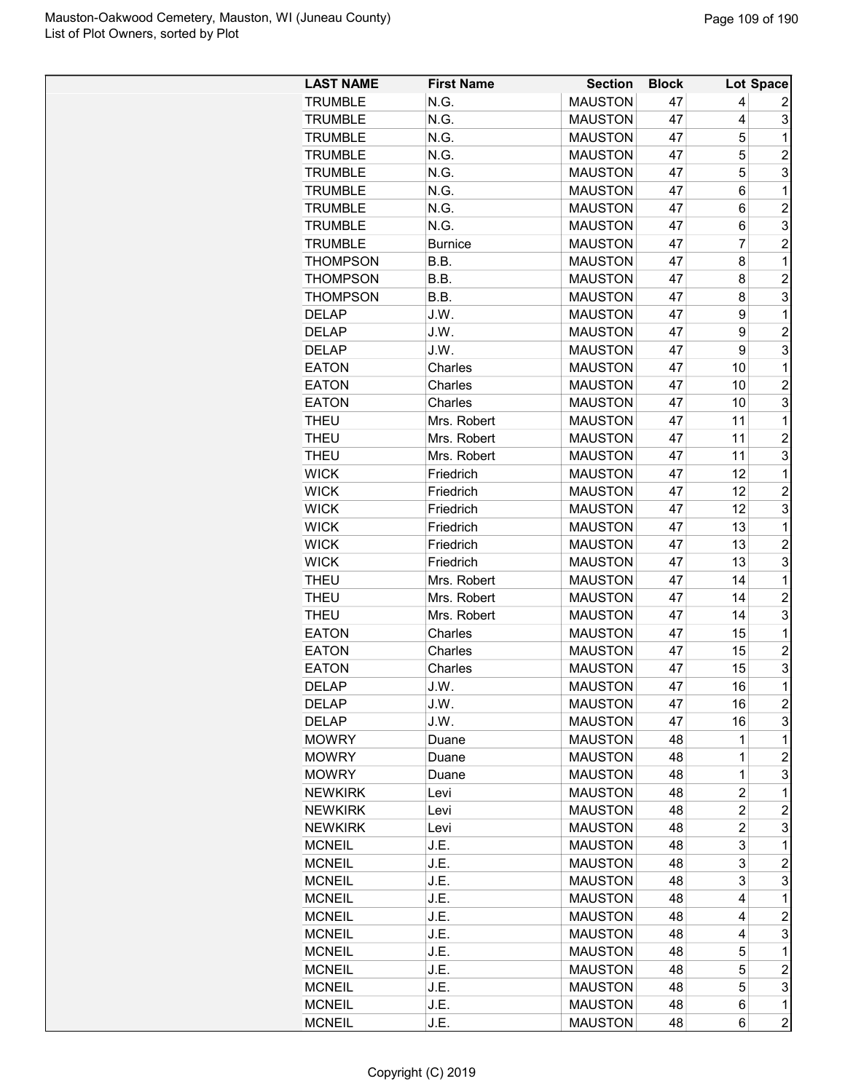| <b>LAST NAME</b> | <b>First Name</b> | <b>Section</b> | <b>Block</b> |                | Lot Space      |
|------------------|-------------------|----------------|--------------|----------------|----------------|
| <b>TRUMBLE</b>   | N.G.              | <b>MAUSTON</b> | 47           | 4              | 2              |
| <b>TRUMBLE</b>   | N.G.              | <b>MAUSTON</b> | 47           | 4              | 3              |
| <b>TRUMBLE</b>   | N.G.              | <b>MAUSTON</b> | 47           | 5              | 1              |
| <b>TRUMBLE</b>   | N.G.              | <b>MAUSTON</b> | 47           | 5              | $\overline{2}$ |
| <b>TRUMBLE</b>   | N.G.              | <b>MAUSTON</b> | 47           | 5              | 3              |
| <b>TRUMBLE</b>   | N.G.              | <b>MAUSTON</b> | 47           | 6              | 1              |
| <b>TRUMBLE</b>   | N.G.              | <b>MAUSTON</b> | 47           | 6              | $\overline{c}$ |
| <b>TRUMBLE</b>   | N.G.              | <b>MAUSTON</b> | 47           | 6              | 3              |
| <b>TRUMBLE</b>   | <b>Burnice</b>    | <b>MAUSTON</b> | 47           | 7              | $\overline{2}$ |
| <b>THOMPSON</b>  | B.B.              | <b>MAUSTON</b> | 47           | 8              | 1              |
| <b>THOMPSON</b>  | B.B.              | <b>MAUSTON</b> | 47           | 8              | $\overline{2}$ |
| <b>THOMPSON</b>  | B.B.              | <b>MAUSTON</b> | 47           | 8              | 3              |
| <b>DELAP</b>     | J.W.              | <b>MAUSTON</b> | 47           | 9              | 1              |
| <b>DELAP</b>     | J.W.              | <b>MAUSTON</b> | 47           | 9              | $\overline{c}$ |
| <b>DELAP</b>     | J.W.              | <b>MAUSTON</b> | 47           | 9              | 3              |
| <b>EATON</b>     | Charles           | <b>MAUSTON</b> | 47           | 10             | 1              |
| <b>EATON</b>     | Charles           | <b>MAUSTON</b> | 47           | 10             | $\overline{c}$ |
| <b>EATON</b>     | Charles           | <b>MAUSTON</b> | 47           | 10             | 3              |
| THEU             | Mrs. Robert       | <b>MAUSTON</b> | 47           | 11             | 1              |
| <b>THEU</b>      | Mrs. Robert       | <b>MAUSTON</b> | 47           | 11             | $\overline{c}$ |
| THEU             | Mrs. Robert       | <b>MAUSTON</b> | 47           | 11             | 3              |
| <b>WICK</b>      | Friedrich         | <b>MAUSTON</b> | 47           | 12             | $\mathbf 1$    |
| <b>WICK</b>      | Friedrich         | <b>MAUSTON</b> | 47           | 12             | $\overline{2}$ |
| <b>WICK</b>      | Friedrich         | <b>MAUSTON</b> | 47           | 12             | 3              |
| <b>WICK</b>      | Friedrich         | <b>MAUSTON</b> | 47           | 13             | 1              |
| <b>WICK</b>      | Friedrich         | <b>MAUSTON</b> | 47           | 13             | $\overline{2}$ |
| <b>WICK</b>      | Friedrich         | <b>MAUSTON</b> | 47           | 13             | 3              |
| <b>THEU</b>      | Mrs. Robert       | <b>MAUSTON</b> | 47           | 14             | 1              |
| <b>THEU</b>      | Mrs. Robert       | <b>MAUSTON</b> | 47           | 14             | $\overline{c}$ |
| THEU             | Mrs. Robert       | <b>MAUSTON</b> | 47           | 14             | 3              |
| <b>EATON</b>     | Charles           | <b>MAUSTON</b> | 47           | 15             | 1              |
| <b>EATON</b>     | Charles           | <b>MAUSTON</b> | 47           | 15             | $\overline{c}$ |
| <b>EATON</b>     | Charles           | <b>MAUSTON</b> | 47           | 15             | 3              |
| <b>DELAP</b>     | J.W.              | <b>MAUSTON</b> | 47           | 16             | $\overline{1}$ |
| <b>DELAP</b>     | J.W.              | <b>MAUSTON</b> | 47           | 16             | $\overline{c}$ |
| <b>DELAP</b>     | J.W.              | <b>MAUSTON</b> | 47           | 16             | 3              |
| <b>MOWRY</b>     | Duane             | <b>MAUSTON</b> | 48           | 1              | 1              |
| <b>MOWRY</b>     | Duane             | <b>MAUSTON</b> | 48           | 1              | $\overline{2}$ |
| <b>MOWRY</b>     | Duane             | <b>MAUSTON</b> | 48           | $\mathbf 1$    | 3              |
| <b>NEWKIRK</b>   | Levi              | <b>MAUSTON</b> | 48           | 2              | 1              |
| <b>NEWKIRK</b>   | Levi              | <b>MAUSTON</b> | 48           | $\overline{c}$ | $\overline{c}$ |
| <b>NEWKIRK</b>   | Levi              | <b>MAUSTON</b> | 48           | $\overline{c}$ | 3              |
| <b>MCNEIL</b>    | J.E.              | <b>MAUSTON</b> | 48           | 3              | 1              |
| <b>MCNEIL</b>    | J.E.              | <b>MAUSTON</b> | 48           | 3              | $\overline{2}$ |
| <b>MCNEIL</b>    | J.E.              | <b>MAUSTON</b> | 48           | 3              | 3              |
| <b>MCNEIL</b>    | J.E.              | <b>MAUSTON</b> | 48           | 4              | $\mathbf 1$    |
| <b>MCNEIL</b>    | J.E.              | <b>MAUSTON</b> | 48           | 4              | $\overline{2}$ |
| <b>MCNEIL</b>    | J.E.              | <b>MAUSTON</b> | 48           | 4              | 3              |
| <b>MCNEIL</b>    | J.E.              | <b>MAUSTON</b> | 48           | 5              | 1              |
| <b>MCNEIL</b>    | J.E.              | <b>MAUSTON</b> | 48           | 5              | $\overline{c}$ |
| <b>MCNEIL</b>    | J.E.              | <b>MAUSTON</b> | 48           | 5              | 3              |
| <b>MCNEIL</b>    | J.E.              | <b>MAUSTON</b> | 48           | 6              | 1              |
| <b>MCNEIL</b>    | J.E.              | <b>MAUSTON</b> | 48           | 6              | $\overline{c}$ |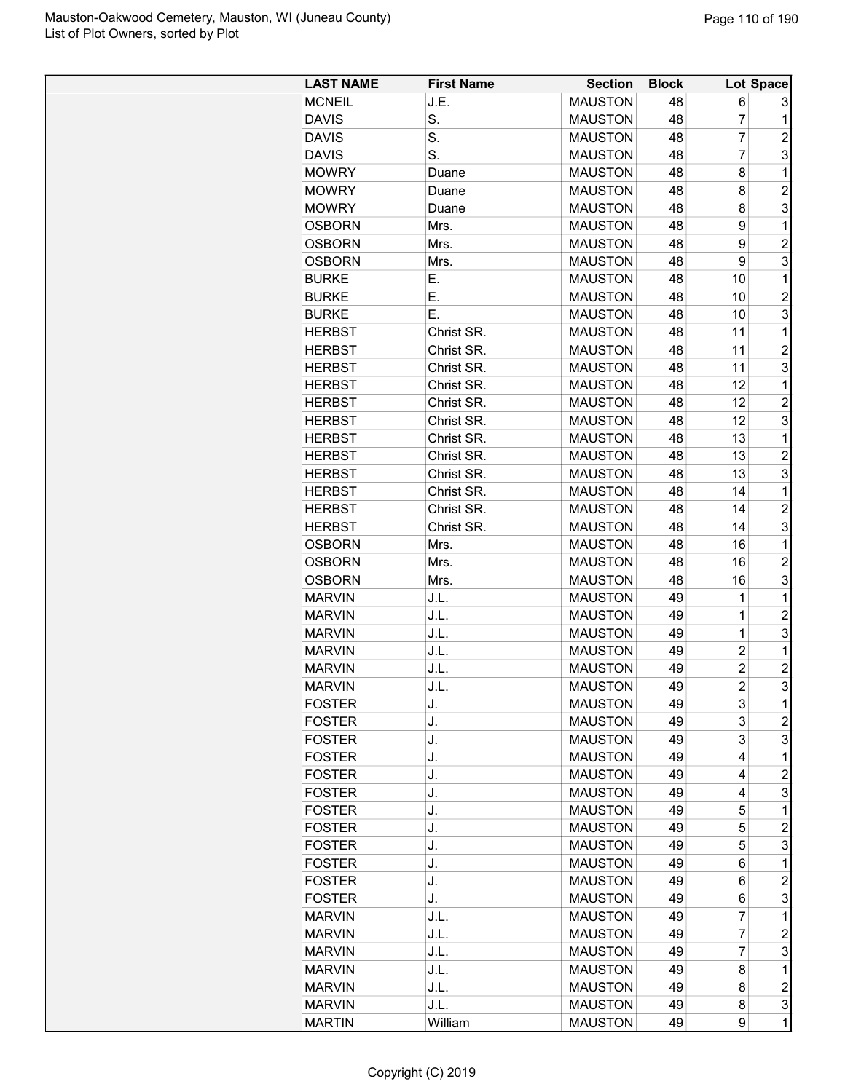| <b>LAST NAME</b> | <b>First Name</b> | <b>Section</b>                   | <b>Block</b> |                     | Lot Space           |
|------------------|-------------------|----------------------------------|--------------|---------------------|---------------------|
| <b>MCNEIL</b>    | J.E.              | <b>MAUSTON</b>                   | 48           | 6                   | 3                   |
| <b>DAVIS</b>     | S.                | <b>MAUSTON</b>                   | 48           | 7                   | 1                   |
| <b>DAVIS</b>     | S.                | <b>MAUSTON</b>                   | 48           | 7                   | $\overline{c}$      |
| <b>DAVIS</b>     | S.                | <b>MAUSTON</b>                   | 48           | 7                   | 3                   |
| <b>MOWRY</b>     | Duane             | <b>MAUSTON</b>                   | 48           | 8                   | 1                   |
| <b>MOWRY</b>     | Duane             | <b>MAUSTON</b>                   | 48           | 8                   | $\overline{2}$      |
| <b>MOWRY</b>     | Duane             | <b>MAUSTON</b>                   | 48           | 8                   | 3                   |
| <b>OSBORN</b>    | Mrs.              | <b>MAUSTON</b>                   | 48           | 9                   | 1                   |
| <b>OSBORN</b>    | Mrs.              | <b>MAUSTON</b>                   | 48           | 9                   | $\overline{c}$      |
| <b>OSBORN</b>    | Mrs.              | <b>MAUSTON</b>                   | 48           | 9                   | 3                   |
| <b>BURKE</b>     | Е.                | <b>MAUSTON</b>                   | 48           | 10                  | 1                   |
| <b>BURKE</b>     | Е.                | <b>MAUSTON</b>                   | 48           | 10                  | $\overline{c}$      |
| <b>BURKE</b>     | Е.                | <b>MAUSTON</b>                   | 48           | 10                  | 3                   |
| <b>HERBST</b>    | Christ SR.        | <b>MAUSTON</b>                   | 48           | 11                  | 1                   |
| <b>HERBST</b>    | Christ SR.        | <b>MAUSTON</b>                   | 48           | 11                  | $\overline{c}$      |
| <b>HERBST</b>    | Christ SR.        | <b>MAUSTON</b>                   | 48           | 11                  | 3                   |
| <b>HERBST</b>    | Christ SR.        | <b>MAUSTON</b>                   | 48           | 12                  | 1                   |
| <b>HERBST</b>    | Christ SR.        | <b>MAUSTON</b>                   | 48           | 12                  | $\overline{2}$      |
| <b>HERBST</b>    | Christ SR.        | <b>MAUSTON</b>                   | 48           | 12                  | 3                   |
| <b>HERBST</b>    | Christ SR.        | <b>MAUSTON</b>                   | 48           | 13                  | $\mathbf 1$         |
| <b>HERBST</b>    | Christ SR.        | <b>MAUSTON</b>                   | 48           | 13                  | $\overline{c}$      |
| <b>HERBST</b>    | Christ SR.        | <b>MAUSTON</b>                   | 48           | 13                  | 3                   |
| <b>HERBST</b>    | Christ SR.        | <b>MAUSTON</b>                   | 48           | 14                  | 1                   |
| <b>HERBST</b>    | Christ SR.        | <b>MAUSTON</b>                   | 48           | 14                  | $\overline{c}$      |
| <b>HERBST</b>    | Christ SR.        | <b>MAUSTON</b>                   | 48           | 14                  | 3                   |
| <b>OSBORN</b>    | Mrs.              | <b>MAUSTON</b>                   | 48           | 16                  | 1                   |
|                  |                   |                                  | 48           | 16                  | $\overline{2}$      |
| <b>OSBORN</b>    | Mrs.              | <b>MAUSTON</b>                   |              | 16                  | 3                   |
| <b>OSBORN</b>    | Mrs.              | <b>MAUSTON</b>                   | 48<br>49     | 1                   | $\mathbf 1$         |
| <b>MARVIN</b>    | J.L.              | <b>MAUSTON</b><br><b>MAUSTON</b> | 49           | $\mathbf 1$         | $\overline{c}$      |
| <b>MARVIN</b>    | J.L.              |                                  |              |                     | 3                   |
| <b>MARVIN</b>    | J.L.              | <b>MAUSTON</b>                   | 49           | 1<br>$\overline{c}$ |                     |
| <b>MARVIN</b>    | J.L.              | <b>MAUSTON</b>                   | 49           | $\overline{c}$      | 1                   |
| <b>MARVIN</b>    | J.L.              | <b>MAUSTON</b>                   | 49           | $\overline{c}$      | $\overline{c}$<br>3 |
| <b>MARVIN</b>    | J.L.              | <b>MAUSTON</b>                   | 49           |                     |                     |
| <b>FOSTER</b>    | J.                | <b>MAUSTON</b>                   | 49           | 3                   | 1                   |
| <b>FOSTER</b>    | J.                | <b>MAUSTON</b>                   | 49           | 3                   | 2                   |
| <b>FOSTER</b>    | J.                | <b>MAUSTON</b>                   | 49           | 3                   | 3                   |
| <b>FOSTER</b>    | J.                | <b>MAUSTON</b>                   | 49           | 4                   | 1                   |
| <b>FOSTER</b>    | J.                | <b>MAUSTON</b>                   | 49           | 4                   | $\overline{c}$      |
| <b>FOSTER</b>    | J.                | <b>MAUSTON</b>                   | 49           | 4                   | 3                   |
| <b>FOSTER</b>    | J.                | <b>MAUSTON</b>                   | 49           | 5                   | 1                   |
| <b>FOSTER</b>    | J.                | <b>MAUSTON</b>                   | 49           | 5                   | $\overline{c}$      |
| <b>FOSTER</b>    | J.                | <b>MAUSTON</b>                   | 49           | 5                   | 3                   |
| <b>FOSTER</b>    | J.                | <b>MAUSTON</b>                   | 49           | 6                   | 1                   |
| <b>FOSTER</b>    | J.                | <b>MAUSTON</b>                   | 49           | 6                   | 2                   |
| <b>FOSTER</b>    | J.                | <b>MAUSTON</b>                   | 49           | 6                   | 3                   |
| <b>MARVIN</b>    | J.L.              | <b>MAUSTON</b>                   | 49           | 7                   | 1                   |
| <b>MARVIN</b>    | J.L.              | <b>MAUSTON</b>                   | 49           | 7                   | $\overline{c}$      |
| <b>MARVIN</b>    | J.L.              | <b>MAUSTON</b>                   | 49           | 7                   | 3                   |
| <b>MARVIN</b>    | J.L.              | <b>MAUSTON</b>                   | 49           | 8                   | $\mathbf 1$         |
| <b>MARVIN</b>    | J.L.              | <b>MAUSTON</b>                   | 49           | 8                   | $\overline{c}$      |
| <b>MARVIN</b>    | J.L.              | <b>MAUSTON</b>                   | 49           | 8                   | 3                   |
| <b>MARTIN</b>    | William           | <b>MAUSTON</b>                   | 49           | 9                   | $\overline{1}$      |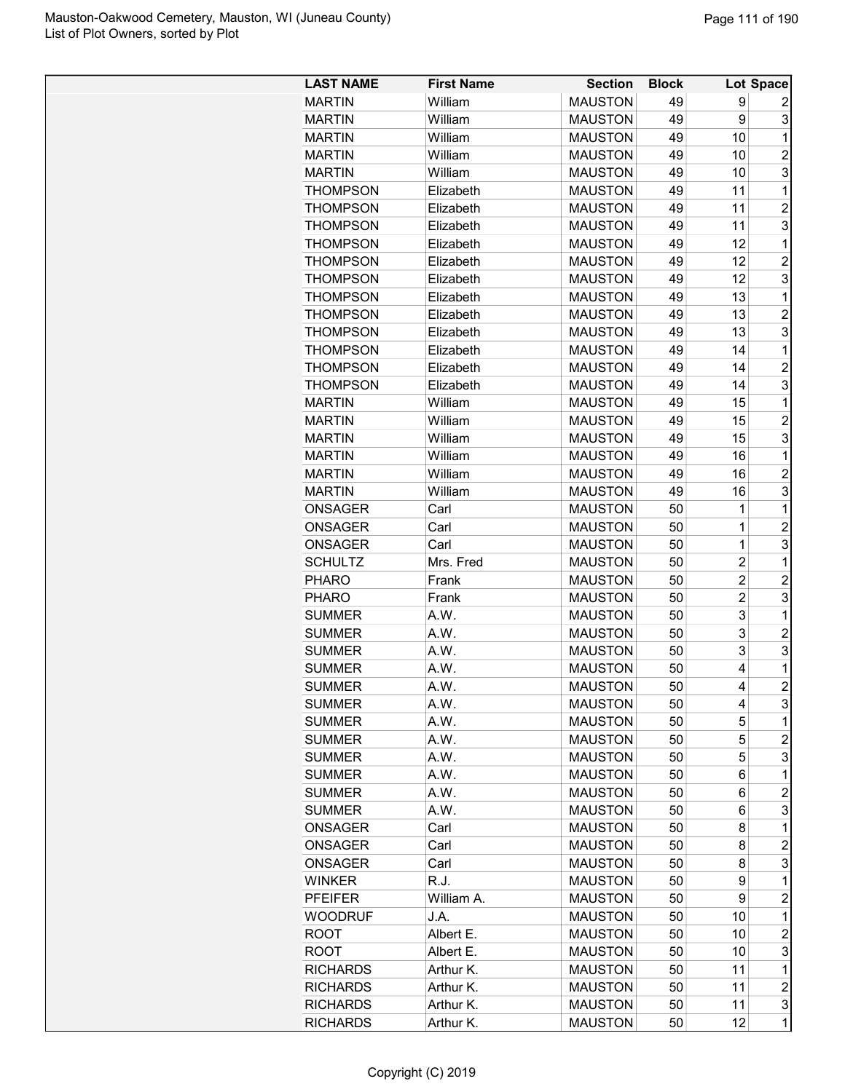| <b>LAST NAME</b>               | <b>First Name</b> | <b>Section</b>                   | <b>Block</b> |                | Lot Space           |
|--------------------------------|-------------------|----------------------------------|--------------|----------------|---------------------|
| <b>MARTIN</b>                  | William           | <b>MAUSTON</b>                   | 49           | 9              | 2                   |
| <b>MARTIN</b>                  | William           | <b>MAUSTON</b>                   | 49           | 9              | 3                   |
| <b>MARTIN</b>                  | William           | <b>MAUSTON</b>                   | 49           | 10             | 1                   |
| <b>MARTIN</b>                  | William           | <b>MAUSTON</b>                   | 49           | 10             | $\overline{2}$      |
| <b>MARTIN</b>                  | William           | <b>MAUSTON</b>                   | 49           | 10             | 3                   |
| <b>THOMPSON</b>                | Elizabeth         | <b>MAUSTON</b>                   | 49           | 11             | 1                   |
| <b>THOMPSON</b>                | Elizabeth         | <b>MAUSTON</b>                   | 49           | 11             | $\overline{2}$      |
| <b>THOMPSON</b>                | Elizabeth         | <b>MAUSTON</b>                   | 49           | 11             | 3                   |
| <b>THOMPSON</b>                | Elizabeth         | <b>MAUSTON</b>                   | 49           | 12             | 1                   |
| <b>THOMPSON</b>                | Elizabeth         | <b>MAUSTON</b>                   | 49           | 12             | $\overline{2}$      |
| <b>THOMPSON</b>                | Elizabeth         | <b>MAUSTON</b>                   | 49           | 12             | 3                   |
| <b>THOMPSON</b>                | Elizabeth         | <b>MAUSTON</b>                   | 49           | 13             | 1                   |
| <b>THOMPSON</b>                | Elizabeth         | <b>MAUSTON</b>                   | 49           | 13             | $\overline{c}$      |
| <b>THOMPSON</b>                | Elizabeth         | <b>MAUSTON</b>                   | 49           | 13             | 3                   |
| <b>THOMPSON</b>                | Elizabeth         | <b>MAUSTON</b>                   | 49           | 14             | 1                   |
| <b>THOMPSON</b>                | Elizabeth         | <b>MAUSTON</b>                   | 49           | 14             | $\overline{2}$      |
| THOMPSON                       | Elizabeth         | <b>MAUSTON</b>                   | 49           | 14             | 3                   |
| <b>MARTIN</b>                  | William           | <b>MAUSTON</b>                   | 49           | 15             | 1                   |
| <b>MARTIN</b>                  | William           | <b>MAUSTON</b>                   | 49           | 15             | $\overline{c}$      |
| <b>MARTIN</b>                  | William           | <b>MAUSTON</b>                   | 49           | 15             | 3                   |
| <b>MARTIN</b>                  | William           | <b>MAUSTON</b>                   | 49           | 16             | 1                   |
| <b>MARTIN</b>                  | William           | <b>MAUSTON</b>                   | 49           | 16             | $\overline{2}$      |
| <b>MARTIN</b>                  | William           | <b>MAUSTON</b>                   | 49           | 16             | 3                   |
| <b>ONSAGER</b>                 | Carl              | <b>MAUSTON</b>                   | 50           | 1              | 1                   |
| <b>ONSAGER</b>                 | Carl              | <b>MAUSTON</b>                   | 50           | 1              | $\overline{2}$      |
| <b>ONSAGER</b>                 | Carl              | <b>MAUSTON</b>                   | 50           | 1              | 3                   |
| <b>SCHULTZ</b>                 | Mrs. Fred         | <b>MAUSTON</b>                   | 50           | $\overline{c}$ | 1                   |
| <b>PHARO</b>                   | Frank             | <b>MAUSTON</b>                   | 50           | $\overline{c}$ | $\overline{2}$      |
| <b>PHARO</b>                   | Frank             | <b>MAUSTON</b>                   | 50           | $\overline{2}$ | 3                   |
| <b>SUMMER</b>                  | A.W.              | <b>MAUSTON</b>                   | 50           | 3              | 1                   |
| <b>SUMMER</b>                  | A.W.              | <b>MAUSTON</b>                   | 50           | 3              | $\overline{2}$      |
|                                | A.W.              |                                  |              | 3              | 3                   |
| <b>SUMMER</b><br><b>SUMMER</b> | A.W.              | <b>MAUSTON</b><br><b>MAUSTON</b> | 50<br>50     | 4              | 1                   |
| <b>SUMMER</b>                  | A.W.              | <b>MAUSTON</b>                   | 50           | 4              | $\overline{2}$      |
| <b>SUMMER</b>                  |                   | <b>MAUSTON</b>                   |              |                | 3                   |
|                                | A.W.<br>A.W.      |                                  | 50           | 4<br>5         | 1                   |
| <b>SUMMER</b>                  |                   | <b>MAUSTON</b>                   | 50           |                | $\overline{c}$      |
| <b>SUMMER</b><br><b>SUMMER</b> | A.W.              | <b>MAUSTON</b>                   | 50           | 5<br>5         | 3                   |
| <b>SUMMER</b>                  | A.W.              | <b>MAUSTON</b>                   | 50           |                |                     |
|                                | A.W.              | <b>MAUSTON</b><br><b>MAUSTON</b> | 50           | 6              | 1<br>$\overline{c}$ |
| <b>SUMMER</b>                  | A.W.<br>A.W.      | <b>MAUSTON</b>                   | 50<br>50     | 6<br>6         | 3                   |
| <b>SUMMER</b>                  |                   |                                  |              |                |                     |
| <b>ONSAGER</b>                 | Carl              | <b>MAUSTON</b>                   | 50           | 8              | 1<br>$\overline{c}$ |
| <b>ONSAGER</b>                 | Carl              | <b>MAUSTON</b>                   | 50           | 8              |                     |
| <b>ONSAGER</b>                 | Carl              | <b>MAUSTON</b>                   | 50           | 8              | 3                   |
| <b>WINKER</b>                  | R.J.              | <b>MAUSTON</b>                   | 50           | 9              | 1                   |
| <b>PFEIFER</b>                 | William A.        | <b>MAUSTON</b>                   | 50           | 9              | $\overline{c}$      |
| <b>WOODRUF</b>                 | J.A.              | <b>MAUSTON</b>                   | 50           | 10             | 1                   |
| <b>ROOT</b>                    | Albert E.         | <b>MAUSTON</b>                   | 50           | 10             | $\overline{c}$      |
| <b>ROOT</b>                    | Albert E.         | <b>MAUSTON</b>                   | 50           | 10             | 3                   |
| <b>RICHARDS</b>                | Arthur K.         | <b>MAUSTON</b>                   | 50           | 11             | $\mathbf 1$         |
| <b>RICHARDS</b>                | Arthur K.         | <b>MAUSTON</b>                   | 50           | 11             | $\overline{2}$      |
| <b>RICHARDS</b>                | Arthur K.         | <b>MAUSTON</b>                   | 50           | 11             | 3                   |
| <b>RICHARDS</b>                | Arthur K.         | <b>MAUSTON</b>                   | 50           | 12             | 1                   |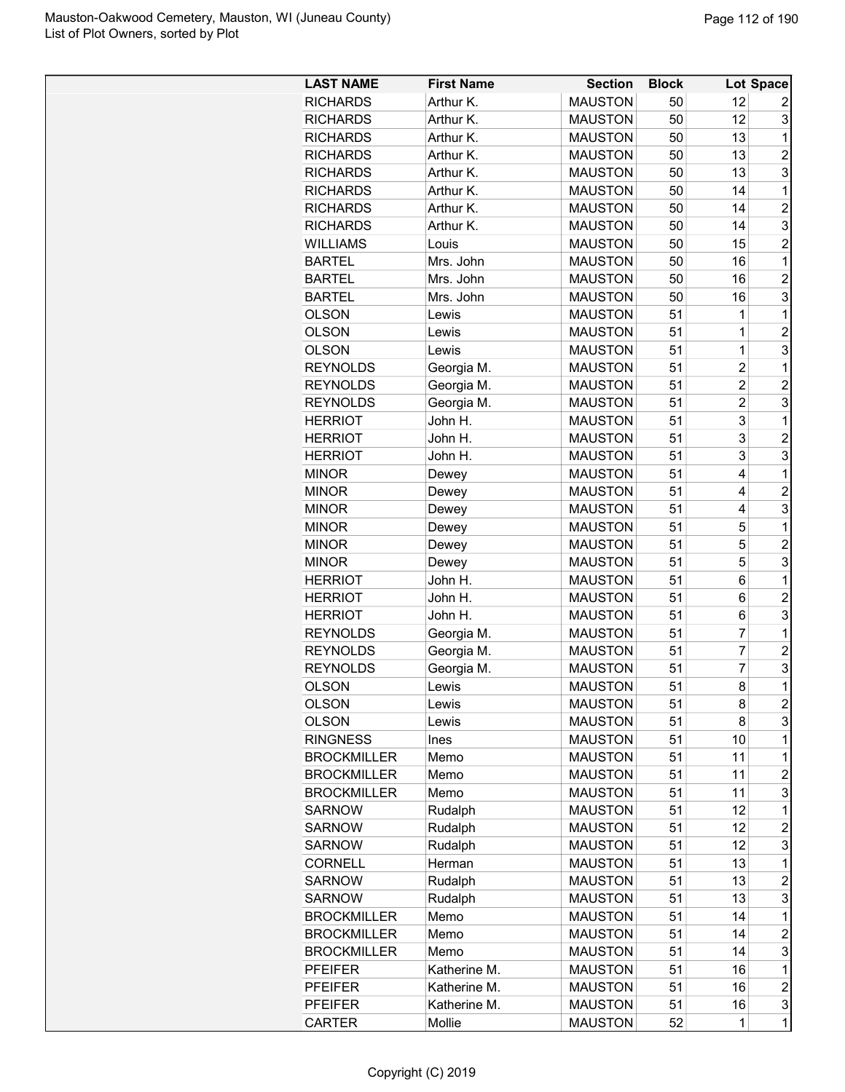| <b>LAST NAME</b>   | <b>First Name</b> | <b>Section</b> | <b>Block</b> |                | Lot Space               |
|--------------------|-------------------|----------------|--------------|----------------|-------------------------|
| <b>RICHARDS</b>    | Arthur K.         | <b>MAUSTON</b> | 50           | 12             | 2                       |
| <b>RICHARDS</b>    | Arthur K.         | <b>MAUSTON</b> | 50           | 12             | 3                       |
| <b>RICHARDS</b>    | Arthur K.         | <b>MAUSTON</b> | 50           | 13             | 1                       |
| <b>RICHARDS</b>    | Arthur K.         | <b>MAUSTON</b> | 50           | 13             | $\overline{2}$          |
| <b>RICHARDS</b>    | Arthur K.         | <b>MAUSTON</b> | 50           | 13             | 3                       |
| <b>RICHARDS</b>    | Arthur K.         | <b>MAUSTON</b> | 50           | 14             | 1                       |
| <b>RICHARDS</b>    | Arthur K.         | <b>MAUSTON</b> | 50           | 14             | $\overline{c}$          |
| <b>RICHARDS</b>    | Arthur K.         | <b>MAUSTON</b> | 50           | 14             | 3                       |
| <b>WILLIAMS</b>    | Louis             | <b>MAUSTON</b> | 50           | 15             | $\overline{2}$          |
| <b>BARTEL</b>      | Mrs. John         | <b>MAUSTON</b> | 50           | 16             | $\mathbf 1$             |
| <b>BARTEL</b>      | Mrs. John         | <b>MAUSTON</b> | 50           | 16             | $\overline{2}$          |
| <b>BARTEL</b>      | Mrs. John         | <b>MAUSTON</b> | 50           | 16             | 3                       |
| <b>OLSON</b>       | Lewis             | <b>MAUSTON</b> | 51           | 1              | 1                       |
| <b>OLSON</b>       | Lewis             | <b>MAUSTON</b> | 51           | 1              | $\overline{c}$          |
| <b>OLSON</b>       | Lewis             | <b>MAUSTON</b> | 51           | $\overline{1}$ | 3                       |
| <b>REYNOLDS</b>    | Georgia M.        | <b>MAUSTON</b> | 51           | $\overline{2}$ | 1                       |
| <b>REYNOLDS</b>    | Georgia M.        | <b>MAUSTON</b> | 51           | $\overline{2}$ | $\overline{c}$          |
| <b>REYNOLDS</b>    | Georgia M.        | <b>MAUSTON</b> | 51           | $\overline{2}$ | 3                       |
| <b>HERRIOT</b>     | John H.           | <b>MAUSTON</b> | 51           | 3              | 1                       |
| <b>HERRIOT</b>     | John H.           | <b>MAUSTON</b> | 51           | 3              | $\overline{2}$          |
| <b>HERRIOT</b>     | John H.           | <b>MAUSTON</b> | 51           | 3              | 3                       |
| <b>MINOR</b>       | Dewey             | <b>MAUSTON</b> | 51           | 4              | 1                       |
| <b>MINOR</b>       | Dewey             | <b>MAUSTON</b> | 51           | 4              | $\overline{2}$          |
| <b>MINOR</b>       | Dewey             | <b>MAUSTON</b> | 51           | 4              | 3                       |
| <b>MINOR</b>       | Dewey             | <b>MAUSTON</b> | 51           | 5              | 1                       |
| <b>MINOR</b>       | Dewey             | <b>MAUSTON</b> | 51           | 5              | $\overline{c}$          |
| <b>MINOR</b>       | Dewey             | <b>MAUSTON</b> | 51           | 5              | 3                       |
| <b>HERRIOT</b>     | John H.           | <b>MAUSTON</b> | 51           | 6              | 1                       |
| <b>HERRIOT</b>     | John H.           | <b>MAUSTON</b> | 51           | 6              | $\overline{c}$          |
| <b>HERRIOT</b>     | John H.           | <b>MAUSTON</b> | 51           | 6              | 3                       |
| <b>REYNOLDS</b>    | Georgia M.        | <b>MAUSTON</b> | 51           | 7              | 1                       |
| <b>REYNOLDS</b>    | Georgia M.        | <b>MAUSTON</b> | 51           | $\overline{7}$ | $\overline{c}$          |
| <b>REYNOLDS</b>    | Georgia M.        | <b>MAUSTON</b> | 51           | $\overline{7}$ | 3                       |
| <b>OLSON</b>       | Lewis             | <b>MAUSTON</b> | 51           | 8              | $\mathbf 1$             |
| <b>OLSON</b>       | Lewis             | <b>MAUSTON</b> | 51           | 8              | $\overline{c}$          |
| <b>OLSON</b>       | Lewis             | <b>MAUSTON</b> | 51           | 8              | 3                       |
| <b>RINGNESS</b>    | Ines              | <b>MAUSTON</b> | 51           | 10             | 1                       |
| <b>BROCKMILLER</b> | Memo              | <b>MAUSTON</b> | 51           | 11             | $\mathbf 1$             |
| <b>BROCKMILLER</b> | Memo              | <b>MAUSTON</b> | 51           | 11             | $\overline{c}$          |
| <b>BROCKMILLER</b> | Memo              | <b>MAUSTON</b> | 51           | 11             | 3                       |
| <b>SARNOW</b>      | Rudalph           | <b>MAUSTON</b> | 51           | 12             | 1                       |
| <b>SARNOW</b>      | Rudalph           | <b>MAUSTON</b> | 51           | 12             | $\overline{c}$          |
| SARNOW             | Rudalph           | <b>MAUSTON</b> | 51           | 12             | 3                       |
| <b>CORNELL</b>     | Herman            | <b>MAUSTON</b> | 51           | 13             | $\mathbf 1$             |
| <b>SARNOW</b>      | Rudalph           | <b>MAUSTON</b> | 51           | 13             | $\overline{c}$          |
| <b>SARNOW</b>      | Rudalph           | <b>MAUSTON</b> | 51           | 13             | 3                       |
| <b>BROCKMILLER</b> | Memo              | <b>MAUSTON</b> | 51           | 14             | 1                       |
| <b>BROCKMILLER</b> | Memo              | <b>MAUSTON</b> | 51           | 14             | $\overline{c}$          |
| <b>BROCKMILLER</b> | Memo              | <b>MAUSTON</b> | 51           | 14             | 3                       |
| <b>PFEIFER</b>     | Katherine M.      | <b>MAUSTON</b> | 51           | 16             | 1                       |
| <b>PFEIFER</b>     | Katherine M.      | <b>MAUSTON</b> | 51           | 16             | $\overline{\mathbf{c}}$ |
| <b>PFEIFER</b>     | Katherine M.      | <b>MAUSTON</b> | 51           | 16             | 3                       |
| <b>CARTER</b>      | Mollie            | <b>MAUSTON</b> | 52           | 1              | $\mathbf 1$             |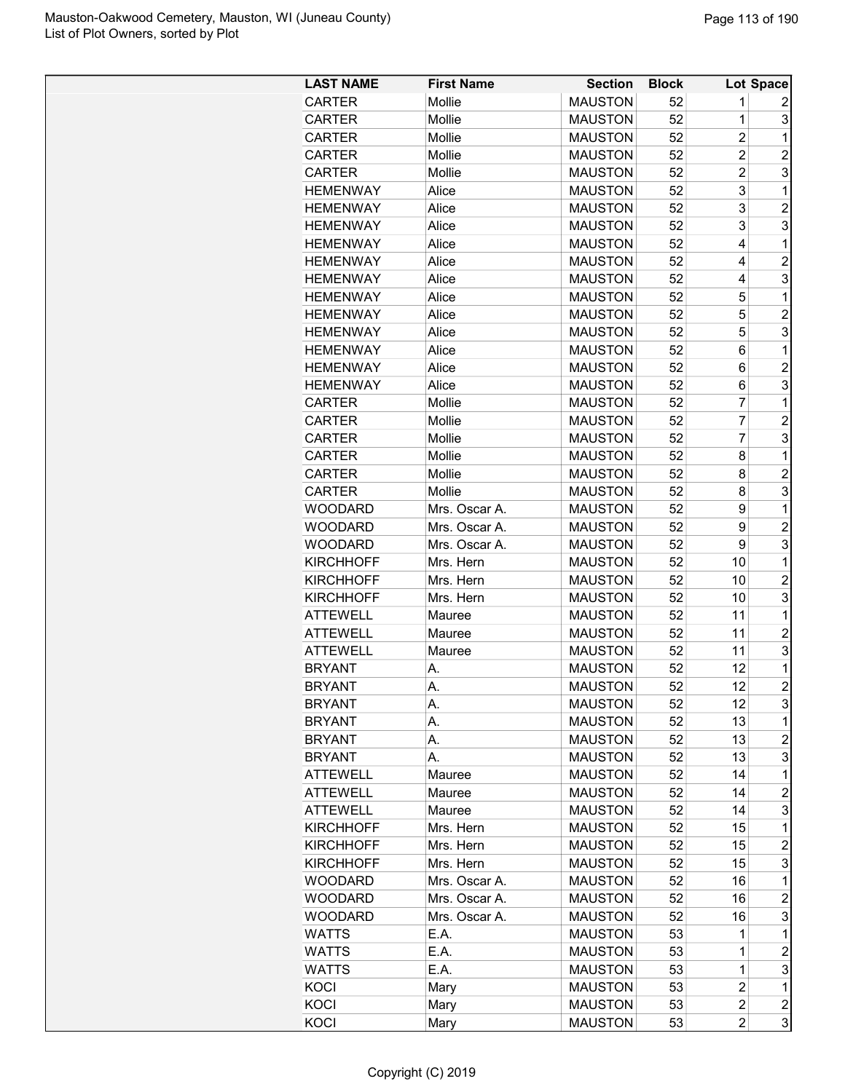| <b>LAST NAME</b> | <b>First Name</b> | <b>Section</b> | <b>Block</b> |                | Lot Space      |
|------------------|-------------------|----------------|--------------|----------------|----------------|
| <b>CARTER</b>    | Mollie            | <b>MAUSTON</b> | 52           | 1              | 2              |
| <b>CARTER</b>    | Mollie            | <b>MAUSTON</b> | 52           | 1              | 3              |
| <b>CARTER</b>    | Mollie            | <b>MAUSTON</b> | 52           | $\overline{c}$ | 1              |
| <b>CARTER</b>    | Mollie            | <b>MAUSTON</b> | 52           | $\overline{2}$ | $\overline{2}$ |
| <b>CARTER</b>    | Mollie            | <b>MAUSTON</b> | 52           | $\overline{c}$ | 3              |
| <b>HEMENWAY</b>  | Alice             | <b>MAUSTON</b> | 52           | 3              | 1              |
| <b>HEMENWAY</b>  | Alice             | <b>MAUSTON</b> | 52           | 3              | $\overline{2}$ |
| <b>HEMENWAY</b>  | Alice             | <b>MAUSTON</b> | 52           | 3              | 3              |
| <b>HEMENWAY</b>  | Alice             | <b>MAUSTON</b> | 52           | 4              | $\mathbf{1}$   |
| <b>HEMENWAY</b>  | Alice             | <b>MAUSTON</b> | 52           | 4              | $\overline{2}$ |
| <b>HEMENWAY</b>  | Alice             | <b>MAUSTON</b> | 52           | 4              | 3              |
| <b>HEMENWAY</b>  | Alice             | <b>MAUSTON</b> | 52           | 5              | 1              |
| <b>HEMENWAY</b>  | Alice             | <b>MAUSTON</b> | 52           | 5              | $\overline{c}$ |
| <b>HEMENWAY</b>  | Alice             | <b>MAUSTON</b> | 52           | 5              | 3              |
| <b>HEMENWAY</b>  | Alice             | <b>MAUSTON</b> | 52           | 6              | 1              |
| <b>HEMENWAY</b>  | Alice             | <b>MAUSTON</b> | 52           | 6              | $\overline{c}$ |
| <b>HEMENWAY</b>  | Alice             | <b>MAUSTON</b> | 52           | 6              | 3              |
| <b>CARTER</b>    | Mollie            | <b>MAUSTON</b> | 52           | 7              | 1              |
| <b>CARTER</b>    | Mollie            | <b>MAUSTON</b> | 52           | 7              | $\overline{2}$ |
| <b>CARTER</b>    | Mollie            | <b>MAUSTON</b> | 52           | 7              | 3              |
| <b>CARTER</b>    | Mollie            | <b>MAUSTON</b> | 52           | 8              | 1              |
| <b>CARTER</b>    | Mollie            | <b>MAUSTON</b> | 52           | 8              | $\overline{c}$ |
| <b>CARTER</b>    | Mollie            | <b>MAUSTON</b> | 52           | 8              | 3              |
| <b>WOODARD</b>   | Mrs. Oscar A.     | <b>MAUSTON</b> | 52           | 9              | 1              |
|                  |                   |                |              |                | $\overline{2}$ |
| WOODARD          | Mrs. Oscar A.     | <b>MAUSTON</b> | 52           | 9<br>9         | 3              |
| WOODARD          | Mrs. Oscar A.     | <b>MAUSTON</b> | 52           |                |                |
| <b>KIRCHHOFF</b> | Mrs. Hern         | <b>MAUSTON</b> | 52           | 10             | 1              |
| <b>KIRCHHOFF</b> | Mrs. Hern         | <b>MAUSTON</b> | 52           | 10             | $\overline{c}$ |
| <b>KIRCHHOFF</b> | Mrs. Hern         | <b>MAUSTON</b> | 52           | 10             | 3              |
| <b>ATTEWELL</b>  | Mauree            | <b>MAUSTON</b> | 52           | 11             | 1              |
| <b>ATTEWELL</b>  | Mauree            | <b>MAUSTON</b> | 52           | 11             | $\overline{c}$ |
| <b>ATTEWELL</b>  | Mauree            | <b>MAUSTON</b> | 52           | 11             | 3              |
| <b>BRYANT</b>    | А.                | <b>MAUSTON</b> | 52           | 12             | 1              |
| <b>BRYANT</b>    | А.                | <b>MAUSTON</b> | 52           | 12             | $\overline{c}$ |
| <b>BRYANT</b>    | А.                | <b>MAUSTON</b> | 52           | 12             | 3              |
| <b>BRYANT</b>    | А.                | <b>MAUSTON</b> | 52           | 13             | 1              |
| <b>BRYANT</b>    | А.                | <b>MAUSTON</b> | 52           | 13             | $\overline{c}$ |
| <b>BRYANT</b>    | А.                | <b>MAUSTON</b> | 52           | 13             | 3              |
| <b>ATTEWELL</b>  | Mauree            | <b>MAUSTON</b> | 52           | 14             | 1              |
| <b>ATTEWELL</b>  | Mauree            | <b>MAUSTON</b> | 52           | 14             | $\overline{2}$ |
| <b>ATTEWELL</b>  | Mauree            | <b>MAUSTON</b> | 52           | 14             | 3              |
| <b>KIRCHHOFF</b> | Mrs. Hern         | <b>MAUSTON</b> | 52           | 15             | 1              |
| <b>KIRCHHOFF</b> | Mrs. Hern         | <b>MAUSTON</b> | 52           | 15             | $\overline{c}$ |
| <b>KIRCHHOFF</b> | Mrs. Hern         | <b>MAUSTON</b> | 52           | 15             | 3              |
| WOODARD          | Mrs. Oscar A.     | <b>MAUSTON</b> | 52           | 16             | 1              |
| <b>WOODARD</b>   | Mrs. Oscar A.     | <b>MAUSTON</b> | 52           | 16             | $\overline{c}$ |
| WOODARD          | Mrs. Oscar A.     | <b>MAUSTON</b> | 52           | 16             | 3              |
| WATTS            | E.A.              | <b>MAUSTON</b> | 53           | 1              | 1              |
| <b>WATTS</b>     | E.A.              | <b>MAUSTON</b> | 53           | $\mathbf 1$    | $\overline{c}$ |
| <b>WATTS</b>     | E.A.              | <b>MAUSTON</b> | 53           | 1              | 3              |
| KOCI             | Mary              | <b>MAUSTON</b> | 53           | $\overline{c}$ | 1              |
| <b>KOCI</b>      | Mary              | <b>MAUSTON</b> | 53           | $\overline{c}$ | $\overline{c}$ |
| KOCI             | Mary              | <b>MAUSTON</b> | 53           | $\overline{2}$ | 3              |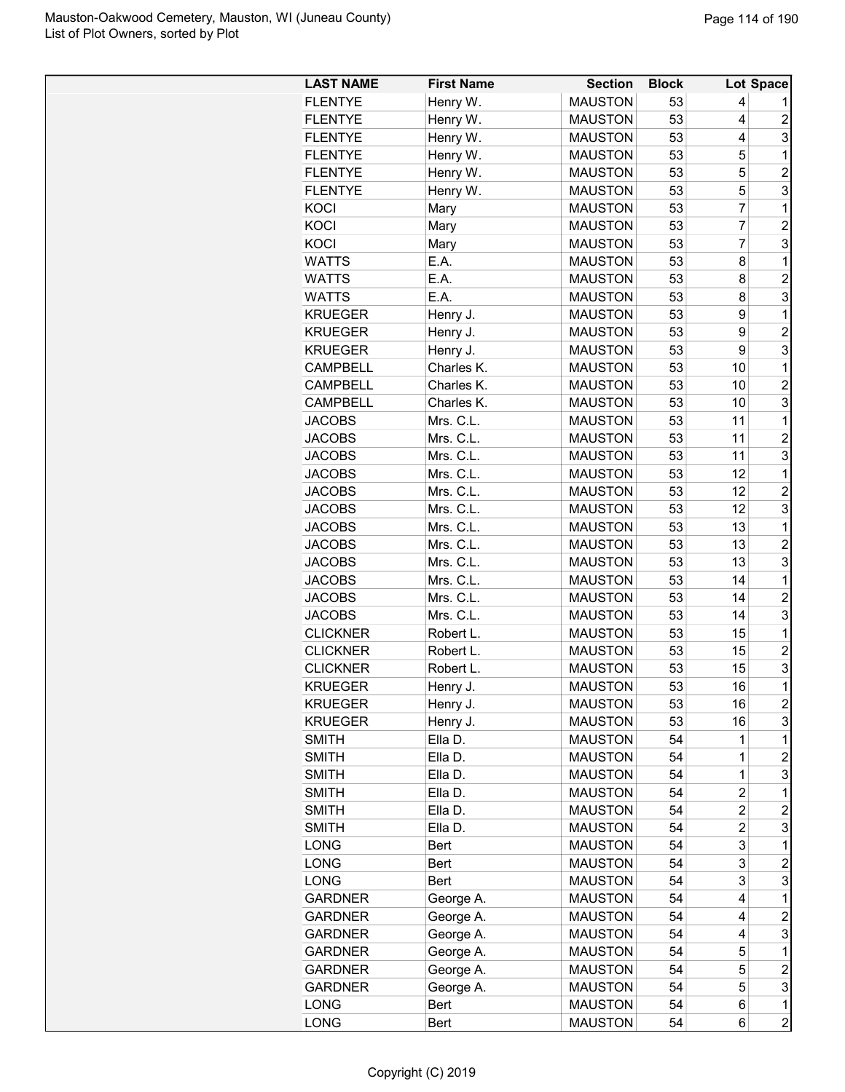| <b>MAUSTON</b><br><b>FLENTYE</b><br>Henry W.<br>53<br>4<br>Henry W.<br><b>MAUSTON</b><br><b>FLENTYE</b><br>53<br>4<br>$\overline{c}$<br>Henry W.<br>3<br><b>FLENTYE</b><br><b>MAUSTON</b><br>53<br>4<br><b>FLENTYE</b><br>Henry W.<br><b>MAUSTON</b><br>53<br>5<br>$\mathbf{1}$<br><b>MAUSTON</b><br>53<br>5<br>$\overline{2}$<br><b>FLENTYE</b><br>Henry W.<br>3<br>Henry W.<br><b>MAUSTON</b><br>53<br>5<br><b>FLENTYE</b><br>53<br>$\overline{7}$<br>$\mathbf{1}$<br><b>MAUSTON</b><br>KOCI<br>Mary<br>$\overline{7}$<br>$\overline{2}$<br>53<br>KOCI<br><b>MAUSTON</b><br>Mary<br>$\overline{7}$<br>3<br>KOCI<br><b>MAUSTON</b><br>53<br>Mary<br>E.A.<br><b>WATTS</b><br><b>MAUSTON</b><br>53<br>8<br>1<br>E.A.<br>$\overline{2}$<br><b>MAUSTON</b><br>53<br><b>WATTS</b><br>8<br>3<br><b>WATTS</b><br>E.A.<br><b>MAUSTON</b><br>53<br>8<br>53<br><b>KRUEGER</b><br>Henry J.<br><b>MAUSTON</b><br>9<br>$\mathbf{1}$<br>$\overline{2}$<br>53<br><b>KRUEGER</b><br>Henry J.<br><b>MAUSTON</b><br>9<br>3<br>9<br><b>KRUEGER</b><br>Henry J.<br><b>MAUSTON</b><br>53<br>10<br>$\mathbf 1$<br><b>CAMPBELL</b><br>Charles K.<br><b>MAUSTON</b><br>53<br>10<br>$\overline{c}$<br><b>CAMPBELL</b><br>Charles K.<br><b>MAUSTON</b><br>53<br>3<br><b>CAMPBELL</b><br>Charles K.<br><b>MAUSTON</b><br>53<br>10<br><b>JACOBS</b><br>Mrs. C.L.<br><b>MAUSTON</b><br>53<br>11<br>1<br>Mrs. C.L.<br><b>MAUSTON</b><br>53<br>$\overline{c}$<br><b>JACOBS</b><br>11<br>3<br>Mrs. C.L.<br>53<br>11<br><b>JACOBS</b><br><b>MAUSTON</b><br>Mrs. C.L.<br>53<br>12<br><b>JACOBS</b><br><b>MAUSTON</b><br>$\mathbf{1}$<br>Mrs. C.L.<br>12<br>$\overline{c}$<br><b>JACOBS</b><br><b>MAUSTON</b><br>53<br>3<br>Mrs. C.L.<br>53<br>12<br><b>JACOBS</b><br><b>MAUSTON</b><br>$\mathbf{1}$<br>Mrs. C.L.<br><b>MAUSTON</b><br>53<br>13<br><b>JACOBS</b><br><b>JACOBS</b><br>Mrs. C.L.<br><b>MAUSTON</b><br>53<br>13<br>$\overline{c}$<br><b>JACOBS</b><br>Mrs. C.L.<br><b>MAUSTON</b><br>53<br>13<br>3<br>Mrs. C.L.<br>53<br><b>JACOBS</b><br><b>MAUSTON</b><br>14<br>1<br>$\overline{c}$<br><b>JACOBS</b><br>Mrs. C.L.<br>53<br>14<br><b>MAUSTON</b><br>3<br>Mrs. C.L.<br>53<br>14<br><b>JACOBS</b><br><b>MAUSTON</b><br><b>MAUSTON</b><br>53<br>15<br>$\mathbf 1$<br><b>CLICKNER</b><br>Robert L.<br>$\overline{2}$<br><b>CLICKNER</b><br><b>MAUSTON</b><br>53<br>15<br>Robert L.<br>3<br><b>CLICKNER</b><br><b>MAUSTON</b><br>53<br>15<br>Robert L.<br>53<br>$\mathbf{1}$<br>16<br><b>KRUEGER</b><br><b>MAUSTON</b><br>Henry J.<br>$\overline{c}$<br><b>KRUEGER</b><br>Henry J.<br><b>MAUSTON</b><br>53<br>16<br>3<br>53<br>16<br><b>KRUEGER</b><br>Henry J.<br><b>MAUSTON</b><br>$\mathbf 1$<br><b>SMITH</b><br>Ella D.<br><b>MAUSTON</b><br>54<br>1<br>$\overline{c}$<br>54<br>1<br><b>SMITH</b><br>Ella D.<br><b>MAUSTON</b><br><b>MAUSTON</b><br>54<br>$\mathbf 1$<br>3<br><b>SMITH</b><br>Ella D.<br><b>SMITH</b><br><b>MAUSTON</b><br>54<br>$\overline{c}$<br>Ella D.<br>1<br><b>SMITH</b><br>Ella D.<br><b>MAUSTON</b><br>54<br>$\overline{c}$<br>2<br>3<br><b>SMITH</b><br>Ella D.<br><b>MAUSTON</b><br>54<br>$\overline{c}$<br>3<br>54<br>1<br>LONG<br>Bert<br><b>MAUSTON</b><br>3<br>LONG<br><b>MAUSTON</b><br>54<br>$\overline{c}$<br>Bert<br>3<br>3<br>LONG<br><b>MAUSTON</b><br><b>Bert</b><br>54<br><b>GARDNER</b><br>George A.<br><b>MAUSTON</b><br>54<br>4<br>1<br><b>MAUSTON</b><br>54<br>$\boldsymbol{2}$<br><b>GARDNER</b><br>George A.<br>4<br><b>GARDNER</b><br>George A.<br><b>MAUSTON</b><br>54<br>3<br>4<br><b>GARDNER</b><br>George A.<br><b>MAUSTON</b><br>54<br>1<br>5<br>$\overline{c}$<br>George A.<br>54<br>5<br><b>GARDNER</b><br><b>MAUSTON</b><br>5<br>3<br>54<br><b>GARDNER</b><br>George A.<br><b>MAUSTON</b><br>LONG<br><b>MAUSTON</b><br>54<br>$\mathbf 1$<br>Bert<br>6 | <b>LAST NAME</b> | <b>First Name</b> | <b>Section</b> | <b>Block</b> |   | Lot Space      |
|----------------------------------------------------------------------------------------------------------------------------------------------------------------------------------------------------------------------------------------------------------------------------------------------------------------------------------------------------------------------------------------------------------------------------------------------------------------------------------------------------------------------------------------------------------------------------------------------------------------------------------------------------------------------------------------------------------------------------------------------------------------------------------------------------------------------------------------------------------------------------------------------------------------------------------------------------------------------------------------------------------------------------------------------------------------------------------------------------------------------------------------------------------------------------------------------------------------------------------------------------------------------------------------------------------------------------------------------------------------------------------------------------------------------------------------------------------------------------------------------------------------------------------------------------------------------------------------------------------------------------------------------------------------------------------------------------------------------------------------------------------------------------------------------------------------------------------------------------------------------------------------------------------------------------------------------------------------------------------------------------------------------------------------------------------------------------------------------------------------------------------------------------------------------------------------------------------------------------------------------------------------------------------------------------------------------------------------------------------------------------------------------------------------------------------------------------------------------------------------------------------------------------------------------------------------------------------------------------------------------------------------------------------------------------------------------------------------------------------------------------------------------------------------------------------------------------------------------------------------------------------------------------------------------------------------------------------------------------------------------------------------------------------------------------------------------------------------------------------------------------------------------------------------------------------------------------------------------------------------------------------------------------------------------------------------------------------------------------------------------------------------------------------------------------------------------------------------------------------------------------------------------------------------------------------------------------------------------------------------------------------------------------------------------------------------------------------------------------------------------------------------------------------------|------------------|-------------------|----------------|--------------|---|----------------|
|                                                                                                                                                                                                                                                                                                                                                                                                                                                                                                                                                                                                                                                                                                                                                                                                                                                                                                                                                                                                                                                                                                                                                                                                                                                                                                                                                                                                                                                                                                                                                                                                                                                                                                                                                                                                                                                                                                                                                                                                                                                                                                                                                                                                                                                                                                                                                                                                                                                                                                                                                                                                                                                                                                                                                                                                                                                                                                                                                                                                                                                                                                                                                                                                                                                                                                                                                                                                                                                                                                                                                                                                                                                                                                                                                                                        |                  |                   |                |              |   |                |
|                                                                                                                                                                                                                                                                                                                                                                                                                                                                                                                                                                                                                                                                                                                                                                                                                                                                                                                                                                                                                                                                                                                                                                                                                                                                                                                                                                                                                                                                                                                                                                                                                                                                                                                                                                                                                                                                                                                                                                                                                                                                                                                                                                                                                                                                                                                                                                                                                                                                                                                                                                                                                                                                                                                                                                                                                                                                                                                                                                                                                                                                                                                                                                                                                                                                                                                                                                                                                                                                                                                                                                                                                                                                                                                                                                                        |                  |                   |                |              |   |                |
|                                                                                                                                                                                                                                                                                                                                                                                                                                                                                                                                                                                                                                                                                                                                                                                                                                                                                                                                                                                                                                                                                                                                                                                                                                                                                                                                                                                                                                                                                                                                                                                                                                                                                                                                                                                                                                                                                                                                                                                                                                                                                                                                                                                                                                                                                                                                                                                                                                                                                                                                                                                                                                                                                                                                                                                                                                                                                                                                                                                                                                                                                                                                                                                                                                                                                                                                                                                                                                                                                                                                                                                                                                                                                                                                                                                        |                  |                   |                |              |   |                |
|                                                                                                                                                                                                                                                                                                                                                                                                                                                                                                                                                                                                                                                                                                                                                                                                                                                                                                                                                                                                                                                                                                                                                                                                                                                                                                                                                                                                                                                                                                                                                                                                                                                                                                                                                                                                                                                                                                                                                                                                                                                                                                                                                                                                                                                                                                                                                                                                                                                                                                                                                                                                                                                                                                                                                                                                                                                                                                                                                                                                                                                                                                                                                                                                                                                                                                                                                                                                                                                                                                                                                                                                                                                                                                                                                                                        |                  |                   |                |              |   |                |
|                                                                                                                                                                                                                                                                                                                                                                                                                                                                                                                                                                                                                                                                                                                                                                                                                                                                                                                                                                                                                                                                                                                                                                                                                                                                                                                                                                                                                                                                                                                                                                                                                                                                                                                                                                                                                                                                                                                                                                                                                                                                                                                                                                                                                                                                                                                                                                                                                                                                                                                                                                                                                                                                                                                                                                                                                                                                                                                                                                                                                                                                                                                                                                                                                                                                                                                                                                                                                                                                                                                                                                                                                                                                                                                                                                                        |                  |                   |                |              |   |                |
|                                                                                                                                                                                                                                                                                                                                                                                                                                                                                                                                                                                                                                                                                                                                                                                                                                                                                                                                                                                                                                                                                                                                                                                                                                                                                                                                                                                                                                                                                                                                                                                                                                                                                                                                                                                                                                                                                                                                                                                                                                                                                                                                                                                                                                                                                                                                                                                                                                                                                                                                                                                                                                                                                                                                                                                                                                                                                                                                                                                                                                                                                                                                                                                                                                                                                                                                                                                                                                                                                                                                                                                                                                                                                                                                                                                        |                  |                   |                |              |   |                |
|                                                                                                                                                                                                                                                                                                                                                                                                                                                                                                                                                                                                                                                                                                                                                                                                                                                                                                                                                                                                                                                                                                                                                                                                                                                                                                                                                                                                                                                                                                                                                                                                                                                                                                                                                                                                                                                                                                                                                                                                                                                                                                                                                                                                                                                                                                                                                                                                                                                                                                                                                                                                                                                                                                                                                                                                                                                                                                                                                                                                                                                                                                                                                                                                                                                                                                                                                                                                                                                                                                                                                                                                                                                                                                                                                                                        |                  |                   |                |              |   |                |
|                                                                                                                                                                                                                                                                                                                                                                                                                                                                                                                                                                                                                                                                                                                                                                                                                                                                                                                                                                                                                                                                                                                                                                                                                                                                                                                                                                                                                                                                                                                                                                                                                                                                                                                                                                                                                                                                                                                                                                                                                                                                                                                                                                                                                                                                                                                                                                                                                                                                                                                                                                                                                                                                                                                                                                                                                                                                                                                                                                                                                                                                                                                                                                                                                                                                                                                                                                                                                                                                                                                                                                                                                                                                                                                                                                                        |                  |                   |                |              |   |                |
|                                                                                                                                                                                                                                                                                                                                                                                                                                                                                                                                                                                                                                                                                                                                                                                                                                                                                                                                                                                                                                                                                                                                                                                                                                                                                                                                                                                                                                                                                                                                                                                                                                                                                                                                                                                                                                                                                                                                                                                                                                                                                                                                                                                                                                                                                                                                                                                                                                                                                                                                                                                                                                                                                                                                                                                                                                                                                                                                                                                                                                                                                                                                                                                                                                                                                                                                                                                                                                                                                                                                                                                                                                                                                                                                                                                        |                  |                   |                |              |   |                |
|                                                                                                                                                                                                                                                                                                                                                                                                                                                                                                                                                                                                                                                                                                                                                                                                                                                                                                                                                                                                                                                                                                                                                                                                                                                                                                                                                                                                                                                                                                                                                                                                                                                                                                                                                                                                                                                                                                                                                                                                                                                                                                                                                                                                                                                                                                                                                                                                                                                                                                                                                                                                                                                                                                                                                                                                                                                                                                                                                                                                                                                                                                                                                                                                                                                                                                                                                                                                                                                                                                                                                                                                                                                                                                                                                                                        |                  |                   |                |              |   |                |
|                                                                                                                                                                                                                                                                                                                                                                                                                                                                                                                                                                                                                                                                                                                                                                                                                                                                                                                                                                                                                                                                                                                                                                                                                                                                                                                                                                                                                                                                                                                                                                                                                                                                                                                                                                                                                                                                                                                                                                                                                                                                                                                                                                                                                                                                                                                                                                                                                                                                                                                                                                                                                                                                                                                                                                                                                                                                                                                                                                                                                                                                                                                                                                                                                                                                                                                                                                                                                                                                                                                                                                                                                                                                                                                                                                                        |                  |                   |                |              |   |                |
|                                                                                                                                                                                                                                                                                                                                                                                                                                                                                                                                                                                                                                                                                                                                                                                                                                                                                                                                                                                                                                                                                                                                                                                                                                                                                                                                                                                                                                                                                                                                                                                                                                                                                                                                                                                                                                                                                                                                                                                                                                                                                                                                                                                                                                                                                                                                                                                                                                                                                                                                                                                                                                                                                                                                                                                                                                                                                                                                                                                                                                                                                                                                                                                                                                                                                                                                                                                                                                                                                                                                                                                                                                                                                                                                                                                        |                  |                   |                |              |   |                |
|                                                                                                                                                                                                                                                                                                                                                                                                                                                                                                                                                                                                                                                                                                                                                                                                                                                                                                                                                                                                                                                                                                                                                                                                                                                                                                                                                                                                                                                                                                                                                                                                                                                                                                                                                                                                                                                                                                                                                                                                                                                                                                                                                                                                                                                                                                                                                                                                                                                                                                                                                                                                                                                                                                                                                                                                                                                                                                                                                                                                                                                                                                                                                                                                                                                                                                                                                                                                                                                                                                                                                                                                                                                                                                                                                                                        |                  |                   |                |              |   |                |
|                                                                                                                                                                                                                                                                                                                                                                                                                                                                                                                                                                                                                                                                                                                                                                                                                                                                                                                                                                                                                                                                                                                                                                                                                                                                                                                                                                                                                                                                                                                                                                                                                                                                                                                                                                                                                                                                                                                                                                                                                                                                                                                                                                                                                                                                                                                                                                                                                                                                                                                                                                                                                                                                                                                                                                                                                                                                                                                                                                                                                                                                                                                                                                                                                                                                                                                                                                                                                                                                                                                                                                                                                                                                                                                                                                                        |                  |                   |                |              |   |                |
|                                                                                                                                                                                                                                                                                                                                                                                                                                                                                                                                                                                                                                                                                                                                                                                                                                                                                                                                                                                                                                                                                                                                                                                                                                                                                                                                                                                                                                                                                                                                                                                                                                                                                                                                                                                                                                                                                                                                                                                                                                                                                                                                                                                                                                                                                                                                                                                                                                                                                                                                                                                                                                                                                                                                                                                                                                                                                                                                                                                                                                                                                                                                                                                                                                                                                                                                                                                                                                                                                                                                                                                                                                                                                                                                                                                        |                  |                   |                |              |   |                |
|                                                                                                                                                                                                                                                                                                                                                                                                                                                                                                                                                                                                                                                                                                                                                                                                                                                                                                                                                                                                                                                                                                                                                                                                                                                                                                                                                                                                                                                                                                                                                                                                                                                                                                                                                                                                                                                                                                                                                                                                                                                                                                                                                                                                                                                                                                                                                                                                                                                                                                                                                                                                                                                                                                                                                                                                                                                                                                                                                                                                                                                                                                                                                                                                                                                                                                                                                                                                                                                                                                                                                                                                                                                                                                                                                                                        |                  |                   |                |              |   |                |
|                                                                                                                                                                                                                                                                                                                                                                                                                                                                                                                                                                                                                                                                                                                                                                                                                                                                                                                                                                                                                                                                                                                                                                                                                                                                                                                                                                                                                                                                                                                                                                                                                                                                                                                                                                                                                                                                                                                                                                                                                                                                                                                                                                                                                                                                                                                                                                                                                                                                                                                                                                                                                                                                                                                                                                                                                                                                                                                                                                                                                                                                                                                                                                                                                                                                                                                                                                                                                                                                                                                                                                                                                                                                                                                                                                                        |                  |                   |                |              |   |                |
|                                                                                                                                                                                                                                                                                                                                                                                                                                                                                                                                                                                                                                                                                                                                                                                                                                                                                                                                                                                                                                                                                                                                                                                                                                                                                                                                                                                                                                                                                                                                                                                                                                                                                                                                                                                                                                                                                                                                                                                                                                                                                                                                                                                                                                                                                                                                                                                                                                                                                                                                                                                                                                                                                                                                                                                                                                                                                                                                                                                                                                                                                                                                                                                                                                                                                                                                                                                                                                                                                                                                                                                                                                                                                                                                                                                        |                  |                   |                |              |   |                |
|                                                                                                                                                                                                                                                                                                                                                                                                                                                                                                                                                                                                                                                                                                                                                                                                                                                                                                                                                                                                                                                                                                                                                                                                                                                                                                                                                                                                                                                                                                                                                                                                                                                                                                                                                                                                                                                                                                                                                                                                                                                                                                                                                                                                                                                                                                                                                                                                                                                                                                                                                                                                                                                                                                                                                                                                                                                                                                                                                                                                                                                                                                                                                                                                                                                                                                                                                                                                                                                                                                                                                                                                                                                                                                                                                                                        |                  |                   |                |              |   |                |
|                                                                                                                                                                                                                                                                                                                                                                                                                                                                                                                                                                                                                                                                                                                                                                                                                                                                                                                                                                                                                                                                                                                                                                                                                                                                                                                                                                                                                                                                                                                                                                                                                                                                                                                                                                                                                                                                                                                                                                                                                                                                                                                                                                                                                                                                                                                                                                                                                                                                                                                                                                                                                                                                                                                                                                                                                                                                                                                                                                                                                                                                                                                                                                                                                                                                                                                                                                                                                                                                                                                                                                                                                                                                                                                                                                                        |                  |                   |                |              |   |                |
|                                                                                                                                                                                                                                                                                                                                                                                                                                                                                                                                                                                                                                                                                                                                                                                                                                                                                                                                                                                                                                                                                                                                                                                                                                                                                                                                                                                                                                                                                                                                                                                                                                                                                                                                                                                                                                                                                                                                                                                                                                                                                                                                                                                                                                                                                                                                                                                                                                                                                                                                                                                                                                                                                                                                                                                                                                                                                                                                                                                                                                                                                                                                                                                                                                                                                                                                                                                                                                                                                                                                                                                                                                                                                                                                                                                        |                  |                   |                |              |   |                |
|                                                                                                                                                                                                                                                                                                                                                                                                                                                                                                                                                                                                                                                                                                                                                                                                                                                                                                                                                                                                                                                                                                                                                                                                                                                                                                                                                                                                                                                                                                                                                                                                                                                                                                                                                                                                                                                                                                                                                                                                                                                                                                                                                                                                                                                                                                                                                                                                                                                                                                                                                                                                                                                                                                                                                                                                                                                                                                                                                                                                                                                                                                                                                                                                                                                                                                                                                                                                                                                                                                                                                                                                                                                                                                                                                                                        |                  |                   |                |              |   |                |
|                                                                                                                                                                                                                                                                                                                                                                                                                                                                                                                                                                                                                                                                                                                                                                                                                                                                                                                                                                                                                                                                                                                                                                                                                                                                                                                                                                                                                                                                                                                                                                                                                                                                                                                                                                                                                                                                                                                                                                                                                                                                                                                                                                                                                                                                                                                                                                                                                                                                                                                                                                                                                                                                                                                                                                                                                                                                                                                                                                                                                                                                                                                                                                                                                                                                                                                                                                                                                                                                                                                                                                                                                                                                                                                                                                                        |                  |                   |                |              |   |                |
|                                                                                                                                                                                                                                                                                                                                                                                                                                                                                                                                                                                                                                                                                                                                                                                                                                                                                                                                                                                                                                                                                                                                                                                                                                                                                                                                                                                                                                                                                                                                                                                                                                                                                                                                                                                                                                                                                                                                                                                                                                                                                                                                                                                                                                                                                                                                                                                                                                                                                                                                                                                                                                                                                                                                                                                                                                                                                                                                                                                                                                                                                                                                                                                                                                                                                                                                                                                                                                                                                                                                                                                                                                                                                                                                                                                        |                  |                   |                |              |   |                |
|                                                                                                                                                                                                                                                                                                                                                                                                                                                                                                                                                                                                                                                                                                                                                                                                                                                                                                                                                                                                                                                                                                                                                                                                                                                                                                                                                                                                                                                                                                                                                                                                                                                                                                                                                                                                                                                                                                                                                                                                                                                                                                                                                                                                                                                                                                                                                                                                                                                                                                                                                                                                                                                                                                                                                                                                                                                                                                                                                                                                                                                                                                                                                                                                                                                                                                                                                                                                                                                                                                                                                                                                                                                                                                                                                                                        |                  |                   |                |              |   |                |
|                                                                                                                                                                                                                                                                                                                                                                                                                                                                                                                                                                                                                                                                                                                                                                                                                                                                                                                                                                                                                                                                                                                                                                                                                                                                                                                                                                                                                                                                                                                                                                                                                                                                                                                                                                                                                                                                                                                                                                                                                                                                                                                                                                                                                                                                                                                                                                                                                                                                                                                                                                                                                                                                                                                                                                                                                                                                                                                                                                                                                                                                                                                                                                                                                                                                                                                                                                                                                                                                                                                                                                                                                                                                                                                                                                                        |                  |                   |                |              |   |                |
|                                                                                                                                                                                                                                                                                                                                                                                                                                                                                                                                                                                                                                                                                                                                                                                                                                                                                                                                                                                                                                                                                                                                                                                                                                                                                                                                                                                                                                                                                                                                                                                                                                                                                                                                                                                                                                                                                                                                                                                                                                                                                                                                                                                                                                                                                                                                                                                                                                                                                                                                                                                                                                                                                                                                                                                                                                                                                                                                                                                                                                                                                                                                                                                                                                                                                                                                                                                                                                                                                                                                                                                                                                                                                                                                                                                        |                  |                   |                |              |   |                |
|                                                                                                                                                                                                                                                                                                                                                                                                                                                                                                                                                                                                                                                                                                                                                                                                                                                                                                                                                                                                                                                                                                                                                                                                                                                                                                                                                                                                                                                                                                                                                                                                                                                                                                                                                                                                                                                                                                                                                                                                                                                                                                                                                                                                                                                                                                                                                                                                                                                                                                                                                                                                                                                                                                                                                                                                                                                                                                                                                                                                                                                                                                                                                                                                                                                                                                                                                                                                                                                                                                                                                                                                                                                                                                                                                                                        |                  |                   |                |              |   |                |
|                                                                                                                                                                                                                                                                                                                                                                                                                                                                                                                                                                                                                                                                                                                                                                                                                                                                                                                                                                                                                                                                                                                                                                                                                                                                                                                                                                                                                                                                                                                                                                                                                                                                                                                                                                                                                                                                                                                                                                                                                                                                                                                                                                                                                                                                                                                                                                                                                                                                                                                                                                                                                                                                                                                                                                                                                                                                                                                                                                                                                                                                                                                                                                                                                                                                                                                                                                                                                                                                                                                                                                                                                                                                                                                                                                                        |                  |                   |                |              |   |                |
|                                                                                                                                                                                                                                                                                                                                                                                                                                                                                                                                                                                                                                                                                                                                                                                                                                                                                                                                                                                                                                                                                                                                                                                                                                                                                                                                                                                                                                                                                                                                                                                                                                                                                                                                                                                                                                                                                                                                                                                                                                                                                                                                                                                                                                                                                                                                                                                                                                                                                                                                                                                                                                                                                                                                                                                                                                                                                                                                                                                                                                                                                                                                                                                                                                                                                                                                                                                                                                                                                                                                                                                                                                                                                                                                                                                        |                  |                   |                |              |   |                |
|                                                                                                                                                                                                                                                                                                                                                                                                                                                                                                                                                                                                                                                                                                                                                                                                                                                                                                                                                                                                                                                                                                                                                                                                                                                                                                                                                                                                                                                                                                                                                                                                                                                                                                                                                                                                                                                                                                                                                                                                                                                                                                                                                                                                                                                                                                                                                                                                                                                                                                                                                                                                                                                                                                                                                                                                                                                                                                                                                                                                                                                                                                                                                                                                                                                                                                                                                                                                                                                                                                                                                                                                                                                                                                                                                                                        |                  |                   |                |              |   |                |
|                                                                                                                                                                                                                                                                                                                                                                                                                                                                                                                                                                                                                                                                                                                                                                                                                                                                                                                                                                                                                                                                                                                                                                                                                                                                                                                                                                                                                                                                                                                                                                                                                                                                                                                                                                                                                                                                                                                                                                                                                                                                                                                                                                                                                                                                                                                                                                                                                                                                                                                                                                                                                                                                                                                                                                                                                                                                                                                                                                                                                                                                                                                                                                                                                                                                                                                                                                                                                                                                                                                                                                                                                                                                                                                                                                                        |                  |                   |                |              |   |                |
|                                                                                                                                                                                                                                                                                                                                                                                                                                                                                                                                                                                                                                                                                                                                                                                                                                                                                                                                                                                                                                                                                                                                                                                                                                                                                                                                                                                                                                                                                                                                                                                                                                                                                                                                                                                                                                                                                                                                                                                                                                                                                                                                                                                                                                                                                                                                                                                                                                                                                                                                                                                                                                                                                                                                                                                                                                                                                                                                                                                                                                                                                                                                                                                                                                                                                                                                                                                                                                                                                                                                                                                                                                                                                                                                                                                        |                  |                   |                |              |   |                |
|                                                                                                                                                                                                                                                                                                                                                                                                                                                                                                                                                                                                                                                                                                                                                                                                                                                                                                                                                                                                                                                                                                                                                                                                                                                                                                                                                                                                                                                                                                                                                                                                                                                                                                                                                                                                                                                                                                                                                                                                                                                                                                                                                                                                                                                                                                                                                                                                                                                                                                                                                                                                                                                                                                                                                                                                                                                                                                                                                                                                                                                                                                                                                                                                                                                                                                                                                                                                                                                                                                                                                                                                                                                                                                                                                                                        |                  |                   |                |              |   |                |
|                                                                                                                                                                                                                                                                                                                                                                                                                                                                                                                                                                                                                                                                                                                                                                                                                                                                                                                                                                                                                                                                                                                                                                                                                                                                                                                                                                                                                                                                                                                                                                                                                                                                                                                                                                                                                                                                                                                                                                                                                                                                                                                                                                                                                                                                                                                                                                                                                                                                                                                                                                                                                                                                                                                                                                                                                                                                                                                                                                                                                                                                                                                                                                                                                                                                                                                                                                                                                                                                                                                                                                                                                                                                                                                                                                                        |                  |                   |                |              |   |                |
|                                                                                                                                                                                                                                                                                                                                                                                                                                                                                                                                                                                                                                                                                                                                                                                                                                                                                                                                                                                                                                                                                                                                                                                                                                                                                                                                                                                                                                                                                                                                                                                                                                                                                                                                                                                                                                                                                                                                                                                                                                                                                                                                                                                                                                                                                                                                                                                                                                                                                                                                                                                                                                                                                                                                                                                                                                                                                                                                                                                                                                                                                                                                                                                                                                                                                                                                                                                                                                                                                                                                                                                                                                                                                                                                                                                        |                  |                   |                |              |   |                |
|                                                                                                                                                                                                                                                                                                                                                                                                                                                                                                                                                                                                                                                                                                                                                                                                                                                                                                                                                                                                                                                                                                                                                                                                                                                                                                                                                                                                                                                                                                                                                                                                                                                                                                                                                                                                                                                                                                                                                                                                                                                                                                                                                                                                                                                                                                                                                                                                                                                                                                                                                                                                                                                                                                                                                                                                                                                                                                                                                                                                                                                                                                                                                                                                                                                                                                                                                                                                                                                                                                                                                                                                                                                                                                                                                                                        |                  |                   |                |              |   |                |
|                                                                                                                                                                                                                                                                                                                                                                                                                                                                                                                                                                                                                                                                                                                                                                                                                                                                                                                                                                                                                                                                                                                                                                                                                                                                                                                                                                                                                                                                                                                                                                                                                                                                                                                                                                                                                                                                                                                                                                                                                                                                                                                                                                                                                                                                                                                                                                                                                                                                                                                                                                                                                                                                                                                                                                                                                                                                                                                                                                                                                                                                                                                                                                                                                                                                                                                                                                                                                                                                                                                                                                                                                                                                                                                                                                                        |                  |                   |                |              |   |                |
|                                                                                                                                                                                                                                                                                                                                                                                                                                                                                                                                                                                                                                                                                                                                                                                                                                                                                                                                                                                                                                                                                                                                                                                                                                                                                                                                                                                                                                                                                                                                                                                                                                                                                                                                                                                                                                                                                                                                                                                                                                                                                                                                                                                                                                                                                                                                                                                                                                                                                                                                                                                                                                                                                                                                                                                                                                                                                                                                                                                                                                                                                                                                                                                                                                                                                                                                                                                                                                                                                                                                                                                                                                                                                                                                                                                        |                  |                   |                |              |   |                |
|                                                                                                                                                                                                                                                                                                                                                                                                                                                                                                                                                                                                                                                                                                                                                                                                                                                                                                                                                                                                                                                                                                                                                                                                                                                                                                                                                                                                                                                                                                                                                                                                                                                                                                                                                                                                                                                                                                                                                                                                                                                                                                                                                                                                                                                                                                                                                                                                                                                                                                                                                                                                                                                                                                                                                                                                                                                                                                                                                                                                                                                                                                                                                                                                                                                                                                                                                                                                                                                                                                                                                                                                                                                                                                                                                                                        |                  |                   |                |              |   |                |
|                                                                                                                                                                                                                                                                                                                                                                                                                                                                                                                                                                                                                                                                                                                                                                                                                                                                                                                                                                                                                                                                                                                                                                                                                                                                                                                                                                                                                                                                                                                                                                                                                                                                                                                                                                                                                                                                                                                                                                                                                                                                                                                                                                                                                                                                                                                                                                                                                                                                                                                                                                                                                                                                                                                                                                                                                                                                                                                                                                                                                                                                                                                                                                                                                                                                                                                                                                                                                                                                                                                                                                                                                                                                                                                                                                                        |                  |                   |                |              |   |                |
|                                                                                                                                                                                                                                                                                                                                                                                                                                                                                                                                                                                                                                                                                                                                                                                                                                                                                                                                                                                                                                                                                                                                                                                                                                                                                                                                                                                                                                                                                                                                                                                                                                                                                                                                                                                                                                                                                                                                                                                                                                                                                                                                                                                                                                                                                                                                                                                                                                                                                                                                                                                                                                                                                                                                                                                                                                                                                                                                                                                                                                                                                                                                                                                                                                                                                                                                                                                                                                                                                                                                                                                                                                                                                                                                                                                        |                  |                   |                |              |   |                |
|                                                                                                                                                                                                                                                                                                                                                                                                                                                                                                                                                                                                                                                                                                                                                                                                                                                                                                                                                                                                                                                                                                                                                                                                                                                                                                                                                                                                                                                                                                                                                                                                                                                                                                                                                                                                                                                                                                                                                                                                                                                                                                                                                                                                                                                                                                                                                                                                                                                                                                                                                                                                                                                                                                                                                                                                                                                                                                                                                                                                                                                                                                                                                                                                                                                                                                                                                                                                                                                                                                                                                                                                                                                                                                                                                                                        |                  |                   |                |              |   |                |
|                                                                                                                                                                                                                                                                                                                                                                                                                                                                                                                                                                                                                                                                                                                                                                                                                                                                                                                                                                                                                                                                                                                                                                                                                                                                                                                                                                                                                                                                                                                                                                                                                                                                                                                                                                                                                                                                                                                                                                                                                                                                                                                                                                                                                                                                                                                                                                                                                                                                                                                                                                                                                                                                                                                                                                                                                                                                                                                                                                                                                                                                                                                                                                                                                                                                                                                                                                                                                                                                                                                                                                                                                                                                                                                                                                                        |                  |                   |                |              |   |                |
|                                                                                                                                                                                                                                                                                                                                                                                                                                                                                                                                                                                                                                                                                                                                                                                                                                                                                                                                                                                                                                                                                                                                                                                                                                                                                                                                                                                                                                                                                                                                                                                                                                                                                                                                                                                                                                                                                                                                                                                                                                                                                                                                                                                                                                                                                                                                                                                                                                                                                                                                                                                                                                                                                                                                                                                                                                                                                                                                                                                                                                                                                                                                                                                                                                                                                                                                                                                                                                                                                                                                                                                                                                                                                                                                                                                        |                  |                   |                |              |   |                |
|                                                                                                                                                                                                                                                                                                                                                                                                                                                                                                                                                                                                                                                                                                                                                                                                                                                                                                                                                                                                                                                                                                                                                                                                                                                                                                                                                                                                                                                                                                                                                                                                                                                                                                                                                                                                                                                                                                                                                                                                                                                                                                                                                                                                                                                                                                                                                                                                                                                                                                                                                                                                                                                                                                                                                                                                                                                                                                                                                                                                                                                                                                                                                                                                                                                                                                                                                                                                                                                                                                                                                                                                                                                                                                                                                                                        |                  |                   |                |              |   |                |
|                                                                                                                                                                                                                                                                                                                                                                                                                                                                                                                                                                                                                                                                                                                                                                                                                                                                                                                                                                                                                                                                                                                                                                                                                                                                                                                                                                                                                                                                                                                                                                                                                                                                                                                                                                                                                                                                                                                                                                                                                                                                                                                                                                                                                                                                                                                                                                                                                                                                                                                                                                                                                                                                                                                                                                                                                                                                                                                                                                                                                                                                                                                                                                                                                                                                                                                                                                                                                                                                                                                                                                                                                                                                                                                                                                                        |                  |                   |                |              |   |                |
|                                                                                                                                                                                                                                                                                                                                                                                                                                                                                                                                                                                                                                                                                                                                                                                                                                                                                                                                                                                                                                                                                                                                                                                                                                                                                                                                                                                                                                                                                                                                                                                                                                                                                                                                                                                                                                                                                                                                                                                                                                                                                                                                                                                                                                                                                                                                                                                                                                                                                                                                                                                                                                                                                                                                                                                                                                                                                                                                                                                                                                                                                                                                                                                                                                                                                                                                                                                                                                                                                                                                                                                                                                                                                                                                                                                        |                  |                   |                |              |   |                |
|                                                                                                                                                                                                                                                                                                                                                                                                                                                                                                                                                                                                                                                                                                                                                                                                                                                                                                                                                                                                                                                                                                                                                                                                                                                                                                                                                                                                                                                                                                                                                                                                                                                                                                                                                                                                                                                                                                                                                                                                                                                                                                                                                                                                                                                                                                                                                                                                                                                                                                                                                                                                                                                                                                                                                                                                                                                                                                                                                                                                                                                                                                                                                                                                                                                                                                                                                                                                                                                                                                                                                                                                                                                                                                                                                                                        |                  |                   |                |              |   |                |
|                                                                                                                                                                                                                                                                                                                                                                                                                                                                                                                                                                                                                                                                                                                                                                                                                                                                                                                                                                                                                                                                                                                                                                                                                                                                                                                                                                                                                                                                                                                                                                                                                                                                                                                                                                                                                                                                                                                                                                                                                                                                                                                                                                                                                                                                                                                                                                                                                                                                                                                                                                                                                                                                                                                                                                                                                                                                                                                                                                                                                                                                                                                                                                                                                                                                                                                                                                                                                                                                                                                                                                                                                                                                                                                                                                                        |                  |                   |                |              |   |                |
|                                                                                                                                                                                                                                                                                                                                                                                                                                                                                                                                                                                                                                                                                                                                                                                                                                                                                                                                                                                                                                                                                                                                                                                                                                                                                                                                                                                                                                                                                                                                                                                                                                                                                                                                                                                                                                                                                                                                                                                                                                                                                                                                                                                                                                                                                                                                                                                                                                                                                                                                                                                                                                                                                                                                                                                                                                                                                                                                                                                                                                                                                                                                                                                                                                                                                                                                                                                                                                                                                                                                                                                                                                                                                                                                                                                        |                  |                   |                |              |   |                |
|                                                                                                                                                                                                                                                                                                                                                                                                                                                                                                                                                                                                                                                                                                                                                                                                                                                                                                                                                                                                                                                                                                                                                                                                                                                                                                                                                                                                                                                                                                                                                                                                                                                                                                                                                                                                                                                                                                                                                                                                                                                                                                                                                                                                                                                                                                                                                                                                                                                                                                                                                                                                                                                                                                                                                                                                                                                                                                                                                                                                                                                                                                                                                                                                                                                                                                                                                                                                                                                                                                                                                                                                                                                                                                                                                                                        |                  |                   |                |              |   |                |
|                                                                                                                                                                                                                                                                                                                                                                                                                                                                                                                                                                                                                                                                                                                                                                                                                                                                                                                                                                                                                                                                                                                                                                                                                                                                                                                                                                                                                                                                                                                                                                                                                                                                                                                                                                                                                                                                                                                                                                                                                                                                                                                                                                                                                                                                                                                                                                                                                                                                                                                                                                                                                                                                                                                                                                                                                                                                                                                                                                                                                                                                                                                                                                                                                                                                                                                                                                                                                                                                                                                                                                                                                                                                                                                                                                                        | LONG             | Bert              | <b>MAUSTON</b> | 54           | 6 | $\overline{c}$ |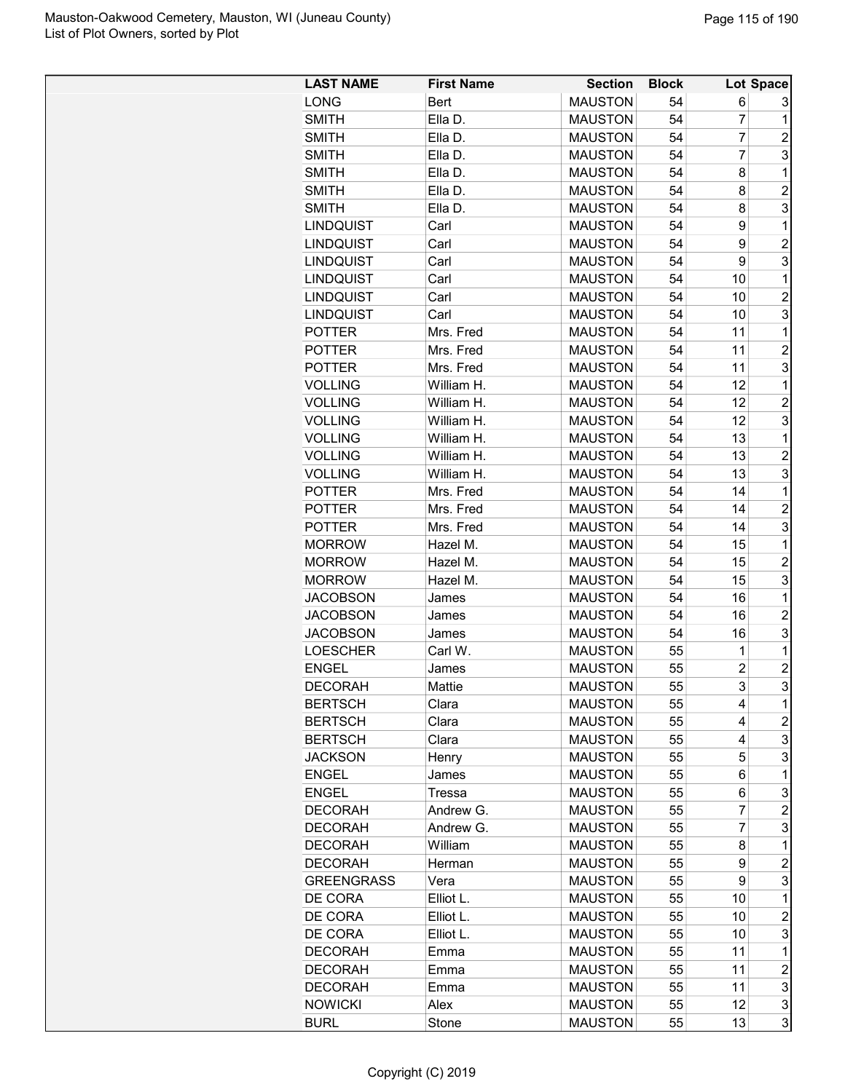| <b>LAST NAME</b>  | <b>First Name</b> | <b>Section</b> | <b>Block</b> |                | Lot Space        |
|-------------------|-------------------|----------------|--------------|----------------|------------------|
| <b>LONG</b>       | <b>Bert</b>       | <b>MAUSTON</b> | 54           | 6              | 3                |
| <b>SMITH</b>      | Ella D.           | <b>MAUSTON</b> | 54           | 7              | 1                |
| <b>SMITH</b>      | Ella D.           | <b>MAUSTON</b> | 54           | 7              | 2                |
| <b>SMITH</b>      | Ella D.           | <b>MAUSTON</b> | 54           | 7              | 3                |
| <b>SMITH</b>      | Ella D.           | <b>MAUSTON</b> | 54           | 8              | 1                |
|                   |                   |                |              |                |                  |
| <b>SMITH</b>      | Ella D.           | <b>MAUSTON</b> | 54           | 8              | $\overline{c}$   |
| <b>SMITH</b>      | Ella D.           | <b>MAUSTON</b> | 54           | 8              | 3                |
| <b>LINDQUIST</b>  | Carl              | <b>MAUSTON</b> | 54           | 9              | 1                |
| <b>LINDQUIST</b>  | Carl              | <b>MAUSTON</b> | 54           | 9              | $\overline{c}$   |
| <b>LINDQUIST</b>  | Carl              | <b>MAUSTON</b> | 54           | 9              | 3                |
| <b>LINDQUIST</b>  | Carl              | <b>MAUSTON</b> | 54           | 10             | 1                |
| <b>LINDQUIST</b>  | Carl              | <b>MAUSTON</b> | 54           | 10             | $\overline{2}$   |
| <b>LINDQUIST</b>  | Carl              | <b>MAUSTON</b> | 54           | 10             | 3                |
| <b>POTTER</b>     | Mrs. Fred         | <b>MAUSTON</b> | 54           | 11             | 1                |
| <b>POTTER</b>     | Mrs. Fred         | <b>MAUSTON</b> | 54           | 11             | $\overline{c}$   |
| <b>POTTER</b>     | Mrs. Fred         | <b>MAUSTON</b> | 54           | 11             | 3                |
| <b>VOLLING</b>    | William H.        | <b>MAUSTON</b> | 54           | 12             | 1                |
| <b>VOLLING</b>    | William H.        | <b>MAUSTON</b> | 54           | 12             | $\overline{2}$   |
| <b>VOLLING</b>    | William H.        | <b>MAUSTON</b> | 54           | 12             | 3                |
| <b>VOLLING</b>    | William H.        | <b>MAUSTON</b> | 54           | 13             | 1                |
| <b>VOLLING</b>    | William H.        | <b>MAUSTON</b> | 54           | 13             | $\overline{2}$   |
| <b>VOLLING</b>    | William H.        | <b>MAUSTON</b> | 54           | 13             | 3                |
| <b>POTTER</b>     | Mrs. Fred         | <b>MAUSTON</b> | 54           | 14             | 1                |
| <b>POTTER</b>     | Mrs. Fred         | <b>MAUSTON</b> | 54           | 14             | $\overline{2}$   |
| <b>POTTER</b>     | Mrs. Fred         | <b>MAUSTON</b> | 54           | 14             | 3                |
| <b>MORROW</b>     | Hazel M.          | <b>MAUSTON</b> | 54           | 15             | 1                |
| <b>MORROW</b>     | Hazel M.          | <b>MAUSTON</b> | 54           | 15             | $\overline{c}$   |
|                   |                   |                | 54           | 15             | 3                |
| <b>MORROW</b>     | Hazel M.          | <b>MAUSTON</b> |              |                |                  |
| <b>JACOBSON</b>   | James             | <b>MAUSTON</b> | 54           | 16             | 1                |
| <b>JACOBSON</b>   | James             | <b>MAUSTON</b> | 54           | 16             | $\overline{2}$   |
| <b>JACOBSON</b>   | James             | <b>MAUSTON</b> | 54           | 16             | 3                |
| <b>LOESCHER</b>   | Carl W.           | <b>MAUSTON</b> | 55           | 1              | 1                |
| <b>ENGEL</b>      | James             | <b>MAUSTON</b> | 55           | $\overline{2}$ | $\overline{c}$   |
| <b>DECORAH</b>    | Mattie            | <b>MAUSTON</b> | 55           | 3              | 3                |
| <b>BERTSCH</b>    | Clara             | <b>MAUSTON</b> | 55           | 4              | 1                |
| <b>BERTSCH</b>    | Clara             | <b>MAUSTON</b> | 55           | 4              | $\overline{c}$   |
| <b>BERTSCH</b>    | Clara             | <b>MAUSTON</b> | 55           | 4              | 3                |
| <b>JACKSON</b>    | Henry             | <b>MAUSTON</b> | 55           | 5              | 3                |
| <b>ENGEL</b>      | James             | <b>MAUSTON</b> | 55           | 6              | 1                |
| <b>ENGEL</b>      | Tressa            | <b>MAUSTON</b> | 55           | 6              | 3                |
| <b>DECORAH</b>    | Andrew G.         | <b>MAUSTON</b> | 55           | 7              | $\overline{c}$   |
| <b>DECORAH</b>    | Andrew G.         | <b>MAUSTON</b> | 55           | 7              | 3                |
| <b>DECORAH</b>    | William           | <b>MAUSTON</b> | 55           | 8              | 1                |
| <b>DECORAH</b>    | Herman            | <b>MAUSTON</b> | 55           | 9              | $\overline{c}$   |
| <b>GREENGRASS</b> | Vera              | <b>MAUSTON</b> | 55           | 9              | 3                |
| DE CORA           | Elliot L.         | <b>MAUSTON</b> | 55           | 10             | 1                |
| DE CORA           | Elliot L.         | <b>MAUSTON</b> | 55           | 10             | $\overline{c}$   |
| DE CORA           | Elliot L.         | <b>MAUSTON</b> | 55           | 10             | 3                |
| <b>DECORAH</b>    |                   | <b>MAUSTON</b> | 55           | 11             | 1                |
|                   | Emma              |                |              |                |                  |
| <b>DECORAH</b>    | Emma              | <b>MAUSTON</b> | 55           | 11             | $\boldsymbol{2}$ |
| <b>DECORAH</b>    | Emma              | <b>MAUSTON</b> | 55           | 11             | 3                |
| <b>NOWICKI</b>    | Alex              | <b>MAUSTON</b> | 55           | 12             | 3                |
| <b>BURL</b>       | Stone             | <b>MAUSTON</b> | 55           | 13             | 3                |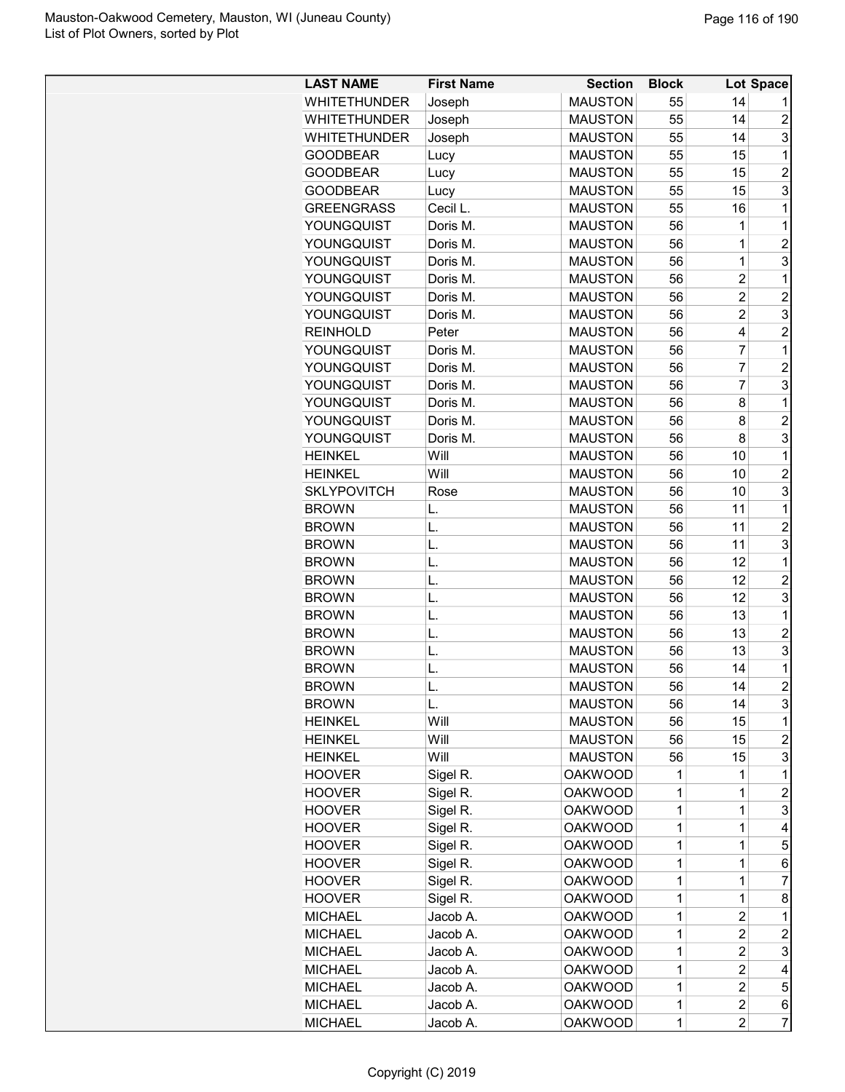| <b>WHITETHUNDER</b><br><b>MAUSTON</b><br>55<br>14<br>Joseph<br>14<br><b>WHITETHUNDER</b><br><b>MAUSTON</b><br>55<br>$\overline{2}$<br>Joseph<br>3<br><b>MAUSTON</b><br>55<br>14<br><b>WHITETHUNDER</b><br>Joseph<br><b>MAUSTON</b><br>55<br>15<br>1<br><b>GOODBEAR</b><br>Lucy<br>$\overline{2}$<br><b>GOODBEAR</b><br><b>MAUSTON</b><br>55<br>15<br>Lucy<br>3<br><b>MAUSTON</b><br>15<br><b>GOODBEAR</b><br>55<br>Lucy<br>Cecil L.<br><b>MAUSTON</b><br>55<br>16<br>1<br><b>GREENGRASS</b><br><b>MAUSTON</b><br>56<br>1<br>1<br>YOUNGQUIST<br>Doris M.<br>$\overline{1}$<br>$\overline{2}$<br>Doris M.<br><b>MAUSTON</b><br>56<br>YOUNGQUIST<br>3<br>$\overline{1}$<br>56<br>YOUNGQUIST<br>Doris M.<br><b>MAUSTON</b><br>$\overline{c}$<br>YOUNGQUIST<br>Doris M.<br><b>MAUSTON</b><br>56<br>1<br>$\overline{2}$<br>$\overline{2}$<br>YOUNGQUIST<br>Doris M.<br><b>MAUSTON</b><br>56<br>$\overline{c}$<br>3<br>Doris M.<br><b>MAUSTON</b><br>56<br>YOUNGQUIST<br>$\overline{2}$<br><b>MAUSTON</b><br>56<br>4<br><b>REINHOLD</b><br>Peter<br>7<br><b>MAUSTON</b><br>56<br>1<br>YOUNGQUIST<br>Doris M.<br>$\overline{7}$<br>$\overline{c}$<br>YOUNGQUIST<br><b>MAUSTON</b><br>56<br>Doris M.<br>3<br>7<br>YOUNGQUIST<br>Doris M.<br><b>MAUSTON</b><br>56<br>YOUNGQUIST<br><b>MAUSTON</b><br>56<br>8<br>1<br>Doris M.<br>YOUNGQUIST<br>$\overline{2}$<br>Doris M.<br><b>MAUSTON</b><br>56<br>8<br>8<br>3<br>YOUNGQUIST<br>Doris M.<br><b>MAUSTON</b><br>56<br>1<br><b>HEINKEL</b><br>Will<br><b>MAUSTON</b><br>56<br>10<br>$\overline{c}$<br><b>HEINKEL</b><br>Will<br><b>MAUSTON</b><br>56<br>10<br>3<br><b>SKLYPOVITCH</b><br><b>MAUSTON</b><br>56<br>10<br>Rose<br><b>BROWN</b><br><b>MAUSTON</b><br>56<br>11<br>1<br>L.<br>$\overline{c}$<br><b>MAUSTON</b><br>11<br><b>BROWN</b><br>L.<br>56<br>3<br><b>BROWN</b><br><b>MAUSTON</b><br>56<br>11<br>L.<br>12<br><b>BROWN</b><br>L.<br><b>MAUSTON</b><br>56<br>1<br>$\overline{2}$<br>L.<br><b>MAUSTON</b><br>56<br>12<br><b>BROWN</b><br>3<br><b>MAUSTON</b><br>12<br><b>BROWN</b><br>L.<br>56<br>1<br>L.<br><b>MAUSTON</b><br>56<br>13<br><b>BROWN</b><br><b>BROWN</b><br>L.<br><b>MAUSTON</b><br>56<br>13<br>$\overline{2}$<br>3<br><b>MAUSTON</b><br>13<br><b>BROWN</b><br>L.<br>56<br><b>BROWN</b><br><b>MAUSTON</b><br>56<br>14<br>1<br>L.<br>$\overline{2}$<br>56<br>14<br>L.<br><b>MAUSTON</b><br><b>BROWN</b><br>3<br><b>MAUSTON</b><br>56<br>14<br><b>BROWN</b><br>L.<br>Will<br><b>MAUSTON</b><br>15<br><b>HEINKEL</b><br>56<br>1<br>Will<br>56<br>15<br>2<br><b>HEINKEL</b><br><b>MAUSTON</b><br>Will<br>15<br>3<br><b>HEINKEL</b><br><b>MAUSTON</b><br>56<br><b>HOOVER</b><br>Sigel R.<br><b>OAKWOOD</b><br>1<br>1<br>1<br><b>HOOVER</b><br><b>OAKWOOD</b><br>1<br>$\mathbf{1}$<br>$\overline{c}$<br>Sigel R.<br>3<br><b>HOOVER</b><br>Sigel R.<br><b>OAKWOOD</b><br>1<br>1<br><b>HOOVER</b><br>Sigel R.<br><b>OAKWOOD</b><br>1<br>1<br>4<br>$\overline{1}$<br>5<br>Sigel R.<br><b>OAKWOOD</b><br>1<br><b>HOOVER</b><br>$\overline{1}$<br>Sigel R.<br><b>OAKWOOD</b><br>6<br><b>HOOVER</b><br>1<br>Sigel R.<br>7<br><b>HOOVER</b><br><b>OAKWOOD</b><br>$\mathbf{1}$<br>1<br>Sigel R.<br>$\mathbf{1}$<br><b>HOOVER</b><br><b>OAKWOOD</b><br>1<br>8<br>Jacob A.<br>$\overline{c}$<br><b>MICHAEL</b><br><b>OAKWOOD</b><br>1<br>1<br><b>MICHAEL</b><br>Jacob A.<br><b>OAKWOOD</b><br>$\overline{2}$<br>$\overline{c}$<br>1<br>3<br><b>MICHAEL</b><br><b>OAKWOOD</b><br>1<br>$\overline{c}$<br>Jacob A.<br>$\overline{c}$<br>1<br><b>MICHAEL</b><br>Jacob A.<br><b>OAKWOOD</b><br>4<br>$\overline{2}$<br>5<br><b>OAKWOOD</b><br>1<br><b>MICHAEL</b><br>Jacob A.<br>$\overline{c}$<br><b>MICHAEL</b><br>Jacob A.<br><b>OAKWOOD</b><br>1<br>6 | <b>LAST NAME</b> | <b>First Name</b> | <b>Section</b> | <b>Block</b> |                | Lot Space      |
|------------------------------------------------------------------------------------------------------------------------------------------------------------------------------------------------------------------------------------------------------------------------------------------------------------------------------------------------------------------------------------------------------------------------------------------------------------------------------------------------------------------------------------------------------------------------------------------------------------------------------------------------------------------------------------------------------------------------------------------------------------------------------------------------------------------------------------------------------------------------------------------------------------------------------------------------------------------------------------------------------------------------------------------------------------------------------------------------------------------------------------------------------------------------------------------------------------------------------------------------------------------------------------------------------------------------------------------------------------------------------------------------------------------------------------------------------------------------------------------------------------------------------------------------------------------------------------------------------------------------------------------------------------------------------------------------------------------------------------------------------------------------------------------------------------------------------------------------------------------------------------------------------------------------------------------------------------------------------------------------------------------------------------------------------------------------------------------------------------------------------------------------------------------------------------------------------------------------------------------------------------------------------------------------------------------------------------------------------------------------------------------------------------------------------------------------------------------------------------------------------------------------------------------------------------------------------------------------------------------------------------------------------------------------------------------------------------------------------------------------------------------------------------------------------------------------------------------------------------------------------------------------------------------------------------------------------------------------------------------------------------------------------------------------------------------------------------------------------------------------------------------------------------------------------------------------------------------------------------------------------------------------------------------------------------------------------------------------------------------------------------------------------------------------------------------------------------------------------------------------------------------------------------------------------------------------------------------------------------------------------------------------------------------------------------------------------|------------------|-------------------|----------------|--------------|----------------|----------------|
|                                                                                                                                                                                                                                                                                                                                                                                                                                                                                                                                                                                                                                                                                                                                                                                                                                                                                                                                                                                                                                                                                                                                                                                                                                                                                                                                                                                                                                                                                                                                                                                                                                                                                                                                                                                                                                                                                                                                                                                                                                                                                                                                                                                                                                                                                                                                                                                                                                                                                                                                                                                                                                                                                                                                                                                                                                                                                                                                                                                                                                                                                                                                                                                                                                                                                                                                                                                                                                                                                                                                                                                                                                                                                                      |                  |                   |                |              |                |                |
|                                                                                                                                                                                                                                                                                                                                                                                                                                                                                                                                                                                                                                                                                                                                                                                                                                                                                                                                                                                                                                                                                                                                                                                                                                                                                                                                                                                                                                                                                                                                                                                                                                                                                                                                                                                                                                                                                                                                                                                                                                                                                                                                                                                                                                                                                                                                                                                                                                                                                                                                                                                                                                                                                                                                                                                                                                                                                                                                                                                                                                                                                                                                                                                                                                                                                                                                                                                                                                                                                                                                                                                                                                                                                                      |                  |                   |                |              |                |                |
|                                                                                                                                                                                                                                                                                                                                                                                                                                                                                                                                                                                                                                                                                                                                                                                                                                                                                                                                                                                                                                                                                                                                                                                                                                                                                                                                                                                                                                                                                                                                                                                                                                                                                                                                                                                                                                                                                                                                                                                                                                                                                                                                                                                                                                                                                                                                                                                                                                                                                                                                                                                                                                                                                                                                                                                                                                                                                                                                                                                                                                                                                                                                                                                                                                                                                                                                                                                                                                                                                                                                                                                                                                                                                                      |                  |                   |                |              |                |                |
|                                                                                                                                                                                                                                                                                                                                                                                                                                                                                                                                                                                                                                                                                                                                                                                                                                                                                                                                                                                                                                                                                                                                                                                                                                                                                                                                                                                                                                                                                                                                                                                                                                                                                                                                                                                                                                                                                                                                                                                                                                                                                                                                                                                                                                                                                                                                                                                                                                                                                                                                                                                                                                                                                                                                                                                                                                                                                                                                                                                                                                                                                                                                                                                                                                                                                                                                                                                                                                                                                                                                                                                                                                                                                                      |                  |                   |                |              |                |                |
|                                                                                                                                                                                                                                                                                                                                                                                                                                                                                                                                                                                                                                                                                                                                                                                                                                                                                                                                                                                                                                                                                                                                                                                                                                                                                                                                                                                                                                                                                                                                                                                                                                                                                                                                                                                                                                                                                                                                                                                                                                                                                                                                                                                                                                                                                                                                                                                                                                                                                                                                                                                                                                                                                                                                                                                                                                                                                                                                                                                                                                                                                                                                                                                                                                                                                                                                                                                                                                                                                                                                                                                                                                                                                                      |                  |                   |                |              |                |                |
|                                                                                                                                                                                                                                                                                                                                                                                                                                                                                                                                                                                                                                                                                                                                                                                                                                                                                                                                                                                                                                                                                                                                                                                                                                                                                                                                                                                                                                                                                                                                                                                                                                                                                                                                                                                                                                                                                                                                                                                                                                                                                                                                                                                                                                                                                                                                                                                                                                                                                                                                                                                                                                                                                                                                                                                                                                                                                                                                                                                                                                                                                                                                                                                                                                                                                                                                                                                                                                                                                                                                                                                                                                                                                                      |                  |                   |                |              |                |                |
|                                                                                                                                                                                                                                                                                                                                                                                                                                                                                                                                                                                                                                                                                                                                                                                                                                                                                                                                                                                                                                                                                                                                                                                                                                                                                                                                                                                                                                                                                                                                                                                                                                                                                                                                                                                                                                                                                                                                                                                                                                                                                                                                                                                                                                                                                                                                                                                                                                                                                                                                                                                                                                                                                                                                                                                                                                                                                                                                                                                                                                                                                                                                                                                                                                                                                                                                                                                                                                                                                                                                                                                                                                                                                                      |                  |                   |                |              |                |                |
|                                                                                                                                                                                                                                                                                                                                                                                                                                                                                                                                                                                                                                                                                                                                                                                                                                                                                                                                                                                                                                                                                                                                                                                                                                                                                                                                                                                                                                                                                                                                                                                                                                                                                                                                                                                                                                                                                                                                                                                                                                                                                                                                                                                                                                                                                                                                                                                                                                                                                                                                                                                                                                                                                                                                                                                                                                                                                                                                                                                                                                                                                                                                                                                                                                                                                                                                                                                                                                                                                                                                                                                                                                                                                                      |                  |                   |                |              |                |                |
|                                                                                                                                                                                                                                                                                                                                                                                                                                                                                                                                                                                                                                                                                                                                                                                                                                                                                                                                                                                                                                                                                                                                                                                                                                                                                                                                                                                                                                                                                                                                                                                                                                                                                                                                                                                                                                                                                                                                                                                                                                                                                                                                                                                                                                                                                                                                                                                                                                                                                                                                                                                                                                                                                                                                                                                                                                                                                                                                                                                                                                                                                                                                                                                                                                                                                                                                                                                                                                                                                                                                                                                                                                                                                                      |                  |                   |                |              |                |                |
|                                                                                                                                                                                                                                                                                                                                                                                                                                                                                                                                                                                                                                                                                                                                                                                                                                                                                                                                                                                                                                                                                                                                                                                                                                                                                                                                                                                                                                                                                                                                                                                                                                                                                                                                                                                                                                                                                                                                                                                                                                                                                                                                                                                                                                                                                                                                                                                                                                                                                                                                                                                                                                                                                                                                                                                                                                                                                                                                                                                                                                                                                                                                                                                                                                                                                                                                                                                                                                                                                                                                                                                                                                                                                                      |                  |                   |                |              |                |                |
|                                                                                                                                                                                                                                                                                                                                                                                                                                                                                                                                                                                                                                                                                                                                                                                                                                                                                                                                                                                                                                                                                                                                                                                                                                                                                                                                                                                                                                                                                                                                                                                                                                                                                                                                                                                                                                                                                                                                                                                                                                                                                                                                                                                                                                                                                                                                                                                                                                                                                                                                                                                                                                                                                                                                                                                                                                                                                                                                                                                                                                                                                                                                                                                                                                                                                                                                                                                                                                                                                                                                                                                                                                                                                                      |                  |                   |                |              |                |                |
|                                                                                                                                                                                                                                                                                                                                                                                                                                                                                                                                                                                                                                                                                                                                                                                                                                                                                                                                                                                                                                                                                                                                                                                                                                                                                                                                                                                                                                                                                                                                                                                                                                                                                                                                                                                                                                                                                                                                                                                                                                                                                                                                                                                                                                                                                                                                                                                                                                                                                                                                                                                                                                                                                                                                                                                                                                                                                                                                                                                                                                                                                                                                                                                                                                                                                                                                                                                                                                                                                                                                                                                                                                                                                                      |                  |                   |                |              |                |                |
|                                                                                                                                                                                                                                                                                                                                                                                                                                                                                                                                                                                                                                                                                                                                                                                                                                                                                                                                                                                                                                                                                                                                                                                                                                                                                                                                                                                                                                                                                                                                                                                                                                                                                                                                                                                                                                                                                                                                                                                                                                                                                                                                                                                                                                                                                                                                                                                                                                                                                                                                                                                                                                                                                                                                                                                                                                                                                                                                                                                                                                                                                                                                                                                                                                                                                                                                                                                                                                                                                                                                                                                                                                                                                                      |                  |                   |                |              |                |                |
|                                                                                                                                                                                                                                                                                                                                                                                                                                                                                                                                                                                                                                                                                                                                                                                                                                                                                                                                                                                                                                                                                                                                                                                                                                                                                                                                                                                                                                                                                                                                                                                                                                                                                                                                                                                                                                                                                                                                                                                                                                                                                                                                                                                                                                                                                                                                                                                                                                                                                                                                                                                                                                                                                                                                                                                                                                                                                                                                                                                                                                                                                                                                                                                                                                                                                                                                                                                                                                                                                                                                                                                                                                                                                                      |                  |                   |                |              |                |                |
|                                                                                                                                                                                                                                                                                                                                                                                                                                                                                                                                                                                                                                                                                                                                                                                                                                                                                                                                                                                                                                                                                                                                                                                                                                                                                                                                                                                                                                                                                                                                                                                                                                                                                                                                                                                                                                                                                                                                                                                                                                                                                                                                                                                                                                                                                                                                                                                                                                                                                                                                                                                                                                                                                                                                                                                                                                                                                                                                                                                                                                                                                                                                                                                                                                                                                                                                                                                                                                                                                                                                                                                                                                                                                                      |                  |                   |                |              |                |                |
|                                                                                                                                                                                                                                                                                                                                                                                                                                                                                                                                                                                                                                                                                                                                                                                                                                                                                                                                                                                                                                                                                                                                                                                                                                                                                                                                                                                                                                                                                                                                                                                                                                                                                                                                                                                                                                                                                                                                                                                                                                                                                                                                                                                                                                                                                                                                                                                                                                                                                                                                                                                                                                                                                                                                                                                                                                                                                                                                                                                                                                                                                                                                                                                                                                                                                                                                                                                                                                                                                                                                                                                                                                                                                                      |                  |                   |                |              |                |                |
|                                                                                                                                                                                                                                                                                                                                                                                                                                                                                                                                                                                                                                                                                                                                                                                                                                                                                                                                                                                                                                                                                                                                                                                                                                                                                                                                                                                                                                                                                                                                                                                                                                                                                                                                                                                                                                                                                                                                                                                                                                                                                                                                                                                                                                                                                                                                                                                                                                                                                                                                                                                                                                                                                                                                                                                                                                                                                                                                                                                                                                                                                                                                                                                                                                                                                                                                                                                                                                                                                                                                                                                                                                                                                                      |                  |                   |                |              |                |                |
|                                                                                                                                                                                                                                                                                                                                                                                                                                                                                                                                                                                                                                                                                                                                                                                                                                                                                                                                                                                                                                                                                                                                                                                                                                                                                                                                                                                                                                                                                                                                                                                                                                                                                                                                                                                                                                                                                                                                                                                                                                                                                                                                                                                                                                                                                                                                                                                                                                                                                                                                                                                                                                                                                                                                                                                                                                                                                                                                                                                                                                                                                                                                                                                                                                                                                                                                                                                                                                                                                                                                                                                                                                                                                                      |                  |                   |                |              |                |                |
|                                                                                                                                                                                                                                                                                                                                                                                                                                                                                                                                                                                                                                                                                                                                                                                                                                                                                                                                                                                                                                                                                                                                                                                                                                                                                                                                                                                                                                                                                                                                                                                                                                                                                                                                                                                                                                                                                                                                                                                                                                                                                                                                                                                                                                                                                                                                                                                                                                                                                                                                                                                                                                                                                                                                                                                                                                                                                                                                                                                                                                                                                                                                                                                                                                                                                                                                                                                                                                                                                                                                                                                                                                                                                                      |                  |                   |                |              |                |                |
|                                                                                                                                                                                                                                                                                                                                                                                                                                                                                                                                                                                                                                                                                                                                                                                                                                                                                                                                                                                                                                                                                                                                                                                                                                                                                                                                                                                                                                                                                                                                                                                                                                                                                                                                                                                                                                                                                                                                                                                                                                                                                                                                                                                                                                                                                                                                                                                                                                                                                                                                                                                                                                                                                                                                                                                                                                                                                                                                                                                                                                                                                                                                                                                                                                                                                                                                                                                                                                                                                                                                                                                                                                                                                                      |                  |                   |                |              |                |                |
|                                                                                                                                                                                                                                                                                                                                                                                                                                                                                                                                                                                                                                                                                                                                                                                                                                                                                                                                                                                                                                                                                                                                                                                                                                                                                                                                                                                                                                                                                                                                                                                                                                                                                                                                                                                                                                                                                                                                                                                                                                                                                                                                                                                                                                                                                                                                                                                                                                                                                                                                                                                                                                                                                                                                                                                                                                                                                                                                                                                                                                                                                                                                                                                                                                                                                                                                                                                                                                                                                                                                                                                                                                                                                                      |                  |                   |                |              |                |                |
|                                                                                                                                                                                                                                                                                                                                                                                                                                                                                                                                                                                                                                                                                                                                                                                                                                                                                                                                                                                                                                                                                                                                                                                                                                                                                                                                                                                                                                                                                                                                                                                                                                                                                                                                                                                                                                                                                                                                                                                                                                                                                                                                                                                                                                                                                                                                                                                                                                                                                                                                                                                                                                                                                                                                                                                                                                                                                                                                                                                                                                                                                                                                                                                                                                                                                                                                                                                                                                                                                                                                                                                                                                                                                                      |                  |                   |                |              |                |                |
|                                                                                                                                                                                                                                                                                                                                                                                                                                                                                                                                                                                                                                                                                                                                                                                                                                                                                                                                                                                                                                                                                                                                                                                                                                                                                                                                                                                                                                                                                                                                                                                                                                                                                                                                                                                                                                                                                                                                                                                                                                                                                                                                                                                                                                                                                                                                                                                                                                                                                                                                                                                                                                                                                                                                                                                                                                                                                                                                                                                                                                                                                                                                                                                                                                                                                                                                                                                                                                                                                                                                                                                                                                                                                                      |                  |                   |                |              |                |                |
|                                                                                                                                                                                                                                                                                                                                                                                                                                                                                                                                                                                                                                                                                                                                                                                                                                                                                                                                                                                                                                                                                                                                                                                                                                                                                                                                                                                                                                                                                                                                                                                                                                                                                                                                                                                                                                                                                                                                                                                                                                                                                                                                                                                                                                                                                                                                                                                                                                                                                                                                                                                                                                                                                                                                                                                                                                                                                                                                                                                                                                                                                                                                                                                                                                                                                                                                                                                                                                                                                                                                                                                                                                                                                                      |                  |                   |                |              |                |                |
|                                                                                                                                                                                                                                                                                                                                                                                                                                                                                                                                                                                                                                                                                                                                                                                                                                                                                                                                                                                                                                                                                                                                                                                                                                                                                                                                                                                                                                                                                                                                                                                                                                                                                                                                                                                                                                                                                                                                                                                                                                                                                                                                                                                                                                                                                                                                                                                                                                                                                                                                                                                                                                                                                                                                                                                                                                                                                                                                                                                                                                                                                                                                                                                                                                                                                                                                                                                                                                                                                                                                                                                                                                                                                                      |                  |                   |                |              |                |                |
|                                                                                                                                                                                                                                                                                                                                                                                                                                                                                                                                                                                                                                                                                                                                                                                                                                                                                                                                                                                                                                                                                                                                                                                                                                                                                                                                                                                                                                                                                                                                                                                                                                                                                                                                                                                                                                                                                                                                                                                                                                                                                                                                                                                                                                                                                                                                                                                                                                                                                                                                                                                                                                                                                                                                                                                                                                                                                                                                                                                                                                                                                                                                                                                                                                                                                                                                                                                                                                                                                                                                                                                                                                                                                                      |                  |                   |                |              |                |                |
|                                                                                                                                                                                                                                                                                                                                                                                                                                                                                                                                                                                                                                                                                                                                                                                                                                                                                                                                                                                                                                                                                                                                                                                                                                                                                                                                                                                                                                                                                                                                                                                                                                                                                                                                                                                                                                                                                                                                                                                                                                                                                                                                                                                                                                                                                                                                                                                                                                                                                                                                                                                                                                                                                                                                                                                                                                                                                                                                                                                                                                                                                                                                                                                                                                                                                                                                                                                                                                                                                                                                                                                                                                                                                                      |                  |                   |                |              |                |                |
|                                                                                                                                                                                                                                                                                                                                                                                                                                                                                                                                                                                                                                                                                                                                                                                                                                                                                                                                                                                                                                                                                                                                                                                                                                                                                                                                                                                                                                                                                                                                                                                                                                                                                                                                                                                                                                                                                                                                                                                                                                                                                                                                                                                                                                                                                                                                                                                                                                                                                                                                                                                                                                                                                                                                                                                                                                                                                                                                                                                                                                                                                                                                                                                                                                                                                                                                                                                                                                                                                                                                                                                                                                                                                                      |                  |                   |                |              |                |                |
|                                                                                                                                                                                                                                                                                                                                                                                                                                                                                                                                                                                                                                                                                                                                                                                                                                                                                                                                                                                                                                                                                                                                                                                                                                                                                                                                                                                                                                                                                                                                                                                                                                                                                                                                                                                                                                                                                                                                                                                                                                                                                                                                                                                                                                                                                                                                                                                                                                                                                                                                                                                                                                                                                                                                                                                                                                                                                                                                                                                                                                                                                                                                                                                                                                                                                                                                                                                                                                                                                                                                                                                                                                                                                                      |                  |                   |                |              |                |                |
|                                                                                                                                                                                                                                                                                                                                                                                                                                                                                                                                                                                                                                                                                                                                                                                                                                                                                                                                                                                                                                                                                                                                                                                                                                                                                                                                                                                                                                                                                                                                                                                                                                                                                                                                                                                                                                                                                                                                                                                                                                                                                                                                                                                                                                                                                                                                                                                                                                                                                                                                                                                                                                                                                                                                                                                                                                                                                                                                                                                                                                                                                                                                                                                                                                                                                                                                                                                                                                                                                                                                                                                                                                                                                                      |                  |                   |                |              |                |                |
|                                                                                                                                                                                                                                                                                                                                                                                                                                                                                                                                                                                                                                                                                                                                                                                                                                                                                                                                                                                                                                                                                                                                                                                                                                                                                                                                                                                                                                                                                                                                                                                                                                                                                                                                                                                                                                                                                                                                                                                                                                                                                                                                                                                                                                                                                                                                                                                                                                                                                                                                                                                                                                                                                                                                                                                                                                                                                                                                                                                                                                                                                                                                                                                                                                                                                                                                                                                                                                                                                                                                                                                                                                                                                                      |                  |                   |                |              |                |                |
|                                                                                                                                                                                                                                                                                                                                                                                                                                                                                                                                                                                                                                                                                                                                                                                                                                                                                                                                                                                                                                                                                                                                                                                                                                                                                                                                                                                                                                                                                                                                                                                                                                                                                                                                                                                                                                                                                                                                                                                                                                                                                                                                                                                                                                                                                                                                                                                                                                                                                                                                                                                                                                                                                                                                                                                                                                                                                                                                                                                                                                                                                                                                                                                                                                                                                                                                                                                                                                                                                                                                                                                                                                                                                                      |                  |                   |                |              |                |                |
|                                                                                                                                                                                                                                                                                                                                                                                                                                                                                                                                                                                                                                                                                                                                                                                                                                                                                                                                                                                                                                                                                                                                                                                                                                                                                                                                                                                                                                                                                                                                                                                                                                                                                                                                                                                                                                                                                                                                                                                                                                                                                                                                                                                                                                                                                                                                                                                                                                                                                                                                                                                                                                                                                                                                                                                                                                                                                                                                                                                                                                                                                                                                                                                                                                                                                                                                                                                                                                                                                                                                                                                                                                                                                                      |                  |                   |                |              |                |                |
|                                                                                                                                                                                                                                                                                                                                                                                                                                                                                                                                                                                                                                                                                                                                                                                                                                                                                                                                                                                                                                                                                                                                                                                                                                                                                                                                                                                                                                                                                                                                                                                                                                                                                                                                                                                                                                                                                                                                                                                                                                                                                                                                                                                                                                                                                                                                                                                                                                                                                                                                                                                                                                                                                                                                                                                                                                                                                                                                                                                                                                                                                                                                                                                                                                                                                                                                                                                                                                                                                                                                                                                                                                                                                                      |                  |                   |                |              |                |                |
|                                                                                                                                                                                                                                                                                                                                                                                                                                                                                                                                                                                                                                                                                                                                                                                                                                                                                                                                                                                                                                                                                                                                                                                                                                                                                                                                                                                                                                                                                                                                                                                                                                                                                                                                                                                                                                                                                                                                                                                                                                                                                                                                                                                                                                                                                                                                                                                                                                                                                                                                                                                                                                                                                                                                                                                                                                                                                                                                                                                                                                                                                                                                                                                                                                                                                                                                                                                                                                                                                                                                                                                                                                                                                                      |                  |                   |                |              |                |                |
|                                                                                                                                                                                                                                                                                                                                                                                                                                                                                                                                                                                                                                                                                                                                                                                                                                                                                                                                                                                                                                                                                                                                                                                                                                                                                                                                                                                                                                                                                                                                                                                                                                                                                                                                                                                                                                                                                                                                                                                                                                                                                                                                                                                                                                                                                                                                                                                                                                                                                                                                                                                                                                                                                                                                                                                                                                                                                                                                                                                                                                                                                                                                                                                                                                                                                                                                                                                                                                                                                                                                                                                                                                                                                                      |                  |                   |                |              |                |                |
|                                                                                                                                                                                                                                                                                                                                                                                                                                                                                                                                                                                                                                                                                                                                                                                                                                                                                                                                                                                                                                                                                                                                                                                                                                                                                                                                                                                                                                                                                                                                                                                                                                                                                                                                                                                                                                                                                                                                                                                                                                                                                                                                                                                                                                                                                                                                                                                                                                                                                                                                                                                                                                                                                                                                                                                                                                                                                                                                                                                                                                                                                                                                                                                                                                                                                                                                                                                                                                                                                                                                                                                                                                                                                                      |                  |                   |                |              |                |                |
|                                                                                                                                                                                                                                                                                                                                                                                                                                                                                                                                                                                                                                                                                                                                                                                                                                                                                                                                                                                                                                                                                                                                                                                                                                                                                                                                                                                                                                                                                                                                                                                                                                                                                                                                                                                                                                                                                                                                                                                                                                                                                                                                                                                                                                                                                                                                                                                                                                                                                                                                                                                                                                                                                                                                                                                                                                                                                                                                                                                                                                                                                                                                                                                                                                                                                                                                                                                                                                                                                                                                                                                                                                                                                                      |                  |                   |                |              |                |                |
|                                                                                                                                                                                                                                                                                                                                                                                                                                                                                                                                                                                                                                                                                                                                                                                                                                                                                                                                                                                                                                                                                                                                                                                                                                                                                                                                                                                                                                                                                                                                                                                                                                                                                                                                                                                                                                                                                                                                                                                                                                                                                                                                                                                                                                                                                                                                                                                                                                                                                                                                                                                                                                                                                                                                                                                                                                                                                                                                                                                                                                                                                                                                                                                                                                                                                                                                                                                                                                                                                                                                                                                                                                                                                                      |                  |                   |                |              |                |                |
|                                                                                                                                                                                                                                                                                                                                                                                                                                                                                                                                                                                                                                                                                                                                                                                                                                                                                                                                                                                                                                                                                                                                                                                                                                                                                                                                                                                                                                                                                                                                                                                                                                                                                                                                                                                                                                                                                                                                                                                                                                                                                                                                                                                                                                                                                                                                                                                                                                                                                                                                                                                                                                                                                                                                                                                                                                                                                                                                                                                                                                                                                                                                                                                                                                                                                                                                                                                                                                                                                                                                                                                                                                                                                                      |                  |                   |                |              |                |                |
|                                                                                                                                                                                                                                                                                                                                                                                                                                                                                                                                                                                                                                                                                                                                                                                                                                                                                                                                                                                                                                                                                                                                                                                                                                                                                                                                                                                                                                                                                                                                                                                                                                                                                                                                                                                                                                                                                                                                                                                                                                                                                                                                                                                                                                                                                                                                                                                                                                                                                                                                                                                                                                                                                                                                                                                                                                                                                                                                                                                                                                                                                                                                                                                                                                                                                                                                                                                                                                                                                                                                                                                                                                                                                                      |                  |                   |                |              |                |                |
|                                                                                                                                                                                                                                                                                                                                                                                                                                                                                                                                                                                                                                                                                                                                                                                                                                                                                                                                                                                                                                                                                                                                                                                                                                                                                                                                                                                                                                                                                                                                                                                                                                                                                                                                                                                                                                                                                                                                                                                                                                                                                                                                                                                                                                                                                                                                                                                                                                                                                                                                                                                                                                                                                                                                                                                                                                                                                                                                                                                                                                                                                                                                                                                                                                                                                                                                                                                                                                                                                                                                                                                                                                                                                                      |                  |                   |                |              |                |                |
|                                                                                                                                                                                                                                                                                                                                                                                                                                                                                                                                                                                                                                                                                                                                                                                                                                                                                                                                                                                                                                                                                                                                                                                                                                                                                                                                                                                                                                                                                                                                                                                                                                                                                                                                                                                                                                                                                                                                                                                                                                                                                                                                                                                                                                                                                                                                                                                                                                                                                                                                                                                                                                                                                                                                                                                                                                                                                                                                                                                                                                                                                                                                                                                                                                                                                                                                                                                                                                                                                                                                                                                                                                                                                                      |                  |                   |                |              |                |                |
|                                                                                                                                                                                                                                                                                                                                                                                                                                                                                                                                                                                                                                                                                                                                                                                                                                                                                                                                                                                                                                                                                                                                                                                                                                                                                                                                                                                                                                                                                                                                                                                                                                                                                                                                                                                                                                                                                                                                                                                                                                                                                                                                                                                                                                                                                                                                                                                                                                                                                                                                                                                                                                                                                                                                                                                                                                                                                                                                                                                                                                                                                                                                                                                                                                                                                                                                                                                                                                                                                                                                                                                                                                                                                                      |                  |                   |                |              |                |                |
|                                                                                                                                                                                                                                                                                                                                                                                                                                                                                                                                                                                                                                                                                                                                                                                                                                                                                                                                                                                                                                                                                                                                                                                                                                                                                                                                                                                                                                                                                                                                                                                                                                                                                                                                                                                                                                                                                                                                                                                                                                                                                                                                                                                                                                                                                                                                                                                                                                                                                                                                                                                                                                                                                                                                                                                                                                                                                                                                                                                                                                                                                                                                                                                                                                                                                                                                                                                                                                                                                                                                                                                                                                                                                                      |                  |                   |                |              |                |                |
|                                                                                                                                                                                                                                                                                                                                                                                                                                                                                                                                                                                                                                                                                                                                                                                                                                                                                                                                                                                                                                                                                                                                                                                                                                                                                                                                                                                                                                                                                                                                                                                                                                                                                                                                                                                                                                                                                                                                                                                                                                                                                                                                                                                                                                                                                                                                                                                                                                                                                                                                                                                                                                                                                                                                                                                                                                                                                                                                                                                                                                                                                                                                                                                                                                                                                                                                                                                                                                                                                                                                                                                                                                                                                                      |                  |                   |                |              |                |                |
|                                                                                                                                                                                                                                                                                                                                                                                                                                                                                                                                                                                                                                                                                                                                                                                                                                                                                                                                                                                                                                                                                                                                                                                                                                                                                                                                                                                                                                                                                                                                                                                                                                                                                                                                                                                                                                                                                                                                                                                                                                                                                                                                                                                                                                                                                                                                                                                                                                                                                                                                                                                                                                                                                                                                                                                                                                                                                                                                                                                                                                                                                                                                                                                                                                                                                                                                                                                                                                                                                                                                                                                                                                                                                                      |                  |                   |                |              |                |                |
|                                                                                                                                                                                                                                                                                                                                                                                                                                                                                                                                                                                                                                                                                                                                                                                                                                                                                                                                                                                                                                                                                                                                                                                                                                                                                                                                                                                                                                                                                                                                                                                                                                                                                                                                                                                                                                                                                                                                                                                                                                                                                                                                                                                                                                                                                                                                                                                                                                                                                                                                                                                                                                                                                                                                                                                                                                                                                                                                                                                                                                                                                                                                                                                                                                                                                                                                                                                                                                                                                                                                                                                                                                                                                                      |                  |                   |                |              |                |                |
|                                                                                                                                                                                                                                                                                                                                                                                                                                                                                                                                                                                                                                                                                                                                                                                                                                                                                                                                                                                                                                                                                                                                                                                                                                                                                                                                                                                                                                                                                                                                                                                                                                                                                                                                                                                                                                                                                                                                                                                                                                                                                                                                                                                                                                                                                                                                                                                                                                                                                                                                                                                                                                                                                                                                                                                                                                                                                                                                                                                                                                                                                                                                                                                                                                                                                                                                                                                                                                                                                                                                                                                                                                                                                                      |                  |                   |                |              |                |                |
|                                                                                                                                                                                                                                                                                                                                                                                                                                                                                                                                                                                                                                                                                                                                                                                                                                                                                                                                                                                                                                                                                                                                                                                                                                                                                                                                                                                                                                                                                                                                                                                                                                                                                                                                                                                                                                                                                                                                                                                                                                                                                                                                                                                                                                                                                                                                                                                                                                                                                                                                                                                                                                                                                                                                                                                                                                                                                                                                                                                                                                                                                                                                                                                                                                                                                                                                                                                                                                                                                                                                                                                                                                                                                                      |                  |                   |                |              |                |                |
|                                                                                                                                                                                                                                                                                                                                                                                                                                                                                                                                                                                                                                                                                                                                                                                                                                                                                                                                                                                                                                                                                                                                                                                                                                                                                                                                                                                                                                                                                                                                                                                                                                                                                                                                                                                                                                                                                                                                                                                                                                                                                                                                                                                                                                                                                                                                                                                                                                                                                                                                                                                                                                                                                                                                                                                                                                                                                                                                                                                                                                                                                                                                                                                                                                                                                                                                                                                                                                                                                                                                                                                                                                                                                                      |                  |                   |                |              |                |                |
|                                                                                                                                                                                                                                                                                                                                                                                                                                                                                                                                                                                                                                                                                                                                                                                                                                                                                                                                                                                                                                                                                                                                                                                                                                                                                                                                                                                                                                                                                                                                                                                                                                                                                                                                                                                                                                                                                                                                                                                                                                                                                                                                                                                                                                                                                                                                                                                                                                                                                                                                                                                                                                                                                                                                                                                                                                                                                                                                                                                                                                                                                                                                                                                                                                                                                                                                                                                                                                                                                                                                                                                                                                                                                                      |                  |                   |                |              |                |                |
|                                                                                                                                                                                                                                                                                                                                                                                                                                                                                                                                                                                                                                                                                                                                                                                                                                                                                                                                                                                                                                                                                                                                                                                                                                                                                                                                                                                                                                                                                                                                                                                                                                                                                                                                                                                                                                                                                                                                                                                                                                                                                                                                                                                                                                                                                                                                                                                                                                                                                                                                                                                                                                                                                                                                                                                                                                                                                                                                                                                                                                                                                                                                                                                                                                                                                                                                                                                                                                                                                                                                                                                                                                                                                                      |                  |                   |                |              |                |                |
|                                                                                                                                                                                                                                                                                                                                                                                                                                                                                                                                                                                                                                                                                                                                                                                                                                                                                                                                                                                                                                                                                                                                                                                                                                                                                                                                                                                                                                                                                                                                                                                                                                                                                                                                                                                                                                                                                                                                                                                                                                                                                                                                                                                                                                                                                                                                                                                                                                                                                                                                                                                                                                                                                                                                                                                                                                                                                                                                                                                                                                                                                                                                                                                                                                                                                                                                                                                                                                                                                                                                                                                                                                                                                                      | <b>MICHAEL</b>   | Jacob A.          | <b>OAKWOOD</b> | 1            | $\overline{2}$ | $\overline{7}$ |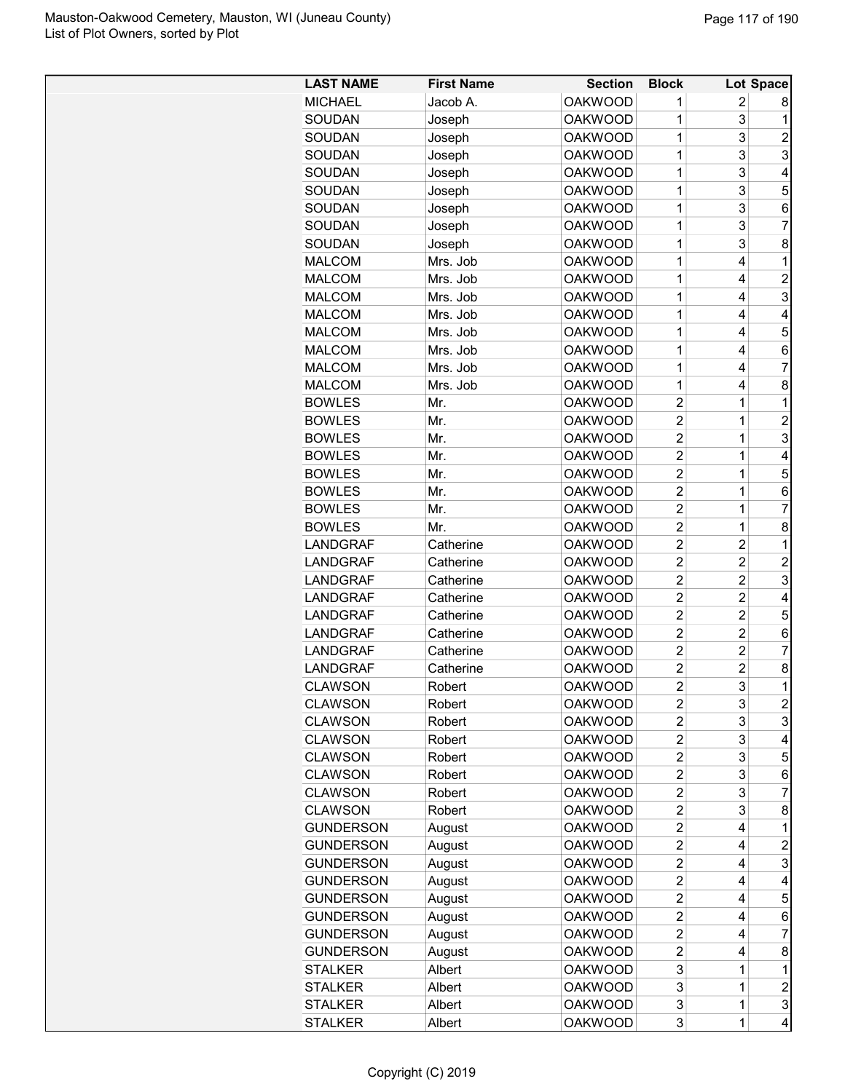| <b>LAST NAME</b> | <b>First Name</b> | <b>Section</b> | <b>Block</b>   |                         | <b>Lot Space</b> |
|------------------|-------------------|----------------|----------------|-------------------------|------------------|
| <b>MICHAEL</b>   | Jacob A.          | <b>OAKWOOD</b> | 1              | 2                       | 8                |
| SOUDAN           | Joseph            | <b>OAKWOOD</b> | 1              | 3                       | 1                |
| SOUDAN           | Joseph            | <b>OAKWOOD</b> | 1              | 3                       | $\overline{c}$   |
| SOUDAN           | Joseph            | <b>OAKWOOD</b> | $\mathbf 1$    | 3                       | 3                |
| SOUDAN           | Joseph            | <b>OAKWOOD</b> | 1              | 3                       | 4                |
| SOUDAN           | Joseph            | <b>OAKWOOD</b> | 1              | 3                       | 5                |
| SOUDAN           | Joseph            | <b>OAKWOOD</b> | 1              | 3                       | 6                |
| SOUDAN           | Joseph            | <b>OAKWOOD</b> | 1              | 3                       | 7                |
| SOUDAN           | Joseph            | <b>OAKWOOD</b> | 1              | 3                       | 8                |
| <b>MALCOM</b>    | Mrs. Job          | <b>OAKWOOD</b> | 1              | 4                       | 1                |
| <b>MALCOM</b>    | Mrs. Job          | <b>OAKWOOD</b> | 1              | 4                       | $\overline{c}$   |
| <b>MALCOM</b>    | Mrs. Job          | <b>OAKWOOD</b> | 1              | 4                       | 3                |
| <b>MALCOM</b>    | Mrs. Job          | <b>OAKWOOD</b> | 1              | 4                       | 4                |
| <b>MALCOM</b>    | Mrs. Job          | <b>OAKWOOD</b> | 1              | 4                       | 5                |
| <b>MALCOM</b>    | Mrs. Job          | <b>OAKWOOD</b> | 1              | 4                       | 6                |
| <b>MALCOM</b>    | Mrs. Job          | <b>OAKWOOD</b> | 1              | 4                       | $\overline{7}$   |
| <b>MALCOM</b>    | Mrs. Job          | <b>OAKWOOD</b> | 1              | 4                       | 8                |
| <b>BOWLES</b>    | Mr.               | <b>OAKWOOD</b> | $\overline{2}$ | 1                       | 1                |
| <b>BOWLES</b>    | Mr.               | <b>OAKWOOD</b> | $\overline{2}$ | $\mathbf 1$             | $\overline{2}$   |
| <b>BOWLES</b>    | Mr.               | <b>OAKWOOD</b> | $\overline{2}$ | $\mathbf 1$             | 3                |
| <b>BOWLES</b>    | Mr.               | <b>OAKWOOD</b> | $\overline{2}$ | 1                       | 4                |
| <b>BOWLES</b>    | Mr.               | <b>OAKWOOD</b> | $\overline{2}$ | 1                       | 5                |
| <b>BOWLES</b>    | Mr.               | <b>OAKWOOD</b> | $\overline{2}$ | $\mathbf 1$             | 6                |
| <b>BOWLES</b>    | Mr.               | <b>OAKWOOD</b> | $\overline{2}$ | $\mathbf 1$             | 7                |
| <b>BOWLES</b>    | Mr.               | <b>OAKWOOD</b> | $\overline{2}$ | $\mathbf 1$             | 8                |
| LANDGRAF         | Catherine         | <b>OAKWOOD</b> | $\overline{2}$ | $\overline{\mathbf{c}}$ | 1                |
| <b>LANDGRAF</b>  | Catherine         | <b>OAKWOOD</b> | $\overline{2}$ | $\overline{c}$          | $\overline{c}$   |
| <b>LANDGRAF</b>  | Catherine         | <b>OAKWOOD</b> | $\overline{2}$ | $\overline{c}$          | 3                |
| <b>LANDGRAF</b>  | Catherine         | <b>OAKWOOD</b> | $\overline{2}$ | $\overline{c}$          | 4                |
| <b>LANDGRAF</b>  | Catherine         | <b>OAKWOOD</b> | $\overline{2}$ | $\overline{c}$          | 5                |
| <b>LANDGRAF</b>  | Catherine         | <b>OAKWOOD</b> | $\overline{2}$ | $\overline{2}$          | 6                |
| LANDGRAF         | Catherine         | <b>OAKWOOD</b> | $\overline{2}$ | $\overline{2}$          | 7                |
| <b>LANDGRAF</b>  | Catherine         | <b>OAKWOOD</b> | $\overline{2}$ | $\overline{c}$          | 8                |
| <b>CLAWSON</b>   | Robert            | <b>OAKWOOD</b> | $\overline{2}$ | 3                       | 1                |
| <b>CLAWSON</b>   | Robert            | <b>OAKWOOD</b> | 2              | 3                       | $\overline{c}$   |
| <b>CLAWSON</b>   | Robert            | <b>OAKWOOD</b> | $\overline{2}$ | 3                       | 3                |
| <b>CLAWSON</b>   | Robert            | <b>OAKWOOD</b> | $\overline{2}$ | 3                       | 4                |
| <b>CLAWSON</b>   | Robert            | <b>OAKWOOD</b> | $\overline{2}$ | 3                       | 5                |
| <b>CLAWSON</b>   | Robert            | <b>OAKWOOD</b> | $\overline{c}$ | 3                       | 6                |
| <b>CLAWSON</b>   | Robert            | <b>OAKWOOD</b> | $\overline{2}$ | 3                       | 7                |
| <b>CLAWSON</b>   | Robert            | <b>OAKWOOD</b> | $\overline{2}$ | 3                       | 8                |
| <b>GUNDERSON</b> | August            | <b>OAKWOOD</b> | $\overline{2}$ | 4                       | 1                |
| <b>GUNDERSON</b> | August            | <b>OAKWOOD</b> | $\overline{2}$ | 4                       | $\overline{c}$   |
| <b>GUNDERSON</b> | August            | <b>OAKWOOD</b> | $\overline{2}$ | 4                       | 3                |
| <b>GUNDERSON</b> | August            | <b>OAKWOOD</b> | $\overline{2}$ | 4                       | 4                |
| <b>GUNDERSON</b> | August            | <b>OAKWOOD</b> | $\overline{2}$ | 4                       | 5                |
| <b>GUNDERSON</b> | August            | <b>OAKWOOD</b> | $\overline{c}$ | 4                       | 6                |
| <b>GUNDERSON</b> | August            | <b>OAKWOOD</b> | $\overline{c}$ | 4                       | 7                |
| <b>GUNDERSON</b> | August            | <b>OAKWOOD</b> | $\overline{2}$ | 4                       | 8                |
| STALKER          | Albert            | <b>OAKWOOD</b> | 3              | 1                       | 1                |
| STALKER          | Albert            | <b>OAKWOOD</b> | 3              | 1                       | $\overline{c}$   |
| <b>STALKER</b>   | Albert            | <b>OAKWOOD</b> | 3              | 1                       | 3                |
| <b>STALKER</b>   | Albert            | <b>OAKWOOD</b> | 3              | 1                       | 4                |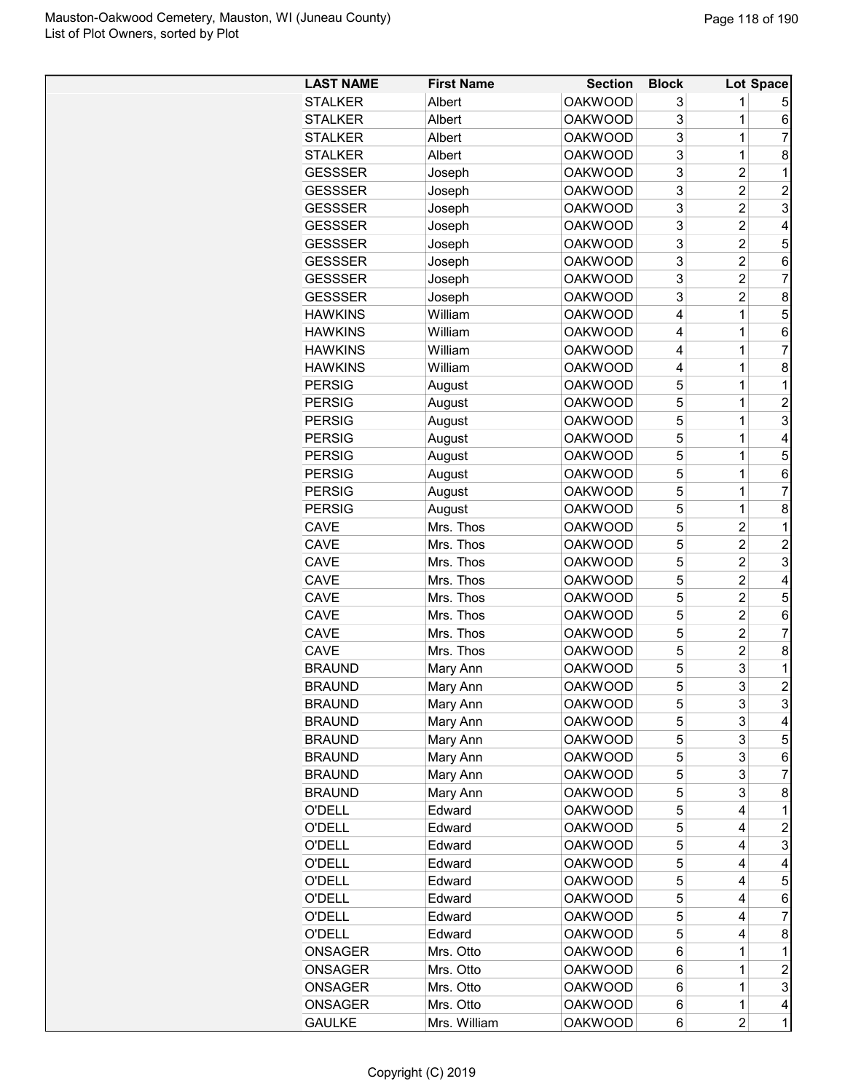| <b>LAST NAME</b> | <b>First Name</b> | <b>Section</b> | <b>Block</b> |                | Lot Space      |
|------------------|-------------------|----------------|--------------|----------------|----------------|
| <b>STALKER</b>   | Albert            | <b>OAKWOOD</b> | 3            | 1              | 5              |
| <b>STALKER</b>   | Albert            | <b>OAKWOOD</b> | 3            | 1              | 6              |
| <b>STALKER</b>   | Albert            | <b>OAKWOOD</b> | 3            | $\mathbf 1$    | 7              |
| STALKER          | Albert            | <b>OAKWOOD</b> | 3            | $\overline{1}$ | 8              |
| <b>GESSSER</b>   | Joseph            | <b>OAKWOOD</b> | 3            | $\overline{c}$ | 1              |
| <b>GESSSER</b>   | Joseph            | <b>OAKWOOD</b> | 3            | $\overline{2}$ | $\overline{c}$ |
| <b>GESSSER</b>   | Joseph            | <b>OAKWOOD</b> | 3            | $\overline{2}$ | 3              |
| <b>GESSSER</b>   | Joseph            | <b>OAKWOOD</b> | 3            | $\overline{c}$ | 4              |
| <b>GESSSER</b>   | Joseph            | <b>OAKWOOD</b> | 3            | $\overline{2}$ | 5              |
| <b>GESSSER</b>   | Joseph            | <b>OAKWOOD</b> | 3            | $\overline{c}$ | 6              |
| <b>GESSSER</b>   | Joseph            | <b>OAKWOOD</b> | 3            | $\overline{c}$ | 7              |
| <b>GESSSER</b>   | Joseph            | <b>OAKWOOD</b> | 3            | $\overline{2}$ | 8              |
| <b>HAWKINS</b>   | William           | <b>OAKWOOD</b> | 4            | 1              | 5              |
| <b>HAWKINS</b>   | William           | <b>OAKWOOD</b> | 4            | 1              | 6              |
| <b>HAWKINS</b>   | William           | <b>OAKWOOD</b> | 4            | 1              | 7              |
| <b>HAWKINS</b>   | William           | <b>OAKWOOD</b> | 4            | 1              | 8              |
| <b>PERSIG</b>    | August            | <b>OAKWOOD</b> | 5            | 1              | 1              |
| <b>PERSIG</b>    | August            | <b>OAKWOOD</b> | 5            | 1              | $\overline{2}$ |
| <b>PERSIG</b>    | August            | <b>OAKWOOD</b> | 5            | $\overline{1}$ | 3              |
| <b>PERSIG</b>    | August            | <b>OAKWOOD</b> | 5            | 1              | 4              |
| <b>PERSIG</b>    | August            | <b>OAKWOOD</b> | 5            | 1              | 5              |
| <b>PERSIG</b>    | August            | <b>OAKWOOD</b> | 5            | 1              | 6              |
| <b>PERSIG</b>    | August            | <b>OAKWOOD</b> | 5            | $\overline{1}$ | 7              |
| <b>PERSIG</b>    | August            | <b>OAKWOOD</b> | 5            | $\mathbf 1$    | 8              |
| CAVE             | Mrs. Thos         | <b>OAKWOOD</b> | 5            | $\overline{2}$ | 1              |
| CAVE             | Mrs. Thos         | <b>OAKWOOD</b> | 5            | $\overline{c}$ | $\overline{c}$ |
| <b>CAVE</b>      | Mrs. Thos         | <b>OAKWOOD</b> | 5            | $\overline{c}$ | 3              |
| CAVE             | Mrs. Thos         | <b>OAKWOOD</b> | 5            | $\overline{c}$ | 4              |
| CAVE             | Mrs. Thos         | <b>OAKWOOD</b> | 5            | $\overline{2}$ | 5              |
| CAVE             | Mrs. Thos         | <b>OAKWOOD</b> | 5            | 2              | 6              |
| CAVE             | Mrs. Thos         | <b>OAKWOOD</b> | 5            | $\overline{2}$ | 7              |
| CAVE             | Mrs. Thos         | <b>OAKWOOD</b> | 5            | $\overline{2}$ | 8              |
| <b>BRAUND</b>    | Mary Ann          | <b>OAKWOOD</b> | 5            | 3              | 1              |
| <b>BRAUND</b>    | Mary Ann          | <b>OAKWOOD</b> | 5            | 3              | $\overline{c}$ |
| <b>BRAUND</b>    | Mary Ann          | <b>OAKWOOD</b> | 5            | 3              | 3              |
| <b>BRAUND</b>    | Mary Ann          | <b>OAKWOOD</b> | 5            | 3              | 4              |
| <b>BRAUND</b>    | Mary Ann          | <b>OAKWOOD</b> | 5            | 3              | 5              |
| <b>BRAUND</b>    | Mary Ann          | <b>OAKWOOD</b> | 5            | 3              | 6              |
| <b>BRAUND</b>    | Mary Ann          | <b>OAKWOOD</b> | 5            | 3              | 7              |
| <b>BRAUND</b>    | Mary Ann          | <b>OAKWOOD</b> | 5            | 3              | 8              |
| O'DELL           | Edward            | <b>OAKWOOD</b> | 5            | 4              | 1              |
| O'DELL           | Edward            | <b>OAKWOOD</b> | 5            | 4              | $\overline{c}$ |
| O'DELL           | Edward            | <b>OAKWOOD</b> | 5            | 4              | 3              |
| O'DELL           | Edward            | <b>OAKWOOD</b> | 5            | 4              | 4              |
| <b>O'DELL</b>    | Edward            | <b>OAKWOOD</b> | 5            | 4              | 5              |
| O'DELL           | Edward            | <b>OAKWOOD</b> | 5            | 4              | 6              |
| O'DELL           | Edward            | <b>OAKWOOD</b> | 5            | 4              | 7              |
| <b>O'DELL</b>    | Edward            | <b>OAKWOOD</b> | 5            | 4              | 8              |
| <b>ONSAGER</b>   | Mrs. Otto         | <b>OAKWOOD</b> | 6            | 1              | 1              |
| <b>ONSAGER</b>   | Mrs. Otto         | <b>OAKWOOD</b> | 6            | 1              | 2              |
| <b>ONSAGER</b>   | Mrs. Otto         | <b>OAKWOOD</b> | 6            | 1              | 3              |
| ONSAGER          | Mrs. Otto         | <b>OAKWOOD</b> | 6            | 1              | 4              |
| <b>GAULKE</b>    | Mrs. William      | <b>OAKWOOD</b> | 6            | 2              | 1              |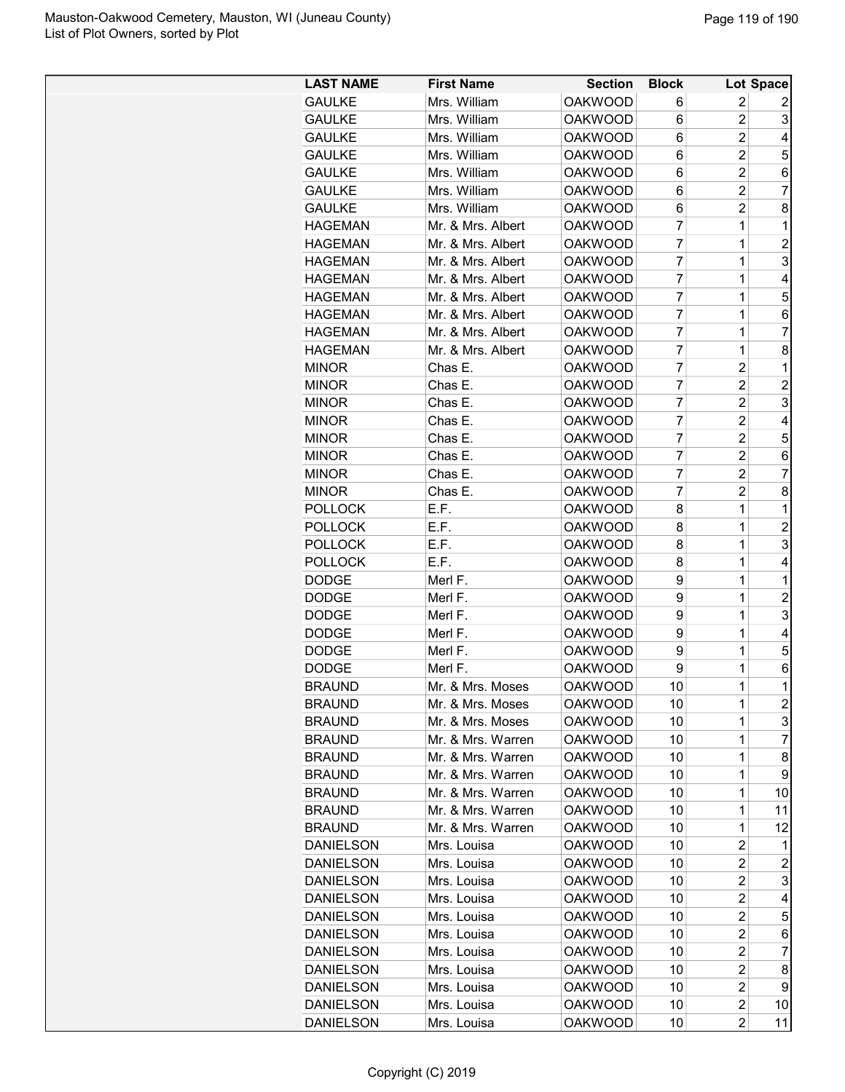| <b>LAST NAME</b> | <b>First Name</b> | <b>Section</b> | <b>Block</b>   |                | Lot Space               |
|------------------|-------------------|----------------|----------------|----------------|-------------------------|
| <b>GAULKE</b>    | Mrs. William      | <b>OAKWOOD</b> | 6              | 2              | 2                       |
| <b>GAULKE</b>    | Mrs. William      | <b>OAKWOOD</b> | 6              | $\overline{2}$ | 3                       |
| <b>GAULKE</b>    | Mrs. William      | <b>OAKWOOD</b> | 6              | $\overline{c}$ | 4                       |
| <b>GAULKE</b>    | Mrs. William      | <b>OAKWOOD</b> | 6              | $\overline{c}$ | 5                       |
| <b>GAULKE</b>    | Mrs. William      | <b>OAKWOOD</b> | 6              | $\overline{c}$ | 6                       |
| <b>GAULKE</b>    | Mrs. William      | <b>OAKWOOD</b> | 6              | $\overline{2}$ | 7                       |
| <b>GAULKE</b>    | Mrs. William      | <b>OAKWOOD</b> | 6              | $\overline{2}$ | 8                       |
| <b>HAGEMAN</b>   | Mr. & Mrs. Albert | <b>OAKWOOD</b> | 7              | $\mathbf 1$    | 1                       |
| <b>HAGEMAN</b>   | Mr. & Mrs. Albert | <b>OAKWOOD</b> | 7              | 1              | $\overline{2}$          |
| <b>HAGEMAN</b>   | Mr. & Mrs. Albert | <b>OAKWOOD</b> | 7              | 1              | 3                       |
| <b>HAGEMAN</b>   | Mr. & Mrs. Albert | <b>OAKWOOD</b> | 7              | 1              | 4                       |
| <b>HAGEMAN</b>   | Mr. & Mrs. Albert | <b>OAKWOOD</b> | 7              | 1              | 5                       |
| <b>HAGEMAN</b>   | Mr. & Mrs. Albert | <b>OAKWOOD</b> | 7              | 1              | 6                       |
| <b>HAGEMAN</b>   | Mr. & Mrs. Albert | <b>OAKWOOD</b> | $\overline{7}$ | 1              | 7                       |
| <b>HAGEMAN</b>   | Mr. & Mrs. Albert | <b>OAKWOOD</b> | $\overline{7}$ | 1              | 8                       |
| <b>MINOR</b>     | Chas E.           | <b>OAKWOOD</b> | 7              | $\overline{2}$ | 1                       |
| <b>MINOR</b>     | Chas E.           | <b>OAKWOOD</b> | 7              | $\overline{2}$ | $\overline{2}$          |
| <b>MINOR</b>     | Chas E.           | <b>OAKWOOD</b> | 7              | $\overline{c}$ | 3                       |
| <b>MINOR</b>     | Chas E.           | <b>OAKWOOD</b> | 7              | $\overline{c}$ | 4                       |
| <b>MINOR</b>     | Chas E.           | <b>OAKWOOD</b> | 7              | $\overline{c}$ | 5                       |
| <b>MINOR</b>     | Chas E.           | <b>OAKWOOD</b> | $\overline{7}$ | $\overline{2}$ | 6                       |
| <b>MINOR</b>     | Chas E.           | <b>OAKWOOD</b> | $\overline{7}$ | $\overline{c}$ | $\overline{7}$          |
| <b>MINOR</b>     | Chas E.           | <b>OAKWOOD</b> | 7              | $\overline{2}$ | 8                       |
| <b>POLLOCK</b>   | E.F.              | <b>OAKWOOD</b> | 8              | $\mathbf 1$    | 1                       |
| <b>POLLOCK</b>   | E.F.              | <b>OAKWOOD</b> | 8              | $\mathbf 1$    | $\overline{c}$          |
| <b>POLLOCK</b>   | E.F.              | <b>OAKWOOD</b> | 8              | 1              | 3                       |
| <b>POLLOCK</b>   | E.F.              | <b>OAKWOOD</b> | 8              | 1              | 4                       |
| <b>DODGE</b>     | Merl F.           | <b>OAKWOOD</b> | 9              | 1              | 1                       |
| <b>DODGE</b>     | Merl F.           | <b>OAKWOOD</b> | 9              | 1              | $\overline{c}$          |
| <b>DODGE</b>     | Merl F.           | <b>OAKWOOD</b> | 9              | 1              | 3                       |
| <b>DODGE</b>     | Merl F.           | <b>OAKWOOD</b> | 9              | $\mathbf 1$    | 4                       |
| <b>DODGE</b>     | Merl F.           | <b>OAKWOOD</b> | 9              | $\mathbf 1$    | 5                       |
| <b>DODGE</b>     | Merl F.           | <b>OAKWOOD</b> | 9              | 1              | 6                       |
| <b>BRAUND</b>    | Mr. & Mrs. Moses  | <b>OAKWOOD</b> | 10             | $\overline{1}$ | 1                       |
| <b>BRAUND</b>    | Mr. & Mrs. Moses  | <b>OAKWOOD</b> | 10             | 1              | $\overline{\mathbf{c}}$ |
| <b>BRAUND</b>    | Mr. & Mrs. Moses  | <b>OAKWOOD</b> | 10             | 1              | 3                       |
| <b>BRAUND</b>    | Mr. & Mrs. Warren | OAKWOOD        | 10             | 1              | $\overline{7}$          |
| <b>BRAUND</b>    | Mr. & Mrs. Warren | OAKWOOD        | 10             | 1              | 8                       |
| <b>BRAUND</b>    | Mr. & Mrs. Warren | <b>OAKWOOD</b> | 10             | 1              | 9                       |
| <b>BRAUND</b>    | Mr. & Mrs. Warren | <b>OAKWOOD</b> | 10             | 1              | 10                      |
| <b>BRAUND</b>    | Mr. & Mrs. Warren | <b>OAKWOOD</b> | 10             | 1              | 11                      |
| <b>BRAUND</b>    | Mr. & Mrs. Warren | <b>OAKWOOD</b> | 10             | 1              | 12                      |
| <b>DANIELSON</b> | Mrs. Louisa       | <b>OAKWOOD</b> | 10             | 2              | 1                       |
| <b>DANIELSON</b> | Mrs. Louisa       | <b>OAKWOOD</b> | 10             | 2              | $\overline{c}$          |
| <b>DANIELSON</b> | Mrs. Louisa       | <b>OAKWOOD</b> | 10             | 2              | 3                       |
| DANIELSON        | Mrs. Louisa       | <b>OAKWOOD</b> | 10             | $\overline{c}$ | 4                       |
| DANIELSON        | Mrs. Louisa       | <b>OAKWOOD</b> | 10             | 2              | 5                       |
| <b>DANIELSON</b> | Mrs. Louisa       | <b>OAKWOOD</b> | 10             | $\overline{c}$ | 6                       |
| <b>DANIELSON</b> | Mrs. Louisa       | <b>OAKWOOD</b> | 10             | 2              | $\overline{7}$          |
| <b>DANIELSON</b> | Mrs. Louisa       | <b>OAKWOOD</b> | 10             | 2              | 8                       |
| DANIELSON        | Mrs. Louisa       | <b>OAKWOOD</b> | 10             | 2              | 9                       |
| <b>DANIELSON</b> | Mrs. Louisa       | <b>OAKWOOD</b> | 10             | 2              | 10                      |
| <b>DANIELSON</b> | Mrs. Louisa       | <b>OAKWOOD</b> | 10             | $\overline{2}$ | 11                      |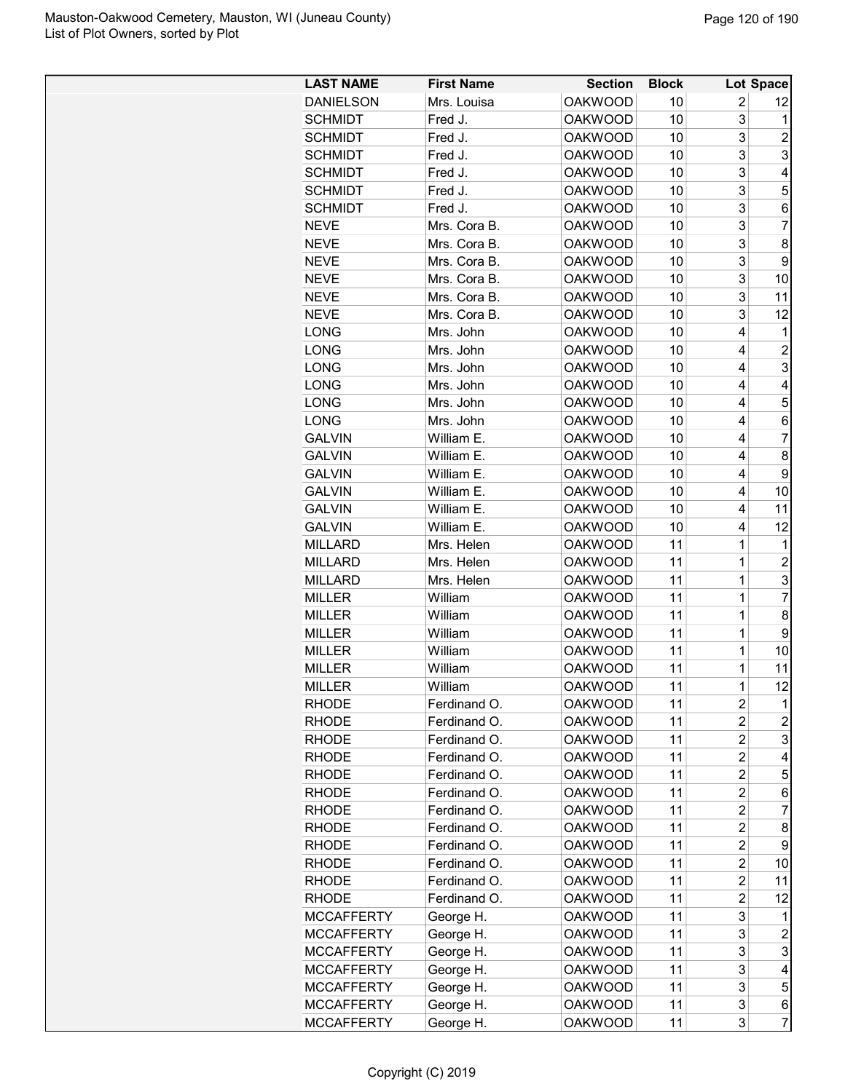| <b>LAST NAME</b>  | <b>First Name</b> | <b>Section</b> | <b>Block</b> |                | Lot Space      |
|-------------------|-------------------|----------------|--------------|----------------|----------------|
| <b>DANIELSON</b>  | Mrs. Louisa       | <b>OAKWOOD</b> | 10           | 2              | 12             |
| <b>SCHMIDT</b>    | Fred J.           | <b>OAKWOOD</b> | 10           | 3              | 1              |
| <b>SCHMIDT</b>    | Fred J.           | <b>OAKWOOD</b> | 10           | 3              | $\overline{c}$ |
| <b>SCHMIDT</b>    | Fred J.           | <b>OAKWOOD</b> | 10           | 3              | 3              |
| <b>SCHMIDT</b>    | Fred J.           | <b>OAKWOOD</b> | 10           | 3              | 4              |
| <b>SCHMIDT</b>    | Fred J.           | <b>OAKWOOD</b> | 10           | 3              | 5              |
| <b>SCHMIDT</b>    | Fred J.           | <b>OAKWOOD</b> | 10           | 3              | 6              |
| <b>NEVE</b>       | Mrs. Cora B.      | <b>OAKWOOD</b> | 10           | 3              | $\overline{7}$ |
| <b>NEVE</b>       | Mrs. Cora B.      | <b>OAKWOOD</b> | 10           | 3              | 8              |
| <b>NEVE</b>       | Mrs. Cora B.      | <b>OAKWOOD</b> | 10           | 3              | 9              |
| <b>NEVE</b>       | Mrs. Cora B.      | <b>OAKWOOD</b> | 10           | 3              | 10             |
| <b>NEVE</b>       | Mrs. Cora B.      | <b>OAKWOOD</b> | 10           | 3              | 11             |
| <b>NEVE</b>       | Mrs. Cora B.      | <b>OAKWOOD</b> | 10           | 3              | 12             |
| <b>LONG</b>       | Mrs. John         | <b>OAKWOOD</b> | 10           | 4              | 1              |
| LONG              | Mrs. John         | <b>OAKWOOD</b> | 10           | 4              | $\overline{c}$ |
| LONG              | Mrs. John         | <b>OAKWOOD</b> | 10           | 4              | 3              |
| <b>LONG</b>       | Mrs. John         | <b>OAKWOOD</b> | 10           | 4              | 4              |
| LONG              | Mrs. John         | <b>OAKWOOD</b> | 10           | 4              | 5              |
| <b>LONG</b>       | Mrs. John         | <b>OAKWOOD</b> | 10           | 4              | 6              |
| <b>GALVIN</b>     | William E.        | <b>OAKWOOD</b> | 10           | 4              | $\overline{7}$ |
| <b>GALVIN</b>     | William E.        | <b>OAKWOOD</b> | 10           | 4              | 8              |
| <b>GALVIN</b>     | William E.        | <b>OAKWOOD</b> | 10           | 4              | 9              |
| <b>GALVIN</b>     | William E.        | <b>OAKWOOD</b> | 10           | 4              | 10             |
| <b>GALVIN</b>     | William E.        | <b>OAKWOOD</b> | 10           | 4              | 11             |
| <b>GALVIN</b>     | William E.        | <b>OAKWOOD</b> | 10           | 4              | 12             |
| MILLARD           | Mrs. Helen        | <b>OAKWOOD</b> | 11           | 1              | 1              |
| <b>MILLARD</b>    | Mrs. Helen        | <b>OAKWOOD</b> | 11           | 1              | $\overline{c}$ |
| <b>MILLARD</b>    | Mrs. Helen        | <b>OAKWOOD</b> | 11           | 1              | 3              |
| <b>MILLER</b>     | William           | <b>OAKWOOD</b> | 11           | 1              | $\overline{7}$ |
| <b>MILLER</b>     | William           | <b>OAKWOOD</b> | 11           | 1              | 8              |
| <b>MILLER</b>     | William           | <b>OAKWOOD</b> | 11           | $\mathbf 1$    | 9              |
| <b>MILLER</b>     | William           | <b>OAKWOOD</b> | 11           | $\mathbf 1$    | 10             |
| <b>MILLER</b>     | William           | <b>OAKWOOD</b> | 11           | $\mathbf 1$    | 11             |
| <b>MILLER</b>     | William           | <b>OAKWOOD</b> | 11           | $\mathbf 1$    | 12             |
| RHODE             | Ferdinand O.      | <b>OAKWOOD</b> | 11           | 2              | 1              |
| <b>RHODE</b>      | Ferdinand O.      | <b>OAKWOOD</b> | 11           | 2              | $\overline{c}$ |
| RHODE             | Ferdinand O.      | <b>OAKWOOD</b> | 11           | 2              | 3              |
| RHODE             | Ferdinand O.      | <b>OAKWOOD</b> | 11           | $\overline{c}$ | 4              |
| <b>RHODE</b>      | Ferdinand O.      | <b>OAKWOOD</b> | 11           | 2              | 5              |
| <b>RHODE</b>      | Ferdinand O.      | <b>OAKWOOD</b> | 11           | 2              | 6              |
| <b>RHODE</b>      | Ferdinand O.      | <b>OAKWOOD</b> | 11           | 2              | 7              |
| <b>RHODE</b>      | Ferdinand O.      | <b>OAKWOOD</b> | 11           | 2              | 8              |
| <b>RHODE</b>      | Ferdinand O.      | <b>OAKWOOD</b> | 11           | 2              | 9              |
| <b>RHODE</b>      | Ferdinand O.      | <b>OAKWOOD</b> | 11           | 2              | 10             |
| <b>RHODE</b>      | Ferdinand O.      | <b>OAKWOOD</b> | 11           | $\overline{c}$ | 11             |
| <b>RHODE</b>      | Ferdinand O.      | <b>OAKWOOD</b> | 11           | 2              | 12             |
| <b>MCCAFFERTY</b> | George H.         | <b>OAKWOOD</b> | 11           | 3              | 1              |
| <b>MCCAFFERTY</b> | George H.         | <b>OAKWOOD</b> | 11           | 3              | 2              |
| <b>MCCAFFERTY</b> | George H.         | <b>OAKWOOD</b> | 11           | 3              | 3              |
| <b>MCCAFFERTY</b> | George H.         | <b>OAKWOOD</b> | 11           | 3              | 4              |
| MCCAFFERTY        | George H.         | <b>OAKWOOD</b> | 11           | 3              | 5              |
| <b>MCCAFFERTY</b> | George H.         | <b>OAKWOOD</b> | 11           | 3              | 6              |
| <b>MCCAFFERTY</b> | George H.         | <b>OAKWOOD</b> | 11           | 3              | $\overline{7}$ |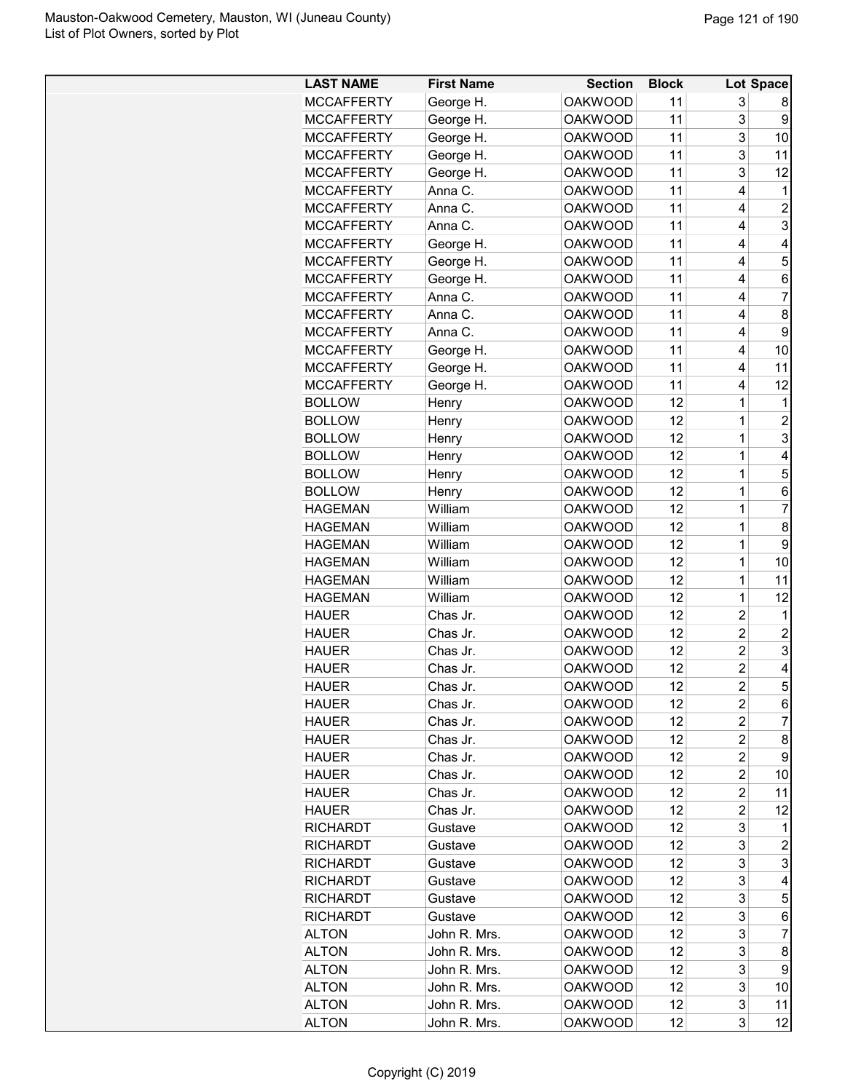| <b>LAST NAME</b>  | <b>First Name</b> | <b>Section</b> | <b>Block</b> |                | Lot Space      |
|-------------------|-------------------|----------------|--------------|----------------|----------------|
| <b>MCCAFFERTY</b> | George H.         | <b>OAKWOOD</b> | 11           | 3              | 8              |
| <b>MCCAFFERTY</b> | George H.         | <b>OAKWOOD</b> | 11           | 3              | 9              |
| <b>MCCAFFERTY</b> | George H.         | <b>OAKWOOD</b> | 11           | 3              | 10             |
| <b>MCCAFFERTY</b> | George H.         | <b>OAKWOOD</b> | 11           | 3              | 11             |
| <b>MCCAFFERTY</b> | George H.         | <b>OAKWOOD</b> | 11           | 3              | 12             |
| <b>MCCAFFERTY</b> | Anna C.           | <b>OAKWOOD</b> | 11           | 4              | 1              |
| <b>MCCAFFERTY</b> | Anna C.           | <b>OAKWOOD</b> | 11           | 4              | $\overline{2}$ |
| <b>MCCAFFERTY</b> | Anna C.           | <b>OAKWOOD</b> | 11           | 4              | 3              |
| <b>MCCAFFERTY</b> | George H.         | <b>OAKWOOD</b> | 11           | 4              | 4              |
| <b>MCCAFFERTY</b> | George H.         | <b>OAKWOOD</b> | 11           | 4              | 5              |
| <b>MCCAFFERTY</b> | George H.         | <b>OAKWOOD</b> | 11           | 4              | 6              |
| <b>MCCAFFERTY</b> | Anna C.           | <b>OAKWOOD</b> | 11           | 4              | $\overline{7}$ |
| <b>MCCAFFERTY</b> | Anna C.           | <b>OAKWOOD</b> | 11           | 4              | 8              |
| <b>MCCAFFERTY</b> | Anna C.           | <b>OAKWOOD</b> | 11           | 4              | 9              |
| <b>MCCAFFERTY</b> | George H.         | <b>OAKWOOD</b> | 11           | 4              | 10             |
| <b>MCCAFFERTY</b> | George H.         | <b>OAKWOOD</b> | 11           | 4              | 11             |
| <b>MCCAFFERTY</b> | George H.         | <b>OAKWOOD</b> | 11           | 4              | 12             |
| <b>BOLLOW</b>     | Henry             | <b>OAKWOOD</b> | 12           | $\mathbf 1$    | 1              |
| <b>BOLLOW</b>     | Henry             | <b>OAKWOOD</b> | 12           | 1              | $\overline{2}$ |
| <b>BOLLOW</b>     | Henry             | <b>OAKWOOD</b> | 12           | 1              | 3              |
| <b>BOLLOW</b>     | Henry             | <b>OAKWOOD</b> | 12           | $\mathbf 1$    | $\overline{4}$ |
| <b>BOLLOW</b>     | Henry             | <b>OAKWOOD</b> | 12           | $\mathbf 1$    | 5              |
| <b>BOLLOW</b>     | Henry             | <b>OAKWOOD</b> | 12           | $\mathbf 1$    | 6              |
| <b>HAGEMAN</b>    | William           | <b>OAKWOOD</b> | 12           | $\mathbf 1$    | $\overline{7}$ |
| <b>HAGEMAN</b>    | William           | <b>OAKWOOD</b> | 12           | $\mathbf 1$    | 8              |
| <b>HAGEMAN</b>    | William           | <b>OAKWOOD</b> | 12           | 1              | 9              |
| <b>HAGEMAN</b>    | William           | <b>OAKWOOD</b> | 12           | 1              | 10             |
| <b>HAGEMAN</b>    | William           | <b>OAKWOOD</b> | 12           | $\mathbf 1$    | 11             |
| <b>HAGEMAN</b>    | William           | <b>OAKWOOD</b> | 12           | $\mathbf 1$    | 12             |
| <b>HAUER</b>      | Chas Jr.          | <b>OAKWOOD</b> | 12           | $\overline{2}$ | 1              |
| <b>HAUER</b>      | Chas Jr.          | <b>OAKWOOD</b> | 12           | $\overline{2}$ | $\overline{2}$ |
| <b>HAUER</b>      | Chas Jr.          | <b>OAKWOOD</b> | 12           | $\overline{2}$ | 3              |
| <b>HAUER</b>      | Chas Jr.          | <b>OAKWOOD</b> | 12           | $\overline{c}$ | 4              |
| <b>HAUER</b>      | Chas Jr.          | <b>OAKWOOD</b> | 12           | $\overline{2}$ | 5              |
| <b>HAUER</b>      | Chas Jr.          | <b>OAKWOOD</b> | 12           | 2              | 6              |
| <b>HAUER</b>      | Chas Jr.          | <b>OAKWOOD</b> | 12           | 2              | 7              |
| <b>HAUER</b>      | Chas Jr.          | <b>OAKWOOD</b> | 12           | 2              | 8              |
| <b>HAUER</b>      | Chas Jr.          | <b>OAKWOOD</b> | 12           | 2              | 9              |
| <b>HAUER</b>      | Chas Jr.          | <b>OAKWOOD</b> | 12           | 2              | 10             |
| <b>HAUER</b>      | Chas Jr.          | <b>OAKWOOD</b> | 12           | 2              | 11             |
| <b>HAUER</b>      | Chas Jr.          | <b>OAKWOOD</b> | 12           | 2              | 12             |
| <b>RICHARDT</b>   | Gustave           | <b>OAKWOOD</b> | 12           | 3              | 1              |
| <b>RICHARDT</b>   | Gustave           | <b>OAKWOOD</b> | 12           | 3              | $\overline{2}$ |
| <b>RICHARDT</b>   | Gustave           | <b>OAKWOOD</b> | 12           | 3              | 3              |
| <b>RICHARDT</b>   | Gustave           | <b>OAKWOOD</b> | 12           | 3              | 4              |
| <b>RICHARDT</b>   | Gustave           | <b>OAKWOOD</b> | 12           | 3              | 5              |
| <b>RICHARDT</b>   | Gustave           | <b>OAKWOOD</b> | 12           | 3              | 6              |
| <b>ALTON</b>      | John R. Mrs.      | <b>OAKWOOD</b> | 12           | 3              | 7              |
| <b>ALTON</b>      | John R. Mrs.      | <b>OAKWOOD</b> | 12           | 3              | 8              |
| <b>ALTON</b>      | John R. Mrs.      | OAKWOOD        | 12           | 3              | 9              |
| <b>ALTON</b>      | John R. Mrs.      | <b>OAKWOOD</b> | 12           | 3              | 10             |
| <b>ALTON</b>      | John R. Mrs.      | <b>OAKWOOD</b> | 12           | 3              | 11             |
| <b>ALTON</b>      | John R. Mrs.      | <b>OAKWOOD</b> | 12           | 3              | 12             |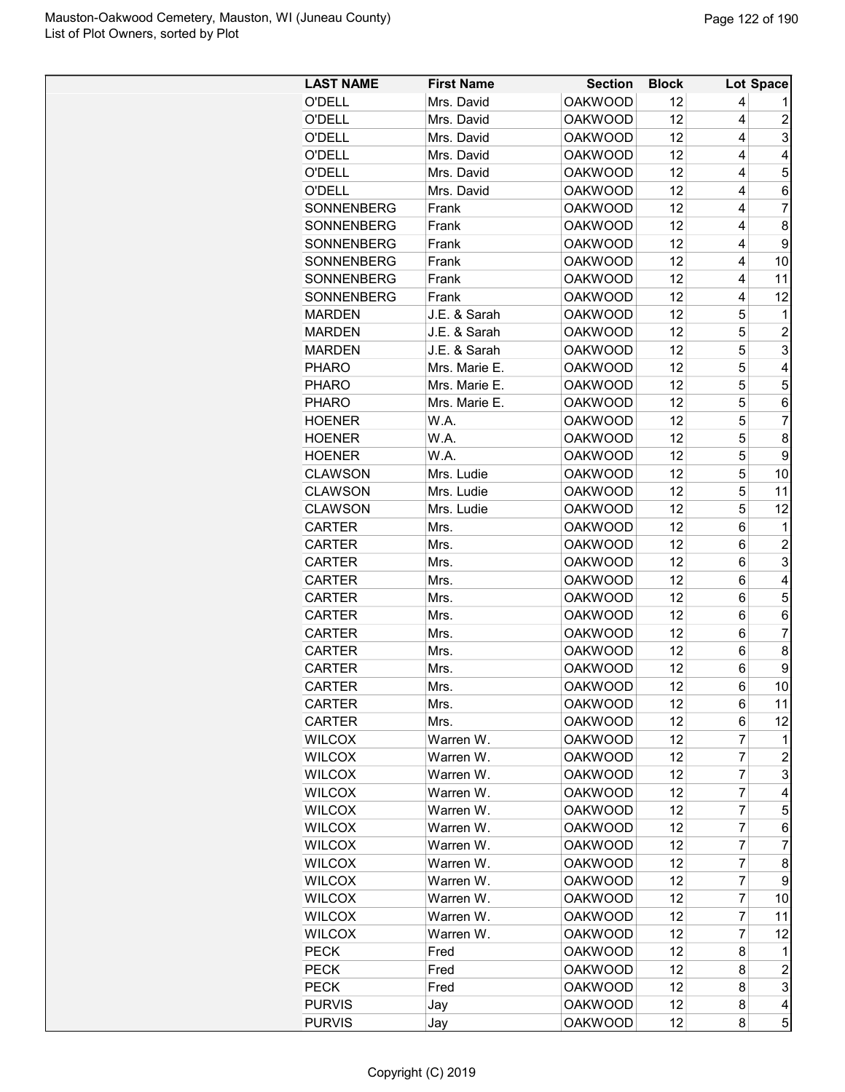| <b>LAST NAME</b>  | <b>First Name</b> | <b>Section</b> | <b>Block</b> |          | Lot Space      |
|-------------------|-------------------|----------------|--------------|----------|----------------|
| <b>O'DELL</b>     | Mrs. David        | <b>OAKWOOD</b> | 12           | 4        |                |
| <b>O'DELL</b>     | Mrs. David        | <b>OAKWOOD</b> | 12           | 4        | 2              |
| <b>O'DELL</b>     | Mrs. David        | <b>OAKWOOD</b> | 12           | 4        | 3              |
| O'DELL            | Mrs. David        | <b>OAKWOOD</b> | 12           | 4        | 4              |
| O'DELL            | Mrs. David        | <b>OAKWOOD</b> | 12           | 4        | 5              |
| O'DELL            | Mrs. David        | <b>OAKWOOD</b> | 12           | 4        | 6              |
| SONNENBERG        | Frank             | <b>OAKWOOD</b> | 12           | 4        | $\overline{7}$ |
| SONNENBERG        | Frank             | <b>OAKWOOD</b> | 12           | 4        | 8              |
| SONNENBERG        | Frank             | <b>OAKWOOD</b> | 12           | 4        | 9              |
| <b>SONNENBERG</b> | Frank             | <b>OAKWOOD</b> | 12           | 4        | 10             |
| SONNENBERG        | Frank             | <b>OAKWOOD</b> | 12           | 4        | 11             |
| SONNENBERG        | Frank             | <b>OAKWOOD</b> | 12           | 4        | 12             |
| <b>MARDEN</b>     | J.E. & Sarah      | <b>OAKWOOD</b> | 12           | 5        | 1              |
| <b>MARDEN</b>     | J.E. & Sarah      | <b>OAKWOOD</b> | 12           | 5        | $\overline{c}$ |
| <b>MARDEN</b>     | J.E. & Sarah      | <b>OAKWOOD</b> | 12           | 5        | 3              |
| <b>PHARO</b>      | Mrs. Marie E.     | <b>OAKWOOD</b> | 12           | 5        | 4              |
| <b>PHARO</b>      | Mrs. Marie E.     | <b>OAKWOOD</b> | 12           | 5        | 5              |
| <b>PHARO</b>      | Mrs. Marie E.     | <b>OAKWOOD</b> | 12           | 5        | 6              |
|                   | W.A.              | <b>OAKWOOD</b> | 12           | 5        | $\overline{7}$ |
| <b>HOENER</b>     |                   |                |              | 5        | 8              |
| <b>HOENER</b>     | W.A.              | <b>OAKWOOD</b> | 12           |          |                |
| <b>HOENER</b>     | W.A.              | <b>OAKWOOD</b> | 12           | 5        | 9              |
| <b>CLAWSON</b>    | Mrs. Ludie        | <b>OAKWOOD</b> | 12           | 5        | 10             |
| <b>CLAWSON</b>    | Mrs. Ludie        | <b>OAKWOOD</b> | 12           | 5        | 11             |
| <b>CLAWSON</b>    | Mrs. Ludie        | <b>OAKWOOD</b> | 12           | 5        | 12             |
| <b>CARTER</b>     | Mrs.              | <b>OAKWOOD</b> | 12           | 6        | 1              |
| <b>CARTER</b>     | Mrs.              | <b>OAKWOOD</b> | 12           | 6        | $\overline{2}$ |
| <b>CARTER</b>     | Mrs.              | <b>OAKWOOD</b> | 12           | 6        | 3              |
| <b>CARTER</b>     | Mrs.              | <b>OAKWOOD</b> | 12           | 6        | 4              |
| <b>CARTER</b>     | Mrs.              | <b>OAKWOOD</b> | 12           | 6        | 5              |
| <b>CARTER</b>     | Mrs.              | <b>OAKWOOD</b> | 12           | 6        | 6              |
| <b>CARTER</b>     | Mrs.              | <b>OAKWOOD</b> | 12           | 6        | 7              |
| <b>CARTER</b>     | Mrs.              | <b>OAKWOOD</b> | 12           | 6        | 8              |
| <b>CARTER</b>     | Mrs.              | <b>OAKWOOD</b> | 12           | 6        | 9              |
| CARTER            | Mrs.              | <b>OAKWOOD</b> | 12           | $6\vert$ | 10             |
| CARTER            | Mrs.              | <b>OAKWOOD</b> | 12           | 6        | 11             |
| <b>CARTER</b>     | Mrs.              | <b>OAKWOOD</b> | 12           | 6        | 12             |
| <b>WILCOX</b>     | Warren W.         | <b>OAKWOOD</b> | 12           | 7        | 1              |
| <b>WILCOX</b>     | Warren W.         | <b>OAKWOOD</b> | 12           | 7        | 2              |
| <b>WILCOX</b>     | Warren W.         | <b>OAKWOOD</b> | 12           | 7        | 3              |
| <b>WILCOX</b>     | Warren W.         | <b>OAKWOOD</b> | 12           | 7        | 4              |
| <b>WILCOX</b>     | Warren W.         | <b>OAKWOOD</b> | 12           | 7        | 5              |
| <b>WILCOX</b>     | Warren W.         | <b>OAKWOOD</b> | 12           | 7        | 6              |
| <b>WILCOX</b>     | Warren W.         | <b>OAKWOOD</b> | 12           | 7        | 7              |
| <b>WILCOX</b>     | Warren W.         | <b>OAKWOOD</b> | 12           | 7        | 8              |
| <b>WILCOX</b>     | Warren W.         | <b>OAKWOOD</b> | 12           | 7        | 9              |
| <b>WILCOX</b>     | Warren W.         | <b>OAKWOOD</b> | 12           | 7        | 10             |
| <b>WILCOX</b>     | Warren W.         | <b>OAKWOOD</b> | 12           | 7        | 11             |
| <b>WILCOX</b>     | Warren W.         | <b>OAKWOOD</b> | 12           | 7        | 12             |
| <b>PECK</b>       | Fred              | <b>OAKWOOD</b> | 12           | 8        | 1              |
| <b>PECK</b>       | Fred              | <b>OAKWOOD</b> | 12           | 8        | $\overline{c}$ |
| <b>PECK</b>       | Fred              | <b>OAKWOOD</b> | 12           | 8        | 3              |
| <b>PURVIS</b>     | Jay               | <b>OAKWOOD</b> | 12           | 8        | 4              |
| <b>PURVIS</b>     | Jay               | <b>OAKWOOD</b> | 12           | 8        | 5              |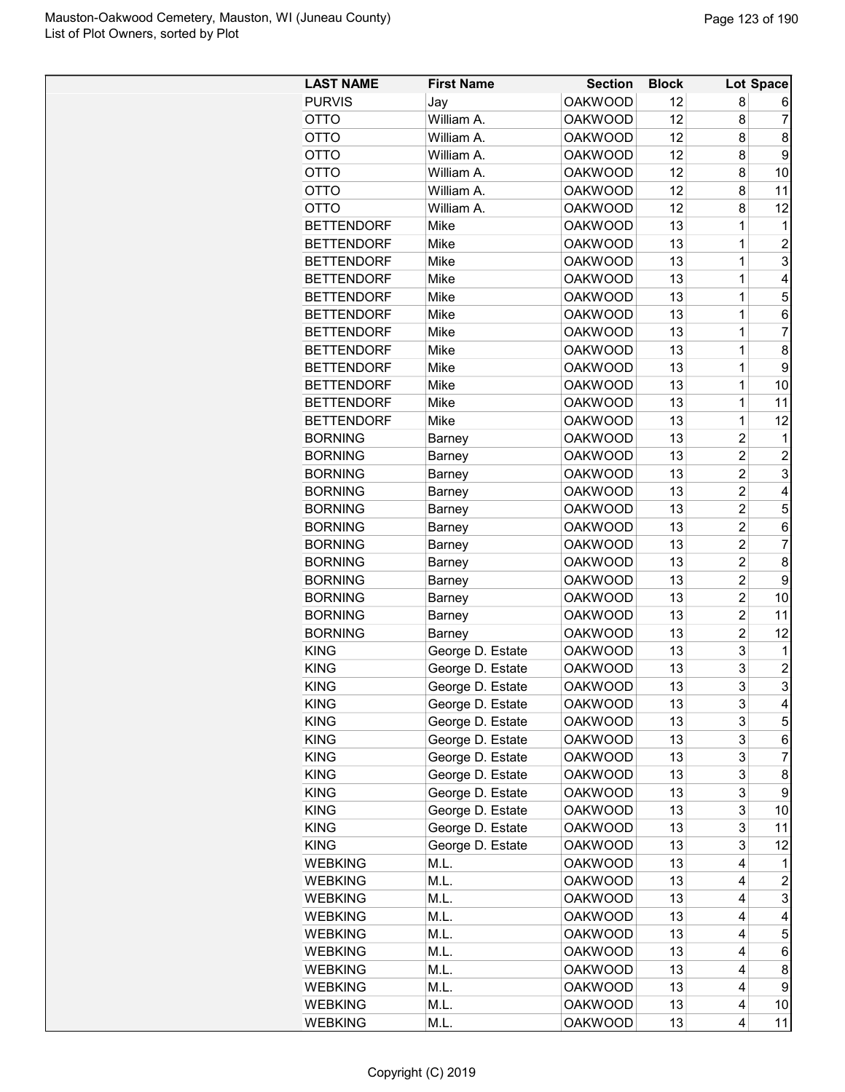| <b>LAST NAME</b>  | <b>First Name</b> | <b>Section</b> | <b>Block</b> |                | Lot Space      |
|-------------------|-------------------|----------------|--------------|----------------|----------------|
| <b>PURVIS</b>     | Jay               | <b>OAKWOOD</b> | 12           | 8              | 6              |
| OTTO              | William A.        | <b>OAKWOOD</b> | 12           | 8              | 7              |
| OTTO              | William A.        | <b>OAKWOOD</b> | 12           | 8              | 8              |
| <b>OTTO</b>       | William A.        | <b>OAKWOOD</b> | 12           | 8              | 9              |
| <b>OTTO</b>       | William A.        | <b>OAKWOOD</b> | 12           | 8              | 10             |
| <b>OTTO</b>       | William A.        | <b>OAKWOOD</b> | 12           | 8              | 11             |
| <b>OTTO</b>       | William A.        | <b>OAKWOOD</b> | 12           | 8              | 12             |
| <b>BETTENDORF</b> | Mike              | <b>OAKWOOD</b> | 13           | 1              | 1              |
| <b>BETTENDORF</b> | Mike              | <b>OAKWOOD</b> | 13           | 1              | $\overline{2}$ |
| <b>BETTENDORF</b> | Mike              | <b>OAKWOOD</b> | 13           | 1              | 3              |
| <b>BETTENDORF</b> |                   | <b>OAKWOOD</b> | 13           | 1              | 4              |
| <b>BETTENDORF</b> | Mike<br>Mike      | <b>OAKWOOD</b> | 13           | 1              | 5              |
|                   |                   |                |              |                |                |
| <b>BETTENDORF</b> | Mike              | <b>OAKWOOD</b> | 13           | 1              | 6              |
| <b>BETTENDORF</b> | Mike              | <b>OAKWOOD</b> | 13           | $\mathbf 1$    | $\overline{7}$ |
| <b>BETTENDORF</b> | Mike              | <b>OAKWOOD</b> | 13           | 1              | 8              |
| <b>BETTENDORF</b> | Mike              | <b>OAKWOOD</b> | 13           | 1              | 9              |
| <b>BETTENDORF</b> | Mike              | <b>OAKWOOD</b> | 13           | 1              | 10             |
| <b>BETTENDORF</b> | Mike              | <b>OAKWOOD</b> | 13           | 1              | 11             |
| <b>BETTENDORF</b> | Mike              | <b>OAKWOOD</b> | 13           | 1              | 12             |
| <b>BORNING</b>    | Barney            | <b>OAKWOOD</b> | 13           | 2              | 1              |
| <b>BORNING</b>    | Barney            | <b>OAKWOOD</b> | 13           | $\overline{c}$ | $\overline{2}$ |
| <b>BORNING</b>    | Barney            | <b>OAKWOOD</b> | 13           | $\overline{2}$ | 3              |
| <b>BORNING</b>    | Barney            | <b>OAKWOOD</b> | 13           | $\overline{c}$ | 4              |
| <b>BORNING</b>    | Barney            | <b>OAKWOOD</b> | 13           | $\overline{c}$ | 5              |
| <b>BORNING</b>    | Barney            | <b>OAKWOOD</b> | 13           | $\overline{c}$ | 6              |
| <b>BORNING</b>    | Barney            | <b>OAKWOOD</b> | 13           | $\overline{c}$ | 7              |
| <b>BORNING</b>    | Barney            | <b>OAKWOOD</b> | 13           | $\overline{c}$ | 8              |
| <b>BORNING</b>    | Barney            | <b>OAKWOOD</b> | 13           | 2              | 9              |
| <b>BORNING</b>    | Barney            | <b>OAKWOOD</b> | 13           | $\overline{2}$ | 10             |
| <b>BORNING</b>    | Barney            | <b>OAKWOOD</b> | 13           | $\overline{2}$ | 11             |
| <b>BORNING</b>    | Barney            | <b>OAKWOOD</b> | 13           | 2              | 12             |
| <b>KING</b>       | George D. Estate  | <b>OAKWOOD</b> | 13           | 3              | 1              |
| <b>KING</b>       | George D. Estate  | <b>OAKWOOD</b> | 13           | 3              | $\overline{c}$ |
| <b>KING</b>       | George D. Estate  | <b>OAKWOOD</b> | 13           | 3              | R              |
| <b>KING</b>       | George D. Estate  | <b>OAKWOOD</b> | 13           | 3              | 4              |
| <b>KING</b>       | George D. Estate  | <b>OAKWOOD</b> | 13           | 3              | 5              |
| <b>KING</b>       | George D. Estate  | <b>OAKWOOD</b> | 13           | 3              | 6              |
| <b>KING</b>       | George D. Estate  | <b>OAKWOOD</b> | 13           | 3              | 7              |
| <b>KING</b>       | George D. Estate  | <b>OAKWOOD</b> | 13           | 3              | 8              |
| <b>KING</b>       | George D. Estate  | <b>OAKWOOD</b> | 13           | 3              | 9              |
| <b>KING</b>       | George D. Estate  | <b>OAKWOOD</b> | 13           | 3              | 10             |
| <b>KING</b>       | George D. Estate  | <b>OAKWOOD</b> | 13           | 3              | 11             |
| <b>KING</b>       | George D. Estate  | <b>OAKWOOD</b> | 13           | 3              | 12             |
| <b>WEBKING</b>    | M.L.              | <b>OAKWOOD</b> | 13           | 4              | 1              |
| <b>WEBKING</b>    | M.L.              | <b>OAKWOOD</b> | 13           | 4              | 2              |
| <b>WEBKING</b>    | M.L.              | <b>OAKWOOD</b> | 13           | 4              | 3              |
| <b>WEBKING</b>    | M.L.              | <b>OAKWOOD</b> | 13           | 4              | 4              |
| <b>WEBKING</b>    | M.L.              | <b>OAKWOOD</b> | 13           | 4              | 5              |
| <b>WEBKING</b>    | M.L.              | <b>OAKWOOD</b> | 13           | 4              | 6              |
|                   |                   |                | 13           | 4              |                |
| <b>WEBKING</b>    | M.L.              | <b>OAKWOOD</b> | 13           | 4              | 8<br>9         |
| <b>WEBKING</b>    | M.L.              | <b>OAKWOOD</b> |              |                |                |
| <b>WEBKING</b>    | M.L.              | <b>OAKWOOD</b> | 13           | 4              | 10             |
| <b>WEBKING</b>    | M.L.              | <b>OAKWOOD</b> | 13           | 4              | 11             |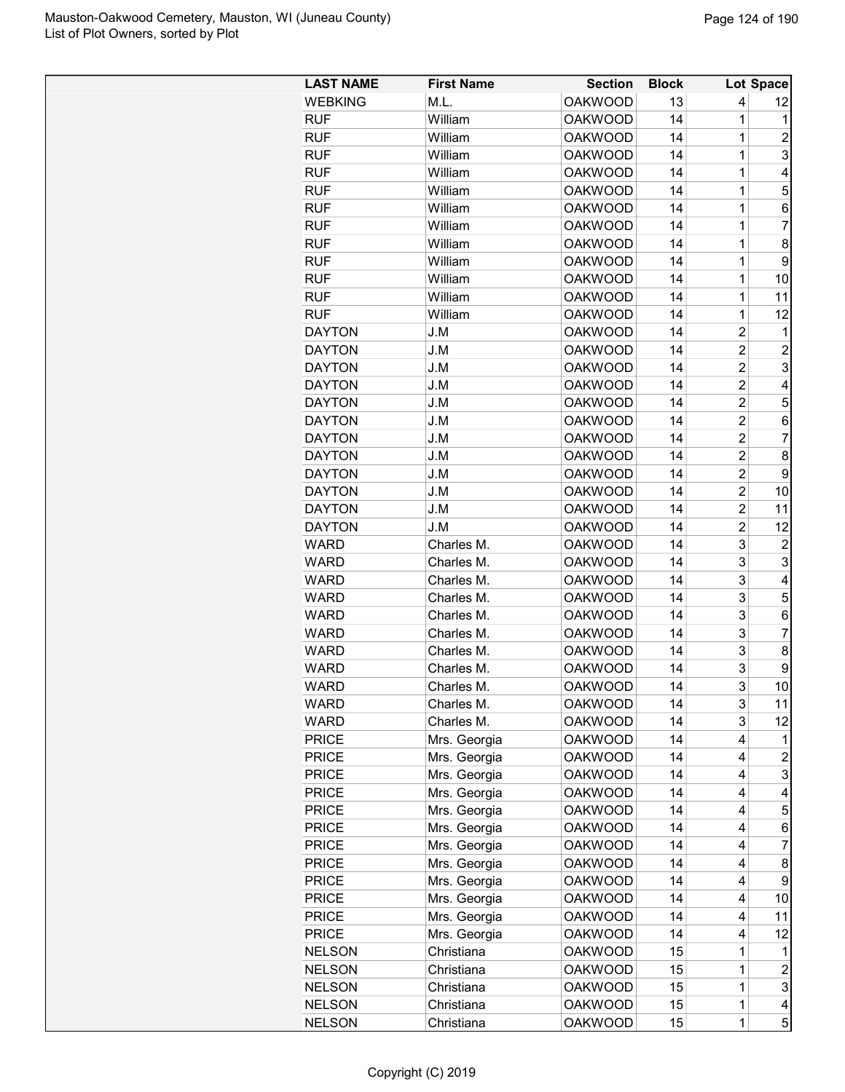| <b>LAST NAME</b> | <b>First Name</b> | <b>Section</b> | <b>Block</b> |                | <b>Lot Space</b>        |
|------------------|-------------------|----------------|--------------|----------------|-------------------------|
| <b>WEBKING</b>   | M.L.              | <b>OAKWOOD</b> | 13           | 4              | 12                      |
| <b>RUF</b>       | William           | <b>OAKWOOD</b> | 14           | 1              | 1                       |
| <b>RUF</b>       | William           | <b>OAKWOOD</b> | 14           | 1              | 2                       |
| <b>RUF</b>       | William           | <b>OAKWOOD</b> | 14           | $\mathbf 1$    | 3                       |
| <b>RUF</b>       | William           | <b>OAKWOOD</b> | 14           | 1              | 4                       |
| <b>RUF</b>       | William           | <b>OAKWOOD</b> | 14           | 1              | 5                       |
| <b>RUF</b>       | William           | <b>OAKWOOD</b> | 14           | 1              | 6                       |
| <b>RUF</b>       | William           | <b>OAKWOOD</b> | 14           | 1              | 7                       |
| <b>RUF</b>       | William           | <b>OAKWOOD</b> | 14           | 1              | 8                       |
| <b>RUF</b>       | William           | <b>OAKWOOD</b> | 14           | 1              | 9                       |
| <b>RUF</b>       | William           | <b>OAKWOOD</b> | 14           | 1              | 10                      |
| <b>RUF</b>       | William           | <b>OAKWOOD</b> | 14           | 1              | 11                      |
| <b>RUF</b>       | William           | <b>OAKWOOD</b> | 14           | 1              | 12                      |
| <b>DAYTON</b>    | J.M               | <b>OAKWOOD</b> | 14           | 2              | $\mathbf 1$             |
| <b>DAYTON</b>    | J.M               | <b>OAKWOOD</b> | 14           | $\overline{c}$ | $\overline{c}$          |
| <b>DAYTON</b>    | J.M               | <b>OAKWOOD</b> | 14           | $\overline{2}$ | 3                       |
| <b>DAYTON</b>    | J.M               | <b>OAKWOOD</b> | 14           | $\overline{c}$ | 4                       |
| <b>DAYTON</b>    | J.M               | <b>OAKWOOD</b> | 14           | $\overline{2}$ | 5                       |
| <b>DAYTON</b>    | J.M               | <b>OAKWOOD</b> | 14           | $\overline{2}$ | 6                       |
| <b>DAYTON</b>    | J.M               | <b>OAKWOOD</b> | 14           | $\overline{c}$ | 7                       |
|                  |                   |                |              |                |                         |
| <b>DAYTON</b>    | J.M               | <b>OAKWOOD</b> | 14           | 2              | 8                       |
| <b>DAYTON</b>    | J.M               | <b>OAKWOOD</b> | 14           | $\overline{2}$ | 9                       |
| <b>DAYTON</b>    | J.M               | <b>OAKWOOD</b> | 14           | $\overline{c}$ | 10                      |
| <b>DAYTON</b>    | J.M               | <b>OAKWOOD</b> | 14           | $\overline{2}$ | 11                      |
| <b>DAYTON</b>    | J.M               | <b>OAKWOOD</b> | 14           | $\overline{2}$ | 12                      |
| <b>WARD</b>      | Charles M.        | <b>OAKWOOD</b> | 14           | 3              | 2                       |
| <b>WARD</b>      | Charles M.        | <b>OAKWOOD</b> | 14           | 3              | 3                       |
| <b>WARD</b>      | Charles M.        | <b>OAKWOOD</b> | 14           | 3              | 4                       |
| <b>WARD</b>      | Charles M.        | <b>OAKWOOD</b> | 14           | 3              | 5                       |
| <b>WARD</b>      | Charles M.        | <b>OAKWOOD</b> | 14           | 3              | 6                       |
| <b>WARD</b>      | Charles M.        | <b>OAKWOOD</b> | 14           | 3              | $\overline{7}$          |
| <b>WARD</b>      | Charles M.        | <b>OAKWOOD</b> | 14           | 3              | 8                       |
| <b>WARD</b>      | Charles M.        | <b>OAKWOOD</b> | 14           | 3              | 9                       |
| WARD             | Charles M.        | <b>OAKWOOD</b> | 14           | 3              | 101                     |
| <b>WARD</b>      | Charles M.        | <b>OAKWOOD</b> | 14           | 3              | 11                      |
| WARD             | Charles M.        | <b>OAKWOOD</b> | 14           | 3              | 12                      |
| <b>PRICE</b>     | Mrs. Georgia      | <b>OAKWOOD</b> | 14           | 4              | 1                       |
| <b>PRICE</b>     | Mrs. Georgia      | <b>OAKWOOD</b> | 14           | 4              | $\overline{c}$          |
| <b>PRICE</b>     | Mrs. Georgia      | <b>OAKWOOD</b> | 14           | 4              | 3                       |
| <b>PRICE</b>     | Mrs. Georgia      | <b>OAKWOOD</b> | 14           | 4              | 4                       |
| <b>PRICE</b>     | Mrs. Georgia      | <b>OAKWOOD</b> | 14           | 4              | 5                       |
| <b>PRICE</b>     | Mrs. Georgia      | <b>OAKWOOD</b> | 14           | 4              | 6                       |
| <b>PRICE</b>     | Mrs. Georgia      | <b>OAKWOOD</b> | 14           | 4              | 7                       |
| <b>PRICE</b>     | Mrs. Georgia      | <b>OAKWOOD</b> | 14           | 4              | 8                       |
| <b>PRICE</b>     | Mrs. Georgia      | <b>OAKWOOD</b> | 14           | 4              | 9                       |
| <b>PRICE</b>     | Mrs. Georgia      | <b>OAKWOOD</b> | 14           | 4              | 10                      |
| <b>PRICE</b>     | Mrs. Georgia      | <b>OAKWOOD</b> | 14           | 4              | 11                      |
| <b>PRICE</b>     | Mrs. Georgia      | <b>OAKWOOD</b> | 14           | 4              | 12                      |
| <b>NELSON</b>    | Christiana        | <b>OAKWOOD</b> | 15           | 1              | 1                       |
| <b>NELSON</b>    | Christiana        | <b>OAKWOOD</b> | 15           | 1              | $\overline{\mathbf{c}}$ |
| <b>NELSON</b>    | Christiana        | <b>OAKWOOD</b> | 15           | 1              | 3                       |
| <b>NELSON</b>    | Christiana        | <b>OAKWOOD</b> | 15           | 1              | 4                       |
| <b>NELSON</b>    | Christiana        | <b>OAKWOOD</b> | 15           | 1              | 5                       |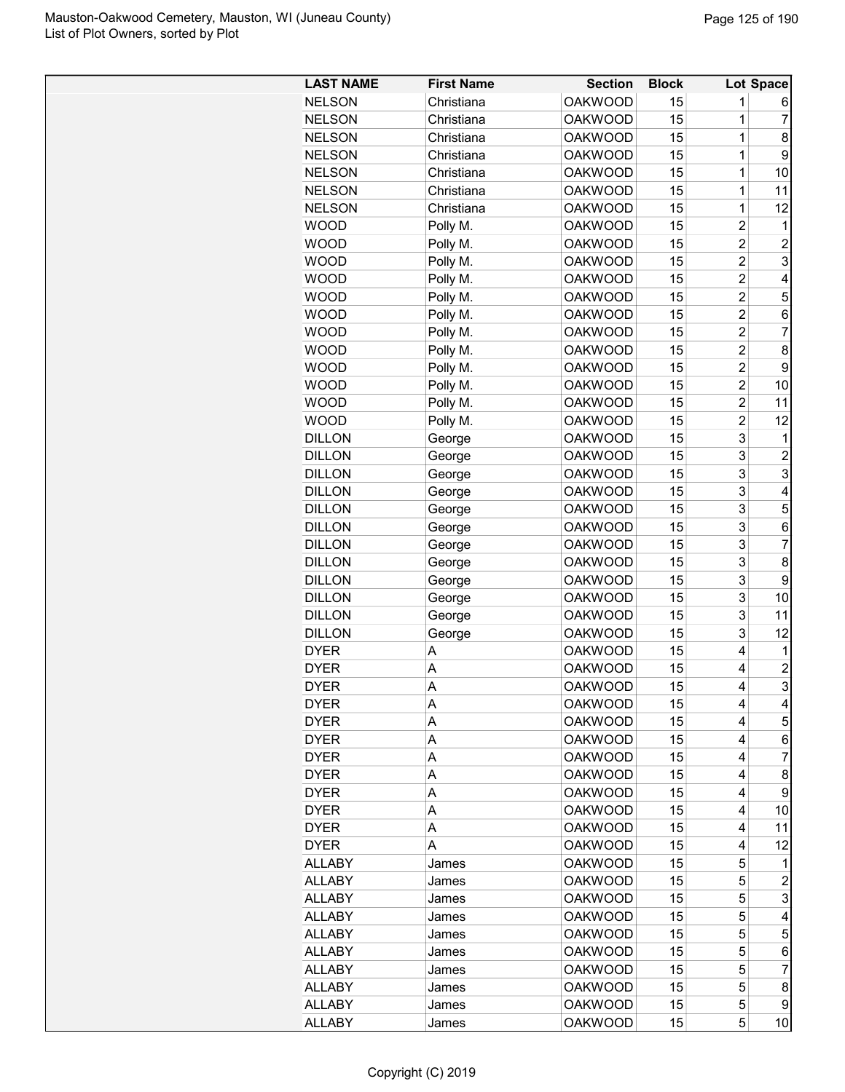| <b>LAST NAME</b> | <b>First Name</b> | <b>Section</b> | <b>Block</b> |                         | Lot Space      |
|------------------|-------------------|----------------|--------------|-------------------------|----------------|
| <b>NELSON</b>    | Christiana        | <b>OAKWOOD</b> | 15           | 1                       | 6              |
| <b>NELSON</b>    | Christiana        | <b>OAKWOOD</b> | 15           | 1                       | $\overline{7}$ |
| <b>NELSON</b>    | Christiana        | <b>OAKWOOD</b> | 15           | 1                       | 8              |
| <b>NELSON</b>    | Christiana        | <b>OAKWOOD</b> | 15           | 1                       | 9              |
| <b>NELSON</b>    | Christiana        | <b>OAKWOOD</b> | 15           | 1                       | 10             |
| <b>NELSON</b>    | Christiana        | <b>OAKWOOD</b> | 15           | 1                       | 11             |
| <b>NELSON</b>    | Christiana        | <b>OAKWOOD</b> | 15           | 1                       | 12             |
| <b>WOOD</b>      | Polly M.          | <b>OAKWOOD</b> | 15           | $\overline{c}$          | 1              |
| <b>WOOD</b>      | Polly M.          | <b>OAKWOOD</b> | 15           | $\overline{2}$          | $\overline{c}$ |
| <b>WOOD</b>      | Polly M.          | <b>OAKWOOD</b> | 15           | $\overline{\mathbf{c}}$ | 3              |
| <b>WOOD</b>      | Polly M.          | <b>OAKWOOD</b> | 15           | $\overline{c}$          | 4              |
| <b>WOOD</b>      | Polly M.          | <b>OAKWOOD</b> | 15           | $\overline{c}$          | 5              |
| <b>WOOD</b>      | Polly M.          | <b>OAKWOOD</b> | 15           | $\overline{c}$          | 6              |
| <b>WOOD</b>      | Polly M.          | <b>OAKWOOD</b> | 15           | $\overline{c}$          | $\overline{7}$ |
| <b>WOOD</b>      | Polly M.          | <b>OAKWOOD</b> | 15           | $\overline{c}$          | 8              |
| <b>WOOD</b>      | Polly M.          | <b>OAKWOOD</b> | 15           | $\overline{2}$          | 9              |
| WOOD             | Polly M.          | <b>OAKWOOD</b> | 15           | $\overline{2}$          | 10             |
| WOOD             | Polly M.          | <b>OAKWOOD</b> | 15           | $\overline{c}$          | 11             |
| <b>WOOD</b>      | Polly M.          | <b>OAKWOOD</b> | 15           | $\overline{c}$          | 12             |
| <b>DILLON</b>    |                   | <b>OAKWOOD</b> | 15           | 3                       | 1              |
| <b>DILLON</b>    | George            | <b>OAKWOOD</b> | 15           | 3                       | $\overline{c}$ |
|                  | George            |                |              |                         |                |
| <b>DILLON</b>    | George            | <b>OAKWOOD</b> | 15           | 3                       | 3              |
| <b>DILLON</b>    | George            | <b>OAKWOOD</b> | 15           | 3                       | 4              |
| <b>DILLON</b>    | George            | <b>OAKWOOD</b> | 15           | 3                       | 5              |
| <b>DILLON</b>    | George            | <b>OAKWOOD</b> | 15           | 3                       | 6              |
| <b>DILLON</b>    | George            | <b>OAKWOOD</b> | 15           | 3                       | 7              |
| <b>DILLON</b>    | George            | <b>OAKWOOD</b> | 15           | 3                       | 8              |
| <b>DILLON</b>    | George            | <b>OAKWOOD</b> | 15           | 3                       | 9              |
| <b>DILLON</b>    | George            | <b>OAKWOOD</b> | 15           | 3                       | 10             |
| <b>DILLON</b>    | George            | <b>OAKWOOD</b> | 15           | 3                       | 11             |
| <b>DILLON</b>    | George            | <b>OAKWOOD</b> | 15           | 3                       | 12             |
| <b>DYER</b>      | А                 | <b>OAKWOOD</b> | 15           | 4                       | 1              |
| <b>DYER</b>      | A                 | <b>OAKWOOD</b> | 15           | 4                       | $\overline{2}$ |
| <b>DYER</b>      | A                 | <b>OAKWOOD</b> | 15           | 4                       | 3              |
| <b>DYER</b>      | Α                 | <b>OAKWOOD</b> | 15           | 4                       | 4              |
| <b>DYER</b>      | A                 | <b>OAKWOOD</b> | 15           | 4                       | 5              |
| <b>DYER</b>      | Α                 | <b>OAKWOOD</b> | 15           | 4                       | 6              |
| <b>DYER</b>      | А                 | <b>OAKWOOD</b> | 15           | 4                       | 7              |
| <b>DYER</b>      | Α                 | <b>OAKWOOD</b> | 15           | 4                       | 8              |
| <b>DYER</b>      | Α                 | <b>OAKWOOD</b> | 15           | 4                       | 9              |
| <b>DYER</b>      | Α                 | <b>OAKWOOD</b> | 15           | 4                       | 10             |
| <b>DYER</b>      | Α                 | <b>OAKWOOD</b> | 15           | 4                       | 11             |
| <b>DYER</b>      | A                 | <b>OAKWOOD</b> | 15           | 4                       | 12             |
| <b>ALLABY</b>    | James             | <b>OAKWOOD</b> | 15           | 5                       | 1              |
| <b>ALLABY</b>    | James             | <b>OAKWOOD</b> | 15           | 5                       | 2              |
| ALLABY           | James             | <b>OAKWOOD</b> | 15           | 5                       | 3              |
| <b>ALLABY</b>    | James             | <b>OAKWOOD</b> | 15           | 5                       | 4              |
| <b>ALLABY</b>    | James             | <b>OAKWOOD</b> | 15           | 5                       | 5              |
| <b>ALLABY</b>    | James             | <b>OAKWOOD</b> | 15           | 5                       | 6              |
| <b>ALLABY</b>    | James             | <b>OAKWOOD</b> | 15           | 5                       | 7              |
| <b>ALLABY</b>    | James             | <b>OAKWOOD</b> | 15           | 5                       | 8              |
| <b>ALLABY</b>    | James             | <b>OAKWOOD</b> | 15           | 5                       | 9              |
| <b>ALLABY</b>    | James             | <b>OAKWOOD</b> | 15           | 5                       | 10             |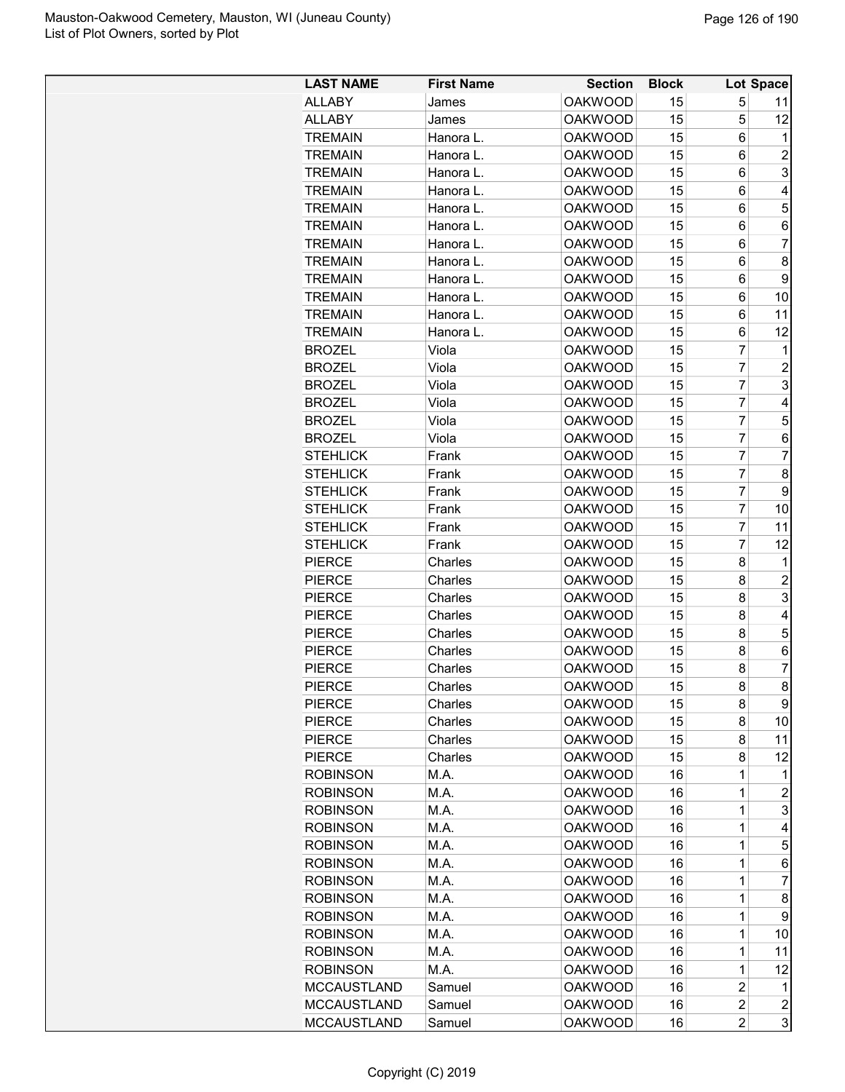| <b>LAST NAME</b>   | <b>First Name</b> | <b>Section</b> | <b>Block</b> |                         | Lot Space               |
|--------------------|-------------------|----------------|--------------|-------------------------|-------------------------|
| <b>ALLABY</b>      | James             | <b>OAKWOOD</b> | 15           | 5                       | 11                      |
| <b>ALLABY</b>      | James             | <b>OAKWOOD</b> | 15           | 5                       | 12                      |
| <b>TREMAIN</b>     | Hanora L.         | <b>OAKWOOD</b> | 15           | 6                       | 1                       |
| <b>TREMAIN</b>     | Hanora L.         | <b>OAKWOOD</b> | 15           | 6                       | $\overline{c}$          |
| <b>TREMAIN</b>     | Hanora L.         | <b>OAKWOOD</b> | 15           | 6                       | 3                       |
| <b>TREMAIN</b>     | Hanora L.         | <b>OAKWOOD</b> | 15           | 6                       | 4                       |
| <b>TREMAIN</b>     | Hanora L.         | <b>OAKWOOD</b> | 15           | 6                       | 5                       |
| <b>TREMAIN</b>     | Hanora L.         | <b>OAKWOOD</b> | 15           | 6                       | 6                       |
| <b>TREMAIN</b>     | Hanora L.         | <b>OAKWOOD</b> | 15           | 6                       | 7                       |
| <b>TREMAIN</b>     | Hanora L.         | <b>OAKWOOD</b> | 15           | 6                       | 8                       |
| <b>TREMAIN</b>     | Hanora L.         | <b>OAKWOOD</b> | 15           | 6                       | 9                       |
| <b>TREMAIN</b>     | Hanora L.         | <b>OAKWOOD</b> | 15           | 6                       | 10                      |
| <b>TREMAIN</b>     | Hanora L.         | <b>OAKWOOD</b> | 15           | 6                       | 11                      |
| <b>TREMAIN</b>     | Hanora L.         | <b>OAKWOOD</b> | 15           | 6                       | 12                      |
| <b>BROZEL</b>      | Viola             | <b>OAKWOOD</b> | 15           | 7                       | 1                       |
| <b>BROZEL</b>      | Viola             | <b>OAKWOOD</b> | 15           | $\overline{7}$          | $\overline{2}$          |
| <b>BROZEL</b>      | Viola             | <b>OAKWOOD</b> | 15           | $\overline{7}$          | 3                       |
| <b>BROZEL</b>      | Viola             | <b>OAKWOOD</b> | 15           | $\overline{7}$          | 4                       |
| <b>BROZEL</b>      | Viola             | <b>OAKWOOD</b> | 15           | $\overline{7}$          | 5                       |
|                    |                   |                |              | $\overline{7}$          |                         |
| <b>BROZEL</b>      | Viola             | <b>OAKWOOD</b> | 15           | $\overline{7}$          | 6                       |
| <b>STEHLICK</b>    | Frank             | <b>OAKWOOD</b> | 15           |                         | $\overline{7}$          |
| <b>STEHLICK</b>    | Frank             | <b>OAKWOOD</b> | 15           | $\overline{7}$          | 8                       |
| <b>STEHLICK</b>    | Frank             | <b>OAKWOOD</b> | 15           | $\overline{7}$          | 9                       |
| <b>STEHLICK</b>    | Frank             | <b>OAKWOOD</b> | 15           | $\overline{7}$          | 10                      |
| <b>STEHLICK</b>    | Frank             | <b>OAKWOOD</b> | 15           | 7                       | 11                      |
| <b>STEHLICK</b>    | Frank             | <b>OAKWOOD</b> | 15           | 7                       | 12                      |
| <b>PIERCE</b>      | Charles           | <b>OAKWOOD</b> | 15           | 8                       | 1                       |
| <b>PIERCE</b>      | Charles           | <b>OAKWOOD</b> | 15           | 8                       | $\overline{c}$          |
| <b>PIERCE</b>      | Charles           | <b>OAKWOOD</b> | 15           | 8                       | 3                       |
| <b>PIERCE</b>      | Charles           | <b>OAKWOOD</b> | 15           | 8                       | 4                       |
| <b>PIERCE</b>      | Charles           | <b>OAKWOOD</b> | 15           | 8                       | 5                       |
| <b>PIERCE</b>      | Charles           | <b>OAKWOOD</b> | 15           | 8                       | 6                       |
| <b>PIERCE</b>      | Charles           | <b>OAKWOOD</b> | 15           | 8                       | 7                       |
| <b>PIERCE</b>      | Charles           | <b>OAKWOOD</b> | 15           | 8                       | 8                       |
| <b>PIERCE</b>      | Charles           | <b>OAKWOOD</b> | 15           | 8                       | 9                       |
| <b>PIERCE</b>      | Charles           | <b>OAKWOOD</b> | 15           | 8                       | 10                      |
| <b>PIERCE</b>      | Charles           | <b>OAKWOOD</b> | 15           | 8                       | 11                      |
| <b>PIERCE</b>      | Charles           | <b>OAKWOOD</b> | 15           | 8                       | 12                      |
| <b>ROBINSON</b>    | M.A.              | <b>OAKWOOD</b> | 16           | 1                       | 1                       |
| <b>ROBINSON</b>    | M.A.              | <b>OAKWOOD</b> | 16           | 1                       | $\overline{c}$          |
| <b>ROBINSON</b>    | M.A.              | <b>OAKWOOD</b> | 16           | 1                       | 3                       |
| <b>ROBINSON</b>    | M.A.              | <b>OAKWOOD</b> | 16           | $\overline{1}$          | 4                       |
| <b>ROBINSON</b>    | M.A.              | <b>OAKWOOD</b> | 16           | 1                       | 5                       |
| <b>ROBINSON</b>    | M.A.              | <b>OAKWOOD</b> | 16           | 1                       | 6                       |
| <b>ROBINSON</b>    | M.A.              | <b>OAKWOOD</b> | 16           | 1                       | 7                       |
| <b>ROBINSON</b>    | M.A.              | <b>OAKWOOD</b> | 16           | 1                       | 8                       |
| <b>ROBINSON</b>    | M.A.              | <b>OAKWOOD</b> | 16           | 1                       | 9                       |
| <b>ROBINSON</b>    | M.A.              | <b>OAKWOOD</b> | 16           | 1                       | 10                      |
| <b>ROBINSON</b>    | M.A.              | <b>OAKWOOD</b> | 16           | 1                       | 11                      |
| <b>ROBINSON</b>    | M.A.              | <b>OAKWOOD</b> | 16           | $\mathbf 1$             | 12                      |
| <b>MCCAUSTLAND</b> | Samuel            | <b>OAKWOOD</b> | 16           | $\overline{2}$          | 1                       |
| <b>MCCAUSTLAND</b> | Samuel            | <b>OAKWOOD</b> | 16           | $\overline{\mathbf{c}}$ | $\overline{\mathbf{c}}$ |
| <b>MCCAUSTLAND</b> | Samuel            | <b>OAKWOOD</b> | 16           | $\overline{c}$          | 3                       |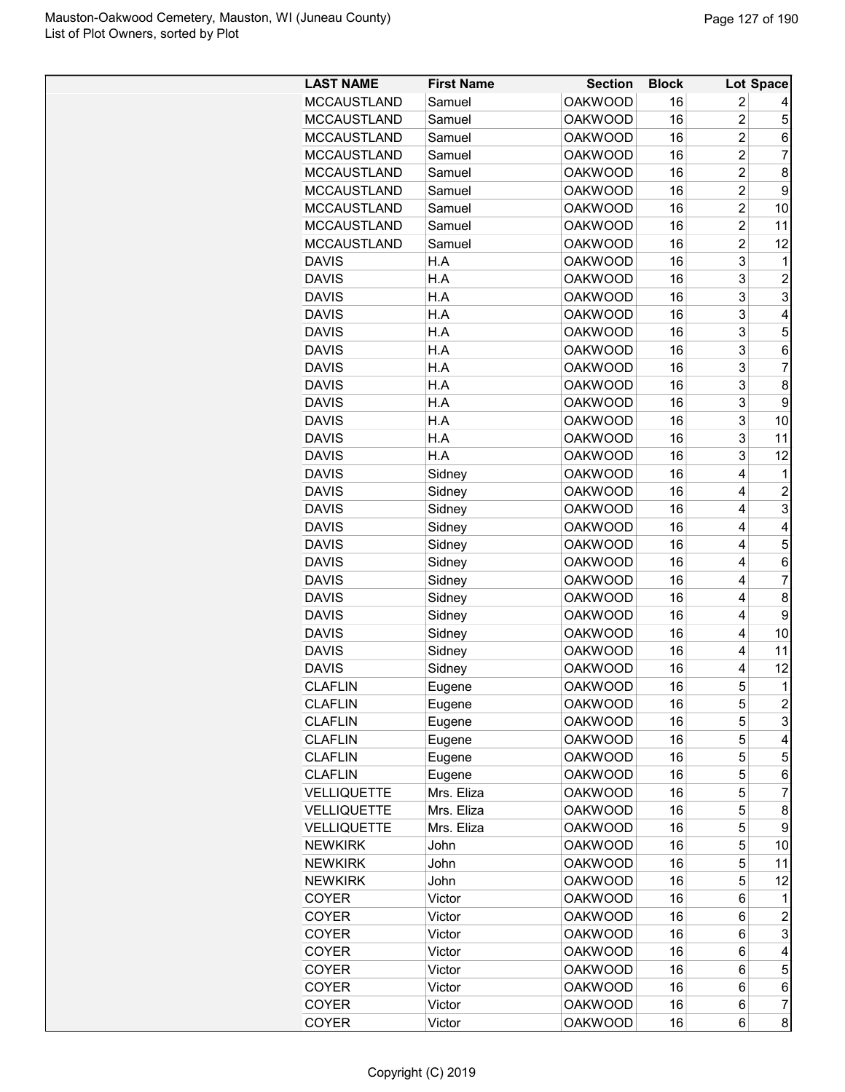| <b>LAST NAME</b>             | <b>First Name</b> | <b>Section</b>                   | <b>Block</b> |                | Lot Space           |
|------------------------------|-------------------|----------------------------------|--------------|----------------|---------------------|
| <b>MCCAUSTLAND</b>           | Samuel            | <b>OAKWOOD</b>                   | 16           | 2              |                     |
| <b>MCCAUSTLAND</b>           | Samuel            | <b>OAKWOOD</b>                   | 16           | $\overline{2}$ | 5                   |
| <b>MCCAUSTLAND</b>           | Samuel            | <b>OAKWOOD</b>                   | 16           | $\overline{c}$ | 6                   |
| <b>MCCAUSTLAND</b>           | Samuel            | <b>OAKWOOD</b>                   | 16           | $\overline{c}$ | 7                   |
| <b>MCCAUSTLAND</b>           | Samuel            | <b>OAKWOOD</b>                   | 16           | $\overline{2}$ | 8                   |
| <b>MCCAUSTLAND</b>           | Samuel            | <b>OAKWOOD</b>                   | 16           | $\overline{c}$ | 9                   |
| <b>MCCAUSTLAND</b>           | Samuel            | <b>OAKWOOD</b>                   | 16           | $\overline{c}$ | 10                  |
| <b>MCCAUSTLAND</b>           | Samuel            | <b>OAKWOOD</b>                   | 16           | $\overline{2}$ | 11                  |
| <b>MCCAUSTLAND</b>           | Samuel            | <b>OAKWOOD</b>                   | 16           | $\overline{c}$ | 12                  |
| <b>DAVIS</b>                 | H.A               | <b>OAKWOOD</b>                   | 16           | 3              | 1                   |
| <b>DAVIS</b>                 | H.A               | <b>OAKWOOD</b>                   | 16           | 3              | $\overline{c}$      |
| <b>DAVIS</b>                 | H.A               | <b>OAKWOOD</b>                   | 16           | 3              | 3                   |
| <b>DAVIS</b>                 | H.A               | <b>OAKWOOD</b>                   | 16           | 3              | 4                   |
|                              |                   |                                  |              | 3              |                     |
| <b>DAVIS</b><br><b>DAVIS</b> | H.A               | <b>OAKWOOD</b>                   | 16           | 3              | 5                   |
|                              | H.A               | <b>OAKWOOD</b><br><b>OAKWOOD</b> | 16           | 3              | 6<br>$\overline{7}$ |
| <b>DAVIS</b>                 | H.A               |                                  | 16           |                |                     |
| <b>DAVIS</b>                 | H.A               | <b>OAKWOOD</b>                   | 16           | 3              | 8                   |
| <b>DAVIS</b>                 | H.A               | <b>OAKWOOD</b>                   | 16           | 3              | 9                   |
| <b>DAVIS</b>                 | H.A               | <b>OAKWOOD</b>                   | 16           | 3              | 10                  |
| <b>DAVIS</b>                 | H.A               | <b>OAKWOOD</b>                   | 16           | 3              | 11                  |
| <b>DAVIS</b>                 | H.A               | <b>OAKWOOD</b>                   | 16           | 3              | 12                  |
| <b>DAVIS</b>                 | Sidney            | <b>OAKWOOD</b>                   | 16           | 4              | 1                   |
| <b>DAVIS</b>                 | Sidney            | <b>OAKWOOD</b>                   | 16           | 4              | $\overline{c}$      |
| <b>DAVIS</b>                 | Sidney            | <b>OAKWOOD</b>                   | 16           | 4              | 3                   |
| <b>DAVIS</b>                 | Sidney            | <b>OAKWOOD</b>                   | 16           | 4              | 4                   |
| <b>DAVIS</b>                 | Sidney            | <b>OAKWOOD</b>                   | 16           | 4              | 5                   |
| <b>DAVIS</b>                 | Sidney            | <b>OAKWOOD</b>                   | 16           | 4              | 6                   |
| <b>DAVIS</b>                 | Sidney            | <b>OAKWOOD</b>                   | 16           | 4              | $\overline{7}$      |
| <b>DAVIS</b>                 | Sidney            | <b>OAKWOOD</b>                   | 16           | 4              | 8                   |
| <b>DAVIS</b>                 | Sidney            | <b>OAKWOOD</b>                   | 16           | 4              | 9                   |
| <b>DAVIS</b>                 | Sidney            | <b>OAKWOOD</b>                   | 16           | 4              | 10                  |
| <b>DAVIS</b>                 | Sidney            | <b>OAKWOOD</b>                   | 16           | 4              | 11                  |
| <b>DAVIS</b>                 | Sidney            | <b>OAKWOOD</b>                   | 16           | 4              | 12                  |
| <b>CLAFLIN</b>               | Eugene            | <b>OAKWOOD</b>                   | 16           | 5              | 1                   |
| <b>CLAFLIN</b>               | Eugene            | <b>OAKWOOD</b>                   | 16           | 5              | $\overline{c}$      |
| <b>CLAFLIN</b>               | Eugene            | <b>OAKWOOD</b>                   | 16           | 5              | 3                   |
| <b>CLAFLIN</b>               | Eugene            | <b>OAKWOOD</b>                   | 16           | 5              | 4                   |
| <b>CLAFLIN</b>               | Eugene            | <b>OAKWOOD</b>                   | 16           | 5              | 5                   |
| <b>CLAFLIN</b>               | Eugene            | <b>OAKWOOD</b>                   | 16           | 5              | 6                   |
| <b>VELLIQUETTE</b>           | Mrs. Eliza        | <b>OAKWOOD</b>                   | 16           | 5              | $\overline{7}$      |
| <b>VELLIQUETTE</b>           | Mrs. Eliza        | <b>OAKWOOD</b>                   | 16           | 5              | 8                   |
| <b>VELLIQUETTE</b>           | Mrs. Eliza        | <b>OAKWOOD</b>                   | 16           | 5              | 9                   |
| <b>NEWKIRK</b>               | John              | <b>OAKWOOD</b>                   | 16           | 5              | 10                  |
| <b>NEWKIRK</b>               | John              | <b>OAKWOOD</b>                   | 16           | 5              | 11                  |
| <b>NEWKIRK</b>               | John              | <b>OAKWOOD</b>                   | 16           | 5              | 12                  |
| <b>COYER</b>                 | Victor            | <b>OAKWOOD</b>                   | 16           | 6              | 1                   |
| <b>COYER</b>                 | Victor            | <b>OAKWOOD</b>                   | 16           | 6              | $\overline{c}$      |
| <b>COYER</b>                 | Victor            | <b>OAKWOOD</b>                   | 16           | 6              | 3                   |
| COYER                        | Victor            | <b>OAKWOOD</b>                   | 16           | 6              | 4                   |
| <b>COYER</b>                 | Victor            | <b>OAKWOOD</b>                   | 16           | 6              | 5                   |
| <b>COYER</b>                 | Victor            | <b>OAKWOOD</b>                   | 16           | 6              | 6                   |
| <b>COYER</b>                 | Victor            | <b>OAKWOOD</b>                   | 16           | 6              | $\overline{7}$      |
| <b>COYER</b>                 | Victor            | <b>OAKWOOD</b>                   | 16           | 6              | 8                   |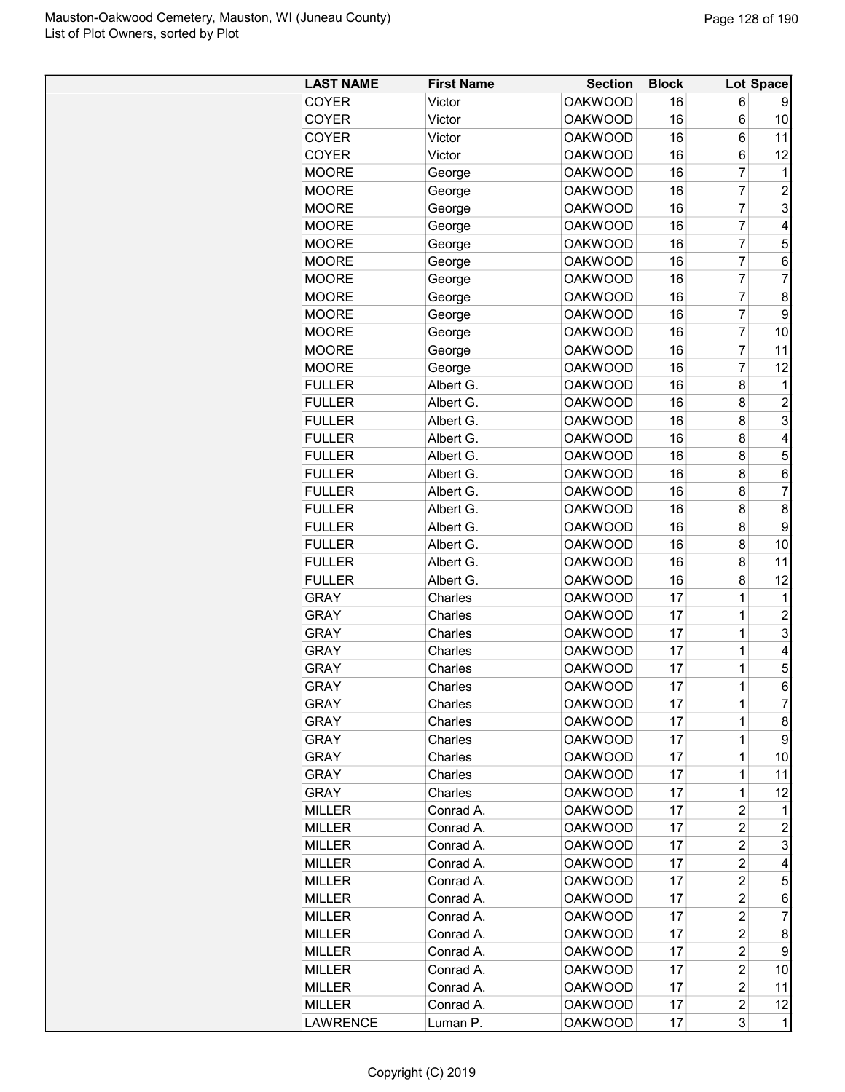| <b>OAKWOOD</b><br>16<br><b>COYER</b><br>Victor<br>16<br><b>OAKWOOD</b><br><b>COYER</b><br>Victor<br>16<br><b>COYER</b><br><b>OAKWOOD</b><br>Victor<br><b>OAKWOOD</b><br>16<br><b>COYER</b><br>Victor<br><b>OAKWOOD</b><br>16<br><b>MOORE</b><br>George<br>16<br><b>MOORE</b><br><b>OAKWOOD</b><br>George<br>16<br><b>MOORE</b><br><b>OAKWOOD</b><br>George<br>16<br><b>MOORE</b><br><b>OAKWOOD</b><br>George<br><b>OAKWOOD</b><br>16<br><b>MOORE</b><br>George<br>16<br><b>MOORE</b><br><b>OAKWOOD</b><br>George<br><b>OAKWOOD</b><br>16<br><b>MOORE</b><br>George<br><b>MOORE</b><br><b>OAKWOOD</b><br>16<br>George<br><b>MOORE</b><br><b>OAKWOOD</b><br>16<br>George<br>16<br><b>MOORE</b><br><b>OAKWOOD</b><br>George<br>16<br><b>MOORE</b><br><b>OAKWOOD</b><br>George<br><b>MOORE</b><br><b>OAKWOOD</b><br>16<br>George<br><b>FULLER</b><br>Albert G.<br><b>OAKWOOD</b><br>16<br>Albert G.<br><b>OAKWOOD</b><br>16<br><b>FULLER</b><br><b>FULLER</b><br>Albert G.<br><b>OAKWOOD</b><br>16<br><b>FULLER</b><br><b>OAKWOOD</b><br>16<br>Albert G.<br>16<br><b>FULLER</b><br>Albert G.<br><b>OAKWOOD</b><br>16<br><b>FULLER</b><br>Albert G.<br><b>OAKWOOD</b><br><b>FULLER</b><br><b>OAKWOOD</b><br>16<br>Albert G.<br><b>FULLER</b><br><b>OAKWOOD</b><br>16<br>Albert G.<br><b>FULLER</b><br>Albert G.<br><b>OAKWOOD</b><br>16<br><b>FULLER</b><br>Albert G.<br><b>OAKWOOD</b><br>16<br>16<br><b>FULLER</b><br><b>OAKWOOD</b><br>Albert G.<br>16<br><b>FULLER</b><br>Albert G.<br><b>OAKWOOD</b><br><b>GRAY</b><br><b>OAKWOOD</b><br>17<br>Charles<br>17<br><b>GRAY</b><br>Charles<br><b>OAKWOOD</b><br><b>GRAY</b><br>Charles<br><b>OAKWOOD</b><br>17<br><b>GRAY</b><br>Charles<br><b>OAKWOOD</b><br>17<br><b>GRAY</b><br>Charles<br><b>OAKWOOD</b><br>17<br><b>GRAY</b><br>Charles<br><b>OAKWOOD</b><br>17<br><b>OAKWOOD</b><br>17<br><b>GRAY</b><br>Charles<br>17<br><b>GRAY</b><br>Charles<br><b>OAKWOOD</b><br>17<br><b>GRAY</b><br>Charles<br><b>OAKWOOD</b><br><b>GRAY</b><br>Charles<br><b>OAKWOOD</b><br>17<br><b>GRAY</b><br>Charles<br><b>OAKWOOD</b><br>17<br><b>GRAY</b><br>Charles<br><b>OAKWOOD</b><br>17 | 6<br>6<br>6<br>6<br>7<br>7<br>$\overline{7}$<br>$\overline{7}$<br>7<br>$\overline{7}$<br>$\overline{7}$<br>7<br>7<br>$\overline{7}$<br>$\overline{7}$<br>$\overline{7}$<br>8<br>8<br>8 | 9<br>10<br>11<br>12<br>1<br>$\overline{2}$<br>3<br>4<br>5<br>6<br>$\overline{7}$<br>8<br>9<br>10<br>11 |
|------------------------------------------------------------------------------------------------------------------------------------------------------------------------------------------------------------------------------------------------------------------------------------------------------------------------------------------------------------------------------------------------------------------------------------------------------------------------------------------------------------------------------------------------------------------------------------------------------------------------------------------------------------------------------------------------------------------------------------------------------------------------------------------------------------------------------------------------------------------------------------------------------------------------------------------------------------------------------------------------------------------------------------------------------------------------------------------------------------------------------------------------------------------------------------------------------------------------------------------------------------------------------------------------------------------------------------------------------------------------------------------------------------------------------------------------------------------------------------------------------------------------------------------------------------------------------------------------------------------------------------------------------------------------------------------------------------------------------------------------------------------------------------------------------------------------------------------------------------------------------------------------------------------------------------------------------------------------------------------------------------------------------------------------------------------------------------------------------------------------------|----------------------------------------------------------------------------------------------------------------------------------------------------------------------------------------|--------------------------------------------------------------------------------------------------------|
|                                                                                                                                                                                                                                                                                                                                                                                                                                                                                                                                                                                                                                                                                                                                                                                                                                                                                                                                                                                                                                                                                                                                                                                                                                                                                                                                                                                                                                                                                                                                                                                                                                                                                                                                                                                                                                                                                                                                                                                                                                                                                                                              |                                                                                                                                                                                        |                                                                                                        |
|                                                                                                                                                                                                                                                                                                                                                                                                                                                                                                                                                                                                                                                                                                                                                                                                                                                                                                                                                                                                                                                                                                                                                                                                                                                                                                                                                                                                                                                                                                                                                                                                                                                                                                                                                                                                                                                                                                                                                                                                                                                                                                                              |                                                                                                                                                                                        |                                                                                                        |
|                                                                                                                                                                                                                                                                                                                                                                                                                                                                                                                                                                                                                                                                                                                                                                                                                                                                                                                                                                                                                                                                                                                                                                                                                                                                                                                                                                                                                                                                                                                                                                                                                                                                                                                                                                                                                                                                                                                                                                                                                                                                                                                              |                                                                                                                                                                                        |                                                                                                        |
|                                                                                                                                                                                                                                                                                                                                                                                                                                                                                                                                                                                                                                                                                                                                                                                                                                                                                                                                                                                                                                                                                                                                                                                                                                                                                                                                                                                                                                                                                                                                                                                                                                                                                                                                                                                                                                                                                                                                                                                                                                                                                                                              |                                                                                                                                                                                        |                                                                                                        |
|                                                                                                                                                                                                                                                                                                                                                                                                                                                                                                                                                                                                                                                                                                                                                                                                                                                                                                                                                                                                                                                                                                                                                                                                                                                                                                                                                                                                                                                                                                                                                                                                                                                                                                                                                                                                                                                                                                                                                                                                                                                                                                                              |                                                                                                                                                                                        |                                                                                                        |
|                                                                                                                                                                                                                                                                                                                                                                                                                                                                                                                                                                                                                                                                                                                                                                                                                                                                                                                                                                                                                                                                                                                                                                                                                                                                                                                                                                                                                                                                                                                                                                                                                                                                                                                                                                                                                                                                                                                                                                                                                                                                                                                              |                                                                                                                                                                                        |                                                                                                        |
|                                                                                                                                                                                                                                                                                                                                                                                                                                                                                                                                                                                                                                                                                                                                                                                                                                                                                                                                                                                                                                                                                                                                                                                                                                                                                                                                                                                                                                                                                                                                                                                                                                                                                                                                                                                                                                                                                                                                                                                                                                                                                                                              |                                                                                                                                                                                        |                                                                                                        |
|                                                                                                                                                                                                                                                                                                                                                                                                                                                                                                                                                                                                                                                                                                                                                                                                                                                                                                                                                                                                                                                                                                                                                                                                                                                                                                                                                                                                                                                                                                                                                                                                                                                                                                                                                                                                                                                                                                                                                                                                                                                                                                                              |                                                                                                                                                                                        |                                                                                                        |
|                                                                                                                                                                                                                                                                                                                                                                                                                                                                                                                                                                                                                                                                                                                                                                                                                                                                                                                                                                                                                                                                                                                                                                                                                                                                                                                                                                                                                                                                                                                                                                                                                                                                                                                                                                                                                                                                                                                                                                                                                                                                                                                              |                                                                                                                                                                                        |                                                                                                        |
|                                                                                                                                                                                                                                                                                                                                                                                                                                                                                                                                                                                                                                                                                                                                                                                                                                                                                                                                                                                                                                                                                                                                                                                                                                                                                                                                                                                                                                                                                                                                                                                                                                                                                                                                                                                                                                                                                                                                                                                                                                                                                                                              |                                                                                                                                                                                        |                                                                                                        |
|                                                                                                                                                                                                                                                                                                                                                                                                                                                                                                                                                                                                                                                                                                                                                                                                                                                                                                                                                                                                                                                                                                                                                                                                                                                                                                                                                                                                                                                                                                                                                                                                                                                                                                                                                                                                                                                                                                                                                                                                                                                                                                                              |                                                                                                                                                                                        |                                                                                                        |
|                                                                                                                                                                                                                                                                                                                                                                                                                                                                                                                                                                                                                                                                                                                                                                                                                                                                                                                                                                                                                                                                                                                                                                                                                                                                                                                                                                                                                                                                                                                                                                                                                                                                                                                                                                                                                                                                                                                                                                                                                                                                                                                              |                                                                                                                                                                                        |                                                                                                        |
|                                                                                                                                                                                                                                                                                                                                                                                                                                                                                                                                                                                                                                                                                                                                                                                                                                                                                                                                                                                                                                                                                                                                                                                                                                                                                                                                                                                                                                                                                                                                                                                                                                                                                                                                                                                                                                                                                                                                                                                                                                                                                                                              |                                                                                                                                                                                        |                                                                                                        |
|                                                                                                                                                                                                                                                                                                                                                                                                                                                                                                                                                                                                                                                                                                                                                                                                                                                                                                                                                                                                                                                                                                                                                                                                                                                                                                                                                                                                                                                                                                                                                                                                                                                                                                                                                                                                                                                                                                                                                                                                                                                                                                                              |                                                                                                                                                                                        |                                                                                                        |
|                                                                                                                                                                                                                                                                                                                                                                                                                                                                                                                                                                                                                                                                                                                                                                                                                                                                                                                                                                                                                                                                                                                                                                                                                                                                                                                                                                                                                                                                                                                                                                                                                                                                                                                                                                                                                                                                                                                                                                                                                                                                                                                              |                                                                                                                                                                                        |                                                                                                        |
|                                                                                                                                                                                                                                                                                                                                                                                                                                                                                                                                                                                                                                                                                                                                                                                                                                                                                                                                                                                                                                                                                                                                                                                                                                                                                                                                                                                                                                                                                                                                                                                                                                                                                                                                                                                                                                                                                                                                                                                                                                                                                                                              |                                                                                                                                                                                        | 12                                                                                                     |
|                                                                                                                                                                                                                                                                                                                                                                                                                                                                                                                                                                                                                                                                                                                                                                                                                                                                                                                                                                                                                                                                                                                                                                                                                                                                                                                                                                                                                                                                                                                                                                                                                                                                                                                                                                                                                                                                                                                                                                                                                                                                                                                              |                                                                                                                                                                                        | 1                                                                                                      |
|                                                                                                                                                                                                                                                                                                                                                                                                                                                                                                                                                                                                                                                                                                                                                                                                                                                                                                                                                                                                                                                                                                                                                                                                                                                                                                                                                                                                                                                                                                                                                                                                                                                                                                                                                                                                                                                                                                                                                                                                                                                                                                                              |                                                                                                                                                                                        | $\overline{2}$                                                                                         |
|                                                                                                                                                                                                                                                                                                                                                                                                                                                                                                                                                                                                                                                                                                                                                                                                                                                                                                                                                                                                                                                                                                                                                                                                                                                                                                                                                                                                                                                                                                                                                                                                                                                                                                                                                                                                                                                                                                                                                                                                                                                                                                                              |                                                                                                                                                                                        | 3                                                                                                      |
|                                                                                                                                                                                                                                                                                                                                                                                                                                                                                                                                                                                                                                                                                                                                                                                                                                                                                                                                                                                                                                                                                                                                                                                                                                                                                                                                                                                                                                                                                                                                                                                                                                                                                                                                                                                                                                                                                                                                                                                                                                                                                                                              | 8                                                                                                                                                                                      | 4                                                                                                      |
|                                                                                                                                                                                                                                                                                                                                                                                                                                                                                                                                                                                                                                                                                                                                                                                                                                                                                                                                                                                                                                                                                                                                                                                                                                                                                                                                                                                                                                                                                                                                                                                                                                                                                                                                                                                                                                                                                                                                                                                                                                                                                                                              | 8                                                                                                                                                                                      | 5                                                                                                      |
|                                                                                                                                                                                                                                                                                                                                                                                                                                                                                                                                                                                                                                                                                                                                                                                                                                                                                                                                                                                                                                                                                                                                                                                                                                                                                                                                                                                                                                                                                                                                                                                                                                                                                                                                                                                                                                                                                                                                                                                                                                                                                                                              | 8                                                                                                                                                                                      | 6                                                                                                      |
|                                                                                                                                                                                                                                                                                                                                                                                                                                                                                                                                                                                                                                                                                                                                                                                                                                                                                                                                                                                                                                                                                                                                                                                                                                                                                                                                                                                                                                                                                                                                                                                                                                                                                                                                                                                                                                                                                                                                                                                                                                                                                                                              | 8                                                                                                                                                                                      | $\overline{7}$                                                                                         |
|                                                                                                                                                                                                                                                                                                                                                                                                                                                                                                                                                                                                                                                                                                                                                                                                                                                                                                                                                                                                                                                                                                                                                                                                                                                                                                                                                                                                                                                                                                                                                                                                                                                                                                                                                                                                                                                                                                                                                                                                                                                                                                                              | 8                                                                                                                                                                                      | 8                                                                                                      |
|                                                                                                                                                                                                                                                                                                                                                                                                                                                                                                                                                                                                                                                                                                                                                                                                                                                                                                                                                                                                                                                                                                                                                                                                                                                                                                                                                                                                                                                                                                                                                                                                                                                                                                                                                                                                                                                                                                                                                                                                                                                                                                                              | 8                                                                                                                                                                                      | 9                                                                                                      |
|                                                                                                                                                                                                                                                                                                                                                                                                                                                                                                                                                                                                                                                                                                                                                                                                                                                                                                                                                                                                                                                                                                                                                                                                                                                                                                                                                                                                                                                                                                                                                                                                                                                                                                                                                                                                                                                                                                                                                                                                                                                                                                                              | 8                                                                                                                                                                                      | 10                                                                                                     |
|                                                                                                                                                                                                                                                                                                                                                                                                                                                                                                                                                                                                                                                                                                                                                                                                                                                                                                                                                                                                                                                                                                                                                                                                                                                                                                                                                                                                                                                                                                                                                                                                                                                                                                                                                                                                                                                                                                                                                                                                                                                                                                                              |                                                                                                                                                                                        | 11                                                                                                     |
|                                                                                                                                                                                                                                                                                                                                                                                                                                                                                                                                                                                                                                                                                                                                                                                                                                                                                                                                                                                                                                                                                                                                                                                                                                                                                                                                                                                                                                                                                                                                                                                                                                                                                                                                                                                                                                                                                                                                                                                                                                                                                                                              | 8                                                                                                                                                                                      |                                                                                                        |
|                                                                                                                                                                                                                                                                                                                                                                                                                                                                                                                                                                                                                                                                                                                                                                                                                                                                                                                                                                                                                                                                                                                                                                                                                                                                                                                                                                                                                                                                                                                                                                                                                                                                                                                                                                                                                                                                                                                                                                                                                                                                                                                              | 8                                                                                                                                                                                      | 12                                                                                                     |
|                                                                                                                                                                                                                                                                                                                                                                                                                                                                                                                                                                                                                                                                                                                                                                                                                                                                                                                                                                                                                                                                                                                                                                                                                                                                                                                                                                                                                                                                                                                                                                                                                                                                                                                                                                                                                                                                                                                                                                                                                                                                                                                              | 1                                                                                                                                                                                      | 1                                                                                                      |
|                                                                                                                                                                                                                                                                                                                                                                                                                                                                                                                                                                                                                                                                                                                                                                                                                                                                                                                                                                                                                                                                                                                                                                                                                                                                                                                                                                                                                                                                                                                                                                                                                                                                                                                                                                                                                                                                                                                                                                                                                                                                                                                              | 1                                                                                                                                                                                      | $\overline{c}$                                                                                         |
|                                                                                                                                                                                                                                                                                                                                                                                                                                                                                                                                                                                                                                                                                                                                                                                                                                                                                                                                                                                                                                                                                                                                                                                                                                                                                                                                                                                                                                                                                                                                                                                                                                                                                                                                                                                                                                                                                                                                                                                                                                                                                                                              | 1                                                                                                                                                                                      | 3                                                                                                      |
|                                                                                                                                                                                                                                                                                                                                                                                                                                                                                                                                                                                                                                                                                                                                                                                                                                                                                                                                                                                                                                                                                                                                                                                                                                                                                                                                                                                                                                                                                                                                                                                                                                                                                                                                                                                                                                                                                                                                                                                                                                                                                                                              | 1                                                                                                                                                                                      | 4                                                                                                      |
|                                                                                                                                                                                                                                                                                                                                                                                                                                                                                                                                                                                                                                                                                                                                                                                                                                                                                                                                                                                                                                                                                                                                                                                                                                                                                                                                                                                                                                                                                                                                                                                                                                                                                                                                                                                                                                                                                                                                                                                                                                                                                                                              | 1                                                                                                                                                                                      | 5                                                                                                      |
|                                                                                                                                                                                                                                                                                                                                                                                                                                                                                                                                                                                                                                                                                                                                                                                                                                                                                                                                                                                                                                                                                                                                                                                                                                                                                                                                                                                                                                                                                                                                                                                                                                                                                                                                                                                                                                                                                                                                                                                                                                                                                                                              | 1                                                                                                                                                                                      | $6 \mid$                                                                                               |
|                                                                                                                                                                                                                                                                                                                                                                                                                                                                                                                                                                                                                                                                                                                                                                                                                                                                                                                                                                                                                                                                                                                                                                                                                                                                                                                                                                                                                                                                                                                                                                                                                                                                                                                                                                                                                                                                                                                                                                                                                                                                                                                              | 1                                                                                                                                                                                      | $\overline{7}$                                                                                         |
|                                                                                                                                                                                                                                                                                                                                                                                                                                                                                                                                                                                                                                                                                                                                                                                                                                                                                                                                                                                                                                                                                                                                                                                                                                                                                                                                                                                                                                                                                                                                                                                                                                                                                                                                                                                                                                                                                                                                                                                                                                                                                                                              | 1                                                                                                                                                                                      | 8                                                                                                      |
|                                                                                                                                                                                                                                                                                                                                                                                                                                                                                                                                                                                                                                                                                                                                                                                                                                                                                                                                                                                                                                                                                                                                                                                                                                                                                                                                                                                                                                                                                                                                                                                                                                                                                                                                                                                                                                                                                                                                                                                                                                                                                                                              | 1                                                                                                                                                                                      | 9                                                                                                      |
|                                                                                                                                                                                                                                                                                                                                                                                                                                                                                                                                                                                                                                                                                                                                                                                                                                                                                                                                                                                                                                                                                                                                                                                                                                                                                                                                                                                                                                                                                                                                                                                                                                                                                                                                                                                                                                                                                                                                                                                                                                                                                                                              | 1                                                                                                                                                                                      | 10                                                                                                     |
|                                                                                                                                                                                                                                                                                                                                                                                                                                                                                                                                                                                                                                                                                                                                                                                                                                                                                                                                                                                                                                                                                                                                                                                                                                                                                                                                                                                                                                                                                                                                                                                                                                                                                                                                                                                                                                                                                                                                                                                                                                                                                                                              | 1                                                                                                                                                                                      | 11                                                                                                     |
|                                                                                                                                                                                                                                                                                                                                                                                                                                                                                                                                                                                                                                                                                                                                                                                                                                                                                                                                                                                                                                                                                                                                                                                                                                                                                                                                                                                                                                                                                                                                                                                                                                                                                                                                                                                                                                                                                                                                                                                                                                                                                                                              | 1                                                                                                                                                                                      | 12                                                                                                     |
| <b>MILLER</b><br>Conrad A.<br><b>OAKWOOD</b><br>17                                                                                                                                                                                                                                                                                                                                                                                                                                                                                                                                                                                                                                                                                                                                                                                                                                                                                                                                                                                                                                                                                                                                                                                                                                                                                                                                                                                                                                                                                                                                                                                                                                                                                                                                                                                                                                                                                                                                                                                                                                                                           | 2                                                                                                                                                                                      | 1                                                                                                      |
| <b>OAKWOOD</b><br><b>MILLER</b><br>Conrad A.<br>17                                                                                                                                                                                                                                                                                                                                                                                                                                                                                                                                                                                                                                                                                                                                                                                                                                                                                                                                                                                                                                                                                                                                                                                                                                                                                                                                                                                                                                                                                                                                                                                                                                                                                                                                                                                                                                                                                                                                                                                                                                                                           | 2                                                                                                                                                                                      | 2                                                                                                      |
| 17<br><b>MILLER</b><br>Conrad A.<br><b>OAKWOOD</b>                                                                                                                                                                                                                                                                                                                                                                                                                                                                                                                                                                                                                                                                                                                                                                                                                                                                                                                                                                                                                                                                                                                                                                                                                                                                                                                                                                                                                                                                                                                                                                                                                                                                                                                                                                                                                                                                                                                                                                                                                                                                           | 2                                                                                                                                                                                      | 3                                                                                                      |
| <b>MILLER</b><br>Conrad A.<br><b>OAKWOOD</b><br>17                                                                                                                                                                                                                                                                                                                                                                                                                                                                                                                                                                                                                                                                                                                                                                                                                                                                                                                                                                                                                                                                                                                                                                                                                                                                                                                                                                                                                                                                                                                                                                                                                                                                                                                                                                                                                                                                                                                                                                                                                                                                           | $\overline{2}$                                                                                                                                                                         | 4                                                                                                      |
| <b>MILLER</b><br>Conrad A.<br><b>OAKWOOD</b><br>17                                                                                                                                                                                                                                                                                                                                                                                                                                                                                                                                                                                                                                                                                                                                                                                                                                                                                                                                                                                                                                                                                                                                                                                                                                                                                                                                                                                                                                                                                                                                                                                                                                                                                                                                                                                                                                                                                                                                                                                                                                                                           | $\overline{2}$                                                                                                                                                                         | 5                                                                                                      |
| 17<br><b>MILLER</b><br>Conrad A.<br><b>OAKWOOD</b>                                                                                                                                                                                                                                                                                                                                                                                                                                                                                                                                                                                                                                                                                                                                                                                                                                                                                                                                                                                                                                                                                                                                                                                                                                                                                                                                                                                                                                                                                                                                                                                                                                                                                                                                                                                                                                                                                                                                                                                                                                                                           | $\overline{c}$                                                                                                                                                                         | 6                                                                                                      |
| <b>MILLER</b><br>Conrad A.<br><b>OAKWOOD</b><br>17                                                                                                                                                                                                                                                                                                                                                                                                                                                                                                                                                                                                                                                                                                                                                                                                                                                                                                                                                                                                                                                                                                                                                                                                                                                                                                                                                                                                                                                                                                                                                                                                                                                                                                                                                                                                                                                                                                                                                                                                                                                                           | 2                                                                                                                                                                                      | 7                                                                                                      |
| <b>OAKWOOD</b><br><b>MILLER</b><br>Conrad A.<br>17                                                                                                                                                                                                                                                                                                                                                                                                                                                                                                                                                                                                                                                                                                                                                                                                                                                                                                                                                                                                                                                                                                                                                                                                                                                                                                                                                                                                                                                                                                                                                                                                                                                                                                                                                                                                                                                                                                                                                                                                                                                                           | $\overline{2}$                                                                                                                                                                         | 8                                                                                                      |
| <b>OAKWOOD</b><br>17<br><b>MILLER</b><br>Conrad A.                                                                                                                                                                                                                                                                                                                                                                                                                                                                                                                                                                                                                                                                                                                                                                                                                                                                                                                                                                                                                                                                                                                                                                                                                                                                                                                                                                                                                                                                                                                                                                                                                                                                                                                                                                                                                                                                                                                                                                                                                                                                           | $\overline{2}$                                                                                                                                                                         | 9                                                                                                      |
| <b>OAKWOOD</b><br>17<br><b>MILLER</b><br>Conrad A.                                                                                                                                                                                                                                                                                                                                                                                                                                                                                                                                                                                                                                                                                                                                                                                                                                                                                                                                                                                                                                                                                                                                                                                                                                                                                                                                                                                                                                                                                                                                                                                                                                                                                                                                                                                                                                                                                                                                                                                                                                                                           | $\overline{c}$                                                                                                                                                                         | 10                                                                                                     |
| 17<br><b>MILLER</b><br>Conrad A.<br><b>OAKWOOD</b>                                                                                                                                                                                                                                                                                                                                                                                                                                                                                                                                                                                                                                                                                                                                                                                                                                                                                                                                                                                                                                                                                                                                                                                                                                                                                                                                                                                                                                                                                                                                                                                                                                                                                                                                                                                                                                                                                                                                                                                                                                                                           |                                                                                                                                                                                        | 11                                                                                                     |
| <b>OAKWOOD</b><br><b>MILLER</b><br>Conrad A.<br>17                                                                                                                                                                                                                                                                                                                                                                                                                                                                                                                                                                                                                                                                                                                                                                                                                                                                                                                                                                                                                                                                                                                                                                                                                                                                                                                                                                                                                                                                                                                                                                                                                                                                                                                                                                                                                                                                                                                                                                                                                                                                           | $\overline{c}$                                                                                                                                                                         | 12                                                                                                     |
| <b>LAWRENCE</b><br><b>OAKWOOD</b><br>17<br>Luman P.                                                                                                                                                                                                                                                                                                                                                                                                                                                                                                                                                                                                                                                                                                                                                                                                                                                                                                                                                                                                                                                                                                                                                                                                                                                                                                                                                                                                                                                                                                                                                                                                                                                                                                                                                                                                                                                                                                                                                                                                                                                                          | $\overline{2}$                                                                                                                                                                         | 3<br>1                                                                                                 |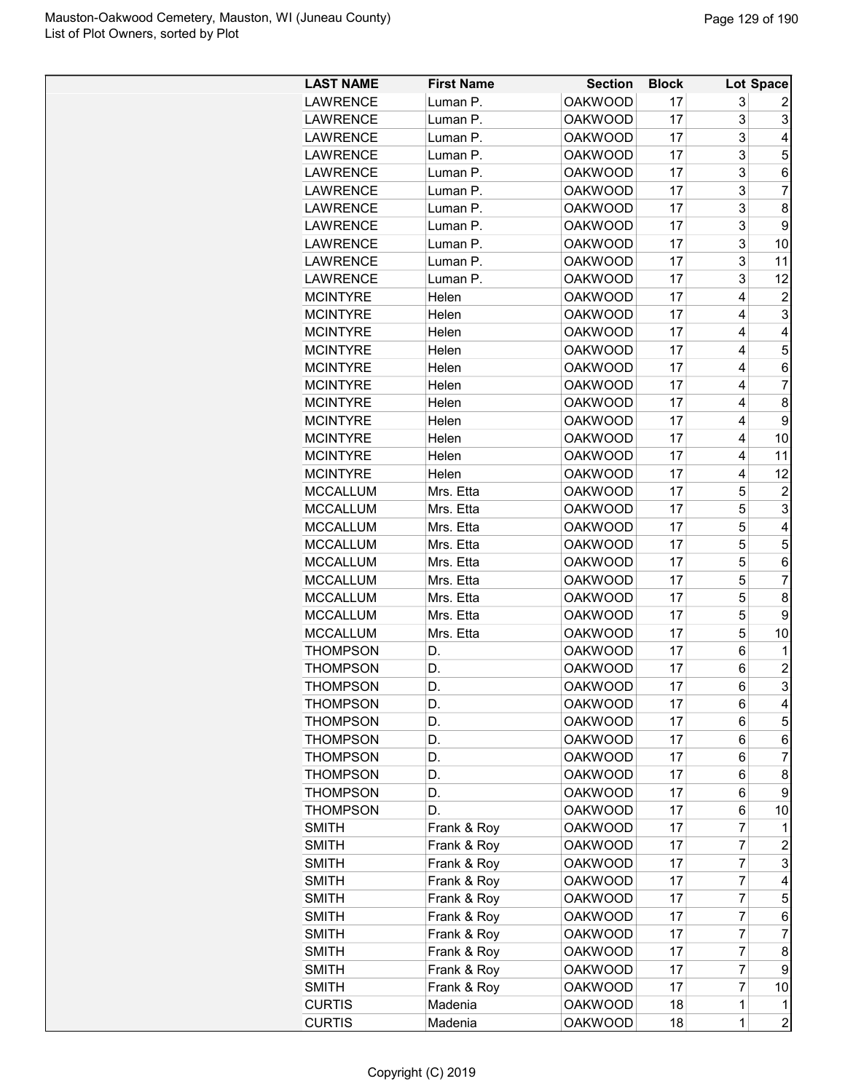| <b>LAST NAME</b> | <b>First Name</b> | <b>Section</b> | <b>Block</b> |             | Lot Space      |
|------------------|-------------------|----------------|--------------|-------------|----------------|
| <b>LAWRENCE</b>  | Luman P.          | <b>OAKWOOD</b> | 17           | 3           | 2              |
| <b>LAWRENCE</b>  | Luman P.          | <b>OAKWOOD</b> | 17           | 3           | 3              |
| <b>LAWRENCE</b>  | Luman P.          | <b>OAKWOOD</b> | 17           | 3           | 4              |
| <b>LAWRENCE</b>  | Luman P.          | <b>OAKWOOD</b> | 17           | 3           | 5              |
| <b>LAWRENCE</b>  | Luman P.          | <b>OAKWOOD</b> | 17           | 3           | 6              |
| <b>LAWRENCE</b>  | Luman P.          | <b>OAKWOOD</b> | 17           | 3           | $\overline{7}$ |
| <b>LAWRENCE</b>  | Luman P.          | <b>OAKWOOD</b> | 17           | 3           | 8              |
| <b>LAWRENCE</b>  | Luman P.          | <b>OAKWOOD</b> | 17           | 3           | 9              |
| <b>LAWRENCE</b>  | Luman P.          | <b>OAKWOOD</b> | 17           | 3           | 10             |
| <b>LAWRENCE</b>  | Luman P.          | <b>OAKWOOD</b> | 17           | 3           | 11             |
| <b>LAWRENCE</b>  | Luman P.          | <b>OAKWOOD</b> | 17           | 3           | 12             |
| <b>MCINTYRE</b>  | Helen             | <b>OAKWOOD</b> | 17           | 4           | 2              |
| <b>MCINTYRE</b>  | Helen             | <b>OAKWOOD</b> | 17           | 4           | 3              |
| <b>MCINTYRE</b>  | Helen             | <b>OAKWOOD</b> | 17           | 4           | 4              |
| <b>MCINTYRE</b>  | Helen             | <b>OAKWOOD</b> | 17           | 4           | 5              |
| <b>MCINTYRE</b>  | Helen             | <b>OAKWOOD</b> | 17           | 4           | 6              |
| <b>MCINTYRE</b>  | Helen             | <b>OAKWOOD</b> | 17           | 4           | $\overline{7}$ |
| <b>MCINTYRE</b>  | Helen             | <b>OAKWOOD</b> | 17           | 4           | 8              |
| <b>MCINTYRE</b>  | Helen             | <b>OAKWOOD</b> | 17           | 4           | 9              |
| <b>MCINTYRE</b>  | Helen             | <b>OAKWOOD</b> | 17           | 4           | 10             |
| <b>MCINTYRE</b>  | Helen             | <b>OAKWOOD</b> | 17           | 4           | 11             |
| <b>MCINTYRE</b>  | Helen             | <b>OAKWOOD</b> | 17           | 4           | 12             |
| <b>MCCALLUM</b>  | Mrs. Etta         | <b>OAKWOOD</b> | 17           | 5           | $\overline{c}$ |
| <b>MCCALLUM</b>  | Mrs. Etta         | <b>OAKWOOD</b> | 17           | 5           | 3              |
| <b>MCCALLUM</b>  | Mrs. Etta         | <b>OAKWOOD</b> | 17           | 5           | 4              |
| <b>MCCALLUM</b>  | Mrs. Etta         | <b>OAKWOOD</b> | 17           | 5           | 5              |
| <b>MCCALLUM</b>  | Mrs. Etta         | <b>OAKWOOD</b> | 17           | 5           | 6              |
| <b>MCCALLUM</b>  | Mrs. Etta         | <b>OAKWOOD</b> | 17           | 5           | $\overline{7}$ |
| <b>MCCALLUM</b>  | Mrs. Etta         | <b>OAKWOOD</b> | 17           | 5           | 8              |
| <b>MCCALLUM</b>  | Mrs. Etta         | <b>OAKWOOD</b> | 17           | 5           | 9              |
| <b>MCCALLUM</b>  | Mrs. Etta         | <b>OAKWOOD</b> | 17           | 5           | 10             |
| <b>THOMPSON</b>  | D.                | <b>OAKWOOD</b> | 17           | 6           | 1              |
| <b>THOMPSON</b>  | D.                | <b>OAKWOOD</b> | 17           | 6           | $\overline{c}$ |
| <b>THOMPSON</b>  | D.                | <b>OAKWOOD</b> | 17           | 6           | 3              |
| <b>THOMPSON</b>  | D.                | <b>OAKWOOD</b> | 17           | 6           | 4              |
| <b>THOMPSON</b>  | D.                | <b>OAKWOOD</b> | 17           | 6           | 5              |
| <b>THOMPSON</b>  | D.                | <b>OAKWOOD</b> | 17           | 6           | 6              |
| <b>THOMPSON</b>  | D.                | <b>OAKWOOD</b> | 17           | 6           | 7              |
| <b>THOMPSON</b>  | D.                | <b>OAKWOOD</b> | 17           | 6           | 8              |
| <b>THOMPSON</b>  | D.                | <b>OAKWOOD</b> | 17           | 6           | 9              |
| <b>THOMPSON</b>  | D.                | <b>OAKWOOD</b> | 17           | 6           | 10             |
| <b>SMITH</b>     | Frank & Roy       | <b>OAKWOOD</b> | 17           | 7           | 1              |
| <b>SMITH</b>     | Frank & Roy       | <b>OAKWOOD</b> | 17           | 7           | $\overline{c}$ |
| <b>SMITH</b>     | Frank & Roy       | <b>OAKWOOD</b> | 17           | 7           | 3              |
| <b>SMITH</b>     | Frank & Roy       | <b>OAKWOOD</b> | 17           | 7           | 4              |
| <b>SMITH</b>     | Frank & Roy       | <b>OAKWOOD</b> | 17           | 7           | 5              |
| <b>SMITH</b>     | Frank & Roy       | <b>OAKWOOD</b> | 17           | 7           | 6              |
| <b>SMITH</b>     | Frank & Roy       | <b>OAKWOOD</b> | 17           | 7           | 7              |
| <b>SMITH</b>     | Frank & Roy       | <b>OAKWOOD</b> | 17           | 7           | 8              |
| <b>SMITH</b>     | Frank & Roy       | <b>OAKWOOD</b> | 17           | 7           | 9              |
| <b>SMITH</b>     | Frank & Roy       | <b>OAKWOOD</b> | 17           | 7           | 10             |
| <b>CURTIS</b>    | Madenia           | <b>OAKWOOD</b> | 18           | 1           | 1              |
| <b>CURTIS</b>    | Madenia           | <b>OAKWOOD</b> | 18           | $\mathbf 1$ | $\overline{2}$ |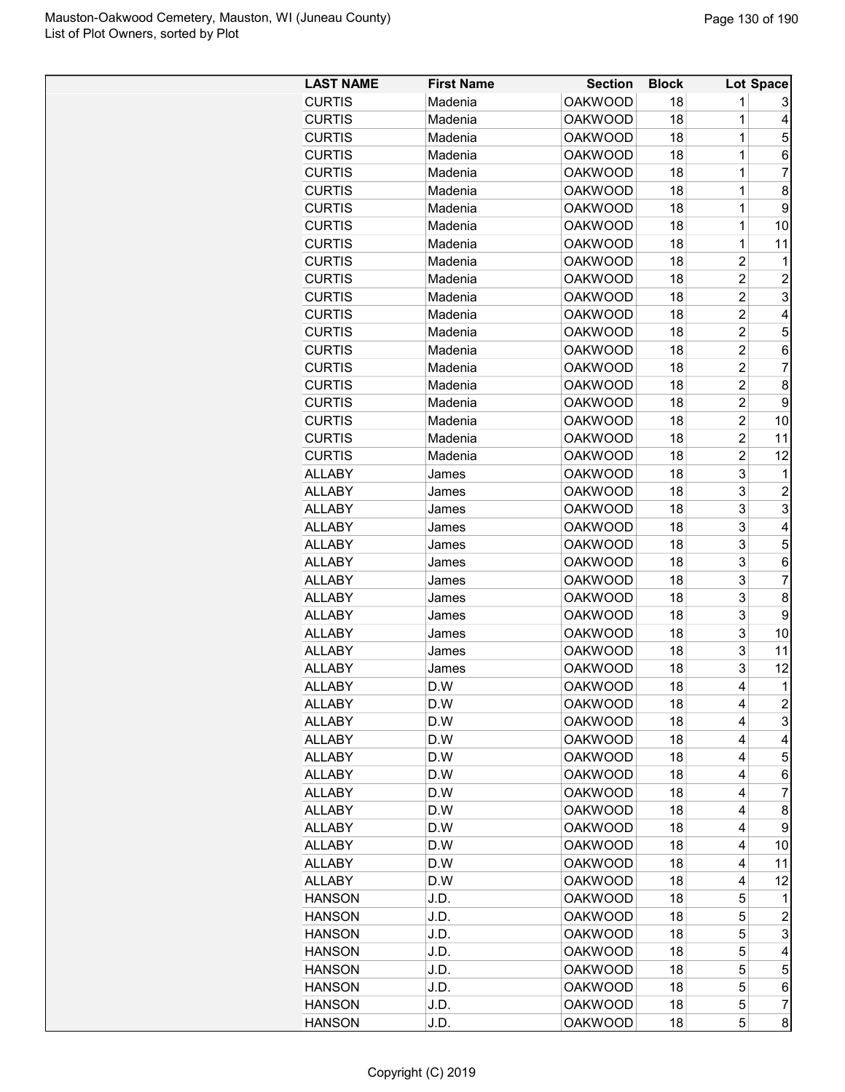| <b>LAST NAME</b>               | <b>First Name</b> | <b>Section</b> | <b>Block</b> |                | Lot Space               |
|--------------------------------|-------------------|----------------|--------------|----------------|-------------------------|
| <b>CURTIS</b>                  | Madenia           | <b>OAKWOOD</b> | 18           | 1              | 3                       |
| <b>CURTIS</b>                  | Madenia           | <b>OAKWOOD</b> | 18           | 1              | 4                       |
| <b>CURTIS</b>                  | Madenia           | <b>OAKWOOD</b> | 18           | 1              | 5                       |
| <b>CURTIS</b>                  | Madenia           | <b>OAKWOOD</b> | 18           | 1              | 6                       |
| <b>CURTIS</b>                  | Madenia           | <b>OAKWOOD</b> | 18           | 1              | 7                       |
| <b>CURTIS</b>                  | Madenia           | <b>OAKWOOD</b> | 18           | 1              | 8                       |
| <b>CURTIS</b>                  | Madenia           | <b>OAKWOOD</b> | 18           | 1              | 9                       |
| <b>CURTIS</b>                  | Madenia           | <b>OAKWOOD</b> | 18           | 1              | 10                      |
| <b>CURTIS</b>                  | Madenia           | <b>OAKWOOD</b> | 18           | 1              | 11                      |
| <b>CURTIS</b>                  | Madenia           | <b>OAKWOOD</b> | 18           | $\overline{2}$ | 1                       |
| <b>CURTIS</b>                  | Madenia           | <b>OAKWOOD</b> | 18           | $\overline{c}$ | 2                       |
| <b>CURTIS</b>                  | Madenia           | <b>OAKWOOD</b> | 18           | $\overline{c}$ | 3                       |
| <b>CURTIS</b>                  | Madenia           | <b>OAKWOOD</b> | 18           | 2              | 4                       |
| <b>CURTIS</b>                  | Madenia           | <b>OAKWOOD</b> | 18           | $\overline{c}$ | 5                       |
| <b>CURTIS</b>                  | Madenia           | <b>OAKWOOD</b> | 18           | $\overline{c}$ | 6                       |
| <b>CURTIS</b>                  | Madenia           | <b>OAKWOOD</b> | 18           | $\overline{c}$ | 7                       |
| <b>CURTIS</b>                  | Madenia           | <b>OAKWOOD</b> | 18           | $\overline{c}$ | 8                       |
| <b>CURTIS</b>                  | Madenia           | <b>OAKWOOD</b> | 18           | $\overline{2}$ | 9                       |
| <b>CURTIS</b>                  | Madenia           | <b>OAKWOOD</b> | 18           | $\overline{c}$ | 10                      |
| <b>CURTIS</b>                  | Madenia           | <b>OAKWOOD</b> | 18           | 2              | 11                      |
| <b>CURTIS</b>                  | Madenia           | <b>OAKWOOD</b> | 18           | $\overline{2}$ | 12                      |
| <b>ALLABY</b>                  | James             | <b>OAKWOOD</b> | 18           | 3              | $\mathbf{1}$            |
| <b>ALLABY</b>                  | James             | <b>OAKWOOD</b> | 18           | 3              | $\overline{\mathbf{c}}$ |
| <b>ALLABY</b>                  | James             | <b>OAKWOOD</b> | 18           | 3              | 3                       |
| <b>ALLABY</b>                  | James             | <b>OAKWOOD</b> | 18           | 3              | 4                       |
| <b>ALLABY</b>                  | James             | <b>OAKWOOD</b> | 18           | 3              | 5                       |
| <b>ALLABY</b>                  | James             | <b>OAKWOOD</b> | 18           | 3              | 6                       |
| <b>ALLABY</b>                  | James             | <b>OAKWOOD</b> | 18           | 3              | $\overline{7}$          |
| <b>ALLABY</b>                  |                   | <b>OAKWOOD</b> | 18           | 3              | 8                       |
| <b>ALLABY</b>                  | James             | <b>OAKWOOD</b> | 18           | 3              | 9                       |
|                                | James             | <b>OAKWOOD</b> | 18           | 3              |                         |
| <b>ALLABY</b>                  | James             | <b>OAKWOOD</b> |              | 3              | 10<br>11                |
| <b>ALLABY</b><br><b>ALLABY</b> | James             | <b>OAKWOOD</b> | 18<br>18     | 3              | 12                      |
|                                | James             |                | 18           | 4              | $\mathbf{1}$            |
| <b>ALLABY</b>                  | D.W               | <b>OAKWOOD</b> |              |                |                         |
| <b>ALLABY</b>                  | D.W               | <b>OAKWOOD</b> | 18           | 4              | $\overline{c}$          |
| <b>ALLABY</b>                  | D.W               | <b>OAKWOOD</b> | 18           | 4              | 3                       |
| <b>ALLABY</b>                  | D.W               | <b>OAKWOOD</b> | 18           | 4              | 4                       |
| <b>ALLABY</b>                  | D.W               | <b>OAKWOOD</b> | 18           | 4              | 5                       |
| <b>ALLABY</b>                  | D.W               | <b>OAKWOOD</b> | 18           | 4              | 6                       |
| <b>ALLABY</b>                  | D.W               | <b>OAKWOOD</b> | 18           | 4              | 7                       |
| <b>ALLABY</b>                  | D.W               | <b>OAKWOOD</b> | 18           | 4              | 8                       |
| <b>ALLABY</b>                  | D.W               | <b>OAKWOOD</b> | 18           | 4              | 9                       |
| <b>ALLABY</b>                  | D.W               | <b>OAKWOOD</b> | 18           | 4              | 10                      |
| <b>ALLABY</b>                  | D.W               | <b>OAKWOOD</b> | 18           | 4              | 11                      |
| <b>ALLABY</b>                  | D.W               | <b>OAKWOOD</b> | 18           | 4              | 12                      |
| <b>HANSON</b>                  | J.D.              | <b>OAKWOOD</b> | 18           | 5              | 1                       |
| <b>HANSON</b>                  | J.D.              | <b>OAKWOOD</b> | 18           | 5              | $\overline{c}$          |
| <b>HANSON</b>                  | J.D.              | <b>OAKWOOD</b> | 18           | 5              | 3                       |
| <b>HANSON</b>                  | J.D.              | <b>OAKWOOD</b> | 18           | 5              | 4                       |
| <b>HANSON</b>                  | J.D.              | <b>OAKWOOD</b> | 18           | 5              | 5                       |
| <b>HANSON</b>                  | J.D.              | <b>OAKWOOD</b> | 18           | 5              | 6                       |
| <b>HANSON</b>                  | J.D.              | <b>OAKWOOD</b> | 18           | 5              | 7                       |
| <b>HANSON</b>                  | J.D.              | <b>OAKWOOD</b> | 18           | 5              | 8                       |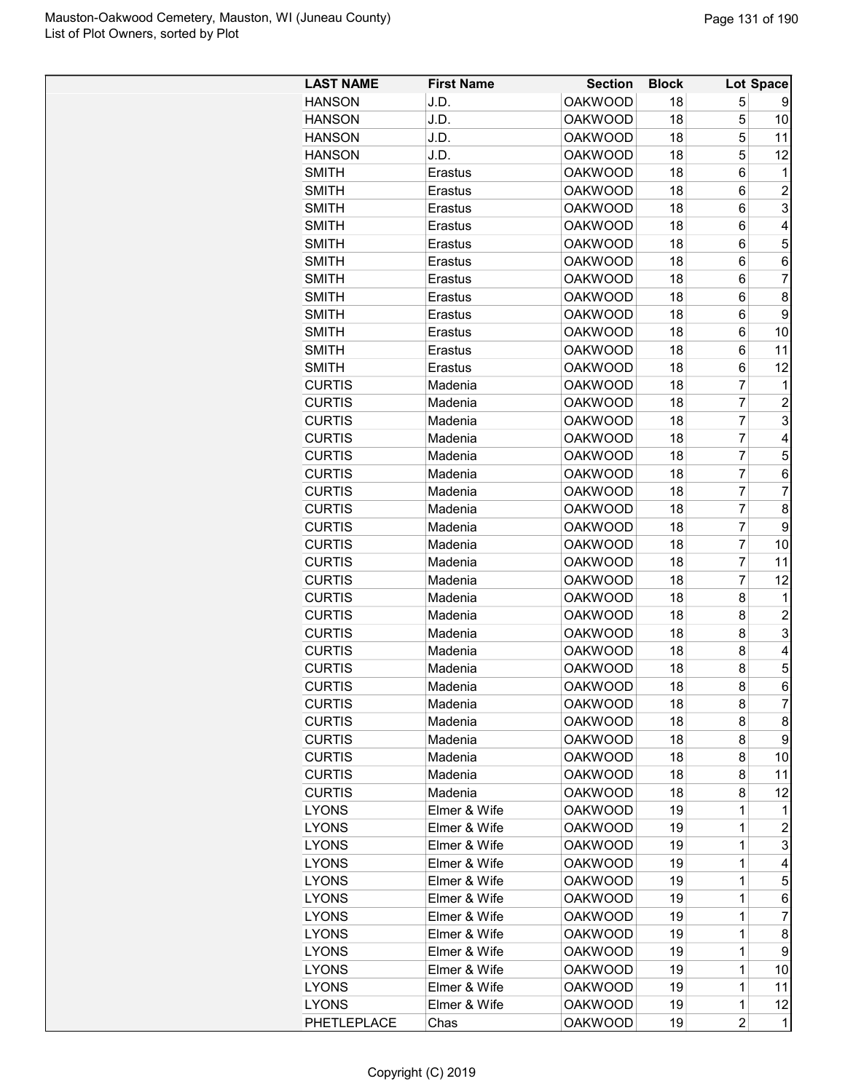| <b>LAST NAME</b> | <b>First Name</b> | <b>Section</b> | <b>Block</b> |                | Lot Space      |
|------------------|-------------------|----------------|--------------|----------------|----------------|
| <b>HANSON</b>    | J.D.              | <b>OAKWOOD</b> | 18           | 5              | 9              |
| <b>HANSON</b>    | J.D.              | <b>OAKWOOD</b> | 18           | 5              | 10             |
| <b>HANSON</b>    | J.D.              | <b>OAKWOOD</b> | 18           | 5              | 11             |
| <b>HANSON</b>    | J.D.              | <b>OAKWOOD</b> | 18           | 5              | 12             |
| <b>SMITH</b>     | Erastus           | <b>OAKWOOD</b> | 18           | 6              | 1              |
| <b>SMITH</b>     | Erastus           | <b>OAKWOOD</b> | 18           | 6              | $\overline{c}$ |
| <b>SMITH</b>     | Erastus           | <b>OAKWOOD</b> | 18           | 6              | 3              |
| <b>SMITH</b>     | Erastus           | <b>OAKWOOD</b> | 18           | 6              | 4              |
| <b>SMITH</b>     | Erastus           | <b>OAKWOOD</b> | 18           | 6              | 5              |
| <b>SMITH</b>     | Erastus           | <b>OAKWOOD</b> | 18           | 6              | 6              |
| <b>SMITH</b>     | Erastus           | <b>OAKWOOD</b> | 18           | 6              | $\overline{7}$ |
| <b>SMITH</b>     | Erastus           | <b>OAKWOOD</b> | 18           | 6              | 8              |
| <b>SMITH</b>     | Erastus           | <b>OAKWOOD</b> | 18           | 6              | 9              |
| <b>SMITH</b>     | Erastus           | <b>OAKWOOD</b> | 18           | 6              | 10             |
| <b>SMITH</b>     | Erastus           | <b>OAKWOOD</b> | 18           | 6              | 11             |
| <b>SMITH</b>     | Erastus           | <b>OAKWOOD</b> | 18           | 6              | 12             |
| <b>CURTIS</b>    | Madenia           | <b>OAKWOOD</b> | 18           | 7              | 1              |
| <b>CURTIS</b>    | Madenia           | <b>OAKWOOD</b> | 18           | $\overline{7}$ | $\overline{c}$ |
| <b>CURTIS</b>    | Madenia           | <b>OAKWOOD</b> | 18           | $\overline{7}$ | 3              |
| <b>CURTIS</b>    | Madenia           | <b>OAKWOOD</b> | 18           | $\overline{7}$ | 4              |
| <b>CURTIS</b>    | Madenia           | <b>OAKWOOD</b> | 18           | 7              | 5              |
| <b>CURTIS</b>    | Madenia           | <b>OAKWOOD</b> | 18           | $\overline{7}$ | 6              |
| <b>CURTIS</b>    | Madenia           | <b>OAKWOOD</b> | 18           | $\overline{7}$ | $\overline{7}$ |
| <b>CURTIS</b>    | Madenia           | <b>OAKWOOD</b> | 18           | $\overline{7}$ | 8              |
| <b>CURTIS</b>    | Madenia           | <b>OAKWOOD</b> | 18           | $\overline{7}$ | 9              |
| <b>CURTIS</b>    | Madenia           | <b>OAKWOOD</b> | 18           | $\overline{7}$ | 10             |
| <b>CURTIS</b>    | Madenia           | <b>OAKWOOD</b> | 18           | 7              | 11             |
| <b>CURTIS</b>    | Madenia           | <b>OAKWOOD</b> | 18           | 7              | 12             |
| <b>CURTIS</b>    | Madenia           | <b>OAKWOOD</b> | 18           | 8              | 1              |
| <b>CURTIS</b>    | Madenia           | <b>OAKWOOD</b> | 18           | 8              | $\overline{c}$ |
| <b>CURTIS</b>    | Madenia           | <b>OAKWOOD</b> | 18           | 8              | 3              |
| <b>CURTIS</b>    | Madenia           | <b>OAKWOOD</b> | 18           | 8              | 4              |
| <b>CURTIS</b>    | Madenia           | <b>OAKWOOD</b> | 18           | 8              | 5              |
| <b>CURTIS</b>    | Madenia           | <b>OAKWOOD</b> | 18           | 8              | 6              |
| <b>CURTIS</b>    | Madenia           | <b>OAKWOOD</b> | 18           | 8              | 7              |
| <b>CURTIS</b>    | Madenia           | <b>OAKWOOD</b> | 18           | 8              | 8              |
| <b>CURTIS</b>    | Madenia           | <b>OAKWOOD</b> | 18           | 8              | 9              |
| <b>CURTIS</b>    | Madenia           | <b>OAKWOOD</b> | 18           | 8              | 10             |
| <b>CURTIS</b>    | Madenia           | <b>OAKWOOD</b> | 18           | 8              | 11             |
| <b>CURTIS</b>    | Madenia           | <b>OAKWOOD</b> | 18           | 8              | 12             |
| <b>LYONS</b>     | Elmer & Wife      | <b>OAKWOOD</b> | 19           | $\mathbf 1$    | 1              |
| <b>LYONS</b>     | Elmer & Wife      | <b>OAKWOOD</b> | 19           | $\mathbf 1$    | $\overline{c}$ |
| <b>LYONS</b>     | Elmer & Wife      | <b>OAKWOOD</b> | 19           | 1              | 3              |
| <b>LYONS</b>     | Elmer & Wife      | <b>OAKWOOD</b> | 19           | 1              | 4              |
| <b>LYONS</b>     | Elmer & Wife      | <b>OAKWOOD</b> | 19           | 1              | 5              |
| <b>LYONS</b>     | Elmer & Wife      | <b>OAKWOOD</b> | 19           | $\mathbf 1$    | 6              |
| <b>LYONS</b>     | Elmer & Wife      | <b>OAKWOOD</b> | 19           | 1              | $\overline{7}$ |
| <b>LYONS</b>     | Elmer & Wife      | <b>OAKWOOD</b> | 19           | $\mathbf 1$    | 8              |
| <b>LYONS</b>     | Elmer & Wife      | <b>OAKWOOD</b> | 19           | 1              | 9              |
| <b>LYONS</b>     | Elmer & Wife      | <b>OAKWOOD</b> | 19           | 1              | 10             |
| <b>LYONS</b>     | Elmer & Wife      | <b>OAKWOOD</b> | 19           | 1              | 11             |
| <b>LYONS</b>     | Elmer & Wife      | <b>OAKWOOD</b> | 19           | $\mathbf 1$    | 12             |
| PHETLEPLACE      | Chas              | <b>OAKWOOD</b> | 19           | $\overline{c}$ | $\mathbf 1$    |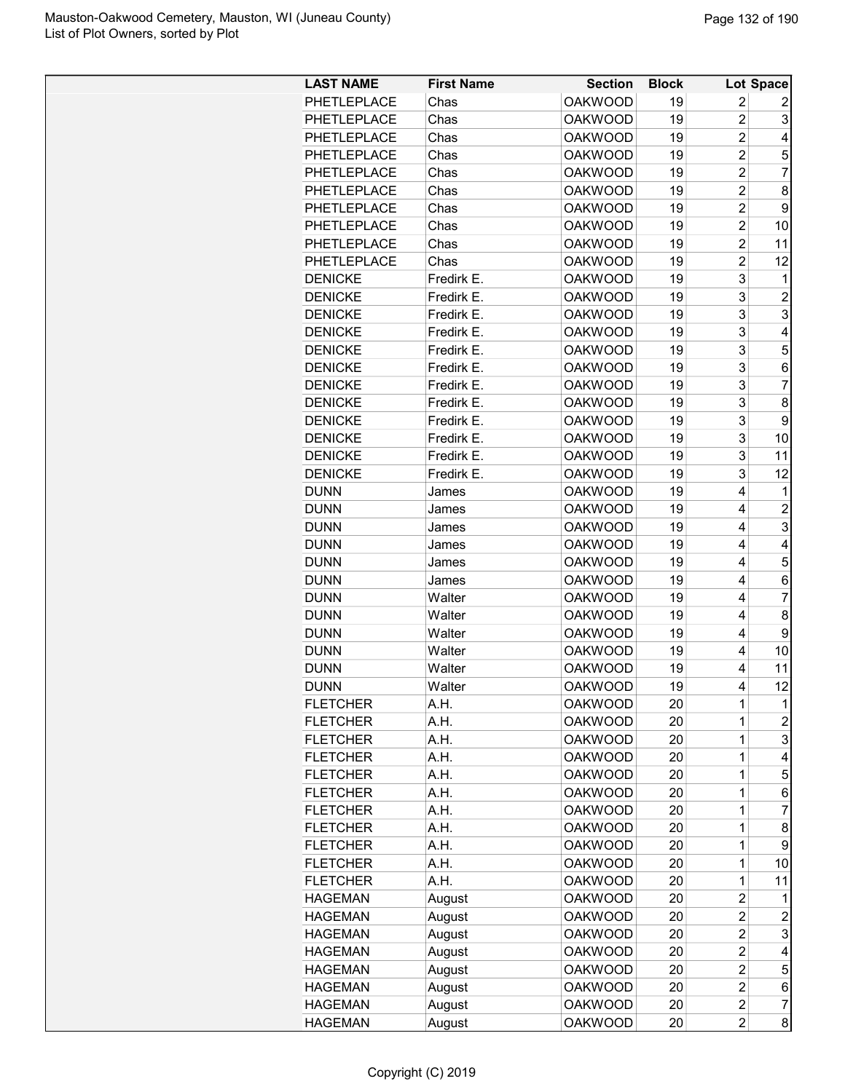| <b>LAST NAME</b>           | <b>First Name</b> | <b>Section</b>                   | <b>Block</b> |                         | Lot Space                |
|----------------------------|-------------------|----------------------------------|--------------|-------------------------|--------------------------|
| PHETLEPLACE                | Chas              | <b>OAKWOOD</b>                   | 19           | $\overline{c}$          | 2                        |
| PHETLEPLACE                | Chas              | <b>OAKWOOD</b>                   | 19           | $\overline{c}$          | 3                        |
| PHETLEPLACE                | Chas              | <b>OAKWOOD</b>                   | 19           | $\overline{2}$          | 4                        |
| PHETLEPLACE                | Chas              | <b>OAKWOOD</b>                   | 19           | $\overline{c}$          | 5                        |
| PHETLEPLACE                | Chas              | <b>OAKWOOD</b>                   | 19           | $\overline{2}$          | 7                        |
| PHETLEPLACE                | Chas              | <b>OAKWOOD</b>                   | 19           | $\overline{c}$          | 8                        |
| PHETLEPLACE                | Chas              | <b>OAKWOOD</b>                   | 19           | $\overline{c}$          | 9                        |
| PHETLEPLACE                | Chas              | <b>OAKWOOD</b>                   | 19           | $\overline{c}$          | 10                       |
| PHETLEPLACE                | Chas              | <b>OAKWOOD</b>                   | 19           | $\overline{c}$          | 11                       |
| PHETLEPLACE                | Chas              | <b>OAKWOOD</b>                   | 19           | $\overline{2}$          | 12                       |
| <b>DENICKE</b>             | Fredirk E.        | <b>OAKWOOD</b>                   | 19           | 3                       | 1                        |
| <b>DENICKE</b>             | Fredirk E.        | <b>OAKWOOD</b>                   | 19           | 3                       | 2                        |
| <b>DENICKE</b>             | Fredirk E.        | <b>OAKWOOD</b>                   | 19           | 3                       | 3                        |
| <b>DENICKE</b>             | Fredirk E.        | <b>OAKWOOD</b>                   | 19           | 3                       | 4                        |
| <b>DENICKE</b>             | Fredirk E.        | <b>OAKWOOD</b>                   | 19           | 3                       | 5                        |
| <b>DENICKE</b>             | Fredirk E.        | <b>OAKWOOD</b>                   | 19           | 3                       | 6                        |
| <b>DENICKE</b>             | Fredirk E.        | <b>OAKWOOD</b>                   | 19           | 3                       | $\overline{7}$           |
| <b>DENICKE</b>             | Fredirk E.        | <b>OAKWOOD</b>                   | 19           | 3                       | 8                        |
| <b>DENICKE</b>             | Fredirk E.        | <b>OAKWOOD</b>                   | 19           | 3                       | 9                        |
| <b>DENICKE</b>             | Fredirk E.        | <b>OAKWOOD</b>                   | 19           | 3                       | 10                       |
| <b>DENICKE</b>             | Fredirk E.        | <b>OAKWOOD</b>                   | 19           | 3                       | 11                       |
| <b>DENICKE</b>             | Fredirk E.        | <b>OAKWOOD</b>                   | 19           | 3                       | 12                       |
|                            |                   |                                  | 19           | 4                       | 1                        |
| <b>DUNN</b><br><b>DUNN</b> | James             | <b>OAKWOOD</b><br><b>OAKWOOD</b> | 19           | 4                       |                          |
|                            | James             |                                  |              |                         | $\overline{c}$           |
| <b>DUNN</b>                | James             | <b>OAKWOOD</b>                   | 19           | 4                       | 3                        |
| <b>DUNN</b>                | James             | <b>OAKWOOD</b>                   | 19           | 4                       | 4                        |
| <b>DUNN</b>                | James             | <b>OAKWOOD</b>                   | 19           | 4                       | 5                        |
| <b>DUNN</b>                | James             | <b>OAKWOOD</b>                   | 19           | 4                       | 6                        |
| <b>DUNN</b>                | Walter            | <b>OAKWOOD</b>                   | 19           | 4                       | $\overline{7}$           |
| <b>DUNN</b>                | Walter            | <b>OAKWOOD</b>                   | 19           | 4                       | 8                        |
| <b>DUNN</b>                | Walter            | <b>OAKWOOD</b>                   | 19           | 4                       | 9                        |
| <b>DUNN</b>                | Walter            | <b>OAKWOOD</b>                   | 19           | 4                       | 10                       |
| <b>DUNN</b>                | Walter            | <b>OAKWOOD</b>                   | 19           | 4                       | 11                       |
| <b>DUNN</b>                | Walter            | <b>OAKWOOD</b>                   | 19           | 4                       | 12                       |
| <b>FLETCHER</b>            | A.H.              | <b>OAKWOOD</b>                   | 20           | 1                       | $\mathbf 1$              |
| <b>FLETCHER</b>            | A.H.              | <b>OAKWOOD</b>                   | 20           | 1                       | $\overline{c}$           |
| <b>FLETCHER</b>            | A.H.              | <b>OAKWOOD</b>                   | 20           | 1                       | 3                        |
| <b>FLETCHER</b>            | A.H.              | <b>OAKWOOD</b>                   | 20           | 1                       | 4                        |
| <b>FLETCHER</b>            | A.H.              | <b>OAKWOOD</b>                   | 20           | 1                       | 5                        |
| <b>FLETCHER</b>            | A.H.              | <b>OAKWOOD</b>                   | 20           | 1                       | 6                        |
| <b>FLETCHER</b>            | A.H.              | <b>OAKWOOD</b>                   | 20           | 1                       | 7                        |
| <b>FLETCHER</b>            | A.H.              | <b>OAKWOOD</b>                   | 20           | 1                       | 8                        |
| <b>FLETCHER</b>            | A.H.              | <b>OAKWOOD</b>                   | 20           | 1                       | 9                        |
| <b>FLETCHER</b>            | A.H.              | <b>OAKWOOD</b>                   | 20           | 1                       | 10                       |
| <b>FLETCHER</b>            | A.H.              | <b>OAKWOOD</b>                   | 20           | $\mathbf 1$             | 11                       |
| <b>HAGEMAN</b>             | August            | <b>OAKWOOD</b>                   | 20           | $\overline{2}$          | 1                        |
| <b>HAGEMAN</b>             | August            | <b>OAKWOOD</b>                   | 20           | $\overline{c}$          | 2                        |
| <b>HAGEMAN</b>             | August            | <b>OAKWOOD</b>                   | 20           | 2                       | 3                        |
| <b>HAGEMAN</b>             | August            | <b>OAKWOOD</b>                   | 20           | $\overline{\mathbf{c}}$ | 4                        |
| <b>HAGEMAN</b>             | August            | <b>OAKWOOD</b>                   | 20           | $\overline{c}$          | 5                        |
| <b>HAGEMAN</b>             | August            | <b>OAKWOOD</b>                   | 20           | $\overline{\mathbf{c}}$ | 6                        |
| <b>HAGEMAN</b>             | August            | <b>OAKWOOD</b>                   | 20           | $\overline{2}$          | $\overline{\mathcal{I}}$ |
| <b>HAGEMAN</b>             | August            | <b>OAKWOOD</b>                   | 20           | $\overline{2}$          | 8                        |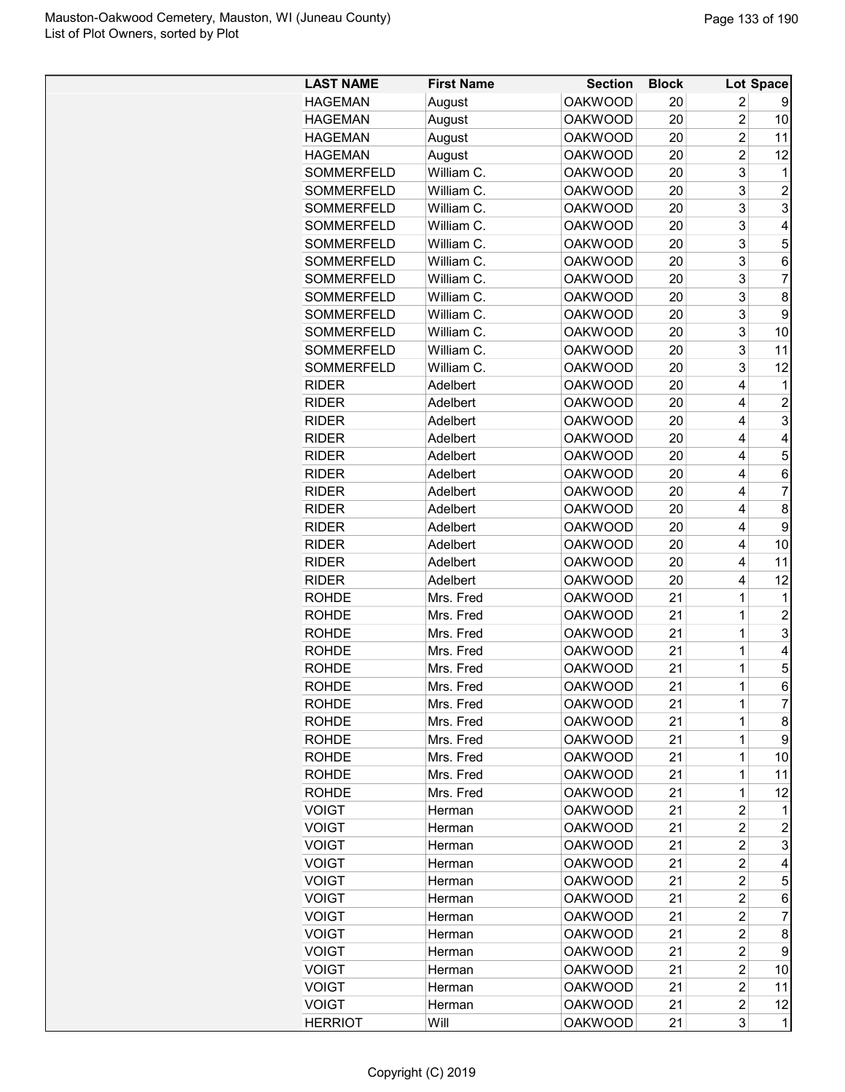| <b>HAGEMAN</b><br><b>OAKWOOD</b><br>20<br>2<br>August<br>9<br>$\overline{2}$<br><b>HAGEMAN</b><br><b>OAKWOOD</b><br>20<br>10<br>August<br>$\overline{c}$<br><b>HAGEMAN</b><br>August<br><b>OAKWOOD</b><br>11<br>20<br><b>HAGEMAN</b><br><b>OAKWOOD</b><br>$\overline{c}$<br>12<br>August<br>20<br>3<br>SOMMERFELD<br>William C.<br><b>OAKWOOD</b><br>20<br>1<br>SOMMERFELD<br>William C.<br>3<br>$\overline{2}$<br><b>OAKWOOD</b><br>20<br>3<br>3<br>SOMMERFELD<br>William C.<br><b>OAKWOOD</b><br>20<br>3<br>SOMMERFELD<br>William C.<br><b>OAKWOOD</b><br>4<br>20<br>3<br>5<br>SOMMERFELD<br>William C.<br><b>OAKWOOD</b><br>20<br>3<br>SOMMERFELD<br>William C.<br><b>OAKWOOD</b><br>20<br>6<br>3<br>$\overline{7}$<br><b>SOMMERFELD</b><br>William C.<br><b>OAKWOOD</b><br>20<br>3<br>William C.<br><b>OAKWOOD</b><br>8<br>SOMMERFELD<br>20<br>3<br>SOMMERFELD<br>William C.<br><b>OAKWOOD</b><br>20<br>9<br>3<br>SOMMERFELD<br>William C.<br><b>OAKWOOD</b><br>20<br>10<br>3<br>SOMMERFELD<br>William C.<br><b>OAKWOOD</b><br>20<br>11<br>3<br><b>OAKWOOD</b><br>12<br><b>SOMMERFELD</b><br>William C.<br>20<br>4<br><b>OAKWOOD</b><br><b>RIDER</b><br>Adelbert<br>20<br>1<br>Adelbert<br><b>OAKWOOD</b><br>4<br>$\overline{c}$<br><b>RIDER</b><br>20<br>3<br>Adelbert<br><b>OAKWOOD</b><br>4<br><b>RIDER</b><br>20<br><b>RIDER</b><br>Adelbert<br><b>OAKWOOD</b><br>20<br>4<br>$\overline{4}$<br>5<br><b>RIDER</b><br>Adelbert<br><b>OAKWOOD</b><br>20<br>4<br><b>RIDER</b><br>Adelbert<br><b>OAKWOOD</b><br>20<br>4<br>6<br>$\overline{7}$<br>Adelbert<br><b>OAKWOOD</b><br>20<br>4<br><b>RIDER</b><br>8<br>Adelbert<br><b>OAKWOOD</b><br>20<br>4<br><b>RIDER</b><br>9<br>Adelbert<br><b>OAKWOOD</b><br>20<br>4<br><b>RIDER</b><br><b>OAKWOOD</b><br>4<br>10<br><b>RIDER</b><br>Adelbert<br>20<br><b>RIDER</b><br>Adelbert<br><b>OAKWOOD</b><br>20<br>11<br>4<br><b>RIDER</b><br>Adelbert<br><b>OAKWOOD</b><br>20<br>12<br>4<br><b>ROHDE</b><br>Mrs. Fred<br><b>OAKWOOD</b><br>21<br>1<br>1<br>$\overline{2}$<br>21<br>1<br><b>ROHDE</b><br>Mrs. Fred<br><b>OAKWOOD</b><br>$\mathbf 1$<br>3<br>Mrs. Fred<br><b>OAKWOOD</b><br>21<br><b>ROHDE</b><br>$\overline{1}$<br><b>ROHDE</b><br>Mrs. Fred<br><b>OAKWOOD</b><br>21<br>4<br>1<br>Mrs. Fred<br><b>OAKWOOD</b><br>5<br><b>ROHDE</b><br>21<br>$\overline{1}$<br>6<br><b>OAKWOOD</b><br>21<br><b>ROHDE</b><br>Mrs. Fred<br>$\overline{7}$<br>21<br>ROHDE<br>Mrs. Fred<br><b>OAKWOOD</b><br>1<br>21<br>8<br><b>ROHDE</b><br>Mrs. Fred<br><b>OAKWOOD</b><br>1<br>1<br>9<br>Mrs. Fred<br><b>OAKWOOD</b><br>21<br><b>ROHDE</b><br>1<br>10<br><b>ROHDE</b><br>Mrs. Fred<br><b>OAKWOOD</b><br>21<br><b>OAKWOOD</b><br>21<br>$\mathbf 1$<br>11<br><b>ROHDE</b><br>Mrs. Fred<br>$\mathbf 1$<br><b>ROHDE</b><br>Mrs. Fred<br><b>OAKWOOD</b><br>21<br>12<br><b>VOIGT</b><br><b>OAKWOOD</b><br>2<br>21<br>Herman<br>1<br><b>VOIGT</b><br><b>OAKWOOD</b><br>2<br>$\overline{2}$<br>21<br>Herman<br>3<br><b>OAKWOOD</b><br>21<br>2<br><b>VOIGT</b><br>Herman<br>$\overline{c}$<br><b>VOIGT</b><br><b>OAKWOOD</b><br>21<br>4<br>Herman<br>$\overline{c}$<br>5<br><b>VOIGT</b><br><b>OAKWOOD</b><br>21<br>Herman<br>$\overline{c}$<br><b>VOIGT</b><br><b>OAKWOOD</b><br>21<br>6<br>Herman<br>21<br>2<br><b>VOIGT</b><br><b>OAKWOOD</b><br>7<br>Herman<br>$\overline{c}$<br><b>OAKWOOD</b><br><b>VOIGT</b><br>21<br>8<br>Herman<br><b>VOIGT</b><br><b>OAKWOOD</b><br>$\overline{c}$<br>21<br>9<br>Herman<br>21<br>2<br><b>VOIGT</b><br><b>OAKWOOD</b><br>10<br>Herman<br>$\overline{2}$<br><b>OAKWOOD</b><br>21<br><b>VOIGT</b><br>Herman<br>11<br>21<br>2<br><b>VOIGT</b><br><b>OAKWOOD</b><br>12<br>Herman<br><b>OAKWOOD</b><br>3<br><b>HERRIOT</b><br>Will<br>21<br>1 | <b>LAST NAME</b> | <b>First Name</b> | <b>Section</b> | <b>Block</b> | Lot Space |
|-----------------------------------------------------------------------------------------------------------------------------------------------------------------------------------------------------------------------------------------------------------------------------------------------------------------------------------------------------------------------------------------------------------------------------------------------------------------------------------------------------------------------------------------------------------------------------------------------------------------------------------------------------------------------------------------------------------------------------------------------------------------------------------------------------------------------------------------------------------------------------------------------------------------------------------------------------------------------------------------------------------------------------------------------------------------------------------------------------------------------------------------------------------------------------------------------------------------------------------------------------------------------------------------------------------------------------------------------------------------------------------------------------------------------------------------------------------------------------------------------------------------------------------------------------------------------------------------------------------------------------------------------------------------------------------------------------------------------------------------------------------------------------------------------------------------------------------------------------------------------------------------------------------------------------------------------------------------------------------------------------------------------------------------------------------------------------------------------------------------------------------------------------------------------------------------------------------------------------------------------------------------------------------------------------------------------------------------------------------------------------------------------------------------------------------------------------------------------------------------------------------------------------------------------------------------------------------------------------------------------------------------------------------------------------------------------------------------------------------------------------------------------------------------------------------------------------------------------------------------------------------------------------------------------------------------------------------------------------------------------------------------------------------------------------------------------------------------------------------------------------------------------------------------------------------------------------------------------------------------------------------------------------------------------------------------------------------------------------------------------------------------------------------------------------------------------------------------------------------------------------------------------------------------------------------------------------------------------------------------------------------------------------------------------------------------------------------------|------------------|-------------------|----------------|--------------|-----------|
|                                                                                                                                                                                                                                                                                                                                                                                                                                                                                                                                                                                                                                                                                                                                                                                                                                                                                                                                                                                                                                                                                                                                                                                                                                                                                                                                                                                                                                                                                                                                                                                                                                                                                                                                                                                                                                                                                                                                                                                                                                                                                                                                                                                                                                                                                                                                                                                                                                                                                                                                                                                                                                                                                                                                                                                                                                                                                                                                                                                                                                                                                                                                                                                                                                                                                                                                                                                                                                                                                                                                                                                                                                                                                                                 |                  |                   |                |              |           |
|                                                                                                                                                                                                                                                                                                                                                                                                                                                                                                                                                                                                                                                                                                                                                                                                                                                                                                                                                                                                                                                                                                                                                                                                                                                                                                                                                                                                                                                                                                                                                                                                                                                                                                                                                                                                                                                                                                                                                                                                                                                                                                                                                                                                                                                                                                                                                                                                                                                                                                                                                                                                                                                                                                                                                                                                                                                                                                                                                                                                                                                                                                                                                                                                                                                                                                                                                                                                                                                                                                                                                                                                                                                                                                                 |                  |                   |                |              |           |
|                                                                                                                                                                                                                                                                                                                                                                                                                                                                                                                                                                                                                                                                                                                                                                                                                                                                                                                                                                                                                                                                                                                                                                                                                                                                                                                                                                                                                                                                                                                                                                                                                                                                                                                                                                                                                                                                                                                                                                                                                                                                                                                                                                                                                                                                                                                                                                                                                                                                                                                                                                                                                                                                                                                                                                                                                                                                                                                                                                                                                                                                                                                                                                                                                                                                                                                                                                                                                                                                                                                                                                                                                                                                                                                 |                  |                   |                |              |           |
|                                                                                                                                                                                                                                                                                                                                                                                                                                                                                                                                                                                                                                                                                                                                                                                                                                                                                                                                                                                                                                                                                                                                                                                                                                                                                                                                                                                                                                                                                                                                                                                                                                                                                                                                                                                                                                                                                                                                                                                                                                                                                                                                                                                                                                                                                                                                                                                                                                                                                                                                                                                                                                                                                                                                                                                                                                                                                                                                                                                                                                                                                                                                                                                                                                                                                                                                                                                                                                                                                                                                                                                                                                                                                                                 |                  |                   |                |              |           |
|                                                                                                                                                                                                                                                                                                                                                                                                                                                                                                                                                                                                                                                                                                                                                                                                                                                                                                                                                                                                                                                                                                                                                                                                                                                                                                                                                                                                                                                                                                                                                                                                                                                                                                                                                                                                                                                                                                                                                                                                                                                                                                                                                                                                                                                                                                                                                                                                                                                                                                                                                                                                                                                                                                                                                                                                                                                                                                                                                                                                                                                                                                                                                                                                                                                                                                                                                                                                                                                                                                                                                                                                                                                                                                                 |                  |                   |                |              |           |
|                                                                                                                                                                                                                                                                                                                                                                                                                                                                                                                                                                                                                                                                                                                                                                                                                                                                                                                                                                                                                                                                                                                                                                                                                                                                                                                                                                                                                                                                                                                                                                                                                                                                                                                                                                                                                                                                                                                                                                                                                                                                                                                                                                                                                                                                                                                                                                                                                                                                                                                                                                                                                                                                                                                                                                                                                                                                                                                                                                                                                                                                                                                                                                                                                                                                                                                                                                                                                                                                                                                                                                                                                                                                                                                 |                  |                   |                |              |           |
|                                                                                                                                                                                                                                                                                                                                                                                                                                                                                                                                                                                                                                                                                                                                                                                                                                                                                                                                                                                                                                                                                                                                                                                                                                                                                                                                                                                                                                                                                                                                                                                                                                                                                                                                                                                                                                                                                                                                                                                                                                                                                                                                                                                                                                                                                                                                                                                                                                                                                                                                                                                                                                                                                                                                                                                                                                                                                                                                                                                                                                                                                                                                                                                                                                                                                                                                                                                                                                                                                                                                                                                                                                                                                                                 |                  |                   |                |              |           |
|                                                                                                                                                                                                                                                                                                                                                                                                                                                                                                                                                                                                                                                                                                                                                                                                                                                                                                                                                                                                                                                                                                                                                                                                                                                                                                                                                                                                                                                                                                                                                                                                                                                                                                                                                                                                                                                                                                                                                                                                                                                                                                                                                                                                                                                                                                                                                                                                                                                                                                                                                                                                                                                                                                                                                                                                                                                                                                                                                                                                                                                                                                                                                                                                                                                                                                                                                                                                                                                                                                                                                                                                                                                                                                                 |                  |                   |                |              |           |
|                                                                                                                                                                                                                                                                                                                                                                                                                                                                                                                                                                                                                                                                                                                                                                                                                                                                                                                                                                                                                                                                                                                                                                                                                                                                                                                                                                                                                                                                                                                                                                                                                                                                                                                                                                                                                                                                                                                                                                                                                                                                                                                                                                                                                                                                                                                                                                                                                                                                                                                                                                                                                                                                                                                                                                                                                                                                                                                                                                                                                                                                                                                                                                                                                                                                                                                                                                                                                                                                                                                                                                                                                                                                                                                 |                  |                   |                |              |           |
|                                                                                                                                                                                                                                                                                                                                                                                                                                                                                                                                                                                                                                                                                                                                                                                                                                                                                                                                                                                                                                                                                                                                                                                                                                                                                                                                                                                                                                                                                                                                                                                                                                                                                                                                                                                                                                                                                                                                                                                                                                                                                                                                                                                                                                                                                                                                                                                                                                                                                                                                                                                                                                                                                                                                                                                                                                                                                                                                                                                                                                                                                                                                                                                                                                                                                                                                                                                                                                                                                                                                                                                                                                                                                                                 |                  |                   |                |              |           |
|                                                                                                                                                                                                                                                                                                                                                                                                                                                                                                                                                                                                                                                                                                                                                                                                                                                                                                                                                                                                                                                                                                                                                                                                                                                                                                                                                                                                                                                                                                                                                                                                                                                                                                                                                                                                                                                                                                                                                                                                                                                                                                                                                                                                                                                                                                                                                                                                                                                                                                                                                                                                                                                                                                                                                                                                                                                                                                                                                                                                                                                                                                                                                                                                                                                                                                                                                                                                                                                                                                                                                                                                                                                                                                                 |                  |                   |                |              |           |
|                                                                                                                                                                                                                                                                                                                                                                                                                                                                                                                                                                                                                                                                                                                                                                                                                                                                                                                                                                                                                                                                                                                                                                                                                                                                                                                                                                                                                                                                                                                                                                                                                                                                                                                                                                                                                                                                                                                                                                                                                                                                                                                                                                                                                                                                                                                                                                                                                                                                                                                                                                                                                                                                                                                                                                                                                                                                                                                                                                                                                                                                                                                                                                                                                                                                                                                                                                                                                                                                                                                                                                                                                                                                                                                 |                  |                   |                |              |           |
|                                                                                                                                                                                                                                                                                                                                                                                                                                                                                                                                                                                                                                                                                                                                                                                                                                                                                                                                                                                                                                                                                                                                                                                                                                                                                                                                                                                                                                                                                                                                                                                                                                                                                                                                                                                                                                                                                                                                                                                                                                                                                                                                                                                                                                                                                                                                                                                                                                                                                                                                                                                                                                                                                                                                                                                                                                                                                                                                                                                                                                                                                                                                                                                                                                                                                                                                                                                                                                                                                                                                                                                                                                                                                                                 |                  |                   |                |              |           |
|                                                                                                                                                                                                                                                                                                                                                                                                                                                                                                                                                                                                                                                                                                                                                                                                                                                                                                                                                                                                                                                                                                                                                                                                                                                                                                                                                                                                                                                                                                                                                                                                                                                                                                                                                                                                                                                                                                                                                                                                                                                                                                                                                                                                                                                                                                                                                                                                                                                                                                                                                                                                                                                                                                                                                                                                                                                                                                                                                                                                                                                                                                                                                                                                                                                                                                                                                                                                                                                                                                                                                                                                                                                                                                                 |                  |                   |                |              |           |
|                                                                                                                                                                                                                                                                                                                                                                                                                                                                                                                                                                                                                                                                                                                                                                                                                                                                                                                                                                                                                                                                                                                                                                                                                                                                                                                                                                                                                                                                                                                                                                                                                                                                                                                                                                                                                                                                                                                                                                                                                                                                                                                                                                                                                                                                                                                                                                                                                                                                                                                                                                                                                                                                                                                                                                                                                                                                                                                                                                                                                                                                                                                                                                                                                                                                                                                                                                                                                                                                                                                                                                                                                                                                                                                 |                  |                   |                |              |           |
|                                                                                                                                                                                                                                                                                                                                                                                                                                                                                                                                                                                                                                                                                                                                                                                                                                                                                                                                                                                                                                                                                                                                                                                                                                                                                                                                                                                                                                                                                                                                                                                                                                                                                                                                                                                                                                                                                                                                                                                                                                                                                                                                                                                                                                                                                                                                                                                                                                                                                                                                                                                                                                                                                                                                                                                                                                                                                                                                                                                                                                                                                                                                                                                                                                                                                                                                                                                                                                                                                                                                                                                                                                                                                                                 |                  |                   |                |              |           |
|                                                                                                                                                                                                                                                                                                                                                                                                                                                                                                                                                                                                                                                                                                                                                                                                                                                                                                                                                                                                                                                                                                                                                                                                                                                                                                                                                                                                                                                                                                                                                                                                                                                                                                                                                                                                                                                                                                                                                                                                                                                                                                                                                                                                                                                                                                                                                                                                                                                                                                                                                                                                                                                                                                                                                                                                                                                                                                                                                                                                                                                                                                                                                                                                                                                                                                                                                                                                                                                                                                                                                                                                                                                                                                                 |                  |                   |                |              |           |
|                                                                                                                                                                                                                                                                                                                                                                                                                                                                                                                                                                                                                                                                                                                                                                                                                                                                                                                                                                                                                                                                                                                                                                                                                                                                                                                                                                                                                                                                                                                                                                                                                                                                                                                                                                                                                                                                                                                                                                                                                                                                                                                                                                                                                                                                                                                                                                                                                                                                                                                                                                                                                                                                                                                                                                                                                                                                                                                                                                                                                                                                                                                                                                                                                                                                                                                                                                                                                                                                                                                                                                                                                                                                                                                 |                  |                   |                |              |           |
|                                                                                                                                                                                                                                                                                                                                                                                                                                                                                                                                                                                                                                                                                                                                                                                                                                                                                                                                                                                                                                                                                                                                                                                                                                                                                                                                                                                                                                                                                                                                                                                                                                                                                                                                                                                                                                                                                                                                                                                                                                                                                                                                                                                                                                                                                                                                                                                                                                                                                                                                                                                                                                                                                                                                                                                                                                                                                                                                                                                                                                                                                                                                                                                                                                                                                                                                                                                                                                                                                                                                                                                                                                                                                                                 |                  |                   |                |              |           |
|                                                                                                                                                                                                                                                                                                                                                                                                                                                                                                                                                                                                                                                                                                                                                                                                                                                                                                                                                                                                                                                                                                                                                                                                                                                                                                                                                                                                                                                                                                                                                                                                                                                                                                                                                                                                                                                                                                                                                                                                                                                                                                                                                                                                                                                                                                                                                                                                                                                                                                                                                                                                                                                                                                                                                                                                                                                                                                                                                                                                                                                                                                                                                                                                                                                                                                                                                                                                                                                                                                                                                                                                                                                                                                                 |                  |                   |                |              |           |
|                                                                                                                                                                                                                                                                                                                                                                                                                                                                                                                                                                                                                                                                                                                                                                                                                                                                                                                                                                                                                                                                                                                                                                                                                                                                                                                                                                                                                                                                                                                                                                                                                                                                                                                                                                                                                                                                                                                                                                                                                                                                                                                                                                                                                                                                                                                                                                                                                                                                                                                                                                                                                                                                                                                                                                                                                                                                                                                                                                                                                                                                                                                                                                                                                                                                                                                                                                                                                                                                                                                                                                                                                                                                                                                 |                  |                   |                |              |           |
|                                                                                                                                                                                                                                                                                                                                                                                                                                                                                                                                                                                                                                                                                                                                                                                                                                                                                                                                                                                                                                                                                                                                                                                                                                                                                                                                                                                                                                                                                                                                                                                                                                                                                                                                                                                                                                                                                                                                                                                                                                                                                                                                                                                                                                                                                                                                                                                                                                                                                                                                                                                                                                                                                                                                                                                                                                                                                                                                                                                                                                                                                                                                                                                                                                                                                                                                                                                                                                                                                                                                                                                                                                                                                                                 |                  |                   |                |              |           |
|                                                                                                                                                                                                                                                                                                                                                                                                                                                                                                                                                                                                                                                                                                                                                                                                                                                                                                                                                                                                                                                                                                                                                                                                                                                                                                                                                                                                                                                                                                                                                                                                                                                                                                                                                                                                                                                                                                                                                                                                                                                                                                                                                                                                                                                                                                                                                                                                                                                                                                                                                                                                                                                                                                                                                                                                                                                                                                                                                                                                                                                                                                                                                                                                                                                                                                                                                                                                                                                                                                                                                                                                                                                                                                                 |                  |                   |                |              |           |
|                                                                                                                                                                                                                                                                                                                                                                                                                                                                                                                                                                                                                                                                                                                                                                                                                                                                                                                                                                                                                                                                                                                                                                                                                                                                                                                                                                                                                                                                                                                                                                                                                                                                                                                                                                                                                                                                                                                                                                                                                                                                                                                                                                                                                                                                                                                                                                                                                                                                                                                                                                                                                                                                                                                                                                                                                                                                                                                                                                                                                                                                                                                                                                                                                                                                                                                                                                                                                                                                                                                                                                                                                                                                                                                 |                  |                   |                |              |           |
|                                                                                                                                                                                                                                                                                                                                                                                                                                                                                                                                                                                                                                                                                                                                                                                                                                                                                                                                                                                                                                                                                                                                                                                                                                                                                                                                                                                                                                                                                                                                                                                                                                                                                                                                                                                                                                                                                                                                                                                                                                                                                                                                                                                                                                                                                                                                                                                                                                                                                                                                                                                                                                                                                                                                                                                                                                                                                                                                                                                                                                                                                                                                                                                                                                                                                                                                                                                                                                                                                                                                                                                                                                                                                                                 |                  |                   |                |              |           |
|                                                                                                                                                                                                                                                                                                                                                                                                                                                                                                                                                                                                                                                                                                                                                                                                                                                                                                                                                                                                                                                                                                                                                                                                                                                                                                                                                                                                                                                                                                                                                                                                                                                                                                                                                                                                                                                                                                                                                                                                                                                                                                                                                                                                                                                                                                                                                                                                                                                                                                                                                                                                                                                                                                                                                                                                                                                                                                                                                                                                                                                                                                                                                                                                                                                                                                                                                                                                                                                                                                                                                                                                                                                                                                                 |                  |                   |                |              |           |
|                                                                                                                                                                                                                                                                                                                                                                                                                                                                                                                                                                                                                                                                                                                                                                                                                                                                                                                                                                                                                                                                                                                                                                                                                                                                                                                                                                                                                                                                                                                                                                                                                                                                                                                                                                                                                                                                                                                                                                                                                                                                                                                                                                                                                                                                                                                                                                                                                                                                                                                                                                                                                                                                                                                                                                                                                                                                                                                                                                                                                                                                                                                                                                                                                                                                                                                                                                                                                                                                                                                                                                                                                                                                                                                 |                  |                   |                |              |           |
|                                                                                                                                                                                                                                                                                                                                                                                                                                                                                                                                                                                                                                                                                                                                                                                                                                                                                                                                                                                                                                                                                                                                                                                                                                                                                                                                                                                                                                                                                                                                                                                                                                                                                                                                                                                                                                                                                                                                                                                                                                                                                                                                                                                                                                                                                                                                                                                                                                                                                                                                                                                                                                                                                                                                                                                                                                                                                                                                                                                                                                                                                                                                                                                                                                                                                                                                                                                                                                                                                                                                                                                                                                                                                                                 |                  |                   |                |              |           |
|                                                                                                                                                                                                                                                                                                                                                                                                                                                                                                                                                                                                                                                                                                                                                                                                                                                                                                                                                                                                                                                                                                                                                                                                                                                                                                                                                                                                                                                                                                                                                                                                                                                                                                                                                                                                                                                                                                                                                                                                                                                                                                                                                                                                                                                                                                                                                                                                                                                                                                                                                                                                                                                                                                                                                                                                                                                                                                                                                                                                                                                                                                                                                                                                                                                                                                                                                                                                                                                                                                                                                                                                                                                                                                                 |                  |                   |                |              |           |
|                                                                                                                                                                                                                                                                                                                                                                                                                                                                                                                                                                                                                                                                                                                                                                                                                                                                                                                                                                                                                                                                                                                                                                                                                                                                                                                                                                                                                                                                                                                                                                                                                                                                                                                                                                                                                                                                                                                                                                                                                                                                                                                                                                                                                                                                                                                                                                                                                                                                                                                                                                                                                                                                                                                                                                                                                                                                                                                                                                                                                                                                                                                                                                                                                                                                                                                                                                                                                                                                                                                                                                                                                                                                                                                 |                  |                   |                |              |           |
|                                                                                                                                                                                                                                                                                                                                                                                                                                                                                                                                                                                                                                                                                                                                                                                                                                                                                                                                                                                                                                                                                                                                                                                                                                                                                                                                                                                                                                                                                                                                                                                                                                                                                                                                                                                                                                                                                                                                                                                                                                                                                                                                                                                                                                                                                                                                                                                                                                                                                                                                                                                                                                                                                                                                                                                                                                                                                                                                                                                                                                                                                                                                                                                                                                                                                                                                                                                                                                                                                                                                                                                                                                                                                                                 |                  |                   |                |              |           |
|                                                                                                                                                                                                                                                                                                                                                                                                                                                                                                                                                                                                                                                                                                                                                                                                                                                                                                                                                                                                                                                                                                                                                                                                                                                                                                                                                                                                                                                                                                                                                                                                                                                                                                                                                                                                                                                                                                                                                                                                                                                                                                                                                                                                                                                                                                                                                                                                                                                                                                                                                                                                                                                                                                                                                                                                                                                                                                                                                                                                                                                                                                                                                                                                                                                                                                                                                                                                                                                                                                                                                                                                                                                                                                                 |                  |                   |                |              |           |
|                                                                                                                                                                                                                                                                                                                                                                                                                                                                                                                                                                                                                                                                                                                                                                                                                                                                                                                                                                                                                                                                                                                                                                                                                                                                                                                                                                                                                                                                                                                                                                                                                                                                                                                                                                                                                                                                                                                                                                                                                                                                                                                                                                                                                                                                                                                                                                                                                                                                                                                                                                                                                                                                                                                                                                                                                                                                                                                                                                                                                                                                                                                                                                                                                                                                                                                                                                                                                                                                                                                                                                                                                                                                                                                 |                  |                   |                |              |           |
|                                                                                                                                                                                                                                                                                                                                                                                                                                                                                                                                                                                                                                                                                                                                                                                                                                                                                                                                                                                                                                                                                                                                                                                                                                                                                                                                                                                                                                                                                                                                                                                                                                                                                                                                                                                                                                                                                                                                                                                                                                                                                                                                                                                                                                                                                                                                                                                                                                                                                                                                                                                                                                                                                                                                                                                                                                                                                                                                                                                                                                                                                                                                                                                                                                                                                                                                                                                                                                                                                                                                                                                                                                                                                                                 |                  |                   |                |              |           |
|                                                                                                                                                                                                                                                                                                                                                                                                                                                                                                                                                                                                                                                                                                                                                                                                                                                                                                                                                                                                                                                                                                                                                                                                                                                                                                                                                                                                                                                                                                                                                                                                                                                                                                                                                                                                                                                                                                                                                                                                                                                                                                                                                                                                                                                                                                                                                                                                                                                                                                                                                                                                                                                                                                                                                                                                                                                                                                                                                                                                                                                                                                                                                                                                                                                                                                                                                                                                                                                                                                                                                                                                                                                                                                                 |                  |                   |                |              |           |
|                                                                                                                                                                                                                                                                                                                                                                                                                                                                                                                                                                                                                                                                                                                                                                                                                                                                                                                                                                                                                                                                                                                                                                                                                                                                                                                                                                                                                                                                                                                                                                                                                                                                                                                                                                                                                                                                                                                                                                                                                                                                                                                                                                                                                                                                                                                                                                                                                                                                                                                                                                                                                                                                                                                                                                                                                                                                                                                                                                                                                                                                                                                                                                                                                                                                                                                                                                                                                                                                                                                                                                                                                                                                                                                 |                  |                   |                |              |           |
|                                                                                                                                                                                                                                                                                                                                                                                                                                                                                                                                                                                                                                                                                                                                                                                                                                                                                                                                                                                                                                                                                                                                                                                                                                                                                                                                                                                                                                                                                                                                                                                                                                                                                                                                                                                                                                                                                                                                                                                                                                                                                                                                                                                                                                                                                                                                                                                                                                                                                                                                                                                                                                                                                                                                                                                                                                                                                                                                                                                                                                                                                                                                                                                                                                                                                                                                                                                                                                                                                                                                                                                                                                                                                                                 |                  |                   |                |              |           |
|                                                                                                                                                                                                                                                                                                                                                                                                                                                                                                                                                                                                                                                                                                                                                                                                                                                                                                                                                                                                                                                                                                                                                                                                                                                                                                                                                                                                                                                                                                                                                                                                                                                                                                                                                                                                                                                                                                                                                                                                                                                                                                                                                                                                                                                                                                                                                                                                                                                                                                                                                                                                                                                                                                                                                                                                                                                                                                                                                                                                                                                                                                                                                                                                                                                                                                                                                                                                                                                                                                                                                                                                                                                                                                                 |                  |                   |                |              |           |
|                                                                                                                                                                                                                                                                                                                                                                                                                                                                                                                                                                                                                                                                                                                                                                                                                                                                                                                                                                                                                                                                                                                                                                                                                                                                                                                                                                                                                                                                                                                                                                                                                                                                                                                                                                                                                                                                                                                                                                                                                                                                                                                                                                                                                                                                                                                                                                                                                                                                                                                                                                                                                                                                                                                                                                                                                                                                                                                                                                                                                                                                                                                                                                                                                                                                                                                                                                                                                                                                                                                                                                                                                                                                                                                 |                  |                   |                |              |           |
|                                                                                                                                                                                                                                                                                                                                                                                                                                                                                                                                                                                                                                                                                                                                                                                                                                                                                                                                                                                                                                                                                                                                                                                                                                                                                                                                                                                                                                                                                                                                                                                                                                                                                                                                                                                                                                                                                                                                                                                                                                                                                                                                                                                                                                                                                                                                                                                                                                                                                                                                                                                                                                                                                                                                                                                                                                                                                                                                                                                                                                                                                                                                                                                                                                                                                                                                                                                                                                                                                                                                                                                                                                                                                                                 |                  |                   |                |              |           |
|                                                                                                                                                                                                                                                                                                                                                                                                                                                                                                                                                                                                                                                                                                                                                                                                                                                                                                                                                                                                                                                                                                                                                                                                                                                                                                                                                                                                                                                                                                                                                                                                                                                                                                                                                                                                                                                                                                                                                                                                                                                                                                                                                                                                                                                                                                                                                                                                                                                                                                                                                                                                                                                                                                                                                                                                                                                                                                                                                                                                                                                                                                                                                                                                                                                                                                                                                                                                                                                                                                                                                                                                                                                                                                                 |                  |                   |                |              |           |
|                                                                                                                                                                                                                                                                                                                                                                                                                                                                                                                                                                                                                                                                                                                                                                                                                                                                                                                                                                                                                                                                                                                                                                                                                                                                                                                                                                                                                                                                                                                                                                                                                                                                                                                                                                                                                                                                                                                                                                                                                                                                                                                                                                                                                                                                                                                                                                                                                                                                                                                                                                                                                                                                                                                                                                                                                                                                                                                                                                                                                                                                                                                                                                                                                                                                                                                                                                                                                                                                                                                                                                                                                                                                                                                 |                  |                   |                |              |           |
|                                                                                                                                                                                                                                                                                                                                                                                                                                                                                                                                                                                                                                                                                                                                                                                                                                                                                                                                                                                                                                                                                                                                                                                                                                                                                                                                                                                                                                                                                                                                                                                                                                                                                                                                                                                                                                                                                                                                                                                                                                                                                                                                                                                                                                                                                                                                                                                                                                                                                                                                                                                                                                                                                                                                                                                                                                                                                                                                                                                                                                                                                                                                                                                                                                                                                                                                                                                                                                                                                                                                                                                                                                                                                                                 |                  |                   |                |              |           |
|                                                                                                                                                                                                                                                                                                                                                                                                                                                                                                                                                                                                                                                                                                                                                                                                                                                                                                                                                                                                                                                                                                                                                                                                                                                                                                                                                                                                                                                                                                                                                                                                                                                                                                                                                                                                                                                                                                                                                                                                                                                                                                                                                                                                                                                                                                                                                                                                                                                                                                                                                                                                                                                                                                                                                                                                                                                                                                                                                                                                                                                                                                                                                                                                                                                                                                                                                                                                                                                                                                                                                                                                                                                                                                                 |                  |                   |                |              |           |
|                                                                                                                                                                                                                                                                                                                                                                                                                                                                                                                                                                                                                                                                                                                                                                                                                                                                                                                                                                                                                                                                                                                                                                                                                                                                                                                                                                                                                                                                                                                                                                                                                                                                                                                                                                                                                                                                                                                                                                                                                                                                                                                                                                                                                                                                                                                                                                                                                                                                                                                                                                                                                                                                                                                                                                                                                                                                                                                                                                                                                                                                                                                                                                                                                                                                                                                                                                                                                                                                                                                                                                                                                                                                                                                 |                  |                   |                |              |           |
|                                                                                                                                                                                                                                                                                                                                                                                                                                                                                                                                                                                                                                                                                                                                                                                                                                                                                                                                                                                                                                                                                                                                                                                                                                                                                                                                                                                                                                                                                                                                                                                                                                                                                                                                                                                                                                                                                                                                                                                                                                                                                                                                                                                                                                                                                                                                                                                                                                                                                                                                                                                                                                                                                                                                                                                                                                                                                                                                                                                                                                                                                                                                                                                                                                                                                                                                                                                                                                                                                                                                                                                                                                                                                                                 |                  |                   |                |              |           |
|                                                                                                                                                                                                                                                                                                                                                                                                                                                                                                                                                                                                                                                                                                                                                                                                                                                                                                                                                                                                                                                                                                                                                                                                                                                                                                                                                                                                                                                                                                                                                                                                                                                                                                                                                                                                                                                                                                                                                                                                                                                                                                                                                                                                                                                                                                                                                                                                                                                                                                                                                                                                                                                                                                                                                                                                                                                                                                                                                                                                                                                                                                                                                                                                                                                                                                                                                                                                                                                                                                                                                                                                                                                                                                                 |                  |                   |                |              |           |
|                                                                                                                                                                                                                                                                                                                                                                                                                                                                                                                                                                                                                                                                                                                                                                                                                                                                                                                                                                                                                                                                                                                                                                                                                                                                                                                                                                                                                                                                                                                                                                                                                                                                                                                                                                                                                                                                                                                                                                                                                                                                                                                                                                                                                                                                                                                                                                                                                                                                                                                                                                                                                                                                                                                                                                                                                                                                                                                                                                                                                                                                                                                                                                                                                                                                                                                                                                                                                                                                                                                                                                                                                                                                                                                 |                  |                   |                |              |           |
|                                                                                                                                                                                                                                                                                                                                                                                                                                                                                                                                                                                                                                                                                                                                                                                                                                                                                                                                                                                                                                                                                                                                                                                                                                                                                                                                                                                                                                                                                                                                                                                                                                                                                                                                                                                                                                                                                                                                                                                                                                                                                                                                                                                                                                                                                                                                                                                                                                                                                                                                                                                                                                                                                                                                                                                                                                                                                                                                                                                                                                                                                                                                                                                                                                                                                                                                                                                                                                                                                                                                                                                                                                                                                                                 |                  |                   |                |              |           |
|                                                                                                                                                                                                                                                                                                                                                                                                                                                                                                                                                                                                                                                                                                                                                                                                                                                                                                                                                                                                                                                                                                                                                                                                                                                                                                                                                                                                                                                                                                                                                                                                                                                                                                                                                                                                                                                                                                                                                                                                                                                                                                                                                                                                                                                                                                                                                                                                                                                                                                                                                                                                                                                                                                                                                                                                                                                                                                                                                                                                                                                                                                                                                                                                                                                                                                                                                                                                                                                                                                                                                                                                                                                                                                                 |                  |                   |                |              |           |
|                                                                                                                                                                                                                                                                                                                                                                                                                                                                                                                                                                                                                                                                                                                                                                                                                                                                                                                                                                                                                                                                                                                                                                                                                                                                                                                                                                                                                                                                                                                                                                                                                                                                                                                                                                                                                                                                                                                                                                                                                                                                                                                                                                                                                                                                                                                                                                                                                                                                                                                                                                                                                                                                                                                                                                                                                                                                                                                                                                                                                                                                                                                                                                                                                                                                                                                                                                                                                                                                                                                                                                                                                                                                                                                 |                  |                   |                |              |           |
|                                                                                                                                                                                                                                                                                                                                                                                                                                                                                                                                                                                                                                                                                                                                                                                                                                                                                                                                                                                                                                                                                                                                                                                                                                                                                                                                                                                                                                                                                                                                                                                                                                                                                                                                                                                                                                                                                                                                                                                                                                                                                                                                                                                                                                                                                                                                                                                                                                                                                                                                                                                                                                                                                                                                                                                                                                                                                                                                                                                                                                                                                                                                                                                                                                                                                                                                                                                                                                                                                                                                                                                                                                                                                                                 |                  |                   |                |              |           |
|                                                                                                                                                                                                                                                                                                                                                                                                                                                                                                                                                                                                                                                                                                                                                                                                                                                                                                                                                                                                                                                                                                                                                                                                                                                                                                                                                                                                                                                                                                                                                                                                                                                                                                                                                                                                                                                                                                                                                                                                                                                                                                                                                                                                                                                                                                                                                                                                                                                                                                                                                                                                                                                                                                                                                                                                                                                                                                                                                                                                                                                                                                                                                                                                                                                                                                                                                                                                                                                                                                                                                                                                                                                                                                                 |                  |                   |                |              |           |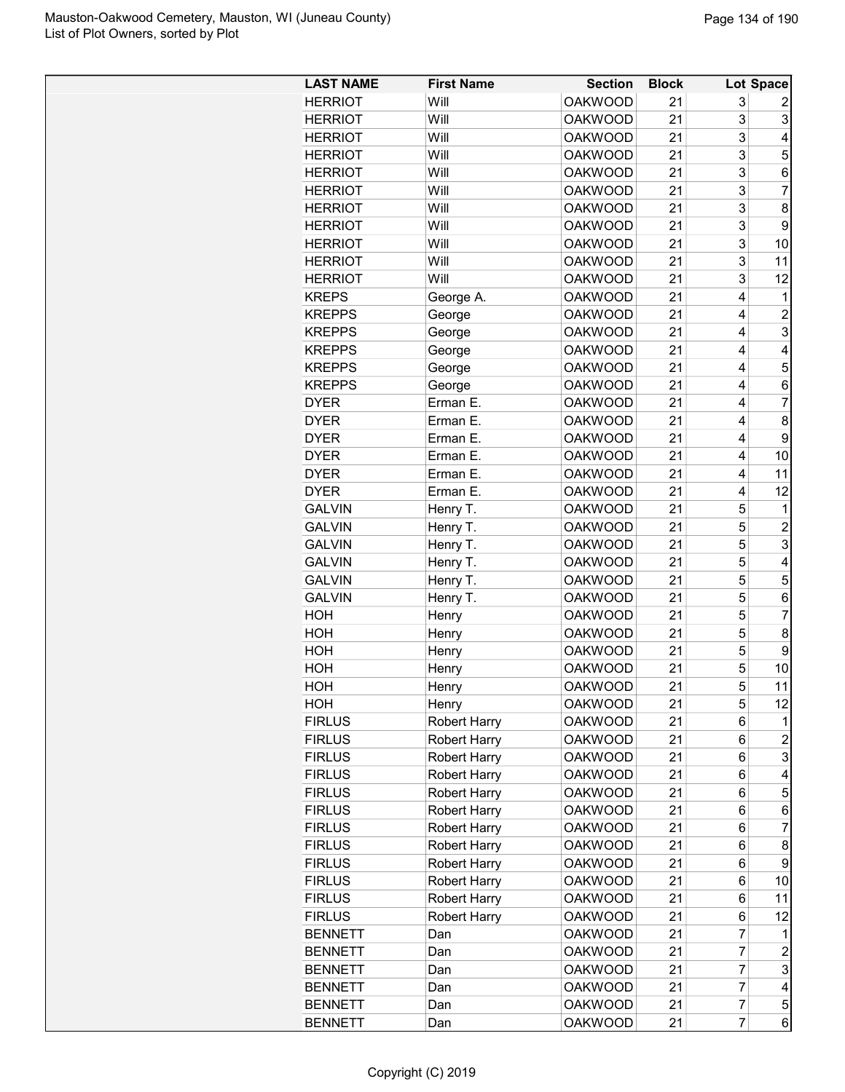| <b>LAST NAME</b> | <b>First Name</b>   | <b>Section</b>                   | <b>Block</b> |                | <b>Lot Space</b> |
|------------------|---------------------|----------------------------------|--------------|----------------|------------------|
| <b>HERRIOT</b>   | Will                | <b>OAKWOOD</b>                   | 21           | 3              | 2                |
| <b>HERRIOT</b>   | Will                | <b>OAKWOOD</b>                   | 21           | 3              | 3                |
| <b>HERRIOT</b>   | Will                | <b>OAKWOOD</b>                   | 21           | 3              | 4                |
| <b>HERRIOT</b>   | Will                | <b>OAKWOOD</b>                   | 21           | 3              | 5                |
| <b>HERRIOT</b>   | Will                | <b>OAKWOOD</b>                   | 21           | 3              | 6                |
| <b>HERRIOT</b>   | Will                | <b>OAKWOOD</b>                   | 21           | 3              | $\overline{7}$   |
| <b>HERRIOT</b>   | Will                | <b>OAKWOOD</b>                   | 21           | 3              | 8                |
| <b>HERRIOT</b>   | Will                | <b>OAKWOOD</b>                   | 21           | 3              | 9                |
| <b>HERRIOT</b>   | Will                | <b>OAKWOOD</b>                   | 21           | 3              | 10               |
| <b>HERRIOT</b>   | Will                | <b>OAKWOOD</b>                   | 21           | 3              | 11               |
| <b>HERRIOT</b>   | Will                | <b>OAKWOOD</b>                   | 21           | 3              | 12               |
| <b>KREPS</b>     | George A.           | <b>OAKWOOD</b>                   | 21           | 4              | 1                |
| <b>KREPPS</b>    | George              | <b>OAKWOOD</b>                   | 21           | 4              | $\overline{c}$   |
|                  |                     |                                  |              |                | 3                |
| <b>KREPPS</b>    | George              | <b>OAKWOOD</b><br><b>OAKWOOD</b> | 21           | 4<br>4         |                  |
| <b>KREPPS</b>    | George              |                                  | 21           |                | 4                |
| <b>KREPPS</b>    | George              | <b>OAKWOOD</b>                   | 21           | 4              | 5                |
| <b>KREPPS</b>    | George              | <b>OAKWOOD</b>                   | 21           | 4              | 6                |
| <b>DYER</b>      | Erman E.            | <b>OAKWOOD</b>                   | 21           | 4              | 7                |
| <b>DYER</b>      | Erman E.            | <b>OAKWOOD</b>                   | 21           | 4              | 8                |
| <b>DYER</b>      | Erman E.            | <b>OAKWOOD</b>                   | 21           | 4              | 9                |
| <b>DYER</b>      | Erman E.            | <b>OAKWOOD</b>                   | 21           | 4              | 10               |
| <b>DYER</b>      | Erman E.            | <b>OAKWOOD</b>                   | 21           | 4              | 11               |
| <b>DYER</b>      | Erman E.            | <b>OAKWOOD</b>                   | 21           | 4              | 12               |
| <b>GALVIN</b>    | Henry T.            | <b>OAKWOOD</b>                   | 21           | 5              | 1                |
| <b>GALVIN</b>    | Henry T.            | <b>OAKWOOD</b>                   | 21           | 5              | $\overline{c}$   |
| <b>GALVIN</b>    | Henry T.            | <b>OAKWOOD</b>                   | 21           | 5              | 3                |
| <b>GALVIN</b>    | Henry T.            | <b>OAKWOOD</b>                   | 21           | 5              | 4                |
| <b>GALVIN</b>    | Henry T.            | <b>OAKWOOD</b>                   | 21           | 5              | 5                |
| <b>GALVIN</b>    | Henry T.            | <b>OAKWOOD</b>                   | 21           | 5              | 6                |
| HOH              | Henry               | <b>OAKWOOD</b>                   | 21           | 5              | $\overline{7}$   |
| HOH              | Henry               | <b>OAKWOOD</b>                   | 21           | 5              | 8                |
| HOH              | Henry               | <b>OAKWOOD</b>                   | 21           | 5              | 9                |
| HOH              | Henry               | <b>OAKWOOD</b>                   | 21           | 5              | 10               |
| HOH              | Henry               | <b>OAKWOOD</b>                   | 21           | 5              | 11               |
| HOH              | Henry               | <b>OAKWOOD</b>                   | 21           | 5              | 12               |
| <b>FIRLUS</b>    | <b>Robert Harry</b> | <b>OAKWOOD</b>                   | 21           | 6              | 1                |
| <b>FIRLUS</b>    | <b>Robert Harry</b> | <b>OAKWOOD</b>                   | 21           | 6              | $\overline{c}$   |
| <b>FIRLUS</b>    | <b>Robert Harry</b> | <b>OAKWOOD</b>                   | 21           | 6              | 3                |
| <b>FIRLUS</b>    | <b>Robert Harry</b> | <b>OAKWOOD</b>                   | 21           | 6              | 4                |
| <b>FIRLUS</b>    | <b>Robert Harry</b> | <b>OAKWOOD</b>                   | 21           | 6              | 5                |
| <b>FIRLUS</b>    | <b>Robert Harry</b> | <b>OAKWOOD</b>                   | 21           | 6              | 6                |
| <b>FIRLUS</b>    | <b>Robert Harry</b> | <b>OAKWOOD</b>                   | 21           | 6              | $\overline{7}$   |
| <b>FIRLUS</b>    | <b>Robert Harry</b> | <b>OAKWOOD</b>                   | 21           | 6              | 8                |
| <b>FIRLUS</b>    | <b>Robert Harry</b> | <b>OAKWOOD</b>                   | 21           | 6              | 9                |
| <b>FIRLUS</b>    | <b>Robert Harry</b> | <b>OAKWOOD</b>                   | 21           | 6              | 10               |
| <b>FIRLUS</b>    | <b>Robert Harry</b> | <b>OAKWOOD</b>                   | 21           | 6              | 11               |
| <b>FIRLUS</b>    |                     | <b>OAKWOOD</b>                   | 21           | 6              | 12               |
| <b>BENNETT</b>   | <b>Robert Harry</b> | <b>OAKWOOD</b>                   | 21           | 7              | 1                |
|                  | Dan                 |                                  |              |                |                  |
| <b>BENNETT</b>   | Dan                 | <b>OAKWOOD</b>                   | 21           | 7              | $\overline{c}$   |
| <b>BENNETT</b>   | Dan                 | <b>OAKWOOD</b>                   | 21           | 7              | 3                |
| <b>BENNETT</b>   | Dan                 | <b>OAKWOOD</b>                   | 21           | $\overline{7}$ | 4                |
| <b>BENNETT</b>   | Dan                 | <b>OAKWOOD</b>                   | 21           | $\overline{7}$ | 5                |
| <b>BENNETT</b>   | Dan                 | <b>OAKWOOD</b>                   | 21           | $\overline{7}$ | 6                |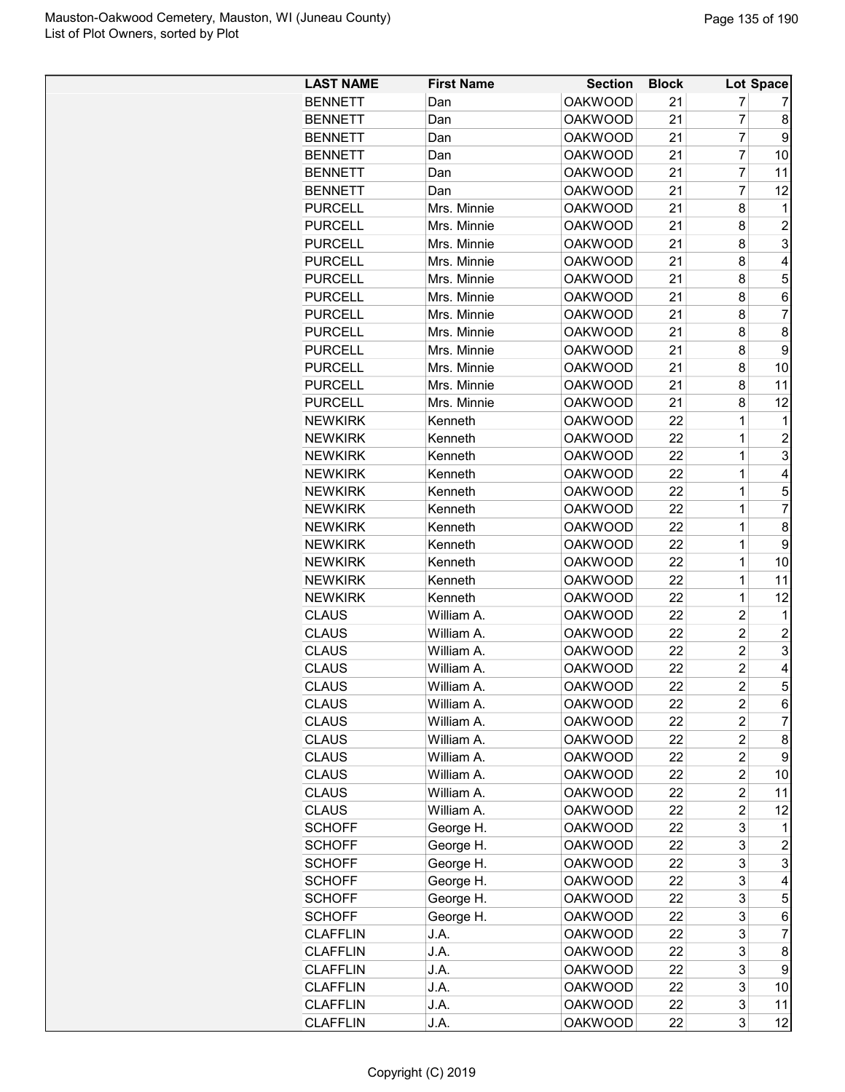| <b>LAST NAME</b> | <b>First Name</b> | <b>Section</b>                   | <b>Block</b> |                | Lot Space      |
|------------------|-------------------|----------------------------------|--------------|----------------|----------------|
| <b>BENNETT</b>   | Dan               | <b>OAKWOOD</b>                   | 21           | 7              | 7              |
| <b>BENNETT</b>   | Dan               | <b>OAKWOOD</b>                   | 21           | 7              | 8              |
| <b>BENNETT</b>   | Dan               | <b>OAKWOOD</b>                   | 21           | 7              | 9              |
| <b>BENNETT</b>   | Dan               | <b>OAKWOOD</b>                   | 21           | $\overline{7}$ | 10             |
| <b>BENNETT</b>   | Dan               | <b>OAKWOOD</b>                   | 21           | $\overline{7}$ | 11             |
| <b>BENNETT</b>   | Dan               | <b>OAKWOOD</b>                   | 21           | $\overline{7}$ | 12             |
| <b>PURCELL</b>   | Mrs. Minnie       | <b>OAKWOOD</b>                   | 21           | 8              | 1              |
| <b>PURCELL</b>   | Mrs. Minnie       | <b>OAKWOOD</b>                   | 21           | 8              | $\overline{c}$ |
| <b>PURCELL</b>   | Mrs. Minnie       | <b>OAKWOOD</b>                   | 21           | 8              | 3              |
| <b>PURCELL</b>   | Mrs. Minnie       | <b>OAKWOOD</b>                   | 21           | 8              | 4              |
| <b>PURCELL</b>   | Mrs. Minnie       | <b>OAKWOOD</b>                   | 21           | 8              | 5              |
| <b>PURCELL</b>   | Mrs. Minnie       | <b>OAKWOOD</b>                   | 21           | 8              | 6              |
| <b>PURCELL</b>   | Mrs. Minnie       | <b>OAKWOOD</b>                   | 21           | 8              | $\overline{7}$ |
| <b>PURCELL</b>   | Mrs. Minnie       | <b>OAKWOOD</b>                   | 21           | 8              | 8              |
| <b>PURCELL</b>   | Mrs. Minnie       | <b>OAKWOOD</b>                   | 21           | 8              | 9              |
| <b>PURCELL</b>   | Mrs. Minnie       | <b>OAKWOOD</b>                   | 21           | 8              | 10             |
| <b>PURCELL</b>   | Mrs. Minnie       | <b>OAKWOOD</b>                   | 21           | 8              | 11             |
| <b>PURCELL</b>   | Mrs. Minnie       | <b>OAKWOOD</b>                   | 21           | 8              | 12             |
| <b>NEWKIRK</b>   | Kenneth           | <b>OAKWOOD</b>                   | 22           | 1              | 1              |
| <b>NEWKIRK</b>   | Kenneth           | <b>OAKWOOD</b>                   | 22           | 1              | $\overline{c}$ |
| <b>NEWKIRK</b>   | Kenneth           | <b>OAKWOOD</b>                   | 22           | 1              | 3              |
| <b>NEWKIRK</b>   | Kenneth           | <b>OAKWOOD</b>                   | 22           | 1              | 4              |
| <b>NEWKIRK</b>   | Kenneth           | <b>OAKWOOD</b>                   | 22           | 1              | 5              |
| <b>NEWKIRK</b>   | Kenneth           | <b>OAKWOOD</b>                   | 22           | 1              | 7              |
| <b>NEWKIRK</b>   | Kenneth           | <b>OAKWOOD</b>                   | 22           | 1              | 8              |
| <b>NEWKIRK</b>   | Kenneth           | <b>OAKWOOD</b>                   | 22           | 1              | 9              |
|                  |                   |                                  | 22           |                |                |
| <b>NEWKIRK</b>   | Kenneth           | <b>OAKWOOD</b>                   |              | 1              | 10             |
| <b>NEWKIRK</b>   | Kenneth           | <b>OAKWOOD</b><br><b>OAKWOOD</b> | 22           | 1<br>1         | 11             |
| <b>NEWKIRK</b>   | Kenneth           |                                  | 22           |                | 12             |
| <b>CLAUS</b>     | William A.        | <b>OAKWOOD</b>                   | 22           | $\overline{2}$ | 1              |
| <b>CLAUS</b>     | William A.        | <b>OAKWOOD</b>                   | 22           | $\overline{c}$ | $\overline{c}$ |
| <b>CLAUS</b>     | William A.        | <b>OAKWOOD</b>                   | 22           | $\overline{2}$ | 3              |
| <b>CLAUS</b>     | William A.        | <b>OAKWOOD</b>                   | 22           | $\overline{2}$ | 4              |
| <b>CLAUS</b>     | William A.        | <b>OAKWOOD</b>                   | 22           | 2              | 5 <sub>l</sub> |
| <b>CLAUS</b>     | William A.        | <b>OAKWOOD</b>                   | 22           | $\overline{2}$ | $6 \mid$       |
| <b>CLAUS</b>     | William A.        | <b>OAKWOOD</b>                   | 22           | $\overline{2}$ | $\overline{7}$ |
| <b>CLAUS</b>     | William A.        | <b>OAKWOOD</b>                   | 22           | $\overline{c}$ | 8              |
| <b>CLAUS</b>     | William A.        | <b>OAKWOOD</b>                   | 22           | $\overline{2}$ | 9              |
| <b>CLAUS</b>     | William A.        | <b>OAKWOOD</b>                   | 22           | $\overline{c}$ | 10             |
| <b>CLAUS</b>     | William A.        | <b>OAKWOOD</b>                   | 22           | $\overline{c}$ | 11             |
| <b>CLAUS</b>     | William A.        | <b>OAKWOOD</b>                   | 22           | $\overline{c}$ | 12             |
| <b>SCHOFF</b>    | George H.         | <b>OAKWOOD</b>                   | 22           | 3              | 1              |
| <b>SCHOFF</b>    | George H.         | <b>OAKWOOD</b>                   | 22           | 3              | $\overline{c}$ |
| <b>SCHOFF</b>    | George H.         | <b>OAKWOOD</b>                   | 22           | 3              | 3              |
| <b>SCHOFF</b>    | George H.         | <b>OAKWOOD</b>                   | 22           | 3              | 4              |
| <b>SCHOFF</b>    | George H.         | <b>OAKWOOD</b>                   | 22           | 3              | 5              |
| <b>SCHOFF</b>    | George H.         | <b>OAKWOOD</b>                   | 22           | 3              | 6              |
| <b>CLAFFLIN</b>  | J.A.              | <b>OAKWOOD</b>                   | 22           | 3              | $\overline{7}$ |
| <b>CLAFFLIN</b>  | J.A.              | <b>OAKWOOD</b>                   | 22           | 3              | 8 <sup>1</sup> |
| <b>CLAFFLIN</b>  | J.A.              | <b>OAKWOOD</b>                   | 22           | 3              | 9              |
| <b>CLAFFLIN</b>  | J.A.              | <b>OAKWOOD</b>                   | 22           | 3              | 10             |
| <b>CLAFFLIN</b>  | J.A.              | <b>OAKWOOD</b>                   | 22           | 3              | 11             |
| <b>CLAFFLIN</b>  | J.A.              | <b>OAKWOOD</b>                   | 22           | $\overline{3}$ | 12             |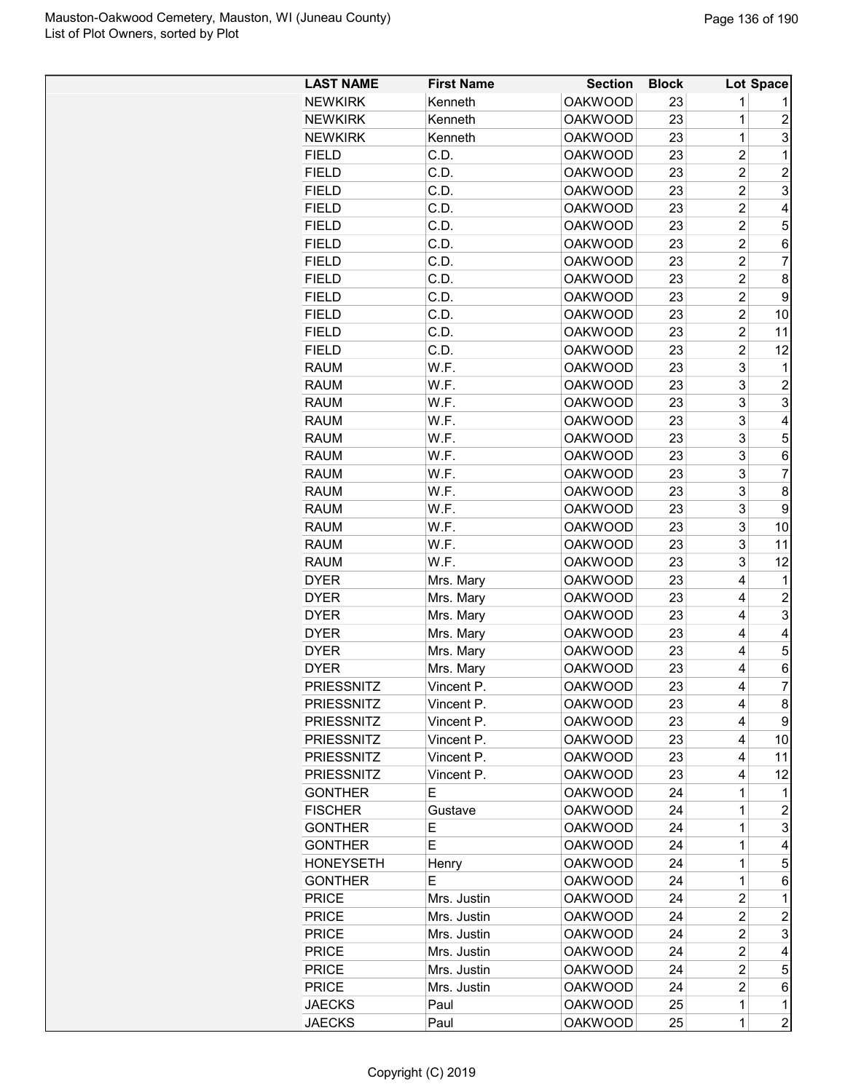| <b>LAST NAME</b>  | <b>First Name</b> | <b>Section</b> | <b>Block</b> |                | Lot Space      |
|-------------------|-------------------|----------------|--------------|----------------|----------------|
| <b>NEWKIRK</b>    | Kenneth           | <b>OAKWOOD</b> | 23           | 1              | 1              |
| <b>NEWKIRK</b>    | Kenneth           | <b>OAKWOOD</b> | 23           | 1              | $\overline{2}$ |
| <b>NEWKIRK</b>    | Kenneth           | <b>OAKWOOD</b> | 23           | $\mathbf 1$    | 3              |
| <b>FIELD</b>      | C.D.              | <b>OAKWOOD</b> | 23           | $\overline{2}$ | $\mathbf 1$    |
| <b>FIELD</b>      | C.D.              | <b>OAKWOOD</b> | 23           | $\overline{2}$ | 2              |
| <b>FIELD</b>      | C.D.              | <b>OAKWOOD</b> | 23           | $\overline{2}$ | 3              |
| <b>FIELD</b>      | C.D.              | <b>OAKWOOD</b> | 23           | $\overline{2}$ | 4              |
| <b>FIELD</b>      | C.D.              | <b>OAKWOOD</b> | 23           | $\overline{c}$ | 5              |
| <b>FIELD</b>      | C.D.              | <b>OAKWOOD</b> | 23           | $\overline{c}$ | 6              |
| <b>FIELD</b>      | C.D.              | <b>OAKWOOD</b> | 23           | $\overline{2}$ | 7              |
| <b>FIELD</b>      | C.D.              | <b>OAKWOOD</b> | 23           | $\overline{2}$ | 8              |
| <b>FIELD</b>      | C.D.              | <b>OAKWOOD</b> | 23           | $\overline{2}$ | 9              |
| <b>FIELD</b>      | C.D.              | <b>OAKWOOD</b> | 23           | $\overline{2}$ | 10             |
| <b>FIELD</b>      | C.D.              | <b>OAKWOOD</b> | 23           | $\overline{2}$ | 11             |
| <b>FIELD</b>      | C.D.              | <b>OAKWOOD</b> | 23           | $\overline{2}$ | 12             |
| <b>RAUM</b>       | W.F.              | <b>OAKWOOD</b> | 23           | 3              | 1              |
| <b>RAUM</b>       | W.F.              | <b>OAKWOOD</b> | 23           | 3              | $\overline{c}$ |
| <b>RAUM</b>       | W.F.              | <b>OAKWOOD</b> | 23           | 3              | 3              |
| <b>RAUM</b>       | W.F.              | <b>OAKWOOD</b> | 23           | 3              | 4              |
| <b>RAUM</b>       | W.F.              | <b>OAKWOOD</b> | 23           | 3              | 5              |
| <b>RAUM</b>       | W.F.              | <b>OAKWOOD</b> | 23           | 3              | 6              |
| <b>RAUM</b>       | W.F.              | <b>OAKWOOD</b> | 23           | 3              | $\overline{7}$ |
|                   |                   |                |              |                |                |
| <b>RAUM</b>       | W.F.              | <b>OAKWOOD</b> | 23           | 3              | 8              |
| <b>RAUM</b>       | W.F.              | <b>OAKWOOD</b> | 23           | 3              | 9              |
| <b>RAUM</b>       | W.F.              | <b>OAKWOOD</b> | 23           | 3              | 10             |
| <b>RAUM</b>       | W.F.              | <b>OAKWOOD</b> | 23           | 3              | 11             |
| <b>RAUM</b>       | W.F.              | <b>OAKWOOD</b> | 23           | 3              | 12             |
| <b>DYER</b>       | Mrs. Mary         | <b>OAKWOOD</b> | 23           | 4              | 1              |
| <b>DYER</b>       | Mrs. Mary         | <b>OAKWOOD</b> | 23           | 4              | $\overline{c}$ |
| <b>DYER</b>       | Mrs. Mary         | <b>OAKWOOD</b> | 23           | 4              | 3              |
| <b>DYER</b>       | Mrs. Mary         | <b>OAKWOOD</b> | 23           | 4              | 4              |
| <b>DYER</b>       | Mrs. Mary         | <b>OAKWOOD</b> | 23           | 4              | 5              |
| <b>DYER</b>       | Mrs. Mary         | <b>OAKWOOD</b> | 23           | 4              | 6              |
| PRIESSNITZ        | Vincent P.        | <b>OAKWOOD</b> | 23           | 4              | ſ.             |
| <b>PRIESSNITZ</b> | Vincent P.        | <b>OAKWOOD</b> | 23           | 4              | 8              |
| <b>PRIESSNITZ</b> | Vincent P.        | <b>OAKWOOD</b> | 23           | 4              | 9              |
| <b>PRIESSNITZ</b> | Vincent P.        | <b>OAKWOOD</b> | 23           | 4              | 10             |
| <b>PRIESSNITZ</b> | Vincent P.        | <b>OAKWOOD</b> | 23           | 4              | 11             |
| <b>PRIESSNITZ</b> | Vincent P.        | <b>OAKWOOD</b> | 23           | 4              | 12             |
| <b>GONTHER</b>    | Е                 | <b>OAKWOOD</b> | 24           | 1              | 1              |
| <b>FISCHER</b>    | Gustave           | <b>OAKWOOD</b> | 24           | 1              | 2              |
| <b>GONTHER</b>    | Е                 | <b>OAKWOOD</b> | 24           | 1              | 3              |
| <b>GONTHER</b>    | E                 | <b>OAKWOOD</b> | 24           | 1              | 4              |
| <b>HONEYSETH</b>  | Henry             | <b>OAKWOOD</b> | 24           | 1              | 5              |
| <b>GONTHER</b>    | Е                 | <b>OAKWOOD</b> | 24           | $\mathbf{1}$   | 6              |
| <b>PRICE</b>      | Mrs. Justin       | <b>OAKWOOD</b> | 24           | $\overline{c}$ | 1              |
| <b>PRICE</b>      | Mrs. Justin       | <b>OAKWOOD</b> | 24           | $\overline{2}$ | $\overline{c}$ |
| <b>PRICE</b>      | Mrs. Justin       | <b>OAKWOOD</b> | 24           | $\overline{c}$ | 3              |
| <b>PRICE</b>      | Mrs. Justin       | <b>OAKWOOD</b> | 24           | $\overline{c}$ | 4              |
| <b>PRICE</b>      | Mrs. Justin       | <b>OAKWOOD</b> | 24           | 2              | 5              |
| <b>PRICE</b>      | Mrs. Justin       | <b>OAKWOOD</b> | 24           | $\overline{2}$ | 6              |
| <b>JAECKS</b>     | Paul              | <b>OAKWOOD</b> | 25           | $\mathbf{1}$   | 1              |
| <b>JAECKS</b>     | Paul              | <b>OAKWOOD</b> | 25           | $\mathbf{1}$   | $\overline{2}$ |
|                   |                   |                |              |                |                |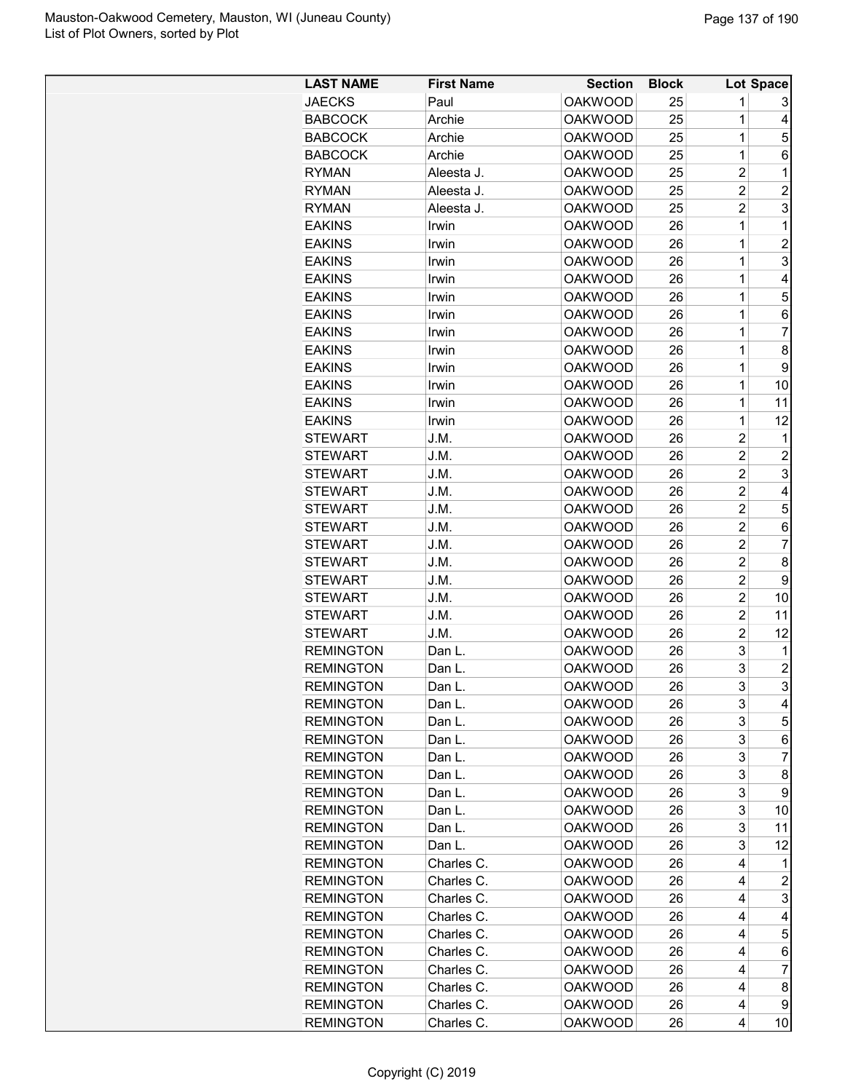| <b>LAST NAME</b> | <b>First Name</b> | <b>Section</b> | <b>Block</b> |                     | Lot Space           |
|------------------|-------------------|----------------|--------------|---------------------|---------------------|
| <b>JAECKS</b>    | Paul              | <b>OAKWOOD</b> | 25           | 1                   | 3                   |
| <b>BABCOCK</b>   | Archie            | <b>OAKWOOD</b> | 25           | 1                   | 4                   |
| <b>BABCOCK</b>   | Archie            | <b>OAKWOOD</b> | 25           | $\mathbf 1$         | 5                   |
| <b>BABCOCK</b>   | Archie            | <b>OAKWOOD</b> | 25           | $\mathbf 1$         | 6                   |
| <b>RYMAN</b>     | Aleesta J.        | <b>OAKWOOD</b> | 25           | $\overline{c}$      | 1                   |
| <b>RYMAN</b>     | Aleesta J.        | <b>OAKWOOD</b> | 25           | $\overline{2}$      | $\overline{2}$      |
| <b>RYMAN</b>     | Aleesta J.        | <b>OAKWOOD</b> | 25           | $\overline{2}$      | 3                   |
| <b>EAKINS</b>    | Irwin             | <b>OAKWOOD</b> | 26           | $\mathbf 1$         | 1                   |
| <b>EAKINS</b>    | Irwin             | <b>OAKWOOD</b> | 26           | $\mathbf 1$         | $\overline{2}$      |
| <b>EAKINS</b>    | Irwin             | <b>OAKWOOD</b> | 26           | $\mathbf 1$         | 3                   |
| <b>EAKINS</b>    | Irwin             | <b>OAKWOOD</b> | 26           | $\mathbf 1$         | 4                   |
| <b>EAKINS</b>    | Irwin             | <b>OAKWOOD</b> | 26           | 1                   | 5                   |
| <b>EAKINS</b>    | Irwin             | <b>OAKWOOD</b> | 26           | 1                   | 6                   |
| <b>EAKINS</b>    | Irwin             | <b>OAKWOOD</b> | 26           | 1                   | $\overline{7}$      |
| <b>EAKINS</b>    | Irwin             | <b>OAKWOOD</b> | 26           | $\mathbf 1$         | 8                   |
| <b>EAKINS</b>    | Irwin             | <b>OAKWOOD</b> | 26           | $\mathbf 1$         | 9                   |
| <b>EAKINS</b>    | Irwin             | <b>OAKWOOD</b> | 26           | $\mathbf 1$         | 10                  |
| <b>EAKINS</b>    | Irwin             | <b>OAKWOOD</b> | 26           | $\mathbf 1$         | 11                  |
| <b>EAKINS</b>    | Irwin             | <b>OAKWOOD</b> | 26           | 1                   | 12                  |
| <b>STEWART</b>   | J.M.              | <b>OAKWOOD</b> | 26           | $\overline{c}$      | 1                   |
| <b>STEWART</b>   | J.M.              | <b>OAKWOOD</b> | 26           | $\overline{c}$      | $\overline{c}$      |
| <b>STEWART</b>   | J.M.              | <b>OAKWOOD</b> | 26           | $\overline{c}$      | 3                   |
| <b>STEWART</b>   | J.M.              | <b>OAKWOOD</b> | 26           | $\overline{2}$      | 4                   |
| <b>STEWART</b>   | J.M.              | <b>OAKWOOD</b> | 26           | $\overline{2}$      | 5                   |
| <b>STEWART</b>   | J.M.              | <b>OAKWOOD</b> | 26           | $\overline{c}$      | 6                   |
| <b>STEWART</b>   | J.M.              | <b>OAKWOOD</b> | 26           | $\overline{2}$      | 7                   |
| <b>STEWART</b>   |                   | <b>OAKWOOD</b> |              | $\overline{c}$      | 8                   |
| <b>STEWART</b>   | J.M.              | <b>OAKWOOD</b> | 26           | $\overline{c}$      | 9                   |
| <b>STEWART</b>   | J.M.              |                | 26<br>26     | 2                   |                     |
|                  | J.M.              | <b>OAKWOOD</b> |              | $\overline{c}$      | 10                  |
| <b>STEWART</b>   | J.M.              | <b>OAKWOOD</b> | 26           |                     | 11                  |
| <b>STEWART</b>   | J.M.              | <b>OAKWOOD</b> | 26           | $\overline{2}$<br>3 | 12                  |
| <b>REMINGTON</b> | Dan L.            | <b>OAKWOOD</b> | 26           | 3                   | 1                   |
| <b>REMINGTON</b> | Dan L.            | <b>OAKWOOD</b> | 26           | 3                   | $\overline{c}$<br>3 |
| <b>REMINGTON</b> | Dan L             | <b>OAKWOOD</b> | 26           |                     |                     |
| <b>REMINGTON</b> | Dan L.            | <b>OAKWOOD</b> | 26           | 3                   | 4                   |
| <b>REMINGTON</b> | Dan L.            | <b>OAKWOOD</b> | 26           | 3                   | 5                   |
| <b>REMINGTON</b> | Dan L.            | <b>OAKWOOD</b> | 26           | 3                   | 6                   |
| <b>REMINGTON</b> | Dan L.            | <b>OAKWOOD</b> | 26           | 3                   | $\overline{7}$      |
| <b>REMINGTON</b> | Dan L.            | <b>OAKWOOD</b> | 26           | 3                   | 8                   |
| <b>REMINGTON</b> | Dan L.            | <b>OAKWOOD</b> | 26           | 3                   | 9                   |
| <b>REMINGTON</b> | Dan L.            | <b>OAKWOOD</b> | 26           | 3                   | 10                  |
| <b>REMINGTON</b> | Dan L.            | <b>OAKWOOD</b> | 26           | 3                   | 11                  |
| <b>REMINGTON</b> | Dan L.            | <b>OAKWOOD</b> | 26           | 3                   | 12                  |
| <b>REMINGTON</b> | Charles C.        | <b>OAKWOOD</b> | 26           | 4                   | 1                   |
| <b>REMINGTON</b> | Charles C.        | <b>OAKWOOD</b> | 26           | 4                   | $\overline{c}$      |
| <b>REMINGTON</b> | Charles C.        | <b>OAKWOOD</b> | 26           | 4                   | 3                   |
| <b>REMINGTON</b> | Charles C.        | <b>OAKWOOD</b> | 26           | 4                   | 4                   |
| <b>REMINGTON</b> | Charles C.        | <b>OAKWOOD</b> | 26           | 4                   | 5                   |
| <b>REMINGTON</b> | Charles C.        | <b>OAKWOOD</b> | 26           | 4                   | 6                   |
| <b>REMINGTON</b> | Charles C.        | <b>OAKWOOD</b> | 26           | 4                   | $\overline{7}$      |
| <b>REMINGTON</b> | Charles C.        | <b>OAKWOOD</b> | 26           | 4                   | 8                   |
| <b>REMINGTON</b> | Charles C.        | <b>OAKWOOD</b> | 26           | 4                   | 9                   |
| <b>REMINGTON</b> | Charles C.        | <b>OAKWOOD</b> | 26           | 4                   | 10                  |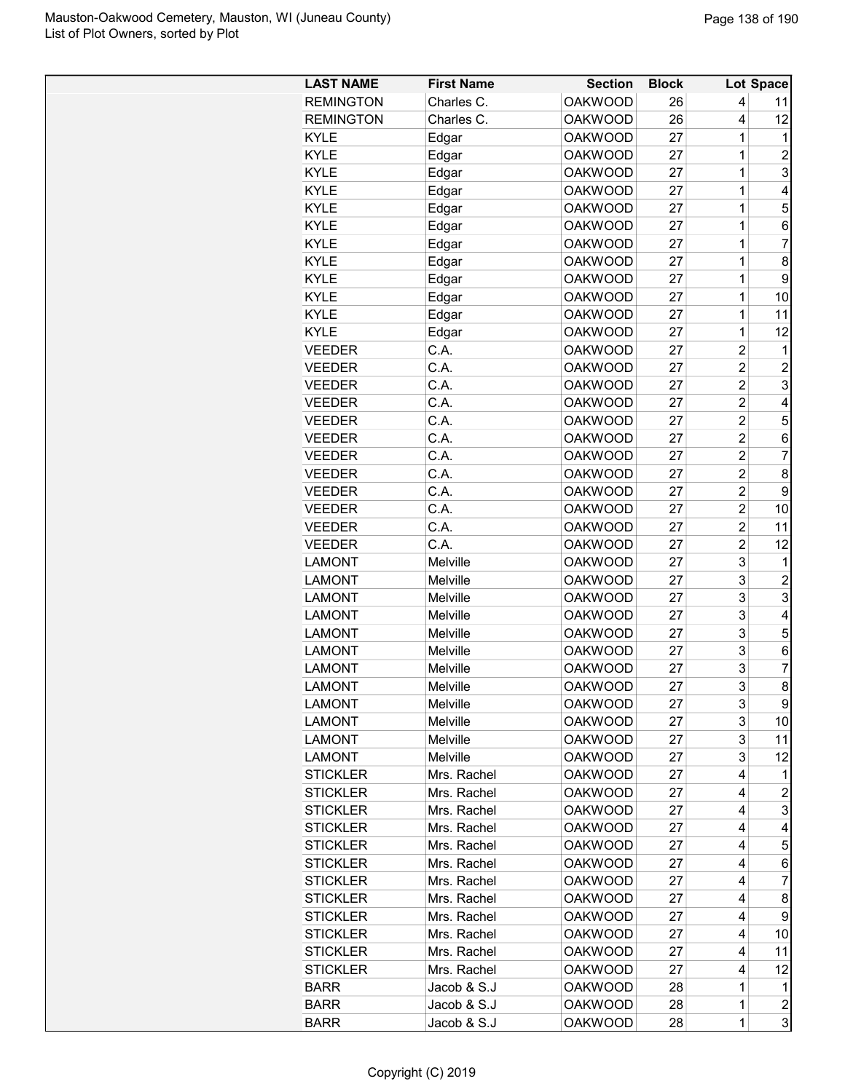| <b>LAST NAME</b>           | <b>First Name</b>          | <b>Section</b>                   | <b>Block</b> |                | Lot Space               |
|----------------------------|----------------------------|----------------------------------|--------------|----------------|-------------------------|
| <b>REMINGTON</b>           | Charles C.                 | <b>OAKWOOD</b>                   | 26           | 4              | 11                      |
| <b>REMINGTON</b>           | Charles C.                 | <b>OAKWOOD</b>                   | 26           | 4              | 12                      |
| <b>KYLE</b>                | Edgar                      | <b>OAKWOOD</b>                   | 27           | 1              | 1                       |
| <b>KYLE</b>                | Edgar                      | <b>OAKWOOD</b>                   | 27           | 1              | $\overline{c}$          |
| <b>KYLE</b>                | Edgar                      | <b>OAKWOOD</b>                   | 27           | 1              | 3                       |
| <b>KYLE</b>                | Edgar                      | <b>OAKWOOD</b>                   | 27           | 1              | 4                       |
| <b>KYLE</b>                | Edgar                      | <b>OAKWOOD</b>                   | 27           | 1              | 5                       |
| <b>KYLE</b>                | Edgar                      | <b>OAKWOOD</b>                   | 27           | 1              | 6                       |
| <b>KYLE</b>                | Edgar                      | <b>OAKWOOD</b>                   | 27           | 1              | $\overline{7}$          |
| <b>KYLE</b>                | Edgar                      | <b>OAKWOOD</b>                   | 27           | 1              | 8                       |
| <b>KYLE</b>                | Edgar                      | <b>OAKWOOD</b>                   | 27           | 1              | 9                       |
| <b>KYLE</b>                | Edgar                      | <b>OAKWOOD</b>                   | 27           | 1              | 10                      |
| <b>KYLE</b>                | Edgar                      | <b>OAKWOOD</b>                   | 27           | 1              | 11                      |
| <b>KYLE</b>                | Edgar                      | <b>OAKWOOD</b>                   | 27           | 1              | 12                      |
| <b>VEEDER</b>              | C.A.                       | <b>OAKWOOD</b>                   | 27           | $\overline{2}$ | 1                       |
| <b>VEEDER</b>              | C.A.                       | <b>OAKWOOD</b>                   | 27           | $\overline{c}$ | $\overline{c}$          |
| <b>VEEDER</b>              | C.A.                       | <b>OAKWOOD</b>                   | 27           | $\overline{2}$ | 3                       |
| <b>VEEDER</b>              | C.A.                       | <b>OAKWOOD</b>                   | 27           | $\overline{2}$ | 4                       |
| <b>VEEDER</b>              | C.A.                       | <b>OAKWOOD</b>                   | 27           | $\overline{2}$ | 5                       |
| <b>VEEDER</b>              | C.A.                       | <b>OAKWOOD</b>                   | 27           | $\overline{2}$ | 6                       |
| <b>VEEDER</b>              | C.A.                       | <b>OAKWOOD</b>                   | 27           | $\overline{2}$ | $\overline{7}$          |
| <b>VEEDER</b>              | C.A.                       | <b>OAKWOOD</b>                   | 27           | $\overline{2}$ | 8                       |
| <b>VEEDER</b>              | C.A.                       | <b>OAKWOOD</b>                   | 27           | $\overline{2}$ | 9                       |
| <b>VEEDER</b>              | C.A.                       | <b>OAKWOOD</b>                   | 27           | $\overline{2}$ | 10                      |
|                            | C.A.                       |                                  |              | $\overline{2}$ |                         |
| <b>VEEDER</b>              | C.A.                       | <b>OAKWOOD</b>                   | 27           | $\overline{2}$ | 11                      |
| <b>VEEDER</b>              |                            | <b>OAKWOOD</b>                   | 27           |                | 12                      |
| <b>LAMONT</b>              | Melville                   | <b>OAKWOOD</b>                   | 27           | 3              | 1                       |
| <b>LAMONT</b>              | Melville                   | <b>OAKWOOD</b>                   | 27           | 3              | 2                       |
| <b>LAMONT</b>              | Melville                   | <b>OAKWOOD</b>                   | 27           | 3              | 3                       |
| <b>LAMONT</b>              | Melville                   | <b>OAKWOOD</b>                   | 27           | 3              | $\overline{4}$          |
| <b>LAMONT</b>              | Melville                   | <b>OAKWOOD</b>                   | 27           | 3              | $\mathbf 5$             |
| <b>LAMONT</b>              | Melville                   | <b>OAKWOOD</b>                   | 27           | 3              | 6                       |
| <b>LAMONT</b>              | Melville                   | <b>OAKWOOD</b>                   | 27           | 3              | $\overline{7}$          |
| <b>LAMONT</b>              | Melville                   | <b>OAKWOOD</b>                   | 27           | 3              | $\bf8$                  |
| LAMONT                     | Melville                   | OAKWOOD                          | 27           | 3              | 9                       |
| <b>LAMONT</b>              | Melville                   | <b>OAKWOOD</b>                   | 27           | 3              | 10                      |
| <b>LAMONT</b>              | Melville                   | <b>OAKWOOD</b>                   | 27           | 3              | 11                      |
| <b>LAMONT</b>              | <b>Melville</b>            | <b>OAKWOOD</b>                   | 27           | 3              | 12                      |
| <b>STICKLER</b>            | Mrs. Rachel                | <b>OAKWOOD</b>                   | 27           | 4              | 1                       |
| <b>STICKLER</b>            | Mrs. Rachel                | <b>OAKWOOD</b>                   | 27           | 4              | $\overline{\mathbf{c}}$ |
| <b>STICKLER</b>            | Mrs. Rachel                | <b>OAKWOOD</b>                   | 27           | 4              | 3                       |
| <b>STICKLER</b>            | Mrs. Rachel                | <b>OAKWOOD</b>                   | 27           | 4              | 4                       |
| <b>STICKLER</b>            | Mrs. Rachel                | <b>OAKWOOD</b>                   | 27           | 4              | 5                       |
| <b>STICKLER</b>            | Mrs. Rachel                | <b>OAKWOOD</b>                   | 27           | 4              | 6                       |
| <b>STICKLER</b>            | Mrs. Rachel                | <b>OAKWOOD</b>                   | 27           | 4              | $\overline{7}$          |
| <b>STICKLER</b>            | Mrs. Rachel                | OAKWOOD                          | 27           | 4              | 8                       |
| <b>STICKLER</b>            | Mrs. Rachel                | <b>OAKWOOD</b>                   | 27           | 4              | 9                       |
| <b>STICKLER</b>            | Mrs. Rachel                | <b>OAKWOOD</b>                   | 27           | 4              | 10                      |
| <b>STICKLER</b>            | Mrs. Rachel                | <b>OAKWOOD</b>                   | 27           | 4              | 11                      |
|                            |                            |                                  | 27           | 4              | 12                      |
|                            |                            |                                  |              |                |                         |
| <b>STICKLER</b>            | Mrs. Rachel                | <b>OAKWOOD</b>                   |              |                |                         |
| <b>BARR</b><br><b>BARR</b> | Jacob & S.J<br>Jacob & S.J | <b>OAKWOOD</b><br><b>OAKWOOD</b> | 28<br>28     | 1<br>1         | 1<br>$\overline{c}$     |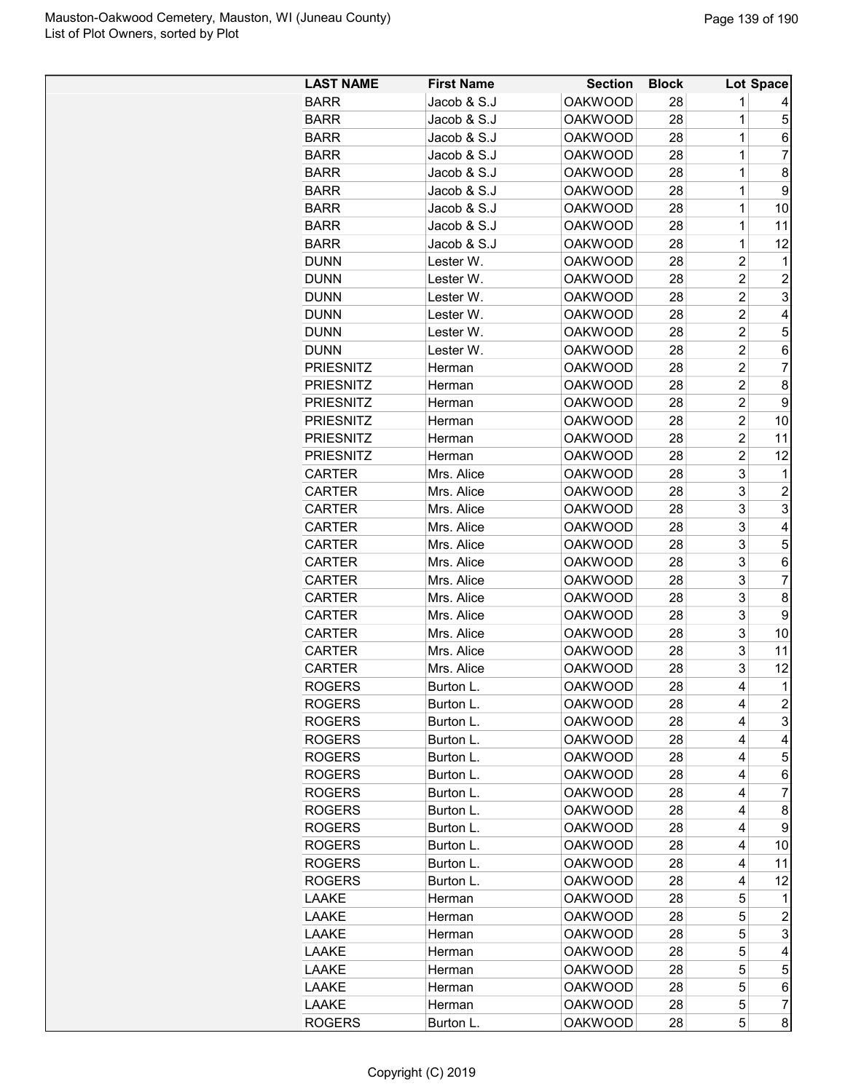| <b>LAST NAME</b> | <b>First Name</b> | <b>Section</b>                   | <b>Block</b> |                | Lot Space      |
|------------------|-------------------|----------------------------------|--------------|----------------|----------------|
| <b>BARR</b>      | Jacob & S.J       | <b>OAKWOOD</b>                   | 28           | 1              | 4              |
| <b>BARR</b>      | Jacob & S.J       | <b>OAKWOOD</b>                   | 28           | 1              | 5              |
| <b>BARR</b>      | Jacob & S.J       | <b>OAKWOOD</b>                   | 28           | 1              | 6              |
| <b>BARR</b>      | Jacob & S.J       | <b>OAKWOOD</b>                   | 28           | 1              | $\overline{7}$ |
| <b>BARR</b>      | Jacob & S.J       | <b>OAKWOOD</b>                   | 28           | 1              | 8              |
|                  | Jacob & S.J       | <b>OAKWOOD</b>                   |              | 1              | 9              |
| <b>BARR</b>      |                   |                                  | 28           |                |                |
| <b>BARR</b>      | Jacob & S.J       | <b>OAKWOOD</b>                   | 28           | 1              | 10             |
| <b>BARR</b>      | Jacob & S.J       | <b>OAKWOOD</b>                   | 28           | 1              | 11             |
| <b>BARR</b>      | Jacob & S.J       | <b>OAKWOOD</b>                   | 28           | 1              | 12             |
| <b>DUNN</b>      | Lester W.         | <b>OAKWOOD</b>                   | 28           | $\overline{c}$ | 1              |
| <b>DUNN</b>      | Lester W.         | <b>OAKWOOD</b>                   | 28           | $\overline{c}$ | $\overline{c}$ |
| <b>DUNN</b>      | Lester W.         | <b>OAKWOOD</b>                   | 28           | $\overline{c}$ | 3              |
| <b>DUNN</b>      | Lester W.         | <b>OAKWOOD</b>                   | 28           | $\overline{c}$ | 4              |
| <b>DUNN</b>      | Lester W.         | <b>OAKWOOD</b>                   | 28           | $\overline{2}$ | 5              |
| <b>DUNN</b>      | Lester W.         | <b>OAKWOOD</b>                   | 28           | $\overline{c}$ | 6              |
| <b>PRIESNITZ</b> | Herman            | <b>OAKWOOD</b>                   | 28           | $\overline{c}$ | 7              |
| <b>PRIESNITZ</b> | Herman            | <b>OAKWOOD</b>                   | 28           | $\overline{2}$ | 8              |
| <b>PRIESNITZ</b> | Herman            | <b>OAKWOOD</b>                   | 28           | 2              | 9              |
| <b>PRIESNITZ</b> | Herman            | <b>OAKWOOD</b>                   | 28           | $\overline{c}$ | 10             |
| <b>PRIESNITZ</b> | Herman            | <b>OAKWOOD</b>                   | 28           | $\overline{c}$ | 11             |
| <b>PRIESNITZ</b> | Herman            | <b>OAKWOOD</b>                   | 28           | $\overline{c}$ | 12             |
| <b>CARTER</b>    | Mrs. Alice        | <b>OAKWOOD</b>                   | 28           | 3              | 1              |
| <b>CARTER</b>    | Mrs. Alice        | <b>OAKWOOD</b>                   | 28           | 3              | 2              |
| <b>CARTER</b>    | Mrs. Alice        | <b>OAKWOOD</b>                   | 28           | 3              | 3              |
| <b>CARTER</b>    | Mrs. Alice        | <b>OAKWOOD</b>                   | 28           | 3              | 4              |
| <b>CARTER</b>    | Mrs. Alice        | <b>OAKWOOD</b>                   | 28           | 3              | 5              |
| <b>CARTER</b>    | Mrs. Alice        | <b>OAKWOOD</b>                   | 28           | 3              | 6              |
| <b>CARTER</b>    | Mrs. Alice        | <b>OAKWOOD</b>                   | 28           | 3              | $\overline{7}$ |
| <b>CARTER</b>    | Mrs. Alice        | <b>OAKWOOD</b>                   | 28           | 3              | 8              |
| <b>CARTER</b>    | Mrs. Alice        | <b>OAKWOOD</b>                   | 28           | 3              | 9              |
| <b>CARTER</b>    | Mrs. Alice        | <b>OAKWOOD</b>                   | 28           | 3              | 10             |
| <b>CARTER</b>    | Mrs. Alice        |                                  |              | 3              | 11             |
|                  |                   | <b>OAKWOOD</b><br><b>OAKWOOD</b> | 28           |                |                |
| <b>CARTER</b>    | Mrs. Alice        |                                  | 28           | 3              | 12             |
| <b>ROGERS</b>    | Burton L.         | <b>OAKWOOD</b>                   | 28           | 4              | $\overline{1}$ |
| <b>ROGERS</b>    | Burton L.         | <b>OAKWOOD</b>                   | 28           | 4              | $\overline{c}$ |
| <b>ROGERS</b>    | Burton L.         | <b>OAKWOOD</b>                   | 28           | 4              | 3              |
| <b>ROGERS</b>    | Burton L.         | <b>OAKWOOD</b>                   | 28           | 4              | 4              |
| <b>ROGERS</b>    | Burton L.         | <b>OAKWOOD</b>                   | 28           | 4              | 5              |
| <b>ROGERS</b>    | Burton L.         | <b>OAKWOOD</b>                   | 28           | 4              | 6              |
| <b>ROGERS</b>    | Burton L.         | <b>OAKWOOD</b>                   | 28           | 4              | 7              |
| <b>ROGERS</b>    | Burton L.         | <b>OAKWOOD</b>                   | 28           | 4              | 8              |
| <b>ROGERS</b>    | Burton L.         | <b>OAKWOOD</b>                   | 28           | 4              | 9              |
| <b>ROGERS</b>    | Burton L.         | <b>OAKWOOD</b>                   | 28           | 4              | 10             |
| <b>ROGERS</b>    | Burton L.         | <b>OAKWOOD</b>                   | 28           | 4              | 11             |
| <b>ROGERS</b>    | Burton L.         | <b>OAKWOOD</b>                   | 28           | 4              | 12             |
| LAAKE            | Herman            | <b>OAKWOOD</b>                   | 28           | 5              | 1              |
| LAAKE            | Herman            | <b>OAKWOOD</b>                   | 28           | 5              | 2              |
| LAAKE            | Herman            | <b>OAKWOOD</b>                   | 28           | 5              | 3              |
| LAAKE            | Herman            | <b>OAKWOOD</b>                   | 28           | 5              | 4              |
| LAAKE            | Herman            | <b>OAKWOOD</b>                   | 28           | 5              | 5              |
| LAAKE            | Herman            | <b>OAKWOOD</b>                   | 28           | 5              | 6              |
| LAAKE            | Herman            | <b>OAKWOOD</b>                   | 28           | 5              | 7              |
| <b>ROGERS</b>    | Burton L.         | <b>OAKWOOD</b>                   | 28           | 5              | 8              |
|                  |                   |                                  |              |                |                |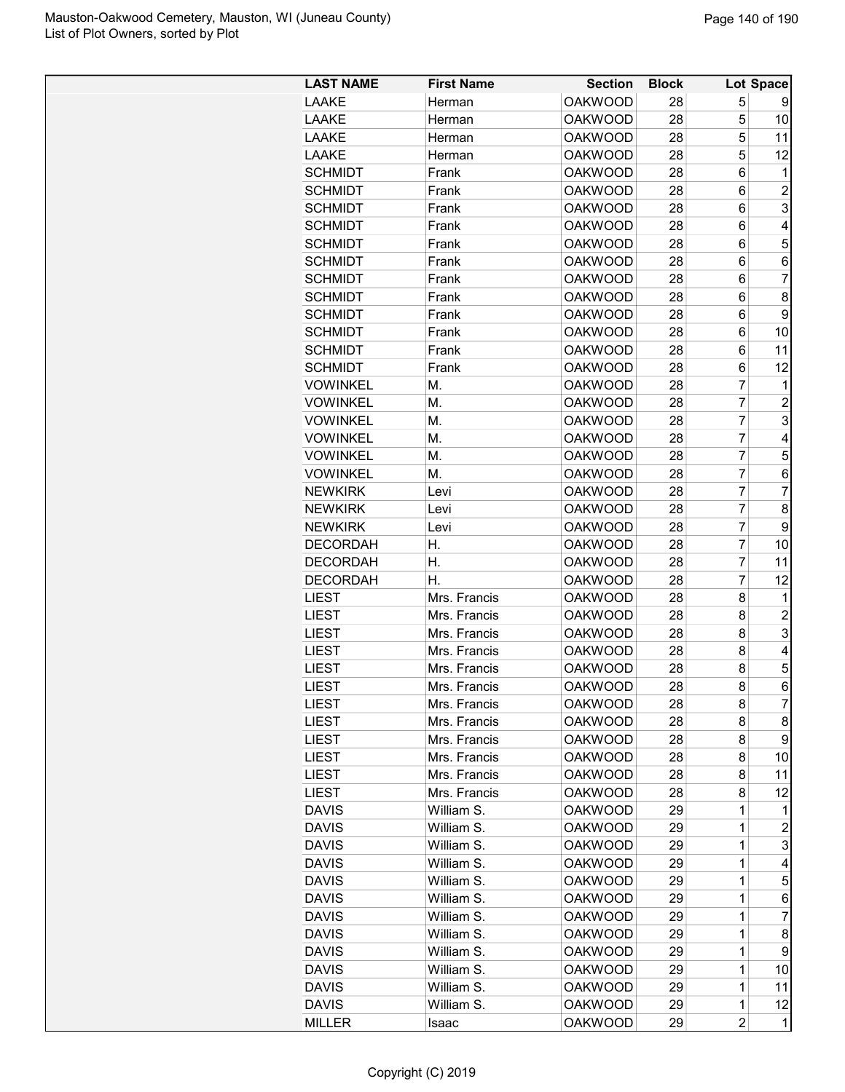| <b>LAST NAME</b>             | <b>First Name</b>            | <b>Section</b>                   | <b>Block</b> |                | Lot Space      |
|------------------------------|------------------------------|----------------------------------|--------------|----------------|----------------|
| <b>LAAKE</b>                 | Herman                       | <b>OAKWOOD</b>                   | 28           | 5              | 9              |
| LAAKE                        | Herman                       | <b>OAKWOOD</b>                   | 28           | 5              | 10             |
| LAAKE                        | Herman                       | <b>OAKWOOD</b>                   | 28           | 5              | 11             |
| LAAKE                        | Herman                       | <b>OAKWOOD</b>                   | 28           | 5              | 12             |
| <b>SCHMIDT</b>               | Frank                        | <b>OAKWOOD</b>                   | 28           | 6              | 1              |
| <b>SCHMIDT</b>               | Frank                        | <b>OAKWOOD</b>                   | 28           | 6              | $\overline{c}$ |
| <b>SCHMIDT</b>               | Frank                        | <b>OAKWOOD</b>                   | 28           | 6              | 3              |
| <b>SCHMIDT</b>               | Frank                        | <b>OAKWOOD</b>                   | 28           | 6              | 4              |
| <b>SCHMIDT</b>               | Frank                        | <b>OAKWOOD</b>                   | 28           | 6              | 5              |
| <b>SCHMIDT</b>               | Frank                        | <b>OAKWOOD</b>                   | 28           | 6              | 6              |
| <b>SCHMIDT</b>               | Frank                        | <b>OAKWOOD</b>                   | 28           | 6              | 7              |
| <b>SCHMIDT</b>               | Frank                        | <b>OAKWOOD</b>                   | 28           | 6              | 8              |
| <b>SCHMIDT</b>               | Frank                        | <b>OAKWOOD</b>                   | 28           | 6              | 9              |
| <b>SCHMIDT</b>               | Frank                        | <b>OAKWOOD</b>                   | 28           | 6              | 10             |
| <b>SCHMIDT</b>               | Frank                        | <b>OAKWOOD</b>                   | 28           | 6              | 11             |
| <b>SCHMIDT</b>               | Frank                        | <b>OAKWOOD</b>                   | 28           | 6              | 12             |
| <b>VOWINKEL</b>              | М.                           | <b>OAKWOOD</b>                   | 28           | $\overline{7}$ | 1              |
| <b>VOWINKEL</b>              | М.                           | <b>OAKWOOD</b>                   | 28           | $\overline{7}$ | $\overline{c}$ |
| <b>VOWINKEL</b>              | М.                           | <b>OAKWOOD</b>                   | 28           | $\overline{7}$ | 3              |
| <b>VOWINKEL</b>              | М.                           | <b>OAKWOOD</b>                   | 28           | $\overline{7}$ | 4              |
| <b>VOWINKEL</b>              | М.                           | <b>OAKWOOD</b>                   | 28           | $\overline{7}$ | 5              |
| <b>VOWINKEL</b>              | М.                           | <b>OAKWOOD</b>                   | 28           | $\overline{7}$ | 6              |
| <b>NEWKIRK</b>               | Levi                         | <b>OAKWOOD</b>                   | 28           | $\overline{7}$ | 7              |
| <b>NEWKIRK</b>               | Levi                         | <b>OAKWOOD</b>                   | 28           | $\overline{7}$ | 8              |
| <b>NEWKIRK</b>               | Levi                         | <b>OAKWOOD</b>                   | 28           | $\overline{7}$ | 9              |
| <b>DECORDAH</b>              | Η.                           | <b>OAKWOOD</b>                   | 28           | 7              | 10             |
| <b>DECORDAH</b>              | Η.                           | <b>OAKWOOD</b>                   | 28           | $\overline{7}$ | 11             |
| <b>DECORDAH</b>              | Η.                           | <b>OAKWOOD</b>                   | 28           | $\overline{7}$ | 12             |
| <b>LIEST</b>                 | Mrs. Francis                 | <b>OAKWOOD</b>                   | 28           | 8              | 1              |
| <b>LIEST</b>                 | Mrs. Francis                 | <b>OAKWOOD</b>                   | 28           | 8              | $\overline{c}$ |
| <b>LIEST</b>                 | Mrs. Francis                 | <b>OAKWOOD</b>                   |              | 8              | 3              |
|                              |                              |                                  | 28           |                | 4              |
| <b>LIEST</b><br><b>LIEST</b> | Mrs. Francis<br>Mrs. Francis | <b>OAKWOOD</b><br><b>OAKWOOD</b> | 28<br>28     | 8<br>8         | 5              |
|                              |                              |                                  |              | 8              | 6              |
| <b>LIEST</b>                 | Mrs. Francis                 | <b>OAKWOOD</b>                   | 28           |                |                |
| LIEST                        | Mrs. Francis                 | <b>OAKWOOD</b>                   | 28           | 8              | $\overline{7}$ |
| LIEST                        | Mrs. Francis                 | <b>OAKWOOD</b>                   | 28           | 8              | 8              |
| LIEST                        | Mrs. Francis                 | OAKWOOD                          | 28           | 8              | 9              |
| LIEST                        | Mrs. Francis                 | <b>OAKWOOD</b>                   | 28           | 8              | 10             |
| <b>LIEST</b>                 | Mrs. Francis                 | <b>OAKWOOD</b>                   | 28           | 8              | 11             |
| <b>LIEST</b>                 | Mrs. Francis                 | <b>OAKWOOD</b>                   | 28           | 8              | 12             |
| <b>DAVIS</b>                 | William S.                   | <b>OAKWOOD</b>                   | 29           | 1              | 1              |
| <b>DAVIS</b>                 | William S.                   | <b>OAKWOOD</b>                   | 29           | 1              | $\overline{c}$ |
| <b>DAVIS</b>                 | William S.                   | <b>OAKWOOD</b>                   | 29           | 1              | 3              |
| <b>DAVIS</b>                 | William S.                   | <b>OAKWOOD</b>                   | 29           | 1              | 4              |
| <b>DAVIS</b>                 | William S.                   | <b>OAKWOOD</b>                   | 29           | 1              | 5              |
| <b>DAVIS</b>                 | William S.                   | OAKWOOD                          | 29           | 1              | 6              |
| <b>DAVIS</b>                 | William S.                   | <b>OAKWOOD</b>                   | 29           | 1              | 7              |
| <b>DAVIS</b>                 | William S.                   | <b>OAKWOOD</b>                   | 29           | 1              | 8              |
| <b>DAVIS</b>                 | William S.                   | <b>OAKWOOD</b>                   | 29           | 1              | 9              |
| <b>DAVIS</b>                 | William S.                   | <b>OAKWOOD</b>                   | 29           | 1              | 10             |
| <b>DAVIS</b>                 | William S.                   | <b>OAKWOOD</b>                   | 29           | 1              | 11             |
| <b>DAVIS</b>                 | William S.                   | <b>OAKWOOD</b>                   | 29           | $\mathbf 1$    | 12             |
| <b>MILLER</b>                | Isaac                        | <b>OAKWOOD</b>                   | 29           | 2              | $\mathbf 1$    |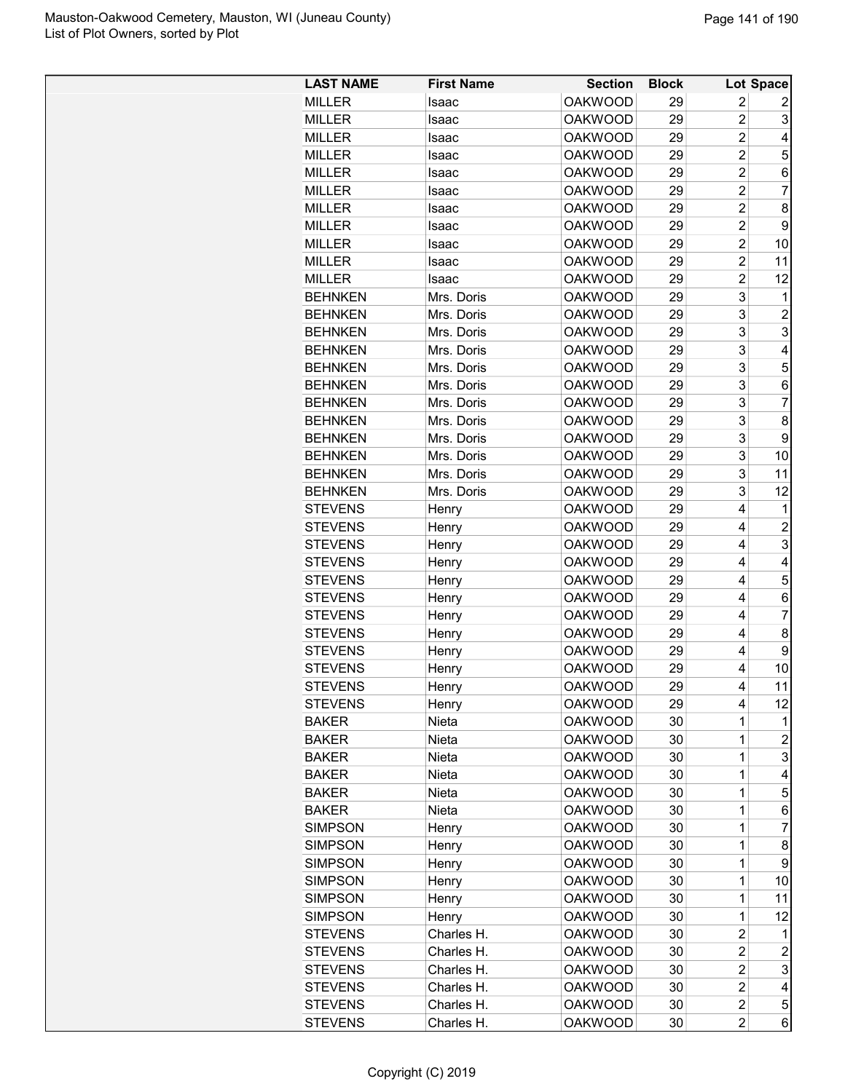| <b>LAST NAME</b> | <b>First Name</b> | <b>Section</b> | <b>Block</b> |                | Lot Space                                 |
|------------------|-------------------|----------------|--------------|----------------|-------------------------------------------|
| <b>MILLER</b>    | Isaac             | <b>OAKWOOD</b> | 29           | 2              | 2                                         |
| <b>MILLER</b>    | Isaac             | <b>OAKWOOD</b> | 29           | $\overline{2}$ | 3                                         |
| <b>MILLER</b>    | Isaac             | <b>OAKWOOD</b> | 29           | $\overline{2}$ | 4                                         |
| <b>MILLER</b>    | Isaac             | <b>OAKWOOD</b> | 29           | $\overline{2}$ | 5                                         |
| <b>MILLER</b>    | Isaac             | <b>OAKWOOD</b> | 29           | $\overline{2}$ | 6                                         |
| <b>MILLER</b>    | Isaac             | <b>OAKWOOD</b> | 29           | $\overline{2}$ | $\overline{7}$                            |
| <b>MILLER</b>    | Isaac             | <b>OAKWOOD</b> | 29           | $\overline{2}$ | 8                                         |
| <b>MILLER</b>    | Isaac             | <b>OAKWOOD</b> | 29           | $\overline{2}$ | 9                                         |
| <b>MILLER</b>    | Isaac             | <b>OAKWOOD</b> | 29           | $\overline{2}$ | 10                                        |
| <b>MILLER</b>    | Isaac             | <b>OAKWOOD</b> | 29           | $\overline{2}$ | 11                                        |
| <b>MILLER</b>    | Isaac             | <b>OAKWOOD</b> | 29           | $\overline{2}$ | 12                                        |
| <b>BEHNKEN</b>   | Mrs. Doris        | <b>OAKWOOD</b> | 29           | 3              | 1                                         |
| <b>BEHNKEN</b>   | Mrs. Doris        | <b>OAKWOOD</b> | 29           | 3              | $\overline{c}$                            |
| <b>BEHNKEN</b>   | Mrs. Doris        | <b>OAKWOOD</b> | 29           | 3              | 3                                         |
| <b>BEHNKEN</b>   | Mrs. Doris        | <b>OAKWOOD</b> | 29           | 3              | 4                                         |
| <b>BEHNKEN</b>   | Mrs. Doris        | <b>OAKWOOD</b> | 29           | 3              | 5                                         |
| <b>BEHNKEN</b>   | Mrs. Doris        | <b>OAKWOOD</b> | 29           | 3              | $\,6$                                     |
| <b>BEHNKEN</b>   | Mrs. Doris        | <b>OAKWOOD</b> | 29           | 3              | 7                                         |
| <b>BEHNKEN</b>   | Mrs. Doris        | <b>OAKWOOD</b> | 29           | 3              | $\bf 8$                                   |
| <b>BEHNKEN</b>   | Mrs. Doris        | <b>OAKWOOD</b> | 29           | 3              | 9                                         |
| <b>BEHNKEN</b>   | Mrs. Doris        | <b>OAKWOOD</b> | 29           | 3              | 10                                        |
| <b>BEHNKEN</b>   | Mrs. Doris        | <b>OAKWOOD</b> | 29           | 3              | 11                                        |
| <b>BEHNKEN</b>   | Mrs. Doris        | <b>OAKWOOD</b> | 29           | 3              | 12                                        |
| <b>STEVENS</b>   |                   | <b>OAKWOOD</b> | 29           | 4              | 1                                         |
| <b>STEVENS</b>   | Henry             | <b>OAKWOOD</b> | 29           | 4              |                                           |
| <b>STEVENS</b>   | Henry             | <b>OAKWOOD</b> | 29           | 4              | $\overline{\mathbf{c}}$<br>$\overline{3}$ |
|                  | Henry             |                |              |                |                                           |
| <b>STEVENS</b>   | Henry             | <b>OAKWOOD</b> | 29           | 4<br>4         | 4<br>5                                    |
| <b>STEVENS</b>   | Henry             | <b>OAKWOOD</b> | 29           | 4              |                                           |
| <b>STEVENS</b>   | Henry             | <b>OAKWOOD</b> | 29           | 4              | $\,6$<br>7                                |
| <b>STEVENS</b>   | Henry             | <b>OAKWOOD</b> | 29           |                |                                           |
| <b>STEVENS</b>   | Henry             | <b>OAKWOOD</b> | 29           | 4              | 8                                         |
| <b>STEVENS</b>   | Henry             | <b>OAKWOOD</b> | 29           | 4              | $\boldsymbol{9}$                          |
| <b>STEVENS</b>   | Henry             | <b>OAKWOOD</b> | 29           | 4              | 10                                        |
| <b>STEVENS</b>   | Henry             | <b>OAKWOOD</b> | 29           | 4              | 11                                        |
| <b>STEVENS</b>   | Henry             | <b>OAKWOOD</b> | 29           | 4              | 12                                        |
| <b>BAKER</b>     | Nieta             | <b>OAKWOOD</b> | 30           | 1              | 1                                         |
| <b>BAKER</b>     | Nieta             | <b>OAKWOOD</b> | 30           | 1              | $\overline{c}$                            |
| <b>BAKER</b>     | Nieta             | <b>OAKWOOD</b> | 30           | 1              | 3                                         |
| <b>BAKER</b>     | Nieta             | <b>OAKWOOD</b> | 30           | 1              | $\overline{4}$                            |
| <b>BAKER</b>     | Nieta             | <b>OAKWOOD</b> | 30           | 1              | 5                                         |
| <b>BAKER</b>     | Nieta             | <b>OAKWOOD</b> | 30           | 1              | 6                                         |
| <b>SIMPSON</b>   | Henry             | <b>OAKWOOD</b> | 30           | 1              | $\overline{7}$                            |
| <b>SIMPSON</b>   | Henry             | <b>OAKWOOD</b> | 30           | 1              | $\bf 8$                                   |
| <b>SIMPSON</b>   | Henry             | <b>OAKWOOD</b> | 30           | 1              | 9                                         |
| <b>SIMPSON</b>   | Henry             | <b>OAKWOOD</b> | 30           | 1              | 10                                        |
| <b>SIMPSON</b>   | Henry             | <b>OAKWOOD</b> | 30           | $\mathbf 1$    | 11                                        |
| <b>SIMPSON</b>   | Henry             | <b>OAKWOOD</b> | 30           | 1              | 12                                        |
| <b>STEVENS</b>   | Charles H.        | <b>OAKWOOD</b> | 30           | $\overline{c}$ | 1                                         |
| <b>STEVENS</b>   | Charles H.        | <b>OAKWOOD</b> | 30           | $\overline{c}$ | $\overline{c}$                            |
| <b>STEVENS</b>   | Charles H.        | <b>OAKWOOD</b> | 30           | $\overline{2}$ | $\mathsf 3$                               |
| <b>STEVENS</b>   | Charles H.        | <b>OAKWOOD</b> | 30           | $\overline{c}$ | 4                                         |
| <b>STEVENS</b>   | Charles H.        | <b>OAKWOOD</b> | 30           | $\overline{c}$ | 5                                         |
| <b>STEVENS</b>   | Charles H.        | <b>OAKWOOD</b> | 30           | $\overline{2}$ | 6                                         |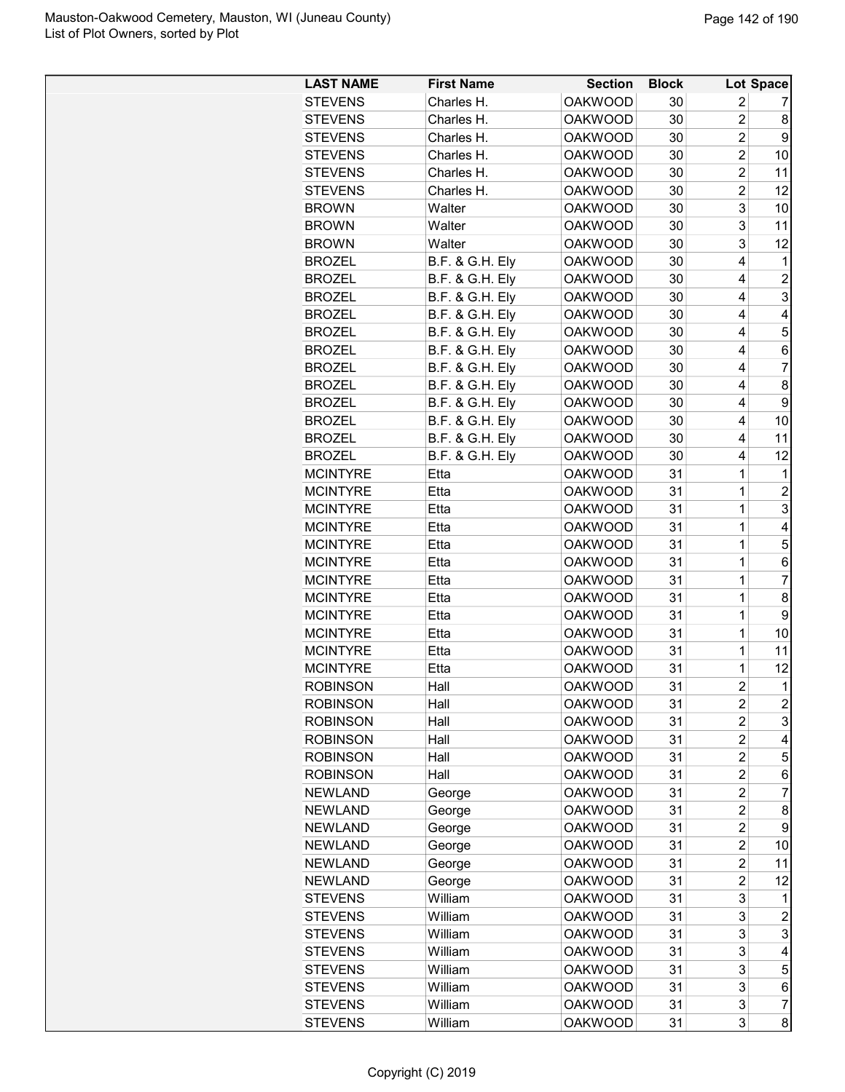| <b>LAST NAME</b> | <b>First Name</b>          | <b>Section</b> | <b>Block</b> |                | Lot Space           |
|------------------|----------------------------|----------------|--------------|----------------|---------------------|
| <b>STEVENS</b>   | Charles H.                 | <b>OAKWOOD</b> | 30           | 2              | 7                   |
| <b>STEVENS</b>   | Charles H.                 | <b>OAKWOOD</b> | 30           | $\overline{2}$ | 8                   |
| <b>STEVENS</b>   | Charles H.                 | <b>OAKWOOD</b> | 30           | $\overline{c}$ | 9                   |
| <b>STEVENS</b>   | Charles H.                 | <b>OAKWOOD</b> | 30           | $\overline{c}$ | 10                  |
| <b>STEVENS</b>   | Charles H.                 | <b>OAKWOOD</b> | 30           | $\overline{2}$ | 11                  |
| <b>STEVENS</b>   | Charles H.                 | <b>OAKWOOD</b> | 30           | $\overline{c}$ | 12                  |
| <b>BROWN</b>     | Walter                     | <b>OAKWOOD</b> | 30           | 3              | 10                  |
| <b>BROWN</b>     | Walter                     | <b>OAKWOOD</b> | 30           | 3              | 11                  |
| <b>BROWN</b>     | Walter                     | <b>OAKWOOD</b> | 30           | 3              | 12                  |
| <b>BROZEL</b>    | <b>B.F. &amp; G.H. Ely</b> | <b>OAKWOOD</b> | 30           | 4              | 1                   |
| <b>BROZEL</b>    | <b>B.F. &amp; G.H. Ely</b> | <b>OAKWOOD</b> | 30           | 4              | $\overline{c}$      |
| <b>BROZEL</b>    | <b>B.F. &amp; G.H. Ely</b> | <b>OAKWOOD</b> | 30           | 4              | 3                   |
| <b>BROZEL</b>    | <b>B.F. &amp; G.H. Ely</b> | <b>OAKWOOD</b> | 30           | 4              | $\overline{4}$      |
| <b>BROZEL</b>    | <b>B.F. &amp; G.H. Ely</b> | <b>OAKWOOD</b> | 30           | 4              | 5                   |
| <b>BROZEL</b>    | <b>B.F. &amp; G.H. Ely</b> | <b>OAKWOOD</b> | 30           | 4              | 6                   |
| <b>BROZEL</b>    | <b>B.F. &amp; G.H. Ely</b> | <b>OAKWOOD</b> | 30           | 4              | $\overline{7}$      |
| <b>BROZEL</b>    | <b>B.F. &amp; G.H. Ely</b> | <b>OAKWOOD</b> | 30           | 4              | 8                   |
| <b>BROZEL</b>    | <b>B.F. &amp; G.H. Ely</b> | <b>OAKWOOD</b> | 30           | 4              | 9                   |
| <b>BROZEL</b>    | <b>B.F. &amp; G.H. Ely</b> | <b>OAKWOOD</b> | 30           | 4              | 10                  |
| <b>BROZEL</b>    | <b>B.F. &amp; G.H. Ely</b> | <b>OAKWOOD</b> | 30           | 4              | 11                  |
| <b>BROZEL</b>    | <b>B.F. &amp; G.H. Ely</b> | <b>OAKWOOD</b> | 30           | 4              | 12                  |
| <b>MCINTYRE</b>  | Etta                       | <b>OAKWOOD</b> | 31           | $\mathbf{1}$   | 1                   |
| <b>MCINTYRE</b>  | Etta                       | <b>OAKWOOD</b> | 31           | $\overline{1}$ | $\overline{c}$      |
| <b>MCINTYRE</b>  | Etta                       | <b>OAKWOOD</b> | 31           | 1              | 3                   |
| <b>MCINTYRE</b>  | Etta                       | <b>OAKWOOD</b> | 31           | 1              | 4                   |
| <b>MCINTYRE</b>  | Etta                       | <b>OAKWOOD</b> | 31           | 1              | 5                   |
| <b>MCINTYRE</b>  | Etta                       | <b>OAKWOOD</b> | 31           | 1              | 6                   |
| <b>MCINTYRE</b>  | Etta                       | <b>OAKWOOD</b> | 31           | 1              | $\overline{7}$      |
| <b>MCINTYRE</b>  | Etta                       | <b>OAKWOOD</b> | 31           | 1              | 8                   |
| <b>MCINTYRE</b>  | Etta                       | <b>OAKWOOD</b> | 31           | $\mathbf 1$    | 9                   |
| <b>MCINTYRE</b>  | Etta                       | <b>OAKWOOD</b> | 31           | 1              | 10                  |
| <b>MCINTYRE</b>  | Etta                       | <b>OAKWOOD</b> | 31           | 1              | 11                  |
| <b>MCINTYRE</b>  | Etta                       | <b>OAKWOOD</b> | 31           | 1              | 12                  |
| <b>ROBINSON</b>  | Hall                       | <b>OAKWOOD</b> | 31           | $\overline{2}$ | $\mathbf{1}$        |
| <b>ROBINSON</b>  | Hall                       | <b>OAKWOOD</b> | 31           | 2              | $\overline{c}$      |
| <b>ROBINSON</b>  | Hall                       | <b>OAKWOOD</b> | 31           | 2              | 3                   |
| <b>ROBINSON</b>  | Hall                       | <b>OAKWOOD</b> | 31           | $\overline{2}$ | 4                   |
| <b>ROBINSON</b>  | Hall                       | <b>OAKWOOD</b> | 31           | $\overline{2}$ | 5                   |
| <b>ROBINSON</b>  | Hall                       | <b>OAKWOOD</b> | 31           | $\overline{c}$ | 6                   |
| <b>NEWLAND</b>   | George                     | <b>OAKWOOD</b> | 31           | $\overline{c}$ | 7                   |
| <b>NEWLAND</b>   | George                     | <b>OAKWOOD</b> | 31           | $\overline{c}$ | 8                   |
| <b>NEWLAND</b>   | George                     | <b>OAKWOOD</b> | 31           | 2              | 9                   |
| <b>NEWLAND</b>   | George                     | <b>OAKWOOD</b> | 31           | $\overline{c}$ | 10                  |
| <b>NEWLAND</b>   | George                     | <b>OAKWOOD</b> | 31           | $\overline{c}$ | 11                  |
| <b>NEWLAND</b>   | George                     | <b>OAKWOOD</b> | 31           | $\overline{2}$ | 12                  |
| <b>STEVENS</b>   | William                    | <b>OAKWOOD</b> | 31           | 3              | 1                   |
| <b>STEVENS</b>   | William                    | <b>OAKWOOD</b> | 31           | 3              | 2                   |
| <b>STEVENS</b>   | William                    | <b>OAKWOOD</b> | 31           | 3              | 3                   |
| <b>STEVENS</b>   | William                    | <b>OAKWOOD</b> | 31           | 3              | 4                   |
| <b>STEVENS</b>   | William                    | <b>OAKWOOD</b> | 31           | 3              | 5                   |
| <b>STEVENS</b>   | William                    | <b>OAKWOOD</b> | 31           | 3              | 6                   |
|                  |                            |                |              |                |                     |
| <b>STEVENS</b>   | William                    | <b>OAKWOOD</b> | 31           | 3<br>3         | $\overline{7}$<br>8 |
| <b>STEVENS</b>   | William                    | <b>OAKWOOD</b> | 31           |                |                     |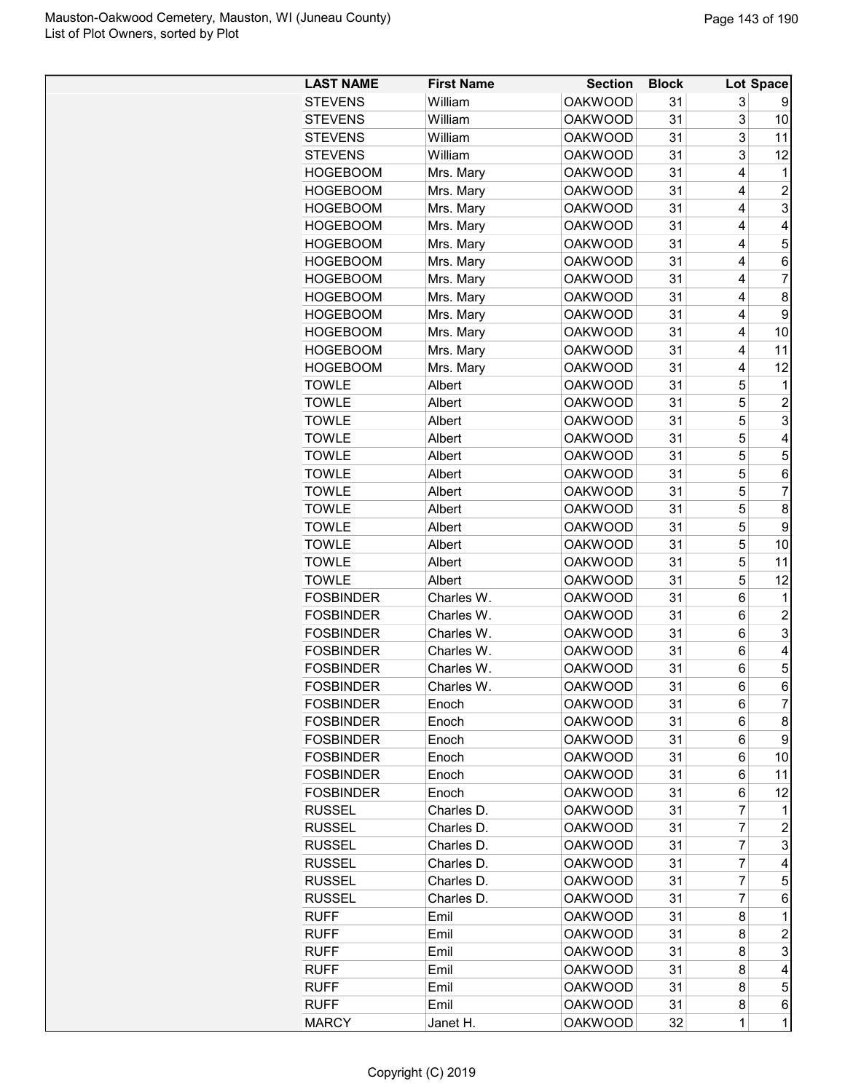| <b>LAST NAME</b> | <b>First Name</b> | <b>Section</b> | <b>Block</b> |                | Lot Space       |
|------------------|-------------------|----------------|--------------|----------------|-----------------|
| <b>STEVENS</b>   | William           | <b>OAKWOOD</b> | 31           | 3              | 9               |
| <b>STEVENS</b>   | William           | <b>OAKWOOD</b> | 31           | 3              | 10              |
| <b>STEVENS</b>   | William           | <b>OAKWOOD</b> | 31           | 3              | 11              |
| <b>STEVENS</b>   | William           | <b>OAKWOOD</b> | 31           | 3              | 12              |
| <b>HOGEBOOM</b>  | Mrs. Mary         | <b>OAKWOOD</b> | 31           | 4              | 1               |
| <b>HOGEBOOM</b>  | Mrs. Mary         | <b>OAKWOOD</b> | 31           | 4              | $\overline{2}$  |
| <b>HOGEBOOM</b>  | Mrs. Mary         | <b>OAKWOOD</b> | 31           | 4              | 3               |
| <b>HOGEBOOM</b>  | Mrs. Mary         | <b>OAKWOOD</b> | 31           | 4              | 4               |
| HOGEBOOM         | Mrs. Mary         | <b>OAKWOOD</b> | 31           | 4              | 5               |
| <b>HOGEBOOM</b>  | Mrs. Mary         | <b>OAKWOOD</b> | 31           | 4              | 6               |
| <b>HOGEBOOM</b>  | Mrs. Mary         | <b>OAKWOOD</b> | 31           | 4              | $\overline{7}$  |
| <b>HOGEBOOM</b>  | Mrs. Mary         | <b>OAKWOOD</b> | 31           | 4              | 8               |
| <b>HOGEBOOM</b>  | Mrs. Mary         | <b>OAKWOOD</b> | 31           | 4              | 9               |
| <b>HOGEBOOM</b>  | Mrs. Mary         | <b>OAKWOOD</b> | 31           | 4              | 10              |
| <b>HOGEBOOM</b>  | Mrs. Mary         | <b>OAKWOOD</b> | 31           | 4              | 11              |
| HOGEBOOM         | Mrs. Mary         | <b>OAKWOOD</b> | 31           | 4              | 12              |
| <b>TOWLE</b>     | Albert            | <b>OAKWOOD</b> | 31           | 5              | 1               |
| <b>TOWLE</b>     | Albert            | <b>OAKWOOD</b> | 31           | 5              | $\overline{2}$  |
| <b>TOWLE</b>     | Albert            | <b>OAKWOOD</b> | 31           | 5              | 3               |
| <b>TOWLE</b>     | Albert            | <b>OAKWOOD</b> | 31           | 5              | 4               |
| <b>TOWLE</b>     | Albert            | <b>OAKWOOD</b> | 31           | 5              | 5               |
| <b>TOWLE</b>     | Albert            | <b>OAKWOOD</b> | 31           | 5              | $6\phantom{1}6$ |
| <b>TOWLE</b>     | Albert            | <b>OAKWOOD</b> | 31           | 5              | $\overline{7}$  |
| <b>TOWLE</b>     | Albert            | <b>OAKWOOD</b> | 31           | 5              | 8               |
| <b>TOWLE</b>     | Albert            | <b>OAKWOOD</b> | 31           | 5              | 9               |
| TOWLE            | Albert            | <b>OAKWOOD</b> | 31           | 5              | 10              |
| <b>TOWLE</b>     | Albert            | <b>OAKWOOD</b> | 31           | 5              | 11              |
| <b>TOWLE</b>     | Albert            | <b>OAKWOOD</b> | 31           | 5              | 12              |
| <b>FOSBINDER</b> | Charles W.        | <b>OAKWOOD</b> | 31           | 6              | 1               |
| <b>FOSBINDER</b> | Charles W.        | <b>OAKWOOD</b> | 31           | 6              | $\overline{2}$  |
| <b>FOSBINDER</b> | Charles W.        | <b>OAKWOOD</b> | 31           | 6              | 3               |
| <b>FOSBINDER</b> | Charles W.        | <b>OAKWOOD</b> | 31           | 6              | 4               |
| <b>FOSBINDER</b> | Charles W.        | <b>OAKWOOD</b> | 31           | 6              | 5               |
| <b>FOSBINDER</b> | Charles W.        | <b>OAKWOOD</b> | 31           | 6              | 6               |
| <b>FOSBINDER</b> | Enoch             | OAKWOOD        | 31           | 6              | $\overline{7}$  |
| <b>FOSBINDER</b> | Enoch             | <b>OAKWOOD</b> | 31           | 6              | 8               |
| <b>FOSBINDER</b> | Enoch             | <b>OAKWOOD</b> | 31           | 6              | 9               |
| <b>FOSBINDER</b> | Enoch             | <b>OAKWOOD</b> | 31           | 6              | 10              |
| <b>FOSBINDER</b> | Enoch             | <b>OAKWOOD</b> | 31           | 6              | 11              |
| <b>FOSBINDER</b> | Enoch             | <b>OAKWOOD</b> | 31           | 6              | 12              |
| <b>RUSSEL</b>    | Charles D.        | <b>OAKWOOD</b> | 31           | 7              | 1               |
| <b>RUSSEL</b>    | Charles D.        | <b>OAKWOOD</b> | 31           | $\overline{7}$ | $\overline{2}$  |
| <b>RUSSEL</b>    | Charles D.        | <b>OAKWOOD</b> | 31           | $\overline{7}$ | 3               |
| <b>RUSSEL</b>    | Charles D.        | <b>OAKWOOD</b> | 31           | 7              | 4               |
| <b>RUSSEL</b>    | Charles D.        | <b>OAKWOOD</b> | 31           | $\overline{7}$ | 5               |
| <b>RUSSEL</b>    | Charles D.        | <b>OAKWOOD</b> | 31           | $\overline{7}$ | 6               |
| <b>RUFF</b>      | Emil              | <b>OAKWOOD</b> | 31           | 8              | 1               |
| <b>RUFF</b>      | Emil              | <b>OAKWOOD</b> | 31           | 8              | $\overline{c}$  |
| <b>RUFF</b>      | Emil              | <b>OAKWOOD</b> | 31           | 8              | 3               |
| <b>RUFF</b>      | Emil              | <b>OAKWOOD</b> | 31           | 8              | 4               |
| <b>RUFF</b>      | Emil              | <b>OAKWOOD</b> | 31           | 8              | 5               |
| <b>RUFF</b>      | Emil              | <b>OAKWOOD</b> | 31           | 8              | 6               |
| <b>MARCY</b>     | Janet H.          | <b>OAKWOOD</b> | 32           | $\mathbf{1}$   | $\overline{1}$  |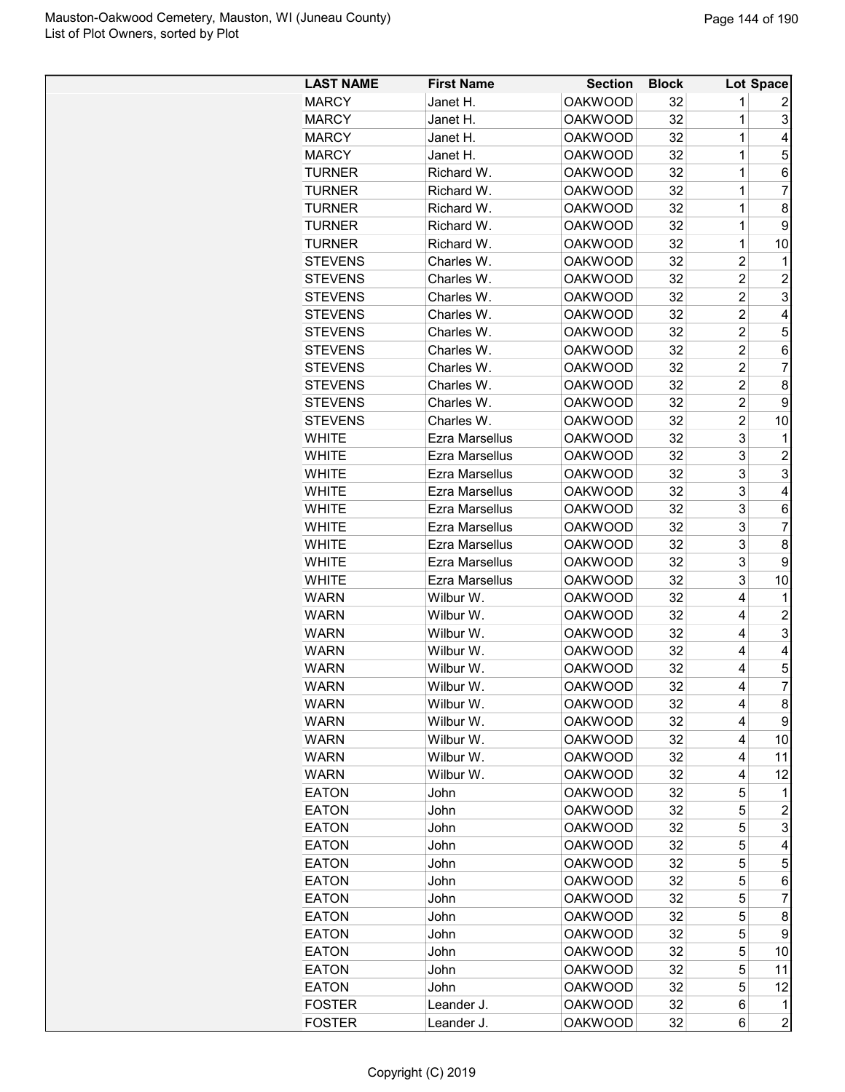| <b>LAST NAME</b> | <b>First Name</b> | <b>Section</b> | <b>Block</b> |                | Lot Space      |
|------------------|-------------------|----------------|--------------|----------------|----------------|
| <b>MARCY</b>     | Janet H.          | <b>OAKWOOD</b> | 32           | 1              | 2              |
| <b>MARCY</b>     | Janet H.          | <b>OAKWOOD</b> | 32           | $\mathbf{1}$   | 3              |
| <b>MARCY</b>     | Janet H.          | <b>OAKWOOD</b> | 32           | $\mathbf 1$    | 4              |
| <b>MARCY</b>     | Janet H.          | <b>OAKWOOD</b> | 32           | $\mathbf 1$    | 5              |
| TURNER           | Richard W.        | <b>OAKWOOD</b> | 32           | 1              | 6              |
| <b>TURNER</b>    | Richard W.        | <b>OAKWOOD</b> | 32           | 1              | $\overline{7}$ |
| <b>TURNER</b>    | Richard W.        | <b>OAKWOOD</b> | 32           | 1              | 8              |
| <b>TURNER</b>    | Richard W.        | <b>OAKWOOD</b> | 32           | 1              | 9              |
| <b>TURNER</b>    | Richard W.        | <b>OAKWOOD</b> | 32           | $\mathbf 1$    | 10             |
| <b>STEVENS</b>   | Charles W.        | <b>OAKWOOD</b> | 32           | 2              | 1              |
| <b>STEVENS</b>   | Charles W.        | <b>OAKWOOD</b> | 32           | $\overline{c}$ | 2              |
| <b>STEVENS</b>   | Charles W.        | <b>OAKWOOD</b> | 32           | $\overline{c}$ | 3              |
| <b>STEVENS</b>   | Charles W.        | <b>OAKWOOD</b> | 32           | $\overline{2}$ | 4              |
| <b>STEVENS</b>   | Charles W.        | <b>OAKWOOD</b> | 32           | $\overline{c}$ | 5              |
| <b>STEVENS</b>   | Charles W.        | <b>OAKWOOD</b> | 32           | $\overline{c}$ | 6              |
| <b>STEVENS</b>   | Charles W.        | <b>OAKWOOD</b> | 32           | $\overline{c}$ | 7              |
| <b>STEVENS</b>   | Charles W.        | <b>OAKWOOD</b> | 32           | $\overline{2}$ | 8              |
| <b>STEVENS</b>   | Charles W.        | <b>OAKWOOD</b> | 32           | $\overline{c}$ | 9              |
| <b>STEVENS</b>   | Charles W.        | <b>OAKWOOD</b> | 32           | $\overline{c}$ | 10             |
| <b>WHITE</b>     | Ezra Marsellus    | <b>OAKWOOD</b> | 32           | 3              | 1              |
| <b>WHITE</b>     | Ezra Marsellus    | <b>OAKWOOD</b> | 32           | 3              | $\overline{2}$ |
| <b>WHITE</b>     | Ezra Marsellus    | <b>OAKWOOD</b> | 32           | 3              | 3              |
| <b>WHITE</b>     | Ezra Marsellus    | <b>OAKWOOD</b> | 32           | 3              | 4              |
| <b>WHITE</b>     | Ezra Marsellus    | <b>OAKWOOD</b> | 32           | 3              | 6              |
| <b>WHITE</b>     | Ezra Marsellus    | <b>OAKWOOD</b> | 32           | 3              | 7              |
| WHITE            | Ezra Marsellus    | <b>OAKWOOD</b> | 32           | 3              | 8              |
| <b>WHITE</b>     | Ezra Marsellus    | <b>OAKWOOD</b> | 32           | 3              | 9              |
| <b>WHITE</b>     | Ezra Marsellus    | <b>OAKWOOD</b> | 32           | 3              | 10             |
| <b>WARN</b>      | Wilbur W.         | <b>OAKWOOD</b> | 32           | 4              | 1              |
| <b>WARN</b>      | Wilbur W.         | <b>OAKWOOD</b> | 32           | 4              | $\overline{c}$ |
| <b>WARN</b>      | Wilbur W.         | <b>OAKWOOD</b> | 32           | 4              | 3              |
| <b>WARN</b>      | Wilbur W.         | <b>OAKWOOD</b> | 32           | 4              | 4              |
| <b>WARN</b>      | Wilbur W.         | <b>OAKWOOD</b> | 32           | 4              | 5              |
| <b>WARN</b>      | Wilbur W.         | <b>OAKWOOD</b> | 32           | 4              | $\overline{7}$ |
| <b>WARN</b>      | Wilbur W.         | <b>OAKWOOD</b> | 32           | 4              | 8              |
| <b>WARN</b>      | Wilbur W.         | <b>OAKWOOD</b> | 32           | 4              | 9              |
| <b>WARN</b>      | Wilbur W.         | <b>OAKWOOD</b> | 32           | 4              | 10             |
| <b>WARN</b>      | Wilbur W.         | <b>OAKWOOD</b> | 32           | 4              | 11             |
| <b>WARN</b>      | Wilbur W.         | <b>OAKWOOD</b> | 32           | 4              | 12             |
| <b>EATON</b>     | John              | <b>OAKWOOD</b> | 32           | 5              | 1              |
| <b>EATON</b>     | John              | <b>OAKWOOD</b> | 32           | 5              | $\overline{c}$ |
| <b>EATON</b>     | John              | <b>OAKWOOD</b> | 32           | 5              | 3              |
| <b>EATON</b>     | John              | <b>OAKWOOD</b> | 32           | 5              | 4              |
| <b>EATON</b>     | John              | <b>OAKWOOD</b> | 32           | 5              | 5              |
| <b>EATON</b>     | John              | <b>OAKWOOD</b> | 32           | 5              | 6              |
| <b>EATON</b>     | John              | <b>OAKWOOD</b> | 32           | 5              | 7              |
| <b>EATON</b>     | John              | <b>OAKWOOD</b> | 32           | 5              | 8              |
| <b>EATON</b>     | John              | <b>OAKWOOD</b> | 32           | 5              | 9              |
| <b>EATON</b>     | John              | <b>OAKWOOD</b> | 32           | 5              | 10             |
| <b>EATON</b>     | John              | <b>OAKWOOD</b> | 32           | 5              | 11             |
| <b>EATON</b>     | John              | <b>OAKWOOD</b> | 32           | 5              | 12             |
| <b>FOSTER</b>    | Leander J.        | <b>OAKWOOD</b> | 32           | 6              | 1              |
| <b>FOSTER</b>    | Leander J.        | <b>OAKWOOD</b> | 32           | 6              | $\overline{c}$ |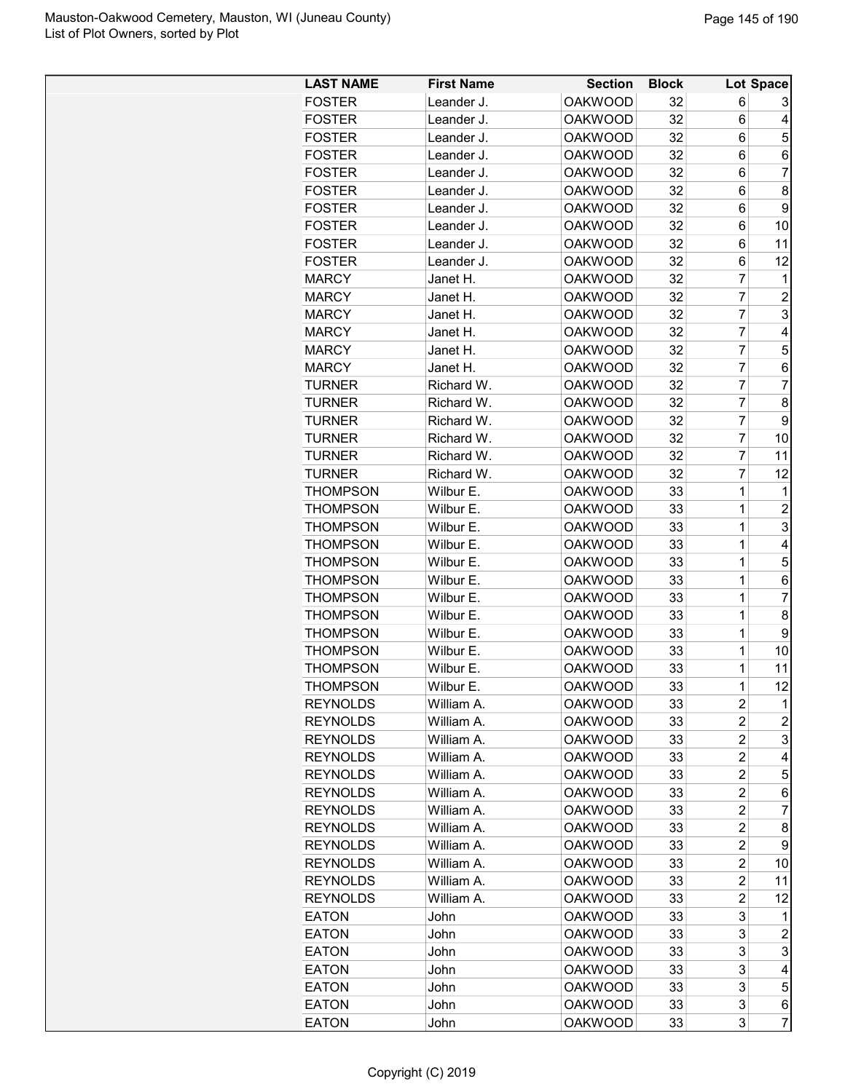| <b>LAST NAME</b> | <b>First Name</b> | <b>Section</b> | <b>Block</b> |                | Lot Space               |
|------------------|-------------------|----------------|--------------|----------------|-------------------------|
| <b>FOSTER</b>    | Leander J.        | <b>OAKWOOD</b> | 32           | 6              | 3                       |
| <b>FOSTER</b>    | Leander J.        | <b>OAKWOOD</b> | 32           | 6              | 4                       |
| <b>FOSTER</b>    | Leander J.        | <b>OAKWOOD</b> | 32           | 6              | 5                       |
| <b>FOSTER</b>    | Leander J.        | <b>OAKWOOD</b> | 32           | 6              | 6                       |
| <b>FOSTER</b>    | Leander J.        | <b>OAKWOOD</b> | 32           | 6              | $\overline{7}$          |
| <b>FOSTER</b>    | Leander J.        | <b>OAKWOOD</b> | 32           | 6              | 8                       |
| <b>FOSTER</b>    | Leander J.        | <b>OAKWOOD</b> | 32           | 6              | 9                       |
| <b>FOSTER</b>    |                   |                |              |                |                         |
|                  | Leander J.        | <b>OAKWOOD</b> | 32           | 6              | 10                      |
| <b>FOSTER</b>    | Leander J.        | <b>OAKWOOD</b> | 32           | 6              | 11                      |
| <b>FOSTER</b>    | Leander J.        | <b>OAKWOOD</b> | 32           | 6              | 12                      |
| <b>MARCY</b>     | Janet H.          | <b>OAKWOOD</b> | 32           | $\overline{7}$ | 1                       |
| <b>MARCY</b>     | Janet H.          | <b>OAKWOOD</b> | 32           | $\overline{7}$ | $\overline{c}$          |
| <b>MARCY</b>     | Janet H.          | <b>OAKWOOD</b> | 32           | 7              | $\overline{3}$          |
| <b>MARCY</b>     | Janet H.          | <b>OAKWOOD</b> | 32           | 7              | $\overline{\mathbf{4}}$ |
| <b>MARCY</b>     | Janet H.          | <b>OAKWOOD</b> | 32           | $\overline{7}$ | 5                       |
| <b>MARCY</b>     | Janet H.          | <b>OAKWOOD</b> | 32           | $\overline{7}$ | 6                       |
| <b>TURNER</b>    | Richard W.        | <b>OAKWOOD</b> | 32           | $\overline{7}$ | $\overline{7}$          |
| <b>TURNER</b>    | Richard W.        | <b>OAKWOOD</b> | 32           | $\overline{7}$ | 8                       |
| <b>TURNER</b>    | Richard W.        | <b>OAKWOOD</b> | 32           | $\overline{7}$ | 9                       |
| <b>TURNER</b>    | Richard W.        | <b>OAKWOOD</b> | 32           | 7              | 10                      |
| <b>TURNER</b>    | Richard W.        | <b>OAKWOOD</b> | 32           | $\overline{7}$ | 11                      |
| <b>TURNER</b>    | Richard W.        | <b>OAKWOOD</b> | 32           | $\overline{7}$ | 12                      |
| <b>THOMPSON</b>  | Wilbur E.         | <b>OAKWOOD</b> | 33           | 1              | 1                       |
| <b>THOMPSON</b>  | Wilbur E.         | <b>OAKWOOD</b> | 33           | 1              | $\overline{c}$          |
| <b>THOMPSON</b>  | Wilbur E.         | <b>OAKWOOD</b> | 33           | 1              | 3                       |
| <b>THOMPSON</b>  | Wilbur E.         | <b>OAKWOOD</b> | 33           | 1              | 4                       |
| <b>THOMPSON</b>  | Wilbur E.         | <b>OAKWOOD</b> | 33           | 1              | 5                       |
| <b>THOMPSON</b>  | Wilbur E.         | <b>OAKWOOD</b> | 33           | 1              | 6                       |
| <b>THOMPSON</b>  | Wilbur E.         | <b>OAKWOOD</b> | 33           | 1              | $\overline{7}$          |
| <b>THOMPSON</b>  | Wilbur E.         | <b>OAKWOOD</b> | 33           | 1              | 8                       |
| <b>THOMPSON</b>  | Wilbur E.         | <b>OAKWOOD</b> | 33           | 1              | 9                       |
| <b>THOMPSON</b>  | Wilbur E.         | <b>OAKWOOD</b> | 33           | 1              | 10                      |
| THOMPSON         | Wilbur E.         | <b>OAKWOOD</b> | 33           | 1              | 11                      |
| THOMPSON         | Wilbur E.         | <b>OAKWOOD</b> | 33           | $\mathbf 1$    | 12                      |
| <b>REYNOLDS</b>  | William A.        | <b>OAKWOOD</b> | 33           | 2              | $\mathbf{1}$            |
| <b>REYNOLDS</b>  | William A.        | <b>OAKWOOD</b> | 33           | $\overline{c}$ | $\overline{\mathbf{c}}$ |
| <b>REYNOLDS</b>  | William A.        | <b>OAKWOOD</b> | 33           | $\overline{c}$ | $\mathbf{3}$            |
| <b>REYNOLDS</b>  | William A.        | <b>OAKWOOD</b> | 33           | $\overline{c}$ | $\overline{\mathbf{4}}$ |
| <b>REYNOLDS</b>  | William A.        | <b>OAKWOOD</b> | 33           | $\overline{c}$ | 5                       |
| <b>REYNOLDS</b>  | William A.        | <b>OAKWOOD</b> | 33           | 2              | 6                       |
| <b>REYNOLDS</b>  | William A.        | <b>OAKWOOD</b> | 33           | 2              | 7                       |
| <b>REYNOLDS</b>  | William A.        | <b>OAKWOOD</b> | 33           | 2              | 8                       |
| <b>REYNOLDS</b>  | William A.        | <b>OAKWOOD</b> | 33           | $\overline{c}$ | 9                       |
| <b>REYNOLDS</b>  | William A.        | <b>OAKWOOD</b> | 33           | $\overline{c}$ | 10                      |
| <b>REYNOLDS</b>  | William A.        | <b>OAKWOOD</b> | 33           | $\overline{c}$ | 11                      |
| <b>REYNOLDS</b>  | William A.        | <b>OAKWOOD</b> | 33           | $\overline{c}$ | 12                      |
| <b>EATON</b>     | John              | <b>OAKWOOD</b> | 33           | 3              | 1                       |
| <b>EATON</b>     | John              | <b>OAKWOOD</b> | 33           | 3              | $\overline{c}$          |
| <b>EATON</b>     | John              | <b>OAKWOOD</b> | 33           | 3              | $\mathbf{3}$            |
| <b>EATON</b>     | John              | <b>OAKWOOD</b> | 33           | 3              | $\overline{\mathbf{r}}$ |
| <b>EATON</b>     | John              | <b>OAKWOOD</b> | 33           | 3              | 5                       |
| <b>EATON</b>     | John              | <b>OAKWOOD</b> | 33           | 3              | $\,6$                   |
| <b>EATON</b>     | John              | <b>OAKWOOD</b> | 33           | 3              | $\overline{7}$          |
|                  |                   |                |              |                |                         |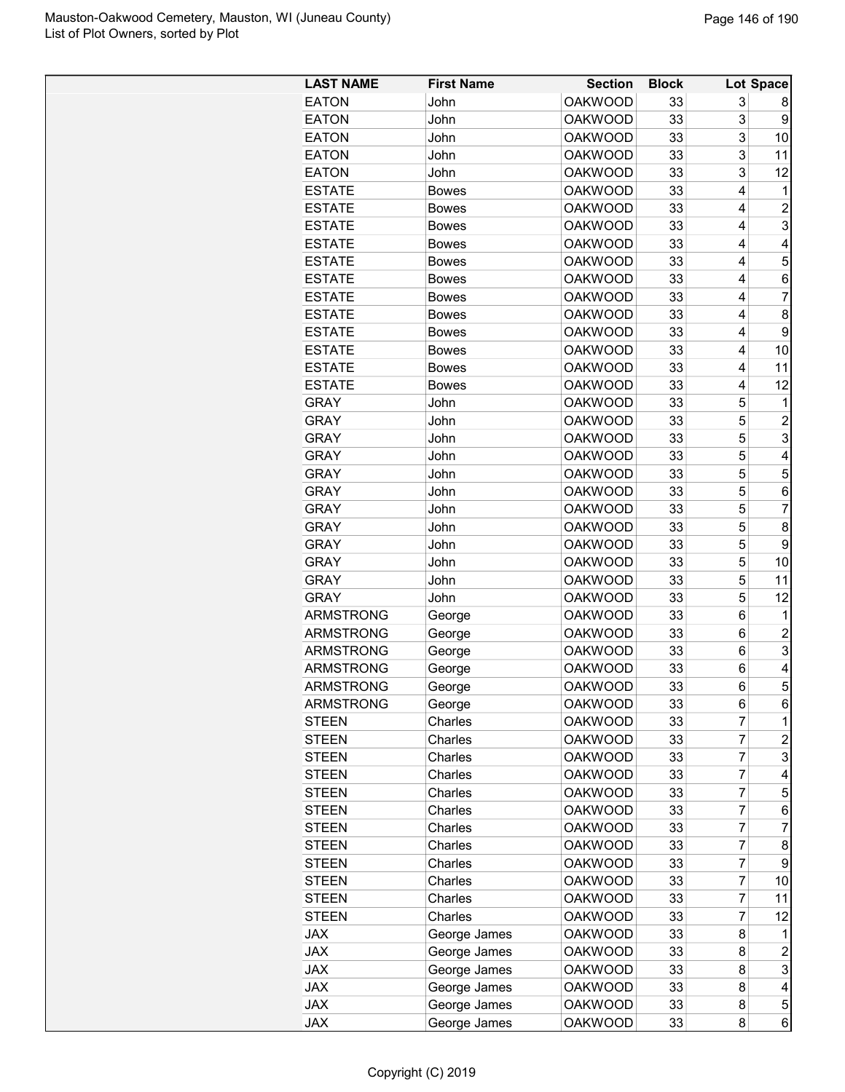| <b>LAST NAME</b> | <b>First Name</b> | <b>Section</b> | <b>Block</b> |                | Lot Space      |
|------------------|-------------------|----------------|--------------|----------------|----------------|
| <b>EATON</b>     | John              | <b>OAKWOOD</b> | 33           | 3              | 8              |
| <b>EATON</b>     | John              | <b>OAKWOOD</b> | 33           | 3              | 9              |
| <b>EATON</b>     | John              | <b>OAKWOOD</b> | 33           | 3              | 10             |
| <b>EATON</b>     | John              | <b>OAKWOOD</b> | 33           | 3              | 11             |
| <b>EATON</b>     | John              | <b>OAKWOOD</b> | 33           | 3              | 12             |
| <b>ESTATE</b>    | <b>Bowes</b>      | <b>OAKWOOD</b> | 33           | 4              | 1              |
| <b>FSTATE</b>    | <b>Bowes</b>      | <b>OAKWOOD</b> | 33           | 4              | 2              |
| <b>ESTATE</b>    | <b>Bowes</b>      | <b>OAKWOOD</b> | 33           | 4              | 3              |
| <b>ESTATE</b>    | <b>Bowes</b>      | <b>OAKWOOD</b> | 33           | 4              | 4              |
| <b>ESTATE</b>    | <b>Bowes</b>      | <b>OAKWOOD</b> | 33           | 4              | 5              |
| <b>ESTATE</b>    | <b>Bowes</b>      | <b>OAKWOOD</b> | 33           | 4              | 6              |
| <b>ESTATE</b>    | <b>Bowes</b>      | <b>OAKWOOD</b> | 33           | 4              | 7              |
| <b>ESTATE</b>    | <b>Bowes</b>      | <b>OAKWOOD</b> | 33           | 4              | 8              |
| <b>ESTATE</b>    | <b>Bowes</b>      | <b>OAKWOOD</b> | 33           | 4              | 9              |
| <b>ESTATE</b>    | <b>Bowes</b>      | <b>OAKWOOD</b> | 33           | 4              | 10             |
| <b>ESTATE</b>    | <b>Bowes</b>      | <b>OAKWOOD</b> | 33           | 4              | 11             |
| <b>ESTATE</b>    | <b>Bowes</b>      | <b>OAKWOOD</b> | 33           | 4              | 12             |
| <b>GRAY</b>      | John              | <b>OAKWOOD</b> | 33           | 5              | 1              |
|                  |                   |                |              |                |                |
| <b>GRAY</b>      | John              | <b>OAKWOOD</b> | 33           | 5              | 2              |
| <b>GRAY</b>      | John              | <b>OAKWOOD</b> | 33           | 5              | 3              |
| <b>GRAY</b>      | John              | <b>OAKWOOD</b> | 33           | 5              | 4              |
| <b>GRAY</b>      | John              | <b>OAKWOOD</b> | 33           | 5              | 5              |
| <b>GRAY</b>      | John              | <b>OAKWOOD</b> | 33           | 5              | 6              |
| <b>GRAY</b>      | John              | <b>OAKWOOD</b> | 33           | 5              | 7              |
| <b>GRAY</b>      | John              | <b>OAKWOOD</b> | 33           | 5              | 8              |
| <b>GRAY</b>      | John              | <b>OAKWOOD</b> | 33           | 5              | 9              |
| <b>GRAY</b>      | John              | <b>OAKWOOD</b> | 33           | 5              | 10             |
| <b>GRAY</b>      | John              | <b>OAKWOOD</b> | 33           | 5              | 11             |
| <b>GRAY</b>      | John              | <b>OAKWOOD</b> | 33           | 5              | 12             |
| <b>ARMSTRONG</b> | George            | <b>OAKWOOD</b> | 33           | 6              | 1              |
| <b>ARMSTRONG</b> | George            | <b>OAKWOOD</b> | 33           | 6              | 2              |
| <b>ARMSTRONG</b> | George            | <b>OAKWOOD</b> | 33           | 6              | 3              |
| <b>ARMSTRONG</b> | George            | <b>OAKWOOD</b> | 33           | 6              | 4              |
| ARMSTRONG        | George            | OAKWOOD        | 33           | 6              | 5              |
| <b>ARMSTRONG</b> | George            | <b>OAKWOOD</b> | 33           | 6              | 6              |
| <b>STEEN</b>     | Charles           | <b>OAKWOOD</b> | 33           | 7              | $\mathbf 1$    |
| <b>STEEN</b>     | Charles           | <b>OAKWOOD</b> | 33           | 7              | 2              |
| <b>STEEN</b>     | Charles           | <b>OAKWOOD</b> | 33           | 7              | 3              |
| <b>STEEN</b>     | Charles           | <b>OAKWOOD</b> | 33           | 7              | 4              |
| <b>STEEN</b>     | Charles           | <b>OAKWOOD</b> | 33           | 7              | 5              |
| <b>STEEN</b>     | Charles           | <b>OAKWOOD</b> | 33           | $\overline{7}$ | 6              |
| <b>STEEN</b>     | Charles           | <b>OAKWOOD</b> | 33           | 7              | 7              |
| <b>STEEN</b>     | Charles           | <b>OAKWOOD</b> | 33           | 7              | 8              |
| <b>STEEN</b>     | Charles           | <b>OAKWOOD</b> | 33           | 7              | 9              |
| <b>STEEN</b>     | Charles           | <b>OAKWOOD</b> | 33           | 7              | 10             |
| <b>STEEN</b>     | Charles           | <b>OAKWOOD</b> | 33           | 7              | 11             |
|                  | Charles           | <b>OAKWOOD</b> | 33           | 7              |                |
| <b>STEEN</b>     |                   |                |              |                | 12             |
| <b>JAX</b>       | George James      | <b>OAKWOOD</b> | 33           | 8              | 1              |
| <b>JAX</b>       | George James      | <b>OAKWOOD</b> | 33           | 8              | $\overline{c}$ |
| <b>JAX</b>       | George James      | <b>OAKWOOD</b> | 33           | 8              | 3              |
| <b>JAX</b>       | George James      | <b>OAKWOOD</b> | 33           | 8              | 4              |
| <b>JAX</b>       | George James      | <b>OAKWOOD</b> | 33           | 8              | 5              |
| <b>JAX</b>       | George James      | <b>OAKWOOD</b> | 33           | 8              | 6              |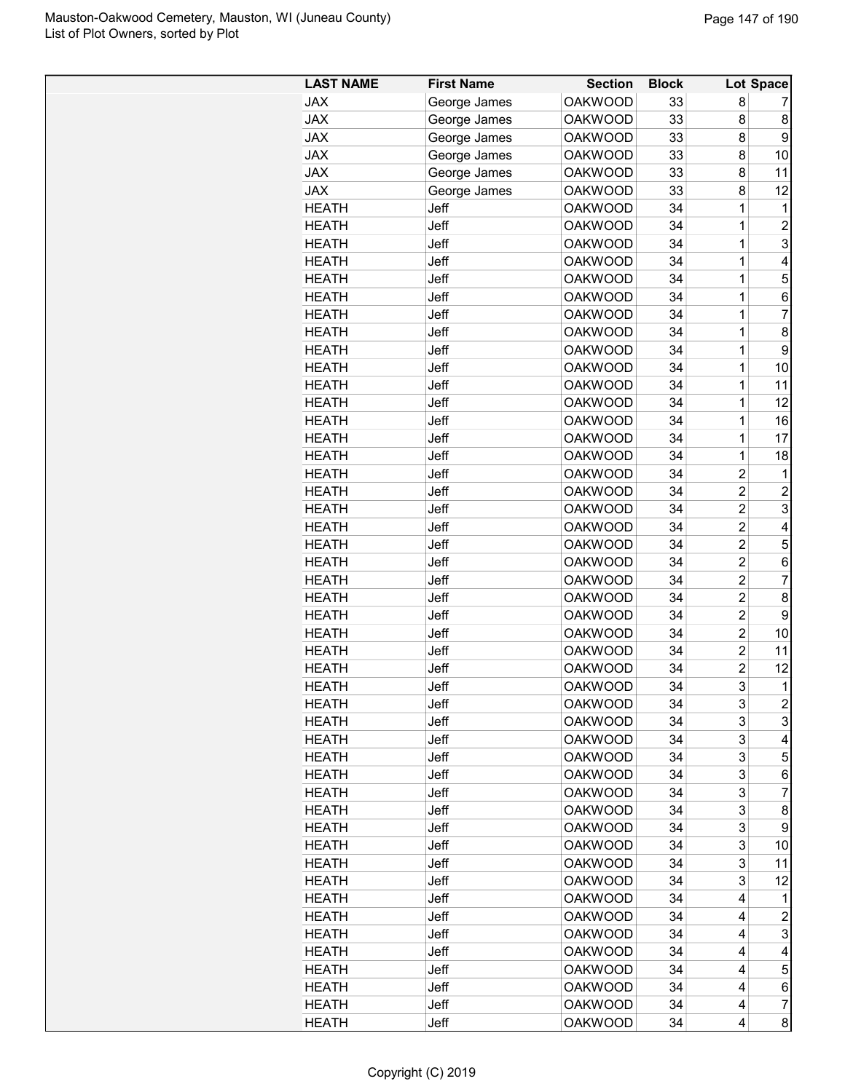| <b>LAST NAME</b> | <b>First Name</b> | <b>Section</b> | <b>Block</b> |                | Lot Space      |
|------------------|-------------------|----------------|--------------|----------------|----------------|
| <b>JAX</b>       | George James      | <b>OAKWOOD</b> | 33           | 8              | 7              |
| <b>JAX</b>       | George James      | <b>OAKWOOD</b> | 33           | 8              | 8              |
| <b>JAX</b>       | George James      | <b>OAKWOOD</b> | 33           | 8              | 9              |
| <b>JAX</b>       | George James      | <b>OAKWOOD</b> | 33           | 8              | 10             |
| <b>JAX</b>       | George James      | <b>OAKWOOD</b> | 33           | 8              | 11             |
| <b>JAX</b>       | George James      | <b>OAKWOOD</b> | 33           | 8              | 12             |
| <b>HEATH</b>     | Jeff              | <b>OAKWOOD</b> | 34           | 1              | 1              |
| <b>HEATH</b>     | Jeff              | <b>OAKWOOD</b> | 34           | 1              | $\overline{2}$ |
| <b>HEATH</b>     | Jeff              | <b>OAKWOOD</b> | 34           | 1              | 3              |
| <b>HEATH</b>     | Jeff              | <b>OAKWOOD</b> | 34           | 1              | 4              |
| <b>HEATH</b>     | Jeff              | <b>OAKWOOD</b> | 34           | 1              | 5              |
| <b>HEATH</b>     | Jeff              | <b>OAKWOOD</b> | 34           | 1              | 6              |
| <b>HEATH</b>     | Jeff              | <b>OAKWOOD</b> | 34           | 1              | 7              |
| <b>HEATH</b>     | Jeff              | <b>OAKWOOD</b> | 34           | 1              | 8              |
| <b>HEATH</b>     | Jeff              | <b>OAKWOOD</b> | 34           | 1              | 9              |
| <b>HEATH</b>     | Jeff              | <b>OAKWOOD</b> | 34           | 1              | 10             |
| <b>HEATH</b>     | Jeff              | <b>OAKWOOD</b> | 34           | 1              | 11             |
| <b>HEATH</b>     | Jeff              | <b>OAKWOOD</b> | 34           | 1              | 12             |
| <b>HEATH</b>     | Jeff              | <b>OAKWOOD</b> | 34           | 1              | 16             |
| <b>HEATH</b>     | Jeff              | <b>OAKWOOD</b> | 34           | 1              | 17             |
| <b>HEATH</b>     | Jeff              | <b>OAKWOOD</b> | 34           | 1              |                |
|                  |                   |                |              |                | 18             |
| <b>HEATH</b>     | Jeff              | <b>OAKWOOD</b> | 34           | $\overline{2}$ | 1              |
| <b>HEATH</b>     | Jeff              | <b>OAKWOOD</b> | 34           | $\overline{2}$ | 2              |
| <b>HEATH</b>     | Jeff              | <b>OAKWOOD</b> | 34           | $\overline{2}$ | 3              |
| <b>HEATH</b>     | Jeff              | <b>OAKWOOD</b> | 34           | $\overline{2}$ | 4              |
| <b>HEATH</b>     | Jeff              | <b>OAKWOOD</b> | 34           | $\overline{2}$ | 5              |
| <b>HEATH</b>     | Jeff              | <b>OAKWOOD</b> | 34           | $\overline{2}$ | 6              |
| <b>HEATH</b>     | Jeff              | <b>OAKWOOD</b> | 34           | $\overline{c}$ | 7              |
| <b>HEATH</b>     | Jeff              | <b>OAKWOOD</b> | 34           | $\overline{c}$ | 8              |
| <b>HEATH</b>     | Jeff              | <b>OAKWOOD</b> | 34           | $\overline{2}$ | 9              |
| <b>HEATH</b>     | Jeff              | <b>OAKWOOD</b> | 34           | $\overline{2}$ | 10             |
| <b>HEATH</b>     | Jeff              | <b>OAKWOOD</b> | 34           | $\overline{2}$ | 11             |
| <b>HEATH</b>     | Jeff              | <b>OAKWOOD</b> | 34           | $\overline{2}$ | 12             |
| <b>HEATH</b>     | Jeff              | <b>OAKWOOD</b> | 34           | 3              | 1              |
| <b>HEATH</b>     | Jeff              | <b>OAKWOOD</b> | 34           | 3              | 2              |
| <b>HEATH</b>     | Jeff              | <b>OAKWOOD</b> | 34           | 3              | 3              |
| <b>HEATH</b>     | Jeff              | <b>OAKWOOD</b> | 34           | 3              | 4              |
| <b>HEATH</b>     | Jeff              | <b>OAKWOOD</b> | 34           | 3              | 5              |
| <b>HEATH</b>     | Jeff              | <b>OAKWOOD</b> | 34           | 3              | 6              |
| <b>HEATH</b>     | Jeff              | <b>OAKWOOD</b> | 34           | 3              | 7              |
| <b>HEATH</b>     | Jeff              | <b>OAKWOOD</b> | 34           | 3              | 8              |
| <b>HEATH</b>     | Jeff              | <b>OAKWOOD</b> | 34           | 3              | 9              |
| <b>HEATH</b>     | Jeff              | <b>OAKWOOD</b> | 34           | 3              | 10             |
| <b>HEATH</b>     | Jeff              | <b>OAKWOOD</b> | 34           | 3              | 11             |
| HEATH            | Jeff              | <b>OAKWOOD</b> | 34           | 3              | 12             |
| <b>HEATH</b>     | Jeff              | <b>OAKWOOD</b> | 34           | 4              | 1              |
|                  |                   | <b>OAKWOOD</b> | 34           |                |                |
| <b>HEATH</b>     | Jeff              |                |              | 4              | 2              |
| <b>HEATH</b>     | Jeff              | <b>OAKWOOD</b> | 34           | 4              | 3              |
| <b>HEATH</b>     | Jeff              | <b>OAKWOOD</b> | 34           | 4              | 4              |
| <b>HEATH</b>     | Jeff              | <b>OAKWOOD</b> | 34           | 4              | 5              |
| <b>HEATH</b>     | Jeff              | <b>OAKWOOD</b> | 34           | 4              | 6              |
| <b>HEATH</b>     | Jeff              | <b>OAKWOOD</b> | 34           | 4              | 7              |
| <b>HEATH</b>     | Jeff              | <b>OAKWOOD</b> | 34           | 4              | 8              |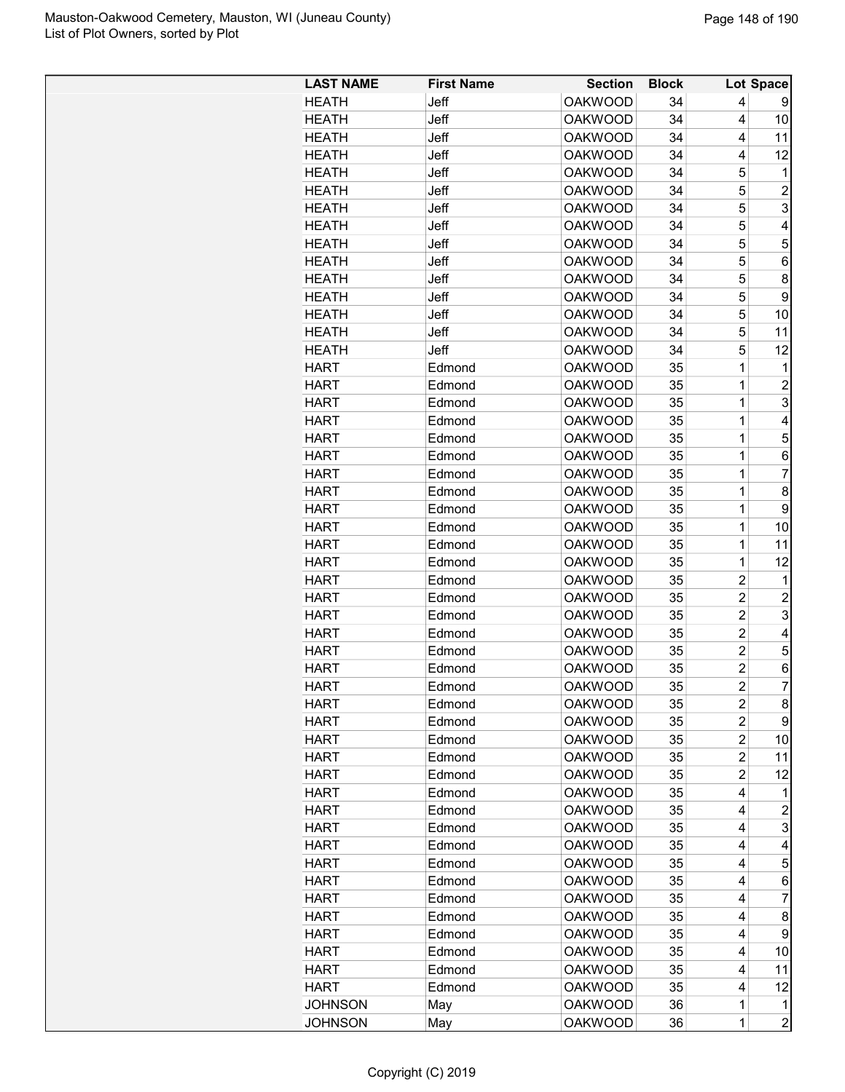| <b>LAST NAME</b> | <b>First Name</b> | <b>Section</b> | <b>Block</b> |                | Lot Space      |
|------------------|-------------------|----------------|--------------|----------------|----------------|
| <b>HFATH</b>     | Jeff              | <b>OAKWOOD</b> | 34           | 4              | 9              |
| HEATH            | Jeff              | <b>OAKWOOD</b> | 34           | 4              | 10             |
| HEATH            | Jeff              | <b>OAKWOOD</b> | 34           | 4              | 11             |
| <b>HEATH</b>     | Jeff              | <b>OAKWOOD</b> | 34           | 4              | 12             |
| <b>HEATH</b>     | Jeff              | <b>OAKWOOD</b> | 34           | 5              | 1              |
| HEATH            | Jeff              | <b>OAKWOOD</b> | 34           | 5              | $\overline{2}$ |
| <b>HEATH</b>     | Jeff              | <b>OAKWOOD</b> | 34           | 5              | 3              |
| <b>HEATH</b>     | Jeff.             | <b>OAKWOOD</b> | 34           | 5              | 4              |
| <b>HEATH</b>     | Jeff              | <b>OAKWOOD</b> | 34           | 5              | 5              |
| HEATH            | Jeff              | <b>OAKWOOD</b> | 34           | 5              | 6              |
| <b>HEATH</b>     | Jeff              | <b>OAKWOOD</b> | 34           | 5              | 8              |
| <b>HEATH</b>     | Jeff              | <b>OAKWOOD</b> | 34           | 5              | 9              |
| <b>HEATH</b>     | Jeff              | <b>OAKWOOD</b> | 34           | 5              | 10             |
| HEATH            | Jeff              | <b>OAKWOOD</b> | 34           | 5              | 11             |
| HEATH            | Jeff              | <b>OAKWOOD</b> | 34           | 5              | 12             |
| <b>HART</b>      | Edmond            | <b>OAKWOOD</b> | 35           | 1              | 1              |
| <b>HART</b>      | Edmond            | <b>OAKWOOD</b> | 35           | 1              | $\overline{2}$ |
| <b>HART</b>      | Edmond            | <b>OAKWOOD</b> | 35           | 1              | 3              |
| HART             | Edmond            | <b>OAKWOOD</b> | 35           | 1              | 4              |
| <b>HART</b>      | Edmond            | <b>OAKWOOD</b> | 35           | 1              | 5              |
| HART             | Edmond            | <b>OAKWOOD</b> | 35           | 1              | 6              |
|                  | Edmond            |                |              | 1              |                |
| HART             |                   | <b>OAKWOOD</b> | 35           |                | 7              |
| HART             | Edmond            | <b>OAKWOOD</b> | 35           | 1              | 8              |
| HART             | Edmond            | <b>OAKWOOD</b> | 35           | 1              | 9              |
| <b>HART</b>      | Edmond            | <b>OAKWOOD</b> | 35           | 1              | 10             |
| HART             | Edmond            | <b>OAKWOOD</b> | 35           | 1              | 11             |
| <b>HART</b>      | Edmond            | <b>OAKWOOD</b> | 35           | 1              | 12             |
| HART             | Edmond            | <b>OAKWOOD</b> | 35           | 2              | 1              |
| <b>HART</b>      | Edmond            | <b>OAKWOOD</b> | 35           | $\overline{c}$ | $\overline{c}$ |
| <b>HART</b>      | Edmond            | <b>OAKWOOD</b> | 35           | $\overline{2}$ | 3              |
| <b>HART</b>      | Edmond            | <b>OAKWOOD</b> | 35           | $\overline{2}$ | 4              |
| <b>HART</b>      | Edmond            | <b>OAKWOOD</b> | 35           | 2              | 5              |
| HART             | Edmond            | <b>OAKWOOD</b> | 35           | $\overline{2}$ | 6              |
| <b>HART</b>      | Edmond            | <b>OAKWOOD</b> | 35           | 2              | 7              |
| <b>HART</b>      | Edmond            | <b>OAKWOOD</b> | 35           | $\overline{c}$ | $\bf 8$        |
| <b>HART</b>      | Edmond            | <b>OAKWOOD</b> | 35           | $\overline{c}$ | 9              |
| <b>HART</b>      | Edmond            | <b>OAKWOOD</b> | 35           | $\overline{c}$ | 10             |
| HART             | Edmond            | <b>OAKWOOD</b> | 35           | $\overline{2}$ | 11             |
| <b>HART</b>      | Edmond            | <b>OAKWOOD</b> | 35           | $\overline{c}$ | 12             |
| <b>HART</b>      | Edmond            | <b>OAKWOOD</b> | 35           | 4              | 1              |
| <b>HART</b>      | Edmond            | <b>OAKWOOD</b> | 35           | 4              | 2              |
| <b>HART</b>      | Edmond            | <b>OAKWOOD</b> | 35           | 4              | 3              |
| <b>HART</b>      | Edmond            | <b>OAKWOOD</b> | 35           | 4              | 4              |
| <b>HART</b>      | Edmond            | <b>OAKWOOD</b> | 35           | 4              | 5              |
| <b>HART</b>      | Edmond            | <b>OAKWOOD</b> | 35           | 4              | 6              |
| <b>HART</b>      | Edmond            | <b>OAKWOOD</b> | 35           | 4              | $\overline{7}$ |
| <b>HART</b>      | Edmond            | <b>OAKWOOD</b> | 35           | 4              | 8              |
| <b>HART</b>      | Edmond            | <b>OAKWOOD</b> | 35           | 4              | 9              |
| <b>HART</b>      | Edmond            | <b>OAKWOOD</b> | 35           | 4              | 10             |
|                  | Edmond            |                | 35           | 4              | 11             |
| <b>HART</b>      |                   | <b>OAKWOOD</b> |              |                |                |
| <b>HART</b>      | Edmond            | <b>OAKWOOD</b> | 35           | 4              | 12             |
| <b>JOHNSON</b>   | May               | <b>OAKWOOD</b> | 36           | 1              | $\mathbf 1$    |
| <b>JOHNSON</b>   | May               | <b>OAKWOOD</b> | 36           | 1              | $\overline{c}$ |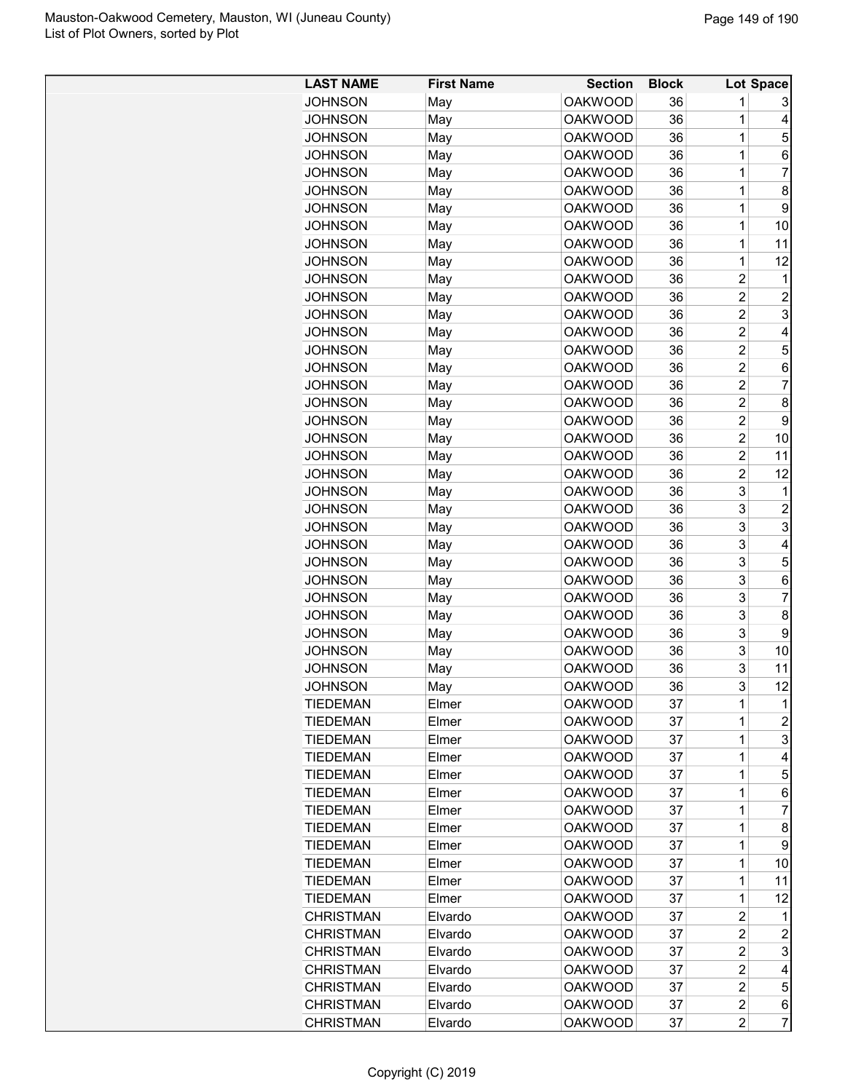| <b>LAST NAME</b> | <b>First Name</b> | <b>Section</b>                   | <b>Block</b> |                                  | Lot Space      |
|------------------|-------------------|----------------------------------|--------------|----------------------------------|----------------|
| JOHNSON          | May               | <b>OAKWOOD</b>                   | 36           | 1                                | 3              |
| <b>JOHNSON</b>   | May               | <b>OAKWOOD</b>                   | 36           | 1                                | 4              |
| <b>JOHNSON</b>   | May               | <b>OAKWOOD</b>                   | 36           | 1                                | 5              |
| <b>JOHNSON</b>   | May               | <b>OAKWOOD</b>                   | 36           | 1                                | 6              |
| <b>JOHNSON</b>   | May               | <b>OAKWOOD</b>                   | 36           | 1                                | 7              |
| <b>JOHNSON</b>   | May               | <b>OAKWOOD</b>                   | 36           | 1                                | 8              |
| <b>JOHNSON</b>   | May               | <b>OAKWOOD</b>                   | 36           | 1                                | 9              |
| <b>JOHNSON</b>   | May               | <b>OAKWOOD</b>                   | 36           | 1                                | 10             |
| <b>JOHNSON</b>   | May               | <b>OAKWOOD</b>                   | 36           | 1                                | 11             |
| <b>JOHNSON</b>   | May               | <b>OAKWOOD</b>                   | 36           | 1                                | 12             |
| JOHNSON          | May               | <b>OAKWOOD</b>                   | 36           | $\overline{2}$                   | 1              |
| JOHNSON          | May               | <b>OAKWOOD</b>                   | 36           | $\overline{2}$                   | $\overline{c}$ |
| <b>JOHNSON</b>   | May               | <b>OAKWOOD</b>                   | 36           | $\overline{c}$                   | 3              |
| <b>JOHNSON</b>   |                   | <b>OAKWOOD</b>                   | 36           | 2                                | 4              |
| <b>JOHNSON</b>   | May               | <b>OAKWOOD</b>                   | 36           | $\overline{2}$                   | 5              |
|                  | May               |                                  |              |                                  |                |
| <b>JOHNSON</b>   | May               | <b>OAKWOOD</b><br><b>OAKWOOD</b> | 36           | $\overline{c}$<br>$\overline{c}$ | 6<br>7         |
| <b>JOHNSON</b>   | May               |                                  | 36<br>36     | $\overline{c}$                   | 8              |
| <b>JOHNSON</b>   | May               | <b>OAKWOOD</b>                   |              |                                  |                |
| <b>JOHNSON</b>   | May               | <b>OAKWOOD</b>                   | 36           | $\overline{c}$                   | 9              |
| <b>JOHNSON</b>   | May               | <b>OAKWOOD</b>                   | 36           | $\overline{2}$                   | 10             |
| <b>JOHNSON</b>   | May               | <b>OAKWOOD</b>                   | 36           | 2                                | 11             |
| <b>JOHNSON</b>   | May               | <b>OAKWOOD</b>                   | 36           | $\overline{2}$                   | 12             |
| <b>JOHNSON</b>   | May               | <b>OAKWOOD</b>                   | 36           | 3                                | 1              |
| <b>JOHNSON</b>   | May               | <b>OAKWOOD</b>                   | 36           | 3                                | $\overline{2}$ |
| <b>JOHNSON</b>   | May               | <b>OAKWOOD</b>                   | 36           | 3                                | 3              |
| JOHNSON          | May               | <b>OAKWOOD</b>                   | 36           | 3                                | 4              |
| <b>JOHNSON</b>   | May               | <b>OAKWOOD</b>                   | 36           | 3                                | 5              |
| <b>JOHNSON</b>   | May               | <b>OAKWOOD</b>                   | 36           | 3                                | 6              |
| <b>JOHNSON</b>   | May               | <b>OAKWOOD</b>                   | 36           | 3                                | 7              |
| <b>JOHNSON</b>   | May               | <b>OAKWOOD</b>                   | 36           | 3                                | 8              |
| <b>JOHNSON</b>   | May               | <b>OAKWOOD</b>                   | 36           | 3                                | 9              |
| <b>JOHNSON</b>   | May               | <b>OAKWOOD</b>                   | 36           | 3                                | 10             |
| <b>JOHNSON</b>   | May               | <b>OAKWOOD</b>                   | 36           | 3                                | 11             |
| JOHNSON          | May               | <b>OAKWOOD</b>                   | 36           | 3                                | 12             |
| <b>TIEDEMAN</b>  | Elmer             | <b>OAKWOOD</b>                   | 37           | 1                                | 1              |
| <b>TIEDEMAN</b>  | Elmer             | <b>OAKWOOD</b>                   | 37           | 1                                | $\overline{c}$ |
| <b>TIEDEMAN</b>  | Elmer             | <b>OAKWOOD</b>                   | 37           | 1                                | 3              |
| <b>TIEDEMAN</b>  | Elmer             | <b>OAKWOOD</b>                   | 37           | 1                                | 4              |
| <b>TIEDEMAN</b>  | Elmer             | <b>OAKWOOD</b>                   | 37           | 1                                | 5              |
| <b>TIEDEMAN</b>  | Elmer             | <b>OAKWOOD</b>                   | 37           | 1                                | 6              |
| <b>TIEDEMAN</b>  | Elmer             | <b>OAKWOOD</b>                   | 37           | 1                                | 7              |
| <b>TIEDEMAN</b>  | Elmer             | <b>OAKWOOD</b>                   | 37           | 1                                | 8              |
| <b>TIEDEMAN</b>  | Elmer             | <b>OAKWOOD</b>                   | 37           | 1                                | 9              |
| <b>TIEDEMAN</b>  | Elmer             | <b>OAKWOOD</b>                   | 37           | 1                                | 10             |
| <b>TIEDEMAN</b>  | Elmer             | <b>OAKWOOD</b>                   | 37           | 1                                | 11             |
| <b>TIEDEMAN</b>  | Elmer             | <b>OAKWOOD</b>                   | 37           | 1                                | 12             |
| <b>CHRISTMAN</b> | Elvardo           | <b>OAKWOOD</b>                   | 37           | $\overline{2}$                   | 1              |
| <b>CHRISTMAN</b> | Elvardo           | <b>OAKWOOD</b>                   | 37           | $\overline{\mathbf{c}}$          | $\overline{c}$ |
| <b>CHRISTMAN</b> | Elvardo           | <b>OAKWOOD</b>                   | 37           | $\overline{\mathbf{c}}$          | 3              |
| <b>CHRISTMAN</b> | Elvardo           | <b>OAKWOOD</b>                   | 37           | $\overline{c}$                   | 4              |
| <b>CHRISTMAN</b> | Elvardo           | <b>OAKWOOD</b>                   | 37           | $\overline{c}$                   | 5              |
| <b>CHRISTMAN</b> | Elvardo           | <b>OAKWOOD</b>                   | 37           | $\overline{c}$                   | 6              |
| <b>CHRISTMAN</b> | Elvardo           | <b>OAKWOOD</b>                   | 37           | 2                                | 7              |
|                  |                   |                                  |              |                                  |                |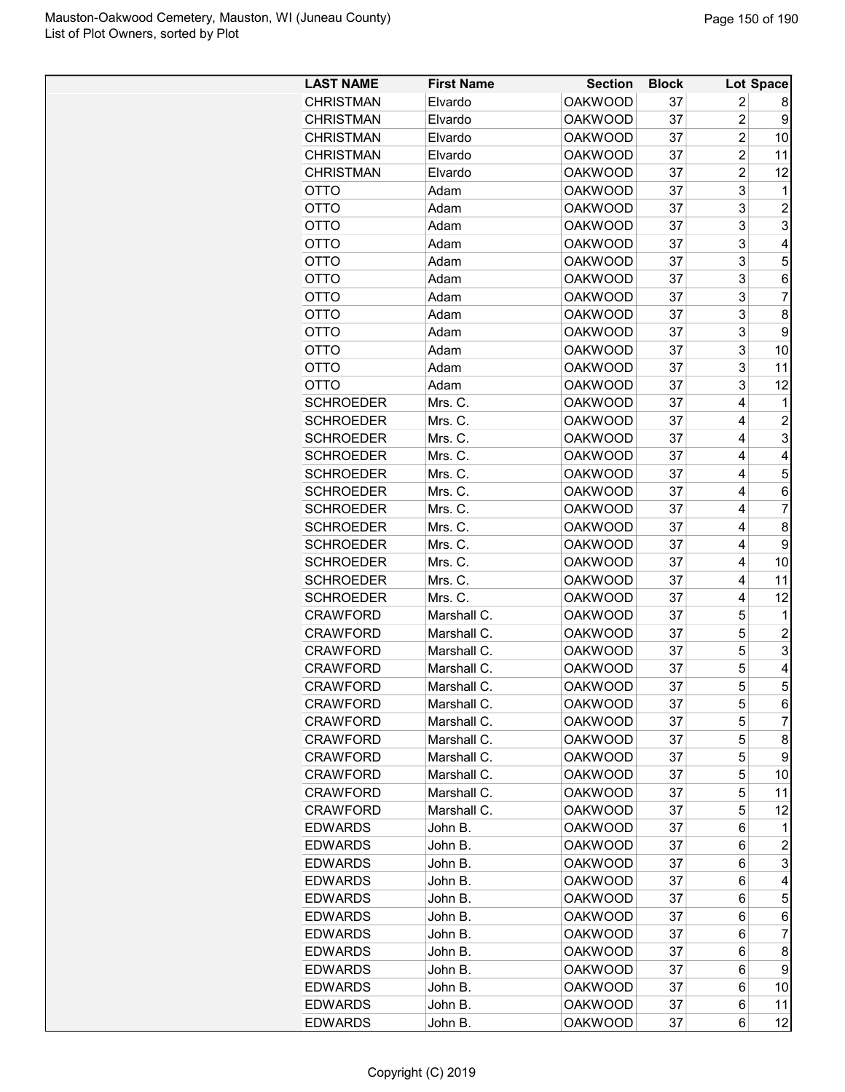| <b>LAST NAME</b>                     | <b>First Name</b>  | <b>Section</b>                   | <b>Block</b> |                | Lot Space      |
|--------------------------------------|--------------------|----------------------------------|--------------|----------------|----------------|
| <b>CHRISTMAN</b>                     | Elvardo            | <b>OAKWOOD</b>                   | 37           | 2              | 8              |
| <b>CHRISTMAN</b>                     | Elvardo            | <b>OAKWOOD</b>                   | 37           | $\overline{2}$ | 9              |
| <b>CHRISTMAN</b>                     | Elvardo            | <b>OAKWOOD</b>                   | 37           | 2              | 10             |
| <b>CHRISTMAN</b>                     | Elvardo            | <b>OAKWOOD</b>                   | 37           | $\overline{c}$ | 11             |
| <b>CHRISTMAN</b>                     | Elvardo            | <b>OAKWOOD</b>                   | 37           | $\overline{c}$ | 12             |
| <b>OTTO</b>                          | Adam               | <b>OAKWOOD</b>                   | 37           | 3              | 1              |
| <b>OTTO</b>                          | Adam               | <b>OAKWOOD</b>                   | 37           | 3              | $\overline{2}$ |
| OTTO                                 | Adam               | <b>OAKWOOD</b>                   | 37           | 3              | 3              |
| <b>OTTO</b>                          | Adam               | <b>OAKWOOD</b>                   | 37           | 3              | 4              |
| OTTO                                 | Adam               | <b>OAKWOOD</b>                   | 37           | 3              | 5              |
| OTTO                                 | Adam               | <b>OAKWOOD</b>                   | 37           | 3              | 6              |
| OTTO                                 | Adam               | <b>OAKWOOD</b>                   | 37           | 3              | 7              |
| <b>OTTO</b>                          | Adam               | <b>OAKWOOD</b>                   | 37           | 3              | 8              |
| <b>OTTO</b>                          | Adam               | <b>OAKWOOD</b>                   | 37           | 3              | 9              |
| OTTO                                 | Adam               | <b>OAKWOOD</b>                   | 37           | 3              | 10             |
| OTTO                                 | Adam               | <b>OAKWOOD</b>                   | 37           | 3              | 11             |
| OTTO                                 | Adam               | <b>OAKWOOD</b>                   | 37           | 3              | 12             |
| <b>SCHROEDER</b>                     | Mrs. C.            | <b>OAKWOOD</b>                   | 37           | 4              | 1              |
| <b>SCHROEDER</b>                     | Mrs. C.            | <b>OAKWOOD</b>                   | 37           | 4              | $\overline{c}$ |
| <b>SCHROEDER</b>                     | Mrs. C.            | <b>OAKWOOD</b>                   | 37           | 4              | 3              |
| <b>SCHROEDER</b>                     | Mrs. C.            | <b>OAKWOOD</b>                   | 37           | 4              | 4              |
| <b>SCHROEDER</b>                     | Mrs. C.            | <b>OAKWOOD</b>                   | 37           | 4              | 5              |
| <b>SCHROEDER</b>                     | Mrs. C.            | <b>OAKWOOD</b>                   | 37           | 4              | 6              |
| <b>SCHROEDER</b>                     | Mrs. C.            | <b>OAKWOOD</b>                   | 37           | 4              | $\overline{7}$ |
|                                      |                    | <b>OAKWOOD</b>                   | 37           | 4              | 8              |
| <b>SCHROEDER</b>                     | Mrs. C.            |                                  |              | 4              |                |
| <b>SCHROEDER</b>                     | Mrs. C.            | <b>OAKWOOD</b>                   | 37           |                | 9              |
| <b>SCHROEDER</b><br><b>SCHROEDER</b> | Mrs. C.<br>Mrs. C. | <b>OAKWOOD</b><br><b>OAKWOOD</b> | 37<br>37     | 4<br>4         | 10             |
|                                      |                    | <b>OAKWOOD</b>                   | 37           | 4              | 11<br>12       |
| <b>SCHROEDER</b>                     | Mrs. C.            |                                  |              |                |                |
| <b>CRAWFORD</b>                      | Marshall C.        | <b>OAKWOOD</b>                   | 37           | 5              | 1              |
| <b>CRAWFORD</b>                      | Marshall C.        | <b>OAKWOOD</b>                   | 37           | 5              | $\overline{c}$ |
| <b>CRAWFORD</b><br><b>CRAWFORD</b>   | Marshall C.        | <b>OAKWOOD</b>                   | 37           | 5              | 3              |
|                                      | Marshall C.        | <b>OAKWOOD</b>                   | 37           | 5              | 4<br>5         |
| <b>CRAWFORD</b>                      | Marshall C.        | <b>OAKWOOD</b>                   | 37           | 5              |                |
| <b>CRAWFORD</b>                      | Marshall C.        | <b>OAKWOOD</b>                   | 37           | 5              | 6              |
| <b>CRAWFORD</b>                      | Marshall C.        | <b>OAKWOOD</b>                   | 37           | 5              | 7              |
| CRAWFORD                             | Marshall C.        | <b>OAKWOOD</b>                   | 37           | 5              | 8              |
| <b>CRAWFORD</b>                      | Marshall C.        | <b>OAKWOOD</b>                   | 37           | 5              | 9              |
| CRAWFORD                             | Marshall C.        | <b>OAKWOOD</b>                   | 37           | 5              | 10             |
| CRAWFORD                             | Marshall C.        | <b>OAKWOOD</b>                   | 37           | 5              | 11             |
| CRAWFORD                             | Marshall C.        | <b>OAKWOOD</b>                   | 37           | 5              | 12             |
| <b>EDWARDS</b>                       | John B.            | <b>OAKWOOD</b>                   | 37           | 6              | 1              |
| <b>EDWARDS</b>                       | John B.            | <b>OAKWOOD</b>                   | 37           | 6              | $\overline{c}$ |
| <b>EDWARDS</b>                       | John B.            | <b>OAKWOOD</b>                   | 37           | 6              | 3              |
| <b>EDWARDS</b>                       | John B.            | <b>OAKWOOD</b>                   | 37           | 6              | 4              |
| EDWARDS                              | John B.            | <b>OAKWOOD</b>                   | 37           | 6              | 5              |
| <b>EDWARDS</b>                       | John B.            | <b>OAKWOOD</b>                   | 37           | 6              | 6              |
| <b>EDWARDS</b>                       | John B.            | <b>OAKWOOD</b>                   | 37           | 6              | 7              |
| <b>EDWARDS</b>                       | John B.            | <b>OAKWOOD</b>                   | 37           | 6              | 8              |
| EDWARDS                              | John B.            | <b>OAKWOOD</b>                   | 37           | 6              | 9              |
| EDWARDS                              | John B.            | <b>OAKWOOD</b>                   | 37           | 6              | 10             |
| <b>EDWARDS</b>                       | John B.            | <b>OAKWOOD</b>                   | 37           | 6              | 11             |
| <b>EDWARDS</b>                       | John B.            | <b>OAKWOOD</b>                   | 37           | 6              | 12             |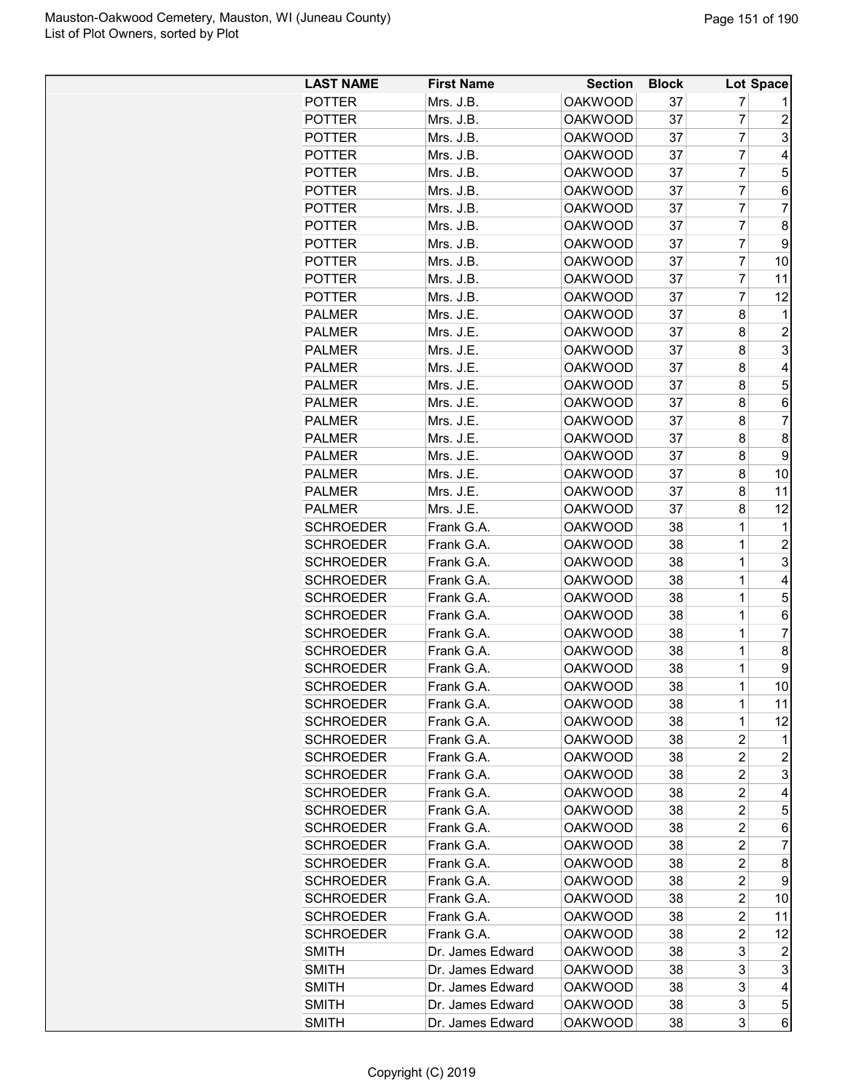| <b>LAST NAME</b> | <b>First Name</b>       | <b>Section</b>                   | <b>Block</b> |                | Lot Space                 |
|------------------|-------------------------|----------------------------------|--------------|----------------|---------------------------|
| <b>POTTER</b>    | Mrs. J.B.               | <b>OAKWOOD</b>                   | 37           | 7              |                           |
| <b>POTTER</b>    | Mrs. J.B.               | <b>OAKWOOD</b>                   | 37           | 7              | $\overline{2}$            |
| <b>POTTER</b>    | Mrs. J.B.               | <b>OAKWOOD</b>                   | 37           | 7              | 3                         |
| <b>POTTER</b>    | Mrs. J.B.               | <b>OAKWOOD</b>                   | 37           | 7              | 4                         |
| <b>POTTER</b>    | Mrs. J.B.               | <b>OAKWOOD</b>                   | 37           | 7              | 5                         |
| <b>POTTER</b>    | Mrs. J.B.               | <b>OAKWOOD</b>                   | 37           | $\overline{7}$ | 6                         |
| <b>POTTER</b>    | Mrs. J.B.               | <b>OAKWOOD</b>                   | 37           | $\overline{7}$ | $\overline{7}$            |
| <b>POTTER</b>    | Mrs. J.B.               | <b>OAKWOOD</b>                   | 37           | $\overline{7}$ | 8                         |
| <b>POTTER</b>    | Mrs. J.B.               | <b>OAKWOOD</b>                   | 37           | 7              | 9                         |
| <b>POTTER</b>    | Mrs. J.B.               | <b>OAKWOOD</b>                   | 37           | 7              | 10                        |
| <b>POTTER</b>    | Mrs. J.B.               | <b>OAKWOOD</b>                   | 37           | 7              | 11                        |
| <b>POTTER</b>    | Mrs. J.B.               | <b>OAKWOOD</b>                   | 37           | 7              | 12                        |
| <b>PALMER</b>    | Mrs. J.E.               | <b>OAKWOOD</b>                   | 37           | 8              | 1                         |
| <b>PALMER</b>    | Mrs. J.E.               | <b>OAKWOOD</b>                   | 37           | 8              | $\overline{c}$            |
| <b>PALMER</b>    | Mrs. J.E.               | <b>OAKWOOD</b>                   | 37           | 8              | $\ensuremath{\mathsf{3}}$ |
| <b>PALMER</b>    | Mrs. J.E.               | <b>OAKWOOD</b>                   | 37           | 8              | 4                         |
| <b>PALMER</b>    | Mrs. J.E.               | <b>OAKWOOD</b>                   | 37           | 8              | 5                         |
| <b>PALMER</b>    | Mrs. J.E.               | <b>OAKWOOD</b>                   | 37           | 8              | 6                         |
| <b>PALMER</b>    | Mrs. J.E.               | <b>OAKWOOD</b>                   | 37           | 8              | 7                         |
| <b>PALMER</b>    | Mrs. J.E.               | <b>OAKWOOD</b>                   | 37           | 8              | 8                         |
| <b>PALMER</b>    | Mrs. J.E.               | <b>OAKWOOD</b>                   | 37           | 8              | 9                         |
| <b>PALMER</b>    | Mrs. J.E.               | <b>OAKWOOD</b>                   | 37           | 8              | 10                        |
|                  |                         |                                  | 37           | 8              | 11                        |
| <b>PALMER</b>    | Mrs. J.E.               | <b>OAKWOOD</b><br><b>OAKWOOD</b> | 37           | 8              |                           |
| <b>PALMER</b>    | Mrs. J.E.<br>Frank G.A. |                                  | 38           | 1              | 12                        |
| <b>SCHROEDER</b> |                         | <b>OAKWOOD</b>                   |              | 1              | 1                         |
| <b>SCHROEDER</b> | Frank G.A.              | <b>OAKWOOD</b>                   | 38           |                | $\overline{c}$            |
| <b>SCHROEDER</b> | Frank G.A.              | <b>OAKWOOD</b>                   | 38           | 1              | 3                         |
| <b>SCHROEDER</b> | Frank G.A.              | <b>OAKWOOD</b>                   | 38           | $\mathbf{1}$   | 4                         |
| <b>SCHROEDER</b> | Frank G.A.              | <b>OAKWOOD</b>                   | 38           | 1              | 5                         |
| <b>SCHROEDER</b> | Frank G.A.              | <b>OAKWOOD</b>                   | 38           | 1              | 6                         |
| <b>SCHROEDER</b> | Frank G.A.              | <b>OAKWOOD</b>                   | 38           | 1              | $\overline{7}$            |
| <b>SCHROEDER</b> | Frank G.A.              | <b>OAKWOOD</b>                   | 38           | 1              | 8                         |
| <b>SCHROEDER</b> | Frank G.A.              | <b>OAKWOOD</b>                   | 38           | 1              | 9                         |
| SCHROEDER        | Frank G.A.              | <b>OAKWOOD</b>                   | 38           | 1              | 10 <sup>1</sup>           |
| <b>SCHROEDER</b> | Frank G.A.              | <b>OAKWOOD</b>                   | 38           | 1              | 11                        |
| <b>SCHROEDER</b> | Frank G.A.              | <b>OAKWOOD</b>                   | 38           | 1              | 12                        |
| <b>SCHROEDER</b> | Frank G.A.              | OAKWOOD                          | 38           | $\overline{c}$ | 1                         |
| <b>SCHROEDER</b> | Frank G.A.              | OAKWOOD                          | 38           | 2              | $\overline{c}$            |
| <b>SCHROEDER</b> | Frank G.A.              | <b>OAKWOOD</b>                   | 38           | 2              | 3                         |
| <b>SCHROEDER</b> | Frank G.A.              | <b>OAKWOOD</b>                   | 38           | 2              | 4                         |
| <b>SCHROEDER</b> | Frank G.A.              | <b>OAKWOOD</b>                   | 38           | 2              | 5                         |
| <b>SCHROEDER</b> | Frank G.A.              | <b>OAKWOOD</b>                   | 38           | $\overline{c}$ | 6                         |
| <b>SCHROEDER</b> | Frank G.A.              | <b>OAKWOOD</b>                   | 38           | $\overline{c}$ | $\overline{7}$            |
| <b>SCHROEDER</b> | Frank G.A.              | <b>OAKWOOD</b>                   | 38           | $\overline{c}$ | 8                         |
| <b>SCHROEDER</b> | Frank G.A.              | <b>OAKWOOD</b>                   | 38           | 2              | 9                         |
| <b>SCHROEDER</b> | Frank G.A.              | OAKWOOD                          | 38           | $\overline{c}$ | 10                        |
| <b>SCHROEDER</b> | Frank G.A.              | <b>OAKWOOD</b>                   | 38           | 2              | 11                        |
| <b>SCHROEDER</b> | Frank G.A.              | <b>OAKWOOD</b>                   | 38           | 2              | 12                        |
| <b>SMITH</b>     | Dr. James Edward        | <b>OAKWOOD</b>                   | 38           | 3              | 2                         |
| <b>SMITH</b>     | Dr. James Edward        | <b>OAKWOOD</b>                   | 38           | 3              | 3                         |
| <b>SMITH</b>     | Dr. James Edward        | <b>OAKWOOD</b>                   | 38           | 3              | 4                         |
| <b>SMITH</b>     | Dr. James Edward        | <b>OAKWOOD</b>                   | 38           | 3              | 5                         |
| <b>SMITH</b>     | Dr. James Edward        | <b>OAKWOOD</b>                   | 38           | 3              | 6                         |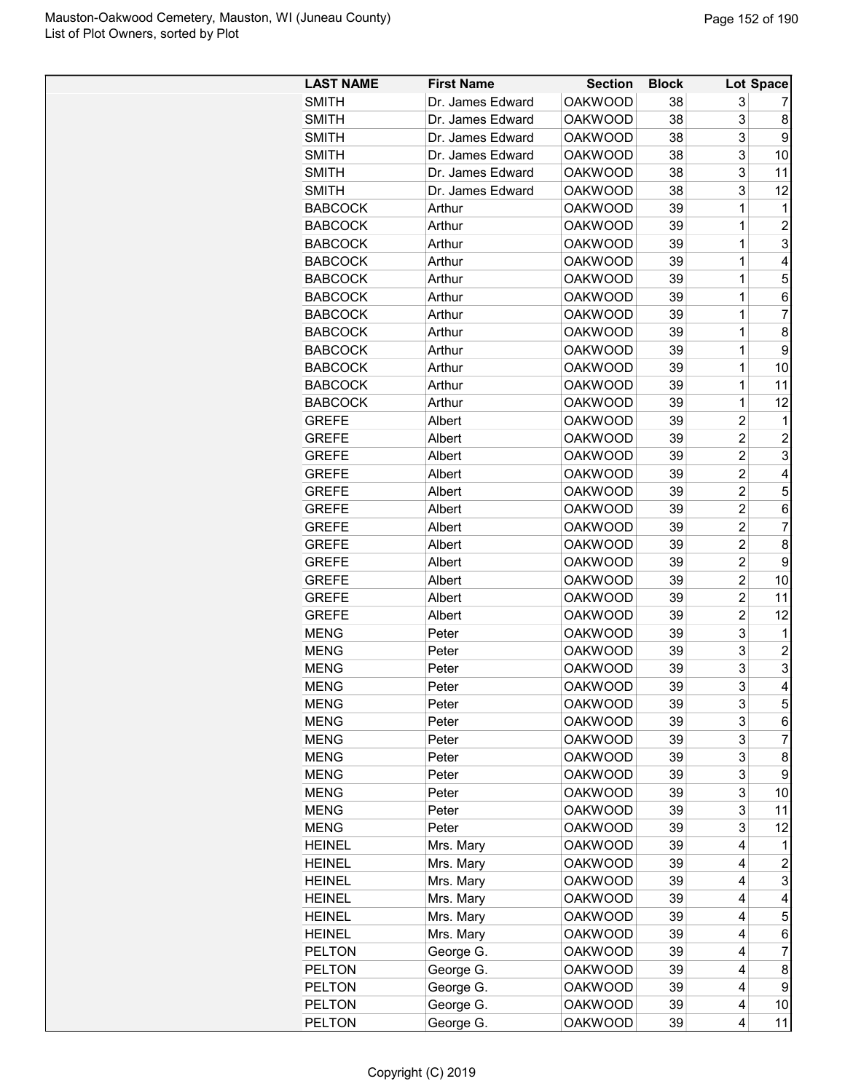| <b>LAST NAME</b> | <b>First Name</b> | <b>Section</b> | <b>Block</b> |                | <b>Lot Space</b> |
|------------------|-------------------|----------------|--------------|----------------|------------------|
| <b>SMITH</b>     | Dr. James Edward  | <b>OAKWOOD</b> | 38           | 3              |                  |
| <b>SMITH</b>     | Dr. James Edward  | <b>OAKWOOD</b> | 38           | 3              | 8                |
| <b>SMITH</b>     | Dr. James Edward  | <b>OAKWOOD</b> | 38           | 3              | 9                |
| <b>SMITH</b>     | Dr. James Edward  | <b>OAKWOOD</b> | 38           | 3              | 10               |
| <b>SMITH</b>     | Dr. James Edward  | <b>OAKWOOD</b> | 38           | 3              | 11               |
| <b>SMITH</b>     | Dr. James Edward  | <b>OAKWOOD</b> | 38           | 3              | 12               |
| <b>BABCOCK</b>   | Arthur            | <b>OAKWOOD</b> | 39           | 1              | 1                |
| <b>BABCOCK</b>   | Arthur            | <b>OAKWOOD</b> | 39           | 1              | $\overline{c}$   |
| <b>BABCOCK</b>   | Arthur            | <b>OAKWOOD</b> | 39           | 1              | 3                |
| <b>BABCOCK</b>   | Arthur            | <b>OAKWOOD</b> | 39           | 1              | 4                |
| <b>BABCOCK</b>   | Arthur            | <b>OAKWOOD</b> | 39           | 1              | 5                |
| <b>BABCOCK</b>   | Arthur            | <b>OAKWOOD</b> | 39           | 1              | 6                |
| <b>BABCOCK</b>   | Arthur            | <b>OAKWOOD</b> | 39           | 1              | 7                |
| <b>BABCOCK</b>   | Arthur            | <b>OAKWOOD</b> | 39           | 1              | 8                |
| <b>BABCOCK</b>   | Arthur            | <b>OAKWOOD</b> | 39           | 1              | 9                |
| <b>BABCOCK</b>   | Arthur            | <b>OAKWOOD</b> | 39           | $\mathbf 1$    | 10               |
| <b>BABCOCK</b>   | Arthur            | <b>OAKWOOD</b> | 39           | $\mathbf 1$    | 11               |
| <b>BABCOCK</b>   | Arthur            | <b>OAKWOOD</b> | 39           | $\mathbf 1$    | 12               |
| <b>GREFE</b>     | Albert            | <b>OAKWOOD</b> | 39           | $\overline{c}$ | 1                |
| <b>GREFE</b>     | Albert            | <b>OAKWOOD</b> | 39           | $\overline{c}$ | $\overline{c}$   |
| <b>GREFE</b>     | Albert            | <b>OAKWOOD</b> | 39           | $\overline{c}$ | 3                |
| <b>GREFE</b>     | Albert            | <b>OAKWOOD</b> | 39           | $\overline{c}$ | 4                |
| <b>GREFE</b>     | Albert            | <b>OAKWOOD</b> | 39           | $\overline{2}$ | 5                |
| <b>GREFE</b>     | Albert            | <b>OAKWOOD</b> | 39           | $\overline{2}$ | 6                |
| <b>GREFE</b>     | Albert            | <b>OAKWOOD</b> | 39           | $\overline{2}$ | 7                |
| <b>GREFE</b>     | Albert            | <b>OAKWOOD</b> | 39           | $\overline{c}$ | 8                |
| <b>GREFE</b>     | Albert            | <b>OAKWOOD</b> | 39           | $\overline{c}$ | 9                |
| <b>GREFE</b>     | Albert            | <b>OAKWOOD</b> | 39           | $\overline{c}$ | 10               |
| <b>GREFE</b>     | Albert            | <b>OAKWOOD</b> | 39           | $\overline{c}$ | 11               |
| <b>GREFE</b>     | Albert            | <b>OAKWOOD</b> | 39           | $\overline{c}$ | 12               |
| <b>MENG</b>      | Peter             | <b>OAKWOOD</b> | 39           | 3              | 1                |
| <b>MENG</b>      | Peter             | <b>OAKWOOD</b> | 39           | 3              | 2                |
| <b>MENG</b>      | Peter             | <b>OAKWOOD</b> | 39           | 3              | 3                |
| <b>MENG</b>      | Peter             | <b>OAKWOOD</b> | 39           | 3              | 4                |
| <b>MENG</b>      | Peter             | <b>OAKWOOD</b> | 39           | 3              | 5                |
| <b>MENG</b>      | Peter             | <b>OAKWOOD</b> | 39           | 3              | 6                |
| <b>MENG</b>      | Peter             | <b>OAKWOOD</b> | 39           | 3              | 7                |
| <b>MENG</b>      | Peter             | <b>OAKWOOD</b> | 39           | 3              | 8                |
| <b>MENG</b>      | Peter             | <b>OAKWOOD</b> | 39           | 3              | 9                |
| <b>MENG</b>      | Peter             | <b>OAKWOOD</b> | 39           | 3              | 10               |
| <b>MENG</b>      | Peter             | <b>OAKWOOD</b> | 39           | 3              | 11               |
| <b>MENG</b>      | Peter             | <b>OAKWOOD</b> | 39           | 3              | 12               |
| <b>HEINEL</b>    | Mrs. Mary         | <b>OAKWOOD</b> | 39           | 4              | 1                |
| <b>HEINEL</b>    | Mrs. Mary         | <b>OAKWOOD</b> | 39           | 4              | $\overline{c}$   |
| <b>HEINEL</b>    | Mrs. Mary         | <b>OAKWOOD</b> | 39           | 4              | 3                |
| <b>HEINEL</b>    | Mrs. Mary         | <b>OAKWOOD</b> | 39           | 4              | 4                |
| <b>HEINEL</b>    | Mrs. Mary         | <b>OAKWOOD</b> | 39           | 4              | 5                |
| <b>HEINEL</b>    | Mrs. Mary         | <b>OAKWOOD</b> | 39           | 4              | 6                |
| <b>PELTON</b>    | George G.         | <b>OAKWOOD</b> | 39           | 4              | 7                |
| <b>PELTON</b>    | George G.         | <b>OAKWOOD</b> | 39           | 4              | 8                |
| <b>PELTON</b>    | George G.         | <b>OAKWOOD</b> | 39           | 4              | 9                |
| <b>PELTON</b>    | George G.         | <b>OAKWOOD</b> | 39           | 4              | 10               |
| <b>PELTON</b>    | George G.         | <b>OAKWOOD</b> | 39           | 4              | 11               |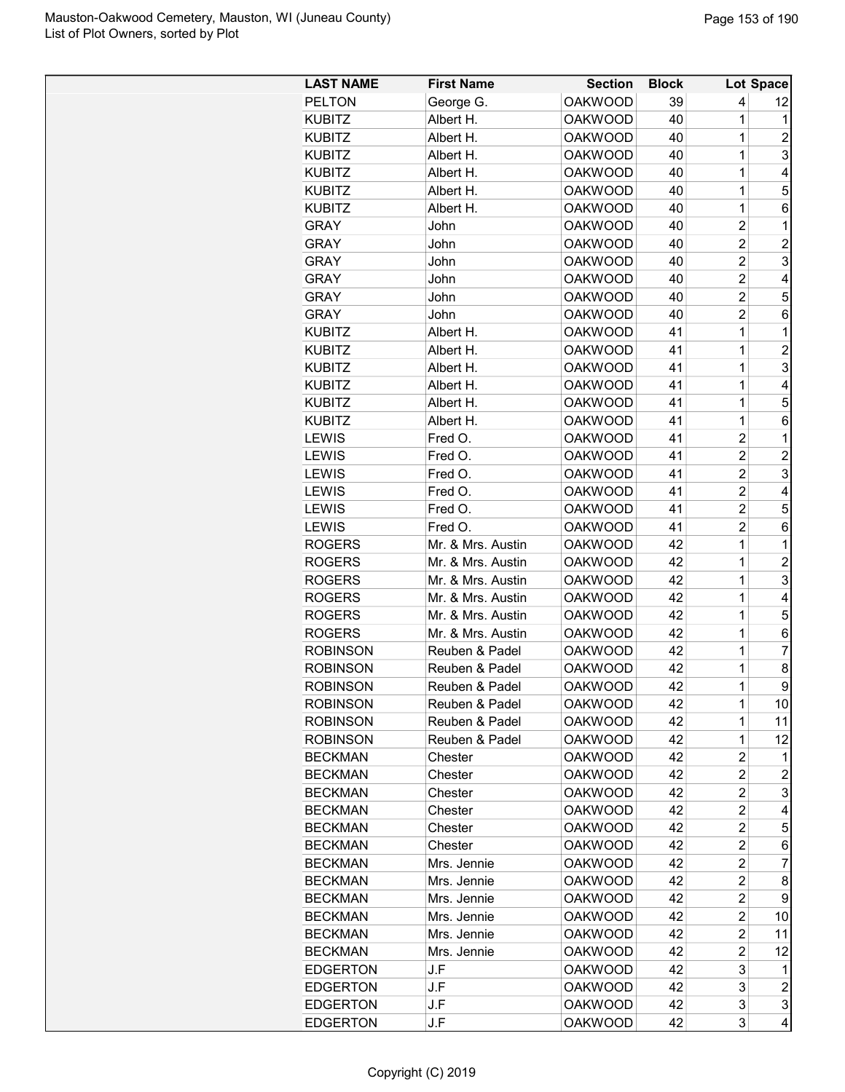| <b>LAST NAME</b> | <b>First Name</b> | <b>Section</b> | <b>Block</b> |                         | Lot Space               |
|------------------|-------------------|----------------|--------------|-------------------------|-------------------------|
| <b>PELTON</b>    | George G.         | <b>OAKWOOD</b> | 39           | 4                       | 12                      |
| <b>KUBITZ</b>    | Albert H.         | <b>OAKWOOD</b> | 40           | 1                       | 1                       |
| <b>KUBITZ</b>    | Albert H.         | <b>OAKWOOD</b> | 40           | 1                       | 2                       |
| <b>KUBITZ</b>    | Albert H.         | <b>OAKWOOD</b> | 40           | 1                       | 3                       |
| <b>KUBITZ</b>    | Albert H.         | <b>OAKWOOD</b> | 40           | 1                       | 4                       |
| <b>KUBITZ</b>    | Albert H.         | <b>OAKWOOD</b> | 40           | 1                       | 5                       |
| <b>KUBITZ</b>    | Albert H.         | <b>OAKWOOD</b> | 40           | 1                       | 6                       |
| <b>GRAY</b>      | John              | <b>OAKWOOD</b> | 40           | $\overline{c}$          | $\mathbf 1$             |
| <b>GRAY</b>      | John              | <b>OAKWOOD</b> | 40           | $\overline{2}$          | $\overline{c}$          |
| <b>GRAY</b>      | John              | <b>OAKWOOD</b> | 40           | $\overline{c}$          | 3                       |
| <b>GRAY</b>      | John              | <b>OAKWOOD</b> | 40           | $\overline{c}$          | 4                       |
| <b>GRAY</b>      | John              | <b>OAKWOOD</b> | 40           | $\overline{c}$          | 5                       |
| <b>GRAY</b>      | John              | <b>OAKWOOD</b> | 40           | 2                       | 6                       |
| <b>KUBITZ</b>    | Albert H.         | <b>OAKWOOD</b> | 41           | 1                       | $\mathbf{1}$            |
| <b>KUBITZ</b>    | Albert H.         | <b>OAKWOOD</b> | 41           | 1                       | $\overline{c}$          |
| <b>KUBITZ</b>    | Albert H.         | <b>OAKWOOD</b> | 41           | 1                       | 3                       |
| <b>KUBITZ</b>    | Albert H.         | <b>OAKWOOD</b> | 41           | 1                       | 4                       |
| <b>KUBITZ</b>    | Albert H.         | <b>OAKWOOD</b> | 41           | 1                       | 5                       |
| <b>KUBITZ</b>    | Albert H.         | <b>OAKWOOD</b> | 41           | 1                       | 6                       |
| <b>LEWIS</b>     | Fred O.           | <b>OAKWOOD</b> | 41           | 2                       | 1                       |
| <b>LEWIS</b>     | Fred O.           | <b>OAKWOOD</b> | 41           | $\overline{c}$          | $\overline{c}$          |
| <b>LEWIS</b>     | Fred O.           | <b>OAKWOOD</b> | 41           | $\overline{c}$          | 3                       |
| LEWIS            | Fred O.           | <b>OAKWOOD</b> | 41           | $\overline{2}$          | 4                       |
| <b>LEWIS</b>     | Fred O.           | <b>OAKWOOD</b> | 41           | $\overline{c}$          | 5                       |
| <b>LEWIS</b>     | Fred O.           | <b>OAKWOOD</b> | 41           | $\overline{2}$          | 6                       |
| <b>ROGERS</b>    | Mr. & Mrs. Austin | <b>OAKWOOD</b> | 42           | 1                       | 1                       |
| <b>ROGERS</b>    | Mr. & Mrs. Austin | <b>OAKWOOD</b> | 42           | 1                       | 2                       |
| <b>ROGERS</b>    | Mr. & Mrs. Austin | <b>OAKWOOD</b> | 42           | 1                       | 3                       |
| <b>ROGERS</b>    | Mr. & Mrs. Austin | <b>OAKWOOD</b> | 42           | 1                       | 4                       |
| <b>ROGERS</b>    | Mr. & Mrs. Austin | <b>OAKWOOD</b> | 42           | 1                       | 5                       |
| <b>ROGERS</b>    | Mr. & Mrs. Austin | <b>OAKWOOD</b> | 42           | 1                       | 6                       |
| <b>ROBINSON</b>  | Reuben & Padel    | <b>OAKWOOD</b> | 42           | 1                       | 7                       |
| <b>ROBINSON</b>  | Reuben & Padel    | <b>OAKWOOD</b> | 42           | 1                       | 8                       |
| <b>ROBINSON</b>  | Reuben & Padel    | <b>OAKWOOD</b> | 42           | 1                       | $\mathsf g$             |
| <b>ROBINSON</b>  | Reuben & Padel    | <b>OAKWOOD</b> | 42           | 1                       | 10                      |
| <b>ROBINSON</b>  | Reuben & Padel    | <b>OAKWOOD</b> | 42           | 1                       | 11                      |
| <b>ROBINSON</b>  | Reuben & Padel    | <b>OAKWOOD</b> | 42           | 1                       | 12                      |
| <b>BECKMAN</b>   | Chester           | <b>OAKWOOD</b> | 42           | $\overline{c}$          | 1                       |
| <b>BECKMAN</b>   | Chester           | <b>OAKWOOD</b> | 42           | $\overline{c}$          | 2                       |
| <b>BECKMAN</b>   | Chester           | <b>OAKWOOD</b> | 42           | $\overline{\mathbf{c}}$ | 3                       |
| <b>BECKMAN</b>   | Chester           | <b>OAKWOOD</b> | 42           | 2                       | 4                       |
| <b>BECKMAN</b>   | Chester           | <b>OAKWOOD</b> | 42           | $\overline{c}$          | 5                       |
| <b>BECKMAN</b>   | Chester           | <b>OAKWOOD</b> | 42           | 2                       | 6                       |
| <b>BECKMAN</b>   | Mrs. Jennie       | <b>OAKWOOD</b> | 42           | $\overline{c}$          | 7                       |
| <b>BECKMAN</b>   | Mrs. Jennie       | <b>OAKWOOD</b> | 42           | $\overline{c}$          | 8                       |
| <b>BECKMAN</b>   | Mrs. Jennie       | <b>OAKWOOD</b> | 42           | $\overline{c}$          | 9                       |
| <b>BECKMAN</b>   | Mrs. Jennie       | <b>OAKWOOD</b> | 42           | $\overline{c}$          | 10                      |
| <b>BECKMAN</b>   | Mrs. Jennie       | <b>OAKWOOD</b> | 42           | 2                       | 11                      |
| <b>BECKMAN</b>   | Mrs. Jennie       | <b>OAKWOOD</b> | 42           | 2                       | 12                      |
| <b>EDGERTON</b>  | J.F               | <b>OAKWOOD</b> | 42           | 3                       | 1                       |
| <b>EDGERTON</b>  | J.F               | <b>OAKWOOD</b> | 42           | 3                       | $\overline{\mathbf{c}}$ |
| <b>EDGERTON</b>  | J.F               | <b>OAKWOOD</b> | 42           | 3                       | 3                       |
| <b>EDGERTON</b>  | J.F               | <b>OAKWOOD</b> | 42           | 3                       | 4                       |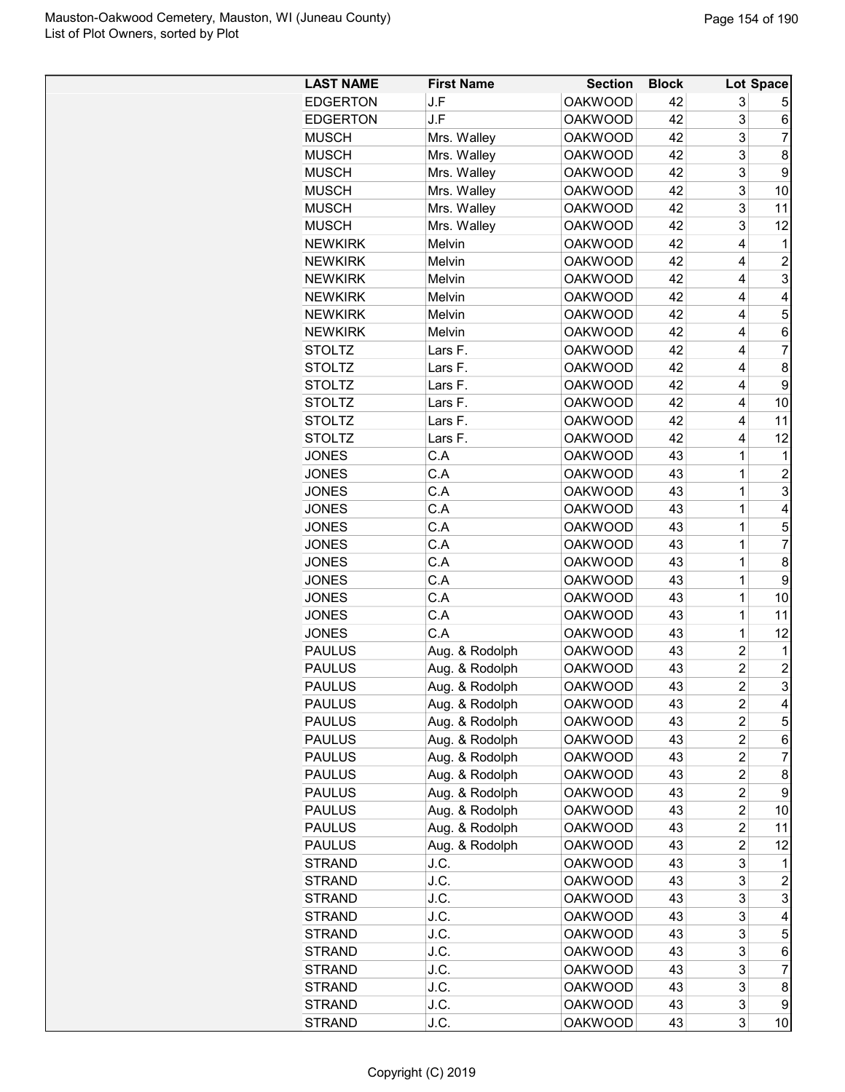| <b>LAST NAME</b> | <b>First Name</b> | <b>Section</b> | <b>Block</b> |                         | Lot Space               |
|------------------|-------------------|----------------|--------------|-------------------------|-------------------------|
| <b>EDGERTON</b>  | J.F               | <b>OAKWOOD</b> | 42           | 3                       | 5                       |
| <b>EDGERTON</b>  | J.F               | <b>OAKWOOD</b> | 42           | 3                       | 6                       |
| <b>MUSCH</b>     | Mrs. Walley       | <b>OAKWOOD</b> | 42           | 3                       | 7                       |
| <b>MUSCH</b>     | Mrs. Walley       | <b>OAKWOOD</b> | 42           | 3                       | 8                       |
| <b>MUSCH</b>     | Mrs. Walley       | <b>OAKWOOD</b> | 42           | 3                       | 9                       |
| <b>MUSCH</b>     | Mrs. Walley       | <b>OAKWOOD</b> | 42           | 3                       | 10                      |
| <b>MUSCH</b>     | Mrs. Walley       | <b>OAKWOOD</b> | 42           | 3                       | 11                      |
| <b>MUSCH</b>     | Mrs. Walley       | <b>OAKWOOD</b> | 42           | 3                       | 12                      |
| <b>NEWKIRK</b>   | Melvin            | <b>OAKWOOD</b> | 42           | 4                       | 1                       |
| <b>NEWKIRK</b>   | Melvin            | <b>OAKWOOD</b> | 42           | 4                       | 2                       |
| <b>NEWKIRK</b>   | Melvin            | <b>OAKWOOD</b> | 42           | 4                       | 3                       |
| <b>NEWKIRK</b>   | Melvin            | <b>OAKWOOD</b> | 42           | 4                       | 4                       |
| <b>NEWKIRK</b>   | Melvin            | <b>OAKWOOD</b> | 42           | 4                       | 5                       |
| <b>NEWKIRK</b>   | Melvin            | <b>OAKWOOD</b> | 42           | 4                       | 6                       |
| <b>STOLTZ</b>    | Lars F.           | <b>OAKWOOD</b> | 42           | 4                       | 7                       |
| <b>STOLTZ</b>    | Lars F.           | <b>OAKWOOD</b> | 42           | 4                       | 8                       |
| <b>STOLTZ</b>    | Lars F.           | <b>OAKWOOD</b> | 42           | 4                       | 9                       |
| <b>STOLTZ</b>    | Lars F.           | <b>OAKWOOD</b> | 42           | 4                       | 10                      |
| <b>STOLTZ</b>    | Lars F.           | <b>OAKWOOD</b> | 42           | 4                       | 11                      |
| <b>STOLTZ</b>    | Lars F.           | <b>OAKWOOD</b> | 42           | 4                       | 12                      |
| <b>JONES</b>     | C.A               | <b>OAKWOOD</b> | 43           | 1                       | 1                       |
|                  | C.A               |                |              |                         |                         |
| <b>JONES</b>     |                   | <b>OAKWOOD</b> | 43           | 1                       | 2                       |
| <b>JONES</b>     | C.A               | <b>OAKWOOD</b> | 43           | 1                       | 3                       |
| <b>JONES</b>     | C.A               | <b>OAKWOOD</b> | 43           | 1                       | 4                       |
| <b>JONES</b>     | C.A               | <b>OAKWOOD</b> | 43           | 1                       | 5                       |
| <b>JONES</b>     | C.A               | <b>OAKWOOD</b> | 43           | 1                       | 7                       |
| <b>JONES</b>     | C.A               | <b>OAKWOOD</b> | 43           | 1                       | 8                       |
| <b>JONES</b>     | C.A               | <b>OAKWOOD</b> | 43           | 1                       | 9                       |
| <b>JONES</b>     | C.A               | <b>OAKWOOD</b> | 43           | $\mathbf 1$             | 10                      |
| <b>JONES</b>     | C.A               | <b>OAKWOOD</b> | 43           | 1                       | 11                      |
| <b>JONES</b>     | C.A               | <b>OAKWOOD</b> | 43           | 1                       | 12                      |
| <b>PAULUS</b>    | Aug. & Rodolph    | <b>OAKWOOD</b> | 43           | 2                       | 1                       |
| <b>PAULUS</b>    | Aug. & Rodolph    | <b>OAKWOOD</b> | 43           | $\overline{2}$          | $\overline{\mathbf{c}}$ |
| <b>PAULUS</b>    | Aug. & Rodolph    | <b>OAKWOOD</b> | 43           | $\overline{\mathbf{c}}$ | 3                       |
| <b>PAULUS</b>    | Aug. & Rodolph    | <b>OAKWOOD</b> | 43           | 2                       | 4                       |
| <b>PAULUS</b>    | Aug. & Rodolph    | <b>OAKWOOD</b> | 43           | $\overline{c}$          | 5                       |
| <b>PAULUS</b>    | Aug. & Rodolph    | <b>OAKWOOD</b> | 43           | $\overline{2}$          | 6                       |
| <b>PAULUS</b>    | Aug. & Rodolph    | <b>OAKWOOD</b> | 43           | 2                       | 7                       |
| <b>PAULUS</b>    | Aug. & Rodolph    | <b>OAKWOOD</b> | 43           | 2                       | 8                       |
| <b>PAULUS</b>    | Aug. & Rodolph    | <b>OAKWOOD</b> | 43           | 2                       | 9                       |
| <b>PAULUS</b>    | Aug. & Rodolph    | <b>OAKWOOD</b> | 43           | $\overline{c}$          | 10                      |
| <b>PAULUS</b>    | Aug. & Rodolph    | <b>OAKWOOD</b> | 43           | $\overline{c}$          | 11                      |
| <b>PAULUS</b>    | Aug. & Rodolph    | <b>OAKWOOD</b> | 43           | $\overline{c}$          | 12                      |
| <b>STRAND</b>    | J.C.              | <b>OAKWOOD</b> | 43           | 3                       | 1                       |
| <b>STRAND</b>    | J.C.              | <b>OAKWOOD</b> | 43           | 3                       | 2                       |
| STRAND           | J.C.              | <b>OAKWOOD</b> | 43           | 3                       | 3                       |
| <b>STRAND</b>    | J.C.              | <b>OAKWOOD</b> | 43           | 3                       | 4                       |
| <b>STRAND</b>    | J.C.              | <b>OAKWOOD</b> | 43           | 3                       | 5                       |
| <b>STRAND</b>    | J.C.              | <b>OAKWOOD</b> | 43           | 3                       | 6                       |
|                  | J.C.              | <b>OAKWOOD</b> | 43           | 3                       | 7                       |
| <b>STRAND</b>    |                   |                |              |                         |                         |
| <b>STRAND</b>    | J.C.              | <b>OAKWOOD</b> | 43           | 3                       | 8                       |
| <b>STRAND</b>    | J.C.              | <b>OAKWOOD</b> | 43           | 3                       | 9                       |
| <b>STRAND</b>    | J.C.              | <b>OAKWOOD</b> | 43           | 3                       | 10                      |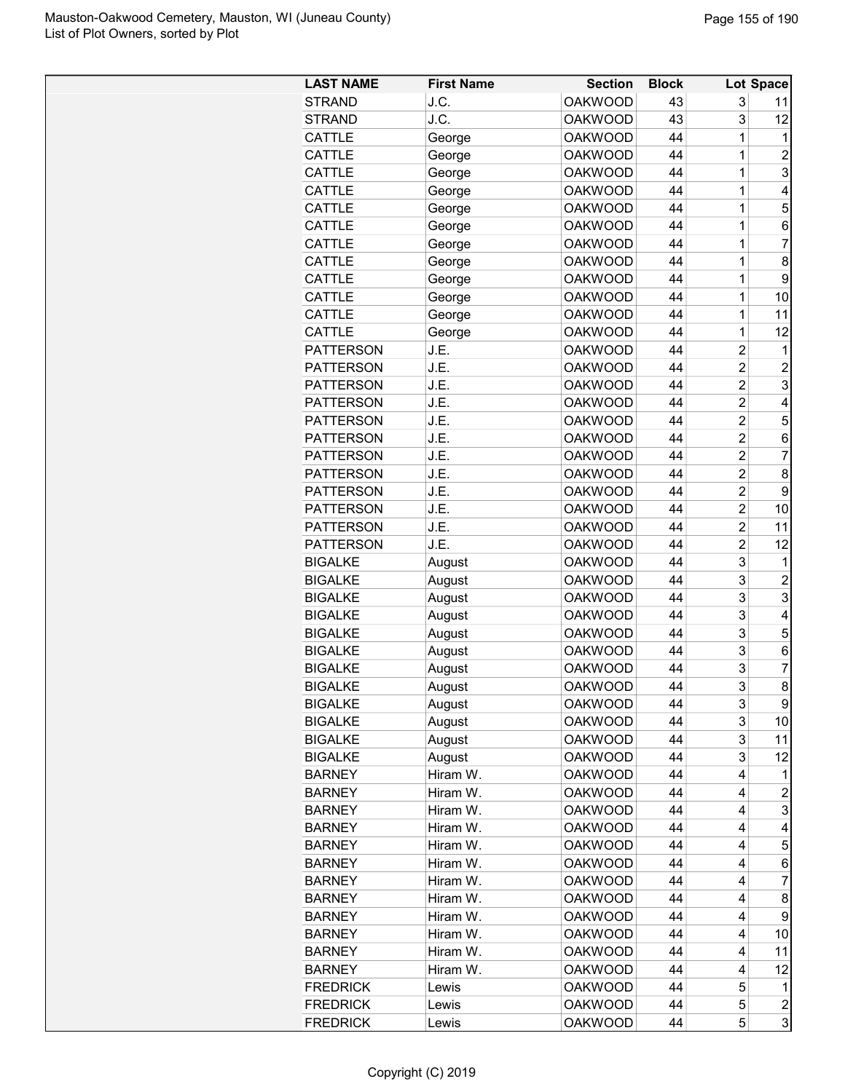| <b>LAST NAME</b> | <b>First Name</b> | <b>Section</b> | <b>Block</b> |                | Lot Space               |
|------------------|-------------------|----------------|--------------|----------------|-------------------------|
| <b>STRAND</b>    | J.C.              | <b>OAKWOOD</b> | 43           | 3              | 11                      |
| <b>STRAND</b>    | J.C.              | <b>OAKWOOD</b> | 43           | 3              | 12                      |
| <b>CATTLE</b>    | George            | <b>OAKWOOD</b> | 44           | 1              | 1                       |
| CATTLE           | George            | <b>OAKWOOD</b> | 44           | 1              | $\overline{2}$          |
| CATTLE           | George            | <b>OAKWOOD</b> | 44           | 1              | $\overline{3}$          |
| CATTLE           | George            | <b>OAKWOOD</b> | 44           | 1              | 4                       |
| CATTLE           | George            | <b>OAKWOOD</b> | 44           | 1              | 5                       |
| CATTLE           | George            | <b>OAKWOOD</b> | 44           | 1              | 6                       |
| CATTLE           | George            | <b>OAKWOOD</b> | 44           | 1              | $\overline{7}$          |
| <b>CATTLE</b>    | George            | <b>OAKWOOD</b> | 44           | 1              | 8                       |
| CATTLE           | George            | <b>OAKWOOD</b> | 44           | 1              | 9                       |
| CATTLE           | George            | <b>OAKWOOD</b> | 44           | 1              | 10                      |
| CATTLE           | George            | <b>OAKWOOD</b> | 44           | 1              | 11                      |
| CATTLE           | George            | <b>OAKWOOD</b> | 44           | 1              | 12                      |
| <b>PATTERSON</b> | J.E.              | <b>OAKWOOD</b> | 44           | $\overline{2}$ | 1                       |
| <b>PATTERSON</b> | J.E.              | <b>OAKWOOD</b> | 44           | $\overline{2}$ | $\overline{c}$          |
| <b>PATTERSON</b> | J.E.              | <b>OAKWOOD</b> | 44           | $\overline{2}$ | 3                       |
| <b>PATTERSON</b> | J.E.              | <b>OAKWOOD</b> | 44           | $\overline{2}$ | 4                       |
| <b>PATTERSON</b> | J.E.              | <b>OAKWOOD</b> | 44           | $\overline{2}$ | 5                       |
| <b>PATTERSON</b> | J.E.              | <b>OAKWOOD</b> | 44           | $\overline{2}$ | 6                       |
| <b>PATTERSON</b> | J.E.              | <b>OAKWOOD</b> | 44           | $\overline{2}$ | $\overline{7}$          |
| <b>PATTERSON</b> | J.E.              | <b>OAKWOOD</b> | 44           | $\overline{2}$ | 8                       |
| <b>PATTERSON</b> | J.E.              | <b>OAKWOOD</b> | 44           | $\overline{2}$ | 9                       |
| <b>PATTERSON</b> | J.E.              | <b>OAKWOOD</b> | 44           | $\overline{2}$ | 10                      |
| <b>PATTERSON</b> | J.E.              | <b>OAKWOOD</b> | 44           | $\overline{2}$ | 11                      |
| <b>PATTERSON</b> | J.E.              | <b>OAKWOOD</b> | 44           | 2              | 12                      |
| <b>BIGALKE</b>   | August            | <b>OAKWOOD</b> | 44           | 3              | $\mathbf{1}$            |
| <b>BIGALKE</b>   | August            | <b>OAKWOOD</b> | 44           | 3              | $\overline{c}$          |
| <b>BIGALKE</b>   | August            | <b>OAKWOOD</b> | 44           | 3              | 3                       |
| <b>BIGALKE</b>   |                   | <b>OAKWOOD</b> | 44           | 3              | $\overline{\mathbf{4}}$ |
| <b>BIGALKE</b>   | August            | <b>OAKWOOD</b> | 44           | 3              | 5                       |
|                  | August            |                | 44           | 3              |                         |
| <b>BIGALKE</b>   | August            | <b>OAKWOOD</b> | 44           | 3              | 6<br>$\overline{7}$     |
| <b>BIGALKE</b>   | August            | <b>OAKWOOD</b> |              |                |                         |
| <b>BIGALKE</b>   | August            | <b>OAKWOOD</b> | 44           | 3              | 8 <sup>1</sup>          |
| <b>BIGALKE</b>   | August            | <b>OAKWOOD</b> | 44           | 3              | $\boldsymbol{9}$        |
| <b>BIGALKE</b>   | August            | <b>OAKWOOD</b> | 44           | 3              | 10                      |
| <b>BIGALKE</b>   | August            | <b>OAKWOOD</b> | 44           | 3              | 11                      |
| <b>BIGALKE</b>   | August            | <b>OAKWOOD</b> | 44           | 3              | $12 \,$                 |
| <b>BARNEY</b>    | Hiram W.          | <b>OAKWOOD</b> | 44           | 4              | 11                      |
| <b>BARNEY</b>    | Hiram W.          | <b>OAKWOOD</b> | 44           | 4              | $\overline{a}$          |
| <b>BARNEY</b>    | Hiram W.          | <b>OAKWOOD</b> | 44           | 4              | $\overline{3}$          |
| <b>BARNEY</b>    | Hiram W.          | <b>OAKWOOD</b> | 44           | 4              | $\overline{\mathbf{r}}$ |
| <b>BARNEY</b>    | Hiram W.          | <b>OAKWOOD</b> | 44           | 4              | 5                       |
| <b>BARNEY</b>    | Hiram W.          | <b>OAKWOOD</b> | 44           | 4              | 6                       |
| <b>BARNEY</b>    | Hiram W.          | <b>OAKWOOD</b> | 44           | 4              | $\overline{7}$          |
| <b>BARNEY</b>    | Hiram W.          | <b>OAKWOOD</b> | 44           | 4              | 8                       |
| <b>BARNEY</b>    | Hiram W.          | <b>OAKWOOD</b> | 44           | 4              | $\boldsymbol{9}$        |
| <b>BARNEY</b>    | Hiram W.          | <b>OAKWOOD</b> | 44           | 4              | 10                      |
| <b>BARNEY</b>    | Hiram W.          | <b>OAKWOOD</b> | 44           | 4              | 11                      |
| <b>BARNEY</b>    | Hiram W.          | <b>OAKWOOD</b> | 44           | 4              | 12                      |
| <b>FREDRICK</b>  | Lewis             | <b>OAKWOOD</b> | 44           | 5              | $\mathbf{1}$            |
| <b>FREDRICK</b>  | Lewis             | <b>OAKWOOD</b> | 44           | 5              | $\overline{c}$          |
| <b>FREDRICK</b>  | Lewis             | <b>OAKWOOD</b> | 44           | 5              | $\overline{3}$          |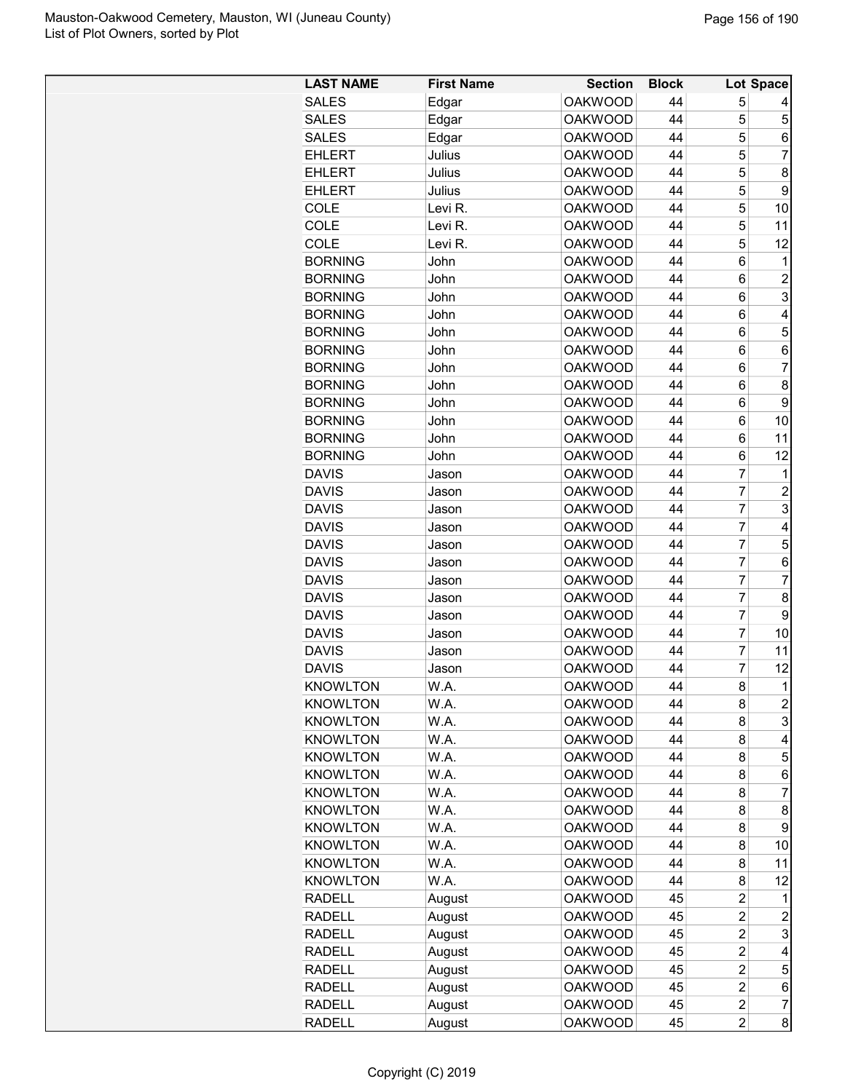| <b>LAST NAME</b> | <b>First Name</b> | <b>Section</b> | <b>Block</b> |                  | Lot Space               |
|------------------|-------------------|----------------|--------------|------------------|-------------------------|
| <b>SALES</b>     | Edgar             | <b>OAKWOOD</b> | 44           | 5                |                         |
| <b>SALES</b>     | Edgar             | <b>OAKWOOD</b> | 44           | 5                | 5                       |
| <b>SALES</b>     | Edgar             | <b>OAKWOOD</b> | 44           | 5                | $\,6$                   |
| <b>EHLERT</b>    | Julius            | <b>OAKWOOD</b> | 44           | 5                | $\overline{7}$          |
| <b>EHLERT</b>    | Julius            | <b>OAKWOOD</b> | 44           | 5                | 8                       |
| <b>EHLERT</b>    | Julius            | <b>OAKWOOD</b> | 44           | 5                | $\boldsymbol{9}$        |
| COLE             | Levi R.           | <b>OAKWOOD</b> | 44           | 5                | 10                      |
| COLE             | Levi R.           | <b>OAKWOOD</b> | 44           | 5                | 11                      |
| COLE             | Levi R.           | <b>OAKWOOD</b> | 44           | 5                | 12                      |
| <b>BORNING</b>   | John              | <b>OAKWOOD</b> | 44           | $6\phantom{1}$   | 1                       |
| <b>BORNING</b>   | John              | <b>OAKWOOD</b> | 44           | 6                | $\boldsymbol{2}$        |
| <b>BORNING</b>   | John              | <b>OAKWOOD</b> | 44           | 6                | $\overline{3}$          |
| <b>BORNING</b>   | John              | <b>OAKWOOD</b> | 44           | 6                | $\overline{\mathbf{4}}$ |
| <b>BORNING</b>   | John              | <b>OAKWOOD</b> | 44           | 6                | 5                       |
| <b>BORNING</b>   | John              | <b>OAKWOOD</b> | 44           | $\,6$            | $\,6$                   |
| <b>BORNING</b>   | John              | <b>OAKWOOD</b> | 44           | 6                | $\overline{7}$          |
| <b>BORNING</b>   | John              | <b>OAKWOOD</b> | 44           | 6                | 8                       |
| <b>BORNING</b>   | John              | <b>OAKWOOD</b> | 44           | 6                | $\boldsymbol{9}$        |
| <b>BORNING</b>   | John              | <b>OAKWOOD</b> | 44           | 6                | 10                      |
| <b>BORNING</b>   | John              | <b>OAKWOOD</b> | 44           | 6                | 11                      |
| <b>BORNING</b>   | John              | <b>OAKWOOD</b> | 44           | 6                | 12                      |
| <b>DAVIS</b>     | Jason             | <b>OAKWOOD</b> | 44           | $\overline{7}$   | $\mathbf{1}$            |
| <b>DAVIS</b>     | Jason             | <b>OAKWOOD</b> | 44           | $\overline{7}$   | $\overline{c}$          |
| <b>DAVIS</b>     | Jason             | <b>OAKWOOD</b> | 44           | $\overline{7}$   | 3                       |
| <b>DAVIS</b>     | Jason             | <b>OAKWOOD</b> | 44           | $\overline{7}$   | $\overline{\mathbf{4}}$ |
| <b>DAVIS</b>     | Jason             | <b>OAKWOOD</b> | 44           | $\overline{7}$   | 5                       |
| <b>DAVIS</b>     | Jason             | <b>OAKWOOD</b> | 44           | 7                | $\,6\,$                 |
| <b>DAVIS</b>     | Jason             | <b>OAKWOOD</b> | 44           | $\overline{7}$   | $\overline{7}$          |
| <b>DAVIS</b>     | Jason             | <b>OAKWOOD</b> | 44           | $\overline{7}$   | 8                       |
| <b>DAVIS</b>     | Jason             | <b>OAKWOOD</b> | 44           | $\overline{7}$   | 9                       |
| <b>DAVIS</b>     | Jason             | <b>OAKWOOD</b> | 44           | $\overline{7}$   | 10                      |
| <b>DAVIS</b>     | Jason             | <b>OAKWOOD</b> | 44           | $\overline{7}$   | 11                      |
| <b>DAVIS</b>     | Jason             | <b>OAKWOOD</b> | 44           | 7                | 12                      |
| <b>KNOWLTON</b>  | W.A.              | <b>OAKWOOD</b> | 44           | 8                | 1                       |
| <b>KNOWLTON</b>  | W.A.              | <b>OAKWOOD</b> | 44           | 8                | $\boldsymbol{2}$        |
| <b>KNOWLTON</b>  | W.A.              | <b>OAKWOOD</b> | 44           | 8                | 3                       |
| <b>KNOWLTON</b>  | W.A.              | <b>OAKWOOD</b> | 44           | 8                | 4                       |
| <b>KNOWLTON</b>  | W.A.              | <b>OAKWOOD</b> | 44           | 8                | 5                       |
| <b>KNOWLTON</b>  | W.A.              | <b>OAKWOOD</b> | 44           | 8                | 6                       |
| <b>KNOWLTON</b>  | W.A.              | <b>OAKWOOD</b> | 44           | 8                | 7                       |
| <b>KNOWLTON</b>  | W.A.              | <b>OAKWOOD</b> | 44           | 8                | 8                       |
| <b>KNOWLTON</b>  | W.A.              | <b>OAKWOOD</b> | 44           | 8                | 9                       |
| <b>KNOWLTON</b>  | W.A.              | <b>OAKWOOD</b> | 44           | 8                | 10                      |
| <b>KNOWLTON</b>  | W.A.              | <b>OAKWOOD</b> | 44           | 8                | 11                      |
| <b>KNOWLTON</b>  | W.A.              | <b>OAKWOOD</b> | 44           | 8                | 12                      |
| <b>RADELL</b>    | August            | <b>OAKWOOD</b> | 45           | $\overline{c}$   |                         |
| <b>RADELL</b>    | August            | <b>OAKWOOD</b> | 45           | $\overline{2}$   | 2                       |
| <b>RADELL</b>    | August            | <b>OAKWOOD</b> | 45           | $\overline{c}$   | 3                       |
| <b>RADELL</b>    | August            | <b>OAKWOOD</b> | 45           | $\boldsymbol{2}$ | 4                       |
| <b>RADELL</b>    | August            | <b>OAKWOOD</b> | 45           | $\overline{2}$   | 5                       |
| <b>RADELL</b>    | August            | <b>OAKWOOD</b> | 45           | $\overline{c}$   | $\,6$                   |
| <b>RADELL</b>    | August            | <b>OAKWOOD</b> | 45           | $\overline{2}$   | $\boldsymbol{7}$        |
| <b>RADELL</b>    | August            | <b>OAKWOOD</b> | 45           | $\overline{c}$   | $\bf{8}$                |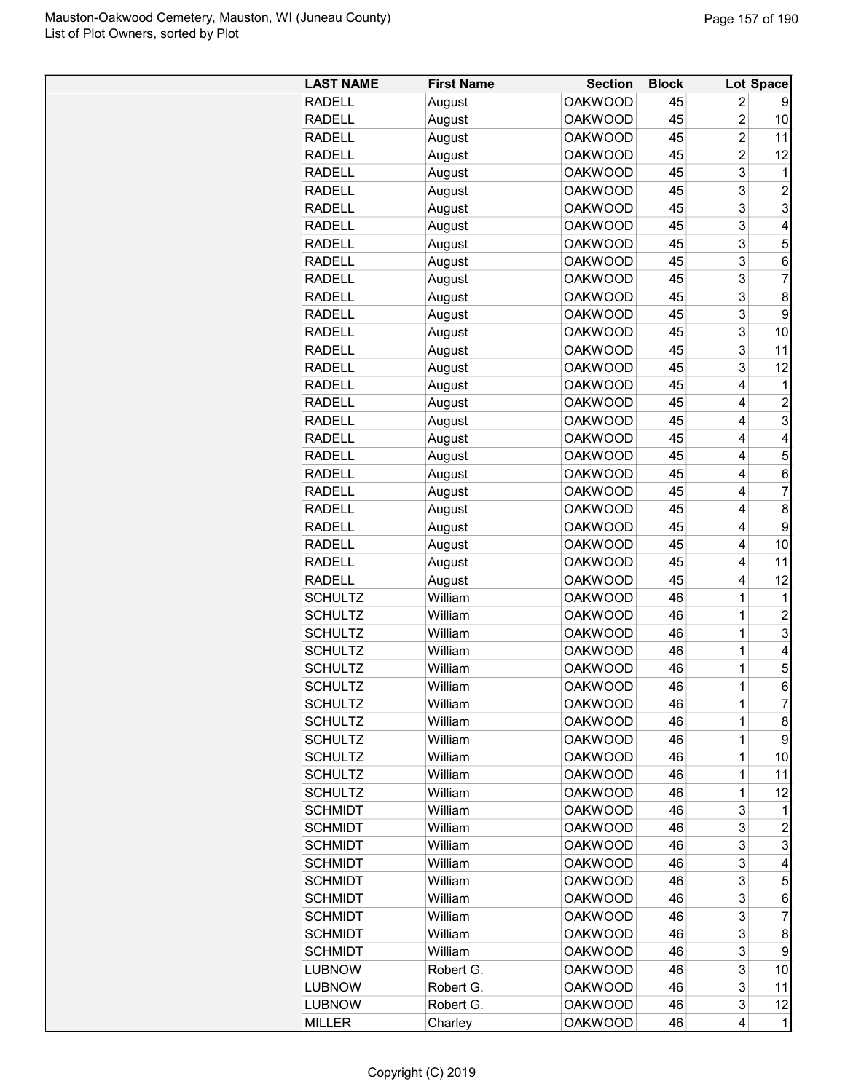| <b>LAST NAME</b> | <b>First Name</b> | <b>Section</b> | <b>Block</b> |                | <b>Lot Space</b> |
|------------------|-------------------|----------------|--------------|----------------|------------------|
| <b>RADELL</b>    | August            | <b>OAKWOOD</b> | 45           | 2              | 9                |
| <b>RADELL</b>    | August            | <b>OAKWOOD</b> | 45           | $\overline{2}$ | 10               |
| <b>RADELL</b>    | August            | <b>OAKWOOD</b> | 45           | $\overline{2}$ | 11               |
| <b>RADELL</b>    | August            | <b>OAKWOOD</b> | 45           | $\overline{c}$ | 12               |
| <b>RADELL</b>    | August            | <b>OAKWOOD</b> | 45           | 3              | 1                |
| <b>RADELL</b>    | August            | <b>OAKWOOD</b> | 45           | 3              | $\overline{c}$   |
| <b>RADELL</b>    | August            | <b>OAKWOOD</b> | 45           | 3              | 3                |
| <b>RADELL</b>    | August            | <b>OAKWOOD</b> | 45           | 3              | 4                |
| <b>RADELL</b>    | August            | <b>OAKWOOD</b> | 45           | 3              | 5                |
| <b>RADELL</b>    | August            | <b>OAKWOOD</b> | 45           | 3              | 6                |
| <b>RADELL</b>    | August            | <b>OAKWOOD</b> | 45           | 3              | 7                |
| <b>RADELL</b>    | August            | <b>OAKWOOD</b> | 45           | 3              | 8                |
| <b>RADELL</b>    | August            | <b>OAKWOOD</b> | 45           | 3              | 9                |
| <b>RADELL</b>    | August            | <b>OAKWOOD</b> | 45           | 3              | 10               |
| <b>RADELL</b>    | August            | <b>OAKWOOD</b> | 45           | 3              | 11               |
| <b>RADELL</b>    | August            | <b>OAKWOOD</b> | 45           | 3              | 12               |
| <b>RADELL</b>    | August            | <b>OAKWOOD</b> | 45           | 4              | 1                |
| <b>RADELL</b>    | August            | <b>OAKWOOD</b> | 45           | 4              | 2                |
| <b>RADELL</b>    | August            | <b>OAKWOOD</b> | 45           | 4              | 3                |
| <b>RADELL</b>    | August            | <b>OAKWOOD</b> | 45           | 4              | 4                |
| <b>RADELL</b>    | August            | <b>OAKWOOD</b> | 45           | 4              | 5                |
| <b>RADELL</b>    | August            | <b>OAKWOOD</b> | 45           | 4              | 6                |
| <b>RADELL</b>    | August            | <b>OAKWOOD</b> | 45           | 4              | 7                |
| <b>RADELL</b>    | August            | <b>OAKWOOD</b> | 45           | 4              | 8                |
| <b>RADELL</b>    | August            | <b>OAKWOOD</b> | 45           | 4              | 9                |
| <b>RADELL</b>    | August            | <b>OAKWOOD</b> | 45           | 4              | 10               |
| <b>RADELL</b>    | August            | <b>OAKWOOD</b> | 45           | 4              | 11               |
| <b>RADELL</b>    | August            | <b>OAKWOOD</b> | 45           | 4              | 12               |
| <b>SCHULTZ</b>   | William           | <b>OAKWOOD</b> | 46           | 1              | 1                |
| <b>SCHULTZ</b>   | William           | <b>OAKWOOD</b> | 46           | 1              | $\overline{c}$   |
| <b>SCHULTZ</b>   | William           | <b>OAKWOOD</b> | 46           | 1              | 3                |
| <b>SCHULTZ</b>   | William           | <b>OAKWOOD</b> | 46           | $\overline{1}$ | 4                |
| <b>SCHULTZ</b>   | William           | <b>OAKWOOD</b> | 46           | 1              | 5                |
| <b>SCHULTZ</b>   | William           | <b>OAKWOOD</b> | 46           | 1              | 6                |
| <b>SCHULTZ</b>   | William           | <b>OAKWOOD</b> | 46           | 1              | 7                |
| <b>SCHULTZ</b>   | William           | <b>OAKWOOD</b> | 46           | $\mathbf 1$    | 8                |
| <b>SCHULTZ</b>   | William           | <b>OAKWOOD</b> | 46           | $\mathbf 1$    | 9                |
| <b>SCHULTZ</b>   | William           | <b>OAKWOOD</b> | 46           | $\mathbf 1$    | 10               |
| <b>SCHULTZ</b>   | William           | <b>OAKWOOD</b> | 46           | $\mathbf 1$    | 11               |
| <b>SCHULTZ</b>   | William           | <b>OAKWOOD</b> | 46           | $\mathbf 1$    | 12               |
| <b>SCHMIDT</b>   | William           | <b>OAKWOOD</b> | 46           | 3              | 1                |
| <b>SCHMIDT</b>   | William           | <b>OAKWOOD</b> | 46           | 3              | $\overline{c}$   |
| <b>SCHMIDT</b>   | William           | <b>OAKWOOD</b> | 46           | 3              | 3                |
| <b>SCHMIDT</b>   | William           | <b>OAKWOOD</b> | 46           | 3              | 4                |
| <b>SCHMIDT</b>   | William           | <b>OAKWOOD</b> | 46           | 3              | 5                |
| <b>SCHMIDT</b>   | William           | <b>OAKWOOD</b> | 46           | 3              | 6                |
| <b>SCHMIDT</b>   | William           | <b>OAKWOOD</b> | 46           | 3              | 7                |
| <b>SCHMIDT</b>   | William           | <b>OAKWOOD</b> | 46           | 3              | 8                |
| <b>SCHMIDT</b>   | William           | <b>OAKWOOD</b> | 46           | 3              | 9                |
| <b>LUBNOW</b>    | Robert G.         | <b>OAKWOOD</b> | 46           | 3              | 10               |
| <b>LUBNOW</b>    | Robert G.         | <b>OAKWOOD</b> | 46           | 3              | 11               |
| <b>LUBNOW</b>    | Robert G.         | <b>OAKWOOD</b> | 46           | 3              | 12               |
| <b>MILLER</b>    | Charley           | <b>OAKWOOD</b> | 46           | 4              | $\mathbf{1}$     |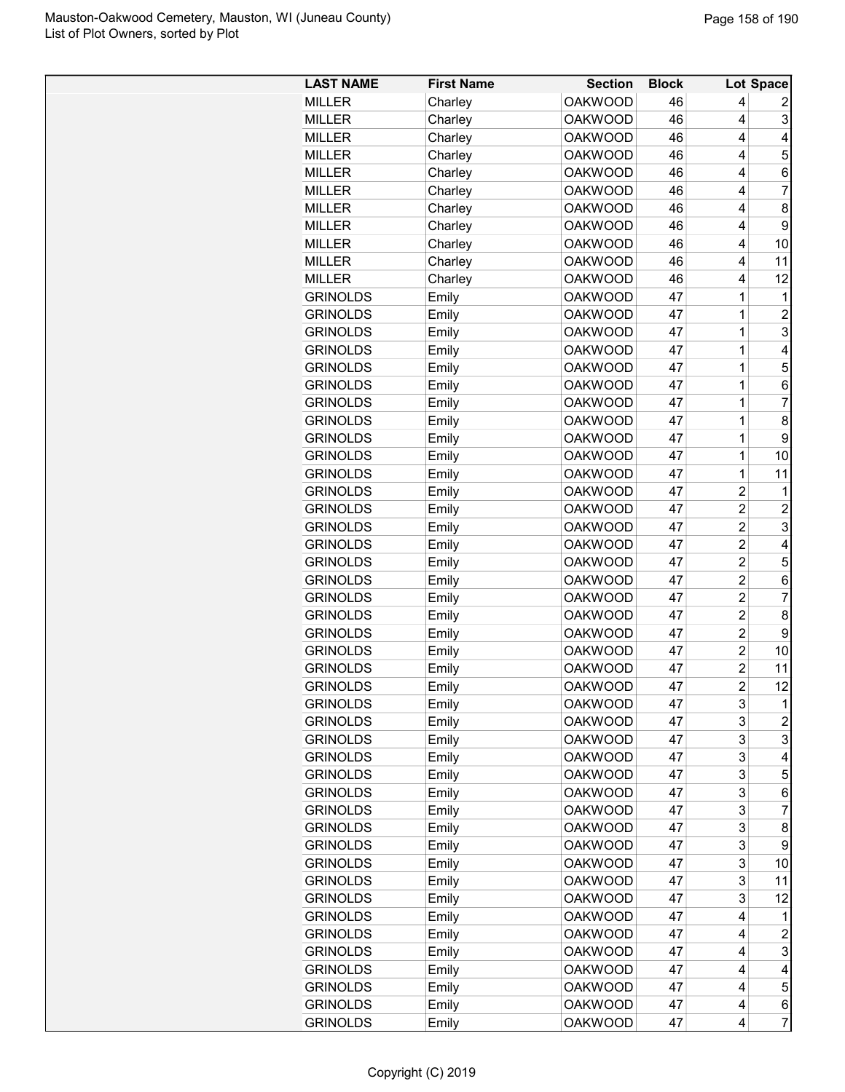| <b>LAST NAME</b> | <b>First Name</b> | <b>Section</b> | <b>Block</b> |                  | Lot Space        |
|------------------|-------------------|----------------|--------------|------------------|------------------|
| <b>MILLER</b>    | Charley           | <b>OAKWOOD</b> | 46           | 4                | 2                |
| <b>MILLER</b>    | Charley           | <b>OAKWOOD</b> | 46           | 4                | 3                |
| <b>MILLER</b>    | Charley           | <b>OAKWOOD</b> | 46           | 4                | 4                |
| <b>MILLER</b>    | Charley           | <b>OAKWOOD</b> | 46           | 4                | 5                |
| <b>MILLER</b>    | Charley           | <b>OAKWOOD</b> | 46           | 4                | 6                |
| <b>MILLER</b>    | Charley           | <b>OAKWOOD</b> | 46           | 4                | 7                |
| <b>MILLER</b>    | Charley           | <b>OAKWOOD</b> | 46           | 4                | 8                |
| <b>MILLER</b>    | Charley           | <b>OAKWOOD</b> | 46           | 4                | 9                |
| <b>MILLER</b>    | Charley           | <b>OAKWOOD</b> | 46           | 4                | 10               |
| <b>MILLER</b>    | Charley           | <b>OAKWOOD</b> | 46           | 4                | 11               |
| <b>MILLER</b>    | Charley           | <b>OAKWOOD</b> | 46           | 4                | 12               |
| <b>GRINOLDS</b>  | Emily             | <b>OAKWOOD</b> | 47           | 1                | 1                |
| <b>GRINOLDS</b>  | Emily             | <b>OAKWOOD</b> | 47           | 1                | $\overline{c}$   |
| <b>GRINOLDS</b>  | Emily             | <b>OAKWOOD</b> | 47           | 1                | 3                |
| <b>GRINOLDS</b>  | Emily             | <b>OAKWOOD</b> | 47           | 1                | 4                |
| <b>GRINOLDS</b>  | Emily             | <b>OAKWOOD</b> | 47           | 1                | 5                |
| <b>GRINOLDS</b>  | Emily             | <b>OAKWOOD</b> | 47           | 1                | 6                |
| <b>GRINOLDS</b>  | Emily             | <b>OAKWOOD</b> | 47           | 1                | 7                |
| <b>GRINOLDS</b>  | Emily             | <b>OAKWOOD</b> | 47           | 1                | 8                |
| <b>GRINOLDS</b>  | Emily             | <b>OAKWOOD</b> | 47           | 1                | 9                |
| <b>GRINOLDS</b>  | Emily             | <b>OAKWOOD</b> | 47           | 1                | 10               |
| <b>GRINOLDS</b>  |                   | <b>OAKWOOD</b> | 47           | 1                | 11               |
|                  | Emily             |                | 47           |                  |                  |
| <b>GRINOLDS</b>  | Emily             | <b>OAKWOOD</b> |              | 2                | 1                |
| <b>GRINOLDS</b>  | Emily             | <b>OAKWOOD</b> | 47           | 2                | $\overline{c}$   |
| <b>GRINOLDS</b>  | Emily             | <b>OAKWOOD</b> | 47           | $\overline{2}$   | 3                |
| <b>GRINOLDS</b>  | Emily             | <b>OAKWOOD</b> | 47           | 2                | 4                |
| <b>GRINOLDS</b>  | Emily             | <b>OAKWOOD</b> | 47           | $\overline{2}$   | 5                |
| <b>GRINOLDS</b>  | Emily             | <b>OAKWOOD</b> | 47           | $\overline{c}$   | 6                |
| <b>GRINOLDS</b>  | Emily             | <b>OAKWOOD</b> | 47           | $\overline{c}$   | 7                |
| <b>GRINOLDS</b>  | Emily             | <b>OAKWOOD</b> | 47           | $\overline{2}$   | 8                |
| <b>GRINOLDS</b>  | Emily             | <b>OAKWOOD</b> | 47           | $\overline{2}$   | 9                |
| <b>GRINOLDS</b>  | Emily             | <b>OAKWOOD</b> | 47           | $\overline{2}$   | 10               |
| <b>GRINOLDS</b>  | Emily             | <b>OAKWOOD</b> | 47           | $\overline{2}$   | 11               |
| <b>GRINOLDS</b>  | Emily             | <b>OAKWOOD</b> | 47           | $\boldsymbol{2}$ | 12               |
| <b>GRINOLDS</b>  | Emily             | <b>OAKWOOD</b> | 47           | 3                | 1                |
| <b>GRINOLDS</b>  | Emily             | <b>OAKWOOD</b> | 47           | 3                | $\overline{a}$   |
| <b>GRINOLDS</b>  | Emily             | <b>OAKWOOD</b> | 47           | 3                | 3                |
| <b>GRINOLDS</b>  | Emily             | <b>OAKWOOD</b> | 47           | 3                | 4                |
| <b>GRINOLDS</b>  | Emily             | <b>OAKWOOD</b> | 47           | 3                | 5                |
| <b>GRINOLDS</b>  | Emily             | <b>OAKWOOD</b> | 47           | 3                | 6                |
| <b>GRINOLDS</b>  | Emily             | <b>OAKWOOD</b> | 47           | 3                | 7                |
| <b>GRINOLDS</b>  | Emily             | <b>OAKWOOD</b> | 47           | 3                | 8                |
| <b>GRINOLDS</b>  | Emily             | <b>OAKWOOD</b> | 47           | 3                | 9                |
| <b>GRINOLDS</b>  | Emily             | <b>OAKWOOD</b> | 47           | 3                | 10               |
| <b>GRINOLDS</b>  | Emily             | <b>OAKWOOD</b> | 47           | 3                | 11               |
| <b>GRINOLDS</b>  | Emily             | <b>OAKWOOD</b> | 47           | 3                | 12               |
| <b>GRINOLDS</b>  | Emily             | <b>OAKWOOD</b> | 47           | 4                | 1                |
| <b>GRINOLDS</b>  | Emily             | <b>OAKWOOD</b> | 47           | 4                | $\boldsymbol{2}$ |
| <b>GRINOLDS</b>  | Emily             | <b>OAKWOOD</b> | 47           | 4                | $\mathbf{3}$     |
| <b>GRINOLDS</b>  | Emily             | <b>OAKWOOD</b> | 47           | 4                | 4                |
| <b>GRINOLDS</b>  | Emily             | <b>OAKWOOD</b> | 47           | 4                | $\sqrt{5}$       |
| <b>GRINOLDS</b>  | Emily             | <b>OAKWOOD</b> | 47           | 4                | 6                |
| <b>GRINOLDS</b>  | Emily             | <b>OAKWOOD</b> | 47           | 4                | $\overline{7}$   |
|                  |                   |                |              |                  |                  |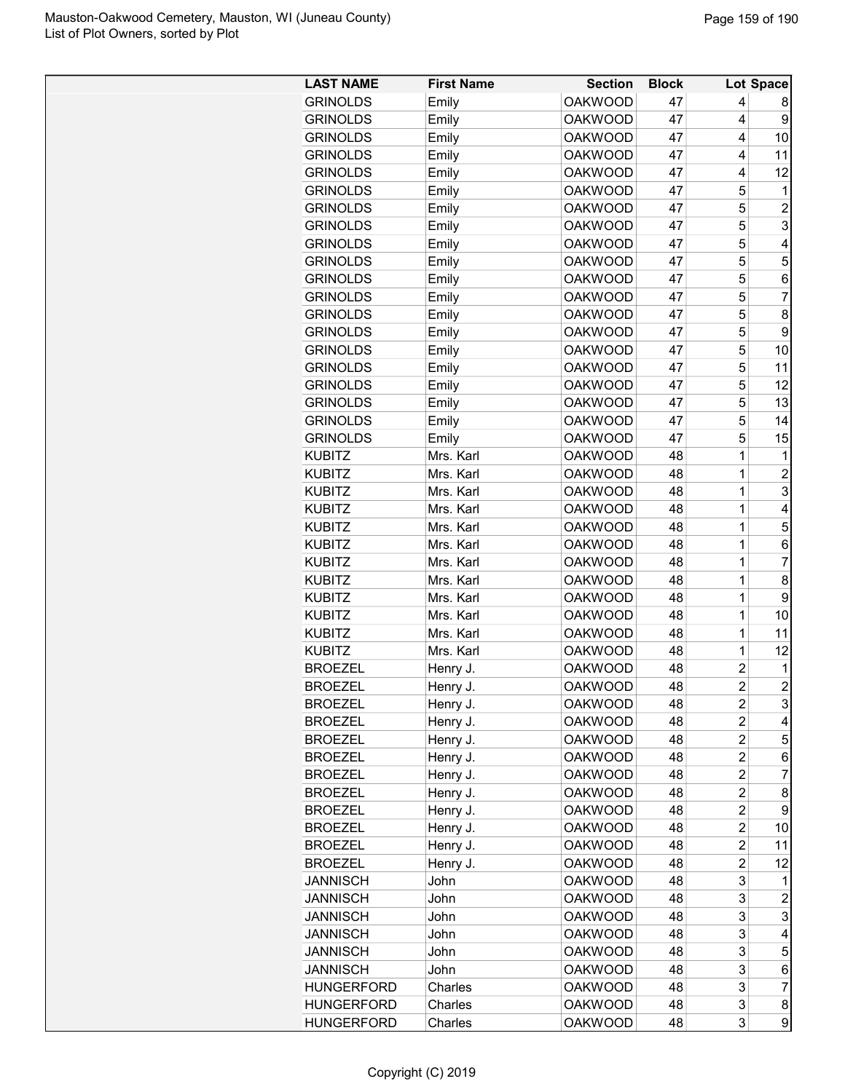| <b>GRINOLDS</b><br><b>OAKWOOD</b><br>47<br>Emily<br>4<br>8<br><b>OAKWOOD</b><br>47<br>4<br>9<br><b>GRINOLDS</b><br>Emily<br><b>GRINOLDS</b><br>Emily<br><b>OAKWOOD</b><br>47<br>4<br>10<br><b>GRINOLDS</b><br><b>OAKWOOD</b><br>47<br>4<br>11<br>Emily<br>47<br>4<br>12<br><b>GRINOLDS</b><br>Emily<br><b>OAKWOOD</b><br><b>GRINOLDS</b><br>Emily<br><b>OAKWOOD</b><br>47<br>5<br>$\mathbf 1$<br>$\overline{c}$<br><b>GRINOLDS</b><br>Emily<br><b>OAKWOOD</b><br>47<br>5<br>3<br>5<br><b>GRINOLDS</b><br>Emily<br><b>OAKWOOD</b><br>47<br>5<br><b>GRINOLDS</b><br>Emily<br><b>OAKWOOD</b><br>47<br>4<br>5<br>5<br><b>GRINOLDS</b><br>Emily<br><b>OAKWOOD</b><br>47<br>5<br><b>GRINOLDS</b><br>Emily<br><b>OAKWOOD</b><br>47<br>6<br>5<br>$\overline{7}$<br>47<br><b>GRINOLDS</b><br>Emily<br><b>OAKWOOD</b><br>5<br><b>GRINOLDS</b><br><b>OAKWOOD</b><br>8<br>Emily<br>47<br><b>GRINOLDS</b><br>Emily<br><b>OAKWOOD</b><br>47<br>5<br>9<br>5<br><b>GRINOLDS</b><br>Emily<br><b>OAKWOOD</b><br>47<br>10<br>5<br>47<br><b>GRINOLDS</b><br>Emily<br><b>OAKWOOD</b><br>11<br>5<br>12<br><b>OAKWOOD</b><br>47<br><b>GRINOLDS</b><br>Emily<br>13<br><b>GRINOLDS</b><br><b>OAKWOOD</b><br>47<br>5<br>Emily<br>5<br><b>GRINOLDS</b><br><b>OAKWOOD</b><br>47<br>14<br>Emily<br><b>GRINOLDS</b><br><b>OAKWOOD</b><br>5<br>15<br>Emily<br>47<br><b>KUBITZ</b><br>Mrs. Karl<br><b>OAKWOOD</b><br>$\mathbf 1$<br>$\mathbf 1$<br>48<br>$\overline{1}$<br>$\overline{c}$<br><b>KUBITZ</b><br>Mrs. Karl<br><b>OAKWOOD</b><br>48<br>3<br>$\overline{1}$<br>Mrs. Karl<br><b>OAKWOOD</b><br>48<br><b>KUBITZ</b><br>$\overline{1}$<br>Mrs. Karl<br><b>OAKWOOD</b><br>48<br><b>KUBITZ</b><br>4<br>$\overline{1}$<br>5<br>Mrs. Karl<br><b>OAKWOOD</b><br>48<br><b>KUBITZ</b><br>$\overline{1}$<br>Mrs. Karl<br><b>OAKWOOD</b><br>48<br><b>KUBITZ</b><br>6<br><b>KUBITZ</b><br>Mrs. Karl<br><b>OAKWOOD</b><br>48<br>1<br>$\overline{7}$<br>8<br><b>KUBITZ</b><br><b>OAKWOOD</b><br>48<br>1<br>Mrs. Karl<br>9<br><b>KUBITZ</b><br>Mrs. Karl<br><b>OAKWOOD</b><br>48<br>1<br>$\overline{1}$<br>Mrs. Karl<br>48<br><b>KUBITZ</b><br><b>OAKWOOD</b><br>10<br>$\mathbf 1$<br>Mrs. Karl<br><b>OAKWOOD</b><br>48<br>11<br><b>KUBITZ</b><br>$\overline{1}$<br>Mrs. Karl<br><b>OAKWOOD</b><br>48<br>12<br><b>KUBITZ</b><br>$\overline{2}$<br><b>BROEZEL</b><br><b>OAKWOOD</b><br>48<br>Henry J.<br>1<br>$\overline{2}$<br>$\overline{2}$<br><b>OAKWOOD</b><br>48<br><b>BROEZEL</b><br>Henry J.<br>3<br>48<br><b>BROEZEL</b><br>Henry J.<br><b>OAKWOOD</b><br>2<br>Henry J.<br><b>OAKWOOD</b><br>48<br>2<br><b>BROEZEL</b><br>4<br>48<br>2<br>5<br>Henry J.<br><b>OAKWOOD</b><br><b>BROEZEL</b><br>$\overline{c}$<br>48<br><b>BROEZEL</b><br>Henry J.<br><b>OAKWOOD</b><br>6<br>48<br>$\overline{c}$<br>7<br><b>BROEZEL</b><br>Henry J.<br><b>OAKWOOD</b><br>48<br>$\overline{c}$<br><b>BROEZEL</b><br>Henry J.<br><b>OAKWOOD</b><br>8<br>$\overline{c}$<br><b>BROEZEL</b><br>Henry J.<br><b>OAKWOOD</b><br>48<br>9<br><b>OAKWOOD</b><br>48<br>$\overline{c}$<br><b>BROEZEL</b><br>Henry J.<br>10<br>Henry J.<br><b>OAKWOOD</b><br>48<br>$\overline{2}$<br><b>BROEZEL</b><br>11<br><b>OAKWOOD</b><br>48<br>$\overline{c}$<br>12<br><b>BROEZEL</b><br>Henry J.<br>3<br>48<br><b>JANNISCH</b><br>John<br><b>OAKWOOD</b><br>1<br>3<br>48<br>$\overline{c}$<br><b>JANNISCH</b><br>John<br><b>OAKWOOD</b><br>3<br>3<br>48<br><b>JANNISCH</b><br>John<br><b>OAKWOOD</b><br>3<br><b>JANNISCH</b><br>John<br><b>OAKWOOD</b><br>48<br>4<br><b>OAKWOOD</b><br>48<br>3<br>5<br><b>JANNISCH</b><br>John<br><b>OAKWOOD</b><br>48<br>3<br>6<br><b>JANNISCH</b><br>John<br>3<br>$\overline{7}$<br>48<br><b>HUNGERFORD</b><br>Charles<br><b>OAKWOOD</b><br>3<br>Charles<br>48<br>8<br><b>HUNGERFORD</b><br><b>OAKWOOD</b> | <b>LAST NAME</b>  | <b>First Name</b> | <b>Section</b> | <b>Block</b> |   | Lot Space |
|--------------------------------------------------------------------------------------------------------------------------------------------------------------------------------------------------------------------------------------------------------------------------------------------------------------------------------------------------------------------------------------------------------------------------------------------------------------------------------------------------------------------------------------------------------------------------------------------------------------------------------------------------------------------------------------------------------------------------------------------------------------------------------------------------------------------------------------------------------------------------------------------------------------------------------------------------------------------------------------------------------------------------------------------------------------------------------------------------------------------------------------------------------------------------------------------------------------------------------------------------------------------------------------------------------------------------------------------------------------------------------------------------------------------------------------------------------------------------------------------------------------------------------------------------------------------------------------------------------------------------------------------------------------------------------------------------------------------------------------------------------------------------------------------------------------------------------------------------------------------------------------------------------------------------------------------------------------------------------------------------------------------------------------------------------------------------------------------------------------------------------------------------------------------------------------------------------------------------------------------------------------------------------------------------------------------------------------------------------------------------------------------------------------------------------------------------------------------------------------------------------------------------------------------------------------------------------------------------------------------------------------------------------------------------------------------------------------------------------------------------------------------------------------------------------------------------------------------------------------------------------------------------------------------------------------------------------------------------------------------------------------------------------------------------------------------------------------------------------------------------------------------------------------------------------------------------------------------------------------------------------------------------------------------------------------------------------------------------------------------------------------------------------------------------------------------------------------------------------------------------------------------------------------------------------------------------------------------------------------------------------------------------------------------------------------------------------------------------------------------------------------------------|-------------------|-------------------|----------------|--------------|---|-----------|
|                                                                                                                                                                                                                                                                                                                                                                                                                                                                                                                                                                                                                                                                                                                                                                                                                                                                                                                                                                                                                                                                                                                                                                                                                                                                                                                                                                                                                                                                                                                                                                                                                                                                                                                                                                                                                                                                                                                                                                                                                                                                                                                                                                                                                                                                                                                                                                                                                                                                                                                                                                                                                                                                                                                                                                                                                                                                                                                                                                                                                                                                                                                                                                                                                                                                                                                                                                                                                                                                                                                                                                                                                                                                                                                                                                          |                   |                   |                |              |   |           |
|                                                                                                                                                                                                                                                                                                                                                                                                                                                                                                                                                                                                                                                                                                                                                                                                                                                                                                                                                                                                                                                                                                                                                                                                                                                                                                                                                                                                                                                                                                                                                                                                                                                                                                                                                                                                                                                                                                                                                                                                                                                                                                                                                                                                                                                                                                                                                                                                                                                                                                                                                                                                                                                                                                                                                                                                                                                                                                                                                                                                                                                                                                                                                                                                                                                                                                                                                                                                                                                                                                                                                                                                                                                                                                                                                                          |                   |                   |                |              |   |           |
|                                                                                                                                                                                                                                                                                                                                                                                                                                                                                                                                                                                                                                                                                                                                                                                                                                                                                                                                                                                                                                                                                                                                                                                                                                                                                                                                                                                                                                                                                                                                                                                                                                                                                                                                                                                                                                                                                                                                                                                                                                                                                                                                                                                                                                                                                                                                                                                                                                                                                                                                                                                                                                                                                                                                                                                                                                                                                                                                                                                                                                                                                                                                                                                                                                                                                                                                                                                                                                                                                                                                                                                                                                                                                                                                                                          |                   |                   |                |              |   |           |
|                                                                                                                                                                                                                                                                                                                                                                                                                                                                                                                                                                                                                                                                                                                                                                                                                                                                                                                                                                                                                                                                                                                                                                                                                                                                                                                                                                                                                                                                                                                                                                                                                                                                                                                                                                                                                                                                                                                                                                                                                                                                                                                                                                                                                                                                                                                                                                                                                                                                                                                                                                                                                                                                                                                                                                                                                                                                                                                                                                                                                                                                                                                                                                                                                                                                                                                                                                                                                                                                                                                                                                                                                                                                                                                                                                          |                   |                   |                |              |   |           |
|                                                                                                                                                                                                                                                                                                                                                                                                                                                                                                                                                                                                                                                                                                                                                                                                                                                                                                                                                                                                                                                                                                                                                                                                                                                                                                                                                                                                                                                                                                                                                                                                                                                                                                                                                                                                                                                                                                                                                                                                                                                                                                                                                                                                                                                                                                                                                                                                                                                                                                                                                                                                                                                                                                                                                                                                                                                                                                                                                                                                                                                                                                                                                                                                                                                                                                                                                                                                                                                                                                                                                                                                                                                                                                                                                                          |                   |                   |                |              |   |           |
|                                                                                                                                                                                                                                                                                                                                                                                                                                                                                                                                                                                                                                                                                                                                                                                                                                                                                                                                                                                                                                                                                                                                                                                                                                                                                                                                                                                                                                                                                                                                                                                                                                                                                                                                                                                                                                                                                                                                                                                                                                                                                                                                                                                                                                                                                                                                                                                                                                                                                                                                                                                                                                                                                                                                                                                                                                                                                                                                                                                                                                                                                                                                                                                                                                                                                                                                                                                                                                                                                                                                                                                                                                                                                                                                                                          |                   |                   |                |              |   |           |
|                                                                                                                                                                                                                                                                                                                                                                                                                                                                                                                                                                                                                                                                                                                                                                                                                                                                                                                                                                                                                                                                                                                                                                                                                                                                                                                                                                                                                                                                                                                                                                                                                                                                                                                                                                                                                                                                                                                                                                                                                                                                                                                                                                                                                                                                                                                                                                                                                                                                                                                                                                                                                                                                                                                                                                                                                                                                                                                                                                                                                                                                                                                                                                                                                                                                                                                                                                                                                                                                                                                                                                                                                                                                                                                                                                          |                   |                   |                |              |   |           |
|                                                                                                                                                                                                                                                                                                                                                                                                                                                                                                                                                                                                                                                                                                                                                                                                                                                                                                                                                                                                                                                                                                                                                                                                                                                                                                                                                                                                                                                                                                                                                                                                                                                                                                                                                                                                                                                                                                                                                                                                                                                                                                                                                                                                                                                                                                                                                                                                                                                                                                                                                                                                                                                                                                                                                                                                                                                                                                                                                                                                                                                                                                                                                                                                                                                                                                                                                                                                                                                                                                                                                                                                                                                                                                                                                                          |                   |                   |                |              |   |           |
|                                                                                                                                                                                                                                                                                                                                                                                                                                                                                                                                                                                                                                                                                                                                                                                                                                                                                                                                                                                                                                                                                                                                                                                                                                                                                                                                                                                                                                                                                                                                                                                                                                                                                                                                                                                                                                                                                                                                                                                                                                                                                                                                                                                                                                                                                                                                                                                                                                                                                                                                                                                                                                                                                                                                                                                                                                                                                                                                                                                                                                                                                                                                                                                                                                                                                                                                                                                                                                                                                                                                                                                                                                                                                                                                                                          |                   |                   |                |              |   |           |
|                                                                                                                                                                                                                                                                                                                                                                                                                                                                                                                                                                                                                                                                                                                                                                                                                                                                                                                                                                                                                                                                                                                                                                                                                                                                                                                                                                                                                                                                                                                                                                                                                                                                                                                                                                                                                                                                                                                                                                                                                                                                                                                                                                                                                                                                                                                                                                                                                                                                                                                                                                                                                                                                                                                                                                                                                                                                                                                                                                                                                                                                                                                                                                                                                                                                                                                                                                                                                                                                                                                                                                                                                                                                                                                                                                          |                   |                   |                |              |   |           |
|                                                                                                                                                                                                                                                                                                                                                                                                                                                                                                                                                                                                                                                                                                                                                                                                                                                                                                                                                                                                                                                                                                                                                                                                                                                                                                                                                                                                                                                                                                                                                                                                                                                                                                                                                                                                                                                                                                                                                                                                                                                                                                                                                                                                                                                                                                                                                                                                                                                                                                                                                                                                                                                                                                                                                                                                                                                                                                                                                                                                                                                                                                                                                                                                                                                                                                                                                                                                                                                                                                                                                                                                                                                                                                                                                                          |                   |                   |                |              |   |           |
|                                                                                                                                                                                                                                                                                                                                                                                                                                                                                                                                                                                                                                                                                                                                                                                                                                                                                                                                                                                                                                                                                                                                                                                                                                                                                                                                                                                                                                                                                                                                                                                                                                                                                                                                                                                                                                                                                                                                                                                                                                                                                                                                                                                                                                                                                                                                                                                                                                                                                                                                                                                                                                                                                                                                                                                                                                                                                                                                                                                                                                                                                                                                                                                                                                                                                                                                                                                                                                                                                                                                                                                                                                                                                                                                                                          |                   |                   |                |              |   |           |
|                                                                                                                                                                                                                                                                                                                                                                                                                                                                                                                                                                                                                                                                                                                                                                                                                                                                                                                                                                                                                                                                                                                                                                                                                                                                                                                                                                                                                                                                                                                                                                                                                                                                                                                                                                                                                                                                                                                                                                                                                                                                                                                                                                                                                                                                                                                                                                                                                                                                                                                                                                                                                                                                                                                                                                                                                                                                                                                                                                                                                                                                                                                                                                                                                                                                                                                                                                                                                                                                                                                                                                                                                                                                                                                                                                          |                   |                   |                |              |   |           |
|                                                                                                                                                                                                                                                                                                                                                                                                                                                                                                                                                                                                                                                                                                                                                                                                                                                                                                                                                                                                                                                                                                                                                                                                                                                                                                                                                                                                                                                                                                                                                                                                                                                                                                                                                                                                                                                                                                                                                                                                                                                                                                                                                                                                                                                                                                                                                                                                                                                                                                                                                                                                                                                                                                                                                                                                                                                                                                                                                                                                                                                                                                                                                                                                                                                                                                                                                                                                                                                                                                                                                                                                                                                                                                                                                                          |                   |                   |                |              |   |           |
|                                                                                                                                                                                                                                                                                                                                                                                                                                                                                                                                                                                                                                                                                                                                                                                                                                                                                                                                                                                                                                                                                                                                                                                                                                                                                                                                                                                                                                                                                                                                                                                                                                                                                                                                                                                                                                                                                                                                                                                                                                                                                                                                                                                                                                                                                                                                                                                                                                                                                                                                                                                                                                                                                                                                                                                                                                                                                                                                                                                                                                                                                                                                                                                                                                                                                                                                                                                                                                                                                                                                                                                                                                                                                                                                                                          |                   |                   |                |              |   |           |
|                                                                                                                                                                                                                                                                                                                                                                                                                                                                                                                                                                                                                                                                                                                                                                                                                                                                                                                                                                                                                                                                                                                                                                                                                                                                                                                                                                                                                                                                                                                                                                                                                                                                                                                                                                                                                                                                                                                                                                                                                                                                                                                                                                                                                                                                                                                                                                                                                                                                                                                                                                                                                                                                                                                                                                                                                                                                                                                                                                                                                                                                                                                                                                                                                                                                                                                                                                                                                                                                                                                                                                                                                                                                                                                                                                          |                   |                   |                |              |   |           |
|                                                                                                                                                                                                                                                                                                                                                                                                                                                                                                                                                                                                                                                                                                                                                                                                                                                                                                                                                                                                                                                                                                                                                                                                                                                                                                                                                                                                                                                                                                                                                                                                                                                                                                                                                                                                                                                                                                                                                                                                                                                                                                                                                                                                                                                                                                                                                                                                                                                                                                                                                                                                                                                                                                                                                                                                                                                                                                                                                                                                                                                                                                                                                                                                                                                                                                                                                                                                                                                                                                                                                                                                                                                                                                                                                                          |                   |                   |                |              |   |           |
|                                                                                                                                                                                                                                                                                                                                                                                                                                                                                                                                                                                                                                                                                                                                                                                                                                                                                                                                                                                                                                                                                                                                                                                                                                                                                                                                                                                                                                                                                                                                                                                                                                                                                                                                                                                                                                                                                                                                                                                                                                                                                                                                                                                                                                                                                                                                                                                                                                                                                                                                                                                                                                                                                                                                                                                                                                                                                                                                                                                                                                                                                                                                                                                                                                                                                                                                                                                                                                                                                                                                                                                                                                                                                                                                                                          |                   |                   |                |              |   |           |
|                                                                                                                                                                                                                                                                                                                                                                                                                                                                                                                                                                                                                                                                                                                                                                                                                                                                                                                                                                                                                                                                                                                                                                                                                                                                                                                                                                                                                                                                                                                                                                                                                                                                                                                                                                                                                                                                                                                                                                                                                                                                                                                                                                                                                                                                                                                                                                                                                                                                                                                                                                                                                                                                                                                                                                                                                                                                                                                                                                                                                                                                                                                                                                                                                                                                                                                                                                                                                                                                                                                                                                                                                                                                                                                                                                          |                   |                   |                |              |   |           |
|                                                                                                                                                                                                                                                                                                                                                                                                                                                                                                                                                                                                                                                                                                                                                                                                                                                                                                                                                                                                                                                                                                                                                                                                                                                                                                                                                                                                                                                                                                                                                                                                                                                                                                                                                                                                                                                                                                                                                                                                                                                                                                                                                                                                                                                                                                                                                                                                                                                                                                                                                                                                                                                                                                                                                                                                                                                                                                                                                                                                                                                                                                                                                                                                                                                                                                                                                                                                                                                                                                                                                                                                                                                                                                                                                                          |                   |                   |                |              |   |           |
|                                                                                                                                                                                                                                                                                                                                                                                                                                                                                                                                                                                                                                                                                                                                                                                                                                                                                                                                                                                                                                                                                                                                                                                                                                                                                                                                                                                                                                                                                                                                                                                                                                                                                                                                                                                                                                                                                                                                                                                                                                                                                                                                                                                                                                                                                                                                                                                                                                                                                                                                                                                                                                                                                                                                                                                                                                                                                                                                                                                                                                                                                                                                                                                                                                                                                                                                                                                                                                                                                                                                                                                                                                                                                                                                                                          |                   |                   |                |              |   |           |
|                                                                                                                                                                                                                                                                                                                                                                                                                                                                                                                                                                                                                                                                                                                                                                                                                                                                                                                                                                                                                                                                                                                                                                                                                                                                                                                                                                                                                                                                                                                                                                                                                                                                                                                                                                                                                                                                                                                                                                                                                                                                                                                                                                                                                                                                                                                                                                                                                                                                                                                                                                                                                                                                                                                                                                                                                                                                                                                                                                                                                                                                                                                                                                                                                                                                                                                                                                                                                                                                                                                                                                                                                                                                                                                                                                          |                   |                   |                |              |   |           |
|                                                                                                                                                                                                                                                                                                                                                                                                                                                                                                                                                                                                                                                                                                                                                                                                                                                                                                                                                                                                                                                                                                                                                                                                                                                                                                                                                                                                                                                                                                                                                                                                                                                                                                                                                                                                                                                                                                                                                                                                                                                                                                                                                                                                                                                                                                                                                                                                                                                                                                                                                                                                                                                                                                                                                                                                                                                                                                                                                                                                                                                                                                                                                                                                                                                                                                                                                                                                                                                                                                                                                                                                                                                                                                                                                                          |                   |                   |                |              |   |           |
|                                                                                                                                                                                                                                                                                                                                                                                                                                                                                                                                                                                                                                                                                                                                                                                                                                                                                                                                                                                                                                                                                                                                                                                                                                                                                                                                                                                                                                                                                                                                                                                                                                                                                                                                                                                                                                                                                                                                                                                                                                                                                                                                                                                                                                                                                                                                                                                                                                                                                                                                                                                                                                                                                                                                                                                                                                                                                                                                                                                                                                                                                                                                                                                                                                                                                                                                                                                                                                                                                                                                                                                                                                                                                                                                                                          |                   |                   |                |              |   |           |
|                                                                                                                                                                                                                                                                                                                                                                                                                                                                                                                                                                                                                                                                                                                                                                                                                                                                                                                                                                                                                                                                                                                                                                                                                                                                                                                                                                                                                                                                                                                                                                                                                                                                                                                                                                                                                                                                                                                                                                                                                                                                                                                                                                                                                                                                                                                                                                                                                                                                                                                                                                                                                                                                                                                                                                                                                                                                                                                                                                                                                                                                                                                                                                                                                                                                                                                                                                                                                                                                                                                                                                                                                                                                                                                                                                          |                   |                   |                |              |   |           |
|                                                                                                                                                                                                                                                                                                                                                                                                                                                                                                                                                                                                                                                                                                                                                                                                                                                                                                                                                                                                                                                                                                                                                                                                                                                                                                                                                                                                                                                                                                                                                                                                                                                                                                                                                                                                                                                                                                                                                                                                                                                                                                                                                                                                                                                                                                                                                                                                                                                                                                                                                                                                                                                                                                                                                                                                                                                                                                                                                                                                                                                                                                                                                                                                                                                                                                                                                                                                                                                                                                                                                                                                                                                                                                                                                                          |                   |                   |                |              |   |           |
|                                                                                                                                                                                                                                                                                                                                                                                                                                                                                                                                                                                                                                                                                                                                                                                                                                                                                                                                                                                                                                                                                                                                                                                                                                                                                                                                                                                                                                                                                                                                                                                                                                                                                                                                                                                                                                                                                                                                                                                                                                                                                                                                                                                                                                                                                                                                                                                                                                                                                                                                                                                                                                                                                                                                                                                                                                                                                                                                                                                                                                                                                                                                                                                                                                                                                                                                                                                                                                                                                                                                                                                                                                                                                                                                                                          |                   |                   |                |              |   |           |
|                                                                                                                                                                                                                                                                                                                                                                                                                                                                                                                                                                                                                                                                                                                                                                                                                                                                                                                                                                                                                                                                                                                                                                                                                                                                                                                                                                                                                                                                                                                                                                                                                                                                                                                                                                                                                                                                                                                                                                                                                                                                                                                                                                                                                                                                                                                                                                                                                                                                                                                                                                                                                                                                                                                                                                                                                                                                                                                                                                                                                                                                                                                                                                                                                                                                                                                                                                                                                                                                                                                                                                                                                                                                                                                                                                          |                   |                   |                |              |   |           |
|                                                                                                                                                                                                                                                                                                                                                                                                                                                                                                                                                                                                                                                                                                                                                                                                                                                                                                                                                                                                                                                                                                                                                                                                                                                                                                                                                                                                                                                                                                                                                                                                                                                                                                                                                                                                                                                                                                                                                                                                                                                                                                                                                                                                                                                                                                                                                                                                                                                                                                                                                                                                                                                                                                                                                                                                                                                                                                                                                                                                                                                                                                                                                                                                                                                                                                                                                                                                                                                                                                                                                                                                                                                                                                                                                                          |                   |                   |                |              |   |           |
|                                                                                                                                                                                                                                                                                                                                                                                                                                                                                                                                                                                                                                                                                                                                                                                                                                                                                                                                                                                                                                                                                                                                                                                                                                                                                                                                                                                                                                                                                                                                                                                                                                                                                                                                                                                                                                                                                                                                                                                                                                                                                                                                                                                                                                                                                                                                                                                                                                                                                                                                                                                                                                                                                                                                                                                                                                                                                                                                                                                                                                                                                                                                                                                                                                                                                                                                                                                                                                                                                                                                                                                                                                                                                                                                                                          |                   |                   |                |              |   |           |
|                                                                                                                                                                                                                                                                                                                                                                                                                                                                                                                                                                                                                                                                                                                                                                                                                                                                                                                                                                                                                                                                                                                                                                                                                                                                                                                                                                                                                                                                                                                                                                                                                                                                                                                                                                                                                                                                                                                                                                                                                                                                                                                                                                                                                                                                                                                                                                                                                                                                                                                                                                                                                                                                                                                                                                                                                                                                                                                                                                                                                                                                                                                                                                                                                                                                                                                                                                                                                                                                                                                                                                                                                                                                                                                                                                          |                   |                   |                |              |   |           |
|                                                                                                                                                                                                                                                                                                                                                                                                                                                                                                                                                                                                                                                                                                                                                                                                                                                                                                                                                                                                                                                                                                                                                                                                                                                                                                                                                                                                                                                                                                                                                                                                                                                                                                                                                                                                                                                                                                                                                                                                                                                                                                                                                                                                                                                                                                                                                                                                                                                                                                                                                                                                                                                                                                                                                                                                                                                                                                                                                                                                                                                                                                                                                                                                                                                                                                                                                                                                                                                                                                                                                                                                                                                                                                                                                                          |                   |                   |                |              |   |           |
|                                                                                                                                                                                                                                                                                                                                                                                                                                                                                                                                                                                                                                                                                                                                                                                                                                                                                                                                                                                                                                                                                                                                                                                                                                                                                                                                                                                                                                                                                                                                                                                                                                                                                                                                                                                                                                                                                                                                                                                                                                                                                                                                                                                                                                                                                                                                                                                                                                                                                                                                                                                                                                                                                                                                                                                                                                                                                                                                                                                                                                                                                                                                                                                                                                                                                                                                                                                                                                                                                                                                                                                                                                                                                                                                                                          |                   |                   |                |              |   |           |
|                                                                                                                                                                                                                                                                                                                                                                                                                                                                                                                                                                                                                                                                                                                                                                                                                                                                                                                                                                                                                                                                                                                                                                                                                                                                                                                                                                                                                                                                                                                                                                                                                                                                                                                                                                                                                                                                                                                                                                                                                                                                                                                                                                                                                                                                                                                                                                                                                                                                                                                                                                                                                                                                                                                                                                                                                                                                                                                                                                                                                                                                                                                                                                                                                                                                                                                                                                                                                                                                                                                                                                                                                                                                                                                                                                          |                   |                   |                |              |   |           |
|                                                                                                                                                                                                                                                                                                                                                                                                                                                                                                                                                                                                                                                                                                                                                                                                                                                                                                                                                                                                                                                                                                                                                                                                                                                                                                                                                                                                                                                                                                                                                                                                                                                                                                                                                                                                                                                                                                                                                                                                                                                                                                                                                                                                                                                                                                                                                                                                                                                                                                                                                                                                                                                                                                                                                                                                                                                                                                                                                                                                                                                                                                                                                                                                                                                                                                                                                                                                                                                                                                                                                                                                                                                                                                                                                                          |                   |                   |                |              |   |           |
|                                                                                                                                                                                                                                                                                                                                                                                                                                                                                                                                                                                                                                                                                                                                                                                                                                                                                                                                                                                                                                                                                                                                                                                                                                                                                                                                                                                                                                                                                                                                                                                                                                                                                                                                                                                                                                                                                                                                                                                                                                                                                                                                                                                                                                                                                                                                                                                                                                                                                                                                                                                                                                                                                                                                                                                                                                                                                                                                                                                                                                                                                                                                                                                                                                                                                                                                                                                                                                                                                                                                                                                                                                                                                                                                                                          |                   |                   |                |              |   |           |
|                                                                                                                                                                                                                                                                                                                                                                                                                                                                                                                                                                                                                                                                                                                                                                                                                                                                                                                                                                                                                                                                                                                                                                                                                                                                                                                                                                                                                                                                                                                                                                                                                                                                                                                                                                                                                                                                                                                                                                                                                                                                                                                                                                                                                                                                                                                                                                                                                                                                                                                                                                                                                                                                                                                                                                                                                                                                                                                                                                                                                                                                                                                                                                                                                                                                                                                                                                                                                                                                                                                                                                                                                                                                                                                                                                          |                   |                   |                |              |   |           |
|                                                                                                                                                                                                                                                                                                                                                                                                                                                                                                                                                                                                                                                                                                                                                                                                                                                                                                                                                                                                                                                                                                                                                                                                                                                                                                                                                                                                                                                                                                                                                                                                                                                                                                                                                                                                                                                                                                                                                                                                                                                                                                                                                                                                                                                                                                                                                                                                                                                                                                                                                                                                                                                                                                                                                                                                                                                                                                                                                                                                                                                                                                                                                                                                                                                                                                                                                                                                                                                                                                                                                                                                                                                                                                                                                                          |                   |                   |                |              |   |           |
|                                                                                                                                                                                                                                                                                                                                                                                                                                                                                                                                                                                                                                                                                                                                                                                                                                                                                                                                                                                                                                                                                                                                                                                                                                                                                                                                                                                                                                                                                                                                                                                                                                                                                                                                                                                                                                                                                                                                                                                                                                                                                                                                                                                                                                                                                                                                                                                                                                                                                                                                                                                                                                                                                                                                                                                                                                                                                                                                                                                                                                                                                                                                                                                                                                                                                                                                                                                                                                                                                                                                                                                                                                                                                                                                                                          |                   |                   |                |              |   |           |
|                                                                                                                                                                                                                                                                                                                                                                                                                                                                                                                                                                                                                                                                                                                                                                                                                                                                                                                                                                                                                                                                                                                                                                                                                                                                                                                                                                                                                                                                                                                                                                                                                                                                                                                                                                                                                                                                                                                                                                                                                                                                                                                                                                                                                                                                                                                                                                                                                                                                                                                                                                                                                                                                                                                                                                                                                                                                                                                                                                                                                                                                                                                                                                                                                                                                                                                                                                                                                                                                                                                                                                                                                                                                                                                                                                          |                   |                   |                |              |   |           |
|                                                                                                                                                                                                                                                                                                                                                                                                                                                                                                                                                                                                                                                                                                                                                                                                                                                                                                                                                                                                                                                                                                                                                                                                                                                                                                                                                                                                                                                                                                                                                                                                                                                                                                                                                                                                                                                                                                                                                                                                                                                                                                                                                                                                                                                                                                                                                                                                                                                                                                                                                                                                                                                                                                                                                                                                                                                                                                                                                                                                                                                                                                                                                                                                                                                                                                                                                                                                                                                                                                                                                                                                                                                                                                                                                                          |                   |                   |                |              |   |           |
|                                                                                                                                                                                                                                                                                                                                                                                                                                                                                                                                                                                                                                                                                                                                                                                                                                                                                                                                                                                                                                                                                                                                                                                                                                                                                                                                                                                                                                                                                                                                                                                                                                                                                                                                                                                                                                                                                                                                                                                                                                                                                                                                                                                                                                                                                                                                                                                                                                                                                                                                                                                                                                                                                                                                                                                                                                                                                                                                                                                                                                                                                                                                                                                                                                                                                                                                                                                                                                                                                                                                                                                                                                                                                                                                                                          |                   |                   |                |              |   |           |
|                                                                                                                                                                                                                                                                                                                                                                                                                                                                                                                                                                                                                                                                                                                                                                                                                                                                                                                                                                                                                                                                                                                                                                                                                                                                                                                                                                                                                                                                                                                                                                                                                                                                                                                                                                                                                                                                                                                                                                                                                                                                                                                                                                                                                                                                                                                                                                                                                                                                                                                                                                                                                                                                                                                                                                                                                                                                                                                                                                                                                                                                                                                                                                                                                                                                                                                                                                                                                                                                                                                                                                                                                                                                                                                                                                          |                   |                   |                |              |   |           |
|                                                                                                                                                                                                                                                                                                                                                                                                                                                                                                                                                                                                                                                                                                                                                                                                                                                                                                                                                                                                                                                                                                                                                                                                                                                                                                                                                                                                                                                                                                                                                                                                                                                                                                                                                                                                                                                                                                                                                                                                                                                                                                                                                                                                                                                                                                                                                                                                                                                                                                                                                                                                                                                                                                                                                                                                                                                                                                                                                                                                                                                                                                                                                                                                                                                                                                                                                                                                                                                                                                                                                                                                                                                                                                                                                                          |                   |                   |                |              |   |           |
|                                                                                                                                                                                                                                                                                                                                                                                                                                                                                                                                                                                                                                                                                                                                                                                                                                                                                                                                                                                                                                                                                                                                                                                                                                                                                                                                                                                                                                                                                                                                                                                                                                                                                                                                                                                                                                                                                                                                                                                                                                                                                                                                                                                                                                                                                                                                                                                                                                                                                                                                                                                                                                                                                                                                                                                                                                                                                                                                                                                                                                                                                                                                                                                                                                                                                                                                                                                                                                                                                                                                                                                                                                                                                                                                                                          |                   |                   |                |              |   |           |
|                                                                                                                                                                                                                                                                                                                                                                                                                                                                                                                                                                                                                                                                                                                                                                                                                                                                                                                                                                                                                                                                                                                                                                                                                                                                                                                                                                                                                                                                                                                                                                                                                                                                                                                                                                                                                                                                                                                                                                                                                                                                                                                                                                                                                                                                                                                                                                                                                                                                                                                                                                                                                                                                                                                                                                                                                                                                                                                                                                                                                                                                                                                                                                                                                                                                                                                                                                                                                                                                                                                                                                                                                                                                                                                                                                          |                   |                   |                |              |   |           |
|                                                                                                                                                                                                                                                                                                                                                                                                                                                                                                                                                                                                                                                                                                                                                                                                                                                                                                                                                                                                                                                                                                                                                                                                                                                                                                                                                                                                                                                                                                                                                                                                                                                                                                                                                                                                                                                                                                                                                                                                                                                                                                                                                                                                                                                                                                                                                                                                                                                                                                                                                                                                                                                                                                                                                                                                                                                                                                                                                                                                                                                                                                                                                                                                                                                                                                                                                                                                                                                                                                                                                                                                                                                                                                                                                                          |                   |                   |                |              |   |           |
|                                                                                                                                                                                                                                                                                                                                                                                                                                                                                                                                                                                                                                                                                                                                                                                                                                                                                                                                                                                                                                                                                                                                                                                                                                                                                                                                                                                                                                                                                                                                                                                                                                                                                                                                                                                                                                                                                                                                                                                                                                                                                                                                                                                                                                                                                                                                                                                                                                                                                                                                                                                                                                                                                                                                                                                                                                                                                                                                                                                                                                                                                                                                                                                                                                                                                                                                                                                                                                                                                                                                                                                                                                                                                                                                                                          |                   |                   |                |              |   |           |
|                                                                                                                                                                                                                                                                                                                                                                                                                                                                                                                                                                                                                                                                                                                                                                                                                                                                                                                                                                                                                                                                                                                                                                                                                                                                                                                                                                                                                                                                                                                                                                                                                                                                                                                                                                                                                                                                                                                                                                                                                                                                                                                                                                                                                                                                                                                                                                                                                                                                                                                                                                                                                                                                                                                                                                                                                                                                                                                                                                                                                                                                                                                                                                                                                                                                                                                                                                                                                                                                                                                                                                                                                                                                                                                                                                          |                   |                   |                |              |   |           |
|                                                                                                                                                                                                                                                                                                                                                                                                                                                                                                                                                                                                                                                                                                                                                                                                                                                                                                                                                                                                                                                                                                                                                                                                                                                                                                                                                                                                                                                                                                                                                                                                                                                                                                                                                                                                                                                                                                                                                                                                                                                                                                                                                                                                                                                                                                                                                                                                                                                                                                                                                                                                                                                                                                                                                                                                                                                                                                                                                                                                                                                                                                                                                                                                                                                                                                                                                                                                                                                                                                                                                                                                                                                                                                                                                                          |                   |                   |                |              |   |           |
|                                                                                                                                                                                                                                                                                                                                                                                                                                                                                                                                                                                                                                                                                                                                                                                                                                                                                                                                                                                                                                                                                                                                                                                                                                                                                                                                                                                                                                                                                                                                                                                                                                                                                                                                                                                                                                                                                                                                                                                                                                                                                                                                                                                                                                                                                                                                                                                                                                                                                                                                                                                                                                                                                                                                                                                                                                                                                                                                                                                                                                                                                                                                                                                                                                                                                                                                                                                                                                                                                                                                                                                                                                                                                                                                                                          |                   |                   |                |              |   |           |
|                                                                                                                                                                                                                                                                                                                                                                                                                                                                                                                                                                                                                                                                                                                                                                                                                                                                                                                                                                                                                                                                                                                                                                                                                                                                                                                                                                                                                                                                                                                                                                                                                                                                                                                                                                                                                                                                                                                                                                                                                                                                                                                                                                                                                                                                                                                                                                                                                                                                                                                                                                                                                                                                                                                                                                                                                                                                                                                                                                                                                                                                                                                                                                                                                                                                                                                                                                                                                                                                                                                                                                                                                                                                                                                                                                          |                   |                   |                |              |   |           |
|                                                                                                                                                                                                                                                                                                                                                                                                                                                                                                                                                                                                                                                                                                                                                                                                                                                                                                                                                                                                                                                                                                                                                                                                                                                                                                                                                                                                                                                                                                                                                                                                                                                                                                                                                                                                                                                                                                                                                                                                                                                                                                                                                                                                                                                                                                                                                                                                                                                                                                                                                                                                                                                                                                                                                                                                                                                                                                                                                                                                                                                                                                                                                                                                                                                                                                                                                                                                                                                                                                                                                                                                                                                                                                                                                                          | <b>HUNGERFORD</b> | Charles           | <b>OAKWOOD</b> | 48           | 3 | 9         |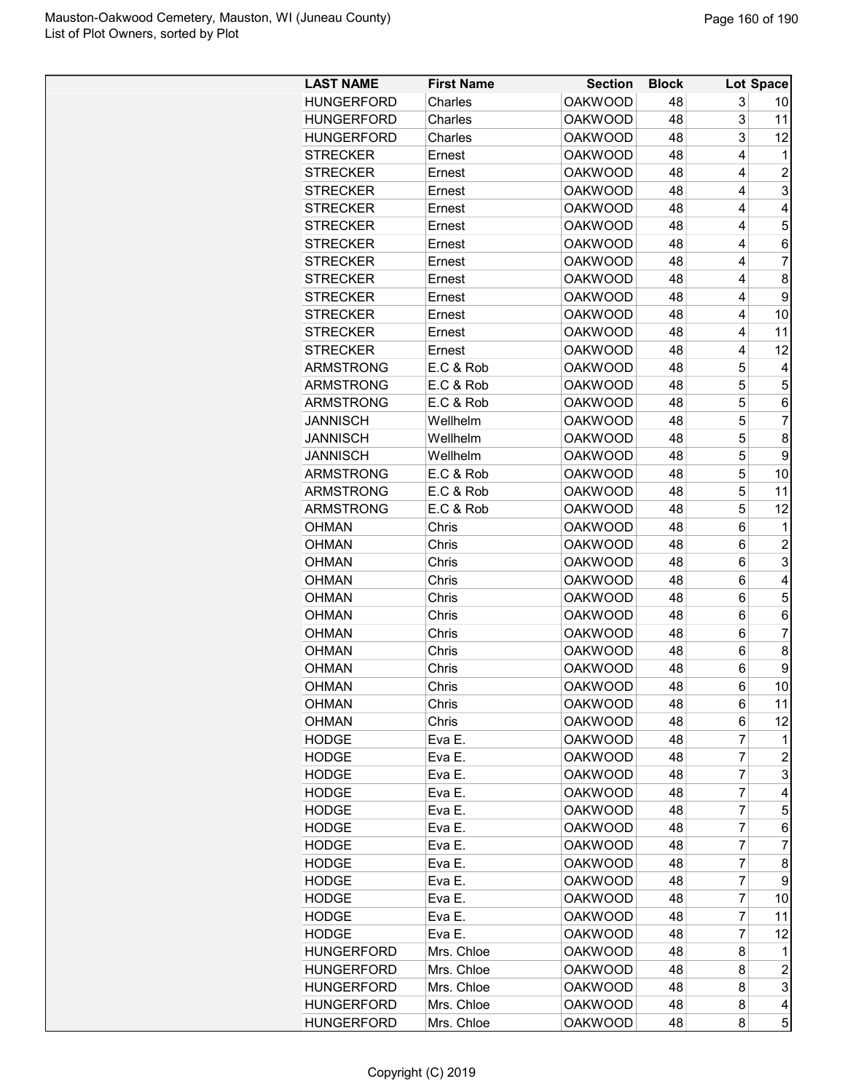| <b>LAST NAME</b>  | <b>First Name</b> | <b>Section</b> | <b>Block</b> |        | Lot Space      |
|-------------------|-------------------|----------------|--------------|--------|----------------|
| <b>HUNGERFORD</b> | Charles           | <b>OAKWOOD</b> | 48           | 3      | 10             |
| HUNGERFORD        | Charles           | <b>OAKWOOD</b> | 48           | 3      | 11             |
| HUNGERFORD        | Charles           | <b>OAKWOOD</b> | 48           | 3      | 12             |
| <b>STRECKER</b>   | Ernest            | <b>OAKWOOD</b> | 48           | 4      | 1              |
| STRECKER          | Ernest            | <b>OAKWOOD</b> | 48           | 4      | $\overline{c}$ |
| STRECKER          | Ernest            | <b>OAKWOOD</b> | 48           | 4      | 3              |
| <b>STRECKER</b>   | Ernest            | <b>OAKWOOD</b> | 48           | 4      | 4              |
| <b>STRECKER</b>   | Ernest            | <b>OAKWOOD</b> | 48           | 4      | 5              |
| <b>STRECKER</b>   | Ernest            | <b>OAKWOOD</b> | 48           | 4      | 6              |
| <b>STRECKER</b>   | Ernest            | <b>OAKWOOD</b> | 48           | 4      | 7              |
| <b>STRECKER</b>   | Ernest            | <b>OAKWOOD</b> | 48           | 4      | 8              |
| <b>STRECKER</b>   | Ernest            | <b>OAKWOOD</b> | 48           | 4      | 9              |
| <b>STRECKER</b>   | Ernest            | <b>OAKWOOD</b> | 48           | 4      | 10             |
| <b>STRECKER</b>   | Ernest            | <b>OAKWOOD</b> | 48           | 4      | 11             |
| <b>STRECKER</b>   | Ernest            | <b>OAKWOOD</b> | 48           | 4      | 12             |
| ARMSTRONG         | E.C & Rob         | <b>OAKWOOD</b> | 48           | 5      | 4              |
| <b>ARMSTRONG</b>  | E.C & Rob         | <b>OAKWOOD</b> | 48           | 5      | 5              |
| ARMSTRONG         | E.C & Rob         | <b>OAKWOOD</b> | 48           | 5      | 6              |
| <b>JANNISCH</b>   | Wellhelm          | <b>OAKWOOD</b> | 48           | 5      | 7              |
| <b>JANNISCH</b>   | Wellhelm          | <b>OAKWOOD</b> | 48           | 5      | 8              |
| <b>JANNISCH</b>   | Wellhelm          | <b>OAKWOOD</b> | 48           | 5      | 9              |
|                   | E.C & Rob         |                | 48           | 5      |                |
| ARMSTRONG         |                   | <b>OAKWOOD</b> |              |        | 10             |
| <b>ARMSTRONG</b>  | E.C & Rob         | <b>OAKWOOD</b> | 48           | 5<br>5 | 11             |
| <b>ARMSTRONG</b>  | E.C & Rob         | <b>OAKWOOD</b> | 48           |        | 12             |
| OHMAN             | Chris             | <b>OAKWOOD</b> | 48           | 6      | 1              |
| <b>OHMAN</b>      | Chris             | <b>OAKWOOD</b> | 48           | 6      | $\overline{2}$ |
| <b>OHMAN</b>      | Chris             | <b>OAKWOOD</b> | 48           | 6      | 3              |
| <b>OHMAN</b>      | Chris             | <b>OAKWOOD</b> | 48           | 6      | 4              |
| OHMAN             | Chris             | <b>OAKWOOD</b> | 48           | 6      | 5              |
| OHMAN             | Chris             | <b>OAKWOOD</b> | 48           | 6      | 6              |
| OHMAN             | Chris             | <b>OAKWOOD</b> | 48           | 6      | $\overline{7}$ |
| OHMAN             | Chris             | <b>OAKWOOD</b> | 48           | 6      | 8              |
| <b>OHMAN</b>      | Chris             | <b>OAKWOOD</b> | 48           | 6      | 9              |
| <b>OHMAN</b>      | Chris             | <b>OAKWOOD</b> | 48           | 6      | 10             |
| <b>OHMAN</b>      | Chris             | OAKWOOD        | 48           | 6      | 11             |
| <b>OHMAN</b>      | Chris             | <b>OAKWOOD</b> | 48           | 6      | 12             |
| HODGE             | Eva E.            | <b>OAKWOOD</b> | 48           | 7      | 1              |
| <b>HODGE</b>      | Eva E.            | <b>OAKWOOD</b> | 48           | 7      | $\overline{2}$ |
| HODGE             | Eva E.            | <b>OAKWOOD</b> | 48           | 7      | 3              |
| <b>HODGE</b>      | Eva E.            | <b>OAKWOOD</b> | 48           | 7      | 4              |
| <b>HODGE</b>      | Eva E.            | <b>OAKWOOD</b> | 48           | 7      | 5              |
| <b>HODGE</b>      | Eva E.            | <b>OAKWOOD</b> | 48           | 7      | 6              |
| HODGE             | Eva E.            | <b>OAKWOOD</b> | 48           | 7      | 7              |
| HODGE             | Eva E.            | <b>OAKWOOD</b> | 48           | 7      | 8              |
| HODGE             | Eva E.            | <b>OAKWOOD</b> | 48           | 7      | 9              |
| HODGE             | Eva E.            | <b>OAKWOOD</b> | 48           | 7      | 10             |
| <b>HODGE</b>      | Eva E.            | <b>OAKWOOD</b> | 48           | 7      | 11             |
| <b>HODGE</b>      | Eva E.            | <b>OAKWOOD</b> | 48           | 7      | 12             |
| HUNGERFORD        | Mrs. Chloe        | <b>OAKWOOD</b> | 48           | 8      | 1              |
| HUNGERFORD        | Mrs. Chloe        | <b>OAKWOOD</b> | 48           | 8      | $\overline{c}$ |
| HUNGERFORD        | Mrs. Chloe        | <b>OAKWOOD</b> | 48           | 8      | 3              |
| HUNGERFORD        | Mrs. Chloe        | <b>OAKWOOD</b> | 48           | 8      | 4              |
| HUNGERFORD        | Mrs. Chloe        | OAKWOOD        | 48           | 8      | 5              |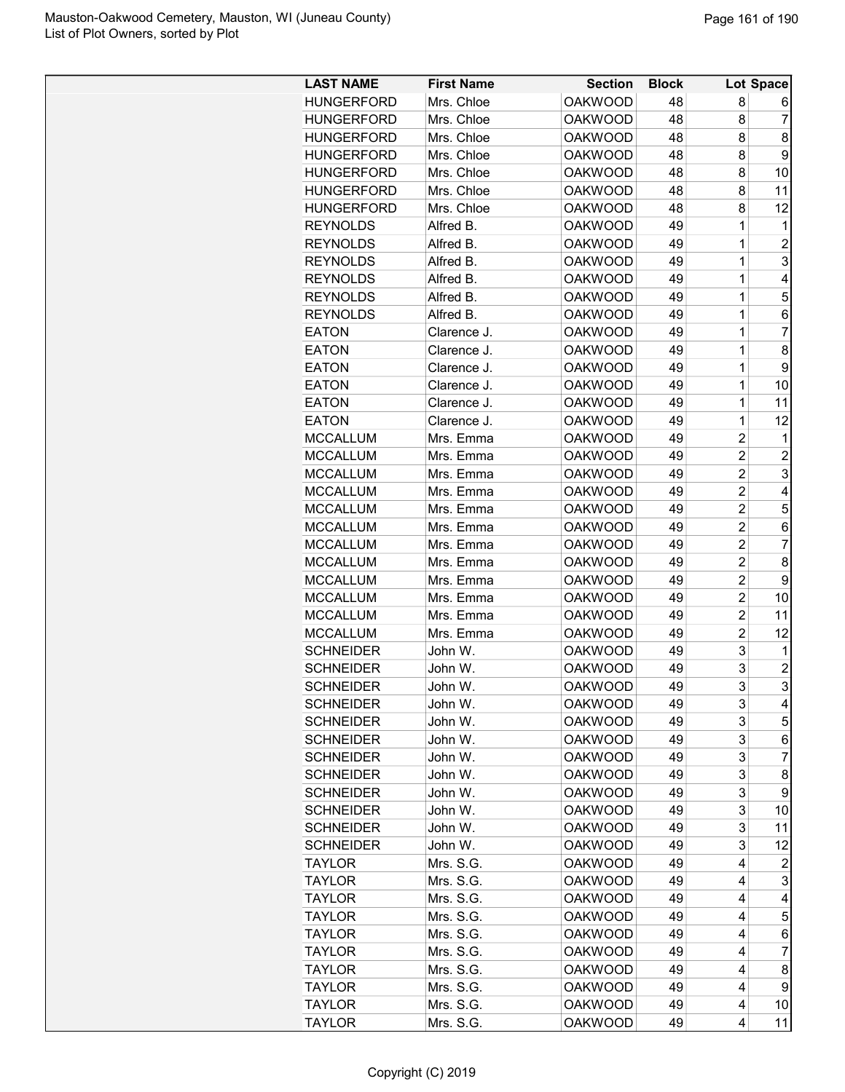| <b>LAST NAME</b>  | <b>First Name</b> | <b>Section</b> | <b>Block</b> |                | Lot Space      |
|-------------------|-------------------|----------------|--------------|----------------|----------------|
| <b>HUNGERFORD</b> | Mrs. Chloe        | <b>OAKWOOD</b> | 48           | 8              | 6              |
| <b>HUNGERFORD</b> | Mrs. Chloe        | <b>OAKWOOD</b> | 48           | 8              | 7              |
| <b>HUNGERFORD</b> | Mrs. Chloe        | <b>OAKWOOD</b> | 48           | 8              | 8              |
| <b>HUNGERFORD</b> | Mrs. Chloe        | <b>OAKWOOD</b> | 48           | 8              | 9              |
| <b>HUNGERFORD</b> | Mrs. Chloe        | <b>OAKWOOD</b> | 48           | 8              | 10             |
| <b>HUNGERFORD</b> | Mrs. Chloe        | <b>OAKWOOD</b> | 48           | 8              | 11             |
| <b>HUNGERFORD</b> | Mrs. Chloe        | <b>OAKWOOD</b> | 48           | 8              | 12             |
| <b>REYNOLDS</b>   | Alfred B.         | <b>OAKWOOD</b> | 49           | 1              | 1              |
| <b>REYNOLDS</b>   | Alfred B.         | <b>OAKWOOD</b> | 49           | $\mathbf 1$    | $\overline{2}$ |
| <b>REYNOLDS</b>   | Alfred B.         | <b>OAKWOOD</b> | 49           | $\mathbf 1$    | 3              |
| <b>REYNOLDS</b>   | Alfred B.         | <b>OAKWOOD</b> | 49           | 1              | 4              |
| <b>REYNOLDS</b>   | Alfred B.         | <b>OAKWOOD</b> | 49           | 1              | 5              |
| <b>REYNOLDS</b>   | Alfred B.         | <b>OAKWOOD</b> | 49           | 1              | 6              |
| <b>EATON</b>      | Clarence J.       | <b>OAKWOOD</b> | 49           | $\mathbf 1$    | $\overline{7}$ |
| <b>EATON</b>      | Clarence J.       | <b>OAKWOOD</b> | 49           | 1              | 8              |
| <b>EATON</b>      | Clarence J.       | <b>OAKWOOD</b> | 49           | $\mathbf 1$    | 9              |
| <b>EATON</b>      | Clarence J.       | <b>OAKWOOD</b> | 49           | $\mathbf 1$    | 10             |
| <b>EATON</b>      | Clarence J.       | <b>OAKWOOD</b> | 49           | $\mathbf 1$    | 11             |
| <b>EATON</b>      | Clarence J.       | <b>OAKWOOD</b> | 49           | 1              | 12             |
| <b>MCCALLUM</b>   | Mrs. Emma         | <b>OAKWOOD</b> | 49           | $\overline{2}$ | 1              |
| <b>MCCALLUM</b>   | Mrs. Emma         | <b>OAKWOOD</b> | 49           | $\overline{2}$ | $\overline{c}$ |
| <b>MCCALLUM</b>   | Mrs. Emma         | <b>OAKWOOD</b> | 49           | $\overline{2}$ | 3              |
| <b>MCCALLUM</b>   | Mrs. Emma         | <b>OAKWOOD</b> | 49           | $\overline{2}$ | 4              |
| <b>MCCALLUM</b>   | Mrs. Emma         | <b>OAKWOOD</b> | 49           | $\overline{2}$ | 5              |
| <b>MCCALLUM</b>   | Mrs. Emma         | <b>OAKWOOD</b> | 49           | $\overline{2}$ | 6              |
| <b>MCCALLUM</b>   | Mrs. Emma         | <b>OAKWOOD</b> | 49           | $\overline{2}$ | 7              |
| <b>MCCALLUM</b>   | Mrs. Emma         | <b>OAKWOOD</b> | 49           | $\overline{2}$ | 8              |
| <b>MCCALLUM</b>   | Mrs. Emma         | <b>OAKWOOD</b> | 49           | $\overline{2}$ | 9              |
| <b>MCCALLUM</b>   | Mrs. Emma         | <b>OAKWOOD</b> | 49           | $\overline{c}$ | 10             |
| <b>MCCALLUM</b>   | Mrs. Emma         | <b>OAKWOOD</b> | 49           | $\overline{2}$ | 11             |
| <b>MCCALLUM</b>   | Mrs. Emma         | <b>OAKWOOD</b> | 49           | $\overline{2}$ | 12             |
| <b>SCHNEIDER</b>  | John W.           | <b>OAKWOOD</b> | 49           | 3              | 1              |
| <b>SCHNEIDER</b>  | John W.           | <b>OAKWOOD</b> | 49           | 3              | $\overline{c}$ |
| <b>SCHNEIDER</b>  | John W.           | <b>OAKWOOD</b> | 49           | 3              | 3              |
| <b>SCHNEIDER</b>  | John W.           | <b>OAKWOOD</b> | 49           | 3              | 4              |
| <b>SCHNEIDER</b>  | John W.           | <b>OAKWOOD</b> | 49           | 3              | 5              |
| <b>SCHNEIDER</b>  | John W.           | <b>OAKWOOD</b> | 49           | 3              | 6              |
| <b>SCHNEIDER</b>  | John W.           | <b>OAKWOOD</b> | 49           | 3              | 7              |
| <b>SCHNEIDER</b>  | John W.           | <b>OAKWOOD</b> | 49           | 3              | 8              |
| <b>SCHNEIDER</b>  | John W.           | <b>OAKWOOD</b> | 49           | 3              | 9              |
| <b>SCHNEIDER</b>  | John W.           | <b>OAKWOOD</b> | 49           | 3              | 10             |
| <b>SCHNEIDER</b>  | John W.           | <b>OAKWOOD</b> | 49           | 3              | 11             |
| <b>SCHNEIDER</b>  | John W.           | <b>OAKWOOD</b> | 49           | 3              | 12             |
| <b>TAYLOR</b>     | Mrs. S.G.         | <b>OAKWOOD</b> | 49           | 4              | 2              |
| <b>TAYLOR</b>     | Mrs. S.G.         | <b>OAKWOOD</b> | 49           | 4              | 3              |
| <b>TAYLOR</b>     | Mrs. S.G.         | <b>OAKWOOD</b> | 49           | 4              | 4              |
| <b>TAYLOR</b>     | Mrs. S.G.         | <b>OAKWOOD</b> | 49           | 4              | 5              |
| <b>TAYLOR</b>     | Mrs. S.G.         | <b>OAKWOOD</b> | 49           | 4              | 6              |
| <b>TAYLOR</b>     | Mrs. S.G.         | <b>OAKWOOD</b> | 49           | 4              | 7              |
| <b>TAYLOR</b>     | Mrs. S.G.         | <b>OAKWOOD</b> | 49           | 4              | 8              |
| <b>TAYLOR</b>     | Mrs. S.G.         | <b>OAKWOOD</b> | 49           | 4              | 9              |
| <b>TAYLOR</b>     | Mrs. S.G.         | <b>OAKWOOD</b> | 49           | 4              | 10             |
| <b>TAYLOR</b>     | Mrs. S.G.         | <b>OAKWOOD</b> | 49           | 4              | 11             |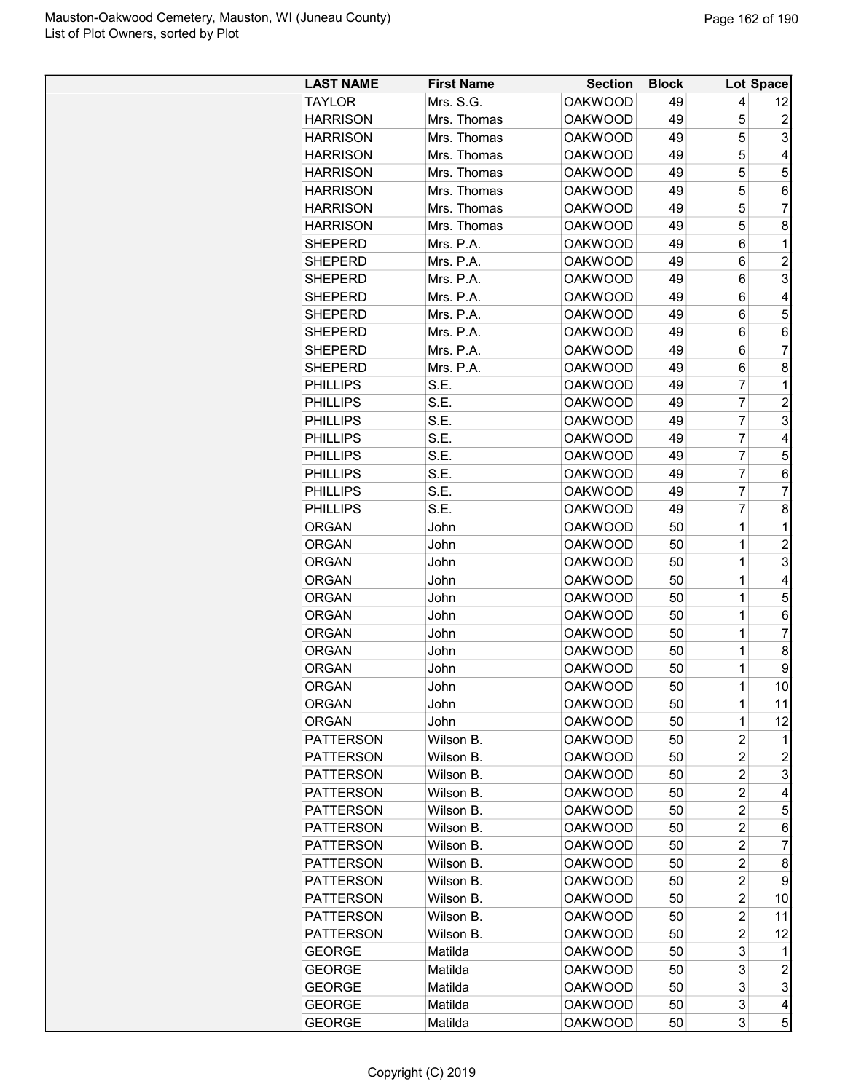| <b>LAST NAME</b> | <b>First Name</b> | <b>Section</b> | <b>Block</b> |                | Lot Space           |
|------------------|-------------------|----------------|--------------|----------------|---------------------|
| <b>TAYLOR</b>    | Mrs. S.G.         | <b>OAKWOOD</b> | 49           | 4              | 12                  |
| <b>HARRISON</b>  | Mrs. Thomas       | <b>OAKWOOD</b> | 49           | 5              | $\overline{c}$      |
| <b>HARRISON</b>  | Mrs. Thomas       | <b>OAKWOOD</b> | 49           | 5              | 3                   |
| <b>HARRISON</b>  | Mrs. Thomas       | <b>OAKWOOD</b> | 49           | 5              | 4                   |
| <b>HARRISON</b>  | Mrs. Thomas       | <b>OAKWOOD</b> | 49           | 5              | 5                   |
| <b>HARRISON</b>  | Mrs. Thomas       | <b>OAKWOOD</b> | 49           | 5              | 6                   |
| <b>HARRISON</b>  | Mrs. Thomas       | <b>OAKWOOD</b> | 49           | 5              | $\overline{7}$      |
| <b>HARRISON</b>  | Mrs. Thomas       | <b>OAKWOOD</b> | 49           | 5              | 8                   |
| <b>SHEPERD</b>   | Mrs. P.A.         | <b>OAKWOOD</b> | 49           | 6              | 1                   |
| <b>SHEPERD</b>   | Mrs. P.A.         | <b>OAKWOOD</b> | 49           | 6              | $\overline{2}$      |
| <b>SHEPERD</b>   | Mrs. P.A.         | <b>OAKWOOD</b> | 49           | 6              | 3                   |
| <b>SHEPERD</b>   | Mrs. P.A.         | <b>OAKWOOD</b> | 49           | 6              | 4                   |
| <b>SHEPERD</b>   | Mrs. P.A.         | <b>OAKWOOD</b> | 49           | 6              | 5                   |
| <b>SHEPERD</b>   | Mrs. P.A.         | <b>OAKWOOD</b> | 49           | 6              | 6                   |
| <b>SHEPERD</b>   | Mrs. P.A.         | <b>OAKWOOD</b> | 49           | 6              | 7                   |
| <b>SHEPERD</b>   | Mrs. P.A.         | <b>OAKWOOD</b> | 49           | 6              | 8                   |
| <b>PHILLIPS</b>  | S.E.              | <b>OAKWOOD</b> | 49           | 7              | 1                   |
| <b>PHILLIPS</b>  | S.E.              | <b>OAKWOOD</b> | 49           | $\overline{7}$ | $\overline{2}$      |
| <b>PHILLIPS</b>  | S.E.              | <b>OAKWOOD</b> | 49           | 7              | 3                   |
| <b>PHILLIPS</b>  | S.E.              | <b>OAKWOOD</b> | 49           | 7              | 4                   |
| <b>PHILLIPS</b>  | S.E.              | <b>OAKWOOD</b> | 49           | 7              | 5                   |
| <b>PHILLIPS</b>  | S.E.              | <b>OAKWOOD</b> | 49           | $\overline{7}$ | 6                   |
| <b>PHILLIPS</b>  | S.E.              | <b>OAKWOOD</b> | 49           | $\overline{7}$ | 7                   |
| <b>PHILLIPS</b>  | S.E.              | <b>OAKWOOD</b> | 49           | $\overline{7}$ | 8                   |
| <b>ORGAN</b>     | John              | <b>OAKWOOD</b> | 50           | $\overline{1}$ | 1                   |
| <b>ORGAN</b>     | John              | <b>OAKWOOD</b> | 50           | 1              | $\overline{2}$      |
| <b>ORGAN</b>     | John              | <b>OAKWOOD</b> | 50           | 1              | 3                   |
| <b>ORGAN</b>     | John              | <b>OAKWOOD</b> | 50           | 1              | 4                   |
| <b>ORGAN</b>     | John              | <b>OAKWOOD</b> | 50           | 1              | 5                   |
| <b>ORGAN</b>     | John              | <b>OAKWOOD</b> | 50           | 1              | 6                   |
| <b>ORGAN</b>     | John              | <b>OAKWOOD</b> | 50           | $\overline{1}$ | $\overline{7}$      |
| <b>ORGAN</b>     | John              | <b>OAKWOOD</b> | 50           | $\overline{1}$ | 8                   |
| <b>ORGAN</b>     | John              | <b>OAKWOOD</b> | 50           | 1              | 9                   |
| <b>ORGAN</b>     | John              | <b>OAKWOOD</b> | 50           | $\mathbf 1$    | 10                  |
| <b>ORGAN</b>     | John              | <b>OAKWOOD</b> | 50           | 1              | 11                  |
| <b>ORGAN</b>     | John              | <b>OAKWOOD</b> | 50           | 1              | 12                  |
| <b>PATTERSON</b> | Wilson B.         | <b>OAKWOOD</b> | 50           | $\overline{2}$ | 1                   |
| <b>PATTERSON</b> | Wilson B.         | <b>OAKWOOD</b> | 50           | 2              | $\overline{c}$      |
| <b>PATTERSON</b> | Wilson B.         | <b>OAKWOOD</b> | 50           | 2              | 3                   |
| <b>PATTERSON</b> | Wilson B.         | <b>OAKWOOD</b> | 50           | $\overline{c}$ | 4                   |
| <b>PATTERSON</b> | Wilson B.         | <b>OAKWOOD</b> | 50           | $\overline{c}$ | 5                   |
| <b>PATTERSON</b> | Wilson B.         | <b>OAKWOOD</b> | 50           | 2              | 6                   |
| <b>PATTERSON</b> | Wilson B.         | <b>OAKWOOD</b> | 50           | $\overline{2}$ | $\overline{7}$      |
| <b>PATTERSON</b> | Wilson B.         | <b>OAKWOOD</b> | 50           | 2              | 8                   |
| <b>PATTERSON</b> | Wilson B.         | <b>OAKWOOD</b> | 50           | $\overline{c}$ | 9                   |
| <b>PATTERSON</b> | Wilson B.         | <b>OAKWOOD</b> | 50           | 2              | 10                  |
| <b>PATTERSON</b> | Wilson B.         | <b>OAKWOOD</b> | 50           | $\overline{c}$ | 11                  |
| <b>PATTERSON</b> | Wilson B.         | <b>OAKWOOD</b> | 50           | 2              | 12                  |
|                  |                   |                |              | 3              |                     |
| <b>GEORGE</b>    | Matilda           | <b>OAKWOOD</b> | 50           |                | 1<br>$\overline{c}$ |
| <b>GEORGE</b>    | Matilda           | <b>OAKWOOD</b> | 50           | 3<br>3         | 3                   |
| <b>GEORGE</b>    | Matilda           | <b>OAKWOOD</b> | 50           |                |                     |
| <b>GEORGE</b>    | Matilda           | <b>OAKWOOD</b> | 50           | 3              | 4                   |
| <b>GEORGE</b>    | Matilda           | <b>OAKWOOD</b> | 50           | 3              | 5                   |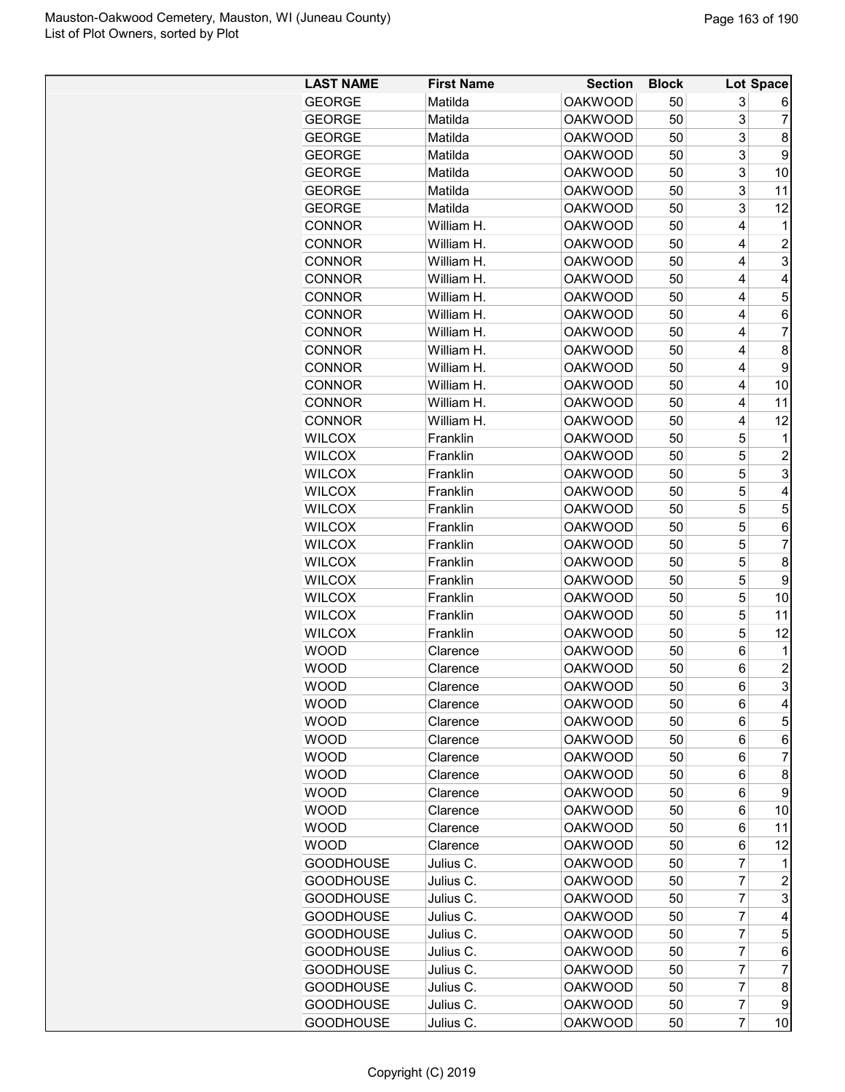| <b>LAST NAME</b>           | <b>First Name</b>    | <b>Section</b>                   | <b>Block</b> |                | Lot Space                 |
|----------------------------|----------------------|----------------------------------|--------------|----------------|---------------------------|
| <b>GEORGE</b>              | Matilda              | <b>OAKWOOD</b>                   | 50           | 3              | 6                         |
| <b>GEORGE</b>              | Matilda              | <b>OAKWOOD</b>                   | 50           | 3              | 7                         |
| <b>GEORGE</b>              | Matilda              | <b>OAKWOOD</b>                   | 50           | 3              | 8                         |
| <b>GEORGE</b>              | Matilda              | <b>OAKWOOD</b>                   | 50           | 3              | 9                         |
| <b>GEORGE</b>              | Matilda              | <b>OAKWOOD</b>                   | 50           | 3              | 10                        |
| <b>GEORGE</b>              | Matilda              | <b>OAKWOOD</b>                   | 50           | 3              | 11                        |
| <b>GEORGE</b>              | Matilda              | <b>OAKWOOD</b>                   | 50           | 3              | 12                        |
| <b>CONNOR</b>              | William H.           | <b>OAKWOOD</b>                   | 50           | 4              | 1                         |
| <b>CONNOR</b>              | William H.           | <b>OAKWOOD</b>                   | 50           | 4              | $\overline{c}$            |
| <b>CONNOR</b>              | William H.           | <b>OAKWOOD</b>                   | 50           | 4              | $\ensuremath{\mathsf{3}}$ |
| <b>CONNOR</b>              | William H.           | <b>OAKWOOD</b>                   | 50           | 4              | 4                         |
| <b>CONNOR</b>              | William H.           | <b>OAKWOOD</b>                   | 50           | 4              | 5                         |
| <b>CONNOR</b>              | William H.           | <b>OAKWOOD</b>                   | 50           | 4              | 6                         |
| <b>CONNOR</b>              | William H.           | <b>OAKWOOD</b>                   | 50           | 4              | 7                         |
| <b>CONNOR</b>              | William H.           | <b>OAKWOOD</b>                   | 50           | 4              | 8                         |
| <b>CONNOR</b>              | William H.           | <b>OAKWOOD</b>                   | 50           | 4              | 9                         |
| <b>CONNOR</b>              | William H.           | <b>OAKWOOD</b>                   | 50           | 4              | 10                        |
| <b>CONNOR</b>              | William H.           | <b>OAKWOOD</b>                   | 50           | 4              | 11                        |
| <b>CONNOR</b>              | William H.           | <b>OAKWOOD</b>                   | 50           | 4              | 12                        |
| <b>WILCOX</b>              | Franklin             | <b>OAKWOOD</b>                   | 50           | 5              | 1                         |
| <b>WILCOX</b>              | Franklin             | <b>OAKWOOD</b>                   | 50           | 5              | $\overline{c}$            |
| <b>WILCOX</b>              | Franklin             | <b>OAKWOOD</b>                   | 50           | 5              | 3                         |
| <b>WILCOX</b>              | Franklin             | <b>OAKWOOD</b>                   | 50           | 5              | 4                         |
| <b>WILCOX</b>              | Franklin             | <b>OAKWOOD</b>                   | 50           | 5              | 5                         |
| <b>WILCOX</b>              | Franklin             | <b>OAKWOOD</b>                   | 50           | 5              | 6                         |
| <b>WILCOX</b>              | Franklin             | <b>OAKWOOD</b>                   | 50           | 5              | 7                         |
| <b>WILCOX</b>              | Franklin             | <b>OAKWOOD</b>                   | 50           | 5              | 8                         |
| <b>WILCOX</b>              | Franklin             | <b>OAKWOOD</b>                   | 50           | 5              | 9                         |
| <b>WILCOX</b>              | Franklin             | <b>OAKWOOD</b>                   | 50           | 5              | 10                        |
| <b>WILCOX</b>              | Franklin             | <b>OAKWOOD</b>                   | 50           | 5              | 11                        |
| <b>WILCOX</b>              | Franklin             | <b>OAKWOOD</b>                   | 50           | 5              | 12                        |
| <b>WOOD</b>                | Clarence             | <b>OAKWOOD</b>                   | 50           | 6              | 1                         |
| <b>WOOD</b>                | Clarence             | <b>OAKWOOD</b>                   | 50           | 6              | $\overline{\mathbf{c}}$   |
| <b>WOOD</b>                | Clarence             | <b>OAKWOOD</b>                   | 50           | 6              | 3                         |
| <b>WOOD</b>                |                      | <b>OAKWOOD</b>                   | 50           | 6              | 4                         |
| <b>WOOD</b>                | Clarence<br>Clarence | <b>OAKWOOD</b>                   | 50           | 6              | 5                         |
| <b>WOOD</b>                | Clarence             | <b>OAKWOOD</b>                   | 50           | 6              | 6                         |
| <b>WOOD</b>                | Clarence             | <b>OAKWOOD</b>                   | 50           | 6              | 7                         |
| <b>WOOD</b>                |                      | <b>OAKWOOD</b>                   | 50           | 6              | 8                         |
| <b>WOOD</b>                | Clarence<br>Clarence | <b>OAKWOOD</b>                   | 50           | 6              | 9                         |
|                            |                      |                                  |              |                |                           |
| <b>WOOD</b>                | Clarence             | <b>OAKWOOD</b>                   | 50           | 6              | 10                        |
| <b>WOOD</b><br><b>WOOD</b> | Clarence             | <b>OAKWOOD</b><br><b>OAKWOOD</b> | 50           | 6              | 11                        |
| <b>GOODHOUSE</b>           | Clarence             | <b>OAKWOOD</b>                   | 50           | 6              | 12                        |
|                            | Julius C.            |                                  | 50           | 7              | 1                         |
| <b>GOODHOUSE</b>           | Julius C.            | <b>OAKWOOD</b>                   | 50           | 7              | $\overline{c}$            |
| <b>GOODHOUSE</b>           | Julius C.            | <b>OAKWOOD</b>                   | 50           | 7              | 3                         |
| <b>GOODHOUSE</b>           | Julius C.            | <b>OAKWOOD</b>                   | 50           | $\overline{7}$ | 4                         |
| <b>GOODHOUSE</b>           | Julius C.            | <b>OAKWOOD</b>                   | 50           | $\overline{7}$ | 5                         |
| <b>GOODHOUSE</b>           | Julius C.            | <b>OAKWOOD</b>                   | 50           | 7              | 6                         |
| <b>GOODHOUSE</b>           | Julius C.            | <b>OAKWOOD</b>                   | 50           | 7              | 7                         |
| <b>GOODHOUSE</b>           | Julius C.            | <b>OAKWOOD</b>                   | 50           | 7              | 8                         |
| <b>GOODHOUSE</b>           | Julius C.            | <b>OAKWOOD</b>                   | 50           | 7              | 9                         |
| <b>GOODHOUSE</b>           | Julius C.            | <b>OAKWOOD</b>                   | 50           | 7              | 10                        |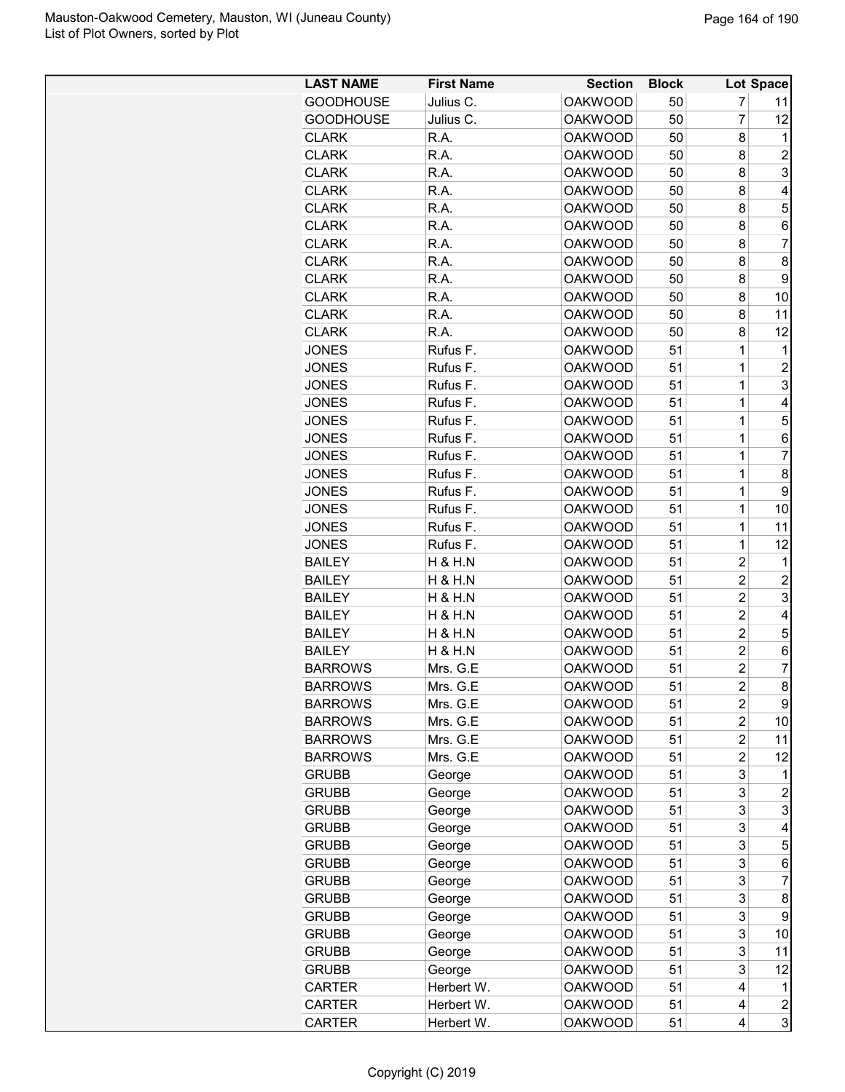| <b>GOODHOUSE</b><br><b>OAKWOOD</b><br>7<br>Julius C.<br>50<br>11<br>$\overline{7}$<br><b>GOODHOUSE</b><br>Julius C.<br><b>OAKWOOD</b><br>50<br>12<br><b>OAKWOOD</b><br><b>CLARK</b><br>R.A.<br>50<br>8<br>1<br><b>OAKWOOD</b><br>8<br>$\overline{2}$<br><b>CLARK</b><br>R.A.<br>50<br>3<br><b>CLARK</b><br>R.A.<br><b>OAKWOOD</b><br>50<br>8<br><b>CLARK</b><br>R.A.<br><b>OAKWOOD</b><br>50<br>8<br>4<br>5<br><b>CLARK</b><br>R.A.<br><b>OAKWOOD</b><br>8<br>50<br><b>CLARK</b><br>R.A.<br><b>OAKWOOD</b><br>8<br>50<br>6<br>7<br>R.A.<br><b>OAKWOOD</b><br>50<br>8<br><b>CLARK</b><br><b>CLARK</b><br>R.A.<br><b>OAKWOOD</b><br>50<br>8<br>8<br><b>CLARK</b><br><b>OAKWOOD</b><br>8<br>9<br>R.A.<br>50<br><b>CLARK</b><br>R.A.<br><b>OAKWOOD</b><br>50<br>8<br>10<br>R.A.<br><b>OAKWOOD</b><br>50<br>8<br>11<br><b>CLARK</b><br>R.A.<br>12<br><b>CLARK</b><br><b>OAKWOOD</b><br>50<br>8<br><b>OAKWOOD</b><br>51<br>1<br>JONES<br>Rufus F.<br>1<br>$\mathbf 1$<br><b>OAKWOOD</b><br>51<br>$\overline{c}$<br>JONES<br>Rufus F.<br>$\mathbf 1$<br>3<br>Rufus F.<br><b>OAKWOOD</b><br>51<br><b>JONES</b><br>$\mathbf 1$<br><b>OAKWOOD</b><br>JONES<br>Rufus F.<br>51<br>4<br><b>JONES</b><br>Rufus F.<br><b>OAKWOOD</b><br>51<br>1<br>5<br><b>JONES</b><br>Rufus F.<br><b>OAKWOOD</b><br>51<br>1<br>6<br>$\mathbf 1$<br>$\overline{7}$<br><b>OAKWOOD</b><br>51<br><b>JONES</b><br>Rufus F.<br>$\mathbf 1$<br>8<br><b>OAKWOOD</b><br>51<br><b>JONES</b><br>Rufus F.<br>9<br>Rufus F.<br><b>OAKWOOD</b><br>51<br>1<br>JONES<br>Rufus F.<br><b>OAKWOOD</b><br>51<br>1<br>JONES<br>10<br>JONES<br>Rufus F.<br><b>OAKWOOD</b><br>51<br>1<br>11<br><b>JONES</b><br>Rufus F.<br><b>OAKWOOD</b><br>51<br>12<br>1<br><b>BAILEY</b><br><b>H &amp; H.N</b><br><b>OAKWOOD</b><br>51<br>2<br>1<br>$\overline{2}$<br><b>H &amp; H.N</b><br><b>OAKWOOD</b><br>51<br>2<br><b>BAILEY</b><br>$\overline{2}$<br>3<br><b>OAKWOOD</b><br>51<br><b>BAILEY</b><br>H & H.N<br>$\overline{2}$<br><b>OAKWOOD</b><br>51<br><b>BAILEY</b><br>H & H.N<br>4<br>$\overline{c}$<br><b>BAILEY</b><br><b>OAKWOOD</b><br>51<br>5<br>H & H.N<br>$\overline{c}$<br><b>BAILEY</b><br>H & H.N<br><b>OAKWOOD</b><br>51<br>6<br>$\overline{c}$<br><b>BARROWS</b><br><b>OAKWOOD</b><br>51<br>7<br>Mrs. G.E<br>$\overline{c}$<br>$\mathsf{R}$<br>51<br><b>BARROWS</b><br><b>OAKWOOD</b><br>Mrs. G.E<br>9<br><b>BARROWS</b><br>Mrs. G.E<br><b>OAKWOOD</b><br>51<br>2<br>$\overline{2}$<br>Mrs. G.E<br>51<br><b>BARROWS</b><br><b>OAKWOOD</b><br>10<br>$\overline{2}$<br>Mrs. G.E<br>51<br>11<br><b>BARROWS</b><br><b>OAKWOOD</b><br>Mrs. G.E<br><b>OAKWOOD</b><br>51<br>2<br><b>BARROWS</b><br>12<br>3<br><b>OAKWOOD</b><br>51<br><b>GRUBB</b><br>George<br>1<br>3<br><b>GRUBB</b><br><b>OAKWOOD</b><br>51<br>$\overline{c}$<br>George<br>3<br>3<br><b>GRUBB</b><br><b>OAKWOOD</b><br>51<br>George<br>3<br><b>GRUBB</b><br><b>OAKWOOD</b><br>51<br>George<br>4<br>3<br>5<br><b>OAKWOOD</b><br>51<br><b>GRUBB</b><br>George<br>3<br><b>OAKWOOD</b><br>51<br>6<br><b>GRUBB</b><br>George<br>3<br>7<br><b>OAKWOOD</b><br>51<br><b>GRUBB</b><br>George<br>3<br>51<br><b>GRUBB</b><br><b>OAKWOOD</b><br>8<br>George<br><b>OAKWOOD</b><br>51<br>3<br><b>GRUBB</b><br>9<br>George<br><b>OAKWOOD</b><br>51<br>3<br><b>GRUBB</b><br>George<br>10<br>3<br><b>OAKWOOD</b><br>51<br>11<br><b>GRUBB</b><br>George<br>3<br>51<br>12<br><b>GRUBB</b><br>George<br><b>OAKWOOD</b><br>51<br>Herbert W.<br><b>OAKWOOD</b><br>4<br><b>CARTER</b><br>1<br>51<br><b>CARTER</b><br>Herbert W.<br><b>OAKWOOD</b><br>$\overline{c}$<br>4 | <b>LAST NAME</b> | <b>First Name</b> | <b>Section</b> | <b>Block</b> |   | Lot Space |
|--------------------------------------------------------------------------------------------------------------------------------------------------------------------------------------------------------------------------------------------------------------------------------------------------------------------------------------------------------------------------------------------------------------------------------------------------------------------------------------------------------------------------------------------------------------------------------------------------------------------------------------------------------------------------------------------------------------------------------------------------------------------------------------------------------------------------------------------------------------------------------------------------------------------------------------------------------------------------------------------------------------------------------------------------------------------------------------------------------------------------------------------------------------------------------------------------------------------------------------------------------------------------------------------------------------------------------------------------------------------------------------------------------------------------------------------------------------------------------------------------------------------------------------------------------------------------------------------------------------------------------------------------------------------------------------------------------------------------------------------------------------------------------------------------------------------------------------------------------------------------------------------------------------------------------------------------------------------------------------------------------------------------------------------------------------------------------------------------------------------------------------------------------------------------------------------------------------------------------------------------------------------------------------------------------------------------------------------------------------------------------------------------------------------------------------------------------------------------------------------------------------------------------------------------------------------------------------------------------------------------------------------------------------------------------------------------------------------------------------------------------------------------------------------------------------------------------------------------------------------------------------------------------------------------------------------------------------------------------------------------------------------------------------------------------------------------------------------------------------------------------------------------------------------------------------------------------------------------------------------------------------------------------------------------------------------------------------------------------------------------------------------------------------------------------------------------------------------------------------------------------------------------------------------------------------------|------------------|-------------------|----------------|--------------|---|-----------|
|                                                                                                                                                                                                                                                                                                                                                                                                                                                                                                                                                                                                                                                                                                                                                                                                                                                                                                                                                                                                                                                                                                                                                                                                                                                                                                                                                                                                                                                                                                                                                                                                                                                                                                                                                                                                                                                                                                                                                                                                                                                                                                                                                                                                                                                                                                                                                                                                                                                                                                                                                                                                                                                                                                                                                                                                                                                                                                                                                                                                                                                                                                                                                                                                                                                                                                                                                                                                                                                                                                                                                                    |                  |                   |                |              |   |           |
|                                                                                                                                                                                                                                                                                                                                                                                                                                                                                                                                                                                                                                                                                                                                                                                                                                                                                                                                                                                                                                                                                                                                                                                                                                                                                                                                                                                                                                                                                                                                                                                                                                                                                                                                                                                                                                                                                                                                                                                                                                                                                                                                                                                                                                                                                                                                                                                                                                                                                                                                                                                                                                                                                                                                                                                                                                                                                                                                                                                                                                                                                                                                                                                                                                                                                                                                                                                                                                                                                                                                                                    |                  |                   |                |              |   |           |
|                                                                                                                                                                                                                                                                                                                                                                                                                                                                                                                                                                                                                                                                                                                                                                                                                                                                                                                                                                                                                                                                                                                                                                                                                                                                                                                                                                                                                                                                                                                                                                                                                                                                                                                                                                                                                                                                                                                                                                                                                                                                                                                                                                                                                                                                                                                                                                                                                                                                                                                                                                                                                                                                                                                                                                                                                                                                                                                                                                                                                                                                                                                                                                                                                                                                                                                                                                                                                                                                                                                                                                    |                  |                   |                |              |   |           |
|                                                                                                                                                                                                                                                                                                                                                                                                                                                                                                                                                                                                                                                                                                                                                                                                                                                                                                                                                                                                                                                                                                                                                                                                                                                                                                                                                                                                                                                                                                                                                                                                                                                                                                                                                                                                                                                                                                                                                                                                                                                                                                                                                                                                                                                                                                                                                                                                                                                                                                                                                                                                                                                                                                                                                                                                                                                                                                                                                                                                                                                                                                                                                                                                                                                                                                                                                                                                                                                                                                                                                                    |                  |                   |                |              |   |           |
|                                                                                                                                                                                                                                                                                                                                                                                                                                                                                                                                                                                                                                                                                                                                                                                                                                                                                                                                                                                                                                                                                                                                                                                                                                                                                                                                                                                                                                                                                                                                                                                                                                                                                                                                                                                                                                                                                                                                                                                                                                                                                                                                                                                                                                                                                                                                                                                                                                                                                                                                                                                                                                                                                                                                                                                                                                                                                                                                                                                                                                                                                                                                                                                                                                                                                                                                                                                                                                                                                                                                                                    |                  |                   |                |              |   |           |
|                                                                                                                                                                                                                                                                                                                                                                                                                                                                                                                                                                                                                                                                                                                                                                                                                                                                                                                                                                                                                                                                                                                                                                                                                                                                                                                                                                                                                                                                                                                                                                                                                                                                                                                                                                                                                                                                                                                                                                                                                                                                                                                                                                                                                                                                                                                                                                                                                                                                                                                                                                                                                                                                                                                                                                                                                                                                                                                                                                                                                                                                                                                                                                                                                                                                                                                                                                                                                                                                                                                                                                    |                  |                   |                |              |   |           |
|                                                                                                                                                                                                                                                                                                                                                                                                                                                                                                                                                                                                                                                                                                                                                                                                                                                                                                                                                                                                                                                                                                                                                                                                                                                                                                                                                                                                                                                                                                                                                                                                                                                                                                                                                                                                                                                                                                                                                                                                                                                                                                                                                                                                                                                                                                                                                                                                                                                                                                                                                                                                                                                                                                                                                                                                                                                                                                                                                                                                                                                                                                                                                                                                                                                                                                                                                                                                                                                                                                                                                                    |                  |                   |                |              |   |           |
|                                                                                                                                                                                                                                                                                                                                                                                                                                                                                                                                                                                                                                                                                                                                                                                                                                                                                                                                                                                                                                                                                                                                                                                                                                                                                                                                                                                                                                                                                                                                                                                                                                                                                                                                                                                                                                                                                                                                                                                                                                                                                                                                                                                                                                                                                                                                                                                                                                                                                                                                                                                                                                                                                                                                                                                                                                                                                                                                                                                                                                                                                                                                                                                                                                                                                                                                                                                                                                                                                                                                                                    |                  |                   |                |              |   |           |
|                                                                                                                                                                                                                                                                                                                                                                                                                                                                                                                                                                                                                                                                                                                                                                                                                                                                                                                                                                                                                                                                                                                                                                                                                                                                                                                                                                                                                                                                                                                                                                                                                                                                                                                                                                                                                                                                                                                                                                                                                                                                                                                                                                                                                                                                                                                                                                                                                                                                                                                                                                                                                                                                                                                                                                                                                                                                                                                                                                                                                                                                                                                                                                                                                                                                                                                                                                                                                                                                                                                                                                    |                  |                   |                |              |   |           |
|                                                                                                                                                                                                                                                                                                                                                                                                                                                                                                                                                                                                                                                                                                                                                                                                                                                                                                                                                                                                                                                                                                                                                                                                                                                                                                                                                                                                                                                                                                                                                                                                                                                                                                                                                                                                                                                                                                                                                                                                                                                                                                                                                                                                                                                                                                                                                                                                                                                                                                                                                                                                                                                                                                                                                                                                                                                                                                                                                                                                                                                                                                                                                                                                                                                                                                                                                                                                                                                                                                                                                                    |                  |                   |                |              |   |           |
|                                                                                                                                                                                                                                                                                                                                                                                                                                                                                                                                                                                                                                                                                                                                                                                                                                                                                                                                                                                                                                                                                                                                                                                                                                                                                                                                                                                                                                                                                                                                                                                                                                                                                                                                                                                                                                                                                                                                                                                                                                                                                                                                                                                                                                                                                                                                                                                                                                                                                                                                                                                                                                                                                                                                                                                                                                                                                                                                                                                                                                                                                                                                                                                                                                                                                                                                                                                                                                                                                                                                                                    |                  |                   |                |              |   |           |
|                                                                                                                                                                                                                                                                                                                                                                                                                                                                                                                                                                                                                                                                                                                                                                                                                                                                                                                                                                                                                                                                                                                                                                                                                                                                                                                                                                                                                                                                                                                                                                                                                                                                                                                                                                                                                                                                                                                                                                                                                                                                                                                                                                                                                                                                                                                                                                                                                                                                                                                                                                                                                                                                                                                                                                                                                                                                                                                                                                                                                                                                                                                                                                                                                                                                                                                                                                                                                                                                                                                                                                    |                  |                   |                |              |   |           |
|                                                                                                                                                                                                                                                                                                                                                                                                                                                                                                                                                                                                                                                                                                                                                                                                                                                                                                                                                                                                                                                                                                                                                                                                                                                                                                                                                                                                                                                                                                                                                                                                                                                                                                                                                                                                                                                                                                                                                                                                                                                                                                                                                                                                                                                                                                                                                                                                                                                                                                                                                                                                                                                                                                                                                                                                                                                                                                                                                                                                                                                                                                                                                                                                                                                                                                                                                                                                                                                                                                                                                                    |                  |                   |                |              |   |           |
|                                                                                                                                                                                                                                                                                                                                                                                                                                                                                                                                                                                                                                                                                                                                                                                                                                                                                                                                                                                                                                                                                                                                                                                                                                                                                                                                                                                                                                                                                                                                                                                                                                                                                                                                                                                                                                                                                                                                                                                                                                                                                                                                                                                                                                                                                                                                                                                                                                                                                                                                                                                                                                                                                                                                                                                                                                                                                                                                                                                                                                                                                                                                                                                                                                                                                                                                                                                                                                                                                                                                                                    |                  |                   |                |              |   |           |
|                                                                                                                                                                                                                                                                                                                                                                                                                                                                                                                                                                                                                                                                                                                                                                                                                                                                                                                                                                                                                                                                                                                                                                                                                                                                                                                                                                                                                                                                                                                                                                                                                                                                                                                                                                                                                                                                                                                                                                                                                                                                                                                                                                                                                                                                                                                                                                                                                                                                                                                                                                                                                                                                                                                                                                                                                                                                                                                                                                                                                                                                                                                                                                                                                                                                                                                                                                                                                                                                                                                                                                    |                  |                   |                |              |   |           |
|                                                                                                                                                                                                                                                                                                                                                                                                                                                                                                                                                                                                                                                                                                                                                                                                                                                                                                                                                                                                                                                                                                                                                                                                                                                                                                                                                                                                                                                                                                                                                                                                                                                                                                                                                                                                                                                                                                                                                                                                                                                                                                                                                                                                                                                                                                                                                                                                                                                                                                                                                                                                                                                                                                                                                                                                                                                                                                                                                                                                                                                                                                                                                                                                                                                                                                                                                                                                                                                                                                                                                                    |                  |                   |                |              |   |           |
|                                                                                                                                                                                                                                                                                                                                                                                                                                                                                                                                                                                                                                                                                                                                                                                                                                                                                                                                                                                                                                                                                                                                                                                                                                                                                                                                                                                                                                                                                                                                                                                                                                                                                                                                                                                                                                                                                                                                                                                                                                                                                                                                                                                                                                                                                                                                                                                                                                                                                                                                                                                                                                                                                                                                                                                                                                                                                                                                                                                                                                                                                                                                                                                                                                                                                                                                                                                                                                                                                                                                                                    |                  |                   |                |              |   |           |
|                                                                                                                                                                                                                                                                                                                                                                                                                                                                                                                                                                                                                                                                                                                                                                                                                                                                                                                                                                                                                                                                                                                                                                                                                                                                                                                                                                                                                                                                                                                                                                                                                                                                                                                                                                                                                                                                                                                                                                                                                                                                                                                                                                                                                                                                                                                                                                                                                                                                                                                                                                                                                                                                                                                                                                                                                                                                                                                                                                                                                                                                                                                                                                                                                                                                                                                                                                                                                                                                                                                                                                    |                  |                   |                |              |   |           |
|                                                                                                                                                                                                                                                                                                                                                                                                                                                                                                                                                                                                                                                                                                                                                                                                                                                                                                                                                                                                                                                                                                                                                                                                                                                                                                                                                                                                                                                                                                                                                                                                                                                                                                                                                                                                                                                                                                                                                                                                                                                                                                                                                                                                                                                                                                                                                                                                                                                                                                                                                                                                                                                                                                                                                                                                                                                                                                                                                                                                                                                                                                                                                                                                                                                                                                                                                                                                                                                                                                                                                                    |                  |                   |                |              |   |           |
|                                                                                                                                                                                                                                                                                                                                                                                                                                                                                                                                                                                                                                                                                                                                                                                                                                                                                                                                                                                                                                                                                                                                                                                                                                                                                                                                                                                                                                                                                                                                                                                                                                                                                                                                                                                                                                                                                                                                                                                                                                                                                                                                                                                                                                                                                                                                                                                                                                                                                                                                                                                                                                                                                                                                                                                                                                                                                                                                                                                                                                                                                                                                                                                                                                                                                                                                                                                                                                                                                                                                                                    |                  |                   |                |              |   |           |
|                                                                                                                                                                                                                                                                                                                                                                                                                                                                                                                                                                                                                                                                                                                                                                                                                                                                                                                                                                                                                                                                                                                                                                                                                                                                                                                                                                                                                                                                                                                                                                                                                                                                                                                                                                                                                                                                                                                                                                                                                                                                                                                                                                                                                                                                                                                                                                                                                                                                                                                                                                                                                                                                                                                                                                                                                                                                                                                                                                                                                                                                                                                                                                                                                                                                                                                                                                                                                                                                                                                                                                    |                  |                   |                |              |   |           |
|                                                                                                                                                                                                                                                                                                                                                                                                                                                                                                                                                                                                                                                                                                                                                                                                                                                                                                                                                                                                                                                                                                                                                                                                                                                                                                                                                                                                                                                                                                                                                                                                                                                                                                                                                                                                                                                                                                                                                                                                                                                                                                                                                                                                                                                                                                                                                                                                                                                                                                                                                                                                                                                                                                                                                                                                                                                                                                                                                                                                                                                                                                                                                                                                                                                                                                                                                                                                                                                                                                                                                                    |                  |                   |                |              |   |           |
|                                                                                                                                                                                                                                                                                                                                                                                                                                                                                                                                                                                                                                                                                                                                                                                                                                                                                                                                                                                                                                                                                                                                                                                                                                                                                                                                                                                                                                                                                                                                                                                                                                                                                                                                                                                                                                                                                                                                                                                                                                                                                                                                                                                                                                                                                                                                                                                                                                                                                                                                                                                                                                                                                                                                                                                                                                                                                                                                                                                                                                                                                                                                                                                                                                                                                                                                                                                                                                                                                                                                                                    |                  |                   |                |              |   |           |
|                                                                                                                                                                                                                                                                                                                                                                                                                                                                                                                                                                                                                                                                                                                                                                                                                                                                                                                                                                                                                                                                                                                                                                                                                                                                                                                                                                                                                                                                                                                                                                                                                                                                                                                                                                                                                                                                                                                                                                                                                                                                                                                                                                                                                                                                                                                                                                                                                                                                                                                                                                                                                                                                                                                                                                                                                                                                                                                                                                                                                                                                                                                                                                                                                                                                                                                                                                                                                                                                                                                                                                    |                  |                   |                |              |   |           |
|                                                                                                                                                                                                                                                                                                                                                                                                                                                                                                                                                                                                                                                                                                                                                                                                                                                                                                                                                                                                                                                                                                                                                                                                                                                                                                                                                                                                                                                                                                                                                                                                                                                                                                                                                                                                                                                                                                                                                                                                                                                                                                                                                                                                                                                                                                                                                                                                                                                                                                                                                                                                                                                                                                                                                                                                                                                                                                                                                                                                                                                                                                                                                                                                                                                                                                                                                                                                                                                                                                                                                                    |                  |                   |                |              |   |           |
|                                                                                                                                                                                                                                                                                                                                                                                                                                                                                                                                                                                                                                                                                                                                                                                                                                                                                                                                                                                                                                                                                                                                                                                                                                                                                                                                                                                                                                                                                                                                                                                                                                                                                                                                                                                                                                                                                                                                                                                                                                                                                                                                                                                                                                                                                                                                                                                                                                                                                                                                                                                                                                                                                                                                                                                                                                                                                                                                                                                                                                                                                                                                                                                                                                                                                                                                                                                                                                                                                                                                                                    |                  |                   |                |              |   |           |
|                                                                                                                                                                                                                                                                                                                                                                                                                                                                                                                                                                                                                                                                                                                                                                                                                                                                                                                                                                                                                                                                                                                                                                                                                                                                                                                                                                                                                                                                                                                                                                                                                                                                                                                                                                                                                                                                                                                                                                                                                                                                                                                                                                                                                                                                                                                                                                                                                                                                                                                                                                                                                                                                                                                                                                                                                                                                                                                                                                                                                                                                                                                                                                                                                                                                                                                                                                                                                                                                                                                                                                    |                  |                   |                |              |   |           |
|                                                                                                                                                                                                                                                                                                                                                                                                                                                                                                                                                                                                                                                                                                                                                                                                                                                                                                                                                                                                                                                                                                                                                                                                                                                                                                                                                                                                                                                                                                                                                                                                                                                                                                                                                                                                                                                                                                                                                                                                                                                                                                                                                                                                                                                                                                                                                                                                                                                                                                                                                                                                                                                                                                                                                                                                                                                                                                                                                                                                                                                                                                                                                                                                                                                                                                                                                                                                                                                                                                                                                                    |                  |                   |                |              |   |           |
|                                                                                                                                                                                                                                                                                                                                                                                                                                                                                                                                                                                                                                                                                                                                                                                                                                                                                                                                                                                                                                                                                                                                                                                                                                                                                                                                                                                                                                                                                                                                                                                                                                                                                                                                                                                                                                                                                                                                                                                                                                                                                                                                                                                                                                                                                                                                                                                                                                                                                                                                                                                                                                                                                                                                                                                                                                                                                                                                                                                                                                                                                                                                                                                                                                                                                                                                                                                                                                                                                                                                                                    |                  |                   |                |              |   |           |
|                                                                                                                                                                                                                                                                                                                                                                                                                                                                                                                                                                                                                                                                                                                                                                                                                                                                                                                                                                                                                                                                                                                                                                                                                                                                                                                                                                                                                                                                                                                                                                                                                                                                                                                                                                                                                                                                                                                                                                                                                                                                                                                                                                                                                                                                                                                                                                                                                                                                                                                                                                                                                                                                                                                                                                                                                                                                                                                                                                                                                                                                                                                                                                                                                                                                                                                                                                                                                                                                                                                                                                    |                  |                   |                |              |   |           |
|                                                                                                                                                                                                                                                                                                                                                                                                                                                                                                                                                                                                                                                                                                                                                                                                                                                                                                                                                                                                                                                                                                                                                                                                                                                                                                                                                                                                                                                                                                                                                                                                                                                                                                                                                                                                                                                                                                                                                                                                                                                                                                                                                                                                                                                                                                                                                                                                                                                                                                                                                                                                                                                                                                                                                                                                                                                                                                                                                                                                                                                                                                                                                                                                                                                                                                                                                                                                                                                                                                                                                                    |                  |                   |                |              |   |           |
|                                                                                                                                                                                                                                                                                                                                                                                                                                                                                                                                                                                                                                                                                                                                                                                                                                                                                                                                                                                                                                                                                                                                                                                                                                                                                                                                                                                                                                                                                                                                                                                                                                                                                                                                                                                                                                                                                                                                                                                                                                                                                                                                                                                                                                                                                                                                                                                                                                                                                                                                                                                                                                                                                                                                                                                                                                                                                                                                                                                                                                                                                                                                                                                                                                                                                                                                                                                                                                                                                                                                                                    |                  |                   |                |              |   |           |
|                                                                                                                                                                                                                                                                                                                                                                                                                                                                                                                                                                                                                                                                                                                                                                                                                                                                                                                                                                                                                                                                                                                                                                                                                                                                                                                                                                                                                                                                                                                                                                                                                                                                                                                                                                                                                                                                                                                                                                                                                                                                                                                                                                                                                                                                                                                                                                                                                                                                                                                                                                                                                                                                                                                                                                                                                                                                                                                                                                                                                                                                                                                                                                                                                                                                                                                                                                                                                                                                                                                                                                    |                  |                   |                |              |   |           |
|                                                                                                                                                                                                                                                                                                                                                                                                                                                                                                                                                                                                                                                                                                                                                                                                                                                                                                                                                                                                                                                                                                                                                                                                                                                                                                                                                                                                                                                                                                                                                                                                                                                                                                                                                                                                                                                                                                                                                                                                                                                                                                                                                                                                                                                                                                                                                                                                                                                                                                                                                                                                                                                                                                                                                                                                                                                                                                                                                                                                                                                                                                                                                                                                                                                                                                                                                                                                                                                                                                                                                                    |                  |                   |                |              |   |           |
|                                                                                                                                                                                                                                                                                                                                                                                                                                                                                                                                                                                                                                                                                                                                                                                                                                                                                                                                                                                                                                                                                                                                                                                                                                                                                                                                                                                                                                                                                                                                                                                                                                                                                                                                                                                                                                                                                                                                                                                                                                                                                                                                                                                                                                                                                                                                                                                                                                                                                                                                                                                                                                                                                                                                                                                                                                                                                                                                                                                                                                                                                                                                                                                                                                                                                                                                                                                                                                                                                                                                                                    |                  |                   |                |              |   |           |
|                                                                                                                                                                                                                                                                                                                                                                                                                                                                                                                                                                                                                                                                                                                                                                                                                                                                                                                                                                                                                                                                                                                                                                                                                                                                                                                                                                                                                                                                                                                                                                                                                                                                                                                                                                                                                                                                                                                                                                                                                                                                                                                                                                                                                                                                                                                                                                                                                                                                                                                                                                                                                                                                                                                                                                                                                                                                                                                                                                                                                                                                                                                                                                                                                                                                                                                                                                                                                                                                                                                                                                    |                  |                   |                |              |   |           |
|                                                                                                                                                                                                                                                                                                                                                                                                                                                                                                                                                                                                                                                                                                                                                                                                                                                                                                                                                                                                                                                                                                                                                                                                                                                                                                                                                                                                                                                                                                                                                                                                                                                                                                                                                                                                                                                                                                                                                                                                                                                                                                                                                                                                                                                                                                                                                                                                                                                                                                                                                                                                                                                                                                                                                                                                                                                                                                                                                                                                                                                                                                                                                                                                                                                                                                                                                                                                                                                                                                                                                                    |                  |                   |                |              |   |           |
|                                                                                                                                                                                                                                                                                                                                                                                                                                                                                                                                                                                                                                                                                                                                                                                                                                                                                                                                                                                                                                                                                                                                                                                                                                                                                                                                                                                                                                                                                                                                                                                                                                                                                                                                                                                                                                                                                                                                                                                                                                                                                                                                                                                                                                                                                                                                                                                                                                                                                                                                                                                                                                                                                                                                                                                                                                                                                                                                                                                                                                                                                                                                                                                                                                                                                                                                                                                                                                                                                                                                                                    |                  |                   |                |              |   |           |
|                                                                                                                                                                                                                                                                                                                                                                                                                                                                                                                                                                                                                                                                                                                                                                                                                                                                                                                                                                                                                                                                                                                                                                                                                                                                                                                                                                                                                                                                                                                                                                                                                                                                                                                                                                                                                                                                                                                                                                                                                                                                                                                                                                                                                                                                                                                                                                                                                                                                                                                                                                                                                                                                                                                                                                                                                                                                                                                                                                                                                                                                                                                                                                                                                                                                                                                                                                                                                                                                                                                                                                    |                  |                   |                |              |   |           |
|                                                                                                                                                                                                                                                                                                                                                                                                                                                                                                                                                                                                                                                                                                                                                                                                                                                                                                                                                                                                                                                                                                                                                                                                                                                                                                                                                                                                                                                                                                                                                                                                                                                                                                                                                                                                                                                                                                                                                                                                                                                                                                                                                                                                                                                                                                                                                                                                                                                                                                                                                                                                                                                                                                                                                                                                                                                                                                                                                                                                                                                                                                                                                                                                                                                                                                                                                                                                                                                                                                                                                                    |                  |                   |                |              |   |           |
|                                                                                                                                                                                                                                                                                                                                                                                                                                                                                                                                                                                                                                                                                                                                                                                                                                                                                                                                                                                                                                                                                                                                                                                                                                                                                                                                                                                                                                                                                                                                                                                                                                                                                                                                                                                                                                                                                                                                                                                                                                                                                                                                                                                                                                                                                                                                                                                                                                                                                                                                                                                                                                                                                                                                                                                                                                                                                                                                                                                                                                                                                                                                                                                                                                                                                                                                                                                                                                                                                                                                                                    |                  |                   |                |              |   |           |
|                                                                                                                                                                                                                                                                                                                                                                                                                                                                                                                                                                                                                                                                                                                                                                                                                                                                                                                                                                                                                                                                                                                                                                                                                                                                                                                                                                                                                                                                                                                                                                                                                                                                                                                                                                                                                                                                                                                                                                                                                                                                                                                                                                                                                                                                                                                                                                                                                                                                                                                                                                                                                                                                                                                                                                                                                                                                                                                                                                                                                                                                                                                                                                                                                                                                                                                                                                                                                                                                                                                                                                    |                  |                   |                |              |   |           |
|                                                                                                                                                                                                                                                                                                                                                                                                                                                                                                                                                                                                                                                                                                                                                                                                                                                                                                                                                                                                                                                                                                                                                                                                                                                                                                                                                                                                                                                                                                                                                                                                                                                                                                                                                                                                                                                                                                                                                                                                                                                                                                                                                                                                                                                                                                                                                                                                                                                                                                                                                                                                                                                                                                                                                                                                                                                                                                                                                                                                                                                                                                                                                                                                                                                                                                                                                                                                                                                                                                                                                                    |                  |                   |                |              |   |           |
|                                                                                                                                                                                                                                                                                                                                                                                                                                                                                                                                                                                                                                                                                                                                                                                                                                                                                                                                                                                                                                                                                                                                                                                                                                                                                                                                                                                                                                                                                                                                                                                                                                                                                                                                                                                                                                                                                                                                                                                                                                                                                                                                                                                                                                                                                                                                                                                                                                                                                                                                                                                                                                                                                                                                                                                                                                                                                                                                                                                                                                                                                                                                                                                                                                                                                                                                                                                                                                                                                                                                                                    |                  |                   |                |              |   |           |
|                                                                                                                                                                                                                                                                                                                                                                                                                                                                                                                                                                                                                                                                                                                                                                                                                                                                                                                                                                                                                                                                                                                                                                                                                                                                                                                                                                                                                                                                                                                                                                                                                                                                                                                                                                                                                                                                                                                                                                                                                                                                                                                                                                                                                                                                                                                                                                                                                                                                                                                                                                                                                                                                                                                                                                                                                                                                                                                                                                                                                                                                                                                                                                                                                                                                                                                                                                                                                                                                                                                                                                    |                  |                   |                |              |   |           |
|                                                                                                                                                                                                                                                                                                                                                                                                                                                                                                                                                                                                                                                                                                                                                                                                                                                                                                                                                                                                                                                                                                                                                                                                                                                                                                                                                                                                                                                                                                                                                                                                                                                                                                                                                                                                                                                                                                                                                                                                                                                                                                                                                                                                                                                                                                                                                                                                                                                                                                                                                                                                                                                                                                                                                                                                                                                                                                                                                                                                                                                                                                                                                                                                                                                                                                                                                                                                                                                                                                                                                                    |                  |                   |                |              |   |           |
|                                                                                                                                                                                                                                                                                                                                                                                                                                                                                                                                                                                                                                                                                                                                                                                                                                                                                                                                                                                                                                                                                                                                                                                                                                                                                                                                                                                                                                                                                                                                                                                                                                                                                                                                                                                                                                                                                                                                                                                                                                                                                                                                                                                                                                                                                                                                                                                                                                                                                                                                                                                                                                                                                                                                                                                                                                                                                                                                                                                                                                                                                                                                                                                                                                                                                                                                                                                                                                                                                                                                                                    |                  |                   |                |              |   |           |
|                                                                                                                                                                                                                                                                                                                                                                                                                                                                                                                                                                                                                                                                                                                                                                                                                                                                                                                                                                                                                                                                                                                                                                                                                                                                                                                                                                                                                                                                                                                                                                                                                                                                                                                                                                                                                                                                                                                                                                                                                                                                                                                                                                                                                                                                                                                                                                                                                                                                                                                                                                                                                                                                                                                                                                                                                                                                                                                                                                                                                                                                                                                                                                                                                                                                                                                                                                                                                                                                                                                                                                    |                  |                   |                |              |   |           |
|                                                                                                                                                                                                                                                                                                                                                                                                                                                                                                                                                                                                                                                                                                                                                                                                                                                                                                                                                                                                                                                                                                                                                                                                                                                                                                                                                                                                                                                                                                                                                                                                                                                                                                                                                                                                                                                                                                                                                                                                                                                                                                                                                                                                                                                                                                                                                                                                                                                                                                                                                                                                                                                                                                                                                                                                                                                                                                                                                                                                                                                                                                                                                                                                                                                                                                                                                                                                                                                                                                                                                                    |                  |                   |                |              |   |           |
|                                                                                                                                                                                                                                                                                                                                                                                                                                                                                                                                                                                                                                                                                                                                                                                                                                                                                                                                                                                                                                                                                                                                                                                                                                                                                                                                                                                                                                                                                                                                                                                                                                                                                                                                                                                                                                                                                                                                                                                                                                                                                                                                                                                                                                                                                                                                                                                                                                                                                                                                                                                                                                                                                                                                                                                                                                                                                                                                                                                                                                                                                                                                                                                                                                                                                                                                                                                                                                                                                                                                                                    |                  |                   |                |              |   |           |
|                                                                                                                                                                                                                                                                                                                                                                                                                                                                                                                                                                                                                                                                                                                                                                                                                                                                                                                                                                                                                                                                                                                                                                                                                                                                                                                                                                                                                                                                                                                                                                                                                                                                                                                                                                                                                                                                                                                                                                                                                                                                                                                                                                                                                                                                                                                                                                                                                                                                                                                                                                                                                                                                                                                                                                                                                                                                                                                                                                                                                                                                                                                                                                                                                                                                                                                                                                                                                                                                                                                                                                    |                  |                   |                |              |   |           |
|                                                                                                                                                                                                                                                                                                                                                                                                                                                                                                                                                                                                                                                                                                                                                                                                                                                                                                                                                                                                                                                                                                                                                                                                                                                                                                                                                                                                                                                                                                                                                                                                                                                                                                                                                                                                                                                                                                                                                                                                                                                                                                                                                                                                                                                                                                                                                                                                                                                                                                                                                                                                                                                                                                                                                                                                                                                                                                                                                                                                                                                                                                                                                                                                                                                                                                                                                                                                                                                                                                                                                                    |                  |                   |                |              |   |           |
|                                                                                                                                                                                                                                                                                                                                                                                                                                                                                                                                                                                                                                                                                                                                                                                                                                                                                                                                                                                                                                                                                                                                                                                                                                                                                                                                                                                                                                                                                                                                                                                                                                                                                                                                                                                                                                                                                                                                                                                                                                                                                                                                                                                                                                                                                                                                                                                                                                                                                                                                                                                                                                                                                                                                                                                                                                                                                                                                                                                                                                                                                                                                                                                                                                                                                                                                                                                                                                                                                                                                                                    | <b>CARTER</b>    | Herbert W.        | <b>OAKWOOD</b> | 51           | 4 | 3         |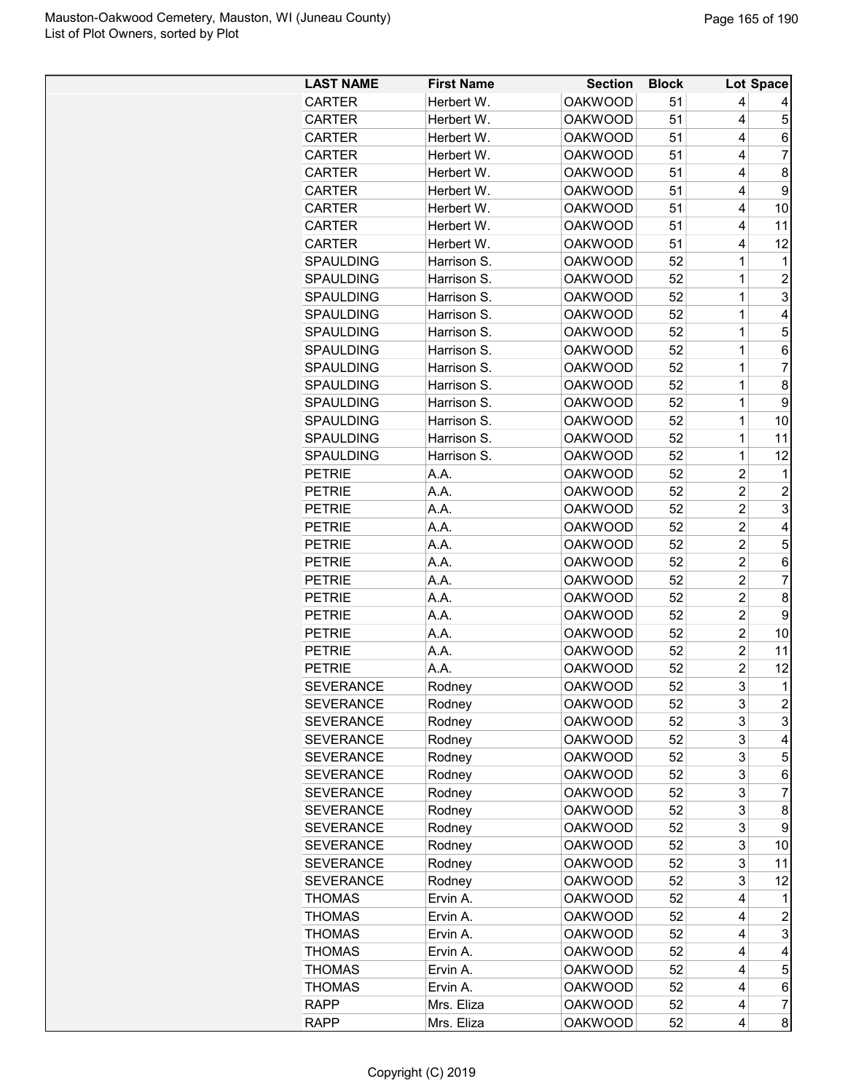| Herbert W.<br><b>OAKWOOD</b><br>51<br><b>CARTER</b><br>4<br>5<br><b>OAKWOOD</b><br>51<br>4<br><b>CARTER</b><br>Herbert W.<br><b>OAKWOOD</b><br>51<br>4<br><b>CARTER</b><br>Herbert W.<br>6<br>$\overline{7}$<br><b>CARTER</b><br><b>OAKWOOD</b><br>51<br>4<br>Herbert W.<br>51<br>8<br><b>CARTER</b><br>Herbert W.<br><b>OAKWOOD</b><br>4<br><b>CARTER</b><br><b>OAKWOOD</b><br>51<br>9<br>Herbert W.<br>4<br>CARTER<br>Herbert W.<br><b>OAKWOOD</b><br>51<br>4<br>10<br>CARTER<br>Herbert W.<br><b>OAKWOOD</b><br>51<br>11<br>4<br>Herbert W.<br>51<br>12<br><b>CARTER</b><br><b>OAKWOOD</b><br>4<br>$\mathbf 1$<br><b>OAKWOOD</b><br>52<br><b>SPAULDING</b><br>Harrison S.<br>1<br>$\mathbf 1$<br>SPAULDING<br>Harrison S.<br><b>OAKWOOD</b><br>52<br>$\overline{c}$<br>3<br>$\mathbf 1$<br>52<br><b>SPAULDING</b><br>Harrison S.<br><b>OAKWOOD</b><br>$\mathbf 1$<br>$\overline{4}$<br><b>SPAULDING</b><br>Harrison S.<br><b>OAKWOOD</b><br>52<br>5<br><b>SPAULDING</b><br>Harrison S.<br><b>OAKWOOD</b><br>52<br>1<br><b>SPAULDING</b><br>Harrison S.<br><b>OAKWOOD</b><br>52<br>1<br>6<br>$\overline{7}$<br>52<br>1<br><b>SPAULDING</b><br>Harrison S.<br><b>OAKWOOD</b><br>52<br>1<br>8<br>SPAULDING<br>Harrison S.<br><b>OAKWOOD</b><br>$\mathbf{1}$<br>9<br>SPAULDING<br>Harrison S.<br><b>OAKWOOD</b><br>52<br>$\mathbf 1$<br>52<br><b>SPAULDING</b><br>Harrison S.<br><b>OAKWOOD</b><br>10<br><b>SPAULDING</b><br>Harrison S.<br><b>OAKWOOD</b><br>$\mathbf{1}$<br>52<br>11<br>SPAULDING<br><b>OAKWOOD</b><br>52<br>1<br>12<br>Harrison S.<br>$\overline{c}$<br><b>PETRIE</b><br><b>OAKWOOD</b><br>52<br>$\mathbf{1}$<br>A.A.<br>$\overline{c}$<br>$\overline{c}$<br>A.A.<br>52<br><b>PETRIE</b><br><b>OAKWOOD</b><br>$\overline{\mathbf{c}}$<br>3<br>A.A.<br><b>OAKWOOD</b><br>52<br><b>PETRIE</b><br>$\overline{c}$<br>A.A.<br><b>OAKWOOD</b><br>4<br><b>PETRIE</b><br>52<br>$\overline{c}$<br>5<br>A.A.<br><b>OAKWOOD</b><br>52<br><b>PETRIE</b><br>$\overline{2}$<br><b>PETRIE</b><br><b>OAKWOOD</b><br>A.A.<br>52<br>6<br>$\overline{c}$<br>$\overline{7}$<br><b>PETRIE</b><br>A.A.<br><b>OAKWOOD</b><br>52<br>$\overline{2}$<br>8<br><b>PETRIE</b><br>A.A.<br>52<br><b>OAKWOOD</b><br>$\overline{c}$<br>9<br>A.A.<br>52<br><b>PETRIE</b><br><b>OAKWOOD</b><br>$\overline{2}$<br><b>OAKWOOD</b><br>52<br>10<br><b>PETRIE</b><br>A.A.<br>$\overline{c}$<br><b>OAKWOOD</b><br>11<br><b>PETRIE</b><br>A.A.<br>52<br>$\overline{c}$<br><b>PETRIE</b><br>A.A.<br><b>OAKWOOD</b><br>52<br>12<br>3<br><b>OAKWOOD</b><br>52<br>$\mathbf{1}$<br><b>SEVERANCE</b><br>Rodney<br>$\overline{\mathbf{c}}$<br><b>SEVERANCE</b><br><b>OAKWOOD</b><br>52<br>Rodney<br>3<br><b>SEVERANCE</b><br>Rodney<br><b>OAKWOOD</b><br>52<br>3<br>3<br>52<br>3<br><b>SEVERANCE</b><br>Rodney<br><b>OAKWOOD</b><br>4<br>3<br>5<br><b>SEVERANCE</b><br>Rodney<br><b>OAKWOOD</b><br>52<br>3<br><b>SEVERANCE</b><br>Rodney<br><b>OAKWOOD</b><br>52<br>6<br>3<br><b>SEVERANCE</b><br>Rodney<br><b>OAKWOOD</b><br>52<br>7<br>3<br><b>SEVERANCE</b><br>Rodney<br><b>OAKWOOD</b><br>52<br>8<br><b>OAKWOOD</b><br>52<br>3<br>9<br><b>SEVERANCE</b><br>Rodney<br><b>OAKWOOD</b><br>52<br>3<br><b>SEVERANCE</b><br>Rodney<br>10<br><b>SEVERANCE</b><br>52<br>3<br>Rodney<br><b>OAKWOOD</b><br>11<br>3<br><b>SEVERANCE</b><br>Rodney<br><b>OAKWOOD</b><br>52<br>12<br>4<br><b>THOMAS</b><br>Ervin A.<br><b>OAKWOOD</b><br>52<br>1<br><b>THOMAS</b><br>Ervin A.<br><b>OAKWOOD</b><br>52<br>4<br>2<br>3<br><b>THOMAS</b><br>Ervin A.<br><b>OAKWOOD</b><br>52<br>4<br><b>THOMAS</b><br>52<br>Ervin A.<br><b>OAKWOOD</b><br>4<br>4<br>5<br><b>THOMAS</b><br>Ervin A.<br><b>OAKWOOD</b><br>52<br>4<br><b>THOMAS</b><br>52<br>6<br>Ervin A.<br><b>OAKWOOD</b><br>4<br><b>RAPP</b><br>Mrs. Eliza<br>$\overline{\mathcal{I}}$<br><b>OAKWOOD</b><br>52<br>4 | <b>LAST NAME</b> | <b>First Name</b> | <b>Section</b> | <b>Block</b> |   | Lot Space |
|---------------------------------------------------------------------------------------------------------------------------------------------------------------------------------------------------------------------------------------------------------------------------------------------------------------------------------------------------------------------------------------------------------------------------------------------------------------------------------------------------------------------------------------------------------------------------------------------------------------------------------------------------------------------------------------------------------------------------------------------------------------------------------------------------------------------------------------------------------------------------------------------------------------------------------------------------------------------------------------------------------------------------------------------------------------------------------------------------------------------------------------------------------------------------------------------------------------------------------------------------------------------------------------------------------------------------------------------------------------------------------------------------------------------------------------------------------------------------------------------------------------------------------------------------------------------------------------------------------------------------------------------------------------------------------------------------------------------------------------------------------------------------------------------------------------------------------------------------------------------------------------------------------------------------------------------------------------------------------------------------------------------------------------------------------------------------------------------------------------------------------------------------------------------------------------------------------------------------------------------------------------------------------------------------------------------------------------------------------------------------------------------------------------------------------------------------------------------------------------------------------------------------------------------------------------------------------------------------------------------------------------------------------------------------------------------------------------------------------------------------------------------------------------------------------------------------------------------------------------------------------------------------------------------------------------------------------------------------------------------------------------------------------------------------------------------------------------------------------------------------------------------------------------------------------------------------------------------------------------------------------------------------------------------------------------------------------------------------------------------------------------------------------------------------------------------------------------------------------------------------------------------------------------------------------------------------------------------------------------------------------------------------------------------------------------------------------------------------------------------------------------------------------------------------------------------------|------------------|-------------------|----------------|--------------|---|-----------|
|                                                                                                                                                                                                                                                                                                                                                                                                                                                                                                                                                                                                                                                                                                                                                                                                                                                                                                                                                                                                                                                                                                                                                                                                                                                                                                                                                                                                                                                                                                                                                                                                                                                                                                                                                                                                                                                                                                                                                                                                                                                                                                                                                                                                                                                                                                                                                                                                                                                                                                                                                                                                                                                                                                                                                                                                                                                                                                                                                                                                                                                                                                                                                                                                                                                                                                                                                                                                                                                                                                                                                                                                                                                                                                                                                                                                                           |                  |                   |                |              |   |           |
|                                                                                                                                                                                                                                                                                                                                                                                                                                                                                                                                                                                                                                                                                                                                                                                                                                                                                                                                                                                                                                                                                                                                                                                                                                                                                                                                                                                                                                                                                                                                                                                                                                                                                                                                                                                                                                                                                                                                                                                                                                                                                                                                                                                                                                                                                                                                                                                                                                                                                                                                                                                                                                                                                                                                                                                                                                                                                                                                                                                                                                                                                                                                                                                                                                                                                                                                                                                                                                                                                                                                                                                                                                                                                                                                                                                                                           |                  |                   |                |              |   |           |
|                                                                                                                                                                                                                                                                                                                                                                                                                                                                                                                                                                                                                                                                                                                                                                                                                                                                                                                                                                                                                                                                                                                                                                                                                                                                                                                                                                                                                                                                                                                                                                                                                                                                                                                                                                                                                                                                                                                                                                                                                                                                                                                                                                                                                                                                                                                                                                                                                                                                                                                                                                                                                                                                                                                                                                                                                                                                                                                                                                                                                                                                                                                                                                                                                                                                                                                                                                                                                                                                                                                                                                                                                                                                                                                                                                                                                           |                  |                   |                |              |   |           |
|                                                                                                                                                                                                                                                                                                                                                                                                                                                                                                                                                                                                                                                                                                                                                                                                                                                                                                                                                                                                                                                                                                                                                                                                                                                                                                                                                                                                                                                                                                                                                                                                                                                                                                                                                                                                                                                                                                                                                                                                                                                                                                                                                                                                                                                                                                                                                                                                                                                                                                                                                                                                                                                                                                                                                                                                                                                                                                                                                                                                                                                                                                                                                                                                                                                                                                                                                                                                                                                                                                                                                                                                                                                                                                                                                                                                                           |                  |                   |                |              |   |           |
|                                                                                                                                                                                                                                                                                                                                                                                                                                                                                                                                                                                                                                                                                                                                                                                                                                                                                                                                                                                                                                                                                                                                                                                                                                                                                                                                                                                                                                                                                                                                                                                                                                                                                                                                                                                                                                                                                                                                                                                                                                                                                                                                                                                                                                                                                                                                                                                                                                                                                                                                                                                                                                                                                                                                                                                                                                                                                                                                                                                                                                                                                                                                                                                                                                                                                                                                                                                                                                                                                                                                                                                                                                                                                                                                                                                                                           |                  |                   |                |              |   |           |
|                                                                                                                                                                                                                                                                                                                                                                                                                                                                                                                                                                                                                                                                                                                                                                                                                                                                                                                                                                                                                                                                                                                                                                                                                                                                                                                                                                                                                                                                                                                                                                                                                                                                                                                                                                                                                                                                                                                                                                                                                                                                                                                                                                                                                                                                                                                                                                                                                                                                                                                                                                                                                                                                                                                                                                                                                                                                                                                                                                                                                                                                                                                                                                                                                                                                                                                                                                                                                                                                                                                                                                                                                                                                                                                                                                                                                           |                  |                   |                |              |   |           |
|                                                                                                                                                                                                                                                                                                                                                                                                                                                                                                                                                                                                                                                                                                                                                                                                                                                                                                                                                                                                                                                                                                                                                                                                                                                                                                                                                                                                                                                                                                                                                                                                                                                                                                                                                                                                                                                                                                                                                                                                                                                                                                                                                                                                                                                                                                                                                                                                                                                                                                                                                                                                                                                                                                                                                                                                                                                                                                                                                                                                                                                                                                                                                                                                                                                                                                                                                                                                                                                                                                                                                                                                                                                                                                                                                                                                                           |                  |                   |                |              |   |           |
|                                                                                                                                                                                                                                                                                                                                                                                                                                                                                                                                                                                                                                                                                                                                                                                                                                                                                                                                                                                                                                                                                                                                                                                                                                                                                                                                                                                                                                                                                                                                                                                                                                                                                                                                                                                                                                                                                                                                                                                                                                                                                                                                                                                                                                                                                                                                                                                                                                                                                                                                                                                                                                                                                                                                                                                                                                                                                                                                                                                                                                                                                                                                                                                                                                                                                                                                                                                                                                                                                                                                                                                                                                                                                                                                                                                                                           |                  |                   |                |              |   |           |
|                                                                                                                                                                                                                                                                                                                                                                                                                                                                                                                                                                                                                                                                                                                                                                                                                                                                                                                                                                                                                                                                                                                                                                                                                                                                                                                                                                                                                                                                                                                                                                                                                                                                                                                                                                                                                                                                                                                                                                                                                                                                                                                                                                                                                                                                                                                                                                                                                                                                                                                                                                                                                                                                                                                                                                                                                                                                                                                                                                                                                                                                                                                                                                                                                                                                                                                                                                                                                                                                                                                                                                                                                                                                                                                                                                                                                           |                  |                   |                |              |   |           |
|                                                                                                                                                                                                                                                                                                                                                                                                                                                                                                                                                                                                                                                                                                                                                                                                                                                                                                                                                                                                                                                                                                                                                                                                                                                                                                                                                                                                                                                                                                                                                                                                                                                                                                                                                                                                                                                                                                                                                                                                                                                                                                                                                                                                                                                                                                                                                                                                                                                                                                                                                                                                                                                                                                                                                                                                                                                                                                                                                                                                                                                                                                                                                                                                                                                                                                                                                                                                                                                                                                                                                                                                                                                                                                                                                                                                                           |                  |                   |                |              |   |           |
|                                                                                                                                                                                                                                                                                                                                                                                                                                                                                                                                                                                                                                                                                                                                                                                                                                                                                                                                                                                                                                                                                                                                                                                                                                                                                                                                                                                                                                                                                                                                                                                                                                                                                                                                                                                                                                                                                                                                                                                                                                                                                                                                                                                                                                                                                                                                                                                                                                                                                                                                                                                                                                                                                                                                                                                                                                                                                                                                                                                                                                                                                                                                                                                                                                                                                                                                                                                                                                                                                                                                                                                                                                                                                                                                                                                                                           |                  |                   |                |              |   |           |
|                                                                                                                                                                                                                                                                                                                                                                                                                                                                                                                                                                                                                                                                                                                                                                                                                                                                                                                                                                                                                                                                                                                                                                                                                                                                                                                                                                                                                                                                                                                                                                                                                                                                                                                                                                                                                                                                                                                                                                                                                                                                                                                                                                                                                                                                                                                                                                                                                                                                                                                                                                                                                                                                                                                                                                                                                                                                                                                                                                                                                                                                                                                                                                                                                                                                                                                                                                                                                                                                                                                                                                                                                                                                                                                                                                                                                           |                  |                   |                |              |   |           |
|                                                                                                                                                                                                                                                                                                                                                                                                                                                                                                                                                                                                                                                                                                                                                                                                                                                                                                                                                                                                                                                                                                                                                                                                                                                                                                                                                                                                                                                                                                                                                                                                                                                                                                                                                                                                                                                                                                                                                                                                                                                                                                                                                                                                                                                                                                                                                                                                                                                                                                                                                                                                                                                                                                                                                                                                                                                                                                                                                                                                                                                                                                                                                                                                                                                                                                                                                                                                                                                                                                                                                                                                                                                                                                                                                                                                                           |                  |                   |                |              |   |           |
|                                                                                                                                                                                                                                                                                                                                                                                                                                                                                                                                                                                                                                                                                                                                                                                                                                                                                                                                                                                                                                                                                                                                                                                                                                                                                                                                                                                                                                                                                                                                                                                                                                                                                                                                                                                                                                                                                                                                                                                                                                                                                                                                                                                                                                                                                                                                                                                                                                                                                                                                                                                                                                                                                                                                                                                                                                                                                                                                                                                                                                                                                                                                                                                                                                                                                                                                                                                                                                                                                                                                                                                                                                                                                                                                                                                                                           |                  |                   |                |              |   |           |
|                                                                                                                                                                                                                                                                                                                                                                                                                                                                                                                                                                                                                                                                                                                                                                                                                                                                                                                                                                                                                                                                                                                                                                                                                                                                                                                                                                                                                                                                                                                                                                                                                                                                                                                                                                                                                                                                                                                                                                                                                                                                                                                                                                                                                                                                                                                                                                                                                                                                                                                                                                                                                                                                                                                                                                                                                                                                                                                                                                                                                                                                                                                                                                                                                                                                                                                                                                                                                                                                                                                                                                                                                                                                                                                                                                                                                           |                  |                   |                |              |   |           |
|                                                                                                                                                                                                                                                                                                                                                                                                                                                                                                                                                                                                                                                                                                                                                                                                                                                                                                                                                                                                                                                                                                                                                                                                                                                                                                                                                                                                                                                                                                                                                                                                                                                                                                                                                                                                                                                                                                                                                                                                                                                                                                                                                                                                                                                                                                                                                                                                                                                                                                                                                                                                                                                                                                                                                                                                                                                                                                                                                                                                                                                                                                                                                                                                                                                                                                                                                                                                                                                                                                                                                                                                                                                                                                                                                                                                                           |                  |                   |                |              |   |           |
|                                                                                                                                                                                                                                                                                                                                                                                                                                                                                                                                                                                                                                                                                                                                                                                                                                                                                                                                                                                                                                                                                                                                                                                                                                                                                                                                                                                                                                                                                                                                                                                                                                                                                                                                                                                                                                                                                                                                                                                                                                                                                                                                                                                                                                                                                                                                                                                                                                                                                                                                                                                                                                                                                                                                                                                                                                                                                                                                                                                                                                                                                                                                                                                                                                                                                                                                                                                                                                                                                                                                                                                                                                                                                                                                                                                                                           |                  |                   |                |              |   |           |
|                                                                                                                                                                                                                                                                                                                                                                                                                                                                                                                                                                                                                                                                                                                                                                                                                                                                                                                                                                                                                                                                                                                                                                                                                                                                                                                                                                                                                                                                                                                                                                                                                                                                                                                                                                                                                                                                                                                                                                                                                                                                                                                                                                                                                                                                                                                                                                                                                                                                                                                                                                                                                                                                                                                                                                                                                                                                                                                                                                                                                                                                                                                                                                                                                                                                                                                                                                                                                                                                                                                                                                                                                                                                                                                                                                                                                           |                  |                   |                |              |   |           |
|                                                                                                                                                                                                                                                                                                                                                                                                                                                                                                                                                                                                                                                                                                                                                                                                                                                                                                                                                                                                                                                                                                                                                                                                                                                                                                                                                                                                                                                                                                                                                                                                                                                                                                                                                                                                                                                                                                                                                                                                                                                                                                                                                                                                                                                                                                                                                                                                                                                                                                                                                                                                                                                                                                                                                                                                                                                                                                                                                                                                                                                                                                                                                                                                                                                                                                                                                                                                                                                                                                                                                                                                                                                                                                                                                                                                                           |                  |                   |                |              |   |           |
|                                                                                                                                                                                                                                                                                                                                                                                                                                                                                                                                                                                                                                                                                                                                                                                                                                                                                                                                                                                                                                                                                                                                                                                                                                                                                                                                                                                                                                                                                                                                                                                                                                                                                                                                                                                                                                                                                                                                                                                                                                                                                                                                                                                                                                                                                                                                                                                                                                                                                                                                                                                                                                                                                                                                                                                                                                                                                                                                                                                                                                                                                                                                                                                                                                                                                                                                                                                                                                                                                                                                                                                                                                                                                                                                                                                                                           |                  |                   |                |              |   |           |
|                                                                                                                                                                                                                                                                                                                                                                                                                                                                                                                                                                                                                                                                                                                                                                                                                                                                                                                                                                                                                                                                                                                                                                                                                                                                                                                                                                                                                                                                                                                                                                                                                                                                                                                                                                                                                                                                                                                                                                                                                                                                                                                                                                                                                                                                                                                                                                                                                                                                                                                                                                                                                                                                                                                                                                                                                                                                                                                                                                                                                                                                                                                                                                                                                                                                                                                                                                                                                                                                                                                                                                                                                                                                                                                                                                                                                           |                  |                   |                |              |   |           |
|                                                                                                                                                                                                                                                                                                                                                                                                                                                                                                                                                                                                                                                                                                                                                                                                                                                                                                                                                                                                                                                                                                                                                                                                                                                                                                                                                                                                                                                                                                                                                                                                                                                                                                                                                                                                                                                                                                                                                                                                                                                                                                                                                                                                                                                                                                                                                                                                                                                                                                                                                                                                                                                                                                                                                                                                                                                                                                                                                                                                                                                                                                                                                                                                                                                                                                                                                                                                                                                                                                                                                                                                                                                                                                                                                                                                                           |                  |                   |                |              |   |           |
|                                                                                                                                                                                                                                                                                                                                                                                                                                                                                                                                                                                                                                                                                                                                                                                                                                                                                                                                                                                                                                                                                                                                                                                                                                                                                                                                                                                                                                                                                                                                                                                                                                                                                                                                                                                                                                                                                                                                                                                                                                                                                                                                                                                                                                                                                                                                                                                                                                                                                                                                                                                                                                                                                                                                                                                                                                                                                                                                                                                                                                                                                                                                                                                                                                                                                                                                                                                                                                                                                                                                                                                                                                                                                                                                                                                                                           |                  |                   |                |              |   |           |
|                                                                                                                                                                                                                                                                                                                                                                                                                                                                                                                                                                                                                                                                                                                                                                                                                                                                                                                                                                                                                                                                                                                                                                                                                                                                                                                                                                                                                                                                                                                                                                                                                                                                                                                                                                                                                                                                                                                                                                                                                                                                                                                                                                                                                                                                                                                                                                                                                                                                                                                                                                                                                                                                                                                                                                                                                                                                                                                                                                                                                                                                                                                                                                                                                                                                                                                                                                                                                                                                                                                                                                                                                                                                                                                                                                                                                           |                  |                   |                |              |   |           |
|                                                                                                                                                                                                                                                                                                                                                                                                                                                                                                                                                                                                                                                                                                                                                                                                                                                                                                                                                                                                                                                                                                                                                                                                                                                                                                                                                                                                                                                                                                                                                                                                                                                                                                                                                                                                                                                                                                                                                                                                                                                                                                                                                                                                                                                                                                                                                                                                                                                                                                                                                                                                                                                                                                                                                                                                                                                                                                                                                                                                                                                                                                                                                                                                                                                                                                                                                                                                                                                                                                                                                                                                                                                                                                                                                                                                                           |                  |                   |                |              |   |           |
|                                                                                                                                                                                                                                                                                                                                                                                                                                                                                                                                                                                                                                                                                                                                                                                                                                                                                                                                                                                                                                                                                                                                                                                                                                                                                                                                                                                                                                                                                                                                                                                                                                                                                                                                                                                                                                                                                                                                                                                                                                                                                                                                                                                                                                                                                                                                                                                                                                                                                                                                                                                                                                                                                                                                                                                                                                                                                                                                                                                                                                                                                                                                                                                                                                                                                                                                                                                                                                                                                                                                                                                                                                                                                                                                                                                                                           |                  |                   |                |              |   |           |
|                                                                                                                                                                                                                                                                                                                                                                                                                                                                                                                                                                                                                                                                                                                                                                                                                                                                                                                                                                                                                                                                                                                                                                                                                                                                                                                                                                                                                                                                                                                                                                                                                                                                                                                                                                                                                                                                                                                                                                                                                                                                                                                                                                                                                                                                                                                                                                                                                                                                                                                                                                                                                                                                                                                                                                                                                                                                                                                                                                                                                                                                                                                                                                                                                                                                                                                                                                                                                                                                                                                                                                                                                                                                                                                                                                                                                           |                  |                   |                |              |   |           |
|                                                                                                                                                                                                                                                                                                                                                                                                                                                                                                                                                                                                                                                                                                                                                                                                                                                                                                                                                                                                                                                                                                                                                                                                                                                                                                                                                                                                                                                                                                                                                                                                                                                                                                                                                                                                                                                                                                                                                                                                                                                                                                                                                                                                                                                                                                                                                                                                                                                                                                                                                                                                                                                                                                                                                                                                                                                                                                                                                                                                                                                                                                                                                                                                                                                                                                                                                                                                                                                                                                                                                                                                                                                                                                                                                                                                                           |                  |                   |                |              |   |           |
|                                                                                                                                                                                                                                                                                                                                                                                                                                                                                                                                                                                                                                                                                                                                                                                                                                                                                                                                                                                                                                                                                                                                                                                                                                                                                                                                                                                                                                                                                                                                                                                                                                                                                                                                                                                                                                                                                                                                                                                                                                                                                                                                                                                                                                                                                                                                                                                                                                                                                                                                                                                                                                                                                                                                                                                                                                                                                                                                                                                                                                                                                                                                                                                                                                                                                                                                                                                                                                                                                                                                                                                                                                                                                                                                                                                                                           |                  |                   |                |              |   |           |
|                                                                                                                                                                                                                                                                                                                                                                                                                                                                                                                                                                                                                                                                                                                                                                                                                                                                                                                                                                                                                                                                                                                                                                                                                                                                                                                                                                                                                                                                                                                                                                                                                                                                                                                                                                                                                                                                                                                                                                                                                                                                                                                                                                                                                                                                                                                                                                                                                                                                                                                                                                                                                                                                                                                                                                                                                                                                                                                                                                                                                                                                                                                                                                                                                                                                                                                                                                                                                                                                                                                                                                                                                                                                                                                                                                                                                           |                  |                   |                |              |   |           |
|                                                                                                                                                                                                                                                                                                                                                                                                                                                                                                                                                                                                                                                                                                                                                                                                                                                                                                                                                                                                                                                                                                                                                                                                                                                                                                                                                                                                                                                                                                                                                                                                                                                                                                                                                                                                                                                                                                                                                                                                                                                                                                                                                                                                                                                                                                                                                                                                                                                                                                                                                                                                                                                                                                                                                                                                                                                                                                                                                                                                                                                                                                                                                                                                                                                                                                                                                                                                                                                                                                                                                                                                                                                                                                                                                                                                                           |                  |                   |                |              |   |           |
|                                                                                                                                                                                                                                                                                                                                                                                                                                                                                                                                                                                                                                                                                                                                                                                                                                                                                                                                                                                                                                                                                                                                                                                                                                                                                                                                                                                                                                                                                                                                                                                                                                                                                                                                                                                                                                                                                                                                                                                                                                                                                                                                                                                                                                                                                                                                                                                                                                                                                                                                                                                                                                                                                                                                                                                                                                                                                                                                                                                                                                                                                                                                                                                                                                                                                                                                                                                                                                                                                                                                                                                                                                                                                                                                                                                                                           |                  |                   |                |              |   |           |
|                                                                                                                                                                                                                                                                                                                                                                                                                                                                                                                                                                                                                                                                                                                                                                                                                                                                                                                                                                                                                                                                                                                                                                                                                                                                                                                                                                                                                                                                                                                                                                                                                                                                                                                                                                                                                                                                                                                                                                                                                                                                                                                                                                                                                                                                                                                                                                                                                                                                                                                                                                                                                                                                                                                                                                                                                                                                                                                                                                                                                                                                                                                                                                                                                                                                                                                                                                                                                                                                                                                                                                                                                                                                                                                                                                                                                           |                  |                   |                |              |   |           |
|                                                                                                                                                                                                                                                                                                                                                                                                                                                                                                                                                                                                                                                                                                                                                                                                                                                                                                                                                                                                                                                                                                                                                                                                                                                                                                                                                                                                                                                                                                                                                                                                                                                                                                                                                                                                                                                                                                                                                                                                                                                                                                                                                                                                                                                                                                                                                                                                                                                                                                                                                                                                                                                                                                                                                                                                                                                                                                                                                                                                                                                                                                                                                                                                                                                                                                                                                                                                                                                                                                                                                                                                                                                                                                                                                                                                                           |                  |                   |                |              |   |           |
|                                                                                                                                                                                                                                                                                                                                                                                                                                                                                                                                                                                                                                                                                                                                                                                                                                                                                                                                                                                                                                                                                                                                                                                                                                                                                                                                                                                                                                                                                                                                                                                                                                                                                                                                                                                                                                                                                                                                                                                                                                                                                                                                                                                                                                                                                                                                                                                                                                                                                                                                                                                                                                                                                                                                                                                                                                                                                                                                                                                                                                                                                                                                                                                                                                                                                                                                                                                                                                                                                                                                                                                                                                                                                                                                                                                                                           |                  |                   |                |              |   |           |
|                                                                                                                                                                                                                                                                                                                                                                                                                                                                                                                                                                                                                                                                                                                                                                                                                                                                                                                                                                                                                                                                                                                                                                                                                                                                                                                                                                                                                                                                                                                                                                                                                                                                                                                                                                                                                                                                                                                                                                                                                                                                                                                                                                                                                                                                                                                                                                                                                                                                                                                                                                                                                                                                                                                                                                                                                                                                                                                                                                                                                                                                                                                                                                                                                                                                                                                                                                                                                                                                                                                                                                                                                                                                                                                                                                                                                           |                  |                   |                |              |   |           |
|                                                                                                                                                                                                                                                                                                                                                                                                                                                                                                                                                                                                                                                                                                                                                                                                                                                                                                                                                                                                                                                                                                                                                                                                                                                                                                                                                                                                                                                                                                                                                                                                                                                                                                                                                                                                                                                                                                                                                                                                                                                                                                                                                                                                                                                                                                                                                                                                                                                                                                                                                                                                                                                                                                                                                                                                                                                                                                                                                                                                                                                                                                                                                                                                                                                                                                                                                                                                                                                                                                                                                                                                                                                                                                                                                                                                                           |                  |                   |                |              |   |           |
|                                                                                                                                                                                                                                                                                                                                                                                                                                                                                                                                                                                                                                                                                                                                                                                                                                                                                                                                                                                                                                                                                                                                                                                                                                                                                                                                                                                                                                                                                                                                                                                                                                                                                                                                                                                                                                                                                                                                                                                                                                                                                                                                                                                                                                                                                                                                                                                                                                                                                                                                                                                                                                                                                                                                                                                                                                                                                                                                                                                                                                                                                                                                                                                                                                                                                                                                                                                                                                                                                                                                                                                                                                                                                                                                                                                                                           |                  |                   |                |              |   |           |
|                                                                                                                                                                                                                                                                                                                                                                                                                                                                                                                                                                                                                                                                                                                                                                                                                                                                                                                                                                                                                                                                                                                                                                                                                                                                                                                                                                                                                                                                                                                                                                                                                                                                                                                                                                                                                                                                                                                                                                                                                                                                                                                                                                                                                                                                                                                                                                                                                                                                                                                                                                                                                                                                                                                                                                                                                                                                                                                                                                                                                                                                                                                                                                                                                                                                                                                                                                                                                                                                                                                                                                                                                                                                                                                                                                                                                           |                  |                   |                |              |   |           |
|                                                                                                                                                                                                                                                                                                                                                                                                                                                                                                                                                                                                                                                                                                                                                                                                                                                                                                                                                                                                                                                                                                                                                                                                                                                                                                                                                                                                                                                                                                                                                                                                                                                                                                                                                                                                                                                                                                                                                                                                                                                                                                                                                                                                                                                                                                                                                                                                                                                                                                                                                                                                                                                                                                                                                                                                                                                                                                                                                                                                                                                                                                                                                                                                                                                                                                                                                                                                                                                                                                                                                                                                                                                                                                                                                                                                                           |                  |                   |                |              |   |           |
|                                                                                                                                                                                                                                                                                                                                                                                                                                                                                                                                                                                                                                                                                                                                                                                                                                                                                                                                                                                                                                                                                                                                                                                                                                                                                                                                                                                                                                                                                                                                                                                                                                                                                                                                                                                                                                                                                                                                                                                                                                                                                                                                                                                                                                                                                                                                                                                                                                                                                                                                                                                                                                                                                                                                                                                                                                                                                                                                                                                                                                                                                                                                                                                                                                                                                                                                                                                                                                                                                                                                                                                                                                                                                                                                                                                                                           |                  |                   |                |              |   |           |
|                                                                                                                                                                                                                                                                                                                                                                                                                                                                                                                                                                                                                                                                                                                                                                                                                                                                                                                                                                                                                                                                                                                                                                                                                                                                                                                                                                                                                                                                                                                                                                                                                                                                                                                                                                                                                                                                                                                                                                                                                                                                                                                                                                                                                                                                                                                                                                                                                                                                                                                                                                                                                                                                                                                                                                                                                                                                                                                                                                                                                                                                                                                                                                                                                                                                                                                                                                                                                                                                                                                                                                                                                                                                                                                                                                                                                           |                  |                   |                |              |   |           |
|                                                                                                                                                                                                                                                                                                                                                                                                                                                                                                                                                                                                                                                                                                                                                                                                                                                                                                                                                                                                                                                                                                                                                                                                                                                                                                                                                                                                                                                                                                                                                                                                                                                                                                                                                                                                                                                                                                                                                                                                                                                                                                                                                                                                                                                                                                                                                                                                                                                                                                                                                                                                                                                                                                                                                                                                                                                                                                                                                                                                                                                                                                                                                                                                                                                                                                                                                                                                                                                                                                                                                                                                                                                                                                                                                                                                                           |                  |                   |                |              |   |           |
|                                                                                                                                                                                                                                                                                                                                                                                                                                                                                                                                                                                                                                                                                                                                                                                                                                                                                                                                                                                                                                                                                                                                                                                                                                                                                                                                                                                                                                                                                                                                                                                                                                                                                                                                                                                                                                                                                                                                                                                                                                                                                                                                                                                                                                                                                                                                                                                                                                                                                                                                                                                                                                                                                                                                                                                                                                                                                                                                                                                                                                                                                                                                                                                                                                                                                                                                                                                                                                                                                                                                                                                                                                                                                                                                                                                                                           |                  |                   |                |              |   |           |
|                                                                                                                                                                                                                                                                                                                                                                                                                                                                                                                                                                                                                                                                                                                                                                                                                                                                                                                                                                                                                                                                                                                                                                                                                                                                                                                                                                                                                                                                                                                                                                                                                                                                                                                                                                                                                                                                                                                                                                                                                                                                                                                                                                                                                                                                                                                                                                                                                                                                                                                                                                                                                                                                                                                                                                                                                                                                                                                                                                                                                                                                                                                                                                                                                                                                                                                                                                                                                                                                                                                                                                                                                                                                                                                                                                                                                           |                  |                   |                |              |   |           |
|                                                                                                                                                                                                                                                                                                                                                                                                                                                                                                                                                                                                                                                                                                                                                                                                                                                                                                                                                                                                                                                                                                                                                                                                                                                                                                                                                                                                                                                                                                                                                                                                                                                                                                                                                                                                                                                                                                                                                                                                                                                                                                                                                                                                                                                                                                                                                                                                                                                                                                                                                                                                                                                                                                                                                                                                                                                                                                                                                                                                                                                                                                                                                                                                                                                                                                                                                                                                                                                                                                                                                                                                                                                                                                                                                                                                                           |                  |                   |                |              |   |           |
|                                                                                                                                                                                                                                                                                                                                                                                                                                                                                                                                                                                                                                                                                                                                                                                                                                                                                                                                                                                                                                                                                                                                                                                                                                                                                                                                                                                                                                                                                                                                                                                                                                                                                                                                                                                                                                                                                                                                                                                                                                                                                                                                                                                                                                                                                                                                                                                                                                                                                                                                                                                                                                                                                                                                                                                                                                                                                                                                                                                                                                                                                                                                                                                                                                                                                                                                                                                                                                                                                                                                                                                                                                                                                                                                                                                                                           |                  |                   |                |              |   |           |
|                                                                                                                                                                                                                                                                                                                                                                                                                                                                                                                                                                                                                                                                                                                                                                                                                                                                                                                                                                                                                                                                                                                                                                                                                                                                                                                                                                                                                                                                                                                                                                                                                                                                                                                                                                                                                                                                                                                                                                                                                                                                                                                                                                                                                                                                                                                                                                                                                                                                                                                                                                                                                                                                                                                                                                                                                                                                                                                                                                                                                                                                                                                                                                                                                                                                                                                                                                                                                                                                                                                                                                                                                                                                                                                                                                                                                           |                  |                   |                |              |   |           |
|                                                                                                                                                                                                                                                                                                                                                                                                                                                                                                                                                                                                                                                                                                                                                                                                                                                                                                                                                                                                                                                                                                                                                                                                                                                                                                                                                                                                                                                                                                                                                                                                                                                                                                                                                                                                                                                                                                                                                                                                                                                                                                                                                                                                                                                                                                                                                                                                                                                                                                                                                                                                                                                                                                                                                                                                                                                                                                                                                                                                                                                                                                                                                                                                                                                                                                                                                                                                                                                                                                                                                                                                                                                                                                                                                                                                                           |                  |                   |                |              |   |           |
|                                                                                                                                                                                                                                                                                                                                                                                                                                                                                                                                                                                                                                                                                                                                                                                                                                                                                                                                                                                                                                                                                                                                                                                                                                                                                                                                                                                                                                                                                                                                                                                                                                                                                                                                                                                                                                                                                                                                                                                                                                                                                                                                                                                                                                                                                                                                                                                                                                                                                                                                                                                                                                                                                                                                                                                                                                                                                                                                                                                                                                                                                                                                                                                                                                                                                                                                                                                                                                                                                                                                                                                                                                                                                                                                                                                                                           |                  |                   |                |              |   |           |
|                                                                                                                                                                                                                                                                                                                                                                                                                                                                                                                                                                                                                                                                                                                                                                                                                                                                                                                                                                                                                                                                                                                                                                                                                                                                                                                                                                                                                                                                                                                                                                                                                                                                                                                                                                                                                                                                                                                                                                                                                                                                                                                                                                                                                                                                                                                                                                                                                                                                                                                                                                                                                                                                                                                                                                                                                                                                                                                                                                                                                                                                                                                                                                                                                                                                                                                                                                                                                                                                                                                                                                                                                                                                                                                                                                                                                           |                  |                   |                |              |   |           |
|                                                                                                                                                                                                                                                                                                                                                                                                                                                                                                                                                                                                                                                                                                                                                                                                                                                                                                                                                                                                                                                                                                                                                                                                                                                                                                                                                                                                                                                                                                                                                                                                                                                                                                                                                                                                                                                                                                                                                                                                                                                                                                                                                                                                                                                                                                                                                                                                                                                                                                                                                                                                                                                                                                                                                                                                                                                                                                                                                                                                                                                                                                                                                                                                                                                                                                                                                                                                                                                                                                                                                                                                                                                                                                                                                                                                                           |                  |                   |                |              |   |           |
|                                                                                                                                                                                                                                                                                                                                                                                                                                                                                                                                                                                                                                                                                                                                                                                                                                                                                                                                                                                                                                                                                                                                                                                                                                                                                                                                                                                                                                                                                                                                                                                                                                                                                                                                                                                                                                                                                                                                                                                                                                                                                                                                                                                                                                                                                                                                                                                                                                                                                                                                                                                                                                                                                                                                                                                                                                                                                                                                                                                                                                                                                                                                                                                                                                                                                                                                                                                                                                                                                                                                                                                                                                                                                                                                                                                                                           | RAPP             | Mrs. Eliza        | <b>OAKWOOD</b> | 52           | 4 | 8         |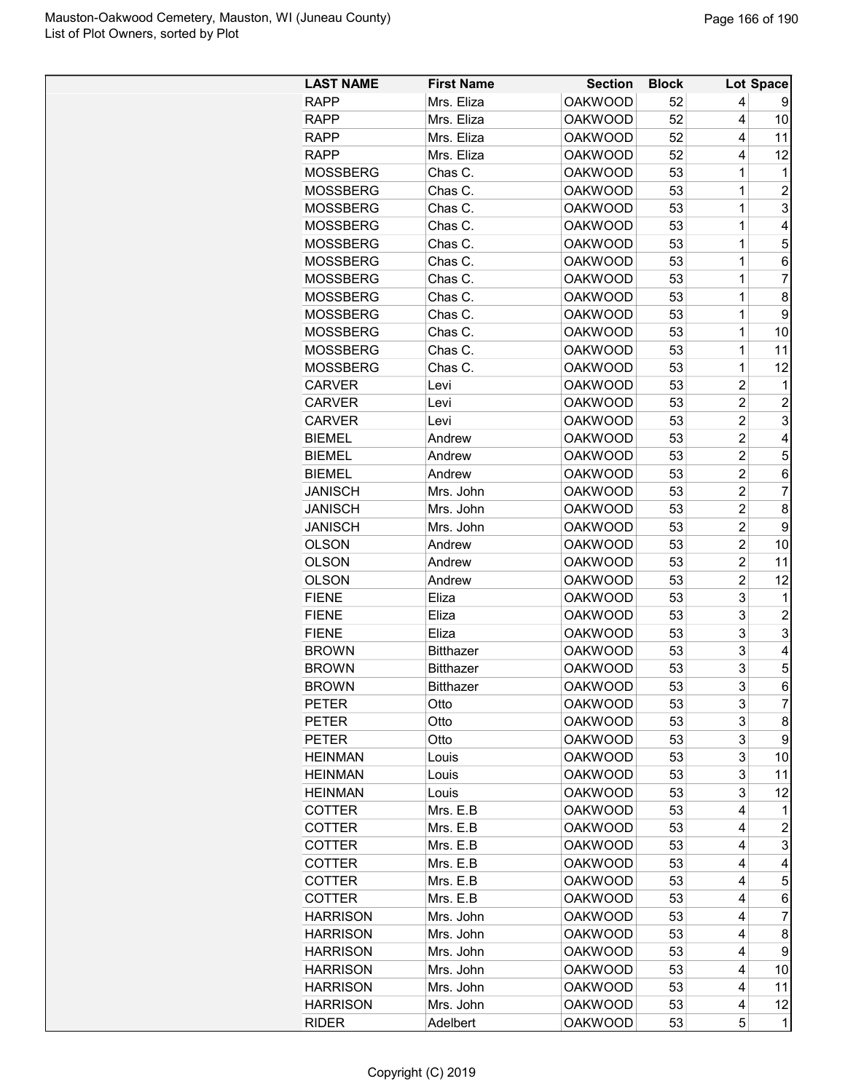| <b>LAST NAME</b> | <b>First Name</b> | <b>Section</b>                   | <b>Block</b> |                | Lot Space      |
|------------------|-------------------|----------------------------------|--------------|----------------|----------------|
| <b>RAPP</b>      | Mrs. Eliza        | <b>OAKWOOD</b>                   | 52           | 4              | 9              |
| <b>RAPP</b>      | Mrs. Eliza        | <b>OAKWOOD</b>                   | 52           | 4              | 10             |
| <b>RAPP</b>      | Mrs. Eliza        | <b>OAKWOOD</b>                   | 52           | 4              | 11             |
| <b>RAPP</b>      | Mrs. Eliza        | <b>OAKWOOD</b>                   | 52           | 4              | 12             |
| <b>MOSSBERG</b>  | Chas C.           | <b>OAKWOOD</b>                   | 53           | 1              | $\mathbf{1}$   |
| <b>MOSSBERG</b>  | Chas C.           | <b>OAKWOOD</b>                   | 53           | 1              | $\overline{c}$ |
| <b>MOSSBERG</b>  | Chas C.           | <b>OAKWOOD</b>                   | 53           | 1              | 3              |
| <b>MOSSBERG</b>  | Chas C.           | <b>OAKWOOD</b>                   | 53           | 1              | 4              |
| <b>MOSSBERG</b>  | Chas C.           | <b>OAKWOOD</b>                   | 53           | 1              | 5              |
| <b>MOSSBERG</b>  | Chas C.           | <b>OAKWOOD</b>                   | 53           | 1              | 6              |
| <b>MOSSBERG</b>  | Chas C.           | <b>OAKWOOD</b>                   | 53           | 1              | 7              |
| <b>MOSSBERG</b>  | Chas C.           | <b>OAKWOOD</b>                   | 53           | 1              | 8              |
| <b>MOSSBERG</b>  | Chas C.           | <b>OAKWOOD</b>                   | 53           | 1              | 9              |
| <b>MOSSBERG</b>  | Chas C.           | <b>OAKWOOD</b>                   | 53           | 1              | 10             |
| <b>MOSSBERG</b>  | Chas C.           | <b>OAKWOOD</b>                   | 53           | 1              | 11             |
| <b>MOSSBERG</b>  | Chas C.           | <b>OAKWOOD</b>                   | 53           | 1              | 12             |
| <b>CARVER</b>    | Levi              | <b>OAKWOOD</b>                   | 53           | $\overline{c}$ | 1              |
| <b>CARVER</b>    | Levi              | <b>OAKWOOD</b>                   | 53           | $\overline{2}$ | 2              |
| <b>CARVER</b>    | Levi              | <b>OAKWOOD</b>                   | 53           | $\overline{c}$ | 3              |
| <b>BIEMEL</b>    | Andrew            | <b>OAKWOOD</b>                   | 53           | $\overline{c}$ | 4              |
| <b>BIEMEL</b>    | Andrew            | <b>OAKWOOD</b>                   | 53           | $\overline{c}$ | 5              |
| <b>BIEMEL</b>    | Andrew            | <b>OAKWOOD</b>                   | 53           | $\overline{2}$ | 6              |
| <b>JANISCH</b>   | Mrs. John         | <b>OAKWOOD</b>                   | 53           | $\overline{2}$ | $\overline{7}$ |
| <b>JANISCH</b>   | Mrs. John         | <b>OAKWOOD</b>                   | 53           | $\overline{2}$ | 8              |
| <b>JANISCH</b>   | Mrs. John         | <b>OAKWOOD</b>                   | 53           | $\overline{c}$ | 9              |
| <b>OLSON</b>     | Andrew            | <b>OAKWOOD</b>                   | 53           | $\overline{2}$ | 10             |
| <b>OLSON</b>     | Andrew            | <b>OAKWOOD</b>                   | 53           | 2              | 11             |
| <b>OLSON</b>     | Andrew            | <b>OAKWOOD</b>                   | 53           | $\overline{c}$ | 12             |
| <b>FIENE</b>     | Eliza             | <b>OAKWOOD</b>                   | 53           | 3              | 1              |
| <b>FIENE</b>     | Eliza             | <b>OAKWOOD</b>                   | 53           | 3              | $\overline{c}$ |
| <b>FIENE</b>     | Eliza             | <b>OAKWOOD</b>                   | 53           | 3              | 3              |
| <b>BROWN</b>     | <b>Bitthazer</b>  | <b>OAKWOOD</b>                   | 53           | 3              | 4              |
| <b>BROWN</b>     | <b>Bitthazer</b>  | <b>OAKWOOD</b>                   | 53           | 3              | 5              |
| <b>BROWN</b>     | <b>Bitthazer</b>  | <b>OAKWOOD</b>                   | 53           | 3              | 6              |
| <b>PETER</b>     |                   |                                  |              |                | $\overline{7}$ |
|                  | Otto              | <b>OAKWOOD</b>                   | 53<br>53     | 3<br>3         |                |
| <b>PETER</b>     | Otto              | <b>OAKWOOD</b><br><b>OAKWOOD</b> | 53           | 3              | 8<br>9         |
| <b>PETER</b>     | Otto              |                                  |              | 3              | 10             |
| <b>HEINMAN</b>   | Louis             | <b>OAKWOOD</b>                   | 53           | 3              |                |
| <b>HEINMAN</b>   | Louis             | <b>OAKWOOD</b><br><b>OAKWOOD</b> | 53           | 3              | 11             |
| <b>HEINMAN</b>   | Louis             |                                  | 53           |                | 12             |
| <b>COTTER</b>    | Mrs. E.B          | <b>OAKWOOD</b>                   | 53           | 4              | 1              |
| <b>COTTER</b>    | Mrs. E.B          | <b>OAKWOOD</b>                   | 53           | 4              | $\overline{c}$ |
| <b>COTTER</b>    | Mrs. E.B          | <b>OAKWOOD</b>                   | 53           | 4              | 3              |
| <b>COTTER</b>    | Mrs. E.B          | <b>OAKWOOD</b>                   | 53           | 4              | 4              |
| <b>COTTER</b>    | Mrs. E.B          | <b>OAKWOOD</b>                   | 53           | 4              | 5              |
| <b>COTTER</b>    | Mrs. E.B          | <b>OAKWOOD</b>                   | 53           | 4              | 6              |
| <b>HARRISON</b>  | Mrs. John         | <b>OAKWOOD</b>                   | 53           | 4              | 7              |
| <b>HARRISON</b>  | Mrs. John         | <b>OAKWOOD</b>                   | 53           | 4              | 8              |
| <b>HARRISON</b>  | Mrs. John         | <b>OAKWOOD</b>                   | 53           | 4              | 9              |
| <b>HARRISON</b>  | Mrs. John         | <b>OAKWOOD</b>                   | 53           | 4              | 10             |
| <b>HARRISON</b>  | Mrs. John         | <b>OAKWOOD</b>                   | 53           | 4              | 11             |
| <b>HARRISON</b>  | Mrs. John         | <b>OAKWOOD</b>                   | 53           | 4              | 12             |
| <b>RIDER</b>     | Adelbert          | <b>OAKWOOD</b>                   | 53           | 5              | 1              |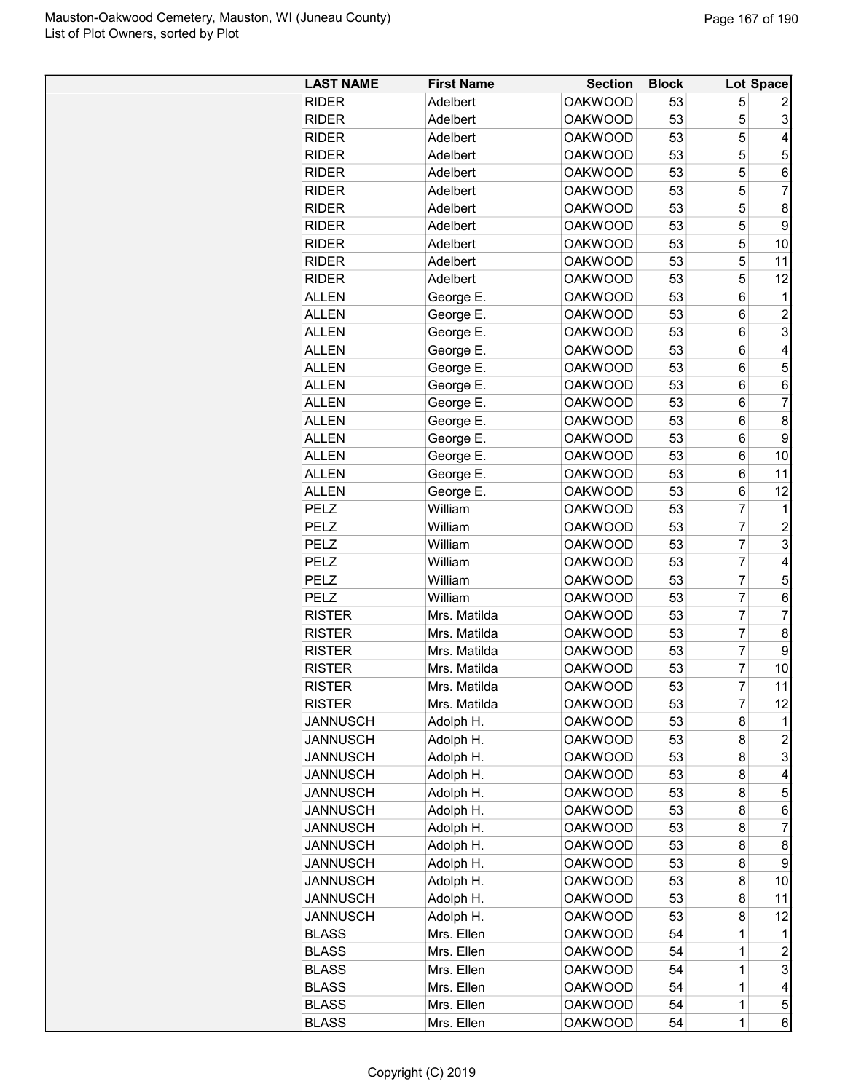| <b>LAST NAME</b>             | <b>First Name</b>        | <b>Section</b>                   | <b>Block</b> |                 | Lot Space               |
|------------------------------|--------------------------|----------------------------------|--------------|-----------------|-------------------------|
| <b>RIDER</b>                 | Adelbert                 | <b>OAKWOOD</b>                   | 53           | 5               | 2                       |
| <b>RIDER</b>                 | Adelbert                 | <b>OAKWOOD</b>                   | 53           | 5               | 3                       |
| <b>RIDER</b>                 | Adelbert                 | <b>OAKWOOD</b>                   | 53           | 5               | $\overline{\mathbf{4}}$ |
| <b>RIDER</b>                 | Adelbert                 | <b>OAKWOOD</b>                   | 53           | 5               | 5                       |
| <b>RIDER</b>                 | Adelbert                 | <b>OAKWOOD</b>                   | 53           | 5               | $\,6$                   |
| <b>RIDER</b>                 | Adelbert                 | <b>OAKWOOD</b>                   | 53           | 5               | 7                       |
| <b>RIDER</b>                 | Adelbert                 | <b>OAKWOOD</b>                   | 53           | 5               | 8                       |
| <b>RIDER</b>                 | Adelbert                 | <b>OAKWOOD</b>                   | 53           | 5               | $\boldsymbol{9}$        |
| <b>RIDER</b>                 | Adelbert                 | <b>OAKWOOD</b>                   | 53           | 5               | 10                      |
| <b>RIDER</b>                 | Adelbert                 | <b>OAKWOOD</b>                   | 53           | 5               | 11                      |
| <b>RIDER</b>                 | Adelbert                 | <b>OAKWOOD</b>                   | 53           | 5               | 12                      |
| <b>ALLEN</b>                 | George E.                | <b>OAKWOOD</b>                   | 53           | 6               | $\mathbf 1$             |
| <b>ALLEN</b>                 | George E.                | <b>OAKWOOD</b>                   | 53           | $6\phantom{1}6$ | $\overline{c}$          |
| <b>ALLEN</b>                 | George E.                | <b>OAKWOOD</b>                   | 53           | $6\phantom{1}6$ | $\overline{3}$          |
| <b>ALLEN</b>                 | George E.                | <b>OAKWOOD</b>                   | 53           | 6               | 4                       |
| <b>ALLEN</b>                 | George E.                | <b>OAKWOOD</b>                   | 53           | 6               | 5                       |
| <b>ALLEN</b>                 | George E.                | <b>OAKWOOD</b>                   | 53           | 6               | 6                       |
| <b>ALLEN</b>                 | George E.                | <b>OAKWOOD</b>                   | 53           | 6               | 7                       |
| <b>ALLEN</b>                 | George E.                | <b>OAKWOOD</b>                   | 53           | 6               | 8                       |
| <b>ALLEN</b>                 | George E.                | <b>OAKWOOD</b>                   | 53           | $6\phantom{1}6$ | 9                       |
| <b>ALLEN</b>                 | George E.                | <b>OAKWOOD</b>                   | 53           | $6\phantom{1}6$ | 10                      |
| <b>ALLEN</b>                 | George E.                | <b>OAKWOOD</b>                   | 53           | 6               | 11                      |
| <b>ALLEN</b>                 | George E.                | <b>OAKWOOD</b>                   | 53           | 6               | 12                      |
| PELZ                         | William                  | <b>OAKWOOD</b>                   | 53           | $\overline{7}$  | 1                       |
| PELZ                         | William                  | <b>OAKWOOD</b>                   | 53           | $\overline{7}$  | $\boldsymbol{2}$        |
| PELZ                         | William                  | <b>OAKWOOD</b>                   | 53           | 7               | $\overline{3}$          |
| <b>PELZ</b>                  | William                  | <b>OAKWOOD</b>                   | 53           | $\overline{7}$  | 4                       |
| <b>PELZ</b>                  | William                  | <b>OAKWOOD</b>                   | 53           | 7               | 5                       |
| PELZ                         | William                  | <b>OAKWOOD</b>                   | 53           | $\overline{7}$  | $\,6$                   |
| <b>RISTER</b>                | Mrs. Matilda             | <b>OAKWOOD</b>                   | 53           | $\overline{7}$  | $\overline{7}$          |
| <b>RISTER</b>                | Mrs. Matilda             | <b>OAKWOOD</b>                   | 53           | $\overline{7}$  | 8                       |
| <b>RISTER</b>                | Mrs. Matilda             | <b>OAKWOOD</b>                   | 53           | 7               | 9                       |
| <b>RISTER</b>                | Mrs. Matilda             | <b>OAKWOOD</b>                   | 53           | $\overline{7}$  | 10                      |
| <b>RISTER</b>                | Mrs. Matilda             | <b>OAKWOOD</b>                   | 53           | 7               | 11                      |
| <b>RISTER</b>                | Mrs. Matilda             | <b>OAKWOOD</b>                   | 53           | $\overline{7}$  | 12                      |
| <b>JANNUSCH</b>              | Adolph H.                | <b>OAKWOOD</b>                   | 53           | 8               | 1                       |
| <b>JANNUSCH</b>              | Adolph H.                | <b>OAKWOOD</b>                   | 53           | 8               | $\overline{c}$          |
| <b>JANNUSCH</b>              | Adolph H.                | <b>OAKWOOD</b>                   | 53           | 8               | 3                       |
| <b>JANNUSCH</b>              | Adolph H.                | <b>OAKWOOD</b>                   | 53           | 8               | 4                       |
| <b>JANNUSCH</b>              | Adolph H.                | <b>OAKWOOD</b>                   | 53           | 8               | 5                       |
| <b>JANNUSCH</b>              | Adolph H.                | <b>OAKWOOD</b>                   | 53           | 8               | $\,6$                   |
| <b>JANNUSCH</b>              | Adolph H.                | <b>OAKWOOD</b>                   | 53           | 8               | 7                       |
| <b>JANNUSCH</b>              | Adolph H.                | <b>OAKWOOD</b>                   | 53           | 8               | 8                       |
| <b>JANNUSCH</b>              | Adolph H.                | <b>OAKWOOD</b>                   | 53           | 8               | 9                       |
| <b>JANNUSCH</b>              | Adolph H.                | <b>OAKWOOD</b>                   | 53           | 8               | 10                      |
| <b>JANNUSCH</b>              | Adolph H.                | <b>OAKWOOD</b>                   | 53           | 8               | 11                      |
| <b>JANNUSCH</b>              | Adolph H.                | <b>OAKWOOD</b>                   | 53           | 8               | 12                      |
| <b>BLASS</b>                 | Mrs. Ellen<br>Mrs. Ellen | <b>OAKWOOD</b>                   | 54<br>54     | 1               | 1                       |
| <b>BLASS</b><br><b>BLASS</b> | Mrs. Ellen               | <b>OAKWOOD</b><br><b>OAKWOOD</b> | 54           | 1<br>1          | $\boldsymbol{2}$<br>3   |
| <b>BLASS</b>                 | Mrs. Ellen               | <b>OAKWOOD</b>                   | 54           | 1               | 4                       |
| <b>BLASS</b>                 | Mrs. Ellen               | <b>OAKWOOD</b>                   | 54           | 1               | $\mathbf 5$             |
| <b>BLASS</b>                 | Mrs. Ellen               | <b>OAKWOOD</b>                   | 54           | $\mathbf 1$     | $\,6$                   |
|                              |                          |                                  |              |                 |                         |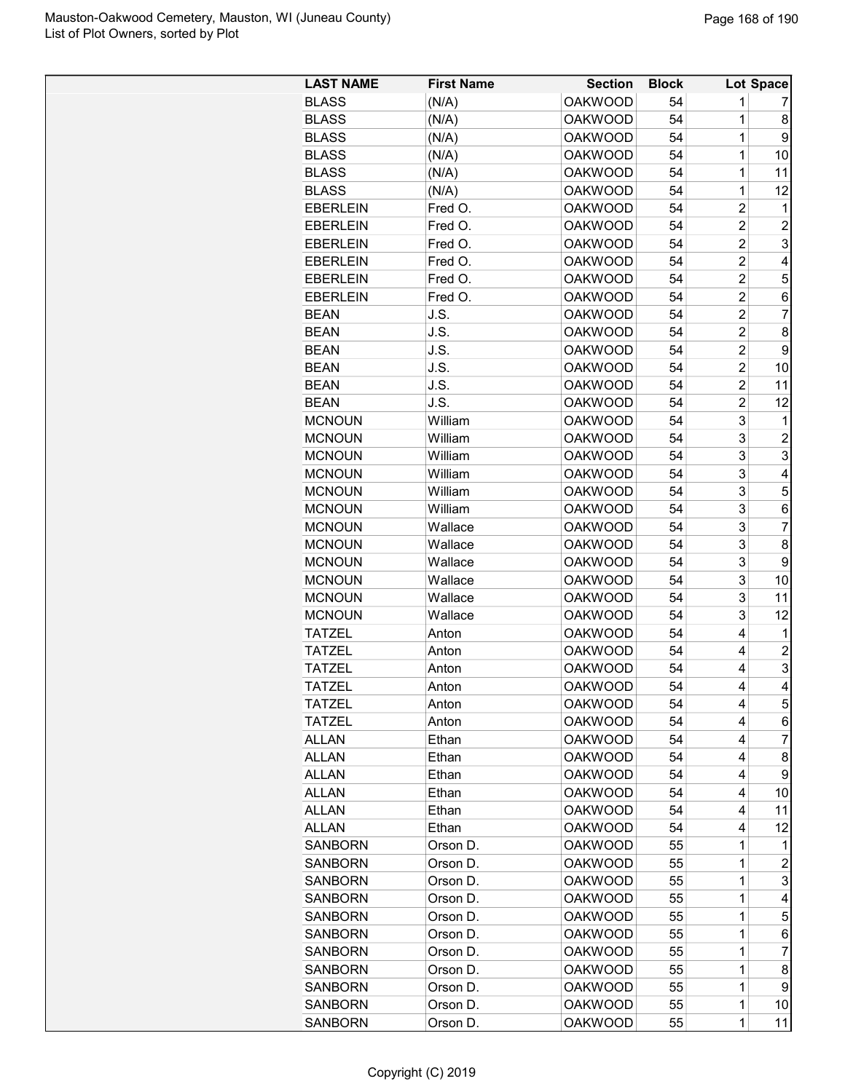| <b>LAST NAME</b> | <b>First Name</b> | <b>Section</b> | <b>Block</b> |                | Lot Space               |
|------------------|-------------------|----------------|--------------|----------------|-------------------------|
| <b>BLASS</b>     | (N/A)             | <b>OAKWOOD</b> | 54           | 1              | 7                       |
| <b>BLASS</b>     | (N/A)             | <b>OAKWOOD</b> | 54           | 1              | 8                       |
| <b>BLASS</b>     | (N/A)             | <b>OAKWOOD</b> | 54           | 1              | 9                       |
| <b>BLASS</b>     | (N/A)             | <b>OAKWOOD</b> | 54           | 1              | 10                      |
| <b>BLASS</b>     | (N/A)             | <b>OAKWOOD</b> | 54           | 1              | 11                      |
| <b>BLASS</b>     | (N/A)             | <b>OAKWOOD</b> | 54           | 1              | 12                      |
| <b>EBERLEIN</b>  | Fred O.           | <b>OAKWOOD</b> | 54           | $\overline{2}$ | $\mathbf{1}$            |
| <b>EBERLEIN</b>  | Fred O.           | <b>OAKWOOD</b> | 54           | $\overline{c}$ | $\overline{c}$          |
| <b>EBERLEIN</b>  | Fred O.           | <b>OAKWOOD</b> | 54           | $\overline{2}$ | 3                       |
| <b>EBERLEIN</b>  | Fred O.           | <b>OAKWOOD</b> | 54           | $\overline{c}$ | 4                       |
| <b>EBERLEIN</b>  | Fred O.           | <b>OAKWOOD</b> | 54           | $\overline{2}$ | 5                       |
| <b>EBERLEIN</b>  | Fred O.           | <b>OAKWOOD</b> | 54           | $\overline{c}$ | 6                       |
| <b>BEAN</b>      | J.S.              | <b>OAKWOOD</b> | 54           | $\overline{2}$ | $\overline{7}$          |
| <b>BEAN</b>      | J.S.              | <b>OAKWOOD</b> | 54           | $\overline{2}$ | $\bf 8$                 |
| <b>BEAN</b>      | J.S.              | <b>OAKWOOD</b> | 54           | $\overline{c}$ | $\boldsymbol{9}$        |
| <b>BEAN</b>      | J.S.              | <b>OAKWOOD</b> | 54           | $\overline{2}$ | 10                      |
| <b>BEAN</b>      | J.S.              | <b>OAKWOOD</b> | 54           | $\overline{2}$ | 11                      |
| <b>BEAN</b>      | J.S.              | <b>OAKWOOD</b> | 54           | $\overline{c}$ | 12                      |
|                  | William           |                |              | 3              |                         |
| <b>MCNOUN</b>    |                   | <b>OAKWOOD</b> | 54           |                | 1                       |
| <b>MCNOUN</b>    | William           | <b>OAKWOOD</b> | 54           | 3              | $\overline{a}$          |
| <b>MCNOUN</b>    | William           | <b>OAKWOOD</b> | 54           | 3              | $\overline{3}$          |
| <b>MCNOUN</b>    | William           | <b>OAKWOOD</b> | 54           | 3              | $\overline{\mathbf{4}}$ |
| <b>MCNOUN</b>    | William           | <b>OAKWOOD</b> | 54           | 3              | 5                       |
| <b>MCNOUN</b>    | William           | <b>OAKWOOD</b> | 54           | 3              | $\,6$                   |
| <b>MCNOUN</b>    | Wallace           | <b>OAKWOOD</b> | 54           | 3              | $\overline{7}$          |
| <b>MCNOUN</b>    | Wallace           | <b>OAKWOOD</b> | 54           | 3              | 8                       |
| <b>MCNOUN</b>    | Wallace           | <b>OAKWOOD</b> | 54           | 3              | 9                       |
| <b>MCNOUN</b>    | Wallace           | <b>OAKWOOD</b> | 54           | 3              | 10                      |
| <b>MCNOUN</b>    | Wallace           | <b>OAKWOOD</b> | 54           | 3              | 11                      |
| <b>MCNOUN</b>    | Wallace           | <b>OAKWOOD</b> | 54           | 3              | 12                      |
| <b>TATZEL</b>    | Anton             | <b>OAKWOOD</b> | 54           | $\overline{4}$ | $\mathbf{1}$            |
| <b>TATZEL</b>    | Anton             | <b>OAKWOOD</b> | 54           | $\overline{4}$ | $\overline{\mathbf{c}}$ |
| <b>TATZEL</b>    | Anton             | <b>OAKWOOD</b> | 54           | 4              | 3                       |
| <b>TATZEL</b>    | Anton             | <b>OAKWOOD</b> | 54           | 4              | $\vert 4 \vert$         |
| <b>TATZEL</b>    | Anton             | <b>OAKWOOD</b> | 54           | 4              | 5 <sup>1</sup>          |
| <b>TATZEL</b>    | Anton             | <b>OAKWOOD</b> | 54           | 4              | $6 \mid$                |
| <b>ALLAN</b>     | Ethan             | <b>OAKWOOD</b> | 54           | 4              | $\overline{7}$          |
| <b>ALLAN</b>     | Ethan             | <b>OAKWOOD</b> | 54           | 4              | 8 <sup>1</sup>          |
| <b>ALLAN</b>     | Ethan             | <b>OAKWOOD</b> | 54           | 4              | 9                       |
| <b>ALLAN</b>     | Ethan             | <b>OAKWOOD</b> | 54           | 4              | 10                      |
| ALLAN            | Ethan             | <b>OAKWOOD</b> | 54           | 4              | 11                      |
| <b>ALLAN</b>     | Ethan             | <b>OAKWOOD</b> | 54           | 4              | 12                      |
| <b>SANBORN</b>   | Orson D.          | <b>OAKWOOD</b> | 55           | 1              | 1.                      |
|                  |                   |                |              |                |                         |
| <b>SANBORN</b>   | Orson D.          | <b>OAKWOOD</b> | 55           | 1              | $\overline{a}$          |
| <b>SANBORN</b>   | Orson D.          | <b>OAKWOOD</b> | 55           | 1              | $\mathbf{3}$            |
| <b>SANBORN</b>   | Orson D.          | <b>OAKWOOD</b> | 55           | 1              | $\overline{a}$          |
| SANBORN          | Orson D.          | <b>OAKWOOD</b> | 55           | 1              | 5                       |
| <b>SANBORN</b>   | Orson D.          | <b>OAKWOOD</b> | 55           | 1              | 6                       |
| <b>SANBORN</b>   | Orson D.          | <b>OAKWOOD</b> | 55           | 1              | $\overline{7}$          |
| <b>SANBORN</b>   | Orson D.          | <b>OAKWOOD</b> | 55           | 1              | 8 <sup>1</sup>          |
| <b>SANBORN</b>   | Orson D.          | <b>OAKWOOD</b> | 55           | 1              | 9                       |
| <b>SANBORN</b>   | Orson D.          | <b>OAKWOOD</b> | 55           | 1              | 10                      |
| <b>SANBORN</b>   | Orson D.          | <b>OAKWOOD</b> | 55           | 1              | 11                      |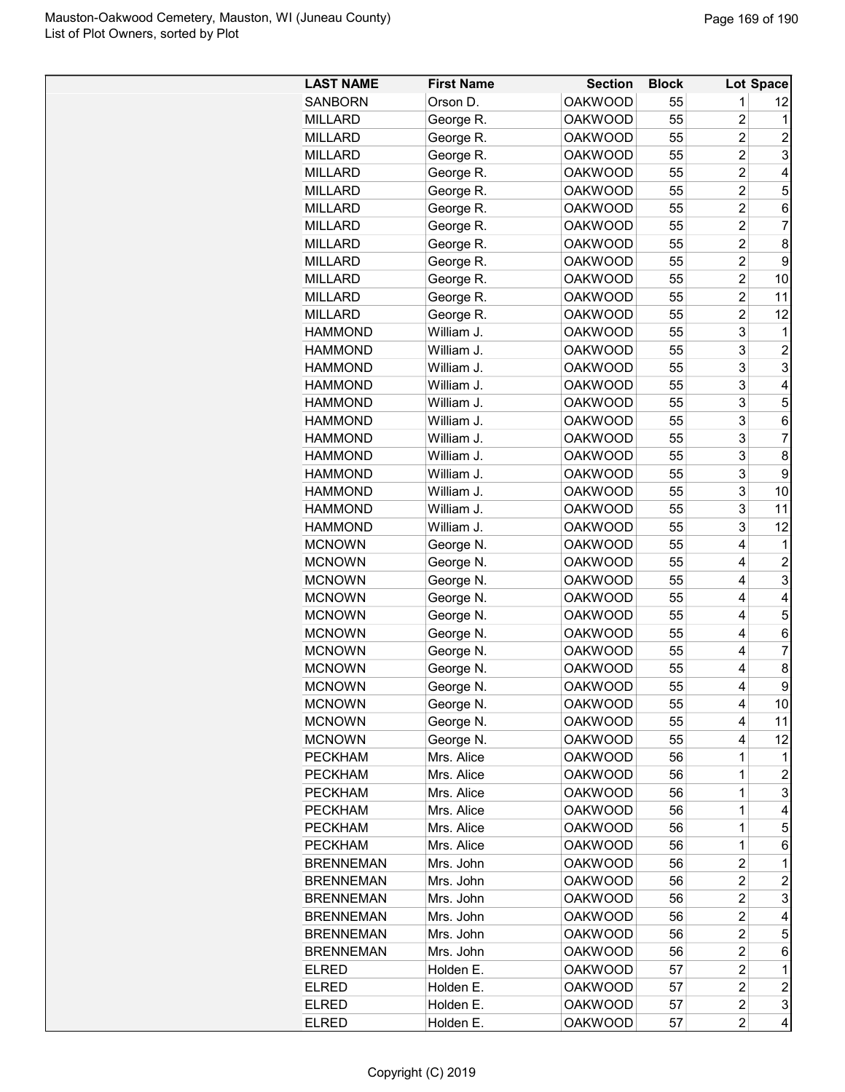| <b>LAST NAME</b> | <b>First Name</b> | <b>Section</b> | <b>Block</b> |                         | Lot Space      |
|------------------|-------------------|----------------|--------------|-------------------------|----------------|
| <b>SANBORN</b>   | Orson D.          | <b>OAKWOOD</b> | 55           | 1                       | 12             |
| <b>MILLARD</b>   | George R.         | <b>OAKWOOD</b> | 55           | $\overline{2}$          | 1              |
| <b>MILLARD</b>   | George R.         | <b>OAKWOOD</b> | 55           | $\overline{c}$          | 2              |
| <b>MILLARD</b>   | George R.         | <b>OAKWOOD</b> | 55           | $\overline{2}$          | 3              |
| <b>MILLARD</b>   | George R.         | <b>OAKWOOD</b> | 55           | $\overline{2}$          | 4              |
| <b>MILLARD</b>   | George R.         | <b>OAKWOOD</b> | 55           | $\overline{c}$          | 5              |
| <b>MILLARD</b>   | George R.         | <b>OAKWOOD</b> | 55           | $\overline{c}$          | 6              |
| <b>MILLARD</b>   | George R.         | <b>OAKWOOD</b> | 55           | $\overline{2}$          | 7              |
| <b>MILLARD</b>   | George R.         | <b>OAKWOOD</b> | 55           | $\overline{c}$          | 8              |
| <b>MILLARD</b>   | George R.         | <b>OAKWOOD</b> | 55           | $\overline{c}$          | 9              |
| <b>MILLARD</b>   | George R.         | <b>OAKWOOD</b> | 55           | $\overline{2}$          | 10             |
| <b>MILLARD</b>   | George R.         | <b>OAKWOOD</b> | 55           | 2                       | 11             |
| <b>MILLARD</b>   | George R.         | <b>OAKWOOD</b> | 55           | $\overline{2}$          | 12             |
| <b>HAMMOND</b>   | William J.        | <b>OAKWOOD</b> | 55           | 3                       | 1              |
| <b>HAMMOND</b>   | William J.        | <b>OAKWOOD</b> | 55           | 3                       | $\overline{c}$ |
| <b>HAMMOND</b>   | William J.        | <b>OAKWOOD</b> | 55           | 3                       | 3              |
| <b>HAMMOND</b>   | William J.        | <b>OAKWOOD</b> | 55           | 3                       | 4              |
| <b>HAMMOND</b>   | William J.        | <b>OAKWOOD</b> | 55           | 3                       | 5              |
| <b>HAMMOND</b>   | William J.        | <b>OAKWOOD</b> | 55           | 3                       | 6              |
| <b>HAMMOND</b>   | William J.        | <b>OAKWOOD</b> | 55           | 3                       | $\overline{7}$ |
| <b>HAMMOND</b>   | William J.        | <b>OAKWOOD</b> | 55           | 3                       | 8              |
| <b>HAMMOND</b>   | William J.        | <b>OAKWOOD</b> | 55           | 3                       | 9              |
| <b>HAMMOND</b>   | William J.        | <b>OAKWOOD</b> | 55           | 3                       | 10             |
| <b>HAMMOND</b>   | William J.        | <b>OAKWOOD</b> | 55           | 3                       | 11             |
| <b>HAMMOND</b>   | William J.        | <b>OAKWOOD</b> | 55           | 3                       | 12             |
| <b>MCNOWN</b>    | George N.         | <b>OAKWOOD</b> | 55           | 4                       | 1              |
| <b>MCNOWN</b>    | George N.         | <b>OAKWOOD</b> | 55           | 4                       | $\overline{c}$ |
| <b>MCNOWN</b>    | George N.         | <b>OAKWOOD</b> | 55           | 4                       | 3              |
| <b>MCNOWN</b>    | George N.         | <b>OAKWOOD</b> | 55           | 4                       | 4              |
| <b>MCNOWN</b>    | George N.         | <b>OAKWOOD</b> | 55           | 4                       | 5              |
| <b>MCNOWN</b>    | George N.         | <b>OAKWOOD</b> | 55           | 4                       | 6              |
| <b>MCNOWN</b>    | George N.         | <b>OAKWOOD</b> | 55           | 4                       | 7              |
| <b>MCNOWN</b>    | George N.         | <b>OAKWOOD</b> | 55           | 4                       | 8              |
| <b>MCNOWN</b>    | George N.         | <b>OAKWOOD</b> | 55           | 4                       | $\mathsf{Q}$   |
| <b>MCNOWN</b>    | George N.         | <b>OAKWOOD</b> | 55           | 4                       | 10             |
| <b>MCNOWN</b>    | George N.         | <b>OAKWOOD</b> | 55           | 4                       | 11             |
| <b>MCNOWN</b>    | George N.         | <b>OAKWOOD</b> | 55           | 4                       | 12             |
| <b>PECKHAM</b>   | Mrs. Alice        | <b>OAKWOOD</b> | 56           | 1                       | 1              |
| <b>PECKHAM</b>   | Mrs. Alice        | <b>OAKWOOD</b> | 56           | 1                       | 2              |
| <b>PECKHAM</b>   | Mrs. Alice        | <b>OAKWOOD</b> | 56           | 1                       | 3              |
| <b>PECKHAM</b>   | Mrs. Alice        | <b>OAKWOOD</b> | 56           | 1                       | 4              |
| <b>PECKHAM</b>   | Mrs. Alice        | <b>OAKWOOD</b> | 56           | 1                       | 5              |
| <b>PECKHAM</b>   | Mrs. Alice        | <b>OAKWOOD</b> | 56           | 1                       | 6              |
| <b>BRENNEMAN</b> | Mrs. John         | <b>OAKWOOD</b> | 56           | $\overline{c}$          | 1              |
| <b>BRENNEMAN</b> | Mrs. John         | <b>OAKWOOD</b> | 56           | $\overline{c}$          | $\overline{c}$ |
| <b>BRENNEMAN</b> | Mrs. John         | <b>OAKWOOD</b> | 56           | 2                       | 3              |
| <b>BRENNEMAN</b> | Mrs. John         | <b>OAKWOOD</b> | 56           | 2                       | 4              |
| <b>BRENNEMAN</b> | Mrs. John         | <b>OAKWOOD</b> | 56           | $\overline{c}$          | 5              |
| <b>BRENNEMAN</b> | Mrs. John         | <b>OAKWOOD</b> | 56           | 2                       | 6              |
| <b>ELRED</b>     | Holden E.         | <b>OAKWOOD</b> | 57           | 2                       | 1              |
| <b>ELRED</b>     | Holden E.         | <b>OAKWOOD</b> | 57           | $\overline{\mathbf{c}}$ | $\overline{c}$ |
| <b>ELRED</b>     | Holden E.         | <b>OAKWOOD</b> | 57           | $\overline{2}$          | 3              |
| <b>ELRED</b>     | Holden E.         | <b>OAKWOOD</b> | 57           | $\overline{2}$          | 4              |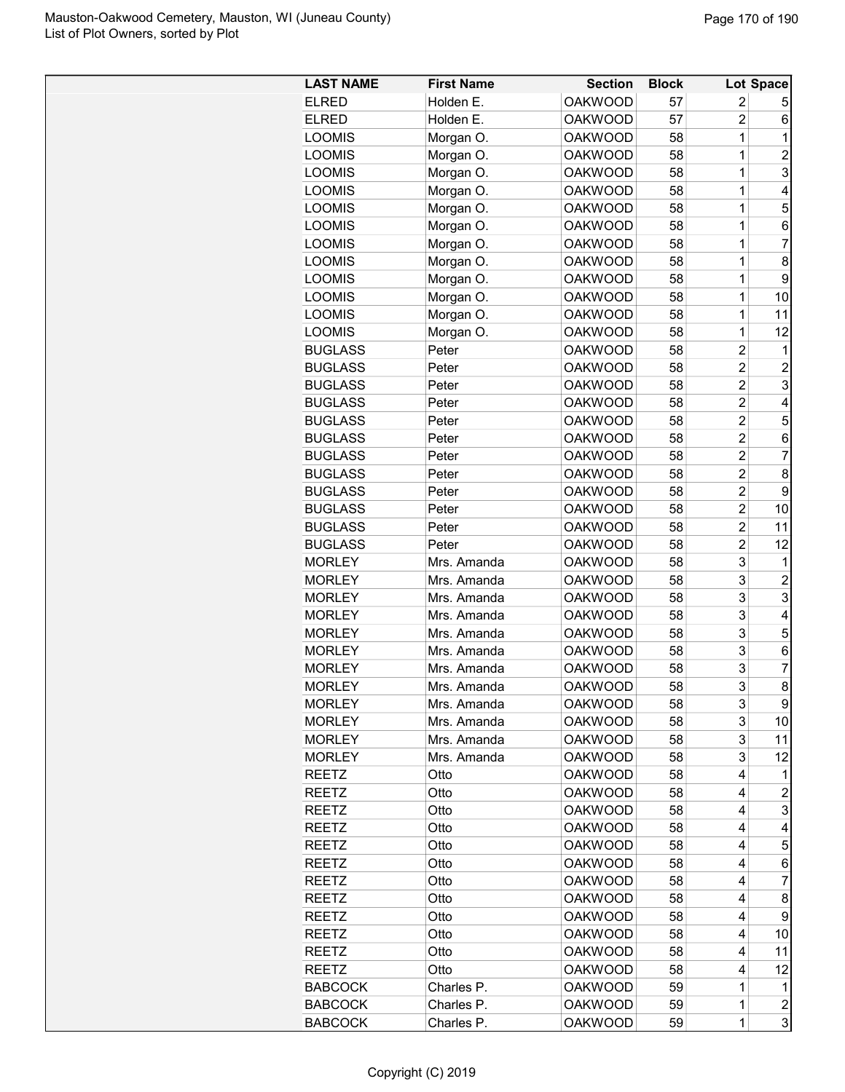| <b>LAST NAME</b> | <b>First Name</b> | <b>Section</b> | <b>Block</b> |                | Lot Space      |
|------------------|-------------------|----------------|--------------|----------------|----------------|
| <b>ELRED</b>     | Holden E.         | <b>OAKWOOD</b> | 57           | 2              | 5              |
| <b>ELRED</b>     | Holden E.         | <b>OAKWOOD</b> | 57           | $\overline{2}$ | 6              |
| <b>LOOMIS</b>    | Morgan O.         | <b>OAKWOOD</b> | 58           | 1              | 1              |
| <b>LOOMIS</b>    | Morgan O.         | <b>OAKWOOD</b> | 58           | 1              | $\overline{c}$ |
| <b>LOOMIS</b>    | Morgan O.         | <b>OAKWOOD</b> | 58           | 1              | 3              |
| <b>LOOMIS</b>    | Morgan O.         | <b>OAKWOOD</b> | 58           | 1              | 4              |
| <b>LOOMIS</b>    | Morgan O.         | <b>OAKWOOD</b> | 58           | 1              | 5              |
| <b>LOOMIS</b>    | Morgan O.         | <b>OAKWOOD</b> | 58           | 1              | 6              |
| <b>LOOMIS</b>    | Morgan O.         | <b>OAKWOOD</b> | 58           | 1              | 7              |
| <b>LOOMIS</b>    | Morgan O.         | <b>OAKWOOD</b> | 58           | 1              | 8              |
| <b>LOOMIS</b>    | Morgan O.         | <b>OAKWOOD</b> | 58           | 1              | 9              |
| <b>LOOMIS</b>    | Morgan O.         | <b>OAKWOOD</b> | 58           | 1              | 10             |
| <b>LOOMIS</b>    | Morgan O.         | <b>OAKWOOD</b> | 58           | 1              | 11             |
| <b>LOOMIS</b>    | Morgan O.         | <b>OAKWOOD</b> | 58           | 1              | 12             |
| <b>BUGLASS</b>   | Peter             | <b>OAKWOOD</b> | 58           | $\overline{c}$ | 1              |
| <b>BUGLASS</b>   | Peter             | <b>OAKWOOD</b> | 58           | $\overline{c}$ | $\overline{2}$ |
| <b>BUGLASS</b>   | Peter             | <b>OAKWOOD</b> | 58           | $\overline{2}$ | 3              |
| <b>BUGLASS</b>   | Peter             | <b>OAKWOOD</b> | 58           | $\overline{2}$ | 4              |
| <b>BUGLASS</b>   | Peter             | <b>OAKWOOD</b> | 58           | $\overline{c}$ | 5              |
| <b>BUGLASS</b>   | Peter             | <b>OAKWOOD</b> | 58           | $\overline{c}$ | 6              |
| <b>BUGLASS</b>   | Peter             | <b>OAKWOOD</b> | 58           | $\overline{2}$ | 7              |
| <b>BUGLASS</b>   | Peter             | <b>OAKWOOD</b> | 58           | $\overline{c}$ | 8              |
| <b>BUGLASS</b>   | Peter             | <b>OAKWOOD</b> | 58           | $\overline{2}$ | 9              |
| <b>BUGLASS</b>   | Peter             | <b>OAKWOOD</b> | 58           | $\overline{c}$ | 10             |
| <b>BUGLASS</b>   | Peter             | <b>OAKWOOD</b> | 58           | $\overline{2}$ | 11             |
| <b>BUGLASS</b>   | Peter             | <b>OAKWOOD</b> | 58           | $\overline{c}$ | 12             |
| <b>MORLEY</b>    | Mrs. Amanda       | <b>OAKWOOD</b> | 58           | 3              | 1              |
| <b>MORLEY</b>    | Mrs. Amanda       | <b>OAKWOOD</b> | 58           | 3              | 2              |
| <b>MORLEY</b>    | Mrs. Amanda       | <b>OAKWOOD</b> | 58           | 3              | 3              |
| <b>MORLEY</b>    | Mrs. Amanda       | <b>OAKWOOD</b> | 58           | 3              | 4              |
| <b>MORLEY</b>    | Mrs. Amanda       | <b>OAKWOOD</b> | 58           | 3              | 5              |
| <b>MORLEY</b>    | Mrs. Amanda       | <b>OAKWOOD</b> | 58           | 3              | 6              |
| <b>MORLEY</b>    | Mrs. Amanda       | <b>OAKWOOD</b> | 58           | 3              | 7              |
| MORLEY           | Mrs. Amanda       | <b>OAKWOOD</b> | 58           | 3              | 8              |
| <b>MORLEY</b>    | Mrs. Amanda       | <b>OAKWOOD</b> | 58           | 3              | 9              |
| <b>MORLEY</b>    | Mrs. Amanda       | <b>OAKWOOD</b> | 58           | 3              | 10             |
| <b>MORLEY</b>    | Mrs. Amanda       | <b>OAKWOOD</b> | 58           | 3              | 11             |
| <b>MORLEY</b>    | Mrs. Amanda       | <b>OAKWOOD</b> | 58           | 3              | 12             |
| <b>REETZ</b>     | Otto              | <b>OAKWOOD</b> | 58           | 4              | 1              |
| <b>REETZ</b>     | Otto              | <b>OAKWOOD</b> | 58           | 4              | $\overline{c}$ |
| <b>REETZ</b>     | Otto              | <b>OAKWOOD</b> | 58           | 4              | 3              |
| <b>REETZ</b>     | Otto              | <b>OAKWOOD</b> | 58           | 4              | 4              |
| <b>REETZ</b>     | Otto              | <b>OAKWOOD</b> | 58           | 4              | 5              |
| <b>REETZ</b>     | Otto              | <b>OAKWOOD</b> | 58           | 4              | 6              |
| <b>REETZ</b>     | Otto              | <b>OAKWOOD</b> | 58           | 4              | 7              |
| <b>REETZ</b>     | Otto              | <b>OAKWOOD</b> | 58           | 4              | 8              |
| <b>REETZ</b>     | Otto              | <b>OAKWOOD</b> | 58           | 4              | 9              |
| <b>REETZ</b>     | Otto              | <b>OAKWOOD</b> | 58           | 4              | 10             |
| <b>REETZ</b>     | Otto              | <b>OAKWOOD</b> | 58           | 4              | 11             |
| <b>REETZ</b>     | Otto              | <b>OAKWOOD</b> | 58           | 4              | 12             |
| <b>BABCOCK</b>   | Charles P.        | <b>OAKWOOD</b> | 59           | 1              | 1              |
| <b>BABCOCK</b>   | Charles P.        | <b>OAKWOOD</b> | 59           | $\mathbf 1$    | $\overline{c}$ |
| <b>BABCOCK</b>   | Charles P.        | <b>OAKWOOD</b> | 59           | 1              | 3              |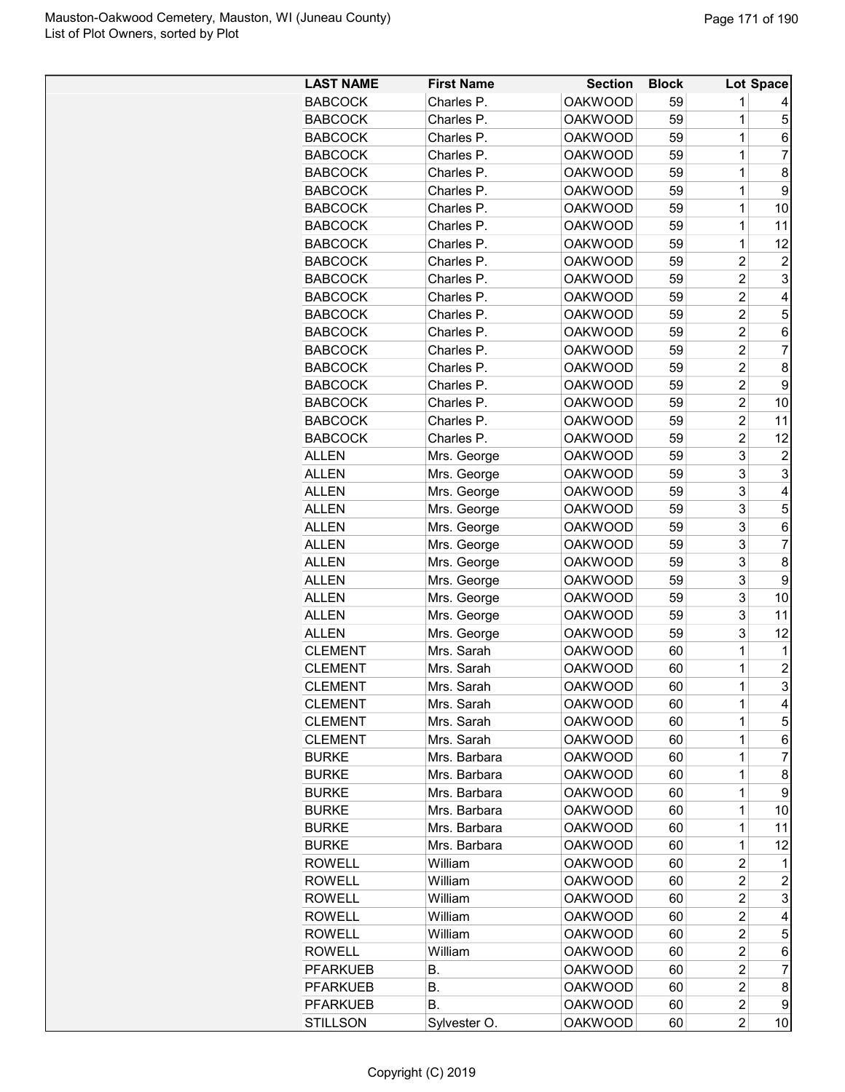| <b>LAST NAME</b> | <b>First Name</b> | <b>Section</b> | <b>Block</b> |                | Lot Space      |
|------------------|-------------------|----------------|--------------|----------------|----------------|
| <b>BABCOCK</b>   | Charles P.        | <b>OAKWOOD</b> | 59           | 1              | 4              |
| <b>BABCOCK</b>   | Charles P.        | <b>OAKWOOD</b> | 59           | 1              | 5              |
| <b>BABCOCK</b>   | Charles P.        | <b>OAKWOOD</b> | 59           | $\mathbf 1$    | 6              |
| <b>BABCOCK</b>   | Charles P.        | <b>OAKWOOD</b> | 59           | $\mathbf 1$    | $\overline{7}$ |
| <b>BABCOCK</b>   | Charles P.        | <b>OAKWOOD</b> | 59           | 1              | 8              |
| <b>BABCOCK</b>   | Charles P.        | <b>OAKWOOD</b> | 59           | 1              | 9              |
| <b>BABCOCK</b>   | Charles P.        | <b>OAKWOOD</b> | 59           | 1              | 10             |
| <b>BABCOCK</b>   | Charles P.        | <b>OAKWOOD</b> | 59           | $\mathbf 1$    | 11             |
| <b>BABCOCK</b>   | Charles P.        | <b>OAKWOOD</b> | 59           | $\mathbf 1$    | 12             |
| <b>BABCOCK</b>   | Charles P.        | <b>OAKWOOD</b> | 59           | $\overline{c}$ | $\overline{c}$ |
| <b>BABCOCK</b>   | Charles P.        | <b>OAKWOOD</b> | 59           | $\overline{c}$ | 3              |
| <b>BABCOCK</b>   | Charles P.        | <b>OAKWOOD</b> | 59           | $\overline{c}$ | 4              |
| <b>BABCOCK</b>   | Charles P.        | <b>OAKWOOD</b> | 59           | $\overline{c}$ | 5              |
| <b>BABCOCK</b>   | Charles P.        | <b>OAKWOOD</b> | 59           | $\overline{c}$ | 6              |
| <b>BABCOCK</b>   | Charles P.        | <b>OAKWOOD</b> | 59           | $\overline{c}$ | 7              |
| <b>BABCOCK</b>   | Charles P.        | <b>OAKWOOD</b> | 59           | $\overline{c}$ | 8              |
| <b>BABCOCK</b>   | Charles P.        | <b>OAKWOOD</b> | 59           | $\overline{2}$ | 9              |
| <b>BABCOCK</b>   | Charles P.        | <b>OAKWOOD</b> | 59           | $\overline{c}$ | 10             |
| <b>BABCOCK</b>   | Charles P.        | <b>OAKWOOD</b> | 59           | $\overline{c}$ | 11             |
| <b>BABCOCK</b>   | Charles P.        | <b>OAKWOOD</b> | 59           | $\overline{c}$ | 12             |
| <b>ALLEN</b>     | Mrs. George       | <b>OAKWOOD</b> | 59           | 3              | $\overline{c}$ |
| <b>ALLEN</b>     | Mrs. George       | <b>OAKWOOD</b> | 59           | 3              | 3              |
| <b>ALLEN</b>     | Mrs. George       | <b>OAKWOOD</b> | 59           | 3              | 4              |
| <b>ALLEN</b>     | Mrs. George       | <b>OAKWOOD</b> | 59           | 3              | 5              |
| ALLEN            | Mrs. George       | <b>OAKWOOD</b> | 59           | 3              | 6              |
| ALLEN            | Mrs. George       | <b>OAKWOOD</b> | 59           | 3              | 7              |
| <b>ALLEN</b>     | Mrs. George       | <b>OAKWOOD</b> | 59           | 3              | 8              |
| <b>ALLEN</b>     | Mrs. George       | <b>OAKWOOD</b> | 59           | 3              | 9              |
| <b>ALLEN</b>     | Mrs. George       | <b>OAKWOOD</b> | 59           | 3              | 10             |
| ALLEN            | Mrs. George       | <b>OAKWOOD</b> | 59           | 3              | 11             |
| <b>ALLEN</b>     | Mrs. George       | <b>OAKWOOD</b> | 59           | 3              | 12             |
| <b>CLEMENT</b>   | Mrs. Sarah        | <b>OAKWOOD</b> | 60           | $\mathbf 1$    | 1              |
| <b>CLEMENT</b>   | Mrs. Sarah        | <b>OAKWOOD</b> | 60           | $\mathbf 1$    | $\overline{2}$ |
| <b>CLEMENT</b>   | Mrs. Sarah        | <b>OAKWOOD</b> | 60           | $\overline{1}$ | 3              |
| <b>CLEMENT</b>   | Mrs. Sarah        | <b>OAKWOOD</b> | 60           | 1              | 4              |
| <b>CLEMENT</b>   | Mrs. Sarah        | <b>OAKWOOD</b> | 60           | 1              | 5              |
| <b>CLEMENT</b>   | Mrs. Sarah        | OAKWOOD        | 60           | 1              | 6              |
| <b>BURKE</b>     | Mrs. Barbara      | <b>OAKWOOD</b> | 60           | $\mathbf{1}$   | 7              |
| <b>BURKE</b>     | Mrs. Barbara      | <b>OAKWOOD</b> | 60           | $\mathbf 1$    | 8              |
| <b>BURKE</b>     | Mrs. Barbara      | <b>OAKWOOD</b> | 60           | 1              | 9              |
| <b>BURKE</b>     | Mrs. Barbara      | <b>OAKWOOD</b> | 60           | 1              | 10             |
| <b>BURKE</b>     | Mrs. Barbara      | <b>OAKWOOD</b> | 60           | 1              | 11             |
| <b>BURKE</b>     | Mrs. Barbara      | <b>OAKWOOD</b> | 60           | 1              | 12             |
| <b>ROWELL</b>    | William           | <b>OAKWOOD</b> | 60           | $\overline{c}$ | 1              |
| <b>ROWELL</b>    | William           | <b>OAKWOOD</b> | 60           | $\overline{c}$ | $\overline{c}$ |
| <b>ROWELL</b>    | William           | <b>OAKWOOD</b> | 60           | 2              | 3              |
| <b>ROWELL</b>    | William           | <b>OAKWOOD</b> | 60           | 2              | 4              |
| <b>ROWELL</b>    | William           | <b>OAKWOOD</b> | 60           | $\overline{c}$ | 5              |
| <b>ROWELL</b>    | William           | <b>OAKWOOD</b> | 60           | 2              | 6              |
| <b>PFARKUEB</b>  | В.                | <b>OAKWOOD</b> | 60           | 2              | 7              |
| <b>PFARKUEB</b>  | В.                | <b>OAKWOOD</b> | 60           | 2              | 8              |
| <b>PFARKUEB</b>  | В.                | <b>OAKWOOD</b> | 60           | 2              | 9              |
| <b>STILLSON</b>  | Sylvester O.      | <b>OAKWOOD</b> | 60           | 2              | 10             |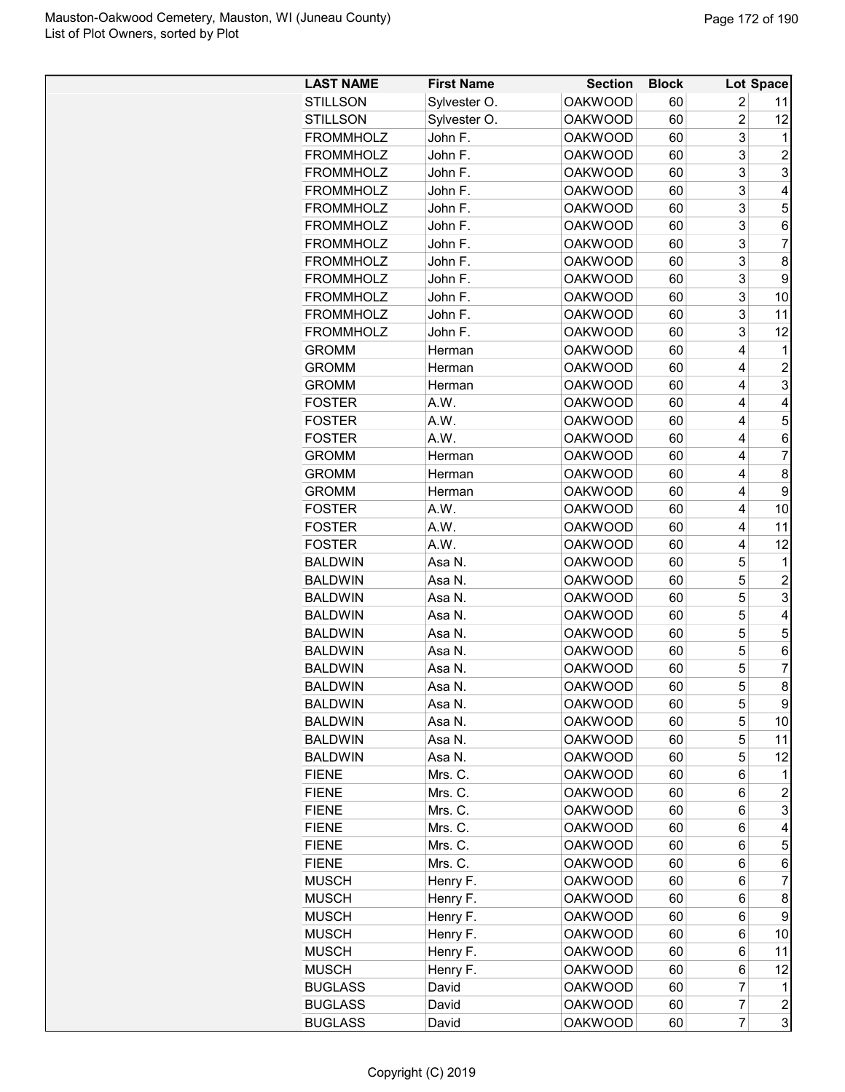| <b>LAST NAME</b> | <b>First Name</b> | <b>Section</b> | <b>Block</b> |                | Lot Space        |
|------------------|-------------------|----------------|--------------|----------------|------------------|
| <b>STILLSON</b>  | Sylvester O.      | <b>OAKWOOD</b> | 60           | 2              | 11               |
| <b>STILLSON</b>  | Sylvester O.      | <b>OAKWOOD</b> | 60           | $\overline{c}$ | 12               |
| <b>FROMMHOLZ</b> | John F.           | <b>OAKWOOD</b> | 60           | 3              | 1                |
| <b>FROMMHOLZ</b> | John F.           | <b>OAKWOOD</b> | 60           | 3              | $\overline{2}$   |
| <b>FROMMHOLZ</b> | John F.           | <b>OAKWOOD</b> | 60           | 3              | 3                |
| <b>FROMMHOLZ</b> | John F.           | <b>OAKWOOD</b> | 60           | 3              | 4                |
| <b>FROMMHOLZ</b> | John F.           | <b>OAKWOOD</b> | 60           | 3              | 5                |
| <b>FROMMHOLZ</b> | John F.           | <b>OAKWOOD</b> | 60           | 3              | 6                |
| <b>FROMMHOLZ</b> | John F.           | <b>OAKWOOD</b> | 60           | 3              | $\overline{7}$   |
| <b>FROMMHOLZ</b> | John F.           | <b>OAKWOOD</b> | 60           | 3              | 8                |
| <b>FROMMHOLZ</b> | John F.           | <b>OAKWOOD</b> | 60           | 3              | 9                |
| <b>FROMMHOLZ</b> | John F.           | <b>OAKWOOD</b> | 60           | 3              | 10               |
| <b>FROMMHOLZ</b> | John F.           | <b>OAKWOOD</b> | 60           | 3              | 11               |
| <b>FROMMHOLZ</b> | John F.           | <b>OAKWOOD</b> | 60           | 3              | 12               |
| <b>GROMM</b>     | Herman            | <b>OAKWOOD</b> | 60           | 4              | 1                |
| <b>GROMM</b>     | Herman            | <b>OAKWOOD</b> | 60           | 4              | $\overline{2}$   |
| <b>GROMM</b>     | Herman            | <b>OAKWOOD</b> | 60           | 4              | 3                |
| <b>FOSTER</b>    | A.W.              | <b>OAKWOOD</b> | 60           | 4              | 4                |
| <b>FOSTER</b>    | A.W.              | <b>OAKWOOD</b> | 60           | 4              | 5                |
| <b>FOSTER</b>    | A.W.              | <b>OAKWOOD</b> | 60           | 4              | 6                |
| <b>GROMM</b>     | Herman            | <b>OAKWOOD</b> | 60           | 4              | $\overline{7}$   |
| <b>GROMM</b>     | Herman            | <b>OAKWOOD</b> | 60           | 4              | 8                |
| <b>GROMM</b>     | Herman            | <b>OAKWOOD</b> | 60           | 4              | 9                |
| <b>FOSTER</b>    | A.W.              | <b>OAKWOOD</b> | 60           | 4              | 10               |
| <b>FOSTER</b>    | A.W.              | <b>OAKWOOD</b> | 60           | 4              | 11               |
| <b>FOSTER</b>    | A.W.              | <b>OAKWOOD</b> | 60           | 4              | 12               |
| <b>BALDWIN</b>   | Asa N.            | <b>OAKWOOD</b> | 60           | 5              | 1                |
| <b>BALDWIN</b>   | Asa N.            | <b>OAKWOOD</b> | 60           | 5              | $\overline{c}$   |
| <b>BALDWIN</b>   | Asa N.            | <b>OAKWOOD</b> | 60           | 5              | 3                |
| <b>BALDWIN</b>   | Asa N.            | <b>OAKWOOD</b> | 60           | 5              | 4                |
| <b>BALDWIN</b>   | Asa N.            | <b>OAKWOOD</b> | 60           | 5              | 5                |
| <b>BALDWIN</b>   | Asa N.            | <b>OAKWOOD</b> | 60           | 5              | 6                |
| <b>BALDWIN</b>   | Asa N.            | <b>OAKWOOD</b> | 60           | 5              | 7                |
| <b>BALDWIN</b>   | Asa N.            | <b>OAKWOOD</b> | 60           | 5              | 8                |
| <b>BALDWIN</b>   | Asa N.            | <b>OAKWOOD</b> | 60           | 5              | 9                |
| <b>BALDWIN</b>   | Asa N.            | <b>OAKWOOD</b> | 60           | 5              | 10               |
| <b>BALDWIN</b>   | Asa N.            | <b>OAKWOOD</b> | 60           | 5              | 11               |
| <b>BALDWIN</b>   | Asa N.            | <b>OAKWOOD</b> | 60           | 5              | 12               |
| <b>FIENE</b>     | Mrs. C.           | <b>OAKWOOD</b> | 60           | 6              | 1                |
| <b>FIENE</b>     | Mrs. C.           | <b>OAKWOOD</b> | 60           | 6              | $\overline{c}$   |
| <b>FIENE</b>     | Mrs. C.           | <b>OAKWOOD</b> | 60           | 6              | 3                |
| <b>FIENE</b>     | Mrs. C.           | <b>OAKWOOD</b> | 60           | 6              | 4                |
| <b>FIENE</b>     | Mrs. C.           | <b>OAKWOOD</b> | 60           | 6              | 5                |
| <b>FIENE</b>     | Mrs. C.           | <b>OAKWOOD</b> | 60           | 6              | 6                |
| <b>MUSCH</b>     | Henry F.          | <b>OAKWOOD</b> | 60           | 6              | $\overline{7}$   |
| <b>MUSCH</b>     | Henry F.          | <b>OAKWOOD</b> | 60           | 6              | 8                |
| <b>MUSCH</b>     | Henry F.          | <b>OAKWOOD</b> | 60           | 6              | 9                |
| <b>MUSCH</b>     | Henry F.          | <b>OAKWOOD</b> | 60           | 6              | 10               |
| <b>MUSCH</b>     | Henry F.          | <b>OAKWOOD</b> | 60           | 6              | 11               |
| <b>MUSCH</b>     | Henry F.          | <b>OAKWOOD</b> | 60           | 6              | 12               |
| <b>BUGLASS</b>   | David             | <b>OAKWOOD</b> | 60           | 7              | 1                |
| <b>BUGLASS</b>   | David             | <b>OAKWOOD</b> | 60           | $\overline{7}$ | $\boldsymbol{2}$ |
| <b>BUGLASS</b>   | David             | <b>OAKWOOD</b> | 60           | 7              | 3                |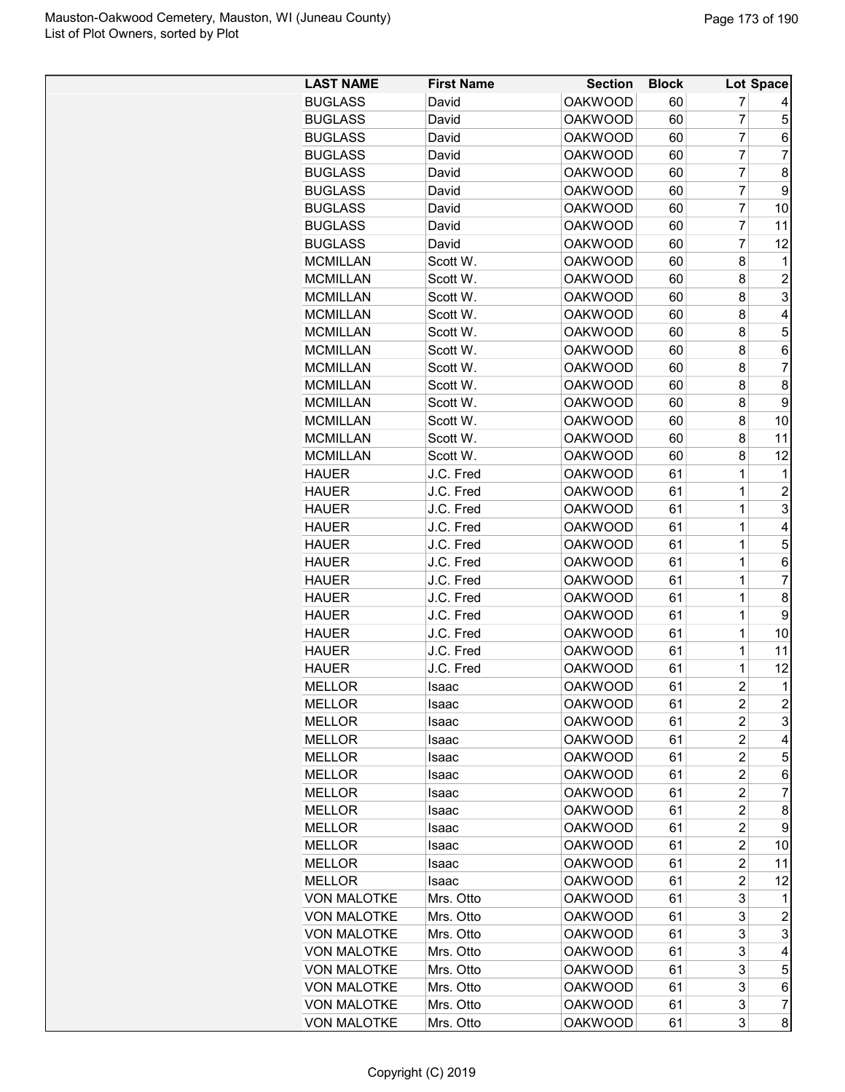| <b>LAST NAME</b>   | <b>First Name</b> | <b>Section</b> | <b>Block</b> |                | Lot Space                 |
|--------------------|-------------------|----------------|--------------|----------------|---------------------------|
| <b>BUGLASS</b>     | David             | <b>OAKWOOD</b> | 60           | 7              |                           |
| <b>BUGLASS</b>     | David             | <b>OAKWOOD</b> | 60           | 7              | 5                         |
| <b>BUGLASS</b>     | David             | <b>OAKWOOD</b> | 60           | 7              | 6                         |
| <b>BUGLASS</b>     | David             | <b>OAKWOOD</b> | 60           | $\overline{7}$ | $\overline{7}$            |
| <b>BUGLASS</b>     | David             | <b>OAKWOOD</b> | 60           | $\overline{7}$ | 8                         |
| <b>BUGLASS</b>     | David             | <b>OAKWOOD</b> | 60           | $\overline{7}$ | 9                         |
| <b>BUGLASS</b>     | David             | <b>OAKWOOD</b> | 60           | 7              | 10                        |
| <b>BUGLASS</b>     | David             | <b>OAKWOOD</b> | 60           | $\overline{7}$ | 11                        |
| <b>BUGLASS</b>     | David             | <b>OAKWOOD</b> | 60           | 7              | 12                        |
| <b>MCMILLAN</b>    | Scott W.          | <b>OAKWOOD</b> | 60           | 8              | 1                         |
| <b>MCMILLAN</b>    | Scott W.          | <b>OAKWOOD</b> | 60           | 8              | $\overline{c}$            |
| <b>MCMILLAN</b>    | Scott W.          | <b>OAKWOOD</b> | 60           | 8              | 3                         |
| <b>MCMILLAN</b>    | Scott W.          | <b>OAKWOOD</b> | 60           | 8              | 4                         |
| <b>MCMILLAN</b>    | Scott W.          | <b>OAKWOOD</b> | 60           | 8              | 5                         |
| <b>MCMILLAN</b>    | Scott W.          | <b>OAKWOOD</b> | 60           | 8              | 6                         |
| <b>MCMILLAN</b>    | Scott W.          | <b>OAKWOOD</b> | 60           | 8              | $\overline{7}$            |
| <b>MCMILLAN</b>    | Scott W.          | <b>OAKWOOD</b> | 60           | 8              | 8                         |
| <b>MCMILLAN</b>    | Scott W.          | <b>OAKWOOD</b> | 60           | 8              | 9                         |
| <b>MCMILLAN</b>    | Scott W.          | <b>OAKWOOD</b> | 60           | 8              | 10                        |
| <b>MCMILLAN</b>    | Scott W.          | <b>OAKWOOD</b> | 60           | 8              | 11                        |
| <b>MCMILLAN</b>    | Scott W.          | <b>OAKWOOD</b> | 60           | 8              | 12                        |
| <b>HAUER</b>       | J.C. Fred         | <b>OAKWOOD</b> | 61           | $\mathbf 1$    | 1                         |
| <b>HAUER</b>       | J.C. Fred         | <b>OAKWOOD</b> | 61           | $\mathbf 1$    | $\overline{c}$            |
| <b>HAUER</b>       | J.C. Fred         | <b>OAKWOOD</b> | 61           | $\mathbf 1$    | $\ensuremath{\mathsf{3}}$ |
| <b>HAUER</b>       | J.C. Fred         | <b>OAKWOOD</b> | 61           | $\mathbf 1$    | 4                         |
| <b>HAUER</b>       | J.C. Fred         | <b>OAKWOOD</b> | 61           | $\mathbf 1$    | 5                         |
| <b>HAUER</b>       | J.C. Fred         | <b>OAKWOOD</b> | 61           | 1              | 6                         |
| <b>HAUER</b>       | J.C. Fred         | <b>OAKWOOD</b> | 61           | 1              | 7                         |
| <b>HAUER</b>       | J.C. Fred         | <b>OAKWOOD</b> | 61           | 1              | 8                         |
| <b>HAUER</b>       | J.C. Fred         | <b>OAKWOOD</b> | 61           | 1              | 9                         |
| <b>HAUER</b>       | J.C. Fred         | <b>OAKWOOD</b> | 61           | $\mathbf 1$    | 10                        |
| <b>HAUER</b>       | J.C. Fred         | <b>OAKWOOD</b> | 61           | $\mathbf 1$    | 11                        |
| <b>HAUER</b>       | J.C. Fred         | <b>OAKWOOD</b> | 61           | $\overline{1}$ | 12                        |
| <b>MELLOR</b>      | Isaac             | <b>OAKWOOD</b> | 61           | $\overline{c}$ | $\mathbf 1$               |
| MELLOR             | Isaac             | <b>OAKWOOD</b> | 61           | 2              | $\overline{c}$            |
| <b>MELLOR</b>      | Isaac             | <b>OAKWOOD</b> | 61           | 2              | 3                         |
| <b>MELLOR</b>      | Isaac             | <b>OAKWOOD</b> | 61           | 2              | 4                         |
| MELLOR             | Isaac             | <b>OAKWOOD</b> | 61           | 2              | 5                         |
| <b>MELLOR</b>      | Isaac             | <b>OAKWOOD</b> | 61           | $\overline{2}$ | 6                         |
| <b>MELLOR</b>      | Isaac             | <b>OAKWOOD</b> | 61           | $\overline{2}$ | 7                         |
| <b>MELLOR</b>      | Isaac             | <b>OAKWOOD</b> | 61           | 2              | 8                         |
| <b>MELLOR</b>      | Isaac             | <b>OAKWOOD</b> | 61           | 2              | 9                         |
| <b>MELLOR</b>      | Isaac             | <b>OAKWOOD</b> | 61           | 2              | 10                        |
| <b>MELLOR</b>      | Isaac             | <b>OAKWOOD</b> | 61           | 2              | 11                        |
| <b>MELLOR</b>      | Isaac             | <b>OAKWOOD</b> | 61           | $\overline{2}$ | 12                        |
| <b>VON MALOTKE</b> | Mrs. Otto         | <b>OAKWOOD</b> | 61           | 3              | 1                         |
| <b>VON MALOTKE</b> | Mrs. Otto         | <b>OAKWOOD</b> | 61           | 3              | $\overline{c}$            |
| <b>VON MALOTKE</b> | Mrs. Otto         | <b>OAKWOOD</b> | 61           | 3              | 3                         |
| <b>VON MALOTKE</b> | Mrs. Otto         | <b>OAKWOOD</b> | 61           | 3              | 4                         |
| <b>VON MALOTKE</b> | Mrs. Otto         | <b>OAKWOOD</b> | 61           | 3              | 5                         |
| <b>VON MALOTKE</b> | Mrs. Otto         | <b>OAKWOOD</b> | 61           | 3              | 6                         |
| <b>VON MALOTKE</b> | Mrs. Otto         | <b>OAKWOOD</b> | 61           | 3              | $\overline{7}$            |
| <b>VON MALOTKE</b> | Mrs. Otto         | <b>OAKWOOD</b> | 61           | 3              | 8                         |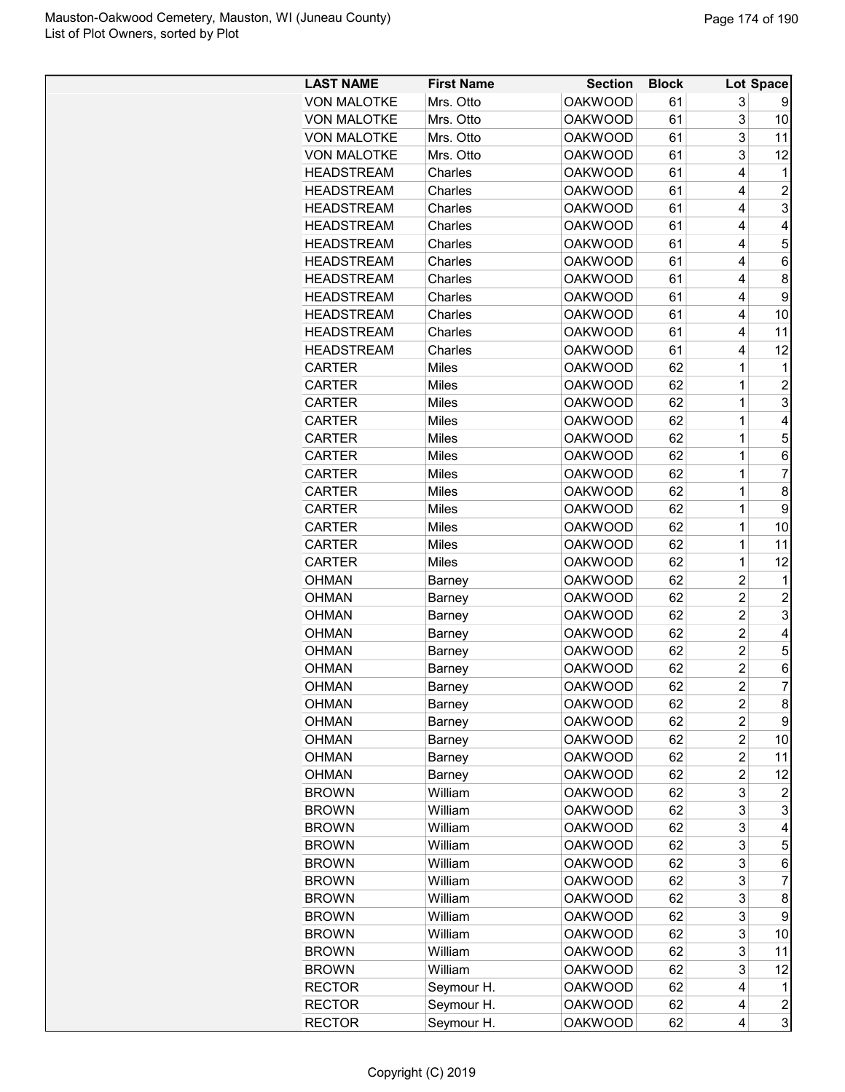| <b>LAST NAME</b>   | <b>First Name</b> | <b>Section</b> | <b>Block</b> |                | Lot Space      |
|--------------------|-------------------|----------------|--------------|----------------|----------------|
| <b>VON MALOTKE</b> | Mrs. Otto         | <b>OAKWOOD</b> | 61           | 3              |                |
| <b>VON MALOTKE</b> | Mrs. Otto         | <b>OAKWOOD</b> | 61           | 3              | 10             |
| <b>VON MALOTKE</b> | Mrs. Otto         | <b>OAKWOOD</b> | 61           | 3              | 11             |
| <b>VON MALOTKE</b> | Mrs. Otto         | <b>OAKWOOD</b> | 61           | 3              | 12             |
| <b>HEADSTREAM</b>  | Charles           | <b>OAKWOOD</b> | 61           | 4              | 1              |
| <b>HEADSTREAM</b>  | Charles           | <b>OAKWOOD</b> | 61           | $\overline{4}$ | $\overline{c}$ |
| <b>HEADSTREAM</b>  | Charles           | <b>OAKWOOD</b> | 61           | 4              | 3              |
| <b>HEADSTREAM</b>  | Charles           | <b>OAKWOOD</b> | 61           | $\overline{4}$ | 4              |
| <b>HEADSTREAM</b>  | Charles           | <b>OAKWOOD</b> | 61           | 4              | 5              |
| <b>HEADSTREAM</b>  | Charles           | <b>OAKWOOD</b> | 61           | 4              | 6              |
| <b>HEADSTREAM</b>  | Charles           | <b>OAKWOOD</b> | 61           | 4              | 8              |
| <b>HEADSTREAM</b>  | Charles           | <b>OAKWOOD</b> | 61           | 4              | 9              |
| <b>HEADSTREAM</b>  | Charles           | <b>OAKWOOD</b> | 61           | 4              | 10             |
| <b>HEADSTREAM</b>  | Charles           | <b>OAKWOOD</b> | 61           | $\overline{4}$ | 11             |
| <b>HEADSTREAM</b>  | Charles           | <b>OAKWOOD</b> | 61           | $\overline{4}$ | 12             |
| <b>CARTER</b>      | Miles             | <b>OAKWOOD</b> | 62           | 1              | 1              |
| <b>CARTER</b>      | Miles             | <b>OAKWOOD</b> | 62           | 1              | $\overline{c}$ |
| <b>CARTER</b>      | Miles             | <b>OAKWOOD</b> | 62           | 1              | 3              |
| <b>CARTER</b>      | Miles             | <b>OAKWOOD</b> | 62           | 1              | 4              |
| <b>CARTER</b>      | Miles             | <b>OAKWOOD</b> | 62           | 1              | 5              |
| <b>CARTER</b>      | <b>Miles</b>      | <b>OAKWOOD</b> | 62           | 1              | 6              |
| <b>CARTER</b>      | Miles             | <b>OAKWOOD</b> | 62           | 1              | $\overline{7}$ |
| <b>CARTER</b>      | Miles             | <b>OAKWOOD</b> | 62           | $\mathbf 1$    | 8              |
| <b>CARTER</b>      | Miles             | <b>OAKWOOD</b> | 62           | 1              | 9              |
| <b>CARTER</b>      | Miles             | <b>OAKWOOD</b> | 62           | 1              | 10             |
| <b>CARTER</b>      | Miles             | <b>OAKWOOD</b> | 62           | 1              | 11             |
| <b>CARTER</b>      | Miles             | <b>OAKWOOD</b> | 62           | 1              | 12             |
| <b>OHMAN</b>       | Barney            | <b>OAKWOOD</b> | 62           | $\overline{c}$ | 1              |
| <b>OHMAN</b>       | Barney            | <b>OAKWOOD</b> | 62           | $\overline{2}$ | $\overline{2}$ |
| <b>OHMAN</b>       | Barney            | <b>OAKWOOD</b> | 62           | $\overline{2}$ | 3              |
| <b>OHMAN</b>       | Barney            | <b>OAKWOOD</b> | 62           | $\overline{2}$ | 4              |
| <b>OHMAN</b>       | Barney            | <b>OAKWOOD</b> | 62           | $\overline{2}$ | 5              |
| <b>OHMAN</b>       | Barney            | <b>OAKWOOD</b> | 62           | $\overline{c}$ | 6              |
| <b>OHMAN</b>       | Barney            | <b>OAKWOOD</b> | 62           | $\overline{2}$ | $\overline{7}$ |
| <b>OHMAN</b>       | Barney            | <b>OAKWOOD</b> | 62           | 2              | 8              |
| <b>OHMAN</b>       | <b>Barney</b>     | <b>OAKWOOD</b> | 62           | 2              | 9              |
| OHMAN              | Barney            | <b>OAKWOOD</b> | 62           | $\overline{c}$ | 10             |
| <b>OHMAN</b>       | Barney            | <b>OAKWOOD</b> | 62           | $\overline{2}$ | 11             |
| OHMAN              | Barney            | <b>OAKWOOD</b> | 62           | $\overline{c}$ | 12             |
| <b>BROWN</b>       | William           | <b>OAKWOOD</b> | 62           | 3              | 2              |
| <b>BROWN</b>       | William           | <b>OAKWOOD</b> | 62           | 3              | 3              |
| <b>BROWN</b>       | William           | <b>OAKWOOD</b> | 62           | 3              | 4              |
| <b>BROWN</b>       | William           | <b>OAKWOOD</b> | 62           | 3              | 5              |
| <b>BROWN</b>       | William           | <b>OAKWOOD</b> | 62           | 3              | 6              |
| <b>BROWN</b>       | William           | <b>OAKWOOD</b> | 62           | 3              | $\overline{7}$ |
| <b>BROWN</b>       | William           | <b>OAKWOOD</b> | 62           | 3              | 8              |
| <b>BROWN</b>       | William           | <b>OAKWOOD</b> | 62           | 3              | 9              |
| <b>BROWN</b>       | William           | <b>OAKWOOD</b> | 62           | 3              | 10             |
| <b>BROWN</b>       | William           | <b>OAKWOOD</b> | 62           | 3              | 11             |
| <b>BROWN</b>       | William           | <b>OAKWOOD</b> | 62           | 3              | 12             |
| <b>RECTOR</b>      | Seymour H.        | <b>OAKWOOD</b> | 62           | 4              | 1              |
| <b>RECTOR</b>      | Seymour H.        | <b>OAKWOOD</b> | 62           | 4              | $\overline{c}$ |
| <b>RECTOR</b>      | Seymour H.        | <b>OAKWOOD</b> | 62           | 4              | 3              |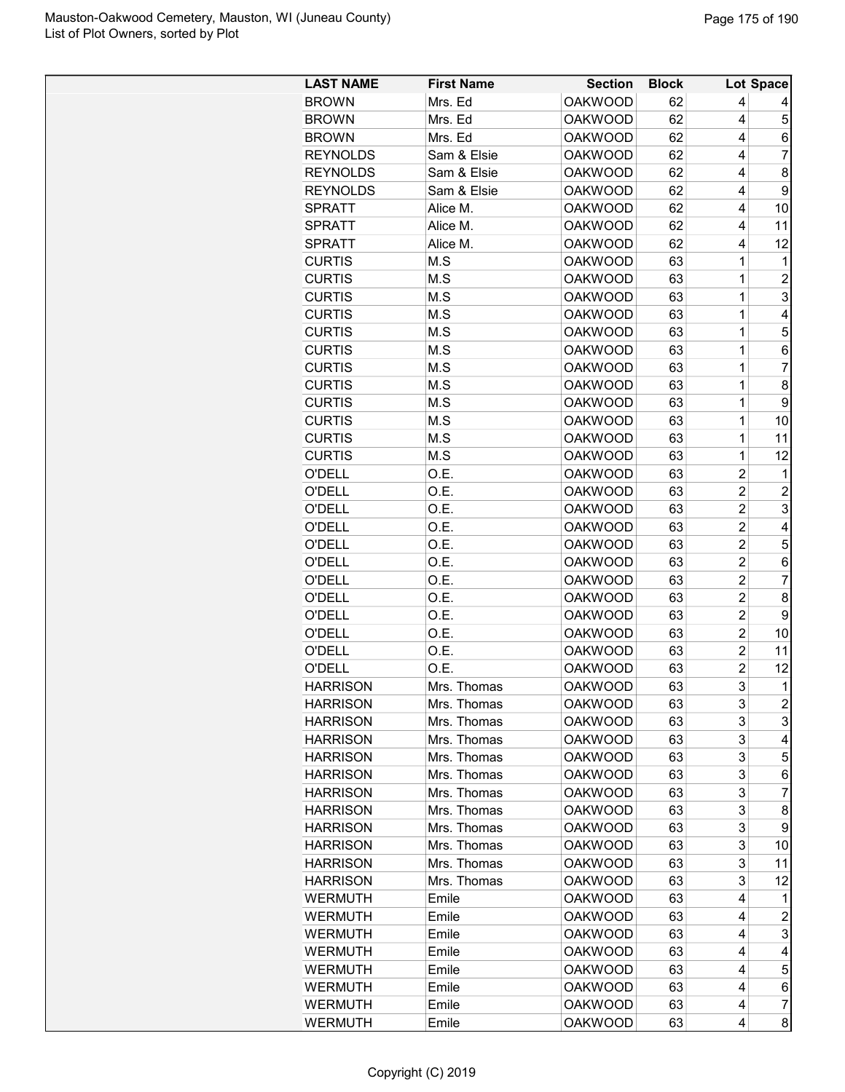| <b>LAST NAME</b> | <b>First Name</b> | <b>Section</b> | <b>Block</b> |                | <b>Lot Space</b>         |
|------------------|-------------------|----------------|--------------|----------------|--------------------------|
| <b>BROWN</b>     | Mrs. Ed           | <b>OAKWOOD</b> | 62           | 4              |                          |
| <b>BROWN</b>     | Mrs. Ed           | <b>OAKWOOD</b> | 62           | 4              | 5                        |
| <b>BROWN</b>     | Mrs. Ed           | <b>OAKWOOD</b> | 62           | 4              | 6                        |
| <b>REYNOLDS</b>  | Sam & Elsie       | <b>OAKWOOD</b> | 62           | 4              | $\overline{7}$           |
| <b>REYNOLDS</b>  | Sam & Elsie       | <b>OAKWOOD</b> | 62           | 4              | 8                        |
| <b>REYNOLDS</b>  | Sam & Elsie       | <b>OAKWOOD</b> | 62           | 4              | 9                        |
| <b>SPRATT</b>    | Alice M.          | <b>OAKWOOD</b> | 62           | 4              | 10                       |
| SPRATT           | Alice M.          | <b>OAKWOOD</b> | 62           | 4              | 11                       |
| <b>SPRATT</b>    | Alice M.          | <b>OAKWOOD</b> | 62           | 4              | 12                       |
| <b>CURTIS</b>    | M.S               | <b>OAKWOOD</b> | 63           | 1              | 1                        |
| <b>CURTIS</b>    | M.S               | <b>OAKWOOD</b> | 63           | $\mathbf 1$    | 2                        |
| <b>CURTIS</b>    | M.S               | <b>OAKWOOD</b> | 63           | 1              | 3                        |
| <b>CURTIS</b>    | M.S               | <b>OAKWOOD</b> | 63           | 1              | 4                        |
| <b>CURTIS</b>    | M.S               | <b>OAKWOOD</b> | 63           | 1              | 5                        |
| <b>CURTIS</b>    | M.S               | <b>OAKWOOD</b> | 63           | $\mathbf 1$    | 6                        |
| <b>CURTIS</b>    | M.S               | <b>OAKWOOD</b> | 63           | 1              | 7                        |
| <b>CURTIS</b>    | M.S               | <b>OAKWOOD</b> | 63           | $\mathbf 1$    | 8                        |
| <b>CURTIS</b>    | M.S               | <b>OAKWOOD</b> | 63           | $\mathbf 1$    | 9                        |
| <b>CURTIS</b>    | M.S               | <b>OAKWOOD</b> | 63           | 1              | 10                       |
| <b>CURTIS</b>    | M.S               | <b>OAKWOOD</b> | 63           | 1              | 11                       |
| <b>CURTIS</b>    | M.S               | <b>OAKWOOD</b> | 63           | 1              | 12                       |
| O'DELL           | O.E.              | <b>OAKWOOD</b> | 63           | $\overline{2}$ | 1                        |
| <b>O'DELL</b>    | O.E.              | <b>OAKWOOD</b> | 63           | $\overline{c}$ | $\overline{c}$           |
| O'DELL           | O.E.              | <b>OAKWOOD</b> | 63           | $\overline{c}$ | 3                        |
| O'DELL           | O.E.              | <b>OAKWOOD</b> | 63           | $\overline{c}$ | 4                        |
| O'DELL           | O.E.              | <b>OAKWOOD</b> | 63           | $\overline{c}$ | 5                        |
| O'DELL           | O.E.              | <b>OAKWOOD</b> | 63           | $\overline{c}$ | 6                        |
| O'DELL           | O.E.              | <b>OAKWOOD</b> | 63           | $\overline{c}$ | 7                        |
| <b>O'DELL</b>    | O.E.              | <b>OAKWOOD</b> | 63           | $\overline{2}$ | 8                        |
| <b>O'DELL</b>    | O.E.              | <b>OAKWOOD</b> | 63           | $\overline{2}$ | 9                        |
| O'DELL           | O.E.              | <b>OAKWOOD</b> | 63           | $\overline{c}$ | 10                       |
| O'DELL           | O.E.              | <b>OAKWOOD</b> | 63           | $\overline{c}$ | 11                       |
| O'DELL           | O.E.              | <b>OAKWOOD</b> | 63           | $\overline{c}$ | 12                       |
| <b>HARRISON</b>  | Mrs. Thomas       | <b>OAKWOOD</b> | 63           | 3              | $\mathbf{1}$             |
| <b>HARRISON</b>  | Mrs. Thomas       | <b>OAKWOOD</b> | 63           | 3              | $\overline{c}$           |
| <b>HARRISON</b>  | Mrs. Thomas       | <b>OAKWOOD</b> | 63           | 3              | 3                        |
| <b>HARRISON</b>  | Mrs. Thomas       | <b>OAKWOOD</b> | 63           | 3              | 4                        |
| <b>HARRISON</b>  | Mrs. Thomas       | <b>OAKWOOD</b> | 63           | 3              | 5                        |
| <b>HARRISON</b>  | Mrs. Thomas       | <b>OAKWOOD</b> | 63           | 3              | 6                        |
| <b>HARRISON</b>  | Mrs. Thomas       | <b>OAKWOOD</b> | 63           | 3              | 7                        |
| <b>HARRISON</b>  | Mrs. Thomas       | <b>OAKWOOD</b> | 63           | 3              | 8                        |
| <b>HARRISON</b>  | Mrs. Thomas       | <b>OAKWOOD</b> | 63           | 3              | 9                        |
| <b>HARRISON</b>  | Mrs. Thomas       | <b>OAKWOOD</b> | 63           | 3              | 10                       |
| <b>HARRISON</b>  | Mrs. Thomas       | <b>OAKWOOD</b> | 63           | 3              | 11                       |
| <b>HARRISON</b>  | Mrs. Thomas       | <b>OAKWOOD</b> | 63           | 3              | 12                       |
| WERMUTH          | Emile             | <b>OAKWOOD</b> | 63           | 4              | 1                        |
| WERMUTH          | Emile             | <b>OAKWOOD</b> | 63           | 4              | 2                        |
| <b>WERMUTH</b>   | Emile             | <b>OAKWOOD</b> | 63           | 4              | 3                        |
| <b>WERMUTH</b>   | Emile             | <b>OAKWOOD</b> | 63           | 4              | 4                        |
| WERMUTH          | Emile             | <b>OAKWOOD</b> | 63           | 4              | 5                        |
| <b>WERMUTH</b>   | Emile             | <b>OAKWOOD</b> | 63           | 4              | 6                        |
| <b>WERMUTH</b>   | Emile             | <b>OAKWOOD</b> | 63           | 4              | $\overline{\mathcal{I}}$ |
| WERMUTH          | Emile             | <b>OAKWOOD</b> | 63           | 4              | 8                        |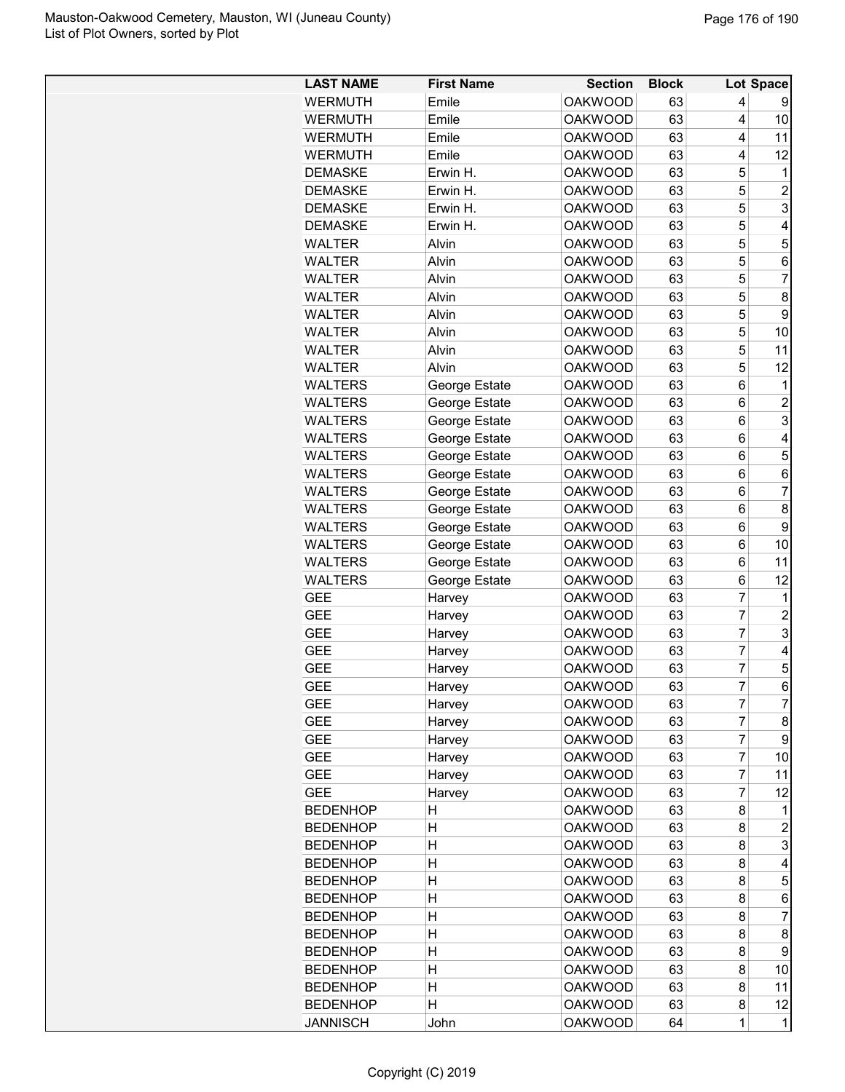| <b>LAST NAME</b>                 | <b>First Name</b> | <b>Section</b> | <b>Block</b> |                | Lot Space      |
|----------------------------------|-------------------|----------------|--------------|----------------|----------------|
| <b>WERMUTH</b>                   | Emile             | <b>OAKWOOD</b> | 63           | 4              | 9              |
| <b>WERMUTH</b>                   | Emile             | <b>OAKWOOD</b> | 63           | 4              | 10             |
| <b>WERMUTH</b>                   | Emile             | <b>OAKWOOD</b> | 63           | 4              | 11             |
| <b>WERMUTH</b>                   | Emile             | <b>OAKWOOD</b> | 63           | 4              | 12             |
| <b>DEMASKE</b>                   | Erwin H.          | <b>OAKWOOD</b> | 63           | 5              | 1              |
| <b>DEMASKE</b>                   | Erwin H.          | <b>OAKWOOD</b> | 63           | 5              | $\overline{2}$ |
| <b>DEMASKE</b>                   | Erwin H.          | <b>OAKWOOD</b> | 63           | 5              | 3              |
| <b>DEMASKE</b>                   | Erwin H.          | <b>OAKWOOD</b> | 63           | 5              | 4              |
| <b>WALTER</b>                    | Alvin             | <b>OAKWOOD</b> | 63           | 5              | 5              |
| <b>WALTER</b>                    | Alvin             | <b>OAKWOOD</b> | 63           | 5              | 6              |
| <b>WALTER</b>                    | Alvin             | <b>OAKWOOD</b> | 63           | 5              | $\overline{7}$ |
| <b>WALTER</b>                    | Alvin             | <b>OAKWOOD</b> | 63           | 5              | 8              |
| <b>WALTER</b>                    | Alvin             | <b>OAKWOOD</b> | 63           | 5              | 9              |
| <b>WALTER</b>                    | Alvin             | <b>OAKWOOD</b> | 63           | 5              | 10             |
| <b>WALTER</b>                    | Alvin             | <b>OAKWOOD</b> | 63           | 5              | 11             |
| <b>WALTER</b>                    | Alvin             | <b>OAKWOOD</b> | 63           | 5              | 12             |
| <b>WALTERS</b>                   | George Estate     | <b>OAKWOOD</b> | 63           | 6              | 1              |
| <b>WALTERS</b>                   | George Estate     | <b>OAKWOOD</b> | 63           | 6              | $\overline{c}$ |
| <b>WALTERS</b>                   | George Estate     | <b>OAKWOOD</b> | 63           | 6              | 3              |
| <b>WALTERS</b>                   | George Estate     | <b>OAKWOOD</b> | 63           | 6              | $\overline{4}$ |
| <b>WALTERS</b>                   | George Estate     | <b>OAKWOOD</b> | 63           | 6              | 5              |
| <b>WALTERS</b>                   | George Estate     | <b>OAKWOOD</b> | 63           | 6              | 6              |
| <b>WALTERS</b>                   | George Estate     | <b>OAKWOOD</b> | 63           | 6              | $\overline{7}$ |
| <b>WALTERS</b>                   | George Estate     | <b>OAKWOOD</b> | 63           | 6              | 8              |
| <b>WALTERS</b>                   | George Estate     | <b>OAKWOOD</b> | 63           | 6              | 9              |
|                                  |                   | <b>OAKWOOD</b> | 63           | 6              | 10             |
| <b>WALTERS</b><br><b>WALTERS</b> | George Estate     | <b>OAKWOOD</b> |              |                | 11             |
| <b>WALTERS</b>                   | George Estate     | <b>OAKWOOD</b> | 63<br>63     | 6              | 12             |
| <b>GEE</b>                       | George Estate     | <b>OAKWOOD</b> | 63           | 6<br>7         | 1              |
| <b>GEE</b>                       | Harvey            | <b>OAKWOOD</b> | 63           | 7              | $\overline{2}$ |
|                                  | Harvey            | <b>OAKWOOD</b> |              | 7              |                |
| <b>GEE</b>                       | Harvey            |                | 63           | $\overline{7}$ | 3              |
| <b>GEE</b>                       | Harvey            | <b>OAKWOOD</b> | 63           |                | 4              |
| <b>GEE</b>                       | Harvey            | <b>OAKWOOD</b> | 63           | 7              | 5              |
| <b>GEE</b>                       | Harvey            | <b>OAKWOOD</b> | 63           | $\overline{7}$ | 6              |
| <b>GEE</b>                       | Harvey            | <b>OAKWOOD</b> | 63           | 7              | $\overline{7}$ |
| <b>GEE</b>                       | Harvey            | <b>OAKWOOD</b> | 63           | 7              | 8              |
| <b>GEE</b>                       | Harvey            | <b>OAKWOOD</b> | 63           | 7              | 9              |
| <b>GEE</b>                       | Harvey            | <b>OAKWOOD</b> | 63           | 7              | 10             |
| <b>GEE</b>                       | Harvey            | <b>OAKWOOD</b> | 63           | 7              | 11             |
| <b>GEE</b>                       | Harvey            | <b>OAKWOOD</b> | 63           | 7              | 12             |
| <b>BEDENHOP</b>                  | Н                 | <b>OAKWOOD</b> | 63           | 8              | 1              |
| <b>BEDENHOP</b>                  | Η                 | <b>OAKWOOD</b> | 63           | 8              | $\overline{c}$ |
| <b>BEDENHOP</b>                  | $\overline{H}$    | <b>OAKWOOD</b> | 63           | 8              | 3              |
| <b>BEDENHOP</b>                  | Η                 | <b>OAKWOOD</b> | 63           | 8              | 4              |
| <b>BEDENHOP</b>                  | $\overline{H}$    | <b>OAKWOOD</b> | 63           | 8              | 5              |
| <b>BEDENHOP</b>                  | $\overline{H}$    | <b>OAKWOOD</b> | 63           | 8              | 6              |
| <b>BEDENHOP</b>                  | Η                 | <b>OAKWOOD</b> | 63           | 8              | $\overline{7}$ |
| <b>BEDENHOP</b>                  | Η                 | <b>OAKWOOD</b> | 63           | 8              | 8              |
| <b>BEDENHOP</b>                  | Η                 | <b>OAKWOOD</b> | 63           | 8              | 9              |
| <b>BEDENHOP</b>                  | Η                 | <b>OAKWOOD</b> | 63           | 8              | 10             |
| <b>BEDENHOP</b>                  | H                 | <b>OAKWOOD</b> | 63           | 8              | 11             |
| <b>BEDENHOP</b>                  | $\overline{H}$    | <b>OAKWOOD</b> | 63           | 8              | 12             |
| <b>JANNISCH</b>                  | John              | <b>OAKWOOD</b> | 64           | $\mathbf 1$    | $\mathbf{1}$   |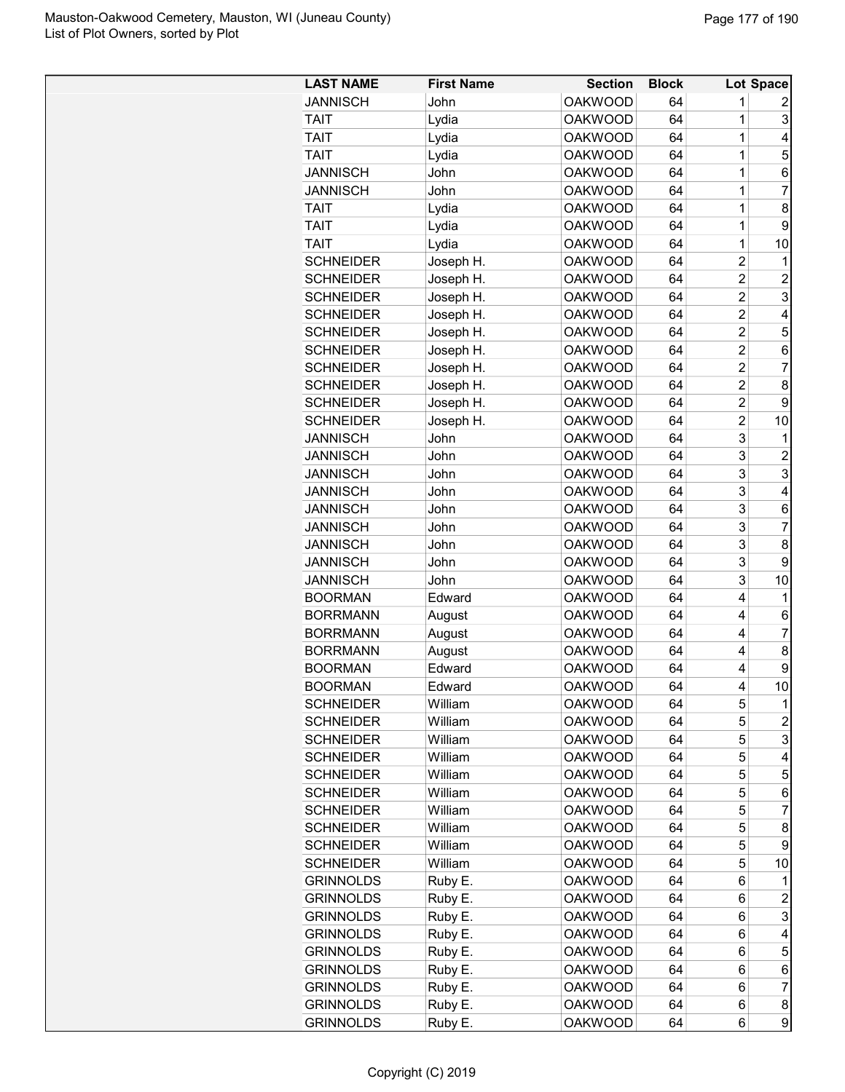| <b>LAST NAME</b> | <b>First Name</b> | Section        | <b>Block</b> |                | Lot Space               |
|------------------|-------------------|----------------|--------------|----------------|-------------------------|
| <b>JANNISCH</b>  | John              | <b>OAKWOOD</b> | 64           | 1              | 2                       |
| TAIT             | Lydia             | <b>OAKWOOD</b> | 64           | 1              | 3                       |
| TAIT             | Lydia             | <b>OAKWOOD</b> | 64           | 1              | 4                       |
| <b>TAIT</b>      | Lydia             | <b>OAKWOOD</b> | 64           | 1              | 5                       |
| <b>JANNISCH</b>  | John              | <b>OAKWOOD</b> | 64           | 1              | 6                       |
| <b>JANNISCH</b>  | John              | <b>OAKWOOD</b> | 64           | 1              | 7                       |
| TAIT             | Lydia             | <b>OAKWOOD</b> | 64           | 1              | 8                       |
| TAIT             | Lydia             | <b>OAKWOOD</b> | 64           | $\mathbf 1$    | 9                       |
| <b>TAIT</b>      | Lydia             | <b>OAKWOOD</b> | 64           | 1              | 10                      |
| <b>SCHNEIDER</b> | Joseph H.         | <b>OAKWOOD</b> | 64           | $\overline{2}$ | 1                       |
| <b>SCHNEIDER</b> | Joseph H.         | <b>OAKWOOD</b> | 64           | $\overline{2}$ | 2                       |
| <b>SCHNEIDER</b> | Joseph H.         | <b>OAKWOOD</b> | 64           | $\overline{2}$ | 3                       |
| <b>SCHNEIDER</b> | Joseph H.         | <b>OAKWOOD</b> | 64           | 2              | 4                       |
| <b>SCHNEIDER</b> | Joseph H.         | <b>OAKWOOD</b> | 64           | $\overline{2}$ | 5                       |
| <b>SCHNEIDER</b> | Joseph H.         | <b>OAKWOOD</b> | 64           | $\overline{2}$ | 6                       |
| <b>SCHNEIDER</b> | Joseph H.         | <b>OAKWOOD</b> | 64           | $\overline{2}$ | 7                       |
| <b>SCHNEIDER</b> | Joseph H.         | <b>OAKWOOD</b> | 64           | $\overline{2}$ | 8                       |
| <b>SCHNEIDER</b> | Joseph H.         | <b>OAKWOOD</b> | 64           | $\overline{c}$ | 9                       |
| <b>SCHNEIDER</b> | Joseph H.         | <b>OAKWOOD</b> | 64           | 2              | 10                      |
| <b>JANNISCH</b>  | John              | <b>OAKWOOD</b> | 64           | 3              | 1                       |
| <b>JANNISCH</b>  | John              | <b>OAKWOOD</b> | 64           | 3              | 2                       |
| <b>JANNISCH</b>  | John              | <b>OAKWOOD</b> | 64           | 3              | 3                       |
|                  | John              |                |              | 3              |                         |
| JANNISCH         |                   | <b>OAKWOOD</b> | 64           |                | 4                       |
| JANNISCH         | John              | <b>OAKWOOD</b> | 64           | 3              | 6                       |
| <b>JANNISCH</b>  | John              | <b>OAKWOOD</b> | 64           | 3              | 7                       |
| <b>JANNISCH</b>  | John              | <b>OAKWOOD</b> | 64           | 3              | 8                       |
| <b>JANNISCH</b>  | John              | <b>OAKWOOD</b> | 64           | 3              | 9                       |
| <b>JANNISCH</b>  | John              | OAKWOOD        | 64           | 3              | 10                      |
| <b>BOORMAN</b>   | <b>Edward</b>     | <b>OAKWOOD</b> | 64           | 4              | 1                       |
| <b>BORRMANN</b>  | August            | <b>OAKWOOD</b> | 64           | 4              | 6                       |
| <b>BORRMANN</b>  | August            | <b>OAKWOOD</b> | 64           | 4              | 7                       |
| <b>BORRMANN</b>  | August            | <b>OAKWOOD</b> | 64           | 4              | 8                       |
| <b>BOORMAN</b>   | Edward            | <b>OAKWOOD</b> | 64           | 4              | 9                       |
| <b>BOORMAN</b>   | Edward            | <b>OAKWOOD</b> | 64           | 4              | 10                      |
| <b>SCHNEIDER</b> | William           | <b>OAKWOOD</b> | 64           | 5              | 1                       |
| <b>SCHNEIDER</b> | William           | <b>OAKWOOD</b> | 64           | 5              | $\overline{\mathbf{c}}$ |
| <b>SCHNEIDER</b> | William           | <b>OAKWOOD</b> | 64           | 5              | 3                       |
| <b>SCHNEIDER</b> | William           | <b>OAKWOOD</b> | 64           | 5              | 4                       |
| <b>SCHNEIDER</b> | William           | <b>OAKWOOD</b> | 64           | 5              | 5                       |
| <b>SCHNEIDER</b> | William           | <b>OAKWOOD</b> | 64           | 5              | 6                       |
| <b>SCHNEIDER</b> | William           | <b>OAKWOOD</b> | 64           | 5              | 7                       |
| <b>SCHNEIDER</b> | William           | <b>OAKWOOD</b> | 64           | 5              | 8                       |
| <b>SCHNEIDER</b> | William           | <b>OAKWOOD</b> | 64           | 5              | 9                       |
| <b>SCHNEIDER</b> | William           | <b>OAKWOOD</b> | 64           | 5              | 10                      |
| <b>GRINNOLDS</b> | Ruby E.           | <b>OAKWOOD</b> | 64           | 6              | 1                       |
| <b>GRINNOLDS</b> | Ruby E.           | <b>OAKWOOD</b> | 64           | 6              | 2                       |
| <b>GRINNOLDS</b> | Ruby E.           | <b>OAKWOOD</b> | 64           | 6              | 3                       |
| <b>GRINNOLDS</b> | Ruby E.           | <b>OAKWOOD</b> | 64           | 6              | 4                       |
| <b>GRINNOLDS</b> | Ruby E.           | <b>OAKWOOD</b> | 64           | 6              | 5                       |
| <b>GRINNOLDS</b> | Ruby E.           | <b>OAKWOOD</b> | 64           | 6              | 6                       |
| <b>GRINNOLDS</b> | Ruby E.           | <b>OAKWOOD</b> | 64           | 6              | $\overline{7}$          |
| <b>GRINNOLDS</b> | Ruby E.           | <b>OAKWOOD</b> | 64           | 6              | 8                       |
| <b>GRINNOLDS</b> | Ruby E.           | <b>OAKWOOD</b> | 64           | 6              | 9                       |
|                  |                   |                |              |                |                         |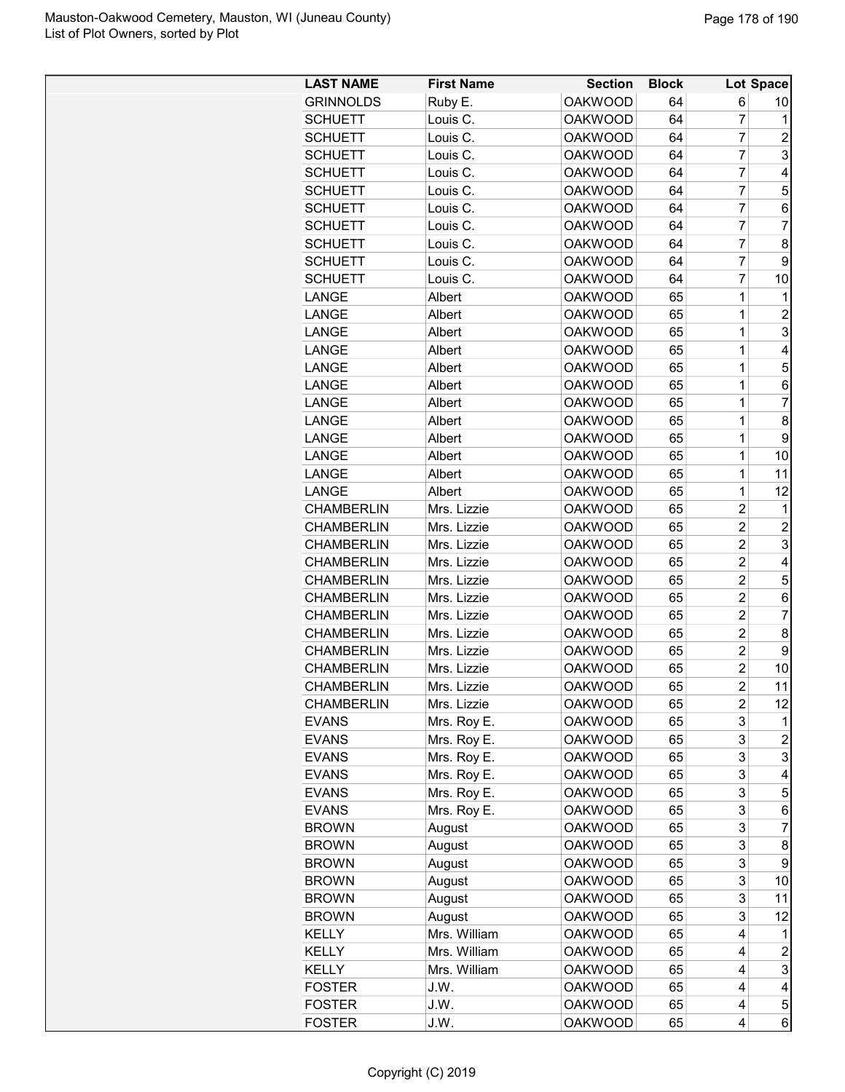| <b>LAST NAME</b>  | <b>First Name</b> | <b>Section</b> | <b>Block</b> |                | Lot Space               |
|-------------------|-------------------|----------------|--------------|----------------|-------------------------|
| <b>GRINNOLDS</b>  | Ruby E.           | <b>OAKWOOD</b> | 64           | 6              | 10                      |
| <b>SCHUETT</b>    | Louis C.          | <b>OAKWOOD</b> | 64           | 7              | 1                       |
| <b>SCHUETT</b>    | Louis C.          | <b>OAKWOOD</b> | 64           | $\overline{7}$ | 2                       |
| <b>SCHUETT</b>    | Louis C.          | <b>OAKWOOD</b> | 64           | $\overline{7}$ | 3                       |
| <b>SCHUETT</b>    | Louis C.          | <b>OAKWOOD</b> | 64           | $\overline{7}$ | 4                       |
| <b>SCHUETT</b>    | Louis C.          | <b>OAKWOOD</b> | 64           | 7              | 5                       |
| <b>SCHUETT</b>    | Louis C.          | <b>OAKWOOD</b> | 64           | 7              | 6                       |
| <b>SCHUETT</b>    | Louis C.          | <b>OAKWOOD</b> | 64           | 7              | $\overline{7}$          |
| <b>SCHUETT</b>    | Louis C.          | <b>OAKWOOD</b> | 64           | $\overline{7}$ | 8                       |
| <b>SCHUETT</b>    | Louis C.          | <b>OAKWOOD</b> | 64           | $\overline{7}$ | 9                       |
| <b>SCHUETT</b>    | Louis C.          | <b>OAKWOOD</b> | 64           | $\overline{7}$ | 10                      |
| LANGE             | Albert            | <b>OAKWOOD</b> | 65           | 1              | 1                       |
| LANGE             | Albert            | <b>OAKWOOD</b> | 65           | 1              | $\overline{c}$          |
| LANGE             | Albert            | <b>OAKWOOD</b> | 65           | 1              | 3                       |
| LANGE             | Albert            | <b>OAKWOOD</b> | 65           | 1              | 4                       |
| LANGE             | Albert            | <b>OAKWOOD</b> | 65           | 1              | 5                       |
| LANGE             | Albert            | <b>OAKWOOD</b> | 65           | 1              | 6                       |
| LANGE             | Albert            | <b>OAKWOOD</b> | 65           | $\mathbf 1$    | $\overline{7}$          |
| LANGE             | Albert            | <b>OAKWOOD</b> | 65           | $\mathbf 1$    | 8                       |
| LANGE             | Albert            | <b>OAKWOOD</b> | 65           | $\mathbf 1$    | 9                       |
| LANGE             | Albert            | <b>OAKWOOD</b> | 65           | 1              | 10                      |
| LANGE             | Albert            | <b>OAKWOOD</b> | 65           | 1              | 11                      |
| LANGE             | Albert            | <b>OAKWOOD</b> | 65           | $\mathbf 1$    | 12                      |
| <b>CHAMBERLIN</b> | Mrs. Lizzie       | <b>OAKWOOD</b> | 65           | $\overline{c}$ | 1                       |
| <b>CHAMBERLIN</b> | Mrs. Lizzie       | <b>OAKWOOD</b> | 65           | $\overline{c}$ | $\overline{c}$          |
| <b>CHAMBERLIN</b> | Mrs. Lizzie       | <b>OAKWOOD</b> | 65           | $\overline{c}$ | 3                       |
| <b>CHAMBERLIN</b> | Mrs. Lizzie       | <b>OAKWOOD</b> | 65           | $\overline{c}$ | 4                       |
| <b>CHAMBERLIN</b> | Mrs. Lizzie       | <b>OAKWOOD</b> | 65           | 2              | 5                       |
| <b>CHAMBERLIN</b> | Mrs. Lizzie       | <b>OAKWOOD</b> | 65           | $\overline{c}$ | 6                       |
| <b>CHAMBERLIN</b> | Mrs. Lizzie       | <b>OAKWOOD</b> | 65           | $\overline{2}$ | $\overline{7}$          |
| <b>CHAMBERLIN</b> | Mrs. Lizzie       | <b>OAKWOOD</b> | 65           | $\overline{c}$ | 8                       |
| <b>CHAMBERLIN</b> | Mrs. Lizzie       | <b>OAKWOOD</b> | 65           | $\overline{c}$ | 9                       |
| <b>CHAMBERLIN</b> | Mrs. Lizzie       | <b>OAKWOOD</b> | 65           | $\overline{c}$ | 10                      |
| <b>CHAMBERLIN</b> | Mrs. Lizzie       | <b>OAKWOOD</b> | 65           | $\overline{c}$ | 11                      |
| <b>CHAMBERLIN</b> | Mrs. Lizzie       | <b>OAKWOOD</b> | 65           | 2              | 12                      |
| <b>EVANS</b>      | Mrs. Roy E.       | <b>OAKWOOD</b> | 65           | 3              | 1                       |
| <b>EVANS</b>      | Mrs. Roy E.       | <b>OAKWOOD</b> | 65           | 3              | $\overline{c}$          |
| <b>EVANS</b>      | Mrs. Roy E.       | <b>OAKWOOD</b> | 65           | 3              | 3                       |
| <b>EVANS</b>      | Mrs. Roy E.       | <b>OAKWOOD</b> | 65           | 3              | 4                       |
| <b>EVANS</b>      | Mrs. Roy E.       | <b>OAKWOOD</b> | 65           | 3              | 5                       |
| <b>EVANS</b>      | Mrs. Roy E.       | <b>OAKWOOD</b> | 65           | 3              | 6                       |
| <b>BROWN</b>      | August            | <b>OAKWOOD</b> | 65           | 3              | 7                       |
| <b>BROWN</b>      | August            | <b>OAKWOOD</b> | 65           | 3              | 8                       |
| <b>BROWN</b>      | August            | <b>OAKWOOD</b> | 65           | 3              | 9                       |
| <b>BROWN</b>      | August            | <b>OAKWOOD</b> | 65           | 3              | 10                      |
| <b>BROWN</b>      | August            | <b>OAKWOOD</b> | 65           | 3              | 11                      |
| <b>BROWN</b>      | August            | <b>OAKWOOD</b> | 65           | 3              | 12                      |
| KELLY             | Mrs. William      | <b>OAKWOOD</b> | 65           | 4              | 1                       |
| KELLY             | Mrs. William      | <b>OAKWOOD</b> | 65           | 4              | $\overline{\mathbf{c}}$ |
| KELLY             | Mrs. William      | <b>OAKWOOD</b> | 65           | 4              | 3                       |
| <b>FOSTER</b>     | J.W.              | <b>OAKWOOD</b> | 65           | 4              | 4                       |
| <b>FOSTER</b>     | J.W.              | <b>OAKWOOD</b> | 65           | 4              | 5                       |
| <b>FOSTER</b>     | J.W.              | <b>OAKWOOD</b> | 65           | 4              | 6                       |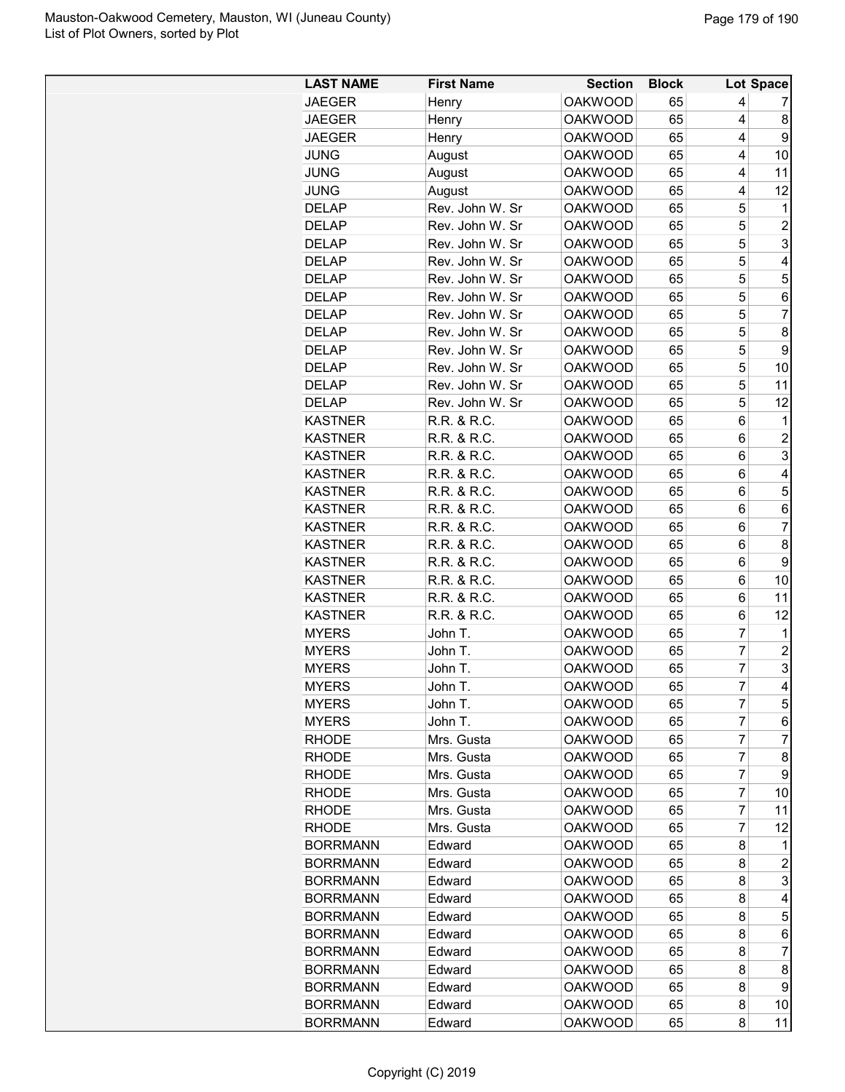| <b>LAST NAME</b> | <b>First Name</b> | <b>Section</b> | <b>Block</b> |                | Lot Space      |
|------------------|-------------------|----------------|--------------|----------------|----------------|
| <b>JAEGER</b>    | Henry             | <b>OAKWOOD</b> | 65           | 4              | 7              |
| <b>JAEGER</b>    | Henry             | <b>OAKWOOD</b> | 65           | 4              | 8              |
| <b>JAEGER</b>    | Henry             | <b>OAKWOOD</b> | 65           | 4              | 9              |
| <b>JUNG</b>      | August            | <b>OAKWOOD</b> | 65           | 4              | 10             |
| <b>JUNG</b>      | August            | <b>OAKWOOD</b> | 65           | 4              | 11             |
| <b>JUNG</b>      | August            | <b>OAKWOOD</b> | 65           | 4              | 12             |
| <b>DELAP</b>     | Rev. John W. Sr   | <b>OAKWOOD</b> | 65           | 5              | 1              |
| <b>DELAP</b>     | Rev. John W. Sr   | <b>OAKWOOD</b> | 65           | 5              | $\overline{c}$ |
| <b>DELAP</b>     | Rev. John W. Sr   | <b>OAKWOOD</b> | 65           | 5              | 3              |
| <b>DELAP</b>     | Rev. John W. Sr   | <b>OAKWOOD</b> | 65           | 5              | 4              |
| <b>DELAP</b>     | Rev. John W. Sr   | <b>OAKWOOD</b> | 65           | 5              | 5              |
| <b>DELAP</b>     | Rev. John W. Sr   | <b>OAKWOOD</b> | 65           | 5              | 6              |
| DELAP            | Rev. John W. Sr   | <b>OAKWOOD</b> | 65           | 5              | 7              |
| <b>DELAP</b>     | Rev. John W. Sr   | <b>OAKWOOD</b> | 65           | 5              | 8              |
| <b>DELAP</b>     | Rev. John W. Sr   | <b>OAKWOOD</b> | 65           | 5              | 9              |
| <b>DELAP</b>     | Rev. John W. Sr   | <b>OAKWOOD</b> | 65           | 5              | 10             |
| <b>DELAP</b>     | Rev. John W. Sr   | <b>OAKWOOD</b> | 65           | 5              | 11             |
| <b>DELAP</b>     | Rev. John W. Sr   | <b>OAKWOOD</b> | 65           | 5              | 12             |
| <b>KASTNER</b>   | R.R. & R.C.       | <b>OAKWOOD</b> | 65           | 6              | 1              |
| <b>KASTNER</b>   | R.R. & R.C.       | <b>OAKWOOD</b> | 65           | 6              | $\overline{c}$ |
| <b>KASTNER</b>   | R.R. & R.C.       | <b>OAKWOOD</b> | 65           | 6              | 3              |
| <b>KASTNER</b>   | R.R. & R.C.       | <b>OAKWOOD</b> | 65           | 6              | 4              |
| <b>KASTNER</b>   | R.R. & R.C.       | <b>OAKWOOD</b> | 65           | 6              | 5              |
| <b>KASTNER</b>   | R.R. & R.C.       | <b>OAKWOOD</b> | 65           | 6              | 6              |
| <b>KASTNER</b>   | R.R. & R.C.       | <b>OAKWOOD</b> | 65           | 6              | $\overline{7}$ |
| <b>KASTNER</b>   | R.R. & R.C.       | <b>OAKWOOD</b> | 65           | 6              | 8              |
| <b>KASTNER</b>   | R.R. & R.C.       | <b>OAKWOOD</b> | 65           | 6              | 9              |
| <b>KASTNER</b>   | R.R. & R.C.       | <b>OAKWOOD</b> | 65           | 6              | 10             |
| <b>KASTNER</b>   | R.R. & R.C.       | <b>OAKWOOD</b> | 65           | 6              | 11             |
| <b>KASTNER</b>   | R.R. & R.C.       | <b>OAKWOOD</b> | 65           | 6              | 12             |
| <b>MYERS</b>     | John T.           | <b>OAKWOOD</b> | 65           | 7              | 1              |
| <b>MYERS</b>     | John T.           | <b>OAKWOOD</b> | 65           | $\overline{7}$ | $\overline{c}$ |
| <b>MYERS</b>     | John T.           | <b>OAKWOOD</b> | 65           | $\overline{7}$ | 3              |
| <b>MYERS</b>     | John T.           | <b>OAKWOOD</b> | 65           | $\overline{7}$ | 4              |
| <b>MYERS</b>     | John T.           | <b>OAKWOOD</b> | 65           | 7              | 5              |
| <b>MYERS</b>     | John T.           | <b>OAKWOOD</b> | 65           | 7              | 6              |
| <b>RHODE</b>     | Mrs. Gusta        | <b>OAKWOOD</b> | 65           | 7              | 7              |
| RHODE            | Mrs. Gusta        | <b>OAKWOOD</b> | 65           | 7              | 8              |
| <b>RHODE</b>     | Mrs. Gusta        | <b>OAKWOOD</b> | 65           | 7              | 9              |
| <b>RHODE</b>     | Mrs. Gusta        | <b>OAKWOOD</b> | 65           | 7              | 10             |
| <b>RHODE</b>     | Mrs. Gusta        | <b>OAKWOOD</b> | 65           | 7              | 11             |
| <b>RHODE</b>     | Mrs. Gusta        | <b>OAKWOOD</b> | 65           | 7              | 12             |
| <b>BORRMANN</b>  | Edward            | <b>OAKWOOD</b> | 65           | 8              | 1              |
| <b>BORRMANN</b>  | Edward            | <b>OAKWOOD</b> | 65           | 8              | $\overline{c}$ |
| <b>BORRMANN</b>  | Edward            | <b>OAKWOOD</b> | 65           | 8              | 3              |
| <b>BORRMANN</b>  | Edward            | <b>OAKWOOD</b> | 65           | 8              | 4              |
| <b>BORRMANN</b>  | Edward            | <b>OAKWOOD</b> | 65           | 8              | 5              |
| <b>BORRMANN</b>  | Edward            | <b>OAKWOOD</b> | 65           | 8              | 6              |
| <b>BORRMANN</b>  | Edward            | <b>OAKWOOD</b> | 65           | 8              | $\overline{7}$ |
| <b>BORRMANN</b>  | Edward            | <b>OAKWOOD</b> | 65           | 8              | 8              |
| <b>BORRMANN</b>  | Edward            | <b>OAKWOOD</b> | 65           | 8              | 9              |
| <b>BORRMANN</b>  | Edward            | <b>OAKWOOD</b> | 65           | 8              | 10             |
| <b>BORRMANN</b>  | Edward            | <b>OAKWOOD</b> | 65           | 8              | 11             |
|                  |                   |                |              |                |                |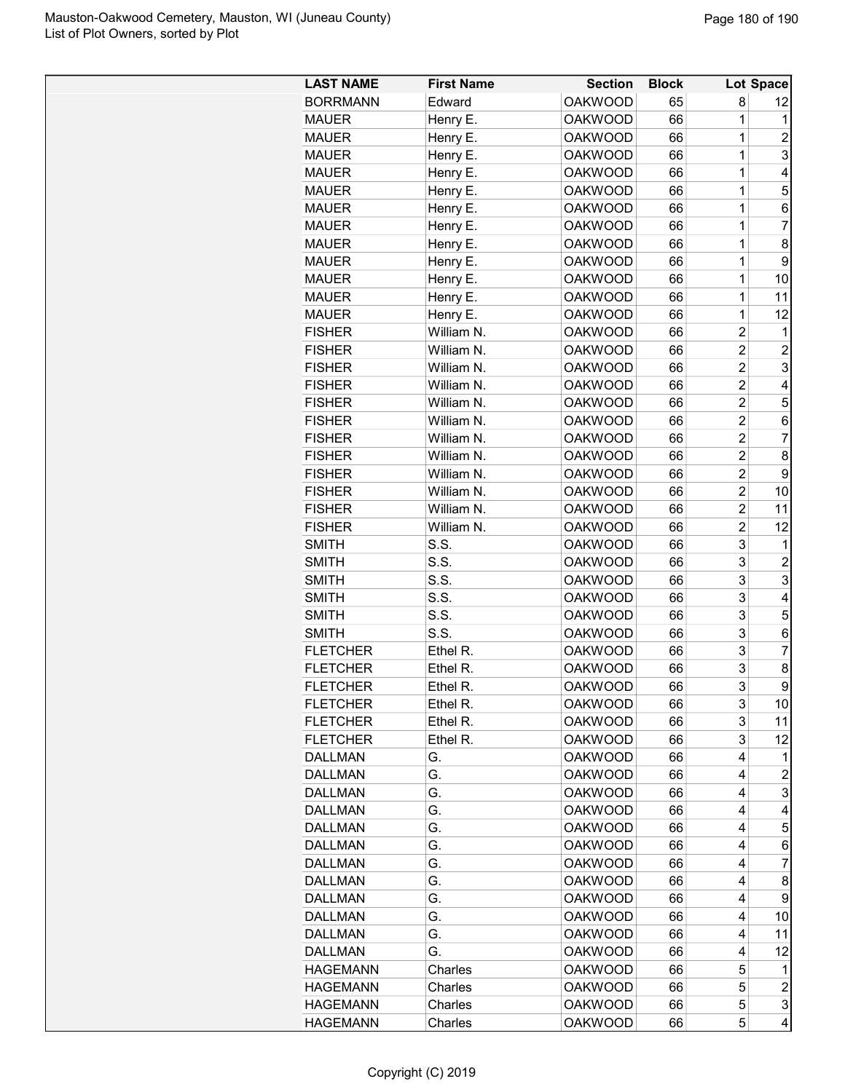| <b>LAST NAME</b> | <b>First Name</b>        | <b>Section</b>                   | <b>Block</b> |                | Lot Space               |
|------------------|--------------------------|----------------------------------|--------------|----------------|-------------------------|
| <b>BORRMANN</b>  | Edward                   | <b>OAKWOOD</b>                   | 65           | 8              | 12                      |
| <b>MAUER</b>     | Henry E.                 | <b>OAKWOOD</b>                   | 66           | 1              | 1                       |
| <b>MAUER</b>     | Henry E.                 | <b>OAKWOOD</b>                   | 66           | $\mathbf 1$    | 2                       |
| <b>MAUER</b>     | Henry E.                 | <b>OAKWOOD</b>                   | 66           | $\mathbf 1$    | 3                       |
| <b>MAUER</b>     | Henry E.                 | <b>OAKWOOD</b>                   | 66           | $\mathbf 1$    | 4                       |
| <b>MAUER</b>     | Henry E.                 | <b>OAKWOOD</b>                   | 66           | 1              | 5                       |
| <b>MAUER</b>     | Henry E.                 | <b>OAKWOOD</b>                   | 66           | 1              | 6                       |
| <b>MAUER</b>     | Henry E.                 | <b>OAKWOOD</b>                   | 66           | $\mathbf 1$    | $\overline{7}$          |
| <b>MAUER</b>     | Henry E.                 | <b>OAKWOOD</b>                   | 66           | $\mathbf 1$    | 8                       |
| <b>MAUER</b>     | Henry E.                 | <b>OAKWOOD</b>                   | 66           | $\mathbf 1$    | 9                       |
| <b>MAUER</b>     | Henry E.                 | <b>OAKWOOD</b>                   | 66           | $\mathbf 1$    | 10                      |
| <b>MAUER</b>     | Henry E.                 | <b>OAKWOOD</b>                   | 66           | 1              | 11                      |
| <b>MAUER</b>     | Henry E.                 | <b>OAKWOOD</b>                   | 66           | 1              | 12                      |
| <b>FISHER</b>    | William N.               | <b>OAKWOOD</b>                   | 66           | $\overline{c}$ | 1                       |
| <b>FISHER</b>    | William N.               | <b>OAKWOOD</b>                   | 66           | $\overline{c}$ | $\overline{c}$          |
| <b>FISHER</b>    | William N.               | <b>OAKWOOD</b>                   | 66           | $\overline{c}$ | 3                       |
| <b>FISHER</b>    | William N.               | <b>OAKWOOD</b>                   | 66           | $\overline{2}$ | 4                       |
| <b>FISHER</b>    | William N.               | <b>OAKWOOD</b>                   | 66           | $\overline{c}$ | 5                       |
| <b>FISHER</b>    | William N.               | <b>OAKWOOD</b>                   | 66           | $\overline{c}$ | 6                       |
| <b>FISHER</b>    | William N.               | <b>OAKWOOD</b>                   | 66           | $\overline{c}$ | 7                       |
| <b>FISHER</b>    | William N.               | <b>OAKWOOD</b>                   | 66           | $\overline{2}$ | 8                       |
| <b>FISHER</b>    | William N.               | <b>OAKWOOD</b>                   | 66           | $\overline{c}$ | 9                       |
|                  |                          |                                  | 66           | $\overline{c}$ | 10                      |
| <b>FISHER</b>    | William N.               | <b>OAKWOOD</b><br><b>OAKWOOD</b> | 66           | $\overline{2}$ | 11                      |
| <b>FISHER</b>    | William N.<br>William N. | <b>OAKWOOD</b>                   |              | $\overline{c}$ | 12                      |
| <b>FISHER</b>    | S.S.                     |                                  | 66<br>66     | 3              |                         |
| <b>SMITH</b>     |                          | <b>OAKWOOD</b>                   |              |                | 1                       |
| SMITH            | S.S.                     | <b>OAKWOOD</b>                   | 66           | 3              | $\overline{c}$          |
| <b>SMITH</b>     | S.S.                     | <b>OAKWOOD</b>                   | 66           | 3              | 3                       |
| <b>SMITH</b>     | S.S.                     | <b>OAKWOOD</b>                   | 66           | 3              | 4                       |
| <b>SMITH</b>     | S.S.                     | <b>OAKWOOD</b>                   | 66           | 3              | 5                       |
| <b>SMITH</b>     | S.S.                     | <b>OAKWOOD</b>                   | 66           | 3              | 6                       |
| <b>FLETCHER</b>  | Ethel R.                 | <b>OAKWOOD</b>                   | 66           | 3              | 7                       |
| <b>FLETCHER</b>  | Ethel R.                 | <b>OAKWOOD</b>                   | 66           | 3              | 8                       |
| <b>FLETCHER</b>  | Ethel R.                 | <b>OAKWOOD</b>                   | 66           | 3              | 9                       |
| <b>FLETCHER</b>  | Ethel R.                 | <b>OAKWOOD</b>                   | 66           | 3              | 10                      |
| <b>FLETCHER</b>  | Ethel R.                 | <b>OAKWOOD</b>                   | 66           | 3              | 11                      |
| <b>FLETCHER</b>  | Ethel R.                 | <b>OAKWOOD</b>                   | 66           | 3              | 12                      |
| <b>DALLMAN</b>   | G.                       | <b>OAKWOOD</b>                   | 66           | 4              | 1                       |
| <b>DALLMAN</b>   | G.                       | <b>OAKWOOD</b>                   | 66           | 4              | $\overline{c}$          |
| <b>DALLMAN</b>   | G.                       | <b>OAKWOOD</b>                   | 66           | 4              | 3                       |
| <b>DALLMAN</b>   | G.                       | <b>OAKWOOD</b>                   | 66           | 4              | 4                       |
| <b>DALLMAN</b>   | G.                       | <b>OAKWOOD</b>                   | 66           | 4              | 5                       |
| <b>DALLMAN</b>   | G.                       | <b>OAKWOOD</b>                   | 66           | 4              | 6                       |
| <b>DALLMAN</b>   | G.                       | <b>OAKWOOD</b>                   | 66           | 4              | 7                       |
| <b>DALLMAN</b>   | G.                       | <b>OAKWOOD</b>                   | 66           | 4              | 8                       |
| <b>DALLMAN</b>   | G.                       | <b>OAKWOOD</b>                   | 66           | 4              | 9                       |
| <b>DALLMAN</b>   | G.                       | <b>OAKWOOD</b>                   | 66           | 4              | 10                      |
| <b>DALLMAN</b>   | G.                       | <b>OAKWOOD</b>                   | 66           | 4              | 11                      |
| <b>DALLMAN</b>   | G.                       | <b>OAKWOOD</b>                   | 66           | 4              | 12                      |
| <b>HAGEMANN</b>  | Charles                  | <b>OAKWOOD</b>                   | 66           | 5              | 1                       |
| <b>HAGEMANN</b>  | Charles                  | <b>OAKWOOD</b>                   | 66           | 5              | $\boldsymbol{2}$        |
| <b>HAGEMANN</b>  | Charles                  | <b>OAKWOOD</b>                   | 66           | 5              | 3                       |
| <b>HAGEMANN</b>  | Charles                  | <b>OAKWOOD</b>                   | 66           | 5              | $\overline{\mathbf{4}}$ |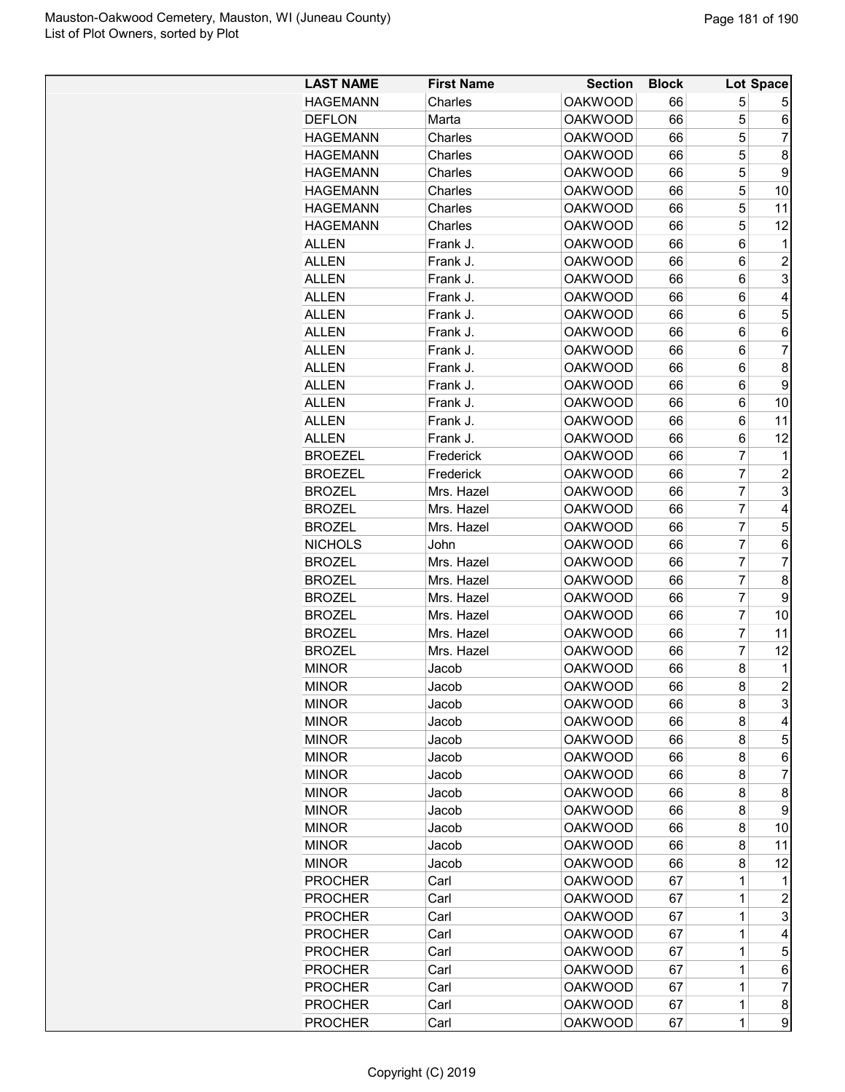| <b>LAST NAME</b> | <b>First Name</b> | <b>Section</b> | <b>Block</b> |                | Lot Space      |
|------------------|-------------------|----------------|--------------|----------------|----------------|
| <b>HAGEMANN</b>  | Charles           | <b>OAKWOOD</b> | 66           | 5              | 5              |
|                  |                   |                |              |                |                |
| <b>DEFLON</b>    | Marta             | <b>OAKWOOD</b> | 66           | 5              | 6              |
| <b>HAGEMANN</b>  | Charles           | <b>OAKWOOD</b> | 66           | 5              | 7              |
| <b>HAGEMANN</b>  | Charles           | <b>OAKWOOD</b> | 66           | 5              | 8              |
| <b>HAGEMANN</b>  | Charles           | <b>OAKWOOD</b> | 66           | 5              | 9              |
| <b>HAGEMANN</b>  | Charles           | <b>OAKWOOD</b> | 66           | 5              | 10             |
| <b>HAGEMANN</b>  | Charles           | <b>OAKWOOD</b> | 66           | 5              | 11             |
| <b>HAGEMANN</b>  | Charles           | <b>OAKWOOD</b> | 66           | 5              | 12             |
| ALLEN            | Frank J.          | <b>OAKWOOD</b> | 66           | 6              | 1              |
| ALLEN            | Frank J.          | <b>OAKWOOD</b> | 66           | 6              | $\overline{2}$ |
| <b>ALLEN</b>     | Frank J.          | <b>OAKWOOD</b> | 66           | 6              | 3              |
| ALLEN            | Frank J.          | <b>OAKWOOD</b> | 66           | 6              | 4              |
| ALLEN            | Frank J.          | <b>OAKWOOD</b> | 66           | 6              | 5              |
| ALLEN            | Frank J.          | <b>OAKWOOD</b> | 66           | 6              | 6              |
| ALLEN            | Frank J.          | <b>OAKWOOD</b> | 66           | 6              | 7              |
| ALLEN            | Frank J.          | <b>OAKWOOD</b> | 66           | 6              | 8              |
| ALLEN            | Frank J.          | <b>OAKWOOD</b> | 66           | 6              | 9              |
| <b>ALLEN</b>     | Frank J.          | <b>OAKWOOD</b> | 66           | 6              | 10             |
| <b>ALLEN</b>     | Frank J.          | <b>OAKWOOD</b> | 66           | 6              | 11             |
| ALLEN            | Frank J.          | <b>OAKWOOD</b> | 66           | 6              | 12             |
| <b>BROEZEL</b>   | Frederick         | <b>OAKWOOD</b> | 66           | 7              | 1              |
| <b>BROEZEL</b>   | Frederick         | <b>OAKWOOD</b> | 66           | $\overline{7}$ | $\overline{2}$ |
| <b>BROZEL</b>    | Mrs. Hazel        | <b>OAKWOOD</b> | 66           | 7              | 3              |
| <b>BROZEL</b>    | Mrs. Hazel        | <b>OAKWOOD</b> | 66           | 7              | 4              |
| <b>BROZEL</b>    | Mrs. Hazel        | <b>OAKWOOD</b> | 66           | 7              | 5              |
| <b>NICHOLS</b>   |                   | <b>OAKWOOD</b> |              | $\overline{7}$ | 6              |
|                  | John              |                | 66           |                |                |
| <b>BROZEL</b>    | Mrs. Hazel        | <b>OAKWOOD</b> | 66           | 7              | $\overline{7}$ |
| <b>BROZEL</b>    | Mrs. Hazel        | <b>OAKWOOD</b> | 66           | 7              | 8              |
| <b>BROZEL</b>    | Mrs. Hazel        | <b>OAKWOOD</b> | 66           | $\overline{7}$ | 9              |
| <b>BROZEL</b>    | Mrs. Hazel        | <b>OAKWOOD</b> | 66           | $\overline{7}$ | 10             |
| <b>BROZEL</b>    | Mrs. Hazel        | <b>OAKWOOD</b> | 66           | 7              | 11             |
| <b>BROZEL</b>    | Mrs. Hazel        | <b>OAKWOOD</b> | 66           | 7              | 12             |
| <b>MINOR</b>     | Jacob             | <b>OAKWOOD</b> | 66           | 8              | 1              |
| <b>MINOR</b>     | Jacob             | <b>OAKWOOD</b> | 66           | 8              | $\overline{2}$ |
| <b>MINOR</b>     | Jacob             | <b>OAKWOOD</b> | 66           | 8              | 3              |
| <b>MINOR</b>     | Jacob             | <b>OAKWOOD</b> | 66           | 8              | 4              |
| <b>MINOR</b>     | Jacob             | <b>OAKWOOD</b> | 66           | 8              | 5              |
| <b>MINOR</b>     | Jacob             | <b>OAKWOOD</b> | 66           | 8              | 6              |
| <b>MINOR</b>     | Jacob             | <b>OAKWOOD</b> | 66           | 8              | 7              |
| <b>MINOR</b>     | Jacob             | <b>OAKWOOD</b> | 66           | 8              | 8              |
| <b>MINOR</b>     | Jacob             | <b>OAKWOOD</b> | 66           | 8              | 9              |
| <b>MINOR</b>     | Jacob             | <b>OAKWOOD</b> | 66           | 8              | 10             |
| <b>MINOR</b>     | Jacob             | <b>OAKWOOD</b> | 66           | 8              | 11             |
| <b>MINOR</b>     | Jacob             | <b>OAKWOOD</b> | 66           | 8              | 12             |
| <b>PROCHER</b>   | Carl              | <b>OAKWOOD</b> | 67           | 1              | 1              |
| <b>PROCHER</b>   | Carl              | <b>OAKWOOD</b> | 67           | 1              | 2              |
| <b>PROCHER</b>   | Carl              | <b>OAKWOOD</b> | 67           | 1              | 3              |
| <b>PROCHER</b>   | Carl              | <b>OAKWOOD</b> | 67           | 1              | 4              |
|                  |                   |                | 67           | 1              | 5              |
| <b>PROCHER</b>   | Carl              | <b>OAKWOOD</b> |              |                |                |
| <b>PROCHER</b>   | Carl              | <b>OAKWOOD</b> | 67           | 1              | 6              |
| <b>PROCHER</b>   | Carl              | <b>OAKWOOD</b> | 67           | 1              | $\overline{7}$ |
| <b>PROCHER</b>   | Carl              | <b>OAKWOOD</b> | 67           | $\mathbf 1$    | 8              |
| <b>PROCHER</b>   | Carl              | <b>OAKWOOD</b> | 67           | $\mathbf 1$    | 9              |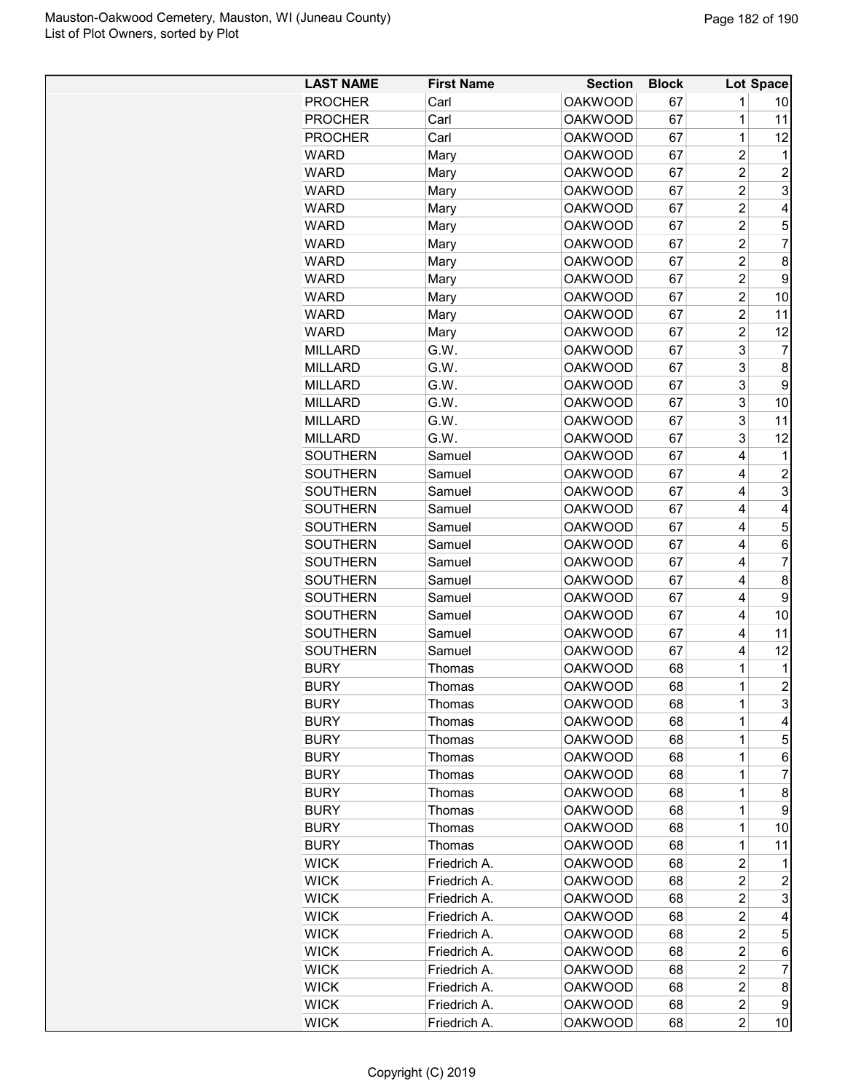| <b>LAST NAME</b> | <b>First Name</b> | <b>Section</b> | <b>Block</b> |                         | Lot Space      |
|------------------|-------------------|----------------|--------------|-------------------------|----------------|
| <b>PROCHER</b>   | Carl              | <b>OAKWOOD</b> | 67           | 1                       | 10             |
| <b>PROCHER</b>   | Carl              | <b>OAKWOOD</b> | 67           | 1                       | 11             |
| <b>PROCHER</b>   | Carl              | <b>OAKWOOD</b> | 67           | $\overline{1}$          | 12             |
| WARD             | Mary              | <b>OAKWOOD</b> | 67           | $\overline{c}$          | 1              |
| <b>WARD</b>      | Mary              | <b>OAKWOOD</b> | 67           | $\overline{2}$          | $\overline{2}$ |
| <b>WARD</b>      | Mary              | <b>OAKWOOD</b> | 67           | $\overline{c}$          | 3              |
| <b>WARD</b>      | Mary              | <b>OAKWOOD</b> | 67           | $\overline{c}$          | 4              |
| <b>WARD</b>      | Mary              | <b>OAKWOOD</b> | 67           | $\overline{c}$          | 5              |
| WARD             | Mary              | <b>OAKWOOD</b> | 67           | $\overline{2}$          | $\overline{7}$ |
| <b>WARD</b>      | Mary              | <b>OAKWOOD</b> | 67           | $\overline{\mathbf{c}}$ | 8              |
| WARD             | Mary              | <b>OAKWOOD</b> | 67           | $\overline{c}$          | 9              |
| <b>WARD</b>      | Mary              | <b>OAKWOOD</b> | 67           | $\overline{2}$          | 10             |
| <b>WARD</b>      | Mary              | <b>OAKWOOD</b> | 67           | $\overline{2}$          | 11             |
| <b>WARD</b>      | Mary              | <b>OAKWOOD</b> | 67           | $\overline{c}$          | 12             |
| <b>MILLARD</b>   | G.W.              | <b>OAKWOOD</b> | 67           | 3                       | 7              |
| <b>MILLARD</b>   | G.W.              | <b>OAKWOOD</b> | 67           | 3                       | 8              |
| <b>MILLARD</b>   | G.W.              | <b>OAKWOOD</b> | 67           | 3                       | 9              |
| <b>MILLARD</b>   | G.W.              | <b>OAKWOOD</b> | 67           | 3                       | 10             |
| <b>MILLARD</b>   | G.W.              | <b>OAKWOOD</b> | 67           | 3                       | 11             |
| <b>MILLARD</b>   | G.W.              | <b>OAKWOOD</b> | 67           | 3                       | 12             |
| <b>SOUTHERN</b>  | Samuel            | <b>OAKWOOD</b> | 67           | 4                       | 1              |
| <b>SOUTHERN</b>  | Samuel            | <b>OAKWOOD</b> | 67           | 4                       | $\overline{c}$ |
| <b>SOUTHERN</b>  | Samuel            | <b>OAKWOOD</b> | 67           | 4                       | 3              |
| <b>SOUTHERN</b>  | Samuel            | <b>OAKWOOD</b> | 67           | 4                       | 4              |
| <b>SOUTHERN</b>  | Samuel            | <b>OAKWOOD</b> | 67           | 4                       | 5              |
| <b>SOUTHERN</b>  | Samuel            | <b>OAKWOOD</b> | 67           | 4                       | 6              |
| <b>SOUTHERN</b>  | Samuel            | <b>OAKWOOD</b> | 67           | 4                       | 7              |
| <b>SOUTHERN</b>  | Samuel            | <b>OAKWOOD</b> | 67           | 4                       | 8              |
| <b>SOUTHERN</b>  | Samuel            | <b>OAKWOOD</b> | 67           | 4                       | 9              |
| <b>SOUTHERN</b>  | Samuel            | <b>OAKWOOD</b> | 67           | 4                       | 10             |
| <b>SOUTHERN</b>  | Samuel            | <b>OAKWOOD</b> | 67           | 4                       | 11             |
| <b>SOUTHERN</b>  | Samuel            | <b>OAKWOOD</b> | 67           | 4                       | 12             |
| <b>BURY</b>      | Thomas            | <b>OAKWOOD</b> | 68           | 1                       | $\mathbf 1$    |
| <b>BURY</b>      | Thomas            | <b>OAKWOOD</b> | 68           | 1                       | $\overline{2}$ |
| <b>BURY</b>      | Thomas            | <b>OAKWOOD</b> | 68           | 1                       | 3              |
| <b>BURY</b>      | Thomas            | <b>OAKWOOD</b> | 68           | 1                       | 4              |
| <b>BURY</b>      | Thomas            | <b>OAKWOOD</b> | 68           | 1                       | 5              |
| <b>BURY</b>      | Thomas            | <b>OAKWOOD</b> | 68           | 1                       | 6              |
| <b>BURY</b>      | Thomas            | <b>OAKWOOD</b> | 68           | $\mathbf{1}$            | 7              |
| <b>BURY</b>      | Thomas            | <b>OAKWOOD</b> | 68           | $\mathbf{1}$            | 8              |
| <b>BURY</b>      | Thomas            | <b>OAKWOOD</b> | 68           | 1                       | 9              |
| <b>BURY</b>      | Thomas            | <b>OAKWOOD</b> | 68           | 1                       | 10             |
| <b>BURY</b>      | Thomas            | <b>OAKWOOD</b> | 68           | 1                       | 11             |
| <b>WICK</b>      | Friedrich A.      | <b>OAKWOOD</b> | 68           | $\overline{c}$          | 1              |
| <b>WICK</b>      | Friedrich A.      | <b>OAKWOOD</b> | 68           | $\overline{c}$          | 2              |
| <b>WICK</b>      | Friedrich A.      | <b>OAKWOOD</b> | 68           | 2                       | 3              |
| <b>WICK</b>      | Friedrich A.      | <b>OAKWOOD</b> | 68           | $\overline{c}$          | 4              |
| <b>WICK</b>      | Friedrich A.      | <b>OAKWOOD</b> | 68           | $\overline{c}$          | 5              |
| <b>WICK</b>      | Friedrich A.      | <b>OAKWOOD</b> | 68           | $\overline{c}$          | 6              |
| <b>WICK</b>      | Friedrich A.      | <b>OAKWOOD</b> | 68           | $\overline{c}$          | 7              |
| <b>WICK</b>      | Friedrich A.      | <b>OAKWOOD</b> | 68           | $\overline{c}$          | 8              |
| <b>WICK</b>      | Friedrich A.      | <b>OAKWOOD</b> | 68           | $\overline{c}$          | 9              |
| <b>WICK</b>      | Friedrich A.      | <b>OAKWOOD</b> | 68           | $\overline{c}$          | 10             |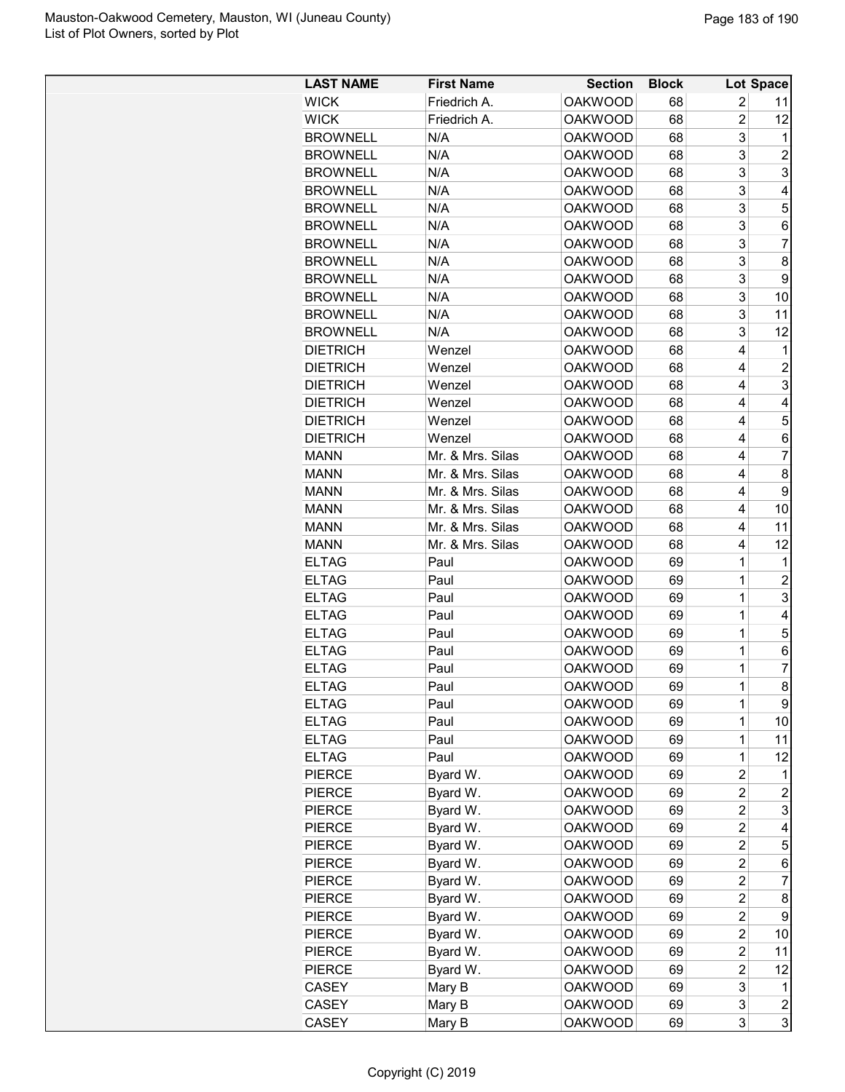| <b>LAST NAME</b> | <b>First Name</b> | <b>Section</b> | <b>Block</b> |                | <b>Lot Space</b>        |
|------------------|-------------------|----------------|--------------|----------------|-------------------------|
| <b>WICK</b>      | Friedrich A.      | <b>OAKWOOD</b> | 68           | 2              | 11                      |
| <b>WICK</b>      | Friedrich A.      | <b>OAKWOOD</b> | 68           | $\overline{2}$ | 12                      |
| <b>BROWNELL</b>  | N/A               | <b>OAKWOOD</b> | 68           | 3              | 1                       |
| <b>BROWNELL</b>  | N/A               | <b>OAKWOOD</b> | 68           | 3              | $\overline{c}$          |
| <b>BROWNELL</b>  | N/A               | <b>OAKWOOD</b> | 68           | 3              | 3                       |
| <b>BROWNELL</b>  | N/A               | <b>OAKWOOD</b> | 68           | 3              | 4                       |
| <b>BROWNELL</b>  | N/A               | <b>OAKWOOD</b> | 68           | 3              | 5                       |
| <b>BROWNELL</b>  | N/A               | <b>OAKWOOD</b> | 68           | 3              | 6                       |
| <b>BROWNELL</b>  | N/A               | <b>OAKWOOD</b> | 68           | 3              | $\overline{7}$          |
| <b>BROWNELL</b>  | N/A               | <b>OAKWOOD</b> | 68           | 3              | 8                       |
| <b>BROWNELL</b>  | N/A               | <b>OAKWOOD</b> | 68           | 3              | 9                       |
| <b>BROWNELL</b>  | N/A               | <b>OAKWOOD</b> | 68           | 3              | 10                      |
| <b>BROWNELL</b>  | N/A               | <b>OAKWOOD</b> | 68           | 3              | 11                      |
| <b>BROWNELL</b>  | N/A               | <b>OAKWOOD</b> | 68           | 3              | 12                      |
| <b>DIETRICH</b>  | Wenzel            | <b>OAKWOOD</b> | 68           | 4              | 1                       |
| <b>DIETRICH</b>  | Wenzel            | <b>OAKWOOD</b> | 68           | 4              | $\overline{2}$          |
| <b>DIETRICH</b>  | Wenzel            | <b>OAKWOOD</b> | 68           | 4              | 3                       |
| <b>DIETRICH</b>  | Wenzel            | <b>OAKWOOD</b> | 68           | 4              | 4                       |
| <b>DIETRICH</b>  | Wenzel            | <b>OAKWOOD</b> | 68           | 4              | 5                       |
| <b>DIETRICH</b>  | Wenzel            | <b>OAKWOOD</b> | 68           | 4              | 6                       |
| <b>MANN</b>      | Mr. & Mrs. Silas  | <b>OAKWOOD</b> | 68           | 4              | $\overline{7}$          |
| <b>MANN</b>      | Mr. & Mrs. Silas  | <b>OAKWOOD</b> | 68           | $\overline{4}$ | 8                       |
| <b>MANN</b>      | Mr. & Mrs. Silas  | <b>OAKWOOD</b> | 68           | 4              | 9                       |
| <b>MANN</b>      | Mr. & Mrs. Silas  | <b>OAKWOOD</b> | 68           | 4              | 10                      |
| <b>MANN</b>      | Mr. & Mrs. Silas  | <b>OAKWOOD</b> | 68           | 4              | 11                      |
| <b>MANN</b>      | Mr. & Mrs. Silas  | <b>OAKWOOD</b> | 68           | 4              | 12                      |
| <b>ELTAG</b>     | Paul              | <b>OAKWOOD</b> | 69           | 1              | 1                       |
| <b>ELTAG</b>     | Paul              | <b>OAKWOOD</b> | 69           | 1              | $\overline{c}$          |
| <b>ELTAG</b>     | Paul              | <b>OAKWOOD</b> | 69           | 1              | 3                       |
| <b>ELTAG</b>     | Paul              | <b>OAKWOOD</b> | 69           | 1              | 4                       |
| <b>ELTAG</b>     | Paul              | <b>OAKWOOD</b> | 69           | 1              | 5                       |
| <b>ELTAG</b>     | Paul              | <b>OAKWOOD</b> | 69           | 1              | 6                       |
| <b>ELTAG</b>     | Paul              | <b>OAKWOOD</b> | 69           | 1              | 7                       |
| <b>ELTAG</b>     | Paul              | <b>OAKWOOD</b> | 69           | 1              | 8                       |
| <b>ELTAG</b>     | Paul              | <b>OAKWOOD</b> | 69           | 1              | 9                       |
| <b>ELTAG</b>     | Paul              | <b>OAKWOOD</b> | 69           | 1              | 10                      |
| <b>ELTAG</b>     | Paul              | <b>OAKWOOD</b> | 69           | 1              | 11                      |
| <b>ELTAG</b>     | Paul              | <b>OAKWOOD</b> | 69           | 1              | 12                      |
| <b>PIERCE</b>    | Byard W.          | <b>OAKWOOD</b> | 69           | 2              | 1                       |
| <b>PIERCE</b>    | Byard W.          | <b>OAKWOOD</b> | 69           | 2              | 2                       |
| <b>PIERCE</b>    | Byard W.          | <b>OAKWOOD</b> | 69           | 2              | 3                       |
| <b>PIERCE</b>    | Byard W.          | <b>OAKWOOD</b> | 69           | 2              | 4                       |
| <b>PIERCE</b>    | Byard W.          | <b>OAKWOOD</b> | 69           | 2              | 5                       |
| <b>PIERCE</b>    | Byard W.          | <b>OAKWOOD</b> | 69           | $\overline{c}$ | 6                       |
| <b>PIERCE</b>    | Byard W.          | <b>OAKWOOD</b> | 69           | 2              | 7                       |
| <b>PIERCE</b>    | Byard W.          | <b>OAKWOOD</b> | 69           | 2              | 8                       |
| <b>PIERCE</b>    | Byard W.          | <b>OAKWOOD</b> | 69           | $\overline{c}$ | 9                       |
| <b>PIERCE</b>    | Byard W.          | <b>OAKWOOD</b> | 69           | $\overline{c}$ | 10                      |
| <b>PIERCE</b>    | Byard W.          | <b>OAKWOOD</b> | 69           | 2              | 11                      |
| <b>PIERCE</b>    | Byard W.          | <b>OAKWOOD</b> | 69           | 2              | 12                      |
| CASEY            | Mary B            | <b>OAKWOOD</b> | 69           | 3              | 1                       |
| CASEY            | Mary B            | <b>OAKWOOD</b> | 69           | 3              | $\overline{\mathbf{c}}$ |
| CASEY            | Mary B            | <b>OAKWOOD</b> | 69           | 3              | 3                       |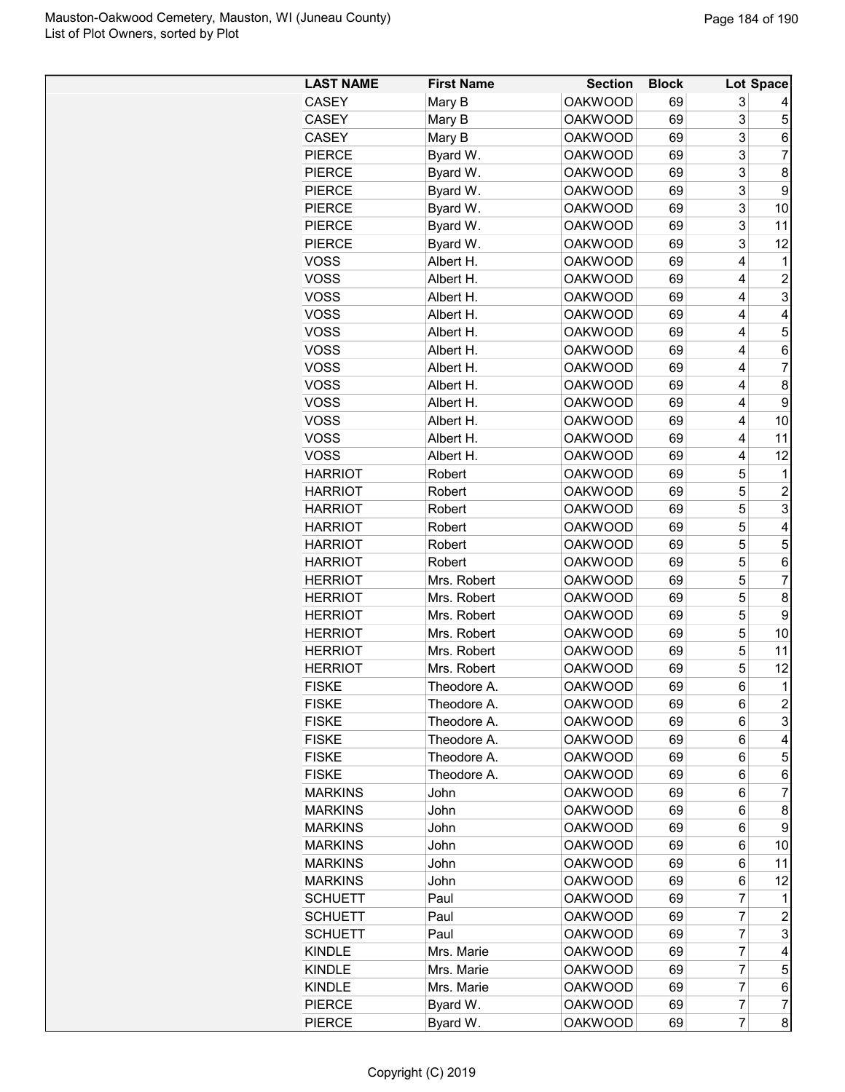| <b>LAST NAME</b> | <b>First Name</b> | <b>Section</b> | <b>Block</b> |                | Lot Space      |
|------------------|-------------------|----------------|--------------|----------------|----------------|
| <b>CASEY</b>     | Mary B            | <b>OAKWOOD</b> | 69           | 3              |                |
| <b>CASEY</b>     | Mary B            | <b>OAKWOOD</b> | 69           | 3              | 5              |
| <b>CASEY</b>     | Mary B            | <b>OAKWOOD</b> | 69           | 3              | 6              |
| <b>PIERCE</b>    | Byard W.          | <b>OAKWOOD</b> | 69           | 3              | $\overline{7}$ |
| <b>PIERCE</b>    | Byard W.          | <b>OAKWOOD</b> | 69           | 3              | 8              |
| <b>PIERCE</b>    | Byard W.          | <b>OAKWOOD</b> | 69           | 3              | 9              |
| <b>PIERCE</b>    | Byard W.          | <b>OAKWOOD</b> | 69           | 3              | 10             |
| <b>PIERCE</b>    | Byard W.          | <b>OAKWOOD</b> | 69           | 3              | 11             |
| <b>PIERCE</b>    | Byard W.          | <b>OAKWOOD</b> | 69           | 3              | 12             |
| <b>VOSS</b>      | Albert H.         | <b>OAKWOOD</b> | 69           | 4              | 1              |
| <b>VOSS</b>      | Albert H.         | <b>OAKWOOD</b> | 69           | 4              | 2              |
| <b>VOSS</b>      | Albert H.         | <b>OAKWOOD</b> | 69           | 4              | 3              |
| <b>VOSS</b>      | Albert H.         | <b>OAKWOOD</b> | 69           | 4              | 4              |
| <b>VOSS</b>      | Albert H.         | <b>OAKWOOD</b> | 69           | 4              | 5              |
| <b>VOSS</b>      | Albert H.         | <b>OAKWOOD</b> | 69           | 4              | 6              |
| <b>VOSS</b>      | Albert H.         | <b>OAKWOOD</b> | 69           | 4              | 7              |
| <b>VOSS</b>      | Albert H.         | <b>OAKWOOD</b> | 69           | 4              | 8              |
| <b>VOSS</b>      | Albert H.         | <b>OAKWOOD</b> | 69           | 4              | 9              |
| <b>VOSS</b>      | Albert H.         | <b>OAKWOOD</b> | 69           | 4              | 10             |
| <b>VOSS</b>      | Albert H.         | <b>OAKWOOD</b> | 69           | 4              | 11             |
| <b>VOSS</b>      | Albert H.         | <b>OAKWOOD</b> | 69           | 4              | 12             |
| <b>HARRIOT</b>   | Robert            | <b>OAKWOOD</b> | 69           | 5              | $\mathbf 1$    |
| <b>HARRIOT</b>   | Robert            | <b>OAKWOOD</b> | 69           | 5              | $\overline{2}$ |
| <b>HARRIOT</b>   | Robert            | <b>OAKWOOD</b> | 69           | 5              | 3              |
| <b>HARRIOT</b>   | Robert            | <b>OAKWOOD</b> | 69           | 5              | 4              |
| <b>HARRIOT</b>   | Robert            | <b>OAKWOOD</b> | 69           | 5              | 5              |
| <b>HARRIOT</b>   | Robert            | <b>OAKWOOD</b> | 69           | 5              | 6              |
| <b>HERRIOT</b>   | Mrs. Robert       | <b>OAKWOOD</b> | 69           | 5              | $\overline{7}$ |
| <b>HERRIOT</b>   | Mrs. Robert       | <b>OAKWOOD</b> | 69           | 5              | 8              |
| <b>HERRIOT</b>   | Mrs. Robert       | <b>OAKWOOD</b> | 69           | 5              | 9              |
| <b>HERRIOT</b>   | Mrs. Robert       | <b>OAKWOOD</b> | 69           | 5              | 10             |
| <b>HERRIOT</b>   | Mrs. Robert       | <b>OAKWOOD</b> | 69           | 5              | 11             |
| <b>HERRIOT</b>   | Mrs. Robert       | <b>OAKWOOD</b> | 69           | 5              | 12             |
| <b>FISKE</b>     | Theodore A.       | <b>OAKWOOD</b> | 69           | 6              | $\mathbf{1}$   |
| <b>FISKE</b>     | Theodore A.       | <b>OAKWOOD</b> | 69           | 6              | $\overline{c}$ |
| <b>FISKE</b>     | Theodore A.       | <b>OAKWOOD</b> | 69           | 6              | 3              |
| <b>FISKE</b>     | Theodore A.       | <b>OAKWOOD</b> | 69           | 6              | 4              |
| <b>FISKE</b>     | Theodore A.       | <b>OAKWOOD</b> | 69           | 6              | 5              |
| <b>FISKE</b>     | Theodore A.       | <b>OAKWOOD</b> | 69           | 6              | 6              |
| <b>MARKINS</b>   | John              | <b>OAKWOOD</b> | 69           | 6              | 7              |
| <b>MARKINS</b>   | John              | <b>OAKWOOD</b> | 69           | 6              | 8              |
| <b>MARKINS</b>   | John              | <b>OAKWOOD</b> | 69           | 6              | 9              |
| <b>MARKINS</b>   | John              | <b>OAKWOOD</b> | 69           | 6              | 10             |
| <b>MARKINS</b>   | John              | <b>OAKWOOD</b> | 69           | 6              | 11             |
| <b>MARKINS</b>   | John              | <b>OAKWOOD</b> | 69           | 6              | 12             |
| <b>SCHUETT</b>   | Paul              | <b>OAKWOOD</b> | 69           | $\overline{7}$ | 1              |
| <b>SCHUETT</b>   | Paul              | <b>OAKWOOD</b> | 69           | $\overline{7}$ | 2              |
| <b>SCHUETT</b>   | Paul              | <b>OAKWOOD</b> | 69           | $\overline{7}$ | 3              |
| <b>KINDLE</b>    | Mrs. Marie        | <b>OAKWOOD</b> | 69           | $\overline{7}$ | 4              |
| <b>KINDLE</b>    | Mrs. Marie        | <b>OAKWOOD</b> | 69           | 7              | 5              |
| <b>KINDLE</b>    | Mrs. Marie        | <b>OAKWOOD</b> | 69           | 7              | 6              |
| <b>PIERCE</b>    | Byard W.          | <b>OAKWOOD</b> | 69           | $\overline{7}$ | 7              |
| <b>PIERCE</b>    | Byard W.          | <b>OAKWOOD</b> | 69           | $\overline{7}$ | 8              |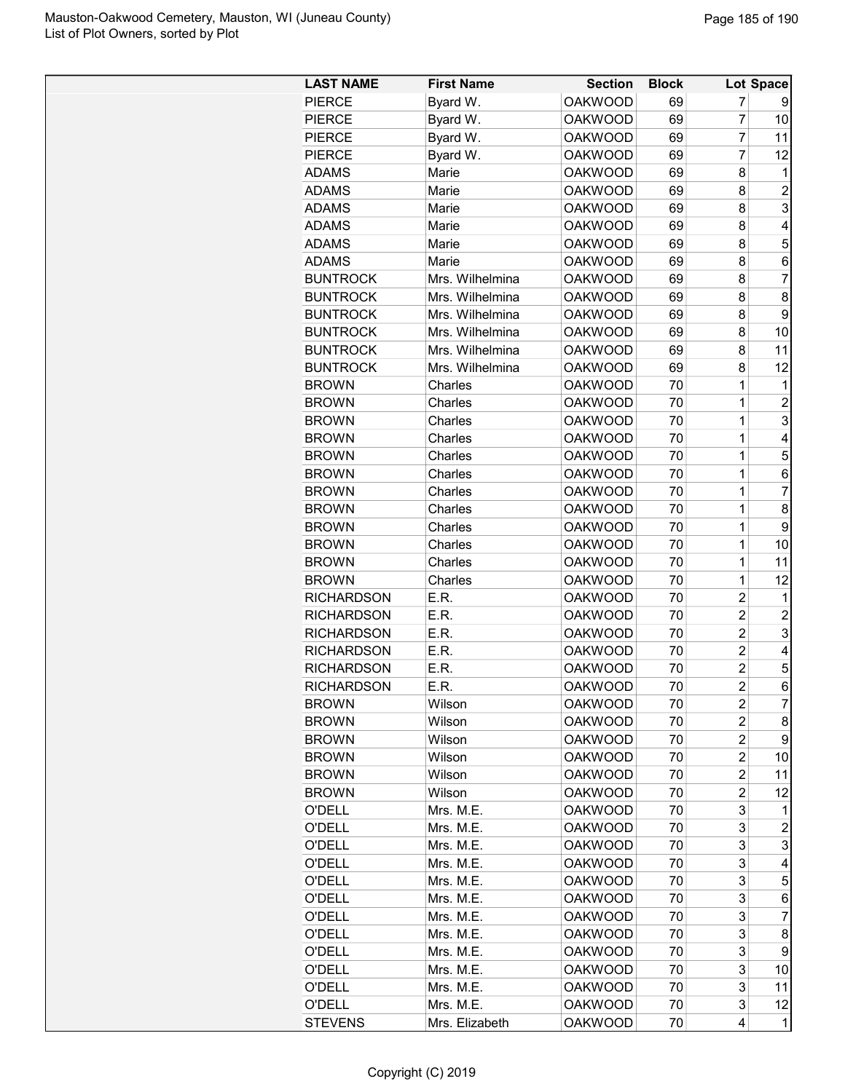| <b>LAST NAME</b>  | <b>First Name</b> | <b>Section</b> | <b>Block</b> |                | <b>Lot Space</b> |
|-------------------|-------------------|----------------|--------------|----------------|------------------|
| <b>PIERCE</b>     | Byard W.          | <b>OAKWOOD</b> | 69           | 7              | 9                |
| <b>PIERCE</b>     | Byard W.          | <b>OAKWOOD</b> | 69           | $\overline{7}$ | 10               |
| <b>PIERCE</b>     | Byard W.          | <b>OAKWOOD</b> | 69           | 7              | 11               |
| <b>PIERCE</b>     | Byard W.          | <b>OAKWOOD</b> | 69           | 7              | 12               |
| ADAMS             | Marie             | <b>OAKWOOD</b> | 69           | 8              | 1                |
| <b>ADAMS</b>      | Marie             | <b>OAKWOOD</b> | 69           | 8              | $\overline{2}$   |
| <b>ADAMS</b>      | Marie             | <b>OAKWOOD</b> | 69           | 8              | 3                |
| <b>ADAMS</b>      | Marie             | <b>OAKWOOD</b> | 69           | 8              | 4                |
| <b>ADAMS</b>      | Marie             | <b>OAKWOOD</b> | 69           | 8              | 5                |
| ADAMS             | Marie             | <b>OAKWOOD</b> | 69           | 8              | 6                |
| <b>BUNTROCK</b>   | Mrs. Wilhelmina   | <b>OAKWOOD</b> | 69           | 8              | $\overline{7}$   |
| <b>BUNTROCK</b>   | Mrs. Wilhelmina   | <b>OAKWOOD</b> | 69           | 8              | 8                |
| <b>BUNTROCK</b>   | Mrs. Wilhelmina   | <b>OAKWOOD</b> | 69           | 8              | 9                |
| <b>BUNTROCK</b>   | Mrs. Wilhelmina   | <b>OAKWOOD</b> | 69           | 8              | 10               |
| <b>BUNTROCK</b>   | Mrs. Wilhelmina   | <b>OAKWOOD</b> | 69           | 8              | 11               |
| <b>BUNTROCK</b>   | Mrs. Wilhelmina   | <b>OAKWOOD</b> | 69           | 8              | 12               |
| <b>BROWN</b>      | Charles           | <b>OAKWOOD</b> | 70           | $\mathbf 1$    | 1                |
| <b>BROWN</b>      | Charles           | <b>OAKWOOD</b> | 70           | $\mathbf 1$    | $\overline{2}$   |
| <b>BROWN</b>      | Charles           | <b>OAKWOOD</b> | 70           | 1              | 3                |
| <b>BROWN</b>      | Charles           | <b>OAKWOOD</b> | 70           | 1              | 4                |
| <b>BROWN</b>      | Charles           | <b>OAKWOOD</b> | 70           | 1              | 5                |
| <b>BROWN</b>      | Charles           | <b>OAKWOOD</b> | 70           | 1              | 6                |
| <b>BROWN</b>      | Charles           | <b>OAKWOOD</b> | 70           | 1              | 7                |
| <b>BROWN</b>      | Charles           | <b>OAKWOOD</b> | 70           | 1              | 8                |
| <b>BROWN</b>      | Charles           | <b>OAKWOOD</b> | 70           | $\mathbf 1$    | 9                |
| <b>BROWN</b>      | Charles           | <b>OAKWOOD</b> | 70           | 1              | 10               |
| <b>BROWN</b>      | Charles           | <b>OAKWOOD</b> | 70           | 1              | 11               |
| <b>BROWN</b>      | Charles           | <b>OAKWOOD</b> | 70           | 1              | 12               |
| <b>RICHARDSON</b> | E.R.              | <b>OAKWOOD</b> | 70           | $\overline{c}$ | 1                |
| <b>RICHARDSON</b> | E.R.              | <b>OAKWOOD</b> | 70           | $\overline{2}$ | $\overline{c}$   |
| <b>RICHARDSON</b> | E.R.              | <b>OAKWOOD</b> | 70           | $\overline{c}$ | 3                |
| <b>RICHARDSON</b> | E.R.              | <b>OAKWOOD</b> | 70           | $\overline{2}$ | 4                |
| <b>RICHARDSON</b> | E.R.              | <b>OAKWOOD</b> | 70           | $\overline{c}$ | 5                |
| <b>RICHARDSON</b> | E.R.              | <b>OAKWOOD</b> | 70           | $\overline{2}$ | 6                |
| <b>BROWN</b>      | Wilson            | <b>OAKWOOD</b> | 70           | 2              | $\overline{7}$   |
| <b>BROWN</b>      | Wilson            | <b>OAKWOOD</b> | 70           | $\overline{c}$ | 8                |
| <b>BROWN</b>      | Wilson            | <b>OAKWOOD</b> | 70           | $\overline{c}$ | 9                |
| <b>BROWN</b>      | Wilson            | <b>OAKWOOD</b> | 70           | 2              | 10               |
| <b>BROWN</b>      | Wilson            | <b>OAKWOOD</b> | 70           | $\overline{c}$ | 11               |
| <b>BROWN</b>      | Wilson            | <b>OAKWOOD</b> | 70           | $\overline{c}$ | 12               |
| O'DELL            | Mrs. M.E.         | <b>OAKWOOD</b> | 70           | 3              | 1                |
| O'DELL            | Mrs. M.E.         | <b>OAKWOOD</b> | 70           | 3              | $\overline{c}$   |
| <b>O'DELL</b>     | Mrs. M.E.         | <b>OAKWOOD</b> | 70           | 3              | 3                |
| <b>O'DELL</b>     | Mrs. M.E.         | <b>OAKWOOD</b> | 70           | 3              | 4                |
| O'DELL            | Mrs. M.E.         | <b>OAKWOOD</b> | 70           | 3              | 5                |
| <b>O'DELL</b>     | Mrs. M.E.         | <b>OAKWOOD</b> | 70           | 3              | 6                |
|                   |                   |                |              | 3              | 7                |
| O'DELL            | Mrs. M.E.         | <b>OAKWOOD</b> | 70           |                |                  |
| O'DELL            | Mrs. M.E.         | <b>OAKWOOD</b> | 70           | 3              | 8                |
| O'DELL            | Mrs. M.E.         | <b>OAKWOOD</b> | 70           | 3              | 9                |
| <b>O'DELL</b>     | Mrs. M.E.         | <b>OAKWOOD</b> | 70           | 3              | 10               |
| O'DELL            | Mrs. M.E.         | <b>OAKWOOD</b> | 70           | 3              | 11               |
| O'DELL            | Mrs. M.E.         | <b>OAKWOOD</b> | 70           | 3              | 12               |
| <b>STEVENS</b>    | Mrs. Elizabeth    | <b>OAKWOOD</b> | 70           | 4              | 1                |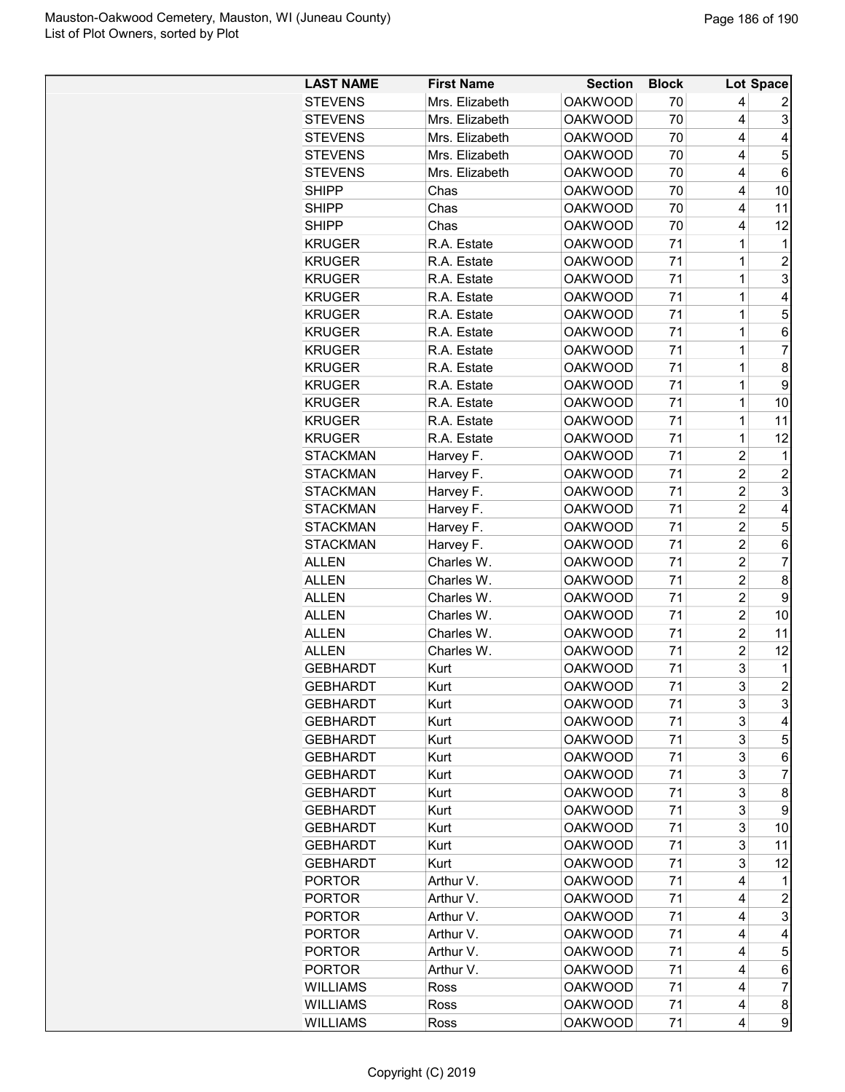| <b>LAST NAME</b> | <b>First Name</b> | <b>Section</b> | <b>Block</b> |                         | Lot Space                     |
|------------------|-------------------|----------------|--------------|-------------------------|-------------------------------|
| <b>STEVENS</b>   | Mrs. Elizabeth    | <b>OAKWOOD</b> | 70           | 4                       | 2                             |
| <b>STEVENS</b>   | Mrs. Elizabeth    | <b>OAKWOOD</b> | 70           | 4                       | 3                             |
| <b>STEVENS</b>   | Mrs. Elizabeth    | <b>OAKWOOD</b> | 70           | 4                       | 4                             |
| <b>STEVENS</b>   | Mrs. Elizabeth    | <b>OAKWOOD</b> | 70           | 4                       | 5                             |
| <b>STEVENS</b>   | Mrs. Elizabeth    | <b>OAKWOOD</b> | 70           | 4                       | 6                             |
| <b>SHIPP</b>     | Chas              | <b>OAKWOOD</b> | 70           | 4                       | 10                            |
| SHIPP            | Chas              | <b>OAKWOOD</b> | 70           | 4                       | 11                            |
| <b>SHIPP</b>     | Chas              | <b>OAKWOOD</b> | 70           | 4                       | 12                            |
| <b>KRUGER</b>    | R.A. Estate       | <b>OAKWOOD</b> | 71           | 1                       | $\mathbf 1$                   |
| <b>KRUGER</b>    | R.A. Estate       | <b>OAKWOOD</b> | 71           | 1                       | $\overline{c}$                |
| <b>KRUGER</b>    | R.A. Estate       | <b>OAKWOOD</b> | 71           | 1                       | 3                             |
| <b>KRUGER</b>    | R.A. Estate       | <b>OAKWOOD</b> | 71           | 1                       | 4                             |
| <b>KRUGER</b>    | R.A. Estate       | <b>OAKWOOD</b> | 71           | 1                       | 5                             |
| <b>KRUGER</b>    | R.A. Estate       | <b>OAKWOOD</b> | 71           | 1                       | 6                             |
| <b>KRUGER</b>    | R.A. Estate       | <b>OAKWOOD</b> | 71           | 1                       | $\overline{7}$                |
| <b>KRUGER</b>    | R.A. Estate       | <b>OAKWOOD</b> | 71           | 1                       | 8                             |
| <b>KRUGER</b>    | R.A. Estate       | <b>OAKWOOD</b> | 71           | 1                       | 9                             |
| <b>KRUGER</b>    | R.A. Estate       | <b>OAKWOOD</b> | 71           | 1                       | 10                            |
| <b>KRUGER</b>    | R.A. Estate       | <b>OAKWOOD</b> | 71           | 1                       | 11                            |
| <b>KRUGER</b>    | R.A. Estate       | <b>OAKWOOD</b> | 71           | 1                       | 12                            |
| <b>STACKMAN</b>  | Harvey F.         | <b>OAKWOOD</b> | 71           | $\overline{c}$          | $\mathbf 1$                   |
| <b>STACKMAN</b>  | Harvey F.         | <b>OAKWOOD</b> | 71           | $\overline{2}$          | $\overline{2}$                |
| <b>STACKMAN</b>  | Harvey F.         | <b>OAKWOOD</b> | 71           | $\overline{c}$          | 3                             |
| <b>STACKMAN</b>  | Harvey F.         | <b>OAKWOOD</b> | 71           | $\overline{c}$          | 4                             |
| <b>STACKMAN</b>  | Harvey F.         | <b>OAKWOOD</b> | 71           | $\overline{c}$          | 5                             |
| <b>STACKMAN</b>  | Harvey F.         | <b>OAKWOOD</b> | 71           | $\overline{\mathbf{c}}$ | 6                             |
| <b>ALLEN</b>     | Charles W.        | <b>OAKWOOD</b> | 71           | $\overline{c}$          | $\overline{7}$                |
| <b>ALLEN</b>     | Charles W.        |                | 71           | $\overline{c}$          | 8                             |
|                  |                   | <b>OAKWOOD</b> | 71           | $\overline{c}$          | 9                             |
| <b>ALLEN</b>     | Charles W.        | <b>OAKWOOD</b> | 71           | $\overline{2}$          |                               |
| <b>ALLEN</b>     | Charles W.        | <b>OAKWOOD</b> |              |                         | 10                            |
| <b>ALLEN</b>     | Charles W.        | <b>OAKWOOD</b> | 71           | $\overline{c}$          | 11                            |
| <b>ALLEN</b>     | Charles W.        | <b>OAKWOOD</b> | 71           | $\overline{c}$          | 12                            |
| <b>GEBHARDT</b>  | Kurt              | <b>OAKWOOD</b> | 71           | 3<br>$\overline{3}$     | $\mathbf 1$<br>$\overline{2}$ |
| GEBHARDT         | Kurt              | <b>OAKWOOD</b> | 71           |                         |                               |
| <b>GEBHARDT</b>  | Kurt              | <b>OAKWOOD</b> | 71           | 3                       | 3                             |
| <b>GEBHARDT</b>  | Kurt              | <b>OAKWOOD</b> | 71           | 3                       | 4                             |
| <b>GEBHARDT</b>  | Kurt              | <b>OAKWOOD</b> | 71           | 3                       | 5                             |
| <b>GEBHARDT</b>  | Kurt              | <b>OAKWOOD</b> | 71           | 3                       | 6                             |
| <b>GEBHARDT</b>  | Kurt              | <b>OAKWOOD</b> | 71           | 3                       | 7                             |
| <b>GEBHARDT</b>  | Kurt              | <b>OAKWOOD</b> | 71           | 3                       | 8                             |
| <b>GEBHARDT</b>  | Kurt              | <b>OAKWOOD</b> | 71           | 3                       | 9                             |
| <b>GEBHARDT</b>  | Kurt              | <b>OAKWOOD</b> | 71           | 3                       | 10                            |
| <b>GEBHARDT</b>  | Kurt              | <b>OAKWOOD</b> | 71           | 3                       | 11                            |
| <b>GEBHARDT</b>  | Kurt              | <b>OAKWOOD</b> | 71           | 3                       | 12                            |
| <b>PORTOR</b>    | Arthur V.         | <b>OAKWOOD</b> | 71           | 4                       | 1                             |
| <b>PORTOR</b>    | Arthur V.         | <b>OAKWOOD</b> | 71           | 4                       | 2                             |
| <b>PORTOR</b>    | Arthur V.         | <b>OAKWOOD</b> | 71           | 4                       | 3                             |
| <b>PORTOR</b>    | Arthur V.         | <b>OAKWOOD</b> | 71           | 4                       | 4                             |
| <b>PORTOR</b>    | Arthur V.         | <b>OAKWOOD</b> | 71           | 4                       | 5                             |
| <b>PORTOR</b>    | Arthur V.         | <b>OAKWOOD</b> | 71           | 4                       | 6                             |
| <b>WILLIAMS</b>  | Ross              | <b>OAKWOOD</b> | 71           | 4                       | 7                             |
| <b>WILLIAMS</b>  | Ross              | <b>OAKWOOD</b> | 71           | 4                       | 8                             |
| <b>WILLIAMS</b>  | Ross              | <b>OAKWOOD</b> | 71           | 4                       | 9                             |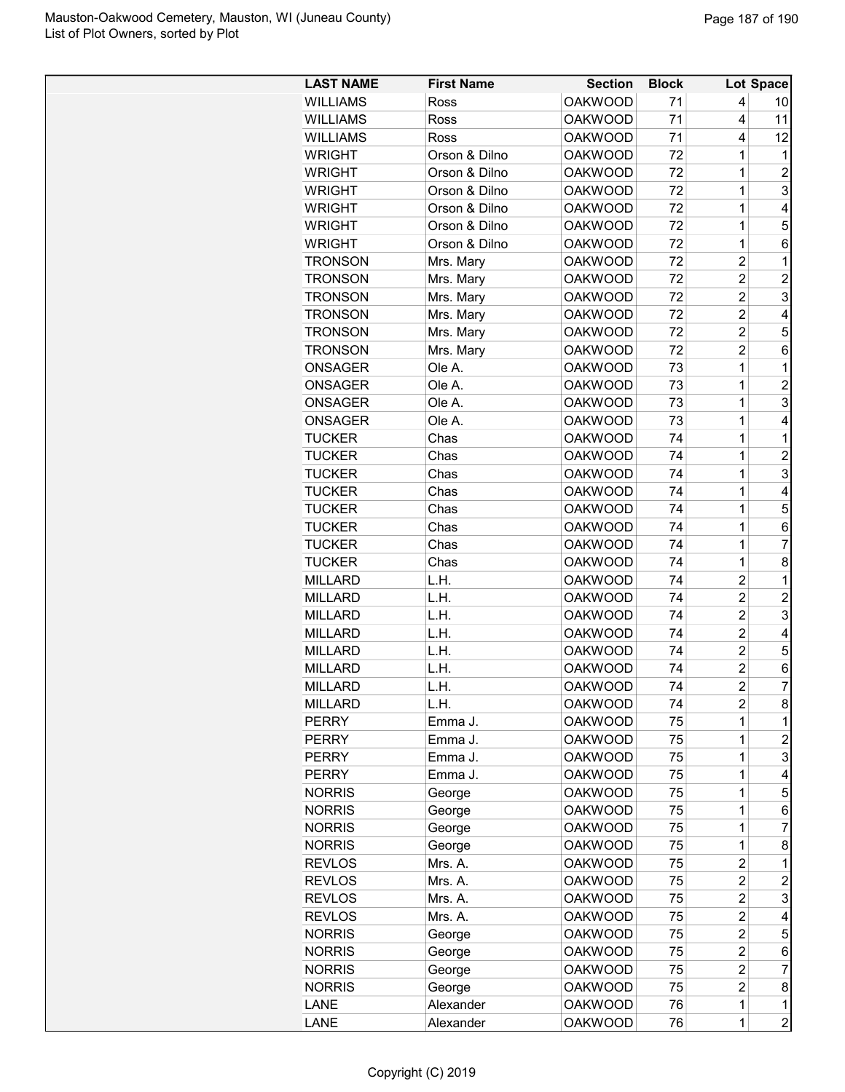| <b>WILLIAMS</b><br><b>OAKWOOD</b><br>71<br>4<br>Ross<br>10<br><b>WILLIAMS</b><br><b>OAKWOOD</b><br>71<br>11<br>Ross<br>4<br><b>OAKWOOD</b><br>71<br>12<br><b>WILLIAMS</b><br>Ross<br>4<br>Orson & Dilno<br><b>OAKWOOD</b><br>72<br><b>WRIGHT</b><br>1<br>1<br>72<br>$\overline{2}$<br><b>WRIGHT</b><br>Orson & Dilno<br><b>OAKWOOD</b><br>1<br>3<br>72<br><b>WRIGHT</b><br>Orson & Dilno<br><b>OAKWOOD</b><br>1<br>72<br>Orson & Dilno<br><b>OAKWOOD</b><br>1<br>4<br><b>WRIGHT</b><br>5<br>Orson & Dilno<br><b>OAKWOOD</b><br>72<br>1<br><b>WRIGHT</b><br>1<br>72<br>6<br><b>WRIGHT</b><br>Orson & Dilno<br><b>OAKWOOD</b><br>$\overline{\mathbf{c}}$<br><b>OAKWOOD</b><br>72<br>$\mathbf{1}$<br><b>TRONSON</b><br>Mrs. Mary<br>$\overline{c}$<br><b>OAKWOOD</b><br>72<br>$\overline{c}$<br><b>TRONSON</b><br>Mrs. Mary<br>$\overline{\mathbf{c}}$<br>3<br><b>TRONSON</b><br>Mrs. Mary<br><b>OAKWOOD</b><br>72<br>Mrs. Mary<br><b>OAKWOOD</b><br>72<br>$\overline{c}$<br>4<br><b>TRONSON</b><br>5<br>$\overline{c}$<br>Mrs. Mary<br>72<br><b>TRONSON</b><br><b>OAKWOOD</b><br>$\overline{2}$<br>Mrs. Mary<br><b>OAKWOOD</b><br>72<br>6<br><b>TRONSON</b><br>1<br>Ole A.<br>73<br>$\mathbf{1}$<br><b>ONSAGER</b><br><b>OAKWOOD</b><br>1<br>Ole A.<br><b>OAKWOOD</b><br>73<br>$\overline{c}$<br><b>ONSAGER</b><br>3<br>1<br>Ole A.<br><b>ONSAGER</b><br><b>OAKWOOD</b><br>73<br>ONSAGER<br>Ole A.<br><b>OAKWOOD</b><br>73<br>1<br>4<br><b>TUCKER</b><br>Chas<br><b>OAKWOOD</b><br>74<br>1<br>$\mathbf 1$<br><b>TUCKER</b><br>Chas<br><b>OAKWOOD</b><br>74<br>1<br>$\overline{c}$<br>3<br>74<br>Chas<br><b>OAKWOOD</b><br>1<br><b>TUCKER</b><br>1<br>Chas<br><b>OAKWOOD</b><br>74<br>4<br><b>TUCKER</b><br>5<br><b>TUCKER</b><br>Chas<br><b>OAKWOOD</b><br>74<br>1<br>74<br>1<br><b>TUCKER</b><br>Chas<br><b>OAKWOOD</b><br>6<br>$\overline{7}$<br><b>TUCKER</b><br>Chas<br><b>OAKWOOD</b><br>74<br>1<br>8<br><b>TUCKER</b><br>Chas<br><b>OAKWOOD</b><br>74<br>1<br><b>MILLARD</b><br>L.H.<br><b>OAKWOOD</b><br>74<br>$\overline{c}$<br>$\mathbf 1$<br>$\overline{c}$<br>$\overline{c}$<br>74<br><b>MILLARD</b><br>L.H.<br><b>OAKWOOD</b><br>$\overline{2}$<br>3<br>L.H.<br><b>OAKWOOD</b><br>74<br><b>MILLARD</b><br>$\overline{c}$<br><b>MILLARD</b><br>L.H.<br><b>OAKWOOD</b><br>74<br>4<br>$\overline{2}$<br>5<br>74<br><b>MILLARD</b><br>L.H.<br><b>OAKWOOD</b><br>$\overline{c}$<br>74<br><b>MILLARD</b><br>L.H.<br><b>OAKWOOD</b><br>6<br>$\overline{7}$<br>$\overline{2}$<br>74<br>L.H.<br><b>OAKWOOD</b><br><b>MILLARD</b><br>8<br><b>MILLARD</b><br>L.H.<br><b>OAKWOOD</b><br>74<br>2<br>75<br><b>PERRY</b><br>Emma J.<br><b>OAKWOOD</b><br>1<br>1<br>1<br>2<br><b>OAKWOOD</b><br>75<br><b>PERRY</b><br>Emma J.<br><b>OAKWOOD</b><br>3<br><b>PERRY</b><br>Emma J.<br>75<br>1<br><b>PERRY</b><br>Emma J.<br><b>OAKWOOD</b><br>75<br>1<br>4<br><b>OAKWOOD</b><br>75<br>5<br><b>NORRIS</b><br>1<br>George<br><b>OAKWOOD</b><br>75<br><b>NORRIS</b><br>1<br>6<br>George<br><b>OAKWOOD</b><br>75<br>1<br>7<br><b>NORRIS</b><br>George<br>75<br>1<br>8<br><b>NORRIS</b><br><b>OAKWOOD</b><br>George<br>$\overline{\mathbf{c}}$<br><b>REVLOS</b><br>Mrs. A.<br><b>OAKWOOD</b><br>75<br>1<br>$\overline{\mathbf{c}}$<br><b>REVLOS</b><br>Mrs. A.<br><b>OAKWOOD</b><br>75<br>$\overline{c}$<br>$\overline{\mathbf{c}}$<br>3<br><b>REVLOS</b><br>Mrs. A.<br><b>OAKWOOD</b><br>75<br>75<br>$\overline{\mathbf{c}}$<br><b>REVLOS</b><br>Mrs. A.<br><b>OAKWOOD</b><br>4<br><b>NORRIS</b><br><b>OAKWOOD</b><br>75<br>$\overline{c}$<br>5<br>George<br><b>NORRIS</b><br><b>OAKWOOD</b><br>75<br>$\overline{c}$<br>6<br>George<br>$\overline{7}$<br>75<br>$\overline{c}$<br><b>NORRIS</b><br>George<br><b>OAKWOOD</b><br>$\overline{2}$<br>75<br>8<br><b>NORRIS</b><br>George<br><b>OAKWOOD</b><br>Alexander<br><b>OAKWOOD</b><br>76<br>1<br>LANE<br>1 | <b>LAST NAME</b> | <b>First Name</b> | <b>Section</b> | <b>Block</b> |   | Lot Space      |
|------------------------------------------------------------------------------------------------------------------------------------------------------------------------------------------------------------------------------------------------------------------------------------------------------------------------------------------------------------------------------------------------------------------------------------------------------------------------------------------------------------------------------------------------------------------------------------------------------------------------------------------------------------------------------------------------------------------------------------------------------------------------------------------------------------------------------------------------------------------------------------------------------------------------------------------------------------------------------------------------------------------------------------------------------------------------------------------------------------------------------------------------------------------------------------------------------------------------------------------------------------------------------------------------------------------------------------------------------------------------------------------------------------------------------------------------------------------------------------------------------------------------------------------------------------------------------------------------------------------------------------------------------------------------------------------------------------------------------------------------------------------------------------------------------------------------------------------------------------------------------------------------------------------------------------------------------------------------------------------------------------------------------------------------------------------------------------------------------------------------------------------------------------------------------------------------------------------------------------------------------------------------------------------------------------------------------------------------------------------------------------------------------------------------------------------------------------------------------------------------------------------------------------------------------------------------------------------------------------------------------------------------------------------------------------------------------------------------------------------------------------------------------------------------------------------------------------------------------------------------------------------------------------------------------------------------------------------------------------------------------------------------------------------------------------------------------------------------------------------------------------------------------------------------------------------------------------------------------------------------------------------------------------------------------------------------------------------------------------------------------------------------------------------------------------------------------------------------------------------------------------------------------------------------------------------------------------------------------------------------------------------------------------------------------------------------------------------------------------------------------------------------------------------------------------------------------------------------|------------------|-------------------|----------------|--------------|---|----------------|
|                                                                                                                                                                                                                                                                                                                                                                                                                                                                                                                                                                                                                                                                                                                                                                                                                                                                                                                                                                                                                                                                                                                                                                                                                                                                                                                                                                                                                                                                                                                                                                                                                                                                                                                                                                                                                                                                                                                                                                                                                                                                                                                                                                                                                                                                                                                                                                                                                                                                                                                                                                                                                                                                                                                                                                                                                                                                                                                                                                                                                                                                                                                                                                                                                                                                                                                                                                                                                                                                                                                                                                                                                                                                                                                                                                                                                                                |                  |                   |                |              |   |                |
|                                                                                                                                                                                                                                                                                                                                                                                                                                                                                                                                                                                                                                                                                                                                                                                                                                                                                                                                                                                                                                                                                                                                                                                                                                                                                                                                                                                                                                                                                                                                                                                                                                                                                                                                                                                                                                                                                                                                                                                                                                                                                                                                                                                                                                                                                                                                                                                                                                                                                                                                                                                                                                                                                                                                                                                                                                                                                                                                                                                                                                                                                                                                                                                                                                                                                                                                                                                                                                                                                                                                                                                                                                                                                                                                                                                                                                                |                  |                   |                |              |   |                |
|                                                                                                                                                                                                                                                                                                                                                                                                                                                                                                                                                                                                                                                                                                                                                                                                                                                                                                                                                                                                                                                                                                                                                                                                                                                                                                                                                                                                                                                                                                                                                                                                                                                                                                                                                                                                                                                                                                                                                                                                                                                                                                                                                                                                                                                                                                                                                                                                                                                                                                                                                                                                                                                                                                                                                                                                                                                                                                                                                                                                                                                                                                                                                                                                                                                                                                                                                                                                                                                                                                                                                                                                                                                                                                                                                                                                                                                |                  |                   |                |              |   |                |
|                                                                                                                                                                                                                                                                                                                                                                                                                                                                                                                                                                                                                                                                                                                                                                                                                                                                                                                                                                                                                                                                                                                                                                                                                                                                                                                                                                                                                                                                                                                                                                                                                                                                                                                                                                                                                                                                                                                                                                                                                                                                                                                                                                                                                                                                                                                                                                                                                                                                                                                                                                                                                                                                                                                                                                                                                                                                                                                                                                                                                                                                                                                                                                                                                                                                                                                                                                                                                                                                                                                                                                                                                                                                                                                                                                                                                                                |                  |                   |                |              |   |                |
|                                                                                                                                                                                                                                                                                                                                                                                                                                                                                                                                                                                                                                                                                                                                                                                                                                                                                                                                                                                                                                                                                                                                                                                                                                                                                                                                                                                                                                                                                                                                                                                                                                                                                                                                                                                                                                                                                                                                                                                                                                                                                                                                                                                                                                                                                                                                                                                                                                                                                                                                                                                                                                                                                                                                                                                                                                                                                                                                                                                                                                                                                                                                                                                                                                                                                                                                                                                                                                                                                                                                                                                                                                                                                                                                                                                                                                                |                  |                   |                |              |   |                |
|                                                                                                                                                                                                                                                                                                                                                                                                                                                                                                                                                                                                                                                                                                                                                                                                                                                                                                                                                                                                                                                                                                                                                                                                                                                                                                                                                                                                                                                                                                                                                                                                                                                                                                                                                                                                                                                                                                                                                                                                                                                                                                                                                                                                                                                                                                                                                                                                                                                                                                                                                                                                                                                                                                                                                                                                                                                                                                                                                                                                                                                                                                                                                                                                                                                                                                                                                                                                                                                                                                                                                                                                                                                                                                                                                                                                                                                |                  |                   |                |              |   |                |
|                                                                                                                                                                                                                                                                                                                                                                                                                                                                                                                                                                                                                                                                                                                                                                                                                                                                                                                                                                                                                                                                                                                                                                                                                                                                                                                                                                                                                                                                                                                                                                                                                                                                                                                                                                                                                                                                                                                                                                                                                                                                                                                                                                                                                                                                                                                                                                                                                                                                                                                                                                                                                                                                                                                                                                                                                                                                                                                                                                                                                                                                                                                                                                                                                                                                                                                                                                                                                                                                                                                                                                                                                                                                                                                                                                                                                                                |                  |                   |                |              |   |                |
|                                                                                                                                                                                                                                                                                                                                                                                                                                                                                                                                                                                                                                                                                                                                                                                                                                                                                                                                                                                                                                                                                                                                                                                                                                                                                                                                                                                                                                                                                                                                                                                                                                                                                                                                                                                                                                                                                                                                                                                                                                                                                                                                                                                                                                                                                                                                                                                                                                                                                                                                                                                                                                                                                                                                                                                                                                                                                                                                                                                                                                                                                                                                                                                                                                                                                                                                                                                                                                                                                                                                                                                                                                                                                                                                                                                                                                                |                  |                   |                |              |   |                |
|                                                                                                                                                                                                                                                                                                                                                                                                                                                                                                                                                                                                                                                                                                                                                                                                                                                                                                                                                                                                                                                                                                                                                                                                                                                                                                                                                                                                                                                                                                                                                                                                                                                                                                                                                                                                                                                                                                                                                                                                                                                                                                                                                                                                                                                                                                                                                                                                                                                                                                                                                                                                                                                                                                                                                                                                                                                                                                                                                                                                                                                                                                                                                                                                                                                                                                                                                                                                                                                                                                                                                                                                                                                                                                                                                                                                                                                |                  |                   |                |              |   |                |
|                                                                                                                                                                                                                                                                                                                                                                                                                                                                                                                                                                                                                                                                                                                                                                                                                                                                                                                                                                                                                                                                                                                                                                                                                                                                                                                                                                                                                                                                                                                                                                                                                                                                                                                                                                                                                                                                                                                                                                                                                                                                                                                                                                                                                                                                                                                                                                                                                                                                                                                                                                                                                                                                                                                                                                                                                                                                                                                                                                                                                                                                                                                                                                                                                                                                                                                                                                                                                                                                                                                                                                                                                                                                                                                                                                                                                                                |                  |                   |                |              |   |                |
|                                                                                                                                                                                                                                                                                                                                                                                                                                                                                                                                                                                                                                                                                                                                                                                                                                                                                                                                                                                                                                                                                                                                                                                                                                                                                                                                                                                                                                                                                                                                                                                                                                                                                                                                                                                                                                                                                                                                                                                                                                                                                                                                                                                                                                                                                                                                                                                                                                                                                                                                                                                                                                                                                                                                                                                                                                                                                                                                                                                                                                                                                                                                                                                                                                                                                                                                                                                                                                                                                                                                                                                                                                                                                                                                                                                                                                                |                  |                   |                |              |   |                |
|                                                                                                                                                                                                                                                                                                                                                                                                                                                                                                                                                                                                                                                                                                                                                                                                                                                                                                                                                                                                                                                                                                                                                                                                                                                                                                                                                                                                                                                                                                                                                                                                                                                                                                                                                                                                                                                                                                                                                                                                                                                                                                                                                                                                                                                                                                                                                                                                                                                                                                                                                                                                                                                                                                                                                                                                                                                                                                                                                                                                                                                                                                                                                                                                                                                                                                                                                                                                                                                                                                                                                                                                                                                                                                                                                                                                                                                |                  |                   |                |              |   |                |
|                                                                                                                                                                                                                                                                                                                                                                                                                                                                                                                                                                                                                                                                                                                                                                                                                                                                                                                                                                                                                                                                                                                                                                                                                                                                                                                                                                                                                                                                                                                                                                                                                                                                                                                                                                                                                                                                                                                                                                                                                                                                                                                                                                                                                                                                                                                                                                                                                                                                                                                                                                                                                                                                                                                                                                                                                                                                                                                                                                                                                                                                                                                                                                                                                                                                                                                                                                                                                                                                                                                                                                                                                                                                                                                                                                                                                                                |                  |                   |                |              |   |                |
|                                                                                                                                                                                                                                                                                                                                                                                                                                                                                                                                                                                                                                                                                                                                                                                                                                                                                                                                                                                                                                                                                                                                                                                                                                                                                                                                                                                                                                                                                                                                                                                                                                                                                                                                                                                                                                                                                                                                                                                                                                                                                                                                                                                                                                                                                                                                                                                                                                                                                                                                                                                                                                                                                                                                                                                                                                                                                                                                                                                                                                                                                                                                                                                                                                                                                                                                                                                                                                                                                                                                                                                                                                                                                                                                                                                                                                                |                  |                   |                |              |   |                |
|                                                                                                                                                                                                                                                                                                                                                                                                                                                                                                                                                                                                                                                                                                                                                                                                                                                                                                                                                                                                                                                                                                                                                                                                                                                                                                                                                                                                                                                                                                                                                                                                                                                                                                                                                                                                                                                                                                                                                                                                                                                                                                                                                                                                                                                                                                                                                                                                                                                                                                                                                                                                                                                                                                                                                                                                                                                                                                                                                                                                                                                                                                                                                                                                                                                                                                                                                                                                                                                                                                                                                                                                                                                                                                                                                                                                                                                |                  |                   |                |              |   |                |
|                                                                                                                                                                                                                                                                                                                                                                                                                                                                                                                                                                                                                                                                                                                                                                                                                                                                                                                                                                                                                                                                                                                                                                                                                                                                                                                                                                                                                                                                                                                                                                                                                                                                                                                                                                                                                                                                                                                                                                                                                                                                                                                                                                                                                                                                                                                                                                                                                                                                                                                                                                                                                                                                                                                                                                                                                                                                                                                                                                                                                                                                                                                                                                                                                                                                                                                                                                                                                                                                                                                                                                                                                                                                                                                                                                                                                                                |                  |                   |                |              |   |                |
|                                                                                                                                                                                                                                                                                                                                                                                                                                                                                                                                                                                                                                                                                                                                                                                                                                                                                                                                                                                                                                                                                                                                                                                                                                                                                                                                                                                                                                                                                                                                                                                                                                                                                                                                                                                                                                                                                                                                                                                                                                                                                                                                                                                                                                                                                                                                                                                                                                                                                                                                                                                                                                                                                                                                                                                                                                                                                                                                                                                                                                                                                                                                                                                                                                                                                                                                                                                                                                                                                                                                                                                                                                                                                                                                                                                                                                                |                  |                   |                |              |   |                |
|                                                                                                                                                                                                                                                                                                                                                                                                                                                                                                                                                                                                                                                                                                                                                                                                                                                                                                                                                                                                                                                                                                                                                                                                                                                                                                                                                                                                                                                                                                                                                                                                                                                                                                                                                                                                                                                                                                                                                                                                                                                                                                                                                                                                                                                                                                                                                                                                                                                                                                                                                                                                                                                                                                                                                                                                                                                                                                                                                                                                                                                                                                                                                                                                                                                                                                                                                                                                                                                                                                                                                                                                                                                                                                                                                                                                                                                |                  |                   |                |              |   |                |
|                                                                                                                                                                                                                                                                                                                                                                                                                                                                                                                                                                                                                                                                                                                                                                                                                                                                                                                                                                                                                                                                                                                                                                                                                                                                                                                                                                                                                                                                                                                                                                                                                                                                                                                                                                                                                                                                                                                                                                                                                                                                                                                                                                                                                                                                                                                                                                                                                                                                                                                                                                                                                                                                                                                                                                                                                                                                                                                                                                                                                                                                                                                                                                                                                                                                                                                                                                                                                                                                                                                                                                                                                                                                                                                                                                                                                                                |                  |                   |                |              |   |                |
|                                                                                                                                                                                                                                                                                                                                                                                                                                                                                                                                                                                                                                                                                                                                                                                                                                                                                                                                                                                                                                                                                                                                                                                                                                                                                                                                                                                                                                                                                                                                                                                                                                                                                                                                                                                                                                                                                                                                                                                                                                                                                                                                                                                                                                                                                                                                                                                                                                                                                                                                                                                                                                                                                                                                                                                                                                                                                                                                                                                                                                                                                                                                                                                                                                                                                                                                                                                                                                                                                                                                                                                                                                                                                                                                                                                                                                                |                  |                   |                |              |   |                |
|                                                                                                                                                                                                                                                                                                                                                                                                                                                                                                                                                                                                                                                                                                                                                                                                                                                                                                                                                                                                                                                                                                                                                                                                                                                                                                                                                                                                                                                                                                                                                                                                                                                                                                                                                                                                                                                                                                                                                                                                                                                                                                                                                                                                                                                                                                                                                                                                                                                                                                                                                                                                                                                                                                                                                                                                                                                                                                                                                                                                                                                                                                                                                                                                                                                                                                                                                                                                                                                                                                                                                                                                                                                                                                                                                                                                                                                |                  |                   |                |              |   |                |
|                                                                                                                                                                                                                                                                                                                                                                                                                                                                                                                                                                                                                                                                                                                                                                                                                                                                                                                                                                                                                                                                                                                                                                                                                                                                                                                                                                                                                                                                                                                                                                                                                                                                                                                                                                                                                                                                                                                                                                                                                                                                                                                                                                                                                                                                                                                                                                                                                                                                                                                                                                                                                                                                                                                                                                                                                                                                                                                                                                                                                                                                                                                                                                                                                                                                                                                                                                                                                                                                                                                                                                                                                                                                                                                                                                                                                                                |                  |                   |                |              |   |                |
|                                                                                                                                                                                                                                                                                                                                                                                                                                                                                                                                                                                                                                                                                                                                                                                                                                                                                                                                                                                                                                                                                                                                                                                                                                                                                                                                                                                                                                                                                                                                                                                                                                                                                                                                                                                                                                                                                                                                                                                                                                                                                                                                                                                                                                                                                                                                                                                                                                                                                                                                                                                                                                                                                                                                                                                                                                                                                                                                                                                                                                                                                                                                                                                                                                                                                                                                                                                                                                                                                                                                                                                                                                                                                                                                                                                                                                                |                  |                   |                |              |   |                |
|                                                                                                                                                                                                                                                                                                                                                                                                                                                                                                                                                                                                                                                                                                                                                                                                                                                                                                                                                                                                                                                                                                                                                                                                                                                                                                                                                                                                                                                                                                                                                                                                                                                                                                                                                                                                                                                                                                                                                                                                                                                                                                                                                                                                                                                                                                                                                                                                                                                                                                                                                                                                                                                                                                                                                                                                                                                                                                                                                                                                                                                                                                                                                                                                                                                                                                                                                                                                                                                                                                                                                                                                                                                                                                                                                                                                                                                |                  |                   |                |              |   |                |
|                                                                                                                                                                                                                                                                                                                                                                                                                                                                                                                                                                                                                                                                                                                                                                                                                                                                                                                                                                                                                                                                                                                                                                                                                                                                                                                                                                                                                                                                                                                                                                                                                                                                                                                                                                                                                                                                                                                                                                                                                                                                                                                                                                                                                                                                                                                                                                                                                                                                                                                                                                                                                                                                                                                                                                                                                                                                                                                                                                                                                                                                                                                                                                                                                                                                                                                                                                                                                                                                                                                                                                                                                                                                                                                                                                                                                                                |                  |                   |                |              |   |                |
|                                                                                                                                                                                                                                                                                                                                                                                                                                                                                                                                                                                                                                                                                                                                                                                                                                                                                                                                                                                                                                                                                                                                                                                                                                                                                                                                                                                                                                                                                                                                                                                                                                                                                                                                                                                                                                                                                                                                                                                                                                                                                                                                                                                                                                                                                                                                                                                                                                                                                                                                                                                                                                                                                                                                                                                                                                                                                                                                                                                                                                                                                                                                                                                                                                                                                                                                                                                                                                                                                                                                                                                                                                                                                                                                                                                                                                                |                  |                   |                |              |   |                |
|                                                                                                                                                                                                                                                                                                                                                                                                                                                                                                                                                                                                                                                                                                                                                                                                                                                                                                                                                                                                                                                                                                                                                                                                                                                                                                                                                                                                                                                                                                                                                                                                                                                                                                                                                                                                                                                                                                                                                                                                                                                                                                                                                                                                                                                                                                                                                                                                                                                                                                                                                                                                                                                                                                                                                                                                                                                                                                                                                                                                                                                                                                                                                                                                                                                                                                                                                                                                                                                                                                                                                                                                                                                                                                                                                                                                                                                |                  |                   |                |              |   |                |
|                                                                                                                                                                                                                                                                                                                                                                                                                                                                                                                                                                                                                                                                                                                                                                                                                                                                                                                                                                                                                                                                                                                                                                                                                                                                                                                                                                                                                                                                                                                                                                                                                                                                                                                                                                                                                                                                                                                                                                                                                                                                                                                                                                                                                                                                                                                                                                                                                                                                                                                                                                                                                                                                                                                                                                                                                                                                                                                                                                                                                                                                                                                                                                                                                                                                                                                                                                                                                                                                                                                                                                                                                                                                                                                                                                                                                                                |                  |                   |                |              |   |                |
|                                                                                                                                                                                                                                                                                                                                                                                                                                                                                                                                                                                                                                                                                                                                                                                                                                                                                                                                                                                                                                                                                                                                                                                                                                                                                                                                                                                                                                                                                                                                                                                                                                                                                                                                                                                                                                                                                                                                                                                                                                                                                                                                                                                                                                                                                                                                                                                                                                                                                                                                                                                                                                                                                                                                                                                                                                                                                                                                                                                                                                                                                                                                                                                                                                                                                                                                                                                                                                                                                                                                                                                                                                                                                                                                                                                                                                                |                  |                   |                |              |   |                |
|                                                                                                                                                                                                                                                                                                                                                                                                                                                                                                                                                                                                                                                                                                                                                                                                                                                                                                                                                                                                                                                                                                                                                                                                                                                                                                                                                                                                                                                                                                                                                                                                                                                                                                                                                                                                                                                                                                                                                                                                                                                                                                                                                                                                                                                                                                                                                                                                                                                                                                                                                                                                                                                                                                                                                                                                                                                                                                                                                                                                                                                                                                                                                                                                                                                                                                                                                                                                                                                                                                                                                                                                                                                                                                                                                                                                                                                |                  |                   |                |              |   |                |
|                                                                                                                                                                                                                                                                                                                                                                                                                                                                                                                                                                                                                                                                                                                                                                                                                                                                                                                                                                                                                                                                                                                                                                                                                                                                                                                                                                                                                                                                                                                                                                                                                                                                                                                                                                                                                                                                                                                                                                                                                                                                                                                                                                                                                                                                                                                                                                                                                                                                                                                                                                                                                                                                                                                                                                                                                                                                                                                                                                                                                                                                                                                                                                                                                                                                                                                                                                                                                                                                                                                                                                                                                                                                                                                                                                                                                                                |                  |                   |                |              |   |                |
|                                                                                                                                                                                                                                                                                                                                                                                                                                                                                                                                                                                                                                                                                                                                                                                                                                                                                                                                                                                                                                                                                                                                                                                                                                                                                                                                                                                                                                                                                                                                                                                                                                                                                                                                                                                                                                                                                                                                                                                                                                                                                                                                                                                                                                                                                                                                                                                                                                                                                                                                                                                                                                                                                                                                                                                                                                                                                                                                                                                                                                                                                                                                                                                                                                                                                                                                                                                                                                                                                                                                                                                                                                                                                                                                                                                                                                                |                  |                   |                |              |   |                |
|                                                                                                                                                                                                                                                                                                                                                                                                                                                                                                                                                                                                                                                                                                                                                                                                                                                                                                                                                                                                                                                                                                                                                                                                                                                                                                                                                                                                                                                                                                                                                                                                                                                                                                                                                                                                                                                                                                                                                                                                                                                                                                                                                                                                                                                                                                                                                                                                                                                                                                                                                                                                                                                                                                                                                                                                                                                                                                                                                                                                                                                                                                                                                                                                                                                                                                                                                                                                                                                                                                                                                                                                                                                                                                                                                                                                                                                |                  |                   |                |              |   |                |
|                                                                                                                                                                                                                                                                                                                                                                                                                                                                                                                                                                                                                                                                                                                                                                                                                                                                                                                                                                                                                                                                                                                                                                                                                                                                                                                                                                                                                                                                                                                                                                                                                                                                                                                                                                                                                                                                                                                                                                                                                                                                                                                                                                                                                                                                                                                                                                                                                                                                                                                                                                                                                                                                                                                                                                                                                                                                                                                                                                                                                                                                                                                                                                                                                                                                                                                                                                                                                                                                                                                                                                                                                                                                                                                                                                                                                                                |                  |                   |                |              |   |                |
|                                                                                                                                                                                                                                                                                                                                                                                                                                                                                                                                                                                                                                                                                                                                                                                                                                                                                                                                                                                                                                                                                                                                                                                                                                                                                                                                                                                                                                                                                                                                                                                                                                                                                                                                                                                                                                                                                                                                                                                                                                                                                                                                                                                                                                                                                                                                                                                                                                                                                                                                                                                                                                                                                                                                                                                                                                                                                                                                                                                                                                                                                                                                                                                                                                                                                                                                                                                                                                                                                                                                                                                                                                                                                                                                                                                                                                                |                  |                   |                |              |   |                |
|                                                                                                                                                                                                                                                                                                                                                                                                                                                                                                                                                                                                                                                                                                                                                                                                                                                                                                                                                                                                                                                                                                                                                                                                                                                                                                                                                                                                                                                                                                                                                                                                                                                                                                                                                                                                                                                                                                                                                                                                                                                                                                                                                                                                                                                                                                                                                                                                                                                                                                                                                                                                                                                                                                                                                                                                                                                                                                                                                                                                                                                                                                                                                                                                                                                                                                                                                                                                                                                                                                                                                                                                                                                                                                                                                                                                                                                |                  |                   |                |              |   |                |
|                                                                                                                                                                                                                                                                                                                                                                                                                                                                                                                                                                                                                                                                                                                                                                                                                                                                                                                                                                                                                                                                                                                                                                                                                                                                                                                                                                                                                                                                                                                                                                                                                                                                                                                                                                                                                                                                                                                                                                                                                                                                                                                                                                                                                                                                                                                                                                                                                                                                                                                                                                                                                                                                                                                                                                                                                                                                                                                                                                                                                                                                                                                                                                                                                                                                                                                                                                                                                                                                                                                                                                                                                                                                                                                                                                                                                                                |                  |                   |                |              |   |                |
|                                                                                                                                                                                                                                                                                                                                                                                                                                                                                                                                                                                                                                                                                                                                                                                                                                                                                                                                                                                                                                                                                                                                                                                                                                                                                                                                                                                                                                                                                                                                                                                                                                                                                                                                                                                                                                                                                                                                                                                                                                                                                                                                                                                                                                                                                                                                                                                                                                                                                                                                                                                                                                                                                                                                                                                                                                                                                                                                                                                                                                                                                                                                                                                                                                                                                                                                                                                                                                                                                                                                                                                                                                                                                                                                                                                                                                                |                  |                   |                |              |   |                |
|                                                                                                                                                                                                                                                                                                                                                                                                                                                                                                                                                                                                                                                                                                                                                                                                                                                                                                                                                                                                                                                                                                                                                                                                                                                                                                                                                                                                                                                                                                                                                                                                                                                                                                                                                                                                                                                                                                                                                                                                                                                                                                                                                                                                                                                                                                                                                                                                                                                                                                                                                                                                                                                                                                                                                                                                                                                                                                                                                                                                                                                                                                                                                                                                                                                                                                                                                                                                                                                                                                                                                                                                                                                                                                                                                                                                                                                |                  |                   |                |              |   |                |
|                                                                                                                                                                                                                                                                                                                                                                                                                                                                                                                                                                                                                                                                                                                                                                                                                                                                                                                                                                                                                                                                                                                                                                                                                                                                                                                                                                                                                                                                                                                                                                                                                                                                                                                                                                                                                                                                                                                                                                                                                                                                                                                                                                                                                                                                                                                                                                                                                                                                                                                                                                                                                                                                                                                                                                                                                                                                                                                                                                                                                                                                                                                                                                                                                                                                                                                                                                                                                                                                                                                                                                                                                                                                                                                                                                                                                                                |                  |                   |                |              |   |                |
|                                                                                                                                                                                                                                                                                                                                                                                                                                                                                                                                                                                                                                                                                                                                                                                                                                                                                                                                                                                                                                                                                                                                                                                                                                                                                                                                                                                                                                                                                                                                                                                                                                                                                                                                                                                                                                                                                                                                                                                                                                                                                                                                                                                                                                                                                                                                                                                                                                                                                                                                                                                                                                                                                                                                                                                                                                                                                                                                                                                                                                                                                                                                                                                                                                                                                                                                                                                                                                                                                                                                                                                                                                                                                                                                                                                                                                                |                  |                   |                |              |   |                |
|                                                                                                                                                                                                                                                                                                                                                                                                                                                                                                                                                                                                                                                                                                                                                                                                                                                                                                                                                                                                                                                                                                                                                                                                                                                                                                                                                                                                                                                                                                                                                                                                                                                                                                                                                                                                                                                                                                                                                                                                                                                                                                                                                                                                                                                                                                                                                                                                                                                                                                                                                                                                                                                                                                                                                                                                                                                                                                                                                                                                                                                                                                                                                                                                                                                                                                                                                                                                                                                                                                                                                                                                                                                                                                                                                                                                                                                |                  |                   |                |              |   |                |
|                                                                                                                                                                                                                                                                                                                                                                                                                                                                                                                                                                                                                                                                                                                                                                                                                                                                                                                                                                                                                                                                                                                                                                                                                                                                                                                                                                                                                                                                                                                                                                                                                                                                                                                                                                                                                                                                                                                                                                                                                                                                                                                                                                                                                                                                                                                                                                                                                                                                                                                                                                                                                                                                                                                                                                                                                                                                                                                                                                                                                                                                                                                                                                                                                                                                                                                                                                                                                                                                                                                                                                                                                                                                                                                                                                                                                                                |                  |                   |                |              |   |                |
|                                                                                                                                                                                                                                                                                                                                                                                                                                                                                                                                                                                                                                                                                                                                                                                                                                                                                                                                                                                                                                                                                                                                                                                                                                                                                                                                                                                                                                                                                                                                                                                                                                                                                                                                                                                                                                                                                                                                                                                                                                                                                                                                                                                                                                                                                                                                                                                                                                                                                                                                                                                                                                                                                                                                                                                                                                                                                                                                                                                                                                                                                                                                                                                                                                                                                                                                                                                                                                                                                                                                                                                                                                                                                                                                                                                                                                                |                  |                   |                |              |   |                |
|                                                                                                                                                                                                                                                                                                                                                                                                                                                                                                                                                                                                                                                                                                                                                                                                                                                                                                                                                                                                                                                                                                                                                                                                                                                                                                                                                                                                                                                                                                                                                                                                                                                                                                                                                                                                                                                                                                                                                                                                                                                                                                                                                                                                                                                                                                                                                                                                                                                                                                                                                                                                                                                                                                                                                                                                                                                                                                                                                                                                                                                                                                                                                                                                                                                                                                                                                                                                                                                                                                                                                                                                                                                                                                                                                                                                                                                |                  |                   |                |              |   |                |
|                                                                                                                                                                                                                                                                                                                                                                                                                                                                                                                                                                                                                                                                                                                                                                                                                                                                                                                                                                                                                                                                                                                                                                                                                                                                                                                                                                                                                                                                                                                                                                                                                                                                                                                                                                                                                                                                                                                                                                                                                                                                                                                                                                                                                                                                                                                                                                                                                                                                                                                                                                                                                                                                                                                                                                                                                                                                                                                                                                                                                                                                                                                                                                                                                                                                                                                                                                                                                                                                                                                                                                                                                                                                                                                                                                                                                                                |                  |                   |                |              |   |                |
|                                                                                                                                                                                                                                                                                                                                                                                                                                                                                                                                                                                                                                                                                                                                                                                                                                                                                                                                                                                                                                                                                                                                                                                                                                                                                                                                                                                                                                                                                                                                                                                                                                                                                                                                                                                                                                                                                                                                                                                                                                                                                                                                                                                                                                                                                                                                                                                                                                                                                                                                                                                                                                                                                                                                                                                                                                                                                                                                                                                                                                                                                                                                                                                                                                                                                                                                                                                                                                                                                                                                                                                                                                                                                                                                                                                                                                                |                  |                   |                |              |   |                |
|                                                                                                                                                                                                                                                                                                                                                                                                                                                                                                                                                                                                                                                                                                                                                                                                                                                                                                                                                                                                                                                                                                                                                                                                                                                                                                                                                                                                                                                                                                                                                                                                                                                                                                                                                                                                                                                                                                                                                                                                                                                                                                                                                                                                                                                                                                                                                                                                                                                                                                                                                                                                                                                                                                                                                                                                                                                                                                                                                                                                                                                                                                                                                                                                                                                                                                                                                                                                                                                                                                                                                                                                                                                                                                                                                                                                                                                |                  |                   |                |              |   |                |
|                                                                                                                                                                                                                                                                                                                                                                                                                                                                                                                                                                                                                                                                                                                                                                                                                                                                                                                                                                                                                                                                                                                                                                                                                                                                                                                                                                                                                                                                                                                                                                                                                                                                                                                                                                                                                                                                                                                                                                                                                                                                                                                                                                                                                                                                                                                                                                                                                                                                                                                                                                                                                                                                                                                                                                                                                                                                                                                                                                                                                                                                                                                                                                                                                                                                                                                                                                                                                                                                                                                                                                                                                                                                                                                                                                                                                                                |                  |                   |                |              |   |                |
|                                                                                                                                                                                                                                                                                                                                                                                                                                                                                                                                                                                                                                                                                                                                                                                                                                                                                                                                                                                                                                                                                                                                                                                                                                                                                                                                                                                                                                                                                                                                                                                                                                                                                                                                                                                                                                                                                                                                                                                                                                                                                                                                                                                                                                                                                                                                                                                                                                                                                                                                                                                                                                                                                                                                                                                                                                                                                                                                                                                                                                                                                                                                                                                                                                                                                                                                                                                                                                                                                                                                                                                                                                                                                                                                                                                                                                                |                  |                   |                |              |   |                |
|                                                                                                                                                                                                                                                                                                                                                                                                                                                                                                                                                                                                                                                                                                                                                                                                                                                                                                                                                                                                                                                                                                                                                                                                                                                                                                                                                                                                                                                                                                                                                                                                                                                                                                                                                                                                                                                                                                                                                                                                                                                                                                                                                                                                                                                                                                                                                                                                                                                                                                                                                                                                                                                                                                                                                                                                                                                                                                                                                                                                                                                                                                                                                                                                                                                                                                                                                                                                                                                                                                                                                                                                                                                                                                                                                                                                                                                |                  |                   |                |              |   |                |
|                                                                                                                                                                                                                                                                                                                                                                                                                                                                                                                                                                                                                                                                                                                                                                                                                                                                                                                                                                                                                                                                                                                                                                                                                                                                                                                                                                                                                                                                                                                                                                                                                                                                                                                                                                                                                                                                                                                                                                                                                                                                                                                                                                                                                                                                                                                                                                                                                                                                                                                                                                                                                                                                                                                                                                                                                                                                                                                                                                                                                                                                                                                                                                                                                                                                                                                                                                                                                                                                                                                                                                                                                                                                                                                                                                                                                                                |                  |                   |                |              |   |                |
|                                                                                                                                                                                                                                                                                                                                                                                                                                                                                                                                                                                                                                                                                                                                                                                                                                                                                                                                                                                                                                                                                                                                                                                                                                                                                                                                                                                                                                                                                                                                                                                                                                                                                                                                                                                                                                                                                                                                                                                                                                                                                                                                                                                                                                                                                                                                                                                                                                                                                                                                                                                                                                                                                                                                                                                                                                                                                                                                                                                                                                                                                                                                                                                                                                                                                                                                                                                                                                                                                                                                                                                                                                                                                                                                                                                                                                                | LANE             | Alexander         | <b>OAKWOOD</b> | 76           | 1 | $\overline{2}$ |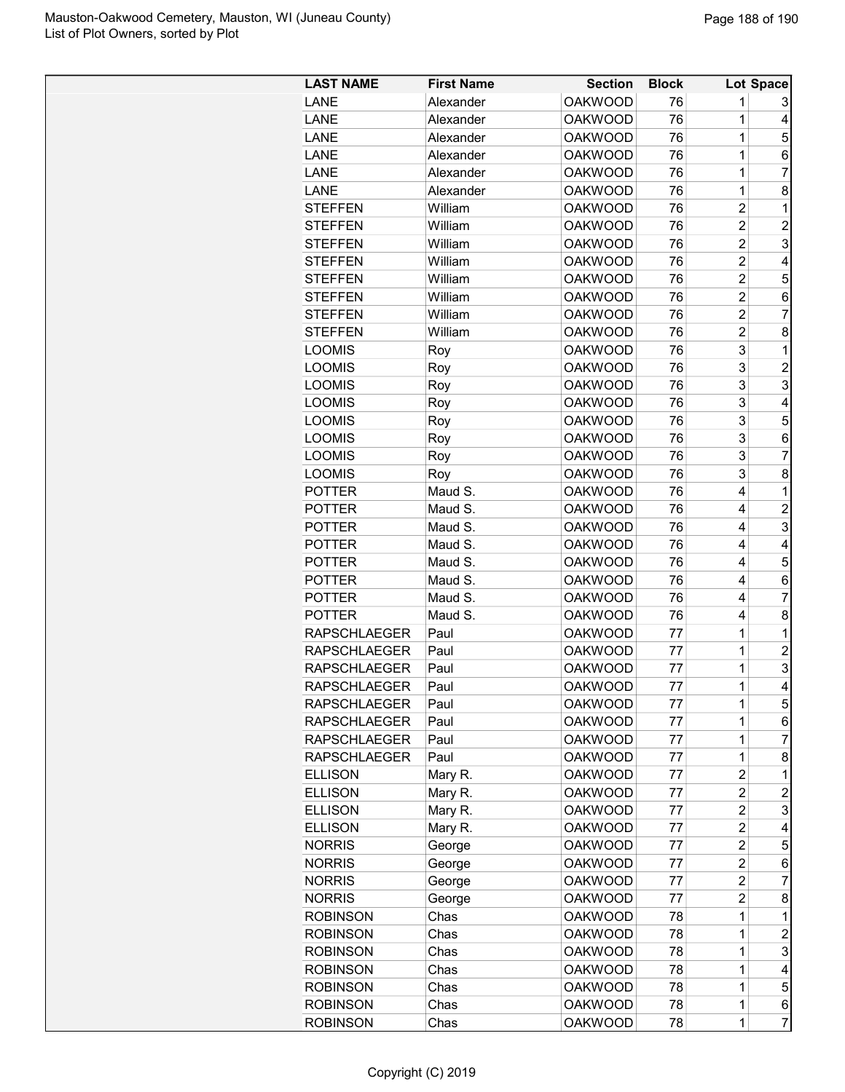| <b>LAST NAME</b>               | <b>First Name</b> | <b>Section</b> | <b>Block</b> |                         | <b>Lot Space</b> |
|--------------------------------|-------------------|----------------|--------------|-------------------------|------------------|
| LANE                           | Alexander         | <b>OAKWOOD</b> | 76           | 1                       | 3                |
| LANE                           | Alexander         | <b>OAKWOOD</b> | 76           | 1                       | 4                |
| LANE                           | Alexander         | <b>OAKWOOD</b> | 76           | 1                       | 5                |
| LANE                           | Alexander         | <b>OAKWOOD</b> | 76           | 1                       | 6                |
| LANE                           | Alexander         | <b>OAKWOOD</b> | 76           | 1                       | 7                |
| LANE                           | Alexander         | <b>OAKWOOD</b> | 76           | 1                       | 8                |
| <b>STEFFEN</b>                 | William           | <b>OAKWOOD</b> | 76           | $\overline{c}$          | $\mathbf 1$      |
| <b>STEFFEN</b>                 | William           | <b>OAKWOOD</b> | 76           | $\overline{\mathbf{c}}$ | $\overline{c}$   |
| <b>STEFFEN</b>                 | William           | <b>OAKWOOD</b> | 76           | $\overline{c}$          | 3                |
| <b>STEFFEN</b>                 | William           | <b>OAKWOOD</b> | 76           | $\overline{2}$          | 4                |
| <b>STEFFEN</b>                 | William           | <b>OAKWOOD</b> | 76           | $\overline{2}$          | 5                |
| <b>STEFFEN</b>                 | William           | <b>OAKWOOD</b> | 76           | $\overline{c}$          | 6                |
| <b>STEFFEN</b>                 | William           | <b>OAKWOOD</b> | 76           | $\overline{c}$          | 7                |
| <b>STEFFEN</b>                 | William           | <b>OAKWOOD</b> | 76           | $\overline{c}$          | 8                |
| <b>LOOMIS</b>                  | Roy               | <b>OAKWOOD</b> | 76           | 3                       | 1                |
| <b>LOOMIS</b>                  | Roy               | <b>OAKWOOD</b> | 76           | 3                       | $\overline{2}$   |
| <b>LOOMIS</b>                  | Roy               | <b>OAKWOOD</b> | 76           | 3                       | 3                |
| <b>LOOMIS</b>                  | Roy               | <b>OAKWOOD</b> | 76           | 3                       | 4                |
|                                |                   | <b>OAKWOOD</b> | 76           | 3                       | 5                |
| <b>LOOMIS</b><br><b>LOOMIS</b> | Roy               | <b>OAKWOOD</b> | 76           | 3                       |                  |
|                                | Roy               | <b>OAKWOOD</b> |              |                         | 6<br>7           |
| <b>LOOMIS</b>                  | Roy               |                | 76           | 3                       |                  |
| <b>LOOMIS</b>                  | Roy               | <b>OAKWOOD</b> | 76           | 3                       | 8                |
| <b>POTTER</b>                  | Maud S.           | <b>OAKWOOD</b> | 76           | 4                       | $\mathbf 1$      |
| <b>POTTER</b>                  | Maud S.           | <b>OAKWOOD</b> | 76           | 4                       | $\overline{c}$   |
| <b>POTTER</b>                  | Maud S.           | <b>OAKWOOD</b> | 76           | 4                       | 3                |
| <b>POTTER</b>                  | Maud S.           | <b>OAKWOOD</b> | 76           | 4                       | 4                |
| <b>POTTER</b>                  | Maud S.           | <b>OAKWOOD</b> | 76           | 4                       | 5                |
| <b>POTTER</b>                  | Maud S.           | <b>OAKWOOD</b> | 76           | 4                       | 6                |
| <b>POTTER</b>                  | Maud S.           | <b>OAKWOOD</b> | 76           | 4                       | 7                |
| <b>POTTER</b>                  | Maud S.           | <b>OAKWOOD</b> | 76           | 4                       | 8                |
| <b>RAPSCHLAEGER</b>            | Paul              | <b>OAKWOOD</b> | 77           | 1                       | 1                |
| <b>RAPSCHLAEGER</b>            | Paul              | <b>OAKWOOD</b> | 77           | 1                       | $\overline{c}$   |
| <b>RAPSCHLAEGER</b>            | Paul              | <b>OAKWOOD</b> | 77           | 1                       | 3                |
| <b>RAPSCHLAEGER</b>            | Paul              | <b>OAKWOOD</b> | 77           | 1                       | 4                |
| <b>RAPSCHLAEGER</b>            | Paul              | <b>OAKWOOD</b> | 77           | 1                       | 5                |
| <b>RAPSCHLAEGER</b>            | Paul              | <b>OAKWOOD</b> | 77           | 1                       | 6                |
| <b>RAPSCHLAEGER</b>            | Paul              | <b>OAKWOOD</b> | 77           | 1                       | 7                |
| <b>RAPSCHLAEGER</b>            | Paul              | <b>OAKWOOD</b> | 77           | 1                       | 8                |
| <b>ELLISON</b>                 | Mary R.           | <b>OAKWOOD</b> | 77           | 2                       | 1                |
| <b>ELLISON</b>                 | Mary R.           | <b>OAKWOOD</b> | 77           | 2                       | $\overline{c}$   |
| <b>ELLISON</b>                 | Mary R.           | <b>OAKWOOD</b> | 77           | 2                       | 3                |
| <b>ELLISON</b>                 | Mary R.           | <b>OAKWOOD</b> | 77           | $\overline{c}$          | 4                |
| <b>NORRIS</b>                  | George            | <b>OAKWOOD</b> | 77           | $\overline{c}$          | 5                |
| <b>NORRIS</b>                  | George            | <b>OAKWOOD</b> | 77           | $\overline{c}$          | 6                |
| <b>NORRIS</b>                  | George            | <b>OAKWOOD</b> | 77           | $\overline{c}$          | 7                |
| <b>NORRIS</b>                  | George            | <b>OAKWOOD</b> | 77           | $\overline{2}$          | 8                |
| <b>ROBINSON</b>                | Chas              | <b>OAKWOOD</b> | 78           | 1                       | 1                |
| <b>ROBINSON</b>                | Chas              | <b>OAKWOOD</b> | 78           | 1                       | $\overline{c}$   |
| <b>ROBINSON</b>                | Chas              | <b>OAKWOOD</b> | 78           | 1                       | 3                |
| <b>ROBINSON</b>                | Chas              | <b>OAKWOOD</b> | 78           | 1                       | 4                |
| <b>ROBINSON</b>                | Chas              | <b>OAKWOOD</b> | 78           | 1                       | 5                |
| <b>ROBINSON</b>                | Chas              | <b>OAKWOOD</b> | 78           | 1                       | 6                |
| <b>ROBINSON</b>                | Chas              | <b>OAKWOOD</b> | 78           | 1                       | $\overline{7}$   |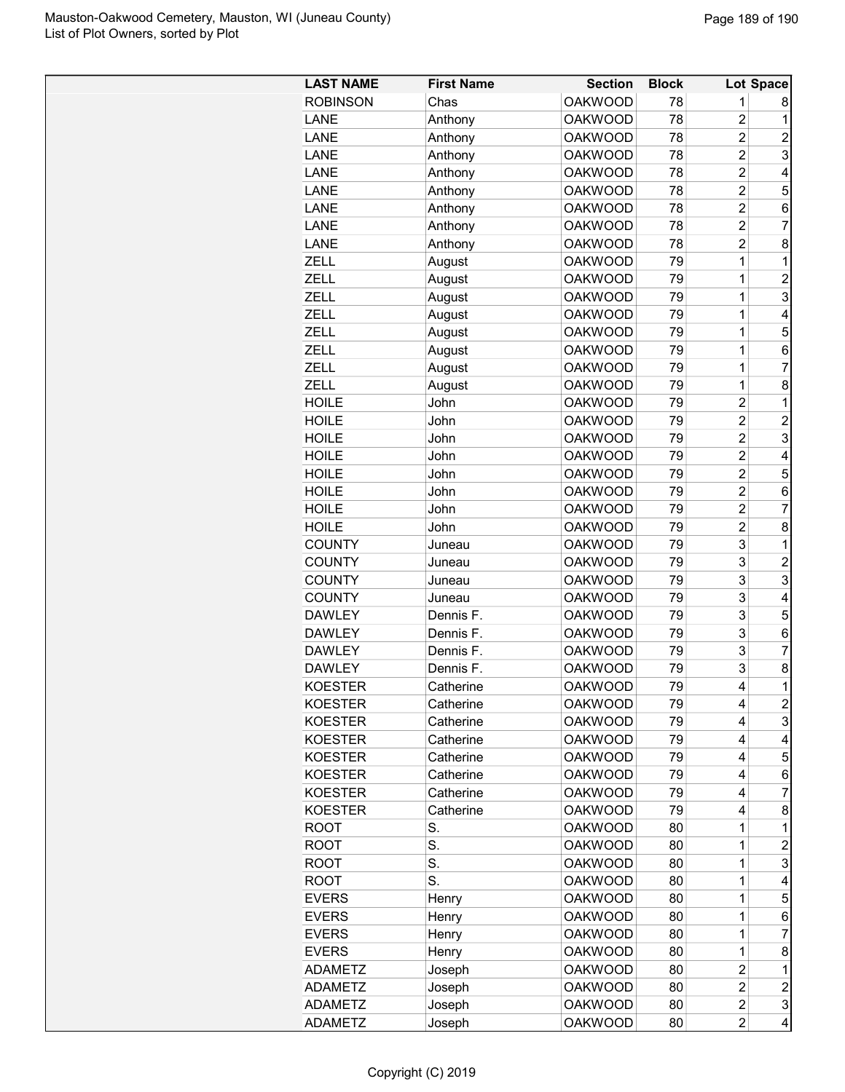| <b>LAST NAME</b> | <b>First Name</b> | <b>Section</b> | <b>Block</b> |                | Lot Space      |
|------------------|-------------------|----------------|--------------|----------------|----------------|
| <b>ROBINSON</b>  | Chas              | <b>OAKWOOD</b> | 78           | 1              | 8              |
| LANE             | Anthony           | <b>OAKWOOD</b> | 78           | $\overline{c}$ | 1              |
| LANE             | Anthony           | <b>OAKWOOD</b> | 78           | $\overline{2}$ | $\overline{c}$ |
| LANE             | Anthony           | <b>OAKWOOD</b> | 78           | $\overline{c}$ | 3              |
| LANE             | Anthony           | <b>OAKWOOD</b> | 78           | $\overline{c}$ | 4              |
| LANE             | Anthony           | <b>OAKWOOD</b> | 78           | $\overline{2}$ | 5              |
| LANE             | Anthony           | <b>OAKWOOD</b> | 78           | 2              | 6              |
| LANE             | Anthony           | <b>OAKWOOD</b> | 78           | 2              | 7              |
| <b>LANE</b>      | Anthony           | <b>OAKWOOD</b> | 78           | $\overline{2}$ | 8              |
| ZELL             | August            | <b>OAKWOOD</b> | 79           | 1              | 1              |
| <b>ZELL</b>      | August            | <b>OAKWOOD</b> | 79           | 1              | $\overline{c}$ |
| ZELL             | August            | <b>OAKWOOD</b> | 79           | 1              | 3              |
| ZELL             | August            | <b>OAKWOOD</b> | 79           | 1              | 4              |
| <b>ZELL</b>      | August            | <b>OAKWOOD</b> | 79           | 1              | 5              |
| ZELL             | August            | <b>OAKWOOD</b> | 79           | 1              | 6              |
| ZELL             | August            | <b>OAKWOOD</b> | 79           | 1              | 7              |
| <b>ZELL</b>      |                   | <b>OAKWOOD</b> | 79           | 1              | 8              |
| <b>HOILE</b>     | August<br>John    | <b>OAKWOOD</b> | 79           | $\overline{2}$ | 1              |
|                  |                   |                |              |                |                |
| <b>HOILE</b>     | John              | <b>OAKWOOD</b> | 79           | 2              | $\overline{c}$ |
| <b>HOILE</b>     | John              | <b>OAKWOOD</b> | 79           | 2              | 3              |
| <b>HOILE</b>     | John              | <b>OAKWOOD</b> | 79           | 2              | 4              |
| <b>HOILE</b>     | John              | <b>OAKWOOD</b> | 79           | 2              | 5              |
| <b>HOILE</b>     | John              | <b>OAKWOOD</b> | 79           | $\overline{2}$ | 6              |
| <b>HOILE</b>     | John              | <b>OAKWOOD</b> | 79           | $\overline{2}$ | 7              |
| <b>HOILE</b>     | John              | <b>OAKWOOD</b> | 79           | $\overline{2}$ | 8              |
| <b>COUNTY</b>    | Juneau            | <b>OAKWOOD</b> | 79           | 3              | 1              |
| <b>COUNTY</b>    | Juneau            | <b>OAKWOOD</b> | 79           | 3              | $\overline{c}$ |
| <b>COUNTY</b>    | Juneau            | <b>OAKWOOD</b> | 79           | 3              | 3              |
| <b>COUNTY</b>    | Juneau            | <b>OAKWOOD</b> | 79           | 3              | 4              |
| <b>DAWLEY</b>    | Dennis F.         | <b>OAKWOOD</b> | 79           | 3              | 5              |
| <b>DAWLEY</b>    | Dennis F.         | <b>OAKWOOD</b> | 79           | 3              | 6              |
| <b>DAWLEY</b>    | Dennis F.         | <b>OAKWOOD</b> | 79           | 3              | 7              |
| <b>DAWLEY</b>    | Dennis F.         | <b>OAKWOOD</b> | 79           | 3              | 8              |
| KOESTER          | Catherine         | <b>OAKWOOD</b> | 79           | 4              | 1              |
| <b>KOESTER</b>   | Catherine         | <b>OAKWOOD</b> | 79           | 4              | 2              |
| <b>KOESTER</b>   | Catherine         | <b>OAKWOOD</b> | 79           | 4              | 3              |
| <b>KOESTER</b>   | Catherine         | <b>OAKWOOD</b> | 79           | 4              | 4              |
| <b>KOESTER</b>   | Catherine         | <b>OAKWOOD</b> | 79           | 4              | 5              |
| <b>KOESTER</b>   | Catherine         | <b>OAKWOOD</b> | 79           | 4              | 6              |
| <b>KOESTER</b>   | Catherine         | <b>OAKWOOD</b> | 79           | 4              | 7              |
| <b>KOESTER</b>   | Catherine         | <b>OAKWOOD</b> | 79           | 4              | 8              |
| <b>ROOT</b>      | S.                | <b>OAKWOOD</b> | 80           | 1              | 1              |
| <b>ROOT</b>      | S.                | <b>OAKWOOD</b> | 80           | 1              | 2              |
|                  | S.                |                |              |                |                |
| <b>ROOT</b>      |                   | <b>OAKWOOD</b> | 80           | $\mathbf 1$    | 3              |
| <b>ROOT</b>      | S.                | <b>OAKWOOD</b> | 80           | $\mathbf 1$    | 4              |
| <b>EVERS</b>     | Henry             | <b>OAKWOOD</b> | 80           | $\mathbf 1$    | 5              |
| <b>EVERS</b>     | Henry             | <b>OAKWOOD</b> | 80           | $\mathbf 1$    | 6              |
| <b>EVERS</b>     | Henry             | <b>OAKWOOD</b> | 80           | $\mathbf 1$    | 7              |
| <b>EVERS</b>     | Henry             | <b>OAKWOOD</b> | 80           | 1              | 8              |
| <b>ADAMETZ</b>   | Joseph            | <b>OAKWOOD</b> | 80           | 2              | $\mathbf{1}$   |
| <b>ADAMETZ</b>   | Joseph            | <b>OAKWOOD</b> | 80           | $\overline{2}$ | 2              |
| <b>ADAMETZ</b>   | Joseph            | <b>OAKWOOD</b> | 80           | $\overline{2}$ | 3              |
| <b>ADAMETZ</b>   | Joseph            | <b>OAKWOOD</b> | 80           | 2              | 4              |